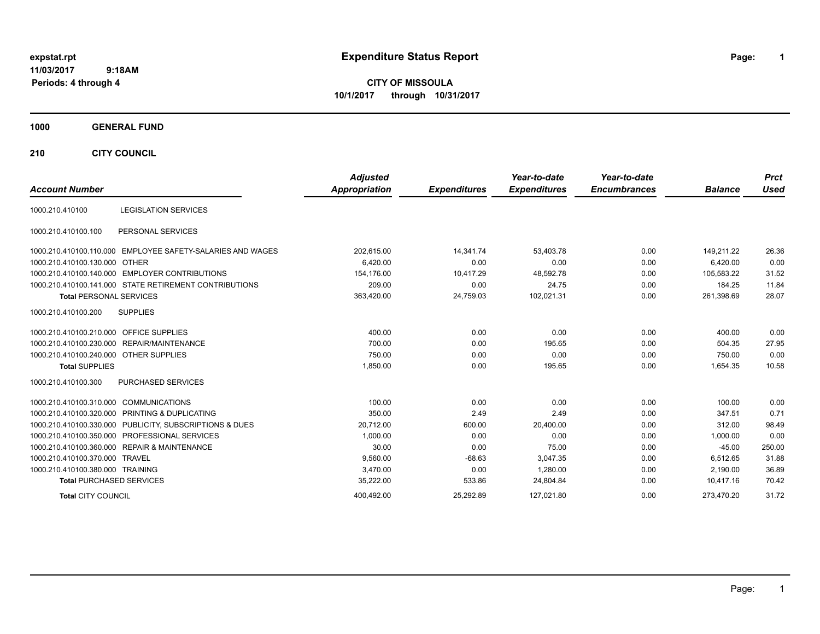## **11/03/2017 9:18AM**

**Periods: 4 through 4**

**CITY OF MISSOULA 10/1/2017 through 10/31/2017**

## **1000 GENERAL FUND**

**210 CITY COUNCIL**

| <b>Account Number</b>                   |                                                            | <b>Adjusted</b><br><b>Appropriation</b> | <b>Expenditures</b> | Year-to-date<br><b>Expenditures</b> | Year-to-date<br><b>Encumbrances</b> | <b>Balance</b> | <b>Prct</b><br>Used |
|-----------------------------------------|------------------------------------------------------------|-----------------------------------------|---------------------|-------------------------------------|-------------------------------------|----------------|---------------------|
| 1000.210.410100                         | <b>LEGISLATION SERVICES</b>                                |                                         |                     |                                     |                                     |                |                     |
| 1000.210.410100.100                     | PERSONAL SERVICES                                          |                                         |                     |                                     |                                     |                |                     |
|                                         | 1000.210.410100.110.000 EMPLOYEE SAFETY-SALARIES AND WAGES | 202,615.00                              | 14,341.74           | 53,403.78                           | 0.00                                | 149.211.22     | 26.36               |
| 1000.210.410100.130.000                 | OTHER                                                      | 6,420.00                                | 0.00                | 0.00                                | 0.00                                | 6.420.00       | 0.00                |
|                                         | 1000.210.410100.140.000 EMPLOYER CONTRIBUTIONS             | 154,176.00                              | 10,417.29           | 48.592.78                           | 0.00                                | 105.583.22     | 31.52               |
|                                         | 1000.210.410100.141.000 STATE RETIREMENT CONTRIBUTIONS     | 209.00                                  | 0.00                | 24.75                               | 0.00                                | 184.25         | 11.84               |
| <b>Total PERSONAL SERVICES</b>          |                                                            | 363,420.00                              | 24,759.03           | 102,021.31                          | 0.00                                | 261,398.69     | 28.07               |
| 1000.210.410100.200                     | <b>SUPPLIES</b>                                            |                                         |                     |                                     |                                     |                |                     |
| 1000.210.410100.210.000 OFFICE SUPPLIES |                                                            | 400.00                                  | 0.00                | 0.00                                | 0.00                                | 400.00         | 0.00                |
|                                         | 1000.210.410100.230.000 REPAIR/MAINTENANCE                 | 700.00                                  | 0.00                | 195.65                              | 0.00                                | 504.35         | 27.95               |
| 1000.210.410100.240.000 OTHER SUPPLIES  |                                                            | 750.00                                  | 0.00                | 0.00                                | 0.00                                | 750.00         | 0.00                |
| <b>Total SUPPLIES</b>                   |                                                            | 1,850.00                                | 0.00                | 195.65                              | 0.00                                | 1,654.35       | 10.58               |
| 1000.210.410100.300                     | PURCHASED SERVICES                                         |                                         |                     |                                     |                                     |                |                     |
| 1000.210.410100.310.000                 | <b>COMMUNICATIONS</b>                                      | 100.00                                  | 0.00                | 0.00                                | 0.00                                | 100.00         | 0.00                |
|                                         | 1000.210.410100.320.000 PRINTING & DUPLICATING             | 350.00                                  | 2.49                | 2.49                                | 0.00                                | 347.51         | 0.71                |
|                                         | 1000.210.410100.330.000 PUBLICITY, SUBSCRIPTIONS & DUES    | 20,712.00                               | 600.00              | 20,400.00                           | 0.00                                | 312.00         | 98.49               |
|                                         | 1000.210.410100.350.000 PROFESSIONAL SERVICES              | 1,000.00                                | 0.00                | 0.00                                | 0.00                                | 1,000.00       | 0.00                |
|                                         | 1000.210.410100.360.000 REPAIR & MAINTENANCE               | 30.00                                   | 0.00                | 75.00                               | 0.00                                | $-45.00$       | 250.00              |
| 1000.210.410100.370.000 TRAVEL          |                                                            | 9,560.00                                | $-68.63$            | 3,047.35                            | 0.00                                | 6,512.65       | 31.88               |
| 1000.210.410100.380.000 TRAINING        |                                                            | 3,470.00                                | 0.00                | 1,280.00                            | 0.00                                | 2,190.00       | 36.89               |
| <b>Total PURCHASED SERVICES</b>         |                                                            | 35,222.00                               | 533.86              | 24,804.84                           | 0.00                                | 10.417.16      | 70.42               |
| <b>Total CITY COUNCIL</b>               |                                                            | 400.492.00                              | 25.292.89           | 127.021.80                          | 0.00                                | 273.470.20     | 31.72               |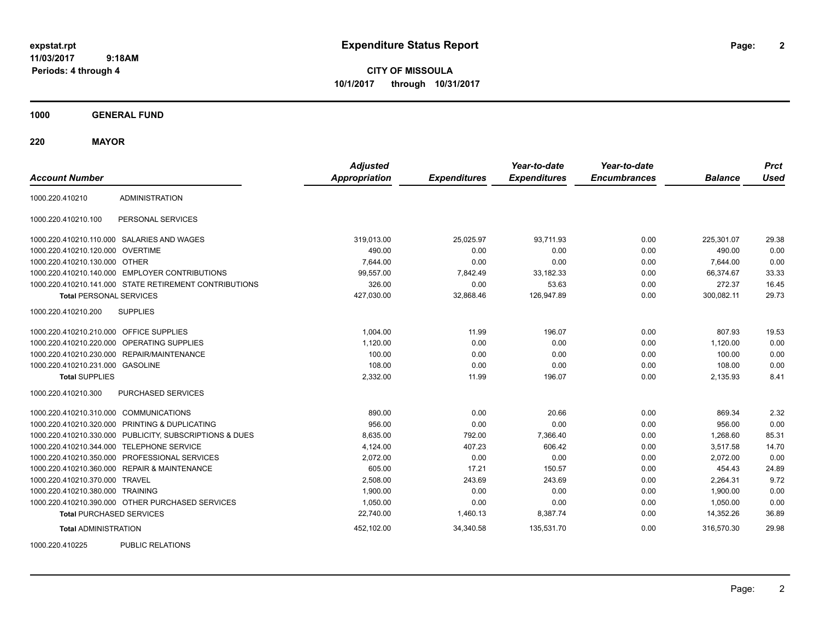**2**

**CITY OF MISSOULA 10/1/2017 through 10/31/2017**

**1000 GENERAL FUND**

**220 MAYOR**

| <b>Account Number</b>                   |                                                         | <b>Adjusted</b><br><b>Appropriation</b> | <b>Expenditures</b> | Year-to-date<br><b>Expenditures</b> | Year-to-date<br><b>Encumbrances</b> | <b>Balance</b> | <b>Prct</b><br><b>Used</b> |
|-----------------------------------------|---------------------------------------------------------|-----------------------------------------|---------------------|-------------------------------------|-------------------------------------|----------------|----------------------------|
| 1000.220.410210                         | <b>ADMINISTRATION</b>                                   |                                         |                     |                                     |                                     |                |                            |
| 1000.220.410210.100                     | PERSONAL SERVICES                                       |                                         |                     |                                     |                                     |                |                            |
|                                         | 1000.220.410210.110.000 SALARIES AND WAGES              | 319,013.00                              | 25,025.97           | 93,711.93                           | 0.00                                | 225,301.07     | 29.38                      |
| 1000.220.410210.120.000 OVERTIME        |                                                         | 490.00                                  | 0.00                | 0.00                                | 0.00                                | 490.00         | 0.00                       |
| 1000.220.410210.130.000 OTHER           |                                                         | 7,644.00                                | 0.00                | 0.00                                | 0.00                                | 7,644.00       | 0.00                       |
|                                         | 1000.220.410210.140.000 EMPLOYER CONTRIBUTIONS          | 99,557.00                               | 7,842.49            | 33,182.33                           | 0.00                                | 66.374.67      | 33.33                      |
|                                         | 1000.220.410210.141.000 STATE RETIREMENT CONTRIBUTIONS  | 326.00                                  | 0.00                | 53.63                               | 0.00                                | 272.37         | 16.45                      |
| <b>Total PERSONAL SERVICES</b>          |                                                         | 427,030.00                              | 32,868.46           | 126,947.89                          | 0.00                                | 300,082.11     | 29.73                      |
| 1000.220.410210.200                     | <b>SUPPLIES</b>                                         |                                         |                     |                                     |                                     |                |                            |
| 1000.220.410210.210.000 OFFICE SUPPLIES |                                                         | 1,004.00                                | 11.99               | 196.07                              | 0.00                                | 807.93         | 19.53                      |
|                                         | 1000.220.410210.220.000 OPERATING SUPPLIES              | 1,120.00                                | 0.00                | 0.00                                | 0.00                                | 1,120.00       | 0.00                       |
|                                         | 1000.220.410210.230.000 REPAIR/MAINTENANCE              | 100.00                                  | 0.00                | 0.00                                | 0.00                                | 100.00         | 0.00                       |
| 1000.220.410210.231.000 GASOLINE        |                                                         | 108.00                                  | 0.00                | 0.00                                | 0.00                                | 108.00         | 0.00                       |
| <b>Total SUPPLIES</b>                   |                                                         | 2,332.00                                | 11.99               | 196.07                              | 0.00                                | 2,135.93       | 8.41                       |
| 1000.220.410210.300                     | <b>PURCHASED SERVICES</b>                               |                                         |                     |                                     |                                     |                |                            |
| 1000.220.410210.310.000 COMMUNICATIONS  |                                                         | 890.00                                  | 0.00                | 20.66                               | 0.00                                | 869.34         | 2.32                       |
|                                         | 1000.220.410210.320.000 PRINTING & DUPLICATING          | 956.00                                  | 0.00                | 0.00                                | 0.00                                | 956.00         | 0.00                       |
|                                         | 1000.220.410210.330.000 PUBLICITY, SUBSCRIPTIONS & DUES | 8,635.00                                | 792.00              | 7,366.40                            | 0.00                                | 1,268.60       | 85.31                      |
|                                         | 1000.220.410210.344.000 TELEPHONE SERVICE               | 4,124.00                                | 407.23              | 606.42                              | 0.00                                | 3,517.58       | 14.70                      |
|                                         | 1000.220.410210.350.000 PROFESSIONAL SERVICES           | 2,072.00                                | 0.00                | 0.00                                | 0.00                                | 2,072.00       | 0.00                       |
|                                         | 1000.220.410210.360.000 REPAIR & MAINTENANCE            | 605.00                                  | 17.21               | 150.57                              | 0.00                                | 454.43         | 24.89                      |
| 1000.220.410210.370.000 TRAVEL          |                                                         | 2,508.00                                | 243.69              | 243.69                              | 0.00                                | 2,264.31       | 9.72                       |
| 1000.220.410210.380.000 TRAINING        |                                                         | 1,900.00                                | 0.00                | 0.00                                | 0.00                                | 1,900.00       | 0.00                       |
|                                         | 1000.220.410210.390.000 OTHER PURCHASED SERVICES        | 1,050.00                                | 0.00                | 0.00                                | 0.00                                | 1,050.00       | 0.00                       |
| <b>Total PURCHASED SERVICES</b>         |                                                         | 22,740.00                               | 1,460.13            | 8,387.74                            | 0.00                                | 14,352.26      | 36.89                      |
| <b>Total ADMINISTRATION</b>             |                                                         | 452,102.00                              | 34,340.58           | 135,531.70                          | 0.00                                | 316,570.30     | 29.98                      |
| 1000000110005                           | <b>DUDLIO DEL ATIONO</b>                                |                                         |                     |                                     |                                     |                |                            |

1000.220.410225 PUBLIC RELATIONS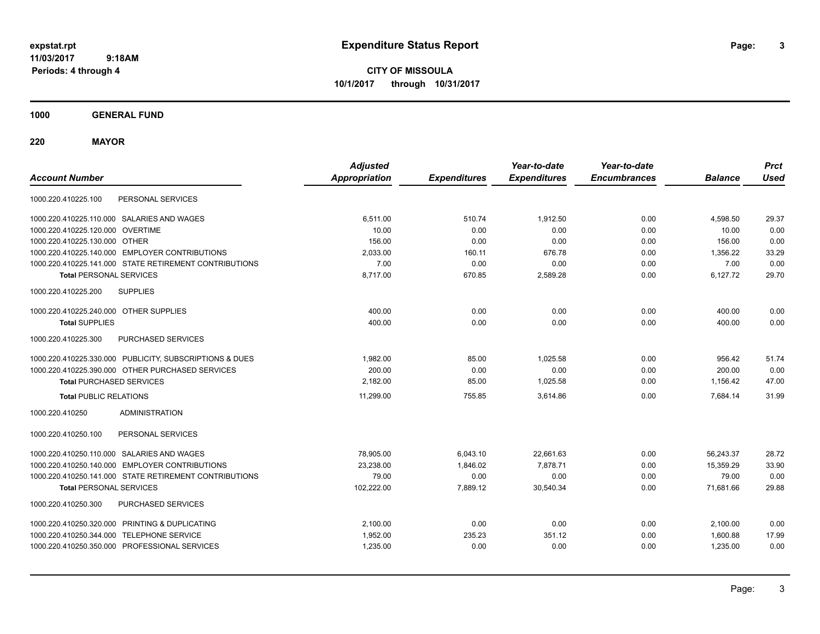**3**

**CITY OF MISSOULA 10/1/2017 through 10/31/2017**

**1000 GENERAL FUND**

**220 MAYOR**

| <b>Account Number</b>                                   | <b>Adjusted</b><br><b>Appropriation</b> | <b>Expenditures</b> | Year-to-date<br><b>Expenditures</b> | Year-to-date<br><b>Encumbrances</b> | <b>Balance</b> | <b>Prct</b><br><b>Used</b> |
|---------------------------------------------------------|-----------------------------------------|---------------------|-------------------------------------|-------------------------------------|----------------|----------------------------|
| PERSONAL SERVICES<br>1000.220.410225.100                |                                         |                     |                                     |                                     |                |                            |
| 1000.220.410225.110.000 SALARIES AND WAGES              | 6,511.00                                | 510.74              | 1,912.50                            | 0.00                                | 4,598.50       | 29.37                      |
| 1000.220.410225.120.000 OVERTIME                        | 10.00                                   | 0.00                | 0.00                                | 0.00                                | 10.00          | 0.00                       |
| 1000.220.410225.130.000 OTHER                           | 156.00                                  | 0.00                | 0.00                                | 0.00                                | 156.00         | 0.00                       |
| 1000.220.410225.140.000 EMPLOYER CONTRIBUTIONS          | 2,033.00                                | 160.11              | 676.78                              | 0.00                                | 1,356.22       | 33.29                      |
| 1000.220.410225.141.000 STATE RETIREMENT CONTRIBUTIONS  | 7.00                                    | 0.00                | 0.00                                | 0.00                                | 7.00           | 0.00                       |
| <b>Total PERSONAL SERVICES</b>                          | 8,717.00                                | 670.85              | 2,589.28                            | 0.00                                | 6,127.72       | 29.70                      |
| 1000.220.410225.200<br><b>SUPPLIES</b>                  |                                         |                     |                                     |                                     |                |                            |
| 1000.220.410225.240.000 OTHER SUPPLIES                  | 400.00                                  | 0.00                | 0.00                                | 0.00                                | 400.00         | 0.00                       |
| <b>Total SUPPLIES</b>                                   | 400.00                                  | 0.00                | 0.00                                | 0.00                                | 400.00         | 0.00                       |
| 1000.220.410225.300<br>PURCHASED SERVICES               |                                         |                     |                                     |                                     |                |                            |
| 1000.220.410225.330.000 PUBLICITY, SUBSCRIPTIONS & DUES | 1,982.00                                | 85.00               | 1,025.58                            | 0.00                                | 956.42         | 51.74                      |
| 1000.220.410225.390.000 OTHER PURCHASED SERVICES        | 200.00                                  | 0.00                | 0.00                                | 0.00                                | 200.00         | 0.00                       |
| <b>Total PURCHASED SERVICES</b>                         | 2,182.00                                | 85.00               | 1,025.58                            | 0.00                                | 1,156.42       | 47.00                      |
| <b>Total PUBLIC RELATIONS</b>                           | 11.299.00                               | 755.85              | 3.614.86                            | 0.00                                | 7.684.14       | 31.99                      |
| <b>ADMINISTRATION</b><br>1000.220.410250                |                                         |                     |                                     |                                     |                |                            |
| PERSONAL SERVICES<br>1000.220.410250.100                |                                         |                     |                                     |                                     |                |                            |
| 1000.220.410250.110.000 SALARIES AND WAGES              | 78,905.00                               | 6,043.10            | 22,661.63                           | 0.00                                | 56,243.37      | 28.72                      |
| 1000.220.410250.140.000 EMPLOYER CONTRIBUTIONS          | 23,238.00                               | 1,846.02            | 7,878.71                            | 0.00                                | 15,359.29      | 33.90                      |
| 1000.220.410250.141.000 STATE RETIREMENT CONTRIBUTIONS  | 79.00                                   | 0.00                | 0.00                                | 0.00                                | 79.00          | 0.00                       |
| <b>Total PERSONAL SERVICES</b>                          | 102,222.00                              | 7,889.12            | 30,540.34                           | 0.00                                | 71,681.66      | 29.88                      |
| PURCHASED SERVICES<br>1000.220.410250.300               |                                         |                     |                                     |                                     |                |                            |
| 1000.220.410250.320.000 PRINTING & DUPLICATING          | 2,100.00                                | 0.00                | 0.00                                | 0.00                                | 2,100.00       | 0.00                       |
| 1000.220.410250.344.000 TELEPHONE SERVICE               | 1,952.00                                | 235.23              | 351.12                              | 0.00                                | 1,600.88       | 17.99                      |
| 1000.220.410250.350.000 PROFESSIONAL SERVICES           | 1,235.00                                | 0.00                | 0.00                                | 0.00                                | 1,235.00       | 0.00                       |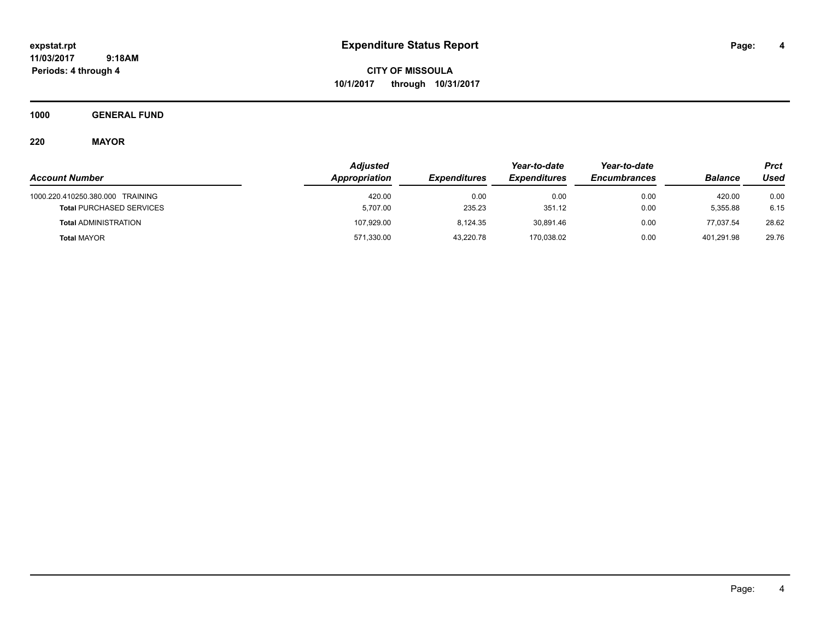**CITY OF MISSOULA 10/1/2017 through 10/31/2017**

**1000 GENERAL FUND**

# **220 MAYOR**

|                                  | <b>Adjusted</b> |                     |                     | Year-to-date        |                | Prct  |
|----------------------------------|-----------------|---------------------|---------------------|---------------------|----------------|-------|
| <b>Account Number</b>            | Appropriation   | <b>Expenditures</b> | <b>Expenditures</b> | <b>Encumbrances</b> | <b>Balance</b> | Used  |
| 1000.220.410250.380.000 TRAINING | 420.00          | 0.00                | 0.00                | 0.00                | 420.00         | 0.00  |
| <b>Total PURCHASED SERVICES</b>  | 5,707.00        | 235.23              | 351.12              | 0.00                | 5.355.88       | 6.15  |
| <b>Total ADMINISTRATION</b>      | 107,929.00      | 8.124.35            | 30,891.46           | 0.00                | 77.037.54      | 28.62 |
| <b>Total MAYOR</b>               | 571,330.00      | 43,220.78           | 170,038.02          | 0.00                | 401,291.98     | 29.76 |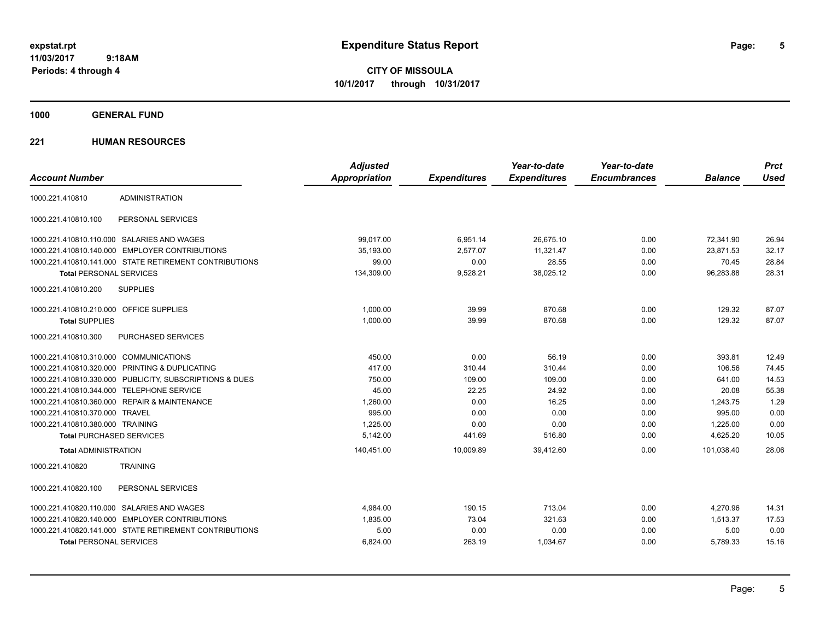**CITY OF MISSOULA 10/1/2017 through 10/31/2017**

**1000 GENERAL FUND**

## **221 HUMAN RESOURCES**

| <b>Account Number</b>                   |                                                         | <b>Adjusted</b><br><b>Appropriation</b> | <b>Expenditures</b> | Year-to-date<br><b>Expenditures</b> | Year-to-date<br><b>Encumbrances</b> | <b>Balance</b> | <b>Prct</b><br><b>Used</b> |
|-----------------------------------------|---------------------------------------------------------|-----------------------------------------|---------------------|-------------------------------------|-------------------------------------|----------------|----------------------------|
|                                         |                                                         |                                         |                     |                                     |                                     |                |                            |
| 1000.221.410810                         | <b>ADMINISTRATION</b>                                   |                                         |                     |                                     |                                     |                |                            |
| 1000.221.410810.100                     | PERSONAL SERVICES                                       |                                         |                     |                                     |                                     |                |                            |
|                                         | 1000.221.410810.110.000 SALARIES AND WAGES              | 99.017.00                               | 6,951.14            | 26.675.10                           | 0.00                                | 72,341.90      | 26.94                      |
| 1000.221.410810.140.000                 | <b>EMPLOYER CONTRIBUTIONS</b>                           | 35.193.00                               | 2.577.07            | 11.321.47                           | 0.00                                | 23.871.53      | 32.17                      |
|                                         | 1000.221.410810.141.000 STATE RETIREMENT CONTRIBUTIONS  | 99.00                                   | 0.00                | 28.55                               | 0.00                                | 70.45          | 28.84                      |
| <b>Total PERSONAL SERVICES</b>          |                                                         | 134,309.00                              | 9,528.21            | 38,025.12                           | 0.00                                | 96,283.88      | 28.31                      |
| 1000.221.410810.200                     | <b>SUPPLIES</b>                                         |                                         |                     |                                     |                                     |                |                            |
| 1000.221.410810.210.000 OFFICE SUPPLIES |                                                         | 1,000.00                                | 39.99               | 870.68                              | 0.00                                | 129.32         | 87.07                      |
| <b>Total SUPPLIES</b>                   |                                                         | 1,000.00                                | 39.99               | 870.68                              | 0.00                                | 129.32         | 87.07                      |
| 1000.221.410810.300                     | PURCHASED SERVICES                                      |                                         |                     |                                     |                                     |                |                            |
| 1000.221.410810.310.000 COMMUNICATIONS  |                                                         | 450.00                                  | 0.00                | 56.19                               | 0.00                                | 393.81         | 12.49                      |
|                                         | 1000.221.410810.320.000 PRINTING & DUPLICATING          | 417.00                                  | 310.44              | 310.44                              | 0.00                                | 106.56         | 74.45                      |
|                                         | 1000.221.410810.330.000 PUBLICITY, SUBSCRIPTIONS & DUES | 750.00                                  | 109.00              | 109.00                              | 0.00                                | 641.00         | 14.53                      |
|                                         | 1000.221.410810.344.000 TELEPHONE SERVICE               | 45.00                                   | 22.25               | 24.92                               | 0.00                                | 20.08          | 55.38                      |
|                                         | 1000.221.410810.360.000 REPAIR & MAINTENANCE            | 1,260.00                                | 0.00                | 16.25                               | 0.00                                | 1,243.75       | 1.29                       |
| 1000.221.410810.370.000                 | TRAVEL                                                  | 995.00                                  | 0.00                | 0.00                                | 0.00                                | 995.00         | 0.00                       |
| 1000.221.410810.380.000 TRAINING        |                                                         | 1,225.00                                | 0.00                | 0.00                                | 0.00                                | 1,225.00       | 0.00                       |
| <b>Total PURCHASED SERVICES</b>         |                                                         | 5,142.00                                | 441.69              | 516.80                              | 0.00                                | 4,625.20       | 10.05                      |
| <b>Total ADMINISTRATION</b>             |                                                         | 140,451.00                              | 10,009.89           | 39.412.60                           | 0.00                                | 101.038.40     | 28.06                      |
| 1000.221.410820                         | <b>TRAINING</b>                                         |                                         |                     |                                     |                                     |                |                            |
| 1000.221.410820.100                     | PERSONAL SERVICES                                       |                                         |                     |                                     |                                     |                |                            |
|                                         | 1000.221.410820.110.000 SALARIES AND WAGES              | 4,984.00                                | 190.15              | 713.04                              | 0.00                                | 4,270.96       | 14.31                      |
|                                         | 1000.221.410820.140.000 EMPLOYER CONTRIBUTIONS          | 1.835.00                                | 73.04               | 321.63                              | 0.00                                | 1.513.37       | 17.53                      |
|                                         | 1000.221.410820.141.000 STATE RETIREMENT CONTRIBUTIONS  | 5.00                                    | 0.00                | 0.00                                | 0.00                                | 5.00           | 0.00                       |
| <b>Total PERSONAL SERVICES</b>          |                                                         | 6,824.00                                | 263.19              | 1,034.67                            | 0.00                                | 5,789.33       | 15.16                      |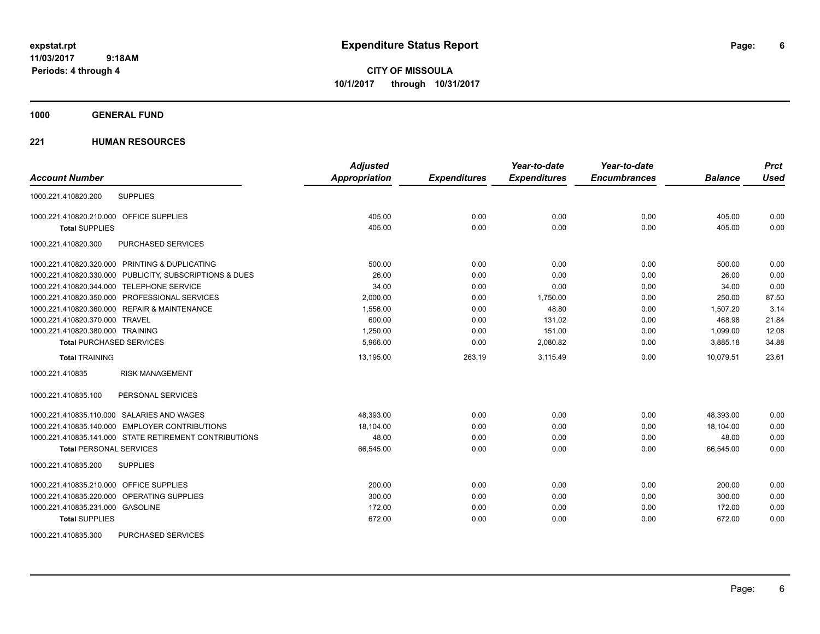**CITY OF MISSOULA 10/1/2017 through 10/31/2017**

## **1000 GENERAL FUND**

## **221 HUMAN RESOURCES**

|                                                         | <b>Adjusted</b>      |                     | Year-to-date        | Year-to-date        |                | <b>Prct</b> |
|---------------------------------------------------------|----------------------|---------------------|---------------------|---------------------|----------------|-------------|
| <b>Account Number</b>                                   | <b>Appropriation</b> | <b>Expenditures</b> | <b>Expenditures</b> | <b>Encumbrances</b> | <b>Balance</b> | <b>Used</b> |
| <b>SUPPLIES</b><br>1000.221.410820.200                  |                      |                     |                     |                     |                |             |
| 1000.221.410820.210.000 OFFICE SUPPLIES                 | 405.00               | 0.00                | 0.00                | 0.00                | 405.00         | 0.00        |
| <b>Total SUPPLIES</b>                                   | 405.00               | 0.00                | 0.00                | 0.00                | 405.00         | 0.00        |
| PURCHASED SERVICES<br>1000.221.410820.300               |                      |                     |                     |                     |                |             |
| 1000.221.410820.320.000 PRINTING & DUPLICATING          | 500.00               | 0.00                | 0.00                | 0.00                | 500.00         | 0.00        |
| 1000.221.410820.330.000 PUBLICITY, SUBSCRIPTIONS & DUES | 26.00                | 0.00                | 0.00                | 0.00                | 26.00          | 0.00        |
| 1000.221.410820.344.000 TELEPHONE SERVICE               | 34.00                | 0.00                | 0.00                | 0.00                | 34.00          | 0.00        |
| 1000.221.410820.350.000 PROFESSIONAL SERVICES           | 2,000.00             | 0.00                | 1,750.00            | 0.00                | 250.00         | 87.50       |
| 1000.221.410820.360.000 REPAIR & MAINTENANCE            | 1,556.00             | 0.00                | 48.80               | 0.00                | 1.507.20       | 3.14        |
| 1000.221.410820.370.000 TRAVEL                          | 600.00               | 0.00                | 131.02              | 0.00                | 468.98         | 21.84       |
| 1000.221.410820.380.000 TRAINING                        | 1,250.00             | 0.00                | 151.00              | 0.00                | 1,099.00       | 12.08       |
| <b>Total PURCHASED SERVICES</b>                         | 5,966.00             | 0.00                | 2,080.82            | 0.00                | 3,885.18       | 34.88       |
| <b>Total TRAINING</b>                                   | 13,195.00            | 263.19              | 3,115.49            | 0.00                | 10.079.51      | 23.61       |
| <b>RISK MANAGEMENT</b><br>1000.221.410835               |                      |                     |                     |                     |                |             |
| 1000.221.410835.100<br>PERSONAL SERVICES                |                      |                     |                     |                     |                |             |
| 1000.221.410835.110.000 SALARIES AND WAGES              | 48,393.00            | 0.00                | 0.00                | 0.00                | 48,393.00      | 0.00        |
| 1000.221.410835.140.000 EMPLOYER CONTRIBUTIONS          | 18,104.00            | 0.00                | 0.00                | 0.00                | 18,104.00      | 0.00        |
| 1000.221.410835.141.000 STATE RETIREMENT CONTRIBUTIONS  | 48.00                | 0.00                | 0.00                | 0.00                | 48.00          | 0.00        |
| <b>Total PERSONAL SERVICES</b>                          | 66,545.00            | 0.00                | 0.00                | 0.00                | 66,545.00      | 0.00        |
| 1000.221.410835.200<br><b>SUPPLIES</b>                  |                      |                     |                     |                     |                |             |
| 1000.221.410835.210.000 OFFICE SUPPLIES                 | 200.00               | 0.00                | 0.00                | 0.00                | 200.00         | 0.00        |
| 1000.221.410835.220.000 OPERATING SUPPLIES              | 300.00               | 0.00                | 0.00                | 0.00                | 300.00         | 0.00        |
| 1000.221.410835.231.000 GASOLINE                        | 172.00               | 0.00                | 0.00                | 0.00                | 172.00         | 0.00        |
| <b>Total SUPPLIES</b>                                   | 672.00               | 0.00                | 0.00                | 0.00                | 672.00         | 0.00        |
| 1000.221.410835.300<br>PURCHASED SERVICES               |                      |                     |                     |                     |                |             |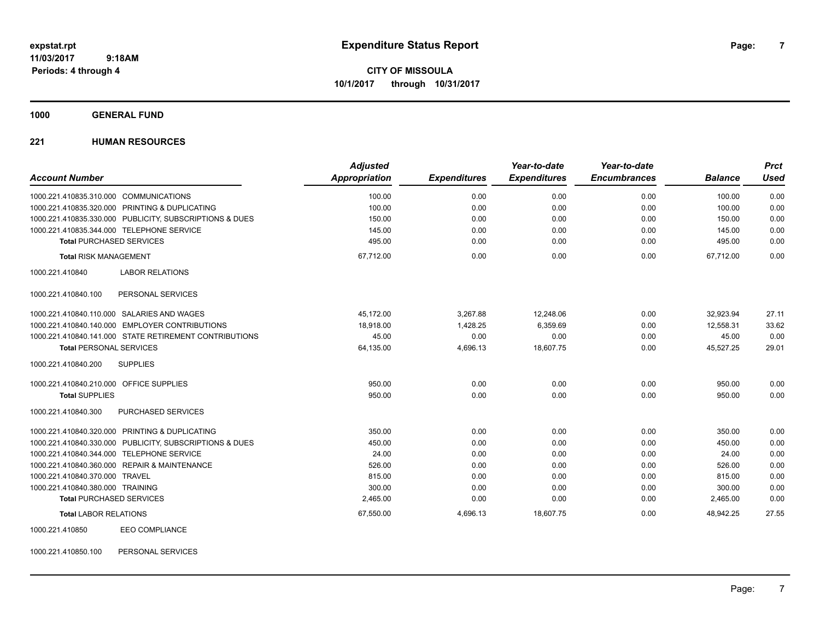**CITY OF MISSOULA 10/1/2017 through 10/31/2017**

**1000 GENERAL FUND**

## **221 HUMAN RESOURCES**

| <b>Account Number</b>                                   | <b>Adjusted</b><br><b>Appropriation</b> | <b>Expenditures</b> | Year-to-date<br><b>Expenditures</b> | Year-to-date<br><b>Encumbrances</b> | <b>Balance</b> | <b>Prct</b><br><b>Used</b> |
|---------------------------------------------------------|-----------------------------------------|---------------------|-------------------------------------|-------------------------------------|----------------|----------------------------|
| 1000.221.410835.310.000 COMMUNICATIONS                  | 100.00                                  | 0.00                | 0.00                                | 0.00                                | 100.00         | 0.00                       |
| 1000.221.410835.320.000 PRINTING & DUPLICATING          | 100.00                                  | 0.00                | 0.00                                | 0.00                                | 100.00         | 0.00                       |
| 1000.221.410835.330.000 PUBLICITY, SUBSCRIPTIONS & DUES | 150.00                                  | 0.00                | 0.00                                | 0.00                                | 150.00         | 0.00                       |
| 1000.221.410835.344.000 TELEPHONE SERVICE               | 145.00                                  | 0.00                | 0.00                                | 0.00                                | 145.00         | 0.00                       |
| <b>Total PURCHASED SERVICES</b>                         | 495.00                                  | 0.00                | 0.00                                | 0.00                                | 495.00         | 0.00                       |
| <b>Total RISK MANAGEMENT</b>                            | 67,712.00                               | 0.00                | 0.00                                | 0.00                                | 67.712.00      | 0.00                       |
| <b>LABOR RELATIONS</b><br>1000.221.410840               |                                         |                     |                                     |                                     |                |                            |
| 1000.221.410840.100<br>PERSONAL SERVICES                |                                         |                     |                                     |                                     |                |                            |
| 1000.221.410840.110.000 SALARIES AND WAGES              | 45,172.00                               | 3.267.88            | 12,248.06                           | 0.00                                | 32,923.94      | 27.11                      |
| 1000.221.410840.140.000 EMPLOYER CONTRIBUTIONS          | 18,918.00                               | 1,428.25            | 6,359.69                            | 0.00                                | 12,558.31      | 33.62                      |
| 1000.221.410840.141.000 STATE RETIREMENT CONTRIBUTIONS  | 45.00                                   | 0.00                | 0.00                                | 0.00                                | 45.00          | 0.00                       |
| <b>Total PERSONAL SERVICES</b>                          | 64,135.00                               | 4,696.13            | 18,607.75                           | 0.00                                | 45,527.25      | 29.01                      |
| 1000.221.410840.200<br><b>SUPPLIES</b>                  |                                         |                     |                                     |                                     |                |                            |
| 1000.221.410840.210.000 OFFICE SUPPLIES                 | 950.00                                  | 0.00                | 0.00                                | 0.00                                | 950.00         | 0.00                       |
| <b>Total SUPPLIES</b>                                   | 950.00                                  | 0.00                | 0.00                                | 0.00                                | 950.00         | 0.00                       |
| 1000.221.410840.300<br>PURCHASED SERVICES               |                                         |                     |                                     |                                     |                |                            |
| 1000.221.410840.320.000 PRINTING & DUPLICATING          | 350.00                                  | 0.00                | 0.00                                | 0.00                                | 350.00         | 0.00                       |
| 1000.221.410840.330.000 PUBLICITY, SUBSCRIPTIONS & DUES | 450.00                                  | 0.00                | 0.00                                | 0.00                                | 450.00         | 0.00                       |
| 1000.221.410840.344.000 TELEPHONE SERVICE               | 24.00                                   | 0.00                | 0.00                                | 0.00                                | 24.00          | 0.00                       |
| 1000.221.410840.360.000 REPAIR & MAINTENANCE            | 526.00                                  | 0.00                | 0.00                                | 0.00                                | 526.00         | 0.00                       |
| 1000.221.410840.370.000 TRAVEL                          | 815.00                                  | 0.00                | 0.00                                | 0.00                                | 815.00         | 0.00                       |
| 1000.221.410840.380.000 TRAINING                        | 300.00                                  | 0.00                | 0.00                                | 0.00                                | 300.00         | 0.00                       |
| <b>Total PURCHASED SERVICES</b>                         | 2,465.00                                | 0.00                | 0.00                                | 0.00                                | 2,465.00       | 0.00                       |
| <b>Total LABOR RELATIONS</b>                            | 67,550.00                               | 4,696.13            | 18,607.75                           | 0.00                                | 48.942.25      | 27.55                      |
| <b>EEO COMPLIANCE</b><br>1000.221.410850                |                                         |                     |                                     |                                     |                |                            |

1000.221.410850.100 PERSONAL SERVICES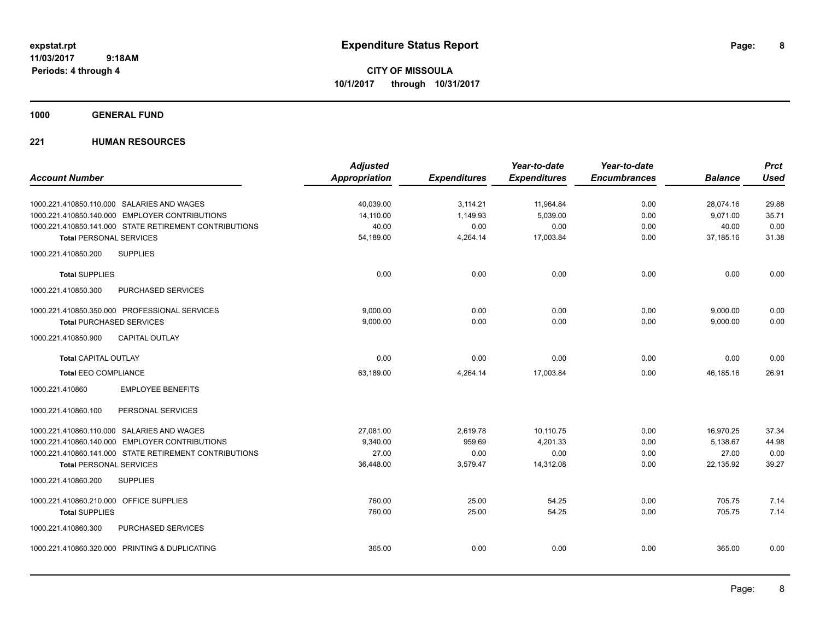**CITY OF MISSOULA 10/1/2017 through 10/31/2017**

## **1000 GENERAL FUND**

## **221 HUMAN RESOURCES**

|                                                        | <b>Adjusted</b>      |                     | Year-to-date        | Year-to-date        |                | <b>Prct</b> |
|--------------------------------------------------------|----------------------|---------------------|---------------------|---------------------|----------------|-------------|
| <b>Account Number</b>                                  | <b>Appropriation</b> | <b>Expenditures</b> | <b>Expenditures</b> | <b>Encumbrances</b> | <b>Balance</b> | <b>Used</b> |
| 1000.221.410850.110.000 SALARIES AND WAGES             | 40,039.00            | 3,114.21            | 11,964.84           | 0.00                | 28,074.16      | 29.88       |
| 1000.221.410850.140.000 EMPLOYER CONTRIBUTIONS         | 14.110.00            | 1,149.93            | 5.039.00            | 0.00                | 9.071.00       | 35.71       |
| 1000.221.410850.141.000 STATE RETIREMENT CONTRIBUTIONS | 40.00                | 0.00                | 0.00                | 0.00                | 40.00          | 0.00        |
| <b>Total PERSONAL SERVICES</b>                         | 54,189.00            | 4,264.14            | 17,003.84           | 0.00                | 37,185.16      | 31.38       |
| <b>SUPPLIES</b><br>1000.221.410850.200                 |                      |                     |                     |                     |                |             |
| <b>Total SUPPLIES</b>                                  | 0.00                 | 0.00                | 0.00                | 0.00                | 0.00           | 0.00        |
| 1000.221.410850.300<br>PURCHASED SERVICES              |                      |                     |                     |                     |                |             |
| 1000.221.410850.350.000 PROFESSIONAL SERVICES          | 9.000.00             | 0.00                | 0.00                | 0.00                | 9,000.00       | 0.00        |
| <b>Total PURCHASED SERVICES</b>                        | 9,000.00             | 0.00                | 0.00                | 0.00                | 9,000.00       | 0.00        |
| 1000.221.410850.900<br><b>CAPITAL OUTLAY</b>           |                      |                     |                     |                     |                |             |
| <b>Total CAPITAL OUTLAY</b>                            | 0.00                 | 0.00                | 0.00                | 0.00                | 0.00           | 0.00        |
| <b>Total EEO COMPLIANCE</b>                            | 63,189.00            | 4,264.14            | 17,003.84           | 0.00                | 46,185.16      | 26.91       |
| <b>EMPLOYEE BENEFITS</b><br>1000.221.410860            |                      |                     |                     |                     |                |             |
| 1000.221.410860.100<br>PERSONAL SERVICES               |                      |                     |                     |                     |                |             |
| 1000.221.410860.110.000 SALARIES AND WAGES             | 27,081.00            | 2,619.78            | 10,110.75           | 0.00                | 16,970.25      | 37.34       |
| 1000.221.410860.140.000 EMPLOYER CONTRIBUTIONS         | 9,340.00             | 959.69              | 4,201.33            | 0.00                | 5,138.67       | 44.98       |
| 1000.221.410860.141.000 STATE RETIREMENT CONTRIBUTIONS | 27.00                | 0.00                | 0.00                | 0.00                | 27.00          | 0.00        |
| <b>Total PERSONAL SERVICES</b>                         | 36,448.00            | 3,579.47            | 14,312.08           | 0.00                | 22,135.92      | 39.27       |
| 1000.221.410860.200<br><b>SUPPLIES</b>                 |                      |                     |                     |                     |                |             |
| 1000.221.410860.210.000 OFFICE SUPPLIES                | 760.00               | 25.00               | 54.25               | 0.00                | 705.75         | 7.14        |
| <b>Total SUPPLIES</b>                                  | 760.00               | 25.00               | 54.25               | 0.00                | 705.75         | 7.14        |
| 1000.221.410860.300<br>PURCHASED SERVICES              |                      |                     |                     |                     |                |             |
| 1000.221.410860.320.000 PRINTING & DUPLICATING         | 365.00               | 0.00                | 0.00                | 0.00                | 365.00         | 0.00        |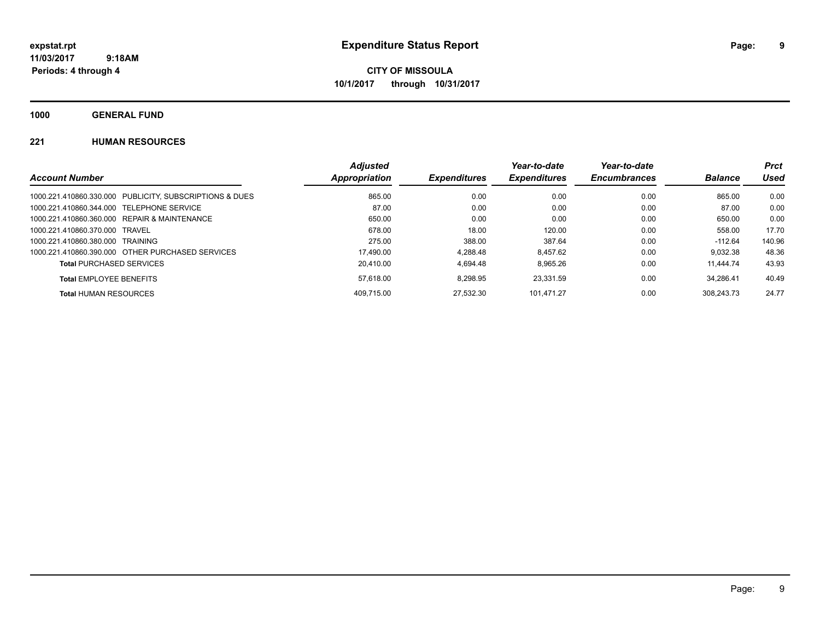**CITY OF MISSOULA 10/1/2017 through 10/31/2017**

**1000 GENERAL FUND**

## **221 HUMAN RESOURCES**

|                                                         | <b>Adjusted</b> |                            | Year-to-date        | Year-to-date        |                | <b>Prct</b> |
|---------------------------------------------------------|-----------------|----------------------------|---------------------|---------------------|----------------|-------------|
| <b>Account Number</b>                                   | Appropriation   | <i><b>Expenditures</b></i> | <b>Expenditures</b> | <b>Encumbrances</b> | <b>Balance</b> | Used        |
| 1000.221.410860.330.000 PUBLICITY, SUBSCRIPTIONS & DUES | 865.00          | 0.00                       | 0.00                | 0.00                | 865.00         | 0.00        |
| 1000.221.410860.344.000 TELEPHONE SERVICE               | 87.00           | 0.00                       | 0.00                | 0.00                | 87.00          | 0.00        |
| 1000.221.410860.360.000 REPAIR & MAINTENANCE            | 650.00          | 0.00                       | 0.00                | 0.00                | 650.00         | 0.00        |
| 1000.221.410860.370.000 TRAVEL                          | 678.00          | 18.00                      | 120.00              | 0.00                | 558.00         | 17.70       |
| 1000.221.410860.380.000 TRAINING                        | 275.00          | 388.00                     | 387.64              | 0.00                | -112.64        | 140.96      |
| 1000.221.410860.390.000 OTHER PURCHASED SERVICES        | 17.490.00       | 4.288.48                   | 8.457.62            | 0.00                | 9.032.38       | 48.36       |
| <b>Total PURCHASED SERVICES</b>                         | 20.410.00       | 4.694.48                   | 8.965.26            | 0.00                | 11.444.74      | 43.93       |
| <b>Total EMPLOYEE BENEFITS</b>                          | 57.618.00       | 8.298.95                   | 23.331.59           | 0.00                | 34.286.41      | 40.49       |
| <b>Total HUMAN RESOURCES</b>                            | 409.715.00      | 27.532.30                  | 101.471.27          | 0.00                | 308.243.73     | 24.77       |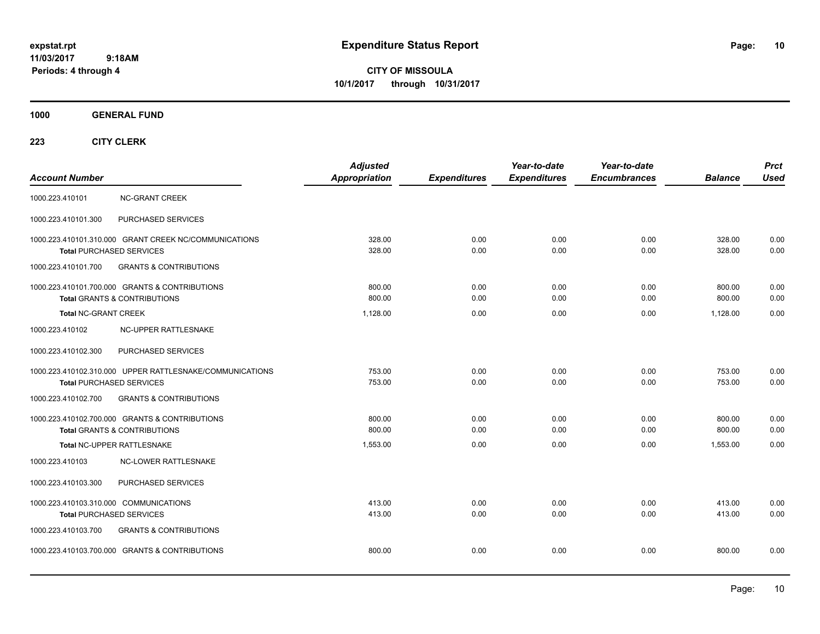**CITY OF MISSOULA 10/1/2017 through 10/31/2017**

**1000 GENERAL FUND**

| <b>Account Number</b>                                                                       | <b>Adjusted</b><br><b>Appropriation</b> | <b>Expenditures</b> | Year-to-date<br><b>Expenditures</b> | Year-to-date<br><b>Encumbrances</b> | <b>Balance</b>   | <b>Prct</b><br><b>Used</b> |
|---------------------------------------------------------------------------------------------|-----------------------------------------|---------------------|-------------------------------------|-------------------------------------|------------------|----------------------------|
| 1000.223.410101<br><b>NC-GRANT CREEK</b>                                                    |                                         |                     |                                     |                                     |                  |                            |
| 1000.223.410101.300<br>PURCHASED SERVICES                                                   |                                         |                     |                                     |                                     |                  |                            |
| 1000.223.410101.310.000 GRANT CREEK NC/COMMUNICATIONS<br><b>Total PURCHASED SERVICES</b>    | 328.00<br>328.00                        | 0.00<br>0.00        | 0.00<br>0.00                        | 0.00<br>0.00                        | 328.00<br>328.00 | 0.00<br>0.00               |
| 1000.223.410101.700<br><b>GRANTS &amp; CONTRIBUTIONS</b>                                    |                                         |                     |                                     |                                     |                  |                            |
| 1000.223.410101.700.000 GRANTS & CONTRIBUTIONS<br><b>Total GRANTS &amp; CONTRIBUTIONS</b>   | 800.00<br>800.00                        | 0.00<br>0.00        | 0.00<br>0.00                        | 0.00<br>0.00                        | 800.00<br>800.00 | 0.00<br>0.00               |
| <b>Total NC-GRANT CREEK</b>                                                                 | 1.128.00                                | 0.00                | 0.00                                | 0.00                                | 1,128.00         | 0.00                       |
| NC-UPPER RATTLESNAKE<br>1000.223.410102                                                     |                                         |                     |                                     |                                     |                  |                            |
| PURCHASED SERVICES<br>1000.223.410102.300                                                   |                                         |                     |                                     |                                     |                  |                            |
| 1000.223.410102.310.000 UPPER RATTLESNAKE/COMMUNICATIONS<br><b>Total PURCHASED SERVICES</b> | 753.00<br>753.00                        | 0.00<br>0.00        | 0.00<br>0.00                        | 0.00<br>0.00                        | 753.00<br>753.00 | 0.00<br>0.00               |
| <b>GRANTS &amp; CONTRIBUTIONS</b><br>1000.223.410102.700                                    |                                         |                     |                                     |                                     |                  |                            |
| 1000.223.410102.700.000 GRANTS & CONTRIBUTIONS<br><b>Total GRANTS &amp; CONTRIBUTIONS</b>   | 800.00<br>800.00                        | 0.00<br>0.00        | 0.00<br>0.00                        | 0.00<br>0.00                        | 800.00<br>800.00 | 0.00<br>0.00               |
| Total NC-UPPER RATTLESNAKE                                                                  | 1,553.00                                | 0.00                | 0.00                                | 0.00                                | 1,553.00         | 0.00                       |
| 1000.223.410103<br><b>NC-LOWER RATTLESNAKE</b>                                              |                                         |                     |                                     |                                     |                  |                            |
| PURCHASED SERVICES<br>1000.223.410103.300                                                   |                                         |                     |                                     |                                     |                  |                            |
| 1000.223.410103.310.000 COMMUNICATIONS<br>Total PURCHASED SERVICES                          | 413.00<br>413.00                        | 0.00<br>0.00        | 0.00<br>0.00                        | 0.00<br>0.00                        | 413.00<br>413.00 | 0.00<br>0.00               |
| <b>GRANTS &amp; CONTRIBUTIONS</b><br>1000.223.410103.700                                    |                                         |                     |                                     |                                     |                  |                            |
| 1000.223.410103.700.000 GRANTS & CONTRIBUTIONS                                              | 800.00                                  | 0.00                | 0.00                                | 0.00                                | 800.00           | 0.00                       |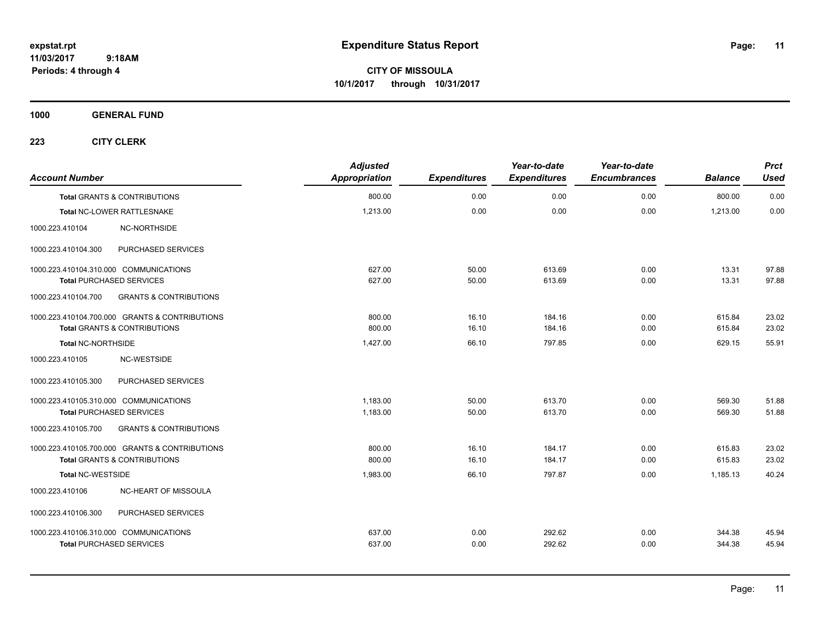**CITY OF MISSOULA 10/1/2017 through 10/31/2017**

**1000 GENERAL FUND**

| <b>Account Number</b>                  |                                                | <b>Adjusted</b><br>Appropriation | <b>Expenditures</b> | Year-to-date<br><b>Expenditures</b> | Year-to-date<br><b>Encumbrances</b> | <b>Balance</b> | <b>Prct</b><br><b>Used</b> |
|----------------------------------------|------------------------------------------------|----------------------------------|---------------------|-------------------------------------|-------------------------------------|----------------|----------------------------|
|                                        | <b>Total GRANTS &amp; CONTRIBUTIONS</b>        | 800.00                           | 0.00                | 0.00                                | 0.00                                | 800.00         | 0.00                       |
|                                        | Total NC-LOWER RATTLESNAKE                     | 1,213.00                         | 0.00                | 0.00                                | 0.00                                | 1,213.00       | 0.00                       |
| 1000.223.410104                        | NC-NORTHSIDE                                   |                                  |                     |                                     |                                     |                |                            |
| 1000.223.410104.300                    | PURCHASED SERVICES                             |                                  |                     |                                     |                                     |                |                            |
| 1000.223.410104.310.000 COMMUNICATIONS |                                                | 627.00                           | 50.00               | 613.69                              | 0.00                                | 13.31          | 97.88                      |
| <b>Total PURCHASED SERVICES</b>        |                                                | 627.00                           | 50.00               | 613.69                              | 0.00                                | 13.31          | 97.88                      |
| 1000.223.410104.700                    | <b>GRANTS &amp; CONTRIBUTIONS</b>              |                                  |                     |                                     |                                     |                |                            |
|                                        | 1000.223.410104.700.000 GRANTS & CONTRIBUTIONS | 800.00                           | 16.10               | 184.16                              | 0.00                                | 615.84         | 23.02                      |
|                                        | <b>Total GRANTS &amp; CONTRIBUTIONS</b>        | 800.00                           | 16.10               | 184.16                              | 0.00                                | 615.84         | 23.02                      |
| <b>Total NC-NORTHSIDE</b>              |                                                | 1,427.00                         | 66.10               | 797.85                              | 0.00                                | 629.15         | 55.91                      |
| 1000.223.410105                        | NC-WESTSIDE                                    |                                  |                     |                                     |                                     |                |                            |
| 1000.223.410105.300                    | PURCHASED SERVICES                             |                                  |                     |                                     |                                     |                |                            |
| 1000.223.410105.310.000 COMMUNICATIONS |                                                | 1,183.00                         | 50.00               | 613.70                              | 0.00                                | 569.30         | 51.88                      |
| <b>Total PURCHASED SERVICES</b>        |                                                | 1,183.00                         | 50.00               | 613.70                              | 0.00                                | 569.30         | 51.88                      |
| 1000.223.410105.700                    | <b>GRANTS &amp; CONTRIBUTIONS</b>              |                                  |                     |                                     |                                     |                |                            |
|                                        | 1000.223.410105.700.000 GRANTS & CONTRIBUTIONS | 800.00                           | 16.10               | 184.17                              | 0.00                                | 615.83         | 23.02                      |
|                                        | <b>Total GRANTS &amp; CONTRIBUTIONS</b>        | 800.00                           | 16.10               | 184.17                              | 0.00                                | 615.83         | 23.02                      |
| <b>Total NC-WESTSIDE</b>               |                                                | 1,983.00                         | 66.10               | 797.87                              | 0.00                                | 1,185.13       | 40.24                      |
| 1000.223.410106                        | NC-HEART OF MISSOULA                           |                                  |                     |                                     |                                     |                |                            |
| 1000.223.410106.300                    | PURCHASED SERVICES                             |                                  |                     |                                     |                                     |                |                            |
| 1000.223.410106.310.000 COMMUNICATIONS |                                                | 637.00                           | 0.00                | 292.62                              | 0.00                                | 344.38         | 45.94                      |
| <b>Total PURCHASED SERVICES</b>        |                                                | 637.00                           | 0.00                | 292.62                              | 0.00                                | 344.38         | 45.94                      |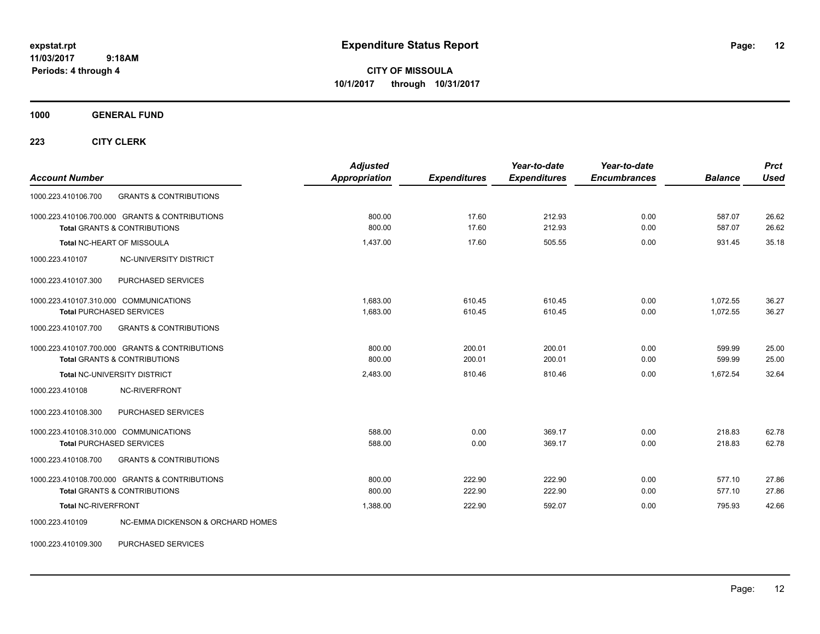**CITY OF MISSOULA 10/1/2017 through 10/31/2017**

**1000 GENERAL FUND**

**223 CITY CLERK**

| <b>Account Number</b>                                                                     | <b>Adjusted</b><br><b>Appropriation</b> | <b>Expenditures</b> | Year-to-date<br><b>Expenditures</b> | Year-to-date<br><b>Encumbrances</b> | <b>Balance</b>   | <b>Prct</b><br><b>Used</b> |
|-------------------------------------------------------------------------------------------|-----------------------------------------|---------------------|-------------------------------------|-------------------------------------|------------------|----------------------------|
| 1000.223.410106.700<br><b>GRANTS &amp; CONTRIBUTIONS</b>                                  |                                         |                     |                                     |                                     |                  |                            |
| 1000.223.410106.700.000 GRANTS & CONTRIBUTIONS<br><b>Total GRANTS &amp; CONTRIBUTIONS</b> | 800.00<br>800.00                        | 17.60<br>17.60      | 212.93<br>212.93                    | 0.00<br>0.00                        | 587.07<br>587.07 | 26.62<br>26.62             |
|                                                                                           |                                         |                     |                                     |                                     |                  |                            |
| Total NC-HEART OF MISSOULA                                                                | 1,437.00                                | 17.60               | 505.55                              | 0.00                                | 931.45           | 35.18                      |
| 1000.223.410107<br>NC-UNIVERSITY DISTRICT                                                 |                                         |                     |                                     |                                     |                  |                            |
| PURCHASED SERVICES<br>1000.223.410107.300                                                 |                                         |                     |                                     |                                     |                  |                            |
| 1000.223.410107.310.000 COMMUNICATIONS                                                    | 1,683.00                                | 610.45              | 610.45                              | 0.00                                | 1,072.55         | 36.27                      |
| <b>Total PURCHASED SERVICES</b>                                                           | 1,683.00                                | 610.45              | 610.45                              | 0.00                                | 1,072.55         | 36.27                      |
| 1000.223.410107.700<br><b>GRANTS &amp; CONTRIBUTIONS</b>                                  |                                         |                     |                                     |                                     |                  |                            |
| 1000.223.410107.700.000 GRANTS & CONTRIBUTIONS                                            | 800.00                                  | 200.01              | 200.01                              | 0.00                                | 599.99           | 25.00                      |
| <b>Total GRANTS &amp; CONTRIBUTIONS</b>                                                   | 800.00                                  | 200.01              | 200.01                              | 0.00                                | 599.99           | 25.00                      |
| <b>Total NC-UNIVERSITY DISTRICT</b>                                                       | 2,483.00                                | 810.46              | 810.46                              | 0.00                                | 1,672.54         | 32.64                      |
| NC-RIVERFRONT<br>1000.223.410108                                                          |                                         |                     |                                     |                                     |                  |                            |
| PURCHASED SERVICES<br>1000.223.410108.300                                                 |                                         |                     |                                     |                                     |                  |                            |
| 1000.223.410108.310.000 COMMUNICATIONS                                                    | 588.00                                  | 0.00                | 369.17                              | 0.00                                | 218.83           | 62.78                      |
| <b>Total PURCHASED SERVICES</b>                                                           | 588.00                                  | 0.00                | 369.17                              | 0.00                                | 218.83           | 62.78                      |
| <b>GRANTS &amp; CONTRIBUTIONS</b><br>1000.223.410108.700                                  |                                         |                     |                                     |                                     |                  |                            |
| 1000.223.410108.700.000 GRANTS & CONTRIBUTIONS                                            | 800.00                                  | 222.90              | 222.90                              | 0.00                                | 577.10           | 27.86                      |
| <b>Total GRANTS &amp; CONTRIBUTIONS</b>                                                   | 800.00                                  | 222.90              | 222.90                              | 0.00                                | 577.10           | 27.86                      |
| <b>Total NC-RIVERFRONT</b>                                                                | 1,388.00                                | 222.90              | 592.07                              | 0.00                                | 795.93           | 42.66                      |
| <b>NC-EMMA DICKENSON &amp; ORCHARD HOMES</b><br>1000.223.410109                           |                                         |                     |                                     |                                     |                  |                            |

1000.223.410109.300 PURCHASED SERVICES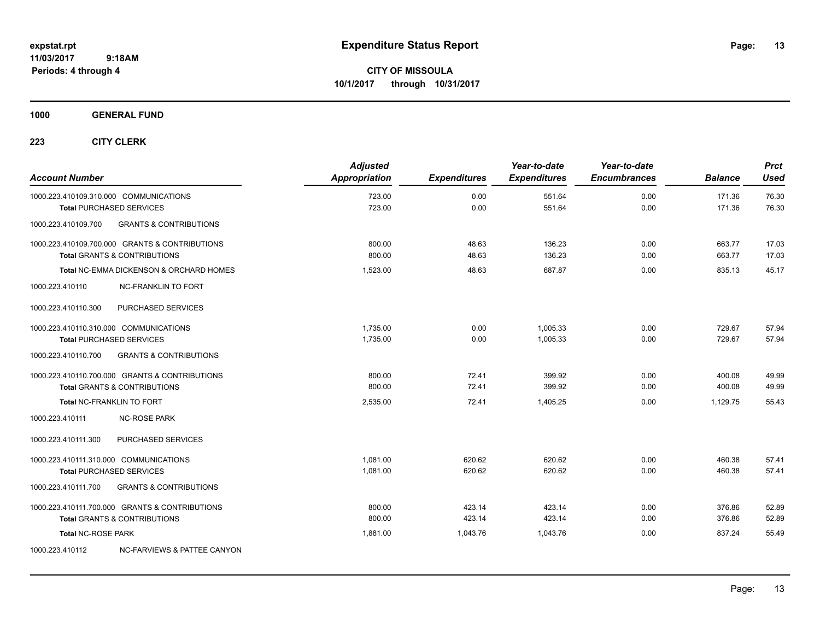**CITY OF MISSOULA 10/1/2017 through 10/31/2017**

**1000 GENERAL FUND**

| <b>Account Number</b>                                     | <b>Adjusted</b><br><b>Appropriation</b> | <b>Expenditures</b> | Year-to-date<br><b>Expenditures</b> | Year-to-date<br><b>Encumbrances</b> | <b>Balance</b> | <b>Prct</b><br><b>Used</b> |
|-----------------------------------------------------------|-----------------------------------------|---------------------|-------------------------------------|-------------------------------------|----------------|----------------------------|
| 1000.223.410109.310.000 COMMUNICATIONS                    | 723.00                                  | 0.00                | 551.64                              | 0.00                                | 171.36         | 76.30                      |
| <b>Total PURCHASED SERVICES</b>                           | 723.00                                  | 0.00                | 551.64                              | 0.00                                | 171.36         | 76.30                      |
| <b>GRANTS &amp; CONTRIBUTIONS</b><br>1000.223.410109.700  |                                         |                     |                                     |                                     |                |                            |
| 1000.223.410109.700.000 GRANTS & CONTRIBUTIONS            | 800.00                                  | 48.63               | 136.23                              | 0.00                                | 663.77         | 17.03                      |
| <b>Total GRANTS &amp; CONTRIBUTIONS</b>                   | 800.00                                  | 48.63               | 136.23                              | 0.00                                | 663.77         | 17.03                      |
| <b>Total NC-EMMA DICKENSON &amp; ORCHARD HOMES</b>        | 1,523.00                                | 48.63               | 687.87                              | 0.00                                | 835.13         | 45.17                      |
| 1000.223.410110<br><b>NC-FRANKLIN TO FORT</b>             |                                         |                     |                                     |                                     |                |                            |
| 1000.223.410110.300<br>PURCHASED SERVICES                 |                                         |                     |                                     |                                     |                |                            |
| 1000.223.410110.310.000 COMMUNICATIONS                    | 1.735.00                                | 0.00                | 1.005.33                            | 0.00                                | 729.67         | 57.94                      |
| <b>Total PURCHASED SERVICES</b>                           | 1.735.00                                | 0.00                | 1.005.33                            | 0.00                                | 729.67         | 57.94                      |
| 1000.223.410110.700<br><b>GRANTS &amp; CONTRIBUTIONS</b>  |                                         |                     |                                     |                                     |                |                            |
| 1000.223.410110.700.000 GRANTS & CONTRIBUTIONS            | 800.00                                  | 72.41               | 399.92                              | 0.00                                | 400.08         | 49.99                      |
| <b>Total GRANTS &amp; CONTRIBUTIONS</b>                   | 800.00                                  | 72.41               | 399.92                              | 0.00                                | 400.08         | 49.99                      |
| Total NC-FRANKLIN TO FORT                                 | 2,535.00                                | 72.41               | 1,405.25                            | 0.00                                | 1,129.75       | 55.43                      |
| 1000.223.410111<br><b>NC-ROSE PARK</b>                    |                                         |                     |                                     |                                     |                |                            |
| PURCHASED SERVICES<br>1000.223.410111.300                 |                                         |                     |                                     |                                     |                |                            |
| 1000.223.410111.310.000 COMMUNICATIONS                    | 1,081.00                                | 620.62              | 620.62                              | 0.00                                | 460.38         | 57.41                      |
| <b>Total PURCHASED SERVICES</b>                           | 1,081.00                                | 620.62              | 620.62                              | 0.00                                | 460.38         | 57.41                      |
| 1000.223.410111.700<br><b>GRANTS &amp; CONTRIBUTIONS</b>  |                                         |                     |                                     |                                     |                |                            |
| 1000.223.410111.700.000 GRANTS & CONTRIBUTIONS            | 800.00                                  | 423.14              | 423.14                              | 0.00                                | 376.86         | 52.89                      |
| <b>Total GRANTS &amp; CONTRIBUTIONS</b>                   | 800.00                                  | 423.14              | 423.14                              | 0.00                                | 376.86         | 52.89                      |
| <b>Total NC-ROSE PARK</b>                                 | 1,881.00                                | 1,043.76            | 1,043.76                            | 0.00                                | 837.24         | 55.49                      |
| 1000.223.410112<br><b>NC-FARVIEWS &amp; PATTEE CANYON</b> |                                         |                     |                                     |                                     |                |                            |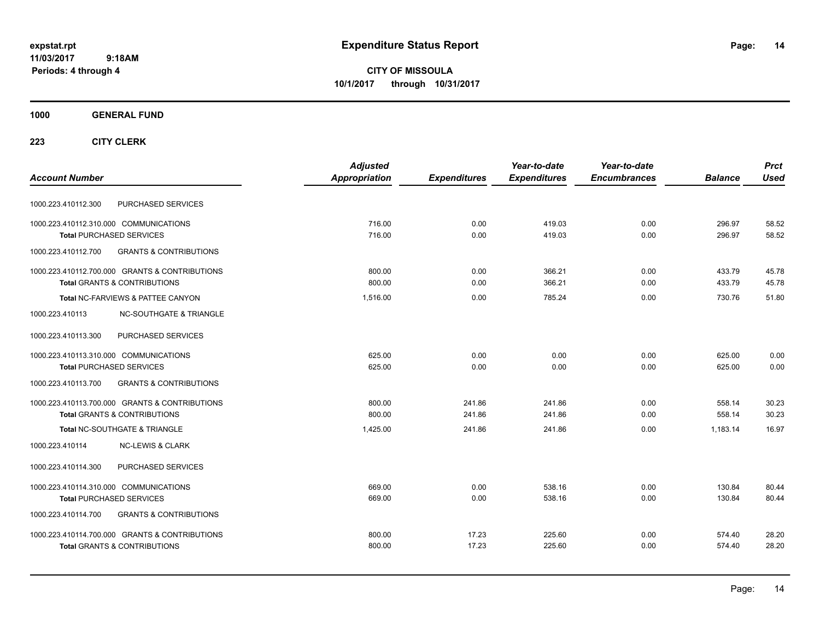**CITY OF MISSOULA 10/1/2017 through 10/31/2017**

## **1000 GENERAL FUND**

|                                                          | <b>Adjusted</b> |                     | Year-to-date        | Year-to-date        |                | <b>Prct</b> |
|----------------------------------------------------------|-----------------|---------------------|---------------------|---------------------|----------------|-------------|
| <b>Account Number</b>                                    | Appropriation   | <b>Expenditures</b> | <b>Expenditures</b> | <b>Encumbrances</b> | <b>Balance</b> | <b>Used</b> |
| PURCHASED SERVICES<br>1000.223.410112.300                |                 |                     |                     |                     |                |             |
| 1000.223.410112.310.000 COMMUNICATIONS                   | 716.00          | 0.00                | 419.03              | 0.00                | 296.97         | 58.52       |
| <b>Total PURCHASED SERVICES</b>                          | 716.00          | 0.00                | 419.03              | 0.00                | 296.97         | 58.52       |
| <b>GRANTS &amp; CONTRIBUTIONS</b><br>1000.223.410112.700 |                 |                     |                     |                     |                |             |
| 1000.223.410112.700.000 GRANTS & CONTRIBUTIONS           | 800.00          | 0.00                | 366.21              | 0.00                | 433.79         | 45.78       |
| <b>Total GRANTS &amp; CONTRIBUTIONS</b>                  | 800.00          | 0.00                | 366.21              | 0.00                | 433.79         | 45.78       |
| Total NC-FARVIEWS & PATTEE CANYON                        | 1,516.00        | 0.00                | 785.24              | 0.00                | 730.76         | 51.80       |
| <b>NC-SOUTHGATE &amp; TRIANGLE</b><br>1000.223.410113    |                 |                     |                     |                     |                |             |
| 1000.223.410113.300<br>PURCHASED SERVICES                |                 |                     |                     |                     |                |             |
| 1000.223.410113.310.000 COMMUNICATIONS                   | 625.00          | 0.00                | 0.00                | 0.00                | 625.00         | 0.00        |
| <b>Total PURCHASED SERVICES</b>                          | 625.00          | 0.00                | 0.00                | 0.00                | 625.00         | 0.00        |
| 1000.223.410113.700<br><b>GRANTS &amp; CONTRIBUTIONS</b> |                 |                     |                     |                     |                |             |
| 1000.223.410113.700.000 GRANTS & CONTRIBUTIONS           | 800.00          | 241.86              | 241.86              | 0.00                | 558.14         | 30.23       |
| <b>Total GRANTS &amp; CONTRIBUTIONS</b>                  | 800.00          | 241.86              | 241.86              | 0.00                | 558.14         | 30.23       |
| <b>Total NC-SOUTHGATE &amp; TRIANGLE</b>                 | 1,425.00        | 241.86              | 241.86              | 0.00                | 1,183.14       | 16.97       |
| 1000.223.410114<br><b>NC-LEWIS &amp; CLARK</b>           |                 |                     |                     |                     |                |             |
| PURCHASED SERVICES<br>1000.223.410114.300                |                 |                     |                     |                     |                |             |
| 1000.223.410114.310.000 COMMUNICATIONS                   | 669.00          | 0.00                | 538.16              | 0.00                | 130.84         | 80.44       |
| Total PURCHASED SERVICES                                 | 669.00          | 0.00                | 538.16              | 0.00                | 130.84         | 80.44       |
| <b>GRANTS &amp; CONTRIBUTIONS</b><br>1000.223.410114.700 |                 |                     |                     |                     |                |             |
| 1000.223.410114.700.000 GRANTS & CONTRIBUTIONS           | 800.00          | 17.23               | 225.60              | 0.00                | 574.40         | 28.20       |
| <b>Total GRANTS &amp; CONTRIBUTIONS</b>                  | 800.00          | 17.23               | 225.60              | 0.00                | 574.40         | 28.20       |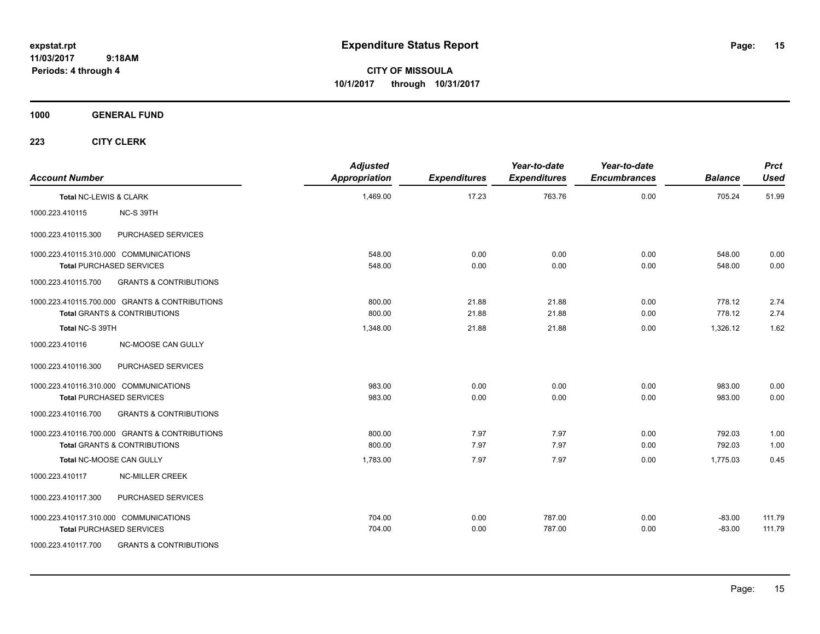**CITY OF MISSOULA 10/1/2017 through 10/31/2017**

## **1000 GENERAL FUND**

| <b>Account Number</b>                  |                                                | <b>Adjusted</b><br><b>Appropriation</b> | <b>Expenditures</b> | Year-to-date<br><b>Expenditures</b> | Year-to-date<br><b>Encumbrances</b> | <b>Balance</b> | <b>Prct</b><br><b>Used</b> |
|----------------------------------------|------------------------------------------------|-----------------------------------------|---------------------|-------------------------------------|-------------------------------------|----------------|----------------------------|
| Total NC-LEWIS & CLARK                 |                                                | 1,469.00                                | 17.23               | 763.76                              | 0.00                                | 705.24         | 51.99                      |
| 1000.223.410115                        | NC-S 39TH                                      |                                         |                     |                                     |                                     |                |                            |
| 1000.223.410115.300                    | PURCHASED SERVICES                             |                                         |                     |                                     |                                     |                |                            |
|                                        | 1000.223.410115.310.000 COMMUNICATIONS         | 548.00                                  | 0.00                | 0.00                                | 0.00                                | 548.00         | 0.00                       |
|                                        | <b>Total PURCHASED SERVICES</b>                | 548.00                                  | 0.00                | 0.00                                | 0.00                                | 548.00         | 0.00                       |
| 1000.223.410115.700                    | <b>GRANTS &amp; CONTRIBUTIONS</b>              |                                         |                     |                                     |                                     |                |                            |
|                                        | 1000.223.410115.700.000 GRANTS & CONTRIBUTIONS | 800.00                                  | 21.88               | 21.88                               | 0.00                                | 778.12         | 2.74                       |
|                                        | <b>Total GRANTS &amp; CONTRIBUTIONS</b>        | 800.00                                  | 21.88               | 21.88                               | 0.00                                | 778.12         | 2.74                       |
| Total NC-S 39TH                        |                                                | 1,348.00                                | 21.88               | 21.88                               | 0.00                                | 1,326.12       | 1.62                       |
| 1000.223.410116                        | NC-MOOSE CAN GULLY                             |                                         |                     |                                     |                                     |                |                            |
| 1000.223.410116.300                    | PURCHASED SERVICES                             |                                         |                     |                                     |                                     |                |                            |
| 1000.223.410116.310.000 COMMUNICATIONS |                                                | 983.00                                  | 0.00                | 0.00                                | 0.00                                | 983.00         | 0.00                       |
|                                        | <b>Total PURCHASED SERVICES</b>                | 983.00                                  | 0.00                | 0.00                                | 0.00                                | 983.00         | 0.00                       |
| 1000.223.410116.700                    | <b>GRANTS &amp; CONTRIBUTIONS</b>              |                                         |                     |                                     |                                     |                |                            |
|                                        | 1000.223.410116.700.000 GRANTS & CONTRIBUTIONS | 800.00                                  | 7.97                | 7.97                                | 0.00                                | 792.03         | 1.00                       |
|                                        | <b>Total GRANTS &amp; CONTRIBUTIONS</b>        | 800.00                                  | 7.97                | 7.97                                | 0.00                                | 792.03         | 1.00                       |
|                                        | Total NC-MOOSE CAN GULLY                       | 1,783.00                                | 7.97                | 7.97                                | 0.00                                | 1,775.03       | 0.45                       |
| 1000.223.410117                        | <b>NC-MILLER CREEK</b>                         |                                         |                     |                                     |                                     |                |                            |
| 1000.223.410117.300                    | PURCHASED SERVICES                             |                                         |                     |                                     |                                     |                |                            |
|                                        | 1000.223.410117.310.000 COMMUNICATIONS         | 704.00                                  | 0.00                | 787.00                              | 0.00                                | $-83.00$       | 111.79                     |
|                                        | <b>Total PURCHASED SERVICES</b>                | 704.00                                  | 0.00                | 787.00                              | 0.00                                | $-83.00$       | 111.79                     |
| 1000.223.410117.700                    | <b>GRANTS &amp; CONTRIBUTIONS</b>              |                                         |                     |                                     |                                     |                |                            |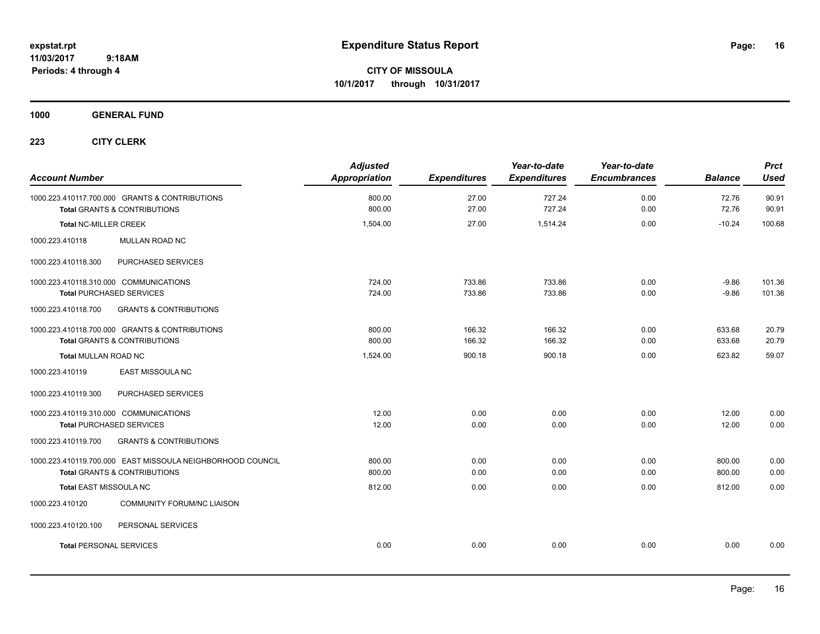**CITY OF MISSOULA 10/1/2017 through 10/31/2017**

**1000 GENERAL FUND**

| <b>Account Number</b>                                                                                 | <b>Adjusted</b><br><b>Appropriation</b> | <b>Expenditures</b> | Year-to-date<br><b>Expenditures</b> | Year-to-date<br><b>Encumbrances</b> | <b>Balance</b>     | <b>Prct</b><br><b>Used</b> |
|-------------------------------------------------------------------------------------------------------|-----------------------------------------|---------------------|-------------------------------------|-------------------------------------|--------------------|----------------------------|
| 1000.223.410117.700.000 GRANTS & CONTRIBUTIONS<br><b>Total GRANTS &amp; CONTRIBUTIONS</b>             | 800.00<br>800.00                        | 27.00<br>27.00      | 727.24<br>727.24                    | 0.00<br>0.00                        | 72.76<br>72.76     | 90.91<br>90.91             |
| <b>Total NC-MILLER CREEK</b>                                                                          | 1,504.00                                | 27.00               | 1,514.24                            | 0.00                                | $-10.24$           | 100.68                     |
| 1000.223.410118<br>MULLAN ROAD NC                                                                     |                                         |                     |                                     |                                     |                    |                            |
| 1000.223.410118.300<br>PURCHASED SERVICES                                                             |                                         |                     |                                     |                                     |                    |                            |
| 1000.223.410118.310.000 COMMUNICATIONS<br><b>Total PURCHASED SERVICES</b>                             | 724.00<br>724.00                        | 733.86<br>733.86    | 733.86<br>733.86                    | 0.00<br>0.00                        | $-9.86$<br>$-9.86$ | 101.36<br>101.36           |
| <b>GRANTS &amp; CONTRIBUTIONS</b><br>1000.223.410118.700                                              |                                         |                     |                                     |                                     |                    |                            |
| 1000.223.410118.700.000 GRANTS & CONTRIBUTIONS<br><b>Total GRANTS &amp; CONTRIBUTIONS</b>             | 800.00<br>800.00                        | 166.32<br>166.32    | 166.32<br>166.32                    | 0.00<br>0.00                        | 633.68<br>633.68   | 20.79<br>20.79             |
| <b>Total MULLAN ROAD NC</b>                                                                           | 1,524.00                                | 900.18              | 900.18                              | 0.00                                | 623.82             | 59.07                      |
| <b>EAST MISSOULA NC</b><br>1000.223.410119                                                            |                                         |                     |                                     |                                     |                    |                            |
| PURCHASED SERVICES<br>1000.223.410119.300                                                             |                                         |                     |                                     |                                     |                    |                            |
| 1000.223.410119.310.000 COMMUNICATIONS<br><b>Total PURCHASED SERVICES</b>                             | 12.00<br>12.00                          | 0.00<br>0.00        | 0.00<br>0.00                        | 0.00<br>0.00                        | 12.00<br>12.00     | 0.00<br>0.00               |
| <b>GRANTS &amp; CONTRIBUTIONS</b><br>1000.223.410119.700                                              |                                         |                     |                                     |                                     |                    |                            |
| 1000.223.410119.700.000 EAST MISSOULA NEIGHBORHOOD COUNCIL<br><b>Total GRANTS &amp; CONTRIBUTIONS</b> | 800.00<br>800.00                        | 0.00<br>0.00        | 0.00<br>0.00                        | 0.00<br>0.00                        | 800.00<br>800.00   | 0.00<br>0.00               |
| <b>Total EAST MISSOULA NC</b>                                                                         | 812.00                                  | 0.00                | 0.00                                | 0.00                                | 812.00             | 0.00                       |
| <b>COMMUNITY FORUM/NC LIAISON</b><br>1000.223.410120                                                  |                                         |                     |                                     |                                     |                    |                            |
| PERSONAL SERVICES<br>1000.223.410120.100                                                              |                                         |                     |                                     |                                     |                    |                            |
| <b>Total PERSONAL SERVICES</b>                                                                        | 0.00                                    | 0.00                | 0.00                                | 0.00                                | 0.00               | 0.00                       |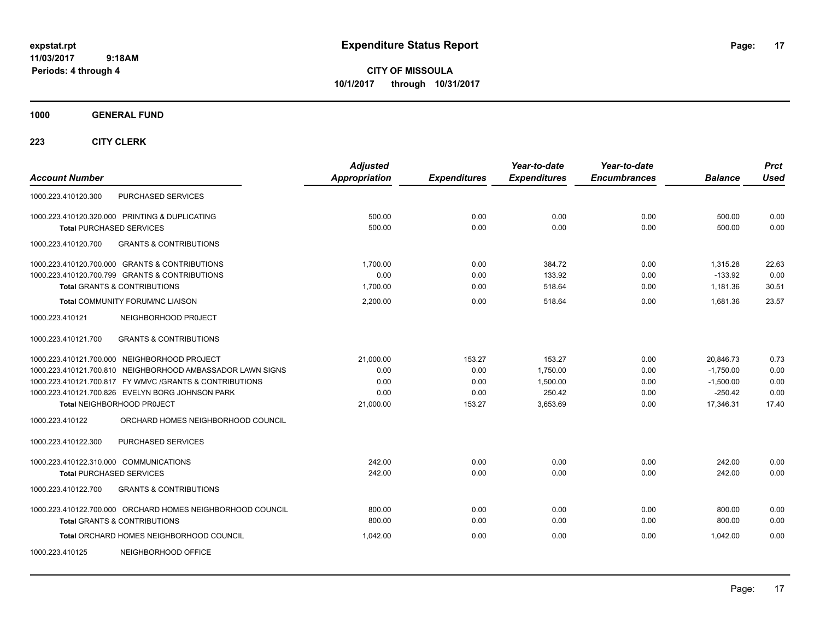**CITY OF MISSOULA 10/1/2017 through 10/31/2017**

**1000 GENERAL FUND**

| <b>Account Number</b>                                      | <b>Adjusted</b><br>Appropriation | <b>Expenditures</b> | Year-to-date<br><b>Expenditures</b> | Year-to-date<br><b>Encumbrances</b> | <b>Balance</b> | <b>Prct</b><br><b>Used</b> |
|------------------------------------------------------------|----------------------------------|---------------------|-------------------------------------|-------------------------------------|----------------|----------------------------|
| PURCHASED SERVICES<br>1000.223.410120.300                  |                                  |                     |                                     |                                     |                |                            |
| 1000.223.410120.320.000 PRINTING & DUPLICATING             | 500.00                           | 0.00                | 0.00                                | 0.00                                | 500.00         | 0.00                       |
| <b>Total PURCHASED SERVICES</b>                            | 500.00                           | 0.00                | 0.00                                | 0.00                                | 500.00         | 0.00                       |
| <b>GRANTS &amp; CONTRIBUTIONS</b><br>1000.223.410120.700   |                                  |                     |                                     |                                     |                |                            |
| 1000.223.410120.700.000 GRANTS & CONTRIBUTIONS             | 1.700.00                         | 0.00                | 384.72                              | 0.00                                | 1.315.28       | 22.63                      |
| 1000.223.410120.700.799 GRANTS & CONTRIBUTIONS             | 0.00                             | 0.00                | 133.92                              | 0.00                                | $-133.92$      | 0.00                       |
| <b>Total GRANTS &amp; CONTRIBUTIONS</b>                    | 1,700.00                         | 0.00                | 518.64                              | 0.00                                | 1,181.36       | 30.51                      |
| <b>Total COMMUNITY FORUM/NC LIAISON</b>                    | 2,200.00                         | 0.00                | 518.64                              | 0.00                                | 1.681.36       | 23.57                      |
| 1000.223.410121<br>NEIGHBORHOOD PROJECT                    |                                  |                     |                                     |                                     |                |                            |
| <b>GRANTS &amp; CONTRIBUTIONS</b><br>1000.223.410121.700   |                                  |                     |                                     |                                     |                |                            |
| 1000.223.410121.700.000 NEIGHBORHOOD PROJECT               | 21.000.00                        | 153.27              | 153.27                              | 0.00                                | 20.846.73      | 0.73                       |
| 1000.223.410121.700.810 NEIGHBORHOOD AMBASSADOR LAWN SIGNS | 0.00                             | 0.00                | 1,750.00                            | 0.00                                | $-1,750.00$    | 0.00                       |
| 1000.223.410121.700.817 FY WMVC / GRANTS & CONTRIBUTIONS   | 0.00                             | 0.00                | 1,500.00                            | 0.00                                | $-1,500.00$    | 0.00                       |
| 1000.223.410121.700.826 EVELYN BORG JOHNSON PARK           | 0.00                             | 0.00                | 250.42                              | 0.00                                | $-250.42$      | 0.00                       |
| Total NEIGHBORHOOD PROJECT                                 | 21,000.00                        | 153.27              | 3,653.69                            | 0.00                                | 17,346.31      | 17.40                      |
| 1000.223.410122<br>ORCHARD HOMES NEIGHBORHOOD COUNCIL      |                                  |                     |                                     |                                     |                |                            |
| PURCHASED SERVICES<br>1000.223.410122.300                  |                                  |                     |                                     |                                     |                |                            |
| 1000.223.410122.310.000 COMMUNICATIONS                     | 242.00                           | 0.00                | 0.00                                | 0.00                                | 242.00         | 0.00                       |
| <b>Total PURCHASED SERVICES</b>                            | 242.00                           | 0.00                | 0.00                                | 0.00                                | 242.00         | 0.00                       |
| 1000.223.410122.700<br><b>GRANTS &amp; CONTRIBUTIONS</b>   |                                  |                     |                                     |                                     |                |                            |
| 1000.223.410122.700.000 ORCHARD HOMES NEIGHBORHOOD COUNCIL | 800.00                           | 0.00                | 0.00                                | 0.00                                | 800.00         | 0.00                       |
| <b>Total GRANTS &amp; CONTRIBUTIONS</b>                    | 800.00                           | 0.00                | 0.00                                | 0.00                                | 800.00         | 0.00                       |
| Total ORCHARD HOMES NEIGHBORHOOD COUNCIL                   | 1,042.00                         | 0.00                | 0.00                                | 0.00                                | 1.042.00       | 0.00                       |
| NEIGHBORHOOD OFFICE<br>1000.223.410125                     |                                  |                     |                                     |                                     |                |                            |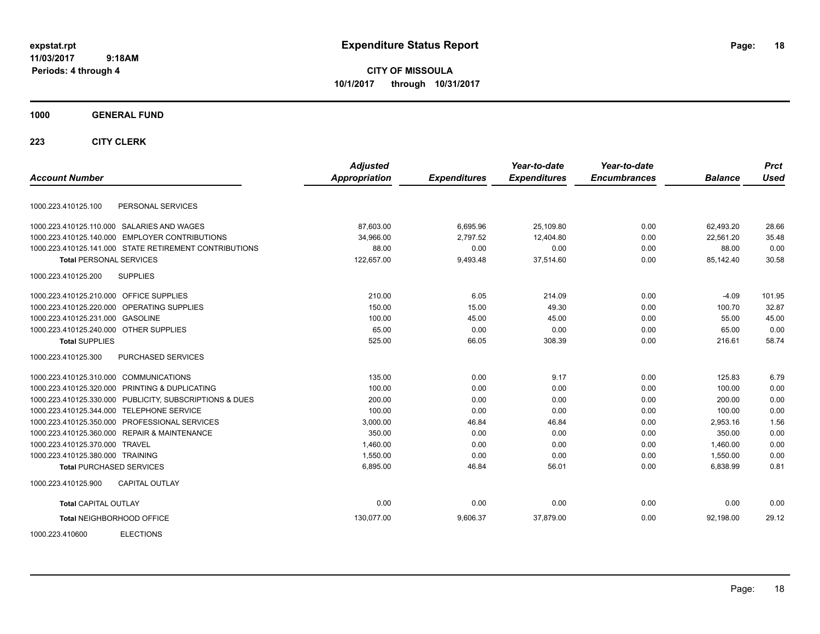**CITY OF MISSOULA 10/1/2017 through 10/31/2017**

## **1000 GENERAL FUND**

|                                         |                                                        | <b>Adjusted</b> |                     | Year-to-date        | Year-to-date        |                | <b>Prct</b> |
|-----------------------------------------|--------------------------------------------------------|-----------------|---------------------|---------------------|---------------------|----------------|-------------|
| <b>Account Number</b>                   |                                                        | Appropriation   | <b>Expenditures</b> | <b>Expenditures</b> | <b>Encumbrances</b> | <b>Balance</b> | Used        |
| 1000.223.410125.100                     | PERSONAL SERVICES                                      |                 |                     |                     |                     |                |             |
|                                         | 1000.223.410125.110.000 SALARIES AND WAGES             | 87,603.00       | 6,695.96            | 25,109.80           | 0.00                | 62,493.20      | 28.66       |
|                                         | 1000.223.410125.140.000 EMPLOYER CONTRIBUTIONS         | 34.966.00       | 2.797.52            | 12.404.80           | 0.00                | 22.561.20      | 35.48       |
|                                         | 1000.223.410125.141.000 STATE RETIREMENT CONTRIBUTIONS | 88.00           | 0.00                | 0.00                | 0.00                | 88.00          | 0.00        |
| <b>Total PERSONAL SERVICES</b>          |                                                        | 122,657.00      | 9,493.48            | 37,514.60           | 0.00                | 85,142.40      | 30.58       |
| 1000.223.410125.200                     | <b>SUPPLIES</b>                                        |                 |                     |                     |                     |                |             |
| 1000.223.410125.210.000 OFFICE SUPPLIES |                                                        | 210.00          | 6.05                | 214.09              | 0.00                | $-4.09$        | 101.95      |
|                                         | 1000.223.410125.220.000 OPERATING SUPPLIES             | 150.00          | 15.00               | 49.30               | 0.00                | 100.70         | 32.87       |
| 1000.223.410125.231.000 GASOLINE        |                                                        | 100.00          | 45.00               | 45.00               | 0.00                | 55.00          | 45.00       |
| 1000.223.410125.240.000 OTHER SUPPLIES  |                                                        | 65.00           | 0.00                | 0.00                | 0.00                | 65.00          | 0.00        |
| <b>Total SUPPLIES</b>                   |                                                        | 525.00          | 66.05               | 308.39              | 0.00                | 216.61         | 58.74       |
| 1000.223.410125.300                     | PURCHASED SERVICES                                     |                 |                     |                     |                     |                |             |
| 1000.223.410125.310.000 COMMUNICATIONS  |                                                        | 135.00          | 0.00                | 9.17                | 0.00                | 125.83         | 6.79        |
| 1000.223.410125.320.000                 | <b>PRINTING &amp; DUPLICATING</b>                      | 100.00          | 0.00                | 0.00                | 0.00                | 100.00         | 0.00        |
| 1000.223.410125.330.000                 | PUBLICITY, SUBSCRIPTIONS & DUES                        | 200.00          | 0.00                | 0.00                | 0.00                | 200.00         | 0.00        |
| 1000.223.410125.344.000                 | <b>TELEPHONE SERVICE</b>                               | 100.00          | 0.00                | 0.00                | 0.00                | 100.00         | 0.00        |
| 1000.223.410125.350.000                 | PROFESSIONAL SERVICES                                  | 3,000.00        | 46.84               | 46.84               | 0.00                | 2,953.16       | 1.56        |
|                                         | 1000.223.410125.360.000 REPAIR & MAINTENANCE           | 350.00          | 0.00                | 0.00                | 0.00                | 350.00         | 0.00        |
| 1000.223.410125.370.000 TRAVEL          |                                                        | 1,460.00        | 0.00                | 0.00                | 0.00                | 1,460.00       | 0.00        |
| 1000.223.410125.380.000 TRAINING        |                                                        | 1,550.00        | 0.00                | 0.00                | 0.00                | 1,550.00       | 0.00        |
| <b>Total PURCHASED SERVICES</b>         |                                                        | 6,895.00        | 46.84               | 56.01               | 0.00                | 6,838.99       | 0.81        |
| 1000.223.410125.900                     | <b>CAPITAL OUTLAY</b>                                  |                 |                     |                     |                     |                |             |
| <b>Total CAPITAL OUTLAY</b>             |                                                        | 0.00            | 0.00                | 0.00                | 0.00                | 0.00           | 0.00        |
| <b>Total NEIGHBORHOOD OFFICE</b>        |                                                        | 130,077.00      | 9,606.37            | 37,879.00           | 0.00                | 92,198.00      | 29.12       |
| 1000.223.410600                         | <b>ELECTIONS</b>                                       |                 |                     |                     |                     |                |             |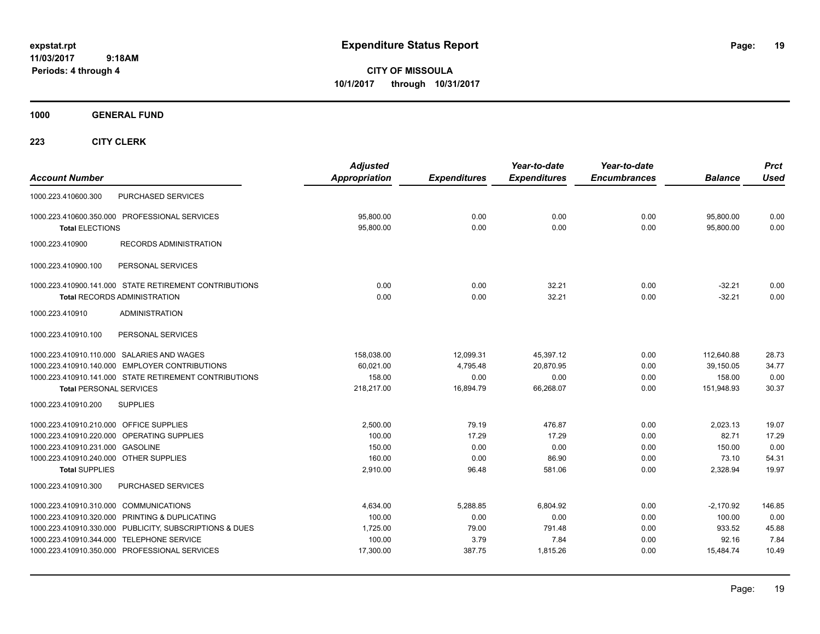**CITY OF MISSOULA 10/1/2017 through 10/31/2017**

**1000 GENERAL FUND**

| <b>Account Number</b>                                                                                                                          |                                                                                                                                                            | <b>Adjusted</b><br><b>Appropriation</b>               | <b>Expenditures</b>                         | Year-to-date<br><b>Expenditures</b>            | Year-to-date<br><b>Encumbrances</b>  | <b>Balance</b>                                        | <b>Prct</b><br><b>Used</b>               |
|------------------------------------------------------------------------------------------------------------------------------------------------|------------------------------------------------------------------------------------------------------------------------------------------------------------|-------------------------------------------------------|---------------------------------------------|------------------------------------------------|--------------------------------------|-------------------------------------------------------|------------------------------------------|
| 1000.223.410600.300                                                                                                                            | PURCHASED SERVICES                                                                                                                                         |                                                       |                                             |                                                |                                      |                                                       |                                          |
| <b>Total ELECTIONS</b>                                                                                                                         | 1000.223.410600.350.000 PROFESSIONAL SERVICES                                                                                                              | 95,800.00<br>95,800.00                                | 0.00<br>0.00                                | 0.00<br>0.00                                   | 0.00<br>0.00                         | 95,800.00<br>95,800.00                                | 0.00<br>0.00                             |
| 1000.223.410900                                                                                                                                | <b>RECORDS ADMINISTRATION</b>                                                                                                                              |                                                       |                                             |                                                |                                      |                                                       |                                          |
| 1000.223.410900.100                                                                                                                            | PERSONAL SERVICES                                                                                                                                          |                                                       |                                             |                                                |                                      |                                                       |                                          |
|                                                                                                                                                | 1000.223.410900.141.000 STATE RETIREMENT CONTRIBUTIONS<br><b>Total RECORDS ADMINISTRATION</b>                                                              | 0.00<br>0.00                                          | 0.00<br>0.00                                | 32.21<br>32.21                                 | 0.00<br>0.00                         | $-32.21$<br>$-32.21$                                  | 0.00<br>0.00                             |
| 1000.223.410910<br>1000.223.410910.100                                                                                                         | <b>ADMINISTRATION</b><br>PERSONAL SERVICES                                                                                                                 |                                                       |                                             |                                                |                                      |                                                       |                                          |
| <b>Total PERSONAL SERVICES</b>                                                                                                                 | 1000.223.410910.110.000 SALARIES AND WAGES<br>1000.223.410910.140.000 EMPLOYER CONTRIBUTIONS<br>1000.223.410910.141.000 STATE RETIREMENT CONTRIBUTIONS     | 158,038.00<br>60.021.00<br>158.00<br>218,217.00       | 12,099.31<br>4,795.48<br>0.00<br>16,894.79  | 45,397.12<br>20.870.95<br>0.00<br>66.268.07    | 0.00<br>0.00<br>0.00<br>0.00         | 112,640.88<br>39.150.05<br>158.00<br>151,948.93       | 28.73<br>34.77<br>0.00<br>30.37          |
| 1000.223.410910.200                                                                                                                            | <b>SUPPLIES</b>                                                                                                                                            |                                                       |                                             |                                                |                                      |                                                       |                                          |
| 1000.223.410910.210.000 OFFICE SUPPLIES<br>1000.223.410910.231.000 GASOLINE<br>1000.223.410910.240.000 OTHER SUPPLIES<br><b>Total SUPPLIES</b> | 1000.223.410910.220.000 OPERATING SUPPLIES                                                                                                                 | 2,500.00<br>100.00<br>150.00<br>160.00<br>2,910.00    | 79.19<br>17.29<br>0.00<br>0.00<br>96.48     | 476.87<br>17.29<br>0.00<br>86.90<br>581.06     | 0.00<br>0.00<br>0.00<br>0.00<br>0.00 | 2,023.13<br>82.71<br>150.00<br>73.10<br>2,328.94      | 19.07<br>17.29<br>0.00<br>54.31<br>19.97 |
| 1000.223.410910.300                                                                                                                            | PURCHASED SERVICES                                                                                                                                         |                                                       |                                             |                                                |                                      |                                                       |                                          |
| 1000.223.410910.310.000 COMMUNICATIONS<br>1000.223.410910.344.000 TELEPHONE SERVICE                                                            | 1000.223.410910.320.000 PRINTING & DUPLICATING<br>1000.223.410910.330.000 PUBLICITY, SUBSCRIPTIONS & DUES<br>1000.223.410910.350.000 PROFESSIONAL SERVICES | 4,634.00<br>100.00<br>1,725.00<br>100.00<br>17,300.00 | 5,288.85<br>0.00<br>79.00<br>3.79<br>387.75 | 6.804.92<br>0.00<br>791.48<br>7.84<br>1,815.26 | 0.00<br>0.00<br>0.00<br>0.00<br>0.00 | $-2,170.92$<br>100.00<br>933.52<br>92.16<br>15,484.74 | 146.85<br>0.00<br>45.88<br>7.84<br>10.49 |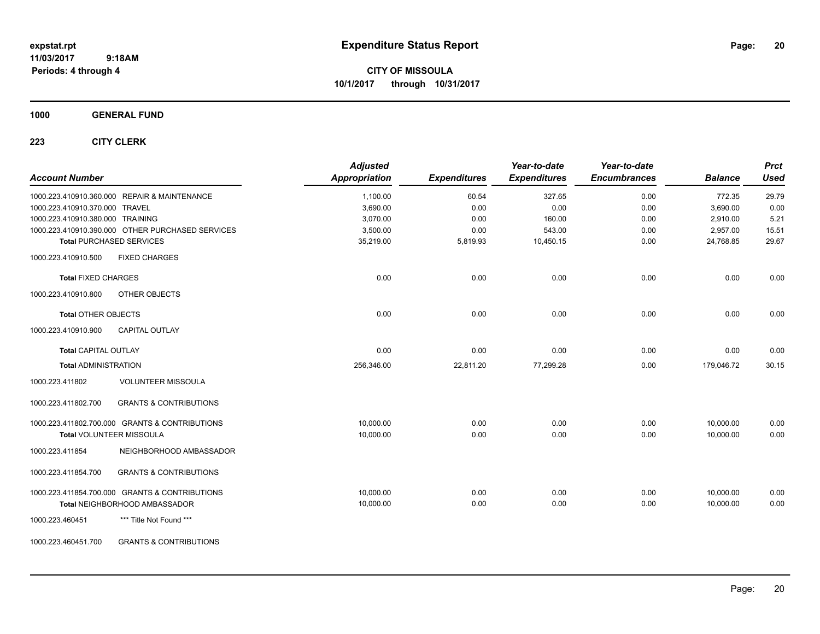**CITY OF MISSOULA 10/1/2017 through 10/31/2017**

**1000 GENERAL FUND**

| <b>Account Number</b>            |                                                  | <b>Adjusted</b><br><b>Appropriation</b> | <b>Expenditures</b> | Year-to-date<br><b>Expenditures</b> | Year-to-date<br><b>Encumbrances</b> | <b>Balance</b> | <b>Prct</b><br><b>Used</b> |
|----------------------------------|--------------------------------------------------|-----------------------------------------|---------------------|-------------------------------------|-------------------------------------|----------------|----------------------------|
|                                  | 1000.223.410910.360.000 REPAIR & MAINTENANCE     | 1,100.00                                | 60.54               | 327.65                              | 0.00                                | 772.35         | 29.79                      |
| 1000.223.410910.370.000 TRAVEL   |                                                  | 3,690.00                                | 0.00                | 0.00                                | 0.00                                | 3,690.00       | 0.00                       |
| 1000.223.410910.380.000 TRAINING |                                                  | 3,070.00                                | 0.00                | 160.00                              | 0.00                                | 2,910.00       | 5.21                       |
|                                  | 1000.223.410910.390.000 OTHER PURCHASED SERVICES | 3,500.00                                | 0.00                | 543.00                              | 0.00                                | 2,957.00       | 15.51                      |
|                                  | <b>Total PURCHASED SERVICES</b>                  | 35,219.00                               | 5,819.93            | 10,450.15                           | 0.00                                | 24,768.85      | 29.67                      |
| 1000.223.410910.500              | <b>FIXED CHARGES</b>                             |                                         |                     |                                     |                                     |                |                            |
| <b>Total FIXED CHARGES</b>       |                                                  | 0.00                                    | 0.00                | 0.00                                | 0.00                                | 0.00           | 0.00                       |
| 1000.223.410910.800              | OTHER OBJECTS                                    |                                         |                     |                                     |                                     |                |                            |
| <b>Total OTHER OBJECTS</b>       |                                                  | 0.00                                    | 0.00                | 0.00                                | 0.00                                | 0.00           | 0.00                       |
| 1000.223.410910.900              | <b>CAPITAL OUTLAY</b>                            |                                         |                     |                                     |                                     |                |                            |
| <b>Total CAPITAL OUTLAY</b>      |                                                  | 0.00                                    | 0.00                | 0.00                                | 0.00                                | 0.00           | 0.00                       |
| <b>Total ADMINISTRATION</b>      |                                                  | 256,346.00                              | 22,811.20           | 77,299.28                           | 0.00                                | 179,046.72     | 30.15                      |
| 1000.223.411802                  | <b>VOLUNTEER MISSOULA</b>                        |                                         |                     |                                     |                                     |                |                            |
| 1000.223.411802.700              | <b>GRANTS &amp; CONTRIBUTIONS</b>                |                                         |                     |                                     |                                     |                |                            |
|                                  | 1000.223.411802.700.000 GRANTS & CONTRIBUTIONS   | 10,000.00                               | 0.00                | 0.00                                | 0.00                                | 10,000.00      | 0.00                       |
|                                  | Total VOLUNTEER MISSOULA                         | 10,000.00                               | 0.00                | 0.00                                | 0.00                                | 10,000.00      | 0.00                       |
| 1000.223.411854                  | NEIGHBORHOOD AMBASSADOR                          |                                         |                     |                                     |                                     |                |                            |
| 1000.223.411854.700              | <b>GRANTS &amp; CONTRIBUTIONS</b>                |                                         |                     |                                     |                                     |                |                            |
|                                  | 1000.223.411854.700.000 GRANTS & CONTRIBUTIONS   | 10,000.00                               | 0.00                | 0.00                                | 0.00                                | 10,000.00      | 0.00                       |
|                                  | Total NEIGHBORHOOD AMBASSADOR                    | 10,000.00                               | 0.00                | 0.00                                | 0.00                                | 10,000.00      | 0.00                       |
| 1000.223.460451                  | *** Title Not Found ***                          |                                         |                     |                                     |                                     |                |                            |
| 1000.223.460451.700              | <b>GRANTS &amp; CONTRIBUTIONS</b>                |                                         |                     |                                     |                                     |                |                            |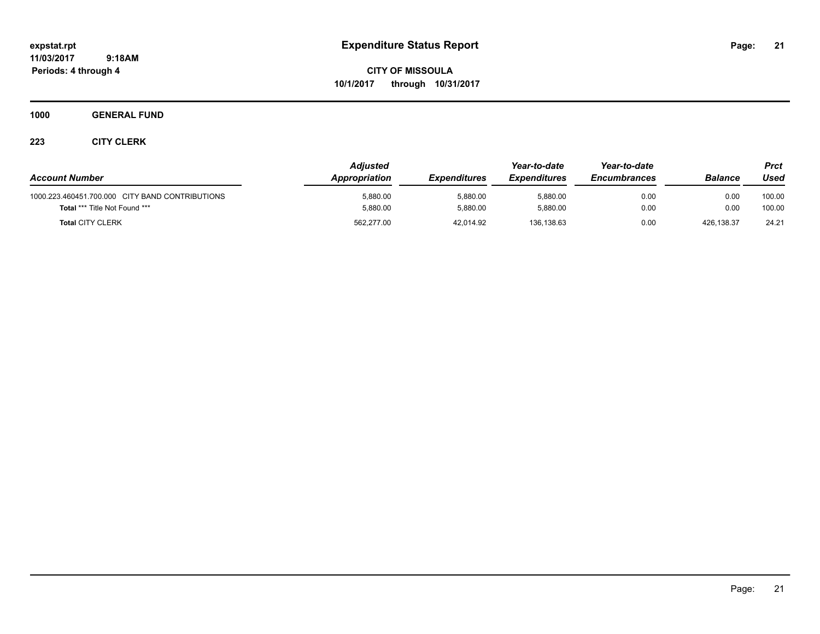**CITY OF MISSOULA 10/1/2017 through 10/31/2017**

**1000 GENERAL FUND**

| <b>Account Number</b>                           | Adjusted<br>Appropriation | <b>Expenditures</b> | Year-to-date<br><b>Expenditures</b> | Year-to-date<br><b>Encumbrances</b> | <b>Balance</b> | Prct<br>Used |
|-------------------------------------------------|---------------------------|---------------------|-------------------------------------|-------------------------------------|----------------|--------------|
| 1000.223.460451.700.000 CITY BAND CONTRIBUTIONS | 5.880.00                  | 5.880.00            | 5.880.00                            | 0.00                                | 0.00           | 100.00       |
| <b>Total *** Title Not Found ***</b>            | 5,880.00                  | 5,880.00            | 5.880.00                            | 0.00                                | 0.00           | 100.00       |
| <b>Total CITY CLERK</b>                         | 562,277.00                | 42,014.92           | 136,138.63                          | 0.00                                | 426,138.37     | 24.21        |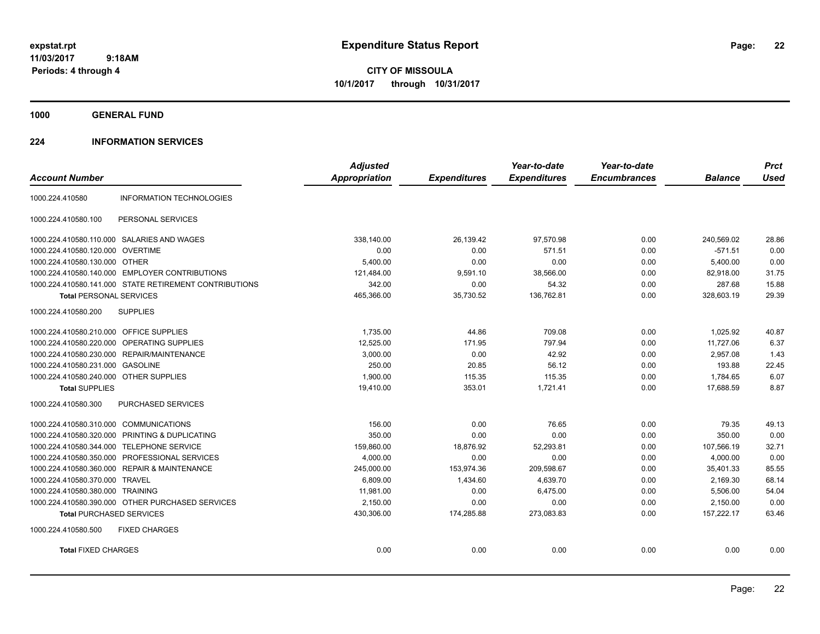**CITY OF MISSOULA 10/1/2017 through 10/31/2017**

**1000 GENERAL FUND**

## **224 INFORMATION SERVICES**

|                                                            | <b>Adjusted</b>      |                     | Year-to-date        | Year-to-date        |                | <b>Prct</b> |
|------------------------------------------------------------|----------------------|---------------------|---------------------|---------------------|----------------|-------------|
| <b>Account Number</b>                                      | <b>Appropriation</b> | <b>Expenditures</b> | <b>Expenditures</b> | <b>Encumbrances</b> | <b>Balance</b> | <b>Used</b> |
| <b>INFORMATION TECHNOLOGIES</b><br>1000.224.410580         |                      |                     |                     |                     |                |             |
| 1000.224.410580.100<br>PERSONAL SERVICES                   |                      |                     |                     |                     |                |             |
| 1000.224.410580.110.000 SALARIES AND WAGES                 | 338,140.00           | 26,139.42           | 97,570.98           | 0.00                | 240,569.02     | 28.86       |
| 1000.224.410580.120.000 OVERTIME                           | 0.00                 | 0.00                | 571.51              | 0.00                | $-571.51$      | 0.00        |
| 1000.224.410580.130.000 OTHER                              | 5,400.00             | 0.00                | 0.00                | 0.00                | 5,400.00       | 0.00        |
| 1000.224.410580.140.000 EMPLOYER CONTRIBUTIONS             | 121,484.00           | 9,591.10            | 38,566.00           | 0.00                | 82,918.00      | 31.75       |
| 1000.224.410580.141.000 STATE RETIREMENT CONTRIBUTIONS     | 342.00               | 0.00                | 54.32               | 0.00                | 287.68         | 15.88       |
| <b>Total PERSONAL SERVICES</b>                             | 465,366.00           | 35,730.52           | 136,762.81          | 0.00                | 328,603.19     | 29.39       |
| 1000.224.410580.200<br><b>SUPPLIES</b>                     |                      |                     |                     |                     |                |             |
| 1000.224.410580.210.000 OFFICE SUPPLIES                    | 1,735.00             | 44.86               | 709.08              | 0.00                | 1,025.92       | 40.87       |
| 1000.224.410580.220.000 OPERATING SUPPLIES                 | 12,525.00            | 171.95              | 797.94              | 0.00                | 11,727.06      | 6.37        |
| 1000.224.410580.230.000 REPAIR/MAINTENANCE                 | 3,000.00             | 0.00                | 42.92               | 0.00                | 2,957.08       | 1.43        |
| 1000.224.410580.231.000<br><b>GASOLINE</b>                 | 250.00               | 20.85               | 56.12               | 0.00                | 193.88         | 22.45       |
| 1000.224.410580.240.000 OTHER SUPPLIES                     | 1,900.00             | 115.35              | 115.35              | 0.00                | 1,784.65       | 6.07        |
| <b>Total SUPPLIES</b>                                      | 19,410.00            | 353.01              | 1,721.41            | 0.00                | 17,688.59      | 8.87        |
| 1000.224.410580.300<br><b>PURCHASED SERVICES</b>           |                      |                     |                     |                     |                |             |
| 1000.224.410580.310.000 COMMUNICATIONS                     | 156.00               | 0.00                | 76.65               | 0.00                | 79.35          | 49.13       |
| 1000.224.410580.320.000 PRINTING & DUPLICATING             | 350.00               | 0.00                | 0.00                | 0.00                | 350.00         | 0.00        |
| 1000.224.410580.344.000 TELEPHONE SERVICE                  | 159,860.00           | 18,876.92           | 52,293.81           | 0.00                | 107,566.19     | 32.71       |
| 1000.224.410580.350.000 PROFESSIONAL SERVICES              | 4.000.00             | 0.00                | 0.00                | 0.00                | 4.000.00       | 0.00        |
| <b>REPAIR &amp; MAINTENANCE</b><br>1000.224.410580.360.000 | 245,000.00           | 153,974.36          | 209,598.67          | 0.00                | 35,401.33      | 85.55       |
| 1000.224.410580.370.000<br><b>TRAVEL</b>                   | 6.809.00             | 1,434.60            | 4,639.70            | 0.00                | 2,169.30       | 68.14       |
| 1000.224.410580.380.000 TRAINING                           | 11,981.00            | 0.00                | 6,475.00            | 0.00                | 5,506.00       | 54.04       |
| 1000.224.410580.390.000 OTHER PURCHASED SERVICES           | 2,150.00             | 0.00                | 0.00                | 0.00                | 2,150.00       | 0.00        |
| <b>Total PURCHASED SERVICES</b>                            | 430,306.00           | 174,285.88          | 273,083.83          | 0.00                | 157,222.17     | 63.46       |
| 1000.224.410580.500<br><b>FIXED CHARGES</b>                |                      |                     |                     |                     |                |             |
| <b>Total FIXED CHARGES</b>                                 | 0.00                 | 0.00                | 0.00                | 0.00                | 0.00           | 0.00        |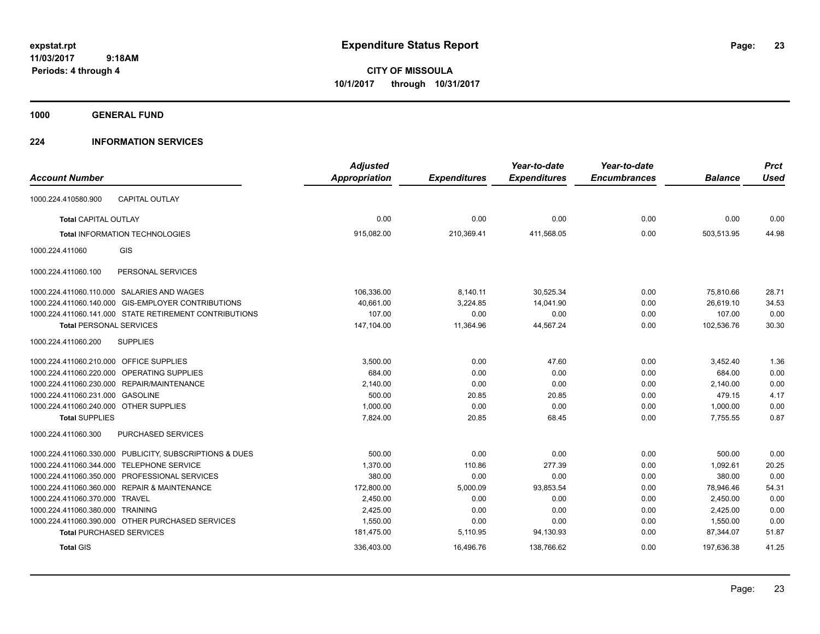**CITY OF MISSOULA 10/1/2017 through 10/31/2017**

**1000 GENERAL FUND**

## **224 INFORMATION SERVICES**

|                                                            | <b>Adjusted</b>      |                     | Year-to-date        | Year-to-date        |                | <b>Prct</b> |
|------------------------------------------------------------|----------------------|---------------------|---------------------|---------------------|----------------|-------------|
| <b>Account Number</b>                                      | <b>Appropriation</b> | <b>Expenditures</b> | <b>Expenditures</b> | <b>Encumbrances</b> | <b>Balance</b> | <b>Used</b> |
| <b>CAPITAL OUTLAY</b><br>1000.224.410580.900               |                      |                     |                     |                     |                |             |
| <b>Total CAPITAL OUTLAY</b>                                | 0.00                 | 0.00                | 0.00                | 0.00                | 0.00           | 0.00        |
| <b>Total INFORMATION TECHNOLOGIES</b>                      | 915,082.00           | 210,369.41          | 411,568.05          | 0.00                | 503,513.95     | 44.98       |
| GIS<br>1000.224.411060                                     |                      |                     |                     |                     |                |             |
| PERSONAL SERVICES<br>1000.224.411060.100                   |                      |                     |                     |                     |                |             |
| 1000.224.411060.110.000 SALARIES AND WAGES                 | 106,336.00           | 8,140.11            | 30,525.34           | 0.00                | 75.810.66      | 28.71       |
| 1000.224.411060.140.000 GIS-EMPLOYER CONTRIBUTIONS         | 40,661.00            | 3,224.85            | 14,041.90           | 0.00                | 26,619.10      | 34.53       |
| 1000.224.411060.141.000 STATE RETIREMENT CONTRIBUTIONS     | 107.00               | 0.00                | 0.00                | 0.00                | 107.00         | 0.00        |
| <b>Total PERSONAL SERVICES</b>                             | 147,104.00           | 11,364.96           | 44,567.24           | 0.00                | 102,536.76     | 30.30       |
| 1000.224.411060.200<br><b>SUPPLIES</b>                     |                      |                     |                     |                     |                |             |
| 1000.224.411060.210.000 OFFICE SUPPLIES                    | 3,500.00             | 0.00                | 47.60               | 0.00                | 3,452.40       | 1.36        |
| 1000.224.411060.220.000 OPERATING SUPPLIES                 | 684.00               | 0.00                | 0.00                | 0.00                | 684.00         | 0.00        |
| 1000.224.411060.230.000 REPAIR/MAINTENANCE                 | 2,140.00             | 0.00                | 0.00                | 0.00                | 2,140.00       | 0.00        |
| 1000.224.411060.231.000 GASOLINE                           | 500.00               | 20.85               | 20.85               | 0.00                | 479.15         | 4.17        |
| 1000.224.411060.240.000 OTHER SUPPLIES                     | 1,000.00             | 0.00                | 0.00                | 0.00                | 1,000.00       | 0.00        |
| <b>Total SUPPLIES</b>                                      | 7,824.00             | 20.85               | 68.45               | 0.00                | 7,755.55       | 0.87        |
| 1000.224.411060.300<br>PURCHASED SERVICES                  |                      |                     |                     |                     |                |             |
| 1000.224.411060.330.000 PUBLICITY, SUBSCRIPTIONS & DUES    | 500.00               | 0.00                | 0.00                | 0.00                | 500.00         | 0.00        |
| <b>TELEPHONE SERVICE</b><br>1000.224.411060.344.000        | 1.370.00             | 110.86              | 277.39              | 0.00                | 1.092.61       | 20.25       |
| PROFESSIONAL SERVICES<br>1000.224.411060.350.000           | 380.00               | 0.00                | 0.00                | 0.00                | 380.00         | 0.00        |
| 1000.224.411060.360.000<br><b>REPAIR &amp; MAINTENANCE</b> | 172,800.00           | 5,000.09            | 93,853.54           | 0.00                | 78,946.46      | 54.31       |
| <b>TRAVEL</b><br>1000.224.411060.370.000                   | 2,450.00             | 0.00                | 0.00                | 0.00                | 2,450.00       | 0.00        |
| 1000.224.411060.380.000 TRAINING                           | 2,425.00             | 0.00                | 0.00                | 0.00                | 2,425.00       | 0.00        |
| 1000.224.411060.390.000 OTHER PURCHASED SERVICES           | 1,550.00             | 0.00                | 0.00                | 0.00                | 1,550.00       | 0.00        |
| <b>Total PURCHASED SERVICES</b>                            | 181,475.00           | 5,110.95            | 94,130.93           | 0.00                | 87,344.07      | 51.87       |
| <b>Total GIS</b>                                           | 336,403.00           | 16,496.76           | 138,766.62          | 0.00                | 197,636.38     | 41.25       |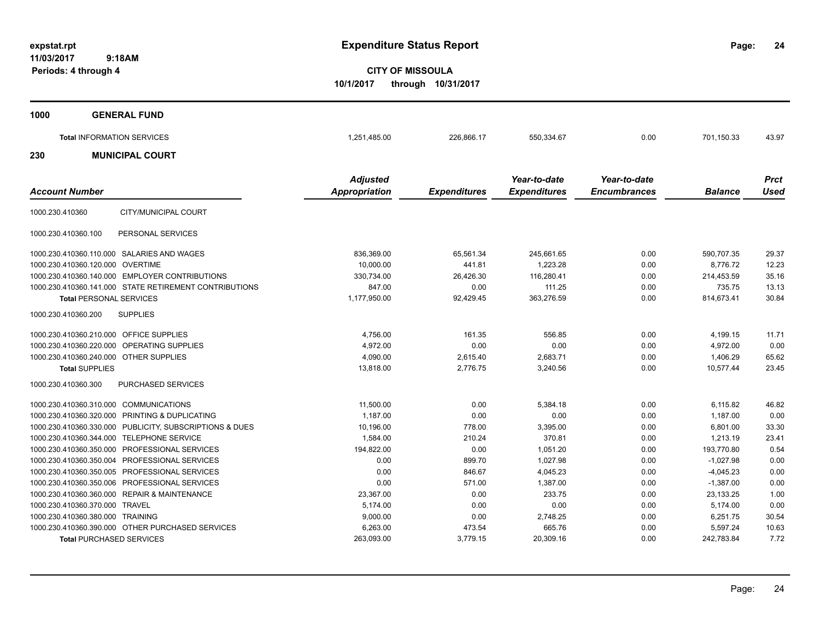**24**

**CITY OF MISSOULA 10/1/2017 through 10/31/2017**

| 1000                                               | <b>GENERAL FUND</b>                                    |                                         |                     |                                     |                                     |                        |                            |
|----------------------------------------------------|--------------------------------------------------------|-----------------------------------------|---------------------|-------------------------------------|-------------------------------------|------------------------|----------------------------|
|                                                    | <b>Total INFORMATION SERVICES</b>                      | 1,251,485.00                            | 226,866.17          | 550,334.67                          | 0.00                                | 701,150.33             | 43.97                      |
| 230                                                | <b>MUNICIPAL COURT</b>                                 |                                         |                     |                                     |                                     |                        |                            |
| <b>Account Number</b>                              |                                                        | <b>Adjusted</b><br><b>Appropriation</b> | <b>Expenditures</b> | Year-to-date<br><b>Expenditures</b> | Year-to-date<br><b>Encumbrances</b> | <b>Balance</b>         | <b>Prct</b><br><b>Used</b> |
| 1000.230.410360                                    | CITY/MUNICIPAL COURT                                   |                                         |                     |                                     |                                     |                        |                            |
| 1000.230.410360.100                                | PERSONAL SERVICES                                      |                                         |                     |                                     |                                     |                        |                            |
| 1000.230.410360.110.000<br>1000.230.410360.120.000 | SALARIES AND WAGES<br>OVERTIME                         | 836,369.00<br>10,000.00                 | 65,561.34<br>441.81 | 245,661.65<br>1,223.28              | 0.00<br>0.00                        | 590,707.35<br>8,776.72 | 29.37<br>12.23             |
|                                                    | 1000.230.410360.140.000 EMPLOYER CONTRIBUTIONS         | 330,734.00                              | 26,426.30           | 116,280.41                          | 0.00                                | 214,453.59             | 35.16                      |
|                                                    | 1000.230.410360.141.000 STATE RETIREMENT CONTRIBUTIONS | 847.00                                  | 0.00                | 111.25                              | 0.00                                | 735.75                 | 13.13                      |
| <b>Total PERSONAL SERVICES</b>                     |                                                        | 1,177,950.00                            | 92,429.45           | 363,276.59                          | 0.00                                | 814,673.41             | 30.84                      |
| 1000.230.410360.200                                | <b>SUPPLIES</b>                                        |                                         |                     |                                     |                                     |                        |                            |
| 1000.230.410360.210.000 OFFICE SUPPLIES            |                                                        | 4,756.00                                | 161.35              | 556.85                              | 0.00                                | 4,199.15               | 11.71                      |

| 1000.230.410360.220.000 OPERATING SUPPLIES              | 4,972.00   | 0.00     | 0.00      | 0.00 | 4,972.00    | 0.00  |
|---------------------------------------------------------|------------|----------|-----------|------|-------------|-------|
| 1000.230.410360.240.000 OTHER SUPPLIES                  | 4,090.00   | 2,615.40 | 2,683.71  | 0.00 | 1,406.29    | 65.62 |
| <b>Total SUPPLIES</b>                                   | 13,818.00  | 2,776.75 | 3,240.56  | 0.00 | 10,577.44   | 23.45 |
| PURCHASED SERVICES<br>1000.230.410360.300               |            |          |           |      |             |       |
| 1000.230.410360.310.000 COMMUNICATIONS                  | 11,500.00  | 0.00     | 5,384.18  | 0.00 | 6,115.82    | 46.82 |
| 1000.230.410360.320.000 PRINTING & DUPLICATING          | 1,187.00   | 0.00     | 0.00      | 0.00 | 1,187.00    | 0.00  |
| 1000.230.410360.330.000 PUBLICITY, SUBSCRIPTIONS & DUES | 10,196.00  | 778.00   | 3,395.00  | 0.00 | 6,801.00    | 33.30 |
| 1000.230.410360.344.000 TELEPHONE SERVICE               | 1,584.00   | 210.24   | 370.81    | 0.00 | 1,213.19    | 23.41 |
| 1000.230.410360.350.000 PROFESSIONAL SERVICES           | 194,822.00 | 0.00     | 1,051.20  | 0.00 | 193,770.80  | 0.54  |
| 1000.230.410360.350.004 PROFESSIONAL SERVICES           | 0.00       | 899.70   | 1,027.98  | 0.00 | $-1,027.98$ | 0.00  |
| 1000.230.410360.350.005 PROFESSIONAL SERVICES           | 0.00       | 846.67   | 4,045.23  | 0.00 | $-4,045.23$ | 0.00  |
| 1000.230.410360.350.006 PROFESSIONAL SERVICES           | 0.00       | 571.00   | 1,387.00  | 0.00 | $-1,387.00$ | 0.00  |
| 1000.230.410360.360.000 REPAIR & MAINTENANCE            | 23,367.00  | 0.00     | 233.75    | 0.00 | 23,133.25   | 1.00  |
| 1000.230.410360.370.000 TRAVEL                          | 5,174.00   | 0.00     | 0.00      | 0.00 | 5,174.00    | 0.00  |
| 1000.230.410360.380.000 TRAINING                        | 9,000.00   | 0.00     | 2,748.25  | 0.00 | 6,251.75    | 30.54 |
| 1000.230.410360.390.000 OTHER PURCHASED SERVICES        | 6,263.00   | 473.54   | 665.76    | 0.00 | 5,597.24    | 10.63 |
| <b>Total PURCHASED SERVICES</b>                         | 263,093.00 | 3,779.15 | 20,309.16 | 0.00 | 242,783.84  | 7.72  |
|                                                         |            |          |           |      |             |       |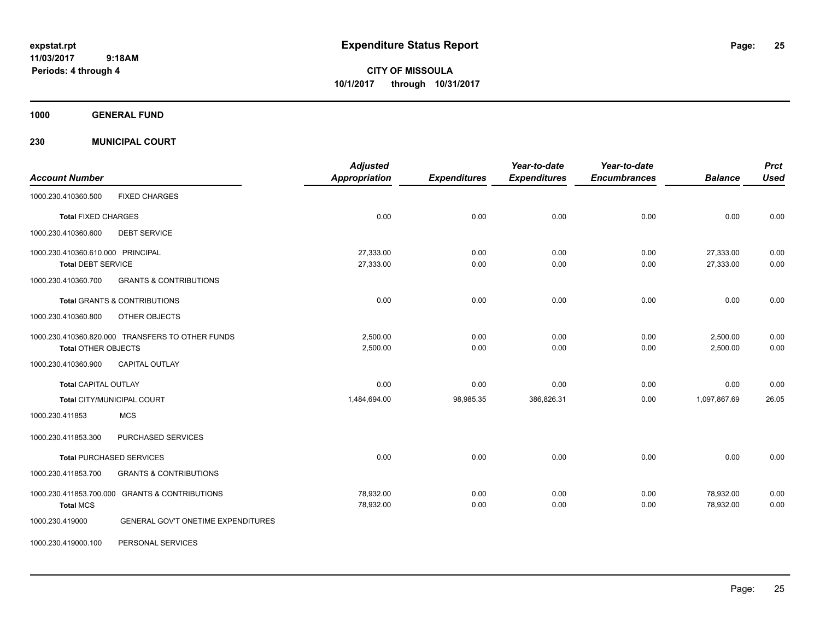**CITY OF MISSOULA 10/1/2017 through 10/31/2017**

**1000 GENERAL FUND**

**230 MUNICIPAL COURT**

| <b>Account Number</b>             |                                                  | <b>Adjusted</b><br>Appropriation | <b>Expenditures</b> | Year-to-date<br><b>Expenditures</b> | Year-to-date<br><b>Encumbrances</b> | <b>Balance</b> | <b>Prct</b><br><b>Used</b> |
|-----------------------------------|--------------------------------------------------|----------------------------------|---------------------|-------------------------------------|-------------------------------------|----------------|----------------------------|
|                                   |                                                  |                                  |                     |                                     |                                     |                |                            |
| 1000.230.410360.500               | <b>FIXED CHARGES</b>                             |                                  |                     |                                     |                                     |                |                            |
| <b>Total FIXED CHARGES</b>        |                                                  | 0.00                             | 0.00                | 0.00                                | 0.00                                | 0.00           | 0.00                       |
| 1000.230.410360.600               | <b>DEBT SERVICE</b>                              |                                  |                     |                                     |                                     |                |                            |
| 1000.230.410360.610.000 PRINCIPAL |                                                  | 27,333.00                        | 0.00                | 0.00                                | 0.00                                | 27,333.00      | 0.00                       |
| <b>Total DEBT SERVICE</b>         |                                                  | 27,333.00                        | 0.00                | 0.00                                | 0.00                                | 27,333.00      | 0.00                       |
| 1000.230.410360.700               | <b>GRANTS &amp; CONTRIBUTIONS</b>                |                                  |                     |                                     |                                     |                |                            |
|                                   | <b>Total GRANTS &amp; CONTRIBUTIONS</b>          | 0.00                             | 0.00                | 0.00                                | 0.00                                | 0.00           | 0.00                       |
| 1000.230.410360.800               | OTHER OBJECTS                                    |                                  |                     |                                     |                                     |                |                            |
|                                   | 1000.230.410360.820.000 TRANSFERS TO OTHER FUNDS | 2,500.00                         | 0.00                | 0.00                                | 0.00                                | 2,500.00       | 0.00                       |
| <b>Total OTHER OBJECTS</b>        |                                                  | 2,500.00                         | 0.00                | 0.00                                | 0.00                                | 2,500.00       | 0.00                       |
| 1000.230.410360.900               | <b>CAPITAL OUTLAY</b>                            |                                  |                     |                                     |                                     |                |                            |
| <b>Total CAPITAL OUTLAY</b>       |                                                  | 0.00                             | 0.00                | 0.00                                | 0.00                                | 0.00           | 0.00                       |
|                                   | Total CITY/MUNICIPAL COURT                       | 1,484,694.00                     | 98,985.35           | 386,826.31                          | 0.00                                | 1,097,867.69   | 26.05                      |
| 1000.230.411853                   | <b>MCS</b>                                       |                                  |                     |                                     |                                     |                |                            |
| 1000.230.411853.300               | PURCHASED SERVICES                               |                                  |                     |                                     |                                     |                |                            |
|                                   | <b>Total PURCHASED SERVICES</b>                  | 0.00                             | 0.00                | 0.00                                | 0.00                                | 0.00           | 0.00                       |
| 1000.230.411853.700               | <b>GRANTS &amp; CONTRIBUTIONS</b>                |                                  |                     |                                     |                                     |                |                            |
|                                   | 1000.230.411853.700.000 GRANTS & CONTRIBUTIONS   | 78,932.00                        | 0.00                | 0.00                                | 0.00                                | 78,932.00      | 0.00                       |
| <b>Total MCS</b>                  |                                                  | 78,932.00                        | 0.00                | 0.00                                | 0.00                                | 78,932.00      | 0.00                       |
| 1000.230.419000                   | GENERAL GOV'T ONETIME EXPENDITURES               |                                  |                     |                                     |                                     |                |                            |
| 1000.230.419000.100               | PERSONAL SERVICES                                |                                  |                     |                                     |                                     |                |                            |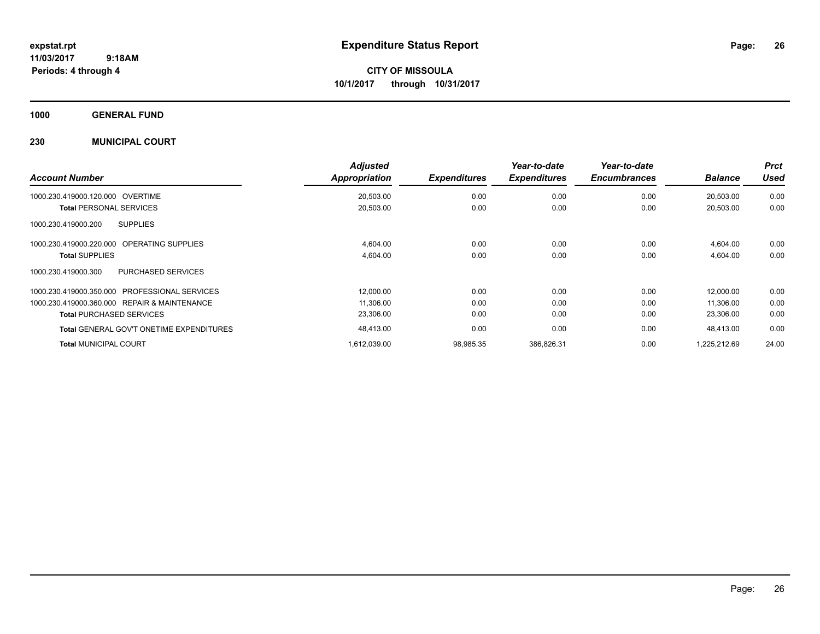**CITY OF MISSOULA 10/1/2017 through 10/31/2017**

**1000 GENERAL FUND**

## **230 MUNICIPAL COURT**

| <b>Account Number</b>                                | <b>Adjusted</b><br>Appropriation | <b>Expenditures</b> | Year-to-date<br><b>Expenditures</b> | Year-to-date<br><b>Encumbrances</b> | <b>Balance</b> | <b>Prct</b><br><b>Used</b> |
|------------------------------------------------------|----------------------------------|---------------------|-------------------------------------|-------------------------------------|----------------|----------------------------|
| 1000.230.419000.120.000<br>OVERTIME                  | 20,503.00                        | 0.00                | 0.00                                | 0.00                                | 20,503.00      | 0.00                       |
| <b>Total PERSONAL SERVICES</b>                       | 20,503.00                        | 0.00                | 0.00                                | 0.00                                | 20,503.00      | 0.00                       |
| <b>SUPPLIES</b><br>1000.230.419000.200               |                                  |                     |                                     |                                     |                |                            |
| <b>OPERATING SUPPLIES</b><br>1000.230.419000.220.000 | 4,604.00                         | 0.00                | 0.00                                | 0.00                                | 4,604.00       | 0.00                       |
| <b>Total SUPPLIES</b>                                | 4,604.00                         | 0.00                | 0.00                                | 0.00                                | 4,604.00       | 0.00                       |
| 1000.230.419000.300<br><b>PURCHASED SERVICES</b>     |                                  |                     |                                     |                                     |                |                            |
| 1000.230.419000.350.000 PROFESSIONAL SERVICES        | 12,000.00                        | 0.00                | 0.00                                | 0.00                                | 12,000.00      | 0.00                       |
| 1000.230.419000.360.000 REPAIR & MAINTENANCE         | 11,306.00                        | 0.00                | 0.00                                | 0.00                                | 11,306.00      | 0.00                       |
| <b>Total PURCHASED SERVICES</b>                      | 23,306.00                        | 0.00                | 0.00                                | 0.00                                | 23,306.00      | 0.00                       |
| <b>Total GENERAL GOV'T ONETIME EXPENDITURES</b>      | 48,413.00                        | 0.00                | 0.00                                | 0.00                                | 48,413.00      | 0.00                       |
| <b>Total MUNICIPAL COURT</b>                         | 1,612,039.00                     | 98,985.35           | 386,826.31                          | 0.00                                | 1,225,212.69   | 24.00                      |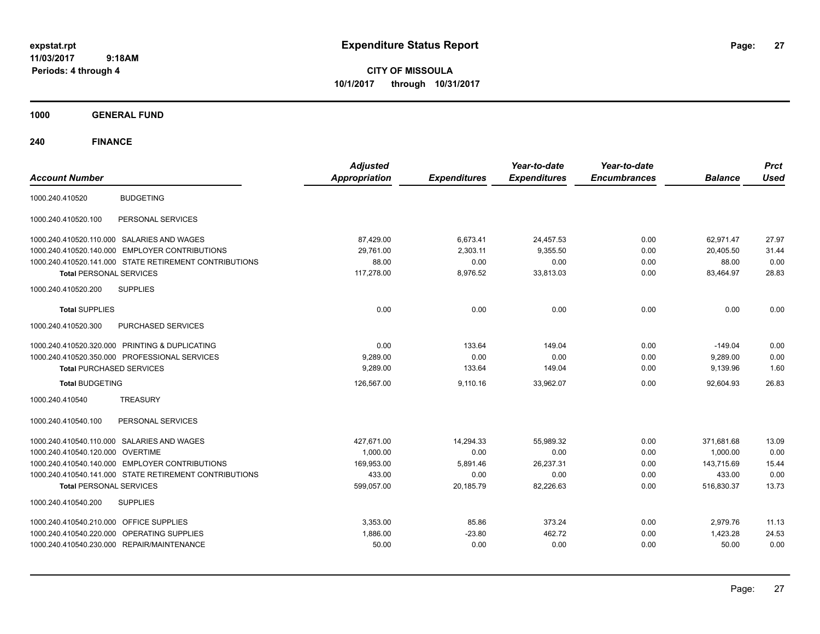**CITY OF MISSOULA 10/1/2017 through 10/31/2017**

**1000 GENERAL FUND**

| <b>Account Number</b>                                  | <b>Adjusted</b><br><b>Appropriation</b> | <b>Expenditures</b> | Year-to-date<br><b>Expenditures</b> | Year-to-date<br><b>Encumbrances</b> | <b>Balance</b> | <b>Prct</b><br><b>Used</b> |
|--------------------------------------------------------|-----------------------------------------|---------------------|-------------------------------------|-------------------------------------|----------------|----------------------------|
| 1000.240.410520<br><b>BUDGETING</b>                    |                                         |                     |                                     |                                     |                |                            |
| PERSONAL SERVICES<br>1000.240.410520.100               |                                         |                     |                                     |                                     |                |                            |
| 1000.240.410520.110.000 SALARIES AND WAGES             | 87.429.00                               | 6,673.41            | 24,457.53                           | 0.00                                | 62.971.47      | 27.97                      |
| 1000.240.410520.140.000 EMPLOYER CONTRIBUTIONS         | 29.761.00                               | 2,303.11            | 9,355.50                            | 0.00                                | 20,405.50      | 31.44                      |
| 1000.240.410520.141.000 STATE RETIREMENT CONTRIBUTIONS | 88.00                                   | 0.00                | 0.00                                | 0.00                                | 88.00          | 0.00                       |
| <b>Total PERSONAL SERVICES</b>                         | 117,278.00                              | 8,976.52            | 33,813.03                           | 0.00                                | 83,464.97      | 28.83                      |
| <b>SUPPLIES</b><br>1000.240.410520.200                 |                                         |                     |                                     |                                     |                |                            |
| <b>Total SUPPLIES</b>                                  | 0.00                                    | 0.00                | 0.00                                | 0.00                                | 0.00           | 0.00                       |
| 1000.240.410520.300<br>PURCHASED SERVICES              |                                         |                     |                                     |                                     |                |                            |
| 1000.240.410520.320.000 PRINTING & DUPLICATING         | 0.00                                    | 133.64              | 149.04                              | 0.00                                | $-149.04$      | 0.00                       |
| 1000.240.410520.350.000 PROFESSIONAL SERVICES          | 9,289.00                                | 0.00                | 0.00                                | 0.00                                | 9,289.00       | 0.00                       |
| <b>Total PURCHASED SERVICES</b>                        | 9,289.00                                | 133.64              | 149.04                              | 0.00                                | 9,139.96       | 1.60                       |
| <b>Total BUDGETING</b>                                 | 126,567.00                              | 9,110.16            | 33,962.07                           | 0.00                                | 92,604.93      | 26.83                      |
| <b>TREASURY</b><br>1000.240.410540                     |                                         |                     |                                     |                                     |                |                            |
| PERSONAL SERVICES<br>1000.240.410540.100               |                                         |                     |                                     |                                     |                |                            |
| 1000.240.410540.110.000 SALARIES AND WAGES             | 427.671.00                              | 14.294.33           | 55.989.32                           | 0.00                                | 371.681.68     | 13.09                      |
| 1000.240.410540.120.000 OVERTIME                       | 1,000.00                                | 0.00                | 0.00                                | 0.00                                | 1,000.00       | 0.00                       |
| 1000.240.410540.140.000 EMPLOYER CONTRIBUTIONS         | 169.953.00                              | 5,891.46            | 26,237.31                           | 0.00                                | 143.715.69     | 15.44                      |
| 1000.240.410540.141.000 STATE RETIREMENT CONTRIBUTIONS | 433.00                                  | 0.00                | 0.00                                | 0.00                                | 433.00         | 0.00                       |
| <b>Total PERSONAL SERVICES</b>                         | 599,057.00                              | 20,185.79           | 82,226.63                           | 0.00                                | 516,830.37     | 13.73                      |
| 1000.240.410540.200<br><b>SUPPLIES</b>                 |                                         |                     |                                     |                                     |                |                            |
| 1000.240.410540.210.000 OFFICE SUPPLIES                | 3,353.00                                | 85.86               | 373.24                              | 0.00                                | 2,979.76       | 11.13                      |
| 1000.240.410540.220.000 OPERATING SUPPLIES             | 1,886.00                                | $-23.80$            | 462.72                              | 0.00                                | 1,423.28       | 24.53                      |
| 1000.240.410540.230.000 REPAIR/MAINTENANCE             | 50.00                                   | 0.00                | 0.00                                | 0.00                                | 50.00          | 0.00                       |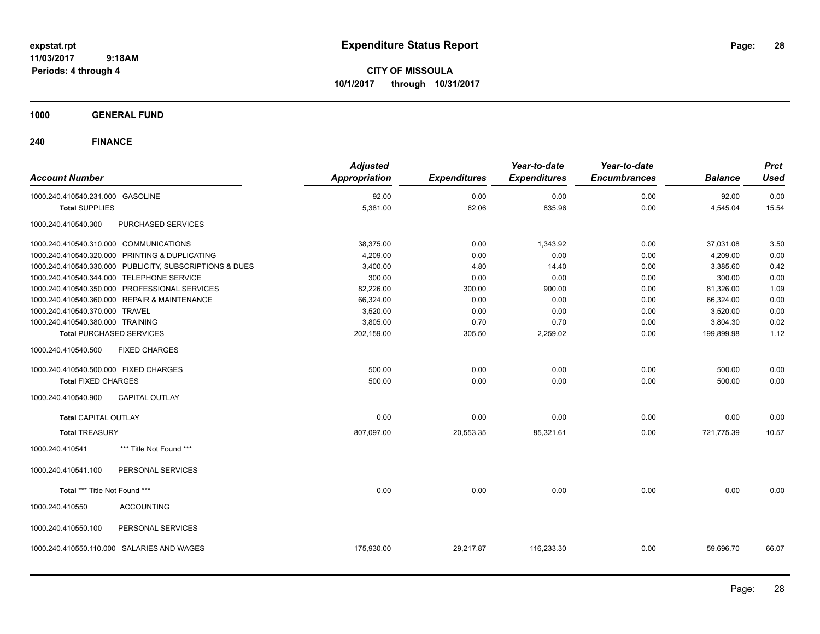**CITY OF MISSOULA 10/1/2017 through 10/31/2017**

## **1000 GENERAL FUND**

| <b>Account Number</b>                                   | <b>Adjusted</b><br>Appropriation | <b>Expenditures</b> | Year-to-date<br><b>Expenditures</b> | Year-to-date<br><b>Encumbrances</b> | <b>Balance</b> | <b>Prct</b><br><b>Used</b> |
|---------------------------------------------------------|----------------------------------|---------------------|-------------------------------------|-------------------------------------|----------------|----------------------------|
| 1000.240.410540.231.000 GASOLINE                        | 92.00                            | 0.00                | 0.00                                | 0.00                                | 92.00          | 0.00                       |
| <b>Total SUPPLIES</b>                                   | 5,381.00                         | 62.06               | 835.96                              | 0.00                                | 4,545.04       | 15.54                      |
| PURCHASED SERVICES<br>1000.240.410540.300               |                                  |                     |                                     |                                     |                |                            |
| 1000.240.410540.310.000 COMMUNICATIONS                  | 38,375.00                        | 0.00                | 1,343.92                            | 0.00                                | 37,031.08      | 3.50                       |
| 1000.240.410540.320.000 PRINTING & DUPLICATING          | 4,209.00                         | 0.00                | 0.00                                | 0.00                                | 4,209.00       | 0.00                       |
| 1000.240.410540.330.000 PUBLICITY, SUBSCRIPTIONS & DUES | 3,400.00                         | 4.80                | 14.40                               | 0.00                                | 3,385.60       | 0.42                       |
| 1000.240.410540.344.000<br><b>TELEPHONE SERVICE</b>     | 300.00                           | 0.00                | 0.00                                | 0.00                                | 300.00         | 0.00                       |
| 1000.240.410540.350.000 PROFESSIONAL SERVICES           | 82,226.00                        | 300.00              | 900.00                              | 0.00                                | 81,326.00      | 1.09                       |
| 1000.240.410540.360.000 REPAIR & MAINTENANCE            | 66,324.00                        | 0.00                | 0.00                                | 0.00                                | 66,324.00      | 0.00                       |
| 1000.240.410540.370.000 TRAVEL                          | 3,520.00                         | 0.00                | 0.00                                | 0.00                                | 3,520.00       | 0.00                       |
| 1000.240.410540.380.000 TRAINING                        | 3,805.00                         | 0.70                | 0.70                                | 0.00                                | 3,804.30       | 0.02                       |
| <b>Total PURCHASED SERVICES</b>                         | 202,159.00                       | 305.50              | 2,259.02                            | 0.00                                | 199,899.98     | 1.12                       |
| 1000.240.410540.500<br><b>FIXED CHARGES</b>             |                                  |                     |                                     |                                     |                |                            |
| 1000.240.410540.500.000 FIXED CHARGES                   | 500.00                           | 0.00                | 0.00                                | 0.00                                | 500.00         | 0.00                       |
| <b>Total FIXED CHARGES</b>                              | 500.00                           | 0.00                | 0.00                                | 0.00                                | 500.00         | 0.00                       |
| <b>CAPITAL OUTLAY</b><br>1000.240.410540.900            |                                  |                     |                                     |                                     |                |                            |
| <b>Total CAPITAL OUTLAY</b>                             | 0.00                             | 0.00                | 0.00                                | 0.00                                | 0.00           | 0.00                       |
| <b>Total TREASURY</b>                                   | 807,097.00                       | 20,553.35           | 85,321.61                           | 0.00                                | 721,775.39     | 10.57                      |
| *** Title Not Found ***<br>1000.240.410541              |                                  |                     |                                     |                                     |                |                            |
| 1000.240.410541.100<br>PERSONAL SERVICES                |                                  |                     |                                     |                                     |                |                            |
| Total *** Title Not Found ***                           | 0.00                             | 0.00                | 0.00                                | 0.00                                | 0.00           | 0.00                       |
| <b>ACCOUNTING</b><br>1000.240.410550                    |                                  |                     |                                     |                                     |                |                            |
| 1000.240.410550.100<br>PERSONAL SERVICES                |                                  |                     |                                     |                                     |                |                            |
| 1000.240.410550.110.000<br>SALARIES AND WAGES           | 175,930.00                       | 29,217.87           | 116,233.30                          | 0.00                                | 59,696.70      | 66.07                      |
|                                                         |                                  |                     |                                     |                                     |                |                            |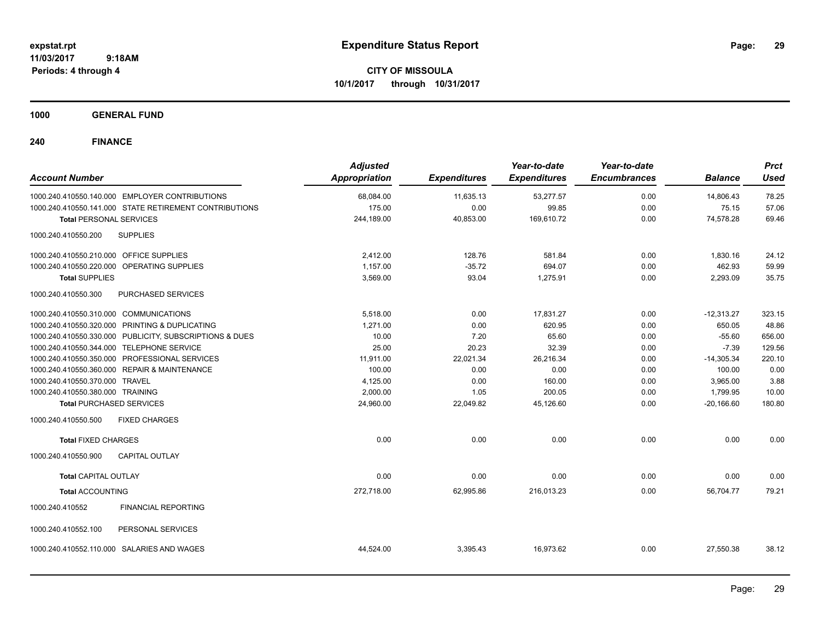**CITY OF MISSOULA 10/1/2017 through 10/31/2017**

**1000 GENERAL FUND**

| <b>Account Number</b>                      |                                                         | <b>Adjusted</b><br><b>Appropriation</b> | <b>Expenditures</b> | Year-to-date<br><b>Expenditures</b> | Year-to-date<br><b>Encumbrances</b> | <b>Balance</b> | <b>Prct</b><br>Used |
|--------------------------------------------|---------------------------------------------------------|-----------------------------------------|---------------------|-------------------------------------|-------------------------------------|----------------|---------------------|
|                                            | 1000.240.410550.140.000 EMPLOYER CONTRIBUTIONS          | 68,084.00                               | 11,635.13           | 53,277.57                           | 0.00                                | 14,806.43      | 78.25               |
|                                            | 1000.240.410550.141.000 STATE RETIREMENT CONTRIBUTIONS  | 175.00                                  | 0.00                | 99.85                               | 0.00                                | 75.15          | 57.06               |
| <b>Total PERSONAL SERVICES</b>             |                                                         | 244,189.00                              | 40,853.00           | 169,610.72                          | 0.00                                | 74,578.28      | 69.46               |
| 1000.240.410550.200                        | <b>SUPPLIES</b>                                         |                                         |                     |                                     |                                     |                |                     |
| 1000.240.410550.210.000 OFFICE SUPPLIES    |                                                         | 2,412.00                                | 128.76              | 581.84                              | 0.00                                | 1,830.16       | 24.12               |
| 1000.240.410550.220.000 OPERATING SUPPLIES |                                                         | 1,157.00                                | $-35.72$            | 694.07                              | 0.00                                | 462.93         | 59.99               |
| <b>Total SUPPLIES</b>                      |                                                         | 3,569.00                                | 93.04               | 1,275.91                            | 0.00                                | 2,293.09       | 35.75               |
| 1000.240.410550.300                        | <b>PURCHASED SERVICES</b>                               |                                         |                     |                                     |                                     |                |                     |
| 1000.240.410550.310.000 COMMUNICATIONS     |                                                         | 5,518.00                                | 0.00                | 17,831.27                           | 0.00                                | $-12,313.27$   | 323.15              |
|                                            | 1000.240.410550.320.000 PRINTING & DUPLICATING          | 1.271.00                                | 0.00                | 620.95                              | 0.00                                | 650.05         | 48.86               |
|                                            | 1000.240.410550.330.000 PUBLICITY, SUBSCRIPTIONS & DUES | 10.00                                   | 7.20                | 65.60                               | 0.00                                | $-55.60$       | 656.00              |
| 1000.240.410550.344.000 TELEPHONE SERVICE  |                                                         | 25.00                                   | 20.23               | 32.39                               | 0.00                                | $-7.39$        | 129.56              |
|                                            | 1000.240.410550.350.000 PROFESSIONAL SERVICES           | 11,911.00                               | 22,021.34           | 26,216.34                           | 0.00                                | $-14,305.34$   | 220.10              |
|                                            | 1000.240.410550.360.000 REPAIR & MAINTENANCE            | 100.00                                  | 0.00                | 0.00                                | 0.00                                | 100.00         | 0.00                |
| 1000.240.410550.370.000 TRAVEL             |                                                         | 4,125.00                                | 0.00                | 160.00                              | 0.00                                | 3,965.00       | 3.88                |
| 1000.240.410550.380.000 TRAINING           |                                                         | 2,000.00                                | 1.05                | 200.05                              | 0.00                                | 1,799.95       | 10.00               |
| <b>Total PURCHASED SERVICES</b>            |                                                         | 24,960.00                               | 22,049.82           | 45,126.60                           | 0.00                                | $-20,166.60$   | 180.80              |
| 1000.240.410550.500                        | <b>FIXED CHARGES</b>                                    |                                         |                     |                                     |                                     |                |                     |
| <b>Total FIXED CHARGES</b>                 |                                                         | 0.00                                    | 0.00                | 0.00                                | 0.00                                | 0.00           | 0.00                |
| 1000.240.410550.900                        | <b>CAPITAL OUTLAY</b>                                   |                                         |                     |                                     |                                     |                |                     |
| <b>Total CAPITAL OUTLAY</b>                |                                                         | 0.00                                    | 0.00                | 0.00                                | 0.00                                | 0.00           | 0.00                |
| <b>Total ACCOUNTING</b>                    |                                                         | 272,718.00                              | 62,995.86           | 216,013.23                          | 0.00                                | 56,704.77      | 79.21               |
| 1000.240.410552                            | <b>FINANCIAL REPORTING</b>                              |                                         |                     |                                     |                                     |                |                     |
| 1000.240.410552.100                        | PERSONAL SERVICES                                       |                                         |                     |                                     |                                     |                |                     |
| 1000.240.410552.110.000                    | SALARIES AND WAGES                                      | 44,524.00                               | 3,395.43            | 16,973.62                           | 0.00                                | 27,550.38      | 38.12               |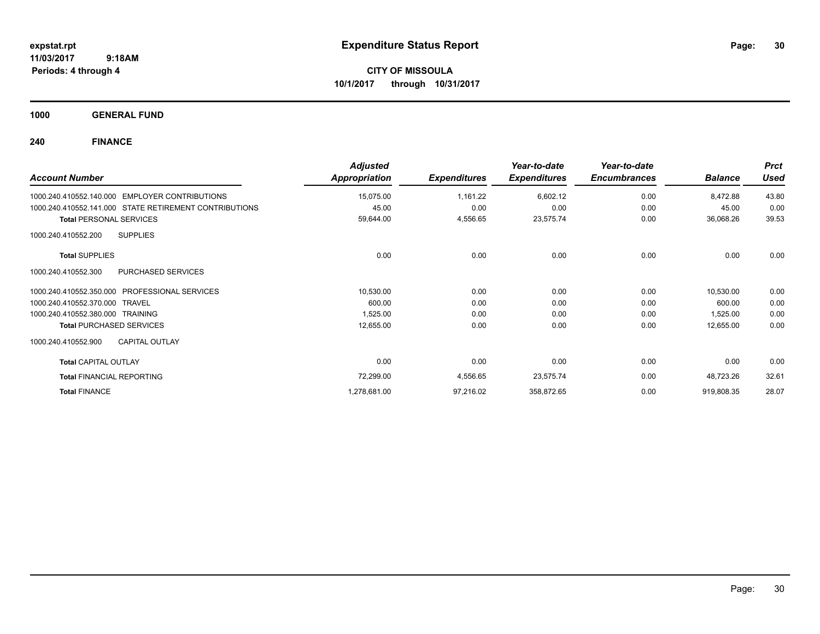**CITY OF MISSOULA 10/1/2017 through 10/31/2017**

**1000 GENERAL FUND**

| <b>Account Number</b>                                    | <b>Adjusted</b><br>Appropriation | <b>Expenditures</b> | Year-to-date<br><b>Expenditures</b> | Year-to-date<br><b>Encumbrances</b> | <b>Balance</b> | <b>Prct</b><br><b>Used</b> |
|----------------------------------------------------------|----------------------------------|---------------------|-------------------------------------|-------------------------------------|----------------|----------------------------|
| <b>EMPLOYER CONTRIBUTIONS</b><br>1000.240.410552.140.000 | 15,075.00                        | 1,161.22            | 6,602.12                            | 0.00                                | 8,472.88       | 43.80                      |
| 1000.240.410552.141.000 STATE RETIREMENT CONTRIBUTIONS   | 45.00                            | 0.00                | 0.00                                | 0.00                                | 45.00          | 0.00                       |
| <b>Total PERSONAL SERVICES</b>                           | 59,644.00                        | 4,556.65            | 23,575.74                           | 0.00                                | 36,068.26      | 39.53                      |
| <b>SUPPLIES</b><br>1000.240.410552.200                   |                                  |                     |                                     |                                     |                |                            |
| <b>Total SUPPLIES</b>                                    | 0.00                             | 0.00                | 0.00                                | 0.00                                | 0.00           | 0.00                       |
| PURCHASED SERVICES<br>1000.240.410552.300                |                                  |                     |                                     |                                     |                |                            |
| <b>PROFESSIONAL SERVICES</b><br>1000.240.410552.350.000  | 10,530.00                        | 0.00                | 0.00                                | 0.00                                | 10,530.00      | 0.00                       |
| 1000.240.410552.370.000<br><b>TRAVEL</b>                 | 600.00                           | 0.00                | 0.00                                | 0.00                                | 600.00         | 0.00                       |
| 1000.240.410552.380.000<br>TRAINING                      | 1,525.00                         | 0.00                | 0.00                                | 0.00                                | 1,525.00       | 0.00                       |
| <b>Total PURCHASED SERVICES</b>                          | 12,655.00                        | 0.00                | 0.00                                | 0.00                                | 12,655.00      | 0.00                       |
| 1000.240.410552.900<br><b>CAPITAL OUTLAY</b>             |                                  |                     |                                     |                                     |                |                            |
| <b>Total CAPITAL OUTLAY</b>                              | 0.00                             | 0.00                | 0.00                                | 0.00                                | 0.00           | 0.00                       |
| <b>Total FINANCIAL REPORTING</b>                         | 72,299.00                        | 4,556.65            | 23,575.74                           | 0.00                                | 48,723.26      | 32.61                      |
| <b>Total FINANCE</b>                                     | 1,278,681.00                     | 97,216.02           | 358,872.65                          | 0.00                                | 919,808.35     | 28.07                      |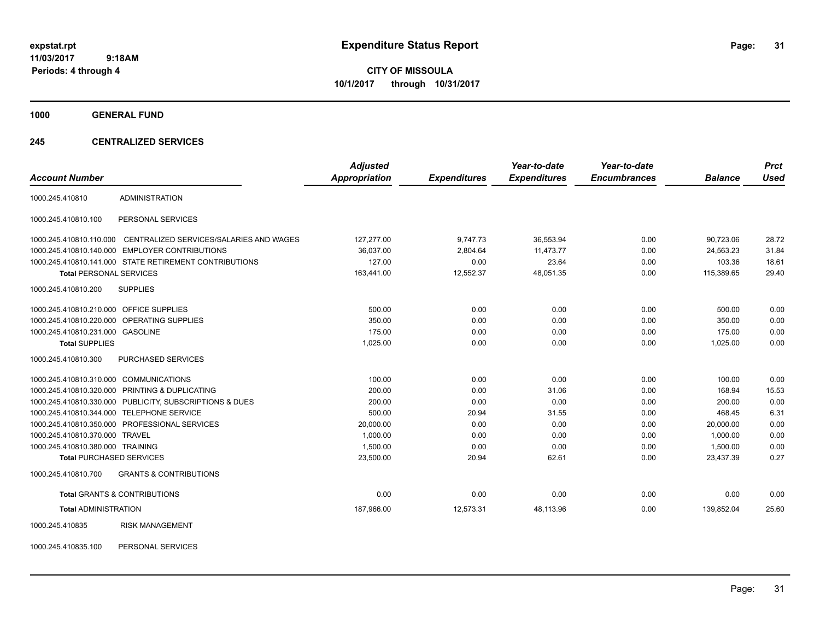**CITY OF MISSOULA 10/1/2017 through 10/31/2017**

**1000 GENERAL FUND**

## **245 CENTRALIZED SERVICES**

| <b>Account Number</b>                   |                                                         | <b>Adjusted</b><br><b>Appropriation</b> | <b>Expenditures</b> | Year-to-date<br><b>Expenditures</b> | Year-to-date<br><b>Encumbrances</b> | <b>Balance</b> | <b>Prct</b><br><b>Used</b> |
|-----------------------------------------|---------------------------------------------------------|-----------------------------------------|---------------------|-------------------------------------|-------------------------------------|----------------|----------------------------|
|                                         |                                                         |                                         |                     |                                     |                                     |                |                            |
| 1000.245.410810                         | <b>ADMINISTRATION</b>                                   |                                         |                     |                                     |                                     |                |                            |
| 1000.245.410810.100                     | PERSONAL SERVICES                                       |                                         |                     |                                     |                                     |                |                            |
| 1000.245.410810.110.000                 | CENTRALIZED SERVICES/SALARIES AND WAGES                 | 127,277.00                              | 9,747.73            | 36,553.94                           | 0.00                                | 90,723.06      | 28.72                      |
|                                         | 1000.245.410810.140.000 EMPLOYER CONTRIBUTIONS          | 36,037.00                               | 2,804.64            | 11,473.77                           | 0.00                                | 24,563.23      | 31.84                      |
|                                         | 1000.245.410810.141.000 STATE RETIREMENT CONTRIBUTIONS  | 127.00                                  | 0.00                | 23.64                               | 0.00                                | 103.36         | 18.61                      |
| <b>Total PERSONAL SERVICES</b>          |                                                         | 163,441.00                              | 12,552.37           | 48,051.35                           | 0.00                                | 115,389.65     | 29.40                      |
| 1000.245.410810.200                     | <b>SUPPLIES</b>                                         |                                         |                     |                                     |                                     |                |                            |
| 1000.245.410810.210.000 OFFICE SUPPLIES |                                                         | 500.00                                  | 0.00                | 0.00                                | 0.00                                | 500.00         | 0.00                       |
|                                         | 1000.245.410810.220.000 OPERATING SUPPLIES              | 350.00                                  | 0.00                | 0.00                                | 0.00                                | 350.00         | 0.00                       |
| 1000.245.410810.231.000 GASOLINE        |                                                         | 175.00                                  | 0.00                | 0.00                                | 0.00                                | 175.00         | 0.00                       |
| <b>Total SUPPLIES</b>                   |                                                         | 1,025.00                                | 0.00                | 0.00                                | 0.00                                | 1,025.00       | 0.00                       |
| 1000.245.410810.300                     | PURCHASED SERVICES                                      |                                         |                     |                                     |                                     |                |                            |
| 1000.245.410810.310.000                 | <b>COMMUNICATIONS</b>                                   | 100.00                                  | 0.00                | 0.00                                | 0.00                                | 100.00         | 0.00                       |
|                                         | 1000.245.410810.320.000 PRINTING & DUPLICATING          | 200.00                                  | 0.00                | 31.06                               | 0.00                                | 168.94         | 15.53                      |
|                                         | 1000.245.410810.330.000 PUBLICITY, SUBSCRIPTIONS & DUES | 200.00                                  | 0.00                | 0.00                                | 0.00                                | 200.00         | 0.00                       |
| 1000.245.410810.344.000                 | <b>TELEPHONE SERVICE</b>                                | 500.00                                  | 20.94               | 31.55                               | 0.00                                | 468.45         | 6.31                       |
|                                         | 1000.245.410810.350.000 PROFESSIONAL SERVICES           | 20,000.00                               | 0.00                | 0.00                                | 0.00                                | 20.000.00      | 0.00                       |
| 1000.245.410810.370.000                 | <b>TRAVEL</b>                                           | 1,000.00                                | 0.00                | 0.00                                | 0.00                                | 1.000.00       | 0.00                       |
| 1000.245.410810.380.000 TRAINING        |                                                         | 1,500.00                                | 0.00                | 0.00                                | 0.00                                | 1,500.00       | 0.00                       |
| <b>Total PURCHASED SERVICES</b>         |                                                         | 23,500.00                               | 20.94               | 62.61                               | 0.00                                | 23,437.39      | 0.27                       |
| 1000.245.410810.700                     | <b>GRANTS &amp; CONTRIBUTIONS</b>                       |                                         |                     |                                     |                                     |                |                            |
|                                         | <b>Total GRANTS &amp; CONTRIBUTIONS</b>                 | 0.00                                    | 0.00                | 0.00                                | 0.00                                | 0.00           | 0.00                       |
| <b>Total ADMINISTRATION</b>             |                                                         | 187,966.00                              | 12,573.31           | 48,113.96                           | 0.00                                | 139,852.04     | 25.60                      |
| 1000.245.410835                         | <b>RISK MANAGEMENT</b>                                  |                                         |                     |                                     |                                     |                |                            |

1000.245.410835.100 PERSONAL SERVICES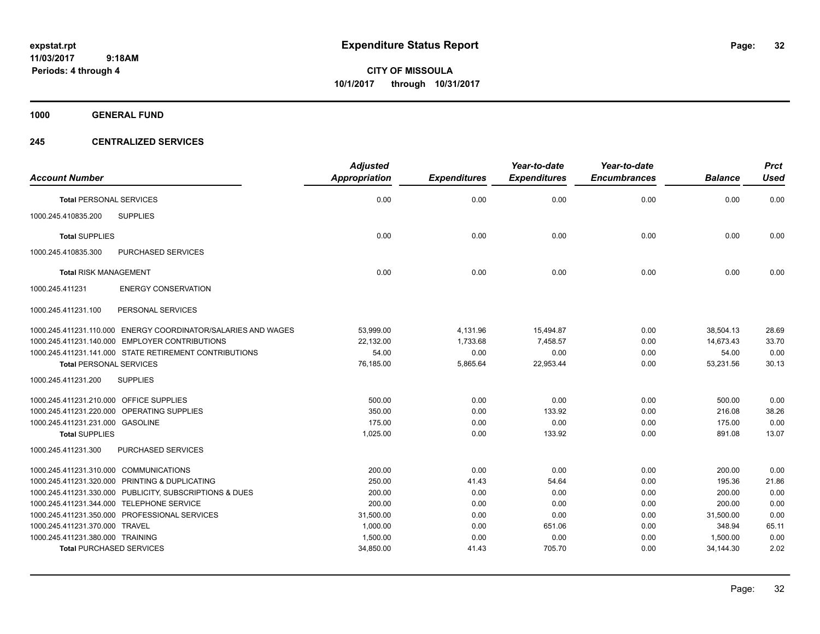**CITY OF MISSOULA 10/1/2017 through 10/31/2017**

**1000 GENERAL FUND**

## **245 CENTRALIZED SERVICES**

| <b>Account Number</b>                   |                                                               | <b>Adjusted</b><br><b>Appropriation</b> | <b>Expenditures</b> | Year-to-date<br><b>Expenditures</b> | Year-to-date<br><b>Encumbrances</b> | <b>Balance</b> | <b>Prct</b><br><b>Used</b> |
|-----------------------------------------|---------------------------------------------------------------|-----------------------------------------|---------------------|-------------------------------------|-------------------------------------|----------------|----------------------------|
| <b>Total PERSONAL SERVICES</b>          |                                                               | 0.00                                    | 0.00                | 0.00                                | 0.00                                | 0.00           | 0.00                       |
| 1000.245.410835.200                     | <b>SUPPLIES</b>                                               |                                         |                     |                                     |                                     |                |                            |
| <b>Total SUPPLIES</b>                   |                                                               | 0.00                                    | 0.00                | 0.00                                | 0.00                                | 0.00           | 0.00                       |
| 1000.245.410835.300                     | <b>PURCHASED SERVICES</b>                                     |                                         |                     |                                     |                                     |                |                            |
| <b>Total RISK MANAGEMENT</b>            |                                                               | 0.00                                    | 0.00                | 0.00                                | 0.00                                | 0.00           | 0.00                       |
| 1000.245.411231                         | <b>ENERGY CONSERVATION</b>                                    |                                         |                     |                                     |                                     |                |                            |
| 1000.245.411231.100                     | PERSONAL SERVICES                                             |                                         |                     |                                     |                                     |                |                            |
|                                         | 1000.245.411231.110.000 ENERGY COORDINATOR/SALARIES AND WAGES | 53,999.00                               | 4,131.96            | 15,494.87                           | 0.00                                | 38,504.13      | 28.69                      |
|                                         | 1000.245.411231.140.000 EMPLOYER CONTRIBUTIONS                | 22,132.00                               | 1,733.68            | 7,458.57                            | 0.00                                | 14,673.43      | 33.70                      |
|                                         | 1000.245.411231.141.000 STATE RETIREMENT CONTRIBUTIONS        | 54.00                                   | 0.00                | 0.00                                | 0.00                                | 54.00          | 0.00                       |
| <b>Total PERSONAL SERVICES</b>          |                                                               | 76,185.00                               | 5,865.64            | 22,953.44                           | 0.00                                | 53,231.56      | 30.13                      |
| 1000.245.411231.200                     | <b>SUPPLIES</b>                                               |                                         |                     |                                     |                                     |                |                            |
| 1000.245.411231.210.000 OFFICE SUPPLIES |                                                               | 500.00                                  | 0.00                | 0.00                                | 0.00                                | 500.00         | 0.00                       |
|                                         | 1000.245.411231.220.000 OPERATING SUPPLIES                    | 350.00                                  | 0.00                | 133.92                              | 0.00                                | 216.08         | 38.26                      |
| 1000.245.411231.231.000 GASOLINE        |                                                               | 175.00                                  | 0.00                | 0.00                                | 0.00                                | 175.00         | 0.00                       |
| <b>Total SUPPLIES</b>                   |                                                               | 1,025.00                                | 0.00                | 133.92                              | 0.00                                | 891.08         | 13.07                      |
| 1000.245.411231.300                     | <b>PURCHASED SERVICES</b>                                     |                                         |                     |                                     |                                     |                |                            |
| 1000.245.411231.310.000 COMMUNICATIONS  |                                                               | 200.00                                  | 0.00                | 0.00                                | 0.00                                | 200.00         | 0.00                       |
|                                         | 1000.245.411231.320.000 PRINTING & DUPLICATING                | 250.00                                  | 41.43               | 54.64                               | 0.00                                | 195.36         | 21.86                      |
|                                         | 1000.245.411231.330.000 PUBLICITY, SUBSCRIPTIONS & DUES       | 200.00                                  | 0.00                | 0.00                                | 0.00                                | 200.00         | 0.00                       |
|                                         | 1000.245.411231.344.000 TELEPHONE SERVICE                     | 200.00                                  | 0.00                | 0.00                                | 0.00                                | 200.00         | 0.00                       |
|                                         | 1000.245.411231.350.000 PROFESSIONAL SERVICES                 | 31,500.00                               | 0.00                | 0.00                                | 0.00                                | 31,500.00      | 0.00                       |
| 1000.245.411231.370.000 TRAVEL          |                                                               | 1,000.00                                | 0.00                | 651.06                              | 0.00                                | 348.94         | 65.11                      |
| 1000.245.411231.380.000 TRAINING        |                                                               | 1,500.00                                | 0.00                | 0.00                                | 0.00                                | 1,500.00       | 0.00                       |
| <b>Total PURCHASED SERVICES</b>         |                                                               | 34,850.00                               | 41.43               | 705.70                              | 0.00                                | 34,144.30      | 2.02                       |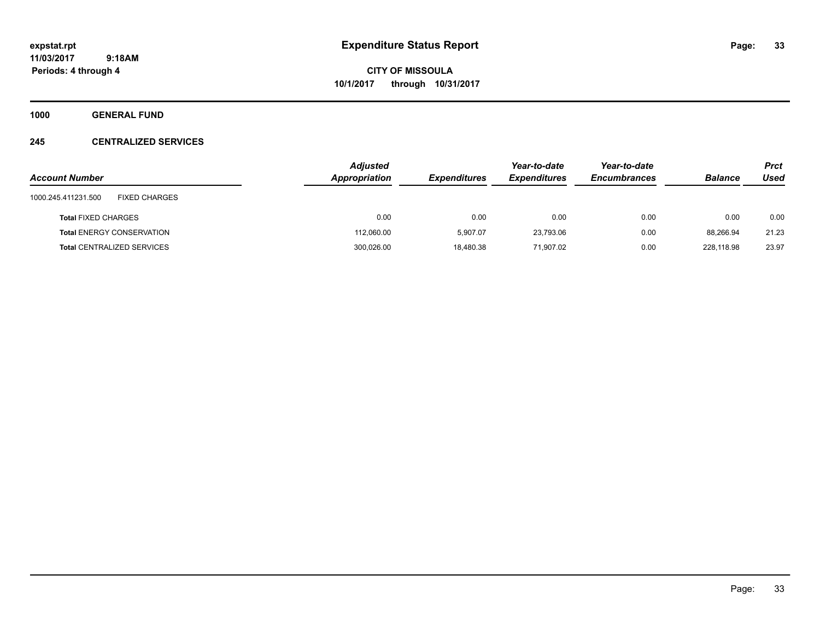**CITY OF MISSOULA 10/1/2017 through 10/31/2017**

**1000 GENERAL FUND**

## **245 CENTRALIZED SERVICES**

| <b>Account Number</b>                       | <b>Adjusted</b><br>Appropriation | <b>Expenditures</b> | Year-to-date<br><b>Expenditures</b> | Year-to-date<br><b>Encumbrances</b> | <b>Balance</b> | <b>Prct</b><br>Used |
|---------------------------------------------|----------------------------------|---------------------|-------------------------------------|-------------------------------------|----------------|---------------------|
| <b>FIXED CHARGES</b><br>1000.245.411231.500 |                                  |                     |                                     |                                     |                |                     |
| <b>Total FIXED CHARGES</b>                  | 0.00                             | 0.00                | 0.00                                | 0.00                                | 0.00           | 0.00                |
| <b>Total ENERGY CONSERVATION</b>            | 112,060.00                       | 5.907.07            | 23,793.06                           | 0.00                                | 88.266.94      | 21.23               |
| <b>Total CENTRALIZED SERVICES</b>           | 300,026.00                       | 18,480.38           | 71,907.02                           | 0.00                                | 228.118.98     | 23.97               |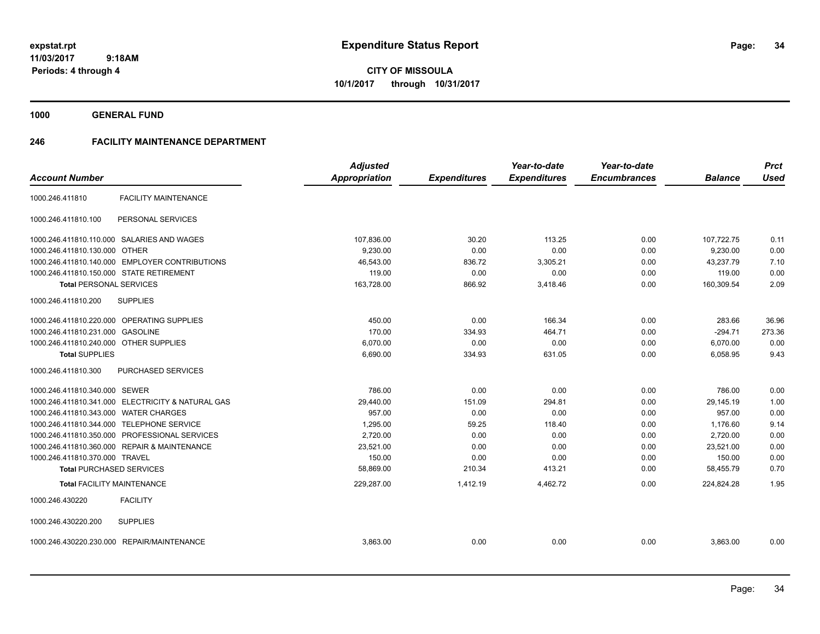**CITY OF MISSOULA 10/1/2017 through 10/31/2017**

**1000 GENERAL FUND**

## **246 FACILITY MAINTENANCE DEPARTMENT**

|                                          |                                                   | <b>Adjusted</b>      |                     | Year-to-date        | Year-to-date        |                | <b>Prct</b> |
|------------------------------------------|---------------------------------------------------|----------------------|---------------------|---------------------|---------------------|----------------|-------------|
| <b>Account Number</b>                    |                                                   | <b>Appropriation</b> | <b>Expenditures</b> | <b>Expenditures</b> | <b>Encumbrances</b> | <b>Balance</b> | <b>Used</b> |
| 1000.246.411810                          | <b>FACILITY MAINTENANCE</b>                       |                      |                     |                     |                     |                |             |
| 1000.246.411810.100                      | PERSONAL SERVICES                                 |                      |                     |                     |                     |                |             |
|                                          | 1000.246.411810.110.000 SALARIES AND WAGES        | 107,836.00           | 30.20               | 113.25              | 0.00                | 107,722.75     | 0.11        |
| 1000.246.411810.130.000 OTHER            |                                                   | 9,230.00             | 0.00                | 0.00                | 0.00                | 9,230.00       | 0.00        |
|                                          | 1000.246.411810.140.000 EMPLOYER CONTRIBUTIONS    | 46,543.00            | 836.72              | 3,305.21            | 0.00                | 43,237.79      | 7.10        |
| 1000.246.411810.150.000 STATE RETIREMENT |                                                   | 119.00               | 0.00                | 0.00                | 0.00                | 119.00         | 0.00        |
| <b>Total PERSONAL SERVICES</b>           |                                                   | 163,728.00           | 866.92              | 3,418.46            | 0.00                | 160,309.54     | 2.09        |
| 1000.246.411810.200                      | <b>SUPPLIES</b>                                   |                      |                     |                     |                     |                |             |
|                                          | 1000.246.411810.220.000 OPERATING SUPPLIES        | 450.00               | 0.00                | 166.34              | 0.00                | 283.66         | 36.96       |
| 1000.246.411810.231.000                  | <b>GASOLINE</b>                                   | 170.00               | 334.93              | 464.71              | 0.00                | $-294.71$      | 273.36      |
| 1000.246.411810.240.000 OTHER SUPPLIES   |                                                   | 6,070.00             | 0.00                | 0.00                | 0.00                | 6,070.00       | 0.00        |
| <b>Total SUPPLIES</b>                    |                                                   | 6,690.00             | 334.93              | 631.05              | 0.00                | 6,058.95       | 9.43        |
| 1000.246.411810.300                      | PURCHASED SERVICES                                |                      |                     |                     |                     |                |             |
| 1000.246.411810.340.000                  | <b>SEWER</b>                                      | 786.00               | 0.00                | 0.00                | 0.00                | 786.00         | 0.00        |
|                                          | 1000.246.411810.341.000 ELECTRICITY & NATURAL GAS | 29,440.00            | 151.09              | 294.81              | 0.00                | 29,145.19      | 1.00        |
| 1000.246.411810.343.000 WATER CHARGES    |                                                   | 957.00               | 0.00                | 0.00                | 0.00                | 957.00         | 0.00        |
| 1000.246.411810.344.000                  | <b>TELEPHONE SERVICE</b>                          | 1,295.00             | 59.25               | 118.40              | 0.00                | 1,176.60       | 9.14        |
| 1000.246.411810.350.000                  | PROFESSIONAL SERVICES                             | 2,720.00             | 0.00                | 0.00                | 0.00                | 2,720.00       | 0.00        |
| 1000.246.411810.360.000                  | <b>REPAIR &amp; MAINTENANCE</b>                   | 23,521.00            | 0.00                | 0.00                | 0.00                | 23,521.00      | 0.00        |
| 1000.246.411810.370.000 TRAVEL           |                                                   | 150.00               | 0.00                | 0.00                | 0.00                | 150.00         | 0.00        |
| <b>Total PURCHASED SERVICES</b>          |                                                   | 58,869.00            | 210.34              | 413.21              | 0.00                | 58,455.79      | 0.70        |
|                                          | <b>Total FACILITY MAINTENANCE</b>                 | 229,287.00           | 1,412.19            | 4,462.72            | 0.00                | 224,824.28     | 1.95        |
| 1000.246.430220                          | <b>FACILITY</b>                                   |                      |                     |                     |                     |                |             |
| 1000.246.430220.200                      | <b>SUPPLIES</b>                                   |                      |                     |                     |                     |                |             |
|                                          | 1000.246.430220.230.000 REPAIR/MAINTENANCE        | 3,863.00             | 0.00                | 0.00                | 0.00                | 3,863.00       | 0.00        |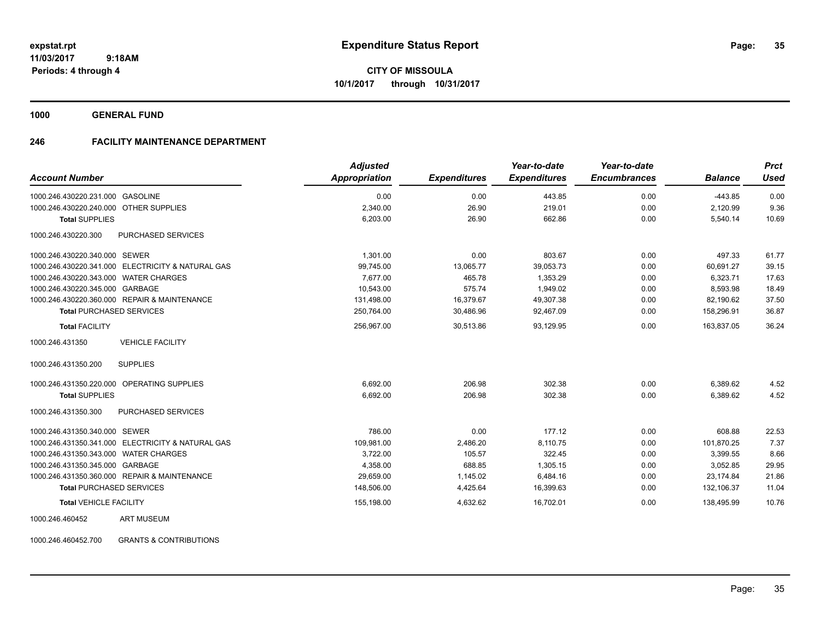**CITY OF MISSOULA 10/1/2017 through 10/31/2017**

**1000 GENERAL FUND**

## **246 FACILITY MAINTENANCE DEPARTMENT**

| <b>Account Number</b>                                | <b>Adjusted</b><br><b>Appropriation</b> | <b>Expenditures</b> | Year-to-date<br><b>Expenditures</b> | Year-to-date<br><b>Encumbrances</b> | <b>Balance</b> | <b>Prct</b><br><b>Used</b> |
|------------------------------------------------------|-----------------------------------------|---------------------|-------------------------------------|-------------------------------------|----------------|----------------------------|
| 1000.246.430220.231.000 GASOLINE                     | 0.00                                    | 0.00                | 443.85                              | 0.00                                | $-443.85$      | 0.00                       |
| 1000.246.430220.240.000 OTHER SUPPLIES               | 2.340.00                                | 26.90               | 219.01                              | 0.00                                | 2,120.99       | 9.36                       |
| <b>Total SUPPLIES</b>                                | 6,203.00                                | 26.90               | 662.86                              | 0.00                                | 5,540.14       | 10.69                      |
| 1000.246.430220.300<br><b>PURCHASED SERVICES</b>     |                                         |                     |                                     |                                     |                |                            |
| 1000.246.430220.340.000 SEWER                        | 1.301.00                                | 0.00                | 803.67                              | 0.00                                | 497.33         | 61.77                      |
| 1000.246.430220.341.000 ELECTRICITY & NATURAL GAS    | 99,745.00                               | 13,065.77           | 39,053.73                           | 0.00                                | 60.691.27      | 39.15                      |
| 1000.246.430220.343.000 WATER CHARGES                | 7.677.00                                | 465.78              | 1,353.29                            | 0.00                                | 6,323.71       | 17.63                      |
| 1000.246.430220.345.000 GARBAGE                      | 10,543.00                               | 575.74              | 1.949.02                            | 0.00                                | 8,593.98       | 18.49                      |
| 1000.246.430220.360.000 REPAIR & MAINTENANCE         | 131,498.00                              | 16,379.67           | 49,307.38                           | 0.00                                | 82,190.62      | 37.50                      |
| <b>Total PURCHASED SERVICES</b>                      | 250,764.00                              | 30,486.96           | 92,467.09                           | 0.00                                | 158,296.91     | 36.87                      |
| <b>Total FACILITY</b>                                | 256,967.00                              | 30,513.86           | 93,129.95                           | 0.00                                | 163,837.05     | 36.24                      |
| <b>VEHICLE FACILITY</b><br>1000.246.431350           |                                         |                     |                                     |                                     |                |                            |
| <b>SUPPLIES</b><br>1000.246.431350.200               |                                         |                     |                                     |                                     |                |                            |
| 1000.246.431350.220.000<br><b>OPERATING SUPPLIES</b> | 6,692.00                                | 206.98              | 302.38                              | 0.00                                | 6,389.62       | 4.52                       |
| <b>Total SUPPLIES</b>                                | 6,692.00                                | 206.98              | 302.38                              | 0.00                                | 6,389.62       | 4.52                       |
| 1000.246.431350.300<br>PURCHASED SERVICES            |                                         |                     |                                     |                                     |                |                            |
| 1000.246.431350.340.000 SEWER                        | 786.00                                  | 0.00                | 177.12                              | 0.00                                | 608.88         | 22.53                      |
| 1000.246.431350.341.000 ELECTRICITY & NATURAL GAS    | 109,981.00                              | 2,486.20            | 8,110.75                            | 0.00                                | 101,870.25     | 7.37                       |
| 1000.246.431350.343.000 WATER CHARGES                | 3,722.00                                | 105.57              | 322.45                              | 0.00                                | 3,399.55       | 8.66                       |
| 1000.246.431350.345.000 GARBAGE                      | 4,358.00                                | 688.85              | 1,305.15                            | 0.00                                | 3,052.85       | 29.95                      |
| 1000.246.431350.360.000 REPAIR & MAINTENANCE         | 29,659.00                               | 1,145.02            | 6,484.16                            | 0.00                                | 23.174.84      | 21.86                      |
| <b>Total PURCHASED SERVICES</b>                      | 148,506.00                              | 4,425.64            | 16,399.63                           | 0.00                                | 132,106.37     | 11.04                      |
| <b>Total VEHICLE FACILITY</b>                        | 155,198.00                              | 4,632.62            | 16,702.01                           | 0.00                                | 138,495.99     | 10.76                      |
| <b>ART MUSEUM</b><br>1000.246.460452                 |                                         |                     |                                     |                                     |                |                            |

1000.246.460452.700 GRANTS & CONTRIBUTIONS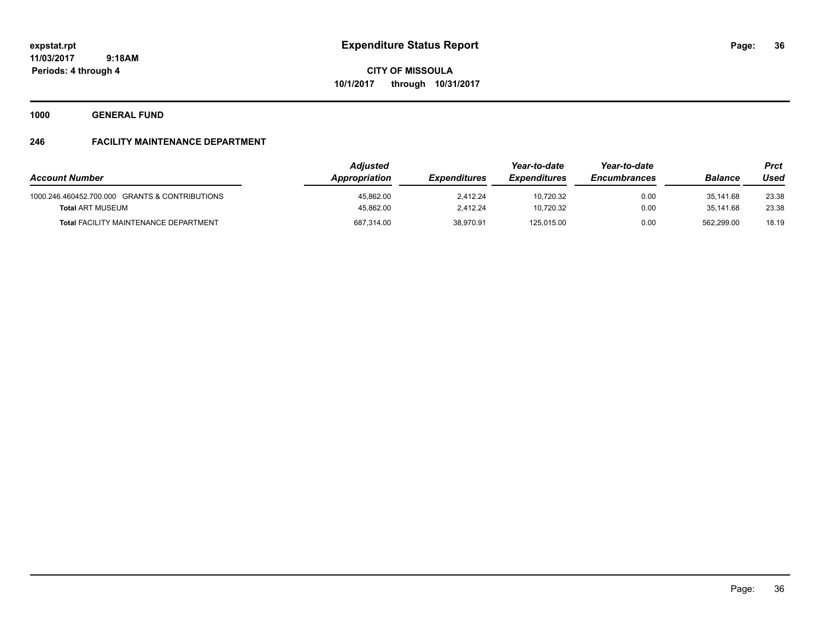**CITY OF MISSOULA 10/1/2017 through 10/31/2017**

**1000 GENERAL FUND**

## **246 FACILITY MAINTENANCE DEPARTMENT**

| <b>Account Number</b>                          | <b>Adiusted</b><br>Appropriation | <b>Expenditures</b> | Year-to-date<br><b>Expenditures</b> | Year-to-date<br><b>Encumbrances</b> | <b>Balance</b> | <b>Prct</b><br>Used |
|------------------------------------------------|----------------------------------|---------------------|-------------------------------------|-------------------------------------|----------------|---------------------|
|                                                |                                  |                     |                                     |                                     |                |                     |
| 1000.246.460452.700.000 GRANTS & CONTRIBUTIONS | 45,862.00                        | 2.412.24            | 10,720.32                           | 0.00                                | 35.141.68      | 23.38               |
| <b>Total ART MUSEUM</b>                        | 45.862.00                        | 2.412.24            | 10.720.32                           | 0.00                                | 35.141.68      | 23.38               |
| <b>Total FACILITY MAINTENANCE DEPARTMENT</b>   | 687,314.00                       | 38.970.91           | 125.015.00                          | 0.00                                | 562.299.00     | 18.19               |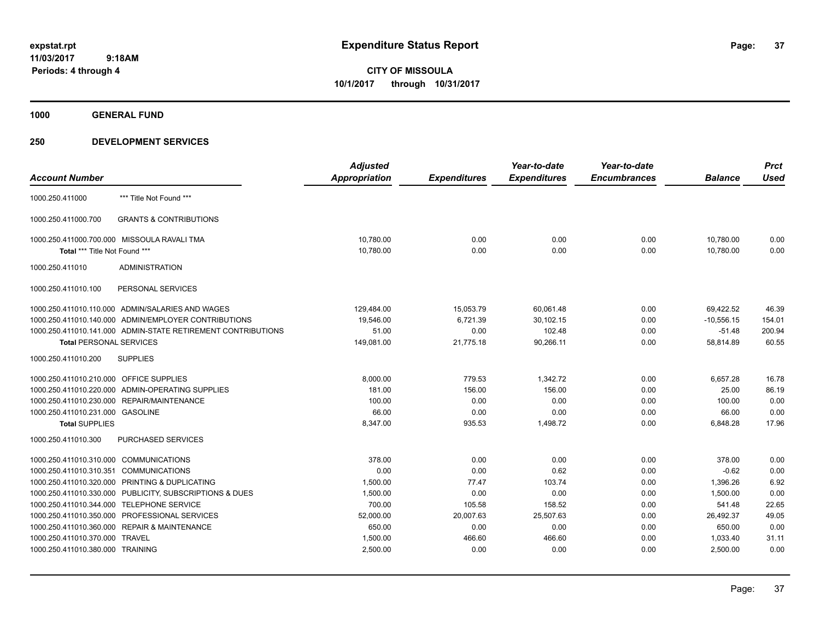**CITY OF MISSOULA 10/1/2017 through 10/31/2017**

**1000 GENERAL FUND**

|                                         |                                                              | <b>Adjusted</b> |                     | Year-to-date        | Year-to-date        |                | <b>Prct</b> |
|-----------------------------------------|--------------------------------------------------------------|-----------------|---------------------|---------------------|---------------------|----------------|-------------|
| <b>Account Number</b>                   |                                                              | Appropriation   | <b>Expenditures</b> | <b>Expenditures</b> | <b>Encumbrances</b> | <b>Balance</b> | <b>Used</b> |
| 1000.250.411000                         | *** Title Not Found ***                                      |                 |                     |                     |                     |                |             |
| 1000.250.411000.700                     | <b>GRANTS &amp; CONTRIBUTIONS</b>                            |                 |                     |                     |                     |                |             |
|                                         | 1000.250.411000.700.000 MISSOULA RAVALI TMA                  | 10,780.00       | 0.00                | 0.00                | 0.00                | 10.780.00      | 0.00        |
| Total *** Title Not Found ***           |                                                              | 10,780.00       | 0.00                | 0.00                | 0.00                | 10,780.00      | 0.00        |
| 1000.250.411010                         | <b>ADMINISTRATION</b>                                        |                 |                     |                     |                     |                |             |
| 1000.250.411010.100                     | PERSONAL SERVICES                                            |                 |                     |                     |                     |                |             |
|                                         | 1000.250.411010.110.000 ADMIN/SALARIES AND WAGES             | 129,484.00      | 15,053.79           | 60,061.48           | 0.00                | 69,422.52      | 46.39       |
|                                         | 1000.250.411010.140.000 ADMIN/EMPLOYER CONTRIBUTIONS         | 19,546.00       | 6,721.39            | 30,102.15           | 0.00                | $-10,556.15$   | 154.01      |
|                                         | 1000.250.411010.141.000 ADMIN-STATE RETIREMENT CONTRIBUTIONS | 51.00           | 0.00                | 102.48              | 0.00                | $-51.48$       | 200.94      |
| <b>Total PERSONAL SERVICES</b>          |                                                              | 149,081.00      | 21,775.18           | 90,266.11           | 0.00                | 58,814.89      | 60.55       |
| 1000.250.411010.200                     | <b>SUPPLIES</b>                                              |                 |                     |                     |                     |                |             |
| 1000.250.411010.210.000 OFFICE SUPPLIES |                                                              | 8,000.00        | 779.53              | 1,342.72            | 0.00                | 6,657.28       | 16.78       |
| 1000.250.411010.220.000                 | ADMIN-OPERATING SUPPLIES                                     | 181.00          | 156.00              | 156.00              | 0.00                | 25.00          | 86.19       |
| 1000.250.411010.230.000                 | REPAIR/MAINTENANCE                                           | 100.00          | 0.00                | 0.00                | 0.00                | 100.00         | 0.00        |
| 1000.250.411010.231.000 GASOLINE        |                                                              | 66.00           | 0.00                | 0.00                | 0.00                | 66.00          | 0.00        |
| <b>Total SUPPLIES</b>                   |                                                              | 8,347.00        | 935.53              | 1,498.72            | 0.00                | 6,848.28       | 17.96       |
| 1000.250.411010.300                     | PURCHASED SERVICES                                           |                 |                     |                     |                     |                |             |
| 1000.250.411010.310.000                 | <b>COMMUNICATIONS</b>                                        | 378.00          | 0.00                | 0.00                | 0.00                | 378.00         | 0.00        |
| 1000.250.411010.310.351                 | <b>COMMUNICATIONS</b>                                        | 0.00            | 0.00                | 0.62                | 0.00                | $-0.62$        | 0.00        |
| 1000.250.411010.320.000                 | PRINTING & DUPLICATING                                       | 1,500.00        | 77.47               | 103.74              | 0.00                | 1,396.26       | 6.92        |
| 1000.250.411010.330.000                 | PUBLICITY, SUBSCRIPTIONS & DUES                              | 1,500.00        | 0.00                | 0.00                | 0.00                | 1,500.00       | 0.00        |
| 1000.250.411010.344.000                 | <b>TELEPHONE SERVICE</b>                                     | 700.00          | 105.58              | 158.52              | 0.00                | 541.48         | 22.65       |
| 1000.250.411010.350.000                 | PROFESSIONAL SERVICES                                        | 52,000.00       | 20,007.63           | 25,507.63           | 0.00                | 26,492.37      | 49.05       |
| 1000.250.411010.360.000                 | <b>REPAIR &amp; MAINTENANCE</b>                              | 650.00          | 0.00                | 0.00                | 0.00                | 650.00         | 0.00        |
| 1000.250.411010.370.000                 | <b>TRAVEL</b>                                                | 1,500.00        | 466.60              | 466.60              | 0.00                | 1,033.40       | 31.11       |
| 1000.250.411010.380.000 TRAINING        |                                                              | 2,500.00        | 0.00                | 0.00                | 0.00                | 2,500.00       | 0.00        |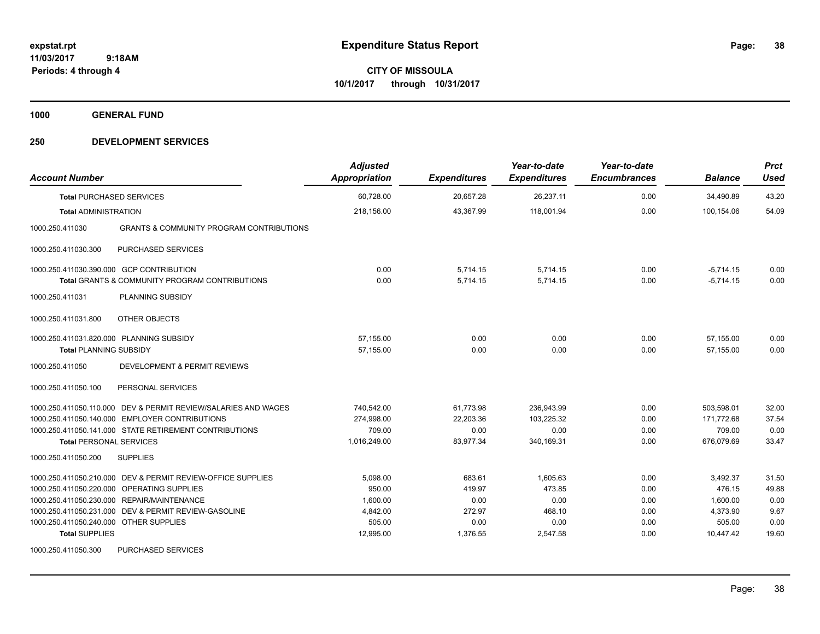**CITY OF MISSOULA 10/1/2017 through 10/31/2017**

**1000 GENERAL FUND**

| <b>Account Number</b>                    |                                                                | <b>Adjusted</b><br><b>Appropriation</b> | <b>Expenditures</b> | Year-to-date<br><b>Expenditures</b> | Year-to-date<br><b>Encumbrances</b> | <b>Balance</b> | <b>Prct</b><br><b>Used</b> |
|------------------------------------------|----------------------------------------------------------------|-----------------------------------------|---------------------|-------------------------------------|-------------------------------------|----------------|----------------------------|
| <b>Total PURCHASED SERVICES</b>          |                                                                | 60.728.00                               | 20,657.28           | 26,237.11                           | 0.00                                | 34,490.89      | 43.20                      |
| <b>Total ADMINISTRATION</b>              |                                                                | 218.156.00                              | 43,367.99           | 118.001.94                          | 0.00                                | 100.154.06     | 54.09                      |
| 1000.250.411030                          | <b>GRANTS &amp; COMMUNITY PROGRAM CONTRIBUTIONS</b>            |                                         |                     |                                     |                                     |                |                            |
| 1000.250.411030.300                      | <b>PURCHASED SERVICES</b>                                      |                                         |                     |                                     |                                     |                |                            |
| 1000.250.411030.390.000 GCP CONTRIBUTION |                                                                | 0.00                                    | 5,714.15            | 5,714.15                            | 0.00                                | $-5,714.15$    | 0.00                       |
|                                          | <b>Total GRANTS &amp; COMMUNITY PROGRAM CONTRIBUTIONS</b>      | 0.00                                    | 5,714.15            | 5,714.15                            | 0.00                                | $-5,714.15$    | 0.00                       |
| 1000.250.411031                          | PLANNING SUBSIDY                                               |                                         |                     |                                     |                                     |                |                            |
| 1000.250.411031.800                      | OTHER OBJECTS                                                  |                                         |                     |                                     |                                     |                |                            |
| 1000.250.411031.820.000 PLANNING SUBSIDY |                                                                | 57,155.00                               | 0.00                | 0.00                                | 0.00                                | 57,155.00      | 0.00                       |
| <b>Total PLANNING SUBSIDY</b>            |                                                                | 57.155.00                               | 0.00                | 0.00                                | 0.00                                | 57.155.00      | 0.00                       |
| 1000.250.411050                          | DEVELOPMENT & PERMIT REVIEWS                                   |                                         |                     |                                     |                                     |                |                            |
| 1000.250.411050.100                      | PERSONAL SERVICES                                              |                                         |                     |                                     |                                     |                |                            |
|                                          | 1000.250.411050.110.000 DEV & PERMIT REVIEW/SALARIES AND WAGES | 740.542.00                              | 61,773.98           | 236,943.99                          | 0.00                                | 503,598.01     | 32.00                      |
|                                          | 1000.250.411050.140.000 EMPLOYER CONTRIBUTIONS                 | 274,998.00                              | 22,203.36           | 103,225.32                          | 0.00                                | 171,772.68     | 37.54                      |
|                                          | 1000.250.411050.141.000 STATE RETIREMENT CONTRIBUTIONS         | 709.00                                  | 0.00                | 0.00                                | 0.00                                | 709.00         | 0.00                       |
| <b>Total PERSONAL SERVICES</b>           |                                                                | 1,016,249.00                            | 83,977.34           | 340,169.31                          | 0.00                                | 676,079.69     | 33.47                      |
| 1000.250.411050.200                      | <b>SUPPLIES</b>                                                |                                         |                     |                                     |                                     |                |                            |
|                                          | 1000.250.411050.210.000 DEV & PERMIT REVIEW-OFFICE SUPPLIES    | 5,098.00                                | 683.61              | 1.605.63                            | 0.00                                | 3,492.37       | 31.50                      |
|                                          | 1000.250.411050.220.000 OPERATING SUPPLIES                     | 950.00                                  | 419.97              | 473.85                              | 0.00                                | 476.15         | 49.88                      |
|                                          | 1000.250.411050.230.000 REPAIR/MAINTENANCE                     | 1,600.00                                | 0.00                | 0.00                                | 0.00                                | 1,600.00       | 0.00                       |
|                                          | 1000.250.411050.231.000 DEV & PERMIT REVIEW-GASOLINE           | 4,842.00                                | 272.97              | 468.10                              | 0.00                                | 4,373.90       | 9.67                       |
| 1000.250.411050.240.000 OTHER SUPPLIES   |                                                                | 505.00                                  | 0.00                | 0.00                                | 0.00                                | 505.00         | 0.00                       |
| <b>Total SUPPLIES</b>                    |                                                                | 12,995.00                               | 1,376.55            | 2,547.58                            | 0.00                                | 10,447.42      | 19.60                      |
| 1000.250.411050.300                      | <b>PURCHASED SERVICES</b>                                      |                                         |                     |                                     |                                     |                |                            |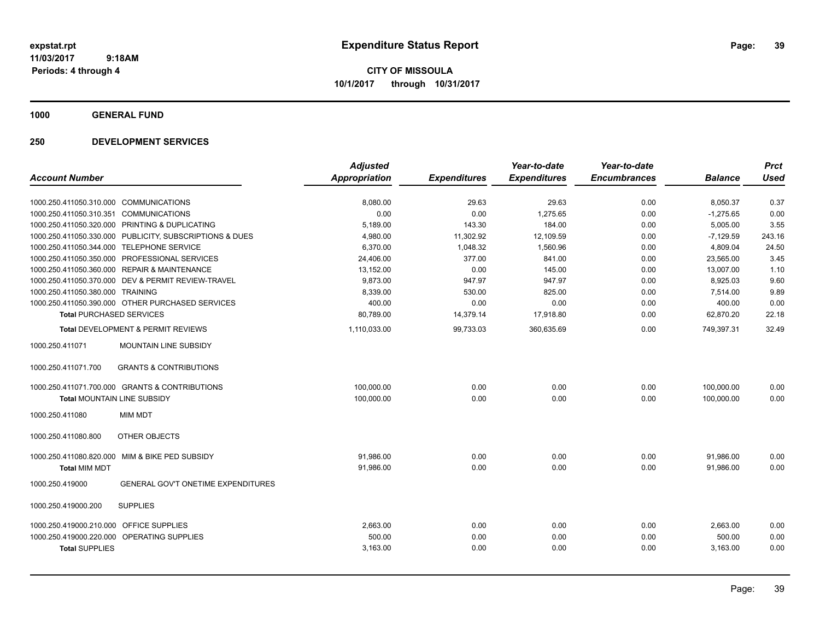**CITY OF MISSOULA 10/1/2017 through 10/31/2017**

**1000 GENERAL FUND**

| <b>Account Number</b>                   |                                                         | <b>Adjusted</b><br><b>Appropriation</b> | <b>Expenditures</b> | Year-to-date<br><b>Expenditures</b> | Year-to-date<br><b>Encumbrances</b> | <b>Balance</b> | <b>Prct</b><br><b>Used</b> |
|-----------------------------------------|---------------------------------------------------------|-----------------------------------------|---------------------|-------------------------------------|-------------------------------------|----------------|----------------------------|
|                                         |                                                         |                                         |                     |                                     |                                     |                |                            |
| 1000.250.411050.310.000 COMMUNICATIONS  |                                                         | 8,080.00                                | 29.63               | 29.63                               | 0.00                                | 8,050.37       | 0.37                       |
| 1000.250.411050.310.351 COMMUNICATIONS  |                                                         | 0.00                                    | 0.00                | 1,275.65                            | 0.00                                | $-1,275.65$    | 0.00                       |
|                                         | 1000.250.411050.320.000 PRINTING & DUPLICATING          | 5,189.00                                | 143.30              | 184.00                              | 0.00                                | 5,005.00       | 3.55                       |
|                                         | 1000.250.411050.330.000 PUBLICITY, SUBSCRIPTIONS & DUES | 4,980.00                                | 11,302.92           | 12,109.59                           | 0.00                                | $-7,129.59$    | 243.16                     |
|                                         | 1000.250.411050.344.000 TELEPHONE SERVICE               | 6,370.00                                | 1,048.32            | 1,560.96                            | 0.00                                | 4,809.04       | 24.50                      |
| 1000.250.411050.350.000                 | PROFESSIONAL SERVICES                                   | 24,406.00                               | 377.00              | 841.00                              | 0.00                                | 23.565.00      | 3.45                       |
| 1000.250.411050.360.000                 | <b>REPAIR &amp; MAINTENANCE</b>                         | 13,152.00                               | 0.00                | 145.00                              | 0.00                                | 13,007.00      | 1.10                       |
| 1000.250.411050.370.000                 | DEV & PERMIT REVIEW-TRAVEL                              | 9,873.00                                | 947.97              | 947.97                              | 0.00                                | 8,925.03       | 9.60                       |
| 1000.250.411050.380.000 TRAINING        |                                                         | 8,339.00                                | 530.00              | 825.00                              | 0.00                                | 7,514.00       | 9.89                       |
|                                         | 1000.250.411050.390.000 OTHER PURCHASED SERVICES        | 400.00                                  | 0.00                | 0.00                                | 0.00                                | 400.00         | 0.00                       |
| <b>Total PURCHASED SERVICES</b>         |                                                         | 80,789.00                               | 14,379.14           | 17,918.80                           | 0.00                                | 62,870.20      | 22.18                      |
|                                         | <b>Total DEVELOPMENT &amp; PERMIT REVIEWS</b>           | 1,110,033.00                            | 99,733.03           | 360,635.69                          | 0.00                                | 749,397.31     | 32.49                      |
| 1000.250.411071                         | MOUNTAIN LINE SUBSIDY                                   |                                         |                     |                                     |                                     |                |                            |
| 1000.250.411071.700                     | <b>GRANTS &amp; CONTRIBUTIONS</b>                       |                                         |                     |                                     |                                     |                |                            |
|                                         | 1000.250.411071.700.000 GRANTS & CONTRIBUTIONS          | 100,000.00                              | 0.00                | 0.00                                | 0.00                                | 100,000.00     | 0.00                       |
| Total MOUNTAIN LINE SUBSIDY             |                                                         | 100,000.00                              | 0.00                | 0.00                                | 0.00                                | 100,000.00     | 0.00                       |
| 1000.250.411080                         | <b>MIM MDT</b>                                          |                                         |                     |                                     |                                     |                |                            |
| 1000.250.411080.800                     | OTHER OBJECTS                                           |                                         |                     |                                     |                                     |                |                            |
|                                         | 1000.250.411080.820.000 MIM & BIKE PED SUBSIDY          | 91,986.00                               | 0.00                | 0.00                                | 0.00                                | 91,986.00      | 0.00                       |
| <b>Total MIM MDT</b>                    |                                                         | 91,986.00                               | 0.00                | 0.00                                | 0.00                                | 91.986.00      | 0.00                       |
| 1000.250.419000                         | <b>GENERAL GOV'T ONETIME EXPENDITURES</b>               |                                         |                     |                                     |                                     |                |                            |
| 1000.250.419000.200                     | <b>SUPPLIES</b>                                         |                                         |                     |                                     |                                     |                |                            |
| 1000.250.419000.210.000 OFFICE SUPPLIES |                                                         | 2,663.00                                | 0.00                | 0.00                                | 0.00                                | 2.663.00       | 0.00                       |
|                                         | 1000.250.419000.220.000 OPERATING SUPPLIES              | 500.00                                  | 0.00                | 0.00                                | 0.00                                | 500.00         | 0.00                       |
| <b>Total SUPPLIES</b>                   |                                                         | 3,163.00                                | 0.00                | 0.00                                | 0.00                                | 3,163.00       | 0.00                       |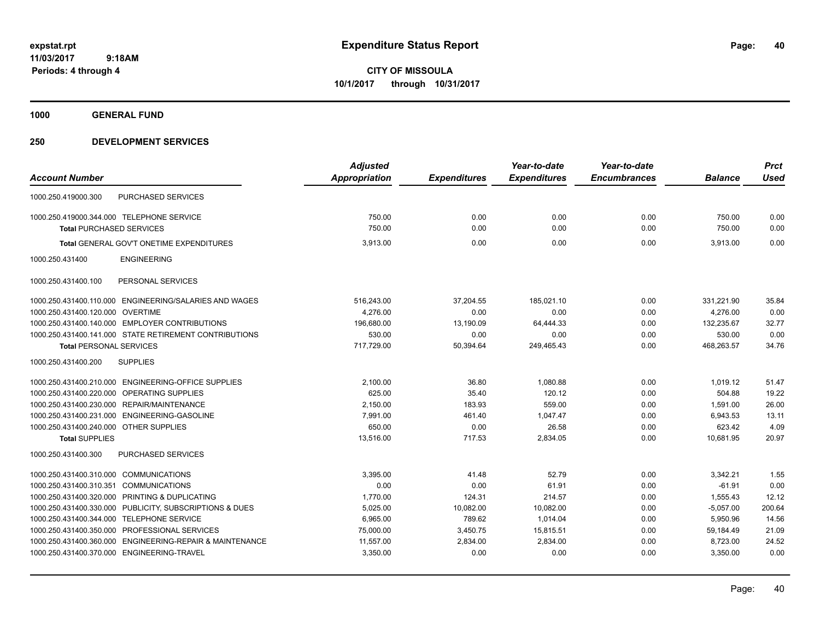**CITY OF MISSOULA 10/1/2017 through 10/31/2017**

**1000 GENERAL FUND**

|                                                            | <b>Adjusted</b>      |                     | Year-to-date        | Year-to-date        |                | <b>Prct</b> |
|------------------------------------------------------------|----------------------|---------------------|---------------------|---------------------|----------------|-------------|
| <b>Account Number</b>                                      | <b>Appropriation</b> | <b>Expenditures</b> | <b>Expenditures</b> | <b>Encumbrances</b> | <b>Balance</b> | <b>Used</b> |
| PURCHASED SERVICES<br>1000.250.419000.300                  |                      |                     |                     |                     |                |             |
| 1000.250.419000.344.000 TELEPHONE SERVICE                  | 750.00               | 0.00                | 0.00                | 0.00                | 750.00         | 0.00        |
| <b>Total PURCHASED SERVICES</b>                            | 750.00               | 0.00                | 0.00                | 0.00                | 750.00         | 0.00        |
| Total GENERAL GOV'T ONETIME EXPENDITURES                   | 3,913.00             | 0.00                | 0.00                | 0.00                | 3.913.00       | 0.00        |
| 1000.250.431400<br><b>ENGINEERING</b>                      |                      |                     |                     |                     |                |             |
| 1000.250.431400.100<br>PERSONAL SERVICES                   |                      |                     |                     |                     |                |             |
| 1000.250.431400.110.000 ENGINEERING/SALARIES AND WAGES     | 516,243.00           | 37,204.55           | 185,021.10          | 0.00                | 331,221.90     | 35.84       |
| 1000.250.431400.120.000 OVERTIME                           | 4,276.00             | 0.00                | 0.00                | 0.00                | 4,276.00       | 0.00        |
| 1000.250.431400.140.000 EMPLOYER CONTRIBUTIONS             | 196,680.00           | 13,190.09           | 64,444.33           | 0.00                | 132,235.67     | 32.77       |
| 1000.250.431400.141.000 STATE RETIREMENT CONTRIBUTIONS     | 530.00               | 0.00                | 0.00                | 0.00                | 530.00         | 0.00        |
| <b>Total PERSONAL SERVICES</b>                             | 717,729.00           | 50,394.64           | 249,465.43          | 0.00                | 468,263.57     | 34.76       |
| 1000.250.431400.200<br><b>SUPPLIES</b>                     |                      |                     |                     |                     |                |             |
| 1000.250.431400.210.000 ENGINEERING-OFFICE SUPPLIES        | 2,100.00             | 36.80               | 1,080.88            | 0.00                | 1,019.12       | 51.47       |
| 1000.250.431400.220.000 OPERATING SUPPLIES                 | 625.00               | 35.40               | 120.12              | 0.00                | 504.88         | 19.22       |
| 1000.250.431400.230.000 REPAIR/MAINTENANCE                 | 2,150.00             | 183.93              | 559.00              | 0.00                | 1,591.00       | 26.00       |
| 1000.250.431400.231.000 ENGINEERING-GASOLINE               | 7,991.00             | 461.40              | 1.047.47            | 0.00                | 6.943.53       | 13.11       |
| 1000.250.431400.240.000 OTHER SUPPLIES                     | 650.00               | 0.00                | 26.58               | 0.00                | 623.42         | 4.09        |
| <b>Total SUPPLIES</b>                                      | 13,516.00            | 717.53              | 2,834.05            | 0.00                | 10.681.95      | 20.97       |
| PURCHASED SERVICES<br>1000.250.431400.300                  |                      |                     |                     |                     |                |             |
| 1000.250.431400.310.000 COMMUNICATIONS                     | 3,395.00             | 41.48               | 52.79               | 0.00                | 3,342.21       | 1.55        |
| 1000.250.431400.310.351<br><b>COMMUNICATIONS</b>           | 0.00                 | 0.00                | 61.91               | 0.00                | $-61.91$       | 0.00        |
| PRINTING & DUPLICATING<br>1000.250.431400.320.000          | 1,770.00             | 124.31              | 214.57              | 0.00                | 1,555.43       | 12.12       |
| PUBLICITY, SUBSCRIPTIONS & DUES<br>1000.250.431400.330.000 | 5,025.00             | 10,082.00           | 10,082.00           | 0.00                | $-5,057.00$    | 200.64      |
| <b>TELEPHONE SERVICE</b><br>1000.250.431400.344.000        | 6,965.00             | 789.62              | 1,014.04            | 0.00                | 5,950.96       | 14.56       |
| 1000.250.431400.350.000 PROFESSIONAL SERVICES              | 75,000.00            | 3,450.75            | 15,815.51           | 0.00                | 59,184.49      | 21.09       |
| 1000.250.431400.360.000 ENGINEERING-REPAIR & MAINTENANCE   | 11,557.00            | 2,834.00            | 2,834.00            | 0.00                | 8,723.00       | 24.52       |
| 1000.250.431400.370.000 ENGINEERING-TRAVEL                 | 3,350.00             | 0.00                | 0.00                | 0.00                | 3,350.00       | 0.00        |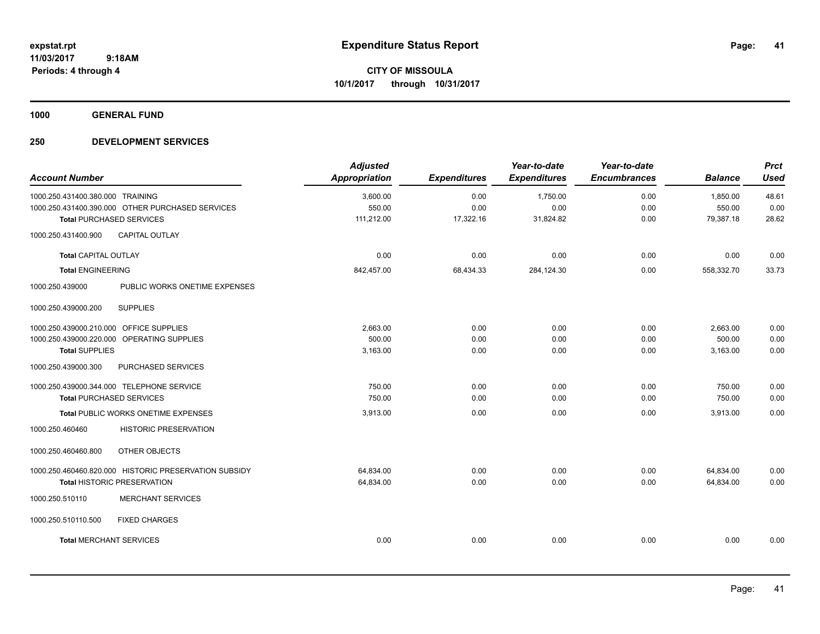**CITY OF MISSOULA 10/1/2017 through 10/31/2017**

**1000 GENERAL FUND**

| <b>Account Number</b>                                 | <b>Adjusted</b><br>Appropriation | <b>Expenditures</b> | Year-to-date<br><b>Expenditures</b> | Year-to-date<br><b>Encumbrances</b> | <b>Balance</b> | <b>Prct</b><br><b>Used</b> |
|-------------------------------------------------------|----------------------------------|---------------------|-------------------------------------|-------------------------------------|----------------|----------------------------|
| 1000.250.431400.380.000 TRAINING                      | 3,600.00                         | 0.00                | 1,750.00                            | 0.00                                | 1,850.00       | 48.61                      |
| 1000.250.431400.390.000 OTHER PURCHASED SERVICES      | 550.00                           | 0.00                | 0.00                                | 0.00                                | 550.00         | 0.00                       |
| <b>Total PURCHASED SERVICES</b>                       | 111,212.00                       | 17,322.16           | 31,824.82                           | 0.00                                | 79,387.18      | 28.62                      |
| CAPITAL OUTLAY<br>1000.250.431400.900                 |                                  |                     |                                     |                                     |                |                            |
| <b>Total CAPITAL OUTLAY</b>                           | 0.00                             | 0.00                | 0.00                                | 0.00                                | 0.00           | 0.00                       |
| <b>Total ENGINEERING</b>                              | 842,457.00                       | 68,434.33           | 284,124.30                          | 0.00                                | 558,332.70     | 33.73                      |
| 1000.250.439000<br>PUBLIC WORKS ONETIME EXPENSES      |                                  |                     |                                     |                                     |                |                            |
| <b>SUPPLIES</b><br>1000.250.439000.200                |                                  |                     |                                     |                                     |                |                            |
| 1000.250.439000.210.000 OFFICE SUPPLIES               | 2.663.00                         | 0.00                | 0.00                                | 0.00                                | 2,663.00       | 0.00                       |
| 1000.250.439000.220.000 OPERATING SUPPLIES            | 500.00                           | 0.00                | 0.00                                | 0.00                                | 500.00         | 0.00                       |
| <b>Total SUPPLIES</b>                                 | 3,163.00                         | 0.00                | 0.00                                | 0.00                                | 3,163.00       | 0.00                       |
| 1000.250.439000.300<br>PURCHASED SERVICES             |                                  |                     |                                     |                                     |                |                            |
| 1000.250.439000.344.000 TELEPHONE SERVICE             | 750.00                           | 0.00                | 0.00                                | 0.00                                | 750.00         | 0.00                       |
| <b>Total PURCHASED SERVICES</b>                       | 750.00                           | 0.00                | 0.00                                | 0.00                                | 750.00         | 0.00                       |
| Total PUBLIC WORKS ONETIME EXPENSES                   | 3,913.00                         | 0.00                | 0.00                                | 0.00                                | 3.913.00       | 0.00                       |
| <b>HISTORIC PRESERVATION</b><br>1000.250.460460       |                                  |                     |                                     |                                     |                |                            |
| OTHER OBJECTS<br>1000.250.460460.800                  |                                  |                     |                                     |                                     |                |                            |
| 1000.250.460460.820.000 HISTORIC PRESERVATION SUBSIDY | 64,834.00                        | 0.00                | 0.00                                | 0.00                                | 64,834.00      | 0.00                       |
| <b>Total HISTORIC PRESERVATION</b>                    | 64,834.00                        | 0.00                | 0.00                                | 0.00                                | 64,834.00      | 0.00                       |
| <b>MERCHANT SERVICES</b><br>1000.250.510110           |                                  |                     |                                     |                                     |                |                            |
| 1000.250.510110.500<br><b>FIXED CHARGES</b>           |                                  |                     |                                     |                                     |                |                            |
| <b>Total MERCHANT SERVICES</b>                        | 0.00                             | 0.00                | 0.00                                | 0.00                                | 0.00           | 0.00                       |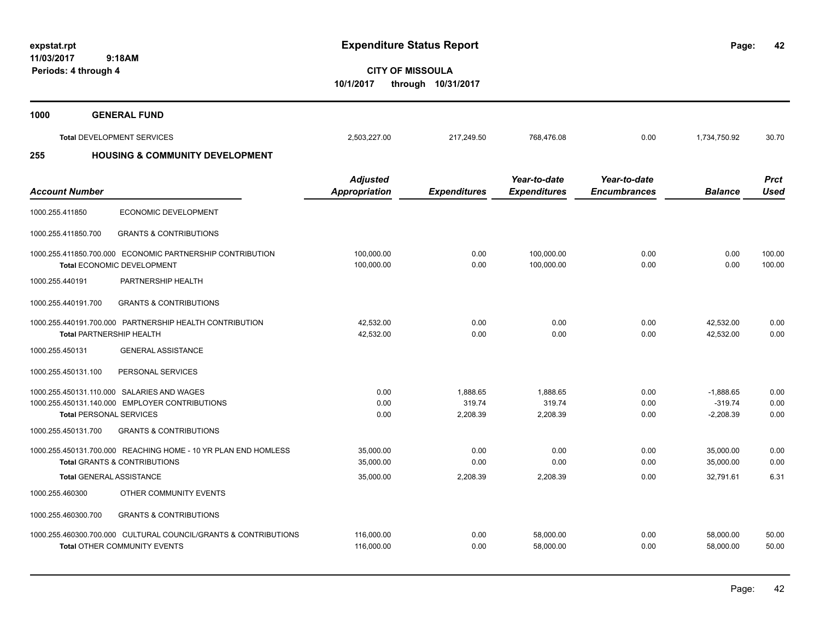**42**

**CITY OF MISSOULA 10/1/2017 through 10/31/2017**

| 1000 | <b>GENERAL FUND</b>                        |              |            |            |      |              |       |
|------|--------------------------------------------|--------------|------------|------------|------|--------------|-------|
|      | <b>Total DEVELOPMENT SERVICES</b>          | 2,503,227.00 | 217,249.50 | 768,476.08 | 0.00 | 1,734,750.92 | 30.70 |
| 255  | <b>HOUSING &amp; COMMUNITY DEVELOPMENT</b> |              |            |            |      |              |       |

| <b>Account Number</b>           |                                                                                                        | <b>Adjusted</b><br><b>Appropriation</b> | <b>Expenditures</b>            | Year-to-date<br><b>Expenditures</b> | Year-to-date<br><b>Encumbrances</b> | <b>Balance</b>                          | <b>Prct</b><br><b>Used</b> |
|---------------------------------|--------------------------------------------------------------------------------------------------------|-----------------------------------------|--------------------------------|-------------------------------------|-------------------------------------|-----------------------------------------|----------------------------|
| 1000.255.411850                 | <b>ECONOMIC DEVELOPMENT</b>                                                                            |                                         |                                |                                     |                                     |                                         |                            |
| 1000.255.411850.700             | <b>GRANTS &amp; CONTRIBUTIONS</b>                                                                      |                                         |                                |                                     |                                     |                                         |                            |
|                                 | 1000.255.411850.700.000 ECONOMIC PARTNERSHIP CONTRIBUTION<br><b>Total ECONOMIC DEVELOPMENT</b>         | 100.000.00<br>100,000.00                | 0.00<br>0.00                   | 100.000.00<br>100,000.00            | 0.00<br>0.00                        | 0.00<br>0.00                            | 100.00<br>100.00           |
| 1000.255.440191                 | PARTNERSHIP HEALTH                                                                                     |                                         |                                |                                     |                                     |                                         |                            |
| 1000.255.440191.700             | <b>GRANTS &amp; CONTRIBUTIONS</b>                                                                      |                                         |                                |                                     |                                     |                                         |                            |
| <b>Total PARTNERSHIP HEALTH</b> | 1000.255.440191.700.000 PARTNERSHIP HEALTH CONTRIBUTION                                                | 42,532.00<br>42,532.00                  | 0.00<br>0.00                   | 0.00<br>0.00                        | 0.00<br>0.00                        | 42,532.00<br>42,532.00                  | 0.00<br>0.00               |
| 1000.255.450131                 | <b>GENERAL ASSISTANCE</b>                                                                              |                                         |                                |                                     |                                     |                                         |                            |
| 1000.255.450131.100             | PERSONAL SERVICES                                                                                      |                                         |                                |                                     |                                     |                                         |                            |
| <b>Total PERSONAL SERVICES</b>  | 1000.255.450131.110.000 SALARIES AND WAGES<br>1000.255.450131.140.000 EMPLOYER CONTRIBUTIONS           | 0.00<br>0.00<br>0.00                    | 1.888.65<br>319.74<br>2,208.39 | 1.888.65<br>319.74<br>2,208.39      | 0.00<br>0.00<br>0.00                | $-1.888.65$<br>$-319.74$<br>$-2,208.39$ | 0.00<br>0.00<br>0.00       |
| 1000.255.450131.700             | <b>GRANTS &amp; CONTRIBUTIONS</b>                                                                      |                                         |                                |                                     |                                     |                                         |                            |
|                                 | 1000.255.450131.700.000 REACHING HOME - 10 YR PLAN END HOMLESS<br>Total GRANTS & CONTRIBUTIONS         | 35.000.00<br>35,000.00                  | 0.00<br>0.00                   | 0.00<br>0.00                        | 0.00<br>0.00                        | 35.000.00<br>35.000.00                  | 0.00<br>0.00               |
| <b>Total GENERAL ASSISTANCE</b> |                                                                                                        | 35,000.00                               | 2,208.39                       | 2,208.39                            | 0.00                                | 32.791.61                               | 6.31                       |
| 1000.255.460300                 | OTHER COMMUNITY EVENTS                                                                                 |                                         |                                |                                     |                                     |                                         |                            |
| 1000.255.460300.700             | <b>GRANTS &amp; CONTRIBUTIONS</b>                                                                      |                                         |                                |                                     |                                     |                                         |                            |
|                                 | 1000.255.460300.700.000 CULTURAL COUNCIL/GRANTS & CONTRIBUTIONS<br><b>Total OTHER COMMUNITY EVENTS</b> | 116,000.00<br>116,000.00                | 0.00<br>0.00                   | 58,000.00<br>58,000.00              | 0.00<br>0.00                        | 58,000.00<br>58,000.00                  | 50.00<br>50.00             |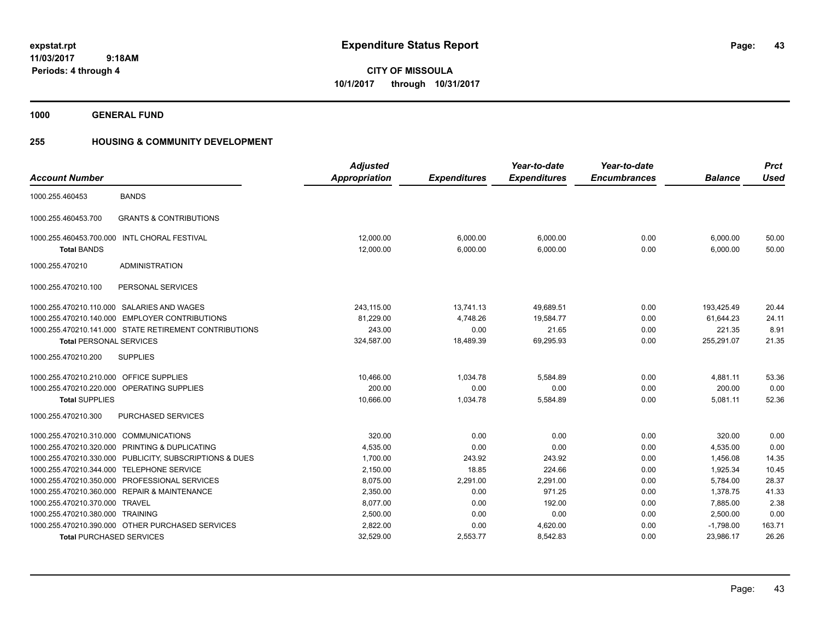**CITY OF MISSOULA 10/1/2017 through 10/31/2017**

**1000 GENERAL FUND**

# **255 HOUSING & COMMUNITY DEVELOPMENT**

|                                        |                                                         | <b>Adjusted</b> |                     | Year-to-date        | Year-to-date        |                | <b>Prct</b> |
|----------------------------------------|---------------------------------------------------------|-----------------|---------------------|---------------------|---------------------|----------------|-------------|
| <b>Account Number</b>                  |                                                         | Appropriation   | <b>Expenditures</b> | <b>Expenditures</b> | <b>Encumbrances</b> | <b>Balance</b> | <b>Used</b> |
| 1000.255.460453                        | <b>BANDS</b>                                            |                 |                     |                     |                     |                |             |
| 1000.255.460453.700                    | <b>GRANTS &amp; CONTRIBUTIONS</b>                       |                 |                     |                     |                     |                |             |
|                                        | 1000.255.460453.700.000 INTL CHORAL FESTIVAL            | 12,000.00       | 6,000.00            | 6,000.00            | 0.00                | 6,000.00       | 50.00       |
| <b>Total BANDS</b>                     |                                                         | 12,000.00       | 6,000.00            | 6,000.00            | 0.00                | 6,000.00       | 50.00       |
| 1000.255.470210                        | <b>ADMINISTRATION</b>                                   |                 |                     |                     |                     |                |             |
| 1000.255.470210.100                    | PERSONAL SERVICES                                       |                 |                     |                     |                     |                |             |
|                                        | 1000.255.470210.110.000 SALARIES AND WAGES              | 243,115.00      | 13,741.13           | 49,689.51           | 0.00                | 193,425.49     | 20.44       |
|                                        | 1000.255.470210.140.000 EMPLOYER CONTRIBUTIONS          | 81,229.00       | 4,748.26            | 19,584.77           | 0.00                | 61,644.23      | 24.11       |
|                                        | 1000.255.470210.141.000 STATE RETIREMENT CONTRIBUTIONS  | 243.00          | 0.00                | 21.65               | 0.00                | 221.35         | 8.91        |
| <b>Total PERSONAL SERVICES</b>         |                                                         | 324,587.00      | 18,489.39           | 69,295.93           | 0.00                | 255,291.07     | 21.35       |
| 1000.255.470210.200                    | <b>SUPPLIES</b>                                         |                 |                     |                     |                     |                |             |
| 1000.255.470210.210.000                | <b>OFFICE SUPPLIES</b>                                  | 10.466.00       | 1.034.78            | 5,584.89            | 0.00                | 4,881.11       | 53.36       |
|                                        | 1000.255.470210.220.000 OPERATING SUPPLIES              | 200.00          | 0.00                | 0.00                | 0.00                | 200.00         | 0.00        |
| <b>Total SUPPLIES</b>                  |                                                         | 10,666.00       | 1,034.78            | 5,584.89            | 0.00                | 5,081.11       | 52.36       |
| 1000.255.470210.300                    | PURCHASED SERVICES                                      |                 |                     |                     |                     |                |             |
| 1000.255.470210.310.000 COMMUNICATIONS |                                                         | 320.00          | 0.00                | 0.00                | 0.00                | 320.00         | 0.00        |
|                                        | 1000.255.470210.320.000 PRINTING & DUPLICATING          | 4,535.00        | 0.00                | 0.00                | 0.00                | 4,535.00       | 0.00        |
|                                        | 1000.255.470210.330.000 PUBLICITY, SUBSCRIPTIONS & DUES | 1,700.00        | 243.92              | 243.92              | 0.00                | 1,456.08       | 14.35       |
|                                        | 1000.255.470210.344.000 TELEPHONE SERVICE               | 2,150.00        | 18.85               | 224.66              | 0.00                | 1,925.34       | 10.45       |
|                                        | 1000.255.470210.350.000 PROFESSIONAL SERVICES           | 8.075.00        | 2,291.00            | 2,291.00            | 0.00                | 5,784.00       | 28.37       |
|                                        | 1000.255.470210.360.000 REPAIR & MAINTENANCE            | 2,350.00        | 0.00                | 971.25              | 0.00                | 1,378.75       | 41.33       |
| 1000.255.470210.370.000 TRAVEL         |                                                         | 8,077.00        | 0.00                | 192.00              | 0.00                | 7,885.00       | 2.38        |
| 1000.255.470210.380.000 TRAINING       |                                                         | 2,500.00        | 0.00                | 0.00                | 0.00                | 2,500.00       | 0.00        |
|                                        | 1000.255.470210.390.000 OTHER PURCHASED SERVICES        | 2.822.00        | 0.00                | 4,620.00            | 0.00                | $-1,798.00$    | 163.71      |
| <b>Total PURCHASED SERVICES</b>        |                                                         | 32,529.00       | 2,553.77            | 8,542.83            | 0.00                | 23.986.17      | 26.26       |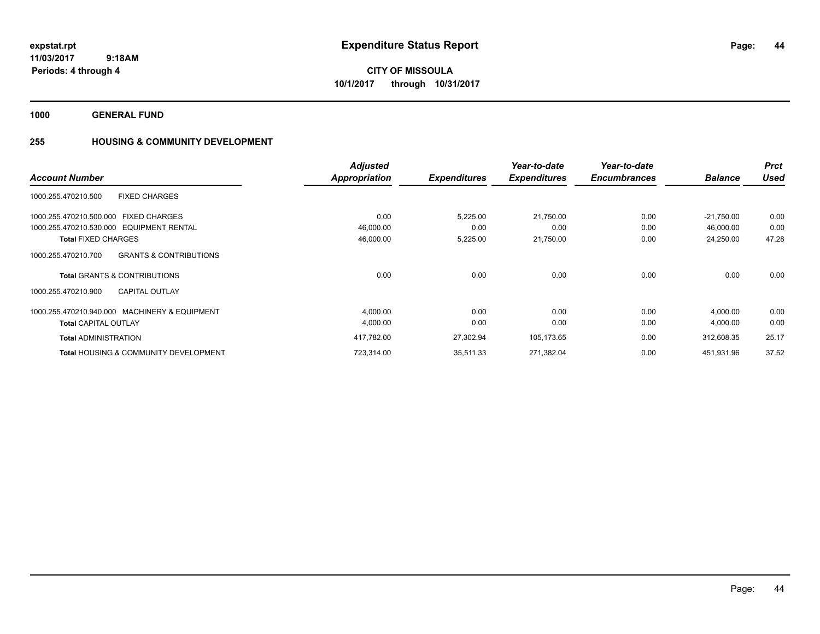**CITY OF MISSOULA 10/1/2017 through 10/31/2017**

**1000 GENERAL FUND**

# **255 HOUSING & COMMUNITY DEVELOPMENT**

|                                                          | <b>Adjusted</b>      |                     | Year-to-date        | Year-to-date        |                | <b>Prct</b> |
|----------------------------------------------------------|----------------------|---------------------|---------------------|---------------------|----------------|-------------|
| <b>Account Number</b>                                    | <b>Appropriation</b> | <b>Expenditures</b> | <b>Expenditures</b> | <b>Encumbrances</b> | <b>Balance</b> | <b>Used</b> |
| 1000.255.470210.500<br><b>FIXED CHARGES</b>              |                      |                     |                     |                     |                |             |
| 1000.255.470210.500.000 FIXED CHARGES                    | 0.00                 | 5,225.00            | 21,750.00           | 0.00                | $-21,750.00$   | 0.00        |
| 1000.255.470210.530.000 EQUIPMENT RENTAL                 | 46,000.00            | 0.00                | 0.00                | 0.00                | 46.000.00      | 0.00        |
| <b>Total FIXED CHARGES</b>                               | 46,000.00            | 5,225.00            | 21,750.00           | 0.00                | 24,250.00      | 47.28       |
| <b>GRANTS &amp; CONTRIBUTIONS</b><br>1000.255.470210.700 |                      |                     |                     |                     |                |             |
| <b>Total GRANTS &amp; CONTRIBUTIONS</b>                  | 0.00                 | 0.00                | 0.00                | 0.00                | 0.00           | 0.00        |
| 1000.255.470210.900<br><b>CAPITAL OUTLAY</b>             |                      |                     |                     |                     |                |             |
| 1000.255.470210.940.000 MACHINERY & EQUIPMENT            | 4,000.00             | 0.00                | 0.00                | 0.00                | 4,000.00       | 0.00        |
| <b>Total CAPITAL OUTLAY</b>                              | 4,000.00             | 0.00                | 0.00                | 0.00                | 4,000.00       | 0.00        |
| <b>Total ADMINISTRATION</b>                              | 417,782.00           | 27,302.94           | 105,173.65          | 0.00                | 312.608.35     | 25.17       |
| <b>Total HOUSING &amp; COMMUNITY DEVELOPMENT</b>         | 723,314.00           | 35,511.33           | 271,382.04          | 0.00                | 451,931.96     | 37.52       |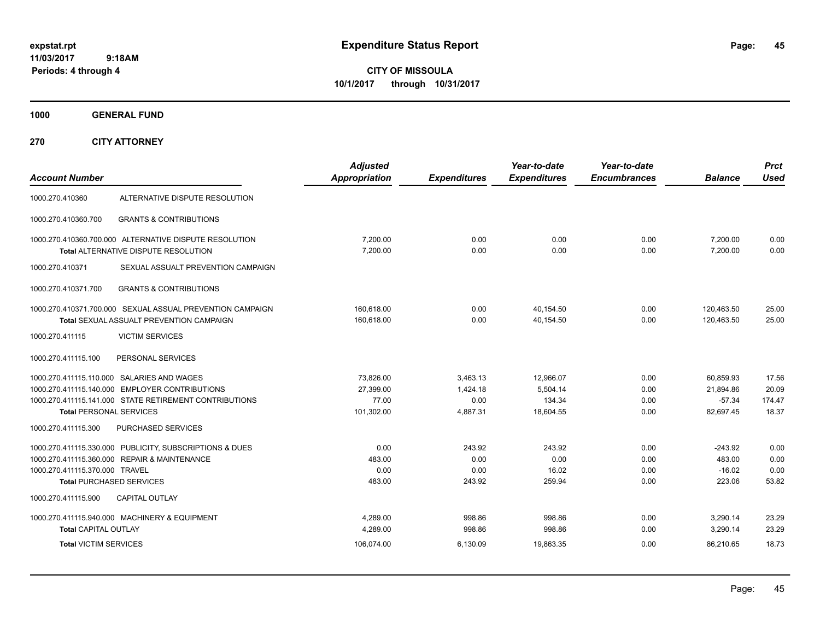**CITY OF MISSOULA 10/1/2017 through 10/31/2017**

**1000 GENERAL FUND**

| <b>Account Number</b>                                       |                                                                                                                                            | <b>Adjusted</b><br><b>Appropriation</b>       | <b>Expenditures</b>                      | Year-to-date<br><b>Expenditures</b>          | Year-to-date<br><b>Encumbrances</b> | <b>Balance</b>                                  | <b>Prct</b><br><b>Used</b>        |
|-------------------------------------------------------------|--------------------------------------------------------------------------------------------------------------------------------------------|-----------------------------------------------|------------------------------------------|----------------------------------------------|-------------------------------------|-------------------------------------------------|-----------------------------------|
| 1000.270.410360                                             | ALTERNATIVE DISPUTE RESOLUTION                                                                                                             |                                               |                                          |                                              |                                     |                                                 |                                   |
| 1000.270.410360.700                                         | <b>GRANTS &amp; CONTRIBUTIONS</b>                                                                                                          |                                               |                                          |                                              |                                     |                                                 |                                   |
|                                                             | 1000.270.410360.700.000 ALTERNATIVE DISPUTE RESOLUTION<br><b>Total ALTERNATIVE DISPUTE RESOLUTION</b>                                      | 7,200.00<br>7.200.00                          | 0.00<br>0.00                             | 0.00<br>0.00                                 | 0.00<br>0.00                        | 7,200.00<br>7.200.00                            | 0.00<br>0.00                      |
| 1000.270.410371                                             | SEXUAL ASSUALT PREVENTION CAMPAIGN                                                                                                         |                                               |                                          |                                              |                                     |                                                 |                                   |
| 1000.270.410371.700                                         | <b>GRANTS &amp; CONTRIBUTIONS</b>                                                                                                          |                                               |                                          |                                              |                                     |                                                 |                                   |
|                                                             | 1000.270.410371.700.000 SEXUAL ASSUAL PREVENTION CAMPAIGN<br><b>Total SEXUAL ASSUALT PREVENTION CAMPAIGN</b>                               | 160.618.00<br>160.618.00                      | 0.00<br>0.00                             | 40.154.50<br>40.154.50                       | 0.00<br>0.00                        | 120.463.50<br>120.463.50                        | 25.00<br>25.00                    |
| 1000.270.411115                                             | <b>VICTIM SERVICES</b>                                                                                                                     |                                               |                                          |                                              |                                     |                                                 |                                   |
| 1000.270.411115.100                                         | PERSONAL SERVICES                                                                                                                          |                                               |                                          |                                              |                                     |                                                 |                                   |
| 1000.270.411115.140.000<br><b>Total PERSONAL SERVICES</b>   | 1000.270.411115.110.000 SALARIES AND WAGES<br><b>EMPLOYER CONTRIBUTIONS</b><br>1000.270.411115.141.000 STATE RETIREMENT CONTRIBUTIONS      | 73.826.00<br>27.399.00<br>77.00<br>101,302.00 | 3.463.13<br>1.424.18<br>0.00<br>4,887.31 | 12.966.07<br>5,504.14<br>134.34<br>18,604.55 | 0.00<br>0.00<br>0.00<br>0.00        | 60.859.93<br>21,894.86<br>$-57.34$<br>82,697.45 | 17.56<br>20.09<br>174.47<br>18.37 |
| 1000.270.411115.300                                         | PURCHASED SERVICES                                                                                                                         |                                               |                                          |                                              |                                     |                                                 |                                   |
| 1000.270.411115.370.000 TRAVEL                              | 1000.270.411115.330.000 PUBLICITY, SUBSCRIPTIONS & DUES<br>1000.270.411115.360.000 REPAIR & MAINTENANCE<br><b>Total PURCHASED SERVICES</b> | 0.00<br>483.00<br>0.00<br>483.00              | 243.92<br>0.00<br>0.00<br>243.92         | 243.92<br>0.00<br>16.02<br>259.94            | 0.00<br>0.00<br>0.00<br>0.00        | $-243.92$<br>483.00<br>$-16.02$<br>223.06       | 0.00<br>0.00<br>0.00<br>53.82     |
| 1000.270.411115.900                                         | <b>CAPITAL OUTLAY</b>                                                                                                                      |                                               |                                          |                                              |                                     |                                                 |                                   |
| <b>Total CAPITAL OUTLAY</b><br><b>Total VICTIM SERVICES</b> | 1000.270.411115.940.000 MACHINERY & EQUIPMENT                                                                                              | 4,289.00<br>4.289.00<br>106,074.00            | 998.86<br>998.86<br>6,130.09             | 998.86<br>998.86<br>19,863.35                | 0.00<br>0.00<br>0.00                | 3,290.14<br>3.290.14<br>86,210.65               | 23.29<br>23.29<br>18.73           |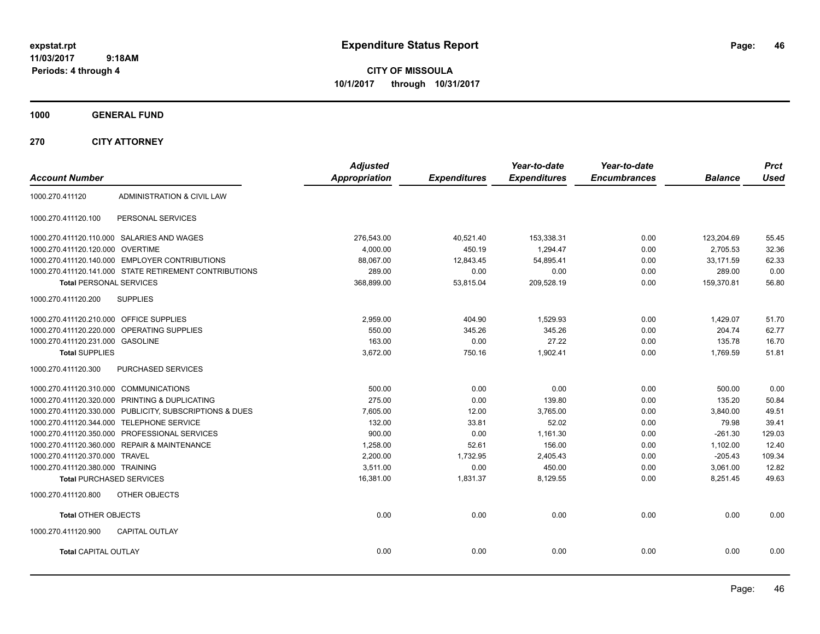**CITY OF MISSOULA 10/1/2017 through 10/31/2017**

**1000 GENERAL FUND**

| <b>Account Number</b>                   |                                                         | <b>Adjusted</b><br><b>Appropriation</b> | <b>Expenditures</b> | Year-to-date<br><b>Expenditures</b> | Year-to-date<br><b>Encumbrances</b> | <b>Balance</b> | <b>Prct</b><br><b>Used</b> |
|-----------------------------------------|---------------------------------------------------------|-----------------------------------------|---------------------|-------------------------------------|-------------------------------------|----------------|----------------------------|
| 1000.270.411120                         | ADMINISTRATION & CIVIL LAW                              |                                         |                     |                                     |                                     |                |                            |
| 1000.270.411120.100                     | PERSONAL SERVICES                                       |                                         |                     |                                     |                                     |                |                            |
|                                         | 1000.270.411120.110.000 SALARIES AND WAGES              | 276,543.00                              | 40,521.40           | 153,338.31                          | 0.00                                | 123,204.69     | 55.45                      |
| 1000.270.411120.120.000                 | <b>OVERTIME</b>                                         | 4,000.00                                | 450.19              | 1,294.47                            | 0.00                                | 2,705.53       | 32.36                      |
|                                         | 1000.270.411120.140.000 EMPLOYER CONTRIBUTIONS          | 88,067.00                               | 12,843.45           | 54,895.41                           | 0.00                                | 33,171.59      | 62.33                      |
|                                         | 1000.270.411120.141.000 STATE RETIREMENT CONTRIBUTIONS  | 289.00                                  | 0.00                | 0.00                                | 0.00                                | 289.00         | 0.00                       |
| <b>Total PERSONAL SERVICES</b>          |                                                         | 368,899.00                              | 53,815.04           | 209,528.19                          | 0.00                                | 159,370.81     | 56.80                      |
| 1000.270.411120.200                     | <b>SUPPLIES</b>                                         |                                         |                     |                                     |                                     |                |                            |
| 1000.270.411120.210.000 OFFICE SUPPLIES |                                                         | 2.959.00                                | 404.90              | 1.529.93                            | 0.00                                | 1,429.07       | 51.70                      |
|                                         | 1000.270.411120.220.000 OPERATING SUPPLIES              | 550.00                                  | 345.26              | 345.26                              | 0.00                                | 204.74         | 62.77                      |
| 1000.270.411120.231.000 GASOLINE        |                                                         | 163.00                                  | 0.00                | 27.22                               | 0.00                                | 135.78         | 16.70                      |
| <b>Total SUPPLIES</b>                   |                                                         | 3,672.00                                | 750.16              | 1,902.41                            | 0.00                                | 1,769.59       | 51.81                      |
| 1000.270.411120.300                     | PURCHASED SERVICES                                      |                                         |                     |                                     |                                     |                |                            |
| 1000.270.411120.310.000 COMMUNICATIONS  |                                                         | 500.00                                  | 0.00                | 0.00                                | 0.00                                | 500.00         | 0.00                       |
|                                         | 1000.270.411120.320.000 PRINTING & DUPLICATING          | 275.00                                  | 0.00                | 139.80                              | 0.00                                | 135.20         | 50.84                      |
|                                         | 1000.270.411120.330.000 PUBLICITY, SUBSCRIPTIONS & DUES | 7.605.00                                | 12.00               | 3,765.00                            | 0.00                                | 3,840.00       | 49.51                      |
|                                         | 1000.270.411120.344.000 TELEPHONE SERVICE               | 132.00                                  | 33.81               | 52.02                               | 0.00                                | 79.98          | 39.41                      |
|                                         | 1000.270.411120.350.000 PROFESSIONAL SERVICES           | 900.00                                  | 0.00                | 1,161.30                            | 0.00                                | $-261.30$      | 129.03                     |
|                                         | 1000.270.411120.360.000 REPAIR & MAINTENANCE            | 1,258.00                                | 52.61               | 156.00                              | 0.00                                | 1,102.00       | 12.40                      |
| 1000.270.411120.370.000 TRAVEL          |                                                         | 2,200.00                                | 1,732.95            | 2,405.43                            | 0.00                                | $-205.43$      | 109.34                     |
| 1000.270.411120.380.000 TRAINING        |                                                         | 3,511.00                                | 0.00                | 450.00                              | 0.00                                | 3,061.00       | 12.82                      |
| <b>Total PURCHASED SERVICES</b>         |                                                         | 16,381.00                               | 1,831.37            | 8,129.55                            | 0.00                                | 8,251.45       | 49.63                      |
| 1000.270.411120.800                     | OTHER OBJECTS                                           |                                         |                     |                                     |                                     |                |                            |
| <b>Total OTHER OBJECTS</b>              |                                                         | 0.00                                    | 0.00                | 0.00                                | 0.00                                | 0.00           | 0.00                       |
| 1000.270.411120.900                     | <b>CAPITAL OUTLAY</b>                                   |                                         |                     |                                     |                                     |                |                            |
| <b>Total CAPITAL OUTLAY</b>             |                                                         | 0.00                                    | 0.00                | 0.00                                | 0.00                                | 0.00           | 0.00                       |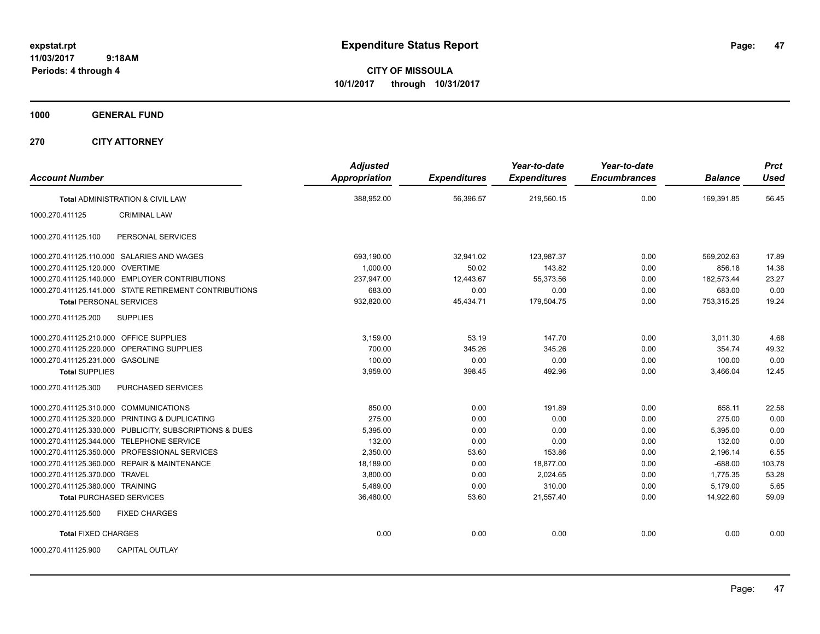**CITY OF MISSOULA 10/1/2017 through 10/31/2017**

**1000 GENERAL FUND**

| <b>Account Number</b>                                   | <b>Adjusted</b><br>Appropriation | <b>Expenditures</b> | Year-to-date<br><b>Expenditures</b> | Year-to-date<br><b>Encumbrances</b> | <b>Balance</b> | <b>Prct</b><br><b>Used</b> |
|---------------------------------------------------------|----------------------------------|---------------------|-------------------------------------|-------------------------------------|----------------|----------------------------|
| <b>Total ADMINISTRATION &amp; CIVIL LAW</b>             | 388,952.00                       | 56,396.57           | 219,560.15                          | 0.00                                | 169.391.85     | 56.45                      |
| <b>CRIMINAL LAW</b><br>1000.270.411125                  |                                  |                     |                                     |                                     |                |                            |
| PERSONAL SERVICES<br>1000.270.411125.100                |                                  |                     |                                     |                                     |                |                            |
| 1000.270.411125.110.000 SALARIES AND WAGES              | 693,190.00                       | 32,941.02           | 123,987.37                          | 0.00                                | 569.202.63     | 17.89                      |
| 1000.270.411125.120.000 OVERTIME                        | 1.000.00                         | 50.02               | 143.82                              | 0.00                                | 856.18         | 14.38                      |
| 1000.270.411125.140.000 EMPLOYER CONTRIBUTIONS          | 237,947.00                       | 12,443.67           | 55,373.56                           | 0.00                                | 182,573.44     | 23.27                      |
| 1000.270.411125.141.000 STATE RETIREMENT CONTRIBUTIONS  | 683.00                           | 0.00                | 0.00                                | 0.00                                | 683.00         | 0.00                       |
| <b>Total PERSONAL SERVICES</b>                          | 932,820.00                       | 45,434.71           | 179,504.75                          | 0.00                                | 753,315.25     | 19.24                      |
| <b>SUPPLIES</b><br>1000.270.411125.200                  |                                  |                     |                                     |                                     |                |                            |
| 1000.270.411125.210.000 OFFICE SUPPLIES                 | 3,159.00                         | 53.19               | 147.70                              | 0.00                                | 3,011.30       | 4.68                       |
| 1000.270.411125.220.000<br>OPERATING SUPPLIES           | 700.00                           | 345.26              | 345.26                              | 0.00                                | 354.74         | 49.32                      |
| 1000.270.411125.231.000 GASOLINE                        | 100.00                           | 0.00                | 0.00                                | 0.00                                | 100.00         | 0.00                       |
| <b>Total SUPPLIES</b>                                   | 3,959.00                         | 398.45              | 492.96                              | 0.00                                | 3,466.04       | 12.45                      |
| 1000.270.411125.300<br><b>PURCHASED SERVICES</b>        |                                  |                     |                                     |                                     |                |                            |
| 1000.270.411125.310.000 COMMUNICATIONS                  | 850.00                           | 0.00                | 191.89                              | 0.00                                | 658.11         | 22.58                      |
| 1000.270.411125.320.000 PRINTING & DUPLICATING          | 275.00                           | 0.00                | 0.00                                | 0.00                                | 275.00         | 0.00                       |
| 1000.270.411125.330.000 PUBLICITY, SUBSCRIPTIONS & DUES | 5,395.00                         | 0.00                | 0.00                                | 0.00                                | 5,395.00       | 0.00                       |
| 1000.270.411125.344.000 TELEPHONE SERVICE               | 132.00                           | 0.00                | 0.00                                | 0.00                                | 132.00         | 0.00                       |
| 1000.270.411125.350.000 PROFESSIONAL SERVICES           | 2,350.00                         | 53.60               | 153.86                              | 0.00                                | 2,196.14       | 6.55                       |
| 1000.270.411125.360.000 REPAIR & MAINTENANCE            | 18.189.00                        | 0.00                | 18,877.00                           | 0.00                                | $-688.00$      | 103.78                     |
| 1000.270.411125.370.000 TRAVEL                          | 3,800.00                         | 0.00                | 2.024.65                            | 0.00                                | 1.775.35       | 53.28                      |
| 1000.270.411125.380.000 TRAINING                        | 5.489.00                         | 0.00                | 310.00                              | 0.00                                | 5.179.00       | 5.65                       |
| <b>Total PURCHASED SERVICES</b>                         | 36,480.00                        | 53.60               | 21,557.40                           | 0.00                                | 14,922.60      | 59.09                      |
| 1000.270.411125.500<br><b>FIXED CHARGES</b>             |                                  |                     |                                     |                                     |                |                            |
| <b>Total FIXED CHARGES</b>                              | 0.00                             | 0.00                | 0.00                                | 0.00                                | 0.00           | 0.00                       |
| 1000.270.411125.900<br><b>CAPITAL OUTLAY</b>            |                                  |                     |                                     |                                     |                |                            |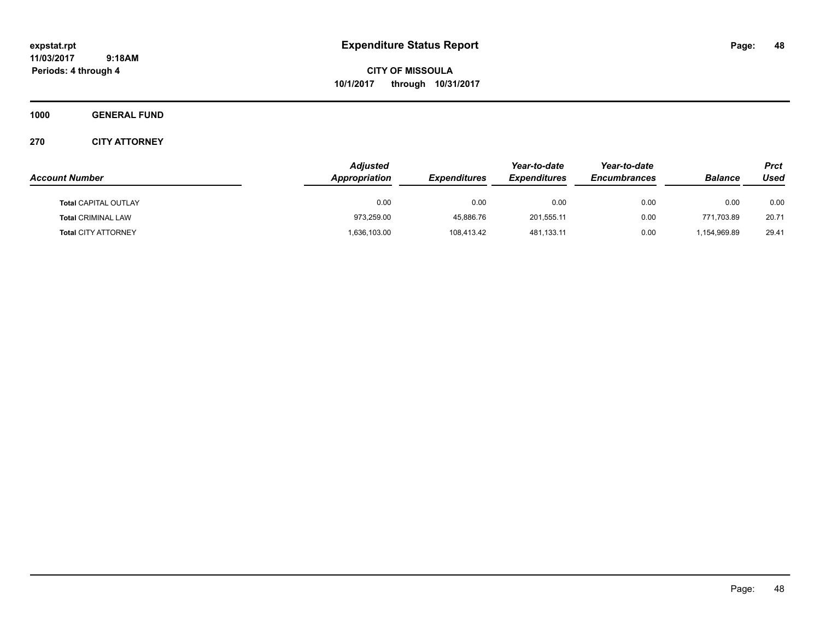**CITY OF MISSOULA 10/1/2017 through 10/31/2017**

**1000 GENERAL FUND**

|                             | <b>Adjusted</b> |                     |                     | Year-to-date        |                | <b>Prct</b> |
|-----------------------------|-----------------|---------------------|---------------------|---------------------|----------------|-------------|
| <b>Account Number</b>       | Appropriation   | <b>Expenditures</b> | <b>Expenditures</b> | <b>Encumbrances</b> | <b>Balance</b> | Used        |
| <b>Total CAPITAL OUTLAY</b> | 0.00            | 0.00                | 0.00                | 0.00                | 0.00           | 0.00        |
| <b>Total CRIMINAL LAW</b>   | 973,259.00      | 45.886.76           | 201.555.11          | 0.00                | 771.703.89     | 20.71       |
| <b>Total CITY ATTORNEY</b>  | 1,636,103.00    | 108.413.42          | 481,133.11          | 0.00                | 1.154.969.89   | 29.41       |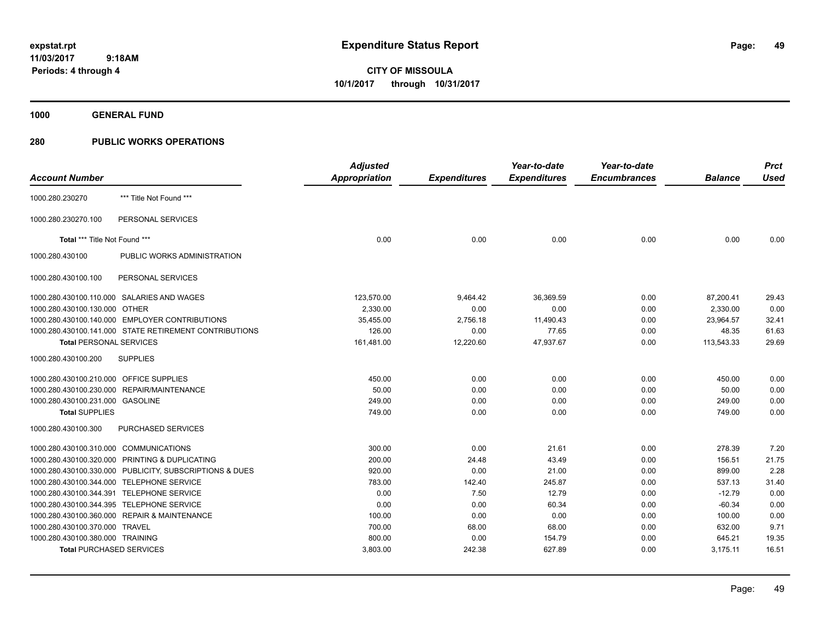**CITY OF MISSOULA 10/1/2017 through 10/31/2017**

**1000 GENERAL FUND**

|                                         |                                                        | <b>Adjusted</b>      |                     | Year-to-date        | Year-to-date        |                | <b>Prct</b> |
|-----------------------------------------|--------------------------------------------------------|----------------------|---------------------|---------------------|---------------------|----------------|-------------|
| <b>Account Number</b>                   |                                                        | <b>Appropriation</b> | <b>Expenditures</b> | <b>Expenditures</b> | <b>Encumbrances</b> | <b>Balance</b> | Used        |
| 1000.280.230270                         | *** Title Not Found ***                                |                      |                     |                     |                     |                |             |
| 1000.280.230270.100                     | PERSONAL SERVICES                                      |                      |                     |                     |                     |                |             |
| Total *** Title Not Found ***           |                                                        | 0.00                 | 0.00                | 0.00                | 0.00                | 0.00           | 0.00        |
| 1000.280.430100                         | PUBLIC WORKS ADMINISTRATION                            |                      |                     |                     |                     |                |             |
| 1000.280.430100.100                     | PERSONAL SERVICES                                      |                      |                     |                     |                     |                |             |
|                                         | 1000.280.430100.110.000 SALARIES AND WAGES             | 123,570.00           | 9,464.42            | 36,369.59           | 0.00                | 87,200.41      | 29.43       |
| 1000.280.430100.130.000                 | <b>OTHER</b>                                           | 2,330.00             | 0.00                | 0.00                | 0.00                | 2,330.00       | 0.00        |
| 1000.280.430100.140.000                 | <b>EMPLOYER CONTRIBUTIONS</b>                          | 35,455.00            | 2,756.18            | 11,490.43           | 0.00                | 23,964.57      | 32.41       |
|                                         | 1000.280.430100.141.000 STATE RETIREMENT CONTRIBUTIONS | 126.00               | 0.00                | 77.65               | 0.00                | 48.35          | 61.63       |
| <b>Total PERSONAL SERVICES</b>          |                                                        | 161,481.00           | 12,220.60           | 47,937.67           | 0.00                | 113,543.33     | 29.69       |
| 1000.280.430100.200                     | <b>SUPPLIES</b>                                        |                      |                     |                     |                     |                |             |
| 1000.280.430100.210.000 OFFICE SUPPLIES |                                                        | 450.00               | 0.00                | 0.00                | 0.00                | 450.00         | 0.00        |
| 1000.280.430100.230.000                 | <b>REPAIR/MAINTENANCE</b>                              | 50.00                | 0.00                | 0.00                | 0.00                | 50.00          | 0.00        |
| 1000.280.430100.231.000 GASOLINE        |                                                        | 249.00               | 0.00                | 0.00                | 0.00                | 249.00         | 0.00        |
| <b>Total SUPPLIES</b>                   |                                                        | 749.00               | 0.00                | 0.00                | 0.00                | 749.00         | 0.00        |
| 1000.280.430100.300                     | PURCHASED SERVICES                                     |                      |                     |                     |                     |                |             |
| 1000.280.430100.310.000                 | <b>COMMUNICATIONS</b>                                  | 300.00               | 0.00                | 21.61               | 0.00                | 278.39         | 7.20        |
| 1000.280.430100.320.000                 | PRINTING & DUPLICATING                                 | 200.00               | 24.48               | 43.49               | 0.00                | 156.51         | 21.75       |
| 1000.280.430100.330.000                 | PUBLICITY, SUBSCRIPTIONS & DUES                        | 920.00               | 0.00                | 21.00               | 0.00                | 899.00         | 2.28        |
| 1000.280.430100.344.000                 | <b>TELEPHONE SERVICE</b>                               | 783.00               | 142.40              | 245.87              | 0.00                | 537.13         | 31.40       |
| 1000.280.430100.344.391                 | <b>TELEPHONE SERVICE</b>                               | 0.00                 | 7.50                | 12.79               | 0.00                | $-12.79$       | 0.00        |
| 1000.280.430100.344.395                 | <b>TELEPHONE SERVICE</b>                               | 0.00                 | 0.00                | 60.34               | 0.00                | $-60.34$       | 0.00        |
| 1000.280.430100.360.000                 | <b>REPAIR &amp; MAINTENANCE</b>                        | 100.00               | 0.00                | 0.00                | 0.00                | 100.00         | 0.00        |
| 1000.280.430100.370.000                 | <b>TRAVEL</b>                                          | 700.00               | 68.00               | 68.00               | 0.00                | 632.00         | 9.71        |
| 1000.280.430100.380.000 TRAINING        |                                                        | 800.00               | 0.00                | 154.79              | 0.00                | 645.21         | 19.35       |
| <b>Total PURCHASED SERVICES</b>         |                                                        | 3,803.00             | 242.38              | 627.89              | 0.00                | 3,175.11       | 16.51       |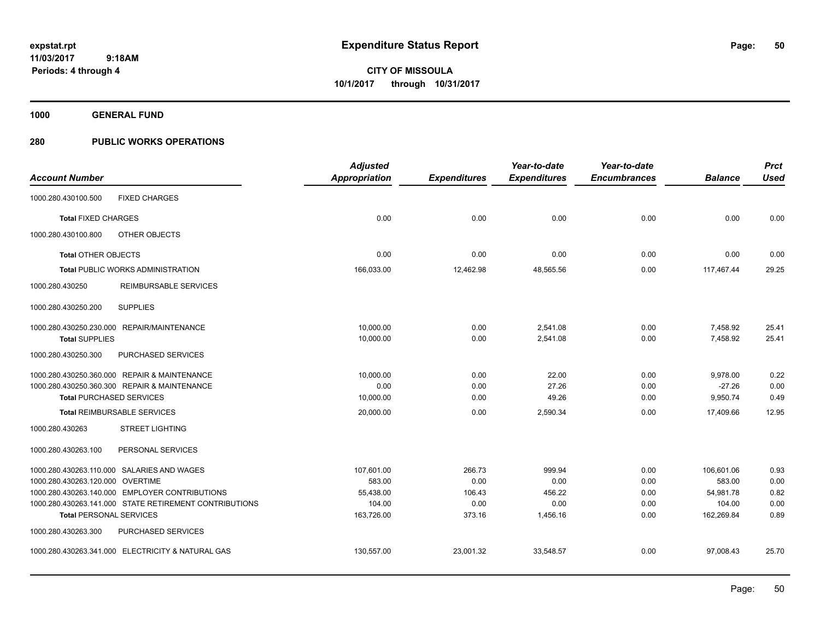**CITY OF MISSOULA 10/1/2017 through 10/31/2017**

**1000 GENERAL FUND**

|                                  |                                                        | <b>Adjusted</b>      |                     | Year-to-date        | Year-to-date        |                | <b>Prct</b> |
|----------------------------------|--------------------------------------------------------|----------------------|---------------------|---------------------|---------------------|----------------|-------------|
| <b>Account Number</b>            |                                                        | <b>Appropriation</b> | <b>Expenditures</b> | <b>Expenditures</b> | <b>Encumbrances</b> | <b>Balance</b> | <b>Used</b> |
| 1000.280.430100.500              | <b>FIXED CHARGES</b>                                   |                      |                     |                     |                     |                |             |
| <b>Total FIXED CHARGES</b>       |                                                        | 0.00                 | 0.00                | 0.00                | 0.00                | 0.00           | 0.00        |
| 1000.280.430100.800              | OTHER OBJECTS                                          |                      |                     |                     |                     |                |             |
| <b>Total OTHER OBJECTS</b>       |                                                        | 0.00                 | 0.00                | 0.00                | 0.00                | 0.00           | 0.00        |
|                                  | <b>Total PUBLIC WORKS ADMINISTRATION</b>               | 166,033.00           | 12,462.98           | 48,565.56           | 0.00                | 117,467.44     | 29.25       |
| 1000.280.430250                  | REIMBURSABLE SERVICES                                  |                      |                     |                     |                     |                |             |
| 1000.280.430250.200              | <b>SUPPLIES</b>                                        |                      |                     |                     |                     |                |             |
|                                  | 1000.280.430250.230.000 REPAIR/MAINTENANCE             | 10.000.00            | 0.00                | 2,541.08            | 0.00                | 7,458.92       | 25.41       |
| <b>Total SUPPLIES</b>            |                                                        | 10,000.00            | 0.00                | 2,541.08            | 0.00                | 7,458.92       | 25.41       |
| 1000.280.430250.300              | PURCHASED SERVICES                                     |                      |                     |                     |                     |                |             |
|                                  | 1000.280.430250.360.000 REPAIR & MAINTENANCE           | 10,000.00            | 0.00                | 22.00               | 0.00                | 9,978.00       | 0.22        |
|                                  | 1000.280.430250.360.300 REPAIR & MAINTENANCE           | 0.00                 | 0.00                | 27.26               | 0.00                | $-27.26$       | 0.00        |
|                                  | <b>Total PURCHASED SERVICES</b>                        | 10,000.00            | 0.00                | 49.26               | 0.00                | 9,950.74       | 0.49        |
|                                  | <b>Total REIMBURSABLE SERVICES</b>                     | 20,000.00            | 0.00                | 2,590.34            | 0.00                | 17,409.66      | 12.95       |
| 1000.280.430263                  | <b>STREET LIGHTING</b>                                 |                      |                     |                     |                     |                |             |
| 1000.280.430263.100              | PERSONAL SERVICES                                      |                      |                     |                     |                     |                |             |
|                                  | 1000.280.430263.110.000 SALARIES AND WAGES             | 107.601.00           | 266.73              | 999.94              | 0.00                | 106.601.06     | 0.93        |
| 1000.280.430263.120.000 OVERTIME |                                                        | 583.00               | 0.00                | 0.00                | 0.00                | 583.00         | 0.00        |
|                                  | 1000.280.430263.140.000 EMPLOYER CONTRIBUTIONS         | 55,438.00            | 106.43              | 456.22              | 0.00                | 54,981.78      | 0.82        |
|                                  | 1000.280.430263.141.000 STATE RETIREMENT CONTRIBUTIONS | 104.00               | 0.00                | 0.00                | 0.00                | 104.00         | 0.00        |
| <b>Total PERSONAL SERVICES</b>   |                                                        | 163,726.00           | 373.16              | 1,456.16            | 0.00                | 162,269.84     | 0.89        |
| 1000.280.430263.300              | PURCHASED SERVICES                                     |                      |                     |                     |                     |                |             |
|                                  | 1000.280.430263.341.000 ELECTRICITY & NATURAL GAS      | 130,557.00           | 23,001.32           | 33,548.57           | 0.00                | 97,008.43      | 25.70       |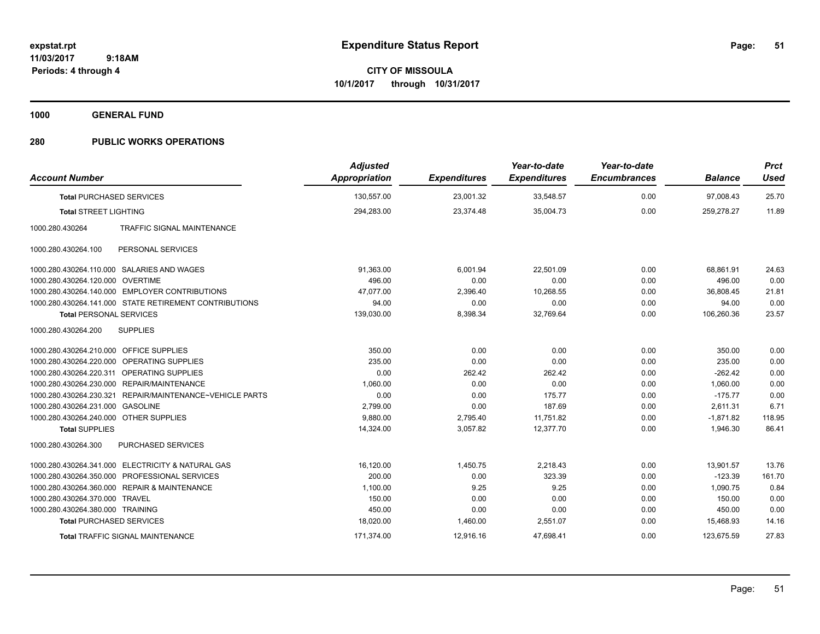**Periods: 4 through 4**

**CITY OF MISSOULA 10/1/2017 through 10/31/2017**

**1000 GENERAL FUND**

| <b>Account Number</b>                   |                                                          | <b>Adjusted</b><br><b>Appropriation</b> | <b>Expenditures</b> | Year-to-date<br><b>Expenditures</b> | Year-to-date<br><b>Encumbrances</b> | <b>Balance</b> | <b>Prct</b><br><b>Used</b> |
|-----------------------------------------|----------------------------------------------------------|-----------------------------------------|---------------------|-------------------------------------|-------------------------------------|----------------|----------------------------|
| <b>Total PURCHASED SERVICES</b>         |                                                          | 130,557.00                              | 23,001.32           | 33,548.57                           | 0.00                                | 97,008.43      | 25.70                      |
| <b>Total STREET LIGHTING</b>            |                                                          | 294,283.00                              | 23,374.48           | 35,004.73                           | 0.00                                | 259,278.27     | 11.89                      |
| 1000.280.430264                         | <b>TRAFFIC SIGNAL MAINTENANCE</b>                        |                                         |                     |                                     |                                     |                |                            |
| 1000.280.430264.100                     | PERSONAL SERVICES                                        |                                         |                     |                                     |                                     |                |                            |
|                                         | 1000.280.430264.110.000 SALARIES AND WAGES               | 91,363.00                               | 6,001.94            | 22,501.09                           | 0.00                                | 68,861.91      | 24.63                      |
| 1000.280.430264.120.000 OVERTIME        |                                                          | 496.00                                  | 0.00                | 0.00                                | 0.00                                | 496.00         | 0.00                       |
|                                         | 1000.280.430264.140.000 EMPLOYER CONTRIBUTIONS           | 47.077.00                               | 2,396.40            | 10,268.55                           | 0.00                                | 36.808.45      | 21.81                      |
|                                         | 1000.280.430264.141.000 STATE RETIREMENT CONTRIBUTIONS   | 94.00                                   | 0.00                | 0.00                                | 0.00                                | 94.00          | 0.00                       |
| <b>Total PERSONAL SERVICES</b>          |                                                          | 139,030.00                              | 8,398.34            | 32,769.64                           | 0.00                                | 106,260.36     | 23.57                      |
| 1000.280.430264.200                     | <b>SUPPLIES</b>                                          |                                         |                     |                                     |                                     |                |                            |
| 1000.280.430264.210.000 OFFICE SUPPLIES |                                                          | 350.00                                  | 0.00                | 0.00                                | 0.00                                | 350.00         | 0.00                       |
| 1000.280.430264.220.000                 | OPERATING SUPPLIES                                       | 235.00                                  | 0.00                | 0.00                                | 0.00                                | 235.00         | 0.00                       |
|                                         | 1000.280.430264.220.311 OPERATING SUPPLIES               | 0.00                                    | 262.42              | 262.42                              | 0.00                                | $-262.42$      | 0.00                       |
|                                         | 1000.280.430264.230.000 REPAIR/MAINTENANCE               | 1,060.00                                | 0.00                | 0.00                                | 0.00                                | 1,060.00       | 0.00                       |
|                                         | 1000.280.430264.230.321 REPAIR/MAINTENANCE~VEHICLE PARTS | 0.00                                    | 0.00                | 175.77                              | 0.00                                | $-175.77$      | 0.00                       |
| 1000.280.430264.231.000                 | <b>GASOLINE</b>                                          | 2,799.00                                | 0.00                | 187.69                              | 0.00                                | 2,611.31       | 6.71                       |
| 1000.280.430264.240.000 OTHER SUPPLIES  |                                                          | 9.880.00                                | 2,795.40            | 11,751.82                           | 0.00                                | $-1,871.82$    | 118.95                     |
| <b>Total SUPPLIES</b>                   |                                                          | 14,324.00                               | 3,057.82            | 12,377.70                           | 0.00                                | 1,946.30       | 86.41                      |
| 1000.280.430264.300                     | <b>PURCHASED SERVICES</b>                                |                                         |                     |                                     |                                     |                |                            |
|                                         | 1000.280.430264.341.000 ELECTRICITY & NATURAL GAS        | 16,120.00                               | 1,450.75            | 2,218.43                            | 0.00                                | 13.901.57      | 13.76                      |
|                                         | 1000.280.430264.350.000 PROFESSIONAL SERVICES            | 200.00                                  | 0.00                | 323.39                              | 0.00                                | $-123.39$      | 161.70                     |
|                                         | 1000.280.430264.360.000 REPAIR & MAINTENANCE             | 1,100.00                                | 9.25                | 9.25                                | 0.00                                | 1,090.75       | 0.84                       |
| 1000.280.430264.370.000 TRAVEL          |                                                          | 150.00                                  | 0.00                | 0.00                                | 0.00                                | 150.00         | 0.00                       |
| 1000.280.430264.380.000 TRAINING        |                                                          | 450.00                                  | 0.00                | 0.00                                | 0.00                                | 450.00         | 0.00                       |
| <b>Total PURCHASED SERVICES</b>         |                                                          | 18,020.00                               | 1,460.00            | 2,551.07                            | 0.00                                | 15,468.93      | 14.16                      |
|                                         | Total TRAFFIC SIGNAL MAINTENANCE                         | 171,374.00                              | 12,916.16           | 47,698.41                           | 0.00                                | 123,675.59     | 27.83                      |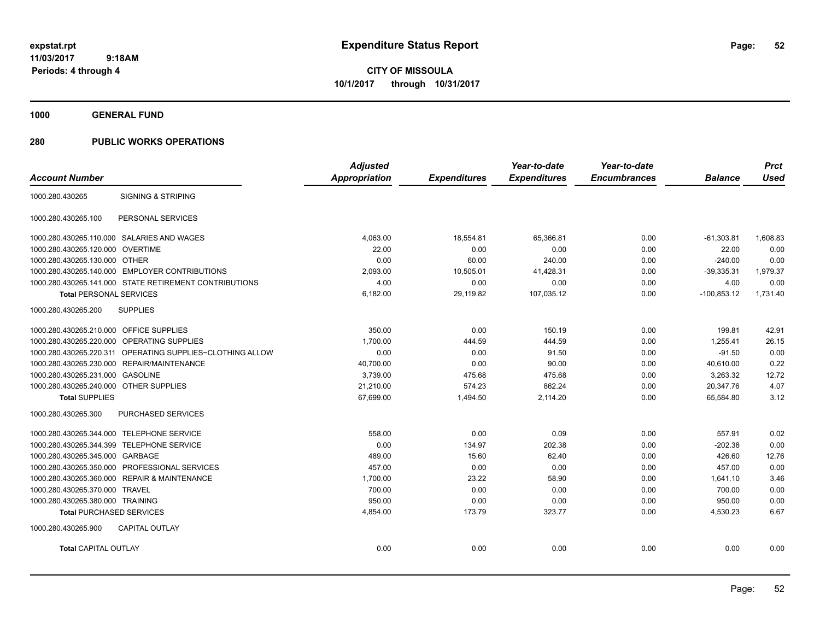**CITY OF MISSOULA 10/1/2017 through 10/31/2017**

**1000 GENERAL FUND**

|                                         |                                                           | <b>Adjusted</b>      |                     | Year-to-date        | Year-to-date        |                | <b>Prct</b> |
|-----------------------------------------|-----------------------------------------------------------|----------------------|---------------------|---------------------|---------------------|----------------|-------------|
| <b>Account Number</b>                   |                                                           | <b>Appropriation</b> | <b>Expenditures</b> | <b>Expenditures</b> | <b>Encumbrances</b> | <b>Balance</b> | <b>Used</b> |
| 1000.280.430265                         | <b>SIGNING &amp; STRIPING</b>                             |                      |                     |                     |                     |                |             |
| 1000.280.430265.100                     | PERSONAL SERVICES                                         |                      |                     |                     |                     |                |             |
|                                         | 1000.280.430265.110.000 SALARIES AND WAGES                | 4,063.00             | 18,554.81           | 65,366.81           | 0.00                | $-61,303.81$   | 1,608.83    |
| 1000.280.430265.120.000 OVERTIME        |                                                           | 22.00                | 0.00                | 0.00                | 0.00                | 22.00          | 0.00        |
| 1000.280.430265.130.000 OTHER           |                                                           | 0.00                 | 60.00               | 240.00              | 0.00                | $-240.00$      | 0.00        |
|                                         | 1000.280.430265.140.000 EMPLOYER CONTRIBUTIONS            | 2,093.00             | 10,505.01           | 41,428.31           | 0.00                | $-39,335.31$   | 1,979.37    |
|                                         | 1000.280.430265.141.000 STATE RETIREMENT CONTRIBUTIONS    | 4.00                 | 0.00                | 0.00                | 0.00                | 4.00           | 0.00        |
| <b>Total PERSONAL SERVICES</b>          |                                                           | 6,182.00             | 29,119.82           | 107,035.12          | 0.00                | $-100,853.12$  | 1,731.40    |
| 1000.280.430265.200                     | <b>SUPPLIES</b>                                           |                      |                     |                     |                     |                |             |
| 1000.280.430265.210.000 OFFICE SUPPLIES |                                                           | 350.00               | 0.00                | 150.19              | 0.00                | 199.81         | 42.91       |
|                                         | 1000.280.430265.220.000 OPERATING SUPPLIES                | 1,700.00             | 444.59              | 444.59              | 0.00                | 1.255.41       | 26.15       |
|                                         | 1000.280.430265.220.311 OPERATING SUPPLIES~CLOTHING ALLOW | 0.00                 | 0.00                | 91.50               | 0.00                | $-91.50$       | 0.00        |
|                                         | 1000.280.430265.230.000 REPAIR/MAINTENANCE                | 40,700.00            | 0.00                | 90.00               | 0.00                | 40,610.00      | 0.22        |
| 1000.280.430265.231.000                 | <b>GASOLINE</b>                                           | 3,739.00             | 475.68              | 475.68              | 0.00                | 3,263.32       | 12.72       |
| 1000.280.430265.240.000 OTHER SUPPLIES  |                                                           | 21,210.00            | 574.23              | 862.24              | 0.00                | 20,347.76      | 4.07        |
| <b>Total SUPPLIES</b>                   |                                                           | 67,699.00            | 1,494.50            | 2,114.20            | 0.00                | 65,584.80      | 3.12        |
| 1000.280.430265.300                     | PURCHASED SERVICES                                        |                      |                     |                     |                     |                |             |
|                                         | 1000.280.430265.344.000 TELEPHONE SERVICE                 | 558.00               | 0.00                | 0.09                | 0.00                | 557.91         | 0.02        |
|                                         | 1000.280.430265.344.399 TELEPHONE SERVICE                 | 0.00                 | 134.97              | 202.38              | 0.00                | $-202.38$      | 0.00        |
| 1000.280.430265.345.000 GARBAGE         |                                                           | 489.00               | 15.60               | 62.40               | 0.00                | 426.60         | 12.76       |
|                                         | 1000.280.430265.350.000 PROFESSIONAL SERVICES             | 457.00               | 0.00                | 0.00                | 0.00                | 457.00         | 0.00        |
|                                         | 1000.280.430265.360.000 REPAIR & MAINTENANCE              | 1,700.00             | 23.22               | 58.90               | 0.00                | 1,641.10       | 3.46        |
| 1000.280.430265.370.000 TRAVEL          |                                                           | 700.00               | 0.00                | 0.00                | 0.00                | 700.00         | 0.00        |
| 1000.280.430265.380.000 TRAINING        |                                                           | 950.00               | 0.00                | 0.00                | 0.00                | 950.00         | 0.00        |
| <b>Total PURCHASED SERVICES</b>         |                                                           | 4,854.00             | 173.79              | 323.77              | 0.00                | 4,530.23       | 6.67        |
| 1000.280.430265.900                     | <b>CAPITAL OUTLAY</b>                                     |                      |                     |                     |                     |                |             |
| <b>Total CAPITAL OUTLAY</b>             |                                                           | 0.00                 | 0.00                | 0.00                | 0.00                | 0.00           | 0.00        |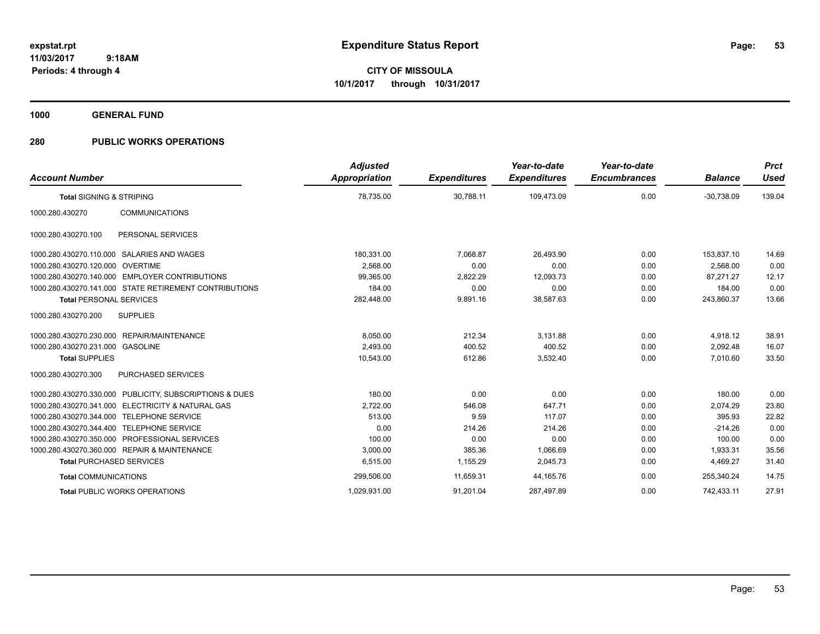**CITY OF MISSOULA 10/1/2017 through 10/31/2017**

**1000 GENERAL FUND**

| <b>Account Number</b>                                           | <b>Adjusted</b><br><b>Appropriation</b> | <b>Expenditures</b> | Year-to-date<br><b>Expenditures</b> | Year-to-date<br><b>Encumbrances</b> | <b>Balance</b> | <b>Prct</b><br>Used |
|-----------------------------------------------------------------|-----------------------------------------|---------------------|-------------------------------------|-------------------------------------|----------------|---------------------|
| <b>Total SIGNING &amp; STRIPING</b>                             | 78,735.00                               | 30,788.11           | 109,473.09                          | 0.00                                | $-30,738.09$   | 139.04              |
| <b>COMMUNICATIONS</b><br>1000.280.430270                        |                                         |                     |                                     |                                     |                |                     |
| PERSONAL SERVICES<br>1000.280.430270.100                        |                                         |                     |                                     |                                     |                |                     |
| SALARIES AND WAGES<br>1000.280.430270.110.000                   | 180.331.00                              | 7.068.87            | 26.493.90                           | 0.00                                | 153.837.10     | 14.69               |
| 1000.280.430270.120.000 OVERTIME                                | 2.568.00                                | 0.00                | 0.00                                | 0.00                                | 2.568.00       | 0.00                |
| 1000.280.430270.140.000<br><b>EMPLOYER CONTRIBUTIONS</b>        | 99,365.00                               | 2,822.29            | 12,093.73                           | 0.00                                | 87.271.27      | 12.17               |
| 1000.280.430270.141.000 STATE RETIREMENT CONTRIBUTIONS          | 184.00                                  | 0.00                | 0.00                                | 0.00                                | 184.00         | 0.00                |
| <b>Total PERSONAL SERVICES</b>                                  | 282,448.00                              | 9,891.16            | 38,587.63                           | 0.00                                | 243,860.37     | 13.66               |
| 1000.280.430270.200<br><b>SUPPLIES</b>                          |                                         |                     |                                     |                                     |                |                     |
| REPAIR/MAINTENANCE<br>1000.280.430270.230.000                   | 8,050.00                                | 212.34              | 3.131.88                            | 0.00                                | 4,918.12       | 38.91               |
| 1000.280.430270.231.000 GASOLINE                                | 2.493.00                                | 400.52              | 400.52                              | 0.00                                | 2.092.48       | 16.07               |
| <b>Total SUPPLIES</b>                                           | 10,543.00                               | 612.86              | 3,532.40                            | 0.00                                | 7,010.60       | 33.50               |
| 1000.280.430270.300<br>PURCHASED SERVICES                       |                                         |                     |                                     |                                     |                |                     |
| PUBLICITY, SUBSCRIPTIONS & DUES<br>1000.280.430270.330.000      | 180.00                                  | 0.00                | 0.00                                | 0.00                                | 180.00         | 0.00                |
| <b>ELECTRICITY &amp; NATURAL GAS</b><br>1000.280.430270.341.000 | 2,722.00                                | 546.08              | 647.71                              | 0.00                                | 2,074.29       | 23.80               |
| <b>TELEPHONE SERVICE</b><br>1000.280.430270.344.000             | 513.00                                  | 9.59                | 117.07                              | 0.00                                | 395.93         | 22.82               |
| 1000.280.430270.344.400<br><b>TELEPHONE SERVICE</b>             | 0.00                                    | 214.26              | 214.26                              | 0.00                                | $-214.26$      | 0.00                |
| 1000.280.430270.350.000<br><b>PROFESSIONAL SERVICES</b>         | 100.00                                  | 0.00                | 0.00                                | 0.00                                | 100.00         | 0.00                |
| 1000.280.430270.360.000 REPAIR & MAINTENANCE                    | 3,000.00                                | 385.36              | 1,066.69                            | 0.00                                | 1,933.31       | 35.56               |
| <b>Total PURCHASED SERVICES</b>                                 | 6,515.00                                | 1,155.29            | 2,045.73                            | 0.00                                | 4,469.27       | 31.40               |
| <b>Total COMMUNICATIONS</b>                                     | 299,506.00                              | 11,659.31           | 44,165.76                           | 0.00                                | 255,340.24     | 14.75               |
| <b>Total PUBLIC WORKS OPERATIONS</b>                            | 1,029,931.00                            | 91,201.04           | 287,497.89                          | 0.00                                | 742,433.11     | 27.91               |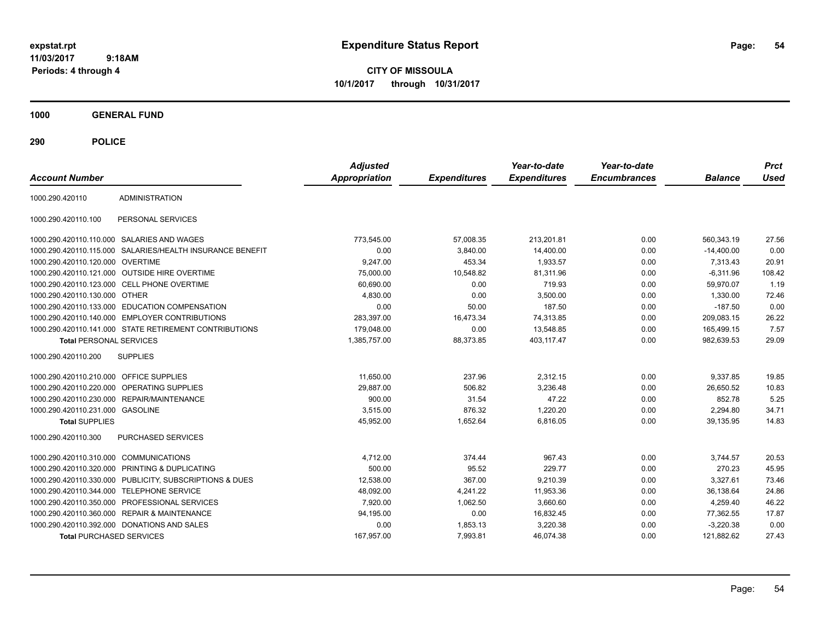**CITY OF MISSOULA 10/1/2017 through 10/31/2017**

**1000 GENERAL FUND**

| <b>Account Number</b>                   |                                                         | <b>Adjusted</b><br>Appropriation | <b>Expenditures</b> | Year-to-date<br><b>Expenditures</b> | Year-to-date<br><b>Encumbrances</b> | <b>Balance</b> | <b>Prct</b><br><b>Used</b> |
|-----------------------------------------|---------------------------------------------------------|----------------------------------|---------------------|-------------------------------------|-------------------------------------|----------------|----------------------------|
| 1000.290.420110                         | <b>ADMINISTRATION</b>                                   |                                  |                     |                                     |                                     |                |                            |
| 1000.290.420110.100                     | PERSONAL SERVICES                                       |                                  |                     |                                     |                                     |                |                            |
|                                         | 1000.290.420110.110.000 SALARIES AND WAGES              | 773,545.00                       | 57.008.35           | 213.201.81                          | 0.00                                | 560,343.19     | 27.56                      |
| 1000.290.420110.115.000                 | SALARIES/HEALTH INSURANCE BENEFIT                       | 0.00                             | 3,840.00            | 14,400.00                           | 0.00                                | $-14,400.00$   | 0.00                       |
| 1000.290.420110.120.000 OVERTIME        |                                                         | 9,247.00                         | 453.34              | 1,933.57                            | 0.00                                | 7,313.43       | 20.91                      |
|                                         | 1000.290.420110.121.000 OUTSIDE HIRE OVERTIME           | 75,000.00                        | 10,548.82           | 81,311.96                           | 0.00                                | $-6,311.96$    | 108.42                     |
|                                         | 1000.290.420110.123.000 CELL PHONE OVERTIME             | 60.690.00                        | 0.00                | 719.93                              | 0.00                                | 59.970.07      | 1.19                       |
| 1000.290.420110.130.000 OTHER           |                                                         | 4,830.00                         | 0.00                | 3,500.00                            | 0.00                                | 1.330.00       | 72.46                      |
|                                         | 1000.290.420110.133.000 EDUCATION COMPENSATION          | 0.00                             | 50.00               | 187.50                              | 0.00                                | $-187.50$      | 0.00                       |
|                                         | 1000.290.420110.140.000 EMPLOYER CONTRIBUTIONS          | 283,397.00                       | 16,473.34           | 74,313.85                           | 0.00                                | 209,083.15     | 26.22                      |
|                                         | 1000.290.420110.141.000 STATE RETIREMENT CONTRIBUTIONS  | 179,048.00                       | 0.00                | 13,548.85                           | 0.00                                | 165,499.15     | 7.57                       |
| <b>Total PERSONAL SERVICES</b>          |                                                         | 1.385.757.00                     | 88.373.85           | 403.117.47                          | 0.00                                | 982.639.53     | 29.09                      |
| 1000.290.420110.200                     | <b>SUPPLIES</b>                                         |                                  |                     |                                     |                                     |                |                            |
| 1000.290.420110.210.000 OFFICE SUPPLIES |                                                         | 11.650.00                        | 237.96              | 2,312.15                            | 0.00                                | 9.337.85       | 19.85                      |
|                                         | 1000.290.420110.220.000 OPERATING SUPPLIES              | 29,887.00                        | 506.82              | 3,236.48                            | 0.00                                | 26,650.52      | 10.83                      |
|                                         | 1000.290.420110.230.000 REPAIR/MAINTENANCE              | 900.00                           | 31.54               | 47.22                               | 0.00                                | 852.78         | 5.25                       |
| 1000.290.420110.231.000 GASOLINE        |                                                         | 3,515.00                         | 876.32              | 1,220.20                            | 0.00                                | 2,294.80       | 34.71                      |
| <b>Total SUPPLIES</b>                   |                                                         | 45.952.00                        | 1.652.64            | 6,816.05                            | 0.00                                | 39.135.95      | 14.83                      |
| 1000.290.420110.300                     | <b>PURCHASED SERVICES</b>                               |                                  |                     |                                     |                                     |                |                            |
| 1000.290.420110.310.000                 | COMMUNICATIONS                                          | 4,712.00                         | 374.44              | 967.43                              | 0.00                                | 3,744.57       | 20.53                      |
| 1000.290.420110.320.000                 | PRINTING & DUPLICATING                                  | 500.00                           | 95.52               | 229.77                              | 0.00                                | 270.23         | 45.95                      |
|                                         | 1000.290.420110.330.000 PUBLICITY, SUBSCRIPTIONS & DUES | 12,538.00                        | 367.00              | 9,210.39                            | 0.00                                | 3,327.61       | 73.46                      |
| 1000.290.420110.344.000                 | <b>TELEPHONE SERVICE</b>                                | 48,092.00                        | 4,241.22            | 11,953.36                           | 0.00                                | 36.138.64      | 24.86                      |
|                                         | 1000.290.420110.350.000 PROFESSIONAL SERVICES           | 7.920.00                         | 1.062.50            | 3,660.60                            | 0.00                                | 4,259.40       | 46.22                      |
|                                         | 1000.290.420110.360.000 REPAIR & MAINTENANCE            | 94,195.00                        | 0.00                | 16,832.45                           | 0.00                                | 77,362.55      | 17.87                      |
|                                         | 1000.290.420110.392.000 DONATIONS AND SALES             | 0.00                             | 1,853.13            | 3,220.38                            | 0.00                                | $-3,220.38$    | 0.00                       |
| <b>Total PURCHASED SERVICES</b>         |                                                         | 167,957.00                       | 7,993.81            | 46,074.38                           | 0.00                                | 121,882.62     | 27.43                      |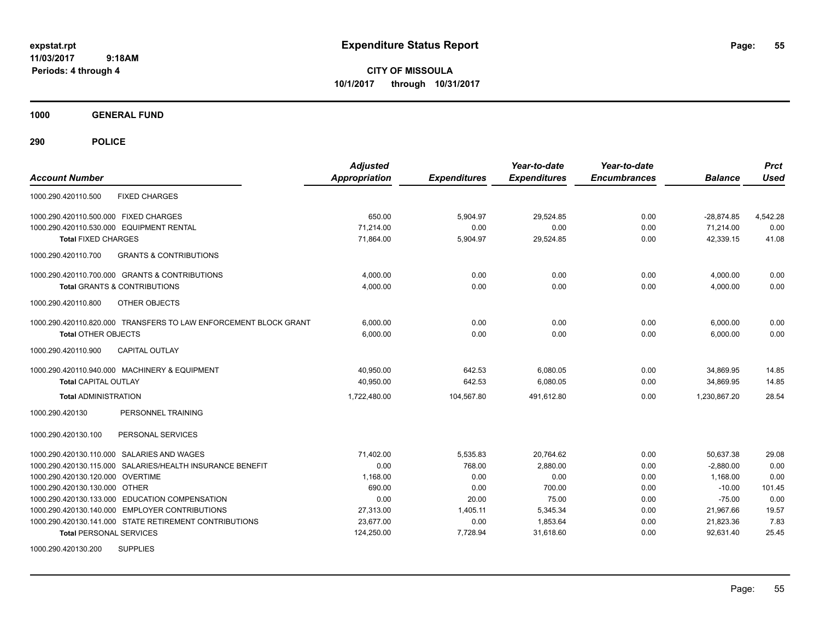**CITY OF MISSOULA 10/1/2017 through 10/31/2017**

**1000 GENERAL FUND**

| <b>Account Number</b>                                            | <b>Adjusted</b><br><b>Appropriation</b> | <b>Expenditures</b> | Year-to-date<br><b>Expenditures</b> | Year-to-date<br><b>Encumbrances</b> | <b>Balance</b> | <b>Prct</b><br><b>Used</b> |
|------------------------------------------------------------------|-----------------------------------------|---------------------|-------------------------------------|-------------------------------------|----------------|----------------------------|
| <b>FIXED CHARGES</b><br>1000.290.420110.500                      |                                         |                     |                                     |                                     |                |                            |
| 1000.290.420110.500.000 FIXED CHARGES                            | 650.00                                  | 5,904.97            | 29,524.85                           | 0.00                                | $-28,874.85$   | 4,542.28                   |
| 1000.290.420110.530.000 EQUIPMENT RENTAL                         | 71,214.00                               | 0.00                | 0.00                                | 0.00                                | 71,214.00      | 0.00                       |
| <b>Total FIXED CHARGES</b>                                       | 71,864.00                               | 5,904.97            | 29,524.85                           | 0.00                                | 42,339.15      | 41.08                      |
| <b>GRANTS &amp; CONTRIBUTIONS</b><br>1000.290.420110.700         |                                         |                     |                                     |                                     |                |                            |
| 1000.290.420110.700.000 GRANTS & CONTRIBUTIONS                   | 4,000.00                                | 0.00                | 0.00                                | 0.00                                | 4,000.00       | 0.00                       |
| <b>Total GRANTS &amp; CONTRIBUTIONS</b>                          | 4.000.00                                | 0.00                | 0.00                                | 0.00                                | 4.000.00       | 0.00                       |
| 1000.290.420110.800<br><b>OTHER OBJECTS</b>                      |                                         |                     |                                     |                                     |                |                            |
| 1000.290.420110.820.000 TRANSFERS TO LAW ENFORCEMENT BLOCK GRANT | 6,000.00                                | 0.00                | 0.00                                | 0.00                                | 6,000.00       | 0.00                       |
| <b>Total OTHER OBJECTS</b>                                       | 6,000.00                                | 0.00                | 0.00                                | 0.00                                | 6,000.00       | 0.00                       |
| 1000.290.420110.900<br><b>CAPITAL OUTLAY</b>                     |                                         |                     |                                     |                                     |                |                            |
| 1000.290.420110.940.000 MACHINERY & EQUIPMENT                    | 40,950.00                               | 642.53              | 6,080.05                            | 0.00                                | 34,869.95      | 14.85                      |
| <b>Total CAPITAL OUTLAY</b>                                      | 40,950.00                               | 642.53              | 6,080.05                            | 0.00                                | 34,869.95      | 14.85                      |
| <b>Total ADMINISTRATION</b>                                      | 1,722,480.00                            | 104,567.80          | 491.612.80                          | 0.00                                | 1.230.867.20   | 28.54                      |
| PERSONNEL TRAINING<br>1000.290.420130                            |                                         |                     |                                     |                                     |                |                            |
| 1000.290.420130.100<br>PERSONAL SERVICES                         |                                         |                     |                                     |                                     |                |                            |
| 1000.290.420130.110.000 SALARIES AND WAGES                       | 71,402.00                               | 5,535.83            | 20,764.62                           | 0.00                                | 50,637.38      | 29.08                      |
| 1000.290.420130.115.000 SALARIES/HEALTH INSURANCE BENEFIT        | 0.00                                    | 768.00              | 2,880.00                            | 0.00                                | $-2,880.00$    | 0.00                       |
| 1000.290.420130.120.000 OVERTIME                                 | 1,168.00                                | 0.00                | 0.00                                | 0.00                                | 1,168.00       | 0.00                       |
| 1000.290.420130.130.000 OTHER                                    | 690.00                                  | 0.00                | 700.00                              | 0.00                                | $-10.00$       | 101.45                     |
| 1000.290.420130.133.000 EDUCATION COMPENSATION                   | 0.00                                    | 20.00               | 75.00                               | 0.00                                | $-75.00$       | 0.00                       |
| 1000.290.420130.140.000 EMPLOYER CONTRIBUTIONS                   | 27,313.00                               | 1,405.11            | 5,345.34                            | 0.00                                | 21,967.66      | 19.57                      |
| 1000.290.420130.141.000 STATE RETIREMENT CONTRIBUTIONS           | 23,677.00                               | 0.00                | 1,853.64                            | 0.00                                | 21,823.36      | 7.83                       |
| <b>Total PERSONAL SERVICES</b>                                   | 124,250.00                              | 7,728.94            | 31,618.60                           | 0.00                                | 92,631.40      | 25.45                      |
| <b>SUPPLIES</b><br>1000.290.420130.200                           |                                         |                     |                                     |                                     |                |                            |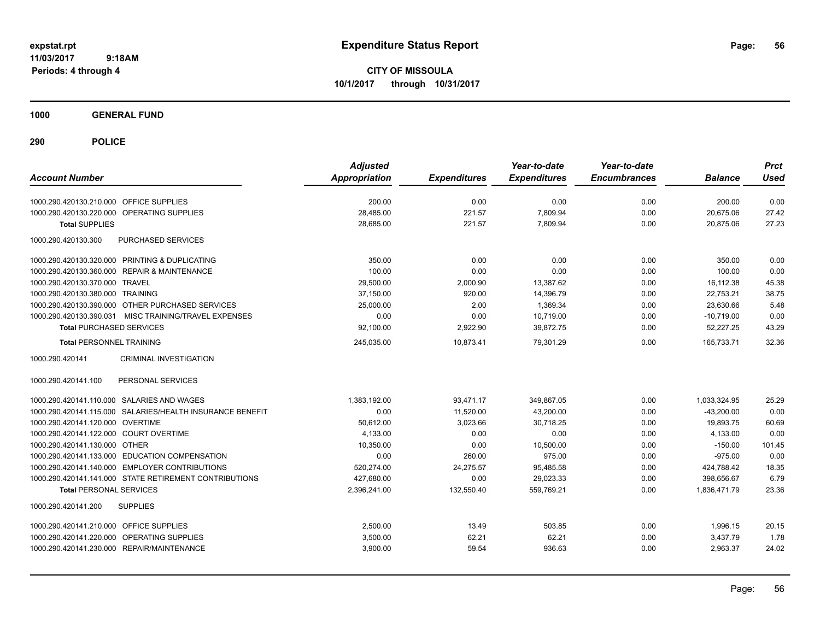**CITY OF MISSOULA 10/1/2017 through 10/31/2017**

**1000 GENERAL FUND**

| <b>Account Number</b>                                     | <b>Adjusted</b><br><b>Appropriation</b> | <b>Expenditures</b> | Year-to-date<br><b>Expenditures</b> | Year-to-date<br><b>Encumbrances</b> | <b>Balance</b> | <b>Prct</b><br><b>Used</b> |
|-----------------------------------------------------------|-----------------------------------------|---------------------|-------------------------------------|-------------------------------------|----------------|----------------------------|
| 1000.290.420130.210.000 OFFICE SUPPLIES                   | 200.00                                  | 0.00                | 0.00                                | 0.00                                | 200.00         | 0.00                       |
| 1000.290.420130.220.000 OPERATING SUPPLIES                | 28,485.00                               | 221.57              | 7,809.94                            | 0.00                                | 20,675.06      | 27.42                      |
| <b>Total SUPPLIES</b>                                     | 28,685.00                               | 221.57              | 7,809.94                            | 0.00                                | 20,875.06      | 27.23                      |
| 1000.290.420130.300<br>PURCHASED SERVICES                 |                                         |                     |                                     |                                     |                |                            |
| 1000.290.420130.320.000 PRINTING & DUPLICATING            | 350.00                                  | 0.00                | 0.00                                | 0.00                                | 350.00         | 0.00                       |
| 1000.290.420130.360.000 REPAIR & MAINTENANCE              | 100.00                                  | 0.00                | 0.00                                | 0.00                                | 100.00         | 0.00                       |
| 1000.290.420130.370.000 TRAVEL                            | 29,500.00                               | 2,000.90            | 13,387.62                           | 0.00                                | 16,112.38      | 45.38                      |
| 1000.290.420130.380.000 TRAINING                          | 37,150.00                               | 920.00              | 14,396.79                           | 0.00                                | 22,753.21      | 38.75                      |
| 1000.290.420130.390.000 OTHER PURCHASED SERVICES          | 25,000.00                               | 2.00                | 1,369.34                            | 0.00                                | 23,630.66      | 5.48                       |
| 1000.290.420130.390.031 MISC TRAINING/TRAVEL EXPENSES     | 0.00                                    | 0.00                | 10.719.00                           | 0.00                                | $-10.719.00$   | 0.00                       |
| <b>Total PURCHASED SERVICES</b>                           | 92,100.00                               | 2,922.90            | 39,872.75                           | 0.00                                | 52,227.25      | 43.29                      |
| <b>Total PERSONNEL TRAINING</b>                           | 245,035.00                              | 10,873.41           | 79,301.29                           | 0.00                                | 165,733.71     | 32.36                      |
| <b>CRIMINAL INVESTIGATION</b><br>1000.290.420141          |                                         |                     |                                     |                                     |                |                            |
| PERSONAL SERVICES<br>1000.290.420141.100                  |                                         |                     |                                     |                                     |                |                            |
| 1000.290.420141.110.000 SALARIES AND WAGES                | 1,383,192.00                            | 93,471.17           | 349,867.05                          | 0.00                                | 1,033,324.95   | 25.29                      |
| 1000.290.420141.115.000 SALARIES/HEALTH INSURANCE BENEFIT | 0.00                                    | 11,520.00           | 43,200.00                           | 0.00                                | $-43,200.00$   | 0.00                       |
| 1000.290.420141.120.000 OVERTIME                          | 50,612.00                               | 3,023.66            | 30.718.25                           | 0.00                                | 19,893.75      | 60.69                      |
| 1000.290.420141.122.000 COURT OVERTIME                    | 4,133.00                                | 0.00                | 0.00                                | 0.00                                | 4,133.00       | 0.00                       |
| 1000.290.420141.130.000 OTHER                             | 10.350.00                               | 0.00                | 10,500.00                           | 0.00                                | $-150.00$      | 101.45                     |
| 1000.290.420141.133.000 EDUCATION COMPENSATION            | 0.00                                    | 260.00              | 975.00                              | 0.00                                | $-975.00$      | 0.00                       |
| 1000.290.420141.140.000 EMPLOYER CONTRIBUTIONS            | 520,274.00                              | 24,275.57           | 95,485.58                           | 0.00                                | 424,788.42     | 18.35                      |
| 1000.290.420141.141.000 STATE RETIREMENT CONTRIBUTIONS    | 427,680.00                              | 0.00                | 29,023.33                           | 0.00                                | 398.656.67     | 6.79                       |
| <b>Total PERSONAL SERVICES</b>                            | 2,396,241.00                            | 132,550.40          | 559,769.21                          | 0.00                                | 1,836,471.79   | 23.36                      |
| <b>SUPPLIES</b><br>1000.290.420141.200                    |                                         |                     |                                     |                                     |                |                            |
| 1000.290.420141.210.000 OFFICE SUPPLIES                   | 2,500.00                                | 13.49               | 503.85                              | 0.00                                | 1,996.15       | 20.15                      |
| 1000.290.420141.220.000 OPERATING SUPPLIES                | 3,500.00                                | 62.21               | 62.21                               | 0.00                                | 3,437.79       | 1.78                       |
| 1000.290.420141.230.000 REPAIR/MAINTENANCE                | 3,900.00                                | 59.54               | 936.63                              | 0.00                                | 2,963.37       | 24.02                      |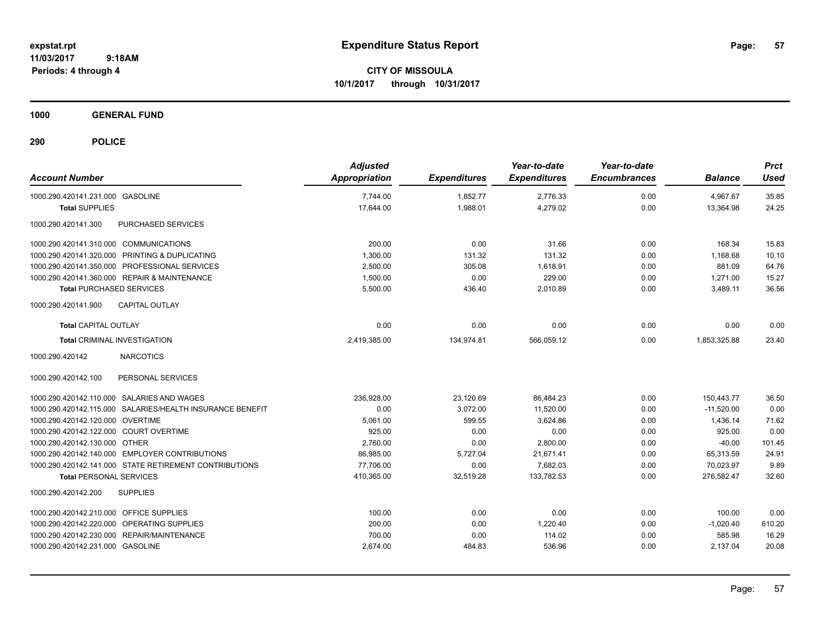**CITY OF MISSOULA 10/1/2017 through 10/31/2017**

**1000 GENERAL FUND**

| <b>Account Number</b>                                     | <b>Adjusted</b><br>Appropriation | <b>Expenditures</b> | Year-to-date<br><b>Expenditures</b> | Year-to-date<br><b>Encumbrances</b> | <b>Balance</b> | <b>Prct</b><br><b>Used</b> |
|-----------------------------------------------------------|----------------------------------|---------------------|-------------------------------------|-------------------------------------|----------------|----------------------------|
| 1000.290.420141.231.000 GASOLINE                          | 7,744.00                         | 1,852.77            | 2,776.33                            | 0.00                                | 4,967.67       | 35.85                      |
| <b>Total SUPPLIES</b>                                     | 17,644.00                        | 1,988.01            | 4,279.02                            | 0.00                                | 13,364.98      | 24.25                      |
| PURCHASED SERVICES<br>1000.290.420141.300                 |                                  |                     |                                     |                                     |                |                            |
| 1000.290.420141.310.000 COMMUNICATIONS                    | 200.00                           | 0.00                | 31.66                               | 0.00                                | 168.34         | 15.83                      |
| 1000.290.420141.320.000 PRINTING & DUPLICATING            | 1,300.00                         | 131.32              | 131.32                              | 0.00                                | 1,168.68       | 10.10                      |
| 1000.290.420141.350.000 PROFESSIONAL SERVICES             | 2,500.00                         | 305.08              | 1.618.91                            | 0.00                                | 881.09         | 64.76                      |
| 1000.290.420141.360.000 REPAIR & MAINTENANCE              | 1,500.00                         | 0.00                | 229.00                              | 0.00                                | 1,271.00       | 15.27                      |
| <b>Total PURCHASED SERVICES</b>                           | 5,500.00                         | 436.40              | 2.010.89                            | 0.00                                | 3,489.11       | 36.56                      |
| <b>CAPITAL OUTLAY</b><br>1000.290.420141.900              |                                  |                     |                                     |                                     |                |                            |
| <b>Total CAPITAL OUTLAY</b>                               | 0.00                             | 0.00                | 0.00                                | 0.00                                | 0.00           | 0.00                       |
| <b>Total CRIMINAL INVESTIGATION</b>                       | 2,419,385.00                     | 134,974.81          | 566,059.12                          | 0.00                                | 1,853,325.88   | 23.40                      |
| <b>NARCOTICS</b><br>1000.290.420142                       |                                  |                     |                                     |                                     |                |                            |
| PERSONAL SERVICES<br>1000.290.420142.100                  |                                  |                     |                                     |                                     |                |                            |
| 1000.290.420142.110.000 SALARIES AND WAGES                | 236.928.00                       | 23,120.69           | 86,484.23                           | 0.00                                | 150.443.77     | 36.50                      |
| 1000.290.420142.115.000 SALARIES/HEALTH INSURANCE BENEFIT | 0.00                             | 3,072.00            | 11,520.00                           | 0.00                                | $-11,520.00$   | 0.00                       |
| 1000.290.420142.120.000 OVERTIME                          | 5,061.00                         | 599.55              | 3,624.86                            | 0.00                                | 1,436.14       | 71.62                      |
| 1000.290.420142.122.000 COURT OVERTIME                    | 925.00                           | 0.00                | 0.00                                | 0.00                                | 925.00         | 0.00                       |
| 1000.290.420142.130.000 OTHER                             | 2,760.00                         | 0.00                | 2,800.00                            | 0.00                                | $-40.00$       | 101.45                     |
| 1000.290.420142.140.000 EMPLOYER CONTRIBUTIONS            | 86,985.00                        | 5,727.04            | 21,671.41                           | 0.00                                | 65,313.59      | 24.91                      |
| 1000.290.420142.141.000 STATE RETIREMENT CONTRIBUTIONS    | 77,706.00                        | 0.00                | 7,682.03                            | 0.00                                | 70,023.97      | 9.89                       |
| <b>Total PERSONAL SERVICES</b>                            | 410,365.00                       | 32,519.28           | 133,782.53                          | 0.00                                | 276,582.47     | 32.60                      |
| <b>SUPPLIES</b><br>1000.290.420142.200                    |                                  |                     |                                     |                                     |                |                            |
| 1000.290.420142.210.000 OFFICE SUPPLIES                   | 100.00                           | 0.00                | 0.00                                | 0.00                                | 100.00         | 0.00                       |
| 1000.290.420142.220.000 OPERATING SUPPLIES                | 200.00                           | 0.00                | 1,220.40                            | 0.00                                | $-1,020.40$    | 610.20                     |
| 1000.290.420142.230.000 REPAIR/MAINTENANCE                | 700.00                           | 0.00                | 114.02                              | 0.00                                | 585.98         | 16.29                      |
| 1000.290.420142.231.000 GASOLINE                          | 2,674.00                         | 484.83              | 536.96                              | 0.00                                | 2,137.04       | 20.08                      |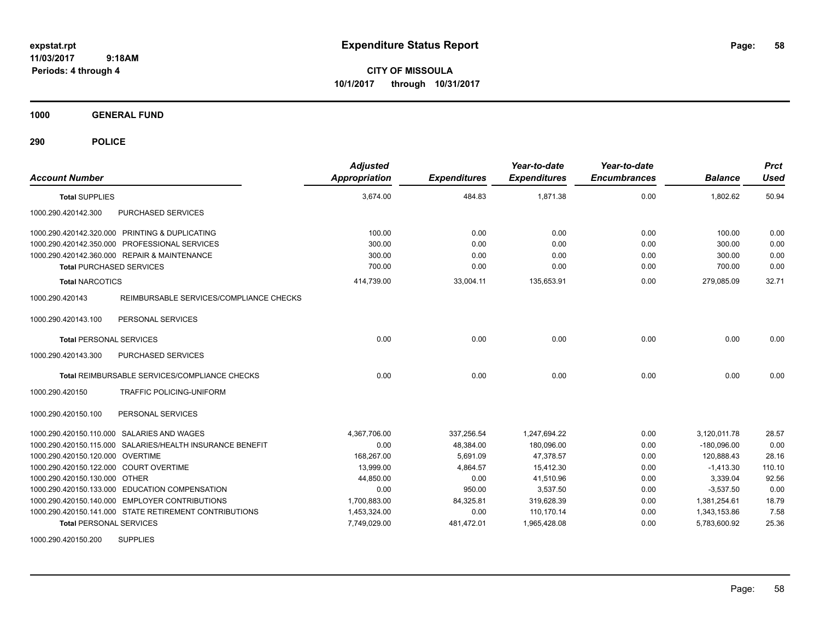**CITY OF MISSOULA 10/1/2017 through 10/31/2017**

**1000 GENERAL FUND**

**290 POLICE**

| <b>Account Number</b>                                      | <b>Adjusted</b><br><b>Appropriation</b> | <b>Expenditures</b> | Year-to-date<br><b>Expenditures</b> | Year-to-date<br><b>Encumbrances</b> | <b>Balance</b> | <b>Prct</b><br><b>Used</b> |
|------------------------------------------------------------|-----------------------------------------|---------------------|-------------------------------------|-------------------------------------|----------------|----------------------------|
| <b>Total SUPPLIES</b>                                      | 3,674.00                                | 484.83              | 1,871.38                            | 0.00                                | 1,802.62       | 50.94                      |
| 1000.290.420142.300<br>PURCHASED SERVICES                  |                                         |                     |                                     |                                     |                |                            |
| 1000.290.420142.320.000 PRINTING & DUPLICATING             | 100.00                                  | 0.00                | 0.00                                | 0.00                                | 100.00         | 0.00                       |
| 1000.290.420142.350.000 PROFESSIONAL SERVICES              | 300.00                                  | 0.00                | 0.00                                | 0.00                                | 300.00         | 0.00                       |
| 1000.290.420142.360.000 REPAIR & MAINTENANCE               | 300.00                                  | 0.00                | 0.00                                | 0.00                                | 300.00         | 0.00                       |
| <b>Total PURCHASED SERVICES</b>                            | 700.00                                  | 0.00                | 0.00                                | 0.00                                | 700.00         | 0.00                       |
| <b>Total NARCOTICS</b>                                     | 414,739.00                              | 33,004.11           | 135,653.91                          | 0.00                                | 279,085.09     | 32.71                      |
| 1000.290.420143<br>REIMBURSABLE SERVICES/COMPLIANCE CHECKS |                                         |                     |                                     |                                     |                |                            |
| 1000.290.420143.100<br>PERSONAL SERVICES                   |                                         |                     |                                     |                                     |                |                            |
| <b>Total PERSONAL SERVICES</b>                             | 0.00                                    | 0.00                | 0.00                                | 0.00                                | 0.00           | 0.00                       |
| PURCHASED SERVICES<br>1000.290.420143.300                  |                                         |                     |                                     |                                     |                |                            |
| Total REIMBURSABLE SERVICES/COMPLIANCE CHECKS              | 0.00                                    | 0.00                | 0.00                                | 0.00                                | 0.00           | 0.00                       |
| TRAFFIC POLICING-UNIFORM<br>1000.290.420150                |                                         |                     |                                     |                                     |                |                            |
| 1000.290.420150.100<br>PERSONAL SERVICES                   |                                         |                     |                                     |                                     |                |                            |
| 1000.290.420150.110.000 SALARIES AND WAGES                 | 4,367,706.00                            | 337.256.54          | 1,247,694.22                        | 0.00                                | 3,120,011.78   | 28.57                      |
| 1000.290.420150.115.000 SALARIES/HEALTH INSURANCE BENEFIT  | 0.00                                    | 48.384.00           | 180.096.00                          | 0.00                                | $-180.096.00$  | 0.00                       |
| 1000.290.420150.120.000 OVERTIME                           | 168,267.00                              | 5,691.09            | 47,378.57                           | 0.00                                | 120,888.43     | 28.16                      |
| 1000.290.420150.122.000 COURT OVERTIME                     | 13,999.00                               | 4,864.57            | 15,412.30                           | 0.00                                | $-1,413.30$    | 110.10                     |
| 1000.290.420150.130.000 OTHER                              | 44.850.00                               | 0.00                | 41.510.96                           | 0.00                                | 3.339.04       | 92.56                      |
| 1000.290.420150.133.000 EDUCATION COMPENSATION             | 0.00                                    | 950.00              | 3,537.50                            | 0.00                                | $-3,537.50$    | 0.00                       |
| 1000.290.420150.140.000 EMPLOYER CONTRIBUTIONS             | 1,700,883.00                            | 84,325.81           | 319,628.39                          | 0.00                                | 1,381,254.61   | 18.79                      |
| 1000.290.420150.141.000 STATE RETIREMENT CONTRIBUTIONS     | 1,453,324.00                            | 0.00                | 110.170.14                          | 0.00                                | 1,343,153.86   | 7.58                       |
| <b>Total PERSONAL SERVICES</b>                             | 7,749,029.00                            | 481,472.01          | 1,965,428.08                        | 0.00                                | 5,783,600.92   | 25.36                      |

1000.290.420150.200 SUPPLIES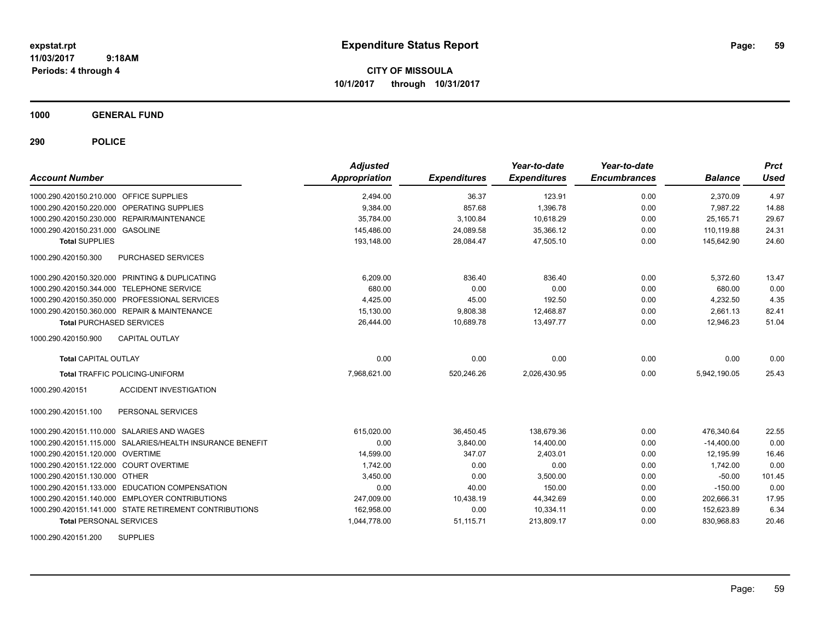**CITY OF MISSOULA 10/1/2017 through 10/31/2017**

**1000 GENERAL FUND**

**290 POLICE**

| <b>Account Number</b>                                     | <b>Adjusted</b><br><b>Appropriation</b> | <b>Expenditures</b> | Year-to-date<br><b>Expenditures</b> | Year-to-date<br><b>Encumbrances</b> | <b>Balance</b> | <b>Prct</b><br><b>Used</b> |
|-----------------------------------------------------------|-----------------------------------------|---------------------|-------------------------------------|-------------------------------------|----------------|----------------------------|
| 1000.290.420150.210.000 OFFICE SUPPLIES                   | 2,494.00                                | 36.37               | 123.91                              | 0.00                                | 2,370.09       | 4.97                       |
| 1000.290.420150.220.000 OPERATING SUPPLIES                | 9,384.00                                | 857.68              | 1,396.78                            | 0.00                                | 7.987.22       | 14.88                      |
| 1000.290.420150.230.000 REPAIR/MAINTENANCE                | 35,784.00                               | 3,100.84            | 10,618.29                           | 0.00                                | 25.165.71      | 29.67                      |
| 1000.290.420150.231.000 GASOLINE                          | 145,486.00                              | 24,089.58           | 35,366.12                           | 0.00                                | 110,119.88     | 24.31                      |
| <b>Total SUPPLIES</b>                                     | 193,148.00                              | 28,084.47           | 47,505.10                           | 0.00                                | 145,642.90     | 24.60                      |
| <b>PURCHASED SERVICES</b><br>1000.290.420150.300          |                                         |                     |                                     |                                     |                |                            |
| 1000.290.420150.320.000 PRINTING & DUPLICATING            | 6,209.00                                | 836.40              | 836.40                              | 0.00                                | 5,372.60       | 13.47                      |
| 1000.290.420150.344.000 TELEPHONE SERVICE                 | 680.00                                  | 0.00                | 0.00                                | 0.00                                | 680.00         | 0.00                       |
| 1000.290.420150.350.000 PROFESSIONAL SERVICES             | 4,425.00                                | 45.00               | 192.50                              | 0.00                                | 4,232.50       | 4.35                       |
| 1000.290.420150.360.000 REPAIR & MAINTENANCE              | 15.130.00                               | 9,808.38            | 12.468.87                           | 0.00                                | 2,661.13       | 82.41                      |
| <b>Total PURCHASED SERVICES</b>                           | 26,444.00                               | 10.689.78           | 13.497.77                           | 0.00                                | 12.946.23      | 51.04                      |
| CAPITAL OUTLAY<br>1000.290.420150.900                     |                                         |                     |                                     |                                     |                |                            |
| <b>Total CAPITAL OUTLAY</b>                               | 0.00                                    | 0.00                | 0.00                                | 0.00                                | 0.00           | 0.00                       |
| <b>Total TRAFFIC POLICING-UNIFORM</b>                     | 7.968.621.00                            | 520,246.26          | 2.026.430.95                        | 0.00                                | 5,942,190.05   | 25.43                      |
| 1000.290.420151<br><b>ACCIDENT INVESTIGATION</b>          |                                         |                     |                                     |                                     |                |                            |
| PERSONAL SERVICES<br>1000.290.420151.100                  |                                         |                     |                                     |                                     |                |                            |
| 1000.290.420151.110.000 SALARIES AND WAGES                | 615,020.00                              | 36,450.45           | 138.679.36                          | 0.00                                | 476,340.64     | 22.55                      |
| 1000.290.420151.115.000 SALARIES/HEALTH INSURANCE BENEFIT | 0.00                                    | 3.840.00            | 14.400.00                           | 0.00                                | $-14.400.00$   | 0.00                       |
| 1000.290.420151.120.000 OVERTIME                          | 14,599.00                               | 347.07              | 2.403.01                            | 0.00                                | 12.195.99      | 16.46                      |
| 1000.290.420151.122.000 COURT OVERTIME                    | 1,742.00                                | 0.00                | 0.00                                | 0.00                                | 1,742.00       | 0.00                       |
| 1000.290.420151.130.000 OTHER                             | 3,450.00                                | 0.00                | 3,500.00                            | 0.00                                | $-50.00$       | 101.45                     |
| 1000.290.420151.133.000 EDUCATION COMPENSATION            | 0.00                                    | 40.00               | 150.00                              | 0.00                                | $-150.00$      | 0.00                       |
| 1000.290.420151.140.000 EMPLOYER CONTRIBUTIONS            | 247,009.00                              | 10,438.19           | 44,342.69                           | 0.00                                | 202,666.31     | 17.95                      |
| 1000.290.420151.141.000 STATE RETIREMENT CONTRIBUTIONS    | 162.958.00                              | 0.00                | 10,334.11                           | 0.00                                | 152.623.89     | 6.34                       |
| <b>Total PERSONAL SERVICES</b>                            | 1,044,778.00                            | 51,115.71           | 213,809.17                          | 0.00                                | 830,968.83     | 20.46                      |

1000.290.420151.200 SUPPLIES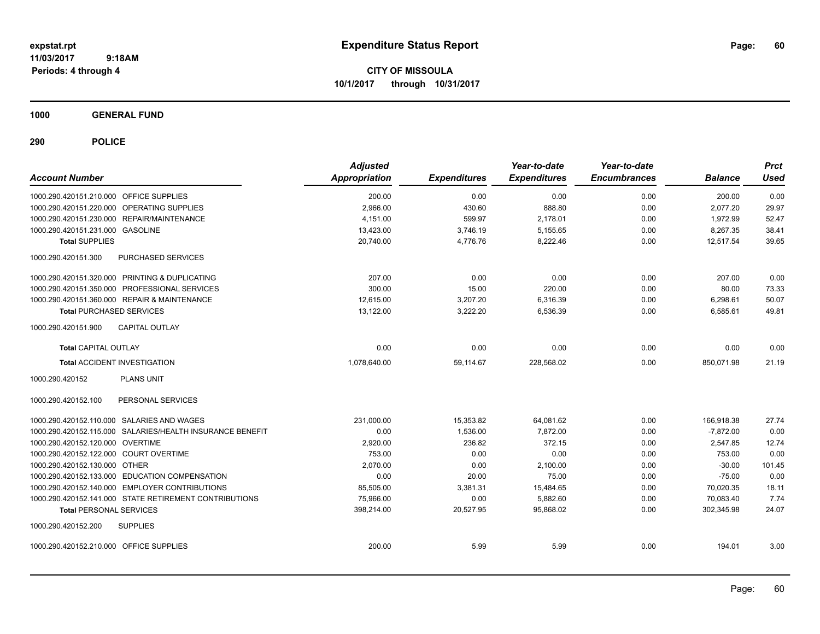**CITY OF MISSOULA 10/1/2017 through 10/31/2017**

**1000 GENERAL FUND**

| <b>Account Number</b>                                     | <b>Adjusted</b><br>Appropriation | <b>Expenditures</b> | Year-to-date<br><b>Expenditures</b> | Year-to-date<br><b>Encumbrances</b> | <b>Balance</b> | <b>Prct</b><br>Used |
|-----------------------------------------------------------|----------------------------------|---------------------|-------------------------------------|-------------------------------------|----------------|---------------------|
| 1000.290.420151.210.000 OFFICE SUPPLIES                   | 200.00                           | 0.00                | 0.00                                | 0.00                                | 200.00         | 0.00                |
| 1000.290.420151.220.000 OPERATING SUPPLIES                | 2,966.00                         | 430.60              | 888.80                              | 0.00                                | 2,077.20       | 29.97               |
| 1000.290.420151.230.000 REPAIR/MAINTENANCE                | 4.151.00                         | 599.97              | 2,178.01                            | 0.00                                | 1.972.99       | 52.47               |
| 1000.290.420151.231.000 GASOLINE                          | 13,423.00                        | 3,746.19            | 5,155.65                            | 0.00                                | 8,267.35       | 38.41               |
| <b>Total SUPPLIES</b>                                     | 20,740.00                        | 4,776.76            | 8,222.46                            | 0.00                                | 12,517.54      | 39.65               |
| 1000.290.420151.300<br>PURCHASED SERVICES                 |                                  |                     |                                     |                                     |                |                     |
| 1000.290.420151.320.000 PRINTING & DUPLICATING            | 207.00                           | 0.00                | 0.00                                | 0.00                                | 207.00         | 0.00                |
| 1000.290.420151.350.000 PROFESSIONAL SERVICES             | 300.00                           | 15.00               | 220.00                              | 0.00                                | 80.00          | 73.33               |
| 1000.290.420151.360.000 REPAIR & MAINTENANCE              | 12.615.00                        | 3,207.20            | 6,316.39                            | 0.00                                | 6,298.61       | 50.07               |
| <b>Total PURCHASED SERVICES</b>                           | 13,122.00                        | 3,222.20            | 6,536.39                            | 0.00                                | 6,585.61       | 49.81               |
| <b>CAPITAL OUTLAY</b><br>1000.290.420151.900              |                                  |                     |                                     |                                     |                |                     |
| <b>Total CAPITAL OUTLAY</b>                               | 0.00                             | 0.00                | 0.00                                | 0.00                                | 0.00           | 0.00                |
| <b>Total ACCIDENT INVESTIGATION</b>                       | 1,078,640.00                     | 59,114.67           | 228,568.02                          | 0.00                                | 850,071.98     | 21.19               |
| <b>PLANS UNIT</b><br>1000.290.420152                      |                                  |                     |                                     |                                     |                |                     |
| 1000.290.420152.100<br>PERSONAL SERVICES                  |                                  |                     |                                     |                                     |                |                     |
| 1000.290.420152.110.000 SALARIES AND WAGES                | 231,000.00                       | 15,353.82           | 64,081.62                           | 0.00                                | 166,918.38     | 27.74               |
| 1000.290.420152.115.000 SALARIES/HEALTH INSURANCE BENEFIT | 0.00                             | 1,536.00            | 7.872.00                            | 0.00                                | $-7.872.00$    | 0.00                |
| 1000.290.420152.120.000 OVERTIME                          | 2,920.00                         | 236.82              | 372.15                              | 0.00                                | 2,547.85       | 12.74               |
| 1000.290.420152.122.000 COURT OVERTIME                    | 753.00                           | 0.00                | 0.00                                | 0.00                                | 753.00         | 0.00                |
| 1000.290.420152.130.000 OTHER                             | 2.070.00                         | 0.00                | 2,100.00                            | 0.00                                | $-30.00$       | 101.45              |
| 1000.290.420152.133.000 EDUCATION COMPENSATION            | 0.00                             | 20.00               | 75.00                               | 0.00                                | $-75.00$       | 0.00                |
| 1000.290.420152.140.000 EMPLOYER CONTRIBUTIONS            | 85,505.00                        | 3,381.31            | 15,484.65                           | 0.00                                | 70,020.35      | 18.11               |
| 1000.290.420152.141.000 STATE RETIREMENT CONTRIBUTIONS    | 75.966.00                        | 0.00                | 5,882.60                            | 0.00                                | 70.083.40      | 7.74                |
| <b>Total PERSONAL SERVICES</b>                            | 398,214.00                       | 20,527.95           | 95.868.02                           | 0.00                                | 302.345.98     | 24.07               |
| 1000.290.420152.200<br><b>SUPPLIES</b>                    |                                  |                     |                                     |                                     |                |                     |
| 1000.290.420152.210.000 OFFICE SUPPLIES                   | 200.00                           | 5.99                | 5.99                                | 0.00                                | 194.01         | 3.00                |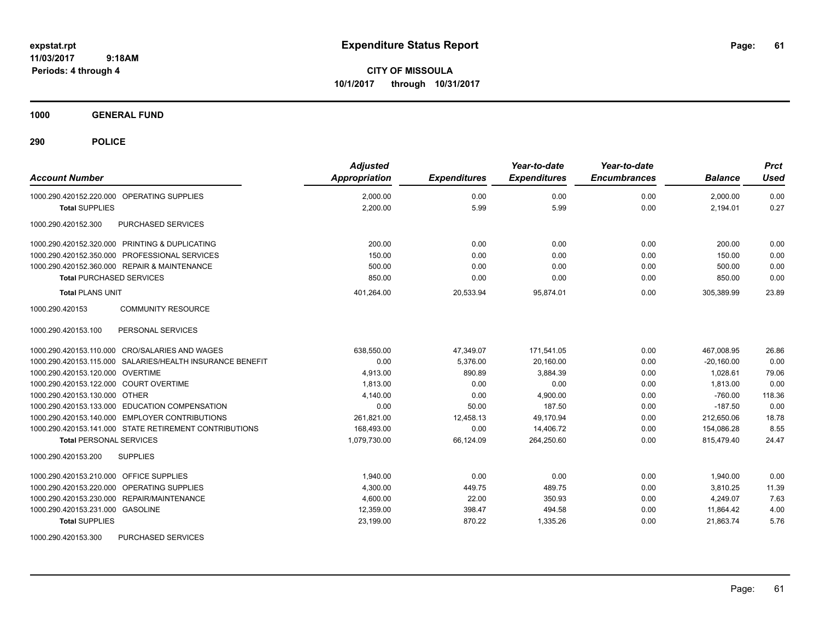**CITY OF MISSOULA 10/1/2017 through 10/31/2017**

**1000 GENERAL FUND**

**290 POLICE**

| <b>Account Number</b>                                     | <b>Adjusted</b><br>Appropriation | <b>Expenditures</b> | Year-to-date<br><b>Expenditures</b> | Year-to-date<br><b>Encumbrances</b> | <b>Balance</b> | <b>Prct</b><br><b>Used</b> |
|-----------------------------------------------------------|----------------------------------|---------------------|-------------------------------------|-------------------------------------|----------------|----------------------------|
| 1000.290.420152.220.000 OPERATING SUPPLIES                | 2,000.00                         | 0.00                | 0.00                                | 0.00                                | 2,000.00       | 0.00                       |
| <b>Total SUPPLIES</b>                                     | 2,200.00                         | 5.99                | 5.99                                | 0.00                                | 2,194.01       | 0.27                       |
| PURCHASED SERVICES<br>1000.290.420152.300                 |                                  |                     |                                     |                                     |                |                            |
| 1000.290.420152.320.000 PRINTING & DUPLICATING            | 200.00                           | 0.00                | 0.00                                | 0.00                                | 200.00         | 0.00                       |
| 1000.290.420152.350.000 PROFESSIONAL SERVICES             | 150.00                           | 0.00                | 0.00                                | 0.00                                | 150.00         | 0.00                       |
| 1000.290.420152.360.000 REPAIR & MAINTENANCE              | 500.00                           | 0.00                | 0.00                                | 0.00                                | 500.00         | 0.00                       |
| <b>Total PURCHASED SERVICES</b>                           | 850.00                           | 0.00                | 0.00                                | 0.00                                | 850.00         | 0.00                       |
| <b>Total PLANS UNIT</b>                                   | 401,264.00                       | 20,533.94           | 95,874.01                           | 0.00                                | 305,389.99     | 23.89                      |
| <b>COMMUNITY RESOURCE</b><br>1000.290.420153              |                                  |                     |                                     |                                     |                |                            |
| 1000.290.420153.100<br>PERSONAL SERVICES                  |                                  |                     |                                     |                                     |                |                            |
| 1000.290.420153.110.000 CRO/SALARIES AND WAGES            | 638,550.00                       | 47.349.07           | 171,541.05                          | 0.00                                | 467.008.95     | 26.86                      |
| 1000.290.420153.115.000 SALARIES/HEALTH INSURANCE BENEFIT | 0.00                             | 5.376.00            | 20.160.00                           | 0.00                                | $-20.160.00$   | 0.00                       |
| 1000.290.420153.120.000 OVERTIME                          | 4,913.00                         | 890.89              | 3,884.39                            | 0.00                                | 1,028.61       | 79.06                      |
| 1000.290.420153.122.000 COURT OVERTIME                    | 1,813.00                         | 0.00                | 0.00                                | 0.00                                | 1,813.00       | 0.00                       |
| 1000.290.420153.130.000 OTHER                             | 4,140.00                         | 0.00                | 4,900.00                            | 0.00                                | $-760.00$      | 118.36                     |
| 1000.290.420153.133.000 EDUCATION COMPENSATION            | 0.00                             | 50.00               | 187.50                              | 0.00                                | $-187.50$      | 0.00                       |
| 1000.290.420153.140.000 EMPLOYER CONTRIBUTIONS            | 261,821.00                       | 12,458.13           | 49,170.94                           | 0.00                                | 212,650.06     | 18.78                      |
| 1000.290.420153.141.000 STATE RETIREMENT CONTRIBUTIONS    | 168,493.00                       | 0.00                | 14,406.72                           | 0.00                                | 154.086.28     | 8.55                       |
| <b>Total PERSONAL SERVICES</b>                            | 1,079,730.00                     | 66,124.09           | 264,250.60                          | 0.00                                | 815.479.40     | 24.47                      |
| 1000.290.420153.200<br><b>SUPPLIES</b>                    |                                  |                     |                                     |                                     |                |                            |
| 1000.290.420153.210.000 OFFICE SUPPLIES                   | 1.940.00                         | 0.00                | 0.00                                | 0.00                                | 1.940.00       | 0.00                       |
| 1000.290.420153.220.000 OPERATING SUPPLIES                | 4,300.00                         | 449.75              | 489.75                              | 0.00                                | 3.810.25       | 11.39                      |
| 1000.290.420153.230.000 REPAIR/MAINTENANCE                | 4,600.00                         | 22.00               | 350.93                              | 0.00                                | 4.249.07       | 7.63                       |
| 1000.290.420153.231.000 GASOLINE                          | 12,359.00                        | 398.47              | 494.58                              | 0.00                                | 11,864.42      | 4.00                       |
| <b>Total SUPPLIES</b>                                     | 23,199.00                        | 870.22              | 1,335.26                            | 0.00                                | 21,863.74      | 5.76                       |

1000.290.420153.300 PURCHASED SERVICES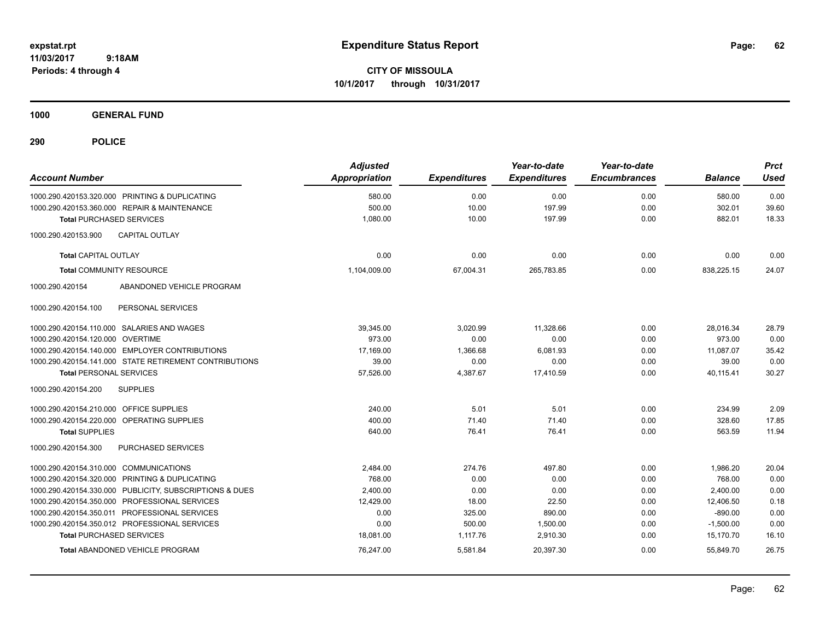**CITY OF MISSOULA 10/1/2017 through 10/31/2017**

**1000 GENERAL FUND**

| <b>Account Number</b>                   |                                                         | <b>Adjusted</b><br>Appropriation | <b>Expenditures</b> | Year-to-date<br><b>Expenditures</b> | Year-to-date<br><b>Encumbrances</b> | <b>Balance</b> | <b>Prct</b><br><b>Used</b> |
|-----------------------------------------|---------------------------------------------------------|----------------------------------|---------------------|-------------------------------------|-------------------------------------|----------------|----------------------------|
|                                         | 1000.290.420153.320.000 PRINTING & DUPLICATING          | 580.00                           | 0.00                | 0.00                                | 0.00                                | 580.00         | 0.00                       |
|                                         | 1000.290.420153.360.000 REPAIR & MAINTENANCE            | 500.00                           | 10.00               | 197.99                              | 0.00                                | 302.01         | 39.60                      |
|                                         | <b>Total PURCHASED SERVICES</b>                         | 1,080.00                         | 10.00               | 197.99                              | 0.00                                | 882.01         | 18.33                      |
| 1000.290.420153.900                     | <b>CAPITAL OUTLAY</b>                                   |                                  |                     |                                     |                                     |                |                            |
| <b>Total CAPITAL OUTLAY</b>             |                                                         | 0.00                             | 0.00                | 0.00                                | 0.00                                | 0.00           | 0.00                       |
|                                         | <b>Total COMMUNITY RESOURCE</b>                         | 1,104,009.00                     | 67,004.31           | 265,783.85                          | 0.00                                | 838,225.15     | 24.07                      |
| 1000.290.420154                         | ABANDONED VEHICLE PROGRAM                               |                                  |                     |                                     |                                     |                |                            |
| 1000.290.420154.100                     | PERSONAL SERVICES                                       |                                  |                     |                                     |                                     |                |                            |
|                                         | 1000.290.420154.110.000 SALARIES AND WAGES              | 39,345.00                        | 3,020.99            | 11,328.66                           | 0.00                                | 28,016.34      | 28.79                      |
| 1000.290.420154.120.000 OVERTIME        |                                                         | 973.00                           | 0.00                | 0.00                                | 0.00                                | 973.00         | 0.00                       |
|                                         | 1000.290.420154.140.000 EMPLOYER CONTRIBUTIONS          | 17,169.00                        | 1,366.68            | 6,081.93                            | 0.00                                | 11,087.07      | 35.42                      |
|                                         | 1000.290.420154.141.000 STATE RETIREMENT CONTRIBUTIONS  | 39.00                            | 0.00                | 0.00                                | 0.00                                | 39.00          | 0.00                       |
| <b>Total PERSONAL SERVICES</b>          |                                                         | 57,526.00                        | 4,387.67            | 17,410.59                           | 0.00                                | 40,115.41      | 30.27                      |
| 1000.290.420154.200                     | <b>SUPPLIES</b>                                         |                                  |                     |                                     |                                     |                |                            |
| 1000.290.420154.210.000 OFFICE SUPPLIES |                                                         | 240.00                           | 5.01                | 5.01                                | 0.00                                | 234.99         | 2.09                       |
|                                         | 1000.290.420154.220.000 OPERATING SUPPLIES              | 400.00                           | 71.40               | 71.40                               | 0.00                                | 328.60         | 17.85                      |
| <b>Total SUPPLIES</b>                   |                                                         | 640.00                           | 76.41               | 76.41                               | 0.00                                | 563.59         | 11.94                      |
| 1000.290.420154.300                     | PURCHASED SERVICES                                      |                                  |                     |                                     |                                     |                |                            |
| 1000.290.420154.310.000 COMMUNICATIONS  |                                                         | 2,484.00                         | 274.76              | 497.80                              | 0.00                                | 1,986.20       | 20.04                      |
|                                         | 1000.290.420154.320.000 PRINTING & DUPLICATING          | 768.00                           | 0.00                | 0.00                                | 0.00                                | 768.00         | 0.00                       |
|                                         | 1000.290.420154.330.000 PUBLICITY, SUBSCRIPTIONS & DUES | 2,400.00                         | 0.00                | 0.00                                | 0.00                                | 2,400.00       | 0.00                       |
|                                         | 1000.290.420154.350.000 PROFESSIONAL SERVICES           | 12,429.00                        | 18.00               | 22.50                               | 0.00                                | 12,406.50      | 0.18                       |
|                                         | 1000.290.420154.350.011 PROFESSIONAL SERVICES           | 0.00                             | 325.00              | 890.00                              | 0.00                                | $-890.00$      | 0.00                       |
|                                         | 1000.290.420154.350.012 PROFESSIONAL SERVICES           | 0.00                             | 500.00              | 1,500.00                            | 0.00                                | $-1,500.00$    | 0.00                       |
|                                         | <b>Total PURCHASED SERVICES</b>                         | 18,081.00                        | 1,117.76            | 2,910.30                            | 0.00                                | 15,170.70      | 16.10                      |
|                                         | <b>Total ABANDONED VEHICLE PROGRAM</b>                  | 76,247.00                        | 5,581.84            | 20,397.30                           | 0.00                                | 55,849.70      | 26.75                      |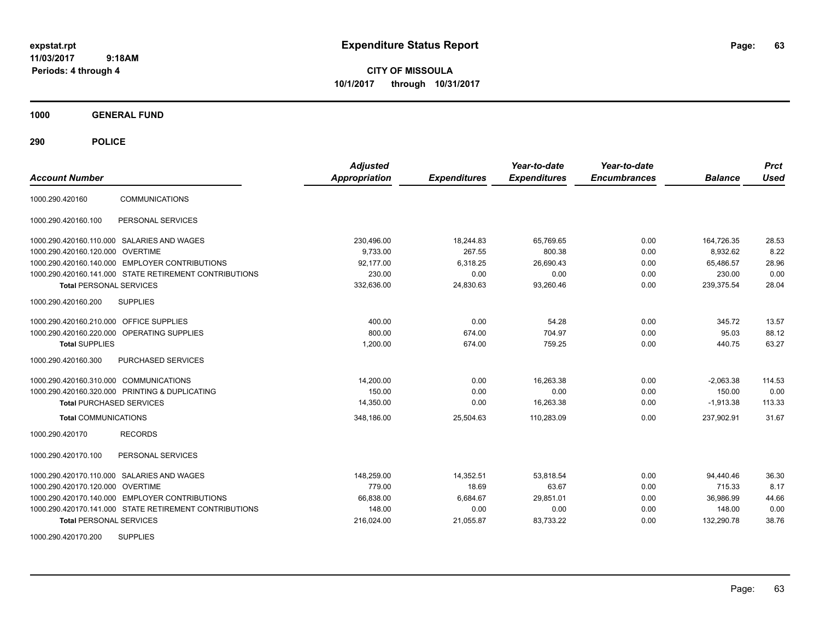**CITY OF MISSOULA 10/1/2017 through 10/31/2017**

**1000 GENERAL FUND**

**290 POLICE**

|                                        |                                                        | <b>Adjusted</b> |                     | Year-to-date        | Year-to-date        |                | <b>Prct</b> |
|----------------------------------------|--------------------------------------------------------|-----------------|---------------------|---------------------|---------------------|----------------|-------------|
| <b>Account Number</b>                  |                                                        | Appropriation   | <b>Expenditures</b> | <b>Expenditures</b> | <b>Encumbrances</b> | <b>Balance</b> | <b>Used</b> |
| 1000.290.420160                        | <b>COMMUNICATIONS</b>                                  |                 |                     |                     |                     |                |             |
| 1000.290.420160.100                    | PERSONAL SERVICES                                      |                 |                     |                     |                     |                |             |
|                                        | 1000.290.420160.110.000 SALARIES AND WAGES             | 230,496.00      | 18,244.83           | 65.769.65           | 0.00                | 164,726.35     | 28.53       |
| 1000.290.420160.120.000 OVERTIME       |                                                        | 9.733.00        | 267.55              | 800.38              | 0.00                | 8,932.62       | 8.22        |
|                                        | 1000.290.420160.140.000 EMPLOYER CONTRIBUTIONS         | 92.177.00       | 6,318.25            | 26,690.43           | 0.00                | 65.486.57      | 28.96       |
|                                        | 1000.290.420160.141.000 STATE RETIREMENT CONTRIBUTIONS | 230.00          | 0.00                | 0.00                | 0.00                | 230.00         | 0.00        |
| <b>Total PERSONAL SERVICES</b>         |                                                        | 332.636.00      | 24,830.63           | 93.260.46           | 0.00                | 239,375.54     | 28.04       |
| 1000.290.420160.200                    | <b>SUPPLIES</b>                                        |                 |                     |                     |                     |                |             |
| 1000.290.420160.210.000                | <b>OFFICE SUPPLIES</b>                                 | 400.00          | 0.00                | 54.28               | 0.00                | 345.72         | 13.57       |
|                                        | 1000.290.420160.220.000 OPERATING SUPPLIES             | 800.00          | 674.00              | 704.97              | 0.00                | 95.03          | 88.12       |
| <b>Total SUPPLIES</b>                  |                                                        | 1,200.00        | 674.00              | 759.25              | 0.00                | 440.75         | 63.27       |
| 1000.290.420160.300                    | PURCHASED SERVICES                                     |                 |                     |                     |                     |                |             |
| 1000.290.420160.310.000 COMMUNICATIONS |                                                        | 14,200.00       | 0.00                | 16,263.38           | 0.00                | $-2,063.38$    | 114.53      |
|                                        | 1000.290.420160.320.000 PRINTING & DUPLICATING         | 150.00          | 0.00                | 0.00                | 0.00                | 150.00         | 0.00        |
| <b>Total PURCHASED SERVICES</b>        |                                                        | 14,350.00       | 0.00                | 16.263.38           | 0.00                | $-1,913.38$    | 113.33      |
| <b>Total COMMUNICATIONS</b>            |                                                        | 348.186.00      | 25,504.63           | 110,283.09          | 0.00                | 237,902.91     | 31.67       |
| 1000.290.420170                        | <b>RECORDS</b>                                         |                 |                     |                     |                     |                |             |
| 1000.290.420170.100                    | PERSONAL SERVICES                                      |                 |                     |                     |                     |                |             |
|                                        | 1000.290.420170.110.000 SALARIES AND WAGES             | 148,259.00      | 14,352.51           | 53.818.54           | 0.00                | 94,440.46      | 36.30       |
| 1000.290.420170.120.000 OVERTIME       |                                                        | 779.00          | 18.69               | 63.67               | 0.00                | 715.33         | 8.17        |
|                                        | 1000.290.420170.140.000 EMPLOYER CONTRIBUTIONS         | 66,838.00       | 6,684.67            | 29,851.01           | 0.00                | 36,986.99      | 44.66       |
|                                        | 1000.290.420170.141.000 STATE RETIREMENT CONTRIBUTIONS | 148.00          | 0.00                | 0.00                | 0.00                | 148.00         | 0.00        |
| <b>Total PERSONAL SERVICES</b>         |                                                        | 216,024.00      | 21,055.87           | 83,733.22           | 0.00                | 132,290.78     | 38.76       |

1000.290.420170.200 SUPPLIES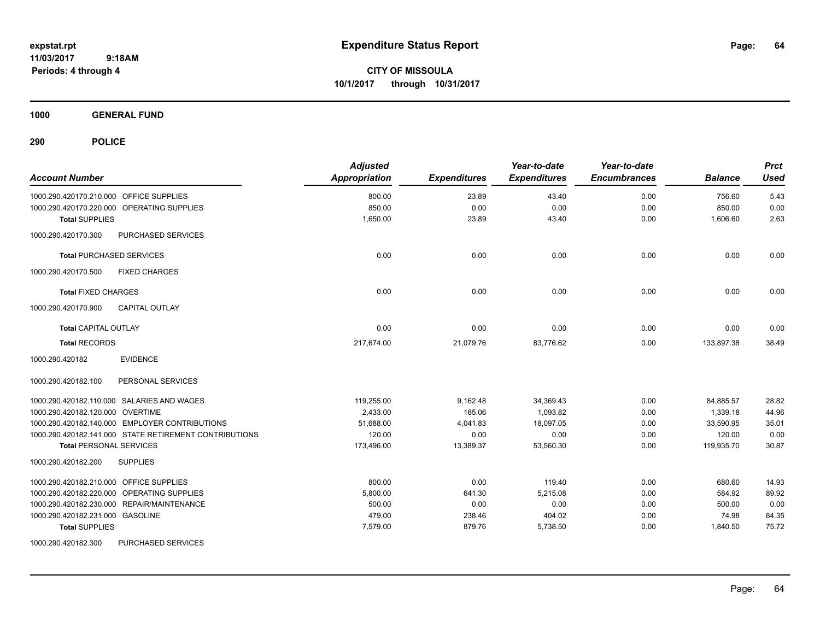**CITY OF MISSOULA 10/1/2017 through 10/31/2017**

**1000 GENERAL FUND**

**290 POLICE**

| <b>Account Number</b>                                  | <b>Adjusted</b><br><b>Appropriation</b> | <b>Expenditures</b> | Year-to-date<br><b>Expenditures</b> | Year-to-date<br><b>Encumbrances</b> | <b>Balance</b> | <b>Prct</b><br><b>Used</b> |
|--------------------------------------------------------|-----------------------------------------|---------------------|-------------------------------------|-------------------------------------|----------------|----------------------------|
| 1000.290.420170.210.000 OFFICE SUPPLIES                | 800.00                                  | 23.89               | 43.40                               | 0.00                                | 756.60         | 5.43                       |
| 1000.290.420170.220.000 OPERATING SUPPLIES             | 850.00                                  | 0.00                | 0.00                                | 0.00                                | 850.00         | 0.00                       |
| <b>Total SUPPLIES</b>                                  | 1,650.00                                | 23.89               | 43.40                               | 0.00                                | 1,606.60       | 2.63                       |
| 1000.290.420170.300<br>PURCHASED SERVICES              |                                         |                     |                                     |                                     |                |                            |
| <b>Total PURCHASED SERVICES</b>                        | 0.00                                    | 0.00                | 0.00                                | 0.00                                | 0.00           | 0.00                       |
| <b>FIXED CHARGES</b><br>1000.290.420170.500            |                                         |                     |                                     |                                     |                |                            |
| <b>Total FIXED CHARGES</b>                             | 0.00                                    | 0.00                | 0.00                                | 0.00                                | 0.00           | 0.00                       |
| <b>CAPITAL OUTLAY</b><br>1000.290.420170.900           |                                         |                     |                                     |                                     |                |                            |
| <b>Total CAPITAL OUTLAY</b>                            | 0.00                                    | 0.00                | 0.00                                | 0.00                                | 0.00           | 0.00                       |
| <b>Total RECORDS</b>                                   | 217,674.00                              | 21,079.76           | 83,776.62                           | 0.00                                | 133,897.38     | 38.49                      |
| <b>EVIDENCE</b><br>1000.290.420182                     |                                         |                     |                                     |                                     |                |                            |
| PERSONAL SERVICES<br>1000.290.420182.100               |                                         |                     |                                     |                                     |                |                            |
| 1000.290.420182.110.000 SALARIES AND WAGES             | 119,255.00                              | 9,162.48            | 34,369.43                           | 0.00                                | 84,885.57      | 28.82                      |
| 1000.290.420182.120.000 OVERTIME                       | 2.433.00                                | 185.06              | 1,093.82                            | 0.00                                | 1,339.18       | 44.96                      |
| 1000.290.420182.140.000 EMPLOYER CONTRIBUTIONS         | 51,688.00                               | 4,041.83            | 18,097.05                           | 0.00                                | 33,590.95      | 35.01                      |
| 1000.290.420182.141.000 STATE RETIREMENT CONTRIBUTIONS | 120.00                                  | 0.00                | 0.00                                | 0.00                                | 120.00         | 0.00                       |
| <b>Total PERSONAL SERVICES</b>                         | 173,496.00                              | 13,389.37           | 53,560.30                           | 0.00                                | 119,935.70     | 30.87                      |
| <b>SUPPLIES</b><br>1000.290.420182.200                 |                                         |                     |                                     |                                     |                |                            |
| 1000.290.420182.210.000 OFFICE SUPPLIES                | 800.00                                  | 0.00                | 119.40                              | 0.00                                | 680.60         | 14.93                      |
| 1000.290.420182.220.000 OPERATING SUPPLIES             | 5,800.00                                | 641.30              | 5,215.08                            | 0.00                                | 584.92         | 89.92                      |
| 1000.290.420182.230.000 REPAIR/MAINTENANCE             | 500.00                                  | 0.00                | 0.00                                | 0.00                                | 500.00         | 0.00                       |
| 1000.290.420182.231.000 GASOLINE                       | 479.00                                  | 238.46              | 404.02                              | 0.00                                | 74.98          | 84.35                      |
| <b>Total SUPPLIES</b>                                  | 7,579.00                                | 879.76              | 5,738.50                            | 0.00                                | 1,840.50       | 75.72                      |
| 1000.000.100100.000 PUBOULOFB OFBUJOEQ                 |                                         |                     |                                     |                                     |                |                            |

1000.290.420182.300 PURCHASED SERVICES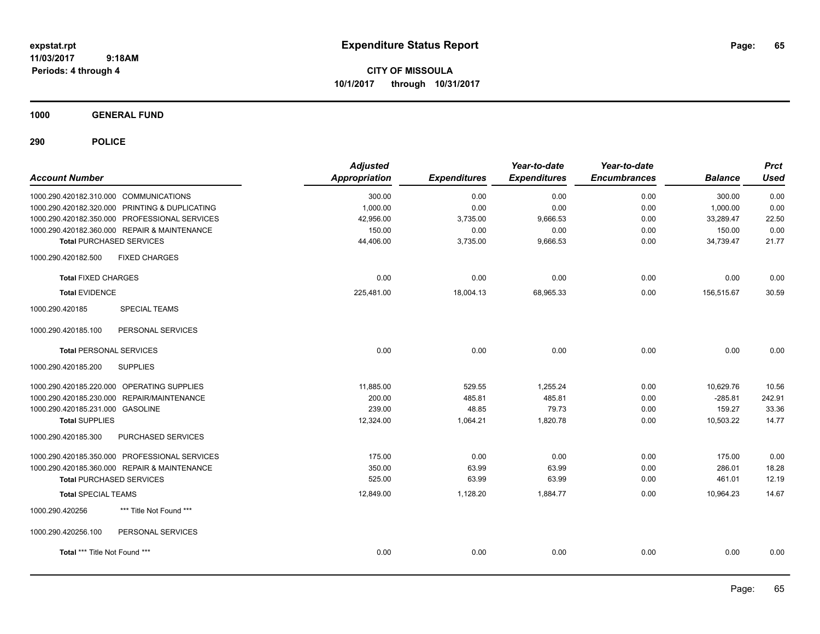**CITY OF MISSOULA 10/1/2017 through 10/31/2017**

**1000 GENERAL FUND**

| <b>Account Number</b>                          | <b>Adjusted</b><br><b>Appropriation</b> | <b>Expenditures</b> | Year-to-date<br><b>Expenditures</b> | Year-to-date<br><b>Encumbrances</b> | <b>Balance</b> | <b>Prct</b><br><b>Used</b> |
|------------------------------------------------|-----------------------------------------|---------------------|-------------------------------------|-------------------------------------|----------------|----------------------------|
| 1000.290.420182.310.000 COMMUNICATIONS         | 300.00                                  | 0.00                | 0.00                                | 0.00                                | 300.00         | 0.00                       |
| 1000.290.420182.320.000 PRINTING & DUPLICATING | 1,000.00                                | 0.00                | 0.00                                | 0.00                                | 1,000.00       | 0.00                       |
| 1000.290.420182.350.000 PROFESSIONAL SERVICES  | 42,956.00                               | 3,735.00            | 9,666.53                            | 0.00                                | 33,289.47      | 22.50                      |
| 1000.290.420182.360.000 REPAIR & MAINTENANCE   | 150.00                                  | 0.00                | 0.00                                | 0.00                                | 150.00         | 0.00                       |
| <b>Total PURCHASED SERVICES</b>                | 44,406.00                               | 3,735.00            | 9,666.53                            | 0.00                                | 34,739.47      | 21.77                      |
| 1000.290.420182.500<br><b>FIXED CHARGES</b>    |                                         |                     |                                     |                                     |                |                            |
| <b>Total FIXED CHARGES</b>                     | 0.00                                    | 0.00                | 0.00                                | 0.00                                | 0.00           | 0.00                       |
| <b>Total EVIDENCE</b>                          | 225,481.00                              | 18,004.13           | 68,965.33                           | 0.00                                | 156,515.67     | 30.59                      |
| 1000.290.420185<br><b>SPECIAL TEAMS</b>        |                                         |                     |                                     |                                     |                |                            |
| 1000.290.420185.100<br>PERSONAL SERVICES       |                                         |                     |                                     |                                     |                |                            |
| <b>Total PERSONAL SERVICES</b>                 | 0.00                                    | 0.00                | 0.00                                | 0.00                                | 0.00           | 0.00                       |
| 1000.290.420185.200<br><b>SUPPLIES</b>         |                                         |                     |                                     |                                     |                |                            |
| 1000.290.420185.220.000 OPERATING SUPPLIES     | 11,885.00                               | 529.55              | 1,255.24                            | 0.00                                | 10,629.76      | 10.56                      |
| 1000.290.420185.230.000 REPAIR/MAINTENANCE     | 200.00                                  | 485.81              | 485.81                              | 0.00                                | $-285.81$      | 242.91                     |
| 1000.290.420185.231.000 GASOLINE               | 239.00                                  | 48.85               | 79.73                               | 0.00                                | 159.27         | 33.36                      |
| <b>Total SUPPLIES</b>                          | 12,324.00                               | 1,064.21            | 1,820.78                            | 0.00                                | 10,503.22      | 14.77                      |
| PURCHASED SERVICES<br>1000.290.420185.300      |                                         |                     |                                     |                                     |                |                            |
| 1000.290.420185.350.000 PROFESSIONAL SERVICES  | 175.00                                  | 0.00                | 0.00                                | 0.00                                | 175.00         | 0.00                       |
| 1000.290.420185.360.000 REPAIR & MAINTENANCE   | 350.00                                  | 63.99               | 63.99                               | 0.00                                | 286.01         | 18.28                      |
| <b>Total PURCHASED SERVICES</b>                | 525.00                                  | 63.99               | 63.99                               | 0.00                                | 461.01         | 12.19                      |
| <b>Total SPECIAL TEAMS</b>                     | 12,849.00                               | 1,128.20            | 1,884.77                            | 0.00                                | 10,964.23      | 14.67                      |
| 1000.290.420256<br>*** Title Not Found ***     |                                         |                     |                                     |                                     |                |                            |
| 1000.290.420256.100<br>PERSONAL SERVICES       |                                         |                     |                                     |                                     |                |                            |
| Total *** Title Not Found ***                  | 0.00                                    | 0.00                | 0.00                                | 0.00                                | 0.00           | 0.00                       |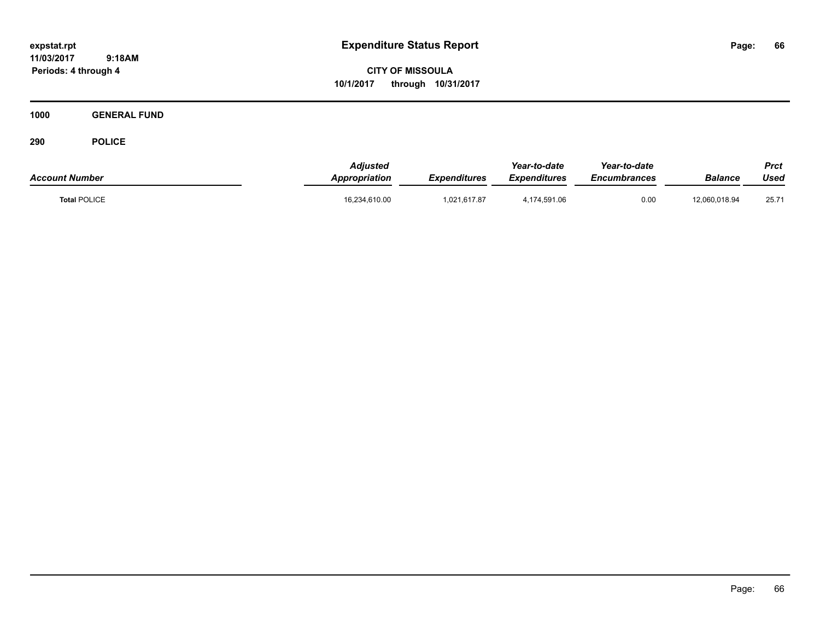**CITY OF MISSOULA 10/1/2017 through 10/31/2017**

**1000 GENERAL FUND**

| <b>Account Number</b> | <b>Adiusted</b><br><b>Appropriation</b> | Expenditures | Year-to-date<br><b>Expenditures</b> | Year-to-date<br><b>Encumbrances</b> | Balance       | Prct<br>Used |
|-----------------------|-----------------------------------------|--------------|-------------------------------------|-------------------------------------|---------------|--------------|
| <b>Total POLICE</b>   | 16,234,610.00                           | 1.021.617.87 | 4,174,591.06                        | 0.00                                | 12,060,018.94 | 25.71        |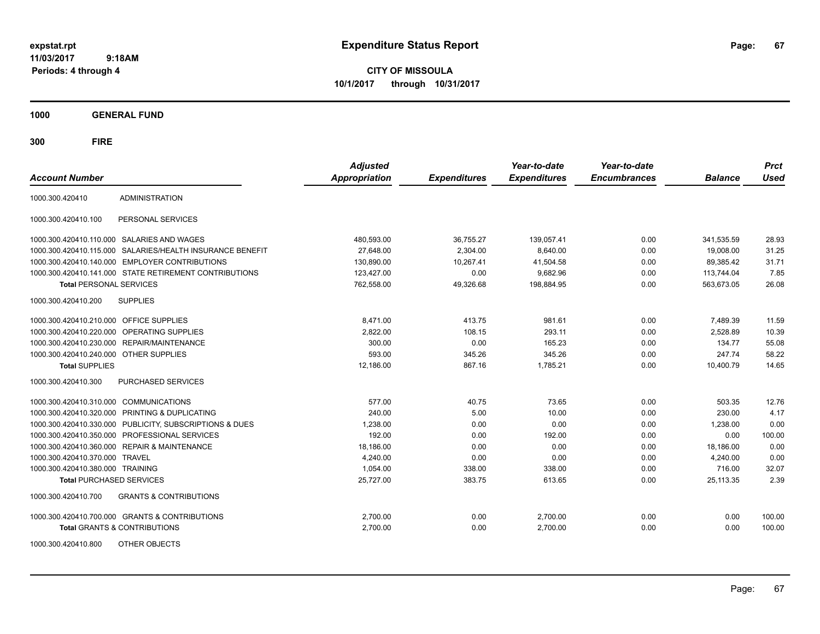**CITY OF MISSOULA 10/1/2017 through 10/31/2017**

**1000 GENERAL FUND**

| <b>Account Number</b>                   |                                                        | <b>Adjusted</b><br><b>Appropriation</b> | <b>Expenditures</b> | Year-to-date<br><b>Expenditures</b> | Year-to-date<br><b>Encumbrances</b> | <b>Balance</b> | <b>Prct</b><br><b>Used</b> |
|-----------------------------------------|--------------------------------------------------------|-----------------------------------------|---------------------|-------------------------------------|-------------------------------------|----------------|----------------------------|
| 1000.300.420410                         | <b>ADMINISTRATION</b>                                  |                                         |                     |                                     |                                     |                |                            |
| 1000.300.420410.100                     | PERSONAL SERVICES                                      |                                         |                     |                                     |                                     |                |                            |
|                                         | 1000.300.420410.110.000 SALARIES AND WAGES             | 480,593.00                              | 36,755.27           | 139,057.41                          | 0.00                                | 341,535.59     | 28.93                      |
| 1000.300.420410.115.000                 | SALARIES/HEALTH INSURANCE BENEFIT                      | 27.648.00                               | 2,304.00            | 8.640.00                            | 0.00                                | 19.008.00      | 31.25                      |
| 1000.300.420410.140.000                 | <b>EMPLOYER CONTRIBUTIONS</b>                          | 130,890.00                              | 10,267.41           | 41,504.58                           | 0.00                                | 89,385.42      | 31.71                      |
|                                         | 1000.300.420410.141.000 STATE RETIREMENT CONTRIBUTIONS | 123,427.00                              | 0.00                | 9,682.96                            | 0.00                                | 113,744.04     | 7.85                       |
| <b>Total PERSONAL SERVICES</b>          |                                                        | 762,558.00                              | 49,326.68           | 198,884.95                          | 0.00                                | 563,673.05     | 26.08                      |
| 1000.300.420410.200                     | <b>SUPPLIES</b>                                        |                                         |                     |                                     |                                     |                |                            |
| 1000.300.420410.210.000 OFFICE SUPPLIES |                                                        | 8,471.00                                | 413.75              | 981.61                              | 0.00                                | 7,489.39       | 11.59                      |
|                                         | 1000.300.420410.220.000 OPERATING SUPPLIES             | 2,822.00                                | 108.15              | 293.11                              | 0.00                                | 2,528.89       | 10.39                      |
| 1000.300.420410.230.000                 | <b>REPAIR/MAINTENANCE</b>                              | 300.00                                  | 0.00                | 165.23                              | 0.00                                | 134.77         | 55.08                      |
| 1000.300.420410.240.000 OTHER SUPPLIES  |                                                        | 593.00                                  | 345.26              | 345.26                              | 0.00                                | 247.74         | 58.22                      |
| <b>Total SUPPLIES</b>                   |                                                        | 12,186.00                               | 867.16              | 1,785.21                            | 0.00                                | 10,400.79      | 14.65                      |
| 1000.300.420410.300                     | PURCHASED SERVICES                                     |                                         |                     |                                     |                                     |                |                            |
| 1000.300.420410.310.000 COMMUNICATIONS  |                                                        | 577.00                                  | 40.75               | 73.65                               | 0.00                                | 503.35         | 12.76                      |
| 1000.300.420410.320.000                 | PRINTING & DUPLICATING                                 | 240.00                                  | 5.00                | 10.00                               | 0.00                                | 230.00         | 4.17                       |
| 1000.300.420410.330.000                 | PUBLICITY, SUBSCRIPTIONS & DUES                        | 1,238.00                                | 0.00                | 0.00                                | 0.00                                | 1,238.00       | 0.00                       |
| 1000.300.420410.350.000                 | PROFESSIONAL SERVICES                                  | 192.00                                  | 0.00                | 192.00                              | 0.00                                | 0.00           | 100.00                     |
| 1000.300.420410.360.000                 | <b>REPAIR &amp; MAINTENANCE</b>                        | 18,186.00                               | 0.00                | 0.00                                | 0.00                                | 18,186.00      | 0.00                       |
| 1000.300.420410.370.000                 | <b>TRAVEL</b>                                          | 4.240.00                                | 0.00                | 0.00                                | 0.00                                | 4,240.00       | 0.00                       |
| 1000.300.420410.380.000 TRAINING        |                                                        | 1,054.00                                | 338.00              | 338.00                              | 0.00                                | 716.00         | 32.07                      |
| <b>Total PURCHASED SERVICES</b>         |                                                        | 25,727.00                               | 383.75              | 613.65                              | 0.00                                | 25,113.35      | 2.39                       |
| 1000.300.420410.700                     | <b>GRANTS &amp; CONTRIBUTIONS</b>                      |                                         |                     |                                     |                                     |                |                            |
|                                         | 1000.300.420410.700.000 GRANTS & CONTRIBUTIONS         | 2,700.00                                | 0.00                | 2,700.00                            | 0.00                                | 0.00           | 100.00                     |
|                                         | <b>Total GRANTS &amp; CONTRIBUTIONS</b>                | 2,700.00                                | 0.00                | 2,700.00                            | 0.00                                | 0.00           | 100.00                     |
| 1000.300.420410.800                     | OTHER OBJECTS                                          |                                         |                     |                                     |                                     |                |                            |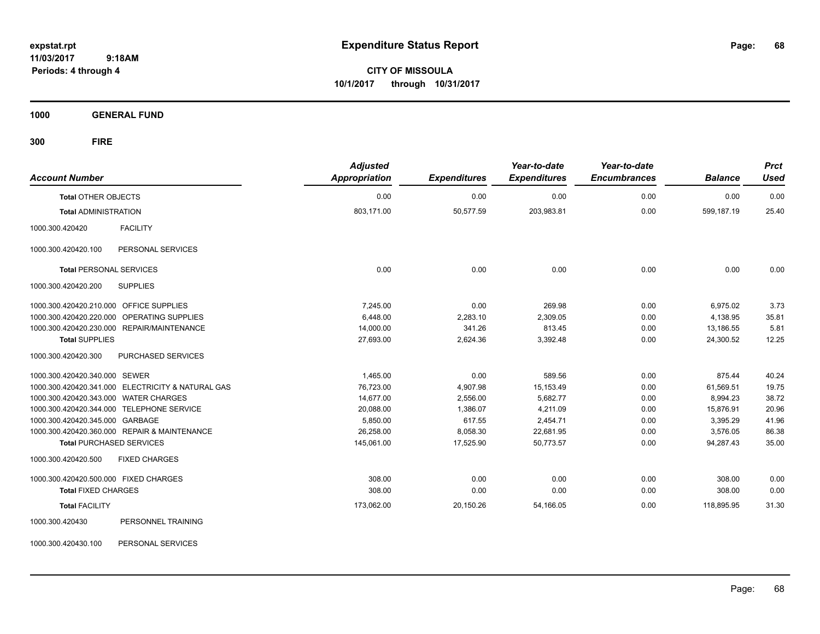**CITY OF MISSOULA 10/1/2017 through 10/31/2017**

**1000 GENERAL FUND**

| <b>Account Number</b>                             | <b>Adjusted</b><br><b>Appropriation</b> | <b>Expenditures</b> | Year-to-date<br><b>Expenditures</b> | Year-to-date<br><b>Encumbrances</b> | <b>Balance</b> | <b>Prct</b><br><b>Used</b> |
|---------------------------------------------------|-----------------------------------------|---------------------|-------------------------------------|-------------------------------------|----------------|----------------------------|
| <b>Total OTHER OBJECTS</b>                        | 0.00                                    | 0.00                | 0.00                                | 0.00                                | 0.00           | 0.00                       |
| <b>Total ADMINISTRATION</b>                       | 803,171.00                              | 50,577.59           | 203,983.81                          | 0.00                                | 599,187.19     | 25.40                      |
| <b>FACILITY</b><br>1000.300.420420                |                                         |                     |                                     |                                     |                |                            |
| PERSONAL SERVICES<br>1000.300.420420.100          |                                         |                     |                                     |                                     |                |                            |
| <b>Total PERSONAL SERVICES</b>                    | 0.00                                    | 0.00                | 0.00                                | 0.00                                | 0.00           | 0.00                       |
| 1000.300.420420.200<br><b>SUPPLIES</b>            |                                         |                     |                                     |                                     |                |                            |
| 1000.300.420420.210.000 OFFICE SUPPLIES           | 7.245.00                                | 0.00                | 269.98                              | 0.00                                | 6,975.02       | 3.73                       |
| 1000.300.420420.220.000 OPERATING SUPPLIES        | 6,448.00                                | 2,283.10            | 2,309.05                            | 0.00                                | 4,138.95       | 35.81                      |
| 1000.300.420420.230.000 REPAIR/MAINTENANCE        | 14,000.00                               | 341.26              | 813.45                              | 0.00                                | 13,186.55      | 5.81                       |
| <b>Total SUPPLIES</b>                             | 27,693.00                               | 2,624.36            | 3,392.48                            | 0.00                                | 24,300.52      | 12.25                      |
| 1000.300.420420.300<br>PURCHASED SERVICES         |                                         |                     |                                     |                                     |                |                            |
| 1000.300.420420.340.000 SEWER                     | 1,465.00                                | 0.00                | 589.56                              | 0.00                                | 875.44         | 40.24                      |
| 1000.300.420420.341.000 ELECTRICITY & NATURAL GAS | 76,723.00                               | 4,907.98            | 15,153.49                           | 0.00                                | 61,569.51      | 19.75                      |
| 1000.300.420420.343.000 WATER CHARGES             | 14,677.00                               | 2,556.00            | 5,682.77                            | 0.00                                | 8,994.23       | 38.72                      |
| 1000.300.420420.344.000 TELEPHONE SERVICE         | 20,088.00                               | 1,386.07            | 4,211.09                            | 0.00                                | 15,876.91      | 20.96                      |
| 1000.300.420420.345.000 GARBAGE                   | 5,850.00                                | 617.55              | 2,454.71                            | 0.00                                | 3,395.29       | 41.96                      |
| 1000.300.420420.360.000 REPAIR & MAINTENANCE      | 26,258.00                               | 8,058.30            | 22,681.95                           | 0.00                                | 3,576.05       | 86.38                      |
| <b>Total PURCHASED SERVICES</b>                   | 145,061.00                              | 17,525.90           | 50,773.57                           | 0.00                                | 94,287.43      | 35.00                      |
| 1000.300.420420.500<br><b>FIXED CHARGES</b>       |                                         |                     |                                     |                                     |                |                            |
| 1000.300.420420.500.000 FIXED CHARGES             | 308.00                                  | 0.00                | 0.00                                | 0.00                                | 308.00         | 0.00                       |
| <b>Total FIXED CHARGES</b>                        | 308.00                                  | 0.00                | 0.00                                | 0.00                                | 308.00         | 0.00                       |
| <b>Total FACILITY</b>                             | 173,062.00                              | 20,150.26           | 54,166.05                           | 0.00                                | 118,895.95     | 31.30                      |
| PERSONNEL TRAINING<br>1000.300.420430             |                                         |                     |                                     |                                     |                |                            |
| 1000.300.420430.100<br>PERSONAL SERVICES          |                                         |                     |                                     |                                     |                |                            |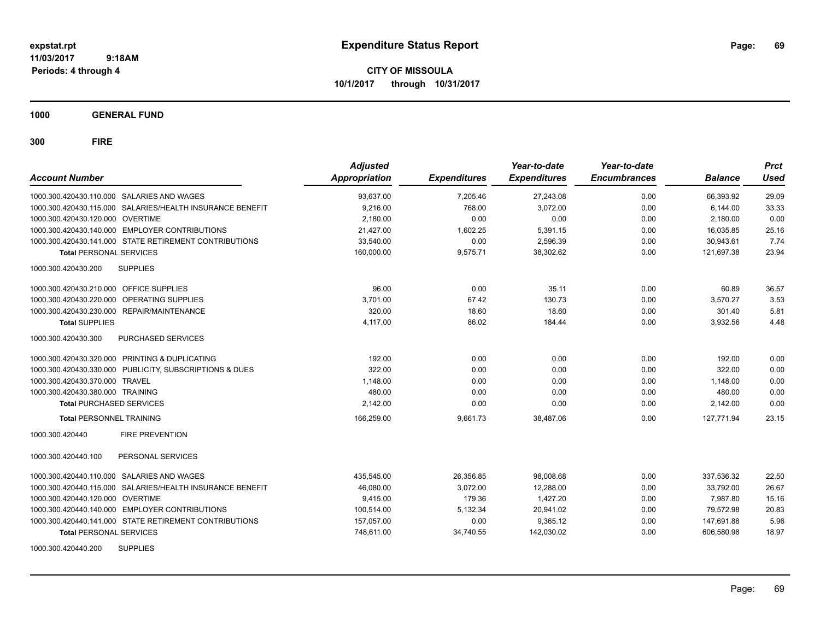**CITY OF MISSOULA 10/1/2017 through 10/31/2017**

**1000 GENERAL FUND**

| <b>Account Number</b>                                     | <b>Adjusted</b><br><b>Appropriation</b> | <b>Expenditures</b> | Year-to-date<br><b>Expenditures</b> | Year-to-date<br><b>Encumbrances</b> | <b>Balance</b> | <b>Prct</b><br><b>Used</b> |
|-----------------------------------------------------------|-----------------------------------------|---------------------|-------------------------------------|-------------------------------------|----------------|----------------------------|
| 1000.300.420430.110.000 SALARIES AND WAGES                | 93,637.00                               | 7.205.46            | 27,243.08                           | 0.00                                | 66,393.92      | 29.09                      |
| 1000.300.420430.115.000 SALARIES/HEALTH INSURANCE BENEFIT | 9.216.00                                | 768.00              | 3.072.00                            | 0.00                                | 6.144.00       | 33.33                      |
| 1000.300.420430.120.000 OVERTIME                          | 2,180.00                                | 0.00                | 0.00                                | 0.00                                | 2.180.00       | 0.00                       |
| 1000.300.420430.140.000 EMPLOYER CONTRIBUTIONS            | 21,427.00                               | 1,602.25            | 5,391.15                            | 0.00                                | 16.035.85      | 25.16                      |
| 1000.300.420430.141.000 STATE RETIREMENT CONTRIBUTIONS    | 33,540.00                               | 0.00                | 2,596.39                            | 0.00                                | 30.943.61      | 7.74                       |
| <b>Total PERSONAL SERVICES</b>                            | 160,000.00                              | 9,575.71            | 38,302.62                           | 0.00                                | 121,697.38     | 23.94                      |
| <b>SUPPLIES</b><br>1000.300.420430.200                    |                                         |                     |                                     |                                     |                |                            |
| 1000.300.420430.210.000 OFFICE SUPPLIES                   | 96.00                                   | 0.00                | 35.11                               | 0.00                                | 60.89          | 36.57                      |
| 1000.300.420430.220.000 OPERATING SUPPLIES                | 3,701.00                                | 67.42               | 130.73                              | 0.00                                | 3.570.27       | 3.53                       |
| 1000.300.420430.230.000 REPAIR/MAINTENANCE                | 320.00                                  | 18.60               | 18.60                               | 0.00                                | 301.40         | 5.81                       |
| <b>Total SUPPLIES</b>                                     | 4,117.00                                | 86.02               | 184.44                              | 0.00                                | 3,932.56       | 4.48                       |
| 1000.300.420430.300<br><b>PURCHASED SERVICES</b>          |                                         |                     |                                     |                                     |                |                            |
| 1000.300.420430.320.000 PRINTING & DUPLICATING            | 192.00                                  | 0.00                | 0.00                                | 0.00                                | 192.00         | 0.00                       |
| 1000.300.420430.330.000 PUBLICITY, SUBSCRIPTIONS & DUES   | 322.00                                  | 0.00                | 0.00                                | 0.00                                | 322.00         | 0.00                       |
| 1000.300.420430.370.000 TRAVEL                            | 1,148.00                                | 0.00                | 0.00                                | 0.00                                | 1,148.00       | 0.00                       |
| 1000.300.420430.380.000 TRAINING                          | 480.00                                  | 0.00                | 0.00                                | 0.00                                | 480.00         | 0.00                       |
| <b>Total PURCHASED SERVICES</b>                           | 2,142.00                                | 0.00                | 0.00                                | 0.00                                | 2,142.00       | 0.00                       |
| <b>Total PERSONNEL TRAINING</b>                           | 166,259.00                              | 9,661.73            | 38,487.06                           | 0.00                                | 127.771.94     | 23.15                      |
| <b>FIRE PREVENTION</b><br>1000.300.420440                 |                                         |                     |                                     |                                     |                |                            |
| 1000.300.420440.100<br>PERSONAL SERVICES                  |                                         |                     |                                     |                                     |                |                            |
| 1000.300.420440.110.000 SALARIES AND WAGES                | 435,545.00                              | 26,356.85           | 98,008.68                           | 0.00                                | 337,536.32     | 22.50                      |
| 1000.300.420440.115.000 SALARIES/HEALTH INSURANCE BENEFIT | 46,080.00                               | 3.072.00            | 12.288.00                           | 0.00                                | 33.792.00      | 26.67                      |
| 1000.300.420440.120.000 OVERTIME                          | 9.415.00                                | 179.36              | 1.427.20                            | 0.00                                | 7.987.80       | 15.16                      |
| 1000.300.420440.140.000 EMPLOYER CONTRIBUTIONS            | 100,514.00                              | 5,132.34            | 20,941.02                           | 0.00                                | 79,572.98      | 20.83                      |
| 1000.300.420440.141.000 STATE RETIREMENT CONTRIBUTIONS    | 157,057.00                              | 0.00                | 9,365.12                            | 0.00                                | 147,691.88     | 5.96                       |
| <b>Total PERSONAL SERVICES</b>                            | 748,611.00                              | 34,740.55           | 142,030.02                          | 0.00                                | 606,580.98     | 18.97                      |
| <b>SUPPLIES</b><br>1000.300.420440.200                    |                                         |                     |                                     |                                     |                |                            |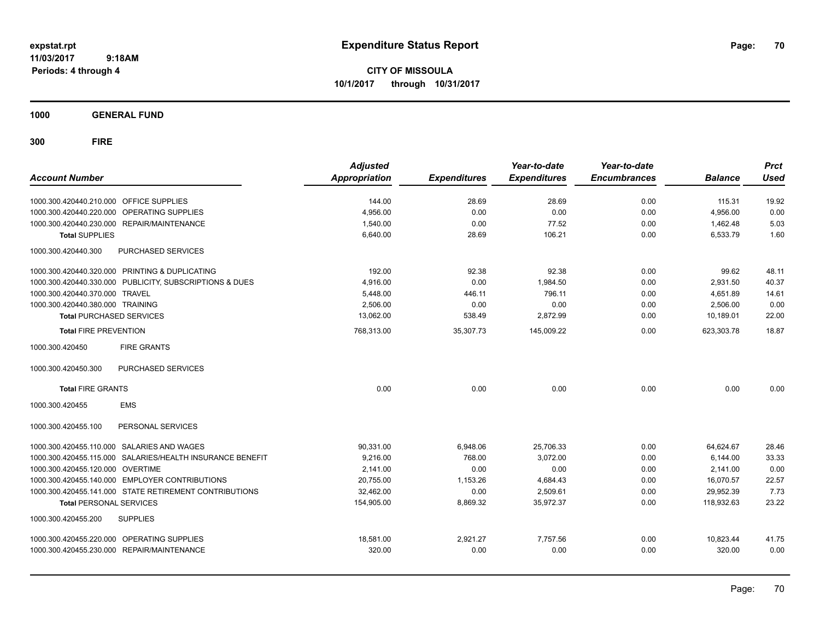**CITY OF MISSOULA 10/1/2017 through 10/31/2017**

**1000 GENERAL FUND**

| <b>Account Number</b>                   |                                                           | <b>Adjusted</b><br><b>Appropriation</b> | <b>Expenditures</b> | Year-to-date<br><b>Expenditures</b> | Year-to-date<br><b>Encumbrances</b> | <b>Balance</b> | <b>Prct</b><br><b>Used</b> |
|-----------------------------------------|-----------------------------------------------------------|-----------------------------------------|---------------------|-------------------------------------|-------------------------------------|----------------|----------------------------|
| 1000.300.420440.210.000 OFFICE SUPPLIES |                                                           | 144.00                                  | 28.69               | 28.69                               | 0.00                                | 115.31         | 19.92                      |
| 1000.300.420440.220.000                 | <b>OPERATING SUPPLIES</b>                                 | 4,956.00                                | 0.00                | 0.00                                | 0.00                                | 4,956.00       | 0.00                       |
| 1000.300.420440.230.000                 | REPAIR/MAINTENANCE                                        | 1,540.00                                | 0.00                | 77.52                               | 0.00                                | 1,462.48       | 5.03                       |
| <b>Total SUPPLIES</b>                   |                                                           | 6,640.00                                | 28.69               | 106.21                              | 0.00                                | 6,533.79       | 1.60                       |
| 1000.300.420440.300                     | PURCHASED SERVICES                                        |                                         |                     |                                     |                                     |                |                            |
|                                         | 1000.300.420440.320.000 PRINTING & DUPLICATING            | 192.00                                  | 92.38               | 92.38                               | 0.00                                | 99.62          | 48.11                      |
|                                         | 1000.300.420440.330.000 PUBLICITY, SUBSCRIPTIONS & DUES   | 4,916.00                                | 0.00                | 1,984.50                            | 0.00                                | 2,931.50       | 40.37                      |
| 1000.300.420440.370.000 TRAVEL          |                                                           | 5,448.00                                | 446.11              | 796.11                              | 0.00                                | 4,651.89       | 14.61                      |
| 1000.300.420440.380.000 TRAINING        |                                                           | 2,506.00                                | 0.00                | 0.00                                | 0.00                                | 2,506.00       | 0.00                       |
| <b>Total PURCHASED SERVICES</b>         |                                                           | 13,062.00                               | 538.49              | 2,872.99                            | 0.00                                | 10,189.01      | 22.00                      |
| <b>Total FIRE PREVENTION</b>            |                                                           | 768,313.00                              | 35,307.73           | 145,009.22                          | 0.00                                | 623,303.78     | 18.87                      |
| 1000.300.420450                         | <b>FIRE GRANTS</b>                                        |                                         |                     |                                     |                                     |                |                            |
| 1000.300.420450.300                     | PURCHASED SERVICES                                        |                                         |                     |                                     |                                     |                |                            |
| <b>Total FIRE GRANTS</b>                |                                                           | 0.00                                    | 0.00                | 0.00                                | 0.00                                | 0.00           | 0.00                       |
| 1000.300.420455                         | <b>EMS</b>                                                |                                         |                     |                                     |                                     |                |                            |
| 1000.300.420455.100                     | PERSONAL SERVICES                                         |                                         |                     |                                     |                                     |                |                            |
|                                         | 1000.300.420455.110.000 SALARIES AND WAGES                | 90,331.00                               | 6,948.06            | 25.706.33                           | 0.00                                | 64.624.67      | 28.46                      |
|                                         | 1000.300.420455.115.000 SALARIES/HEALTH INSURANCE BENEFIT | 9.216.00                                | 768.00              | 3.072.00                            | 0.00                                | 6.144.00       | 33.33                      |
| 1000.300.420455.120.000 OVERTIME        |                                                           | 2.141.00                                | 0.00                | 0.00                                | 0.00                                | 2.141.00       | 0.00                       |
|                                         | 1000.300.420455.140.000 EMPLOYER CONTRIBUTIONS            | 20,755.00                               | 1,153.26            | 4,684.43                            | 0.00                                | 16,070.57      | 22.57                      |
|                                         | 1000.300.420455.141.000 STATE RETIREMENT CONTRIBUTIONS    | 32,462.00                               | 0.00                | 2,509.61                            | 0.00                                | 29,952.39      | 7.73                       |
| <b>Total PERSONAL SERVICES</b>          |                                                           | 154,905.00                              | 8,869.32            | 35,972.37                           | 0.00                                | 118,932.63     | 23.22                      |
| 1000.300.420455.200                     | <b>SUPPLIES</b>                                           |                                         |                     |                                     |                                     |                |                            |
| 1000.300.420455.220.000                 | OPERATING SUPPLIES                                        | 18,581.00                               | 2,921.27            | 7,757.56                            | 0.00                                | 10,823.44      | 41.75                      |
|                                         | 1000.300.420455.230.000 REPAIR/MAINTENANCE                | 320.00                                  | 0.00                | 0.00                                | 0.00                                | 320.00         | 0.00                       |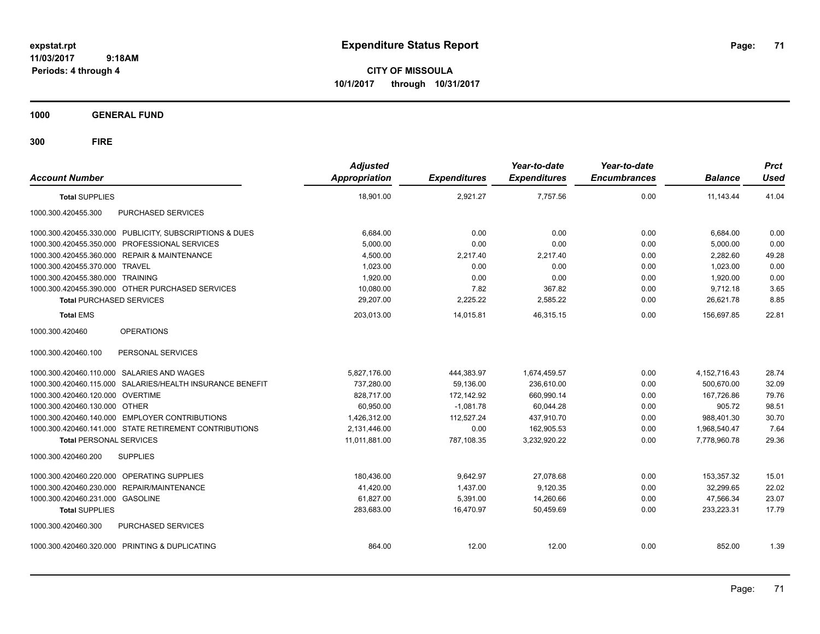**CITY OF MISSOULA 10/1/2017 through 10/31/2017**

**1000 GENERAL FUND**

| <b>Account Number</b>                                     | <b>Adjusted</b><br><b>Appropriation</b> | <b>Expenditures</b> | Year-to-date<br><b>Expenditures</b> | Year-to-date<br><b>Encumbrances</b> | <b>Balance</b> | <b>Prct</b><br><b>Used</b> |
|-----------------------------------------------------------|-----------------------------------------|---------------------|-------------------------------------|-------------------------------------|----------------|----------------------------|
| <b>Total SUPPLIES</b>                                     | 18,901.00                               | 2,921.27            | 7,757.56                            | 0.00                                | 11,143.44      | 41.04                      |
| 1000.300.420455.300<br>PURCHASED SERVICES                 |                                         |                     |                                     |                                     |                |                            |
| 1000.300.420455.330.000 PUBLICITY, SUBSCRIPTIONS & DUES   | 6,684.00                                | 0.00                | 0.00                                | 0.00                                | 6,684.00       | 0.00                       |
| 1000.300.420455.350.000 PROFESSIONAL SERVICES             | 5,000.00                                | 0.00                | 0.00                                | 0.00                                | 5,000.00       | 0.00                       |
| 1000.300.420455.360.000 REPAIR & MAINTENANCE              | 4,500.00                                | 2,217.40            | 2,217.40                            | 0.00                                | 2,282.60       | 49.28                      |
| 1000.300.420455.370.000 TRAVEL                            | 1,023.00                                | 0.00                | 0.00                                | 0.00                                | 1,023.00       | 0.00                       |
| 1000.300.420455.380.000 TRAINING                          | 1,920.00                                | 0.00                | 0.00                                | 0.00                                | 1,920.00       | 0.00                       |
| 1000.300.420455.390.000 OTHER PURCHASED SERVICES          | 10,080.00                               | 7.82                | 367.82                              | 0.00                                | 9,712.18       | 3.65                       |
| <b>Total PURCHASED SERVICES</b>                           | 29,207.00                               | 2,225.22            | 2,585.22                            | 0.00                                | 26,621.78      | 8.85                       |
| <b>Total EMS</b>                                          | 203,013.00                              | 14,015.81           | 46.315.15                           | 0.00                                | 156,697.85     | 22.81                      |
| 1000.300.420460<br><b>OPERATIONS</b>                      |                                         |                     |                                     |                                     |                |                            |
| 1000.300.420460.100<br>PERSONAL SERVICES                  |                                         |                     |                                     |                                     |                |                            |
| 1000.300.420460.110.000 SALARIES AND WAGES                | 5,827,176.00                            | 444,383.97          | 1,674,459.57                        | 0.00                                | 4,152,716.43   | 28.74                      |
| 1000.300.420460.115.000 SALARIES/HEALTH INSURANCE BENEFIT | 737,280.00                              | 59,136.00           | 236,610.00                          | 0.00                                | 500,670.00     | 32.09                      |
| 1000.300.420460.120.000 OVERTIME                          | 828,717.00                              | 172,142.92          | 660,990.14                          | 0.00                                | 167,726.86     | 79.76                      |
| 1000.300.420460.130.000 OTHER                             | 60,950.00                               | $-1,081.78$         | 60,044.28                           | 0.00                                | 905.72         | 98.51                      |
| 1000.300.420460.140.000 EMPLOYER CONTRIBUTIONS            | 1,426,312.00                            | 112,527.24          | 437,910.70                          | 0.00                                | 988,401.30     | 30.70                      |
| 1000.300.420460.141.000 STATE RETIREMENT CONTRIBUTIONS    | 2,131,446.00                            | 0.00                | 162,905.53                          | 0.00                                | 1,968,540.47   | 7.64                       |
| <b>Total PERSONAL SERVICES</b>                            | 11,011,881.00                           | 787,108.35          | 3,232,920.22                        | 0.00                                | 7,778,960.78   | 29.36                      |
| 1000.300.420460.200<br><b>SUPPLIES</b>                    |                                         |                     |                                     |                                     |                |                            |
| 1000.300.420460.220.000 OPERATING SUPPLIES                | 180,436.00                              | 9,642.97            | 27.078.68                           | 0.00                                | 153,357.32     | 15.01                      |
| 1000.300.420460.230.000 REPAIR/MAINTENANCE                | 41,420.00                               | 1,437.00            | 9,120.35                            | 0.00                                | 32,299.65      | 22.02                      |
| 1000.300.420460.231.000 GASOLINE                          | 61.827.00                               | 5,391.00            | 14.260.66                           | 0.00                                | 47,566.34      | 23.07                      |
| <b>Total SUPPLIES</b>                                     | 283,683.00                              | 16.470.97           | 50.459.69                           | 0.00                                | 233.223.31     | 17.79                      |
| PURCHASED SERVICES<br>1000.300.420460.300                 |                                         |                     |                                     |                                     |                |                            |
| 1000.300.420460.320.000 PRINTING & DUPLICATING            | 864.00                                  | 12.00               | 12.00                               | 0.00                                | 852.00         | 1.39                       |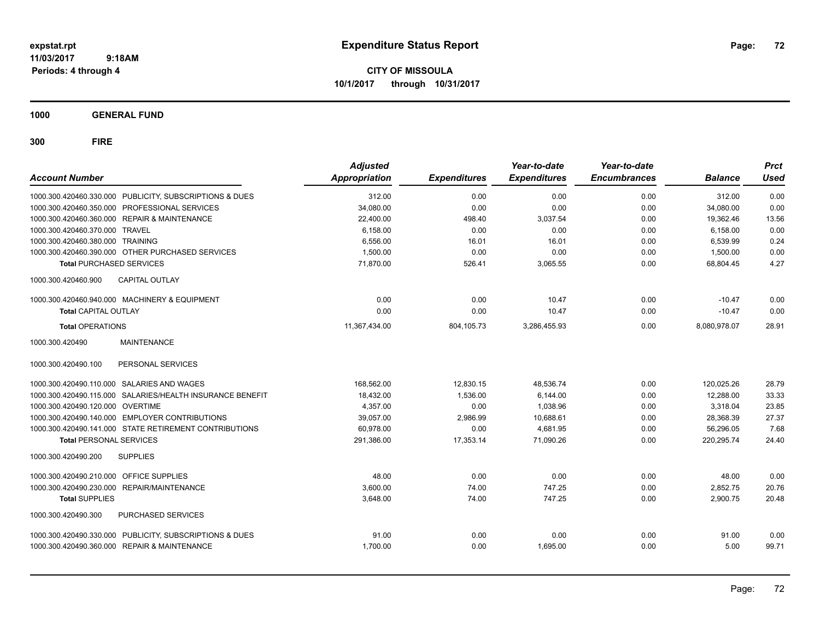**CITY OF MISSOULA 10/1/2017 through 10/31/2017**

**1000 GENERAL FUND**

| <b>Account Number</b>                                     |  | <b>Adjusted</b><br>Appropriation | <b>Expenditures</b> | Year-to-date<br><b>Expenditures</b> | Year-to-date<br><b>Encumbrances</b> | <b>Balance</b> | <b>Prct</b><br><b>Used</b> |
|-----------------------------------------------------------|--|----------------------------------|---------------------|-------------------------------------|-------------------------------------|----------------|----------------------------|
| 1000.300.420460.330.000 PUBLICITY, SUBSCRIPTIONS & DUES   |  | 312.00                           | 0.00                | 0.00                                | 0.00                                | 312.00         | 0.00                       |
| 1000.300.420460.350.000 PROFESSIONAL SERVICES             |  | 34,080.00                        | 0.00                | 0.00                                | 0.00                                | 34,080.00      | 0.00                       |
| 1000.300.420460.360.000 REPAIR & MAINTENANCE              |  | 22.400.00                        | 498.40              | 3.037.54                            | 0.00                                | 19.362.46      | 13.56                      |
| 1000.300.420460.370.000 TRAVEL                            |  | 6,158.00                         | 0.00                | 0.00                                | 0.00                                | 6,158.00       | 0.00                       |
| 1000.300.420460.380.000 TRAINING                          |  | 6,556.00                         | 16.01               | 16.01                               | 0.00                                | 6,539.99       | 0.24                       |
| 1000.300.420460.390.000 OTHER PURCHASED SERVICES          |  | 1,500.00                         | 0.00                | 0.00                                | 0.00                                | 1,500.00       | 0.00                       |
| <b>Total PURCHASED SERVICES</b>                           |  | 71.870.00                        | 526.41              | 3,065.55                            | 0.00                                | 68.804.45      | 4.27                       |
| 1000.300.420460.900<br><b>CAPITAL OUTLAY</b>              |  |                                  |                     |                                     |                                     |                |                            |
| 1000.300.420460.940.000 MACHINERY & EQUIPMENT             |  | 0.00                             | 0.00                | 10.47                               | 0.00                                | $-10.47$       | 0.00                       |
| <b>Total CAPITAL OUTLAY</b>                               |  | 0.00                             | 0.00                | 10.47                               | 0.00                                | $-10.47$       | 0.00                       |
| <b>Total OPERATIONS</b>                                   |  | 11,367,434.00                    | 804,105.73          | 3.286.455.93                        | 0.00                                | 8.080.978.07   | 28.91                      |
| <b>MAINTENANCE</b><br>1000.300.420490                     |  |                                  |                     |                                     |                                     |                |                            |
| 1000.300.420490.100<br>PERSONAL SERVICES                  |  |                                  |                     |                                     |                                     |                |                            |
| 1000.300.420490.110.000 SALARIES AND WAGES                |  | 168.562.00                       | 12.830.15           | 48.536.74                           | 0.00                                | 120.025.26     | 28.79                      |
| 1000.300.420490.115.000 SALARIES/HEALTH INSURANCE BENEFIT |  | 18,432.00                        | 1,536.00            | 6,144.00                            | 0.00                                | 12,288.00      | 33.33                      |
| 1000.300.420490.120.000 OVERTIME                          |  | 4.357.00                         | 0.00                | 1.038.96                            | 0.00                                | 3,318.04       | 23.85                      |
| 1000.300.420490.140.000 EMPLOYER CONTRIBUTIONS            |  | 39,057.00                        | 2,986.99            | 10.688.61                           | 0.00                                | 28.368.39      | 27.37                      |
| 1000.300.420490.141.000 STATE RETIREMENT CONTRIBUTIONS    |  | 60,978.00                        | 0.00                | 4,681.95                            | 0.00                                | 56,296.05      | 7.68                       |
| <b>Total PERSONAL SERVICES</b>                            |  | 291,386.00                       | 17,353.14           | 71,090.26                           | 0.00                                | 220,295.74     | 24.40                      |
| 1000.300.420490.200<br><b>SUPPLIES</b>                    |  |                                  |                     |                                     |                                     |                |                            |
| 1000.300.420490.210.000 OFFICE SUPPLIES                   |  | 48.00                            | 0.00                | 0.00                                | 0.00                                | 48.00          | 0.00                       |
| 1000.300.420490.230.000<br><b>REPAIR/MAINTENANCE</b>      |  | 3,600.00                         | 74.00               | 747.25                              | 0.00                                | 2,852.75       | 20.76                      |
| <b>Total SUPPLIES</b>                                     |  | 3,648.00                         | 74.00               | 747.25                              | 0.00                                | 2,900.75       | 20.48                      |
| 1000.300.420490.300<br>PURCHASED SERVICES                 |  |                                  |                     |                                     |                                     |                |                            |
| 1000.300.420490.330.000 PUBLICITY, SUBSCRIPTIONS & DUES   |  | 91.00                            | 0.00                | 0.00                                | 0.00                                | 91.00          | 0.00                       |
| 1000.300.420490.360.000 REPAIR & MAINTENANCE              |  | 1,700.00                         | 0.00                | 1.695.00                            | 0.00                                | 5.00           | 99.71                      |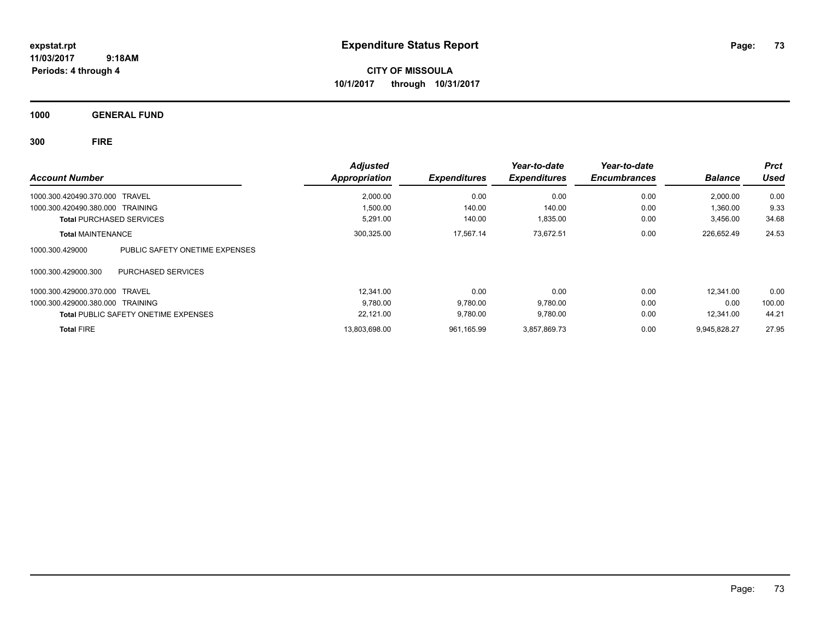**CITY OF MISSOULA 10/1/2017 through 10/31/2017**

**1000 GENERAL FUND**

**300 FIRE**

|                                                   | <b>Adjusted</b>      |                     | Year-to-date        | Year-to-date        |                | <b>Prct</b> |
|---------------------------------------------------|----------------------|---------------------|---------------------|---------------------|----------------|-------------|
| <b>Account Number</b>                             | <b>Appropriation</b> | <b>Expenditures</b> | <b>Expenditures</b> | <b>Encumbrances</b> | <b>Balance</b> | <b>Used</b> |
| 1000.300.420490.370.000 TRAVEL                    | 2,000.00             | 0.00                | 0.00                | 0.00                | 2,000.00       | 0.00        |
| 1000.300.420490.380.000 TRAINING                  | 1,500.00             | 140.00              | 140.00              | 0.00                | 1,360.00       | 9.33        |
| <b>Total PURCHASED SERVICES</b>                   | 5,291.00             | 140.00              | 1,835.00            | 0.00                | 3,456.00       | 34.68       |
| <b>Total MAINTENANCE</b>                          | 300,325.00           | 17,567.14           | 73,672.51           | 0.00                | 226,652.49     | 24.53       |
| PUBLIC SAFETY ONETIME EXPENSES<br>1000.300.429000 |                      |                     |                     |                     |                |             |
| 1000.300.429000.300<br>PURCHASED SERVICES         |                      |                     |                     |                     |                |             |
| 1000.300.429000.370.000 TRAVEL                    | 12.341.00            | 0.00                | 0.00                | 0.00                | 12.341.00      | 0.00        |
| 1000.300.429000.380.000 TRAINING                  | 9,780.00             | 9,780.00            | 9,780.00            | 0.00                | 0.00           | 100.00      |
| <b>Total PUBLIC SAFETY ONETIME EXPENSES</b>       | 22,121.00            | 9,780.00            | 9,780.00            | 0.00                | 12.341.00      | 44.21       |
| <b>Total FIRE</b>                                 | 13.803.698.00        | 961.165.99          | 3.857.869.73        | 0.00                | 9.945.828.27   | 27.95       |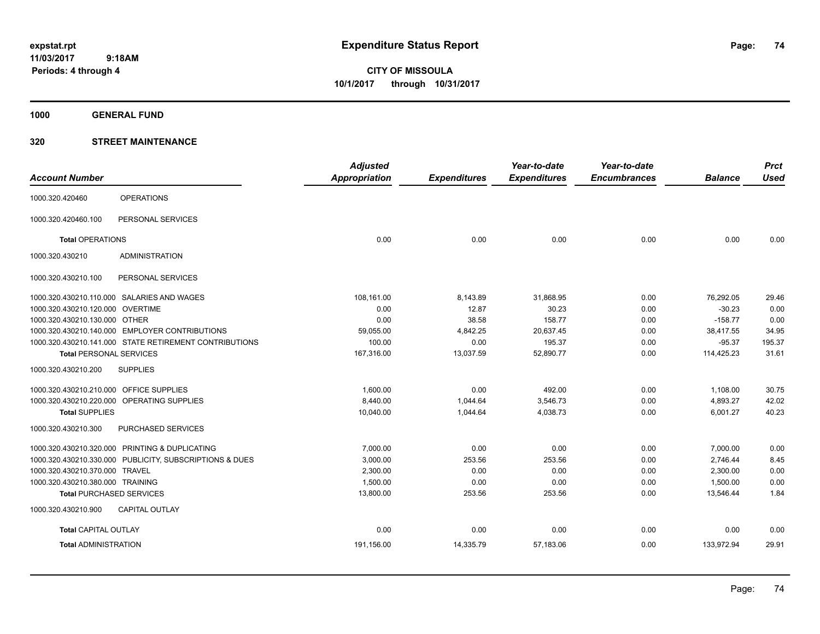**CITY OF MISSOULA 10/1/2017 through 10/31/2017**

**1000 GENERAL FUND**

|                                         |                                                        | <b>Adjusted</b> |                     | Year-to-date        | Year-to-date        |                | <b>Prct</b> |
|-----------------------------------------|--------------------------------------------------------|-----------------|---------------------|---------------------|---------------------|----------------|-------------|
| <b>Account Number</b>                   |                                                        | Appropriation   | <b>Expenditures</b> | <b>Expenditures</b> | <b>Encumbrances</b> | <b>Balance</b> | <b>Used</b> |
| 1000.320.420460                         | <b>OPERATIONS</b>                                      |                 |                     |                     |                     |                |             |
| 1000.320.420460.100                     | PERSONAL SERVICES                                      |                 |                     |                     |                     |                |             |
| <b>Total OPERATIONS</b>                 |                                                        | 0.00            | 0.00                | 0.00                | 0.00                | 0.00           | 0.00        |
| 1000.320.430210                         | <b>ADMINISTRATION</b>                                  |                 |                     |                     |                     |                |             |
| 1000.320.430210.100                     | PERSONAL SERVICES                                      |                 |                     |                     |                     |                |             |
|                                         | 1000.320.430210.110.000 SALARIES AND WAGES             | 108,161.00      | 8,143.89            | 31,868.95           | 0.00                | 76,292.05      | 29.46       |
| 1000.320.430210.120.000 OVERTIME        |                                                        | 0.00            | 12.87               | 30.23               | 0.00                | $-30.23$       | 0.00        |
| 1000.320.430210.130.000 OTHER           |                                                        | 0.00            | 38.58               | 158.77              | 0.00                | $-158.77$      | 0.00        |
|                                         | 1000.320.430210.140.000 EMPLOYER CONTRIBUTIONS         | 59,055.00       | 4,842.25            | 20,637.45           | 0.00                | 38,417.55      | 34.95       |
|                                         | 1000.320.430210.141.000 STATE RETIREMENT CONTRIBUTIONS | 100.00          | 0.00                | 195.37              | 0.00                | $-95.37$       | 195.37      |
| <b>Total PERSONAL SERVICES</b>          |                                                        | 167,316.00      | 13,037.59           | 52,890.77           | 0.00                | 114,425.23     | 31.61       |
| 1000.320.430210.200                     | <b>SUPPLIES</b>                                        |                 |                     |                     |                     |                |             |
| 1000.320.430210.210.000 OFFICE SUPPLIES |                                                        | 1,600.00        | 0.00                | 492.00              | 0.00                | 1,108.00       | 30.75       |
|                                         | 1000.320.430210.220.000 OPERATING SUPPLIES             | 8,440.00        | 1,044.64            | 3,546.73            | 0.00                | 4,893.27       | 42.02       |
| <b>Total SUPPLIES</b>                   |                                                        | 10,040.00       | 1,044.64            | 4,038.73            | 0.00                | 6,001.27       | 40.23       |
| 1000.320.430210.300                     | PURCHASED SERVICES                                     |                 |                     |                     |                     |                |             |
|                                         | 1000.320.430210.320.000 PRINTING & DUPLICATING         | 7,000.00        | 0.00                | 0.00                | 0.00                | 7,000.00       | 0.00        |
| 1000.320.430210.330.000                 | PUBLICITY, SUBSCRIPTIONS & DUES                        | 3,000.00        | 253.56              | 253.56              | 0.00                | 2,746.44       | 8.45        |
| 1000.320.430210.370.000                 | TRAVEL                                                 | 2,300.00        | 0.00                | 0.00                | 0.00                | 2,300.00       | 0.00        |
| 1000.320.430210.380.000 TRAINING        |                                                        | 1,500.00        | 0.00                | 0.00                | 0.00                | 1,500.00       | 0.00        |
|                                         | <b>Total PURCHASED SERVICES</b>                        | 13,800.00       | 253.56              | 253.56              | 0.00                | 13,546.44      | 1.84        |
| 1000.320.430210.900                     | CAPITAL OUTLAY                                         |                 |                     |                     |                     |                |             |
| <b>Total CAPITAL OUTLAY</b>             |                                                        | 0.00            | 0.00                | 0.00                | 0.00                | 0.00           | 0.00        |
| <b>Total ADMINISTRATION</b>             |                                                        | 191,156.00      | 14,335.79           | 57,183.06           | 0.00                | 133,972.94     | 29.91       |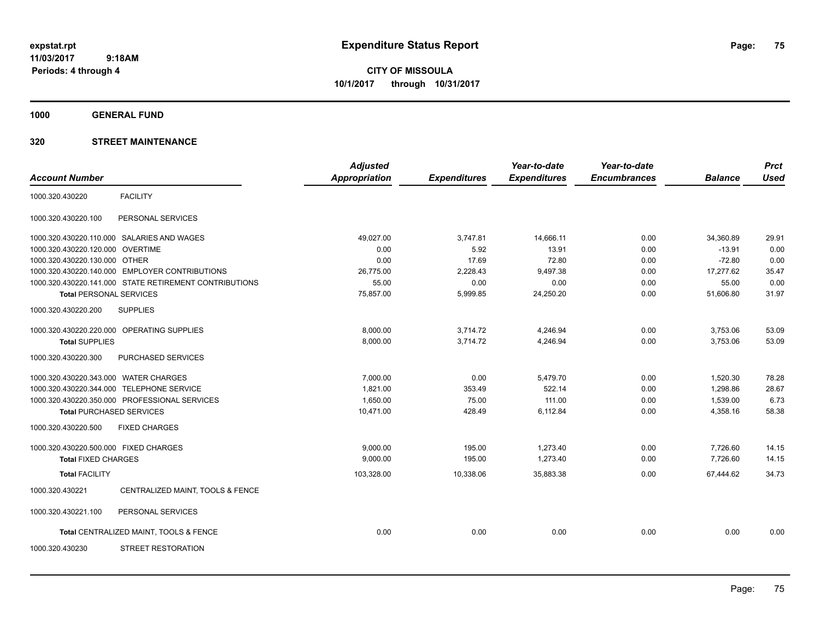**CITY OF MISSOULA 10/1/2017 through 10/31/2017**

**1000 GENERAL FUND**

|                                       |                                                        | <b>Adjusted</b>      |                     | Year-to-date        | Year-to-date        |                | <b>Prct</b> |
|---------------------------------------|--------------------------------------------------------|----------------------|---------------------|---------------------|---------------------|----------------|-------------|
| <b>Account Number</b>                 |                                                        | <b>Appropriation</b> | <b>Expenditures</b> | <b>Expenditures</b> | <b>Encumbrances</b> | <b>Balance</b> | <b>Used</b> |
| 1000.320.430220                       | <b>FACILITY</b>                                        |                      |                     |                     |                     |                |             |
| 1000.320.430220.100                   | PERSONAL SERVICES                                      |                      |                     |                     |                     |                |             |
|                                       | 1000.320.430220.110.000 SALARIES AND WAGES             | 49,027.00            | 3,747.81            | 14,666.11           | 0.00                | 34,360.89      | 29.91       |
| 1000.320.430220.120.000               | <b>OVERTIME</b>                                        | 0.00                 | 5.92                | 13.91               | 0.00                | $-13.91$       | 0.00        |
| 1000.320.430220.130.000 OTHER         |                                                        | 0.00                 | 17.69               | 72.80               | 0.00                | $-72.80$       | 0.00        |
|                                       | 1000.320.430220.140.000 EMPLOYER CONTRIBUTIONS         | 26,775.00            | 2,228.43            | 9,497.38            | 0.00                | 17,277.62      | 35.47       |
|                                       | 1000.320.430220.141.000 STATE RETIREMENT CONTRIBUTIONS | 55.00                | 0.00                | 0.00                | 0.00                | 55.00          | 0.00        |
| <b>Total PERSONAL SERVICES</b>        |                                                        | 75,857.00            | 5,999.85            | 24,250.20           | 0.00                | 51,606.80      | 31.97       |
| 1000.320.430220.200                   | <b>SUPPLIES</b>                                        |                      |                     |                     |                     |                |             |
|                                       | 1000.320.430220.220.000 OPERATING SUPPLIES             | 8,000.00             | 3,714.72            | 4,246.94            | 0.00                | 3,753.06       | 53.09       |
| <b>Total SUPPLIES</b>                 |                                                        | 8,000.00             | 3,714.72            | 4,246.94            | 0.00                | 3,753.06       | 53.09       |
| 1000.320.430220.300                   | PURCHASED SERVICES                                     |                      |                     |                     |                     |                |             |
| 1000.320.430220.343.000 WATER CHARGES |                                                        | 7,000.00             | 0.00                | 5,479.70            | 0.00                | 1,520.30       | 78.28       |
|                                       | 1000.320.430220.344.000 TELEPHONE SERVICE              | 1,821.00             | 353.49              | 522.14              | 0.00                | 1,298.86       | 28.67       |
|                                       | 1000.320.430220.350.000 PROFESSIONAL SERVICES          | 1,650.00             | 75.00               | 111.00              | 0.00                | 1,539.00       | 6.73        |
| <b>Total PURCHASED SERVICES</b>       |                                                        | 10,471.00            | 428.49              | 6,112.84            | 0.00                | 4,358.16       | 58.38       |
| 1000.320.430220.500                   | <b>FIXED CHARGES</b>                                   |                      |                     |                     |                     |                |             |
| 1000.320.430220.500.000 FIXED CHARGES |                                                        | 9,000.00             | 195.00              | 1,273.40            | 0.00                | 7,726.60       | 14.15       |
| <b>Total FIXED CHARGES</b>            |                                                        | 9,000.00             | 195.00              | 1,273.40            | 0.00                | 7.726.60       | 14.15       |
| <b>Total FACILITY</b>                 |                                                        | 103,328.00           | 10,338.06           | 35,883.38           | 0.00                | 67,444.62      | 34.73       |
| 1000.320.430221                       | CENTRALIZED MAINT, TOOLS & FENCE                       |                      |                     |                     |                     |                |             |
| 1000.320.430221.100                   | PERSONAL SERVICES                                      |                      |                     |                     |                     |                |             |
|                                       | Total CENTRALIZED MAINT, TOOLS & FENCE                 | 0.00                 | 0.00                | 0.00                | 0.00                | 0.00           | 0.00        |
| 1000.320.430230                       | <b>STREET RESTORATION</b>                              |                      |                     |                     |                     |                |             |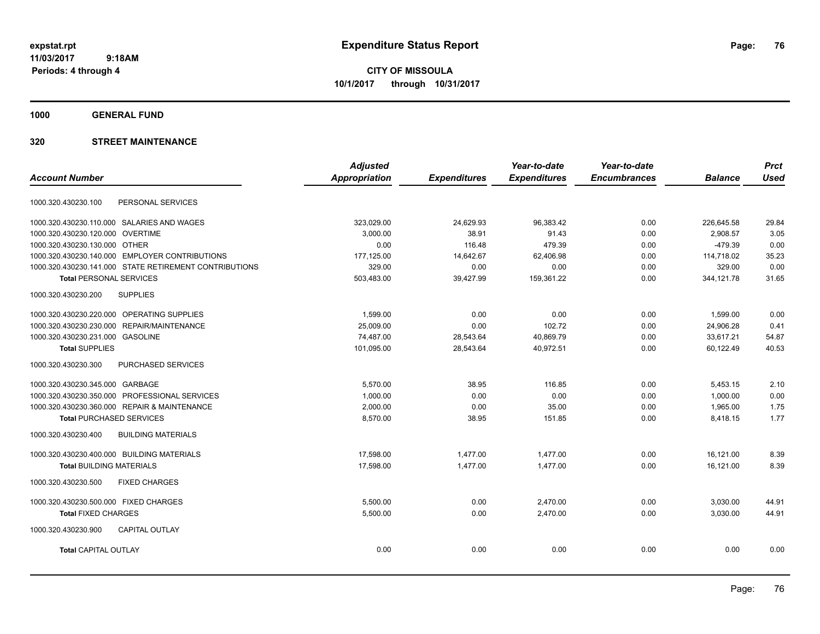**CITY OF MISSOULA 10/1/2017 through 10/31/2017**

**1000 GENERAL FUND**

|                                                        | <b>Adjusted</b>      |                     | Year-to-date        | Year-to-date        |                | <b>Prct</b> |
|--------------------------------------------------------|----------------------|---------------------|---------------------|---------------------|----------------|-------------|
| <b>Account Number</b>                                  | <b>Appropriation</b> | <b>Expenditures</b> | <b>Expenditures</b> | <b>Encumbrances</b> | <b>Balance</b> | <b>Used</b> |
| PERSONAL SERVICES<br>1000.320.430230.100               |                      |                     |                     |                     |                |             |
| 1000.320.430230.110.000 SALARIES AND WAGES             | 323.029.00           | 24,629.93           | 96.383.42           | 0.00                | 226.645.58     | 29.84       |
| 1000.320.430230.120.000<br><b>OVERTIME</b>             | 3,000.00             | 38.91               | 91.43               | 0.00                | 2,908.57       | 3.05        |
| 1000.320.430230.130.000 OTHER                          | 0.00                 | 116.48              | 479.39              | 0.00                | $-479.39$      | 0.00        |
| 1000.320.430230.140.000 EMPLOYER CONTRIBUTIONS         | 177,125.00           | 14,642.67           | 62,406.98           | 0.00                | 114,718.02     | 35.23       |
| 1000.320.430230.141.000 STATE RETIREMENT CONTRIBUTIONS | 329.00               | 0.00                | 0.00                | 0.00                | 329.00         | 0.00        |
| <b>Total PERSONAL SERVICES</b>                         | 503,483.00           | 39,427.99           | 159,361.22          | 0.00                | 344,121.78     | 31.65       |
| <b>SUPPLIES</b><br>1000.320.430230.200                 |                      |                     |                     |                     |                |             |
| 1000.320.430230.220.000 OPERATING SUPPLIES             | 1,599.00             | 0.00                | 0.00                | 0.00                | 1.599.00       | 0.00        |
| 1000.320.430230.230.000<br><b>REPAIR/MAINTENANCE</b>   | 25,009.00            | 0.00                | 102.72              | 0.00                | 24,906.28      | 0.41        |
| 1000.320.430230.231.000 GASOLINE                       | 74,487.00            | 28,543.64           | 40,869.79           | 0.00                | 33,617.21      | 54.87       |
| <b>Total SUPPLIES</b>                                  | 101,095.00           | 28,543.64           | 40,972.51           | 0.00                | 60,122.49      | 40.53       |
| 1000.320.430230.300<br>PURCHASED SERVICES              |                      |                     |                     |                     |                |             |
| 1000.320.430230.345.000 GARBAGE                        | 5,570.00             | 38.95               | 116.85              | 0.00                | 5,453.15       | 2.10        |
| 1000.320.430230.350.000<br>PROFESSIONAL SERVICES       | 1,000.00             | 0.00                | 0.00                | 0.00                | 1,000.00       | 0.00        |
| 1000.320.430230.360.000 REPAIR & MAINTENANCE           | 2,000.00             | 0.00                | 35.00               | 0.00                | 1,965.00       | 1.75        |
| <b>Total PURCHASED SERVICES</b>                        | 8,570.00             | 38.95               | 151.85              | 0.00                | 8,418.15       | 1.77        |
| 1000.320.430230.400<br><b>BUILDING MATERIALS</b>       |                      |                     |                     |                     |                |             |
| 1000.320.430230.400.000 BUILDING MATERIALS             | 17,598.00            | 1,477.00            | 1,477.00            | 0.00                | 16,121.00      | 8.39        |
| <b>Total BUILDING MATERIALS</b>                        | 17.598.00            | 1.477.00            | 1,477.00            | 0.00                | 16,121.00      | 8.39        |
| 1000.320.430230.500<br><b>FIXED CHARGES</b>            |                      |                     |                     |                     |                |             |
| 1000.320.430230.500.000 FIXED CHARGES                  | 5,500.00             | 0.00                | 2,470.00            | 0.00                | 3,030.00       | 44.91       |
| <b>Total FIXED CHARGES</b>                             | 5,500.00             | 0.00                | 2,470.00            | 0.00                | 3,030.00       | 44.91       |
| 1000.320.430230.900<br><b>CAPITAL OUTLAY</b>           |                      |                     |                     |                     |                |             |
| <b>Total CAPITAL OUTLAY</b>                            | 0.00                 | 0.00                | 0.00                | 0.00                | 0.00           | 0.00        |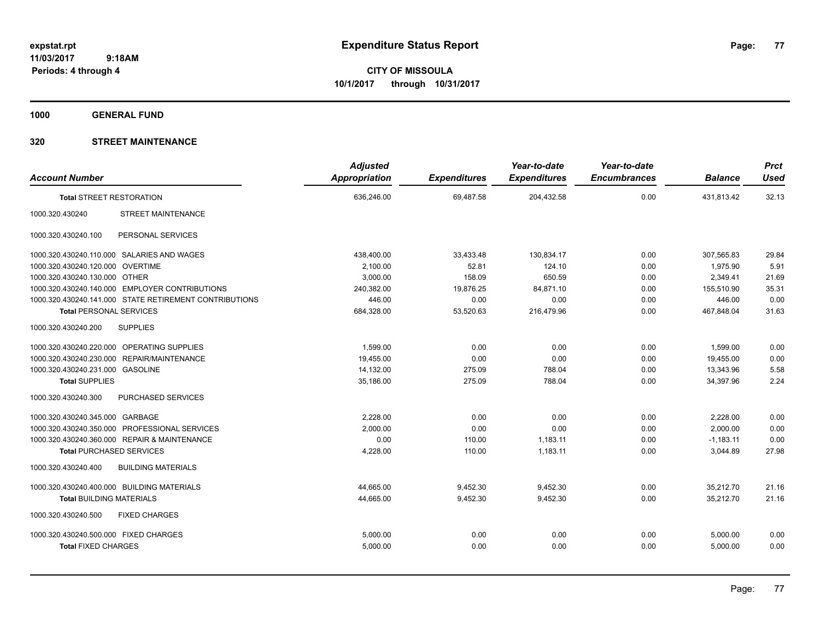**CITY OF MISSOULA 10/1/2017 through 10/31/2017**

**1000 GENERAL FUND**

|                                                        |                           | <b>Adjusted</b>      |                     | Year-to-date        | Year-to-date        |                | <b>Prct</b> |
|--------------------------------------------------------|---------------------------|----------------------|---------------------|---------------------|---------------------|----------------|-------------|
| <b>Account Number</b>                                  |                           | <b>Appropriation</b> | <b>Expenditures</b> | <b>Expenditures</b> | <b>Encumbrances</b> | <b>Balance</b> | <b>Used</b> |
| <b>Total STREET RESTORATION</b>                        |                           | 636,246.00           | 69,487.58           | 204,432.58          | 0.00                | 431,813.42     | 32.13       |
| 1000.320.430240                                        | STREET MAINTENANCE        |                      |                     |                     |                     |                |             |
| 1000.320.430240.100                                    | PERSONAL SERVICES         |                      |                     |                     |                     |                |             |
| 1000.320.430240.110.000 SALARIES AND WAGES             |                           | 438,400.00           | 33,433.48           | 130,834.17          | 0.00                | 307,565.83     | 29.84       |
| 1000.320.430240.120.000 OVERTIME                       |                           | 2,100.00             | 52.81               | 124.10              | 0.00                | 1,975.90       | 5.91        |
| 1000.320.430240.130.000 OTHER                          |                           | 3,000.00             | 158.09              | 650.59              | 0.00                | 2,349.41       | 21.69       |
| 1000.320.430240.140.000 EMPLOYER CONTRIBUTIONS         |                           | 240,382.00           | 19,876.25           | 84,871.10           | 0.00                | 155,510.90     | 35.31       |
| 1000.320.430240.141.000 STATE RETIREMENT CONTRIBUTIONS |                           | 446.00               | 0.00                | 0.00                | 0.00                | 446.00         | 0.00        |
| <b>Total PERSONAL SERVICES</b>                         |                           | 684,328.00           | 53,520.63           | 216,479.96          | 0.00                | 467,848.04     | 31.63       |
| <b>SUPPLIES</b><br>1000.320.430240.200                 |                           |                      |                     |                     |                     |                |             |
| 1000.320.430240.220.000 OPERATING SUPPLIES             |                           | 1.599.00             | 0.00                | 0.00                | 0.00                | 1,599.00       | 0.00        |
| 1000.320.430240.230.000 REPAIR/MAINTENANCE             |                           | 19,455.00            | 0.00                | 0.00                | 0.00                | 19,455.00      | 0.00        |
| 1000.320.430240.231.000 GASOLINE                       |                           | 14.132.00            | 275.09              | 788.04              | 0.00                | 13.343.96      | 5.58        |
| <b>Total SUPPLIES</b>                                  |                           | 35.186.00            | 275.09              | 788.04              | 0.00                | 34.397.96      | 2.24        |
| 1000.320.430240.300                                    | PURCHASED SERVICES        |                      |                     |                     |                     |                |             |
| 1000.320.430240.345.000 GARBAGE                        |                           | 2,228.00             | 0.00                | 0.00                | 0.00                | 2,228.00       | 0.00        |
| 1000.320.430240.350.000 PROFESSIONAL SERVICES          |                           | 2,000.00             | 0.00                | 0.00                | 0.00                | 2,000.00       | 0.00        |
| 1000.320.430240.360.000 REPAIR & MAINTENANCE           |                           | 0.00                 | 110.00              | 1,183.11            | 0.00                | $-1,183.11$    | 0.00        |
| <b>Total PURCHASED SERVICES</b>                        |                           | 4,228.00             | 110.00              | 1,183.11            | 0.00                | 3,044.89       | 27.98       |
| 1000.320.430240.400                                    | <b>BUILDING MATERIALS</b> |                      |                     |                     |                     |                |             |
| 1000.320.430240.400.000 BUILDING MATERIALS             |                           | 44,665.00            | 9,452.30            | 9,452.30            | 0.00                | 35,212.70      | 21.16       |
| <b>Total BUILDING MATERIALS</b>                        |                           | 44,665.00            | 9,452.30            | 9,452.30            | 0.00                | 35,212.70      | 21.16       |
| 1000.320.430240.500                                    | <b>FIXED CHARGES</b>      |                      |                     |                     |                     |                |             |
| 1000.320.430240.500.000 FIXED CHARGES                  |                           | 5,000.00             | 0.00                | 0.00                | 0.00                | 5,000.00       | 0.00        |
| <b>Total FIXED CHARGES</b>                             |                           | 5,000.00             | 0.00                | 0.00                | 0.00                | 5,000.00       | 0.00        |
|                                                        |                           |                      |                     |                     |                     |                |             |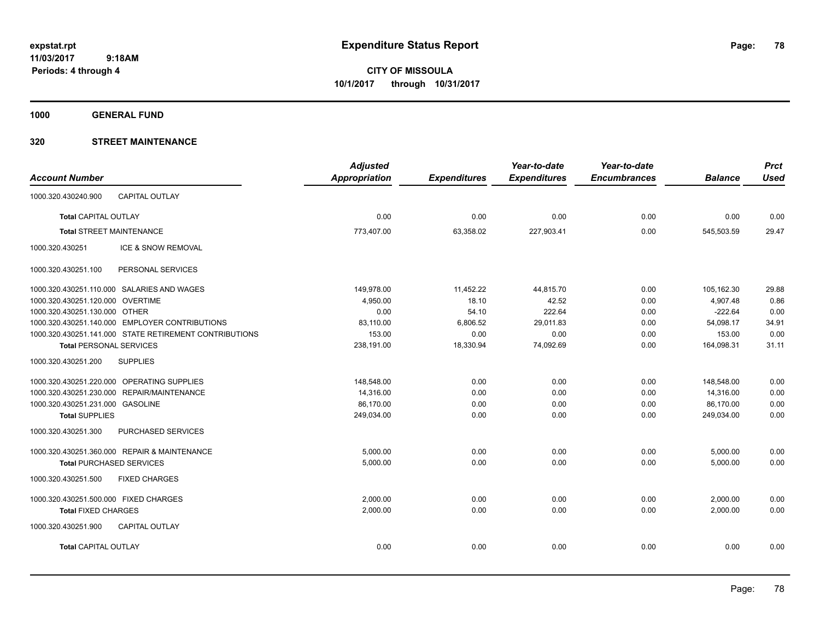**CITY OF MISSOULA 10/1/2017 through 10/31/2017**

**1000 GENERAL FUND**

|                                                        | <b>Adjusted</b> |                     | Year-to-date        | Year-to-date        |                | <b>Prct</b> |
|--------------------------------------------------------|-----------------|---------------------|---------------------|---------------------|----------------|-------------|
| <b>Account Number</b>                                  | Appropriation   | <b>Expenditures</b> | <b>Expenditures</b> | <b>Encumbrances</b> | <b>Balance</b> | <b>Used</b> |
| <b>CAPITAL OUTLAY</b><br>1000.320.430240.900           |                 |                     |                     |                     |                |             |
| <b>Total CAPITAL OUTLAY</b>                            | 0.00            | 0.00                | 0.00                | 0.00                | 0.00           | 0.00        |
| <b>Total STREET MAINTENANCE</b>                        | 773,407.00      | 63,358.02           | 227,903.41          | 0.00                | 545,503.59     | 29.47       |
| 1000.320.430251<br>ICE & SNOW REMOVAL                  |                 |                     |                     |                     |                |             |
| PERSONAL SERVICES<br>1000.320.430251.100               |                 |                     |                     |                     |                |             |
| 1000.320.430251.110.000 SALARIES AND WAGES             | 149,978.00      | 11,452.22           | 44,815.70           | 0.00                | 105,162.30     | 29.88       |
| 1000.320.430251.120.000 OVERTIME                       | 4,950.00        | 18.10               | 42.52               | 0.00                | 4,907.48       | 0.86        |
| 1000.320.430251.130.000 OTHER                          | 0.00            | 54.10               | 222.64              | 0.00                | $-222.64$      | 0.00        |
| 1000.320.430251.140.000 EMPLOYER CONTRIBUTIONS         | 83,110.00       | 6,806.52            | 29,011.83           | 0.00                | 54,098.17      | 34.91       |
| 1000.320.430251.141.000 STATE RETIREMENT CONTRIBUTIONS | 153.00          | 0.00                | 0.00                | 0.00                | 153.00         | 0.00        |
| <b>Total PERSONAL SERVICES</b>                         | 238,191.00      | 18,330.94           | 74,092.69           | 0.00                | 164,098.31     | 31.11       |
| 1000.320.430251.200<br><b>SUPPLIES</b>                 |                 |                     |                     |                     |                |             |
| 1000.320.430251.220.000 OPERATING SUPPLIES             | 148,548.00      | 0.00                | 0.00                | 0.00                | 148.548.00     | 0.00        |
| 1000.320.430251.230.000 REPAIR/MAINTENANCE             | 14,316.00       | 0.00                | 0.00                | 0.00                | 14,316.00      | 0.00        |
| 1000.320.430251.231.000 GASOLINE                       | 86,170.00       | 0.00                | 0.00                | 0.00                | 86,170.00      | 0.00        |
| <b>Total SUPPLIES</b>                                  | 249,034.00      | 0.00                | 0.00                | 0.00                | 249,034.00     | 0.00        |
| PURCHASED SERVICES<br>1000.320.430251.300              |                 |                     |                     |                     |                |             |
| 1000.320.430251.360.000 REPAIR & MAINTENANCE           | 5,000.00        | 0.00                | 0.00                | 0.00                | 5,000.00       | 0.00        |
| <b>Total PURCHASED SERVICES</b>                        | 5,000.00        | 0.00                | 0.00                | 0.00                | 5,000.00       | 0.00        |
| 1000.320.430251.500<br><b>FIXED CHARGES</b>            |                 |                     |                     |                     |                |             |
| 1000.320.430251.500.000 FIXED CHARGES                  | 2.000.00        | 0.00                | 0.00                | 0.00                | 2,000.00       | 0.00        |
| <b>Total FIXED CHARGES</b>                             | 2,000.00        | 0.00                | 0.00                | 0.00                | 2,000.00       | 0.00        |
| 1000.320.430251.900<br><b>CAPITAL OUTLAY</b>           |                 |                     |                     |                     |                |             |
| <b>Total CAPITAL OUTLAY</b>                            | 0.00            | 0.00                | 0.00                | 0.00                | 0.00           | 0.00        |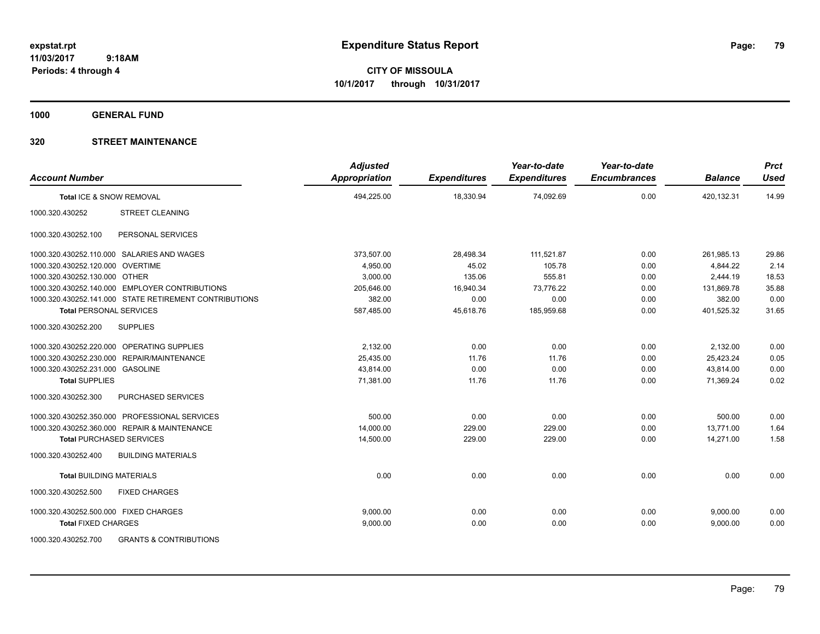**CITY OF MISSOULA 10/1/2017 through 10/31/2017**

**1000 GENERAL FUND**

| <b>Account Number</b>                                    | <b>Adjusted</b><br><b>Appropriation</b> | <b>Expenditures</b> | Year-to-date<br><b>Expenditures</b> | Year-to-date<br><b>Encumbrances</b> | <b>Balance</b> | <b>Prct</b><br><b>Used</b> |
|----------------------------------------------------------|-----------------------------------------|---------------------|-------------------------------------|-------------------------------------|----------------|----------------------------|
| Total ICE & SNOW REMOVAL                                 | 494,225.00                              | 18,330.94           | 74,092.69                           | 0.00                                | 420,132.31     | 14.99                      |
| 1000.320.430252<br><b>STREET CLEANING</b>                |                                         |                     |                                     |                                     |                |                            |
| PERSONAL SERVICES<br>1000.320.430252.100                 |                                         |                     |                                     |                                     |                |                            |
| 1000.320.430252.110.000 SALARIES AND WAGES               | 373,507.00                              | 28,498.34           | 111,521.87                          | 0.00                                | 261,985.13     | 29.86                      |
| 1000.320.430252.120.000 OVERTIME                         | 4,950.00                                | 45.02               | 105.78                              | 0.00                                | 4,844.22       | 2.14                       |
| 1000.320.430252.130.000 OTHER                            | 3,000.00                                | 135.06              | 555.81                              | 0.00                                | 2,444.19       | 18.53                      |
| 1000.320.430252.140.000 EMPLOYER CONTRIBUTIONS           | 205,646.00                              | 16,940.34           | 73,776.22                           | 0.00                                | 131,869.78     | 35.88                      |
| 1000.320.430252.141.000 STATE RETIREMENT CONTRIBUTIONS   | 382.00                                  | 0.00                | 0.00                                | 0.00                                | 382.00         | 0.00                       |
| <b>Total PERSONAL SERVICES</b>                           | 587,485.00                              | 45,618.76           | 185,959.68                          | 0.00                                | 401,525.32     | 31.65                      |
| 1000.320.430252.200<br><b>SUPPLIES</b>                   |                                         |                     |                                     |                                     |                |                            |
| 1000.320.430252.220.000 OPERATING SUPPLIES               | 2,132.00                                | 0.00                | 0.00                                | 0.00                                | 2,132.00       | 0.00                       |
| 1000.320.430252.230.000 REPAIR/MAINTENANCE               | 25,435.00                               | 11.76               | 11.76                               | 0.00                                | 25,423.24      | 0.05                       |
| 1000.320.430252.231.000 GASOLINE                         | 43,814.00                               | 0.00                | 0.00                                | 0.00                                | 43,814.00      | 0.00                       |
| <b>Total SUPPLIES</b>                                    | 71,381.00                               | 11.76               | 11.76                               | 0.00                                | 71,369.24      | 0.02                       |
| PURCHASED SERVICES<br>1000.320.430252.300                |                                         |                     |                                     |                                     |                |                            |
| 1000.320.430252.350.000 PROFESSIONAL SERVICES            | 500.00                                  | 0.00                | 0.00                                | 0.00                                | 500.00         | 0.00                       |
| 1000.320.430252.360.000 REPAIR & MAINTENANCE             | 14,000.00                               | 229.00              | 229.00                              | 0.00                                | 13,771.00      | 1.64                       |
| <b>Total PURCHASED SERVICES</b>                          | 14,500.00                               | 229.00              | 229.00                              | 0.00                                | 14,271.00      | 1.58                       |
| <b>BUILDING MATERIALS</b><br>1000.320.430252.400         |                                         |                     |                                     |                                     |                |                            |
| <b>Total BUILDING MATERIALS</b>                          | 0.00                                    | 0.00                | 0.00                                | 0.00                                | 0.00           | 0.00                       |
| <b>FIXED CHARGES</b><br>1000.320.430252.500              |                                         |                     |                                     |                                     |                |                            |
| 1000.320.430252.500.000 FIXED CHARGES                    | 9.000.00                                | 0.00                | 0.00                                | 0.00                                | 9,000.00       | 0.00                       |
| <b>Total FIXED CHARGES</b>                               | 9,000.00                                | 0.00                | 0.00                                | 0.00                                | 9,000.00       | 0.00                       |
| 1000.320.430252.700<br><b>GRANTS &amp; CONTRIBUTIONS</b> |                                         |                     |                                     |                                     |                |                            |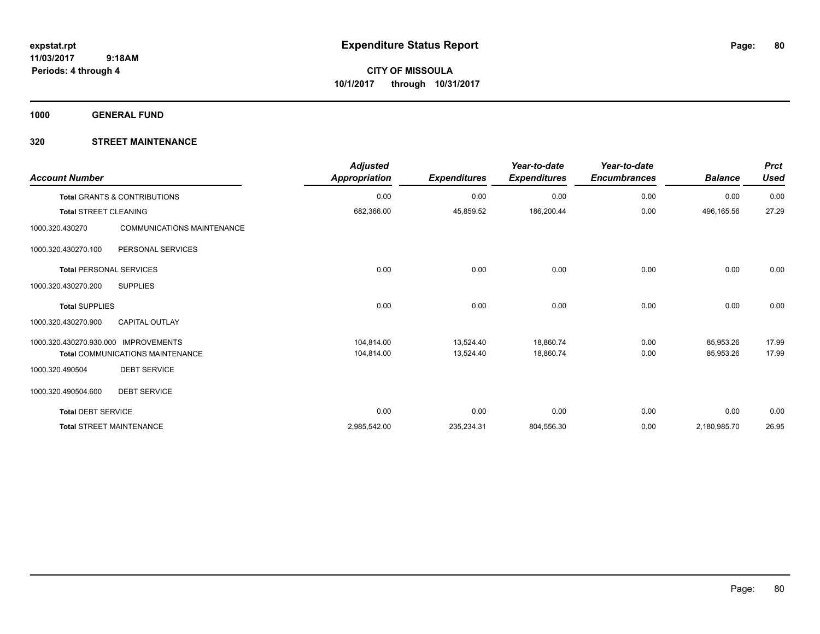**CITY OF MISSOULA 10/1/2017 through 10/31/2017**

**1000 GENERAL FUND**

| <b>Account Number</b>        |                                         | <b>Adjusted</b><br><b>Appropriation</b> | <b>Expenditures</b> | Year-to-date<br><b>Expenditures</b> | Year-to-date<br><b>Encumbrances</b> | <b>Balance</b> | <b>Prct</b><br><b>Used</b> |
|------------------------------|-----------------------------------------|-----------------------------------------|---------------------|-------------------------------------|-------------------------------------|----------------|----------------------------|
|                              | Total GRANTS & CONTRIBUTIONS            | 0.00                                    | 0.00                | 0.00                                | 0.00                                | 0.00           | 0.00                       |
| <b>Total STREET CLEANING</b> |                                         | 682,366.00                              | 45,859.52           | 186,200.44                          | 0.00                                | 496,165.56     | 27.29                      |
| 1000.320.430270              | COMMUNICATIONS MAINTENANCE              |                                         |                     |                                     |                                     |                |                            |
| 1000.320.430270.100          | PERSONAL SERVICES                       |                                         |                     |                                     |                                     |                |                            |
|                              | <b>Total PERSONAL SERVICES</b>          | 0.00                                    | 0.00                | 0.00                                | 0.00                                | 0.00           | 0.00                       |
| 1000.320.430270.200          | <b>SUPPLIES</b>                         |                                         |                     |                                     |                                     |                |                            |
| <b>Total SUPPLIES</b>        |                                         | 0.00                                    | 0.00                | 0.00                                | 0.00                                | 0.00           | 0.00                       |
| 1000.320.430270.900          | <b>CAPITAL OUTLAY</b>                   |                                         |                     |                                     |                                     |                |                            |
| 1000.320.430270.930.000      | <b>IMPROVEMENTS</b>                     | 104.814.00                              | 13,524.40           | 18,860.74                           | 0.00                                | 85,953.26      | 17.99                      |
|                              | <b>Total COMMUNICATIONS MAINTENANCE</b> | 104,814.00                              | 13,524.40           | 18,860.74                           | 0.00                                | 85,953.26      | 17.99                      |
| 1000.320.490504              | <b>DEBT SERVICE</b>                     |                                         |                     |                                     |                                     |                |                            |
| 1000.320.490504.600          | <b>DEBT SERVICE</b>                     |                                         |                     |                                     |                                     |                |                            |
| <b>Total DEBT SERVICE</b>    |                                         | 0.00                                    | 0.00                | 0.00                                | 0.00                                | 0.00           | 0.00                       |
|                              | <b>Total STREET MAINTENANCE</b>         | 2,985,542.00                            | 235,234.31          | 804,556.30                          | 0.00                                | 2,180,985.70   | 26.95                      |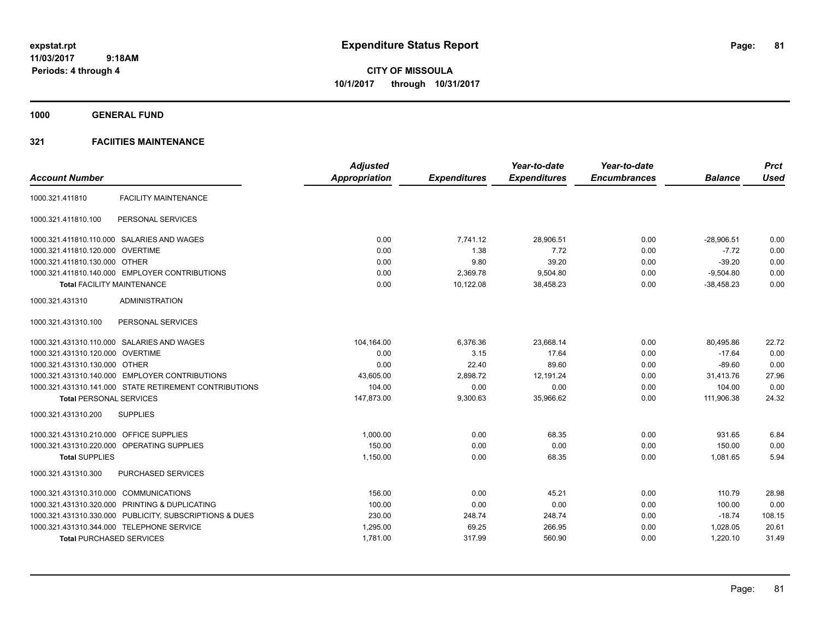**CITY OF MISSOULA 10/1/2017 through 10/31/2017**

**1000 GENERAL FUND**

# **321 FACIITIES MAINTENANCE**

|                                         |                                                         | <b>Adjusted</b> |                     | Year-to-date        | Year-to-date        |                | <b>Prct</b> |
|-----------------------------------------|---------------------------------------------------------|-----------------|---------------------|---------------------|---------------------|----------------|-------------|
| <b>Account Number</b>                   |                                                         | Appropriation   | <b>Expenditures</b> | <b>Expenditures</b> | <b>Encumbrances</b> | <b>Balance</b> | <b>Used</b> |
| 1000.321.411810                         | <b>FACILITY MAINTENANCE</b>                             |                 |                     |                     |                     |                |             |
| 1000.321.411810.100                     | PERSONAL SERVICES                                       |                 |                     |                     |                     |                |             |
|                                         | 1000.321.411810.110.000 SALARIES AND WAGES              | 0.00            | 7.741.12            | 28.906.51           | 0.00                | $-28.906.51$   | 0.00        |
| 1000.321.411810.120.000 OVERTIME        |                                                         | 0.00            | 1.38                | 7.72                | 0.00                | $-7.72$        | 0.00        |
| 1000.321.411810.130.000 OTHER           |                                                         | 0.00            | 9.80                | 39.20               | 0.00                | $-39.20$       | 0.00        |
|                                         | 1000.321.411810.140.000 EMPLOYER CONTRIBUTIONS          | 0.00            | 2,369.78            | 9,504.80            | 0.00                | $-9.504.80$    | 0.00        |
|                                         | <b>Total FACILITY MAINTENANCE</b>                       | 0.00            | 10,122.08           | 38,458.23           | 0.00                | $-38,458.23$   | 0.00        |
| 1000.321.431310                         | <b>ADMINISTRATION</b>                                   |                 |                     |                     |                     |                |             |
| 1000.321.431310.100                     | PERSONAL SERVICES                                       |                 |                     |                     |                     |                |             |
|                                         | 1000.321.431310.110.000 SALARIES AND WAGES              | 104,164.00      | 6,376.36            | 23,668.14           | 0.00                | 80,495.86      | 22.72       |
| 1000.321.431310.120.000 OVERTIME        |                                                         | 0.00            | 3.15                | 17.64               | 0.00                | $-17.64$       | 0.00        |
| 1000.321.431310.130.000 OTHER           |                                                         | 0.00            | 22.40               | 89.60               | 0.00                | $-89.60$       | 0.00        |
|                                         | 1000.321.431310.140.000 EMPLOYER CONTRIBUTIONS          | 43,605.00       | 2,898.72            | 12,191.24           | 0.00                | 31,413.76      | 27.96       |
|                                         | 1000.321.431310.141.000 STATE RETIREMENT CONTRIBUTIONS  | 104.00          | 0.00                | 0.00                | 0.00                | 104.00         | 0.00        |
| <b>Total PERSONAL SERVICES</b>          |                                                         | 147,873.00      | 9,300.63            | 35,966.62           | 0.00                | 111,906.38     | 24.32       |
| 1000.321.431310.200                     | <b>SUPPLIES</b>                                         |                 |                     |                     |                     |                |             |
| 1000.321.431310.210.000 OFFICE SUPPLIES |                                                         | 1,000.00        | 0.00                | 68.35               | 0.00                | 931.65         | 6.84        |
|                                         | 1000.321.431310.220.000 OPERATING SUPPLIES              | 150.00          | 0.00                | 0.00                | 0.00                | 150.00         | 0.00        |
| <b>Total SUPPLIES</b>                   |                                                         | 1,150.00        | 0.00                | 68.35               | 0.00                | 1,081.65       | 5.94        |
| 1000.321.431310.300                     | PURCHASED SERVICES                                      |                 |                     |                     |                     |                |             |
| 1000.321.431310.310.000 COMMUNICATIONS  |                                                         | 156.00          | 0.00                | 45.21               | 0.00                | 110.79         | 28.98       |
|                                         | 1000.321.431310.320.000 PRINTING & DUPLICATING          | 100.00          | 0.00                | 0.00                | 0.00                | 100.00         | 0.00        |
|                                         | 1000.321.431310.330.000 PUBLICITY, SUBSCRIPTIONS & DUES | 230.00          | 248.74              | 248.74              | 0.00                | $-18.74$       | 108.15      |
|                                         | 1000.321.431310.344.000 TELEPHONE SERVICE               | 1,295.00        | 69.25               | 266.95              | 0.00                | 1,028.05       | 20.61       |
| <b>Total PURCHASED SERVICES</b>         |                                                         | 1,781.00        | 317.99              | 560.90              | 0.00                | 1,220.10       | 31.49       |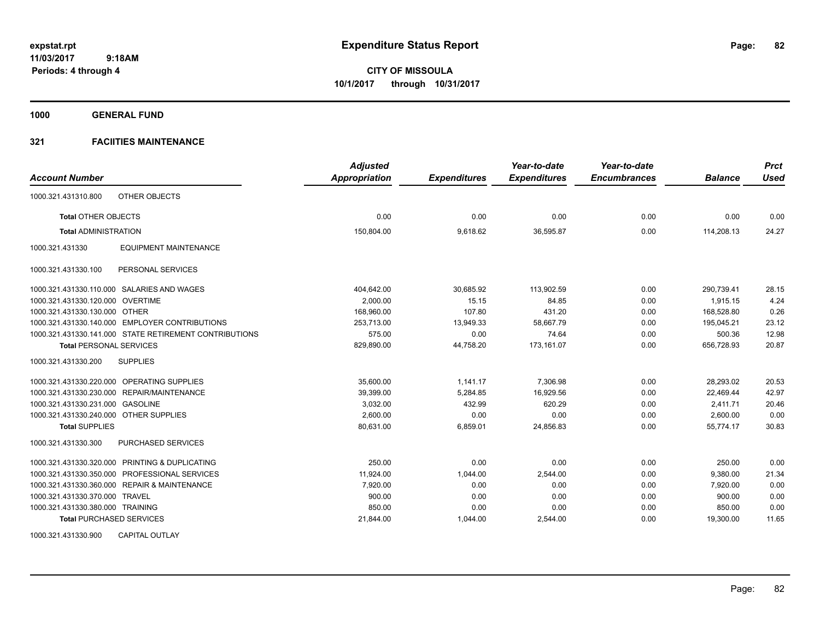**CITY OF MISSOULA 10/1/2017 through 10/31/2017**

**1000 GENERAL FUND**

# **321 FACIITIES MAINTENANCE**

|                                                        | <b>Adjusted</b> |                     | Year-to-date        | Year-to-date        |                | <b>Prct</b> |
|--------------------------------------------------------|-----------------|---------------------|---------------------|---------------------|----------------|-------------|
| <b>Account Number</b>                                  | Appropriation   | <b>Expenditures</b> | <b>Expenditures</b> | <b>Encumbrances</b> | <b>Balance</b> | <b>Used</b> |
| OTHER OBJECTS<br>1000.321.431310.800                   |                 |                     |                     |                     |                |             |
| <b>Total OTHER OBJECTS</b>                             | 0.00            | 0.00                | 0.00                | 0.00                | 0.00           | 0.00        |
| <b>Total ADMINISTRATION</b>                            | 150,804.00      | 9,618.62            | 36,595.87           | 0.00                | 114,208.13     | 24.27       |
| <b>EQUIPMENT MAINTENANCE</b><br>1000.321.431330        |                 |                     |                     |                     |                |             |
| PERSONAL SERVICES<br>1000.321.431330.100               |                 |                     |                     |                     |                |             |
| 1000.321.431330.110.000 SALARIES AND WAGES             | 404,642.00      | 30,685.92           | 113,902.59          | 0.00                | 290,739.41     | 28.15       |
| 1000.321.431330.120.000 OVERTIME                       | 2,000.00        | 15.15               | 84.85               | 0.00                | 1,915.15       | 4.24        |
| 1000.321.431330.130.000 OTHER                          | 168,960.00      | 107.80              | 431.20              | 0.00                | 168.528.80     | 0.26        |
| 1000.321.431330.140.000 EMPLOYER CONTRIBUTIONS         | 253,713.00      | 13,949.33           | 58,667.79           | 0.00                | 195,045.21     | 23.12       |
| 1000.321.431330.141.000 STATE RETIREMENT CONTRIBUTIONS | 575.00          | 0.00                | 74.64               | 0.00                | 500.36         | 12.98       |
| <b>Total PERSONAL SERVICES</b>                         | 829,890.00      | 44,758.20           | 173.161.07          | 0.00                | 656,728.93     | 20.87       |
| <b>SUPPLIES</b><br>1000.321.431330.200                 |                 |                     |                     |                     |                |             |
| 1000.321.431330.220.000 OPERATING SUPPLIES             | 35.600.00       | 1.141.17            | 7,306.98            | 0.00                | 28.293.02      | 20.53       |
| 1000.321.431330.230.000 REPAIR/MAINTENANCE             | 39,399.00       | 5,284.85            | 16,929.56           | 0.00                | 22,469.44      | 42.97       |
| 1000.321.431330.231.000 GASOLINE                       | 3,032.00        | 432.99              | 620.29              | 0.00                | 2.411.71       | 20.46       |
| 1000.321.431330.240.000 OTHER SUPPLIES                 | 2,600.00        | 0.00                | 0.00                | 0.00                | 2,600.00       | 0.00        |
| <b>Total SUPPLIES</b>                                  | 80,631.00       | 6,859.01            | 24,856.83           | 0.00                | 55,774.17      | 30.83       |
| 1000.321.431330.300<br>PURCHASED SERVICES              |                 |                     |                     |                     |                |             |
| 1000.321.431330.320.000 PRINTING & DUPLICATING         | 250.00          | 0.00                | 0.00                | 0.00                | 250.00         | 0.00        |
| 1000.321.431330.350.000 PROFESSIONAL SERVICES          | 11.924.00       | 1,044.00            | 2,544.00            | 0.00                | 9,380.00       | 21.34       |
| 1000.321.431330.360.000 REPAIR & MAINTENANCE           | 7.920.00        | 0.00                | 0.00                | 0.00                | 7.920.00       | 0.00        |
| 1000.321.431330.370.000 TRAVEL                         | 900.00          | 0.00                | 0.00                | 0.00                | 900.00         | 0.00        |
| 1000.321.431330.380.000 TRAINING                       | 850.00          | 0.00                | 0.00                | 0.00                | 850.00         | 0.00        |
| <b>Total PURCHASED SERVICES</b>                        | 21,844.00       | 1,044.00            | 2,544.00            | 0.00                | 19,300.00      | 11.65       |

1000.321.431330.900 CAPITAL OUTLAY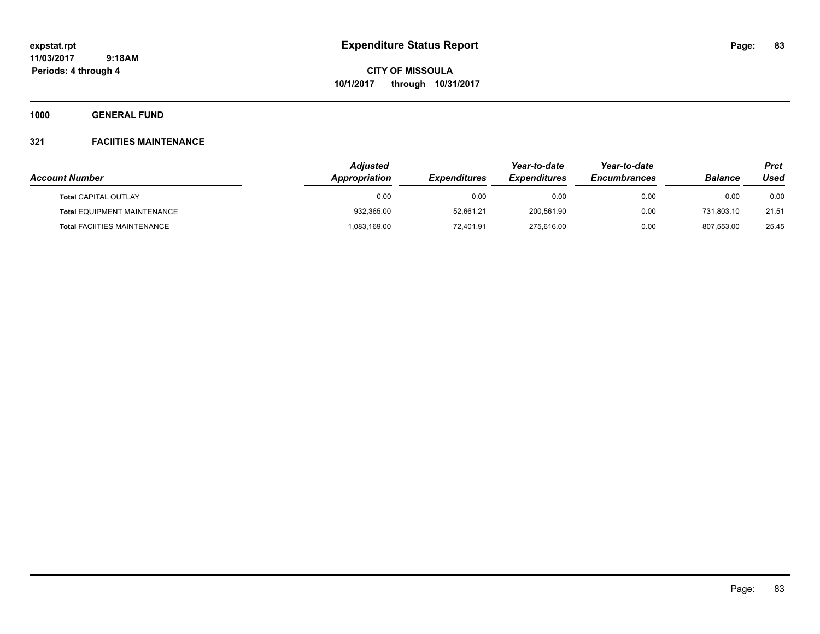**CITY OF MISSOULA 10/1/2017 through 10/31/2017**

**1000 GENERAL FUND**

# **321 FACIITIES MAINTENANCE**

| <b>Account Number</b>                                             | <b>Adjusted</b><br><b>Appropriation</b> | <i><b>Expenditures</b></i> | Year-to-date<br><i><b>Expenditures</b></i> | Year-to-date<br><b>Encumbrances</b> | <b>Balance</b> | Prct<br>Used |
|-------------------------------------------------------------------|-----------------------------------------|----------------------------|--------------------------------------------|-------------------------------------|----------------|--------------|
|                                                                   | 0.00                                    |                            |                                            |                                     | 0.00           | 0.00         |
| <b>Total CAPITAL OUTLAY</b><br><b>Total EQUIPMENT MAINTENANCE</b> | 932,365.00                              | 0.00<br>52.661.21          | 0.00<br>200.561.90                         | 0.00<br>0.00                        | 731.803.10     | 21.51        |
| <b>Total FACIITIES MAINTENANCE</b>                                | 083,169.00                              | 72.401.91                  | 275,616.00                                 | 0.00                                | 807.553.00     | 25.45        |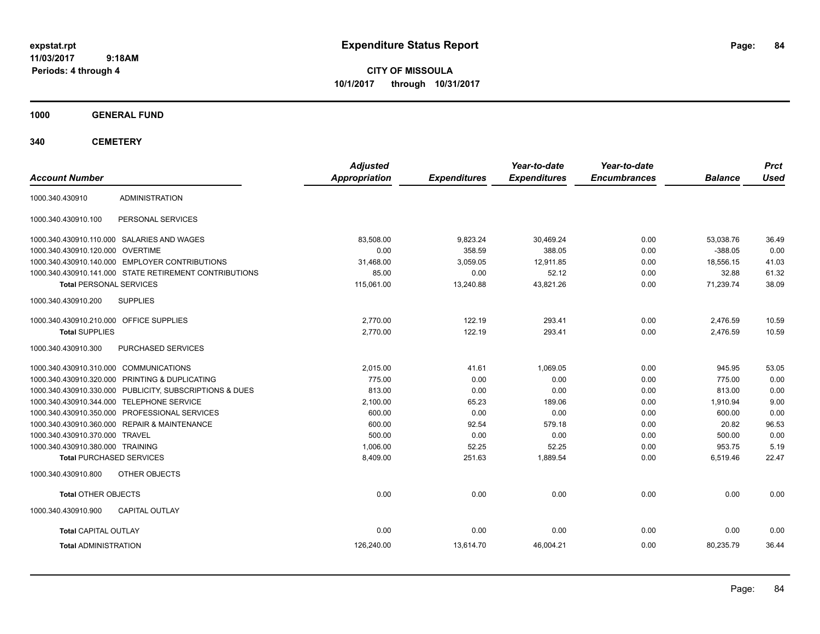**CITY OF MISSOULA 10/1/2017 through 10/31/2017**

**1000 GENERAL FUND**

| <b>Account Number</b>                   |                                                         | <b>Adjusted</b><br>Appropriation | <b>Expenditures</b> | Year-to-date<br><b>Expenditures</b> | Year-to-date<br><b>Encumbrances</b> | <b>Balance</b> | <b>Prct</b><br><b>Used</b> |
|-----------------------------------------|---------------------------------------------------------|----------------------------------|---------------------|-------------------------------------|-------------------------------------|----------------|----------------------------|
| 1000.340.430910                         | <b>ADMINISTRATION</b>                                   |                                  |                     |                                     |                                     |                |                            |
| 1000.340.430910.100                     | PERSONAL SERVICES                                       |                                  |                     |                                     |                                     |                |                            |
|                                         | 1000.340.430910.110.000 SALARIES AND WAGES              | 83,508.00                        | 9,823.24            | 30,469.24                           | 0.00                                | 53,038.76      | 36.49                      |
| 1000.340.430910.120.000 OVERTIME        |                                                         | 0.00                             | 358.59              | 388.05                              | 0.00                                | $-388.05$      | 0.00                       |
|                                         | 1000.340.430910.140.000 EMPLOYER CONTRIBUTIONS          | 31,468.00                        | 3,059.05            | 12,911.85                           | 0.00                                | 18,556.15      | 41.03                      |
|                                         | 1000.340.430910.141.000 STATE RETIREMENT CONTRIBUTIONS  | 85.00                            | 0.00                | 52.12                               | 0.00                                | 32.88          | 61.32                      |
| <b>Total PERSONAL SERVICES</b>          |                                                         | 115,061.00                       | 13,240.88           | 43,821.26                           | 0.00                                | 71,239.74      | 38.09                      |
| 1000.340.430910.200                     | <b>SUPPLIES</b>                                         |                                  |                     |                                     |                                     |                |                            |
| 1000.340.430910.210.000 OFFICE SUPPLIES |                                                         | 2,770.00                         | 122.19              | 293.41                              | 0.00                                | 2,476.59       | 10.59                      |
| <b>Total SUPPLIES</b>                   |                                                         | 2,770.00                         | 122.19              | 293.41                              | 0.00                                | 2,476.59       | 10.59                      |
| 1000.340.430910.300                     | PURCHASED SERVICES                                      |                                  |                     |                                     |                                     |                |                            |
| 1000.340.430910.310.000 COMMUNICATIONS  |                                                         | 2,015.00                         | 41.61               | 1,069.05                            | 0.00                                | 945.95         | 53.05                      |
|                                         | 1000.340.430910.320.000 PRINTING & DUPLICATING          | 775.00                           | 0.00                | 0.00                                | 0.00                                | 775.00         | 0.00                       |
|                                         | 1000.340.430910.330.000 PUBLICITY, SUBSCRIPTIONS & DUES | 813.00                           | 0.00                | 0.00                                | 0.00                                | 813.00         | 0.00                       |
|                                         | 1000.340.430910.344.000 TELEPHONE SERVICE               | 2,100.00                         | 65.23               | 189.06                              | 0.00                                | 1,910.94       | 9.00                       |
|                                         | 1000.340.430910.350.000 PROFESSIONAL SERVICES           | 600.00                           | 0.00                | 0.00                                | 0.00                                | 600.00         | 0.00                       |
|                                         | 1000.340.430910.360.000 REPAIR & MAINTENANCE            | 600.00                           | 92.54               | 579.18                              | 0.00                                | 20.82          | 96.53                      |
| 1000.340.430910.370.000 TRAVEL          |                                                         | 500.00                           | 0.00                | 0.00                                | 0.00                                | 500.00         | 0.00                       |
| 1000.340.430910.380.000 TRAINING        |                                                         | 1,006.00                         | 52.25               | 52.25                               | 0.00                                | 953.75         | 5.19                       |
| <b>Total PURCHASED SERVICES</b>         |                                                         | 8,409.00                         | 251.63              | 1,889.54                            | 0.00                                | 6,519.46       | 22.47                      |
| 1000.340.430910.800                     | OTHER OBJECTS                                           |                                  |                     |                                     |                                     |                |                            |
| Total OTHER OBJECTS                     |                                                         | 0.00                             | 0.00                | 0.00                                | 0.00                                | 0.00           | 0.00                       |
| 1000.340.430910.900                     | <b>CAPITAL OUTLAY</b>                                   |                                  |                     |                                     |                                     |                |                            |
| <b>Total CAPITAL OUTLAY</b>             |                                                         | 0.00                             | 0.00                | 0.00                                | 0.00                                | 0.00           | 0.00                       |
| <b>Total ADMINISTRATION</b>             |                                                         | 126,240.00                       | 13,614.70           | 46,004.21                           | 0.00                                | 80,235.79      | 36.44                      |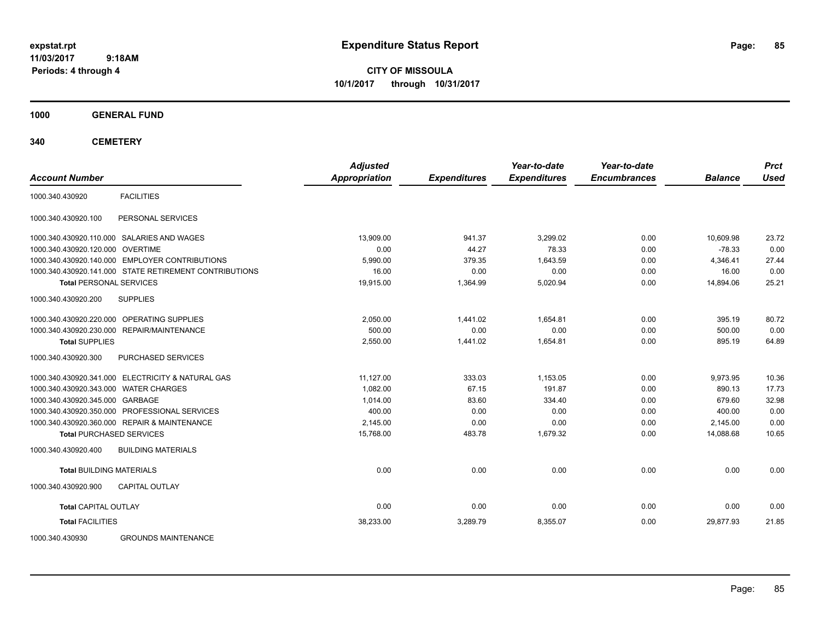**CITY OF MISSOULA 10/1/2017 through 10/31/2017**

**1000 GENERAL FUND**

| <b>Account Number</b>                 |                                                        | <b>Adjusted</b><br>Appropriation | <b>Expenditures</b> | Year-to-date<br><b>Expenditures</b> | Year-to-date<br><b>Encumbrances</b> | <b>Balance</b> | <b>Prct</b><br><b>Used</b> |
|---------------------------------------|--------------------------------------------------------|----------------------------------|---------------------|-------------------------------------|-------------------------------------|----------------|----------------------------|
| 1000.340.430920                       | <b>FACILITIES</b>                                      |                                  |                     |                                     |                                     |                |                            |
| 1000.340.430920.100                   | PERSONAL SERVICES                                      |                                  |                     |                                     |                                     |                |                            |
|                                       | 1000.340.430920.110.000 SALARIES AND WAGES             | 13.909.00                        | 941.37              | 3.299.02                            | 0.00                                | 10.609.98      | 23.72                      |
| 1000.340.430920.120.000 OVERTIME      |                                                        | 0.00                             | 44.27               | 78.33                               | 0.00                                | $-78.33$       | 0.00                       |
|                                       | 1000.340.430920.140.000 EMPLOYER CONTRIBUTIONS         | 5,990.00                         | 379.35              | 1,643.59                            | 0.00                                | 4,346.41       | 27.44                      |
|                                       | 1000.340.430920.141.000 STATE RETIREMENT CONTRIBUTIONS | 16.00                            | 0.00                | 0.00                                | 0.00                                | 16.00          | 0.00                       |
| <b>Total PERSONAL SERVICES</b>        |                                                        | 19,915.00                        | 1,364.99            | 5,020.94                            | 0.00                                | 14,894.06      | 25.21                      |
| 1000.340.430920.200                   | <b>SUPPLIES</b>                                        |                                  |                     |                                     |                                     |                |                            |
|                                       | 1000.340.430920.220.000 OPERATING SUPPLIES             | 2,050.00                         | 1,441.02            | 1,654.81                            | 0.00                                | 395.19         | 80.72                      |
|                                       | 1000.340.430920.230.000 REPAIR/MAINTENANCE             | 500.00                           | 0.00                | 0.00                                | 0.00                                | 500.00         | 0.00                       |
| <b>Total SUPPLIES</b>                 |                                                        | 2,550.00                         | 1,441.02            | 1,654.81                            | 0.00                                | 895.19         | 64.89                      |
| 1000.340.430920.300                   | PURCHASED SERVICES                                     |                                  |                     |                                     |                                     |                |                            |
|                                       | 1000.340.430920.341.000 ELECTRICITY & NATURAL GAS      | 11,127.00                        | 333.03              | 1,153.05                            | 0.00                                | 9,973.95       | 10.36                      |
| 1000.340.430920.343.000 WATER CHARGES |                                                        | 1,082.00                         | 67.15               | 191.87                              | 0.00                                | 890.13         | 17.73                      |
| 1000.340.430920.345.000 GARBAGE       |                                                        | 1,014.00                         | 83.60               | 334.40                              | 0.00                                | 679.60         | 32.98                      |
|                                       | 1000.340.430920.350.000 PROFESSIONAL SERVICES          | 400.00                           | 0.00                | 0.00                                | 0.00                                | 400.00         | 0.00                       |
|                                       | 1000.340.430920.360.000 REPAIR & MAINTENANCE           | 2.145.00                         | 0.00                | 0.00                                | 0.00                                | 2,145.00       | 0.00                       |
|                                       | <b>Total PURCHASED SERVICES</b>                        | 15,768.00                        | 483.78              | 1,679.32                            | 0.00                                | 14,088.68      | 10.65                      |
| 1000.340.430920.400                   | <b>BUILDING MATERIALS</b>                              |                                  |                     |                                     |                                     |                |                            |
| <b>Total BUILDING MATERIALS</b>       |                                                        | 0.00                             | 0.00                | 0.00                                | 0.00                                | 0.00           | 0.00                       |
| 1000.340.430920.900                   | <b>CAPITAL OUTLAY</b>                                  |                                  |                     |                                     |                                     |                |                            |
| <b>Total CAPITAL OUTLAY</b>           |                                                        | 0.00                             | 0.00                | 0.00                                | 0.00                                | 0.00           | 0.00                       |
| <b>Total FACILITIES</b>               |                                                        | 38,233.00                        | 3,289.79            | 8,355.07                            | 0.00                                | 29,877.93      | 21.85                      |
| 1000.340.430930                       | <b>GROUNDS MAINTENANCE</b>                             |                                  |                     |                                     |                                     |                |                            |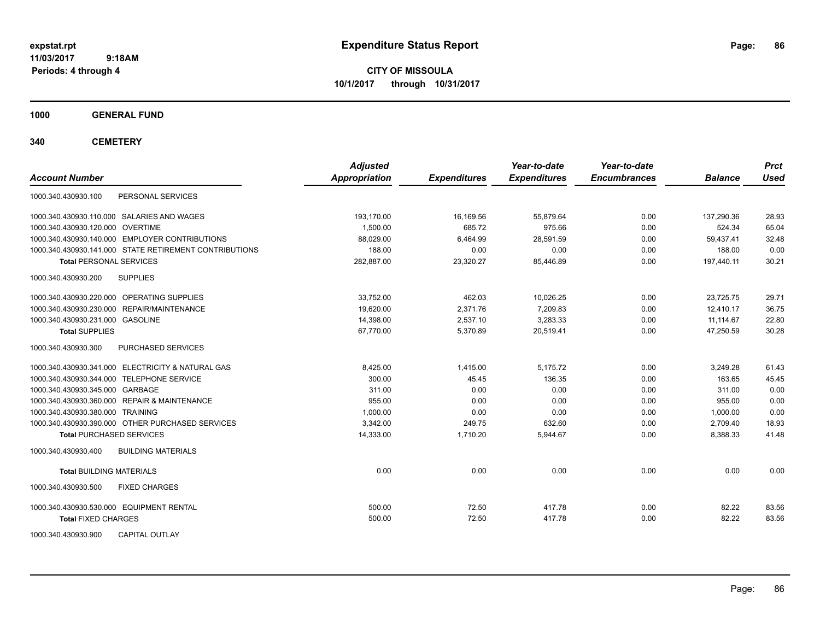**CITY OF MISSOULA 10/1/2017 through 10/31/2017**

**1000 GENERAL FUND**

| <b>Account Number</b>                                  | <b>Adjusted</b><br><b>Appropriation</b> | <b>Expenditures</b> | Year-to-date<br><b>Expenditures</b> | Year-to-date<br><b>Encumbrances</b> | <b>Balance</b> | <b>Prct</b><br><b>Used</b> |
|--------------------------------------------------------|-----------------------------------------|---------------------|-------------------------------------|-------------------------------------|----------------|----------------------------|
| PERSONAL SERVICES<br>1000.340.430930.100               |                                         |                     |                                     |                                     |                |                            |
| 1000.340.430930.110.000 SALARIES AND WAGES             | 193.170.00                              | 16.169.56           | 55.879.64                           | 0.00                                | 137.290.36     | 28.93                      |
| 1000.340.430930.120.000 OVERTIME                       | 1,500.00                                | 685.72              | 975.66                              | 0.00                                | 524.34         | 65.04                      |
| 1000.340.430930.140.000 EMPLOYER CONTRIBUTIONS         | 88,029.00                               | 6,464.99            | 28,591.59                           | 0.00                                | 59,437.41      | 32.48                      |
| 1000.340.430930.141.000 STATE RETIREMENT CONTRIBUTIONS | 188.00                                  | 0.00                | 0.00                                | 0.00                                | 188.00         | 0.00                       |
| <b>Total PERSONAL SERVICES</b>                         | 282,887.00                              | 23,320.27           | 85,446.89                           | 0.00                                | 197,440.11     | 30.21                      |
| <b>SUPPLIES</b><br>1000.340.430930.200                 |                                         |                     |                                     |                                     |                |                            |
| 1000.340.430930.220.000 OPERATING SUPPLIES             | 33.752.00                               | 462.03              | 10,026.25                           | 0.00                                | 23.725.75      | 29.71                      |
| 1000.340.430930.230.000 REPAIR/MAINTENANCE             | 19.620.00                               | 2,371.76            | 7.209.83                            | 0.00                                | 12.410.17      | 36.75                      |
| 1000.340.430930.231.000 GASOLINE                       | 14,398.00                               | 2,537.10            | 3,283.33                            | 0.00                                | 11,114.67      | 22.80                      |
| <b>Total SUPPLIES</b>                                  | 67,770.00                               | 5,370.89            | 20,519.41                           | 0.00                                | 47,250.59      | 30.28                      |
| 1000.340.430930.300<br>PURCHASED SERVICES              |                                         |                     |                                     |                                     |                |                            |
| 1000.340.430930.341.000 ELECTRICITY & NATURAL GAS      | 8,425.00                                | 1,415.00            | 5,175.72                            | 0.00                                | 3,249.28       | 61.43                      |
| 1000.340.430930.344.000 TELEPHONE SERVICE              | 300.00                                  | 45.45               | 136.35                              | 0.00                                | 163.65         | 45.45                      |
| 1000.340.430930.345.000 GARBAGE                        | 311.00                                  | 0.00                | 0.00                                | 0.00                                | 311.00         | 0.00                       |
| 1000.340.430930.360.000 REPAIR & MAINTENANCE           | 955.00                                  | 0.00                | 0.00                                | 0.00                                | 955.00         | 0.00                       |
| 1000.340.430930.380.000 TRAINING                       | 1.000.00                                | 0.00                | 0.00                                | 0.00                                | 1,000.00       | 0.00                       |
| 1000.340.430930.390.000 OTHER PURCHASED SERVICES       | 3,342.00                                | 249.75              | 632.60                              | 0.00                                | 2,709.40       | 18.93                      |
| <b>Total PURCHASED SERVICES</b>                        | 14,333.00                               | 1,710.20            | 5,944.67                            | 0.00                                | 8,388.33       | 41.48                      |
| 1000.340.430930.400<br><b>BUILDING MATERIALS</b>       |                                         |                     |                                     |                                     |                |                            |
| <b>Total BUILDING MATERIALS</b>                        | 0.00                                    | 0.00                | 0.00                                | 0.00                                | 0.00           | 0.00                       |
| 1000.340.430930.500<br><b>FIXED CHARGES</b>            |                                         |                     |                                     |                                     |                |                            |
| 1000.340.430930.530.000 EQUIPMENT RENTAL               | 500.00                                  | 72.50               | 417.78                              | 0.00                                | 82.22          | 83.56                      |
| <b>Total FIXED CHARGES</b>                             | 500.00                                  | 72.50               | 417.78                              | 0.00                                | 82.22          | 83.56                      |
| <b>CAPITAL OUTLAY</b><br>1000.340.430930.900           |                                         |                     |                                     |                                     |                |                            |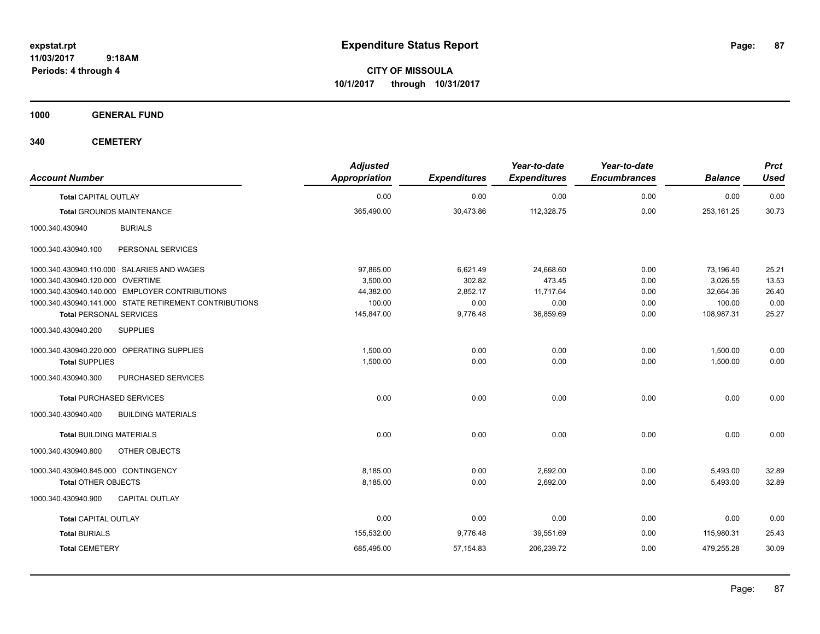**CITY OF MISSOULA 10/1/2017 through 10/31/2017**

**1000 GENERAL FUND**

| <b>Account Number</b>                                  | <b>Adjusted</b><br><b>Appropriation</b> | <b>Expenditures</b> | Year-to-date<br><b>Expenditures</b> | Year-to-date<br><b>Encumbrances</b> | <b>Balance</b> | <b>Prct</b><br><b>Used</b> |
|--------------------------------------------------------|-----------------------------------------|---------------------|-------------------------------------|-------------------------------------|----------------|----------------------------|
| <b>Total CAPITAL OUTLAY</b>                            | 0.00                                    | 0.00                | 0.00                                | 0.00                                | 0.00           | 0.00                       |
| <b>Total GROUNDS MAINTENANCE</b>                       | 365,490.00                              | 30,473.86           | 112,328.75                          | 0.00                                | 253,161.25     | 30.73                      |
| <b>BURIALS</b><br>1000.340.430940                      |                                         |                     |                                     |                                     |                |                            |
| 1000.340.430940.100<br>PERSONAL SERVICES               |                                         |                     |                                     |                                     |                |                            |
| 1000.340.430940.110.000 SALARIES AND WAGES             | 97,865.00                               | 6,621.49            | 24,668.60                           | 0.00                                | 73,196.40      | 25.21                      |
| 1000.340.430940.120.000 OVERTIME                       | 3,500.00                                | 302.82              | 473.45                              | 0.00                                | 3,026.55       | 13.53                      |
| 1000.340.430940.140.000 EMPLOYER CONTRIBUTIONS         | 44,382.00                               | 2,852.17            | 11.717.64                           | 0.00                                | 32,664.36      | 26.40                      |
| 1000.340.430940.141.000 STATE RETIREMENT CONTRIBUTIONS | 100.00                                  | 0.00                | 0.00                                | 0.00                                | 100.00         | 0.00                       |
| <b>Total PERSONAL SERVICES</b>                         | 145,847.00                              | 9,776.48            | 36,859.69                           | 0.00                                | 108,987.31     | 25.27                      |
| <b>SUPPLIES</b><br>1000.340.430940.200                 |                                         |                     |                                     |                                     |                |                            |
| 1000.340.430940.220.000 OPERATING SUPPLIES             | 1,500.00                                | 0.00                | 0.00                                | 0.00                                | 1,500.00       | 0.00                       |
| <b>Total SUPPLIES</b>                                  | 1,500.00                                | 0.00                | 0.00                                | 0.00                                | 1,500.00       | 0.00                       |
| PURCHASED SERVICES<br>1000.340.430940.300              |                                         |                     |                                     |                                     |                |                            |
| <b>Total PURCHASED SERVICES</b>                        | 0.00                                    | 0.00                | 0.00                                | 0.00                                | 0.00           | 0.00                       |
| 1000.340.430940.400<br><b>BUILDING MATERIALS</b>       |                                         |                     |                                     |                                     |                |                            |
| <b>Total BUILDING MATERIALS</b>                        | 0.00                                    | 0.00                | 0.00                                | 0.00                                | 0.00           | 0.00                       |
| 1000.340.430940.800<br>OTHER OBJECTS                   |                                         |                     |                                     |                                     |                |                            |
| 1000.340.430940.845.000 CONTINGENCY                    | 8,185.00                                | 0.00                | 2,692.00                            | 0.00                                | 5,493.00       | 32.89                      |
| <b>Total OTHER OBJECTS</b>                             | 8,185.00                                | 0.00                | 2,692.00                            | 0.00                                | 5,493.00       | 32.89                      |
| 1000.340.430940.900<br><b>CAPITAL OUTLAY</b>           |                                         |                     |                                     |                                     |                |                            |
| <b>Total CAPITAL OUTLAY</b>                            | 0.00                                    | 0.00                | 0.00                                | 0.00                                | 0.00           | 0.00                       |
| <b>Total BURIALS</b>                                   | 155,532.00                              | 9,776.48            | 39,551.69                           | 0.00                                | 115,980.31     | 25.43                      |
|                                                        |                                         |                     |                                     |                                     |                |                            |
| <b>Total CEMETERY</b>                                  | 685,495.00                              | 57,154.83           | 206,239.72                          | 0.00                                | 479,255.28     | 30.09                      |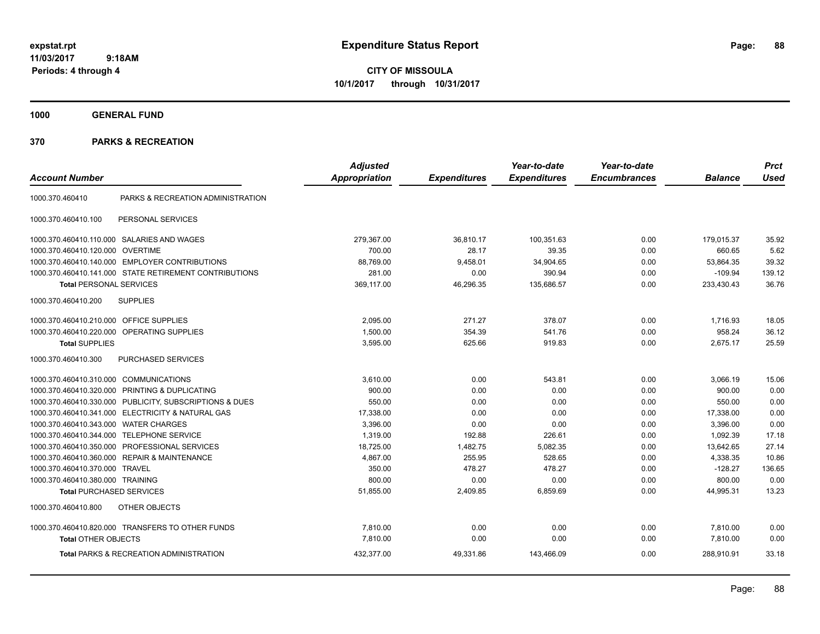**CITY OF MISSOULA 10/1/2017 through 10/31/2017**

**1000 GENERAL FUND**

|                                         |                                                         | <b>Adjusted</b>      |                     | Year-to-date        | Year-to-date        |                | <b>Prct</b> |
|-----------------------------------------|---------------------------------------------------------|----------------------|---------------------|---------------------|---------------------|----------------|-------------|
| <b>Account Number</b>                   |                                                         | <b>Appropriation</b> | <b>Expenditures</b> | <b>Expenditures</b> | <b>Encumbrances</b> | <b>Balance</b> | <b>Used</b> |
| 1000.370.460410                         | PARKS & RECREATION ADMINISTRATION                       |                      |                     |                     |                     |                |             |
| 1000.370.460410.100                     | PERSONAL SERVICES                                       |                      |                     |                     |                     |                |             |
|                                         | 1000.370.460410.110.000 SALARIES AND WAGES              | 279,367.00           | 36,810.17           | 100,351.63          | 0.00                | 179,015.37     | 35.92       |
| 1000.370.460410.120.000                 | <b>OVERTIME</b>                                         | 700.00               | 28.17               | 39.35               | 0.00                | 660.65         | 5.62        |
|                                         | 1000.370.460410.140.000 EMPLOYER CONTRIBUTIONS          | 88,769.00            | 9,458.01            | 34,904.65           | 0.00                | 53,864.35      | 39.32       |
|                                         | 1000.370.460410.141.000 STATE RETIREMENT CONTRIBUTIONS  | 281.00               | 0.00                | 390.94              | 0.00                | $-109.94$      | 139.12      |
| <b>Total PERSONAL SERVICES</b>          |                                                         | 369,117.00           | 46,296.35           | 135,686.57          | 0.00                | 233,430.43     | 36.76       |
| 1000.370.460410.200                     | <b>SUPPLIES</b>                                         |                      |                     |                     |                     |                |             |
| 1000.370.460410.210.000 OFFICE SUPPLIES |                                                         | 2,095.00             | 271.27              | 378.07              | 0.00                | 1,716.93       | 18.05       |
|                                         | 1000.370.460410.220.000 OPERATING SUPPLIES              | 1.500.00             | 354.39              | 541.76              | 0.00                | 958.24         | 36.12       |
| <b>Total SUPPLIES</b>                   |                                                         | 3,595.00             | 625.66              | 919.83              | 0.00                | 2,675.17       | 25.59       |
| 1000.370.460410.300                     | PURCHASED SERVICES                                      |                      |                     |                     |                     |                |             |
| 1000.370.460410.310.000 COMMUNICATIONS  |                                                         | 3,610.00             | 0.00                | 543.81              | 0.00                | 3,066.19       | 15.06       |
| 1000.370.460410.320.000                 | PRINTING & DUPLICATING                                  | 900.00               | 0.00                | 0.00                | 0.00                | 900.00         | 0.00        |
|                                         | 1000.370.460410.330.000 PUBLICITY, SUBSCRIPTIONS & DUES | 550.00               | 0.00                | 0.00                | 0.00                | 550.00         | 0.00        |
|                                         | 1000.370.460410.341.000 ELECTRICITY & NATURAL GAS       | 17,338.00            | 0.00                | 0.00                | 0.00                | 17,338.00      | 0.00        |
| 1000.370.460410.343.000                 | <b>WATER CHARGES</b>                                    | 3,396.00             | 0.00                | 0.00                | 0.00                | 3,396.00       | 0.00        |
| 1000.370.460410.344.000                 | <b>TELEPHONE SERVICE</b>                                | 1,319.00             | 192.88              | 226.61              | 0.00                | 1,092.39       | 17.18       |
| 1000.370.460410.350.000                 | <b>PROFESSIONAL SERVICES</b>                            | 18,725.00            | 1,482.75            | 5,082.35            | 0.00                | 13,642.65      | 27.14       |
|                                         | 1000.370.460410.360.000 REPAIR & MAINTENANCE            | 4,867.00             | 255.95              | 528.65              | 0.00                | 4,338.35       | 10.86       |
| 1000.370.460410.370.000                 | <b>TRAVEL</b>                                           | 350.00               | 478.27              | 478.27              | 0.00                | $-128.27$      | 136.65      |
| 1000.370.460410.380.000 TRAINING        |                                                         | 800.00               | 0.00                | 0.00                | 0.00                | 800.00         | 0.00        |
| <b>Total PURCHASED SERVICES</b>         |                                                         | 51,855.00            | 2,409.85            | 6,859.69            | 0.00                | 44,995.31      | 13.23       |
| 1000.370.460410.800                     | <b>OTHER OBJECTS</b>                                    |                      |                     |                     |                     |                |             |
|                                         | 1000.370.460410.820.000 TRANSFERS TO OTHER FUNDS        | 7,810.00             | 0.00                | 0.00                | 0.00                | 7,810.00       | 0.00        |
| <b>Total OTHER OBJECTS</b>              |                                                         | 7,810.00             | 0.00                | 0.00                | 0.00                | 7,810.00       | 0.00        |
|                                         | <b>Total PARKS &amp; RECREATION ADMINISTRATION</b>      | 432,377.00           | 49,331.86           | 143,466.09          | 0.00                | 288,910.91     | 33.18       |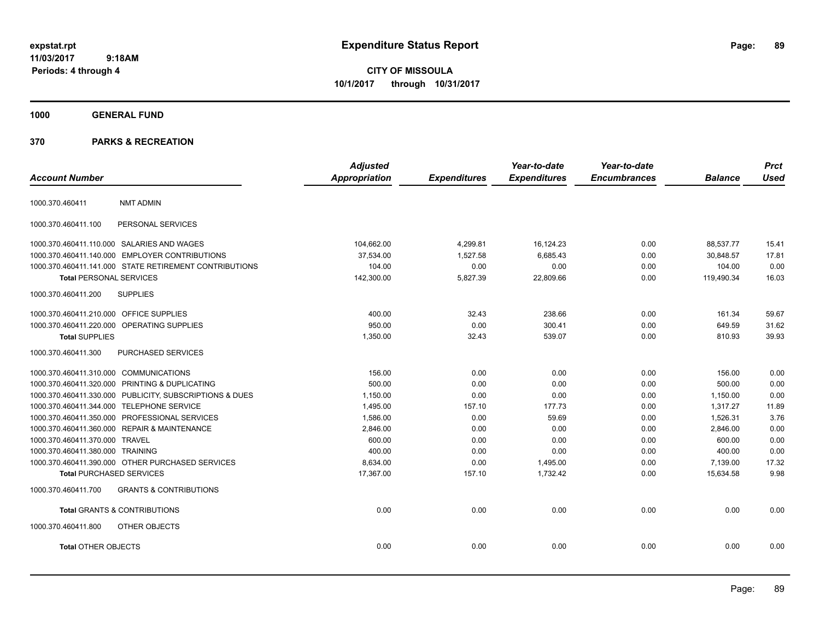**CITY OF MISSOULA 10/1/2017 through 10/31/2017**

**1000 GENERAL FUND**

| <b>Account Number</b>                   |                                                         | <b>Adjusted</b><br><b>Appropriation</b> | <b>Expenditures</b> | Year-to-date<br><b>Expenditures</b> | Year-to-date<br><b>Encumbrances</b> | <b>Balance</b> | <b>Prct</b><br><b>Used</b> |
|-----------------------------------------|---------------------------------------------------------|-----------------------------------------|---------------------|-------------------------------------|-------------------------------------|----------------|----------------------------|
| 1000.370.460411                         | <b>NMT ADMIN</b>                                        |                                         |                     |                                     |                                     |                |                            |
| 1000.370.460411.100                     | PERSONAL SERVICES                                       |                                         |                     |                                     |                                     |                |                            |
|                                         | 1000.370.460411.110.000 SALARIES AND WAGES              | 104,662.00                              | 4,299.81            | 16,124.23                           | 0.00                                | 88,537.77      | 15.41                      |
|                                         | 1000.370.460411.140.000 EMPLOYER CONTRIBUTIONS          | 37,534.00                               | 1,527.58            | 6,685.43                            | 0.00                                | 30,848.57      | 17.81                      |
|                                         | 1000.370.460411.141.000 STATE RETIREMENT CONTRIBUTIONS  | 104.00                                  | 0.00                | 0.00                                | 0.00                                | 104.00         | 0.00                       |
| <b>Total PERSONAL SERVICES</b>          |                                                         | 142,300.00                              | 5,827.39            | 22,809.66                           | 0.00                                | 119,490.34     | 16.03                      |
| 1000.370.460411.200                     | <b>SUPPLIES</b>                                         |                                         |                     |                                     |                                     |                |                            |
| 1000.370.460411.210.000 OFFICE SUPPLIES |                                                         | 400.00                                  | 32.43               | 238.66                              | 0.00                                | 161.34         | 59.67                      |
|                                         | 1000.370.460411.220.000 OPERATING SUPPLIES              | 950.00                                  | 0.00                | 300.41                              | 0.00                                | 649.59         | 31.62                      |
| <b>Total SUPPLIES</b>                   |                                                         | 1,350.00                                | 32.43               | 539.07                              | 0.00                                | 810.93         | 39.93                      |
| 1000.370.460411.300                     | <b>PURCHASED SERVICES</b>                               |                                         |                     |                                     |                                     |                |                            |
| 1000.370.460411.310.000 COMMUNICATIONS  |                                                         | 156.00                                  | 0.00                | 0.00                                | 0.00                                | 156.00         | 0.00                       |
|                                         | 1000.370.460411.320.000 PRINTING & DUPLICATING          | 500.00                                  | 0.00                | 0.00                                | 0.00                                | 500.00         | 0.00                       |
|                                         | 1000.370.460411.330.000 PUBLICITY, SUBSCRIPTIONS & DUES | 1,150.00                                | 0.00                | 0.00                                | 0.00                                | 1,150.00       | 0.00                       |
|                                         | 1000.370.460411.344.000 TELEPHONE SERVICE               | 1,495.00                                | 157.10              | 177.73                              | 0.00                                | 1,317.27       | 11.89                      |
|                                         | 1000.370.460411.350.000 PROFESSIONAL SERVICES           | 1,586.00                                | 0.00                | 59.69                               | 0.00                                | 1,526.31       | 3.76                       |
|                                         | 1000.370.460411.360.000 REPAIR & MAINTENANCE            | 2,846.00                                | 0.00                | 0.00                                | 0.00                                | 2,846.00       | 0.00                       |
| 1000.370.460411.370.000                 | <b>TRAVEL</b>                                           | 600.00                                  | 0.00                | 0.00                                | 0.00                                | 600.00         | 0.00                       |
| 1000.370.460411.380.000 TRAINING        |                                                         | 400.00                                  | 0.00                | 0.00                                | 0.00                                | 400.00         | 0.00                       |
|                                         | 1000.370.460411.390.000 OTHER PURCHASED SERVICES        | 8,634.00                                | 0.00                | 1,495.00                            | 0.00                                | 7,139.00       | 17.32                      |
| <b>Total PURCHASED SERVICES</b>         |                                                         | 17,367.00                               | 157.10              | 1,732.42                            | 0.00                                | 15,634.58      | 9.98                       |
| 1000.370.460411.700                     | <b>GRANTS &amp; CONTRIBUTIONS</b>                       |                                         |                     |                                     |                                     |                |                            |
|                                         | <b>Total GRANTS &amp; CONTRIBUTIONS</b>                 | 0.00                                    | 0.00                | 0.00                                | 0.00                                | 0.00           | 0.00                       |
| 1000.370.460411.800                     | OTHER OBJECTS                                           |                                         |                     |                                     |                                     |                |                            |
| <b>Total OTHER OBJECTS</b>              |                                                         | 0.00                                    | 0.00                | 0.00                                | 0.00                                | 0.00           | 0.00                       |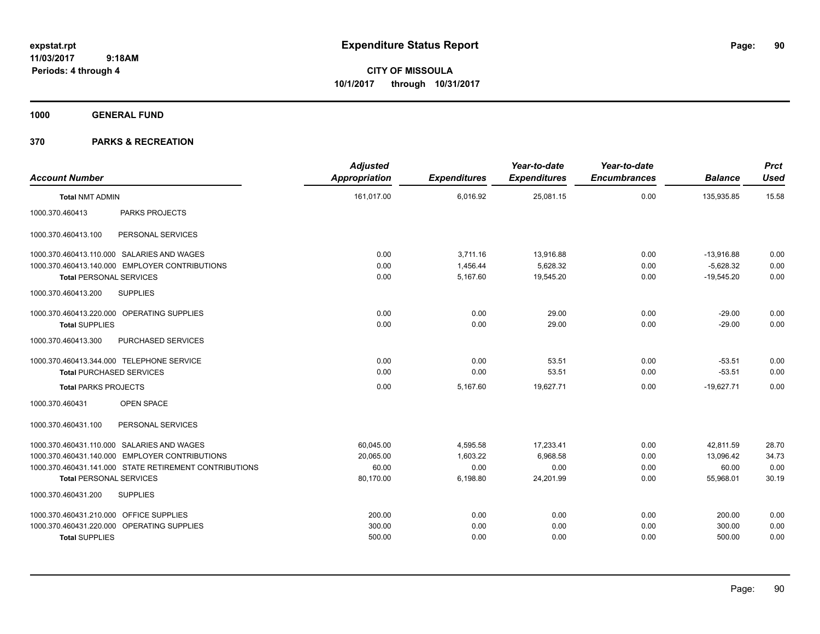**CITY OF MISSOULA 10/1/2017 through 10/31/2017**

**1000 GENERAL FUND**

| <b>Account Number</b>                   |                                                        | <b>Adjusted</b><br><b>Appropriation</b> | <b>Expenditures</b> | Year-to-date<br><b>Expenditures</b> | Year-to-date<br><b>Encumbrances</b> | <b>Balance</b> | <b>Prct</b><br><b>Used</b> |
|-----------------------------------------|--------------------------------------------------------|-----------------------------------------|---------------------|-------------------------------------|-------------------------------------|----------------|----------------------------|
| <b>Total NMT ADMIN</b>                  |                                                        | 161,017.00                              | 6,016.92            | 25,081.15                           | 0.00                                | 135,935.85     | 15.58                      |
| 1000.370.460413                         | <b>PARKS PROJECTS</b>                                  |                                         |                     |                                     |                                     |                |                            |
| 1000.370.460413.100                     | PERSONAL SERVICES                                      |                                         |                     |                                     |                                     |                |                            |
|                                         | 1000.370.460413.110.000 SALARIES AND WAGES             | 0.00                                    | 3,711.16            | 13,916.88                           | 0.00                                | $-13,916.88$   | 0.00                       |
|                                         | 1000.370.460413.140.000 EMPLOYER CONTRIBUTIONS         | 0.00                                    | 1.456.44            | 5,628.32                            | 0.00                                | $-5.628.32$    | 0.00                       |
| <b>Total PERSONAL SERVICES</b>          |                                                        | 0.00                                    | 5,167.60            | 19,545.20                           | 0.00                                | $-19,545.20$   | 0.00                       |
| 1000.370.460413.200                     | <b>SUPPLIES</b>                                        |                                         |                     |                                     |                                     |                |                            |
|                                         | 1000.370.460413.220.000 OPERATING SUPPLIES             | 0.00                                    | 0.00                | 29.00                               | 0.00                                | $-29.00$       | 0.00                       |
| <b>Total SUPPLIES</b>                   |                                                        | 0.00                                    | 0.00                | 29.00                               | 0.00                                | $-29.00$       | 0.00                       |
| 1000.370.460413.300                     | PURCHASED SERVICES                                     |                                         |                     |                                     |                                     |                |                            |
|                                         | 1000.370.460413.344.000 TELEPHONE SERVICE              | 0.00                                    | 0.00                | 53.51                               | 0.00                                | $-53.51$       | 0.00                       |
| <b>Total PURCHASED SERVICES</b>         |                                                        | 0.00                                    | 0.00                | 53.51                               | 0.00                                | $-53.51$       | 0.00                       |
| <b>Total PARKS PROJECTS</b>             |                                                        | 0.00                                    | 5,167.60            | 19,627.71                           | 0.00                                | $-19.627.71$   | 0.00                       |
| 1000.370.460431                         | <b>OPEN SPACE</b>                                      |                                         |                     |                                     |                                     |                |                            |
| 1000.370.460431.100                     | PERSONAL SERVICES                                      |                                         |                     |                                     |                                     |                |                            |
|                                         | 1000.370.460431.110.000 SALARIES AND WAGES             | 60,045.00                               | 4,595.58            | 17,233.41                           | 0.00                                | 42.811.59      | 28.70                      |
|                                         | 1000.370.460431.140.000 EMPLOYER CONTRIBUTIONS         | 20,065.00                               | 1,603.22            | 6,968.58                            | 0.00                                | 13,096.42      | 34.73                      |
|                                         | 1000.370.460431.141.000 STATE RETIREMENT CONTRIBUTIONS | 60.00                                   | 0.00                | 0.00                                | 0.00                                | 60.00          | 0.00                       |
| <b>Total PERSONAL SERVICES</b>          |                                                        | 80,170.00                               | 6,198.80            | 24,201.99                           | 0.00                                | 55,968.01      | 30.19                      |
| 1000.370.460431.200                     | <b>SUPPLIES</b>                                        |                                         |                     |                                     |                                     |                |                            |
| 1000.370.460431.210.000 OFFICE SUPPLIES |                                                        | 200.00                                  | 0.00                | 0.00                                | 0.00                                | 200.00         | 0.00                       |
|                                         | 1000.370.460431.220.000 OPERATING SUPPLIES             | 300.00                                  | 0.00                | 0.00                                | 0.00                                | 300.00         | 0.00                       |
| <b>Total SUPPLIES</b>                   |                                                        | 500.00                                  | 0.00                | 0.00                                | 0.00                                | 500.00         | 0.00                       |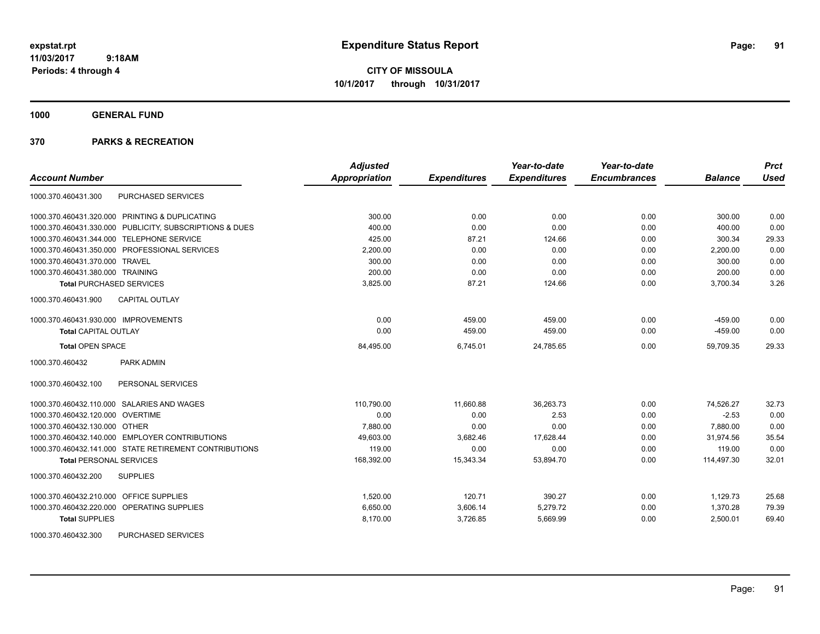**CITY OF MISSOULA 10/1/2017 through 10/31/2017**

**1000 GENERAL FUND**

| <b>Account Number</b>                                   | <b>Adjusted</b><br>Appropriation | <b>Expenditures</b> | Year-to-date<br><b>Expenditures</b> | Year-to-date<br><b>Encumbrances</b> | <b>Balance</b> | <b>Prct</b><br><b>Used</b> |
|---------------------------------------------------------|----------------------------------|---------------------|-------------------------------------|-------------------------------------|----------------|----------------------------|
| PURCHASED SERVICES<br>1000.370.460431.300               |                                  |                     |                                     |                                     |                |                            |
| 1000.370.460431.320.000 PRINTING & DUPLICATING          | 300.00                           | 0.00                | 0.00                                | 0.00                                | 300.00         | 0.00                       |
| 1000.370.460431.330.000 PUBLICITY, SUBSCRIPTIONS & DUES | 400.00                           | 0.00                | 0.00                                | 0.00                                | 400.00         | 0.00                       |
| 1000.370.460431.344.000 TELEPHONE SERVICE               | 425.00                           | 87.21               | 124.66                              | 0.00                                | 300.34         | 29.33                      |
| 1000.370.460431.350.000 PROFESSIONAL SERVICES           | 2,200.00                         | 0.00                | 0.00                                | 0.00                                | 2,200.00       | 0.00                       |
| 1000.370.460431.370.000 TRAVEL                          | 300.00                           | 0.00                | 0.00                                | 0.00                                | 300.00         | 0.00                       |
| 1000.370.460431.380.000 TRAINING                        | 200.00                           | 0.00                | 0.00                                | 0.00                                | 200.00         | 0.00                       |
| <b>Total PURCHASED SERVICES</b>                         | 3,825.00                         | 87.21               | 124.66                              | 0.00                                | 3,700.34       | 3.26                       |
| <b>CAPITAL OUTLAY</b><br>1000.370.460431.900            |                                  |                     |                                     |                                     |                |                            |
| 1000.370.460431.930.000 IMPROVEMENTS                    | 0.00                             | 459.00              | 459.00                              | 0.00                                | $-459.00$      | 0.00                       |
| <b>Total CAPITAL OUTLAY</b>                             | 0.00                             | 459.00              | 459.00                              | 0.00                                | $-459.00$      | 0.00                       |
| <b>Total OPEN SPACE</b>                                 | 84,495.00                        | 6,745.01            | 24,785.65                           | 0.00                                | 59,709.35      | 29.33                      |
| PARK ADMIN<br>1000.370.460432                           |                                  |                     |                                     |                                     |                |                            |
| 1000.370.460432.100<br>PERSONAL SERVICES                |                                  |                     |                                     |                                     |                |                            |
| 1000.370.460432.110.000 SALARIES AND WAGES              | 110,790.00                       | 11,660.88           | 36,263.73                           | 0.00                                | 74,526.27      | 32.73                      |
| 1000.370.460432.120.000 OVERTIME                        | 0.00                             | 0.00                | 2.53                                | 0.00                                | $-2.53$        | 0.00                       |
| 1000.370.460432.130.000 OTHER                           | 7,880.00                         | 0.00                | 0.00                                | 0.00                                | 7,880.00       | 0.00                       |
| 1000.370.460432.140.000 EMPLOYER CONTRIBUTIONS          | 49,603.00                        | 3,682.46            | 17,628.44                           | 0.00                                | 31,974.56      | 35.54                      |
| 1000.370.460432.141.000 STATE RETIREMENT CONTRIBUTIONS  | 119.00                           | 0.00                | 0.00                                | 0.00                                | 119.00         | 0.00                       |
| <b>Total PERSONAL SERVICES</b>                          | 168,392.00                       | 15,343.34           | 53,894.70                           | 0.00                                | 114,497.30     | 32.01                      |
| 1000.370.460432.200<br><b>SUPPLIES</b>                  |                                  |                     |                                     |                                     |                |                            |
| 1000.370.460432.210.000 OFFICE SUPPLIES                 | 1,520.00                         | 120.71              | 390.27                              | 0.00                                | 1,129.73       | 25.68                      |
| 1000.370.460432.220.000 OPERATING SUPPLIES              | 6,650.00                         | 3,606.14            | 5,279.72                            | 0.00                                | 1,370.28       | 79.39                      |
| <b>Total SUPPLIES</b>                                   | 8,170.00                         | 3,726.85            | 5,669.99                            | 0.00                                | 2,500.01       | 69.40                      |
| 1000.370.460432.300<br>PURCHASED SERVICES               |                                  |                     |                                     |                                     |                |                            |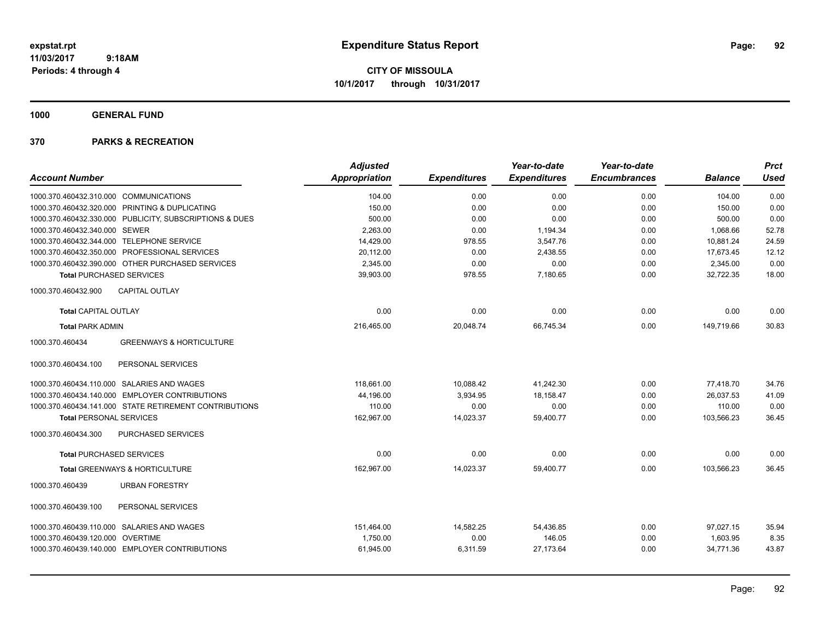**CITY OF MISSOULA 10/1/2017 through 10/31/2017**

**1000 GENERAL FUND**

|                                                         | <b>Adjusted</b>      |                     | Year-to-date        | Year-to-date        |                | <b>Prct</b> |
|---------------------------------------------------------|----------------------|---------------------|---------------------|---------------------|----------------|-------------|
| <b>Account Number</b>                                   | <b>Appropriation</b> | <b>Expenditures</b> | <b>Expenditures</b> | <b>Encumbrances</b> | <b>Balance</b> | <b>Used</b> |
| 1000.370.460432.310.000 COMMUNICATIONS                  | 104.00               | 0.00                | 0.00                | 0.00                | 104.00         | 0.00        |
| 1000.370.460432.320.000 PRINTING & DUPLICATING          | 150.00               | 0.00                | 0.00                | 0.00                | 150.00         | 0.00        |
| 1000.370.460432.330.000 PUBLICITY, SUBSCRIPTIONS & DUES | 500.00               | 0.00                | 0.00                | 0.00                | 500.00         | 0.00        |
| 1000.370.460432.340.000 SEWER                           | 2,263.00             | 0.00                | 1,194.34            | 0.00                | 1,068.66       | 52.78       |
| 1000.370.460432.344.000 TELEPHONE SERVICE               | 14,429.00            | 978.55              | 3,547.76            | 0.00                | 10,881.24      | 24.59       |
| 1000.370.460432.350.000 PROFESSIONAL SERVICES           | 20,112.00            | 0.00                | 2,438.55            | 0.00                | 17,673.45      | 12.12       |
| 1000.370.460432.390.000 OTHER PURCHASED SERVICES        | 2,345.00             | 0.00                | 0.00                | 0.00                | 2,345.00       | 0.00        |
| <b>Total PURCHASED SERVICES</b>                         | 39,903.00            | 978.55              | 7,180.65            | 0.00                | 32,722.35      | 18.00       |
| 1000.370.460432.900<br><b>CAPITAL OUTLAY</b>            |                      |                     |                     |                     |                |             |
| <b>Total CAPITAL OUTLAY</b>                             | 0.00                 | 0.00                | 0.00                | 0.00                | 0.00           | 0.00        |
| <b>Total PARK ADMIN</b>                                 | 216,465.00           | 20,048.74           | 66,745.34           | 0.00                | 149,719.66     | 30.83       |
| <b>GREENWAYS &amp; HORTICULTURE</b><br>1000.370.460434  |                      |                     |                     |                     |                |             |
| PERSONAL SERVICES<br>1000.370.460434.100                |                      |                     |                     |                     |                |             |
| 1000.370.460434.110.000 SALARIES AND WAGES              | 118,661.00           | 10,088.42           | 41,242.30           | 0.00                | 77,418.70      | 34.76       |
| 1000.370.460434.140.000 EMPLOYER CONTRIBUTIONS          | 44,196.00            | 3,934.95            | 18,158.47           | 0.00                | 26,037.53      | 41.09       |
| 1000.370.460434.141.000 STATE RETIREMENT CONTRIBUTIONS  | 110.00               | 0.00                | 0.00                | 0.00                | 110.00         | 0.00        |
| <b>Total PERSONAL SERVICES</b>                          | 162,967.00           | 14,023.37           | 59,400.77           | 0.00                | 103,566.23     | 36.45       |
| PURCHASED SERVICES<br>1000.370.460434.300               |                      |                     |                     |                     |                |             |
| <b>Total PURCHASED SERVICES</b>                         | 0.00                 | 0.00                | 0.00                | 0.00                | 0.00           | 0.00        |
| <b>Total GREENWAYS &amp; HORTICULTURE</b>               | 162.967.00           | 14,023.37           | 59,400.77           | 0.00                | 103.566.23     | 36.45       |
| 1000.370.460439<br><b>URBAN FORESTRY</b>                |                      |                     |                     |                     |                |             |
| 1000.370.460439.100<br>PERSONAL SERVICES                |                      |                     |                     |                     |                |             |
| 1000.370.460439.110.000 SALARIES AND WAGES              | 151,464.00           | 14,582.25           | 54,436.85           | 0.00                | 97.027.15      | 35.94       |
| 1000.370.460439.120.000 OVERTIME                        | 1,750.00             | 0.00                | 146.05              | 0.00                | 1,603.95       | 8.35        |
| 1000.370.460439.140.000 EMPLOYER CONTRIBUTIONS          | 61,945.00            | 6,311.59            | 27,173.64           | 0.00                | 34,771.36      | 43.87       |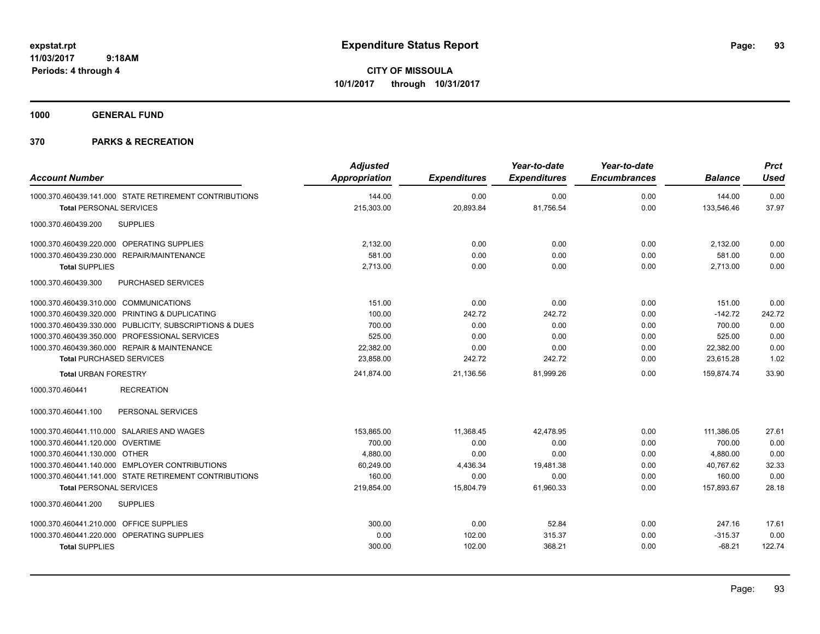**CITY OF MISSOULA 10/1/2017 through 10/31/2017**

**1000 GENERAL FUND**

| <b>Account Number</b>                                   | <b>Adjusted</b><br><b>Appropriation</b> | <b>Expenditures</b> | Year-to-date<br><b>Expenditures</b> | Year-to-date<br><b>Encumbrances</b> | <b>Balance</b> | <b>Prct</b><br><b>Used</b> |
|---------------------------------------------------------|-----------------------------------------|---------------------|-------------------------------------|-------------------------------------|----------------|----------------------------|
| 1000.370.460439.141.000 STATE RETIREMENT CONTRIBUTIONS  | 144.00                                  | 0.00                | 0.00                                | 0.00                                | 144.00         | 0.00                       |
| <b>Total PERSONAL SERVICES</b>                          | 215,303.00                              | 20,893.84           | 81,756.54                           | 0.00                                | 133,546.46     | 37.97                      |
| <b>SUPPLIES</b><br>1000.370.460439.200                  |                                         |                     |                                     |                                     |                |                            |
| 1000.370.460439.220.000 OPERATING SUPPLIES              | 2,132.00                                | 0.00                | 0.00                                | 0.00                                | 2,132.00       | 0.00                       |
| 1000.370.460439.230.000 REPAIR/MAINTENANCE              | 581.00                                  | 0.00                | 0.00                                | 0.00                                | 581.00         | 0.00                       |
| <b>Total SUPPLIES</b>                                   | 2,713.00                                | 0.00                | 0.00                                | 0.00                                | 2,713.00       | 0.00                       |
| 1000.370.460439.300<br>PURCHASED SERVICES               |                                         |                     |                                     |                                     |                |                            |
| 1000.370.460439.310.000 COMMUNICATIONS                  | 151.00                                  | 0.00                | 0.00                                | 0.00                                | 151.00         | 0.00                       |
| 1000.370.460439.320.000 PRINTING & DUPLICATING          | 100.00                                  | 242.72              | 242.72                              | 0.00                                | $-142.72$      | 242.72                     |
| 1000.370.460439.330.000 PUBLICITY, SUBSCRIPTIONS & DUES | 700.00                                  | 0.00                | 0.00                                | 0.00                                | 700.00         | 0.00                       |
| 1000.370.460439.350.000 PROFESSIONAL SERVICES           | 525.00                                  | 0.00                | 0.00                                | 0.00                                | 525.00         | 0.00                       |
| 1000.370.460439.360.000 REPAIR & MAINTENANCE            | 22,382.00                               | 0.00                | 0.00                                | 0.00                                | 22,382.00      | 0.00                       |
| <b>Total PURCHASED SERVICES</b>                         | 23,858.00                               | 242.72              | 242.72                              | 0.00                                | 23,615.28      | 1.02                       |
| <b>Total URBAN FORESTRY</b>                             | 241,874.00                              | 21,136.56           | 81,999.26                           | 0.00                                | 159,874.74     | 33.90                      |
| 1000.370.460441<br><b>RECREATION</b>                    |                                         |                     |                                     |                                     |                |                            |
| PERSONAL SERVICES<br>1000.370.460441.100                |                                         |                     |                                     |                                     |                |                            |
| 1000.370.460441.110.000 SALARIES AND WAGES              | 153,865.00                              | 11,368.45           | 42,478.95                           | 0.00                                | 111,386.05     | 27.61                      |
| 1000.370.460441.120.000 OVERTIME                        | 700.00                                  | 0.00                | 0.00                                | 0.00                                | 700.00         | 0.00                       |
| 1000.370.460441.130.000 OTHER                           | 4.880.00                                | 0.00                | 0.00                                | 0.00                                | 4.880.00       | 0.00                       |
| 1000.370.460441.140.000 EMPLOYER CONTRIBUTIONS          | 60.249.00                               | 4,436.34            | 19,481.38                           | 0.00                                | 40.767.62      | 32.33                      |
| 1000.370.460441.141.000 STATE RETIREMENT CONTRIBUTIONS  | 160.00                                  | 0.00                | 0.00                                | 0.00                                | 160.00         | 0.00                       |
| <b>Total PERSONAL SERVICES</b>                          | 219,854.00                              | 15,804.79           | 61,960.33                           | 0.00                                | 157,893.67     | 28.18                      |
| 1000.370.460441.200<br><b>SUPPLIES</b>                  |                                         |                     |                                     |                                     |                |                            |
| 1000.370.460441.210.000 OFFICE SUPPLIES                 | 300.00                                  | 0.00                | 52.84                               | 0.00                                | 247.16         | 17.61                      |
| 1000.370.460441.220.000 OPERATING SUPPLIES              | 0.00                                    | 102.00              | 315.37                              | 0.00                                | $-315.37$      | 0.00                       |
| <b>Total SUPPLIES</b>                                   | 300.00                                  | 102.00              | 368.21                              | 0.00                                | $-68.21$       | 122.74                     |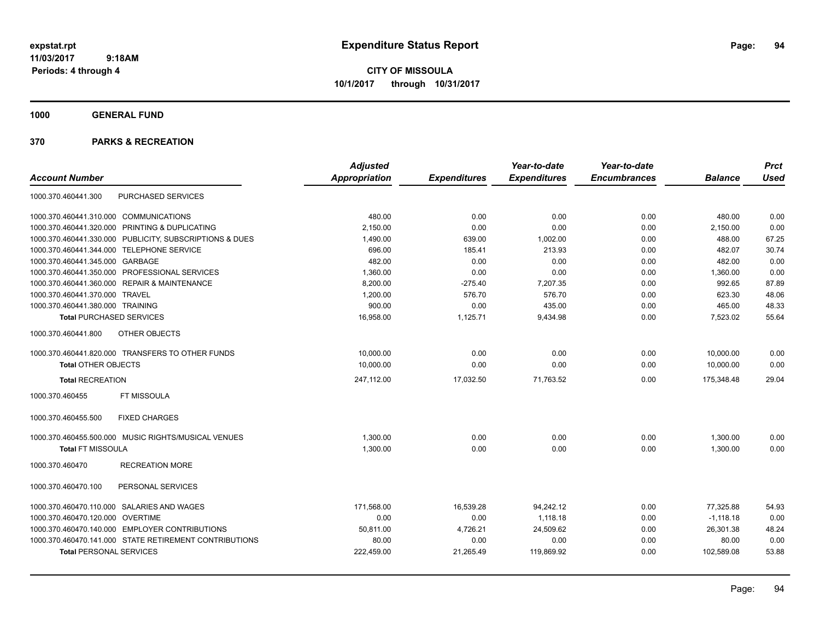**CITY OF MISSOULA 10/1/2017 through 10/31/2017**

**1000 GENERAL FUND**

| <b>Account Number</b>                                   | <b>Adjusted</b><br><b>Appropriation</b> | <b>Expenditures</b> | Year-to-date<br><b>Expenditures</b> | Year-to-date<br><b>Encumbrances</b> | <b>Balance</b> | <b>Prct</b><br><b>Used</b> |
|---------------------------------------------------------|-----------------------------------------|---------------------|-------------------------------------|-------------------------------------|----------------|----------------------------|
| <b>PURCHASED SERVICES</b><br>1000.370.460441.300        |                                         |                     |                                     |                                     |                |                            |
| 1000.370.460441.310.000 COMMUNICATIONS                  | 480.00                                  | 0.00                | 0.00                                | 0.00                                | 480.00         | 0.00                       |
| 1000.370.460441.320.000 PRINTING & DUPLICATING          | 2,150.00                                | 0.00                | 0.00                                | 0.00                                | 2,150.00       | 0.00                       |
| 1000.370.460441.330.000 PUBLICITY, SUBSCRIPTIONS & DUES | 1,490.00                                | 639.00              | 1,002.00                            | 0.00                                | 488.00         | 67.25                      |
| 1000.370.460441.344.000 TELEPHONE SERVICE               | 696.00                                  | 185.41              | 213.93                              | 0.00                                | 482.07         | 30.74                      |
| 1000.370.460441.345.000 GARBAGE                         | 482.00                                  | 0.00                | 0.00                                | 0.00                                | 482.00         | 0.00                       |
| 1000.370.460441.350.000 PROFESSIONAL SERVICES           | 1,360.00                                | 0.00                | 0.00                                | 0.00                                | 1,360.00       | 0.00                       |
| 1000.370.460441.360.000 REPAIR & MAINTENANCE            | 8,200.00                                | $-275.40$           | 7,207.35                            | 0.00                                | 992.65         | 87.89                      |
| 1000.370.460441.370.000 TRAVEL                          | 1,200.00                                | 576.70              | 576.70                              | 0.00                                | 623.30         | 48.06                      |
| 1000.370.460441.380.000 TRAINING                        | 900.00                                  | 0.00                | 435.00                              | 0.00                                | 465.00         | 48.33                      |
| <b>Total PURCHASED SERVICES</b>                         | 16,958.00                               | 1,125.71            | 9,434.98                            | 0.00                                | 7,523.02       | 55.64                      |
| 1000.370.460441.800<br>OTHER OBJECTS                    |                                         |                     |                                     |                                     |                |                            |
| 1000.370.460441.820.000 TRANSFERS TO OTHER FUNDS        | 10,000.00                               | 0.00                | 0.00                                | 0.00                                | 10,000.00      | 0.00                       |
| <b>Total OTHER OBJECTS</b>                              | 10,000.00                               | 0.00                | 0.00                                | 0.00                                | 10,000.00      | 0.00                       |
| <b>Total RECREATION</b>                                 | 247,112.00                              | 17,032.50           | 71,763.52                           | 0.00                                | 175,348.48     | 29.04                      |
| FT MISSOULA<br>1000.370.460455                          |                                         |                     |                                     |                                     |                |                            |
| <b>FIXED CHARGES</b><br>1000.370.460455.500             |                                         |                     |                                     |                                     |                |                            |
| 1000.370.460455.500.000 MUSIC RIGHTS/MUSICAL VENUES     | 1,300.00                                | 0.00                | 0.00                                | 0.00                                | 1,300.00       | 0.00                       |
| <b>Total FT MISSOULA</b>                                | 1,300.00                                | 0.00                | 0.00                                | 0.00                                | 1,300.00       | 0.00                       |
| 1000.370.460470<br><b>RECREATION MORE</b>               |                                         |                     |                                     |                                     |                |                            |
| 1000.370.460470.100<br>PERSONAL SERVICES                |                                         |                     |                                     |                                     |                |                            |
| 1000.370.460470.110.000 SALARIES AND WAGES              | 171.568.00                              | 16,539.28           | 94.242.12                           | 0.00                                | 77.325.88      | 54.93                      |
| 1000.370.460470.120.000 OVERTIME                        | 0.00                                    | 0.00                | 1,118.18                            | 0.00                                | $-1,118.18$    | 0.00                       |
| 1000.370.460470.140.000 EMPLOYER CONTRIBUTIONS          | 50,811.00                               | 4,726.21            | 24,509.62                           | 0.00                                | 26,301.38      | 48.24                      |
| 1000.370.460470.141.000 STATE RETIREMENT CONTRIBUTIONS  | 80.00                                   | 0.00                | 0.00                                | 0.00                                | 80.00          | 0.00                       |
| <b>Total PERSONAL SERVICES</b>                          | 222,459.00                              | 21,265.49           | 119,869.92                          | 0.00                                | 102,589.08     | 53.88                      |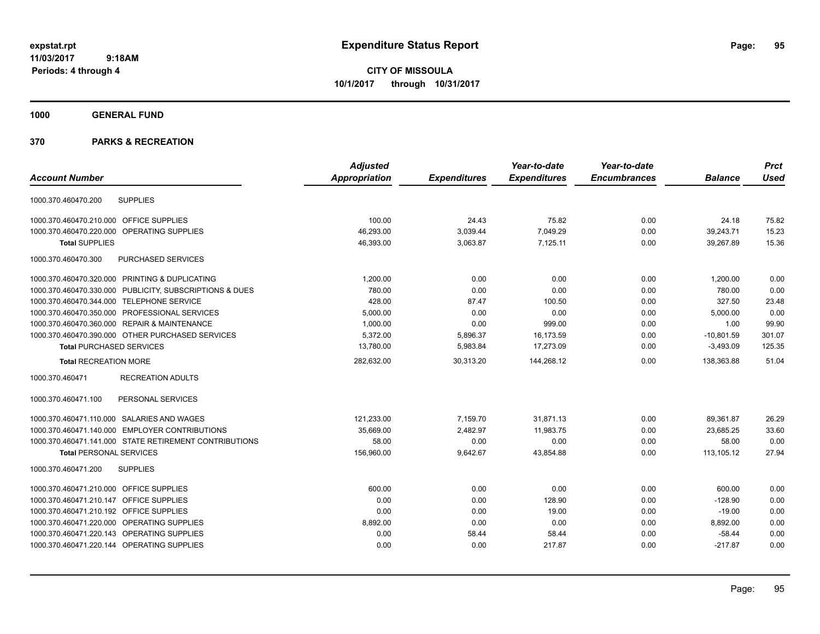**CITY OF MISSOULA 10/1/2017 through 10/31/2017**

**1000 GENERAL FUND**

| <b>Account Number</b>                                   | <b>Adjusted</b><br><b>Appropriation</b> | <b>Expenditures</b> | Year-to-date<br><b>Expenditures</b> | Year-to-date<br><b>Encumbrances</b> | <b>Balance</b> | <b>Prct</b><br><b>Used</b> |
|---------------------------------------------------------|-----------------------------------------|---------------------|-------------------------------------|-------------------------------------|----------------|----------------------------|
|                                                         |                                         |                     |                                     |                                     |                |                            |
| <b>SUPPLIES</b><br>1000.370.460470.200                  |                                         |                     |                                     |                                     |                |                            |
| 1000.370.460470.210.000 OFFICE SUPPLIES                 | 100.00                                  | 24.43               | 75.82                               | 0.00                                | 24.18          | 75.82                      |
| 1000.370.460470.220.000<br>OPERATING SUPPLIES           | 46,293.00                               | 3,039.44            | 7,049.29                            | 0.00                                | 39,243.71      | 15.23                      |
| <b>Total SUPPLIES</b>                                   | 46,393.00                               | 3,063.87            | 7.125.11                            | 0.00                                | 39.267.89      | 15.36                      |
| 1000.370.460470.300<br>PURCHASED SERVICES               |                                         |                     |                                     |                                     |                |                            |
| 1000.370.460470.320.000 PRINTING & DUPLICATING          | 1,200.00                                | 0.00                | 0.00                                | 0.00                                | 1,200.00       | 0.00                       |
| 1000.370.460470.330.000 PUBLICITY, SUBSCRIPTIONS & DUES | 780.00                                  | 0.00                | 0.00                                | 0.00                                | 780.00         | 0.00                       |
| 1000.370.460470.344.000 TELEPHONE SERVICE               | 428.00                                  | 87.47               | 100.50                              | 0.00                                | 327.50         | 23.48                      |
| 1000.370.460470.350.000 PROFESSIONAL SERVICES           | 5,000.00                                | 0.00                | 0.00                                | 0.00                                | 5,000.00       | 0.00                       |
| 1000.370.460470.360.000 REPAIR & MAINTENANCE            | 1,000.00                                | 0.00                | 999.00                              | 0.00                                | 1.00           | 99.90                      |
| 1000.370.460470.390.000 OTHER PURCHASED SERVICES        | 5,372.00                                | 5,896.37            | 16,173.59                           | 0.00                                | $-10,801.59$   | 301.07                     |
| <b>Total PURCHASED SERVICES</b>                         | 13,780.00                               | 5,983.84            | 17,273.09                           | 0.00                                | $-3,493.09$    | 125.35                     |
| <b>Total RECREATION MORE</b>                            | 282,632.00                              | 30,313.20           | 144,268.12                          | 0.00                                | 138,363.88     | 51.04                      |
| 1000.370.460471<br><b>RECREATION ADULTS</b>             |                                         |                     |                                     |                                     |                |                            |
| PERSONAL SERVICES<br>1000.370.460471.100                |                                         |                     |                                     |                                     |                |                            |
| 1000.370.460471.110.000 SALARIES AND WAGES              | 121,233.00                              | 7,159.70            | 31.871.13                           | 0.00                                | 89,361.87      | 26.29                      |
| 1000.370.460471.140.000 EMPLOYER CONTRIBUTIONS          | 35,669.00                               | 2,482.97            | 11.983.75                           | 0.00                                | 23.685.25      | 33.60                      |
| 1000.370.460471.141.000 STATE RETIREMENT CONTRIBUTIONS  | 58.00                                   | 0.00                | 0.00                                | 0.00                                | 58.00          | 0.00                       |
| <b>Total PERSONAL SERVICES</b>                          | 156,960.00                              | 9,642.67            | 43,854.88                           | 0.00                                | 113,105.12     | 27.94                      |
| 1000.370.460471.200<br><b>SUPPLIES</b>                  |                                         |                     |                                     |                                     |                |                            |
| 1000.370.460471.210.000 OFFICE SUPPLIES                 | 600.00                                  | 0.00                | 0.00                                | 0.00                                | 600.00         | 0.00                       |
| 1000.370.460471.210.147 OFFICE SUPPLIES                 | 0.00                                    | 0.00                | 128.90                              | 0.00                                | $-128.90$      | 0.00                       |
| 1000.370.460471.210.192 OFFICE SUPPLIES                 | 0.00                                    | 0.00                | 19.00                               | 0.00                                | $-19.00$       | 0.00                       |
| 1000.370.460471.220.000 OPERATING SUPPLIES              | 8,892.00                                | 0.00                | 0.00                                | 0.00                                | 8,892.00       | 0.00                       |
| 1000.370.460471.220.143 OPERATING SUPPLIES              | 0.00                                    | 58.44               | 58.44                               | 0.00                                | $-58.44$       | 0.00                       |
| 1000.370.460471.220.144 OPERATING SUPPLIES              | 0.00                                    | 0.00                | 217.87                              | 0.00                                | $-217.87$      | 0.00                       |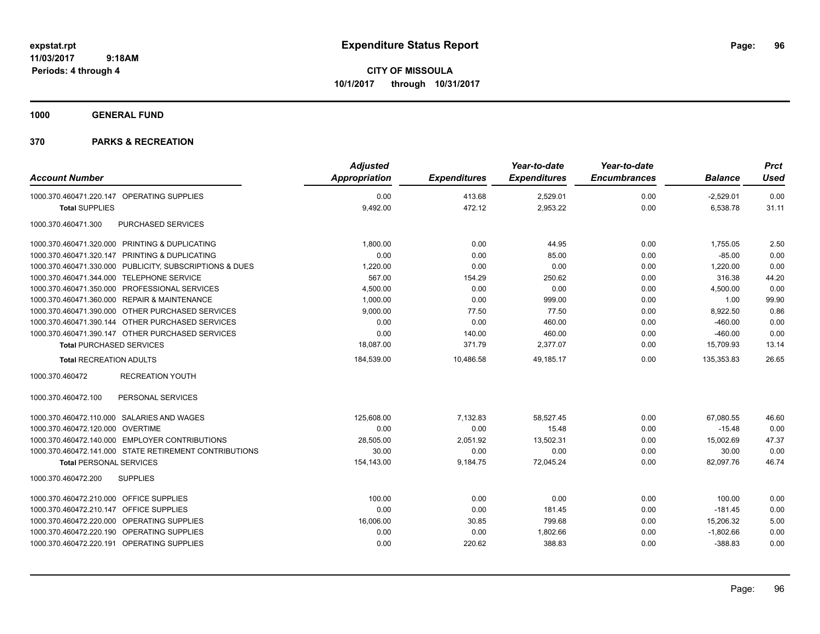**CITY OF MISSOULA 10/1/2017 through 10/31/2017**

**1000 GENERAL FUND**

| <b>Account Number</b>                                   | <b>Adjusted</b><br>Appropriation | <b>Expenditures</b> | Year-to-date<br><b>Expenditures</b> | Year-to-date<br><b>Encumbrances</b> | <b>Balance</b> | <b>Prct</b><br><b>Used</b> |
|---------------------------------------------------------|----------------------------------|---------------------|-------------------------------------|-------------------------------------|----------------|----------------------------|
| 1000.370.460471.220.147 OPERATING SUPPLIES              | 0.00                             | 413.68              | 2,529.01                            | 0.00                                | $-2,529.01$    | 0.00                       |
| <b>Total SUPPLIES</b>                                   | 9,492.00                         | 472.12              | 2,953.22                            | 0.00                                | 6,538.78       | 31.11                      |
| PURCHASED SERVICES<br>1000.370.460471.300               |                                  |                     |                                     |                                     |                |                            |
| 1000.370.460471.320.000 PRINTING & DUPLICATING          | 1,800.00                         | 0.00                | 44.95                               | 0.00                                | 1,755.05       | 2.50                       |
| 1000.370.460471.320.147 PRINTING & DUPLICATING          | 0.00                             | 0.00                | 85.00                               | 0.00                                | $-85.00$       | 0.00                       |
| 1000.370.460471.330.000 PUBLICITY, SUBSCRIPTIONS & DUES | 1,220.00                         | 0.00                | 0.00                                | 0.00                                | 1.220.00       | 0.00                       |
| 1000.370.460471.344.000 TELEPHONE SERVICE               | 567.00                           | 154.29              | 250.62                              | 0.00                                | 316.38         | 44.20                      |
| 1000.370.460471.350.000 PROFESSIONAL SERVICES           | 4,500.00                         | 0.00                | 0.00                                | 0.00                                | 4,500.00       | 0.00                       |
| 1000.370.460471.360.000 REPAIR & MAINTENANCE            | 1,000.00                         | 0.00                | 999.00                              | 0.00                                | 1.00           | 99.90                      |
| 1000.370.460471.390.000 OTHER PURCHASED SERVICES        | 9,000.00                         | 77.50               | 77.50                               | 0.00                                | 8,922.50       | 0.86                       |
| 1000.370.460471.390.144 OTHER PURCHASED SERVICES        | 0.00                             | 0.00                | 460.00                              | 0.00                                | $-460.00$      | 0.00                       |
| 1000.370.460471.390.147 OTHER PURCHASED SERVICES        | 0.00                             | 140.00              | 460.00                              | 0.00                                | $-460.00$      | 0.00                       |
| <b>Total PURCHASED SERVICES</b>                         | 18,087.00                        | 371.79              | 2,377.07                            | 0.00                                | 15,709.93      | 13.14                      |
| <b>Total RECREATION ADULTS</b>                          | 184,539.00                       | 10,486.58           | 49,185.17                           | 0.00                                | 135,353.83     | 26.65                      |
| 1000.370.460472<br><b>RECREATION YOUTH</b>              |                                  |                     |                                     |                                     |                |                            |
| PERSONAL SERVICES<br>1000.370.460472.100                |                                  |                     |                                     |                                     |                |                            |
| 1000.370.460472.110.000 SALARIES AND WAGES              | 125,608.00                       | 7,132.83            | 58,527.45                           | 0.00                                | 67,080.55      | 46.60                      |
| 1000.370.460472.120.000 OVERTIME                        | 0.00                             | 0.00                | 15.48                               | 0.00                                | $-15.48$       | 0.00                       |
| 1000.370.460472.140.000 EMPLOYER CONTRIBUTIONS          | 28,505.00                        | 2,051.92            | 13,502.31                           | 0.00                                | 15,002.69      | 47.37                      |
| 1000.370.460472.141.000 STATE RETIREMENT CONTRIBUTIONS  | 30.00                            | 0.00                | 0.00                                | 0.00                                | 30.00          | 0.00                       |
| <b>Total PERSONAL SERVICES</b>                          | 154,143.00                       | 9,184.75            | 72,045.24                           | 0.00                                | 82,097.76      | 46.74                      |
| 1000.370.460472.200<br><b>SUPPLIES</b>                  |                                  |                     |                                     |                                     |                |                            |
| 1000.370.460472.210.000 OFFICE SUPPLIES                 | 100.00                           | 0.00                | 0.00                                | 0.00                                | 100.00         | 0.00                       |
| 1000.370.460472.210.147 OFFICE SUPPLIES                 | 0.00                             | 0.00                | 181.45                              | 0.00                                | $-181.45$      | 0.00                       |
| 1000.370.460472.220.000 OPERATING SUPPLIES              | 16,006.00                        | 30.85               | 799.68                              | 0.00                                | 15,206.32      | 5.00                       |
| 1000.370.460472.220.190 OPERATING SUPPLIES              | 0.00                             | 0.00                | 1,802.66                            | 0.00                                | $-1,802.66$    | 0.00                       |
| 1000.370.460472.220.191 OPERATING SUPPLIES              | 0.00                             | 220.62              | 388.83                              | 0.00                                | $-388.83$      | 0.00                       |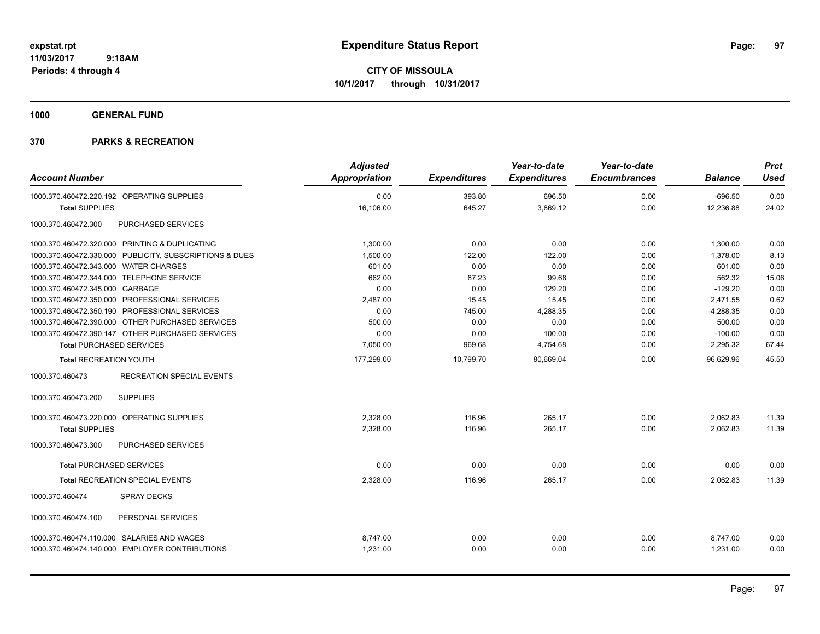**CITY OF MISSOULA 10/1/2017 through 10/31/2017**

**1000 GENERAL FUND**

| <b>Account Number</b>                                                                        |                                                         | <b>Adjusted</b><br><b>Appropriation</b> | <b>Expenditures</b> | Year-to-date<br><b>Expenditures</b> | Year-to-date<br><b>Encumbrances</b> | <b>Balance</b>       | <b>Prct</b><br><b>Used</b> |
|----------------------------------------------------------------------------------------------|---------------------------------------------------------|-----------------------------------------|---------------------|-------------------------------------|-------------------------------------|----------------------|----------------------------|
| 1000.370.460472.220.192 OPERATING SUPPLIES                                                   |                                                         | 0.00                                    | 393.80              | 696.50                              | 0.00                                | $-696.50$            | 0.00                       |
| <b>Total SUPPLIES</b>                                                                        |                                                         | 16,106.00                               | 645.27              | 3,869.12                            | 0.00                                | 12,236.88            | 24.02                      |
| 1000.370.460472.300                                                                          | PURCHASED SERVICES                                      |                                         |                     |                                     |                                     |                      |                            |
| 1000.370.460472.320.000 PRINTING & DUPLICATING                                               |                                                         | 1,300.00                                | 0.00                | 0.00                                | 0.00                                | 1,300.00             | 0.00                       |
|                                                                                              | 1000.370.460472.330.000 PUBLICITY, SUBSCRIPTIONS & DUES | 1,500.00                                | 122.00              | 122.00                              | 0.00                                | 1,378.00             | 8.13                       |
| 1000.370.460472.343.000 WATER CHARGES                                                        |                                                         | 601.00                                  | 0.00                | 0.00                                | 0.00                                | 601.00               | 0.00                       |
| 1000.370.460472.344.000 TELEPHONE SERVICE                                                    |                                                         | 662.00                                  | 87.23               | 99.68                               | 0.00                                | 562.32               | 15.06                      |
| 1000.370.460472.345.000 GARBAGE                                                              |                                                         | 0.00                                    | 0.00                | 129.20                              | 0.00                                | $-129.20$            | 0.00                       |
| 1000.370.460472.350.000 PROFESSIONAL SERVICES                                                |                                                         | 2,487.00                                | 15.45               | 15.45                               | 0.00                                | 2,471.55             | 0.62                       |
| 1000.370.460472.350.190 PROFESSIONAL SERVICES                                                |                                                         | 0.00                                    | 745.00              | 4,288.35                            | 0.00                                | $-4,288.35$          | 0.00                       |
| 1000.370.460472.390.000 OTHER PURCHASED SERVICES                                             |                                                         | 500.00                                  | 0.00                | 0.00                                | 0.00                                | 500.00               | 0.00                       |
| 1000.370.460472.390.147 OTHER PURCHASED SERVICES                                             |                                                         | 0.00                                    | 0.00                | 100.00                              | 0.00                                | $-100.00$            | 0.00                       |
| <b>Total PURCHASED SERVICES</b>                                                              |                                                         | 7,050.00                                | 969.68              | 4,754.68                            | 0.00                                | 2,295.32             | 67.44                      |
| <b>Total RECREATION YOUTH</b>                                                                |                                                         | 177,299.00                              | 10,799.70           | 80,669.04                           | 0.00                                | 96,629.96            | 45.50                      |
| 1000.370.460473                                                                              | <b>RECREATION SPECIAL EVENTS</b>                        |                                         |                     |                                     |                                     |                      |                            |
| 1000.370.460473.200                                                                          | <b>SUPPLIES</b>                                         |                                         |                     |                                     |                                     |                      |                            |
| 1000.370.460473.220.000                                                                      | OPERATING SUPPLIES                                      | 2,328.00                                | 116.96              | 265.17                              | 0.00                                | 2,062.83             | 11.39                      |
| <b>Total SUPPLIES</b>                                                                        |                                                         | 2,328.00                                | 116.96              | 265.17                              | 0.00                                | 2,062.83             | 11.39                      |
| 1000.370.460473.300                                                                          | PURCHASED SERVICES                                      |                                         |                     |                                     |                                     |                      |                            |
| <b>Total PURCHASED SERVICES</b>                                                              |                                                         | 0.00                                    | 0.00                | 0.00                                | 0.00                                | 0.00                 | 0.00                       |
| Total RECREATION SPECIAL EVENTS                                                              |                                                         | 2,328.00                                | 116.96              | 265.17                              | 0.00                                | 2.062.83             | 11.39                      |
| 1000.370.460474                                                                              | <b>SPRAY DECKS</b>                                      |                                         |                     |                                     |                                     |                      |                            |
| 1000.370.460474.100                                                                          | PERSONAL SERVICES                                       |                                         |                     |                                     |                                     |                      |                            |
| 1000.370.460474.110.000 SALARIES AND WAGES<br>1000.370.460474.140.000 EMPLOYER CONTRIBUTIONS |                                                         | 8.747.00<br>1,231.00                    | 0.00<br>0.00        | 0.00<br>0.00                        | 0.00<br>0.00                        | 8,747.00<br>1,231.00 | 0.00<br>0.00               |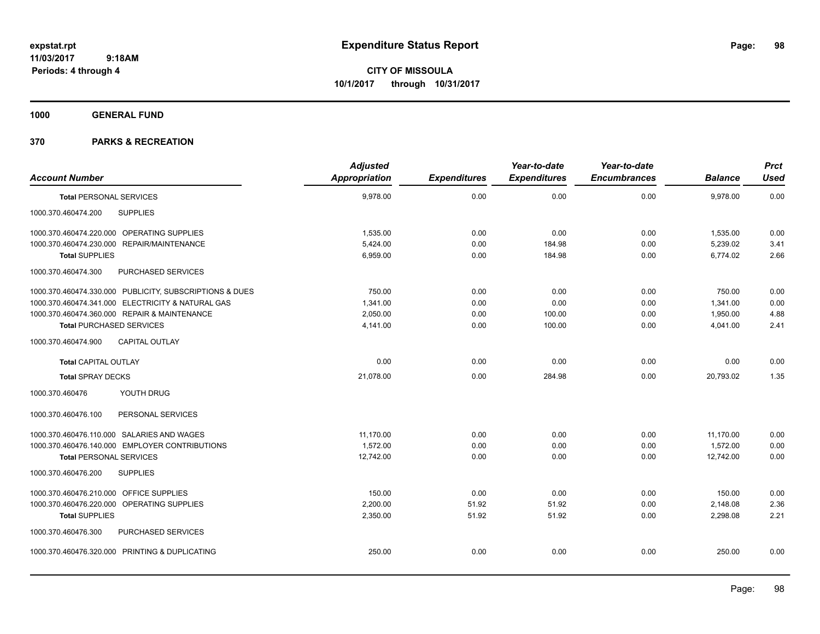**CITY OF MISSOULA 10/1/2017 through 10/31/2017**

**1000 GENERAL FUND**

|                                                         | <b>Adjusted</b>      |                     | Year-to-date        | Year-to-date        |                | <b>Prct</b> |
|---------------------------------------------------------|----------------------|---------------------|---------------------|---------------------|----------------|-------------|
| <b>Account Number</b>                                   | <b>Appropriation</b> | <b>Expenditures</b> | <b>Expenditures</b> | <b>Encumbrances</b> | <b>Balance</b> | <b>Used</b> |
| <b>Total PERSONAL SERVICES</b>                          | 9,978.00             | 0.00                | 0.00                | 0.00                | 9,978.00       | 0.00        |
| <b>SUPPLIES</b><br>1000.370.460474.200                  |                      |                     |                     |                     |                |             |
| 1000.370.460474.220.000 OPERATING SUPPLIES              | 1,535.00             | 0.00                | 0.00                | 0.00                | 1,535.00       | 0.00        |
| 1000.370.460474.230.000 REPAIR/MAINTENANCE              | 5.424.00             | 0.00                | 184.98              | 0.00                | 5,239.02       | 3.41        |
| <b>Total SUPPLIES</b>                                   | 6,959.00             | 0.00                | 184.98              | 0.00                | 6,774.02       | 2.66        |
| PURCHASED SERVICES<br>1000.370.460474.300               |                      |                     |                     |                     |                |             |
| 1000.370.460474.330.000 PUBLICITY, SUBSCRIPTIONS & DUES | 750.00               | 0.00                | 0.00                | 0.00                | 750.00         | 0.00        |
| 1000.370.460474.341.000 ELECTRICITY & NATURAL GAS       | 1,341.00             | 0.00                | 0.00                | 0.00                | 1,341.00       | 0.00        |
| 1000.370.460474.360.000 REPAIR & MAINTENANCE            | 2,050.00             | 0.00                | 100.00              | 0.00                | 1,950.00       | 4.88        |
| <b>Total PURCHASED SERVICES</b>                         | 4,141.00             | 0.00                | 100.00              | 0.00                | 4,041.00       | 2.41        |
| 1000.370.460474.900<br><b>CAPITAL OUTLAY</b>            |                      |                     |                     |                     |                |             |
| <b>Total CAPITAL OUTLAY</b>                             | 0.00                 | 0.00                | 0.00                | 0.00                | 0.00           | 0.00        |
| <b>Total SPRAY DECKS</b>                                | 21,078.00            | 0.00                | 284.98              | 0.00                | 20,793.02      | 1.35        |
| YOUTH DRUG<br>1000.370.460476                           |                      |                     |                     |                     |                |             |
| PERSONAL SERVICES<br>1000.370.460476.100                |                      |                     |                     |                     |                |             |
| 1000.370.460476.110.000 SALARIES AND WAGES              | 11.170.00            | 0.00                | 0.00                | 0.00                | 11,170.00      | 0.00        |
| 1000.370.460476.140.000 EMPLOYER CONTRIBUTIONS          | 1,572.00             | 0.00                | 0.00                | 0.00                | 1,572.00       | 0.00        |
| <b>Total PERSONAL SERVICES</b>                          | 12,742.00            | 0.00                | 0.00                | 0.00                | 12,742.00      | 0.00        |
| 1000.370.460476.200<br><b>SUPPLIES</b>                  |                      |                     |                     |                     |                |             |
| 1000.370.460476.210.000 OFFICE SUPPLIES                 | 150.00               | 0.00                | 0.00                | 0.00                | 150.00         | 0.00        |
| 1000.370.460476.220.000 OPERATING SUPPLIES              | 2,200.00             | 51.92               | 51.92               | 0.00                | 2,148.08       | 2.36        |
| <b>Total SUPPLIES</b>                                   | 2,350.00             | 51.92               | 51.92               | 0.00                | 2,298.08       | 2.21        |
| 1000.370.460476.300<br>PURCHASED SERVICES               |                      |                     |                     |                     |                |             |
| 1000.370.460476.320.000 PRINTING & DUPLICATING          | 250.00               | 0.00                | 0.00                | 0.00                | 250.00         | 0.00        |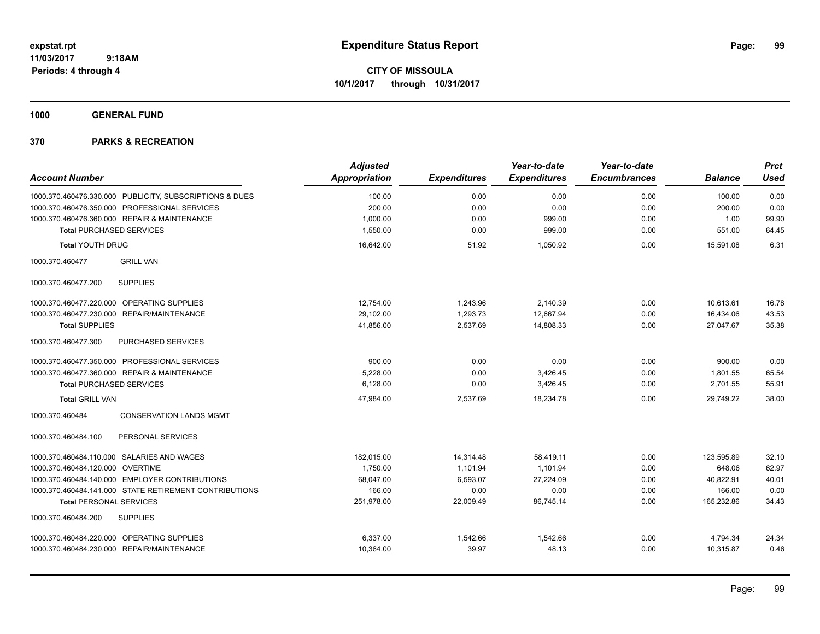**CITY OF MISSOULA 10/1/2017 through 10/31/2017**

**1000 GENERAL FUND**

| <b>Account Number</b>                                   | <b>Adjusted</b><br><b>Appropriation</b> | <b>Expenditures</b> | Year-to-date<br><b>Expenditures</b> | Year-to-date<br><b>Encumbrances</b> | <b>Balance</b> | <b>Prct</b><br><b>Used</b> |
|---------------------------------------------------------|-----------------------------------------|---------------------|-------------------------------------|-------------------------------------|----------------|----------------------------|
| 1000.370.460476.330.000 PUBLICITY, SUBSCRIPTIONS & DUES | 100.00                                  | 0.00                | 0.00                                | 0.00                                | 100.00         | 0.00                       |
| 1000.370.460476.350.000 PROFESSIONAL SERVICES           | 200.00                                  | 0.00                | 0.00                                | 0.00                                | 200.00         | 0.00                       |
| 1000.370.460476.360.000 REPAIR & MAINTENANCE            | 1,000.00                                | 0.00                | 999.00                              | 0.00                                | 1.00           | 99.90                      |
| <b>Total PURCHASED SERVICES</b>                         | 1,550.00                                | 0.00                | 999.00                              | 0.00                                | 551.00         | 64.45                      |
| <b>Total YOUTH DRUG</b>                                 | 16,642.00                               | 51.92               | 1,050.92                            | 0.00                                | 15.591.08      | 6.31                       |
| <b>GRILL VAN</b><br>1000.370.460477                     |                                         |                     |                                     |                                     |                |                            |
| <b>SUPPLIES</b><br>1000.370.460477.200                  |                                         |                     |                                     |                                     |                |                            |
| OPERATING SUPPLIES<br>1000.370.460477.220.000           | 12,754.00                               | 1,243.96            | 2,140.39                            | 0.00                                | 10,613.61      | 16.78                      |
| REPAIR/MAINTENANCE<br>1000.370.460477.230.000           | 29.102.00                               | 1.293.73            | 12.667.94                           | 0.00                                | 16,434.06      | 43.53                      |
| <b>Total SUPPLIES</b>                                   | 41,856.00                               | 2,537.69            | 14,808.33                           | 0.00                                | 27,047.67      | 35.38                      |
| 1000.370.460477.300<br>PURCHASED SERVICES               |                                         |                     |                                     |                                     |                |                            |
| 1000.370.460477.350.000 PROFESSIONAL SERVICES           | 900.00                                  | 0.00                | 0.00                                | 0.00                                | 900.00         | 0.00                       |
| 1000.370.460477.360.000 REPAIR & MAINTENANCE            | 5.228.00                                | 0.00                | 3,426.45                            | 0.00                                | 1.801.55       | 65.54                      |
| <b>Total PURCHASED SERVICES</b>                         | 6,128.00                                | 0.00                | 3,426.45                            | 0.00                                | 2,701.55       | 55.91                      |
| <b>Total GRILL VAN</b>                                  | 47,984.00                               | 2,537.69            | 18,234.78                           | 0.00                                | 29.749.22      | 38.00                      |
| 1000.370.460484<br><b>CONSERVATION LANDS MGMT</b>       |                                         |                     |                                     |                                     |                |                            |
| PERSONAL SERVICES<br>1000.370.460484.100                |                                         |                     |                                     |                                     |                |                            |
| 1000.370.460484.110.000 SALARIES AND WAGES              | 182.015.00                              | 14,314.48           | 58.419.11                           | 0.00                                | 123.595.89     | 32.10                      |
| 1000.370.460484.120.000 OVERTIME                        | 1,750.00                                | 1,101.94            | 1,101.94                            | 0.00                                | 648.06         | 62.97                      |
| 1000.370.460484.140.000 EMPLOYER CONTRIBUTIONS          | 68,047.00                               | 6,593.07            | 27.224.09                           | 0.00                                | 40,822.91      | 40.01                      |
| 1000.370.460484.141.000 STATE RETIREMENT CONTRIBUTIONS  | 166.00                                  | 0.00                | 0.00                                | 0.00                                | 166.00         | 0.00                       |
| <b>Total PERSONAL SERVICES</b>                          | 251,978.00                              | 22,009.49           | 86,745.14                           | 0.00                                | 165,232.86     | 34.43                      |
| <b>SUPPLIES</b><br>1000.370.460484.200                  |                                         |                     |                                     |                                     |                |                            |
| 1000.370.460484.220.000 OPERATING SUPPLIES              | 6,337.00                                | 1,542.66            | 1,542.66                            | 0.00                                | 4,794.34       | 24.34                      |
| 1000.370.460484.230.000 REPAIR/MAINTENANCE              | 10,364.00                               | 39.97               | 48.13                               | 0.00                                | 10,315.87      | 0.46                       |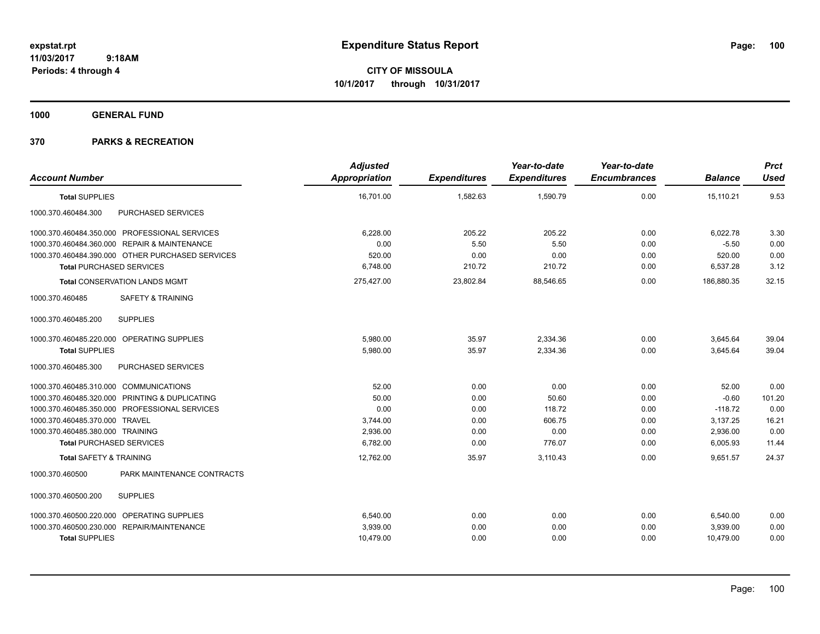**CITY OF MISSOULA 10/1/2017 through 10/31/2017**

**1000 GENERAL FUND**

| <b>Account Number</b>                            | <b>Adjusted</b><br><b>Appropriation</b> | <b>Expenditures</b> | Year-to-date<br><b>Expenditures</b> | Year-to-date<br><b>Encumbrances</b> | <b>Balance</b> | <b>Prct</b><br><b>Used</b> |
|--------------------------------------------------|-----------------------------------------|---------------------|-------------------------------------|-------------------------------------|----------------|----------------------------|
| <b>Total SUPPLIES</b>                            | 16,701.00                               | 1,582.63            | 1,590.79                            | 0.00                                | 15,110.21      | 9.53                       |
| 1000.370.460484.300<br>PURCHASED SERVICES        |                                         |                     |                                     |                                     |                |                            |
| 1000.370.460484.350.000 PROFESSIONAL SERVICES    | 6,228.00                                | 205.22              | 205.22                              | 0.00                                | 6,022.78       | 3.30                       |
| 1000.370.460484.360.000 REPAIR & MAINTENANCE     | 0.00                                    | 5.50                | 5.50                                | 0.00                                | $-5.50$        | 0.00                       |
| 1000.370.460484.390.000 OTHER PURCHASED SERVICES | 520.00                                  | 0.00                | 0.00                                | 0.00                                | 520.00         | 0.00                       |
| <b>Total PURCHASED SERVICES</b>                  | 6.748.00                                | 210.72              | 210.72                              | 0.00                                | 6,537.28       | 3.12                       |
| <b>Total CONSERVATION LANDS MGMT</b>             | 275,427.00                              | 23,802.84           | 88,546.65                           | 0.00                                | 186,880.35     | 32.15                      |
| 1000.370.460485<br><b>SAFETY &amp; TRAINING</b>  |                                         |                     |                                     |                                     |                |                            |
| <b>SUPPLIES</b><br>1000.370.460485.200           |                                         |                     |                                     |                                     |                |                            |
| 1000.370.460485.220.000 OPERATING SUPPLIES       | 5.980.00                                | 35.97               | 2,334.36                            | 0.00                                | 3,645.64       | 39.04                      |
| <b>Total SUPPLIES</b>                            | 5,980.00                                | 35.97               | 2,334.36                            | 0.00                                | 3,645.64       | 39.04                      |
| 1000.370.460485.300<br>PURCHASED SERVICES        |                                         |                     |                                     |                                     |                |                            |
| 1000.370.460485.310.000 COMMUNICATIONS           | 52.00                                   | 0.00                | 0.00                                | 0.00                                | 52.00          | 0.00                       |
| 1000.370.460485.320.000 PRINTING & DUPLICATING   | 50.00                                   | 0.00                | 50.60                               | 0.00                                | $-0.60$        | 101.20                     |
| 1000.370.460485.350.000 PROFESSIONAL SERVICES    | 0.00                                    | 0.00                | 118.72                              | 0.00                                | $-118.72$      | 0.00                       |
| 1000.370.460485.370.000 TRAVEL                   | 3,744.00                                | 0.00                | 606.75                              | 0.00                                | 3,137.25       | 16.21                      |
| 1000.370.460485.380.000 TRAINING                 | 2.936.00                                | 0.00                | 0.00                                | 0.00                                | 2,936.00       | 0.00                       |
| <b>Total PURCHASED SERVICES</b>                  | 6,782.00                                | 0.00                | 776.07                              | 0.00                                | 6,005.93       | 11.44                      |
| <b>Total SAFETY &amp; TRAINING</b>               | 12,762.00                               | 35.97               | 3,110.43                            | 0.00                                | 9,651.57       | 24.37                      |
| PARK MAINTENANCE CONTRACTS<br>1000.370.460500    |                                         |                     |                                     |                                     |                |                            |
| <b>SUPPLIES</b><br>1000.370.460500.200           |                                         |                     |                                     |                                     |                |                            |
| 1000.370.460500.220.000 OPERATING SUPPLIES       | 6,540.00                                | 0.00                | 0.00                                | 0.00                                | 6,540.00       | 0.00                       |
| 1000.370.460500.230.000 REPAIR/MAINTENANCE       | 3,939.00                                | 0.00                | 0.00                                | 0.00                                | 3,939.00       | 0.00                       |
| <b>Total SUPPLIES</b>                            | 10,479.00                               | 0.00                | 0.00                                | 0.00                                | 10,479.00      | 0.00                       |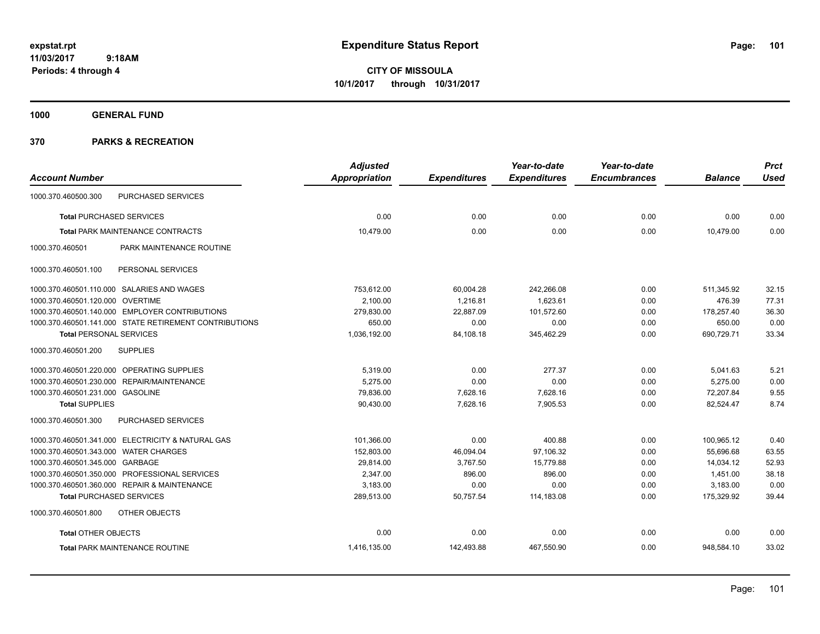**CITY OF MISSOULA 10/1/2017 through 10/31/2017**

**1000 GENERAL FUND**

| <b>Adjusted</b>      |                     | Year-to-date        | Year-to-date        |                | <b>Prct</b> |
|----------------------|---------------------|---------------------|---------------------|----------------|-------------|
| <b>Appropriation</b> | <b>Expenditures</b> | <b>Expenditures</b> | <b>Encumbrances</b> | <b>Balance</b> | <b>Used</b> |
|                      |                     |                     |                     |                |             |
| 0.00                 | 0.00                | 0.00                | 0.00                | 0.00           | 0.00        |
| 10,479.00            | 0.00                | 0.00                | 0.00                | 10.479.00      | 0.00        |
|                      |                     |                     |                     |                |             |
|                      |                     |                     |                     |                |             |
| 753,612.00           | 60,004.28           | 242,266.08          | 0.00                | 511,345.92     | 32.15       |
| 2,100.00             | 1,216.81            | 1,623.61            | 0.00                | 476.39         | 77.31       |
| 279,830.00           | 22,887.09           | 101,572.60          | 0.00                | 178,257.40     | 36.30       |
| 650.00               | 0.00                | 0.00                | 0.00                | 650.00         | 0.00        |
| 1,036,192.00         | 84,108.18           | 345,462.29          | 0.00                | 690,729.71     | 33.34       |
|                      |                     |                     |                     |                |             |
| 5,319.00             | 0.00                | 277.37              | 0.00                | 5,041.63       | 5.21        |
| 5.275.00             | 0.00                | 0.00                | 0.00                | 5,275.00       | 0.00        |
| 79,836.00            | 7,628.16            | 7,628.16            | 0.00                | 72,207.84      | 9.55        |
| 90,430.00            | 7,628.16            | 7,905.53            | 0.00                | 82,524.47      | 8.74        |
|                      |                     |                     |                     |                |             |
| 101,366.00           | 0.00                | 400.88              | 0.00                | 100,965.12     | 0.40        |
| 152,803.00           | 46,094.04           | 97,106.32           | 0.00                | 55,696.68      | 63.55       |
| 29,814.00            | 3,767.50            | 15,779.88           | 0.00                | 14,034.12      | 52.93       |
| 2,347.00             | 896.00              | 896.00              | 0.00                | 1,451.00       | 38.18       |
| 3,183.00             | 0.00                | 0.00                | 0.00                | 3,183.00       | 0.00        |
| 289,513.00           | 50,757.54           | 114,183.08          | 0.00                | 175,329.92     | 39.44       |
|                      |                     |                     |                     |                |             |
| 0.00                 | 0.00                | 0.00                | 0.00                | 0.00           | 0.00        |
| 1,416,135.00         | 142,493.88          | 467,550.90          | 0.00                | 948,584.10     | 33.02       |
|                      |                     |                     |                     |                |             |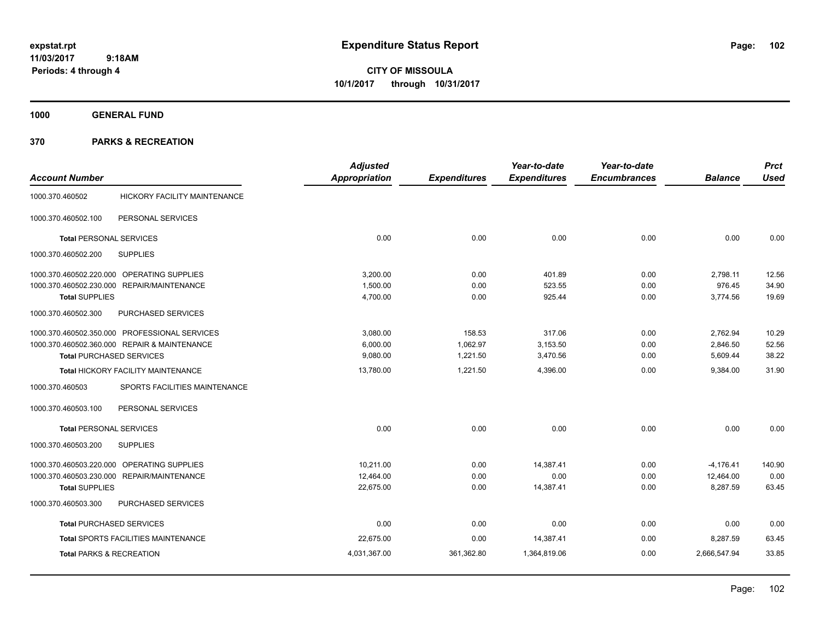**CITY OF MISSOULA 10/1/2017 through 10/31/2017**

**1000 GENERAL FUND**

|                                     |                                               | <b>Adjusted</b>      |                     | Year-to-date        | Year-to-date        |                | <b>Prct</b> |
|-------------------------------------|-----------------------------------------------|----------------------|---------------------|---------------------|---------------------|----------------|-------------|
| <b>Account Number</b>               |                                               | <b>Appropriation</b> | <b>Expenditures</b> | <b>Expenditures</b> | <b>Encumbrances</b> | <b>Balance</b> | <b>Used</b> |
| 1000.370.460502                     | <b>HICKORY FACILITY MAINTENANCE</b>           |                      |                     |                     |                     |                |             |
| 1000.370.460502.100                 | PERSONAL SERVICES                             |                      |                     |                     |                     |                |             |
| <b>Total PERSONAL SERVICES</b>      |                                               | 0.00                 | 0.00                | 0.00                | 0.00                | 0.00           | 0.00        |
| 1000.370.460502.200                 | <b>SUPPLIES</b>                               |                      |                     |                     |                     |                |             |
|                                     | 1000.370.460502.220.000 OPERATING SUPPLIES    | 3,200.00             | 0.00                | 401.89              | 0.00                | 2,798.11       | 12.56       |
|                                     | 1000.370.460502.230.000 REPAIR/MAINTENANCE    | 1,500.00             | 0.00                | 523.55              | 0.00                | 976.45         | 34.90       |
| <b>Total SUPPLIES</b>               |                                               | 4,700.00             | 0.00                | 925.44              | 0.00                | 3,774.56       | 19.69       |
| 1000.370.460502.300                 | PURCHASED SERVICES                            |                      |                     |                     |                     |                |             |
|                                     | 1000.370.460502.350.000 PROFESSIONAL SERVICES | 3,080.00             | 158.53              | 317.06              | 0.00                | 2,762.94       | 10.29       |
|                                     | 1000.370.460502.360.000 REPAIR & MAINTENANCE  | 6,000.00             | 1,062.97            | 3,153.50            | 0.00                | 2,846.50       | 52.56       |
|                                     | <b>Total PURCHASED SERVICES</b>               | 9,080.00             | 1,221.50            | 3,470.56            | 0.00                | 5,609.44       | 38.22       |
|                                     | <b>Total HICKORY FACILITY MAINTENANCE</b>     | 13,780.00            | 1,221.50            | 4,396.00            | 0.00                | 9,384.00       | 31.90       |
| 1000.370.460503                     | SPORTS FACILITIES MAINTENANCE                 |                      |                     |                     |                     |                |             |
| 1000.370.460503.100                 | PERSONAL SERVICES                             |                      |                     |                     |                     |                |             |
| <b>Total PERSONAL SERVICES</b>      |                                               | 0.00                 | 0.00                | 0.00                | 0.00                | 0.00           | 0.00        |
| 1000.370.460503.200                 | <b>SUPPLIES</b>                               |                      |                     |                     |                     |                |             |
| 1000.370.460503.220.000             | <b>OPERATING SUPPLIES</b>                     | 10.211.00            | 0.00                | 14,387.41           | 0.00                | $-4,176.41$    | 140.90      |
|                                     | 1000.370.460503.230.000 REPAIR/MAINTENANCE    | 12,464.00            | 0.00                | 0.00                | 0.00                | 12,464.00      | 0.00        |
| <b>Total SUPPLIES</b>               |                                               | 22,675.00            | 0.00                | 14,387.41           | 0.00                | 8,287.59       | 63.45       |
| 1000.370.460503.300                 | PURCHASED SERVICES                            |                      |                     |                     |                     |                |             |
|                                     | <b>Total PURCHASED SERVICES</b>               | 0.00                 | 0.00                | 0.00                | 0.00                | 0.00           | 0.00        |
|                                     | Total SPORTS FACILITIES MAINTENANCE           | 22,675.00            | 0.00                | 14,387.41           | 0.00                | 8,287.59       | 63.45       |
| <b>Total PARKS &amp; RECREATION</b> |                                               | 4,031,367.00         | 361,362.80          | 1,364,819.06        | 0.00                | 2,666,547.94   | 33.85       |
|                                     |                                               |                      |                     |                     |                     |                |             |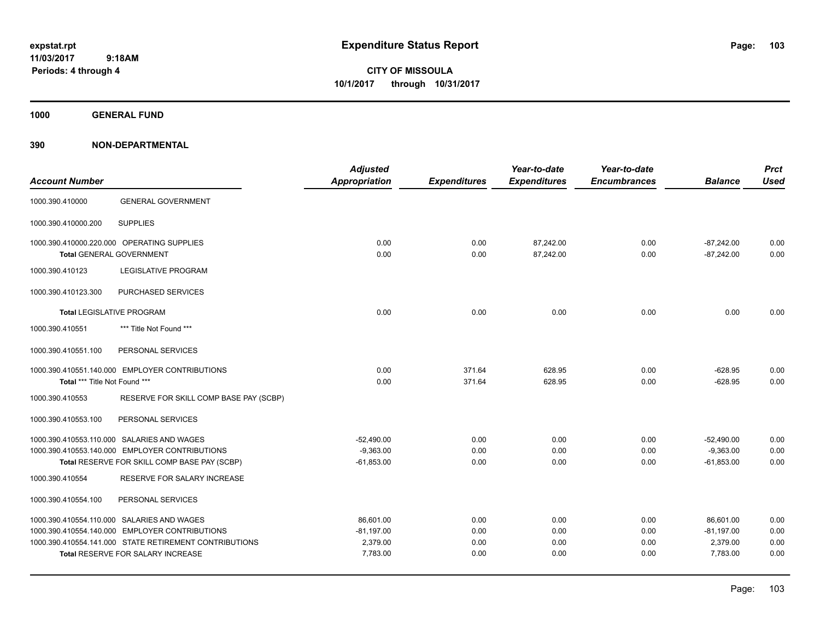**CITY OF MISSOULA 10/1/2017 through 10/31/2017**

**1000 GENERAL FUND**

| <b>Account Number</b>         |                                                                               | <b>Adjusted</b><br><b>Appropriation</b> | <b>Expenditures</b> | Year-to-date<br><b>Expenditures</b> | Year-to-date<br><b>Encumbrances</b> | <b>Balance</b>               | <b>Prct</b><br><b>Used</b> |
|-------------------------------|-------------------------------------------------------------------------------|-----------------------------------------|---------------------|-------------------------------------|-------------------------------------|------------------------------|----------------------------|
| 1000.390.410000               | <b>GENERAL GOVERNMENT</b>                                                     |                                         |                     |                                     |                                     |                              |                            |
| 1000.390.410000.200           | <b>SUPPLIES</b>                                                               |                                         |                     |                                     |                                     |                              |                            |
|                               | 1000.390.410000.220.000 OPERATING SUPPLIES<br><b>Total GENERAL GOVERNMENT</b> | 0.00<br>0.00                            | 0.00<br>0.00        | 87,242.00<br>87,242.00              | 0.00<br>0.00                        | $-87,242.00$<br>$-87,242.00$ | 0.00<br>0.00               |
| 1000.390.410123               | <b>LEGISLATIVE PROGRAM</b>                                                    |                                         |                     |                                     |                                     |                              |                            |
| 1000.390.410123.300           | PURCHASED SERVICES                                                            |                                         |                     |                                     |                                     |                              |                            |
|                               | <b>Total LEGISLATIVE PROGRAM</b>                                              | 0.00                                    | 0.00                | 0.00                                | 0.00                                | 0.00                         | 0.00                       |
| 1000.390.410551               | *** Title Not Found ***                                                       |                                         |                     |                                     |                                     |                              |                            |
| 1000.390.410551.100           | PERSONAL SERVICES                                                             |                                         |                     |                                     |                                     |                              |                            |
|                               | 1000.390.410551.140.000 EMPLOYER CONTRIBUTIONS                                | 0.00                                    | 371.64              | 628.95                              | 0.00                                | $-628.95$                    | 0.00                       |
| Total *** Title Not Found *** |                                                                               | 0.00                                    | 371.64              | 628.95                              | 0.00                                | $-628.95$                    | 0.00                       |
| 1000.390.410553               | RESERVE FOR SKILL COMP BASE PAY (SCBP)                                        |                                         |                     |                                     |                                     |                              |                            |
| 1000.390.410553.100           | PERSONAL SERVICES                                                             |                                         |                     |                                     |                                     |                              |                            |
|                               | 1000.390.410553.110.000 SALARIES AND WAGES                                    | $-52,490.00$                            | 0.00                | 0.00                                | 0.00                                | $-52,490.00$                 | 0.00                       |
|                               | 1000.390.410553.140.000 EMPLOYER CONTRIBUTIONS                                | $-9,363.00$                             | 0.00                | 0.00                                | 0.00                                | $-9,363.00$                  | 0.00                       |
|                               | Total RESERVE FOR SKILL COMP BASE PAY (SCBP)                                  | $-61,853.00$                            | 0.00                | 0.00                                | 0.00                                | $-61,853.00$                 | 0.00                       |
| 1000.390.410554               | RESERVE FOR SALARY INCREASE                                                   |                                         |                     |                                     |                                     |                              |                            |
| 1000.390.410554.100           | PERSONAL SERVICES                                                             |                                         |                     |                                     |                                     |                              |                            |
|                               | 1000.390.410554.110.000 SALARIES AND WAGES                                    | 86,601.00                               | 0.00                | 0.00                                | 0.00                                | 86,601.00                    | 0.00                       |
|                               | 1000.390.410554.140.000 EMPLOYER CONTRIBUTIONS                                | $-81,197.00$                            | 0.00                | 0.00                                | 0.00                                | $-81,197.00$                 | 0.00                       |
|                               | 1000.390.410554.141.000 STATE RETIREMENT CONTRIBUTIONS                        | 2,379.00                                | 0.00                | 0.00                                | 0.00                                | 2,379.00                     | 0.00                       |
|                               | <b>Total RESERVE FOR SALARY INCREASE</b>                                      | 7,783.00                                | 0.00                | 0.00                                | 0.00                                | 7,783.00                     | 0.00                       |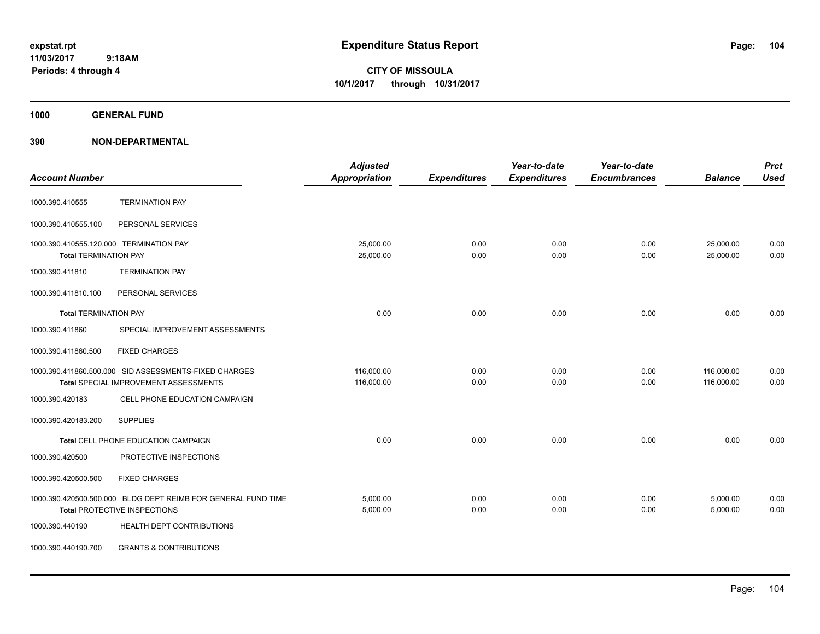**CITY OF MISSOULA 10/1/2017 through 10/31/2017**

**1000 GENERAL FUND**

| <b>Account Number</b>                                                   |                                                                                                      | <b>Adjusted</b><br>Appropriation | <b>Expenditures</b> | Year-to-date<br><b>Expenditures</b> | Year-to-date<br><b>Encumbrances</b> | <b>Balance</b>           | <b>Prct</b><br><b>Used</b> |
|-------------------------------------------------------------------------|------------------------------------------------------------------------------------------------------|----------------------------------|---------------------|-------------------------------------|-------------------------------------|--------------------------|----------------------------|
| 1000.390.410555                                                         | <b>TERMINATION PAY</b>                                                                               |                                  |                     |                                     |                                     |                          |                            |
| 1000.390.410555.100                                                     | PERSONAL SERVICES                                                                                    |                                  |                     |                                     |                                     |                          |                            |
| 1000.390.410555.120.000 TERMINATION PAY<br><b>Total TERMINATION PAY</b> |                                                                                                      | 25,000.00<br>25,000.00           | 0.00<br>0.00        | 0.00<br>0.00                        | 0.00<br>0.00                        | 25,000.00<br>25,000.00   | 0.00<br>0.00               |
| 1000.390.411810                                                         | <b>TERMINATION PAY</b>                                                                               |                                  |                     |                                     |                                     |                          |                            |
| 1000.390.411810.100                                                     | PERSONAL SERVICES                                                                                    |                                  |                     |                                     |                                     |                          |                            |
| <b>Total TERMINATION PAY</b>                                            |                                                                                                      | 0.00                             | 0.00                | 0.00                                | 0.00                                | 0.00                     | 0.00                       |
| 1000.390.411860                                                         | SPECIAL IMPROVEMENT ASSESSMENTS                                                                      |                                  |                     |                                     |                                     |                          |                            |
| 1000.390.411860.500                                                     | <b>FIXED CHARGES</b>                                                                                 |                                  |                     |                                     |                                     |                          |                            |
|                                                                         | 1000.390.411860.500.000 SID ASSESSMENTS-FIXED CHARGES<br>Total SPECIAL IMPROVEMENT ASSESSMENTS       | 116,000.00<br>116,000.00         | 0.00<br>0.00        | 0.00<br>0.00                        | 0.00<br>0.00                        | 116,000.00<br>116,000.00 | 0.00<br>0.00               |
| 1000.390.420183                                                         | CELL PHONE EDUCATION CAMPAIGN                                                                        |                                  |                     |                                     |                                     |                          |                            |
| 1000.390.420183.200                                                     | <b>SUPPLIES</b>                                                                                      |                                  |                     |                                     |                                     |                          |                            |
|                                                                         | Total CELL PHONE EDUCATION CAMPAIGN                                                                  | 0.00                             | 0.00                | 0.00                                | 0.00                                | 0.00                     | 0.00                       |
| 1000.390.420500                                                         | PROTECTIVE INSPECTIONS                                                                               |                                  |                     |                                     |                                     |                          |                            |
| 1000.390.420500.500                                                     | <b>FIXED CHARGES</b>                                                                                 |                                  |                     |                                     |                                     |                          |                            |
|                                                                         | 1000.390.420500.500.000 BLDG DEPT REIMB FOR GENERAL FUND TIME<br><b>Total PROTECTIVE INSPECTIONS</b> | 5,000.00<br>5,000.00             | 0.00<br>0.00        | 0.00<br>0.00                        | 0.00<br>0.00                        | 5,000.00<br>5,000.00     | 0.00<br>0.00               |
| 1000.390.440190                                                         | HEALTH DEPT CONTRIBUTIONS                                                                            |                                  |                     |                                     |                                     |                          |                            |
| 1000.390.440190.700                                                     | <b>GRANTS &amp; CONTRIBUTIONS</b>                                                                    |                                  |                     |                                     |                                     |                          |                            |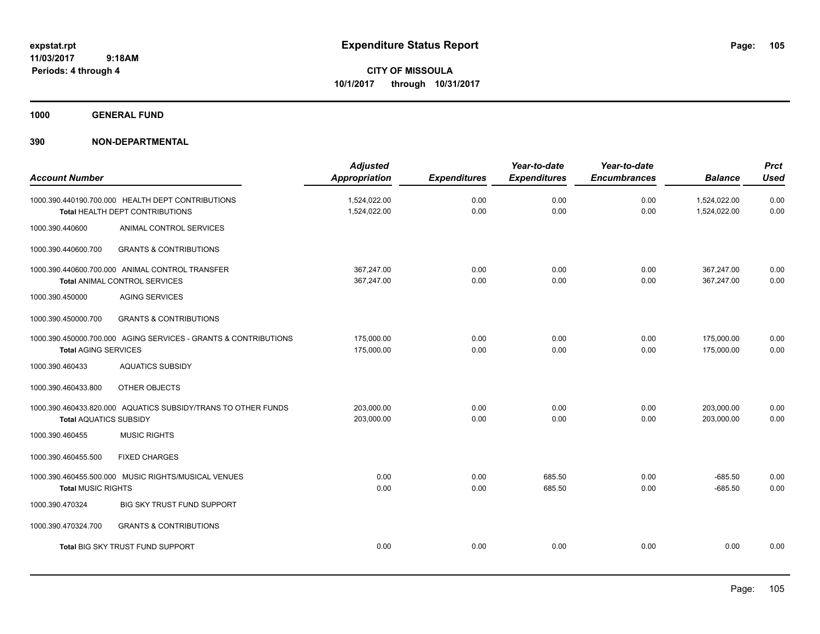**CITY OF MISSOULA 10/1/2017 through 10/31/2017**

**1000 GENERAL FUND**

| <b>Account Number</b>         |                                                                                             | <b>Adjusted</b><br><b>Appropriation</b> | <b>Expenditures</b> | Year-to-date<br><b>Expenditures</b> | Year-to-date<br><b>Encumbrances</b> | <b>Balance</b>               | <b>Prct</b><br><b>Used</b> |
|-------------------------------|---------------------------------------------------------------------------------------------|-----------------------------------------|---------------------|-------------------------------------|-------------------------------------|------------------------------|----------------------------|
|                               | 1000.390.440190.700.000 HEALTH DEPT CONTRIBUTIONS<br><b>Total HEALTH DEPT CONTRIBUTIONS</b> | 1,524,022.00<br>1,524,022.00            | 0.00<br>0.00        | 0.00<br>0.00                        | 0.00<br>0.00                        | 1,524,022.00<br>1,524,022.00 | 0.00<br>0.00               |
| 1000.390.440600               | ANIMAL CONTROL SERVICES                                                                     |                                         |                     |                                     |                                     |                              |                            |
| 1000.390.440600.700           | <b>GRANTS &amp; CONTRIBUTIONS</b>                                                           |                                         |                     |                                     |                                     |                              |                            |
|                               | 1000.390.440600.700.000 ANIMAL CONTROL TRANSFER<br>Total ANIMAL CONTROL SERVICES            | 367,247.00<br>367.247.00                | 0.00<br>0.00        | 0.00<br>0.00                        | 0.00<br>0.00                        | 367,247.00<br>367.247.00     | 0.00<br>0.00               |
| 1000.390.450000               | <b>AGING SERVICES</b>                                                                       |                                         |                     |                                     |                                     |                              |                            |
| 1000.390.450000.700           | <b>GRANTS &amp; CONTRIBUTIONS</b>                                                           |                                         |                     |                                     |                                     |                              |                            |
| <b>Total AGING SERVICES</b>   | 1000.390.450000.700.000 AGING SERVICES - GRANTS & CONTRIBUTIONS                             | 175,000.00<br>175,000.00                | 0.00<br>0.00        | 0.00<br>0.00                        | 0.00<br>0.00                        | 175,000.00<br>175,000.00     | 0.00<br>0.00               |
| 1000.390.460433               | <b>AQUATICS SUBSIDY</b>                                                                     |                                         |                     |                                     |                                     |                              |                            |
| 1000.390.460433.800           | OTHER OBJECTS                                                                               |                                         |                     |                                     |                                     |                              |                            |
| <b>Total AQUATICS SUBSIDY</b> | 1000.390.460433.820.000 AQUATICS SUBSIDY/TRANS TO OTHER FUNDS                               | 203,000.00<br>203,000.00                | 0.00<br>0.00        | 0.00<br>0.00                        | 0.00<br>0.00                        | 203,000.00<br>203,000.00     | 0.00<br>0.00               |
| 1000.390.460455               | <b>MUSIC RIGHTS</b>                                                                         |                                         |                     |                                     |                                     |                              |                            |
| 1000.390.460455.500           | <b>FIXED CHARGES</b>                                                                        |                                         |                     |                                     |                                     |                              |                            |
| <b>Total MUSIC RIGHTS</b>     | 1000.390.460455.500.000 MUSIC RIGHTS/MUSICAL VENUES                                         | 0.00<br>0.00                            | 0.00<br>0.00        | 685.50<br>685.50                    | 0.00<br>0.00                        | $-685.50$<br>$-685.50$       | 0.00<br>0.00               |
| 1000.390.470324               | <b>BIG SKY TRUST FUND SUPPORT</b>                                                           |                                         |                     |                                     |                                     |                              |                            |
| 1000.390.470324.700           | <b>GRANTS &amp; CONTRIBUTIONS</b>                                                           |                                         |                     |                                     |                                     |                              |                            |
|                               | Total BIG SKY TRUST FUND SUPPORT                                                            | 0.00                                    | 0.00                | 0.00                                | 0.00                                | 0.00                         | 0.00                       |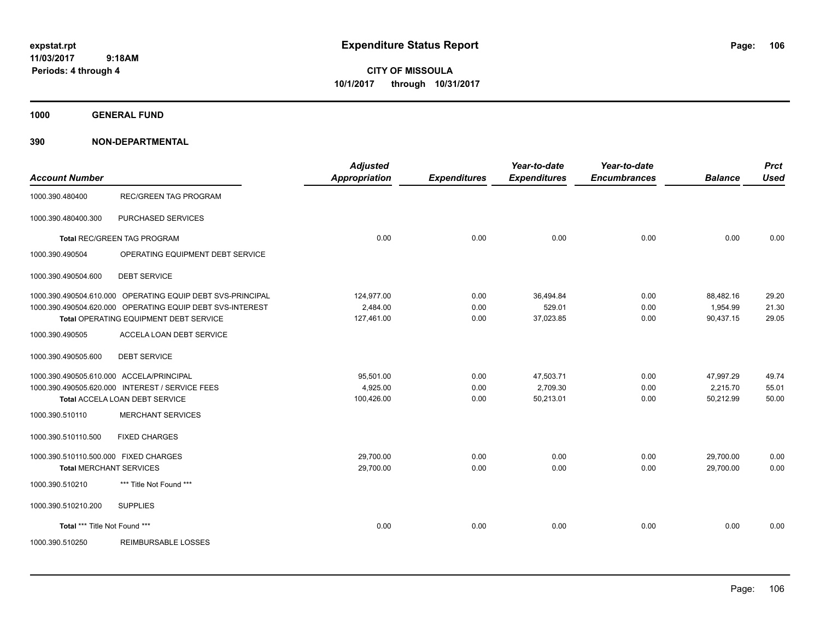**CITY OF MISSOULA 10/1/2017 through 10/31/2017**

**1000 GENERAL FUND**

| <b>Account Number</b>                    |                                                            | <b>Adjusted</b><br><b>Appropriation</b> | <b>Expenditures</b> | Year-to-date<br><b>Expenditures</b> | Year-to-date<br><b>Encumbrances</b> | <b>Balance</b> | <b>Prct</b><br><b>Used</b> |
|------------------------------------------|------------------------------------------------------------|-----------------------------------------|---------------------|-------------------------------------|-------------------------------------|----------------|----------------------------|
| 1000.390.480400                          | <b>REC/GREEN TAG PROGRAM</b>                               |                                         |                     |                                     |                                     |                |                            |
| 1000.390.480400.300                      | PURCHASED SERVICES                                         |                                         |                     |                                     |                                     |                |                            |
|                                          | Total REC/GREEN TAG PROGRAM                                | 0.00                                    | 0.00                | 0.00                                | 0.00                                | 0.00           | 0.00                       |
| 1000.390.490504                          | OPERATING EQUIPMENT DEBT SERVICE                           |                                         |                     |                                     |                                     |                |                            |
| 1000.390.490504.600                      | <b>DEBT SERVICE</b>                                        |                                         |                     |                                     |                                     |                |                            |
|                                          | 1000.390.490504.610.000 OPERATING EQUIP DEBT SVS-PRINCIPAL | 124,977.00                              | 0.00                | 36,494.84                           | 0.00                                | 88,482.16      | 29.20                      |
|                                          | 1000.390.490504.620.000 OPERATING EQUIP DEBT SVS-INTEREST  | 2,484.00                                | 0.00                | 529.01                              | 0.00                                | 1,954.99       | 21.30                      |
|                                          | Total OPERATING EQUIPMENT DEBT SERVICE                     | 127,461.00                              | 0.00                | 37,023.85                           | 0.00                                | 90,437.15      | 29.05                      |
| 1000.390.490505                          | ACCELA LOAN DEBT SERVICE                                   |                                         |                     |                                     |                                     |                |                            |
| 1000.390.490505.600                      | <b>DEBT SERVICE</b>                                        |                                         |                     |                                     |                                     |                |                            |
| 1000.390.490505.610.000 ACCELA/PRINCIPAL |                                                            | 95,501.00                               | 0.00                | 47,503.71                           | 0.00                                | 47,997.29      | 49.74                      |
|                                          | 1000.390.490505.620.000 INTEREST / SERVICE FEES            | 4,925.00                                | 0.00                | 2,709.30                            | 0.00                                | 2,215.70       | 55.01                      |
|                                          | Total ACCELA LOAN DEBT SERVICE                             | 100,426.00                              | 0.00                | 50,213.01                           | 0.00                                | 50,212.99      | 50.00                      |
| 1000.390.510110                          | <b>MERCHANT SERVICES</b>                                   |                                         |                     |                                     |                                     |                |                            |
| 1000.390.510110.500                      | <b>FIXED CHARGES</b>                                       |                                         |                     |                                     |                                     |                |                            |
| 1000.390.510110.500.000 FIXED CHARGES    |                                                            | 29,700.00                               | 0.00                | 0.00                                | 0.00                                | 29,700.00      | 0.00                       |
| <b>Total MERCHANT SERVICES</b>           |                                                            | 29,700.00                               | 0.00                | 0.00                                | 0.00                                | 29,700.00      | 0.00                       |
| 1000.390.510210                          | *** Title Not Found ***                                    |                                         |                     |                                     |                                     |                |                            |
| 1000.390.510210.200                      | <b>SUPPLIES</b>                                            |                                         |                     |                                     |                                     |                |                            |
| Total *** Title Not Found ***            |                                                            | 0.00                                    | 0.00                | 0.00                                | 0.00                                | 0.00           | 0.00                       |
| 1000.390.510250                          | <b>REIMBURSABLE LOSSES</b>                                 |                                         |                     |                                     |                                     |                |                            |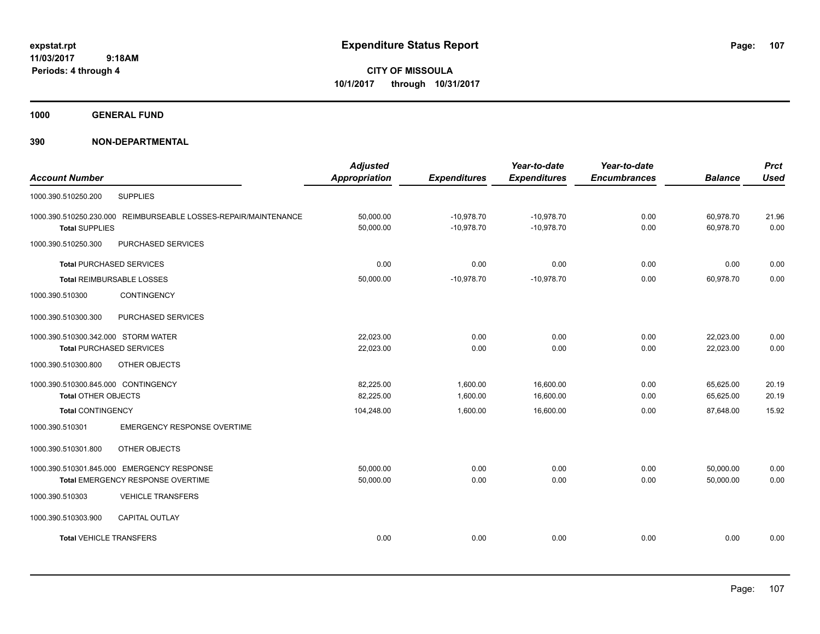**CITY OF MISSOULA 10/1/2017 through 10/31/2017**

**1000 GENERAL FUND**

| <b>Account Number</b>                                                                    | <b>Adjusted</b><br><b>Appropriation</b> | <b>Expenditures</b>          | Year-to-date<br><b>Expenditures</b> | Year-to-date<br><b>Encumbrances</b> | <b>Balance</b>         | <b>Prct</b><br><b>Used</b> |
|------------------------------------------------------------------------------------------|-----------------------------------------|------------------------------|-------------------------------------|-------------------------------------|------------------------|----------------------------|
| 1000.390.510250.200<br><b>SUPPLIES</b>                                                   |                                         |                              |                                     |                                     |                        |                            |
| 1000.390.510250.230.000 REIMBURSEABLE LOSSES-REPAIR/MAINTENANCE<br><b>Total SUPPLIES</b> | 50,000.00<br>50,000.00                  | $-10,978.70$<br>$-10,978.70$ | $-10,978.70$<br>$-10,978.70$        | 0.00<br>0.00                        | 60,978.70<br>60,978.70 | 21.96<br>0.00              |
| PURCHASED SERVICES<br>1000.390.510250.300                                                |                                         |                              |                                     |                                     |                        |                            |
| <b>Total PURCHASED SERVICES</b>                                                          | 0.00                                    | 0.00                         | 0.00                                | 0.00                                | 0.00                   | 0.00                       |
| <b>Total REIMBURSABLE LOSSES</b>                                                         | 50,000.00                               | $-10,978.70$                 | $-10,978.70$                        | 0.00                                | 60,978.70              | 0.00                       |
| CONTINGENCY<br>1000.390.510300                                                           |                                         |                              |                                     |                                     |                        |                            |
| PURCHASED SERVICES<br>1000.390.510300.300                                                |                                         |                              |                                     |                                     |                        |                            |
| 1000.390.510300.342.000 STORM WATER                                                      | 22.023.00                               | 0.00                         | 0.00                                | 0.00                                | 22,023.00              | 0.00                       |
| <b>Total PURCHASED SERVICES</b>                                                          | 22,023.00                               | 0.00                         | 0.00                                | 0.00                                | 22,023.00              | 0.00                       |
| 1000.390.510300.800<br>OTHER OBJECTS                                                     |                                         |                              |                                     |                                     |                        |                            |
| 1000.390.510300.845.000 CONTINGENCY                                                      | 82,225.00                               | 1,600.00                     | 16,600.00                           | 0.00                                | 65,625.00              | 20.19                      |
| <b>Total OTHER OBJECTS</b>                                                               | 82,225.00                               | 1,600.00                     | 16,600.00                           | 0.00                                | 65,625.00              | 20.19                      |
| <b>Total CONTINGENCY</b>                                                                 | 104,248.00                              | 1,600.00                     | 16,600.00                           | 0.00                                | 87,648.00              | 15.92                      |
| 1000.390.510301<br><b>EMERGENCY RESPONSE OVERTIME</b>                                    |                                         |                              |                                     |                                     |                        |                            |
| 1000.390.510301.800<br>OTHER OBJECTS                                                     |                                         |                              |                                     |                                     |                        |                            |
| 1000.390.510301.845.000 EMERGENCY RESPONSE                                               | 50,000.00                               | 0.00                         | 0.00                                | 0.00                                | 50,000.00              | 0.00                       |
| Total EMERGENCY RESPONSE OVERTIME                                                        | 50,000.00                               | 0.00                         | 0.00                                | 0.00                                | 50,000.00              | 0.00                       |
| 1000.390.510303<br><b>VEHICLE TRANSFERS</b>                                              |                                         |                              |                                     |                                     |                        |                            |
| <b>CAPITAL OUTLAY</b><br>1000.390.510303.900                                             |                                         |                              |                                     |                                     |                        |                            |
| <b>Total VEHICLE TRANSFERS</b>                                                           | 0.00                                    | 0.00                         | 0.00                                | 0.00                                | 0.00                   | 0.00                       |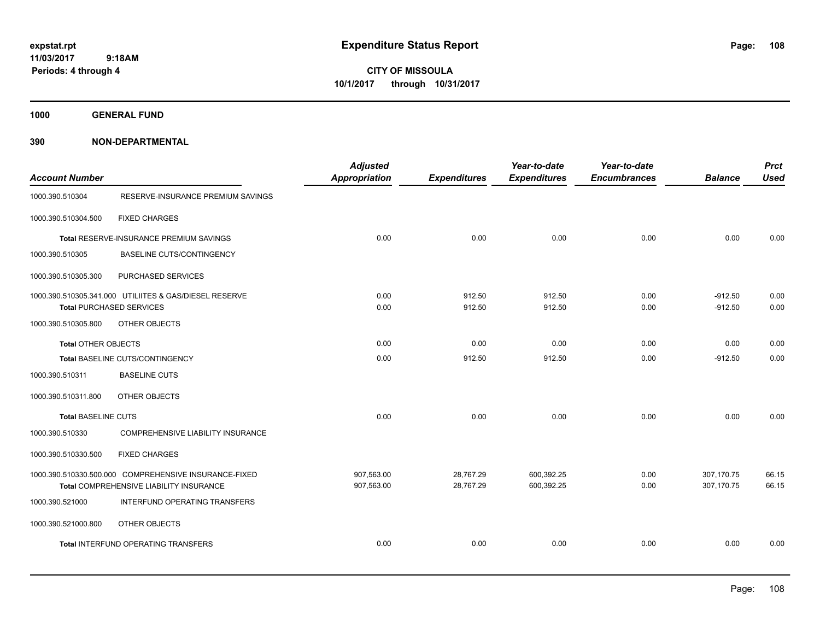**CITY OF MISSOULA 10/1/2017 through 10/31/2017**

**1000 GENERAL FUND**

| <b>Account Number</b>      |                                                        | <b>Adjusted</b><br><b>Appropriation</b> | <b>Expenditures</b> | Year-to-date<br><b>Expenditures</b> | Year-to-date<br><b>Encumbrances</b> | <b>Balance</b> | <b>Prct</b><br><b>Used</b> |
|----------------------------|--------------------------------------------------------|-----------------------------------------|---------------------|-------------------------------------|-------------------------------------|----------------|----------------------------|
| 1000.390.510304            | RESERVE-INSURANCE PREMIUM SAVINGS                      |                                         |                     |                                     |                                     |                |                            |
| 1000.390.510304.500        | <b>FIXED CHARGES</b>                                   |                                         |                     |                                     |                                     |                |                            |
|                            | Total RESERVE-INSURANCE PREMIUM SAVINGS                | 0.00                                    | 0.00                | 0.00                                | 0.00                                | 0.00           | 0.00                       |
| 1000.390.510305            | BASELINE CUTS/CONTINGENCY                              |                                         |                     |                                     |                                     |                |                            |
| 1000.390.510305.300        | PURCHASED SERVICES                                     |                                         |                     |                                     |                                     |                |                            |
|                            | 1000.390.510305.341.000 UTILIITES & GAS/DIESEL RESERVE | 0.00                                    | 912.50              | 912.50                              | 0.00                                | $-912.50$      | 0.00                       |
|                            | <b>Total PURCHASED SERVICES</b>                        | 0.00                                    | 912.50              | 912.50                              | 0.00                                | $-912.50$      | 0.00                       |
| 1000.390.510305.800        | OTHER OBJECTS                                          |                                         |                     |                                     |                                     |                |                            |
| <b>Total OTHER OBJECTS</b> |                                                        | 0.00                                    | 0.00                | 0.00                                | 0.00                                | 0.00           | 0.00                       |
|                            | Total BASELINE CUTS/CONTINGENCY                        | 0.00                                    | 912.50              | 912.50                              | 0.00                                | $-912.50$      | 0.00                       |
| 1000.390.510311            | <b>BASELINE CUTS</b>                                   |                                         |                     |                                     |                                     |                |                            |
| 1000.390.510311.800        | OTHER OBJECTS                                          |                                         |                     |                                     |                                     |                |                            |
| <b>Total BASELINE CUTS</b> |                                                        | 0.00                                    | 0.00                | 0.00                                | 0.00                                | 0.00           | 0.00                       |
| 1000.390.510330            | COMPREHENSIVE LIABILITY INSURANCE                      |                                         |                     |                                     |                                     |                |                            |
| 1000.390.510330.500        | <b>FIXED CHARGES</b>                                   |                                         |                     |                                     |                                     |                |                            |
|                            | 1000.390.510330.500.000 COMPREHENSIVE INSURANCE-FIXED  | 907,563.00                              | 28,767.29           | 600,392.25                          | 0.00                                | 307,170.75     | 66.15                      |
|                            | Total COMPREHENSIVE LIABILITY INSURANCE                | 907,563.00                              | 28,767.29           | 600,392.25                          | 0.00                                | 307,170.75     | 66.15                      |
| 1000.390.521000            | INTERFUND OPERATING TRANSFERS                          |                                         |                     |                                     |                                     |                |                            |
| 1000.390.521000.800        | OTHER OBJECTS                                          |                                         |                     |                                     |                                     |                |                            |
|                            | Total INTERFUND OPERATING TRANSFERS                    | 0.00                                    | 0.00                | 0.00                                | 0.00                                | 0.00           | 0.00                       |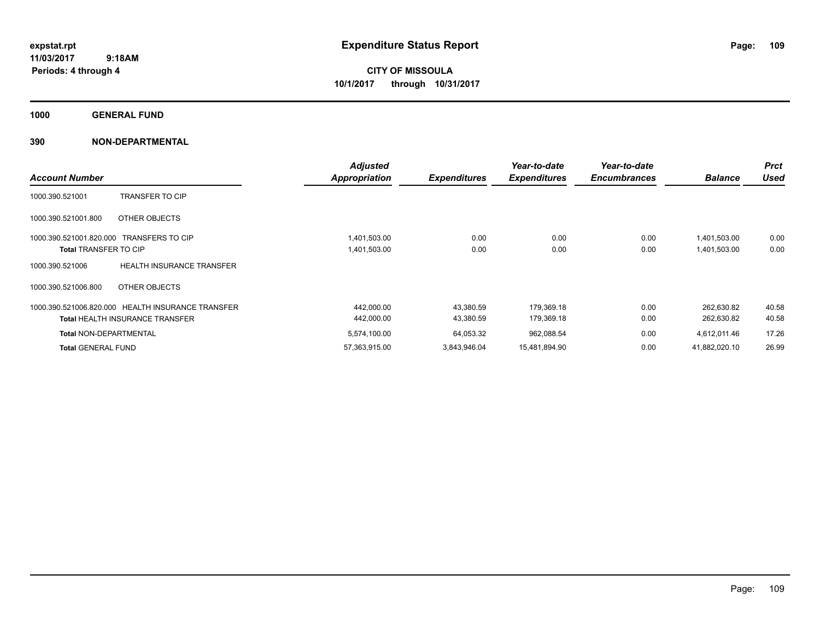**CITY OF MISSOULA 10/1/2017 through 10/31/2017**

**1000 GENERAL FUND**

| <b>Account Number</b>                            |                                                                                             | <b>Adjusted</b><br><b>Appropriation</b> | <b>Expenditures</b>    | Year-to-date<br><b>Expenditures</b> | Year-to-date<br><b>Encumbrances</b> | <b>Balance</b>               | <b>Prct</b><br><b>Used</b> |
|--------------------------------------------------|---------------------------------------------------------------------------------------------|-----------------------------------------|------------------------|-------------------------------------|-------------------------------------|------------------------------|----------------------------|
| 1000.390.521001                                  | <b>TRANSFER TO CIP</b>                                                                      |                                         |                        |                                     |                                     |                              |                            |
| 1000.390.521001.800                              | OTHER OBJECTS                                                                               |                                         |                        |                                     |                                     |                              |                            |
| 1000.390.521001.820.000<br>Total TRANSFER TO CIP | <b>TRANSFERS TO CIP</b>                                                                     | 1,401,503.00<br>1,401,503.00            | 0.00<br>0.00           | 0.00<br>0.00                        | 0.00<br>0.00                        | 1,401,503.00<br>1,401,503.00 | 0.00<br>0.00               |
| 1000.390.521006                                  | <b>HEALTH INSURANCE TRANSFER</b>                                                            |                                         |                        |                                     |                                     |                              |                            |
| 1000.390.521006.800                              | OTHER OBJECTS                                                                               |                                         |                        |                                     |                                     |                              |                            |
|                                                  | 1000.390.521006.820.000 HEALTH INSURANCE TRANSFER<br><b>Total HEALTH INSURANCE TRANSFER</b> | 442,000.00<br>442,000.00                | 43,380.59<br>43,380.59 | 179.369.18<br>179,369.18            | 0.00<br>0.00                        | 262,630.82<br>262,630.82     | 40.58<br>40.58             |
| <b>Total NON-DEPARTMENTAL</b>                    |                                                                                             | 5,574,100.00                            | 64,053.32              | 962,088.54                          | 0.00                                | 4,612,011.46                 | 17.26                      |
| <b>Total GENERAL FUND</b>                        |                                                                                             | 57,363,915.00                           | 3,843,946.04           | 15,481,894.90                       | 0.00                                | 41,882,020.10                | 26.99                      |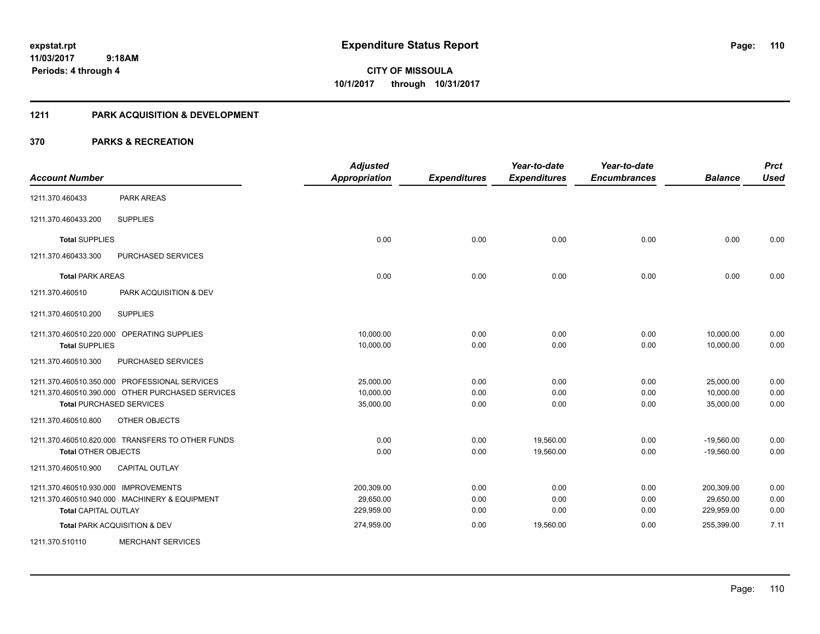**110**

**11/03/2017 9:18AM Periods: 4 through 4**

**CITY OF MISSOULA 10/1/2017 through 10/31/2017**

#### **1211 PARK ACQUISITION & DEVELOPMENT**

| <b>Account Number</b>                |                                                  | <b>Adjusted</b><br><b>Appropriation</b> | <b>Expenditures</b> | Year-to-date<br><b>Expenditures</b> | Year-to-date<br><b>Encumbrances</b> | <b>Balance</b> | <b>Prct</b><br><b>Used</b> |
|--------------------------------------|--------------------------------------------------|-----------------------------------------|---------------------|-------------------------------------|-------------------------------------|----------------|----------------------------|
| 1211.370.460433                      | <b>PARK AREAS</b>                                |                                         |                     |                                     |                                     |                |                            |
| 1211.370.460433.200                  | <b>SUPPLIES</b>                                  |                                         |                     |                                     |                                     |                |                            |
| <b>Total SUPPLIES</b>                |                                                  | 0.00                                    | 0.00                | 0.00                                | 0.00                                | 0.00           | 0.00                       |
| 1211.370.460433.300                  | <b>PURCHASED SERVICES</b>                        |                                         |                     |                                     |                                     |                |                            |
| <b>Total PARK AREAS</b>              |                                                  | 0.00                                    | 0.00                | 0.00                                | 0.00                                | 0.00           | 0.00                       |
| 1211.370.460510                      | PARK ACQUISITION & DEV                           |                                         |                     |                                     |                                     |                |                            |
| 1211.370.460510.200                  | <b>SUPPLIES</b>                                  |                                         |                     |                                     |                                     |                |                            |
|                                      | 1211.370.460510.220.000 OPERATING SUPPLIES       | 10,000.00                               | 0.00                | 0.00                                | 0.00                                | 10,000.00      | 0.00                       |
| <b>Total SUPPLIES</b>                |                                                  | 10,000.00                               | 0.00                | 0.00                                | 0.00                                | 10,000.00      | 0.00                       |
| 1211.370.460510.300                  | PURCHASED SERVICES                               |                                         |                     |                                     |                                     |                |                            |
|                                      | 1211.370.460510.350.000 PROFESSIONAL SERVICES    | 25,000.00                               | 0.00                | 0.00                                | 0.00                                | 25,000.00      | 0.00                       |
|                                      | 1211.370.460510.390.000 OTHER PURCHASED SERVICES | 10,000.00                               | 0.00                | 0.00                                | 0.00                                | 10,000.00      | 0.00                       |
|                                      | <b>Total PURCHASED SERVICES</b>                  | 35,000.00                               | 0.00                | 0.00                                | 0.00                                | 35.000.00      | 0.00                       |
| 1211.370.460510.800                  | <b>OTHER OBJECTS</b>                             |                                         |                     |                                     |                                     |                |                            |
|                                      | 1211.370.460510.820.000 TRANSFERS TO OTHER FUNDS | 0.00                                    | 0.00                | 19,560.00                           | 0.00                                | $-19,560.00$   | 0.00                       |
| <b>Total OTHER OBJECTS</b>           |                                                  | 0.00                                    | 0.00                | 19,560.00                           | 0.00                                | $-19,560.00$   | 0.00                       |
| 1211.370.460510.900                  | <b>CAPITAL OUTLAY</b>                            |                                         |                     |                                     |                                     |                |                            |
| 1211.370.460510.930.000 IMPROVEMENTS |                                                  | 200,309.00                              | 0.00                | 0.00                                | 0.00                                | 200,309.00     | 0.00                       |
|                                      | 1211.370.460510.940.000 MACHINERY & EQUIPMENT    | 29,650.00                               | 0.00                | 0.00                                | 0.00                                | 29,650.00      | 0.00                       |
| <b>Total CAPITAL OUTLAY</b>          |                                                  | 229,959.00                              | 0.00                | 0.00                                | 0.00                                | 229,959.00     | 0.00                       |
|                                      | Total PARK ACQUISITION & DEV                     | 274,959.00                              | 0.00                | 19,560.00                           | 0.00                                | 255,399.00     | 7.11                       |
| 1211.370.510110                      | <b>MERCHANT SERVICES</b>                         |                                         |                     |                                     |                                     |                |                            |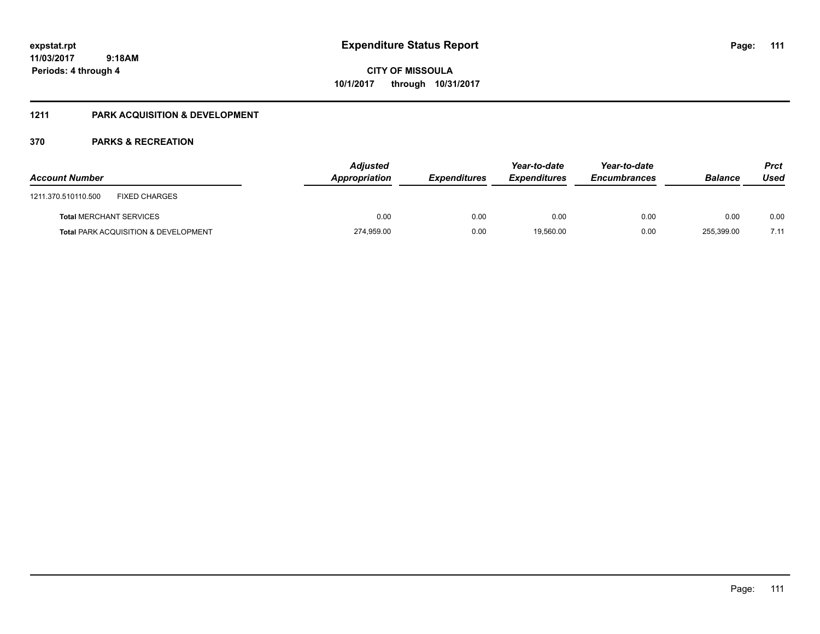#### **1211 PARK ACQUISITION & DEVELOPMENT**

| <b>Account Number</b>                           | <b>Adjusted</b><br>Appropriation | <b>Expenditures</b> | Year-to-date<br><b>Expenditures</b> | Year-to-date<br><b>Encumbrances</b> | <b>Balance</b> | <b>Prct</b><br>Used |
|-------------------------------------------------|----------------------------------|---------------------|-------------------------------------|-------------------------------------|----------------|---------------------|
| <b>FIXED CHARGES</b><br>1211.370.510110.500     |                                  |                     |                                     |                                     |                |                     |
| <b>Total MERCHANT SERVICES</b>                  | 0.00                             | 0.00                | 0.00                                | 0.00                                | 0.00           | 0.00                |
| <b>Total PARK ACQUISITION &amp; DEVELOPMENT</b> | 274,959.00                       | 0.00                | 19.560.00                           | 0.00                                | 255.399.00     | 7.11                |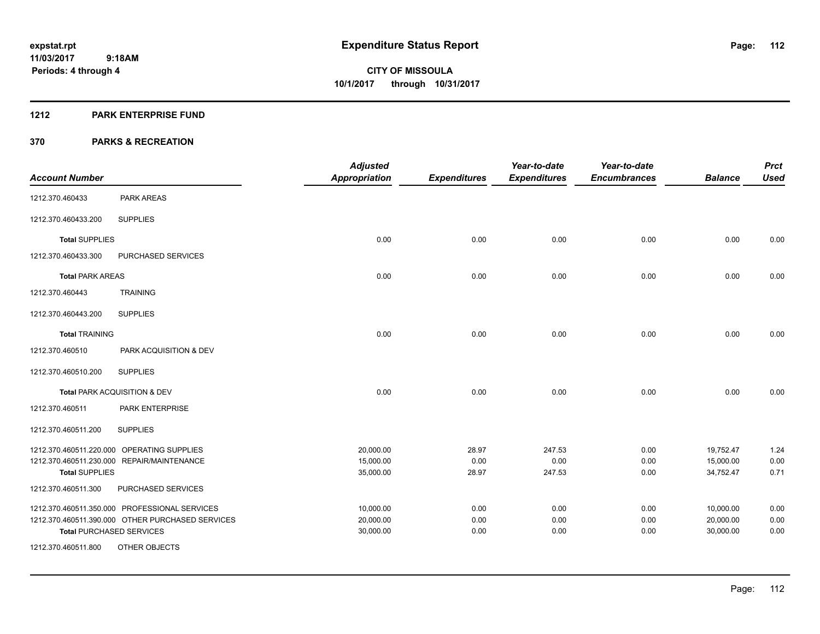#### **1212 PARK ENTERPRISE FUND**

|                         |                                                                                                                                      | <b>Adjusted</b>                     |                        | Year-to-date             | Year-to-date         |                                     | <b>Prct</b>          |
|-------------------------|--------------------------------------------------------------------------------------------------------------------------------------|-------------------------------------|------------------------|--------------------------|----------------------|-------------------------------------|----------------------|
| <b>Account Number</b>   |                                                                                                                                      | <b>Appropriation</b>                | <b>Expenditures</b>    | <b>Expenditures</b>      | <b>Encumbrances</b>  | <b>Balance</b>                      | <b>Used</b>          |
| 1212.370.460433         | <b>PARK AREAS</b>                                                                                                                    |                                     |                        |                          |                      |                                     |                      |
| 1212.370.460433.200     | <b>SUPPLIES</b>                                                                                                                      |                                     |                        |                          |                      |                                     |                      |
| <b>Total SUPPLIES</b>   |                                                                                                                                      | 0.00                                | 0.00                   | 0.00                     | 0.00                 | 0.00                                | 0.00                 |
| 1212.370.460433.300     | PURCHASED SERVICES                                                                                                                   |                                     |                        |                          |                      |                                     |                      |
| <b>Total PARK AREAS</b> |                                                                                                                                      | 0.00                                | 0.00                   | 0.00                     | 0.00                 | 0.00                                | 0.00                 |
| 1212.370.460443         | <b>TRAINING</b>                                                                                                                      |                                     |                        |                          |                      |                                     |                      |
| 1212.370.460443.200     | <b>SUPPLIES</b>                                                                                                                      |                                     |                        |                          |                      |                                     |                      |
| <b>Total TRAINING</b>   |                                                                                                                                      | 0.00                                | 0.00                   | 0.00                     | 0.00                 | 0.00                                | 0.00                 |
| 1212.370.460510         | PARK ACQUISITION & DEV                                                                                                               |                                     |                        |                          |                      |                                     |                      |
| 1212.370.460510.200     | <b>SUPPLIES</b>                                                                                                                      |                                     |                        |                          |                      |                                     |                      |
|                         | Total PARK ACQUISITION & DEV                                                                                                         | 0.00                                | 0.00                   | 0.00                     | 0.00                 | 0.00                                | 0.00                 |
| 1212.370.460511         | PARK ENTERPRISE                                                                                                                      |                                     |                        |                          |                      |                                     |                      |
| 1212.370.460511.200     | <b>SUPPLIES</b>                                                                                                                      |                                     |                        |                          |                      |                                     |                      |
| <b>Total SUPPLIES</b>   | 1212.370.460511.220.000 OPERATING SUPPLIES<br>1212.370.460511.230.000 REPAIR/MAINTENANCE                                             | 20,000.00<br>15,000.00<br>35,000.00 | 28.97<br>0.00<br>28.97 | 247.53<br>0.00<br>247.53 | 0.00<br>0.00<br>0.00 | 19,752.47<br>15,000.00<br>34,752.47 | 1.24<br>0.00<br>0.71 |
| 1212.370.460511.300     | PURCHASED SERVICES                                                                                                                   |                                     |                        |                          |                      |                                     |                      |
|                         | 1212.370.460511.350.000 PROFESSIONAL SERVICES<br>1212.370.460511.390.000 OTHER PURCHASED SERVICES<br><b>Total PURCHASED SERVICES</b> | 10,000.00<br>20,000.00<br>30,000.00 | 0.00<br>0.00<br>0.00   | 0.00<br>0.00<br>0.00     | 0.00<br>0.00<br>0.00 | 10,000.00<br>20,000.00<br>30,000.00 | 0.00<br>0.00<br>0.00 |
| 1212.370.460511.800     | OTHER OBJECTS                                                                                                                        |                                     |                        |                          |                      |                                     |                      |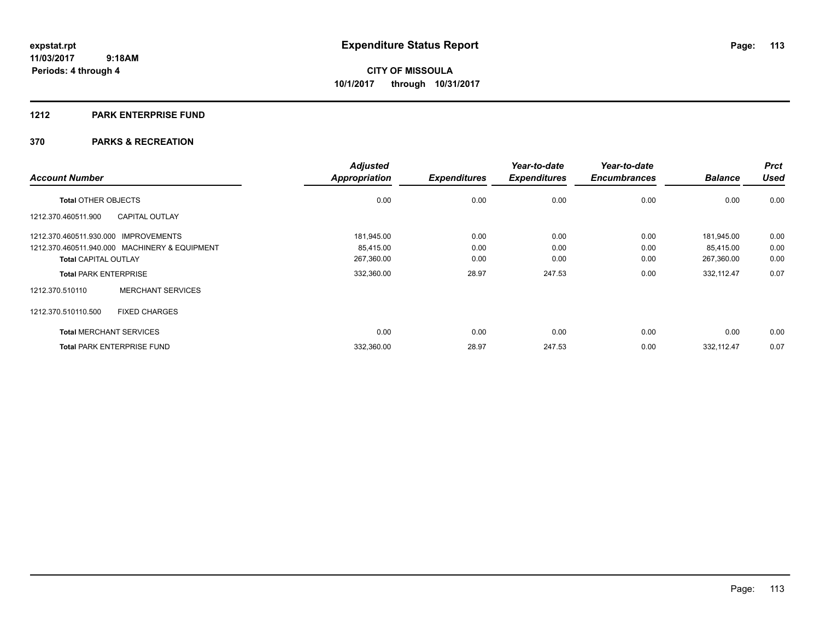#### **1212 PARK ENTERPRISE FUND**

|                                      |                                               | <b>Adjusted</b>      |                     | Year-to-date        | Year-to-date        |                | <b>Prct</b> |
|--------------------------------------|-----------------------------------------------|----------------------|---------------------|---------------------|---------------------|----------------|-------------|
| <b>Account Number</b>                |                                               | <b>Appropriation</b> | <b>Expenditures</b> | <b>Expenditures</b> | <b>Encumbrances</b> | <b>Balance</b> | <b>Used</b> |
| <b>Total OTHER OBJECTS</b>           |                                               | 0.00                 | 0.00                | 0.00                | 0.00                | 0.00           | 0.00        |
| 1212.370.460511.900                  | <b>CAPITAL OUTLAY</b>                         |                      |                     |                     |                     |                |             |
| 1212.370.460511.930.000 IMPROVEMENTS |                                               | 181,945.00           | 0.00                | 0.00                | 0.00                | 181.945.00     | 0.00        |
|                                      | 1212.370.460511.940.000 MACHINERY & EQUIPMENT | 85,415.00            | 0.00                | 0.00                | 0.00                | 85,415.00      | 0.00        |
| <b>Total CAPITAL OUTLAY</b>          |                                               | 267,360.00           | 0.00                | 0.00                | 0.00                | 267,360.00     | 0.00        |
| <b>Total PARK ENTERPRISE</b>         |                                               | 332,360.00           | 28.97               | 247.53              | 0.00                | 332,112.47     | 0.07        |
| 1212.370.510110                      | <b>MERCHANT SERVICES</b>                      |                      |                     |                     |                     |                |             |
| 1212.370.510110.500                  | <b>FIXED CHARGES</b>                          |                      |                     |                     |                     |                |             |
| <b>Total MERCHANT SERVICES</b>       |                                               | 0.00                 | 0.00                | 0.00                | 0.00                | 0.00           | 0.00        |
|                                      | <b>Total PARK ENTERPRISE FUND</b>             | 332,360.00           | 28.97               | 247.53              | 0.00                | 332,112.47     | 0.07        |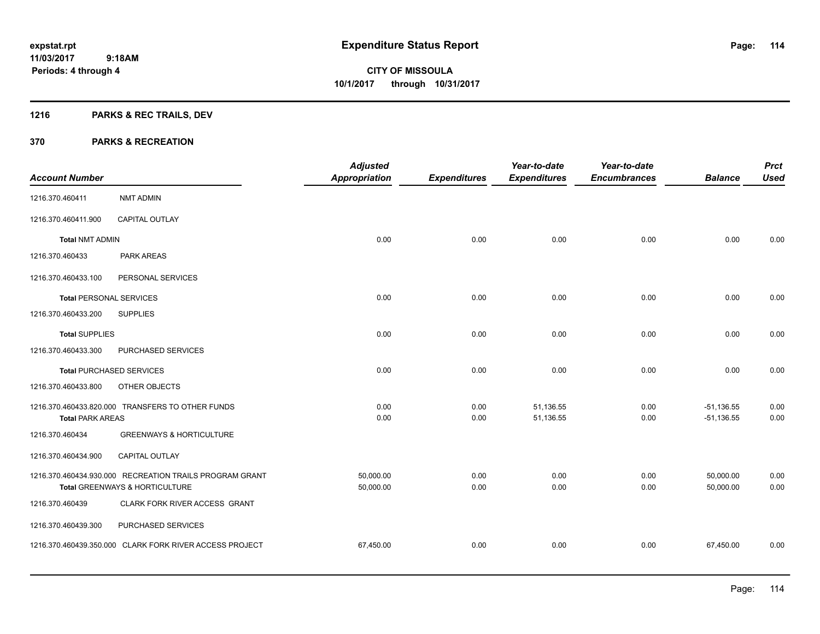## **1216 PARKS & REC TRAILS, DEV**

|                                |                                                         | <b>Adjusted</b>      |                     | Year-to-date        | Year-to-date        |                | <b>Prct</b> |
|--------------------------------|---------------------------------------------------------|----------------------|---------------------|---------------------|---------------------|----------------|-------------|
| <b>Account Number</b>          |                                                         | <b>Appropriation</b> | <b>Expenditures</b> | <b>Expenditures</b> | <b>Encumbrances</b> | <b>Balance</b> | <b>Used</b> |
| 1216.370.460411                | <b>NMT ADMIN</b>                                        |                      |                     |                     |                     |                |             |
| 1216.370.460411.900            | <b>CAPITAL OUTLAY</b>                                   |                      |                     |                     |                     |                |             |
| <b>Total NMT ADMIN</b>         |                                                         | 0.00                 | 0.00                | 0.00                | 0.00                | 0.00           | 0.00        |
| 1216.370.460433                | PARK AREAS                                              |                      |                     |                     |                     |                |             |
| 1216.370.460433.100            | PERSONAL SERVICES                                       |                      |                     |                     |                     |                |             |
| <b>Total PERSONAL SERVICES</b> |                                                         | 0.00                 | 0.00                | 0.00                | 0.00                | 0.00           | 0.00        |
| 1216.370.460433.200            | <b>SUPPLIES</b>                                         |                      |                     |                     |                     |                |             |
| <b>Total SUPPLIES</b>          |                                                         | 0.00                 | 0.00                | 0.00                | 0.00                | 0.00           | 0.00        |
| 1216.370.460433.300            | PURCHASED SERVICES                                      |                      |                     |                     |                     |                |             |
|                                | <b>Total PURCHASED SERVICES</b>                         | 0.00                 | 0.00                | 0.00                | 0.00                | 0.00           | 0.00        |
| 1216.370.460433.800            | OTHER OBJECTS                                           |                      |                     |                     |                     |                |             |
|                                | 1216.370.460433.820.000 TRANSFERS TO OTHER FUNDS        | 0.00                 | 0.00                | 51,136.55           | 0.00                | $-51,136.55$   | 0.00        |
| <b>Total PARK AREAS</b>        |                                                         | 0.00                 | 0.00                | 51,136.55           | 0.00                | $-51,136.55$   | 0.00        |
| 1216.370.460434                | <b>GREENWAYS &amp; HORTICULTURE</b>                     |                      |                     |                     |                     |                |             |
| 1216.370.460434.900            | CAPITAL OUTLAY                                          |                      |                     |                     |                     |                |             |
|                                | 1216.370.460434.930.000 RECREATION TRAILS PROGRAM GRANT | 50,000.00            | 0.00                | 0.00                | 0.00                | 50,000.00      | 0.00        |
|                                | Total GREENWAYS & HORTICULTURE                          | 50,000.00            | 0.00                | 0.00                | 0.00                | 50,000.00      | 0.00        |
| 1216.370.460439                | CLARK FORK RIVER ACCESS GRANT                           |                      |                     |                     |                     |                |             |
| 1216.370.460439.300            | PURCHASED SERVICES                                      |                      |                     |                     |                     |                |             |
|                                | 1216.370.460439.350.000 CLARK FORK RIVER ACCESS PROJECT | 67,450.00            | 0.00                | 0.00                | 0.00                | 67,450.00      | 0.00        |
|                                |                                                         |                      |                     |                     |                     |                |             |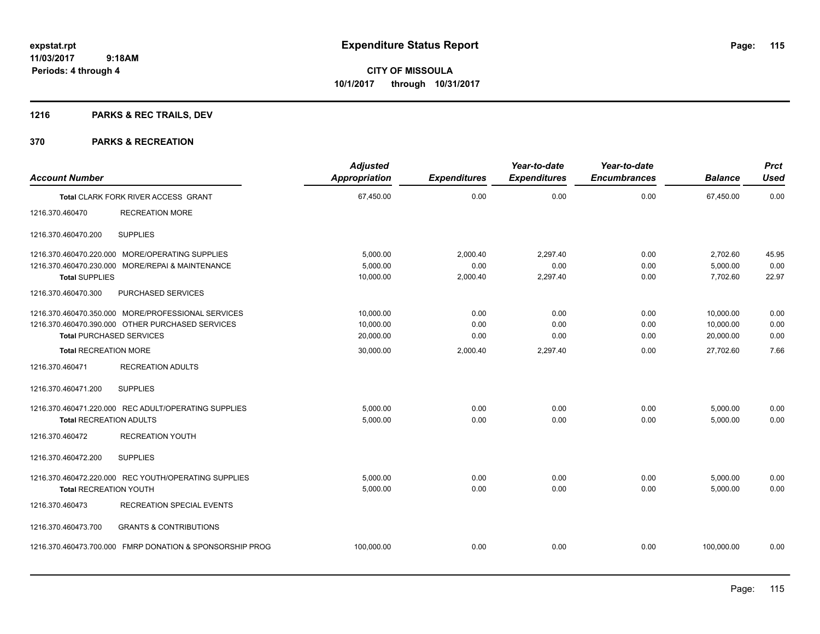## **1216 PARKS & REC TRAILS, DEV**

|                                 |                                                          | <b>Adjusted</b>      |                     | Year-to-date        | Year-to-date        |                | <b>Prct</b> |
|---------------------------------|----------------------------------------------------------|----------------------|---------------------|---------------------|---------------------|----------------|-------------|
| <b>Account Number</b>           |                                                          | <b>Appropriation</b> | <b>Expenditures</b> | <b>Expenditures</b> | <b>Encumbrances</b> | <b>Balance</b> | <b>Used</b> |
|                                 | Total CLARK FORK RIVER ACCESS GRANT                      | 67,450.00            | 0.00                | 0.00                | 0.00                | 67,450.00      | 0.00        |
| 1216.370.460470                 | <b>RECREATION MORE</b>                                   |                      |                     |                     |                     |                |             |
| 1216.370.460470.200             | <b>SUPPLIES</b>                                          |                      |                     |                     |                     |                |             |
|                                 | 1216.370.460470.220.000 MORE/OPERATING SUPPLIES          | 5,000.00             | 2,000.40            | 2,297.40            | 0.00                | 2,702.60       | 45.95       |
|                                 | 1216.370.460470.230.000 MORE/REPAI & MAINTENANCE         | 5,000.00             | 0.00                | 0.00                | 0.00                | 5,000.00       | 0.00        |
| <b>Total SUPPLIES</b>           |                                                          | 10,000.00            | 2,000.40            | 2,297.40            | 0.00                | 7,702.60       | 22.97       |
| 1216.370.460470.300             | PURCHASED SERVICES                                       |                      |                     |                     |                     |                |             |
|                                 | 1216.370.460470.350.000 MORE/PROFESSIONAL SERVICES       | 10,000.00            | 0.00                | 0.00                | 0.00                | 10,000.00      | 0.00        |
|                                 | 1216.370.460470.390.000 OTHER PURCHASED SERVICES         | 10,000.00            | 0.00                | 0.00                | 0.00                | 10,000.00      | 0.00        |
| <b>Total PURCHASED SERVICES</b> |                                                          | 20,000.00            | 0.00                | 0.00                | 0.00                | 20,000.00      | 0.00        |
| <b>Total RECREATION MORE</b>    |                                                          | 30,000.00            | 2,000.40            | 2,297.40            | 0.00                | 27,702.60      | 7.66        |
| 1216.370.460471                 | <b>RECREATION ADULTS</b>                                 |                      |                     |                     |                     |                |             |
| 1216.370.460471.200             | <b>SUPPLIES</b>                                          |                      |                     |                     |                     |                |             |
|                                 | 1216.370.460471.220.000 REC ADULT/OPERATING SUPPLIES     | 5,000.00             | 0.00                | 0.00                | 0.00                | 5,000.00       | 0.00        |
| <b>Total RECREATION ADULTS</b>  |                                                          | 5,000.00             | 0.00                | 0.00                | 0.00                | 5,000.00       | 0.00        |
| 1216.370.460472                 | <b>RECREATION YOUTH</b>                                  |                      |                     |                     |                     |                |             |
| 1216.370.460472.200             | <b>SUPPLIES</b>                                          |                      |                     |                     |                     |                |             |
|                                 | 1216.370.460472.220.000 REC YOUTH/OPERATING SUPPLIES     | 5,000.00             | 0.00                | 0.00                | 0.00                | 5,000.00       | 0.00        |
| <b>Total RECREATION YOUTH</b>   |                                                          | 5,000.00             | 0.00                | 0.00                | 0.00                | 5,000.00       | 0.00        |
| 1216.370.460473                 | <b>RECREATION SPECIAL EVENTS</b>                         |                      |                     |                     |                     |                |             |
| 1216.370.460473.700             | <b>GRANTS &amp; CONTRIBUTIONS</b>                        |                      |                     |                     |                     |                |             |
|                                 | 1216.370.460473.700.000 FMRP DONATION & SPONSORSHIP PROG | 100,000.00           | 0.00                | 0.00                | 0.00                | 100,000.00     | 0.00        |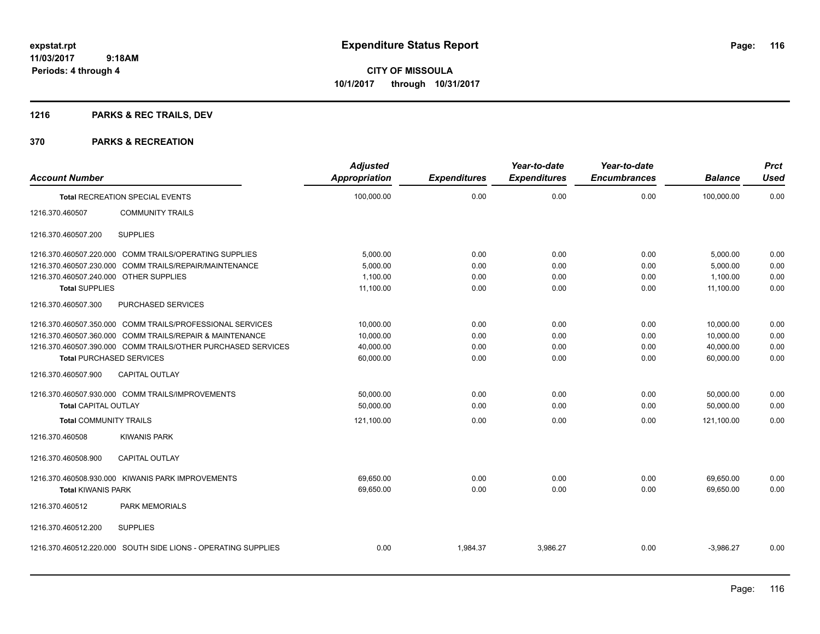**CITY OF MISSOULA 10/1/2017 through 10/31/2017**

## **1216 PARKS & REC TRAILS, DEV**

| <b>Account Number</b>                  |                                                               | <b>Adjusted</b><br><b>Appropriation</b> | <b>Expenditures</b> | Year-to-date<br><b>Expenditures</b> | Year-to-date<br><b>Encumbrances</b> | <b>Balance</b> | <b>Prct</b><br><b>Used</b> |
|----------------------------------------|---------------------------------------------------------------|-----------------------------------------|---------------------|-------------------------------------|-------------------------------------|----------------|----------------------------|
|                                        | <b>Total RECREATION SPECIAL EVENTS</b>                        | 100,000.00                              | 0.00                | 0.00                                | 0.00                                | 100,000.00     | 0.00                       |
| 1216.370.460507                        | <b>COMMUNITY TRAILS</b>                                       |                                         |                     |                                     |                                     |                |                            |
| 1216.370.460507.200                    | <b>SUPPLIES</b>                                               |                                         |                     |                                     |                                     |                |                            |
|                                        | 1216.370.460507.220.000 COMM TRAILS/OPERATING SUPPLIES        | 5,000.00                                | 0.00                | 0.00                                | 0.00                                | 5,000.00       | 0.00                       |
| 1216.370.460507.230.000                | COMM TRAILS/REPAIR/MAINTENANCE                                | 5,000.00                                | 0.00                | 0.00                                | 0.00                                | 5,000.00       | 0.00                       |
| 1216.370.460507.240.000 OTHER SUPPLIES |                                                               | 1,100.00                                | 0.00                | 0.00                                | 0.00                                | 1,100.00       | 0.00                       |
| <b>Total SUPPLIES</b>                  |                                                               | 11,100.00                               | 0.00                | 0.00                                | 0.00                                | 11,100.00      | 0.00                       |
| 1216.370.460507.300                    | <b>PURCHASED SERVICES</b>                                     |                                         |                     |                                     |                                     |                |                            |
|                                        | 1216.370.460507.350.000 COMM TRAILS/PROFESSIONAL SERVICES     | 10,000.00                               | 0.00                | 0.00                                | 0.00                                | 10,000.00      | 0.00                       |
|                                        | 1216.370.460507.360.000 COMM TRAILS/REPAIR & MAINTENANCE      | 10,000.00                               | 0.00                | 0.00                                | 0.00                                | 10,000.00      | 0.00                       |
|                                        | 1216.370.460507.390.000 COMM TRAILS/OTHER PURCHASED SERVICES  | 40,000.00                               | 0.00                | 0.00                                | 0.00                                | 40,000.00      | 0.00                       |
| <b>Total PURCHASED SERVICES</b>        |                                                               | 60,000.00                               | 0.00                | 0.00                                | 0.00                                | 60,000.00      | 0.00                       |
| 1216.370.460507.900                    | <b>CAPITAL OUTLAY</b>                                         |                                         |                     |                                     |                                     |                |                            |
|                                        | 1216.370.460507.930.000 COMM TRAILS/IMPROVEMENTS              | 50,000.00                               | 0.00                | 0.00                                | 0.00                                | 50,000.00      | 0.00                       |
| <b>Total CAPITAL OUTLAY</b>            |                                                               | 50,000.00                               | 0.00                | 0.00                                | 0.00                                | 50,000.00      | 0.00                       |
| <b>Total COMMUNITY TRAILS</b>          |                                                               | 121,100.00                              | 0.00                | 0.00                                | 0.00                                | 121,100.00     | 0.00                       |
| 1216.370.460508                        | <b>KIWANIS PARK</b>                                           |                                         |                     |                                     |                                     |                |                            |
| 1216.370.460508.900                    | <b>CAPITAL OUTLAY</b>                                         |                                         |                     |                                     |                                     |                |                            |
|                                        | 1216.370.460508.930.000 KIWANIS PARK IMPROVEMENTS             | 69,650.00                               | 0.00                | 0.00                                | 0.00                                | 69,650.00      | 0.00                       |
| <b>Total KIWANIS PARK</b>              |                                                               | 69,650.00                               | 0.00                | 0.00                                | 0.00                                | 69.650.00      | 0.00                       |
| 1216.370.460512                        | <b>PARK MEMORIALS</b>                                         |                                         |                     |                                     |                                     |                |                            |
| 1216.370.460512.200                    | <b>SUPPLIES</b>                                               |                                         |                     |                                     |                                     |                |                            |
|                                        | 1216.370.460512.220.000 SOUTH SIDE LIONS - OPERATING SUPPLIES | 0.00                                    | 1,984.37            | 3,986.27                            | 0.00                                | $-3,986.27$    | 0.00                       |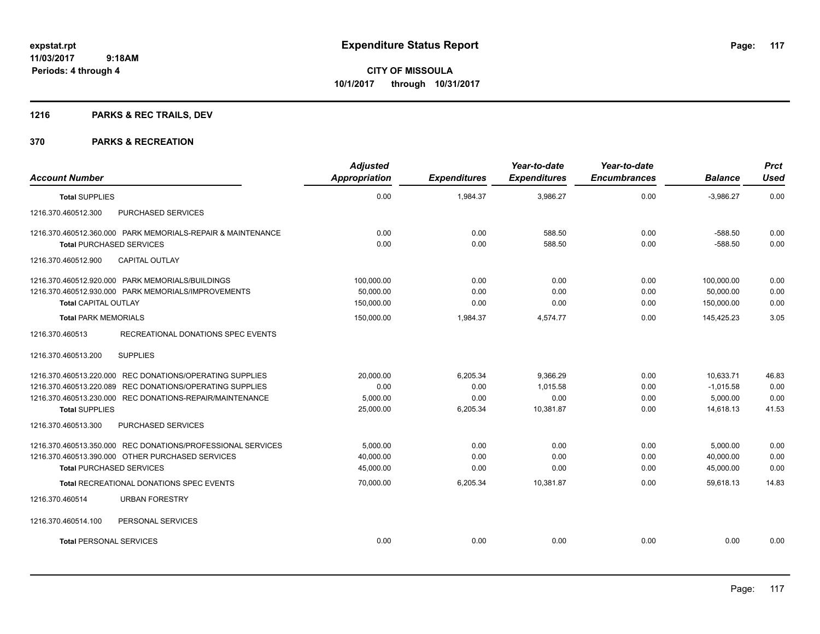## **1216 PARKS & REC TRAILS, DEV**

| <b>Account Number</b>                                       | <b>Adjusted</b><br>Appropriation | <b>Expenditures</b> | Year-to-date<br><b>Expenditures</b> | Year-to-date<br><b>Encumbrances</b> | <b>Balance</b> | <b>Prct</b><br><b>Used</b> |
|-------------------------------------------------------------|----------------------------------|---------------------|-------------------------------------|-------------------------------------|----------------|----------------------------|
| <b>Total SUPPLIES</b>                                       | 0.00                             | 1,984.37            | 3,986.27                            | 0.00                                | $-3,986.27$    | 0.00                       |
| 1216.370.460512.300<br>PURCHASED SERVICES                   |                                  |                     |                                     |                                     |                |                            |
| 1216.370.460512.360.000 PARK MEMORIALS-REPAIR & MAINTENANCE | 0.00                             | 0.00                | 588.50                              | 0.00                                | $-588.50$      | 0.00                       |
| <b>Total PURCHASED SERVICES</b>                             | 0.00                             | 0.00                | 588.50                              | 0.00                                | $-588.50$      | 0.00                       |
| 1216.370.460512.900<br><b>CAPITAL OUTLAY</b>                |                                  |                     |                                     |                                     |                |                            |
| 1216.370.460512.920.000 PARK MEMORIALS/BUILDINGS            | 100,000.00                       | 0.00                | 0.00                                | 0.00                                | 100,000.00     | 0.00                       |
| 1216.370.460512.930.000 PARK MEMORIALS/IMPROVEMENTS         | 50,000.00                        | 0.00                | 0.00                                | 0.00                                | 50,000.00      | 0.00                       |
| <b>Total CAPITAL OUTLAY</b>                                 | 150,000.00                       | 0.00                | 0.00                                | 0.00                                | 150,000.00     | 0.00                       |
| <b>Total PARK MEMORIALS</b>                                 | 150,000.00                       | 1,984.37            | 4,574.77                            | 0.00                                | 145,425.23     | 3.05                       |
| RECREATIONAL DONATIONS SPEC EVENTS<br>1216.370.460513       |                                  |                     |                                     |                                     |                |                            |
| <b>SUPPLIES</b><br>1216.370.460513.200                      |                                  |                     |                                     |                                     |                |                            |
| 1216.370.460513.220.000 REC DONATIONS/OPERATING SUPPLIES    | 20,000.00                        | 6,205.34            | 9,366.29                            | 0.00                                | 10,633.71      | 46.83                      |
| 1216.370.460513.220.089 REC DONATIONS/OPERATING SUPPLIES    | 0.00                             | 0.00                | 1,015.58                            | 0.00                                | $-1,015.58$    | 0.00                       |
| 1216.370.460513.230.000 REC DONATIONS-REPAIR/MAINTENANCE    | 5,000.00                         | 0.00                | 0.00                                | 0.00                                | 5.000.00       | 0.00                       |
| <b>Total SUPPLIES</b>                                       | 25,000.00                        | 6,205.34            | 10,381.87                           | 0.00                                | 14,618.13      | 41.53                      |
| 1216.370.460513.300<br><b>PURCHASED SERVICES</b>            |                                  |                     |                                     |                                     |                |                            |
| 1216.370.460513.350.000 REC DONATIONS/PROFESSIONAL SERVICES | 5,000.00                         | 0.00                | 0.00                                | 0.00                                | 5,000.00       | 0.00                       |
| 1216.370.460513.390.000 OTHER PURCHASED SERVICES            | 40.000.00                        | 0.00                | 0.00                                | 0.00                                | 40,000.00      | 0.00                       |
| <b>Total PURCHASED SERVICES</b>                             | 45,000.00                        | 0.00                | 0.00                                | 0.00                                | 45,000.00      | 0.00                       |
| Total RECREATIONAL DONATIONS SPEC EVENTS                    | 70,000.00                        | 6,205.34            | 10,381.87                           | 0.00                                | 59,618.13      | 14.83                      |
| 1216.370.460514<br><b>URBAN FORESTRY</b>                    |                                  |                     |                                     |                                     |                |                            |
| 1216.370.460514.100<br>PERSONAL SERVICES                    |                                  |                     |                                     |                                     |                |                            |
| <b>Total PERSONAL SERVICES</b>                              | 0.00                             | 0.00                | 0.00                                | 0.00                                | 0.00           | 0.00                       |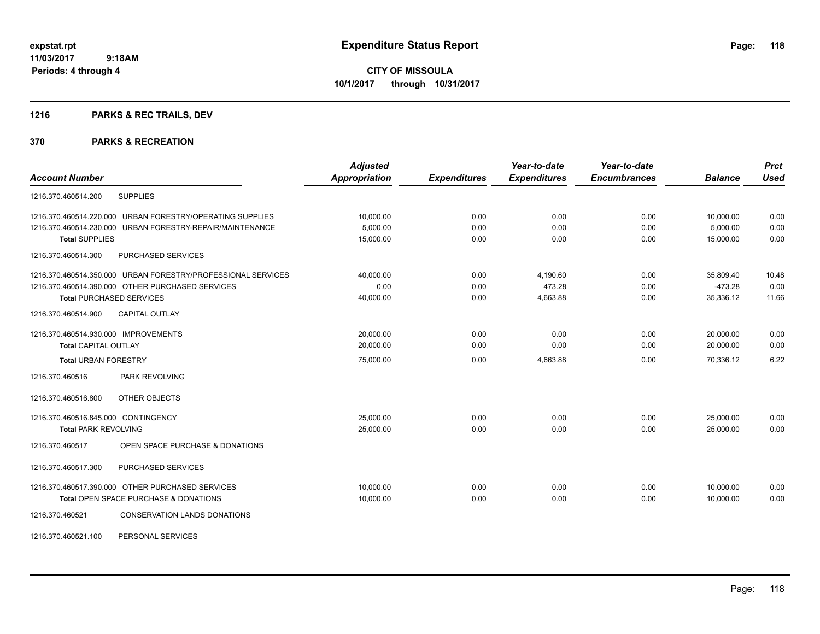## **1216 PARKS & REC TRAILS, DEV**

| <b>Account Number</b>                                        | <b>Adjusted</b><br><b>Appropriation</b> | <b>Expenditures</b> | Year-to-date<br><b>Expenditures</b> | Year-to-date<br><b>Encumbrances</b> | <b>Balance</b> | <b>Prct</b><br><b>Used</b> |
|--------------------------------------------------------------|-----------------------------------------|---------------------|-------------------------------------|-------------------------------------|----------------|----------------------------|
| <b>SUPPLIES</b><br>1216.370.460514.200                       |                                         |                     |                                     |                                     |                |                            |
| 1216.370.460514.220.000 URBAN FORESTRY/OPERATING SUPPLIES    | 10,000.00                               | 0.00                | 0.00                                | 0.00                                | 10,000.00      | 0.00                       |
| 1216.370.460514.230.000 URBAN FORESTRY-REPAIR/MAINTENANCE    | 5,000.00                                | 0.00                | 0.00                                | 0.00                                | 5,000.00       | 0.00                       |
| <b>Total SUPPLIES</b>                                        | 15,000.00                               | 0.00                | 0.00                                | 0.00                                | 15,000.00      | 0.00                       |
| PURCHASED SERVICES<br>1216.370.460514.300                    |                                         |                     |                                     |                                     |                |                            |
| 1216.370.460514.350.000 URBAN FORESTRY/PROFESSIONAL SERVICES | 40.000.00                               | 0.00                | 4,190.60                            | 0.00                                | 35,809.40      | 10.48                      |
| 1216.370.460514.390.000 OTHER PURCHASED SERVICES             | 0.00                                    | 0.00                | 473.28                              | 0.00                                | $-473.28$      | 0.00                       |
| <b>Total PURCHASED SERVICES</b>                              | 40,000.00                               | 0.00                | 4,663.88                            | 0.00                                | 35,336.12      | 11.66                      |
| CAPITAL OUTLAY<br>1216.370.460514.900                        |                                         |                     |                                     |                                     |                |                            |
| 1216.370.460514.930.000 IMPROVEMENTS                         | 20,000.00                               | 0.00                | 0.00                                | 0.00                                | 20,000.00      | 0.00                       |
| <b>Total CAPITAL OUTLAY</b>                                  | 20,000.00                               | 0.00                | 0.00                                | 0.00                                | 20,000.00      | 0.00                       |
| <b>Total URBAN FORESTRY</b>                                  | 75,000.00                               | 0.00                | 4,663.88                            | 0.00                                | 70,336.12      | 6.22                       |
| PARK REVOLVING<br>1216.370.460516                            |                                         |                     |                                     |                                     |                |                            |
| 1216.370.460516.800<br>OTHER OBJECTS                         |                                         |                     |                                     |                                     |                |                            |
| 1216.370.460516.845.000 CONTINGENCY                          | 25,000.00                               | 0.00                | 0.00                                | 0.00                                | 25,000.00      | 0.00                       |
| <b>Total PARK REVOLVING</b>                                  | 25,000.00                               | 0.00                | 0.00                                | 0.00                                | 25,000.00      | 0.00                       |
| OPEN SPACE PURCHASE & DONATIONS<br>1216.370.460517           |                                         |                     |                                     |                                     |                |                            |
| PURCHASED SERVICES<br>1216.370.460517.300                    |                                         |                     |                                     |                                     |                |                            |
| 1216.370.460517.390.000 OTHER PURCHASED SERVICES             | 10,000.00                               | 0.00                | 0.00                                | 0.00                                | 10,000.00      | 0.00                       |
| Total OPEN SPACE PURCHASE & DONATIONS                        | 10,000.00                               | 0.00                | 0.00                                | 0.00                                | 10.000.00      | 0.00                       |
| 1216.370.460521<br><b>CONSERVATION LANDS DONATIONS</b>       |                                         |                     |                                     |                                     |                |                            |
| PERSONAL SERVICES<br>1216.370.460521.100                     |                                         |                     |                                     |                                     |                |                            |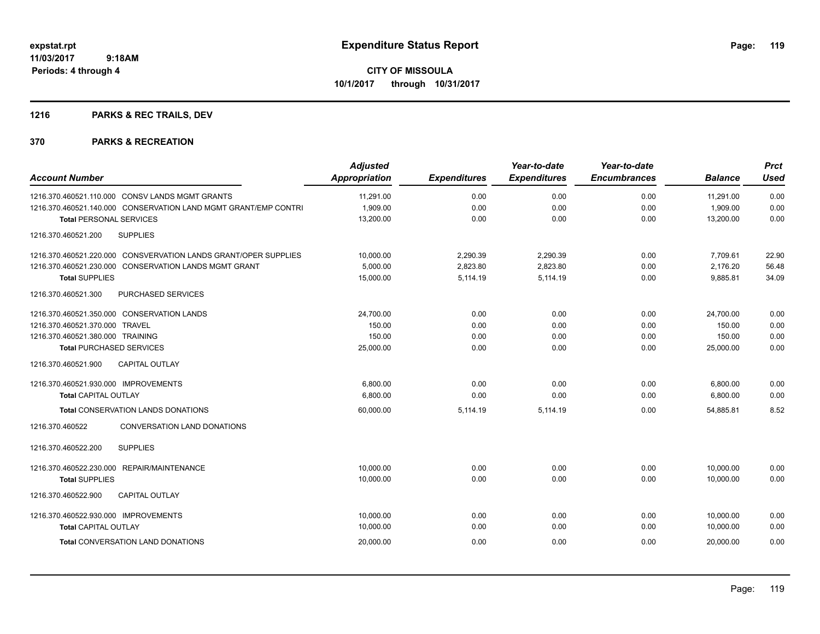## **1216 PARKS & REC TRAILS, DEV**

| <b>Account Number</b>                                           | <b>Adjusted</b><br><b>Appropriation</b> | <b>Expenditures</b> | Year-to-date<br><b>Expenditures</b> | Year-to-date<br><b>Encumbrances</b> | <b>Balance</b> | <b>Prct</b><br><b>Used</b> |
|-----------------------------------------------------------------|-----------------------------------------|---------------------|-------------------------------------|-------------------------------------|----------------|----------------------------|
| 1216.370.460521.110.000 CONSV LANDS MGMT GRANTS                 | 11,291.00                               | 0.00                | 0.00                                | 0.00                                | 11,291.00      | 0.00                       |
| 1216.370.460521.140.000 CONSERVATION LAND MGMT GRANT/EMP CONTRI | 1,909.00                                | 0.00                | 0.00                                | 0.00                                | 1,909.00       | 0.00                       |
| <b>Total PERSONAL SERVICES</b>                                  | 13,200.00                               | 0.00                | 0.00                                | 0.00                                | 13,200.00      | 0.00                       |
| 1216.370.460521.200<br><b>SUPPLIES</b>                          |                                         |                     |                                     |                                     |                |                            |
| 1216.370.460521.220.000 CONSVERVATION LANDS GRANT/OPER SUPPLIES | 10,000.00                               | 2,290.39            | 2,290.39                            | 0.00                                | 7,709.61       | 22.90                      |
| 1216.370.460521.230.000 CONSERVATION LANDS MGMT GRANT           | 5,000.00                                | 2,823.80            | 2,823.80                            | 0.00                                | 2,176.20       | 56.48                      |
| <b>Total SUPPLIES</b>                                           | 15,000.00                               | 5,114.19            | 5,114.19                            | 0.00                                | 9,885.81       | 34.09                      |
| 1216.370.460521.300<br>PURCHASED SERVICES                       |                                         |                     |                                     |                                     |                |                            |
| 1216.370.460521.350.000 CONSERVATION LANDS                      | 24,700.00                               | 0.00                | 0.00                                | 0.00                                | 24,700.00      | 0.00                       |
| 1216.370.460521.370.000 TRAVEL                                  | 150.00                                  | 0.00                | 0.00                                | 0.00                                | 150.00         | 0.00                       |
| 1216.370.460521.380.000 TRAINING                                | 150.00                                  | 0.00                | 0.00                                | 0.00                                | 150.00         | 0.00                       |
| <b>Total PURCHASED SERVICES</b>                                 | 25,000.00                               | 0.00                | 0.00                                | 0.00                                | 25,000.00      | 0.00                       |
| 1216.370.460521.900<br><b>CAPITAL OUTLAY</b>                    |                                         |                     |                                     |                                     |                |                            |
| 1216.370.460521.930.000 IMPROVEMENTS                            | 6.800.00                                | 0.00                | 0.00                                | 0.00                                | 6,800.00       | 0.00                       |
| <b>Total CAPITAL OUTLAY</b>                                     | 6,800.00                                | 0.00                | 0.00                                | 0.00                                | 6,800.00       | 0.00                       |
| <b>Total CONSERVATION LANDS DONATIONS</b>                       | 60,000.00                               | 5,114.19            | 5,114.19                            | 0.00                                | 54.885.81      | 8.52                       |
| 1216.370.460522<br>CONVERSATION LAND DONATIONS                  |                                         |                     |                                     |                                     |                |                            |
| 1216.370.460522.200<br><b>SUPPLIES</b>                          |                                         |                     |                                     |                                     |                |                            |
| 1216.370.460522.230.000 REPAIR/MAINTENANCE                      | 10,000.00                               | 0.00                | 0.00                                | 0.00                                | 10,000.00      | 0.00                       |
| <b>Total SUPPLIES</b>                                           | 10,000.00                               | 0.00                | 0.00                                | 0.00                                | 10,000.00      | 0.00                       |
| 1216.370.460522.900<br><b>CAPITAL OUTLAY</b>                    |                                         |                     |                                     |                                     |                |                            |
| 1216.370.460522.930.000 IMPROVEMENTS                            | 10,000.00                               | 0.00                | 0.00                                | 0.00                                | 10,000.00      | 0.00                       |
| <b>Total CAPITAL OUTLAY</b>                                     | 10,000.00                               | 0.00                | 0.00                                | 0.00                                | 10,000.00      | 0.00                       |
| <b>Total CONVERSATION LAND DONATIONS</b>                        | 20,000.00                               | 0.00                | 0.00                                | 0.00                                | 20,000.00      | 0.00                       |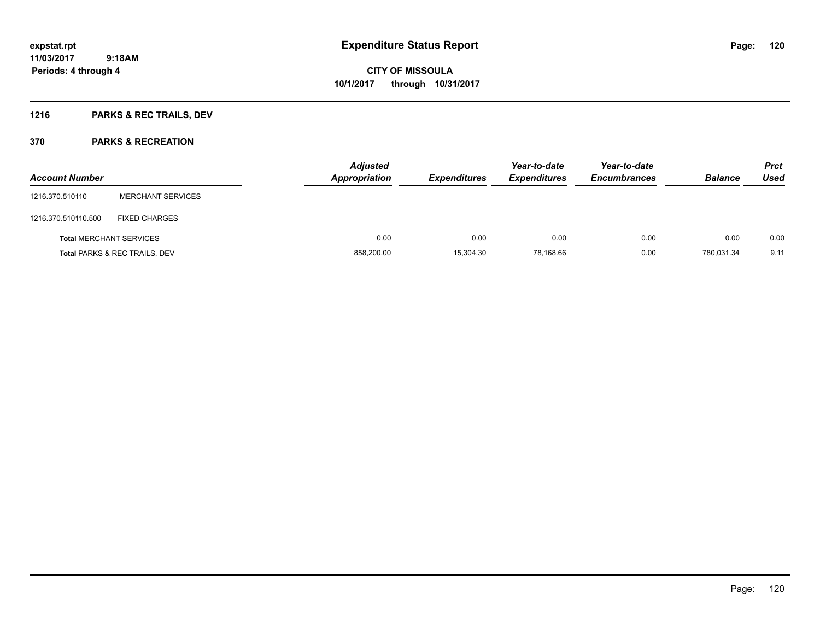## **1216 PARKS & REC TRAILS, DEV**

| <b>Account Number</b>          |                                          | <b>Adjusted</b><br><b>Appropriation</b> | <b>Expenditures</b> | Year-to-date<br><b>Expenditures</b> | Year-to-date<br><b>Encumbrances</b> | <b>Balance</b> | <b>Prct</b><br>Used |
|--------------------------------|------------------------------------------|-----------------------------------------|---------------------|-------------------------------------|-------------------------------------|----------------|---------------------|
| 1216.370.510110                | <b>MERCHANT SERVICES</b>                 |                                         |                     |                                     |                                     |                |                     |
| 1216.370.510110.500            | <b>FIXED CHARGES</b>                     |                                         |                     |                                     |                                     |                |                     |
| <b>Total MERCHANT SERVICES</b> |                                          | 0.00                                    | 0.00                | 0.00                                | 0.00                                | 0.00           | 0.00                |
|                                | <b>Total PARKS &amp; REC TRAILS, DEV</b> | 858,200.00                              | 15,304.30           | 78,168.66                           | 0.00                                | 780,031.34     | 9.11                |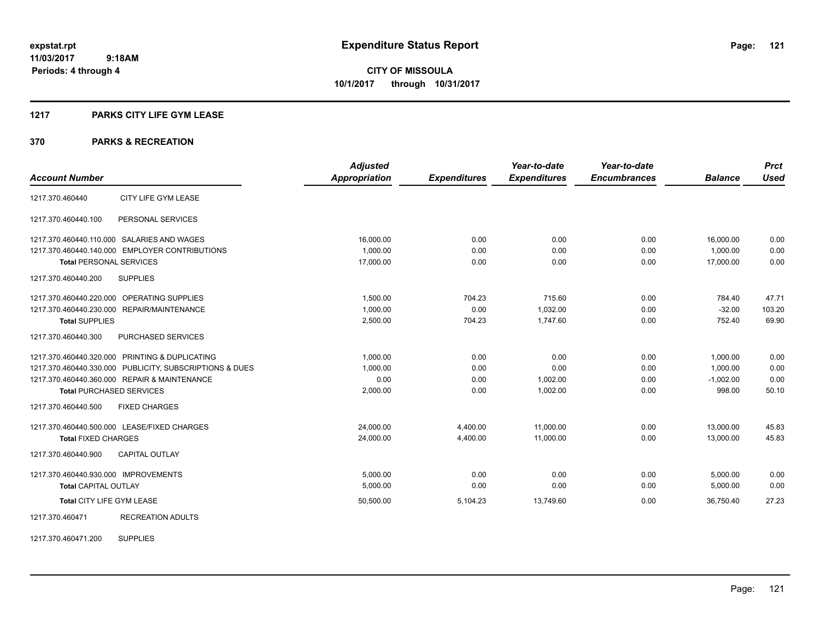#### **1217 PARKS CITY LIFE GYM LEASE**

#### **370 PARKS & RECREATION**

|                                                         | <b>Adjusted</b>      |                     | Year-to-date        | Year-to-date        |                | <b>Prct</b> |
|---------------------------------------------------------|----------------------|---------------------|---------------------|---------------------|----------------|-------------|
| <b>Account Number</b>                                   | <b>Appropriation</b> | <b>Expenditures</b> | <b>Expenditures</b> | <b>Encumbrances</b> | <b>Balance</b> | <b>Used</b> |
| 1217.370.460440<br>CITY LIFE GYM LEASE                  |                      |                     |                     |                     |                |             |
| PERSONAL SERVICES<br>1217.370.460440.100                |                      |                     |                     |                     |                |             |
| 1217.370.460440.110.000 SALARIES AND WAGES              | 16,000.00            | 0.00                | 0.00                | 0.00                | 16,000.00      | 0.00        |
| 1217.370.460440.140.000 EMPLOYER CONTRIBUTIONS          | 1.000.00             | 0.00                | 0.00                | 0.00                | 1.000.00       | 0.00        |
| <b>Total PERSONAL SERVICES</b>                          | 17,000.00            | 0.00                | 0.00                | 0.00                | 17,000.00      | 0.00        |
| <b>SUPPLIES</b><br>1217.370.460440.200                  |                      |                     |                     |                     |                |             |
| 1217.370.460440.220.000 OPERATING SUPPLIES              | 1,500.00             | 704.23              | 715.60              | 0.00                | 784.40         | 47.71       |
| 1217.370.460440.230.000 REPAIR/MAINTENANCE              | 1.000.00             | 0.00                | 1.032.00            | 0.00                | $-32.00$       | 103.20      |
| <b>Total SUPPLIES</b>                                   | 2,500.00             | 704.23              | 1,747.60            | 0.00                | 752.40         | 69.90       |
| 1217.370.460440.300<br><b>PURCHASED SERVICES</b>        |                      |                     |                     |                     |                |             |
| 1217.370.460440.320.000 PRINTING & DUPLICATING          | 1,000.00             | 0.00                | 0.00                | 0.00                | 1,000.00       | 0.00        |
| 1217.370.460440.330.000 PUBLICITY, SUBSCRIPTIONS & DUES | 1,000.00             | 0.00                | 0.00                | 0.00                | 1,000.00       | 0.00        |
| 1217.370.460440.360.000 REPAIR & MAINTENANCE            | 0.00                 | 0.00                | 1,002.00            | 0.00                | $-1,002.00$    | 0.00        |
| <b>Total PURCHASED SERVICES</b>                         | 2,000.00             | 0.00                | 1.002.00            | 0.00                | 998.00         | 50.10       |
| 1217.370.460440.500<br><b>FIXED CHARGES</b>             |                      |                     |                     |                     |                |             |
| 1217.370.460440.500.000 LEASE/FIXED CHARGES             | 24,000.00            | 4,400.00            | 11,000.00           | 0.00                | 13,000.00      | 45.83       |
| <b>Total FIXED CHARGES</b>                              | 24,000.00            | 4,400.00            | 11.000.00           | 0.00                | 13.000.00      | 45.83       |
| 1217.370.460440.900<br><b>CAPITAL OUTLAY</b>            |                      |                     |                     |                     |                |             |
| 1217.370.460440.930.000 IMPROVEMENTS                    | 5,000.00             | 0.00                | 0.00                | 0.00                | 5,000.00       | 0.00        |
| <b>Total CAPITAL OUTLAY</b>                             | 5,000.00             | 0.00                | 0.00                | 0.00                | 5,000.00       | 0.00        |
| Total CITY LIFE GYM LEASE                               | 50,500.00            | 5,104.23            | 13,749.60           | 0.00                | 36,750.40      | 27.23       |
| 1217.370.460471<br><b>RECREATION ADULTS</b>             |                      |                     |                     |                     |                |             |

1217.370.460471.200 SUPPLIES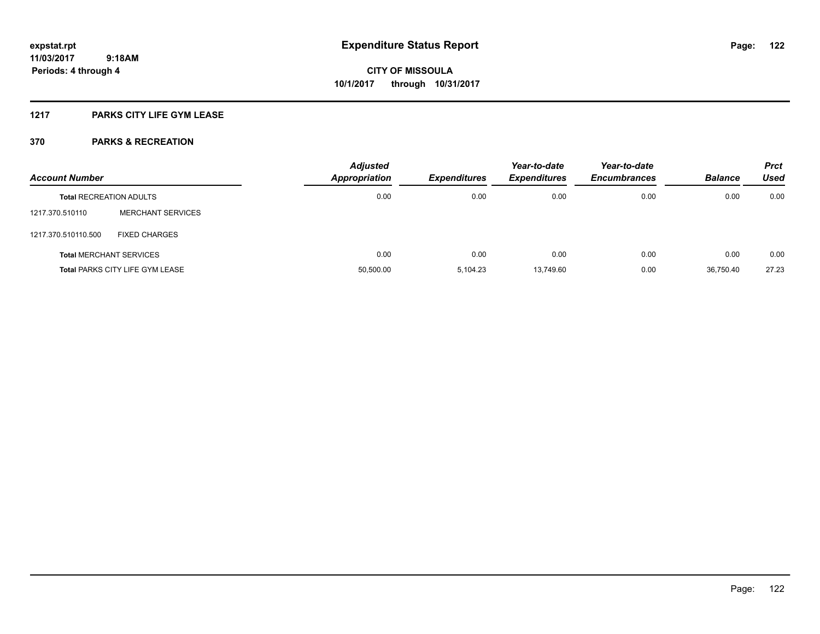### **1217 PARKS CITY LIFE GYM LEASE**

| <b>Account Number</b>          |                                        | <b>Adjusted</b><br>Appropriation | <b>Expenditures</b> | Year-to-date<br><b>Expenditures</b> | Year-to-date<br><b>Encumbrances</b> | <b>Balance</b> | <b>Prct</b><br><b>Used</b> |
|--------------------------------|----------------------------------------|----------------------------------|---------------------|-------------------------------------|-------------------------------------|----------------|----------------------------|
| <b>Total RECREATION ADULTS</b> |                                        | 0.00                             | 0.00                | 0.00                                | 0.00                                | 0.00           | 0.00                       |
| 1217.370.510110                | <b>MERCHANT SERVICES</b>               |                                  |                     |                                     |                                     |                |                            |
| 1217.370.510110.500            | <b>FIXED CHARGES</b>                   |                                  |                     |                                     |                                     |                |                            |
|                                | <b>Total MERCHANT SERVICES</b>         | 0.00                             | 0.00                | 0.00                                | 0.00                                | 0.00           | 0.00                       |
|                                | <b>Total PARKS CITY LIFE GYM LEASE</b> | 50,500.00                        | 5.104.23            | 13,749.60                           | 0.00                                | 36.750.40      | 27.23                      |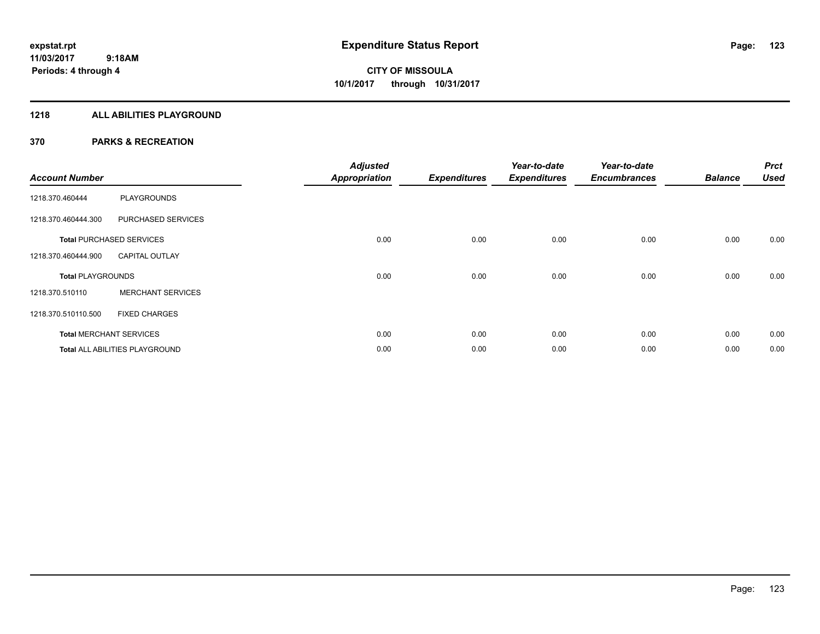### **1218 ALL ABILITIES PLAYGROUND**

| <b>Account Number</b>    |                                 | <b>Adjusted</b><br><b>Appropriation</b> | <b>Expenditures</b> | Year-to-date<br><b>Expenditures</b> | Year-to-date<br><b>Encumbrances</b> | <b>Balance</b> | <b>Prct</b><br><b>Used</b> |
|--------------------------|---------------------------------|-----------------------------------------|---------------------|-------------------------------------|-------------------------------------|----------------|----------------------------|
| 1218.370.460444          | <b>PLAYGROUNDS</b>              |                                         |                     |                                     |                                     |                |                            |
| 1218.370.460444.300      | PURCHASED SERVICES              |                                         |                     |                                     |                                     |                |                            |
|                          | <b>Total PURCHASED SERVICES</b> | 0.00                                    | 0.00                | 0.00                                | 0.00                                | 0.00           | 0.00                       |
| 1218.370.460444.900      | <b>CAPITAL OUTLAY</b>           |                                         |                     |                                     |                                     |                |                            |
| <b>Total PLAYGROUNDS</b> |                                 | 0.00                                    | 0.00                | 0.00                                | 0.00                                | 0.00           | 0.00                       |
| 1218.370.510110          | <b>MERCHANT SERVICES</b>        |                                         |                     |                                     |                                     |                |                            |
| 1218.370.510110.500      | <b>FIXED CHARGES</b>            |                                         |                     |                                     |                                     |                |                            |
|                          | <b>Total MERCHANT SERVICES</b>  | 0.00                                    | 0.00                | 0.00                                | 0.00                                | 0.00           | 0.00                       |
|                          | Total ALL ABILITIES PLAYGROUND  | 0.00                                    | 0.00                | 0.00                                | 0.00                                | 0.00           | 0.00                       |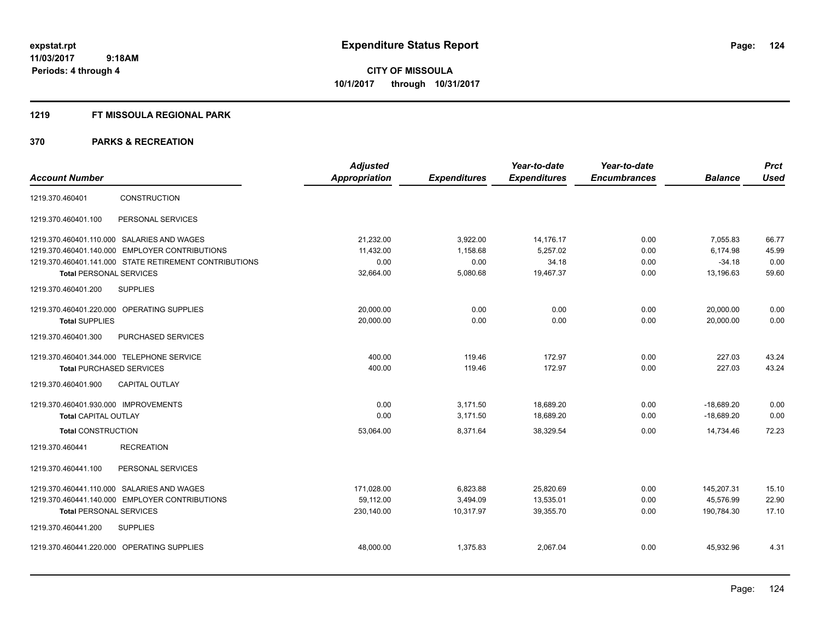#### **1219 FT MISSOULA REGIONAL PARK**

| <b>Account Number</b>                                                                                                                                                                    | <b>Adjusted</b><br>Appropriation            | <b>Expenditures</b>                      | Year-to-date<br><b>Expenditures</b>         | Year-to-date<br><b>Encumbrances</b> | <b>Balance</b>                                | <b>Prct</b><br><b>Used</b>      |
|------------------------------------------------------------------------------------------------------------------------------------------------------------------------------------------|---------------------------------------------|------------------------------------------|---------------------------------------------|-------------------------------------|-----------------------------------------------|---------------------------------|
| <b>CONSTRUCTION</b><br>1219.370.460401                                                                                                                                                   |                                             |                                          |                                             |                                     |                                               |                                 |
| PERSONAL SERVICES<br>1219.370.460401.100                                                                                                                                                 |                                             |                                          |                                             |                                     |                                               |                                 |
| 1219.370.460401.110.000 SALARIES AND WAGES<br>1219.370.460401.140.000 EMPLOYER CONTRIBUTIONS<br>1219.370.460401.141.000 STATE RETIREMENT CONTRIBUTIONS<br><b>Total PERSONAL SERVICES</b> | 21,232.00<br>11,432.00<br>0.00<br>32,664.00 | 3,922.00<br>1,158.68<br>0.00<br>5,080.68 | 14,176.17<br>5,257.02<br>34.18<br>19,467.37 | 0.00<br>0.00<br>0.00<br>0.00        | 7.055.83<br>6,174.98<br>$-34.18$<br>13,196.63 | 66.77<br>45.99<br>0.00<br>59.60 |
| 1219.370.460401.200<br><b>SUPPLIES</b>                                                                                                                                                   |                                             |                                          |                                             |                                     |                                               |                                 |
| 1219.370.460401.220.000 OPERATING SUPPLIES<br><b>Total SUPPLIES</b>                                                                                                                      | 20,000.00<br>20,000.00                      | 0.00<br>0.00                             | 0.00<br>0.00                                | 0.00<br>0.00                        | 20,000.00<br>20,000.00                        | 0.00<br>0.00                    |
| 1219.370.460401.300<br>PURCHASED SERVICES                                                                                                                                                |                                             |                                          |                                             |                                     |                                               |                                 |
| 1219.370.460401.344.000 TELEPHONE SERVICE<br><b>Total PURCHASED SERVICES</b>                                                                                                             | 400.00<br>400.00                            | 119.46<br>119.46                         | 172.97<br>172.97                            | 0.00<br>0.00                        | 227.03<br>227.03                              | 43.24<br>43.24                  |
| <b>CAPITAL OUTLAY</b><br>1219.370.460401.900                                                                                                                                             |                                             |                                          |                                             |                                     |                                               |                                 |
| 1219.370.460401.930.000 IMPROVEMENTS<br><b>Total CAPITAL OUTLAY</b>                                                                                                                      | 0.00<br>0.00                                | 3,171.50<br>3,171.50                     | 18,689.20<br>18,689.20                      | 0.00<br>0.00                        | $-18,689.20$<br>$-18,689.20$                  | 0.00<br>0.00                    |
| <b>Total CONSTRUCTION</b>                                                                                                                                                                | 53,064.00                                   | 8,371.64                                 | 38,329.54                                   | 0.00                                | 14.734.46                                     | 72.23                           |
| <b>RECREATION</b><br>1219.370.460441                                                                                                                                                     |                                             |                                          |                                             |                                     |                                               |                                 |
| PERSONAL SERVICES<br>1219.370.460441.100                                                                                                                                                 |                                             |                                          |                                             |                                     |                                               |                                 |
| 1219.370.460441.110.000 SALARIES AND WAGES<br>1219.370.460441.140.000 EMPLOYER CONTRIBUTIONS<br><b>Total PERSONAL SERVICES</b>                                                           | 171,028.00<br>59.112.00<br>230,140.00       | 6,823.88<br>3,494.09<br>10,317.97        | 25,820.69<br>13,535.01<br>39,355.70         | 0.00<br>0.00<br>0.00                | 145,207.31<br>45,576.99<br>190,784.30         | 15.10<br>22.90<br>17.10         |
| 1219.370.460441.200<br><b>SUPPLIES</b>                                                                                                                                                   |                                             |                                          |                                             |                                     |                                               |                                 |
| 1219.370.460441.220.000 OPERATING SUPPLIES                                                                                                                                               | 48,000.00                                   | 1,375.83                                 | 2,067.04                                    | 0.00                                | 45,932.96                                     | 4.31                            |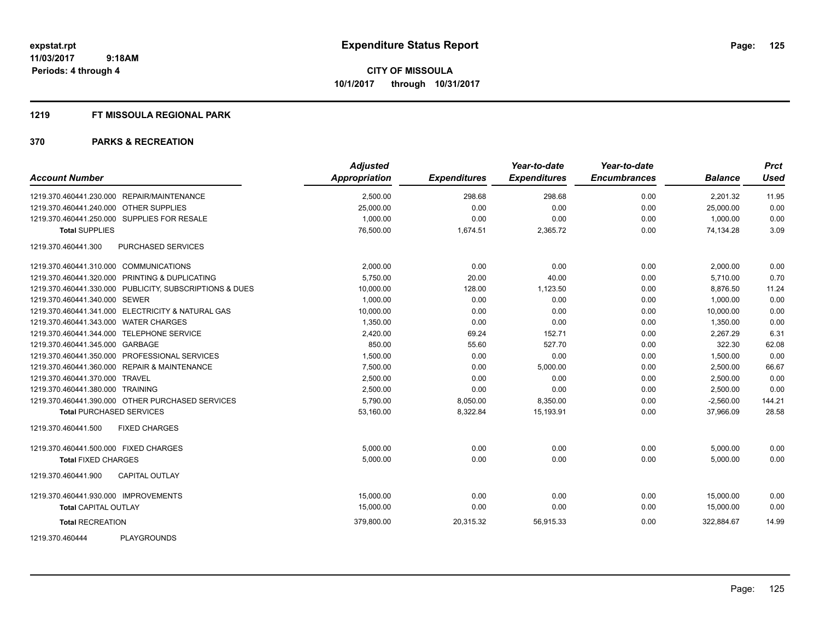#### **1219 FT MISSOULA REGIONAL PARK**

| <b>Account Number</b>                                   | <b>Adjusted</b><br>Appropriation | <b>Expenditures</b> | Year-to-date<br><b>Expenditures</b> | Year-to-date<br><b>Encumbrances</b> | <b>Balance</b> | <b>Prct</b><br><b>Used</b> |
|---------------------------------------------------------|----------------------------------|---------------------|-------------------------------------|-------------------------------------|----------------|----------------------------|
| 1219.370.460441.230.000 REPAIR/MAINTENANCE              | 2,500.00                         | 298.68              | 298.68                              | 0.00                                | 2.201.32       | 11.95                      |
| 1219.370.460441.240.000 OTHER SUPPLIES                  | 25,000.00                        | 0.00                | 0.00                                | 0.00                                | 25,000.00      | 0.00                       |
| 1219.370.460441.250.000 SUPPLIES FOR RESALE             | 1.000.00                         | 0.00                | 0.00                                | 0.00                                | 1.000.00       | 0.00                       |
| <b>Total SUPPLIES</b>                                   | 76,500.00                        | 1,674.51            | 2,365.72                            | 0.00                                | 74,134.28      | 3.09                       |
| 1219.370.460441.300<br><b>PURCHASED SERVICES</b>        |                                  |                     |                                     |                                     |                |                            |
| 1219.370.460441.310.000 COMMUNICATIONS                  | 2.000.00                         | 0.00                | 0.00                                | 0.00                                | 2,000.00       | 0.00                       |
| 1219.370.460441.320.000 PRINTING & DUPLICATING          | 5,750.00                         | 20.00               | 40.00                               | 0.00                                | 5,710.00       | 0.70                       |
| 1219.370.460441.330.000 PUBLICITY, SUBSCRIPTIONS & DUES | 10,000.00                        | 128.00              | 1,123.50                            | 0.00                                | 8,876.50       | 11.24                      |
| 1219.370.460441.340.000 SEWER                           | 1,000.00                         | 0.00                | 0.00                                | 0.00                                | 1.000.00       | 0.00                       |
| 1219.370.460441.341.000 ELECTRICITY & NATURAL GAS       | 10,000.00                        | 0.00                | 0.00                                | 0.00                                | 10,000.00      | 0.00                       |
| 1219.370.460441.343.000 WATER CHARGES                   | 1.350.00                         | 0.00                | 0.00                                | 0.00                                | 1.350.00       | 0.00                       |
| 1219.370.460441.344.000 TELEPHONE SERVICE               | 2,420.00                         | 69.24               | 152.71                              | 0.00                                | 2,267.29       | 6.31                       |
| 1219.370.460441.345.000 GARBAGE                         | 850.00                           | 55.60               | 527.70                              | 0.00                                | 322.30         | 62.08                      |
| 1219.370.460441.350.000 PROFESSIONAL SERVICES           | 1,500.00                         | 0.00                | 0.00                                | 0.00                                | 1,500.00       | 0.00                       |
| 1219.370.460441.360.000 REPAIR & MAINTENANCE            | 7,500.00                         | 0.00                | 5,000.00                            | 0.00                                | 2,500.00       | 66.67                      |
| 1219.370.460441.370.000 TRAVEL                          | 2,500.00                         | 0.00                | 0.00                                | 0.00                                | 2,500.00       | 0.00                       |
| 1219.370.460441.380.000 TRAINING                        | 2,500.00                         | 0.00                | 0.00                                | 0.00                                | 2,500.00       | 0.00                       |
| 1219.370.460441.390.000 OTHER PURCHASED SERVICES        | 5,790.00                         | 8,050.00            | 8,350.00                            | 0.00                                | $-2,560.00$    | 144.21                     |
| <b>Total PURCHASED SERVICES</b>                         | 53,160.00                        | 8,322.84            | 15,193.91                           | 0.00                                | 37,966.09      | 28.58                      |
| <b>FIXED CHARGES</b><br>1219.370.460441.500             |                                  |                     |                                     |                                     |                |                            |
| 1219.370.460441.500.000 FIXED CHARGES                   | 5,000.00                         | 0.00                | 0.00                                | 0.00                                | 5,000.00       | 0.00                       |
| <b>Total FIXED CHARGES</b>                              | 5,000.00                         | 0.00                | 0.00                                | 0.00                                | 5,000.00       | 0.00                       |
| 1219.370.460441.900<br><b>CAPITAL OUTLAY</b>            |                                  |                     |                                     |                                     |                |                            |
| 1219.370.460441.930.000 IMPROVEMENTS                    | 15,000.00                        | 0.00                | 0.00                                | 0.00                                | 15,000.00      | 0.00                       |
| <b>Total CAPITAL OUTLAY</b>                             | 15,000.00                        | 0.00                | 0.00                                | 0.00                                | 15,000.00      | 0.00                       |
| <b>Total RECREATION</b>                                 | 379,800.00                       | 20,315.32           | 56,915.33                           | 0.00                                | 322,884.67     | 14.99                      |
| <b>PLAYGROUNDS</b><br>1219.370.460444                   |                                  |                     |                                     |                                     |                |                            |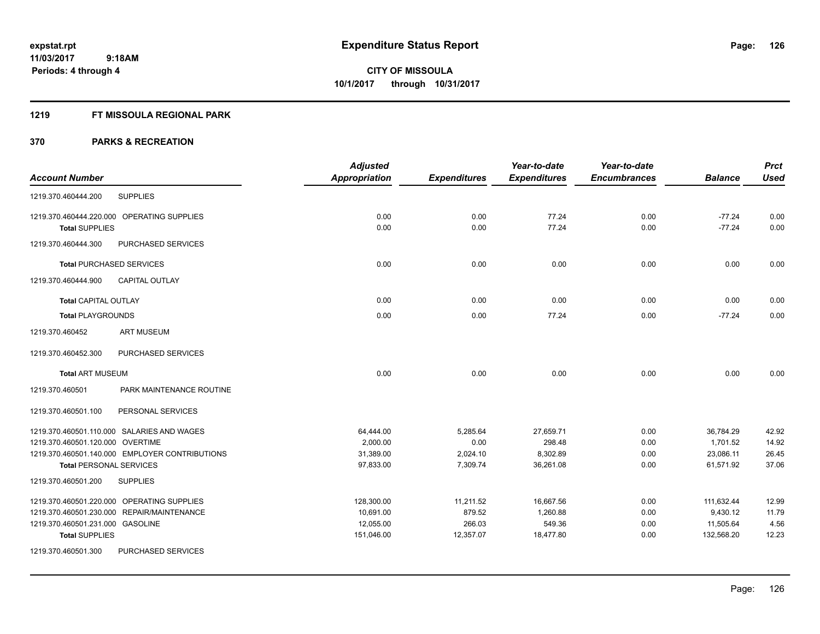#### **1219 FT MISSOULA REGIONAL PARK**

|                                                | <b>Adjusted</b> |                     | Year-to-date        | Year-to-date        |                | <b>Prct</b> |
|------------------------------------------------|-----------------|---------------------|---------------------|---------------------|----------------|-------------|
| <b>Account Number</b>                          | Appropriation   | <b>Expenditures</b> | <b>Expenditures</b> | <b>Encumbrances</b> | <b>Balance</b> | <b>Used</b> |
| <b>SUPPLIES</b><br>1219.370.460444.200         |                 |                     |                     |                     |                |             |
| 1219.370.460444.220.000 OPERATING SUPPLIES     | 0.00            | 0.00                | 77.24               | 0.00                | $-77.24$       | 0.00        |
| <b>Total SUPPLIES</b>                          | 0.00            | 0.00                | 77.24               | 0.00                | $-77.24$       | 0.00        |
| 1219.370.460444.300<br>PURCHASED SERVICES      |                 |                     |                     |                     |                |             |
| <b>Total PURCHASED SERVICES</b>                | 0.00            | 0.00                | 0.00                | 0.00                | 0.00           | 0.00        |
| 1219.370.460444.900<br><b>CAPITAL OUTLAY</b>   |                 |                     |                     |                     |                |             |
| <b>Total CAPITAL OUTLAY</b>                    | 0.00            | 0.00                | 0.00                | 0.00                | 0.00           | 0.00        |
| <b>Total PLAYGROUNDS</b>                       | 0.00            | 0.00                | 77.24               | 0.00                | $-77.24$       | 0.00        |
| <b>ART MUSEUM</b><br>1219.370.460452           |                 |                     |                     |                     |                |             |
| 1219.370.460452.300<br>PURCHASED SERVICES      |                 |                     |                     |                     |                |             |
| <b>Total ART MUSEUM</b>                        | 0.00            | 0.00                | 0.00                | 0.00                | 0.00           | 0.00        |
| 1219.370.460501<br>PARK MAINTENANCE ROUTINE    |                 |                     |                     |                     |                |             |
| 1219.370.460501.100<br>PERSONAL SERVICES       |                 |                     |                     |                     |                |             |
| 1219.370.460501.110.000 SALARIES AND WAGES     | 64,444.00       | 5,285.64            | 27,659.71           | 0.00                | 36,784.29      | 42.92       |
| 1219.370.460501.120.000 OVERTIME               | 2,000.00        | 0.00                | 298.48              | 0.00                | 1,701.52       | 14.92       |
| 1219.370.460501.140.000 EMPLOYER CONTRIBUTIONS | 31,389.00       | 2,024.10            | 8,302.89            | 0.00                | 23,086.11      | 26.45       |
| <b>Total PERSONAL SERVICES</b>                 | 97,833.00       | 7,309.74            | 36,261.08           | 0.00                | 61,571.92      | 37.06       |
| 1219.370.460501.200<br><b>SUPPLIES</b>         |                 |                     |                     |                     |                |             |
| 1219.370.460501.220.000 OPERATING SUPPLIES     | 128,300.00      | 11,211.52           | 16,667.56           | 0.00                | 111,632.44     | 12.99       |
| 1219.370.460501.230.000 REPAIR/MAINTENANCE     | 10,691.00       | 879.52              | 1,260.88            | 0.00                | 9,430.12       | 11.79       |
| 1219.370.460501.231.000 GASOLINE               | 12,055.00       | 266.03              | 549.36              | 0.00                | 11,505.64      | 4.56        |
| <b>Total SUPPLIES</b>                          | 151,046.00      | 12,357.07           | 18,477.80           | 0.00                | 132,568.20     | 12.23       |
| 1219.370.460501.300<br>PURCHASED SERVICES      |                 |                     |                     |                     |                |             |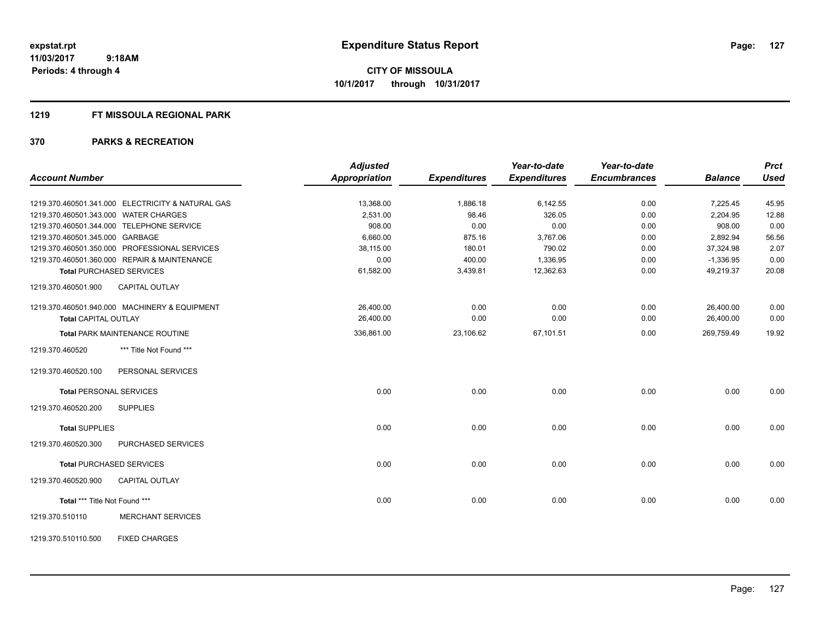#### **1219 FT MISSOULA REGIONAL PARK**

|                                 |                                                   | <b>Adjusted</b>      |                     | Year-to-date        | Year-to-date        |                | <b>Prct</b> |
|---------------------------------|---------------------------------------------------|----------------------|---------------------|---------------------|---------------------|----------------|-------------|
| <b>Account Number</b>           |                                                   | <b>Appropriation</b> | <b>Expenditures</b> | <b>Expenditures</b> | <b>Encumbrances</b> | <b>Balance</b> | <b>Used</b> |
|                                 | 1219.370.460501.341.000 ELECTRICITY & NATURAL GAS | 13,368.00            | 1,886.18            | 6,142.55            | 0.00                | 7,225.45       | 45.95       |
|                                 | 1219.370.460501.343.000 WATER CHARGES             | 2,531.00             | 98.46               | 326.05              | 0.00                | 2,204.95       | 12.88       |
|                                 | 1219.370.460501.344.000 TELEPHONE SERVICE         | 908.00               | 0.00                | 0.00                | 0.00                | 908.00         | 0.00        |
| 1219.370.460501.345.000 GARBAGE |                                                   | 6,660.00             | 875.16              | 3,767.06            | 0.00                | 2,892.94       | 56.56       |
|                                 | 1219.370.460501.350.000 PROFESSIONAL SERVICES     | 38,115.00            | 180.01              | 790.02              | 0.00                | 37,324.98      | 2.07        |
|                                 | 1219.370.460501.360.000 REPAIR & MAINTENANCE      | 0.00                 | 400.00              | 1,336.95            | 0.00                | $-1,336.95$    | 0.00        |
|                                 | <b>Total PURCHASED SERVICES</b>                   | 61,582.00            | 3,439.81            | 12,362.63           | 0.00                | 49,219.37      | 20.08       |
| 1219.370.460501.900             | <b>CAPITAL OUTLAY</b>                             |                      |                     |                     |                     |                |             |
|                                 | 1219.370.460501.940.000 MACHINERY & EQUIPMENT     | 26,400.00            | 0.00                | 0.00                | 0.00                | 26,400.00      | 0.00        |
| <b>Total CAPITAL OUTLAY</b>     |                                                   | 26,400.00            | 0.00                | 0.00                | 0.00                | 26,400.00      | 0.00        |
|                                 | <b>Total PARK MAINTENANCE ROUTINE</b>             | 336,861.00           | 23,106.62           | 67,101.51           | 0.00                | 269,759.49     | 19.92       |
| 1219.370.460520                 | *** Title Not Found ***                           |                      |                     |                     |                     |                |             |
| 1219.370.460520.100             | PERSONAL SERVICES                                 |                      |                     |                     |                     |                |             |
|                                 | <b>Total PERSONAL SERVICES</b>                    | 0.00                 | 0.00                | 0.00                | 0.00                | 0.00           | 0.00        |
| 1219.370.460520.200             | <b>SUPPLIES</b>                                   |                      |                     |                     |                     |                |             |
| <b>Total SUPPLIES</b>           |                                                   | 0.00                 | 0.00                | 0.00                | 0.00                | 0.00           | 0.00        |
| 1219.370.460520.300             | PURCHASED SERVICES                                |                      |                     |                     |                     |                |             |
|                                 | <b>Total PURCHASED SERVICES</b>                   | 0.00                 | 0.00                | 0.00                | 0.00                | 0.00           | 0.00        |
| 1219.370.460520.900             | CAPITAL OUTLAY                                    |                      |                     |                     |                     |                |             |
| Total *** Title Not Found ***   |                                                   | 0.00                 | 0.00                | 0.00                | 0.00                | 0.00           | 0.00        |
| 1219.370.510110                 | <b>MERCHANT SERVICES</b>                          |                      |                     |                     |                     |                |             |
| 1219.370.510110.500             | <b>FIXED CHARGES</b>                              |                      |                     |                     |                     |                |             |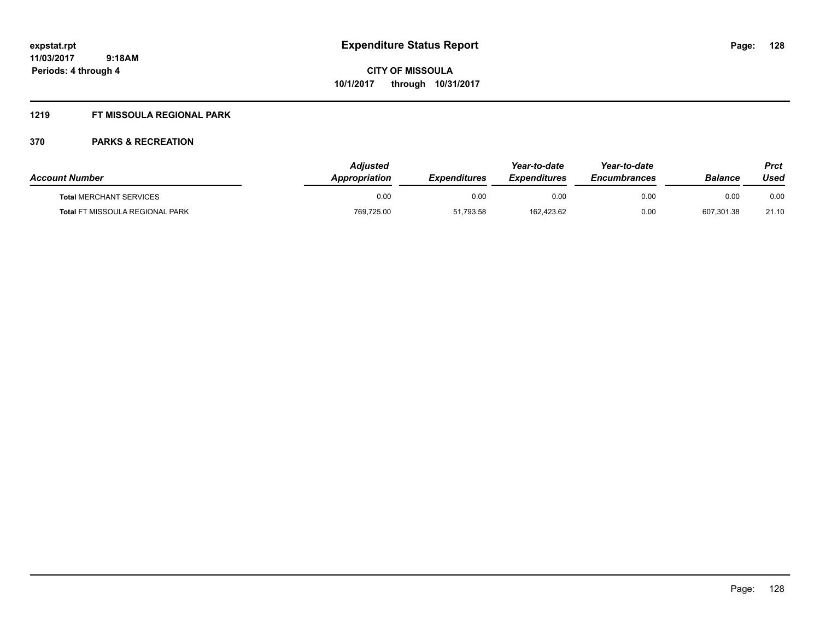### **1219 FT MISSOULA REGIONAL PARK**

| <b>Account Number</b>                  | <b>Adiusted</b><br><i><b>Appropriation</b></i> | <b>Expenditures</b> | Year-to-date<br><b>Expenditures</b> | Year-to-date<br><b>Encumbrances</b> | <b>Balance</b> | Prct<br>Used |
|----------------------------------------|------------------------------------------------|---------------------|-------------------------------------|-------------------------------------|----------------|--------------|
| <b>Total MERCHANT SERVICES</b>         | 0.00                                           | 0.00                | 0.00                                | 0.00                                | 0.00           | 0.00         |
| <b>Total FT MISSOULA REGIONAL PARK</b> | 769,725.00                                     | 51,793.58           | 162,423.62                          | 0.00                                | 607,301.38     | 21.10        |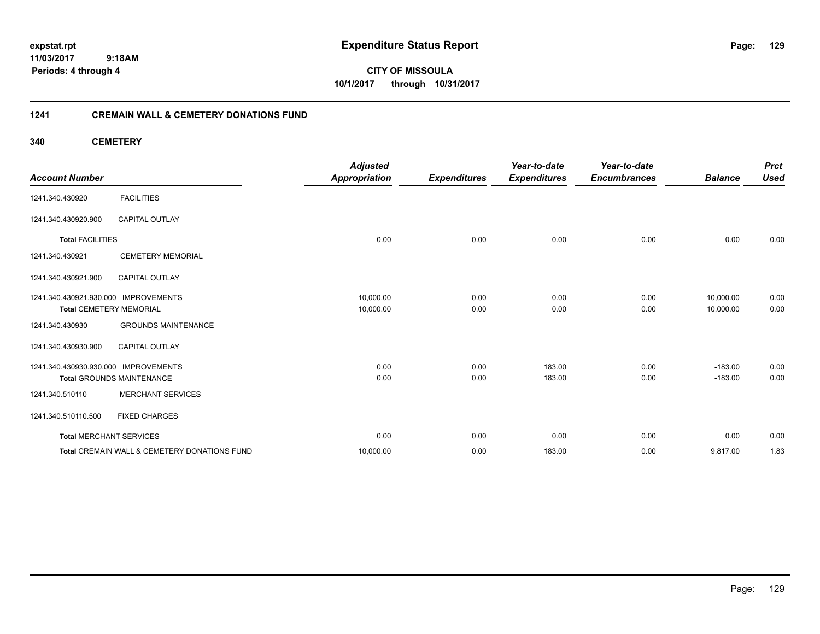**CITY OF MISSOULA 10/1/2017 through 10/31/2017**

#### **1241 CREMAIN WALL & CEMETERY DONATIONS FUND**

**340 CEMETERY**

| <b>Account Number</b>                                                  |                                                         | <b>Adjusted</b><br><b>Appropriation</b> | <b>Expenditures</b> | Year-to-date<br><b>Expenditures</b> | Year-to-date<br><b>Encumbrances</b> | <b>Balance</b>         | <b>Prct</b><br><b>Used</b> |
|------------------------------------------------------------------------|---------------------------------------------------------|-----------------------------------------|---------------------|-------------------------------------|-------------------------------------|------------------------|----------------------------|
| 1241.340.430920                                                        | <b>FACILITIES</b>                                       |                                         |                     |                                     |                                     |                        |                            |
| 1241.340.430920.900                                                    | <b>CAPITAL OUTLAY</b>                                   |                                         |                     |                                     |                                     |                        |                            |
| <b>Total FACILITIES</b>                                                |                                                         | 0.00                                    | 0.00                | 0.00                                | 0.00                                | 0.00                   | 0.00                       |
| 1241.340.430921                                                        | <b>CEMETERY MEMORIAL</b>                                |                                         |                     |                                     |                                     |                        |                            |
| 1241.340.430921.900                                                    | <b>CAPITAL OUTLAY</b>                                   |                                         |                     |                                     |                                     |                        |                            |
| 1241.340.430921.930.000 IMPROVEMENTS<br><b>Total CEMETERY MEMORIAL</b> |                                                         | 10,000.00<br>10,000.00                  | 0.00<br>0.00        | 0.00<br>0.00                        | 0.00<br>0.00                        | 10,000.00<br>10,000.00 | 0.00<br>0.00               |
| 1241.340.430930                                                        | <b>GROUNDS MAINTENANCE</b>                              |                                         |                     |                                     |                                     |                        |                            |
| 1241.340.430930.900                                                    | <b>CAPITAL OUTLAY</b>                                   |                                         |                     |                                     |                                     |                        |                            |
| 1241.340.430930.930.000                                                | <b>IMPROVEMENTS</b><br><b>Total GROUNDS MAINTENANCE</b> | 0.00<br>0.00                            | 0.00<br>0.00        | 183.00<br>183.00                    | 0.00<br>0.00                        | $-183.00$<br>$-183.00$ | 0.00<br>0.00               |
| 1241.340.510110                                                        | <b>MERCHANT SERVICES</b>                                |                                         |                     |                                     |                                     |                        |                            |
| 1241.340.510110.500                                                    | <b>FIXED CHARGES</b>                                    |                                         |                     |                                     |                                     |                        |                            |
| <b>Total MERCHANT SERVICES</b>                                         |                                                         | 0.00                                    | 0.00                | 0.00                                | 0.00                                | 0.00                   | 0.00                       |
|                                                                        | Total CREMAIN WALL & CEMETERY DONATIONS FUND            | 10,000.00                               | 0.00                | 183.00                              | 0.00                                | 9,817.00               | 1.83                       |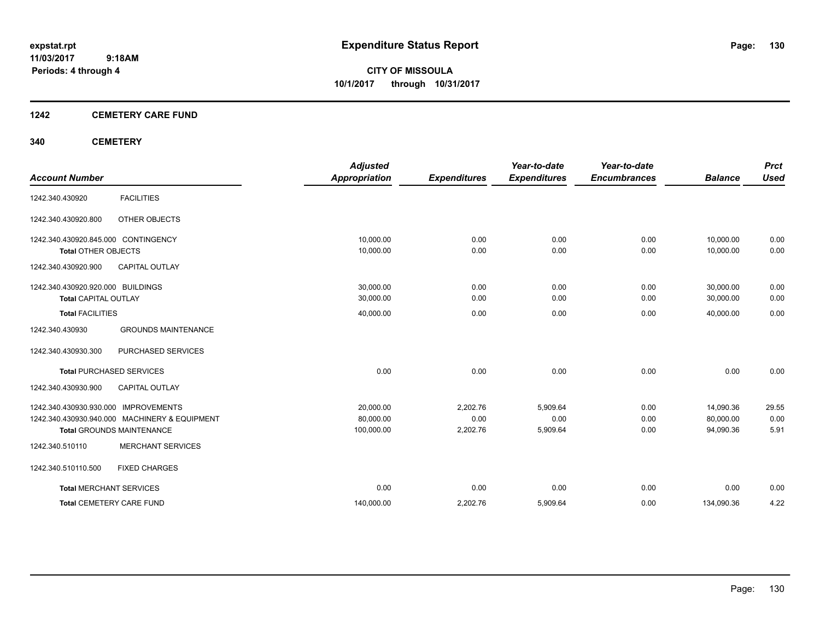**CITY OF MISSOULA 10/1/2017 through 10/31/2017**

#### **1242 CEMETERY CARE FUND**

#### **340 CEMETERY**

|                                      |                                               | <b>Adjusted</b>      |                     | Year-to-date        | Year-to-date        |                | <b>Prct</b> |
|--------------------------------------|-----------------------------------------------|----------------------|---------------------|---------------------|---------------------|----------------|-------------|
| <b>Account Number</b>                |                                               | <b>Appropriation</b> | <b>Expenditures</b> | <b>Expenditures</b> | <b>Encumbrances</b> | <b>Balance</b> | <b>Used</b> |
| 1242.340.430920                      | <b>FACILITIES</b>                             |                      |                     |                     |                     |                |             |
| 1242.340.430920.800                  | OTHER OBJECTS                                 |                      |                     |                     |                     |                |             |
| 1242.340.430920.845.000 CONTINGENCY  |                                               | 10,000.00            | 0.00                | 0.00                | 0.00                | 10,000.00      | 0.00        |
| <b>Total OTHER OBJECTS</b>           |                                               | 10,000.00            | 0.00                | 0.00                | 0.00                | 10,000.00      | 0.00        |
| 1242.340.430920.900                  | <b>CAPITAL OUTLAY</b>                         |                      |                     |                     |                     |                |             |
| 1242.340.430920.920.000 BUILDINGS    |                                               | 30,000.00            | 0.00                | 0.00                | 0.00                | 30,000.00      | 0.00        |
| <b>Total CAPITAL OUTLAY</b>          |                                               | 30,000.00            | 0.00                | 0.00                | 0.00                | 30,000.00      | 0.00        |
| <b>Total FACILITIES</b>              |                                               | 40,000.00            | 0.00                | 0.00                | 0.00                | 40,000.00      | 0.00        |
| 1242.340.430930                      | <b>GROUNDS MAINTENANCE</b>                    |                      |                     |                     |                     |                |             |
| 1242.340.430930.300                  | <b>PURCHASED SERVICES</b>                     |                      |                     |                     |                     |                |             |
|                                      | <b>Total PURCHASED SERVICES</b>               | 0.00                 | 0.00                | 0.00                | 0.00                | 0.00           | 0.00        |
| 1242.340.430930.900                  | <b>CAPITAL OUTLAY</b>                         |                      |                     |                     |                     |                |             |
| 1242.340.430930.930.000 IMPROVEMENTS |                                               | 20,000.00            | 2,202.76            | 5.909.64            | 0.00                | 14,090.36      | 29.55       |
|                                      | 1242.340.430930.940.000 MACHINERY & EQUIPMENT | 80,000.00            | 0.00                | 0.00                | 0.00                | 80.000.00      | 0.00        |
|                                      | <b>Total GROUNDS MAINTENANCE</b>              | 100,000.00           | 2,202.76            | 5,909.64            | 0.00                | 94,090.36      | 5.91        |
| 1242.340.510110                      | <b>MERCHANT SERVICES</b>                      |                      |                     |                     |                     |                |             |
| 1242.340.510110.500                  | <b>FIXED CHARGES</b>                          |                      |                     |                     |                     |                |             |
| <b>Total MERCHANT SERVICES</b>       |                                               | 0.00                 | 0.00                | 0.00                | 0.00                | 0.00           | 0.00        |
|                                      | <b>Total CEMETERY CARE FUND</b>               | 140,000.00           | 2,202.76            | 5,909.64            | 0.00                | 134,090.36     | 4.22        |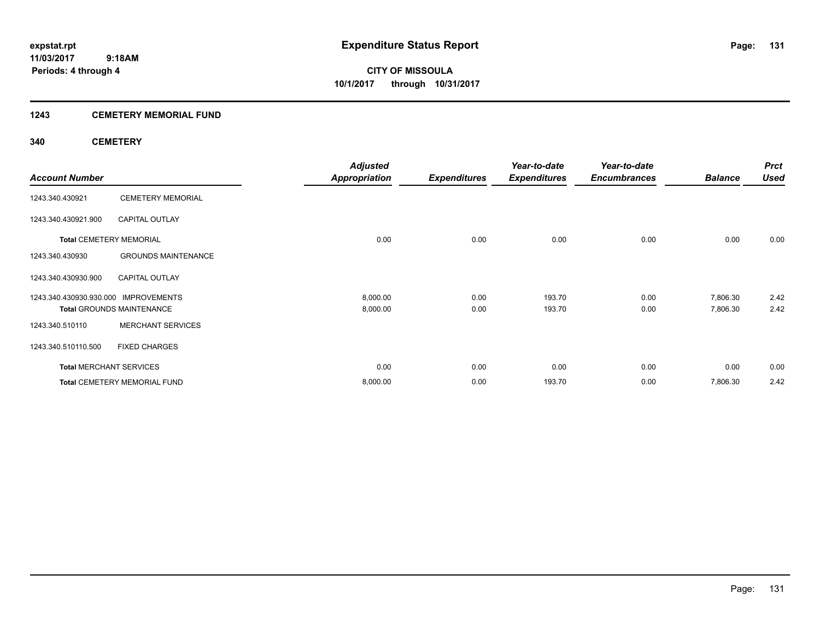### **1243 CEMETERY MEMORIAL FUND**

#### **340 CEMETERY**

| <b>Account Number</b>                |                                     | <b>Adjusted</b><br><b>Appropriation</b> | <b>Expenditures</b> | Year-to-date<br><b>Expenditures</b> | Year-to-date<br><b>Encumbrances</b> | <b>Balance</b> | <b>Prct</b><br><b>Used</b> |
|--------------------------------------|-------------------------------------|-----------------------------------------|---------------------|-------------------------------------|-------------------------------------|----------------|----------------------------|
|                                      |                                     |                                         |                     |                                     |                                     |                |                            |
| 1243.340.430921                      | <b>CEMETERY MEMORIAL</b>            |                                         |                     |                                     |                                     |                |                            |
| 1243.340.430921.900                  | <b>CAPITAL OUTLAY</b>               |                                         |                     |                                     |                                     |                |                            |
| <b>Total CEMETERY MEMORIAL</b>       |                                     | 0.00                                    | 0.00                | 0.00                                | 0.00                                | 0.00           | 0.00                       |
| 1243.340.430930                      | <b>GROUNDS MAINTENANCE</b>          |                                         |                     |                                     |                                     |                |                            |
| 1243.340.430930.900                  | <b>CAPITAL OUTLAY</b>               |                                         |                     |                                     |                                     |                |                            |
| 1243.340.430930.930.000 IMPROVEMENTS |                                     | 8,000.00                                | 0.00                | 193.70                              | 0.00                                | 7,806.30       | 2.42                       |
|                                      | <b>Total GROUNDS MAINTENANCE</b>    | 8,000.00                                | 0.00                | 193.70                              | 0.00                                | 7,806.30       | 2.42                       |
| 1243.340.510110                      | <b>MERCHANT SERVICES</b>            |                                         |                     |                                     |                                     |                |                            |
| 1243.340.510110.500                  | <b>FIXED CHARGES</b>                |                                         |                     |                                     |                                     |                |                            |
| <b>Total MERCHANT SERVICES</b>       |                                     | 0.00                                    | 0.00                | 0.00                                | 0.00                                | 0.00           | 0.00                       |
|                                      | <b>Total CEMETERY MEMORIAL FUND</b> | 8,000.00                                | 0.00                | 193.70                              | 0.00                                | 7,806.30       | 2.42                       |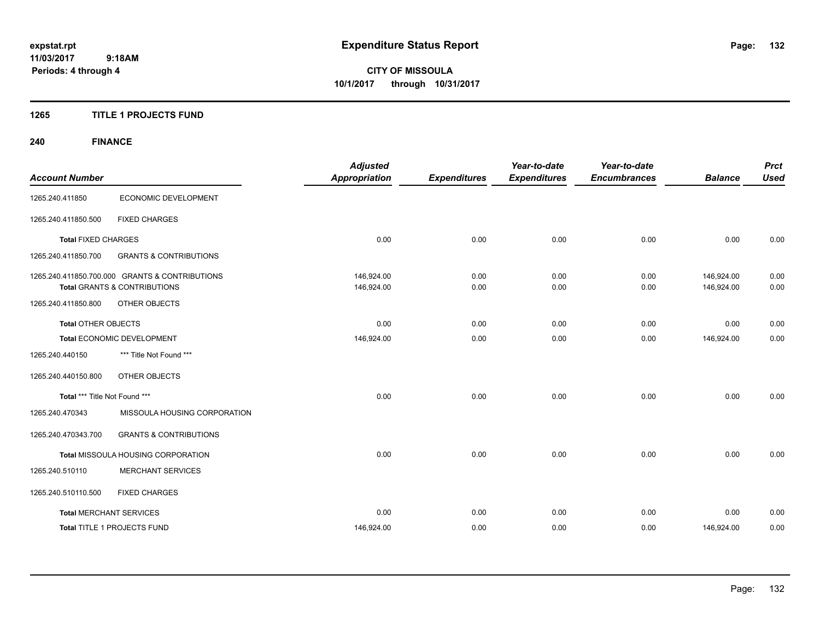**CITY OF MISSOULA 10/1/2017 through 10/31/2017**

#### **1265 TITLE 1 PROJECTS FUND**

## **240 FINANCE**

| <b>Account Number</b>         |                                                                                           | <b>Adjusted</b><br><b>Appropriation</b> | <b>Expenditures</b> | Year-to-date<br><b>Expenditures</b> | Year-to-date<br><b>Encumbrances</b> | <b>Balance</b>           | <b>Prct</b><br><b>Used</b> |
|-------------------------------|-------------------------------------------------------------------------------------------|-----------------------------------------|---------------------|-------------------------------------|-------------------------------------|--------------------------|----------------------------|
| 1265.240.411850               | ECONOMIC DEVELOPMENT                                                                      |                                         |                     |                                     |                                     |                          |                            |
| 1265.240.411850.500           | <b>FIXED CHARGES</b>                                                                      |                                         |                     |                                     |                                     |                          |                            |
| <b>Total FIXED CHARGES</b>    |                                                                                           | 0.00                                    | 0.00                | 0.00                                | 0.00                                | 0.00                     | 0.00                       |
| 1265.240.411850.700           | <b>GRANTS &amp; CONTRIBUTIONS</b>                                                         |                                         |                     |                                     |                                     |                          |                            |
|                               | 1265.240.411850.700.000 GRANTS & CONTRIBUTIONS<br><b>Total GRANTS &amp; CONTRIBUTIONS</b> | 146,924.00<br>146,924.00                | 0.00<br>0.00        | 0.00<br>0.00                        | 0.00<br>0.00                        | 146,924.00<br>146,924.00 | 0.00<br>0.00               |
| 1265.240.411850.800           | OTHER OBJECTS                                                                             |                                         |                     |                                     |                                     |                          |                            |
| <b>Total OTHER OBJECTS</b>    |                                                                                           | 0.00                                    | 0.00                | 0.00                                | 0.00                                | 0.00                     | 0.00                       |
|                               | Total ECONOMIC DEVELOPMENT                                                                | 146,924.00                              | 0.00                | 0.00                                | 0.00                                | 146,924.00               | 0.00                       |
| 1265.240.440150               | *** Title Not Found ***                                                                   |                                         |                     |                                     |                                     |                          |                            |
| 1265.240.440150.800           | OTHER OBJECTS                                                                             |                                         |                     |                                     |                                     |                          |                            |
| Total *** Title Not Found *** |                                                                                           | 0.00                                    | 0.00                | 0.00                                | 0.00                                | 0.00                     | 0.00                       |
| 1265.240.470343               | MISSOULA HOUSING CORPORATION                                                              |                                         |                     |                                     |                                     |                          |                            |
| 1265.240.470343.700           | <b>GRANTS &amp; CONTRIBUTIONS</b>                                                         |                                         |                     |                                     |                                     |                          |                            |
|                               | Total MISSOULA HOUSING CORPORATION                                                        | 0.00                                    | 0.00                | 0.00                                | 0.00                                | 0.00                     | 0.00                       |
| 1265.240.510110               | <b>MERCHANT SERVICES</b>                                                                  |                                         |                     |                                     |                                     |                          |                            |
| 1265.240.510110.500           | <b>FIXED CHARGES</b>                                                                      |                                         |                     |                                     |                                     |                          |                            |
|                               | <b>Total MERCHANT SERVICES</b>                                                            | 0.00                                    | 0.00                | 0.00                                | 0.00                                | 0.00                     | 0.00                       |
|                               | <b>Total TITLE 1 PROJECTS FUND</b>                                                        | 146,924.00                              | 0.00                | 0.00                                | 0.00                                | 146,924.00               | 0.00                       |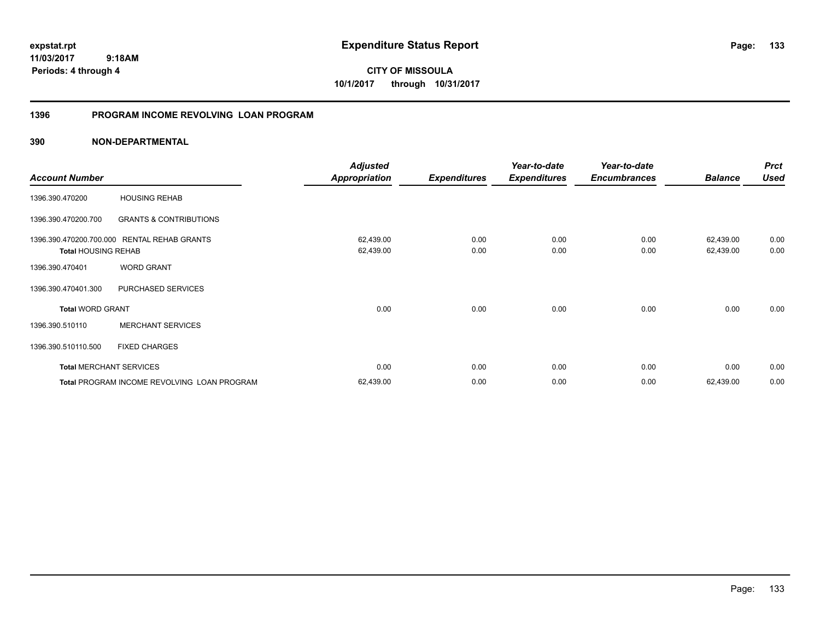**CITY OF MISSOULA 10/1/2017 through 10/31/2017**

#### **1396 PROGRAM INCOME REVOLVING LOAN PROGRAM**

|                                |                                             | <b>Adjusted</b> |                     | Year-to-date        | Year-to-date        |                | <b>Prct</b> |
|--------------------------------|---------------------------------------------|-----------------|---------------------|---------------------|---------------------|----------------|-------------|
| <b>Account Number</b>          |                                             | Appropriation   | <b>Expenditures</b> | <b>Expenditures</b> | <b>Encumbrances</b> | <b>Balance</b> | <b>Used</b> |
| 1396.390.470200                | <b>HOUSING REHAB</b>                        |                 |                     |                     |                     |                |             |
| 1396.390.470200.700            | <b>GRANTS &amp; CONTRIBUTIONS</b>           |                 |                     |                     |                     |                |             |
|                                | 1396.390.470200.700.000 RENTAL REHAB GRANTS | 62,439.00       | 0.00                | 0.00                | 0.00                | 62,439.00      | 0.00        |
| <b>Total HOUSING REHAB</b>     |                                             | 62,439.00       | 0.00                | 0.00                | 0.00                | 62,439.00      | 0.00        |
| 1396.390.470401                | <b>WORD GRANT</b>                           |                 |                     |                     |                     |                |             |
| 1396.390.470401.300            | PURCHASED SERVICES                          |                 |                     |                     |                     |                |             |
| <b>Total WORD GRANT</b>        |                                             | 0.00            | 0.00                | 0.00                | 0.00                | 0.00           | 0.00        |
| 1396.390.510110                | <b>MERCHANT SERVICES</b>                    |                 |                     |                     |                     |                |             |
| 1396.390.510110.500            | <b>FIXED CHARGES</b>                        |                 |                     |                     |                     |                |             |
| <b>Total MERCHANT SERVICES</b> |                                             | 0.00            | 0.00                | 0.00                | 0.00                | 0.00           | 0.00        |
|                                | Total PROGRAM INCOME REVOLVING LOAN PROGRAM | 62,439.00       | 0.00                | 0.00                | 0.00                | 62,439.00      | 0.00        |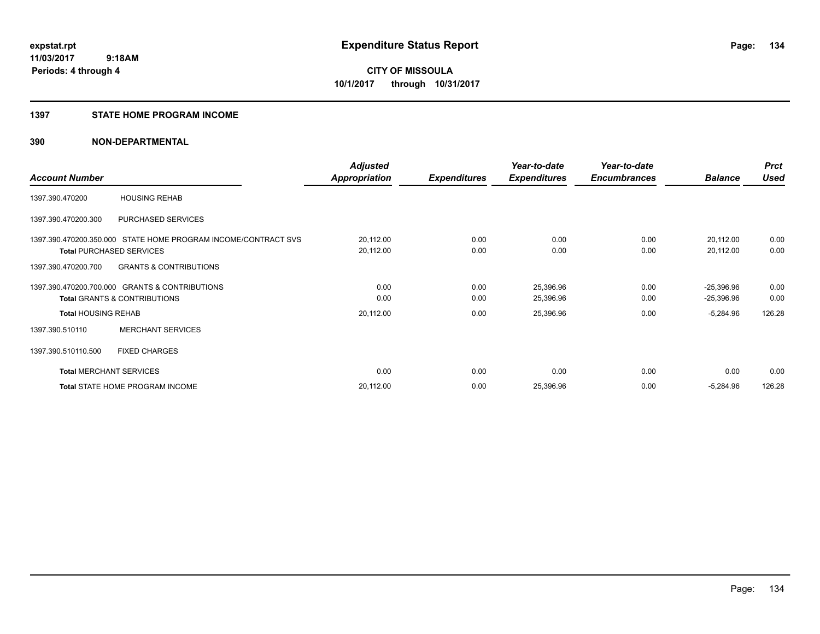#### **1397 STATE HOME PROGRAM INCOME**

|                                |                                                                | <b>Adjusted</b>      |                     | Year-to-date        | Year-to-date        |                | <b>Prct</b> |
|--------------------------------|----------------------------------------------------------------|----------------------|---------------------|---------------------|---------------------|----------------|-------------|
| <b>Account Number</b>          |                                                                | <b>Appropriation</b> | <b>Expenditures</b> | <b>Expenditures</b> | <b>Encumbrances</b> | <b>Balance</b> | <b>Used</b> |
| 1397.390.470200                | <b>HOUSING REHAB</b>                                           |                      |                     |                     |                     |                |             |
| 1397.390.470200.300            | PURCHASED SERVICES                                             |                      |                     |                     |                     |                |             |
|                                | 1397.390.470200.350.000 STATE HOME PROGRAM INCOME/CONTRACT SVS | 20,112.00            | 0.00                | 0.00                | 0.00                | 20,112.00      | 0.00        |
|                                | <b>Total PURCHASED SERVICES</b>                                | 20,112.00            | 0.00                | 0.00                | 0.00                | 20,112.00      | 0.00        |
| 1397.390.470200.700            | <b>GRANTS &amp; CONTRIBUTIONS</b>                              |                      |                     |                     |                     |                |             |
|                                | 1397.390.470200.700.000 GRANTS & CONTRIBUTIONS                 | 0.00                 | 0.00                | 25,396.96           | 0.00                | $-25,396.96$   | 0.00        |
|                                | <b>Total GRANTS &amp; CONTRIBUTIONS</b>                        | 0.00                 | 0.00                | 25,396.96           | 0.00                | $-25,396.96$   | 0.00        |
| <b>Total HOUSING REHAB</b>     |                                                                | 20,112.00            | 0.00                | 25,396.96           | 0.00                | $-5,284.96$    | 126.28      |
| 1397.390.510110                | <b>MERCHANT SERVICES</b>                                       |                      |                     |                     |                     |                |             |
| 1397.390.510110.500            | <b>FIXED CHARGES</b>                                           |                      |                     |                     |                     |                |             |
| <b>Total MERCHANT SERVICES</b> |                                                                | 0.00                 | 0.00                | 0.00                | 0.00                | 0.00           | 0.00        |
|                                | Total STATE HOME PROGRAM INCOME                                | 20,112.00            | 0.00                | 25,396.96           | 0.00                | $-5,284.96$    | 126.28      |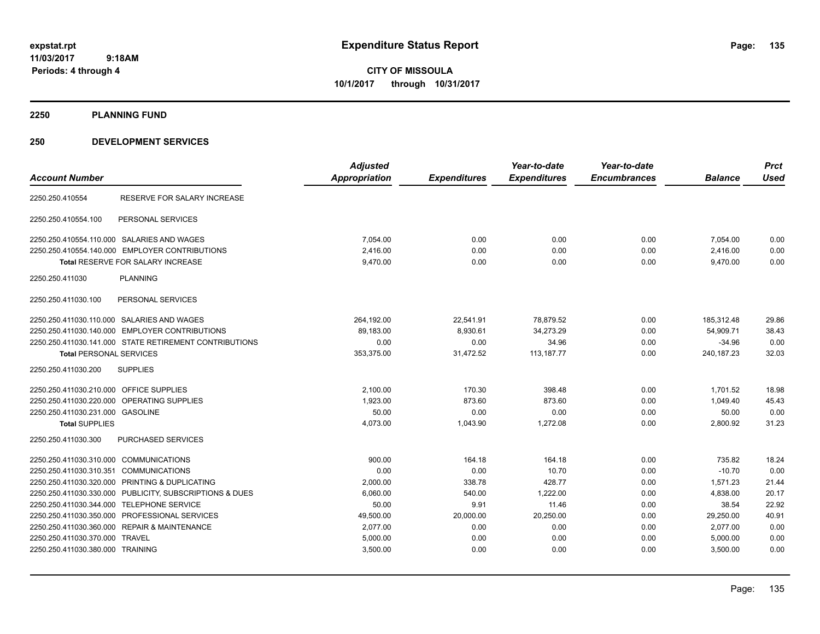**CITY OF MISSOULA 10/1/2017 through 10/31/2017**

**2250 PLANNING FUND**

| <b>Account Number</b>                                   | <b>Adjusted</b><br><b>Appropriation</b> | <b>Expenditures</b> | Year-to-date<br><b>Expenditures</b> | Year-to-date<br><b>Encumbrances</b> | <b>Balance</b> | <b>Prct</b><br><b>Used</b> |
|---------------------------------------------------------|-----------------------------------------|---------------------|-------------------------------------|-------------------------------------|----------------|----------------------------|
| 2250.250.410554<br><b>RESERVE FOR SALARY INCREASE</b>   |                                         |                     |                                     |                                     |                |                            |
| 2250.250.410554.100<br>PERSONAL SERVICES                |                                         |                     |                                     |                                     |                |                            |
| 2250.250.410554.110.000 SALARIES AND WAGES              | 7.054.00                                | 0.00                | 0.00                                | 0.00                                | 7,054.00       | 0.00                       |
| 2250.250.410554.140.000 EMPLOYER CONTRIBUTIONS          | 2,416.00                                | 0.00                | 0.00                                | 0.00                                | 2,416.00       | 0.00                       |
| <b>Total RESERVE FOR SALARY INCREASE</b>                | 9,470.00                                | 0.00                | 0.00                                | 0.00                                | 9,470.00       | 0.00                       |
| 2250.250.411030<br><b>PLANNING</b>                      |                                         |                     |                                     |                                     |                |                            |
| 2250.250.411030.100<br>PERSONAL SERVICES                |                                         |                     |                                     |                                     |                |                            |
| 2250.250.411030.110.000 SALARIES AND WAGES              | 264,192.00                              | 22.541.91           | 78.879.52                           | 0.00                                | 185.312.48     | 29.86                      |
| 2250.250.411030.140.000 EMPLOYER CONTRIBUTIONS          | 89,183.00                               | 8,930.61            | 34,273.29                           | 0.00                                | 54,909.71      | 38.43                      |
| 2250.250.411030.141.000 STATE RETIREMENT CONTRIBUTIONS  | 0.00                                    | 0.00                | 34.96                               | 0.00                                | $-34.96$       | 0.00                       |
| <b>Total PERSONAL SERVICES</b>                          | 353,375.00                              | 31,472.52           | 113,187.77                          | 0.00                                | 240, 187.23    | 32.03                      |
| <b>SUPPLIES</b><br>2250.250.411030.200                  |                                         |                     |                                     |                                     |                |                            |
| 2250.250.411030.210.000 OFFICE SUPPLIES                 | 2,100.00                                | 170.30              | 398.48                              | 0.00                                | 1,701.52       | 18.98                      |
| 2250.250.411030.220.000 OPERATING SUPPLIES              | 1,923.00                                | 873.60              | 873.60                              | 0.00                                | 1,049.40       | 45.43                      |
| 2250.250.411030.231.000 GASOLINE                        | 50.00                                   | 0.00                | 0.00                                | 0.00                                | 50.00          | 0.00                       |
| <b>Total SUPPLIES</b>                                   | 4,073.00                                | 1,043.90            | 1,272.08                            | 0.00                                | 2,800.92       | 31.23                      |
| 2250.250.411030.300<br><b>PURCHASED SERVICES</b>        |                                         |                     |                                     |                                     |                |                            |
| 2250.250.411030.310.000 COMMUNICATIONS                  | 900.00                                  | 164.18              | 164.18                              | 0.00                                | 735.82         | 18.24                      |
| 2250.250.411030.310.351 COMMUNICATIONS                  | 0.00                                    | 0.00                | 10.70                               | 0.00                                | $-10.70$       | 0.00                       |
| 2250.250.411030.320.000 PRINTING & DUPLICATING          | 2,000.00                                | 338.78              | 428.77                              | 0.00                                | 1,571.23       | 21.44                      |
| 2250.250.411030.330.000 PUBLICITY, SUBSCRIPTIONS & DUES | 6,060.00                                | 540.00              | 1,222.00                            | 0.00                                | 4,838.00       | 20.17                      |
| 2250.250.411030.344.000 TELEPHONE SERVICE               | 50.00                                   | 9.91                | 11.46                               | 0.00                                | 38.54          | 22.92                      |
| 2250.250.411030.350.000 PROFESSIONAL SERVICES           | 49,500.00                               | 20,000.00           | 20,250.00                           | 0.00                                | 29.250.00      | 40.91                      |
| 2250.250.411030.360.000 REPAIR & MAINTENANCE            | 2,077.00                                | 0.00                | 0.00                                | 0.00                                | 2,077.00       | 0.00                       |
| 2250.250.411030.370.000<br><b>TRAVEL</b>                | 5,000.00                                | 0.00                | 0.00                                | 0.00                                | 5,000.00       | 0.00                       |
| 2250.250.411030.380.000 TRAINING                        | 3,500.00                                | 0.00                | 0.00                                | 0.00                                | 3,500.00       | 0.00                       |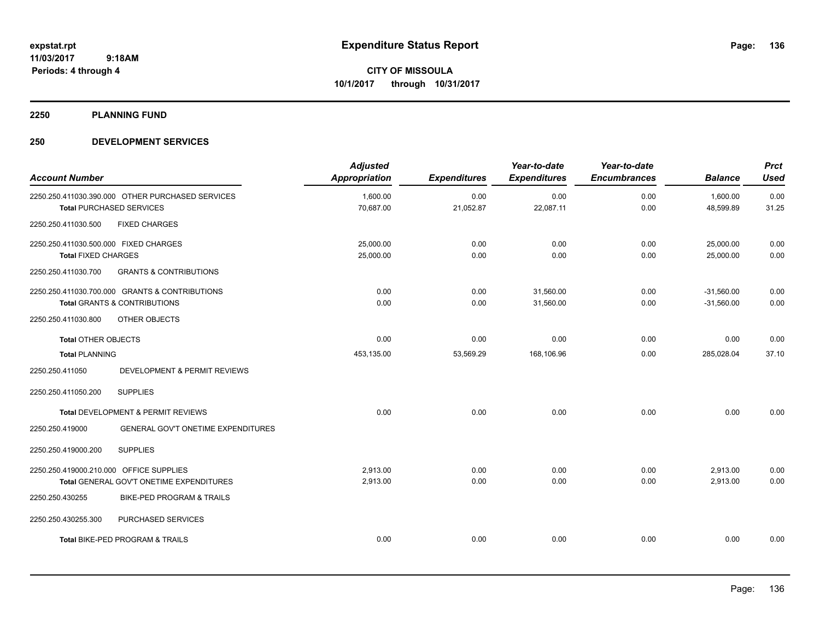**2250 PLANNING FUND**

| <b>Account Number</b>                             |                                                                                           | <b>Adjusted</b><br><b>Appropriation</b> | <b>Expenditures</b> | Year-to-date<br><b>Expenditures</b> | Year-to-date<br><b>Encumbrances</b> | <b>Balance</b>               | <b>Prct</b><br><b>Used</b> |
|---------------------------------------------------|-------------------------------------------------------------------------------------------|-----------------------------------------|---------------------|-------------------------------------|-------------------------------------|------------------------------|----------------------------|
|                                                   | 2250.250.411030.390.000 OTHER PURCHASED SERVICES<br><b>Total PURCHASED SERVICES</b>       | 1,600.00<br>70,687.00                   | 0.00<br>21,052.87   | 0.00<br>22,087.11                   | 0.00<br>0.00                        | 1,600.00<br>48,599.89        | 0.00<br>31.25              |
| 2250.250.411030.500                               | <b>FIXED CHARGES</b>                                                                      |                                         |                     |                                     |                                     |                              |                            |
| 2250.250.411030.500.000 FIXED CHARGES             |                                                                                           | 25,000.00                               | 0.00                | 0.00                                | 0.00                                | 25,000.00                    | 0.00                       |
| <b>Total FIXED CHARGES</b><br>2250.250.411030.700 | <b>GRANTS &amp; CONTRIBUTIONS</b>                                                         | 25,000.00                               | 0.00                | 0.00                                | 0.00                                | 25,000.00                    | 0.00                       |
|                                                   | 2250.250.411030.700.000 GRANTS & CONTRIBUTIONS<br><b>Total GRANTS &amp; CONTRIBUTIONS</b> | 0.00<br>0.00                            | 0.00<br>0.00        | 31,560.00<br>31,560.00              | 0.00<br>0.00                        | $-31,560.00$<br>$-31,560.00$ | 0.00<br>0.00               |
| 2250.250.411030.800                               | OTHER OBJECTS                                                                             |                                         |                     |                                     |                                     |                              |                            |
| <b>Total OTHER OBJECTS</b>                        |                                                                                           | 0.00                                    | 0.00                | 0.00                                | 0.00                                | 0.00                         | 0.00                       |
| <b>Total PLANNING</b>                             |                                                                                           | 453,135.00                              | 53,569.29           | 168,106.96                          | 0.00                                | 285,028.04                   | 37.10                      |
| 2250.250.411050                                   | DEVELOPMENT & PERMIT REVIEWS                                                              |                                         |                     |                                     |                                     |                              |                            |
| 2250.250.411050.200                               | <b>SUPPLIES</b>                                                                           |                                         |                     |                                     |                                     |                              |                            |
|                                                   | Total DEVELOPMENT & PERMIT REVIEWS                                                        | 0.00                                    | 0.00                | 0.00                                | 0.00                                | 0.00                         | 0.00                       |
| 2250.250.419000                                   | <b>GENERAL GOV'T ONETIME EXPENDITURES</b>                                                 |                                         |                     |                                     |                                     |                              |                            |
| 2250.250.419000.200                               | <b>SUPPLIES</b>                                                                           |                                         |                     |                                     |                                     |                              |                            |
| 2250.250.419000.210.000 OFFICE SUPPLIES           | Total GENERAL GOV'T ONETIME EXPENDITURES                                                  | 2,913.00<br>2,913.00                    | 0.00<br>0.00        | 0.00<br>0.00                        | 0.00<br>0.00                        | 2,913.00<br>2,913.00         | 0.00<br>0.00               |
| 2250.250.430255                                   | BIKE-PED PROGRAM & TRAILS                                                                 |                                         |                     |                                     |                                     |                              |                            |
| 2250.250.430255.300                               | PURCHASED SERVICES                                                                        |                                         |                     |                                     |                                     |                              |                            |
|                                                   | <b>Total BIKE-PED PROGRAM &amp; TRAILS</b>                                                | 0.00                                    | 0.00                | 0.00                                | 0.00                                | 0.00                         | 0.00                       |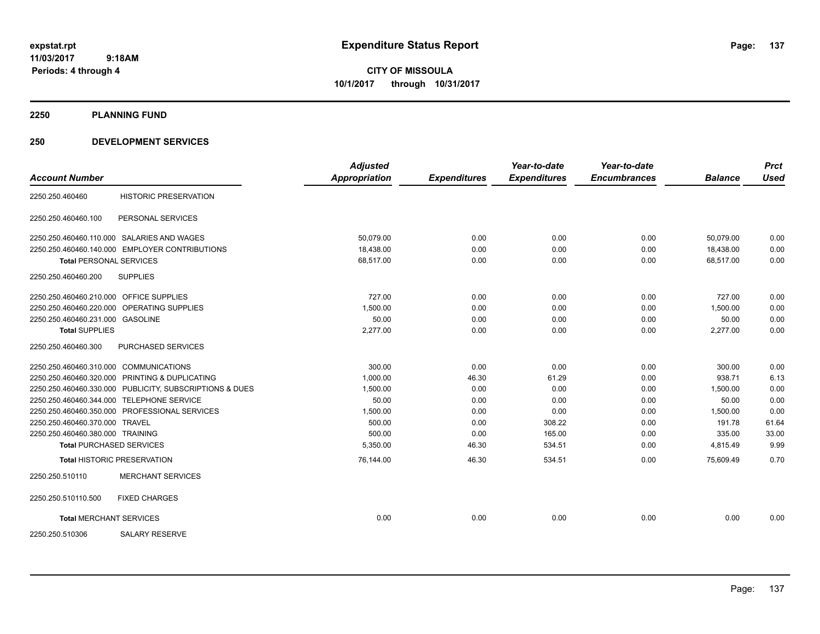**CITY OF MISSOULA 10/1/2017 through 10/31/2017**

**2250 PLANNING FUND**

|                                         |                                                         | <b>Adjusted</b>      |                     | Year-to-date        | Year-to-date        |                | <b>Prct</b> |
|-----------------------------------------|---------------------------------------------------------|----------------------|---------------------|---------------------|---------------------|----------------|-------------|
| <b>Account Number</b>                   |                                                         | <b>Appropriation</b> | <b>Expenditures</b> | <b>Expenditures</b> | <b>Encumbrances</b> | <b>Balance</b> | <b>Used</b> |
| 2250.250.460460                         | <b>HISTORIC PRESERVATION</b>                            |                      |                     |                     |                     |                |             |
| 2250.250.460460.100                     | PERSONAL SERVICES                                       |                      |                     |                     |                     |                |             |
|                                         | 2250.250.460460.110.000 SALARIES AND WAGES              | 50.079.00            | 0.00                | 0.00                | 0.00                | 50,079.00      | 0.00        |
|                                         | 2250.250.460460.140.000 EMPLOYER CONTRIBUTIONS          | 18.438.00            | 0.00                | 0.00                | 0.00                | 18.438.00      | 0.00        |
| <b>Total PERSONAL SERVICES</b>          |                                                         | 68,517.00            | 0.00                | 0.00                | 0.00                | 68,517.00      | 0.00        |
| 2250.250.460460.200                     | <b>SUPPLIES</b>                                         |                      |                     |                     |                     |                |             |
| 2250.250.460460.210.000 OFFICE SUPPLIES |                                                         | 727.00               | 0.00                | 0.00                | 0.00                | 727.00         | 0.00        |
|                                         | 2250.250.460460.220.000 OPERATING SUPPLIES              | 1.500.00             | 0.00                | 0.00                | 0.00                | 1.500.00       | 0.00        |
| 2250.250.460460.231.000 GASOLINE        |                                                         | 50.00                | 0.00                | 0.00                | 0.00                | 50.00          | 0.00        |
| <b>Total SUPPLIES</b>                   |                                                         | 2,277.00             | 0.00                | 0.00                | 0.00                | 2,277.00       | 0.00        |
| 2250.250.460460.300                     | PURCHASED SERVICES                                      |                      |                     |                     |                     |                |             |
| 2250.250.460460.310.000 COMMUNICATIONS  |                                                         | 300.00               | 0.00                | 0.00                | 0.00                | 300.00         | 0.00        |
|                                         | 2250.250.460460.320.000 PRINTING & DUPLICATING          | 1,000.00             | 46.30               | 61.29               | 0.00                | 938.71         | 6.13        |
|                                         | 2250.250.460460.330.000 PUBLICITY, SUBSCRIPTIONS & DUES | 1,500.00             | 0.00                | 0.00                | 0.00                | 1,500.00       | 0.00        |
|                                         | 2250.250.460460.344.000 TELEPHONE SERVICE               | 50.00                | 0.00                | 0.00                | 0.00                | 50.00          | 0.00        |
|                                         | 2250.250.460460.350.000 PROFESSIONAL SERVICES           | 1,500.00             | 0.00                | 0.00                | 0.00                | 1,500.00       | 0.00        |
| 2250.250.460460.370.000 TRAVEL          |                                                         | 500.00               | 0.00                | 308.22              | 0.00                | 191.78         | 61.64       |
| 2250.250.460460.380.000 TRAINING        |                                                         | 500.00               | 0.00                | 165.00              | 0.00                | 335.00         | 33.00       |
|                                         | <b>Total PURCHASED SERVICES</b>                         | 5,350.00             | 46.30               | 534.51              | 0.00                | 4,815.49       | 9.99        |
|                                         | <b>Total HISTORIC PRESERVATION</b>                      | 76,144.00            | 46.30               | 534.51              | 0.00                | 75,609.49      | 0.70        |
| 2250.250.510110                         | <b>MERCHANT SERVICES</b>                                |                      |                     |                     |                     |                |             |
| 2250.250.510110.500                     | <b>FIXED CHARGES</b>                                    |                      |                     |                     |                     |                |             |
| <b>Total MERCHANT SERVICES</b>          |                                                         | 0.00                 | 0.00                | 0.00                | 0.00                | 0.00           | 0.00        |
| 2250.250.510306                         | <b>SALARY RESERVE</b>                                   |                      |                     |                     |                     |                |             |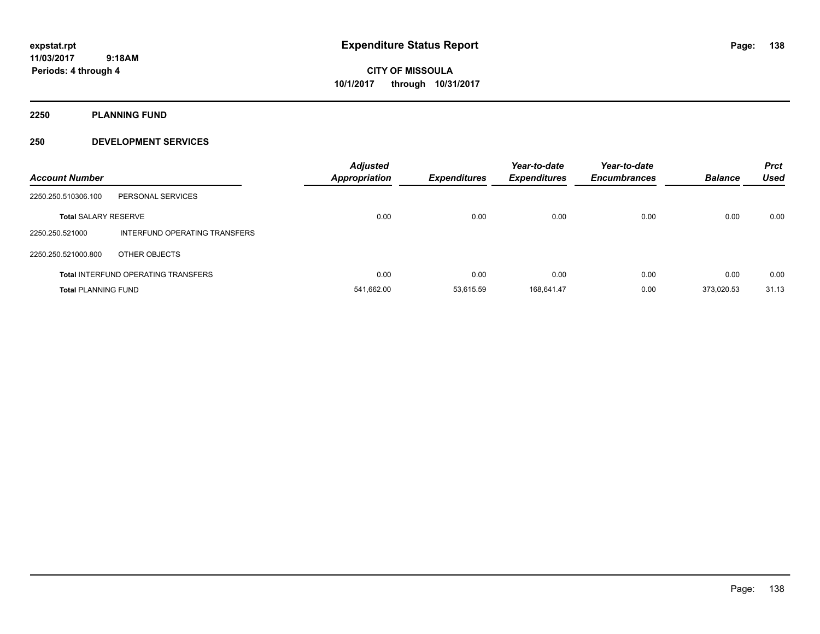**CITY OF MISSOULA 10/1/2017 through 10/31/2017**

**2250 PLANNING FUND**

| <b>Account Number</b>       |                                            | <b>Adjusted</b><br><b>Appropriation</b> | <b>Expenditures</b> | Year-to-date<br><b>Expenditures</b> | Year-to-date<br><b>Encumbrances</b> | <b>Balance</b> | <b>Prct</b><br><b>Used</b> |
|-----------------------------|--------------------------------------------|-----------------------------------------|---------------------|-------------------------------------|-------------------------------------|----------------|----------------------------|
| 2250.250.510306.100         | PERSONAL SERVICES                          |                                         |                     |                                     |                                     |                |                            |
| <b>Total SALARY RESERVE</b> |                                            | 0.00                                    | 0.00                | 0.00                                | 0.00                                | 0.00           | 0.00                       |
| 2250.250.521000             | INTERFUND OPERATING TRANSFERS              |                                         |                     |                                     |                                     |                |                            |
| 2250.250.521000.800         | OTHER OBJECTS                              |                                         |                     |                                     |                                     |                |                            |
|                             | <b>Total INTERFUND OPERATING TRANSFERS</b> | 0.00                                    | 0.00                | 0.00                                | 0.00                                | 0.00           | 0.00                       |
| <b>Total PLANNING FUND</b>  |                                            | 541,662.00                              | 53.615.59           | 168.641.47                          | 0.00                                | 373.020.53     | 31.13                      |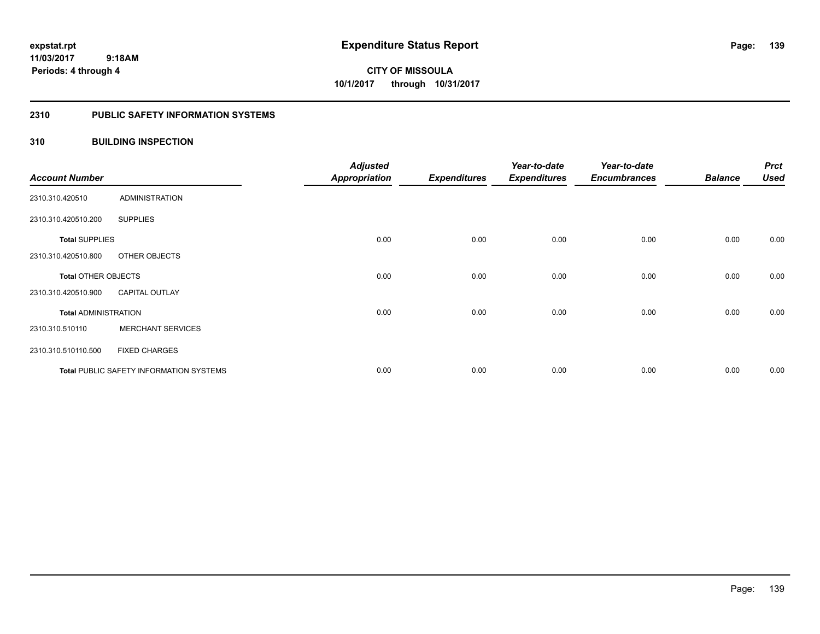**CITY OF MISSOULA 10/1/2017 through 10/31/2017**

#### **2310 PUBLIC SAFETY INFORMATION SYSTEMS**

#### **310 BUILDING INSPECTION**

| <b>Account Number</b>       |                                                | <b>Adjusted</b><br><b>Appropriation</b> | <b>Expenditures</b> | Year-to-date<br><b>Expenditures</b> | Year-to-date<br><b>Encumbrances</b> | <b>Balance</b> | <b>Prct</b><br><b>Used</b> |
|-----------------------------|------------------------------------------------|-----------------------------------------|---------------------|-------------------------------------|-------------------------------------|----------------|----------------------------|
| 2310.310.420510             | <b>ADMINISTRATION</b>                          |                                         |                     |                                     |                                     |                |                            |
| 2310.310.420510.200         | <b>SUPPLIES</b>                                |                                         |                     |                                     |                                     |                |                            |
| <b>Total SUPPLIES</b>       |                                                | 0.00                                    | 0.00                | 0.00                                | 0.00                                | 0.00           | 0.00                       |
| 2310.310.420510.800         | OTHER OBJECTS                                  |                                         |                     |                                     |                                     |                |                            |
| Total OTHER OBJECTS         |                                                | 0.00                                    | 0.00                | 0.00                                | 0.00                                | 0.00           | 0.00                       |
| 2310.310.420510.900         | <b>CAPITAL OUTLAY</b>                          |                                         |                     |                                     |                                     |                |                            |
| <b>Total ADMINISTRATION</b> |                                                | 0.00                                    | 0.00                | 0.00                                | 0.00                                | 0.00           | 0.00                       |
| 2310.310.510110             | <b>MERCHANT SERVICES</b>                       |                                         |                     |                                     |                                     |                |                            |
| 2310.310.510110.500         | <b>FIXED CHARGES</b>                           |                                         |                     |                                     |                                     |                |                            |
|                             | <b>Total PUBLIC SAFETY INFORMATION SYSTEMS</b> | 0.00                                    | 0.00                | 0.00                                | 0.00                                | 0.00           | 0.00                       |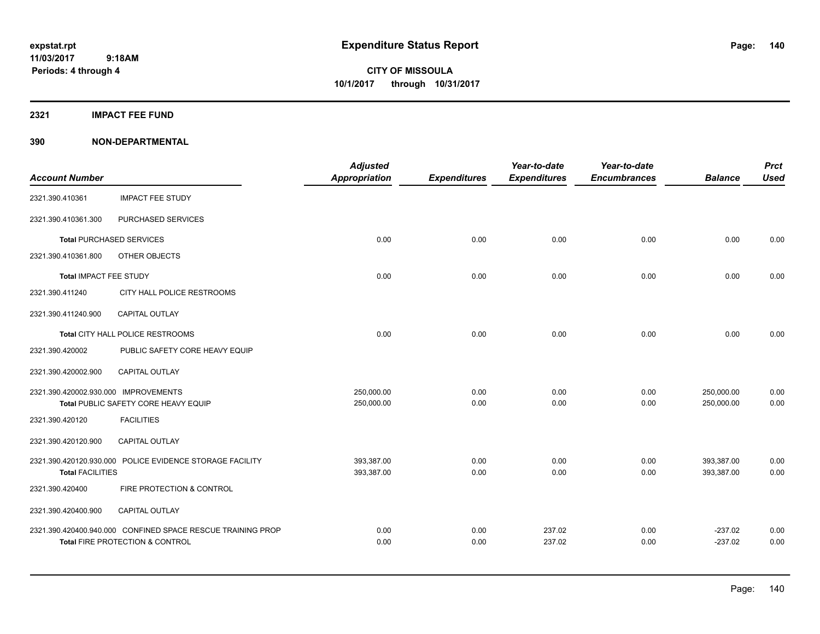**Periods: 4 through 4**

**CITY OF MISSOULA 10/1/2017 through 10/31/2017**

**2321 IMPACT FEE FUND**

| <b>Account Number</b>                |                                                                                                | <b>Adjusted</b><br><b>Appropriation</b> | <b>Expenditures</b> | Year-to-date<br><b>Expenditures</b> | Year-to-date<br><b>Encumbrances</b> | <b>Balance</b>           | <b>Prct</b><br><b>Used</b> |
|--------------------------------------|------------------------------------------------------------------------------------------------|-----------------------------------------|---------------------|-------------------------------------|-------------------------------------|--------------------------|----------------------------|
| 2321.390.410361                      | <b>IMPACT FEE STUDY</b>                                                                        |                                         |                     |                                     |                                     |                          |                            |
| 2321.390.410361.300                  | PURCHASED SERVICES                                                                             |                                         |                     |                                     |                                     |                          |                            |
|                                      | <b>Total PURCHASED SERVICES</b>                                                                | 0.00                                    | 0.00                | 0.00                                | 0.00                                | 0.00                     | 0.00                       |
| 2321.390.410361.800                  | OTHER OBJECTS                                                                                  |                                         |                     |                                     |                                     |                          |                            |
| <b>Total IMPACT FEE STUDY</b>        |                                                                                                | 0.00                                    | 0.00                | 0.00                                | 0.00                                | 0.00                     | 0.00                       |
| 2321.390.411240                      | CITY HALL POLICE RESTROOMS                                                                     |                                         |                     |                                     |                                     |                          |                            |
| 2321.390.411240.900                  | <b>CAPITAL OUTLAY</b>                                                                          |                                         |                     |                                     |                                     |                          |                            |
|                                      | Total CITY HALL POLICE RESTROOMS                                                               | 0.00                                    | 0.00                | 0.00                                | 0.00                                | 0.00                     | 0.00                       |
| 2321.390.420002                      | PUBLIC SAFETY CORE HEAVY EQUIP                                                                 |                                         |                     |                                     |                                     |                          |                            |
| 2321.390.420002.900                  | CAPITAL OUTLAY                                                                                 |                                         |                     |                                     |                                     |                          |                            |
| 2321.390.420002.930.000 IMPROVEMENTS | Total PUBLIC SAFETY CORE HEAVY EQUIP                                                           | 250,000.00<br>250,000.00                | 0.00<br>0.00        | 0.00<br>0.00                        | 0.00<br>0.00                        | 250,000.00<br>250,000.00 | 0.00<br>0.00               |
| 2321.390.420120                      | <b>FACILITIES</b>                                                                              |                                         |                     |                                     |                                     |                          |                            |
| 2321.390.420120.900                  | CAPITAL OUTLAY                                                                                 |                                         |                     |                                     |                                     |                          |                            |
| <b>Total FACILITIES</b>              | 2321.390.420120.930.000 POLICE EVIDENCE STORAGE FACILITY                                       | 393,387.00<br>393,387.00                | 0.00<br>0.00        | 0.00<br>0.00                        | 0.00<br>0.00                        | 393,387.00<br>393,387.00 | 0.00<br>0.00               |
| 2321.390.420400                      | FIRE PROTECTION & CONTROL                                                                      |                                         |                     |                                     |                                     |                          |                            |
| 2321.390.420400.900                  | CAPITAL OUTLAY                                                                                 |                                         |                     |                                     |                                     |                          |                            |
|                                      | 2321.390.420400.940.000 CONFINED SPACE RESCUE TRAINING PROP<br>Total FIRE PROTECTION & CONTROL | 0.00<br>0.00                            | 0.00<br>0.00        | 237.02<br>237.02                    | 0.00<br>0.00                        | $-237.02$<br>$-237.02$   | 0.00<br>0.00               |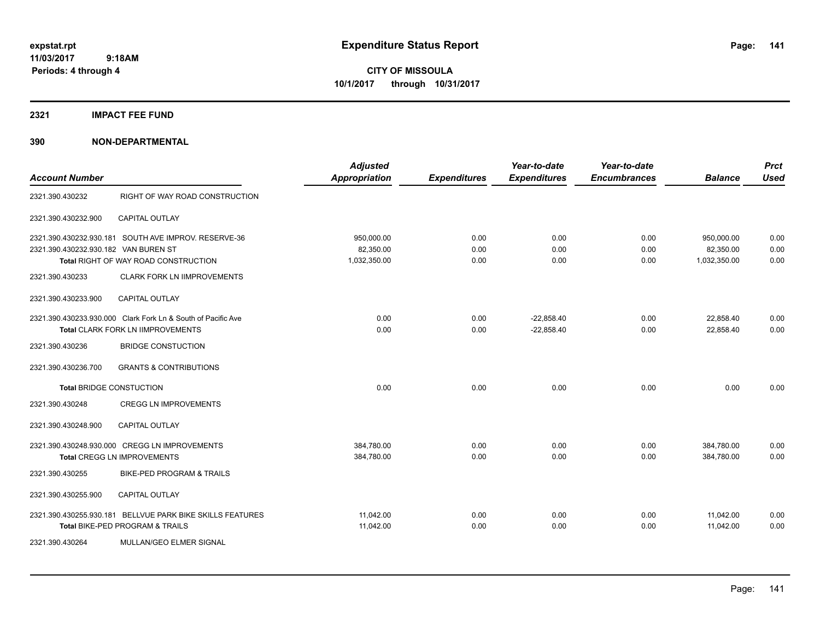**CITY OF MISSOULA 10/1/2017 through 10/31/2017**

**2321 IMPACT FEE FUND**

| <b>Account Number</b>                                                     |                                                                                                                                                         | <b>Adjusted</b><br><b>Appropriation</b> | <b>Expenditures</b>  | Year-to-date<br><b>Expenditures</b> | Year-to-date<br><b>Encumbrances</b> | <b>Balance</b>                          | <b>Prct</b><br><b>Used</b> |
|---------------------------------------------------------------------------|---------------------------------------------------------------------------------------------------------------------------------------------------------|-----------------------------------------|----------------------|-------------------------------------|-------------------------------------|-----------------------------------------|----------------------------|
| 2321.390.430232                                                           | RIGHT OF WAY ROAD CONSTRUCTION                                                                                                                          |                                         |                      |                                     |                                     |                                         |                            |
| 2321.390.430232.900                                                       | <b>CAPITAL OUTLAY</b>                                                                                                                                   |                                         |                      |                                     |                                     |                                         |                            |
| 2321.390.430232.930.182 VAN BUREN ST<br>2321.390.430233                   | 2321.390.430232.930.181 SOUTH AVE IMPROV, RESERVE-36<br><b>Total RIGHT OF WAY ROAD CONSTRUCTION</b><br><b>CLARK FORK LN IIMPROVEMENTS</b>               | 950,000.00<br>82,350.00<br>1,032,350.00 | 0.00<br>0.00<br>0.00 | 0.00<br>0.00<br>0.00                | 0.00<br>0.00<br>0.00                | 950,000.00<br>82,350.00<br>1,032,350.00 | 0.00<br>0.00<br>0.00       |
| 2321.390.430233.900<br>2321.390.430236                                    | <b>CAPITAL OUTLAY</b><br>2321.390.430233.930.000 Clark Fork Ln & South of Pacific Ave<br>Total CLARK FORK LN IIMPROVEMENTS<br><b>BRIDGE CONSTUCTION</b> | 0.00<br>0.00                            | 0.00<br>0.00         | $-22.858.40$<br>$-22,858.40$        | 0.00<br>0.00                        | 22,858.40<br>22.858.40                  | 0.00<br>0.00               |
| 2321.390.430236.700<br><b>Total BRIDGE CONSTUCTION</b><br>2321.390.430248 | <b>GRANTS &amp; CONTRIBUTIONS</b><br><b>CREGG LN IMPROVEMENTS</b>                                                                                       | 0.00                                    | 0.00                 | 0.00                                | 0.00                                | 0.00                                    | 0.00                       |
| 2321.390.430248.900<br>2321.390.430255                                    | <b>CAPITAL OUTLAY</b><br>2321.390.430248.930.000 CREGG LN IMPROVEMENTS<br><b>Total CREGG LN IMPROVEMENTS</b><br>BIKE-PED PROGRAM & TRAILS               | 384,780.00<br>384,780.00                | 0.00<br>0.00         | 0.00<br>0.00                        | 0.00<br>0.00                        | 384,780.00<br>384.780.00                | 0.00<br>0.00               |
| 2321.390.430255.900<br>2321.390.430264                                    | <b>CAPITAL OUTLAY</b><br>2321.390.430255.930.181 BELLVUE PARK BIKE SKILLS FEATURES<br>Total BIKE-PED PROGRAM & TRAILS<br>MULLAN/GEO ELMER SIGNAL        | 11.042.00<br>11,042.00                  | 0.00<br>0.00         | 0.00<br>0.00                        | 0.00<br>0.00                        | 11,042.00<br>11,042.00                  | 0.00<br>0.00               |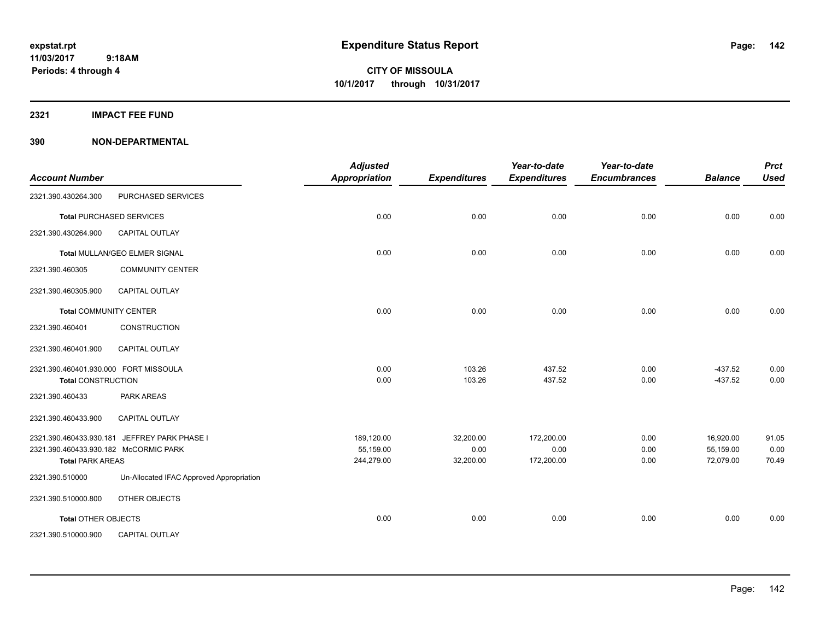#### **2321 IMPACT FEE FUND**

| <b>Account Number</b>                                                                       |                                          | <b>Adjusted</b><br><b>Appropriation</b> | <b>Expenditures</b>            | Year-to-date<br><b>Expenditures</b> | Year-to-date<br><b>Encumbrances</b> | <b>Balance</b>                      | <b>Prct</b><br><b>Used</b> |
|---------------------------------------------------------------------------------------------|------------------------------------------|-----------------------------------------|--------------------------------|-------------------------------------|-------------------------------------|-------------------------------------|----------------------------|
| 2321.390.430264.300                                                                         | PURCHASED SERVICES                       |                                         |                                |                                     |                                     |                                     |                            |
|                                                                                             | <b>Total PURCHASED SERVICES</b>          | 0.00                                    | 0.00                           | 0.00                                | 0.00                                | 0.00                                | 0.00                       |
| 2321.390.430264.900                                                                         | <b>CAPITAL OUTLAY</b>                    |                                         |                                |                                     |                                     |                                     |                            |
|                                                                                             | <b>Total MULLAN/GEO ELMER SIGNAL</b>     | 0.00                                    | 0.00                           | 0.00                                | 0.00                                | 0.00                                | 0.00                       |
| 2321.390.460305                                                                             | <b>COMMUNITY CENTER</b>                  |                                         |                                |                                     |                                     |                                     |                            |
| 2321.390.460305.900                                                                         | CAPITAL OUTLAY                           |                                         |                                |                                     |                                     |                                     |                            |
| <b>Total COMMUNITY CENTER</b>                                                               |                                          | 0.00                                    | 0.00                           | 0.00                                | 0.00                                | 0.00                                | 0.00                       |
| 2321.390.460401                                                                             | CONSTRUCTION                             |                                         |                                |                                     |                                     |                                     |                            |
| 2321.390.460401.900                                                                         | <b>CAPITAL OUTLAY</b>                    |                                         |                                |                                     |                                     |                                     |                            |
| 2321.390.460401.930.000 FORT MISSOULA<br><b>Total CONSTRUCTION</b>                          |                                          | 0.00<br>0.00                            | 103.26<br>103.26               | 437.52<br>437.52                    | 0.00<br>0.00                        | $-437.52$<br>$-437.52$              | 0.00<br>0.00               |
| 2321.390.460433                                                                             | <b>PARK AREAS</b>                        |                                         |                                |                                     |                                     |                                     |                            |
| 2321.390.460433.900                                                                         | CAPITAL OUTLAY                           |                                         |                                |                                     |                                     |                                     |                            |
| 2321.390.460433.930.181<br>2321.390.460433.930.182 McCORMIC PARK<br><b>Total PARK AREAS</b> | JEFFREY PARK PHASE I                     | 189,120.00<br>55,159.00<br>244,279.00   | 32,200.00<br>0.00<br>32,200.00 | 172,200.00<br>0.00<br>172,200.00    | 0.00<br>0.00<br>0.00                | 16,920.00<br>55,159.00<br>72,079.00 | 91.05<br>0.00<br>70.49     |
| 2321.390.510000                                                                             | Un-Allocated IFAC Approved Appropriation |                                         |                                |                                     |                                     |                                     |                            |
| 2321.390.510000.800                                                                         | OTHER OBJECTS                            |                                         |                                |                                     |                                     |                                     |                            |
| <b>Total OTHER OBJECTS</b>                                                                  |                                          | 0.00                                    | 0.00                           | 0.00                                | 0.00                                | 0.00                                | 0.00                       |
| 2321.390.510000.900                                                                         | <b>CAPITAL OUTLAY</b>                    |                                         |                                |                                     |                                     |                                     |                            |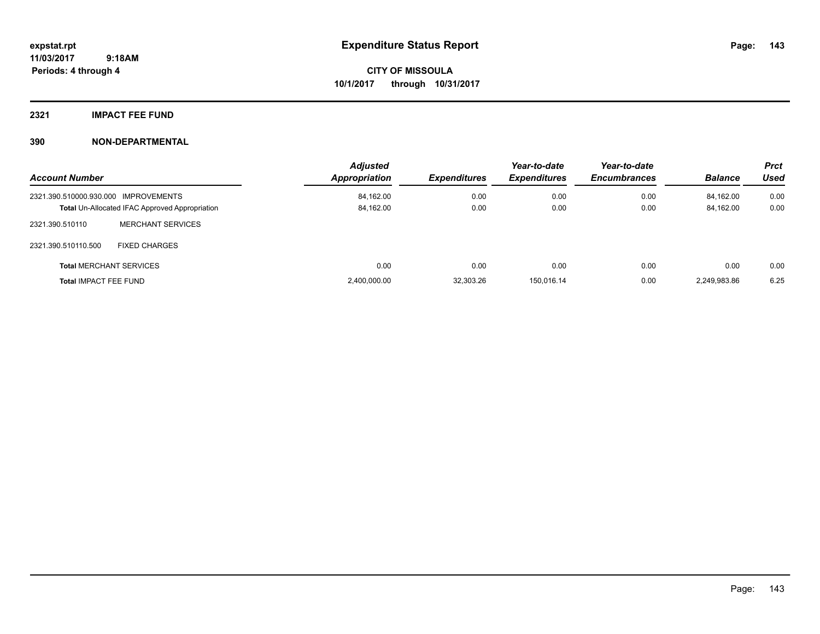### **2321 IMPACT FEE FUND**

| <b>Account Number</b>                |                                                       | <b>Adjusted</b><br>Appropriation | <b>Expenditures</b> | Year-to-date<br><b>Expenditures</b> | Year-to-date<br><b>Encumbrances</b> | <b>Balance</b> | <b>Prct</b><br>Used |
|--------------------------------------|-------------------------------------------------------|----------------------------------|---------------------|-------------------------------------|-------------------------------------|----------------|---------------------|
| 2321.390.510000.930.000 IMPROVEMENTS |                                                       | 84,162.00                        | 0.00                | 0.00                                | 0.00                                | 84.162.00      | 0.00                |
|                                      | <b>Total Un-Allocated IFAC Approved Appropriation</b> | 84,162.00                        | 0.00                | 0.00                                | 0.00                                | 84,162.00      | 0.00                |
| 2321.390.510110                      | <b>MERCHANT SERVICES</b>                              |                                  |                     |                                     |                                     |                |                     |
| 2321.390.510110.500                  | <b>FIXED CHARGES</b>                                  |                                  |                     |                                     |                                     |                |                     |
|                                      | <b>Total MERCHANT SERVICES</b>                        | 0.00                             | 0.00                | 0.00                                | 0.00                                | 0.00           | 0.00                |
| <b>Total IMPACT FEE FUND</b>         |                                                       | 2,400,000.00                     | 32,303.26           | 150.016.14                          | 0.00                                | 2.249.983.86   | 6.25                |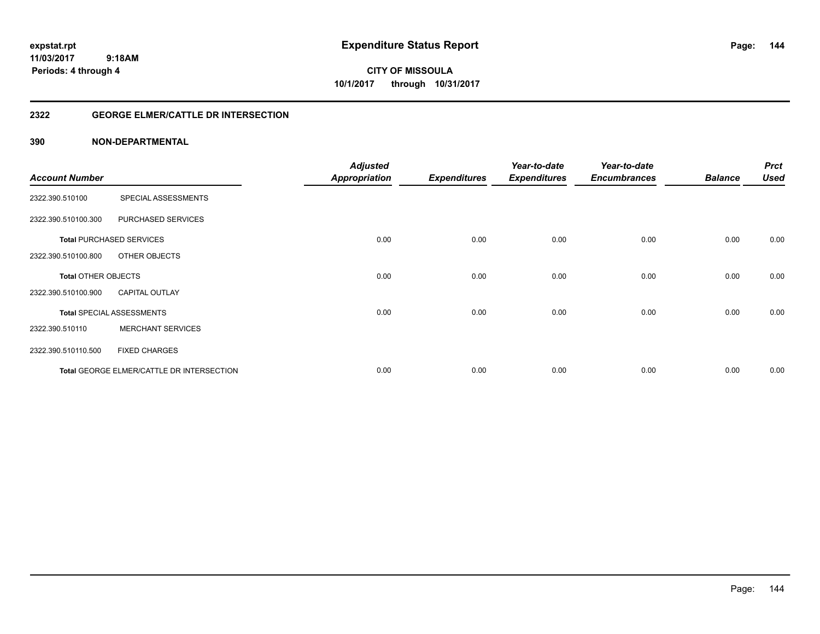**expstat.rpt Expenditure Status Report** 

**11/03/2017 9:18AM Periods: 4 through 4**

**CITY OF MISSOULA 10/1/2017 through 10/31/2017**

#### **2322 GEORGE ELMER/CATTLE DR INTERSECTION**

|                       |                                           | <b>Adjusted</b>      |                     | Year-to-date        | Year-to-date        |                | <b>Prct</b> |
|-----------------------|-------------------------------------------|----------------------|---------------------|---------------------|---------------------|----------------|-------------|
| <b>Account Number</b> |                                           | <b>Appropriation</b> | <b>Expenditures</b> | <b>Expenditures</b> | <b>Encumbrances</b> | <b>Balance</b> | <b>Used</b> |
| 2322.390.510100       | SPECIAL ASSESSMENTS                       |                      |                     |                     |                     |                |             |
| 2322.390.510100.300   | PURCHASED SERVICES                        |                      |                     |                     |                     |                |             |
|                       | <b>Total PURCHASED SERVICES</b>           | 0.00                 | 0.00                | 0.00                | 0.00                | 0.00           | 0.00        |
| 2322.390.510100.800   | OTHER OBJECTS                             |                      |                     |                     |                     |                |             |
| Total OTHER OBJECTS   |                                           | 0.00                 | 0.00                | 0.00                | 0.00                | 0.00           | 0.00        |
| 2322.390.510100.900   | <b>CAPITAL OUTLAY</b>                     |                      |                     |                     |                     |                |             |
|                       | <b>Total SPECIAL ASSESSMENTS</b>          | 0.00                 | 0.00                | 0.00                | 0.00                | 0.00           | 0.00        |
| 2322.390.510110       | <b>MERCHANT SERVICES</b>                  |                      |                     |                     |                     |                |             |
| 2322.390.510110.500   | <b>FIXED CHARGES</b>                      |                      |                     |                     |                     |                |             |
|                       | Total GEORGE ELMER/CATTLE DR INTERSECTION | 0.00                 | 0.00                | 0.00                | 0.00                | 0.00           | 0.00        |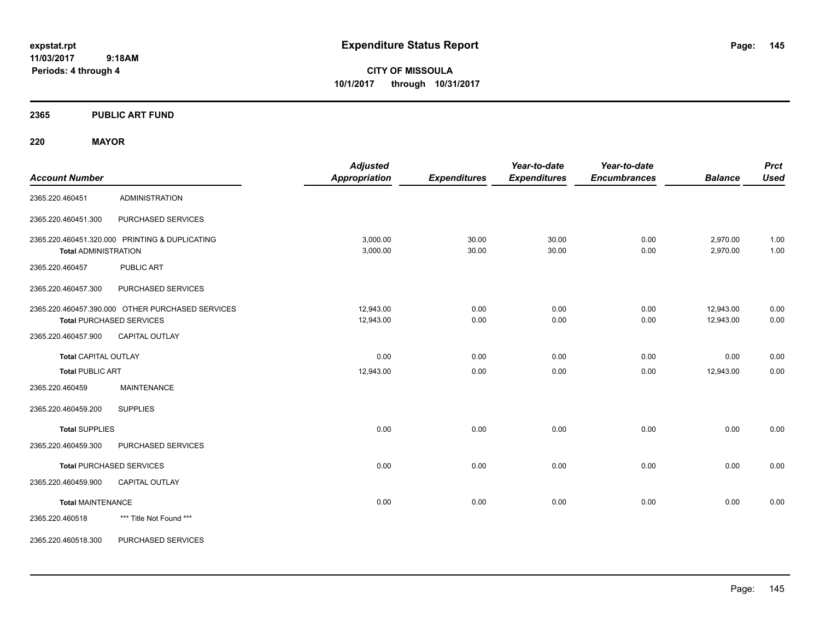**CITY OF MISSOULA 10/1/2017 through 10/31/2017**

# **2365 PUBLIC ART FUND**

# **220 MAYOR**

| <b>Account Number</b>       |                                                                                     | <b>Adjusted</b><br><b>Appropriation</b> | <b>Expenditures</b> | Year-to-date<br><b>Expenditures</b> | Year-to-date<br><b>Encumbrances</b> | <b>Balance</b>         | <b>Prct</b><br><b>Used</b> |
|-----------------------------|-------------------------------------------------------------------------------------|-----------------------------------------|---------------------|-------------------------------------|-------------------------------------|------------------------|----------------------------|
| 2365.220.460451             | <b>ADMINISTRATION</b>                                                               |                                         |                     |                                     |                                     |                        |                            |
| 2365.220.460451.300         | PURCHASED SERVICES                                                                  |                                         |                     |                                     |                                     |                        |                            |
| <b>Total ADMINISTRATION</b> | 2365.220.460451.320.000 PRINTING & DUPLICATING                                      | 3,000.00<br>3,000.00                    | 30.00<br>30.00      | 30.00<br>30.00                      | 0.00<br>0.00                        | 2,970.00<br>2,970.00   | 1.00<br>1.00               |
| 2365.220.460457             | PUBLIC ART                                                                          |                                         |                     |                                     |                                     |                        |                            |
| 2365.220.460457.300         | PURCHASED SERVICES                                                                  |                                         |                     |                                     |                                     |                        |                            |
|                             | 2365.220.460457.390.000 OTHER PURCHASED SERVICES<br><b>Total PURCHASED SERVICES</b> | 12,943.00<br>12,943.00                  | 0.00<br>0.00        | 0.00<br>0.00                        | 0.00<br>0.00                        | 12,943.00<br>12,943.00 | 0.00<br>0.00               |
| 2365.220.460457.900         | <b>CAPITAL OUTLAY</b>                                                               |                                         |                     |                                     |                                     |                        |                            |
| <b>Total CAPITAL OUTLAY</b> |                                                                                     | 0.00                                    | 0.00                | 0.00                                | 0.00                                | 0.00                   | 0.00                       |
| <b>Total PUBLIC ART</b>     |                                                                                     | 12,943.00                               | 0.00                | 0.00                                | 0.00                                | 12,943.00              | 0.00                       |
| 2365.220.460459             | <b>MAINTENANCE</b>                                                                  |                                         |                     |                                     |                                     |                        |                            |
| 2365.220.460459.200         | <b>SUPPLIES</b>                                                                     |                                         |                     |                                     |                                     |                        |                            |
| <b>Total SUPPLIES</b>       |                                                                                     | 0.00                                    | 0.00                | 0.00                                | 0.00                                | 0.00                   | 0.00                       |
| 2365.220.460459.300         | PURCHASED SERVICES                                                                  |                                         |                     |                                     |                                     |                        |                            |
|                             | <b>Total PURCHASED SERVICES</b>                                                     | 0.00                                    | 0.00                | 0.00                                | 0.00                                | 0.00                   | 0.00                       |
| 2365.220.460459.900         | <b>CAPITAL OUTLAY</b>                                                               |                                         |                     |                                     |                                     |                        |                            |
| <b>Total MAINTENANCE</b>    |                                                                                     | 0.00                                    | 0.00                | 0.00                                | 0.00                                | 0.00                   | 0.00                       |
| 2365.220.460518             | *** Title Not Found ***                                                             |                                         |                     |                                     |                                     |                        |                            |
| 2365.220.460518.300         | PURCHASED SERVICES                                                                  |                                         |                     |                                     |                                     |                        |                            |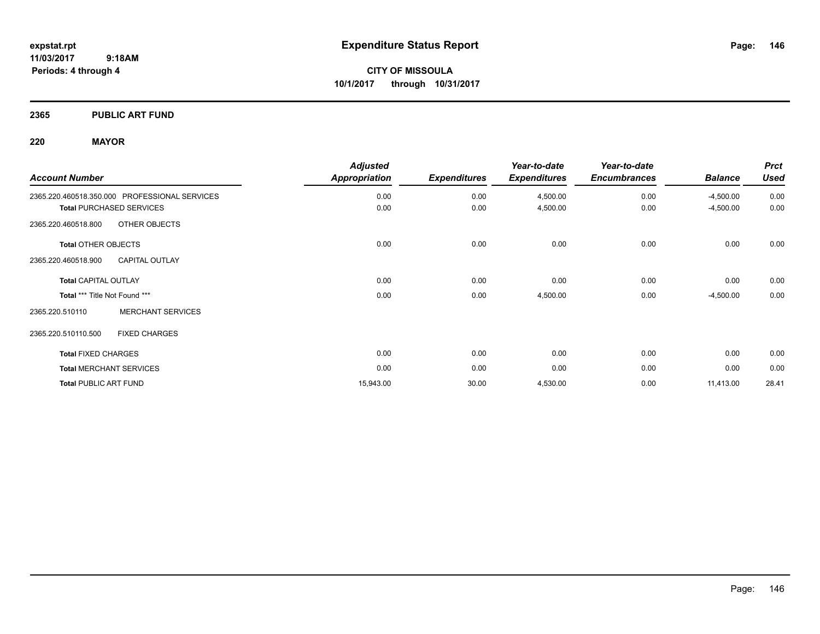**CITY OF MISSOULA 10/1/2017 through 10/31/2017**

# **2365 PUBLIC ART FUND**

# **220 MAYOR**

| <b>Account Number</b>                         | <b>Adjusted</b>      |                     | Year-to-date        | Year-to-date        |                | <b>Prct</b><br><b>Used</b> |
|-----------------------------------------------|----------------------|---------------------|---------------------|---------------------|----------------|----------------------------|
|                                               | <b>Appropriation</b> | <b>Expenditures</b> | <b>Expenditures</b> | <b>Encumbrances</b> | <b>Balance</b> |                            |
| 2365.220.460518.350.000 PROFESSIONAL SERVICES | 0.00                 | 0.00                | 4,500.00            | 0.00                | $-4,500.00$    | 0.00                       |
| <b>Total PURCHASED SERVICES</b>               | 0.00                 | 0.00                | 4,500.00            | 0.00                | $-4,500.00$    | 0.00                       |
| 2365.220.460518.800<br>OTHER OBJECTS          |                      |                     |                     |                     |                |                            |
| <b>Total OTHER OBJECTS</b>                    | 0.00                 | 0.00                | 0.00                | 0.00                | 0.00           | 0.00                       |
| <b>CAPITAL OUTLAY</b><br>2365.220.460518.900  |                      |                     |                     |                     |                |                            |
| <b>Total CAPITAL OUTLAY</b>                   | 0.00                 | 0.00                | 0.00                | 0.00                | 0.00           | 0.00                       |
| Total *** Title Not Found ***                 | 0.00                 | 0.00                | 4,500.00            | 0.00                | $-4,500.00$    | 0.00                       |
| <b>MERCHANT SERVICES</b><br>2365.220.510110   |                      |                     |                     |                     |                |                            |
| 2365.220.510110.500<br><b>FIXED CHARGES</b>   |                      |                     |                     |                     |                |                            |
| <b>Total FIXED CHARGES</b>                    | 0.00                 | 0.00                | 0.00                | 0.00                | 0.00           | 0.00                       |
| <b>Total MERCHANT SERVICES</b>                | 0.00                 | 0.00                | 0.00                | 0.00                | 0.00           | 0.00                       |
| <b>Total PUBLIC ART FUND</b>                  | 15,943.00            | 30.00               | 4,530.00            | 0.00                | 11,413.00      | 28.41                      |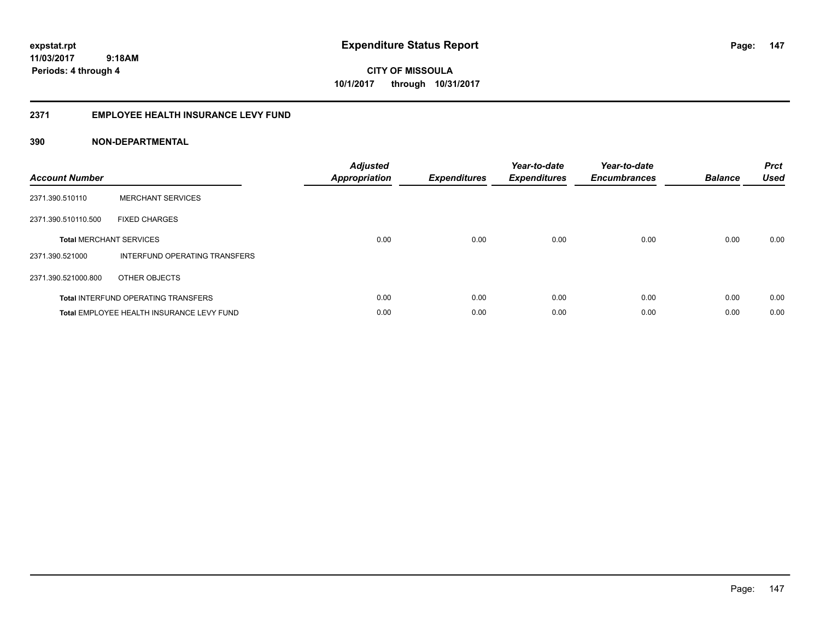**147**

**11/03/2017 9:18AM Periods: 4 through 4**

**CITY OF MISSOULA 10/1/2017 through 10/31/2017**

# **2371 EMPLOYEE HEALTH INSURANCE LEVY FUND**

| <b>Account Number</b> |                                            | <b>Adjusted</b><br>Appropriation | <b>Expenditures</b> | Year-to-date<br><b>Expenditures</b> | Year-to-date<br><b>Encumbrances</b> | <b>Balance</b> | <b>Prct</b><br><b>Used</b> |
|-----------------------|--------------------------------------------|----------------------------------|---------------------|-------------------------------------|-------------------------------------|----------------|----------------------------|
| 2371.390.510110       | <b>MERCHANT SERVICES</b>                   |                                  |                     |                                     |                                     |                |                            |
| 2371.390.510110.500   | <b>FIXED CHARGES</b>                       |                                  |                     |                                     |                                     |                |                            |
|                       | <b>Total MERCHANT SERVICES</b>             | 0.00                             | 0.00                | 0.00                                | 0.00                                | 0.00           | 0.00                       |
| 2371.390.521000       | INTERFUND OPERATING TRANSFERS              |                                  |                     |                                     |                                     |                |                            |
| 2371.390.521000.800   | OTHER OBJECTS                              |                                  |                     |                                     |                                     |                |                            |
|                       | <b>Total INTERFUND OPERATING TRANSFERS</b> | 0.00                             | 0.00                | 0.00                                | 0.00                                | 0.00           | 0.00                       |
|                       | Total EMPLOYEE HEALTH INSURANCE LEVY FUND  | 0.00                             | 0.00                | 0.00                                | 0.00                                | 0.00           | 0.00                       |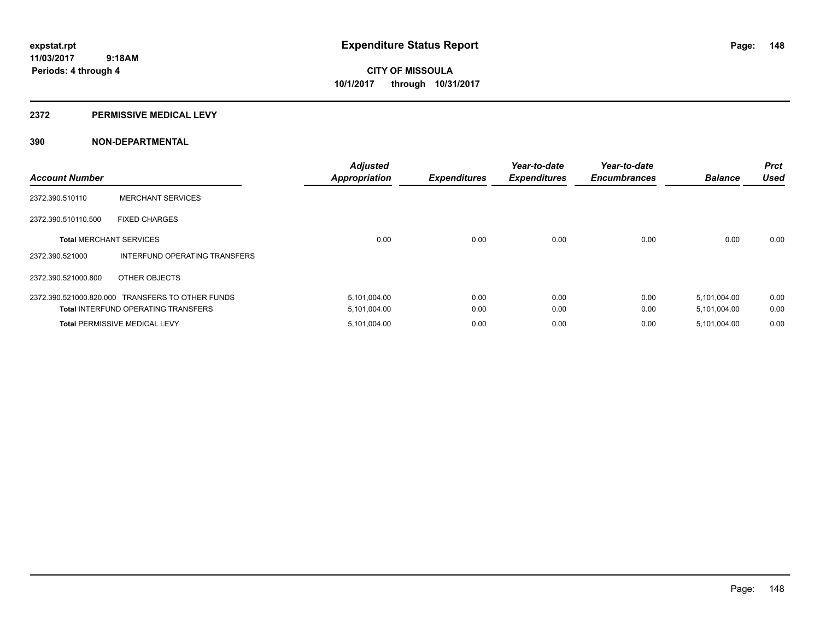## **2372 PERMISSIVE MEDICAL LEVY**

| <b>Account Number</b>          |                                                  | <b>Adjusted</b><br><b>Appropriation</b> | <b>Expenditures</b> | Year-to-date<br><b>Expenditures</b> | Year-to-date<br><b>Encumbrances</b> | <b>Balance</b> | <b>Prct</b><br><b>Used</b> |
|--------------------------------|--------------------------------------------------|-----------------------------------------|---------------------|-------------------------------------|-------------------------------------|----------------|----------------------------|
| 2372.390.510110                | <b>MERCHANT SERVICES</b>                         |                                         |                     |                                     |                                     |                |                            |
| 2372.390.510110.500            | <b>FIXED CHARGES</b>                             |                                         |                     |                                     |                                     |                |                            |
| <b>Total MERCHANT SERVICES</b> |                                                  | 0.00                                    | 0.00                | 0.00                                | 0.00                                | 0.00           | 0.00                       |
| 2372.390.521000                | INTERFUND OPERATING TRANSFERS                    |                                         |                     |                                     |                                     |                |                            |
| 2372.390.521000.800            | OTHER OBJECTS                                    |                                         |                     |                                     |                                     |                |                            |
|                                | 2372.390.521000.820.000 TRANSFERS TO OTHER FUNDS | 5,101,004.00                            | 0.00                | 0.00                                | 0.00                                | 5,101,004.00   | 0.00                       |
|                                | <b>Total INTERFUND OPERATING TRANSFERS</b>       | 5,101,004.00                            | 0.00                | 0.00                                | 0.00                                | 5,101,004.00   | 0.00                       |
|                                | <b>Total PERMISSIVE MEDICAL LEVY</b>             | 5,101,004.00                            | 0.00                | 0.00                                | 0.00                                | 5,101,004.00   | 0.00                       |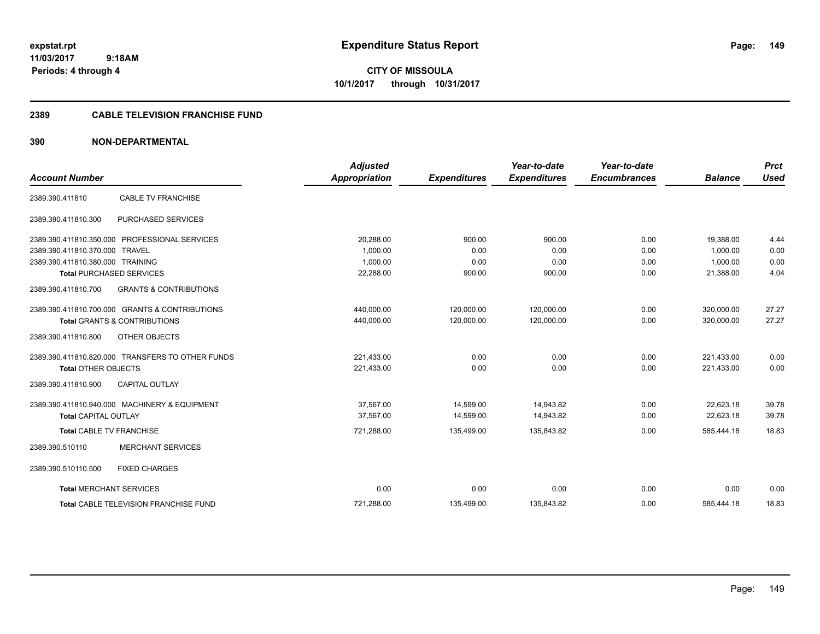**CITY OF MISSOULA 10/1/2017 through 10/31/2017**

## **2389 CABLE TELEVISION FRANCHISE FUND**

| <b>Account Number</b>            |                                                  | <b>Adjusted</b><br><b>Appropriation</b> |                     | Year-to-date<br><b>Expenditures</b> | Year-to-date<br><b>Encumbrances</b> | <b>Balance</b> | <b>Prct</b><br><b>Used</b> |
|----------------------------------|--------------------------------------------------|-----------------------------------------|---------------------|-------------------------------------|-------------------------------------|----------------|----------------------------|
|                                  |                                                  |                                         | <b>Expenditures</b> |                                     |                                     |                |                            |
| 2389.390.411810                  | <b>CABLE TV FRANCHISE</b>                        |                                         |                     |                                     |                                     |                |                            |
| 2389.390.411810.300              | PURCHASED SERVICES                               |                                         |                     |                                     |                                     |                |                            |
|                                  | 2389.390.411810.350.000 PROFESSIONAL SERVICES    | 20,288.00                               | 900.00              | 900.00                              | 0.00                                | 19,388.00      | 4.44                       |
| 2389.390.411810.370.000 TRAVEL   |                                                  | 1.000.00                                | 0.00                | 0.00                                | 0.00                                | 1.000.00       | 0.00                       |
| 2389.390.411810.380.000 TRAINING |                                                  | 1,000.00                                | 0.00                | 0.00                                | 0.00                                | 1,000.00       | 0.00                       |
|                                  | <b>Total PURCHASED SERVICES</b>                  | 22,288.00                               | 900.00              | 900.00                              | 0.00                                | 21,388.00      | 4.04                       |
| 2389.390.411810.700              | <b>GRANTS &amp; CONTRIBUTIONS</b>                |                                         |                     |                                     |                                     |                |                            |
|                                  | 2389.390.411810.700.000 GRANTS & CONTRIBUTIONS   | 440,000.00                              | 120,000.00          | 120,000.00                          | 0.00                                | 320,000.00     | 27.27                      |
|                                  | <b>Total GRANTS &amp; CONTRIBUTIONS</b>          | 440,000.00                              | 120,000.00          | 120,000.00                          | 0.00                                | 320,000.00     | 27.27                      |
| 2389.390.411810.800              | OTHER OBJECTS                                    |                                         |                     |                                     |                                     |                |                            |
|                                  | 2389.390.411810.820.000 TRANSFERS TO OTHER FUNDS | 221,433.00                              | 0.00                | 0.00                                | 0.00                                | 221,433.00     | 0.00                       |
| <b>Total OTHER OBJECTS</b>       |                                                  | 221,433.00                              | 0.00                | 0.00                                | 0.00                                | 221,433.00     | 0.00                       |
| 2389.390.411810.900              | <b>CAPITAL OUTLAY</b>                            |                                         |                     |                                     |                                     |                |                            |
|                                  | 2389.390.411810.940.000 MACHINERY & EQUIPMENT    | 37.567.00                               | 14,599.00           | 14,943.82                           | 0.00                                | 22,623.18      | 39.78                      |
| <b>Total CAPITAL OUTLAY</b>      |                                                  | 37,567.00                               | 14,599.00           | 14,943.82                           | 0.00                                | 22,623.18      | 39.78                      |
| Total CABLE TV FRANCHISE         |                                                  | 721,288.00                              | 135,499.00          | 135,843.82                          | 0.00                                | 585,444.18     | 18.83                      |
| 2389.390.510110                  | <b>MERCHANT SERVICES</b>                         |                                         |                     |                                     |                                     |                |                            |
| 2389.390.510110.500              | <b>FIXED CHARGES</b>                             |                                         |                     |                                     |                                     |                |                            |
| <b>Total MERCHANT SERVICES</b>   |                                                  | 0.00                                    | 0.00                | 0.00                                | 0.00                                | 0.00           | 0.00                       |
|                                  | <b>Total CABLE TELEVISION FRANCHISE FUND</b>     | 721,288.00                              | 135,499.00          | 135,843.82                          | 0.00                                | 585,444.18     | 18.83                      |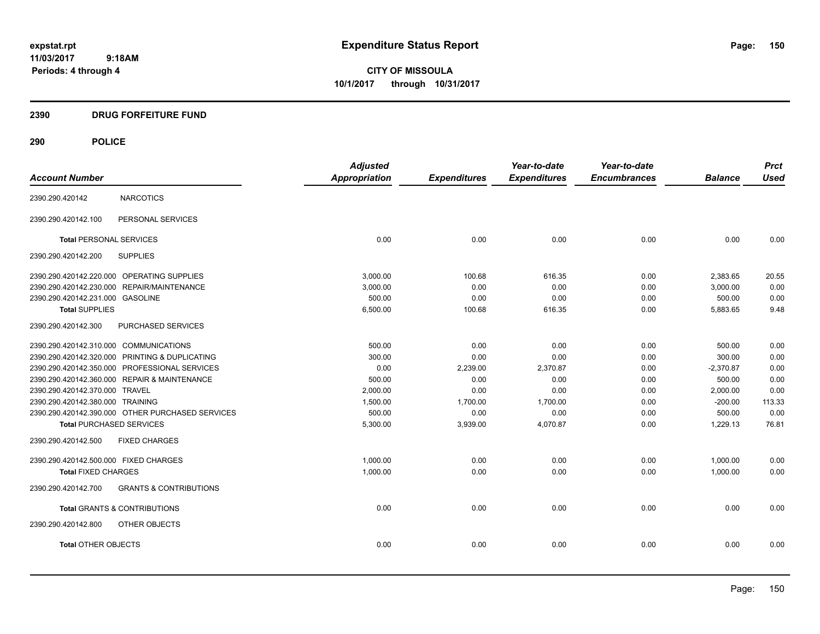**CITY OF MISSOULA 10/1/2017 through 10/31/2017**

# **2390 DRUG FORFEITURE FUND**

# **290 POLICE**

|                                        |                                                  | <b>Adjusted</b>      |                     | Year-to-date        | Year-to-date        |                | <b>Prct</b> |
|----------------------------------------|--------------------------------------------------|----------------------|---------------------|---------------------|---------------------|----------------|-------------|
| <b>Account Number</b>                  |                                                  | <b>Appropriation</b> | <b>Expenditures</b> | <b>Expenditures</b> | <b>Encumbrances</b> | <b>Balance</b> | <b>Used</b> |
| 2390.290.420142                        | <b>NARCOTICS</b>                                 |                      |                     |                     |                     |                |             |
| 2390.290.420142.100                    | PERSONAL SERVICES                                |                      |                     |                     |                     |                |             |
| <b>Total PERSONAL SERVICES</b>         |                                                  | 0.00                 | 0.00                | 0.00                | 0.00                | 0.00           | 0.00        |
| 2390.290.420142.200                    | <b>SUPPLIES</b>                                  |                      |                     |                     |                     |                |             |
|                                        | 2390.290.420142.220.000 OPERATING SUPPLIES       | 3.000.00             | 100.68              | 616.35              | 0.00                | 2,383.65       | 20.55       |
|                                        | 2390.290.420142.230.000 REPAIR/MAINTENANCE       | 3,000.00             | 0.00                | 0.00                | 0.00                | 3,000.00       | 0.00        |
| 2390.290.420142.231.000 GASOLINE       |                                                  | 500.00               | 0.00                | 0.00                | 0.00                | 500.00         | 0.00        |
| <b>Total SUPPLIES</b>                  |                                                  | 6,500.00             | 100.68              | 616.35              | 0.00                | 5,883.65       | 9.48        |
| 2390.290.420142.300                    | PURCHASED SERVICES                               |                      |                     |                     |                     |                |             |
| 2390.290.420142.310.000 COMMUNICATIONS |                                                  | 500.00               | 0.00                | 0.00                | 0.00                | 500.00         | 0.00        |
|                                        | 2390.290.420142.320.000 PRINTING & DUPLICATING   | 300.00               | 0.00                | 0.00                | 0.00                | 300.00         | 0.00        |
|                                        | 2390.290.420142.350.000 PROFESSIONAL SERVICES    | 0.00                 | 2,239.00            | 2,370.87            | 0.00                | $-2,370.87$    | 0.00        |
|                                        | 2390.290.420142.360.000 REPAIR & MAINTENANCE     | 500.00               | 0.00                | 0.00                | 0.00                | 500.00         | 0.00        |
| 2390.290.420142.370.000 TRAVEL         |                                                  | 2,000.00             | 0.00                | 0.00                | 0.00                | 2,000.00       | 0.00        |
| 2390.290.420142.380.000 TRAINING       |                                                  | 1,500.00             | 1,700.00            | 1,700.00            | 0.00                | $-200.00$      | 113.33      |
|                                        | 2390.290.420142.390.000 OTHER PURCHASED SERVICES | 500.00               | 0.00                | 0.00                | 0.00                | 500.00         | 0.00        |
| <b>Total PURCHASED SERVICES</b>        |                                                  | 5,300.00             | 3,939.00            | 4,070.87            | 0.00                | 1,229.13       | 76.81       |
| 2390.290.420142.500                    | <b>FIXED CHARGES</b>                             |                      |                     |                     |                     |                |             |
| 2390.290.420142.500.000 FIXED CHARGES  |                                                  | 1,000.00             | 0.00                | 0.00                | 0.00                | 1,000.00       | 0.00        |
| <b>Total FIXED CHARGES</b>             |                                                  | 1,000.00             | 0.00                | 0.00                | 0.00                | 1,000.00       | 0.00        |
| 2390.290.420142.700                    | <b>GRANTS &amp; CONTRIBUTIONS</b>                |                      |                     |                     |                     |                |             |
|                                        | <b>Total GRANTS &amp; CONTRIBUTIONS</b>          | 0.00                 | 0.00                | 0.00                | 0.00                | 0.00           | 0.00        |
| 2390.290.420142.800                    | OTHER OBJECTS                                    |                      |                     |                     |                     |                |             |
| <b>Total OTHER OBJECTS</b>             |                                                  | 0.00                 | 0.00                | 0.00                | 0.00                | 0.00           | 0.00        |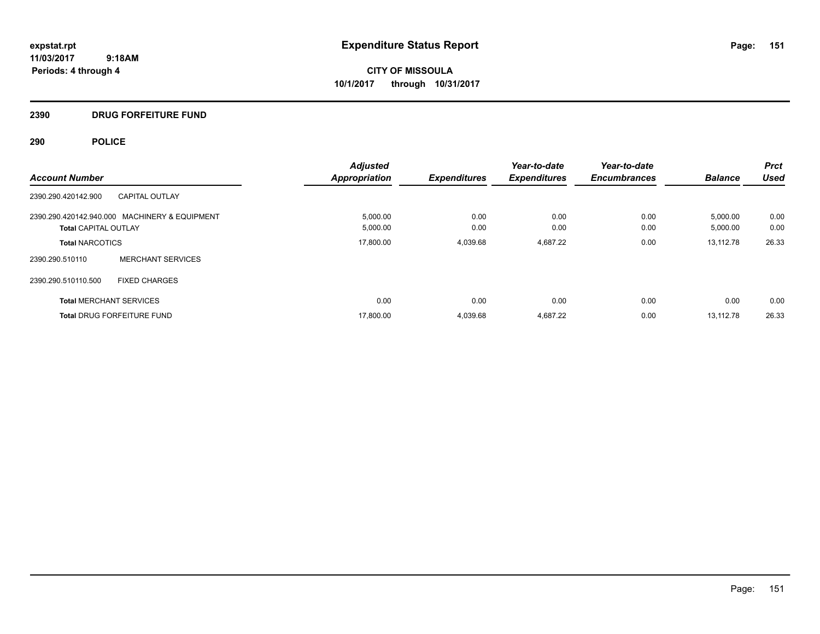**CITY OF MISSOULA 10/1/2017 through 10/31/2017**

# **2390 DRUG FORFEITURE FUND**

# **290 POLICE**

| <b>Account Number</b>                                                        | <b>Adjusted</b><br><b>Appropriation</b> | <b>Expenditures</b> | Year-to-date<br><b>Expenditures</b> | Year-to-date<br><b>Encumbrances</b> | <b>Balance</b>       | <b>Prct</b><br><b>Used</b> |
|------------------------------------------------------------------------------|-----------------------------------------|---------------------|-------------------------------------|-------------------------------------|----------------------|----------------------------|
| 2390.290.420142.900<br><b>CAPITAL OUTLAY</b>                                 |                                         |                     |                                     |                                     |                      |                            |
| 2390.290.420142.940.000 MACHINERY & EQUIPMENT<br><b>Total CAPITAL OUTLAY</b> | 5,000.00<br>5,000.00                    | 0.00<br>0.00        | 0.00<br>0.00                        | 0.00<br>0.00                        | 5,000.00<br>5,000.00 | 0.00<br>0.00               |
| <b>Total NARCOTICS</b>                                                       | 17.800.00                               | 4.039.68            | 4,687.22                            | 0.00                                | 13.112.78            | 26.33                      |
| <b>MERCHANT SERVICES</b><br>2390.290.510110                                  |                                         |                     |                                     |                                     |                      |                            |
| 2390.290.510110.500<br><b>FIXED CHARGES</b>                                  |                                         |                     |                                     |                                     |                      |                            |
| <b>Total MERCHANT SERVICES</b>                                               | 0.00                                    | 0.00                | 0.00                                | 0.00                                | 0.00                 | 0.00                       |
| <b>Total DRUG FORFEITURE FUND</b>                                            | 17,800.00                               | 4,039.68            | 4,687.22                            | 0.00                                | 13.112.78            | 26.33                      |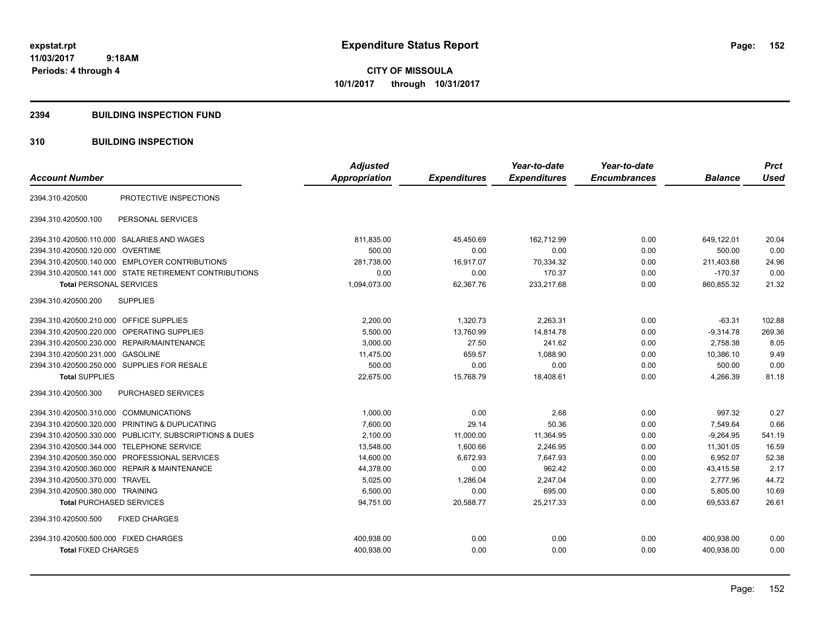**CITY OF MISSOULA 10/1/2017 through 10/31/2017**

## **2394 BUILDING INSPECTION FUND**

# **310 BUILDING INSPECTION**

|                                             |                                                         | <b>Adjusted</b> |                     | Year-to-date        | Year-to-date        |                | <b>Prct</b> |
|---------------------------------------------|---------------------------------------------------------|-----------------|---------------------|---------------------|---------------------|----------------|-------------|
| <b>Account Number</b>                       |                                                         | Appropriation   | <b>Expenditures</b> | <b>Expenditures</b> | <b>Encumbrances</b> | <b>Balance</b> | <b>Used</b> |
| 2394.310.420500                             | PROTECTIVE INSPECTIONS                                  |                 |                     |                     |                     |                |             |
| 2394.310.420500.100                         | PERSONAL SERVICES                                       |                 |                     |                     |                     |                |             |
| 2394.310.420500.110.000 SALARIES AND WAGES  |                                                         | 811,835.00      | 45,450.69           | 162.712.99          | 0.00                | 649.122.01     | 20.04       |
| 2394.310.420500.120.000 OVERTIME            |                                                         | 500.00          | 0.00                | 0.00                | 0.00                | 500.00         | 0.00        |
|                                             | 2394.310.420500.140.000 EMPLOYER CONTRIBUTIONS          | 281,738.00      | 16,917.07           | 70,334.32           | 0.00                | 211,403.68     | 24.96       |
|                                             | 2394.310.420500.141.000 STATE RETIREMENT CONTRIBUTIONS  | 0.00            | 0.00                | 170.37              | 0.00                | $-170.37$      | 0.00        |
| <b>Total PERSONAL SERVICES</b>              |                                                         | 1,094,073.00    | 62,367.76           | 233,217.68          | 0.00                | 860,855.32     | 21.32       |
| 2394.310.420500.200                         | <b>SUPPLIES</b>                                         |                 |                     |                     |                     |                |             |
| 2394.310.420500.210.000 OFFICE SUPPLIES     |                                                         | 2,200.00        | 1,320.73            | 2,263.31            | 0.00                | $-63.31$       | 102.88      |
| 2394.310.420500.220.000                     | OPERATING SUPPLIES                                      | 5,500.00        | 13,760.99           | 14,814.78           | 0.00                | $-9,314.78$    | 269.36      |
| 2394.310.420500.230.000 REPAIR/MAINTENANCE  |                                                         | 3,000.00        | 27.50               | 241.62              | 0.00                | 2,758.38       | 8.05        |
| 2394.310.420500.231.000 GASOLINE            |                                                         | 11,475.00       | 659.57              | 1,088.90            | 0.00                | 10,386.10      | 9.49        |
| 2394.310.420500.250.000 SUPPLIES FOR RESALE |                                                         | 500.00          | 0.00                | 0.00                | 0.00                | 500.00         | 0.00        |
| <b>Total SUPPLIES</b>                       |                                                         | 22,675.00       | 15,768.79           | 18,408.61           | 0.00                | 4,266.39       | 81.18       |
| 2394.310.420500.300                         | PURCHASED SERVICES                                      |                 |                     |                     |                     |                |             |
| 2394.310.420500.310.000 COMMUNICATIONS      |                                                         | 1,000.00        | 0.00                | 2.68                | 0.00                | 997.32         | 0.27        |
|                                             | 2394.310.420500.320.000 PRINTING & DUPLICATING          | 7,600.00        | 29.14               | 50.36               | 0.00                | 7,549.64       | 0.66        |
|                                             | 2394.310.420500.330.000 PUBLICITY, SUBSCRIPTIONS & DUES | 2,100.00        | 11,000.00           | 11,364.95           | 0.00                | $-9,264.95$    | 541.19      |
| 2394.310.420500.344.000 TELEPHONE SERVICE   |                                                         | 13,548.00       | 1,600.66            | 2,246.95            | 0.00                | 11,301.05      | 16.59       |
|                                             | 2394.310.420500.350.000 PROFESSIONAL SERVICES           | 14,600.00       | 6,672.93            | 7,647.93            | 0.00                | 6,952.07       | 52.38       |
|                                             | 2394.310.420500.360.000 REPAIR & MAINTENANCE            | 44,378.00       | 0.00                | 962.42              | 0.00                | 43,415.58      | 2.17        |
| 2394.310.420500.370.000 TRAVEL              |                                                         | 5,025.00        | 1,286.04            | 2,247.04            | 0.00                | 2.777.96       | 44.72       |
| 2394.310.420500.380.000 TRAINING            |                                                         | 6,500.00        | 0.00                | 695.00              | 0.00                | 5,805.00       | 10.69       |
| <b>Total PURCHASED SERVICES</b>             |                                                         | 94,751.00       | 20,588.77           | 25,217.33           | 0.00                | 69,533.67      | 26.61       |
| 2394.310.420500.500                         | <b>FIXED CHARGES</b>                                    |                 |                     |                     |                     |                |             |
| 2394.310.420500.500.000 FIXED CHARGES       |                                                         | 400,938.00      | 0.00                | 0.00                | 0.00                | 400.938.00     | 0.00        |
| <b>Total FIXED CHARGES</b>                  |                                                         | 400,938.00      | 0.00                | 0.00                | 0.00                | 400,938.00     | 0.00        |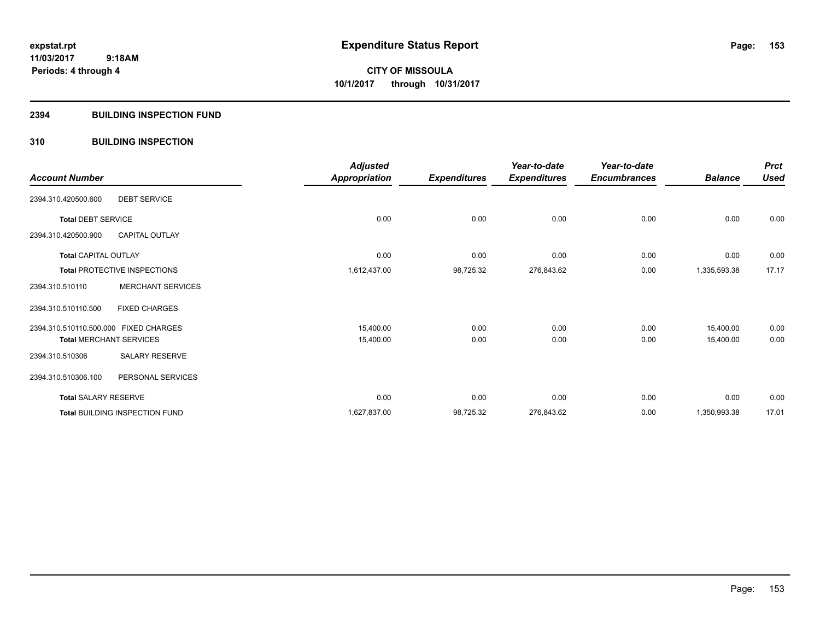# **2394 BUILDING INSPECTION FUND**

# **310 BUILDING INSPECTION**

|                                       |                                     | <b>Adjusted</b> |                     | Year-to-date        | Year-to-date        |                | <b>Prct</b> |
|---------------------------------------|-------------------------------------|-----------------|---------------------|---------------------|---------------------|----------------|-------------|
| <b>Account Number</b>                 |                                     | Appropriation   | <b>Expenditures</b> | <b>Expenditures</b> | <b>Encumbrances</b> | <b>Balance</b> | <b>Used</b> |
| 2394.310.420500.600                   | <b>DEBT SERVICE</b>                 |                 |                     |                     |                     |                |             |
| <b>Total DEBT SERVICE</b>             |                                     | 0.00            | 0.00                | 0.00                | 0.00                | 0.00           | 0.00        |
| 2394.310.420500.900                   | <b>CAPITAL OUTLAY</b>               |                 |                     |                     |                     |                |             |
| <b>Total CAPITAL OUTLAY</b>           |                                     | 0.00            | 0.00                | 0.00                | 0.00                | 0.00           | 0.00        |
|                                       | <b>Total PROTECTIVE INSPECTIONS</b> | 1,612,437.00    | 98,725.32           | 276,843.62          | 0.00                | 1,335,593.38   | 17.17       |
| 2394.310.510110                       | <b>MERCHANT SERVICES</b>            |                 |                     |                     |                     |                |             |
| 2394.310.510110.500                   | <b>FIXED CHARGES</b>                |                 |                     |                     |                     |                |             |
| 2394.310.510110.500.000 FIXED CHARGES |                                     | 15,400.00       | 0.00                | 0.00                | 0.00                | 15,400.00      | 0.00        |
|                                       | <b>Total MERCHANT SERVICES</b>      | 15,400.00       | 0.00                | 0.00                | 0.00                | 15,400.00      | 0.00        |
| 2394.310.510306                       | SALARY RESERVE                      |                 |                     |                     |                     |                |             |
| 2394.310.510306.100                   | PERSONAL SERVICES                   |                 |                     |                     |                     |                |             |
| <b>Total SALARY RESERVE</b>           |                                     | 0.00            | 0.00                | 0.00                | 0.00                | 0.00           | 0.00        |
|                                       | Total BUILDING INSPECTION FUND      | 1,627,837.00    | 98,725.32           | 276,843.62          | 0.00                | 1,350,993.38   | 17.01       |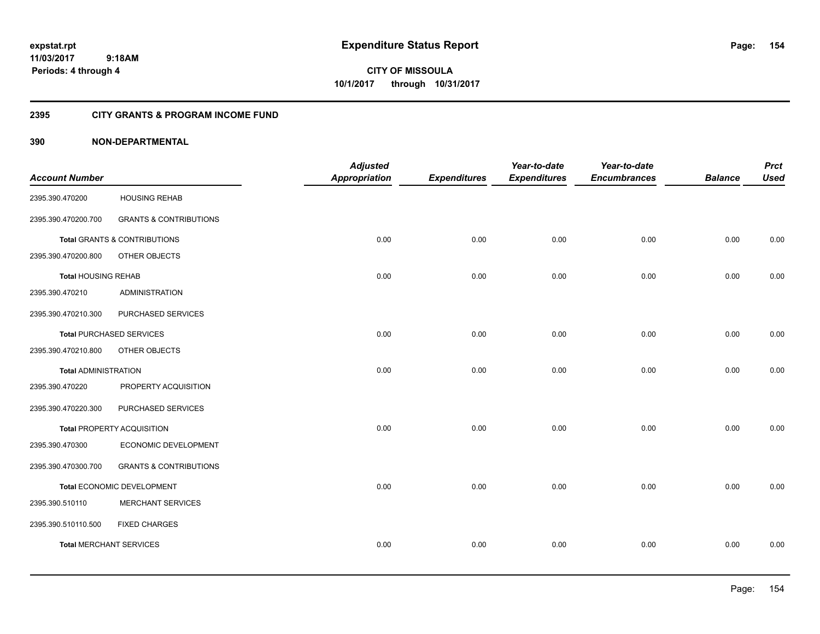**CITY OF MISSOULA 10/1/2017 through 10/31/2017**

# **2395 CITY GRANTS & PROGRAM INCOME FUND**

|                                |                                   | <b>Adjusted</b>      |                     | Year-to-date        | Year-to-date        |                | <b>Prct</b> |
|--------------------------------|-----------------------------------|----------------------|---------------------|---------------------|---------------------|----------------|-------------|
| <b>Account Number</b>          |                                   | <b>Appropriation</b> | <b>Expenditures</b> | <b>Expenditures</b> | <b>Encumbrances</b> | <b>Balance</b> | <b>Used</b> |
| 2395.390.470200                | <b>HOUSING REHAB</b>              |                      |                     |                     |                     |                |             |
| 2395.390.470200.700            | <b>GRANTS &amp; CONTRIBUTIONS</b> |                      |                     |                     |                     |                |             |
|                                | Total GRANTS & CONTRIBUTIONS      | 0.00                 | 0.00                | 0.00                | 0.00                | 0.00           | 0.00        |
| 2395.390.470200.800            | OTHER OBJECTS                     |                      |                     |                     |                     |                |             |
| <b>Total HOUSING REHAB</b>     |                                   | 0.00                 | 0.00                | 0.00                | 0.00                | 0.00           | 0.00        |
| 2395.390.470210                | <b>ADMINISTRATION</b>             |                      |                     |                     |                     |                |             |
| 2395.390.470210.300            | PURCHASED SERVICES                |                      |                     |                     |                     |                |             |
|                                | <b>Total PURCHASED SERVICES</b>   | 0.00                 | 0.00                | 0.00                | 0.00                | 0.00           | 0.00        |
| 2395.390.470210.800            | OTHER OBJECTS                     |                      |                     |                     |                     |                |             |
| <b>Total ADMINISTRATION</b>    |                                   | 0.00                 | 0.00                | 0.00                | 0.00                | 0.00           | 0.00        |
| 2395.390.470220                | PROPERTY ACQUISITION              |                      |                     |                     |                     |                |             |
| 2395.390.470220.300            | PURCHASED SERVICES                |                      |                     |                     |                     |                |             |
|                                | Total PROPERTY ACQUISITION        | 0.00                 | 0.00                | 0.00                | 0.00                | 0.00           | 0.00        |
| 2395.390.470300                | ECONOMIC DEVELOPMENT              |                      |                     |                     |                     |                |             |
| 2395.390.470300.700            | <b>GRANTS &amp; CONTRIBUTIONS</b> |                      |                     |                     |                     |                |             |
|                                | Total ECONOMIC DEVELOPMENT        | 0.00                 | 0.00                | 0.00                | 0.00                | 0.00           | 0.00        |
| 2395.390.510110                | MERCHANT SERVICES                 |                      |                     |                     |                     |                |             |
| 2395.390.510110.500            | <b>FIXED CHARGES</b>              |                      |                     |                     |                     |                |             |
| <b>Total MERCHANT SERVICES</b> |                                   | 0.00                 | 0.00                | 0.00                | 0.00                | 0.00           | 0.00        |
|                                |                                   |                      |                     |                     |                     |                |             |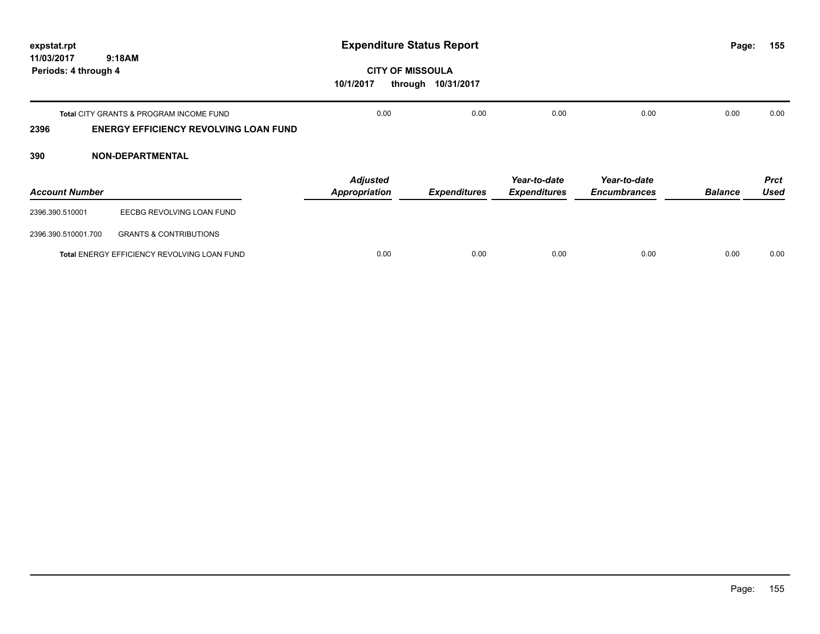| expstat.rpt<br>11/03/2017<br>9:18AM<br>Periods: 4 through 4 |                                                                                                    | <b>Expenditure Status Report</b>                |                     |                                     |                                     |                | 155<br>Page:               |
|-------------------------------------------------------------|----------------------------------------------------------------------------------------------------|-------------------------------------------------|---------------------|-------------------------------------|-------------------------------------|----------------|----------------------------|
|                                                             |                                                                                                    | <b>CITY OF MISSOULA</b><br>10/1/2017<br>through | 10/31/2017          |                                     |                                     |                |                            |
| 2396                                                        | <b>Total CITY GRANTS &amp; PROGRAM INCOME FUND</b><br><b>ENERGY EFFICIENCY REVOLVING LOAN FUND</b> | 0.00                                            | 0.00                | 0.00                                | 0.00                                | 0.00           | 0.00                       |
| 390                                                         | <b>NON-DEPARTMENTAL</b>                                                                            |                                                 |                     |                                     |                                     |                |                            |
| <b>Account Number</b>                                       |                                                                                                    | <b>Adjusted</b><br><b>Appropriation</b>         | <b>Expenditures</b> | Year-to-date<br><b>Expenditures</b> | Year-to-date<br><b>Encumbrances</b> | <b>Balance</b> | <b>Prct</b><br><b>Used</b> |
| 2396.390.510001                                             | EECBG REVOLVING LOAN FUND                                                                          |                                                 |                     |                                     |                                     |                |                            |
| 2396.390.510001.700                                         | <b>GRANTS &amp; CONTRIBUTIONS</b>                                                                  |                                                 |                     |                                     |                                     |                |                            |
|                                                             | Total ENERGY EFFICIENCY REVOLVING LOAN FUND                                                        | 0.00                                            | 0.00                | 0.00                                | 0.00                                | 0.00           | 0.00                       |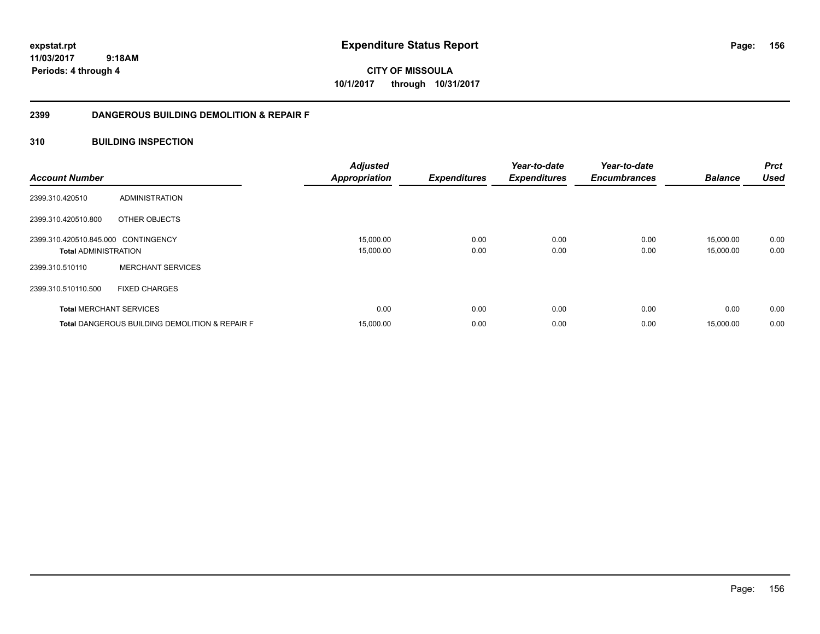**CITY OF MISSOULA 10/1/2017 through 10/31/2017**

# **2399 DANGEROUS BUILDING DEMOLITION & REPAIR F**

# **310 BUILDING INSPECTION**

| <b>Account Number</b>                                              |                                                           | <b>Adjusted</b><br><b>Appropriation</b> | <b>Expenditures</b> | Year-to-date<br><b>Expenditures</b> | Year-to-date<br><b>Encumbrances</b> | <b>Balance</b>         | <b>Prct</b><br><b>Used</b> |
|--------------------------------------------------------------------|-----------------------------------------------------------|-----------------------------------------|---------------------|-------------------------------------|-------------------------------------|------------------------|----------------------------|
| 2399.310.420510                                                    | ADMINISTRATION                                            |                                         |                     |                                     |                                     |                        |                            |
| 2399.310.420510.800                                                | OTHER OBJECTS                                             |                                         |                     |                                     |                                     |                        |                            |
| 2399.310.420510.845.000 CONTINGENCY<br><b>Total ADMINISTRATION</b> |                                                           | 15,000.00<br>15,000.00                  | 0.00<br>0.00        | 0.00<br>0.00                        | 0.00<br>0.00                        | 15,000.00<br>15,000.00 | 0.00<br>0.00               |
| 2399.310.510110                                                    | <b>MERCHANT SERVICES</b>                                  |                                         |                     |                                     |                                     |                        |                            |
| 2399.310.510110.500                                                | <b>FIXED CHARGES</b>                                      |                                         |                     |                                     |                                     |                        |                            |
| <b>Total MERCHANT SERVICES</b>                                     |                                                           | 0.00                                    | 0.00                | 0.00                                | 0.00                                | 0.00                   | 0.00                       |
|                                                                    | <b>Total DANGEROUS BUILDING DEMOLITION &amp; REPAIR F</b> | 15,000.00                               | 0.00                | 0.00                                | 0.00                                | 15,000.00              | 0.00                       |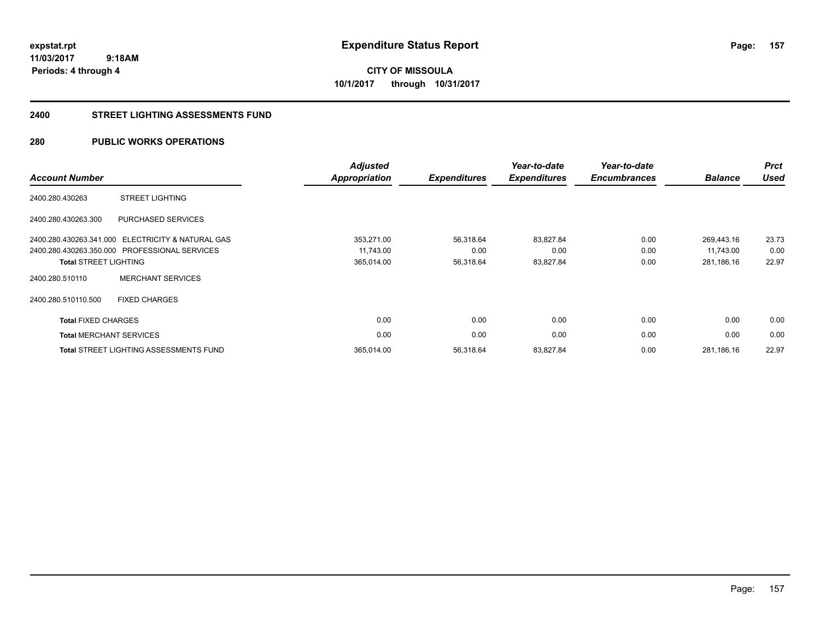# **CITY OF MISSOULA 10/1/2017 through 10/31/2017**

## **2400 STREET LIGHTING ASSESSMENTS FUND**

# **280 PUBLIC WORKS OPERATIONS**

| <b>Account Number</b>        |                                               | <b>Adjusted</b><br><b>Appropriation</b> | <b>Expenditures</b> | Year-to-date<br><b>Expenditures</b> | Year-to-date<br><b>Encumbrances</b> | <b>Balance</b> | <b>Prct</b><br><b>Used</b> |
|------------------------------|-----------------------------------------------|-----------------------------------------|---------------------|-------------------------------------|-------------------------------------|----------------|----------------------------|
| 2400.280.430263              | <b>STREET LIGHTING</b>                        |                                         |                     |                                     |                                     |                |                            |
| 2400.280.430263.300          | PURCHASED SERVICES                            |                                         |                     |                                     |                                     |                |                            |
| 2400.280.430263.341.000      | <b>ELECTRICITY &amp; NATURAL GAS</b>          | 353,271.00                              | 56,318.64           | 83,827.84                           | 0.00                                | 269.443.16     | 23.73                      |
|                              | 2400.280.430263.350.000 PROFESSIONAL SERVICES | 11,743.00                               | 0.00                | 0.00                                | 0.00                                | 11.743.00      | 0.00                       |
| <b>Total STREET LIGHTING</b> |                                               | 365,014.00                              | 56,318.64           | 83,827.84                           | 0.00                                | 281,186.16     | 22.97                      |
| 2400.280.510110              | <b>MERCHANT SERVICES</b>                      |                                         |                     |                                     |                                     |                |                            |
| 2400.280.510110.500          | <b>FIXED CHARGES</b>                          |                                         |                     |                                     |                                     |                |                            |
| <b>Total FIXED CHARGES</b>   |                                               | 0.00                                    | 0.00                | 0.00                                | 0.00                                | 0.00           | 0.00                       |
|                              | <b>Total MERCHANT SERVICES</b>                | 0.00                                    | 0.00                | 0.00                                | 0.00                                | 0.00           | 0.00                       |
|                              | <b>Total STREET LIGHTING ASSESSMENTS FUND</b> | 365,014.00                              | 56,318.64           | 83,827.84                           | 0.00                                | 281,186.16     | 22.97                      |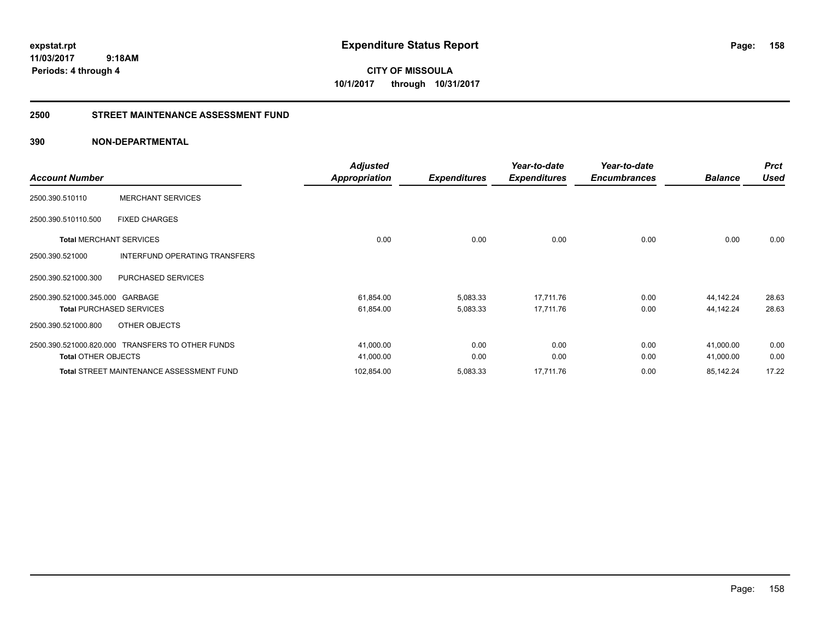**CITY OF MISSOULA 10/1/2017 through 10/31/2017**

## **2500 STREET MAINTENANCE ASSESSMENT FUND**

|                                 |                                                  | <b>Adjusted</b>      |                     | Year-to-date        | Year-to-date        |                | <b>Prct</b> |
|---------------------------------|--------------------------------------------------|----------------------|---------------------|---------------------|---------------------|----------------|-------------|
| <b>Account Number</b>           |                                                  | <b>Appropriation</b> | <b>Expenditures</b> | <b>Expenditures</b> | <b>Encumbrances</b> | <b>Balance</b> | <b>Used</b> |
| 2500.390.510110                 | <b>MERCHANT SERVICES</b>                         |                      |                     |                     |                     |                |             |
| 2500.390.510110.500             | <b>FIXED CHARGES</b>                             |                      |                     |                     |                     |                |             |
| <b>Total MERCHANT SERVICES</b>  |                                                  | 0.00                 | 0.00                | 0.00                | 0.00                | 0.00           | 0.00        |
| 2500.390.521000                 | <b>INTERFUND OPERATING TRANSFERS</b>             |                      |                     |                     |                     |                |             |
| 2500.390.521000.300             | PURCHASED SERVICES                               |                      |                     |                     |                     |                |             |
| 2500.390.521000.345.000 GARBAGE |                                                  | 61,854.00            | 5,083.33            | 17,711.76           | 0.00                | 44,142.24      | 28.63       |
|                                 | <b>Total PURCHASED SERVICES</b>                  | 61,854.00            | 5,083.33            | 17,711.76           | 0.00                | 44,142.24      | 28.63       |
| 2500.390.521000.800             | OTHER OBJECTS                                    |                      |                     |                     |                     |                |             |
|                                 | 2500.390.521000.820.000 TRANSFERS TO OTHER FUNDS | 41,000.00            | 0.00                | 0.00                | 0.00                | 41,000.00      | 0.00        |
| <b>Total OTHER OBJECTS</b>      |                                                  | 41,000.00            | 0.00                | 0.00                | 0.00                | 41,000.00      | 0.00        |
|                                 | <b>Total STREET MAINTENANCE ASSESSMENT FUND</b>  | 102,854.00           | 5,083.33            | 17,711.76           | 0.00                | 85,142.24      | 17.22       |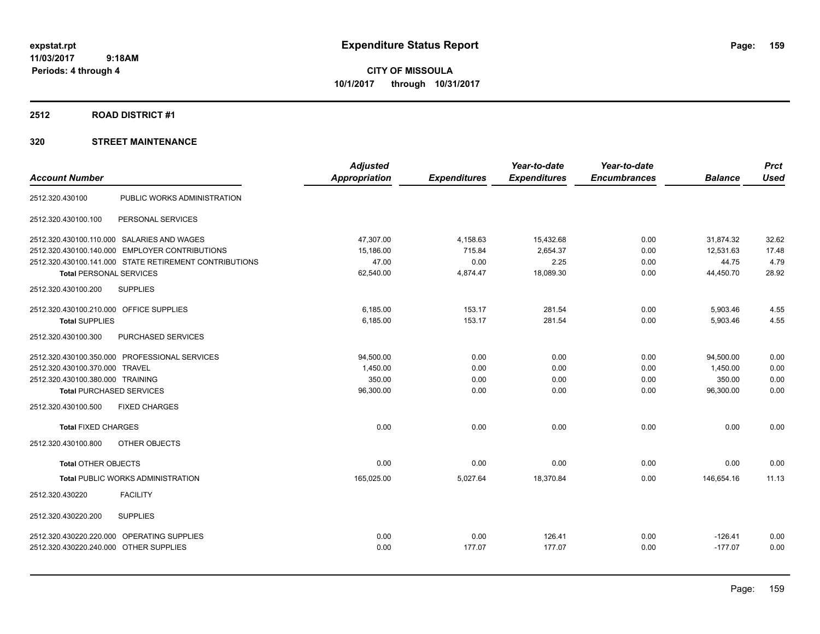**CITY OF MISSOULA 10/1/2017 through 10/31/2017**

### **2512 ROAD DISTRICT #1**

| <b>Account Number</b>                      |                                                        | <b>Adjusted</b><br>Appropriation | <b>Expenditures</b> | Year-to-date<br><b>Expenditures</b> | Year-to-date<br><b>Encumbrances</b> | <b>Balance</b> | <b>Prct</b><br><b>Used</b> |
|--------------------------------------------|--------------------------------------------------------|----------------------------------|---------------------|-------------------------------------|-------------------------------------|----------------|----------------------------|
| 2512.320.430100                            | PUBLIC WORKS ADMINISTRATION                            |                                  |                     |                                     |                                     |                |                            |
| 2512.320.430100.100                        | PERSONAL SERVICES                                      |                                  |                     |                                     |                                     |                |                            |
| 2512.320.430100.110.000 SALARIES AND WAGES |                                                        | 47,307.00                        | 4,158.63            | 15,432.68                           | 0.00                                | 31,874.32      | 32.62                      |
|                                            | 2512.320.430100.140.000 EMPLOYER CONTRIBUTIONS         | 15,186.00                        | 715.84              | 2,654.37                            | 0.00                                | 12,531.63      | 17.48                      |
|                                            | 2512.320.430100.141.000 STATE RETIREMENT CONTRIBUTIONS | 47.00                            | 0.00                | 2.25                                | 0.00                                | 44.75          | 4.79                       |
| <b>Total PERSONAL SERVICES</b>             |                                                        | 62,540.00                        | 4,874.47            | 18,089.30                           | 0.00                                | 44,450.70      | 28.92                      |
| 2512.320.430100.200                        | <b>SUPPLIES</b>                                        |                                  |                     |                                     |                                     |                |                            |
| 2512.320.430100.210.000 OFFICE SUPPLIES    |                                                        | 6.185.00                         | 153.17              | 281.54                              | 0.00                                | 5,903.46       | 4.55                       |
| <b>Total SUPPLIES</b>                      |                                                        | 6,185.00                         | 153.17              | 281.54                              | 0.00                                | 5,903.46       | 4.55                       |
| 2512.320.430100.300                        | PURCHASED SERVICES                                     |                                  |                     |                                     |                                     |                |                            |
|                                            | 2512.320.430100.350.000 PROFESSIONAL SERVICES          | 94,500.00                        | 0.00                | 0.00                                | 0.00                                | 94,500.00      | 0.00                       |
| 2512.320.430100.370.000 TRAVEL             |                                                        | 1,450.00                         | 0.00                | 0.00                                | 0.00                                | 1,450.00       | 0.00                       |
| 2512.320.430100.380.000 TRAINING           |                                                        | 350.00                           | 0.00                | 0.00                                | 0.00                                | 350.00         | 0.00                       |
| <b>Total PURCHASED SERVICES</b>            |                                                        | 96,300.00                        | 0.00                | 0.00                                | 0.00                                | 96,300.00      | 0.00                       |
| 2512.320.430100.500                        | <b>FIXED CHARGES</b>                                   |                                  |                     |                                     |                                     |                |                            |
| <b>Total FIXED CHARGES</b>                 |                                                        | 0.00                             | 0.00                | 0.00                                | 0.00                                | 0.00           | 0.00                       |
| 2512.320.430100.800                        | OTHER OBJECTS                                          |                                  |                     |                                     |                                     |                |                            |
| <b>Total OTHER OBJECTS</b>                 |                                                        | 0.00                             | 0.00                | 0.00                                | 0.00                                | 0.00           | 0.00                       |
|                                            | <b>Total PUBLIC WORKS ADMINISTRATION</b>               | 165,025.00                       | 5,027.64            | 18,370.84                           | 0.00                                | 146.654.16     | 11.13                      |
| 2512.320.430220                            | <b>FACILITY</b>                                        |                                  |                     |                                     |                                     |                |                            |
| 2512.320.430220.200                        | <b>SUPPLIES</b>                                        |                                  |                     |                                     |                                     |                |                            |
| 2512.320.430220.220.000 OPERATING SUPPLIES |                                                        | 0.00                             | 0.00                | 126.41                              | 0.00                                | $-126.41$      | 0.00                       |
| 2512.320.430220.240.000 OTHER SUPPLIES     |                                                        | 0.00                             | 177.07              | 177.07                              | 0.00                                | $-177.07$      | 0.00                       |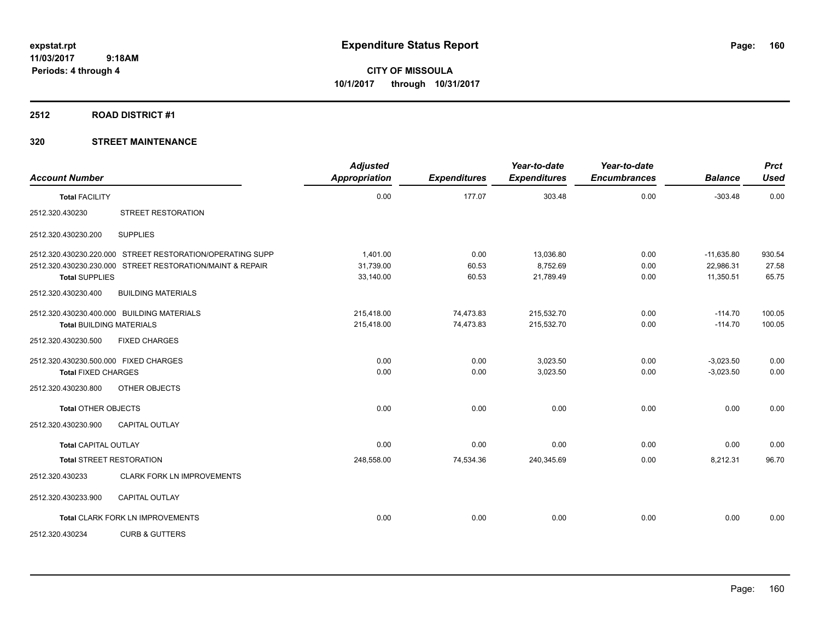### **2512 ROAD DISTRICT #1**

| <b>Account Number</b>                 |                                                           | <b>Adjusted</b><br><b>Appropriation</b> | <b>Expenditures</b> | Year-to-date<br><b>Expenditures</b> | Year-to-date<br><b>Encumbrances</b> | <b>Balance</b> | <b>Prct</b><br><b>Used</b> |
|---------------------------------------|-----------------------------------------------------------|-----------------------------------------|---------------------|-------------------------------------|-------------------------------------|----------------|----------------------------|
| <b>Total FACILITY</b>                 |                                                           | 0.00                                    | 177.07              | 303.48                              | 0.00                                | $-303.48$      | 0.00                       |
| 2512.320.430230                       | <b>STREET RESTORATION</b>                                 |                                         |                     |                                     |                                     |                |                            |
| 2512.320.430230.200                   | <b>SUPPLIES</b>                                           |                                         |                     |                                     |                                     |                |                            |
|                                       | 2512.320.430230.220.000 STREET RESTORATION/OPERATING SUPP | 1.401.00                                | 0.00                | 13.036.80                           | 0.00                                | $-11,635.80$   | 930.54                     |
|                                       | 2512.320.430230.230.000 STREET RESTORATION/MAINT & REPAIR | 31,739.00                               | 60.53               | 8,752.69                            | 0.00                                | 22,986.31      | 27.58                      |
| <b>Total SUPPLIES</b>                 |                                                           | 33,140.00                               | 60.53               | 21,789.49                           | 0.00                                | 11,350.51      | 65.75                      |
| 2512.320.430230.400                   | <b>BUILDING MATERIALS</b>                                 |                                         |                     |                                     |                                     |                |                            |
|                                       | 2512.320.430230.400.000 BUILDING MATERIALS                | 215,418.00                              | 74,473.83           | 215,532.70                          | 0.00                                | $-114.70$      | 100.05                     |
| <b>Total BUILDING MATERIALS</b>       |                                                           | 215,418.00                              | 74,473.83           | 215,532.70                          | 0.00                                | $-114.70$      | 100.05                     |
| 2512.320.430230.500                   | <b>FIXED CHARGES</b>                                      |                                         |                     |                                     |                                     |                |                            |
| 2512.320.430230.500.000 FIXED CHARGES |                                                           | 0.00                                    | 0.00                | 3,023.50                            | 0.00                                | $-3,023.50$    | 0.00                       |
| <b>Total FIXED CHARGES</b>            |                                                           | 0.00                                    | 0.00                | 3,023.50                            | 0.00                                | $-3,023.50$    | 0.00                       |
| 2512.320.430230.800                   | OTHER OBJECTS                                             |                                         |                     |                                     |                                     |                |                            |
| <b>Total OTHER OBJECTS</b>            |                                                           | 0.00                                    | 0.00                | 0.00                                | 0.00                                | 0.00           | 0.00                       |
| 2512.320.430230.900                   | <b>CAPITAL OUTLAY</b>                                     |                                         |                     |                                     |                                     |                |                            |
| <b>Total CAPITAL OUTLAY</b>           |                                                           | 0.00                                    | 0.00                | 0.00                                | 0.00                                | 0.00           | 0.00                       |
|                                       | <b>Total STREET RESTORATION</b>                           | 248,558.00                              | 74,534.36           | 240,345.69                          | 0.00                                | 8,212.31       | 96.70                      |
| 2512.320.430233                       | CLARK FORK LN IMPROVEMENTS                                |                                         |                     |                                     |                                     |                |                            |
| 2512.320.430233.900                   | <b>CAPITAL OUTLAY</b>                                     |                                         |                     |                                     |                                     |                |                            |
|                                       | <b>Total CLARK FORK LN IMPROVEMENTS</b>                   | 0.00                                    | 0.00                | 0.00                                | 0.00                                | 0.00           | 0.00                       |
| 2512.320.430234                       | <b>CURB &amp; GUTTERS</b>                                 |                                         |                     |                                     |                                     |                |                            |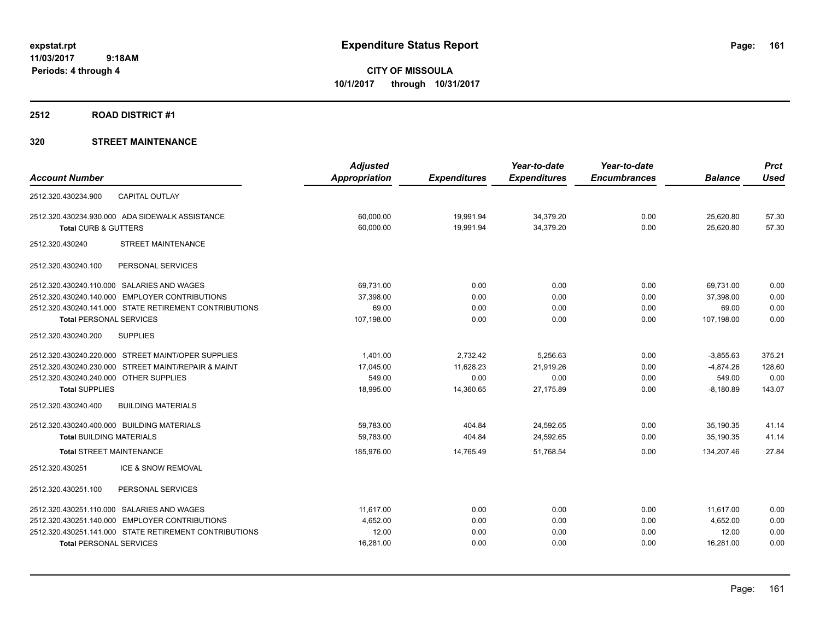**Periods: 4 through 4**

**CITY OF MISSOULA 10/1/2017 through 10/31/2017**

### **2512 ROAD DISTRICT #1**

| <b>Appropriation</b><br><b>Account Number</b><br><b>Expenditures</b><br><b>Expenditures</b><br><b>Encumbrances</b><br><b>Balance</b><br><b>CAPITAL OUTLAY</b><br>2512.320.430234.900<br>2512.320.430234.930.000 ADA SIDEWALK ASSISTANCE<br>60,000.00<br>19,991.94<br>34,379.20<br>0.00<br>25,620.80<br><b>Total CURB &amp; GUTTERS</b><br>60.000.00<br>19,991.94<br>34.379.20<br>0.00<br>25.620.80<br>2512.320.430240<br><b>STREET MAINTENANCE</b><br>2512.320.430240.100<br>PERSONAL SERVICES<br>2512.320.430240.110.000 SALARIES AND WAGES<br>69,731.00<br>0.00<br>0.00<br>0.00<br>69,731.00<br>2512.320.430240.140.000 EMPLOYER CONTRIBUTIONS<br>0.00<br>0.00<br>37,398.00<br>0.00<br>37,398.00<br>2512.320.430240.141.000 STATE RETIREMENT CONTRIBUTIONS<br>69.00<br>0.00<br>0.00<br>0.00<br>69.00<br><b>Total PERSONAL SERVICES</b><br>107,198.00<br>0.00<br>107,198.00<br>0.00<br>0.00<br>2512.320.430240.200<br><b>SUPPLIES</b><br>2,732.42<br>5,256.63<br>0.00<br>2512.320.430240.220.000 STREET MAINT/OPER SUPPLIES<br>1,401.00<br>$-3,855.63$<br>2512.320.430240.230.000 STREET MAINT/REPAIR & MAINT<br>17.045.00<br>11.628.23<br>21.919.26<br>0.00<br>$-4.874.26$<br>2512.320.430240.240.000 OTHER SUPPLIES<br>549.00<br>0.00<br>0.00<br>549.00<br>0.00<br><b>Total SUPPLIES</b><br>18.995.00<br>14.360.65<br>27.175.89<br>0.00<br>$-8.180.89$<br><b>BUILDING MATERIALS</b><br>2512.320.430240.400 | <b>Adjusted</b> | Year-to-date | Year-to-date | <b>Prct</b> |
|---------------------------------------------------------------------------------------------------------------------------------------------------------------------------------------------------------------------------------------------------------------------------------------------------------------------------------------------------------------------------------------------------------------------------------------------------------------------------------------------------------------------------------------------------------------------------------------------------------------------------------------------------------------------------------------------------------------------------------------------------------------------------------------------------------------------------------------------------------------------------------------------------------------------------------------------------------------------------------------------------------------------------------------------------------------------------------------------------------------------------------------------------------------------------------------------------------------------------------------------------------------------------------------------------------------------------------------------------------------------------------------------------------------|-----------------|--------------|--------------|-------------|
|                                                                                                                                                                                                                                                                                                                                                                                                                                                                                                                                                                                                                                                                                                                                                                                                                                                                                                                                                                                                                                                                                                                                                                                                                                                                                                                                                                                                               |                 |              |              | <b>Used</b> |
|                                                                                                                                                                                                                                                                                                                                                                                                                                                                                                                                                                                                                                                                                                                                                                                                                                                                                                                                                                                                                                                                                                                                                                                                                                                                                                                                                                                                               |                 |              |              |             |
|                                                                                                                                                                                                                                                                                                                                                                                                                                                                                                                                                                                                                                                                                                                                                                                                                                                                                                                                                                                                                                                                                                                                                                                                                                                                                                                                                                                                               |                 |              |              | 57.30       |
|                                                                                                                                                                                                                                                                                                                                                                                                                                                                                                                                                                                                                                                                                                                                                                                                                                                                                                                                                                                                                                                                                                                                                                                                                                                                                                                                                                                                               |                 |              |              | 57.30       |
|                                                                                                                                                                                                                                                                                                                                                                                                                                                                                                                                                                                                                                                                                                                                                                                                                                                                                                                                                                                                                                                                                                                                                                                                                                                                                                                                                                                                               |                 |              |              |             |
|                                                                                                                                                                                                                                                                                                                                                                                                                                                                                                                                                                                                                                                                                                                                                                                                                                                                                                                                                                                                                                                                                                                                                                                                                                                                                                                                                                                                               |                 |              |              |             |
|                                                                                                                                                                                                                                                                                                                                                                                                                                                                                                                                                                                                                                                                                                                                                                                                                                                                                                                                                                                                                                                                                                                                                                                                                                                                                                                                                                                                               |                 |              |              | 0.00        |
|                                                                                                                                                                                                                                                                                                                                                                                                                                                                                                                                                                                                                                                                                                                                                                                                                                                                                                                                                                                                                                                                                                                                                                                                                                                                                                                                                                                                               |                 |              |              | 0.00        |
|                                                                                                                                                                                                                                                                                                                                                                                                                                                                                                                                                                                                                                                                                                                                                                                                                                                                                                                                                                                                                                                                                                                                                                                                                                                                                                                                                                                                               |                 |              |              | 0.00        |
|                                                                                                                                                                                                                                                                                                                                                                                                                                                                                                                                                                                                                                                                                                                                                                                                                                                                                                                                                                                                                                                                                                                                                                                                                                                                                                                                                                                                               |                 |              |              | 0.00        |
|                                                                                                                                                                                                                                                                                                                                                                                                                                                                                                                                                                                                                                                                                                                                                                                                                                                                                                                                                                                                                                                                                                                                                                                                                                                                                                                                                                                                               |                 |              |              |             |
|                                                                                                                                                                                                                                                                                                                                                                                                                                                                                                                                                                                                                                                                                                                                                                                                                                                                                                                                                                                                                                                                                                                                                                                                                                                                                                                                                                                                               |                 |              |              | 375.21      |
|                                                                                                                                                                                                                                                                                                                                                                                                                                                                                                                                                                                                                                                                                                                                                                                                                                                                                                                                                                                                                                                                                                                                                                                                                                                                                                                                                                                                               |                 |              |              | 128.60      |
|                                                                                                                                                                                                                                                                                                                                                                                                                                                                                                                                                                                                                                                                                                                                                                                                                                                                                                                                                                                                                                                                                                                                                                                                                                                                                                                                                                                                               |                 |              |              | 0.00        |
|                                                                                                                                                                                                                                                                                                                                                                                                                                                                                                                                                                                                                                                                                                                                                                                                                                                                                                                                                                                                                                                                                                                                                                                                                                                                                                                                                                                                               |                 |              |              | 143.07      |
|                                                                                                                                                                                                                                                                                                                                                                                                                                                                                                                                                                                                                                                                                                                                                                                                                                                                                                                                                                                                                                                                                                                                                                                                                                                                                                                                                                                                               |                 |              |              |             |
| 2512.320.430240.400.000 BUILDING MATERIALS<br>59,783.00<br>404.84<br>24,592.65<br>0.00<br>35,190.35                                                                                                                                                                                                                                                                                                                                                                                                                                                                                                                                                                                                                                                                                                                                                                                                                                                                                                                                                                                                                                                                                                                                                                                                                                                                                                           |                 |              |              | 41.14       |
| 59.783.00<br>404.84<br>24,592.65<br>0.00<br>35.190.35<br><b>Total BUILDING MATERIALS</b>                                                                                                                                                                                                                                                                                                                                                                                                                                                                                                                                                                                                                                                                                                                                                                                                                                                                                                                                                                                                                                                                                                                                                                                                                                                                                                                      |                 |              |              | 41.14       |
| <b>Total STREET MAINTENANCE</b><br>185,976.00<br>14,765.49<br>51,768.54<br>0.00<br>134,207.46                                                                                                                                                                                                                                                                                                                                                                                                                                                                                                                                                                                                                                                                                                                                                                                                                                                                                                                                                                                                                                                                                                                                                                                                                                                                                                                 |                 |              |              | 27.84       |
| ICE & SNOW REMOVAL<br>2512.320.430251                                                                                                                                                                                                                                                                                                                                                                                                                                                                                                                                                                                                                                                                                                                                                                                                                                                                                                                                                                                                                                                                                                                                                                                                                                                                                                                                                                         |                 |              |              |             |
| PERSONAL SERVICES<br>2512.320.430251.100                                                                                                                                                                                                                                                                                                                                                                                                                                                                                                                                                                                                                                                                                                                                                                                                                                                                                                                                                                                                                                                                                                                                                                                                                                                                                                                                                                      |                 |              |              |             |
| 2512.320.430251.110.000 SALARIES AND WAGES<br>11.617.00<br>0.00<br>0.00<br>0.00<br>11,617.00                                                                                                                                                                                                                                                                                                                                                                                                                                                                                                                                                                                                                                                                                                                                                                                                                                                                                                                                                                                                                                                                                                                                                                                                                                                                                                                  |                 |              |              | 0.00        |
| 2512.320.430251.140.000 EMPLOYER CONTRIBUTIONS<br>4,652.00<br>0.00<br>4,652.00<br>0.00<br>0.00                                                                                                                                                                                                                                                                                                                                                                                                                                                                                                                                                                                                                                                                                                                                                                                                                                                                                                                                                                                                                                                                                                                                                                                                                                                                                                                |                 |              |              | 0.00        |
| 2512.320.430251.141.000 STATE RETIREMENT CONTRIBUTIONS<br>12.00<br>12.00<br>0.00<br>0.00<br>0.00                                                                                                                                                                                                                                                                                                                                                                                                                                                                                                                                                                                                                                                                                                                                                                                                                                                                                                                                                                                                                                                                                                                                                                                                                                                                                                              |                 |              |              | 0.00        |
| 16,281.00<br>0.00<br><b>Total PERSONAL SERVICES</b><br>0.00<br>0.00<br>16,281.00                                                                                                                                                                                                                                                                                                                                                                                                                                                                                                                                                                                                                                                                                                                                                                                                                                                                                                                                                                                                                                                                                                                                                                                                                                                                                                                              |                 |              |              | 0.00        |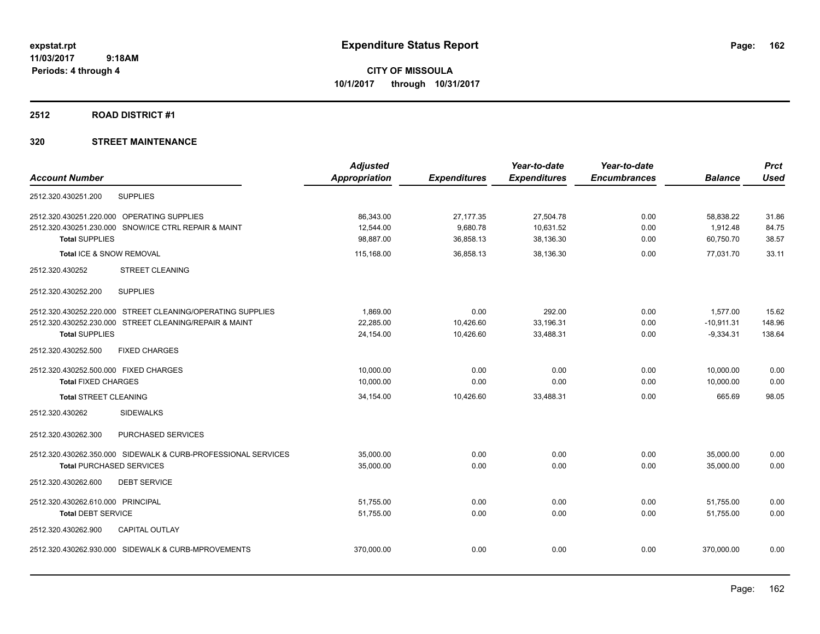### **2512 ROAD DISTRICT #1**

| <b>Used</b><br>31.86<br>84.75<br>38.57                                                                                                                     |
|------------------------------------------------------------------------------------------------------------------------------------------------------------|
|                                                                                                                                                            |
|                                                                                                                                                            |
|                                                                                                                                                            |
|                                                                                                                                                            |
|                                                                                                                                                            |
| 33.11                                                                                                                                                      |
|                                                                                                                                                            |
|                                                                                                                                                            |
| 15.62                                                                                                                                                      |
| 148.96                                                                                                                                                     |
| 138.64                                                                                                                                                     |
|                                                                                                                                                            |
| 0.00                                                                                                                                                       |
| 0.00                                                                                                                                                       |
| 98.05                                                                                                                                                      |
|                                                                                                                                                            |
|                                                                                                                                                            |
| 0.00                                                                                                                                                       |
| 0.00                                                                                                                                                       |
|                                                                                                                                                            |
| 0.00                                                                                                                                                       |
| 0.00                                                                                                                                                       |
|                                                                                                                                                            |
| 0.00                                                                                                                                                       |
| 77.031.70<br>1,577.00<br>$-10,911.31$<br>$-9,334.31$<br>10,000.00<br>10,000.00<br>665.69<br>35.000.00<br>35,000.00<br>51,755.00<br>51.755.00<br>370,000.00 |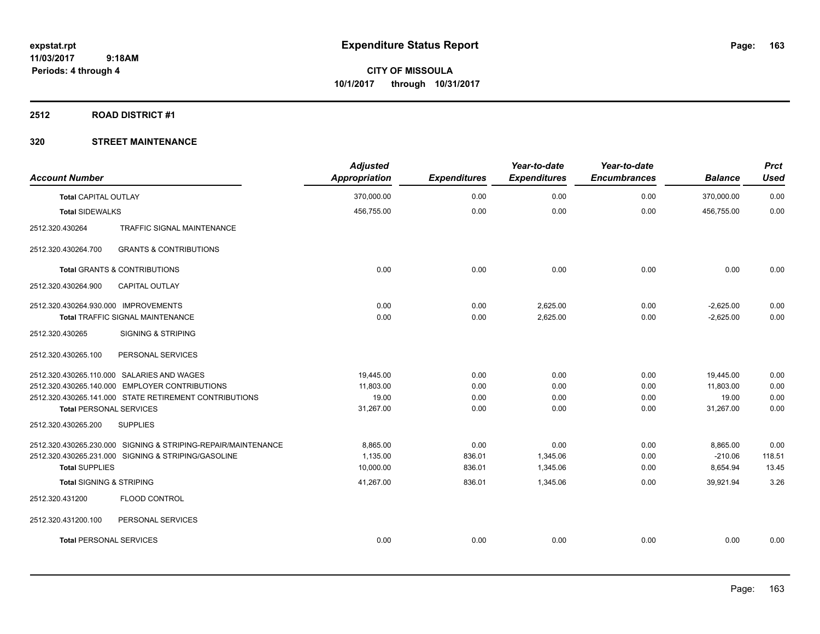### **2512 ROAD DISTRICT #1**

| <b>Account Number</b>                                         | <b>Adjusted</b><br><b>Appropriation</b> | <b>Expenditures</b> | Year-to-date<br><b>Expenditures</b> | Year-to-date<br><b>Encumbrances</b> | <b>Balance</b> | <b>Prct</b><br><b>Used</b> |
|---------------------------------------------------------------|-----------------------------------------|---------------------|-------------------------------------|-------------------------------------|----------------|----------------------------|
| <b>Total CAPITAL OUTLAY</b>                                   | 370,000.00                              | 0.00                | 0.00                                | 0.00                                | 370,000.00     | 0.00                       |
| <b>Total SIDEWALKS</b>                                        | 456,755.00                              | 0.00                | 0.00                                | 0.00                                | 456,755.00     | 0.00                       |
| 2512.320.430264<br><b>TRAFFIC SIGNAL MAINTENANCE</b>          |                                         |                     |                                     |                                     |                |                            |
| <b>GRANTS &amp; CONTRIBUTIONS</b><br>2512.320.430264.700      |                                         |                     |                                     |                                     |                |                            |
| <b>Total GRANTS &amp; CONTRIBUTIONS</b>                       | 0.00                                    | 0.00                | 0.00                                | 0.00                                | 0.00           | 0.00                       |
| 2512.320.430264.900<br><b>CAPITAL OUTLAY</b>                  |                                         |                     |                                     |                                     |                |                            |
| 2512.320.430264.930.000 IMPROVEMENTS                          | 0.00                                    | 0.00                | 2,625.00                            | 0.00                                | $-2,625.00$    | 0.00                       |
| <b>Total TRAFFIC SIGNAL MAINTENANCE</b>                       | 0.00                                    | 0.00                | 2,625.00                            | 0.00                                | $-2,625.00$    | 0.00                       |
| 2512.320.430265<br><b>SIGNING &amp; STRIPING</b>              |                                         |                     |                                     |                                     |                |                            |
| 2512.320.430265.100<br>PERSONAL SERVICES                      |                                         |                     |                                     |                                     |                |                            |
| 2512.320.430265.110.000 SALARIES AND WAGES                    | 19,445.00                               | 0.00                | 0.00                                | 0.00                                | 19,445.00      | 0.00                       |
| 2512.320.430265.140.000 EMPLOYER CONTRIBUTIONS                | 11,803.00                               | 0.00                | 0.00                                | 0.00                                | 11,803.00      | 0.00                       |
| 2512.320.430265.141.000 STATE RETIREMENT CONTRIBUTIONS        | 19.00                                   | 0.00                | 0.00                                | 0.00                                | 19.00          | 0.00                       |
| <b>Total PERSONAL SERVICES</b>                                | 31,267.00                               | 0.00                | 0.00                                | 0.00                                | 31,267.00      | 0.00                       |
| 2512.320.430265.200<br><b>SUPPLIES</b>                        |                                         |                     |                                     |                                     |                |                            |
| 2512.320.430265.230.000 SIGNING & STRIPING-REPAIR/MAINTENANCE | 8,865.00                                | 0.00                | 0.00                                | 0.00                                | 8,865.00       | 0.00                       |
| 2512.320.430265.231.000 SIGNING & STRIPING/GASOLINE           | 1,135.00                                | 836.01              | 1,345.06                            | 0.00                                | $-210.06$      | 118.51                     |
| <b>Total SUPPLIES</b>                                         | 10,000.00                               | 836.01              | 1,345.06                            | 0.00                                | 8,654.94       | 13.45                      |
| <b>Total SIGNING &amp; STRIPING</b>                           | 41,267.00                               | 836.01              | 1,345.06                            | 0.00                                | 39,921.94      | 3.26                       |
| FLOOD CONTROL<br>2512.320.431200                              |                                         |                     |                                     |                                     |                |                            |
| 2512.320.431200.100<br>PERSONAL SERVICES                      |                                         |                     |                                     |                                     |                |                            |
| <b>Total PERSONAL SERVICES</b>                                | 0.00                                    | 0.00                | 0.00                                | 0.00                                | 0.00           | 0.00                       |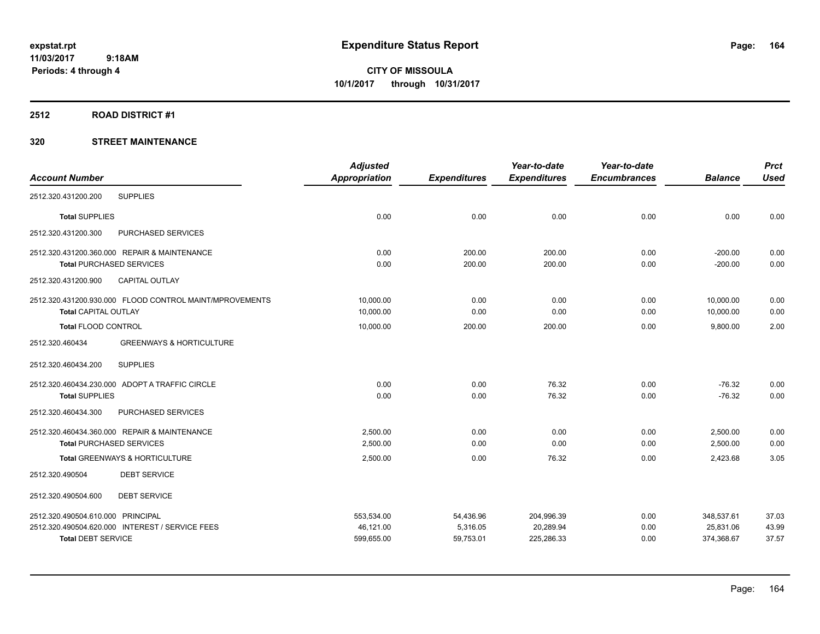**Periods: 4 through 4**

**CITY OF MISSOULA 10/1/2017 through 10/31/2017**

### **2512 ROAD DISTRICT #1**

|                                                         | <b>Adjusted</b>      |                     | Year-to-date        | Year-to-date        |                | <b>Prct</b> |
|---------------------------------------------------------|----------------------|---------------------|---------------------|---------------------|----------------|-------------|
| <b>Account Number</b>                                   | <b>Appropriation</b> | <b>Expenditures</b> | <b>Expenditures</b> | <b>Encumbrances</b> | <b>Balance</b> | <b>Used</b> |
| <b>SUPPLIES</b><br>2512.320.431200.200                  |                      |                     |                     |                     |                |             |
| <b>Total SUPPLIES</b>                                   | 0.00                 | 0.00                | 0.00                | 0.00                | 0.00           | 0.00        |
| 2512.320.431200.300<br>PURCHASED SERVICES               |                      |                     |                     |                     |                |             |
| 2512.320.431200.360.000 REPAIR & MAINTENANCE            | 0.00                 | 200.00              | 200.00              | 0.00                | $-200.00$      | 0.00        |
| <b>Total PURCHASED SERVICES</b>                         | 0.00                 | 200.00              | 200.00              | 0.00                | $-200.00$      | 0.00        |
| 2512.320.431200.900<br><b>CAPITAL OUTLAY</b>            |                      |                     |                     |                     |                |             |
| 2512.320.431200.930.000 FLOOD CONTROL MAINT/MPROVEMENTS | 10,000.00            | 0.00                | 0.00                | 0.00                | 10.000.00      | 0.00        |
| <b>Total CAPITAL OUTLAY</b>                             | 10,000.00            | 0.00                | 0.00                | 0.00                | 10,000.00      | 0.00        |
| <b>Total FLOOD CONTROL</b>                              | 10,000.00            | 200.00              | 200.00              | 0.00                | 9,800.00       | 2.00        |
| <b>GREENWAYS &amp; HORTICULTURE</b><br>2512.320.460434  |                      |                     |                     |                     |                |             |
| <b>SUPPLIES</b><br>2512.320.460434.200                  |                      |                     |                     |                     |                |             |
| 2512.320.460434.230.000 ADOPT A TRAFFIC CIRCLE          | 0.00                 | 0.00                | 76.32               | 0.00                | $-76.32$       | 0.00        |
| <b>Total SUPPLIES</b>                                   | 0.00                 | 0.00                | 76.32               | 0.00                | $-76.32$       | 0.00        |
| 2512.320.460434.300<br>PURCHASED SERVICES               |                      |                     |                     |                     |                |             |
| 2512.320.460434.360.000 REPAIR & MAINTENANCE            | 2,500.00             | 0.00                | 0.00                | 0.00                | 2,500.00       | 0.00        |
| <b>Total PURCHASED SERVICES</b>                         | 2,500.00             | 0.00                | 0.00                | 0.00                | 2,500.00       | 0.00        |
| Total GREENWAYS & HORTICULTURE                          | 2,500.00             | 0.00                | 76.32               | 0.00                | 2.423.68       | 3.05        |
| <b>DEBT SERVICE</b><br>2512.320.490504                  |                      |                     |                     |                     |                |             |
| <b>DEBT SERVICE</b><br>2512.320.490504.600              |                      |                     |                     |                     |                |             |
| 2512.320.490504.610.000 PRINCIPAL                       | 553,534.00           | 54,436.96           | 204,996.39          | 0.00                | 348,537.61     | 37.03       |
| 2512.320.490504.620.000 INTEREST / SERVICE FEES         | 46,121.00            | 5,316.05            | 20,289.94           | 0.00                | 25,831.06      | 43.99       |
| <b>Total DEBT SERVICE</b>                               | 599,655.00           | 59,753.01           | 225,286.33          | 0.00                | 374,368.67     | 37.57       |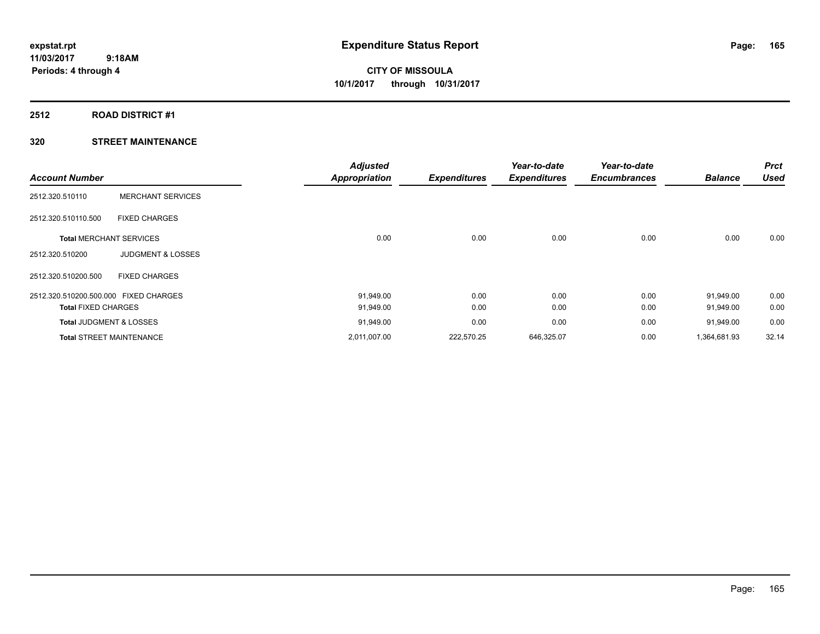# **2512 ROAD DISTRICT #1**

| <b>Account Number</b>                 |                                 | <b>Adjusted</b><br><b>Appropriation</b> | <b>Expenditures</b> | Year-to-date<br><b>Expenditures</b> | Year-to-date<br><b>Encumbrances</b> | <b>Balance</b> | <b>Prct</b><br><b>Used</b> |
|---------------------------------------|---------------------------------|-----------------------------------------|---------------------|-------------------------------------|-------------------------------------|----------------|----------------------------|
|                                       |                                 |                                         |                     |                                     |                                     |                |                            |
| 2512.320.510110                       | <b>MERCHANT SERVICES</b>        |                                         |                     |                                     |                                     |                |                            |
| 2512.320.510110.500                   | <b>FIXED CHARGES</b>            |                                         |                     |                                     |                                     |                |                            |
| <b>Total MERCHANT SERVICES</b>        |                                 | 0.00                                    | 0.00                | 0.00                                | 0.00                                | 0.00           | 0.00                       |
| 2512.320.510200                       | <b>JUDGMENT &amp; LOSSES</b>    |                                         |                     |                                     |                                     |                |                            |
| 2512.320.510200.500                   | <b>FIXED CHARGES</b>            |                                         |                     |                                     |                                     |                |                            |
| 2512.320.510200.500.000 FIXED CHARGES |                                 | 91,949.00                               | 0.00                | 0.00                                | 0.00                                | 91,949.00      | 0.00                       |
| <b>Total FIXED CHARGES</b>            |                                 | 91,949.00                               | 0.00                | 0.00                                | 0.00                                | 91,949.00      | 0.00                       |
| Total JUDGMENT & LOSSES               |                                 | 91,949.00                               | 0.00                | 0.00                                | 0.00                                | 91,949.00      | 0.00                       |
|                                       | <b>Total STREET MAINTENANCE</b> | 2,011,007.00                            | 222,570.25          | 646,325.07                          | 0.00                                | 1,364,681.93   | 32.14                      |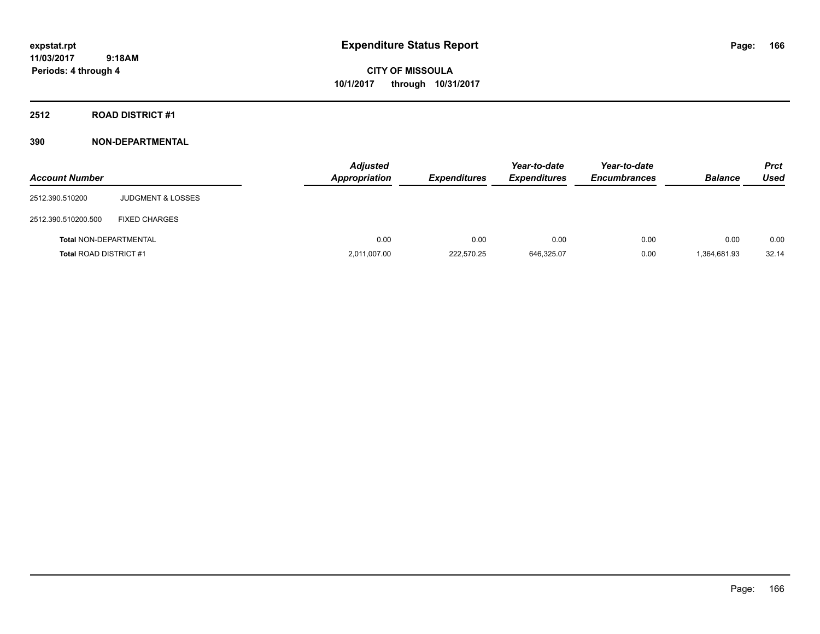**CITY OF MISSOULA 10/1/2017 through 10/31/2017**

**2512 ROAD DISTRICT #1**

| <b>Account Number</b>         |                              | <b>Adjusted</b><br><b>Appropriation</b> | <b>Expenditures</b> | Year-to-date<br><b>Expenditures</b> | Year-to-date<br><b>Encumbrances</b> | <b>Balance</b> | <b>Prct</b><br>Used |
|-------------------------------|------------------------------|-----------------------------------------|---------------------|-------------------------------------|-------------------------------------|----------------|---------------------|
| 2512.390.510200               | <b>JUDGMENT &amp; LOSSES</b> |                                         |                     |                                     |                                     |                |                     |
| 2512.390.510200.500           | <b>FIXED CHARGES</b>         |                                         |                     |                                     |                                     |                |                     |
| <b>Total NON-DEPARTMENTAL</b> |                              | 0.00                                    | 0.00                | 0.00                                | 0.00                                | 0.00           | 0.00                |
| <b>Total ROAD DISTRICT #1</b> |                              | 2,011,007.00                            | 222.570.25          | 646,325.07                          | 0.00                                | 1,364,681.93   | 32.14               |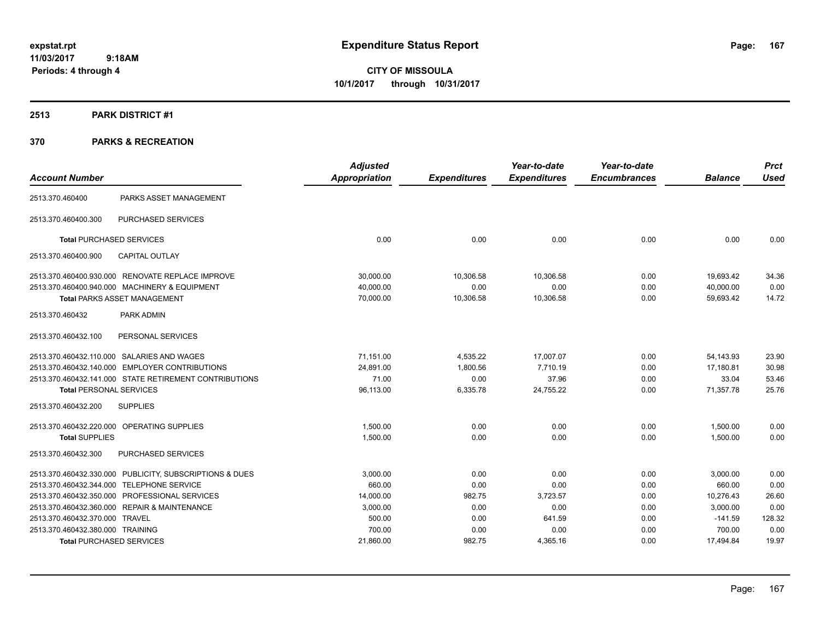**CITY OF MISSOULA 10/1/2017 through 10/31/2017**

### **2513 PARK DISTRICT #1**

| <b>Account Number</b>            |                                                         | <b>Adjusted</b>      |                     | Year-to-date        | Year-to-date        |                | <b>Prct</b> |
|----------------------------------|---------------------------------------------------------|----------------------|---------------------|---------------------|---------------------|----------------|-------------|
|                                  |                                                         | <b>Appropriation</b> | <b>Expenditures</b> | <b>Expenditures</b> | <b>Encumbrances</b> | <b>Balance</b> | <b>Used</b> |
| 2513.370.460400                  | PARKS ASSET MANAGEMENT                                  |                      |                     |                     |                     |                |             |
| 2513.370.460400.300              | PURCHASED SERVICES                                      |                      |                     |                     |                     |                |             |
|                                  | <b>Total PURCHASED SERVICES</b>                         | 0.00                 | 0.00                | 0.00                | 0.00                | 0.00           | 0.00        |
| 2513.370.460400.900              | <b>CAPITAL OUTLAY</b>                                   |                      |                     |                     |                     |                |             |
|                                  | 2513.370.460400.930.000 RENOVATE REPLACE IMPROVE        | 30,000.00            | 10,306.58           | 10,306.58           | 0.00                | 19,693.42      | 34.36       |
|                                  | 2513.370.460400.940.000 MACHINERY & EQUIPMENT           | 40,000.00            | 0.00                | 0.00                | 0.00                | 40,000.00      | 0.00        |
|                                  | <b>Total PARKS ASSET MANAGEMENT</b>                     | 70,000.00            | 10,306.58           | 10,306.58           | 0.00                | 59,693.42      | 14.72       |
| 2513.370.460432                  | PARK ADMIN                                              |                      |                     |                     |                     |                |             |
| 2513.370.460432.100              | PERSONAL SERVICES                                       |                      |                     |                     |                     |                |             |
|                                  | 2513.370.460432.110.000 SALARIES AND WAGES              | 71,151.00            | 4,535.22            | 17,007.07           | 0.00                | 54,143.93      | 23.90       |
|                                  | 2513.370.460432.140.000 EMPLOYER CONTRIBUTIONS          | 24,891.00            | 1,800.56            | 7,710.19            | 0.00                | 17,180.81      | 30.98       |
|                                  | 2513.370.460432.141.000 STATE RETIREMENT CONTRIBUTIONS  | 71.00                | 0.00                | 37.96               | 0.00                | 33.04          | 53.46       |
| <b>Total PERSONAL SERVICES</b>   |                                                         | 96,113.00            | 6,335.78            | 24,755.22           | 0.00                | 71,357.78      | 25.76       |
| 2513.370.460432.200              | <b>SUPPLIES</b>                                         |                      |                     |                     |                     |                |             |
|                                  | 2513.370.460432.220.000 OPERATING SUPPLIES              | 1,500.00             | 0.00                | 0.00                | 0.00                | 1,500.00       | 0.00        |
| <b>Total SUPPLIES</b>            |                                                         | 1,500.00             | 0.00                | 0.00                | 0.00                | 1.500.00       | 0.00        |
| 2513.370.460432.300              | <b>PURCHASED SERVICES</b>                               |                      |                     |                     |                     |                |             |
|                                  | 2513.370.460432.330.000 PUBLICITY, SUBSCRIPTIONS & DUES | 3,000.00             | 0.00                | 0.00                | 0.00                | 3,000.00       | 0.00        |
|                                  | 2513.370.460432.344.000 TELEPHONE SERVICE               | 660.00               | 0.00                | 0.00                | 0.00                | 660.00         | 0.00        |
|                                  | 2513.370.460432.350.000 PROFESSIONAL SERVICES           | 14,000.00            | 982.75              | 3,723.57            | 0.00                | 10,276.43      | 26.60       |
|                                  | 2513.370.460432.360.000 REPAIR & MAINTENANCE            | 3,000.00             | 0.00                | 0.00                | 0.00                | 3,000.00       | 0.00        |
| 2513.370.460432.370.000 TRAVEL   |                                                         | 500.00               | 0.00                | 641.59              | 0.00                | $-141.59$      | 128.32      |
| 2513.370.460432.380.000 TRAINING |                                                         | 700.00               | 0.00                | 0.00                | 0.00                | 700.00         | 0.00        |
|                                  | <b>Total PURCHASED SERVICES</b>                         | 21,860.00            | 982.75              | 4,365.16            | 0.00                | 17,494.84      | 19.97       |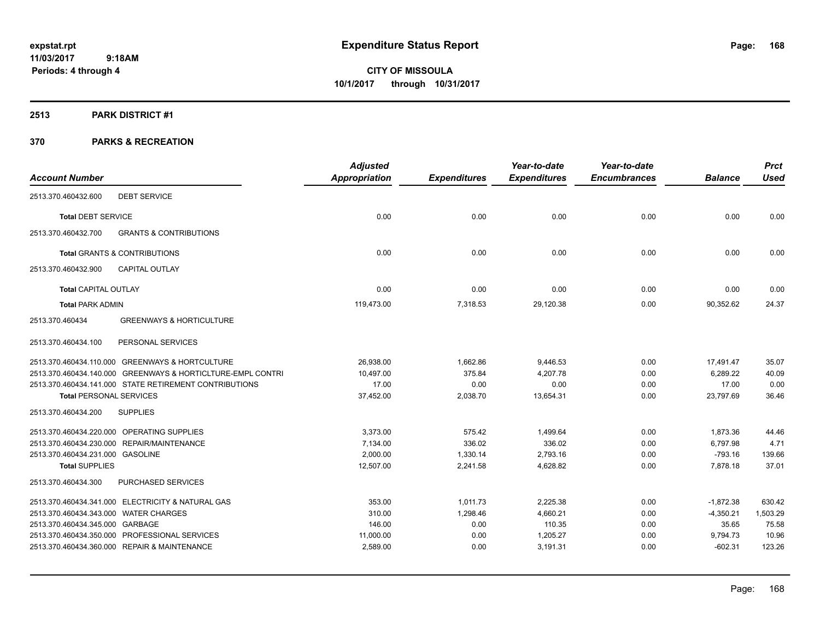**CITY OF MISSOULA 10/1/2017 through 10/31/2017**

### **2513 PARK DISTRICT #1**

|                                       |                                                             | <b>Adjusted</b> |                     | Year-to-date        | Year-to-date        |                | <b>Prct</b> |
|---------------------------------------|-------------------------------------------------------------|-----------------|---------------------|---------------------|---------------------|----------------|-------------|
| <b>Account Number</b>                 |                                                             | Appropriation   | <b>Expenditures</b> | <b>Expenditures</b> | <b>Encumbrances</b> | <b>Balance</b> | <b>Used</b> |
| 2513.370.460432.600                   | <b>DEBT SERVICE</b>                                         |                 |                     |                     |                     |                |             |
| <b>Total DEBT SERVICE</b>             |                                                             | 0.00            | 0.00                | 0.00                | 0.00                | 0.00           | 0.00        |
| 2513.370.460432.700                   | <b>GRANTS &amp; CONTRIBUTIONS</b>                           |                 |                     |                     |                     |                |             |
|                                       | <b>Total GRANTS &amp; CONTRIBUTIONS</b>                     | 0.00            | 0.00                | 0.00                | 0.00                | 0.00           | 0.00        |
| 2513.370.460432.900                   | CAPITAL OUTLAY                                              |                 |                     |                     |                     |                |             |
| Total CAPITAL OUTLAY                  |                                                             | 0.00            | 0.00                | 0.00                | 0.00                | 0.00           | 0.00        |
| <b>Total PARK ADMIN</b>               |                                                             | 119,473.00      | 7,318.53            | 29,120.38           | 0.00                | 90,352.62      | 24.37       |
| 2513.370.460434                       | <b>GREENWAYS &amp; HORTICULTURE</b>                         |                 |                     |                     |                     |                |             |
| 2513.370.460434.100                   | PERSONAL SERVICES                                           |                 |                     |                     |                     |                |             |
|                                       | 2513.370.460434.110.000 GREENWAYS & HORTCULTURE             | 26,938.00       | 1,662.86            | 9,446.53            | 0.00                | 17,491.47      | 35.07       |
|                                       | 2513.370.460434.140.000 GREENWAYS & HORTICLTURE-EMPL CONTRI | 10,497.00       | 375.84              | 4,207.78            | 0.00                | 6,289.22       | 40.09       |
|                                       | 2513.370.460434.141.000 STATE RETIREMENT CONTRIBUTIONS      | 17.00           | 0.00                | 0.00                | 0.00                | 17.00          | 0.00        |
| <b>Total PERSONAL SERVICES</b>        |                                                             | 37,452.00       | 2,038.70            | 13,654.31           | 0.00                | 23,797.69      | 36.46       |
| 2513.370.460434.200                   | <b>SUPPLIES</b>                                             |                 |                     |                     |                     |                |             |
|                                       | 2513.370.460434.220.000 OPERATING SUPPLIES                  | 3.373.00        | 575.42              | 1,499.64            | 0.00                | 1,873.36       | 44.46       |
|                                       | 2513.370.460434.230.000 REPAIR/MAINTENANCE                  | 7,134.00        | 336.02              | 336.02              | 0.00                | 6,797.98       | 4.71        |
| 2513.370.460434.231.000 GASOLINE      |                                                             | 2,000.00        | 1,330.14            | 2,793.16            | 0.00                | $-793.16$      | 139.66      |
| <b>Total SUPPLIES</b>                 |                                                             | 12,507.00       | 2,241.58            | 4,628.82            | 0.00                | 7,878.18       | 37.01       |
| 2513.370.460434.300                   | PURCHASED SERVICES                                          |                 |                     |                     |                     |                |             |
|                                       | 2513.370.460434.341.000 ELECTRICITY & NATURAL GAS           | 353.00          | 1,011.73            | 2,225.38            | 0.00                | $-1,872.38$    | 630.42      |
| 2513.370.460434.343.000 WATER CHARGES |                                                             | 310.00          | 1,298.46            | 4,660.21            | 0.00                | $-4,350.21$    | 1,503.29    |
| 2513.370.460434.345.000 GARBAGE       |                                                             | 146.00          | 0.00                | 110.35              | 0.00                | 35.65          | 75.58       |
|                                       | 2513.370.460434.350.000 PROFESSIONAL SERVICES               | 11,000.00       | 0.00                | 1,205.27            | 0.00                | 9,794.73       | 10.96       |
|                                       | 2513.370.460434.360.000 REPAIR & MAINTENANCE                | 2,589.00        | 0.00                | 3,191.31            | 0.00                | $-602.31$      | 123.26      |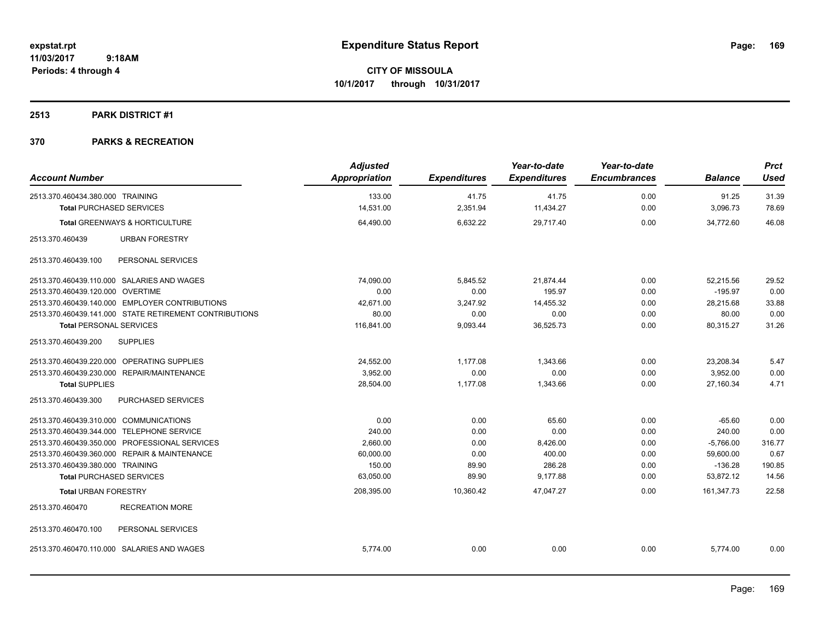**Periods: 4 through 4**

**CITY OF MISSOULA 10/1/2017 through 10/31/2017**

## **2513 PARK DISTRICT #1**

| <b>Account Number</b>                                  | <b>Adjusted</b><br><b>Appropriation</b> | <b>Expenditures</b> | Year-to-date<br><b>Expenditures</b> | Year-to-date<br><b>Encumbrances</b> | <b>Balance</b> | <b>Prct</b><br><b>Used</b> |
|--------------------------------------------------------|-----------------------------------------|---------------------|-------------------------------------|-------------------------------------|----------------|----------------------------|
| 2513.370.460434.380.000 TRAINING                       | 133.00                                  | 41.75               | 41.75                               | 0.00                                | 91.25          | 31.39                      |
| <b>Total PURCHASED SERVICES</b>                        | 14,531.00                               | 2,351.94            | 11,434.27                           | 0.00                                | 3,096.73       | 78.69                      |
| Total GREENWAYS & HORTICULTURE                         | 64,490.00                               | 6,632.22            | 29,717.40                           | 0.00                                | 34,772.60      | 46.08                      |
| <b>URBAN FORESTRY</b><br>2513.370.460439               |                                         |                     |                                     |                                     |                |                            |
| 2513.370.460439.100<br>PERSONAL SERVICES               |                                         |                     |                                     |                                     |                |                            |
| 2513.370.460439.110.000 SALARIES AND WAGES             | 74,090.00                               | 5,845.52            | 21,874.44                           | 0.00                                | 52,215.56      | 29.52                      |
| 2513.370.460439.120.000 OVERTIME                       | 0.00                                    | 0.00                | 195.97                              | 0.00                                | $-195.97$      | 0.00                       |
| 2513.370.460439.140.000 EMPLOYER CONTRIBUTIONS         | 42,671.00                               | 3,247.92            | 14,455.32                           | 0.00                                | 28,215.68      | 33.88                      |
| 2513.370.460439.141.000 STATE RETIREMENT CONTRIBUTIONS | 80.00                                   | 0.00                | 0.00                                | 0.00                                | 80.00          | 0.00                       |
| <b>Total PERSONAL SERVICES</b>                         | 116,841.00                              | 9,093.44            | 36,525.73                           | 0.00                                | 80,315.27      | 31.26                      |
| 2513.370.460439.200<br><b>SUPPLIES</b>                 |                                         |                     |                                     |                                     |                |                            |
| 2513.370.460439.220.000 OPERATING SUPPLIES             | 24,552.00                               | 1,177.08            | 1,343.66                            | 0.00                                | 23,208.34      | 5.47                       |
| 2513.370.460439.230.000 REPAIR/MAINTENANCE             | 3.952.00                                | 0.00                | 0.00                                | 0.00                                | 3.952.00       | 0.00                       |
| <b>Total SUPPLIES</b>                                  | 28,504.00                               | 1,177.08            | 1,343.66                            | 0.00                                | 27,160.34      | 4.71                       |
| PURCHASED SERVICES<br>2513.370.460439.300              |                                         |                     |                                     |                                     |                |                            |
| 2513.370.460439.310.000 COMMUNICATIONS                 | 0.00                                    | 0.00                | 65.60                               | 0.00                                | $-65.60$       | 0.00                       |
| 2513.370.460439.344.000 TELEPHONE SERVICE              | 240.00                                  | 0.00                | 0.00                                | 0.00                                | 240.00         | 0.00                       |
| 2513.370.460439.350.000 PROFESSIONAL SERVICES          | 2,660.00                                | 0.00                | 8,426.00                            | 0.00                                | $-5,766.00$    | 316.77                     |
| 2513.370.460439.360.000 REPAIR & MAINTENANCE           | 60,000.00                               | 0.00                | 400.00                              | 0.00                                | 59,600.00      | 0.67                       |
| 2513.370.460439.380.000 TRAINING                       | 150.00                                  | 89.90               | 286.28                              | 0.00                                | $-136.28$      | 190.85                     |
| <b>Total PURCHASED SERVICES</b>                        | 63,050.00                               | 89.90               | 9,177.88                            | 0.00                                | 53,872.12      | 14.56                      |
| <b>Total URBAN FORESTRY</b>                            | 208,395.00                              | 10,360.42           | 47,047.27                           | 0.00                                | 161,347.73     | 22.58                      |
| <b>RECREATION MORE</b><br>2513.370.460470              |                                         |                     |                                     |                                     |                |                            |
| 2513.370.460470.100<br>PERSONAL SERVICES               |                                         |                     |                                     |                                     |                |                            |
| 2513.370.460470.110.000 SALARIES AND WAGES             | 5.774.00                                | 0.00                | 0.00                                | 0.00                                | 5.774.00       | 0.00                       |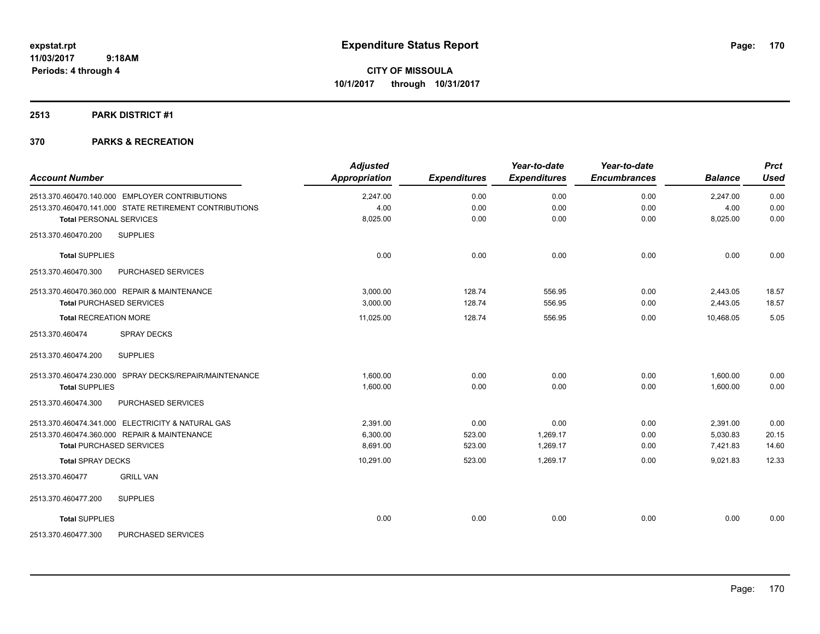# **2513 PARK DISTRICT #1**

| <b>Account Number</b>          |                                                        | <b>Adjusted</b><br><b>Appropriation</b> | <b>Expenditures</b> | Year-to-date<br><b>Expenditures</b> | Year-to-date<br><b>Encumbrances</b> | <b>Balance</b> | <b>Prct</b><br><b>Used</b> |
|--------------------------------|--------------------------------------------------------|-----------------------------------------|---------------------|-------------------------------------|-------------------------------------|----------------|----------------------------|
|                                | 2513.370.460470.140.000 EMPLOYER CONTRIBUTIONS         | 2,247.00                                | 0.00                | 0.00                                | 0.00                                | 2,247.00       | 0.00                       |
|                                | 2513.370.460470.141.000 STATE RETIREMENT CONTRIBUTIONS | 4.00                                    | 0.00                | 0.00                                | 0.00                                | 4.00           | 0.00                       |
| <b>Total PERSONAL SERVICES</b> |                                                        | 8,025.00                                | 0.00                | 0.00                                | 0.00                                | 8,025.00       | 0.00                       |
| 2513.370.460470.200            | <b>SUPPLIES</b>                                        |                                         |                     |                                     |                                     |                |                            |
| <b>Total SUPPLIES</b>          |                                                        | 0.00                                    | 0.00                | 0.00                                | 0.00                                | 0.00           | 0.00                       |
| 2513.370.460470.300            | PURCHASED SERVICES                                     |                                         |                     |                                     |                                     |                |                            |
|                                | 2513.370.460470.360.000 REPAIR & MAINTENANCE           | 3,000.00                                | 128.74              | 556.95                              | 0.00                                | 2,443.05       | 18.57                      |
|                                | <b>Total PURCHASED SERVICES</b>                        | 3,000.00                                | 128.74              | 556.95                              | 0.00                                | 2,443.05       | 18.57                      |
| <b>Total RECREATION MORE</b>   |                                                        | 11,025.00                               | 128.74              | 556.95                              | 0.00                                | 10,468.05      | 5.05                       |
| 2513.370.460474                | <b>SPRAY DECKS</b>                                     |                                         |                     |                                     |                                     |                |                            |
| 2513.370.460474.200            | <b>SUPPLIES</b>                                        |                                         |                     |                                     |                                     |                |                            |
|                                | 2513.370.460474.230.000 SPRAY DECKS/REPAIR/MAINTENANCE | 1,600.00                                | 0.00                | 0.00                                | 0.00                                | 1,600.00       | 0.00                       |
| <b>Total SUPPLIES</b>          |                                                        | 1,600.00                                | 0.00                | 0.00                                | 0.00                                | 1.600.00       | 0.00                       |
| 2513.370.460474.300            | PURCHASED SERVICES                                     |                                         |                     |                                     |                                     |                |                            |
|                                | 2513.370.460474.341.000 ELECTRICITY & NATURAL GAS      | 2,391.00                                | 0.00                | 0.00                                | 0.00                                | 2,391.00       | 0.00                       |
|                                | 2513.370.460474.360.000 REPAIR & MAINTENANCE           | 6,300.00                                | 523.00              | 1,269.17                            | 0.00                                | 5,030.83       | 20.15                      |
|                                | <b>Total PURCHASED SERVICES</b>                        | 8.691.00                                | 523.00              | 1,269.17                            | 0.00                                | 7,421.83       | 14.60                      |
| <b>Total SPRAY DECKS</b>       |                                                        | 10,291.00                               | 523.00              | 1,269.17                            | 0.00                                | 9,021.83       | 12.33                      |
| 2513.370.460477                | <b>GRILL VAN</b>                                       |                                         |                     |                                     |                                     |                |                            |
| 2513.370.460477.200            | <b>SUPPLIES</b>                                        |                                         |                     |                                     |                                     |                |                            |
| <b>Total SUPPLIES</b>          |                                                        | 0.00                                    | 0.00                | 0.00                                | 0.00                                | 0.00           | 0.00                       |
| 2513.370.460477.300            | PURCHASED SERVICES                                     |                                         |                     |                                     |                                     |                |                            |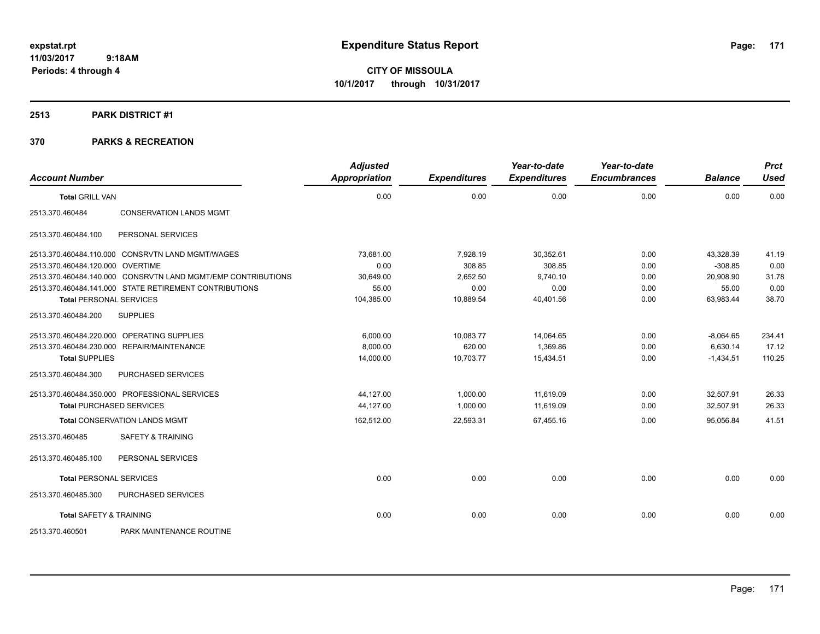**CITY OF MISSOULA 10/1/2017 through 10/31/2017**

### **2513 PARK DISTRICT #1**

| <b>Account Number</b>              |                                                              | <b>Adjusted</b><br>Appropriation | <b>Expenditures</b> | Year-to-date<br><b>Expenditures</b> | Year-to-date<br><b>Encumbrances</b> | <b>Balance</b> | <b>Prct</b><br><b>Used</b> |
|------------------------------------|--------------------------------------------------------------|----------------------------------|---------------------|-------------------------------------|-------------------------------------|----------------|----------------------------|
| <b>Total GRILL VAN</b>             |                                                              | 0.00                             | 0.00                | 0.00                                | 0.00                                | 0.00           | 0.00                       |
| 2513.370.460484                    | <b>CONSERVATION LANDS MGMT</b>                               |                                  |                     |                                     |                                     |                |                            |
| 2513.370.460484.100                | PERSONAL SERVICES                                            |                                  |                     |                                     |                                     |                |                            |
|                                    | 2513.370.460484.110.000 CONSRVTN LAND MGMT/WAGES             | 73.681.00                        | 7,928.19            | 30,352.61                           | 0.00                                | 43,328.39      | 41.19                      |
| 2513.370.460484.120.000 OVERTIME   |                                                              | 0.00                             | 308.85              | 308.85                              | 0.00                                | $-308.85$      | 0.00                       |
|                                    | 2513.370.460484.140.000 CONSRVTN LAND MGMT/EMP CONTRIBUTIONS | 30,649.00                        | 2,652.50            | 9,740.10                            | 0.00                                | 20,908.90      | 31.78                      |
|                                    | 2513.370.460484.141.000 STATE RETIREMENT CONTRIBUTIONS       | 55.00                            | 0.00                | 0.00                                | 0.00                                | 55.00          | 0.00                       |
| <b>Total PERSONAL SERVICES</b>     |                                                              | 104,385.00                       | 10,889.54           | 40,401.56                           | 0.00                                | 63,983.44      | 38.70                      |
| 2513.370.460484.200                | <b>SUPPLIES</b>                                              |                                  |                     |                                     |                                     |                |                            |
|                                    | 2513.370.460484.220.000 OPERATING SUPPLIES                   | 6,000.00                         | 10,083.77           | 14,064.65                           | 0.00                                | $-8,064.65$    | 234.41                     |
|                                    | 2513.370.460484.230.000 REPAIR/MAINTENANCE                   | 8,000.00                         | 620.00              | 1,369.86                            | 0.00                                | 6,630.14       | 17.12                      |
| <b>Total SUPPLIES</b>              |                                                              | 14,000.00                        | 10,703.77           | 15,434.51                           | 0.00                                | $-1,434.51$    | 110.25                     |
| 2513.370.460484.300                | PURCHASED SERVICES                                           |                                  |                     |                                     |                                     |                |                            |
|                                    | 2513.370.460484.350.000 PROFESSIONAL SERVICES                | 44,127.00                        | 1,000.00            | 11,619.09                           | 0.00                                | 32,507.91      | 26.33                      |
| <b>Total PURCHASED SERVICES</b>    |                                                              | 44,127.00                        | 1,000.00            | 11,619.09                           | 0.00                                | 32,507.91      | 26.33                      |
|                                    | <b>Total CONSERVATION LANDS MGMT</b>                         | 162,512.00                       | 22,593.31           | 67,455.16                           | 0.00                                | 95,056.84      | 41.51                      |
| 2513.370.460485                    | <b>SAFETY &amp; TRAINING</b>                                 |                                  |                     |                                     |                                     |                |                            |
| 2513.370.460485.100                | PERSONAL SERVICES                                            |                                  |                     |                                     |                                     |                |                            |
| <b>Total PERSONAL SERVICES</b>     |                                                              | 0.00                             | 0.00                | 0.00                                | 0.00                                | 0.00           | 0.00                       |
| 2513.370.460485.300                | PURCHASED SERVICES                                           |                                  |                     |                                     |                                     |                |                            |
| <b>Total SAFETY &amp; TRAINING</b> |                                                              | 0.00                             | 0.00                | 0.00                                | 0.00                                | 0.00           | 0.00                       |
| 2513.370.460501                    | PARK MAINTENANCE ROUTINE                                     |                                  |                     |                                     |                                     |                |                            |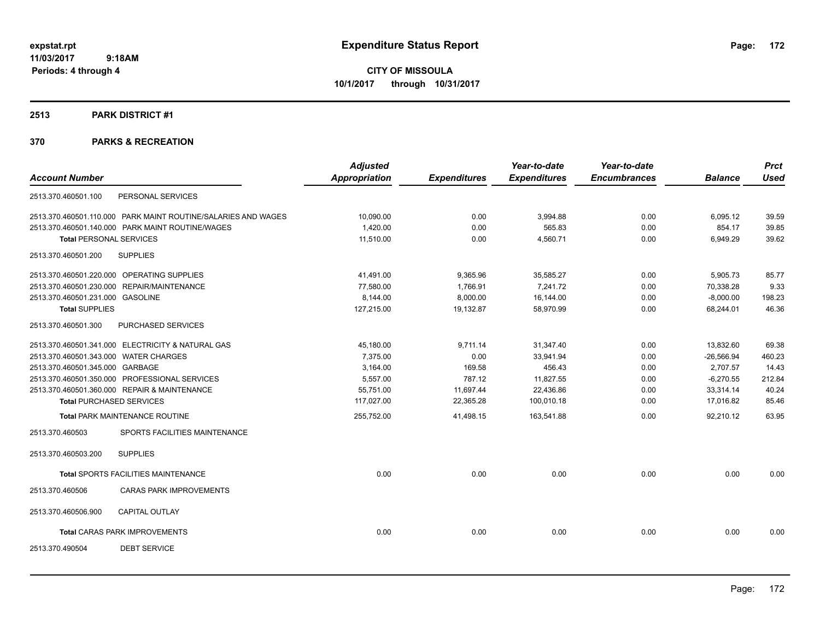**CITY OF MISSOULA 10/1/2017 through 10/31/2017**

#### **2513 PARK DISTRICT #1**

|                                       |                                                               | <b>Adjusted</b> |                     | Year-to-date        | Year-to-date        |                | <b>Prct</b> |
|---------------------------------------|---------------------------------------------------------------|-----------------|---------------------|---------------------|---------------------|----------------|-------------|
| <b>Account Number</b>                 |                                                               | Appropriation   | <b>Expenditures</b> | <b>Expenditures</b> | <b>Encumbrances</b> | <b>Balance</b> | <b>Used</b> |
| 2513.370.460501.100                   | PERSONAL SERVICES                                             |                 |                     |                     |                     |                |             |
|                                       | 2513.370.460501.110.000 PARK MAINT ROUTINE/SALARIES AND WAGES | 10,090.00       | 0.00                | 3,994.88            | 0.00                | 6,095.12       | 39.59       |
|                                       | 2513.370.460501.140.000 PARK MAINT ROUTINE/WAGES              | 1,420.00        | 0.00                | 565.83              | 0.00                | 854.17         | 39.85       |
| <b>Total PERSONAL SERVICES</b>        |                                                               | 11,510.00       | 0.00                | 4,560.71            | 0.00                | 6,949.29       | 39.62       |
| 2513.370.460501.200                   | <b>SUPPLIES</b>                                               |                 |                     |                     |                     |                |             |
|                                       | 2513.370.460501.220.000 OPERATING SUPPLIES                    | 41,491.00       | 9,365.96            | 35,585.27           | 0.00                | 5,905.73       | 85.77       |
|                                       | 2513.370.460501.230.000 REPAIR/MAINTENANCE                    | 77.580.00       | 1,766.91            | 7.241.72            | 0.00                | 70,338.28      | 9.33        |
| 2513.370.460501.231.000 GASOLINE      |                                                               | 8.144.00        | 8,000.00            | 16,144.00           | 0.00                | $-8,000.00$    | 198.23      |
| <b>Total SUPPLIES</b>                 |                                                               | 127,215.00      | 19,132.87           | 58,970.99           | 0.00                | 68,244.01      | 46.36       |
| 2513.370.460501.300                   | PURCHASED SERVICES                                            |                 |                     |                     |                     |                |             |
|                                       | 2513.370.460501.341.000 ELECTRICITY & NATURAL GAS             | 45,180.00       | 9,711.14            | 31,347.40           | 0.00                | 13,832.60      | 69.38       |
| 2513.370.460501.343.000 WATER CHARGES |                                                               | 7.375.00        | 0.00                | 33,941.94           | 0.00                | $-26,566.94$   | 460.23      |
| 2513.370.460501.345.000 GARBAGE       |                                                               | 3,164.00        | 169.58              | 456.43              | 0.00                | 2,707.57       | 14.43       |
|                                       | 2513.370.460501.350.000 PROFESSIONAL SERVICES                 | 5,557.00        | 787.12              | 11,827.55           | 0.00                | $-6,270.55$    | 212.84      |
|                                       | 2513.370.460501.360.000 REPAIR & MAINTENANCE                  | 55,751.00       | 11,697.44           | 22,436.86           | 0.00                | 33,314.14      | 40.24       |
|                                       | <b>Total PURCHASED SERVICES</b>                               | 117,027.00      | 22,365.28           | 100,010.18          | 0.00                | 17,016.82      | 85.46       |
|                                       | Total PARK MAINTENANCE ROUTINE                                | 255,752.00      | 41,498.15           | 163,541.88          | 0.00                | 92,210.12      | 63.95       |
| 2513.370.460503                       | SPORTS FACILITIES MAINTENANCE                                 |                 |                     |                     |                     |                |             |
| 2513.370.460503.200                   | <b>SUPPLIES</b>                                               |                 |                     |                     |                     |                |             |
|                                       | Total SPORTS FACILITIES MAINTENANCE                           | 0.00            | 0.00                | 0.00                | 0.00                | 0.00           | 0.00        |
| 2513.370.460506                       | <b>CARAS PARK IMPROVEMENTS</b>                                |                 |                     |                     |                     |                |             |
| 2513.370.460506.900                   | <b>CAPITAL OUTLAY</b>                                         |                 |                     |                     |                     |                |             |
|                                       | <b>Total CARAS PARK IMPROVEMENTS</b>                          | 0.00            | 0.00                | 0.00                | 0.00                | 0.00           | 0.00        |
| 2513.370.490504                       | <b>DEBT SERVICE</b>                                           |                 |                     |                     |                     |                |             |
|                                       |                                                               |                 |                     |                     |                     |                |             |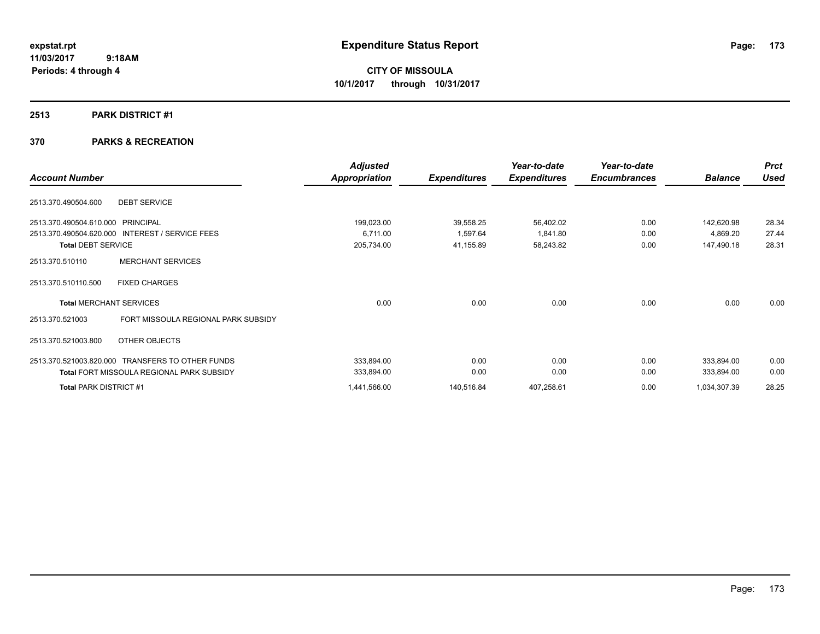**CITY OF MISSOULA 10/1/2017 through 10/31/2017**

### **2513 PARK DISTRICT #1**

| <b>Account Number</b>                                                                                             |                                                  | <b>Adjusted</b><br>Appropriation     | <b>Expenditures</b>                | Year-to-date<br><b>Expenditures</b> | Year-to-date<br><b>Encumbrances</b> | <b>Balance</b>                       | <b>Prct</b><br><b>Used</b> |
|-------------------------------------------------------------------------------------------------------------------|--------------------------------------------------|--------------------------------------|------------------------------------|-------------------------------------|-------------------------------------|--------------------------------------|----------------------------|
| 2513.370.490504.600                                                                                               | <b>DEBT SERVICE</b>                              |                                      |                                    |                                     |                                     |                                      |                            |
| 2513.370.490504.610.000 PRINCIPAL<br>2513.370.490504.620.000 INTEREST / SERVICE FEES<br><b>Total DEBT SERVICE</b> |                                                  | 199,023.00<br>6,711.00<br>205,734.00 | 39,558.25<br>1,597.64<br>41,155.89 | 56,402.02<br>1,841.80<br>58,243.82  | 0.00<br>0.00<br>0.00                | 142,620.98<br>4,869.20<br>147,490.18 | 28.34<br>27.44<br>28.31    |
| 2513.370.510110                                                                                                   | <b>MERCHANT SERVICES</b>                         |                                      |                                    |                                     |                                     |                                      |                            |
| 2513.370.510110.500                                                                                               | <b>FIXED CHARGES</b>                             |                                      |                                    |                                     |                                     |                                      |                            |
| <b>Total MERCHANT SERVICES</b>                                                                                    |                                                  | 0.00                                 | 0.00                               | 0.00                                | 0.00                                | 0.00                                 | 0.00                       |
| 2513.370.521003                                                                                                   | FORT MISSOULA REGIONAL PARK SUBSIDY              |                                      |                                    |                                     |                                     |                                      |                            |
| 2513.370.521003.800                                                                                               | OTHER OBJECTS                                    |                                      |                                    |                                     |                                     |                                      |                            |
| 2513.370.521003.820.000 TRANSFERS TO OTHER FUNDS                                                                  | <b>Total FORT MISSOULA REGIONAL PARK SUBSIDY</b> | 333,894.00<br>333,894.00             | 0.00<br>0.00                       | 0.00<br>0.00                        | 0.00<br>0.00                        | 333,894.00<br>333,894.00             | 0.00<br>0.00               |
| Total PARK DISTRICT #1                                                                                            |                                                  | 1,441,566.00                         | 140,516.84                         | 407,258.61                          | 0.00                                | 1,034,307.39                         | 28.25                      |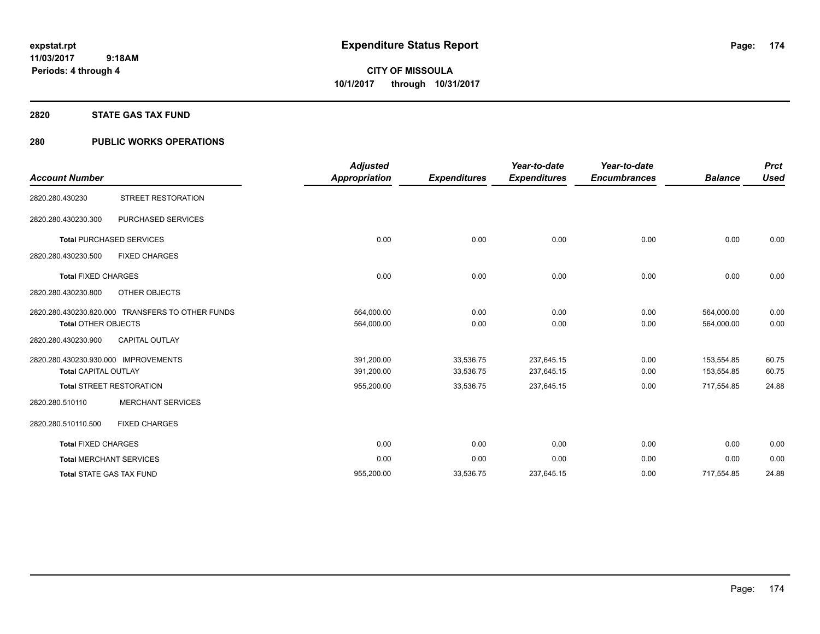### **2820 STATE GAS TAX FUND**

# **280 PUBLIC WORKS OPERATIONS**

| <b>Account Number</b>                                               |                                                  | <b>Adjusted</b><br><b>Appropriation</b> | <b>Expenditures</b>    | Year-to-date<br><b>Expenditures</b> | Year-to-date<br><b>Encumbrances</b> | <b>Balance</b>           | <b>Prct</b><br><b>Used</b> |
|---------------------------------------------------------------------|--------------------------------------------------|-----------------------------------------|------------------------|-------------------------------------|-------------------------------------|--------------------------|----------------------------|
| 2820.280.430230                                                     | <b>STREET RESTORATION</b>                        |                                         |                        |                                     |                                     |                          |                            |
| 2820.280.430230.300                                                 | PURCHASED SERVICES                               |                                         |                        |                                     |                                     |                          |                            |
|                                                                     | <b>Total PURCHASED SERVICES</b>                  | 0.00                                    | 0.00                   | 0.00                                | 0.00                                | 0.00                     | 0.00                       |
| 2820.280.430230.500                                                 | <b>FIXED CHARGES</b>                             |                                         |                        |                                     |                                     |                          |                            |
| <b>Total FIXED CHARGES</b>                                          |                                                  | 0.00                                    | 0.00                   | 0.00                                | 0.00                                | 0.00                     | 0.00                       |
| 2820.280.430230.800                                                 | OTHER OBJECTS                                    |                                         |                        |                                     |                                     |                          |                            |
| <b>Total OTHER OBJECTS</b>                                          | 2820.280.430230.820.000 TRANSFERS TO OTHER FUNDS | 564,000.00<br>564,000.00                | 0.00<br>0.00           | 0.00<br>0.00                        | 0.00<br>0.00                        | 564,000.00<br>564,000.00 | 0.00<br>0.00               |
| 2820.280.430230.900                                                 | <b>CAPITAL OUTLAY</b>                            |                                         |                        |                                     |                                     |                          |                            |
| 2820.280.430230.930.000 IMPROVEMENTS<br><b>Total CAPITAL OUTLAY</b> |                                                  | 391,200.00<br>391,200.00                | 33,536.75<br>33,536.75 | 237,645.15<br>237,645.15            | 0.00<br>0.00                        | 153,554.85<br>153,554.85 | 60.75<br>60.75             |
|                                                                     | <b>Total STREET RESTORATION</b>                  | 955,200.00                              | 33,536.75              | 237,645.15                          | 0.00                                | 717,554.85               | 24.88                      |
| 2820.280.510110                                                     | <b>MERCHANT SERVICES</b>                         |                                         |                        |                                     |                                     |                          |                            |
| 2820.280.510110.500                                                 | <b>FIXED CHARGES</b>                             |                                         |                        |                                     |                                     |                          |                            |
| <b>Total FIXED CHARGES</b>                                          |                                                  | 0.00                                    | 0.00                   | 0.00                                | 0.00                                | 0.00                     | 0.00                       |
|                                                                     | <b>Total MERCHANT SERVICES</b>                   | 0.00                                    | 0.00                   | 0.00                                | 0.00                                | 0.00                     | 0.00                       |
|                                                                     | <b>Total STATE GAS TAX FUND</b>                  | 955,200.00                              | 33,536.75              | 237,645.15                          | 0.00                                | 717,554.85               | 24.88                      |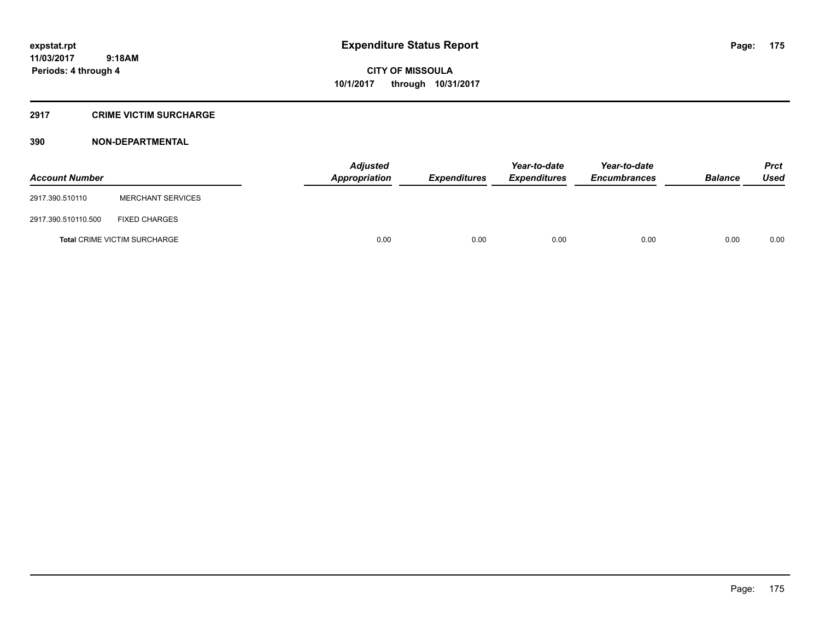# **2917 CRIME VICTIM SURCHARGE**

| <b>Account Number</b> |                                     | Adjusted<br>Appropriation | <b>Expenditures</b> | Year-to-date<br><b>Expenditures</b> | Year-to-date<br><b>Encumbrances</b> | <b>Balance</b> | <b>Prct</b><br><b>Used</b> |
|-----------------------|-------------------------------------|---------------------------|---------------------|-------------------------------------|-------------------------------------|----------------|----------------------------|
| 2917.390.510110       | <b>MERCHANT SERVICES</b>            |                           |                     |                                     |                                     |                |                            |
| 2917.390.510110.500   | <b>FIXED CHARGES</b>                |                           |                     |                                     |                                     |                |                            |
|                       | <b>Total CRIME VICTIM SURCHARGE</b> | 0.00                      | 0.00                | 0.00                                | 0.00                                | 0.00           | 0.00                       |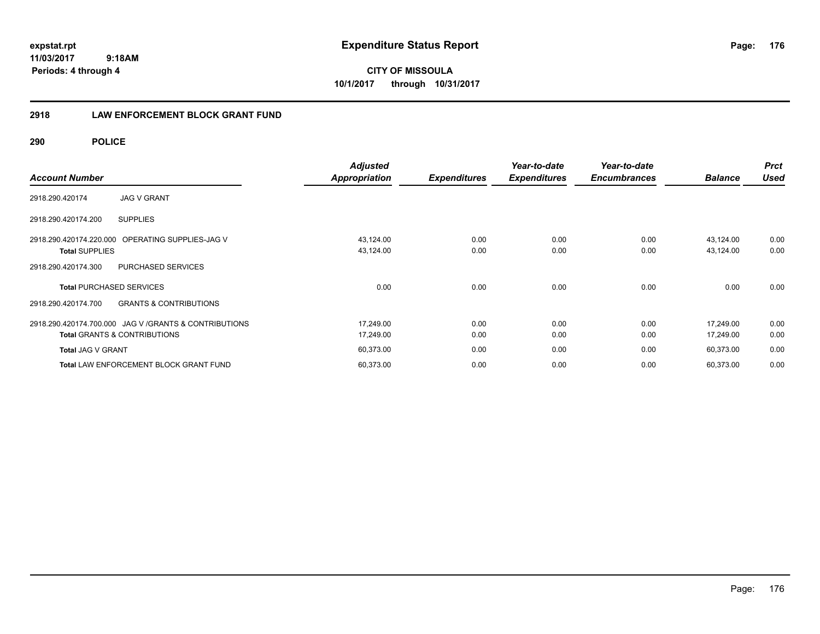**CITY OF MISSOULA 10/1/2017 through 10/31/2017**

# **2918 LAW ENFORCEMENT BLOCK GRANT FUND**

**290 POLICE**

| <b>Account Number</b>                                                                             | <b>Adjusted</b><br><b>Appropriation</b> | <b>Expenditures</b> | Year-to-date<br><b>Expenditures</b> | Year-to-date<br><b>Encumbrances</b> | <b>Balance</b>         | <b>Prct</b><br><b>Used</b> |
|---------------------------------------------------------------------------------------------------|-----------------------------------------|---------------------|-------------------------------------|-------------------------------------|------------------------|----------------------------|
| <b>JAG V GRANT</b><br>2918.290.420174                                                             |                                         |                     |                                     |                                     |                        |                            |
| <b>SUPPLIES</b><br>2918.290.420174.200                                                            |                                         |                     |                                     |                                     |                        |                            |
| 2918.290.420174.220.000<br>OPERATING SUPPLIES-JAG V<br><b>Total SUPPLIES</b>                      | 43,124.00<br>43,124.00                  | 0.00<br>0.00        | 0.00<br>0.00                        | 0.00<br>0.00                        | 43,124.00<br>43,124.00 | 0.00<br>0.00               |
| PURCHASED SERVICES<br>2918.290.420174.300                                                         |                                         |                     |                                     |                                     |                        |                            |
| <b>Total PURCHASED SERVICES</b>                                                                   | 0.00                                    | 0.00                | 0.00                                | 0.00                                | 0.00                   | 0.00                       |
| <b>GRANTS &amp; CONTRIBUTIONS</b><br>2918.290.420174.700                                          |                                         |                     |                                     |                                     |                        |                            |
| 2918.290.420174.700.000 JAG V / GRANTS & CONTRIBUTIONS<br><b>Total GRANTS &amp; CONTRIBUTIONS</b> | 17,249.00<br>17,249.00                  | 0.00<br>0.00        | 0.00<br>0.00                        | 0.00<br>0.00                        | 17,249.00<br>17,249.00 | 0.00<br>0.00               |
| <b>Total JAG V GRANT</b>                                                                          | 60,373.00                               | 0.00                | 0.00                                | 0.00                                | 60,373.00              | 0.00                       |
| <b>Total LAW ENFORCEMENT BLOCK GRANT FUND</b>                                                     | 60,373.00                               | 0.00                | 0.00                                | 0.00                                | 60,373.00              | 0.00                       |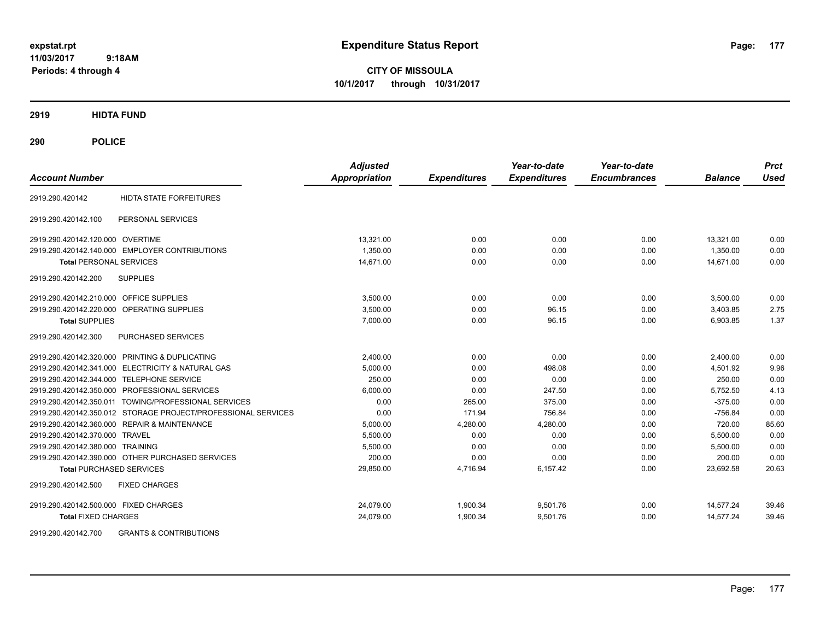**CITY OF MISSOULA 10/1/2017 through 10/31/2017**

**2919 HIDTA FUND**

**290 POLICE**

| <b>Account Number</b>                     |                                                               | <b>Adjusted</b><br>Appropriation | <b>Expenditures</b> | Year-to-date<br><b>Expenditures</b> | Year-to-date<br><b>Encumbrances</b> | <b>Balance</b> | <b>Prct</b><br><b>Used</b> |
|-------------------------------------------|---------------------------------------------------------------|----------------------------------|---------------------|-------------------------------------|-------------------------------------|----------------|----------------------------|
| 2919.290.420142                           | <b>HIDTA STATE FORFEITURES</b>                                |                                  |                     |                                     |                                     |                |                            |
| 2919.290.420142.100                       | PERSONAL SERVICES                                             |                                  |                     |                                     |                                     |                |                            |
| 2919.290.420142.120.000 OVERTIME          |                                                               | 13,321.00                        | 0.00                | 0.00                                | 0.00                                | 13,321.00      | 0.00                       |
|                                           | 2919.290.420142.140.000 EMPLOYER CONTRIBUTIONS                | 1.350.00                         | 0.00                | 0.00                                | 0.00                                | 1.350.00       | 0.00                       |
| <b>Total PERSONAL SERVICES</b>            |                                                               | 14,671.00                        | 0.00                | 0.00                                | 0.00                                | 14,671.00      | 0.00                       |
| 2919.290.420142.200                       | <b>SUPPLIES</b>                                               |                                  |                     |                                     |                                     |                |                            |
| 2919.290.420142.210.000 OFFICE SUPPLIES   |                                                               | 3,500.00                         | 0.00                | 0.00                                | 0.00                                | 3,500.00       | 0.00                       |
| 2919.290.420142.220.000                   | <b>OPERATING SUPPLIES</b>                                     | 3.500.00                         | 0.00                | 96.15                               | 0.00                                | 3.403.85       | 2.75                       |
| <b>Total SUPPLIES</b>                     |                                                               | 7.000.00                         | 0.00                | 96.15                               | 0.00                                | 6,903.85       | 1.37                       |
| 2919.290.420142.300                       | PURCHASED SERVICES                                            |                                  |                     |                                     |                                     |                |                            |
|                                           | 2919.290.420142.320.000 PRINTING & DUPLICATING                | 2,400.00                         | 0.00                | 0.00                                | 0.00                                | 2,400.00       | 0.00                       |
|                                           | 2919.290.420142.341.000 ELECTRICITY & NATURAL GAS             | 5.000.00                         | 0.00                | 498.08                              | 0.00                                | 4.501.92       | 9.96                       |
| 2919.290.420142.344.000 TELEPHONE SERVICE |                                                               | 250.00                           | 0.00                | 0.00                                | 0.00                                | 250.00         | 0.00                       |
|                                           | 2919.290.420142.350.000 PROFESSIONAL SERVICES                 | 6.000.00                         | 0.00                | 247.50                              | 0.00                                | 5,752.50       | 4.13                       |
|                                           | 2919.290.420142.350.011 TOWING/PROFESSIONAL SERVICES          | 0.00                             | 265.00              | 375.00                              | 0.00                                | $-375.00$      | 0.00                       |
|                                           | 2919.290.420142.350.012 STORAGE PROJECT/PROFESSIONAL SERVICES | 0.00                             | 171.94              | 756.84                              | 0.00                                | $-756.84$      | 0.00                       |
|                                           | 2919.290.420142.360.000 REPAIR & MAINTENANCE                  | 5,000.00                         | 4,280.00            | 4.280.00                            | 0.00                                | 720.00         | 85.60                      |
| 2919.290.420142.370.000 TRAVEL            |                                                               | 5,500.00                         | 0.00                | 0.00                                | 0.00                                | 5,500.00       | 0.00                       |
| 2919.290.420142.380.000 TRAINING          |                                                               | 5,500.00                         | 0.00                | 0.00                                | 0.00                                | 5,500.00       | 0.00                       |
|                                           | 2919.290.420142.390.000 OTHER PURCHASED SERVICES              | 200.00                           | 0.00                | 0.00                                | 0.00                                | 200.00         | 0.00                       |
| <b>Total PURCHASED SERVICES</b>           |                                                               | 29,850.00                        | 4,716.94            | 6,157.42                            | 0.00                                | 23,692.58      | 20.63                      |
| 2919.290.420142.500                       | <b>FIXED CHARGES</b>                                          |                                  |                     |                                     |                                     |                |                            |
| 2919.290.420142.500.000 FIXED CHARGES     |                                                               | 24,079.00                        | 1,900.34            | 9,501.76                            | 0.00                                | 14,577.24      | 39.46                      |
| <b>Total FIXED CHARGES</b>                |                                                               | 24,079.00                        | 1.900.34            | 9.501.76                            | 0.00                                | 14,577.24      | 39.46                      |

2919.290.420142.700 GRANTS & CONTRIBUTIONS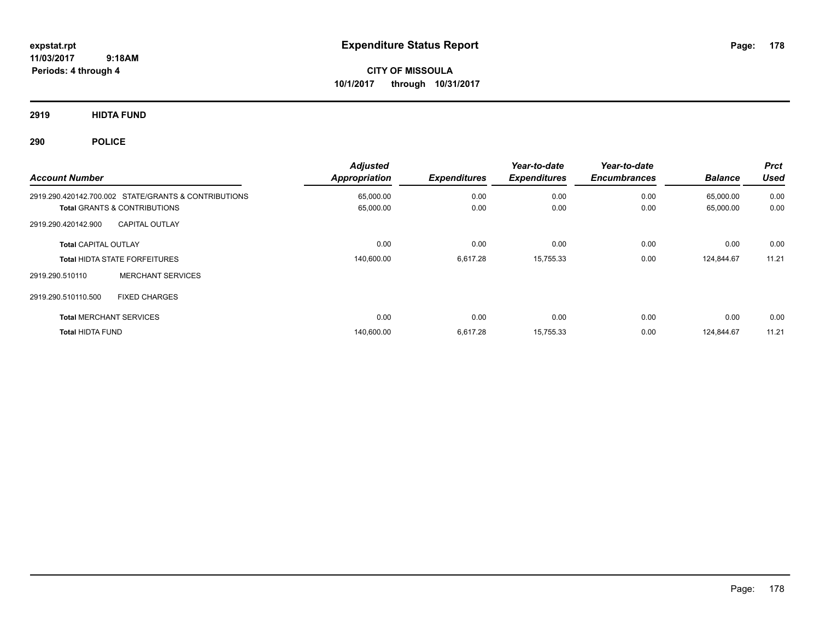**CITY OF MISSOULA 10/1/2017 through 10/31/2017**

**2919 HIDTA FUND**

**290 POLICE**

| <b>Account Number</b>                                | <b>Adjusted</b><br>Appropriation | <b>Expenditures</b> | Year-to-date<br><b>Expenditures</b> | Year-to-date<br><b>Encumbrances</b> | <b>Balance</b> | <b>Prct</b><br><b>Used</b> |
|------------------------------------------------------|----------------------------------|---------------------|-------------------------------------|-------------------------------------|----------------|----------------------------|
| 2919.290.420142.700.002 STATE/GRANTS & CONTRIBUTIONS | 65,000.00                        | 0.00                | 0.00                                | 0.00                                | 65,000.00      | 0.00                       |
| <b>Total GRANTS &amp; CONTRIBUTIONS</b>              | 65,000.00                        | 0.00                | 0.00                                | 0.00                                | 65,000.00      | 0.00                       |
| <b>CAPITAL OUTLAY</b><br>2919.290.420142.900         |                                  |                     |                                     |                                     |                |                            |
| <b>Total CAPITAL OUTLAY</b>                          | 0.00                             | 0.00                | 0.00                                | 0.00                                | 0.00           | 0.00                       |
| <b>Total HIDTA STATE FORFEITURES</b>                 | 140,600.00                       | 6,617.28            | 15,755.33                           | 0.00                                | 124,844.67     | 11.21                      |
| <b>MERCHANT SERVICES</b><br>2919.290.510110          |                                  |                     |                                     |                                     |                |                            |
| <b>FIXED CHARGES</b><br>2919.290.510110.500          |                                  |                     |                                     |                                     |                |                            |
| <b>Total MERCHANT SERVICES</b>                       | 0.00                             | 0.00                | 0.00                                | 0.00                                | 0.00           | 0.00                       |
| <b>Total HIDTA FUND</b>                              | 140,600.00                       | 6.617.28            | 15.755.33                           | 0.00                                | 124.844.67     | 11.21                      |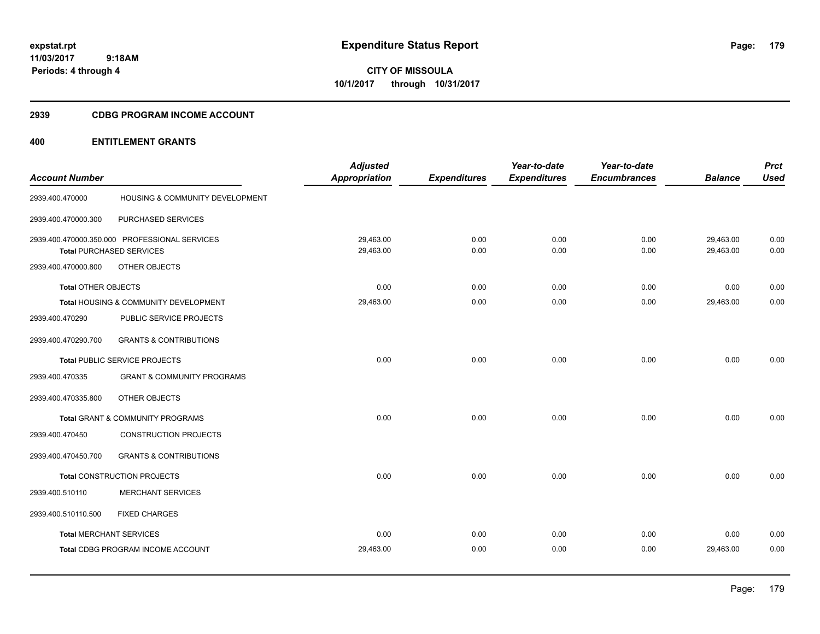**CITY OF MISSOULA 10/1/2017 through 10/31/2017**

## **2939 CDBG PROGRAM INCOME ACCOUNT**

# **400 ENTITLEMENT GRANTS**

| <b>Account Number</b>      |                                               | <b>Adjusted</b><br><b>Appropriation</b> | <b>Expenditures</b> | Year-to-date<br><b>Expenditures</b> | Year-to-date<br><b>Encumbrances</b> | <b>Balance</b> | <b>Prct</b><br><b>Used</b> |
|----------------------------|-----------------------------------------------|-----------------------------------------|---------------------|-------------------------------------|-------------------------------------|----------------|----------------------------|
|                            |                                               |                                         |                     |                                     |                                     |                |                            |
| 2939.400.470000            | HOUSING & COMMUNITY DEVELOPMENT               |                                         |                     |                                     |                                     |                |                            |
| 2939.400.470000.300        | PURCHASED SERVICES                            |                                         |                     |                                     |                                     |                |                            |
|                            | 2939.400.470000.350.000 PROFESSIONAL SERVICES | 29,463.00                               | 0.00                | 0.00                                | 0.00                                | 29,463.00      | 0.00                       |
|                            | <b>Total PURCHASED SERVICES</b>               | 29,463.00                               | 0.00                | 0.00                                | 0.00                                | 29,463.00      | 0.00                       |
| 2939.400.470000.800        | OTHER OBJECTS                                 |                                         |                     |                                     |                                     |                |                            |
| <b>Total OTHER OBJECTS</b> |                                               | 0.00                                    | 0.00                | 0.00                                | 0.00                                | 0.00           | 0.00                       |
|                            | Total HOUSING & COMMUNITY DEVELOPMENT         | 29,463.00                               | 0.00                | 0.00                                | 0.00                                | 29,463.00      | 0.00                       |
| 2939.400.470290            | PUBLIC SERVICE PROJECTS                       |                                         |                     |                                     |                                     |                |                            |
| 2939.400.470290.700        | <b>GRANTS &amp; CONTRIBUTIONS</b>             |                                         |                     |                                     |                                     |                |                            |
|                            | Total PUBLIC SERVICE PROJECTS                 | 0.00                                    | 0.00                | 0.00                                | 0.00                                | 0.00           | 0.00                       |
| 2939.400.470335            | <b>GRANT &amp; COMMUNITY PROGRAMS</b>         |                                         |                     |                                     |                                     |                |                            |
| 2939.400.470335.800        | OTHER OBJECTS                                 |                                         |                     |                                     |                                     |                |                            |
|                            | <b>Total GRANT &amp; COMMUNITY PROGRAMS</b>   | 0.00                                    | 0.00                | 0.00                                | 0.00                                | 0.00           | 0.00                       |
| 2939.400.470450            | <b>CONSTRUCTION PROJECTS</b>                  |                                         |                     |                                     |                                     |                |                            |
| 2939.400.470450.700        | <b>GRANTS &amp; CONTRIBUTIONS</b>             |                                         |                     |                                     |                                     |                |                            |
|                            | Total CONSTRUCTION PROJECTS                   | 0.00                                    | 0.00                | 0.00                                | 0.00                                | 0.00           | 0.00                       |
| 2939.400.510110            | <b>MERCHANT SERVICES</b>                      |                                         |                     |                                     |                                     |                |                            |
| 2939.400.510110.500        | <b>FIXED CHARGES</b>                          |                                         |                     |                                     |                                     |                |                            |
|                            | <b>Total MERCHANT SERVICES</b>                | 0.00                                    | 0.00                | 0.00                                | 0.00                                | 0.00           | 0.00                       |
|                            | Total CDBG PROGRAM INCOME ACCOUNT             | 29,463.00                               | 0.00                | 0.00                                | 0.00                                | 29,463.00      | 0.00                       |
|                            |                                               |                                         |                     |                                     |                                     |                |                            |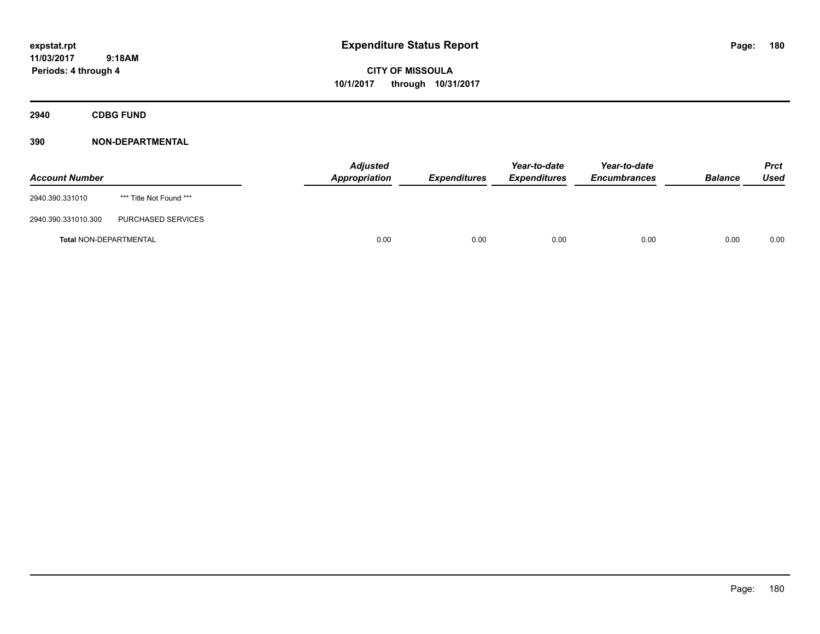# **CITY OF MISSOULA 10/1/2017 through 10/31/2017**

**2940 CDBG FUND**

| <b>Account Number</b>         |                         | <b>Adjusted</b><br>Appropriation | <b>Expenditures</b> | Year-to-date<br><b>Expenditures</b> | Year-to-date<br><b>Encumbrances</b> | <b>Balance</b> | <b>Prct</b><br>Used |
|-------------------------------|-------------------------|----------------------------------|---------------------|-------------------------------------|-------------------------------------|----------------|---------------------|
| 2940.390.331010               | *** Title Not Found *** |                                  |                     |                                     |                                     |                |                     |
| 2940.390.331010.300           | PURCHASED SERVICES      |                                  |                     |                                     |                                     |                |                     |
| <b>Total NON-DEPARTMENTAL</b> |                         | 0.00                             | 0.00                | 0.00                                | 0.00                                | 0.00           | 0.00                |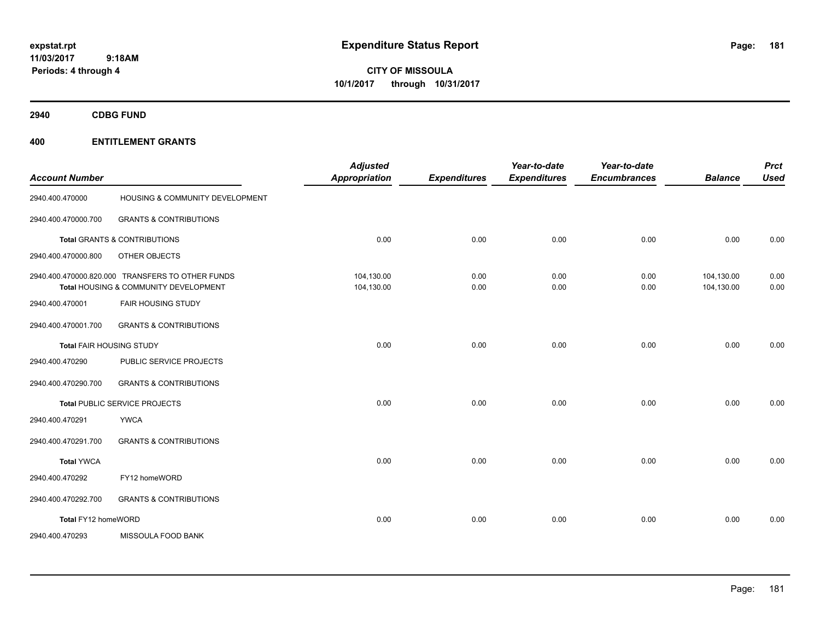**CITY OF MISSOULA 10/1/2017 through 10/31/2017**

**2940 CDBG FUND**

| <b>Account Number</b> |                                                                                           | <b>Adjusted</b><br><b>Appropriation</b> | <b>Expenditures</b> | Year-to-date<br><b>Expenditures</b> | Year-to-date<br><b>Encumbrances</b> | <b>Balance</b>           | <b>Prct</b><br><b>Used</b> |
|-----------------------|-------------------------------------------------------------------------------------------|-----------------------------------------|---------------------|-------------------------------------|-------------------------------------|--------------------------|----------------------------|
| 2940.400.470000       | HOUSING & COMMUNITY DEVELOPMENT                                                           |                                         |                     |                                     |                                     |                          |                            |
| 2940.400.470000.700   | <b>GRANTS &amp; CONTRIBUTIONS</b>                                                         |                                         |                     |                                     |                                     |                          |                            |
|                       | <b>Total GRANTS &amp; CONTRIBUTIONS</b>                                                   | 0.00                                    | 0.00                | 0.00                                | 0.00                                | 0.00                     | 0.00                       |
| 2940.400.470000.800   | OTHER OBJECTS                                                                             |                                         |                     |                                     |                                     |                          |                            |
|                       | 2940.400.470000.820.000 TRANSFERS TO OTHER FUNDS<br>Total HOUSING & COMMUNITY DEVELOPMENT | 104,130.00<br>104,130.00                | 0.00<br>0.00        | 0.00<br>0.00                        | 0.00<br>0.00                        | 104,130.00<br>104,130.00 | 0.00<br>0.00               |
| 2940.400.470001       | <b>FAIR HOUSING STUDY</b>                                                                 |                                         |                     |                                     |                                     |                          |                            |
| 2940.400.470001.700   | <b>GRANTS &amp; CONTRIBUTIONS</b>                                                         |                                         |                     |                                     |                                     |                          |                            |
|                       | Total FAIR HOUSING STUDY                                                                  | 0.00                                    | 0.00                | 0.00                                | 0.00                                | 0.00                     | 0.00                       |
| 2940.400.470290       | PUBLIC SERVICE PROJECTS                                                                   |                                         |                     |                                     |                                     |                          |                            |
| 2940.400.470290.700   | <b>GRANTS &amp; CONTRIBUTIONS</b>                                                         |                                         |                     |                                     |                                     |                          |                            |
|                       | Total PUBLIC SERVICE PROJECTS                                                             | 0.00                                    | 0.00                | 0.00                                | 0.00                                | 0.00                     | 0.00                       |
| 2940.400.470291       | <b>YWCA</b>                                                                               |                                         |                     |                                     |                                     |                          |                            |
| 2940.400.470291.700   | <b>GRANTS &amp; CONTRIBUTIONS</b>                                                         |                                         |                     |                                     |                                     |                          |                            |
| <b>Total YWCA</b>     |                                                                                           | 0.00                                    | 0.00                | 0.00                                | 0.00                                | 0.00                     | 0.00                       |
| 2940.400.470292       | FY12 homeWORD                                                                             |                                         |                     |                                     |                                     |                          |                            |
| 2940.400.470292.700   | <b>GRANTS &amp; CONTRIBUTIONS</b>                                                         |                                         |                     |                                     |                                     |                          |                            |
| Total FY12 homeWORD   |                                                                                           | 0.00                                    | 0.00                | 0.00                                | 0.00                                | 0.00                     | 0.00                       |
| 2940.400.470293       | MISSOULA FOOD BANK                                                                        |                                         |                     |                                     |                                     |                          |                            |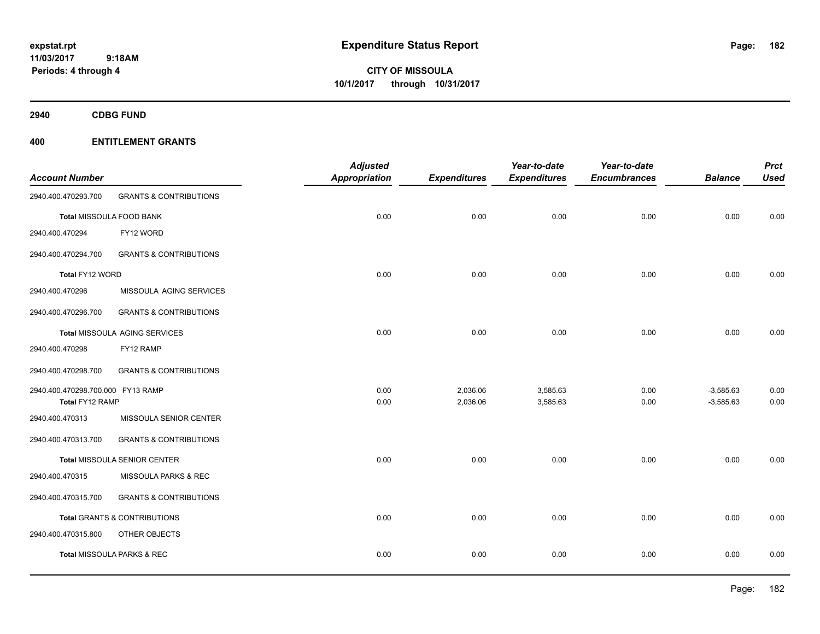**CITY OF MISSOULA 10/1/2017 through 10/31/2017**

**2940 CDBG FUND**

| <b>Account Number</b>             |                                     | <b>Adjusted</b><br><b>Appropriation</b> | <b>Expenditures</b> | Year-to-date<br><b>Expenditures</b> | Year-to-date<br><b>Encumbrances</b> | <b>Balance</b> | <b>Prct</b><br><b>Used</b> |
|-----------------------------------|-------------------------------------|-----------------------------------------|---------------------|-------------------------------------|-------------------------------------|----------------|----------------------------|
| 2940.400.470293.700               | <b>GRANTS &amp; CONTRIBUTIONS</b>   |                                         |                     |                                     |                                     |                |                            |
|                                   | Total MISSOULA FOOD BANK            | 0.00                                    | 0.00                | 0.00                                | 0.00                                | 0.00           | 0.00                       |
| 2940.400.470294                   | FY12 WORD                           |                                         |                     |                                     |                                     |                |                            |
| 2940.400.470294.700               | <b>GRANTS &amp; CONTRIBUTIONS</b>   |                                         |                     |                                     |                                     |                |                            |
| Total FY12 WORD                   |                                     | 0.00                                    | 0.00                | 0.00                                | 0.00                                | 0.00           | 0.00                       |
| 2940.400.470296                   | MISSOULA AGING SERVICES             |                                         |                     |                                     |                                     |                |                            |
| 2940.400.470296.700               | <b>GRANTS &amp; CONTRIBUTIONS</b>   |                                         |                     |                                     |                                     |                |                            |
|                                   | Total MISSOULA AGING SERVICES       | 0.00                                    | 0.00                | 0.00                                | 0.00                                | 0.00           | 0.00                       |
| 2940.400.470298                   | FY12 RAMP                           |                                         |                     |                                     |                                     |                |                            |
| 2940.400.470298.700               | <b>GRANTS &amp; CONTRIBUTIONS</b>   |                                         |                     |                                     |                                     |                |                            |
| 2940.400.470298.700.000 FY13 RAMP |                                     | 0.00                                    | 2,036.06            | 3,585.63                            | 0.00                                | $-3,585.63$    | 0.00                       |
| Total FY12 RAMP                   |                                     | 0.00                                    | 2,036.06            | 3,585.63                            | 0.00                                | $-3,585.63$    | 0.00                       |
| 2940.400.470313                   | MISSOULA SENIOR CENTER              |                                         |                     |                                     |                                     |                |                            |
| 2940.400.470313.700               | <b>GRANTS &amp; CONTRIBUTIONS</b>   |                                         |                     |                                     |                                     |                |                            |
|                                   | <b>Total MISSOULA SENIOR CENTER</b> | 0.00                                    | 0.00                | 0.00                                | 0.00                                | 0.00           | 0.00                       |
| 2940.400.470315                   | MISSOULA PARKS & REC                |                                         |                     |                                     |                                     |                |                            |
| 2940.400.470315.700               | <b>GRANTS &amp; CONTRIBUTIONS</b>   |                                         |                     |                                     |                                     |                |                            |
|                                   | Total GRANTS & CONTRIBUTIONS        | 0.00                                    | 0.00                | 0.00                                | 0.00                                | 0.00           | 0.00                       |
| 2940.400.470315.800               | <b>OTHER OBJECTS</b>                |                                         |                     |                                     |                                     |                |                            |
|                                   | Total MISSOULA PARKS & REC          | 0.00                                    | 0.00                | 0.00                                | 0.00                                | 0.00           | 0.00                       |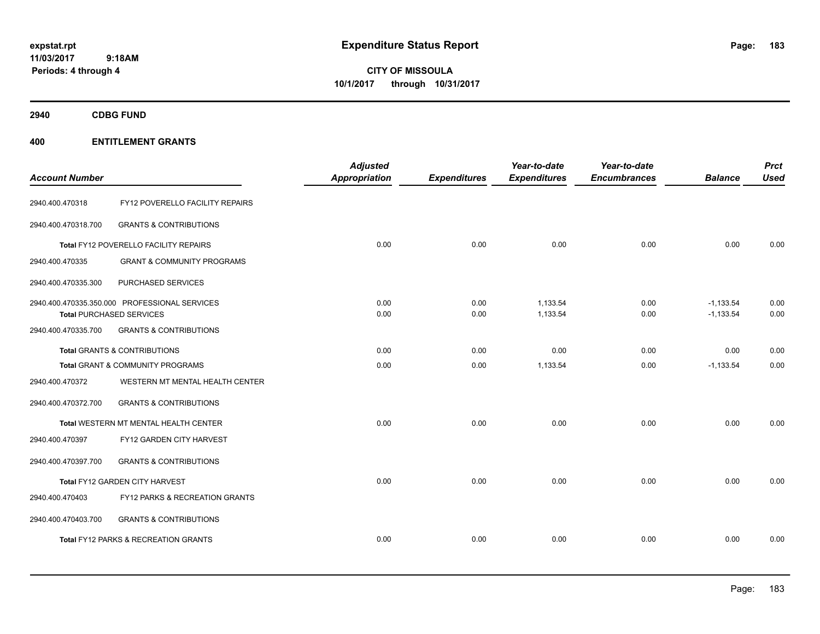**CITY OF MISSOULA 10/1/2017 through 10/31/2017**

**2940 CDBG FUND**

| <b>Account Number</b> |                                               | <b>Adjusted</b><br>Appropriation | <b>Expenditures</b> | Year-to-date<br><b>Expenditures</b> | Year-to-date<br><b>Encumbrances</b> | <b>Balance</b> | <b>Prct</b><br><b>Used</b> |
|-----------------------|-----------------------------------------------|----------------------------------|---------------------|-------------------------------------|-------------------------------------|----------------|----------------------------|
| 2940.400.470318       | FY12 POVERELLO FACILITY REPAIRS               |                                  |                     |                                     |                                     |                |                            |
| 2940.400.470318.700   | <b>GRANTS &amp; CONTRIBUTIONS</b>             |                                  |                     |                                     |                                     |                |                            |
|                       | Total FY12 POVERELLO FACILITY REPAIRS         | 0.00                             | 0.00                | 0.00                                | 0.00                                | 0.00           | 0.00                       |
| 2940.400.470335       | <b>GRANT &amp; COMMUNITY PROGRAMS</b>         |                                  |                     |                                     |                                     |                |                            |
| 2940.400.470335.300   | PURCHASED SERVICES                            |                                  |                     |                                     |                                     |                |                            |
|                       | 2940.400.470335.350.000 PROFESSIONAL SERVICES | 0.00                             | 0.00                | 1,133.54                            | 0.00                                | $-1,133.54$    | 0.00                       |
|                       | <b>Total PURCHASED SERVICES</b>               | 0.00                             | 0.00                | 1,133.54                            | 0.00                                | $-1,133.54$    | 0.00                       |
| 2940.400.470335.700   | <b>GRANTS &amp; CONTRIBUTIONS</b>             |                                  |                     |                                     |                                     |                |                            |
|                       | <b>Total GRANTS &amp; CONTRIBUTIONS</b>       | 0.00                             | 0.00                | 0.00                                | 0.00                                | 0.00           | 0.00                       |
|                       | Total GRANT & COMMUNITY PROGRAMS              | 0.00                             | 0.00                | 1,133.54                            | 0.00                                | $-1,133.54$    | 0.00                       |
| 2940.400.470372       | WESTERN MT MENTAL HEALTH CENTER               |                                  |                     |                                     |                                     |                |                            |
| 2940.400.470372.700   | <b>GRANTS &amp; CONTRIBUTIONS</b>             |                                  |                     |                                     |                                     |                |                            |
|                       | Total WESTERN MT MENTAL HEALTH CENTER         | 0.00                             | 0.00                | 0.00                                | 0.00                                | 0.00           | 0.00                       |
| 2940.400.470397       | FY12 GARDEN CITY HARVEST                      |                                  |                     |                                     |                                     |                |                            |
| 2940.400.470397.700   | <b>GRANTS &amp; CONTRIBUTIONS</b>             |                                  |                     |                                     |                                     |                |                            |
|                       | Total FY12 GARDEN CITY HARVEST                | 0.00                             | 0.00                | 0.00                                | 0.00                                | 0.00           | 0.00                       |
| 2940.400.470403       | FY12 PARKS & RECREATION GRANTS                |                                  |                     |                                     |                                     |                |                            |
| 2940.400.470403.700   | <b>GRANTS &amp; CONTRIBUTIONS</b>             |                                  |                     |                                     |                                     |                |                            |
|                       | Total FY12 PARKS & RECREATION GRANTS          | 0.00                             | 0.00                | 0.00                                | 0.00                                | 0.00           | 0.00                       |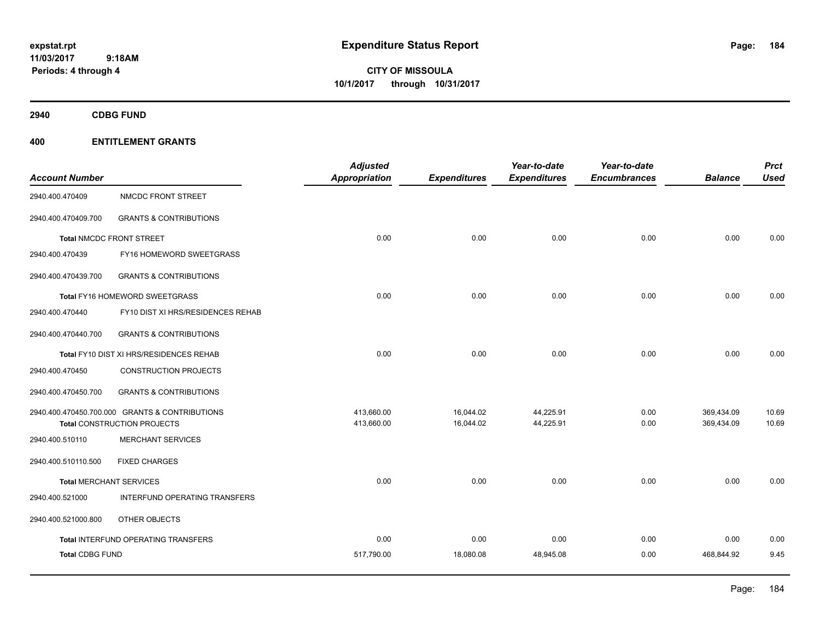**CITY OF MISSOULA 10/1/2017 through 10/31/2017**

**2940 CDBG FUND**

|                        |                                                | <b>Adjusted</b>      |                     | Year-to-date        | Year-to-date        |                | <b>Prct</b> |
|------------------------|------------------------------------------------|----------------------|---------------------|---------------------|---------------------|----------------|-------------|
| <b>Account Number</b>  |                                                | <b>Appropriation</b> | <b>Expenditures</b> | <b>Expenditures</b> | <b>Encumbrances</b> | <b>Balance</b> | <b>Used</b> |
| 2940.400.470409        | NMCDC FRONT STREET                             |                      |                     |                     |                     |                |             |
| 2940.400.470409.700    | <b>GRANTS &amp; CONTRIBUTIONS</b>              |                      |                     |                     |                     |                |             |
|                        | <b>Total NMCDC FRONT STREET</b>                | 0.00                 | 0.00                | 0.00                | 0.00                | 0.00           | 0.00        |
| 2940.400.470439        | FY16 HOMEWORD SWEETGRASS                       |                      |                     |                     |                     |                |             |
| 2940.400.470439.700    | <b>GRANTS &amp; CONTRIBUTIONS</b>              |                      |                     |                     |                     |                |             |
|                        | Total FY16 HOMEWORD SWEETGRASS                 | 0.00                 | 0.00                | 0.00                | 0.00                | 0.00           | 0.00        |
| 2940.400.470440        | FY10 DIST XI HRS/RESIDENCES REHAB              |                      |                     |                     |                     |                |             |
| 2940.400.470440.700    | <b>GRANTS &amp; CONTRIBUTIONS</b>              |                      |                     |                     |                     |                |             |
|                        | Total FY10 DIST XI HRS/RESIDENCES REHAB        | 0.00                 | 0.00                | 0.00                | 0.00                | 0.00           | 0.00        |
| 2940.400.470450        | <b>CONSTRUCTION PROJECTS</b>                   |                      |                     |                     |                     |                |             |
| 2940.400.470450.700    | <b>GRANTS &amp; CONTRIBUTIONS</b>              |                      |                     |                     |                     |                |             |
|                        | 2940.400.470450.700.000 GRANTS & CONTRIBUTIONS | 413,660.00           | 16,044.02           | 44,225.91           | 0.00                | 369,434.09     | 10.69       |
|                        | <b>Total CONSTRUCTION PROJECTS</b>             | 413,660.00           | 16,044.02           | 44,225.91           | 0.00                | 369,434.09     | 10.69       |
| 2940.400.510110        | <b>MERCHANT SERVICES</b>                       |                      |                     |                     |                     |                |             |
| 2940.400.510110.500    | <b>FIXED CHARGES</b>                           |                      |                     |                     |                     |                |             |
|                        | <b>Total MERCHANT SERVICES</b>                 | 0.00                 | 0.00                | 0.00                | 0.00                | 0.00           | 0.00        |
| 2940.400.521000        | INTERFUND OPERATING TRANSFERS                  |                      |                     |                     |                     |                |             |
| 2940.400.521000.800    | OTHER OBJECTS                                  |                      |                     |                     |                     |                |             |
|                        | <b>Total INTERFUND OPERATING TRANSFERS</b>     | 0.00                 | 0.00                | 0.00                | 0.00                | 0.00           | 0.00        |
| <b>Total CDBG FUND</b> |                                                | 517,790.00           | 18,080.08           | 48,945.08           | 0.00                | 468,844.92     | 9.45        |
|                        |                                                |                      |                     |                     |                     |                |             |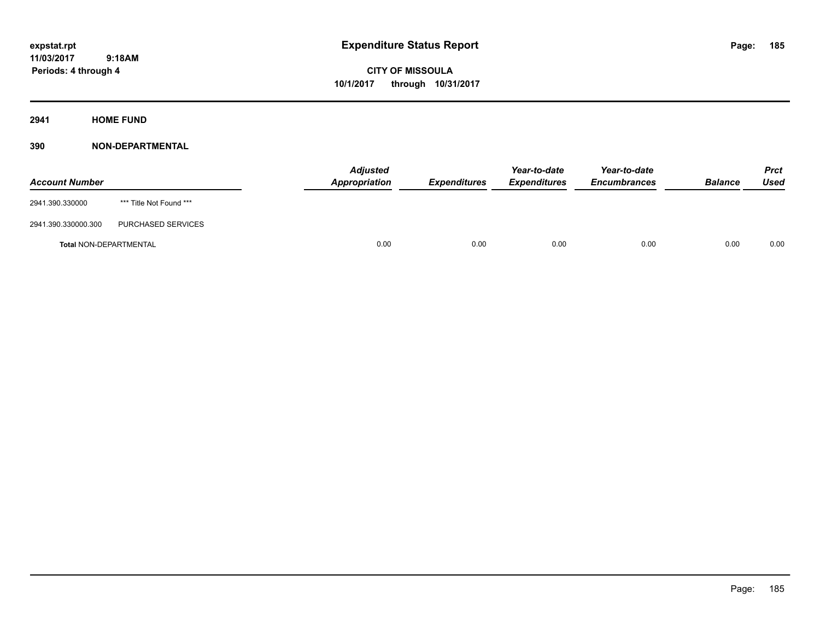**2941 HOME FUND**

| <b>Account Number</b>         |                         | <b>Adjusted</b><br>Appropriation | <b>Expenditures</b> | Year-to-date<br><b>Expenditures</b> | Year-to-date<br><b>Encumbrances</b> | <b>Balance</b> | <b>Prct</b><br>Used |
|-------------------------------|-------------------------|----------------------------------|---------------------|-------------------------------------|-------------------------------------|----------------|---------------------|
| 2941.390.330000               | *** Title Not Found *** |                                  |                     |                                     |                                     |                |                     |
| 2941.390.330000.300           | PURCHASED SERVICES      |                                  |                     |                                     |                                     |                |                     |
| <b>Total NON-DEPARTMENTAL</b> |                         | 0.00                             | 0.00                | 0.00                                | 0.00                                | 0.00           | 0.00                |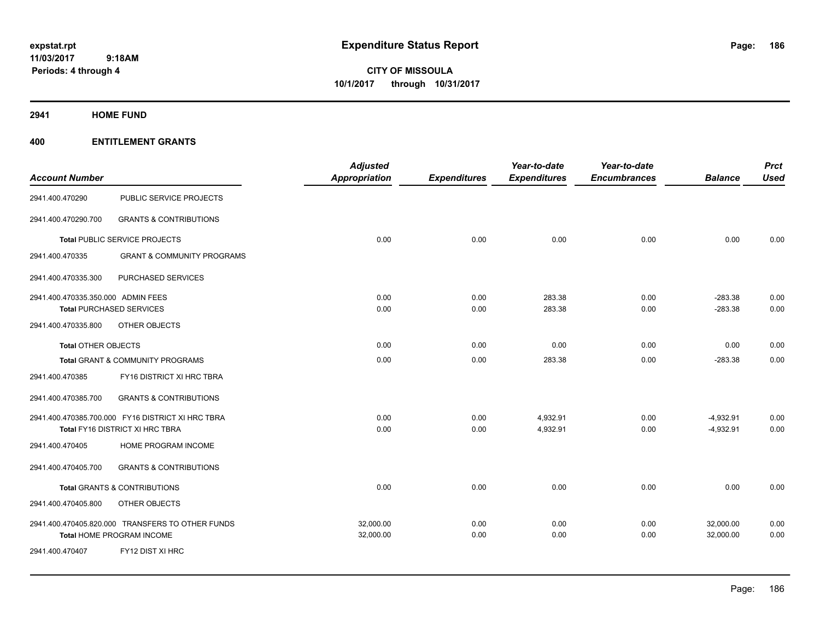**CITY OF MISSOULA 10/1/2017 through 10/31/2017**

**2941 HOME FUND**

| <b>Account Number</b>              |                                                   | <b>Adjusted</b><br>Appropriation | <b>Expenditures</b> | Year-to-date<br><b>Expenditures</b> | Year-to-date<br><b>Encumbrances</b> | <b>Balance</b> | <b>Prct</b><br><b>Used</b> |
|------------------------------------|---------------------------------------------------|----------------------------------|---------------------|-------------------------------------|-------------------------------------|----------------|----------------------------|
| 2941.400.470290                    | PUBLIC SERVICE PROJECTS                           |                                  |                     |                                     |                                     |                |                            |
| 2941.400.470290.700                | <b>GRANTS &amp; CONTRIBUTIONS</b>                 |                                  |                     |                                     |                                     |                |                            |
|                                    | Total PUBLIC SERVICE PROJECTS                     | 0.00                             | 0.00                | 0.00                                | 0.00                                | 0.00           | 0.00                       |
| 2941.400.470335                    | <b>GRANT &amp; COMMUNITY PROGRAMS</b>             |                                  |                     |                                     |                                     |                |                            |
| 2941.400.470335.300                | PURCHASED SERVICES                                |                                  |                     |                                     |                                     |                |                            |
| 2941.400.470335.350.000 ADMIN FEES |                                                   | 0.00                             | 0.00                | 283.38                              | 0.00                                | $-283.38$      | 0.00                       |
|                                    | <b>Total PURCHASED SERVICES</b>                   | 0.00                             | 0.00                | 283.38                              | 0.00                                | $-283.38$      | 0.00                       |
| 2941.400.470335.800                | OTHER OBJECTS                                     |                                  |                     |                                     |                                     |                |                            |
| <b>Total OTHER OBJECTS</b>         |                                                   | 0.00                             | 0.00                | 0.00                                | 0.00                                | 0.00           | 0.00                       |
|                                    | Total GRANT & COMMUNITY PROGRAMS                  | 0.00                             | 0.00                | 283.38                              | 0.00                                | $-283.38$      | 0.00                       |
| 2941.400.470385                    | FY16 DISTRICT XI HRC TBRA                         |                                  |                     |                                     |                                     |                |                            |
| 2941.400.470385.700                | <b>GRANTS &amp; CONTRIBUTIONS</b>                 |                                  |                     |                                     |                                     |                |                            |
|                                    | 2941.400.470385.700.000 FY16 DISTRICT XI HRC TBRA | 0.00                             | 0.00                | 4,932.91                            | 0.00                                | $-4,932.91$    | 0.00                       |
|                                    | Total FY16 DISTRICT XI HRC TBRA                   | 0.00                             | 0.00                | 4,932.91                            | 0.00                                | $-4,932.91$    | 0.00                       |
| 2941.400.470405                    | HOME PROGRAM INCOME                               |                                  |                     |                                     |                                     |                |                            |
| 2941.400.470405.700                | <b>GRANTS &amp; CONTRIBUTIONS</b>                 |                                  |                     |                                     |                                     |                |                            |
|                                    | <b>Total GRANTS &amp; CONTRIBUTIONS</b>           | 0.00                             | 0.00                | 0.00                                | 0.00                                | 0.00           | 0.00                       |
| 2941.400.470405.800                | OTHER OBJECTS                                     |                                  |                     |                                     |                                     |                |                            |
|                                    | 2941.400.470405.820.000 TRANSFERS TO OTHER FUNDS  | 32,000.00                        | 0.00                | 0.00                                | 0.00                                | 32,000.00      | 0.00                       |
|                                    | Total HOME PROGRAM INCOME                         | 32,000.00                        | 0.00                | 0.00                                | 0.00                                | 32,000.00      | 0.00                       |
| 2941.400.470407                    | FY12 DIST XI HRC                                  |                                  |                     |                                     |                                     |                |                            |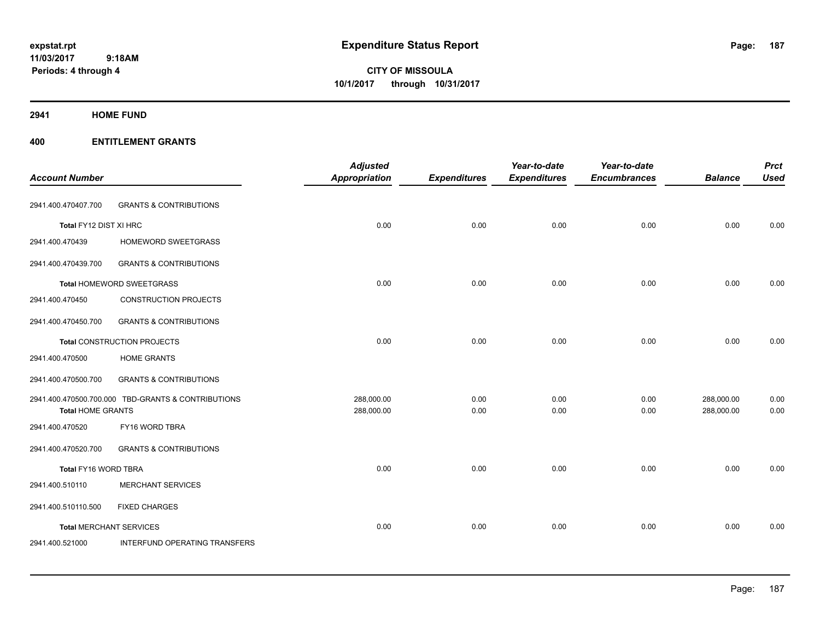**CITY OF MISSOULA 10/1/2017 through 10/31/2017**

**2941 HOME FUND**

|                                |                                                    | <b>Adjusted</b>          |                     | Year-to-date        | Year-to-date        |                          | <b>Prct</b>  |
|--------------------------------|----------------------------------------------------|--------------------------|---------------------|---------------------|---------------------|--------------------------|--------------|
| <b>Account Number</b>          |                                                    | <b>Appropriation</b>     | <b>Expenditures</b> | <b>Expenditures</b> | <b>Encumbrances</b> | <b>Balance</b>           | <b>Used</b>  |
| 2941.400.470407.700            | <b>GRANTS &amp; CONTRIBUTIONS</b>                  |                          |                     |                     |                     |                          |              |
| Total FY12 DIST XI HRC         |                                                    | 0.00                     | 0.00                | 0.00                | 0.00                | 0.00                     | 0.00         |
| 2941.400.470439                | HOMEWORD SWEETGRASS                                |                          |                     |                     |                     |                          |              |
| 2941.400.470439.700            | <b>GRANTS &amp; CONTRIBUTIONS</b>                  |                          |                     |                     |                     |                          |              |
|                                | Total HOMEWORD SWEETGRASS                          | 0.00                     | 0.00                | 0.00                | 0.00                | 0.00                     | 0.00         |
| 2941.400.470450                | <b>CONSTRUCTION PROJECTS</b>                       |                          |                     |                     |                     |                          |              |
| 2941.400.470450.700            | <b>GRANTS &amp; CONTRIBUTIONS</b>                  |                          |                     |                     |                     |                          |              |
|                                | Total CONSTRUCTION PROJECTS                        | 0.00                     | 0.00                | 0.00                | 0.00                | 0.00                     | 0.00         |
| 2941.400.470500                | <b>HOME GRANTS</b>                                 |                          |                     |                     |                     |                          |              |
| 2941.400.470500.700            | <b>GRANTS &amp; CONTRIBUTIONS</b>                  |                          |                     |                     |                     |                          |              |
| <b>Total HOME GRANTS</b>       | 2941.400.470500.700.000 TBD-GRANTS & CONTRIBUTIONS | 288,000.00<br>288,000.00 | 0.00<br>0.00        | 0.00<br>0.00        | 0.00<br>0.00        | 288,000.00<br>288,000.00 | 0.00<br>0.00 |
| 2941.400.470520                | FY16 WORD TBRA                                     |                          |                     |                     |                     |                          |              |
| 2941.400.470520.700            | <b>GRANTS &amp; CONTRIBUTIONS</b>                  |                          |                     |                     |                     |                          |              |
| Total FY16 WORD TBRA           |                                                    | 0.00                     | 0.00                | 0.00                | 0.00                | 0.00                     | 0.00         |
| 2941.400.510110                | <b>MERCHANT SERVICES</b>                           |                          |                     |                     |                     |                          |              |
| 2941.400.510110.500            | <b>FIXED CHARGES</b>                               |                          |                     |                     |                     |                          |              |
| <b>Total MERCHANT SERVICES</b> |                                                    | 0.00                     | 0.00                | 0.00                | 0.00                | 0.00                     | 0.00         |
| 2941.400.521000                | <b>INTERFUND OPERATING TRANSFERS</b>               |                          |                     |                     |                     |                          |              |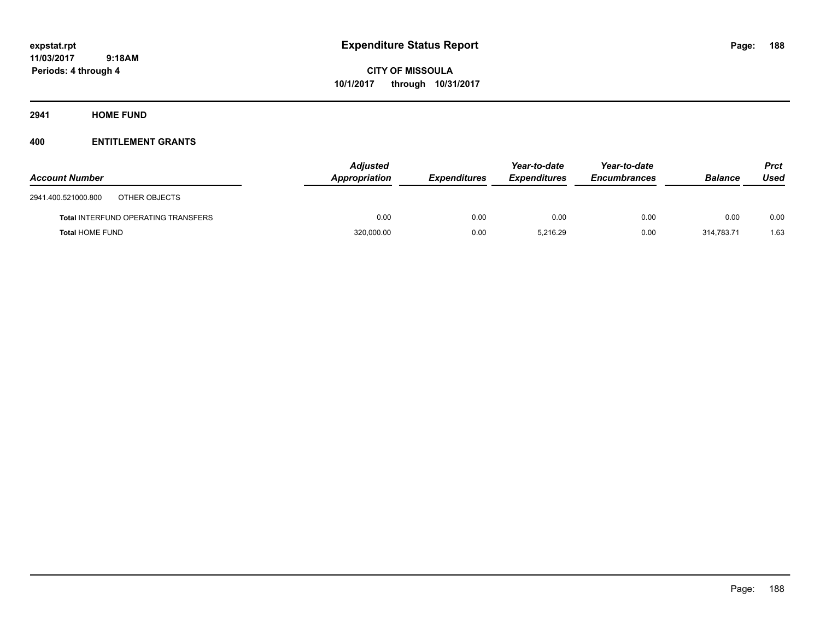**CITY OF MISSOULA 10/1/2017 through 10/31/2017**

**2941 HOME FUND**

| <b>Account Number</b>                      | <b>Adjusted</b><br>Appropriation | <b>Expenditures</b> | Year-to-date<br><b>Expenditures</b> | Year-to-date<br>Encumbrances | <b>Balance</b> | <b>Prct</b><br>Used |
|--------------------------------------------|----------------------------------|---------------------|-------------------------------------|------------------------------|----------------|---------------------|
| 2941.400.521000.800<br>OTHER OBJECTS       |                                  |                     |                                     |                              |                |                     |
| <b>Total INTERFUND OPERATING TRANSFERS</b> | 0.00                             | 0.00                | 0.00                                | 0.00                         | 0.00           | 0.00                |
| <b>Total HOME FUND</b>                     | 320,000.00                       | 0.00                | 5.216.29                            | 0.00                         | 314.783.71     | 1.63                |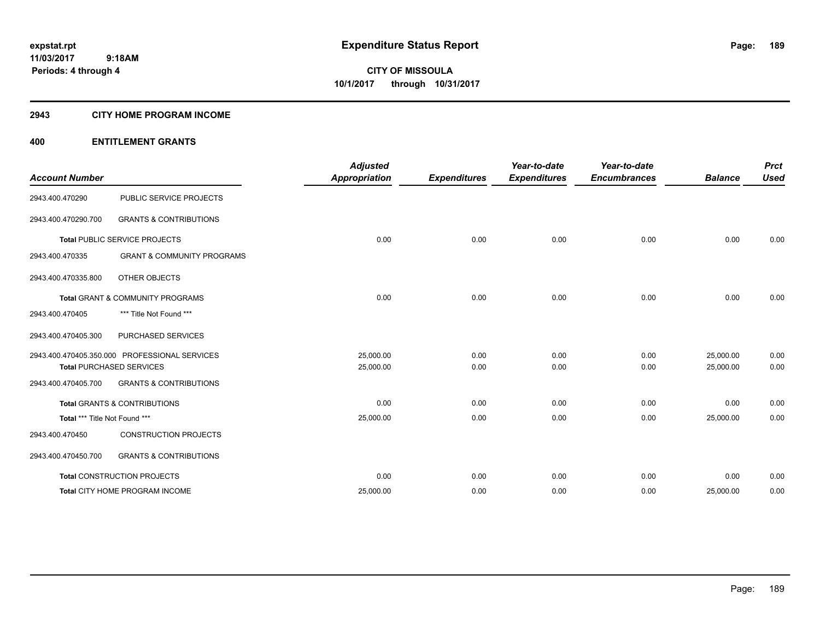#### **2943 CITY HOME PROGRAM INCOME**

| <b>Account Number</b>         |                                               | <b>Adjusted</b><br><b>Appropriation</b> | <b>Expenditures</b> | Year-to-date<br><b>Expenditures</b> | Year-to-date<br><b>Encumbrances</b> | <b>Balance</b> | <b>Prct</b><br><b>Used</b> |
|-------------------------------|-----------------------------------------------|-----------------------------------------|---------------------|-------------------------------------|-------------------------------------|----------------|----------------------------|
| 2943.400.470290               | PUBLIC SERVICE PROJECTS                       |                                         |                     |                                     |                                     |                |                            |
| 2943.400.470290.700           | <b>GRANTS &amp; CONTRIBUTIONS</b>             |                                         |                     |                                     |                                     |                |                            |
|                               | Total PUBLIC SERVICE PROJECTS                 | 0.00                                    | 0.00                | 0.00                                | 0.00                                | 0.00           | 0.00                       |
| 2943.400.470335               | <b>GRANT &amp; COMMUNITY PROGRAMS</b>         |                                         |                     |                                     |                                     |                |                            |
| 2943.400.470335.800           | OTHER OBJECTS                                 |                                         |                     |                                     |                                     |                |                            |
|                               | Total GRANT & COMMUNITY PROGRAMS              | 0.00                                    | 0.00                | 0.00                                | 0.00                                | 0.00           | 0.00                       |
| 2943.400.470405               | *** Title Not Found ***                       |                                         |                     |                                     |                                     |                |                            |
| 2943.400.470405.300           | PURCHASED SERVICES                            |                                         |                     |                                     |                                     |                |                            |
|                               | 2943.400.470405.350.000 PROFESSIONAL SERVICES | 25,000.00                               | 0.00                | 0.00                                | 0.00                                | 25,000.00      | 0.00                       |
|                               | <b>Total PURCHASED SERVICES</b>               | 25,000.00                               | 0.00                | 0.00                                | 0.00                                | 25,000.00      | 0.00                       |
| 2943.400.470405.700           | <b>GRANTS &amp; CONTRIBUTIONS</b>             |                                         |                     |                                     |                                     |                |                            |
|                               | <b>Total GRANTS &amp; CONTRIBUTIONS</b>       | 0.00                                    | 0.00                | 0.00                                | 0.00                                | 0.00           | 0.00                       |
| Total *** Title Not Found *** |                                               | 25,000.00                               | 0.00                | 0.00                                | 0.00                                | 25,000.00      | 0.00                       |
| 2943.400.470450               | <b>CONSTRUCTION PROJECTS</b>                  |                                         |                     |                                     |                                     |                |                            |
| 2943.400.470450.700           | <b>GRANTS &amp; CONTRIBUTIONS</b>             |                                         |                     |                                     |                                     |                |                            |
|                               | Total CONSTRUCTION PROJECTS                   | 0.00                                    | 0.00                | 0.00                                | 0.00                                | 0.00           | 0.00                       |
|                               | <b>Total CITY HOME PROGRAM INCOME</b>         | 25,000.00                               | 0.00                | 0.00                                | 0.00                                | 25,000.00      | 0.00                       |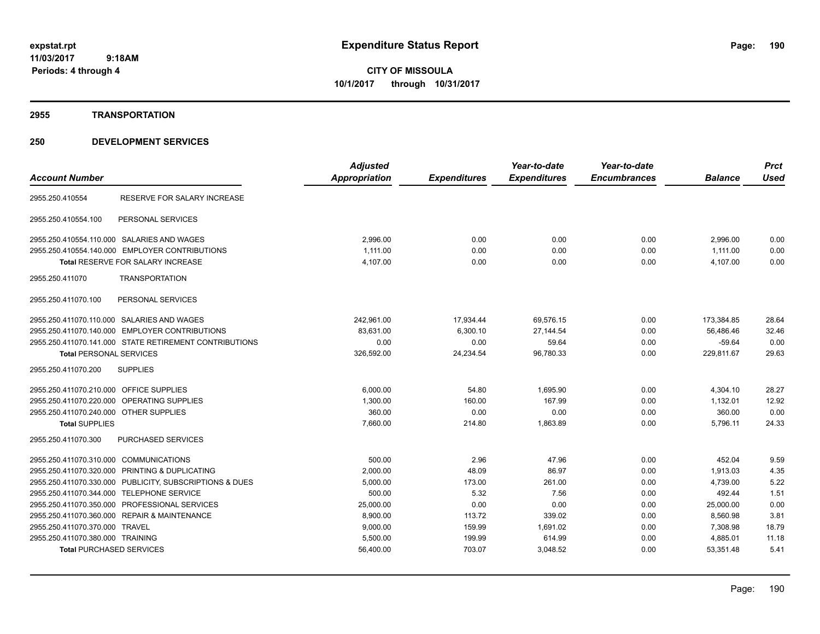**CITY OF MISSOULA 10/1/2017 through 10/31/2017**

#### **2955 TRANSPORTATION**

|                                                |                                                         | <b>Adjusted</b> |                     | Year-to-date        | Year-to-date        |                | <b>Prct</b> |
|------------------------------------------------|---------------------------------------------------------|-----------------|---------------------|---------------------|---------------------|----------------|-------------|
| <b>Account Number</b>                          |                                                         | Appropriation   | <b>Expenditures</b> | <b>Expenditures</b> | <b>Encumbrances</b> | <b>Balance</b> | <b>Used</b> |
| 2955.250.410554                                | RESERVE FOR SALARY INCREASE                             |                 |                     |                     |                     |                |             |
| 2955.250.410554.100                            | PERSONAL SERVICES                                       |                 |                     |                     |                     |                |             |
| 2955.250.410554.110.000 SALARIES AND WAGES     |                                                         | 2,996.00        | 0.00                | 0.00                | 0.00                | 2,996.00       | 0.00        |
|                                                | 2955.250.410554.140.000 EMPLOYER CONTRIBUTIONS          | 1.111.00        | 0.00                | 0.00                | 0.00                | 1,111.00       | 0.00        |
|                                                | <b>Total RESERVE FOR SALARY INCREASE</b>                | 4,107.00        | 0.00                | 0.00                | 0.00                | 4,107.00       | 0.00        |
| 2955.250.411070                                | <b>TRANSPORTATION</b>                                   |                 |                     |                     |                     |                |             |
| 2955.250.411070.100                            | PERSONAL SERVICES                                       |                 |                     |                     |                     |                |             |
| 2955.250.411070.110.000 SALARIES AND WAGES     |                                                         | 242,961.00      | 17,934.44           | 69,576.15           | 0.00                | 173,384.85     | 28.64       |
|                                                | 2955.250.411070.140.000 EMPLOYER CONTRIBUTIONS          | 83,631.00       | 6,300.10            | 27,144.54           | 0.00                | 56,486.46      | 32.46       |
|                                                | 2955.250.411070.141.000 STATE RETIREMENT CONTRIBUTIONS  | 0.00            | 0.00                | 59.64               | 0.00                | $-59.64$       | 0.00        |
| <b>Total PERSONAL SERVICES</b>                 |                                                         | 326,592.00      | 24,234.54           | 96,780.33           | 0.00                | 229,811.67     | 29.63       |
| 2955.250.411070.200                            | <b>SUPPLIES</b>                                         |                 |                     |                     |                     |                |             |
| 2955.250.411070.210.000 OFFICE SUPPLIES        |                                                         | 6,000.00        | 54.80               | 1,695.90            | 0.00                | 4,304.10       | 28.27       |
| 2955.250.411070.220.000 OPERATING SUPPLIES     |                                                         | 1,300.00        | 160.00              | 167.99              | 0.00                | 1,132.01       | 12.92       |
| 2955.250.411070.240.000 OTHER SUPPLIES         |                                                         | 360.00          | 0.00                | 0.00                | 0.00                | 360.00         | 0.00        |
| <b>Total SUPPLIES</b>                          |                                                         | 7,660.00        | 214.80              | 1,863.89            | 0.00                | 5,796.11       | 24.33       |
| 2955.250.411070.300                            | <b>PURCHASED SERVICES</b>                               |                 |                     |                     |                     |                |             |
| 2955.250.411070.310.000 COMMUNICATIONS         |                                                         | 500.00          | 2.96                | 47.96               | 0.00                | 452.04         | 9.59        |
| 2955.250.411070.320.000 PRINTING & DUPLICATING |                                                         | 2,000.00        | 48.09               | 86.97               | 0.00                | 1,913.03       | 4.35        |
|                                                | 2955.250.411070.330.000 PUBLICITY, SUBSCRIPTIONS & DUES | 5,000.00        | 173.00              | 261.00              | 0.00                | 4,739.00       | 5.22        |
| 2955.250.411070.344.000 TELEPHONE SERVICE      |                                                         | 500.00          | 5.32                | 7.56                | 0.00                | 492.44         | 1.51        |
|                                                | 2955.250.411070.350.000 PROFESSIONAL SERVICES           | 25,000.00       | 0.00                | 0.00                | 0.00                | 25,000.00      | 0.00        |
| 2955.250.411070.360.000 REPAIR & MAINTENANCE   |                                                         | 8,900.00        | 113.72              | 339.02              | 0.00                | 8,560.98       | 3.81        |
| 2955.250.411070.370.000 TRAVEL                 |                                                         | 9,000.00        | 159.99              | 1,691.02            | 0.00                | 7,308.98       | 18.79       |
| 2955.250.411070.380.000 TRAINING               |                                                         | 5,500.00        | 199.99              | 614.99              | 0.00                | 4,885.01       | 11.18       |
| <b>Total PURCHASED SERVICES</b>                |                                                         | 56,400.00       | 703.07              | 3,048.52            | 0.00                | 53,351.48      | 5.41        |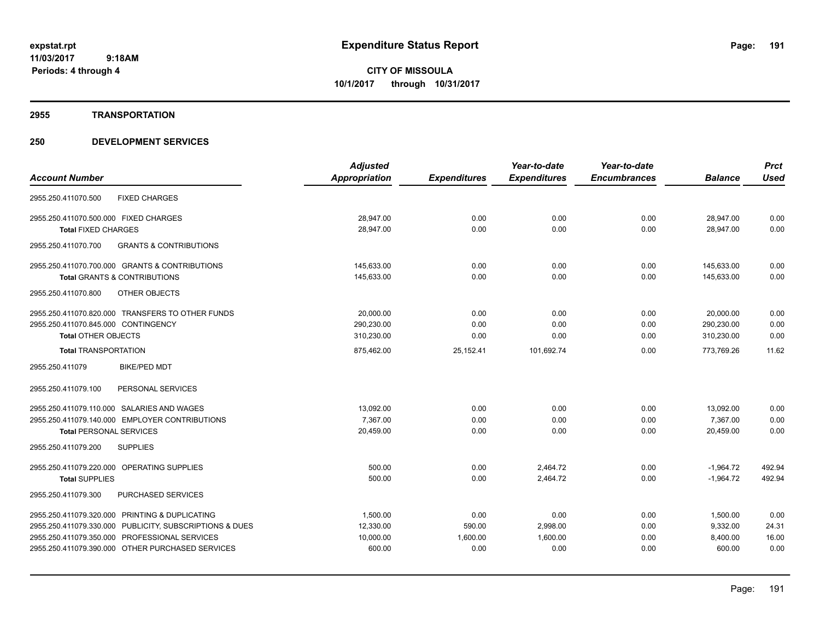#### **2955 TRANSPORTATION**

|                                                          | <b>Adjusted</b> |                     | Year-to-date        | Year-to-date        |                | <b>Prct</b> |
|----------------------------------------------------------|-----------------|---------------------|---------------------|---------------------|----------------|-------------|
| <b>Account Number</b>                                    | Appropriation   | <b>Expenditures</b> | <b>Expenditures</b> | <b>Encumbrances</b> | <b>Balance</b> | <b>Used</b> |
| <b>FIXED CHARGES</b><br>2955.250.411070.500              |                 |                     |                     |                     |                |             |
| 2955.250.411070.500.000 FIXED CHARGES                    | 28.947.00       | 0.00                | 0.00                | 0.00                | 28.947.00      | 0.00        |
| <b>Total FIXED CHARGES</b>                               | 28,947.00       | 0.00                | 0.00                | 0.00                | 28,947.00      | 0.00        |
| <b>GRANTS &amp; CONTRIBUTIONS</b><br>2955.250.411070.700 |                 |                     |                     |                     |                |             |
| 2955.250.411070.700.000 GRANTS & CONTRIBUTIONS           | 145,633.00      | 0.00                | 0.00                | 0.00                | 145,633.00     | 0.00        |
| Total GRANTS & CONTRIBUTIONS                             | 145,633.00      | 0.00                | 0.00                | 0.00                | 145.633.00     | 0.00        |
| 2955.250.411070.800<br><b>OTHER OBJECTS</b>              |                 |                     |                     |                     |                |             |
| 2955.250.411070.820.000 TRANSFERS TO OTHER FUNDS         | 20,000.00       | 0.00                | 0.00                | 0.00                | 20,000.00      | 0.00        |
| 2955.250.411070.845.000 CONTINGENCY                      | 290,230.00      | 0.00                | 0.00                | 0.00                | 290,230.00     | 0.00        |
| <b>Total OTHER OBJECTS</b>                               | 310,230.00      | 0.00                | 0.00                | 0.00                | 310,230.00     | 0.00        |
| <b>Total TRANSPORTATION</b>                              | 875,462.00      | 25,152.41           | 101,692.74          | 0.00                | 773,769.26     | 11.62       |
| 2955.250.411079<br><b>BIKE/PED MDT</b>                   |                 |                     |                     |                     |                |             |
| 2955.250.411079.100<br>PERSONAL SERVICES                 |                 |                     |                     |                     |                |             |
| 2955.250.411079.110.000 SALARIES AND WAGES               | 13.092.00       | 0.00                | 0.00                | 0.00                | 13.092.00      | 0.00        |
| 2955.250.411079.140.000 EMPLOYER CONTRIBUTIONS           | 7,367.00        | 0.00                | 0.00                | 0.00                | 7,367.00       | 0.00        |
| <b>Total PERSONAL SERVICES</b>                           | 20,459.00       | 0.00                | 0.00                | 0.00                | 20,459.00      | 0.00        |
| 2955.250.411079.200<br><b>SUPPLIES</b>                   |                 |                     |                     |                     |                |             |
| 2955.250.411079.220.000 OPERATING SUPPLIES               | 500.00          | 0.00                | 2.464.72            | 0.00                | $-1.964.72$    | 492.94      |
| <b>Total SUPPLIES</b>                                    | 500.00          | 0.00                | 2,464.72            | 0.00                | $-1,964.72$    | 492.94      |
| PURCHASED SERVICES<br>2955.250.411079.300                |                 |                     |                     |                     |                |             |
| 2955.250.411079.320.000 PRINTING & DUPLICATING           | 1.500.00        | 0.00                | 0.00                | 0.00                | 1,500.00       | 0.00        |
| 2955.250.411079.330.000 PUBLICITY, SUBSCRIPTIONS & DUES  | 12,330.00       | 590.00              | 2,998.00            | 0.00                | 9,332.00       | 24.31       |
| 2955.250.411079.350.000 PROFESSIONAL SERVICES            | 10,000.00       | 1,600.00            | 1,600.00            | 0.00                | 8,400.00       | 16.00       |
| 2955.250.411079.390.000 OTHER PURCHASED SERVICES         | 600.00          | 0.00                | 0.00                | 0.00                | 600.00         | 0.00        |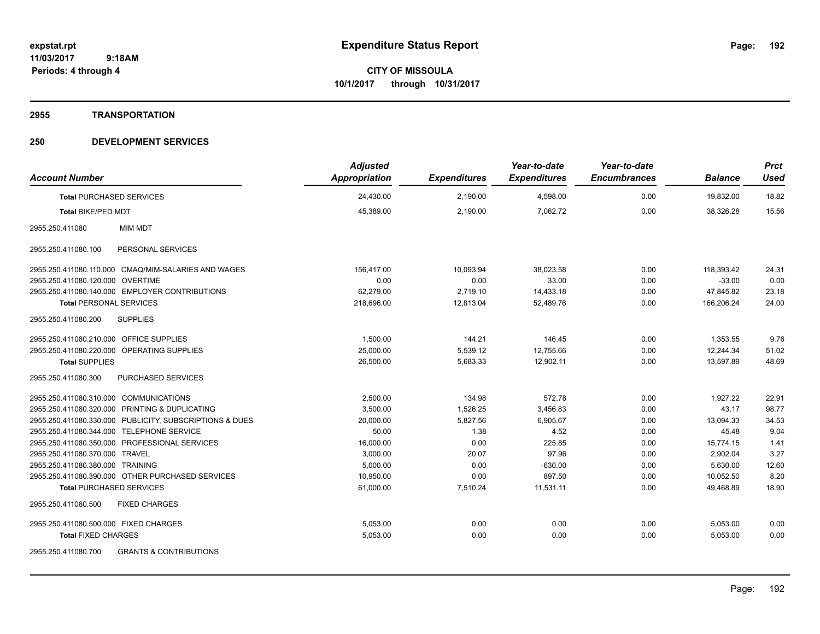**Periods: 4 through 4**

**CITY OF MISSOULA 10/1/2017 through 10/31/2017**

#### **2955 TRANSPORTATION**

| <b>Account Number</b>                                    | <b>Adjusted</b><br><b>Appropriation</b> | <b>Expenditures</b> | Year-to-date<br><b>Expenditures</b> | Year-to-date<br><b>Encumbrances</b> | <b>Balance</b> | <b>Prct</b><br><b>Used</b> |
|----------------------------------------------------------|-----------------------------------------|---------------------|-------------------------------------|-------------------------------------|----------------|----------------------------|
| <b>Total PURCHASED SERVICES</b>                          | 24,430.00                               | 2,190.00            | 4,598.00                            | 0.00                                | 19,832.00      | 18.82                      |
| <b>Total BIKE/PED MDT</b>                                | 45,389.00                               | 2,190.00            | 7,062.72                            | 0.00                                | 38,326.28      | 15.56                      |
| 2955.250.411080<br><b>MIM MDT</b>                        |                                         |                     |                                     |                                     |                |                            |
| 2955.250.411080.100<br>PERSONAL SERVICES                 |                                         |                     |                                     |                                     |                |                            |
| 2955.250.411080.110.000 CMAQ/MIM-SALARIES AND WAGES      | 156,417.00                              | 10,093.94           | 38,023.58                           | 0.00                                | 118,393.42     | 24.31                      |
| 2955.250.411080.120.000 OVERTIME                         | 0.00                                    | 0.00                | 33.00                               | 0.00                                | $-33.00$       | 0.00                       |
| 2955.250.411080.140.000 EMPLOYER CONTRIBUTIONS           | 62,279.00                               | 2,719.10            | 14,433.18                           | 0.00                                | 47,845.82      | 23.18                      |
| <b>Total PERSONAL SERVICES</b>                           | 218,696.00                              | 12,813.04           | 52,489.76                           | 0.00                                | 166,206.24     | 24.00                      |
| 2955.250.411080.200<br><b>SUPPLIES</b>                   |                                         |                     |                                     |                                     |                |                            |
| 2955.250.411080.210.000 OFFICE SUPPLIES                  | 1,500.00                                | 144.21              | 146.45                              | 0.00                                | 1,353.55       | 9.76                       |
| 2955.250.411080.220.000 OPERATING SUPPLIES               | 25,000.00                               | 5,539.12            | 12,755.66                           | 0.00                                | 12,244.34      | 51.02                      |
| <b>Total SUPPLIES</b>                                    | 26,500.00                               | 5,683.33            | 12,902.11                           | 0.00                                | 13,597.89      | 48.69                      |
| <b>PURCHASED SERVICES</b><br>2955.250.411080.300         |                                         |                     |                                     |                                     |                |                            |
| 2955.250.411080.310.000 COMMUNICATIONS                   | 2,500.00                                | 134.98              | 572.78                              | 0.00                                | 1,927.22       | 22.91                      |
| 2955.250.411080.320.000 PRINTING & DUPLICATING           | 3,500.00                                | 1,526.25            | 3,456.83                            | 0.00                                | 43.17          | 98.77                      |
| 2955.250.411080.330.000 PUBLICITY, SUBSCRIPTIONS & DUES  | 20,000.00                               | 5,827.56            | 6,905.67                            | 0.00                                | 13,094.33      | 34.53                      |
| 2955.250.411080.344.000 TELEPHONE SERVICE                | 50.00                                   | 1.38                | 4.52                                | 0.00                                | 45.48          | 9.04                       |
| 2955.250.411080.350.000 PROFESSIONAL SERVICES            | 16,000.00                               | 0.00                | 225.85                              | 0.00                                | 15,774.15      | 1.41                       |
| 2955.250.411080.370.000 TRAVEL                           | 3,000.00                                | 20.07               | 97.96                               | 0.00                                | 2,902.04       | 3.27                       |
| 2955.250.411080.380.000 TRAINING                         | 5,000.00                                | 0.00                | $-630.00$                           | 0.00                                | 5,630.00       | 12.60                      |
| 2955.250.411080.390.000 OTHER PURCHASED SERVICES         | 10,950.00                               | 0.00                | 897.50                              | 0.00                                | 10.052.50      | 8.20                       |
| <b>Total PURCHASED SERVICES</b>                          | 61,000.00                               | 7,510.24            | 11,531.11                           | 0.00                                | 49.468.89      | 18.90                      |
| <b>FIXED CHARGES</b><br>2955.250.411080.500              |                                         |                     |                                     |                                     |                |                            |
| 2955.250.411080.500.000 FIXED CHARGES                    | 5,053.00                                | 0.00                | 0.00                                | 0.00                                | 5,053.00       | 0.00                       |
| <b>Total FIXED CHARGES</b>                               | 5,053.00                                | 0.00                | 0.00                                | 0.00                                | 5,053.00       | 0.00                       |
| <b>GRANTS &amp; CONTRIBUTIONS</b><br>2955.250.411080.700 |                                         |                     |                                     |                                     |                |                            |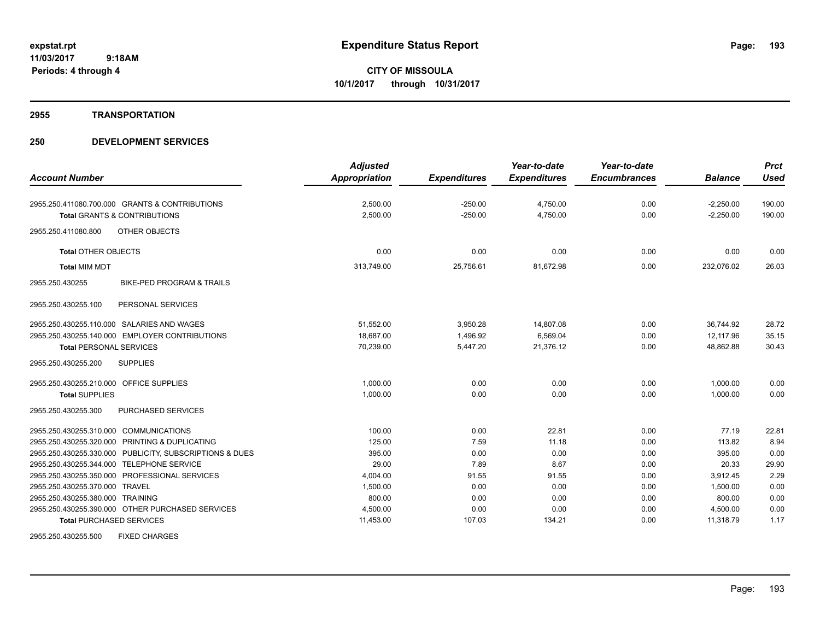#### **2955 TRANSPORTATION**

# **250 DEVELOPMENT SERVICES**

|                                                         | <b>Adjusted</b> |                     | Year-to-date        | Year-to-date        |                | <b>Prct</b> |
|---------------------------------------------------------|-----------------|---------------------|---------------------|---------------------|----------------|-------------|
| <b>Account Number</b>                                   | Appropriation   | <b>Expenditures</b> | <b>Expenditures</b> | <b>Encumbrances</b> | <b>Balance</b> | <b>Used</b> |
| 2955.250.411080.700.000 GRANTS & CONTRIBUTIONS          | 2,500.00        | $-250.00$           | 4,750.00            | 0.00                | $-2,250.00$    | 190.00      |
| <b>Total GRANTS &amp; CONTRIBUTIONS</b>                 | 2,500.00        | $-250.00$           | 4,750.00            | 0.00                | $-2,250.00$    | 190.00      |
| 2955.250.411080.800<br><b>OTHER OBJECTS</b>             |                 |                     |                     |                     |                |             |
| <b>Total OTHER OBJECTS</b>                              | 0.00            | 0.00                | 0.00                | 0.00                | 0.00           | 0.00        |
| <b>Total MIM MDT</b>                                    | 313,749.00      | 25,756.61           | 81,672.98           | 0.00                | 232,076.02     | 26.03       |
| 2955.250.430255<br><b>BIKE-PED PROGRAM &amp; TRAILS</b> |                 |                     |                     |                     |                |             |
| 2955.250.430255.100<br>PERSONAL SERVICES                |                 |                     |                     |                     |                |             |
| 2955.250.430255.110.000 SALARIES AND WAGES              | 51,552.00       | 3,950.28            | 14,807.08           | 0.00                | 36,744.92      | 28.72       |
| 2955.250.430255.140.000 EMPLOYER CONTRIBUTIONS          | 18,687.00       | 1,496.92            | 6,569.04            | 0.00                | 12,117.96      | 35.15       |
| <b>Total PERSONAL SERVICES</b>                          | 70,239.00       | 5,447.20            | 21,376.12           | 0.00                | 48,862.88      | 30.43       |
| <b>SUPPLIES</b><br>2955.250.430255.200                  |                 |                     |                     |                     |                |             |
| 2955.250.430255.210.000 OFFICE SUPPLIES                 | 1,000.00        | 0.00                | 0.00                | 0.00                | 1,000.00       | 0.00        |
| <b>Total SUPPLIES</b>                                   | 1,000.00        | 0.00                | 0.00                | 0.00                | 1,000.00       | 0.00        |
| 2955.250.430255.300<br>PURCHASED SERVICES               |                 |                     |                     |                     |                |             |
| 2955.250.430255.310.000 COMMUNICATIONS                  | 100.00          | 0.00                | 22.81               | 0.00                | 77.19          | 22.81       |
| 2955.250.430255.320.000 PRINTING & DUPLICATING          | 125.00          | 7.59                | 11.18               | 0.00                | 113.82         | 8.94        |
| 2955.250.430255.330.000 PUBLICITY, SUBSCRIPTIONS & DUES | 395.00          | 0.00                | 0.00                | 0.00                | 395.00         | 0.00        |
| 2955.250.430255.344.000 TELEPHONE SERVICE               | 29.00           | 7.89                | 8.67                | 0.00                | 20.33          | 29.90       |
| 2955.250.430255.350.000 PROFESSIONAL SERVICES           | 4,004.00        | 91.55               | 91.55               | 0.00                | 3.912.45       | 2.29        |
| 2955.250.430255.370.000 TRAVEL                          | 1,500.00        | 0.00                | 0.00                | 0.00                | 1,500.00       | 0.00        |
| 2955.250.430255.380.000 TRAINING                        | 800.00          | 0.00                | 0.00                | 0.00                | 800.00         | 0.00        |
| 2955.250.430255.390.000 OTHER PURCHASED SERVICES        | 4,500.00        | 0.00                | 0.00                | 0.00                | 4,500.00       | 0.00        |
| <b>Total PURCHASED SERVICES</b>                         | 11,453.00       | 107.03              | 134.21              | 0.00                | 11,318.79      | 1.17        |
| <b>FIXED CHARGES</b><br>2955.250.430255.500             |                 |                     |                     |                     |                |             |

Page: 193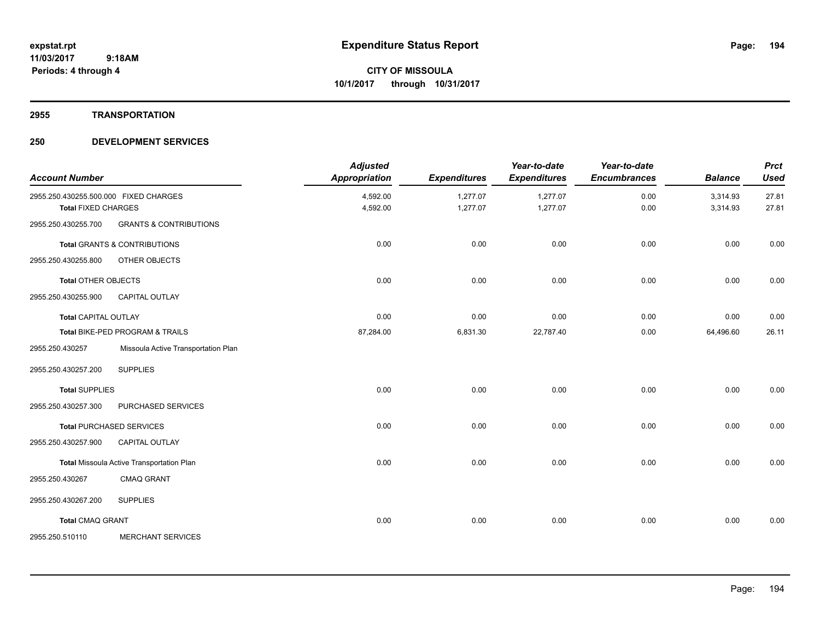#### **2955 TRANSPORTATION**

| <b>Account Number</b>                                               |                                           | <b>Adjusted</b><br><b>Appropriation</b> | <b>Expenditures</b>  | Year-to-date<br><b>Expenditures</b> | Year-to-date<br><b>Encumbrances</b> | <b>Balance</b>       | <b>Prct</b><br><b>Used</b> |
|---------------------------------------------------------------------|-------------------------------------------|-----------------------------------------|----------------------|-------------------------------------|-------------------------------------|----------------------|----------------------------|
| 2955.250.430255.500.000 FIXED CHARGES<br><b>Total FIXED CHARGES</b> |                                           | 4,592.00<br>4,592.00                    | 1,277.07<br>1,277.07 | 1,277.07<br>1,277.07                | 0.00<br>0.00                        | 3,314.93<br>3,314.93 | 27.81<br>27.81             |
| 2955.250.430255.700                                                 | <b>GRANTS &amp; CONTRIBUTIONS</b>         |                                         |                      |                                     |                                     |                      |                            |
|                                                                     | <b>Total GRANTS &amp; CONTRIBUTIONS</b>   | 0.00                                    | 0.00                 | 0.00                                | 0.00                                | 0.00                 | 0.00                       |
| 2955.250.430255.800                                                 | OTHER OBJECTS                             |                                         |                      |                                     |                                     |                      |                            |
| <b>Total OTHER OBJECTS</b>                                          |                                           | 0.00                                    | 0.00                 | 0.00                                | 0.00                                | 0.00                 | 0.00                       |
| 2955.250.430255.900                                                 | <b>CAPITAL OUTLAY</b>                     |                                         |                      |                                     |                                     |                      |                            |
| <b>Total CAPITAL OUTLAY</b>                                         |                                           | 0.00                                    | 0.00                 | 0.00                                | 0.00                                | 0.00                 | 0.00                       |
|                                                                     | Total BIKE-PED PROGRAM & TRAILS           | 87,284.00                               | 6,831.30             | 22,787.40                           | 0.00                                | 64,496.60            | 26.11                      |
| 2955.250.430257                                                     | Missoula Active Transportation Plan       |                                         |                      |                                     |                                     |                      |                            |
| 2955.250.430257.200                                                 | <b>SUPPLIES</b>                           |                                         |                      |                                     |                                     |                      |                            |
| <b>Total SUPPLIES</b>                                               |                                           | 0.00                                    | 0.00                 | 0.00                                | 0.00                                | 0.00                 | 0.00                       |
| 2955.250.430257.300                                                 | PURCHASED SERVICES                        |                                         |                      |                                     |                                     |                      |                            |
|                                                                     | <b>Total PURCHASED SERVICES</b>           | 0.00                                    | 0.00                 | 0.00                                | 0.00                                | 0.00                 | 0.00                       |
| 2955.250.430257.900                                                 | CAPITAL OUTLAY                            |                                         |                      |                                     |                                     |                      |                            |
|                                                                     | Total Missoula Active Transportation Plan | 0.00                                    | 0.00                 | 0.00                                | 0.00                                | 0.00                 | 0.00                       |
| 2955.250.430267                                                     | <b>CMAQ GRANT</b>                         |                                         |                      |                                     |                                     |                      |                            |
| 2955.250.430267.200                                                 | <b>SUPPLIES</b>                           |                                         |                      |                                     |                                     |                      |                            |
| <b>Total CMAQ GRANT</b>                                             |                                           | 0.00                                    | 0.00                 | 0.00                                | 0.00                                | 0.00                 | 0.00                       |
| 2955.250.510110                                                     | <b>MERCHANT SERVICES</b>                  |                                         |                      |                                     |                                     |                      |                            |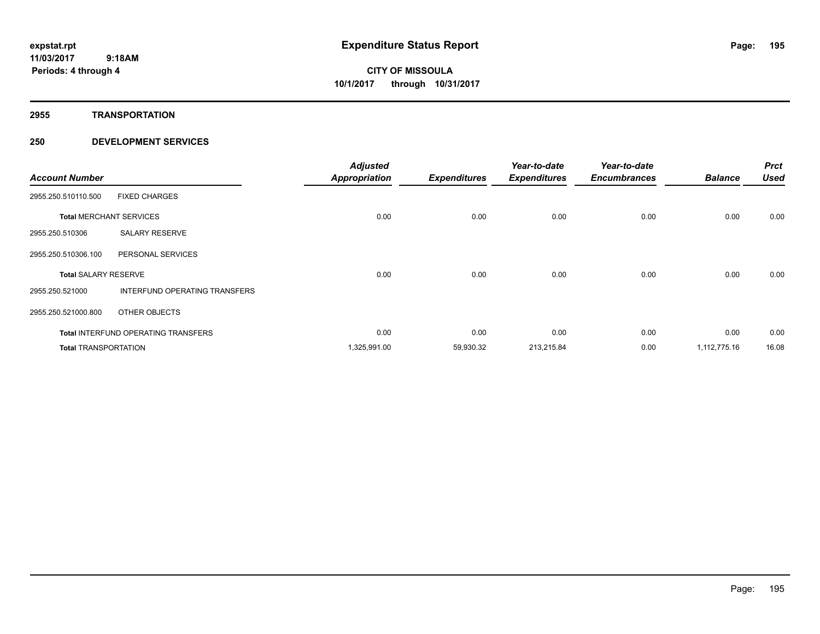**2955 TRANSPORTATION**

| <b>Account Number</b>       |                                            | <b>Adjusted</b><br><b>Appropriation</b> | <b>Expenditures</b> | Year-to-date<br><b>Expenditures</b> | Year-to-date<br><b>Encumbrances</b> | <b>Balance</b> | <b>Prct</b><br><b>Used</b> |
|-----------------------------|--------------------------------------------|-----------------------------------------|---------------------|-------------------------------------|-------------------------------------|----------------|----------------------------|
| 2955.250.510110.500         | <b>FIXED CHARGES</b>                       |                                         |                     |                                     |                                     |                |                            |
|                             | <b>Total MERCHANT SERVICES</b>             | 0.00                                    | 0.00                | 0.00                                | 0.00                                | 0.00           | 0.00                       |
| 2955.250.510306             | <b>SALARY RESERVE</b>                      |                                         |                     |                                     |                                     |                |                            |
| 2955.250.510306.100         | PERSONAL SERVICES                          |                                         |                     |                                     |                                     |                |                            |
| <b>Total SALARY RESERVE</b> |                                            | 0.00                                    | 0.00                | 0.00                                | 0.00                                | 0.00           | 0.00                       |
| 2955.250.521000             | INTERFUND OPERATING TRANSFERS              |                                         |                     |                                     |                                     |                |                            |
| 2955.250.521000.800         | OTHER OBJECTS                              |                                         |                     |                                     |                                     |                |                            |
|                             | <b>Total INTERFUND OPERATING TRANSFERS</b> | 0.00                                    | 0.00                | 0.00                                | 0.00                                | 0.00           | 0.00                       |
| <b>Total TRANSPORTATION</b> |                                            | 1,325,991.00                            | 59,930.32           | 213,215.84                          | 0.00                                | 1,112,775.16   | 16.08                      |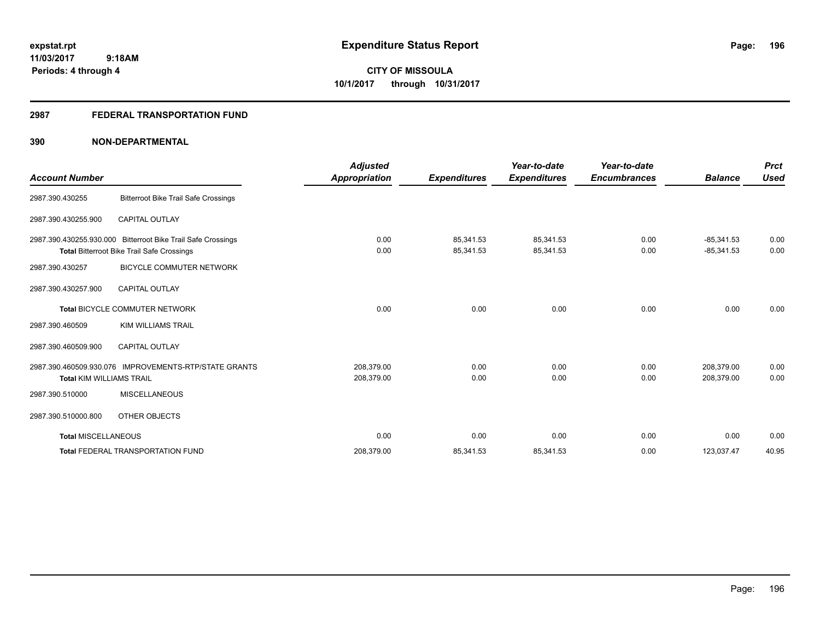**Periods: 4 through 4**

**CITY OF MISSOULA 10/1/2017 through 10/31/2017**

### **2987 FEDERAL TRANSPORTATION FUND**

|                                 |                                                              | <b>Adjusted</b>      |                     | Year-to-date        | Year-to-date        |                | <b>Prct</b> |
|---------------------------------|--------------------------------------------------------------|----------------------|---------------------|---------------------|---------------------|----------------|-------------|
| <b>Account Number</b>           |                                                              | <b>Appropriation</b> | <b>Expenditures</b> | <b>Expenditures</b> | <b>Encumbrances</b> | <b>Balance</b> | <b>Used</b> |
| 2987.390.430255                 | <b>Bitterroot Bike Trail Safe Crossings</b>                  |                      |                     |                     |                     |                |             |
| 2987.390.430255.900             | <b>CAPITAL OUTLAY</b>                                        |                      |                     |                     |                     |                |             |
|                                 | 2987.390.430255.930.000 Bitterroot Bike Trail Safe Crossings | 0.00                 | 85.341.53           | 85,341.53           | 0.00                | $-85.341.53$   | 0.00        |
|                                 | <b>Total Bitterroot Bike Trail Safe Crossings</b>            | 0.00                 | 85,341.53           | 85,341.53           | 0.00                | $-85,341.53$   | 0.00        |
| 2987.390.430257                 | <b>BICYCLE COMMUTER NETWORK</b>                              |                      |                     |                     |                     |                |             |
| 2987.390.430257.900             | <b>CAPITAL OUTLAY</b>                                        |                      |                     |                     |                     |                |             |
|                                 | Total BICYCLE COMMUTER NETWORK                               | 0.00                 | 0.00                | 0.00                | 0.00                | 0.00           | 0.00        |
| 2987.390.460509                 | <b>KIM WILLIAMS TRAIL</b>                                    |                      |                     |                     |                     |                |             |
| 2987.390.460509.900             | <b>CAPITAL OUTLAY</b>                                        |                      |                     |                     |                     |                |             |
|                                 | 2987.390.460509.930.076 IMPROVEMENTS-RTP/STATE GRANTS        | 208,379.00           | 0.00                | 0.00                | 0.00                | 208,379.00     | 0.00        |
| <b>Total KIM WILLIAMS TRAIL</b> |                                                              | 208,379.00           | 0.00                | 0.00                | 0.00                | 208,379.00     | 0.00        |
| 2987.390.510000                 | <b>MISCELLANEOUS</b>                                         |                      |                     |                     |                     |                |             |
| 2987.390.510000.800             | <b>OTHER OBJECTS</b>                                         |                      |                     |                     |                     |                |             |
| <b>Total MISCELLANEOUS</b>      |                                                              | 0.00                 | 0.00                | 0.00                | 0.00                | 0.00           | 0.00        |
|                                 | <b>Total FEDERAL TRANSPORTATION FUND</b>                     | 208,379.00           | 85,341.53           | 85,341.53           | 0.00                | 123,037.47     | 40.95       |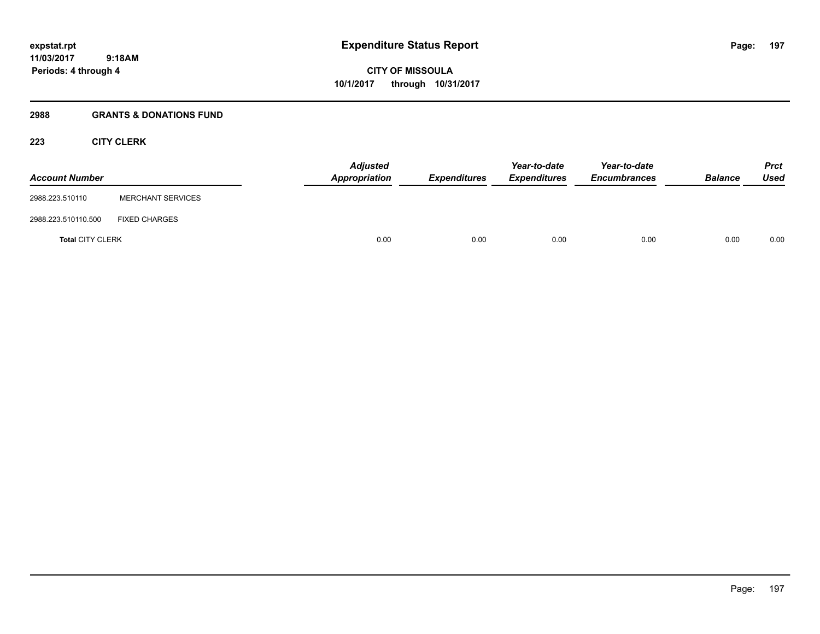**CITY OF MISSOULA 10/1/2017 through 10/31/2017**

### **2988 GRANTS & DONATIONS FUND**

# **223 CITY CLERK**

| <b>Account Number</b>   |                          | <b>Adjusted</b><br>Appropriation | Expenditures | Year-to-date<br><b>Expenditures</b> | Year-to-date<br><b>Encumbrances</b> | <b>Balance</b> | <b>Prct</b><br>Used |
|-------------------------|--------------------------|----------------------------------|--------------|-------------------------------------|-------------------------------------|----------------|---------------------|
| 2988.223.510110         | <b>MERCHANT SERVICES</b> |                                  |              |                                     |                                     |                |                     |
| 2988.223.510110.500     | <b>FIXED CHARGES</b>     |                                  |              |                                     |                                     |                |                     |
| <b>Total CITY CLERK</b> |                          | 0.00                             | 0.00         | 0.00                                | 0.00                                | 0.00           | 0.00                |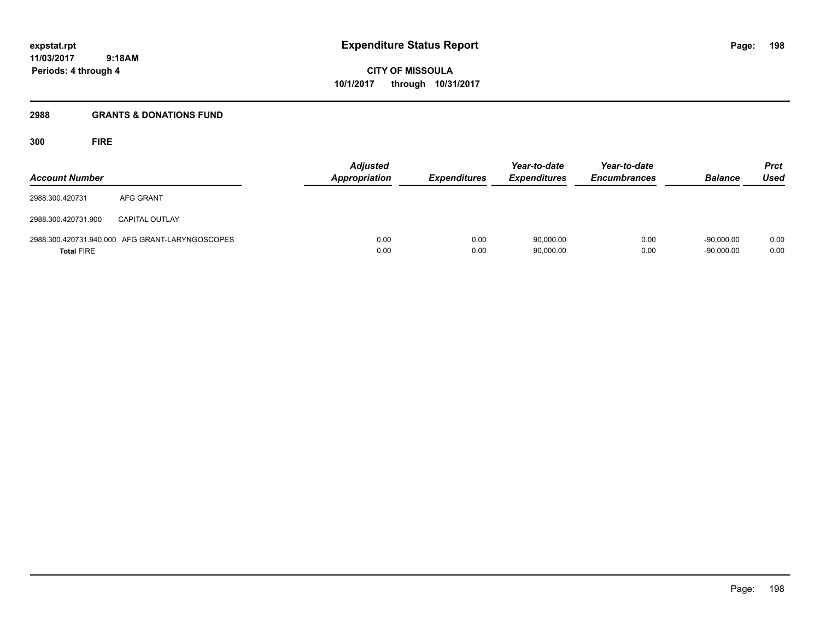**CITY OF MISSOULA 10/1/2017 through 10/31/2017**

# **2988 GRANTS & DONATIONS FUND**

**300 FIRE**

| <b>Account Number</b> |                                                 | Adjusted<br><b>Appropriation</b> | <b>Expenditures</b> | Year-to-date<br><b>Expenditures</b> | Year-to-date<br><b>Encumbrances</b> | <b>Balance</b>               | <b>Prct</b><br><b>Used</b> |
|-----------------------|-------------------------------------------------|----------------------------------|---------------------|-------------------------------------|-------------------------------------|------------------------------|----------------------------|
| 2988.300.420731       | AFG GRANT                                       |                                  |                     |                                     |                                     |                              |                            |
| 2988.300.420731.900   | <b>CAPITAL OUTLAY</b>                           |                                  |                     |                                     |                                     |                              |                            |
| <b>Total FIRE</b>     | 2988.300.420731.940.000 AFG GRANT-LARYNGOSCOPES | 0.00<br>0.00                     | 0.00<br>0.00        | 90,000.00<br>90,000.00              | 0.00<br>0.00                        | $-90.000.00$<br>$-90,000.00$ | 0.00<br>0.00               |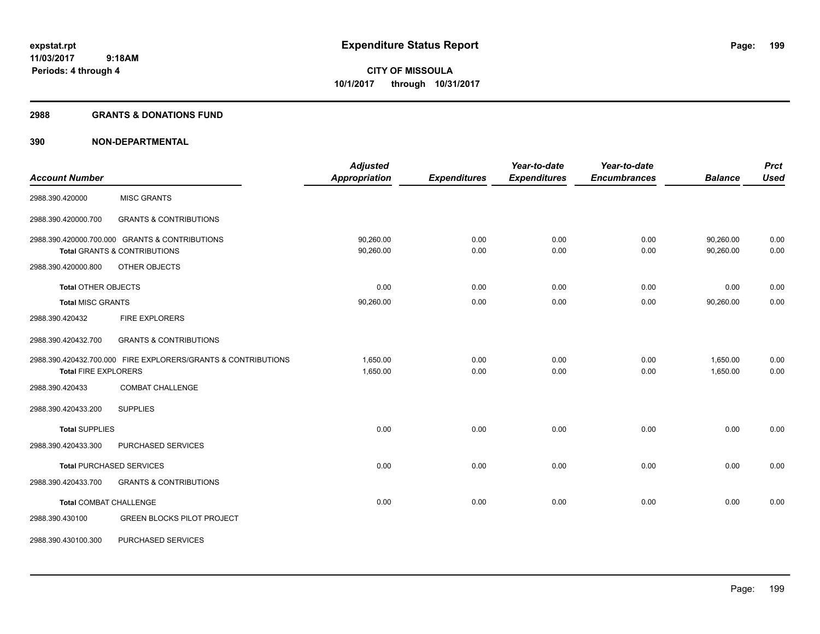#### **2988 GRANTS & DONATIONS FUND**

|                               |                                                               | <b>Adjusted</b>      |                     | Year-to-date        | Year-to-date        |                | <b>Prct</b> |
|-------------------------------|---------------------------------------------------------------|----------------------|---------------------|---------------------|---------------------|----------------|-------------|
| <b>Account Number</b>         |                                                               | <b>Appropriation</b> | <b>Expenditures</b> | <b>Expenditures</b> | <b>Encumbrances</b> | <b>Balance</b> | <b>Used</b> |
| 2988.390.420000               | <b>MISC GRANTS</b>                                            |                      |                     |                     |                     |                |             |
| 2988.390.420000.700           | <b>GRANTS &amp; CONTRIBUTIONS</b>                             |                      |                     |                     |                     |                |             |
|                               | 2988.390.420000.700.000 GRANTS & CONTRIBUTIONS                | 90,260.00            | 0.00                | 0.00                | 0.00                | 90,260.00      | 0.00        |
|                               | <b>Total GRANTS &amp; CONTRIBUTIONS</b>                       | 90,260.00            | 0.00                | 0.00                | 0.00                | 90,260.00      | 0.00        |
| 2988.390.420000.800           | OTHER OBJECTS                                                 |                      |                     |                     |                     |                |             |
| <b>Total OTHER OBJECTS</b>    |                                                               | 0.00                 | 0.00                | 0.00                | 0.00                | 0.00           | 0.00        |
| <b>Total MISC GRANTS</b>      |                                                               | 90,260.00            | 0.00                | 0.00                | 0.00                | 90,260.00      | 0.00        |
| 2988.390.420432               | <b>FIRE EXPLORERS</b>                                         |                      |                     |                     |                     |                |             |
| 2988.390.420432.700           | <b>GRANTS &amp; CONTRIBUTIONS</b>                             |                      |                     |                     |                     |                |             |
|                               | 2988.390.420432.700.000 FIRE EXPLORERS/GRANTS & CONTRIBUTIONS | 1,650.00             | 0.00                | 0.00                | 0.00                | 1,650.00       | 0.00        |
| <b>Total FIRE EXPLORERS</b>   |                                                               | 1,650.00             | 0.00                | 0.00                | 0.00                | 1,650.00       | 0.00        |
| 2988.390.420433               | <b>COMBAT CHALLENGE</b>                                       |                      |                     |                     |                     |                |             |
| 2988.390.420433.200           | <b>SUPPLIES</b>                                               |                      |                     |                     |                     |                |             |
| <b>Total SUPPLIES</b>         |                                                               | 0.00                 | 0.00                | 0.00                | 0.00                | 0.00           | 0.00        |
| 2988.390.420433.300           | PURCHASED SERVICES                                            |                      |                     |                     |                     |                |             |
|                               | <b>Total PURCHASED SERVICES</b>                               | 0.00                 | 0.00                | 0.00                | 0.00                | 0.00           | 0.00        |
| 2988.390.420433.700           | <b>GRANTS &amp; CONTRIBUTIONS</b>                             |                      |                     |                     |                     |                |             |
| <b>Total COMBAT CHALLENGE</b> |                                                               | 0.00                 | 0.00                | 0.00                | 0.00                | 0.00           | 0.00        |
| 2988.390.430100               | <b>GREEN BLOCKS PILOT PROJECT</b>                             |                      |                     |                     |                     |                |             |
| 2988.390.430100.300           | PURCHASED SERVICES                                            |                      |                     |                     |                     |                |             |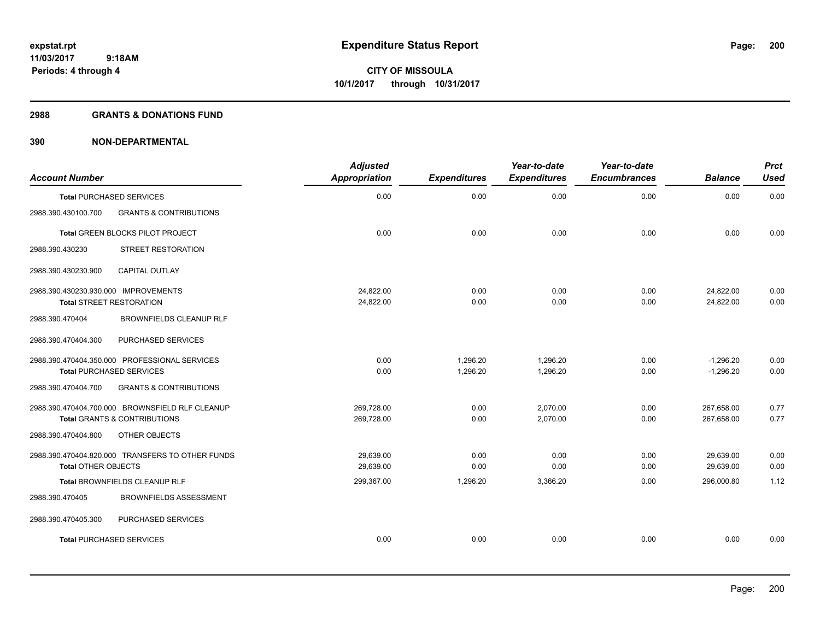#### **2988 GRANTS & DONATIONS FUND**

| <b>Account Number</b>                |                                                  | <b>Adjusted</b><br>Appropriation | <b>Expenditures</b> | Year-to-date<br><b>Expenditures</b> | Year-to-date<br><b>Encumbrances</b> | <b>Balance</b> | <b>Prct</b><br><b>Used</b> |
|--------------------------------------|--------------------------------------------------|----------------------------------|---------------------|-------------------------------------|-------------------------------------|----------------|----------------------------|
| <b>Total PURCHASED SERVICES</b>      |                                                  | 0.00                             | 0.00                | 0.00                                | 0.00                                | 0.00           | 0.00                       |
| 2988.390.430100.700                  | <b>GRANTS &amp; CONTRIBUTIONS</b>                |                                  |                     |                                     |                                     |                |                            |
|                                      | Total GREEN BLOCKS PILOT PROJECT                 | 0.00                             | 0.00                | 0.00                                | 0.00                                | 0.00           | 0.00                       |
| 2988.390.430230                      | STREET RESTORATION                               |                                  |                     |                                     |                                     |                |                            |
| 2988.390.430230.900                  | <b>CAPITAL OUTLAY</b>                            |                                  |                     |                                     |                                     |                |                            |
| 2988.390.430230.930.000 IMPROVEMENTS |                                                  | 24,822.00                        | 0.00                | 0.00                                | 0.00                                | 24,822.00      | 0.00                       |
| <b>Total STREET RESTORATION</b>      |                                                  | 24,822.00                        | 0.00                | 0.00                                | 0.00                                | 24,822.00      | 0.00                       |
| 2988.390.470404                      | <b>BROWNFIELDS CLEANUP RLF</b>                   |                                  |                     |                                     |                                     |                |                            |
| 2988.390.470404.300                  | PURCHASED SERVICES                               |                                  |                     |                                     |                                     |                |                            |
|                                      | 2988.390.470404.350.000 PROFESSIONAL SERVICES    | 0.00                             | 1,296.20            | 1,296.20                            | 0.00                                | $-1.296.20$    | 0.00                       |
| <b>Total PURCHASED SERVICES</b>      |                                                  | 0.00                             | 1,296.20            | 1,296.20                            | 0.00                                | $-1,296.20$    | 0.00                       |
| 2988.390.470404.700                  | <b>GRANTS &amp; CONTRIBUTIONS</b>                |                                  |                     |                                     |                                     |                |                            |
|                                      | 2988.390.470404.700.000 BROWNSFIELD RLF CLEANUP  | 269,728.00                       | 0.00                | 2,070.00                            | 0.00                                | 267,658.00     | 0.77                       |
|                                      | <b>Total GRANTS &amp; CONTRIBUTIONS</b>          | 269,728.00                       | 0.00                | 2,070.00                            | 0.00                                | 267,658.00     | 0.77                       |
| 2988.390.470404.800                  | OTHER OBJECTS                                    |                                  |                     |                                     |                                     |                |                            |
|                                      | 2988.390.470404.820.000 TRANSFERS TO OTHER FUNDS | 29,639.00                        | 0.00                | 0.00                                | 0.00                                | 29,639.00      | 0.00                       |
| <b>Total OTHER OBJECTS</b>           |                                                  | 29,639.00                        | 0.00                | 0.00                                | 0.00                                | 29,639.00      | 0.00                       |
|                                      | Total BROWNFIELDS CLEANUP RLF                    | 299,367.00                       | 1,296.20            | 3,366.20                            | 0.00                                | 296,000.80     | 1.12                       |
| 2988.390.470405                      | <b>BROWNFIELDS ASSESSMENT</b>                    |                                  |                     |                                     |                                     |                |                            |
| 2988.390.470405.300                  | PURCHASED SERVICES                               |                                  |                     |                                     |                                     |                |                            |
| <b>Total PURCHASED SERVICES</b>      |                                                  | 0.00                             | 0.00                | 0.00                                | 0.00                                | 0.00           | 0.00                       |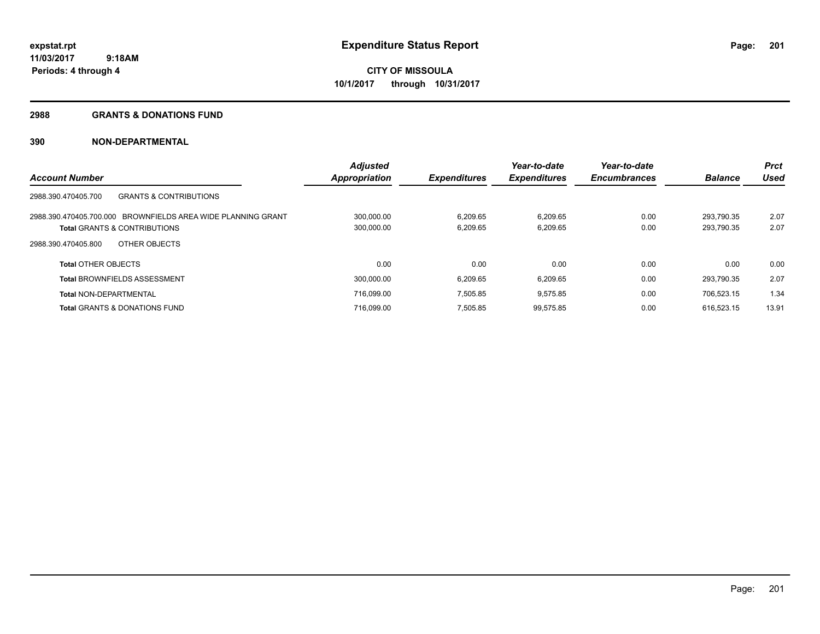#### **2988 GRANTS & DONATIONS FUND**

|                                                              | <b>Adjusted</b> |                     | Year-to-date        | Year-to-date        |                | <b>Prct</b> |
|--------------------------------------------------------------|-----------------|---------------------|---------------------|---------------------|----------------|-------------|
| <b>Account Number</b>                                        | Appropriation   | <b>Expenditures</b> | <b>Expenditures</b> | <b>Encumbrances</b> | <b>Balance</b> | Used        |
| 2988.390.470405.700<br><b>GRANTS &amp; CONTRIBUTIONS</b>     |                 |                     |                     |                     |                |             |
| 2988.390.470405.700.000 BROWNFIELDS AREA WIDE PLANNING GRANT | 300.000.00      | 6.209.65            | 6.209.65            | 0.00                | 293.790.35     | 2.07        |
| <b>Total GRANTS &amp; CONTRIBUTIONS</b>                      | 300,000.00      | 6,209.65            | 6,209.65            | 0.00                | 293,790.35     | 2.07        |
| OTHER OBJECTS<br>2988.390.470405.800                         |                 |                     |                     |                     |                |             |
| <b>Total OTHER OBJECTS</b>                                   | 0.00            | 0.00                | 0.00                | 0.00                | 0.00           | 0.00        |
| <b>Total BROWNFIELDS ASSESSMENT</b>                          | 300,000.00      | 6.209.65            | 6,209.65            | 0.00                | 293.790.35     | 2.07        |
| <b>Total NON-DEPARTMENTAL</b>                                | 716.099.00      | 7.505.85            | 9,575.85            | 0.00                | 706.523.15     | 1.34        |
| <b>Total GRANTS &amp; DONATIONS FUND</b>                     | 716,099.00      | 7,505.85            | 99,575.85           | 0.00                | 616.523.15     | 13.91       |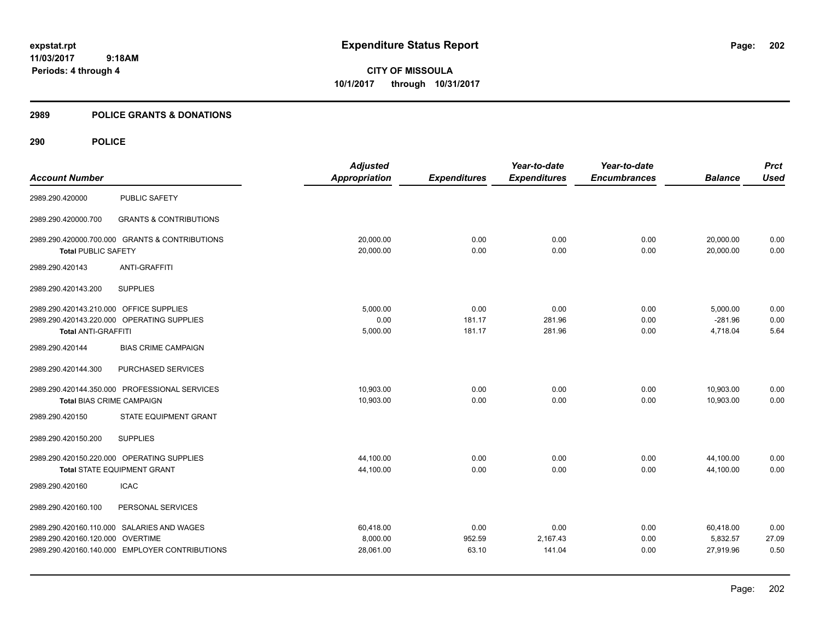**CITY OF MISSOULA 10/1/2017 through 10/31/2017**

### **2989 POLICE GRANTS & DONATIONS**

|                                         |                                                | <b>Adjusted</b>      |                     | Year-to-date        | Year-to-date        |                | <b>Prct</b> |
|-----------------------------------------|------------------------------------------------|----------------------|---------------------|---------------------|---------------------|----------------|-------------|
| <b>Account Number</b>                   |                                                | <b>Appropriation</b> | <b>Expenditures</b> | <b>Expenditures</b> | <b>Encumbrances</b> | <b>Balance</b> | <b>Used</b> |
| 2989.290.420000                         | <b>PUBLIC SAFETY</b>                           |                      |                     |                     |                     |                |             |
| 2989.290.420000.700                     | <b>GRANTS &amp; CONTRIBUTIONS</b>              |                      |                     |                     |                     |                |             |
|                                         | 2989.290.420000.700.000 GRANTS & CONTRIBUTIONS | 20,000.00            | 0.00                | 0.00                | 0.00                | 20,000.00      | 0.00        |
| <b>Total PUBLIC SAFETY</b>              |                                                | 20,000.00            | 0.00                | 0.00                | 0.00                | 20,000.00      | 0.00        |
| 2989.290.420143                         | <b>ANTI-GRAFFITI</b>                           |                      |                     |                     |                     |                |             |
| 2989.290.420143.200                     | <b>SUPPLIES</b>                                |                      |                     |                     |                     |                |             |
| 2989.290.420143.210.000 OFFICE SUPPLIES |                                                | 5,000.00             | 0.00                | 0.00                | 0.00                | 5,000.00       | 0.00        |
|                                         | 2989.290.420143.220.000 OPERATING SUPPLIES     | 0.00                 | 181.17              | 281.96              | 0.00                | $-281.96$      | 0.00        |
| <b>Total ANTI-GRAFFITI</b>              |                                                | 5,000.00             | 181.17              | 281.96              | 0.00                | 4,718.04       | 5.64        |
| 2989.290.420144                         | <b>BIAS CRIME CAMPAIGN</b>                     |                      |                     |                     |                     |                |             |
| 2989.290.420144.300                     | PURCHASED SERVICES                             |                      |                     |                     |                     |                |             |
|                                         | 2989.290.420144.350.000 PROFESSIONAL SERVICES  | 10.903.00            | 0.00                | 0.00                | 0.00                | 10,903.00      | 0.00        |
| <b>Total BIAS CRIME CAMPAIGN</b>        |                                                | 10,903.00            | 0.00                | 0.00                | 0.00                | 10.903.00      | 0.00        |
| 2989.290.420150                         | STATE EQUIPMENT GRANT                          |                      |                     |                     |                     |                |             |
| 2989.290.420150.200                     | <b>SUPPLIES</b>                                |                      |                     |                     |                     |                |             |
|                                         | 2989.290.420150.220.000 OPERATING SUPPLIES     | 44,100.00            | 0.00                | 0.00                | 0.00                | 44,100.00      | 0.00        |
|                                         | Total STATE EQUIPMENT GRANT                    | 44,100.00            | 0.00                | 0.00                | 0.00                | 44,100.00      | 0.00        |
| 2989.290.420160                         | <b>ICAC</b>                                    |                      |                     |                     |                     |                |             |
| 2989.290.420160.100                     | PERSONAL SERVICES                              |                      |                     |                     |                     |                |             |
|                                         | 2989.290.420160.110.000 SALARIES AND WAGES     | 60,418.00            | 0.00                | 0.00                | 0.00                | 60,418.00      | 0.00        |
| 2989.290.420160.120.000 OVERTIME        |                                                | 8,000.00             | 952.59              | 2,167.43            | 0.00                | 5,832.57       | 27.09       |
|                                         | 2989.290.420160.140.000 EMPLOYER CONTRIBUTIONS | 28,061.00            | 63.10               | 141.04              | 0.00                | 27,919.96      | 0.50        |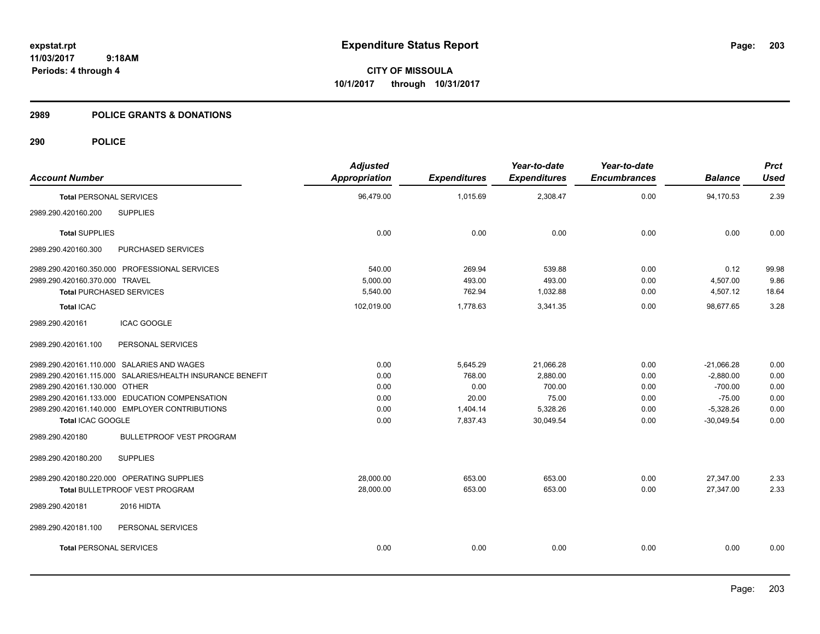**CITY OF MISSOULA 10/1/2017 through 10/31/2017**

#### **2989 POLICE GRANTS & DONATIONS**

| <b>Account Number</b>                                     | <b>Adjusted</b><br>Appropriation | <b>Expenditures</b> | Year-to-date<br><b>Expenditures</b> | Year-to-date<br><b>Encumbrances</b> | <b>Balance</b> | <b>Prct</b><br><b>Used</b> |
|-----------------------------------------------------------|----------------------------------|---------------------|-------------------------------------|-------------------------------------|----------------|----------------------------|
| <b>Total PERSONAL SERVICES</b>                            | 96,479.00                        | 1,015.69            | 2,308.47                            | 0.00                                | 94,170.53      | 2.39                       |
| <b>SUPPLIES</b><br>2989.290.420160.200                    |                                  |                     |                                     |                                     |                |                            |
| <b>Total SUPPLIES</b>                                     | 0.00                             | 0.00                | 0.00                                | 0.00                                | 0.00           | 0.00                       |
| 2989.290.420160.300<br>PURCHASED SERVICES                 |                                  |                     |                                     |                                     |                |                            |
| 2989.290.420160.350.000 PROFESSIONAL SERVICES             | 540.00                           | 269.94              | 539.88                              | 0.00                                | 0.12           | 99.98                      |
| 2989.290.420160.370.000 TRAVEL                            | 5,000.00                         | 493.00              | 493.00                              | 0.00                                | 4,507.00       | 9.86                       |
| <b>Total PURCHASED SERVICES</b>                           | 5,540.00                         | 762.94              | 1,032.88                            | 0.00                                | 4,507.12       | 18.64                      |
| <b>Total ICAC</b>                                         | 102,019.00                       | 1,778.63            | 3,341.35                            | 0.00                                | 98,677.65      | 3.28                       |
| <b>ICAC GOOGLE</b><br>2989.290.420161                     |                                  |                     |                                     |                                     |                |                            |
| 2989.290.420161.100<br>PERSONAL SERVICES                  |                                  |                     |                                     |                                     |                |                            |
| 2989.290.420161.110.000 SALARIES AND WAGES                | 0.00                             | 5,645.29            | 21,066.28                           | 0.00                                | $-21,066.28$   | 0.00                       |
| 2989.290.420161.115.000 SALARIES/HEALTH INSURANCE BENEFIT | 0.00                             | 768.00              | 2,880.00                            | 0.00                                | $-2,880.00$    | 0.00                       |
| 2989.290.420161.130.000 OTHER                             | 0.00                             | 0.00                | 700.00                              | 0.00                                | $-700.00$      | 0.00                       |
| 2989.290.420161.133.000 EDUCATION COMPENSATION            | 0.00                             | 20.00               | 75.00                               | 0.00                                | $-75.00$       | 0.00                       |
| 2989.290.420161.140.000 EMPLOYER CONTRIBUTIONS            | 0.00                             | 1,404.14            | 5,328.26                            | 0.00                                | $-5,328.26$    | 0.00                       |
| Total ICAC GOOGLE                                         | 0.00                             | 7,837.43            | 30,049.54                           | 0.00                                | $-30,049.54$   | 0.00                       |
| <b>BULLETPROOF VEST PROGRAM</b><br>2989.290.420180        |                                  |                     |                                     |                                     |                |                            |
| <b>SUPPLIES</b><br>2989.290.420180.200                    |                                  |                     |                                     |                                     |                |                            |
| 2989.290.420180.220.000 OPERATING SUPPLIES                | 28,000.00                        | 653.00              | 653.00                              | 0.00                                | 27,347.00      | 2.33                       |
| Total BULLETPROOF VEST PROGRAM                            | 28,000.00                        | 653.00              | 653.00                              | 0.00                                | 27,347.00      | 2.33                       |
| 2989.290.420181<br>2016 HIDTA                             |                                  |                     |                                     |                                     |                |                            |
| 2989.290.420181.100<br>PERSONAL SERVICES                  |                                  |                     |                                     |                                     |                |                            |
| <b>Total PERSONAL SERVICES</b>                            | 0.00                             | 0.00                | 0.00                                | 0.00                                | 0.00           | 0.00                       |
|                                                           |                                  |                     |                                     |                                     |                |                            |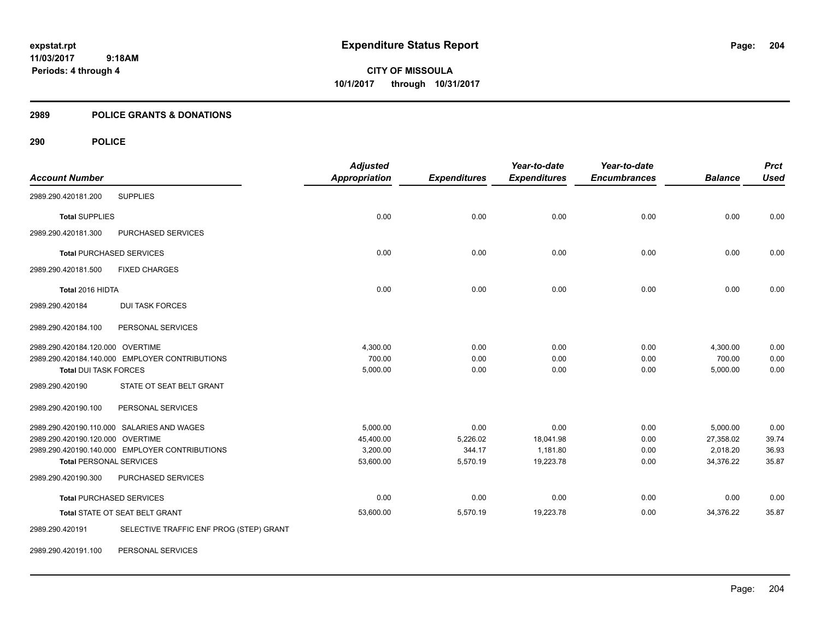**CITY OF MISSOULA 10/1/2017 through 10/31/2017**

# **2989 POLICE GRANTS & DONATIONS**

|                                  |                                                | <b>Adjusted</b>      |                     | Year-to-date        | Year-to-date        |                | <b>Prct</b> |
|----------------------------------|------------------------------------------------|----------------------|---------------------|---------------------|---------------------|----------------|-------------|
| <b>Account Number</b>            |                                                | <b>Appropriation</b> | <b>Expenditures</b> | <b>Expenditures</b> | <b>Encumbrances</b> | <b>Balance</b> | <b>Used</b> |
| 2989.290.420181.200              | <b>SUPPLIES</b>                                |                      |                     |                     |                     |                |             |
| <b>Total SUPPLIES</b>            |                                                | 0.00                 | 0.00                | 0.00                | 0.00                | 0.00           | 0.00        |
| 2989.290.420181.300              | PURCHASED SERVICES                             |                      |                     |                     |                     |                |             |
|                                  | <b>Total PURCHASED SERVICES</b>                | 0.00                 | 0.00                | 0.00                | 0.00                | 0.00           | 0.00        |
| 2989.290.420181.500              | <b>FIXED CHARGES</b>                           |                      |                     |                     |                     |                |             |
| Total 2016 HIDTA                 |                                                | 0.00                 | 0.00                | 0.00                | 0.00                | 0.00           | 0.00        |
| 2989.290.420184                  | <b>DUI TASK FORCES</b>                         |                      |                     |                     |                     |                |             |
| 2989.290.420184.100              | PERSONAL SERVICES                              |                      |                     |                     |                     |                |             |
| 2989.290.420184.120.000 OVERTIME |                                                | 4,300.00             | 0.00                | 0.00                | 0.00                | 4,300.00       | 0.00        |
|                                  | 2989.290.420184.140.000 EMPLOYER CONTRIBUTIONS | 700.00               | 0.00                | 0.00                | 0.00                | 700.00         | 0.00        |
| <b>Total DUI TASK FORCES</b>     |                                                | 5,000.00             | 0.00                | 0.00                | 0.00                | 5,000.00       | 0.00        |
| 2989.290.420190                  | STATE OT SEAT BELT GRANT                       |                      |                     |                     |                     |                |             |
| 2989.290.420190.100              | PERSONAL SERVICES                              |                      |                     |                     |                     |                |             |
|                                  | 2989.290.420190.110.000 SALARIES AND WAGES     | 5,000.00             | 0.00                | 0.00                | 0.00                | 5,000.00       | 0.00        |
| 2989.290.420190.120.000 OVERTIME |                                                | 45,400.00            | 5,226.02            | 18,041.98           | 0.00                | 27,358.02      | 39.74       |
|                                  | 2989.290.420190.140.000 EMPLOYER CONTRIBUTIONS | 3,200.00             | 344.17              | 1,181.80            | 0.00                | 2,018.20       | 36.93       |
| <b>Total PERSONAL SERVICES</b>   |                                                | 53,600.00            | 5,570.19            | 19,223.78           | 0.00                | 34,376.22      | 35.87       |
| 2989.290.420190.300              | PURCHASED SERVICES                             |                      |                     |                     |                     |                |             |
|                                  | <b>Total PURCHASED SERVICES</b>                | 0.00                 | 0.00                | 0.00                | 0.00                | 0.00           | 0.00        |
|                                  | Total STATE OT SEAT BELT GRANT                 | 53,600.00            | 5,570.19            | 19,223.78           | 0.00                | 34,376.22      | 35.87       |
| 2989.290.420191                  | SELECTIVE TRAFFIC ENF PROG (STEP) GRANT        |                      |                     |                     |                     |                |             |
| 2989.290.420191.100              | PERSONAL SERVICES                              |                      |                     |                     |                     |                |             |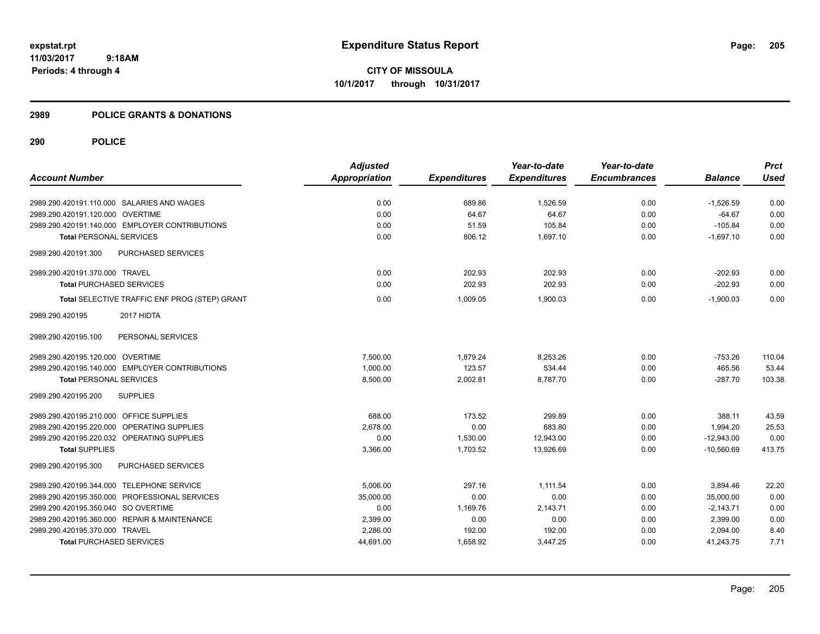**CITY OF MISSOULA 10/1/2017 through 10/31/2017**

#### **2989 POLICE GRANTS & DONATIONS**

|                                                  | <b>Adjusted</b>      |                     | Year-to-date        | Year-to-date        |                | <b>Prct</b> |
|--------------------------------------------------|----------------------|---------------------|---------------------|---------------------|----------------|-------------|
| <b>Account Number</b>                            | <b>Appropriation</b> | <b>Expenditures</b> | <b>Expenditures</b> | <b>Encumbrances</b> | <b>Balance</b> | <b>Used</b> |
| 2989.290.420191.110.000 SALARIES AND WAGES       | 0.00                 | 689.86              | 1,526.59            | 0.00                | $-1,526.59$    | 0.00        |
| 2989.290.420191.120.000 OVERTIME                 | 0.00                 | 64.67               | 64.67               | 0.00                | $-64.67$       | 0.00        |
| 2989.290.420191.140.000 EMPLOYER CONTRIBUTIONS   | 0.00                 | 51.59               | 105.84              | 0.00                | $-105.84$      | 0.00        |
| <b>Total PERSONAL SERVICES</b>                   | 0.00                 | 806.12              | 1,697.10            | 0.00                | $-1,697.10$    | 0.00        |
| 2989.290.420191.300<br><b>PURCHASED SERVICES</b> |                      |                     |                     |                     |                |             |
| 2989.290.420191.370.000 TRAVEL                   | 0.00                 | 202.93              | 202.93              | 0.00                | $-202.93$      | 0.00        |
| <b>Total PURCHASED SERVICES</b>                  | 0.00                 | 202.93              | 202.93              | 0.00                | $-202.93$      | 0.00        |
| Total SELECTIVE TRAFFIC ENF PROG (STEP) GRANT    | 0.00                 | 1,009.05            | 1,900.03            | 0.00                | $-1,900.03$    | 0.00        |
| 2017 HIDTA<br>2989.290.420195                    |                      |                     |                     |                     |                |             |
| 2989.290.420195.100<br>PERSONAL SERVICES         |                      |                     |                     |                     |                |             |
| 2989.290.420195.120.000 OVERTIME                 | 7,500.00             | 1,879.24            | 8,253.26            | 0.00                | $-753.26$      | 110.04      |
| 2989.290.420195.140.000 EMPLOYER CONTRIBUTIONS   | 1,000.00             | 123.57              | 534.44              | 0.00                | 465.56         | 53.44       |
| <b>Total PERSONAL SERVICES</b>                   | 8,500.00             | 2,002.81            | 8,787.70            | 0.00                | $-287.70$      | 103.38      |
| 2989.290.420195.200<br><b>SUPPLIES</b>           |                      |                     |                     |                     |                |             |
| 2989.290.420195.210.000 OFFICE SUPPLIES          | 688.00               | 173.52              | 299.89              | 0.00                | 388.11         | 43.59       |
| 2989.290.420195.220.000 OPERATING SUPPLIES       | 2,678.00             | 0.00                | 683.80              | 0.00                | 1,994.20       | 25.53       |
| 2989.290.420195.220.032 OPERATING SUPPLIES       | 0.00                 | 1,530.00            | 12,943.00           | 0.00                | $-12,943.00$   | 0.00        |
| <b>Total SUPPLIES</b>                            | 3,366.00             | 1,703.52            | 13,926.69           | 0.00                | $-10.560.69$   | 413.75      |
| <b>PURCHASED SERVICES</b><br>2989.290.420195.300 |                      |                     |                     |                     |                |             |
| 2989.290.420195.344.000 TELEPHONE SERVICE        | 5,006.00             | 297.16              | 1,111.54            | 0.00                | 3,894.46       | 22.20       |
| 2989.290.420195.350.000 PROFESSIONAL SERVICES    | 35,000.00            | 0.00                | 0.00                | 0.00                | 35,000.00      | 0.00        |
| 2989.290.420195.350.040 SO OVERTIME              | 0.00                 | 1,169.76            | 2,143.71            | 0.00                | $-2,143.71$    | 0.00        |
| 2989.290.420195.360.000 REPAIR & MAINTENANCE     | 2,399.00             | 0.00                | 0.00                | 0.00                | 2,399.00       | 0.00        |
| 2989.290.420195.370.000 TRAVEL                   | 2,286.00             | 192.00              | 192.00              | 0.00                | 2,094.00       | 8.40        |
| <b>Total PURCHASED SERVICES</b>                  | 44,691.00            | 1,658.92            | 3,447.25            | 0.00                | 41,243.75      | 7.71        |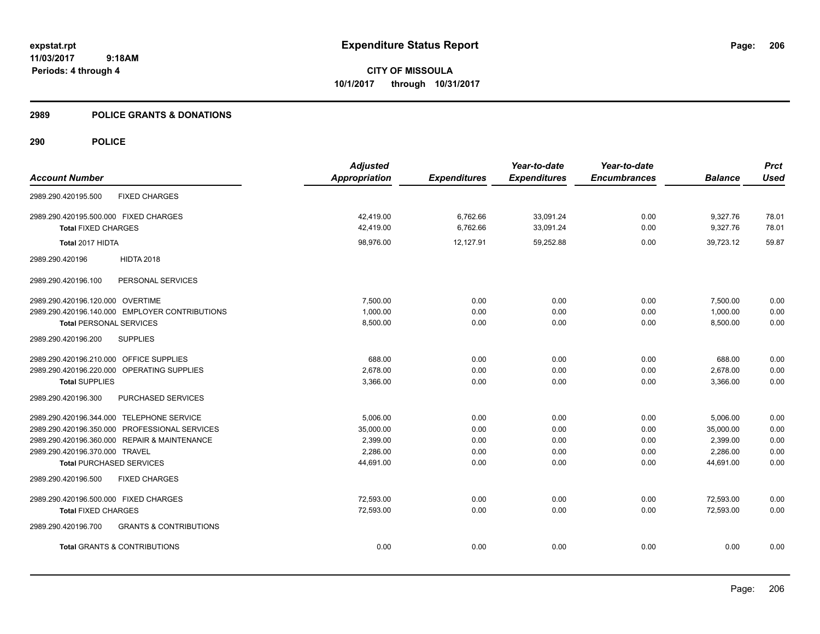**CITY OF MISSOULA 10/1/2017 through 10/31/2017**

#### **2989 POLICE GRANTS & DONATIONS**

| <b>Account Number</b>                                    | <b>Adjusted</b><br><b>Appropriation</b> | <b>Expenditures</b> | Year-to-date<br><b>Expenditures</b> | Year-to-date<br><b>Encumbrances</b> | <b>Balance</b> | <b>Prct</b><br><b>Used</b> |
|----------------------------------------------------------|-----------------------------------------|---------------------|-------------------------------------|-------------------------------------|----------------|----------------------------|
| 2989.290.420195.500<br><b>FIXED CHARGES</b>              |                                         |                     |                                     |                                     |                |                            |
| 2989.290.420195.500.000 FIXED CHARGES                    | 42,419.00                               | 6,762.66            | 33,091.24                           | 0.00                                | 9,327.76       | 78.01                      |
| <b>Total FIXED CHARGES</b>                               | 42,419.00                               | 6,762.66            | 33,091.24                           | 0.00                                | 9,327.76       | 78.01                      |
| Total 2017 HIDTA                                         | 98.976.00                               | 12,127.91           | 59.252.88                           | 0.00                                | 39.723.12      | 59.87                      |
| 2989.290.420196<br><b>HIDTA 2018</b>                     |                                         |                     |                                     |                                     |                |                            |
| 2989.290.420196.100<br>PERSONAL SERVICES                 |                                         |                     |                                     |                                     |                |                            |
| 2989.290.420196.120.000 OVERTIME                         | 7,500.00                                | 0.00                | 0.00                                | 0.00                                | 7,500.00       | 0.00                       |
| 2989.290.420196.140.000 EMPLOYER CONTRIBUTIONS           | 1.000.00                                | 0.00                | 0.00                                | 0.00                                | 1.000.00       | 0.00                       |
| <b>Total PERSONAL SERVICES</b>                           | 8,500.00                                | 0.00                | 0.00                                | 0.00                                | 8,500.00       | 0.00                       |
| <b>SUPPLIES</b><br>2989.290.420196.200                   |                                         |                     |                                     |                                     |                |                            |
| 2989.290.420196.210.000 OFFICE SUPPLIES                  | 688.00                                  | 0.00                | 0.00                                | 0.00                                | 688.00         | 0.00                       |
| 2989.290.420196.220.000 OPERATING SUPPLIES               | 2.678.00                                | 0.00                | 0.00                                | 0.00                                | 2,678.00       | 0.00                       |
| <b>Total SUPPLIES</b>                                    | 3,366.00                                | 0.00                | 0.00                                | 0.00                                | 3,366.00       | 0.00                       |
| PURCHASED SERVICES<br>2989.290.420196.300                |                                         |                     |                                     |                                     |                |                            |
| 2989.290.420196.344.000 TELEPHONE SERVICE                | 5.006.00                                | 0.00                | 0.00                                | 0.00                                | 5,006.00       | 0.00                       |
| 2989.290.420196.350.000 PROFESSIONAL SERVICES            | 35,000.00                               | 0.00                | 0.00                                | 0.00                                | 35,000.00      | 0.00                       |
| 2989.290.420196.360.000 REPAIR & MAINTENANCE             | 2,399.00                                | 0.00                | 0.00                                | 0.00                                | 2,399.00       | 0.00                       |
| 2989.290.420196.370.000 TRAVEL                           | 2,286.00                                | 0.00                | 0.00                                | 0.00                                | 2,286.00       | 0.00                       |
| <b>Total PURCHASED SERVICES</b>                          | 44,691.00                               | 0.00                | 0.00                                | 0.00                                | 44,691.00      | 0.00                       |
| 2989.290.420196.500<br><b>FIXED CHARGES</b>              |                                         |                     |                                     |                                     |                |                            |
| 2989.290.420196.500.000 FIXED CHARGES                    | 72.593.00                               | 0.00                | 0.00                                | 0.00                                | 72,593.00      | 0.00                       |
| <b>Total FIXED CHARGES</b>                               | 72,593.00                               | 0.00                | 0.00                                | 0.00                                | 72,593.00      | 0.00                       |
| <b>GRANTS &amp; CONTRIBUTIONS</b><br>2989.290.420196.700 |                                         |                     |                                     |                                     |                |                            |
| <b>Total GRANTS &amp; CONTRIBUTIONS</b>                  | 0.00                                    | 0.00                | 0.00                                | 0.00                                | 0.00           | 0.00                       |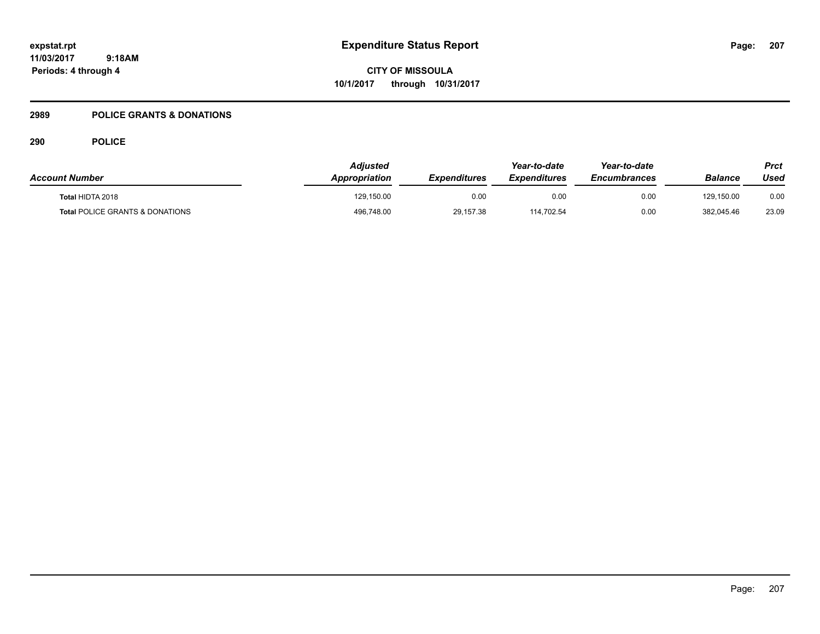**CITY OF MISSOULA 10/1/2017 through 10/31/2017**

# **2989 POLICE GRANTS & DONATIONS**

| <b>Account Number</b>                      | Adjusted<br><b>Appropriation</b> | <b>Expenditures</b> | Year-to-date<br><i><b>Expenditures</b></i> | Year-to-date<br><b>Encumbrances</b> | <b>Balance</b> | Prct<br>Used |
|--------------------------------------------|----------------------------------|---------------------|--------------------------------------------|-------------------------------------|----------------|--------------|
| Total HIDTA 2018                           | 129,150.00                       | 0.00                | 0.00                                       | 0.00                                | 129.150.00     | 0.00         |
| <b>Total POLICE GRANTS &amp; DONATIONS</b> | 496,748.00                       | 29,157.38           | 114.702.54                                 | 0.00                                | 382.045.46     | 23.09        |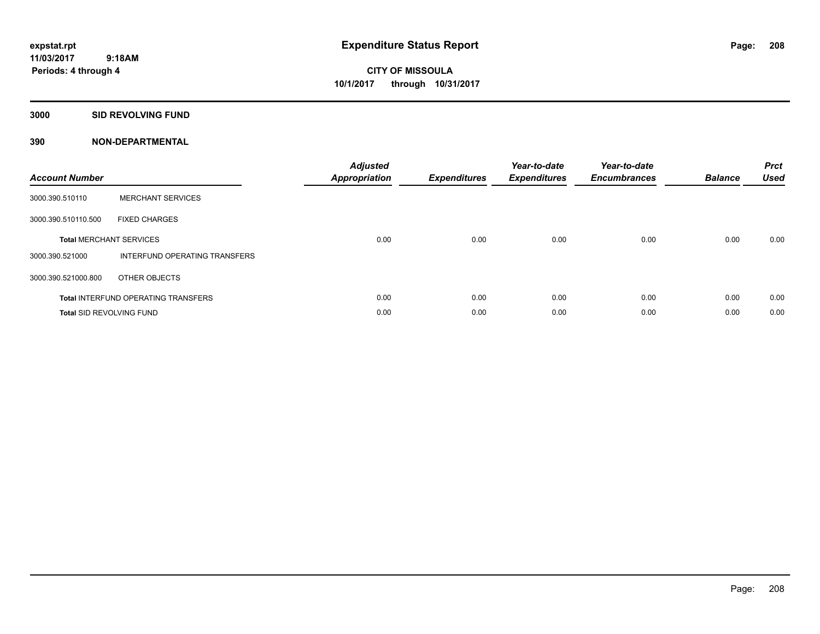**CITY OF MISSOULA 10/1/2017 through 10/31/2017**

**3000 SID REVOLVING FUND**

| <b>Account Number</b> |                                            | <b>Adjusted</b><br><b>Appropriation</b> | <b>Expenditures</b> | Year-to-date<br><b>Expenditures</b> | Year-to-date<br><b>Encumbrances</b> | <b>Balance</b> | <b>Prct</b><br><b>Used</b> |
|-----------------------|--------------------------------------------|-----------------------------------------|---------------------|-------------------------------------|-------------------------------------|----------------|----------------------------|
| 3000.390.510110       | <b>MERCHANT SERVICES</b>                   |                                         |                     |                                     |                                     |                |                            |
| 3000.390.510110.500   | <b>FIXED CHARGES</b>                       |                                         |                     |                                     |                                     |                |                            |
|                       | <b>Total MERCHANT SERVICES</b>             | 0.00                                    | 0.00                | 0.00                                | 0.00                                | 0.00           | 0.00                       |
| 3000.390.521000       | INTERFUND OPERATING TRANSFERS              |                                         |                     |                                     |                                     |                |                            |
| 3000.390.521000.800   | OTHER OBJECTS                              |                                         |                     |                                     |                                     |                |                            |
|                       | <b>Total INTERFUND OPERATING TRANSFERS</b> | 0.00                                    | 0.00                | 0.00                                | 0.00                                | 0.00           | 0.00                       |
|                       | <b>Total SID REVOLVING FUND</b>            | 0.00                                    | 0.00                | 0.00                                | 0.00                                | 0.00           | 0.00                       |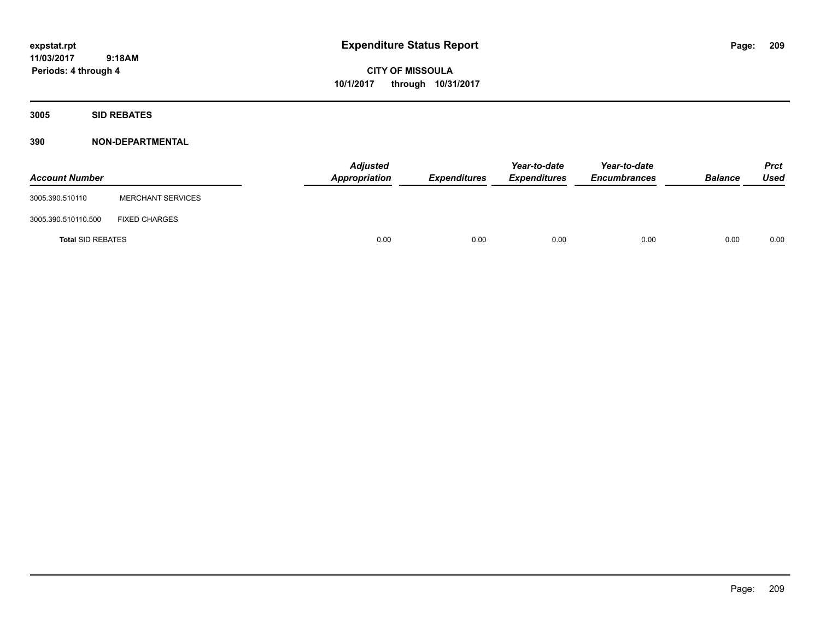**CITY OF MISSOULA 10/1/2017 through 10/31/2017**

**3005 SID REBATES**

| <b>Account Number</b>    |                          | <b>Adjusted</b><br>Appropriation | Expenditures | Year-to-date<br><b>Expenditures</b> | Year-to-date<br><b>Encumbrances</b> | <b>Balance</b> | <b>Prct</b><br>Used |
|--------------------------|--------------------------|----------------------------------|--------------|-------------------------------------|-------------------------------------|----------------|---------------------|
| 3005.390.510110          | <b>MERCHANT SERVICES</b> |                                  |              |                                     |                                     |                |                     |
| 3005.390.510110.500      | <b>FIXED CHARGES</b>     |                                  |              |                                     |                                     |                |                     |
| <b>Total SID REBATES</b> |                          | 0.00                             | 0.00         | 0.00                                | 0.00                                | 0.00           | 0.00                |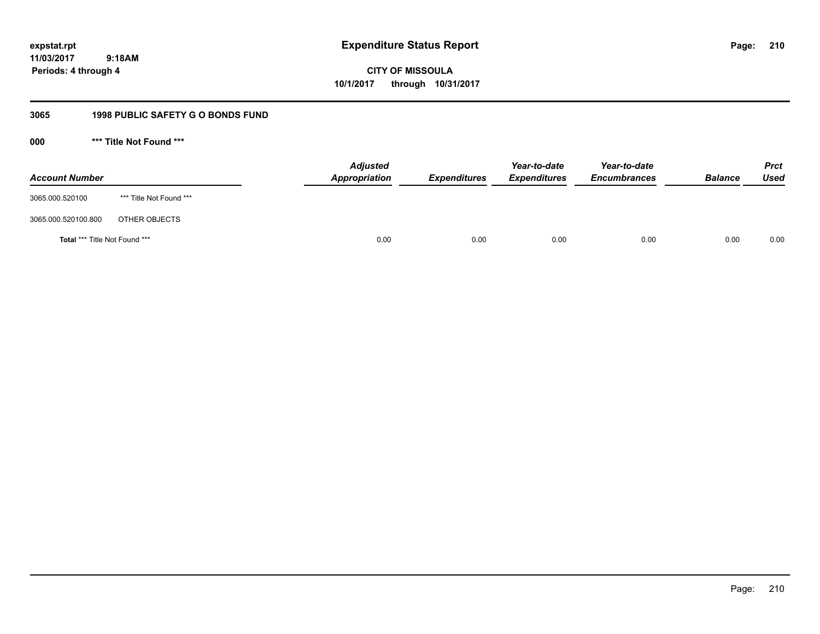**expstat.rpt Expenditure Status Report** 

**11/03/2017 9:18AM Periods: 4 through 4**

**CITY OF MISSOULA 10/1/2017 through 10/31/2017**

# **3065 1998 PUBLIC SAFETY G O BONDS FUND**

**000 \*\*\* Title Not Found \*\*\***

| <b>Account Number</b>         |                         | <b>Adjusted</b><br>Appropriation | <b>Expenditures</b> | Year-to-date<br><b>Expenditures</b> | Year-to-date<br><b>Encumbrances</b> | <b>Balance</b> | <b>Prct</b><br>Used |
|-------------------------------|-------------------------|----------------------------------|---------------------|-------------------------------------|-------------------------------------|----------------|---------------------|
| 3065.000.520100               | *** Title Not Found *** |                                  |                     |                                     |                                     |                |                     |
| 3065.000.520100.800           | OTHER OBJECTS           |                                  |                     |                                     |                                     |                |                     |
| Total *** Title Not Found *** |                         | 0.00                             | 0.00                | 0.00                                | 0.00                                | 0.00           | 0.00                |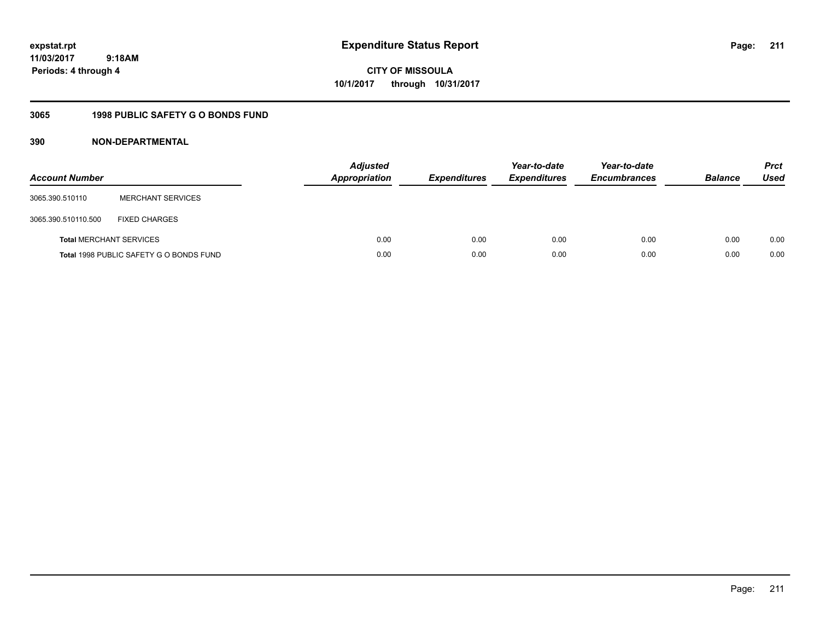**expstat.rpt Expenditure Status Report** 

**11/03/2017 9:18AM Periods: 4 through 4**

**CITY OF MISSOULA 10/1/2017 through 10/31/2017**

# **3065 1998 PUBLIC SAFETY G O BONDS FUND**

| <b>Account Number</b>          |                                         | <b>Adjusted</b><br><b>Appropriation</b> | <b>Expenditures</b> | Year-to-date<br><b>Expenditures</b> | Year-to-date<br><b>Encumbrances</b> | <b>Balance</b> | <b>Prct</b><br><b>Used</b> |
|--------------------------------|-----------------------------------------|-----------------------------------------|---------------------|-------------------------------------|-------------------------------------|----------------|----------------------------|
| 3065.390.510110                | <b>MERCHANT SERVICES</b>                |                                         |                     |                                     |                                     |                |                            |
| 3065.390.510110.500            | <b>FIXED CHARGES</b>                    |                                         |                     |                                     |                                     |                |                            |
| <b>Total MERCHANT SERVICES</b> |                                         | 0.00                                    | 0.00                | 0.00                                | 0.00                                | 0.00           | 0.00                       |
|                                | Total 1998 PUBLIC SAFETY G O BONDS FUND | 0.00                                    | 0.00                | 0.00                                | 0.00                                | 0.00           | 0.00                       |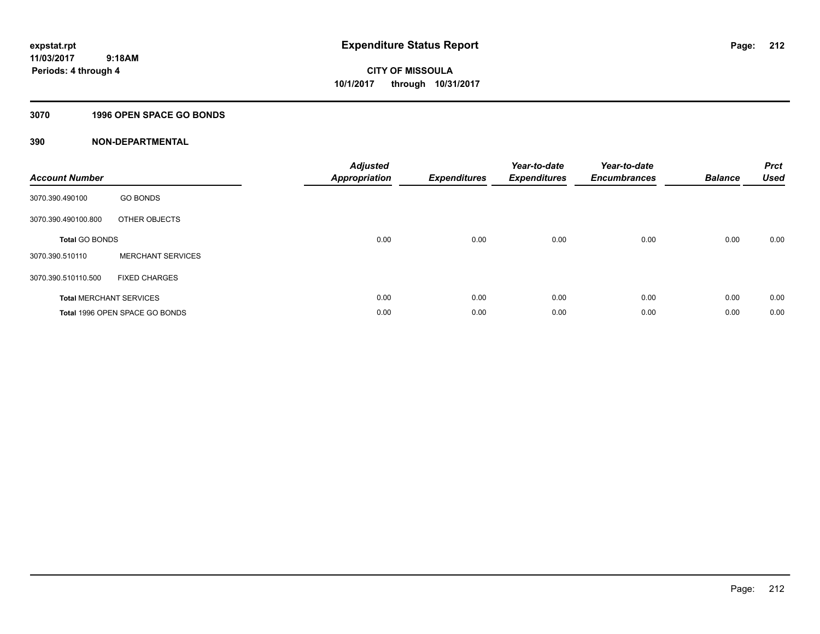# **3070 1996 OPEN SPACE GO BONDS**

| <b>Account Number</b> |                                | <b>Adjusted</b><br><b>Appropriation</b> | <b>Expenditures</b> | Year-to-date<br><b>Expenditures</b> | Year-to-date<br><b>Encumbrances</b> | <b>Balance</b> | <b>Prct</b><br><b>Used</b> |
|-----------------------|--------------------------------|-----------------------------------------|---------------------|-------------------------------------|-------------------------------------|----------------|----------------------------|
| 3070.390.490100       | <b>GO BONDS</b>                |                                         |                     |                                     |                                     |                |                            |
| 3070.390.490100.800   | OTHER OBJECTS                  |                                         |                     |                                     |                                     |                |                            |
| <b>Total GO BONDS</b> |                                | 0.00                                    | 0.00                | 0.00                                | 0.00                                | 0.00           | 0.00                       |
| 3070.390.510110       | <b>MERCHANT SERVICES</b>       |                                         |                     |                                     |                                     |                |                            |
| 3070.390.510110.500   | <b>FIXED CHARGES</b>           |                                         |                     |                                     |                                     |                |                            |
|                       | <b>Total MERCHANT SERVICES</b> | 0.00                                    | 0.00                | 0.00                                | 0.00                                | 0.00           | 0.00                       |
|                       | Total 1996 OPEN SPACE GO BONDS | 0.00                                    | 0.00                | 0.00                                | 0.00                                | 0.00           | 0.00                       |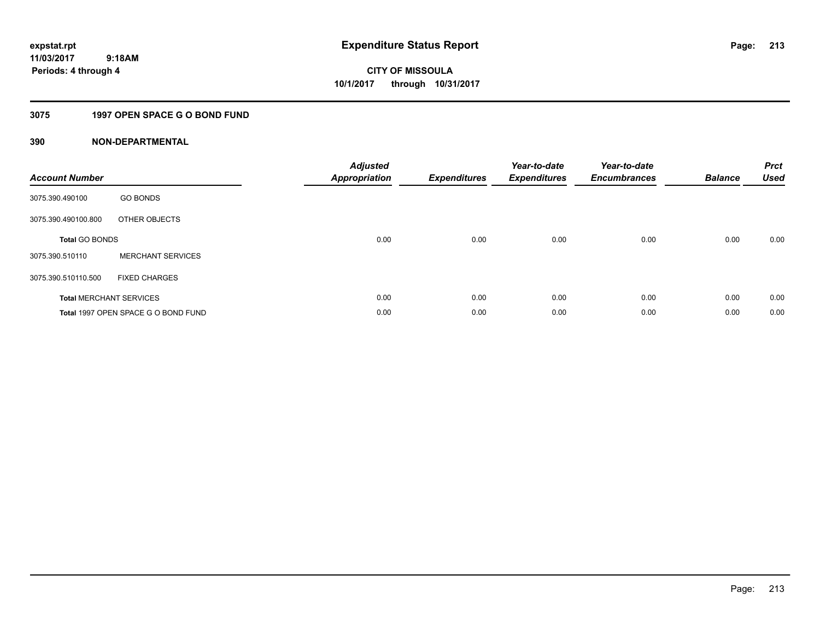**Periods: 4 through 4**

**213**

**CITY OF MISSOULA 10/1/2017 through 10/31/2017**

# **3075 1997 OPEN SPACE G O BOND FUND**

 **9:18AM**

| <b>Account Number</b> |                                     | <b>Adjusted</b><br><b>Appropriation</b> | <b>Expenditures</b> | Year-to-date<br><b>Expenditures</b> | Year-to-date<br><b>Encumbrances</b> | <b>Balance</b> | <b>Prct</b><br><b>Used</b> |
|-----------------------|-------------------------------------|-----------------------------------------|---------------------|-------------------------------------|-------------------------------------|----------------|----------------------------|
| 3075.390.490100       | <b>GO BONDS</b>                     |                                         |                     |                                     |                                     |                |                            |
| 3075.390.490100.800   | OTHER OBJECTS                       |                                         |                     |                                     |                                     |                |                            |
| <b>Total GO BONDS</b> |                                     | 0.00                                    | 0.00                | 0.00                                | 0.00                                | 0.00           | 0.00                       |
| 3075.390.510110       | <b>MERCHANT SERVICES</b>            |                                         |                     |                                     |                                     |                |                            |
| 3075.390.510110.500   | <b>FIXED CHARGES</b>                |                                         |                     |                                     |                                     |                |                            |
|                       | <b>Total MERCHANT SERVICES</b>      | 0.00                                    | 0.00                | 0.00                                | 0.00                                | 0.00           | 0.00                       |
|                       | Total 1997 OPEN SPACE G O BOND FUND | 0.00                                    | 0.00                | 0.00                                | 0.00                                | 0.00           | 0.00                       |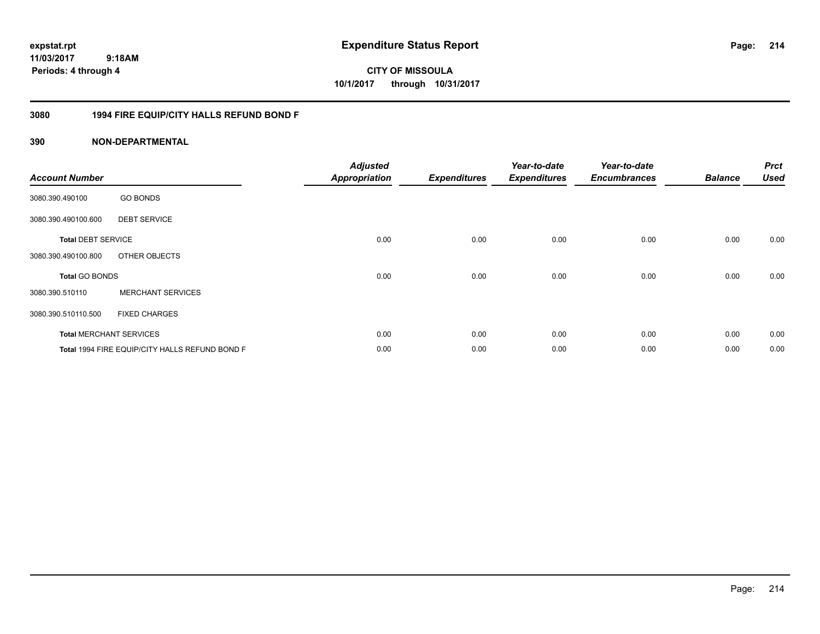**CITY OF MISSOULA 10/1/2017 through 10/31/2017**

# **3080 1994 FIRE EQUIP/CITY HALLS REFUND BOND F**

| <b>Account Number</b>     |                                                | <b>Adjusted</b><br><b>Appropriation</b> | <b>Expenditures</b> | Year-to-date<br><b>Expenditures</b> | Year-to-date<br><b>Encumbrances</b> | <b>Balance</b> | <b>Prct</b><br><b>Used</b> |
|---------------------------|------------------------------------------------|-----------------------------------------|---------------------|-------------------------------------|-------------------------------------|----------------|----------------------------|
| 3080.390.490100           | <b>GO BONDS</b>                                |                                         |                     |                                     |                                     |                |                            |
| 3080.390.490100.600       | <b>DEBT SERVICE</b>                            |                                         |                     |                                     |                                     |                |                            |
| <b>Total DEBT SERVICE</b> |                                                | 0.00                                    | 0.00                | 0.00                                | 0.00                                | 0.00           | 0.00                       |
| 3080.390.490100.800       | OTHER OBJECTS                                  |                                         |                     |                                     |                                     |                |                            |
| <b>Total GO BONDS</b>     |                                                | 0.00                                    | 0.00                | 0.00                                | 0.00                                | 0.00           | 0.00                       |
| 3080.390.510110           | <b>MERCHANT SERVICES</b>                       |                                         |                     |                                     |                                     |                |                            |
| 3080.390.510110.500       | <b>FIXED CHARGES</b>                           |                                         |                     |                                     |                                     |                |                            |
|                           | <b>Total MERCHANT SERVICES</b>                 | 0.00                                    | 0.00                | 0.00                                | 0.00                                | 0.00           | 0.00                       |
|                           | Total 1994 FIRE EQUIP/CITY HALLS REFUND BOND F | 0.00                                    | 0.00                | 0.00                                | 0.00                                | 0.00           | 0.00                       |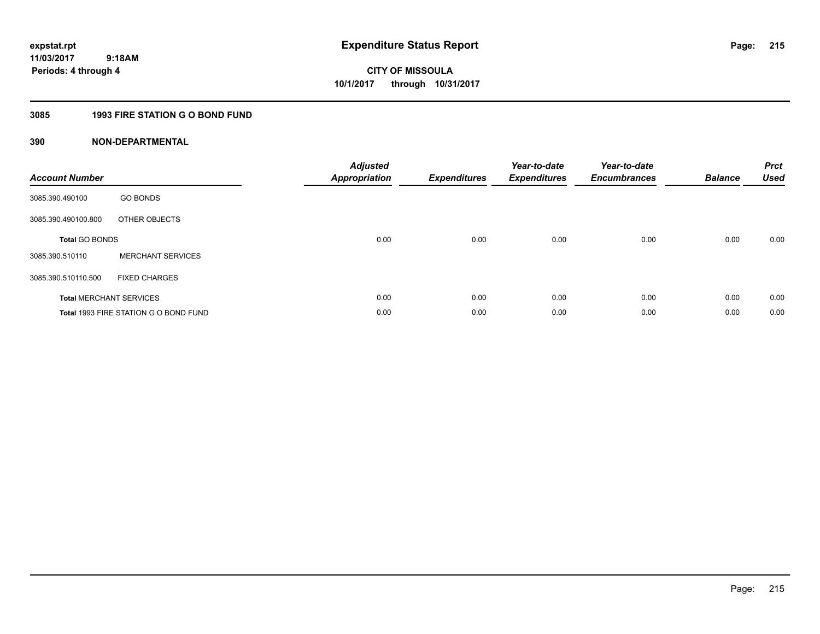**Periods: 4 through 4**

**215**

**CITY OF MISSOULA 10/1/2017 through 10/31/2017**

# **3085 1993 FIRE STATION G O BOND FUND**

 **9:18AM**

| <b>Account Number</b>          |                                       | <b>Adjusted</b><br><b>Appropriation</b> | <b>Expenditures</b> | Year-to-date<br><b>Expenditures</b> | Year-to-date<br><b>Encumbrances</b> | <b>Balance</b> | <b>Prct</b><br><b>Used</b> |
|--------------------------------|---------------------------------------|-----------------------------------------|---------------------|-------------------------------------|-------------------------------------|----------------|----------------------------|
| 3085.390.490100                | <b>GO BONDS</b>                       |                                         |                     |                                     |                                     |                |                            |
| 3085.390.490100.800            | OTHER OBJECTS                         |                                         |                     |                                     |                                     |                |                            |
| <b>Total GO BONDS</b>          |                                       | 0.00                                    | 0.00                | 0.00                                | 0.00                                | 0.00           | 0.00                       |
| 3085.390.510110                | <b>MERCHANT SERVICES</b>              |                                         |                     |                                     |                                     |                |                            |
| 3085.390.510110.500            | <b>FIXED CHARGES</b>                  |                                         |                     |                                     |                                     |                |                            |
| <b>Total MERCHANT SERVICES</b> |                                       | 0.00                                    | 0.00                | 0.00                                | 0.00                                | 0.00           | 0.00                       |
|                                | Total 1993 FIRE STATION G O BOND FUND | 0.00                                    | 0.00                | 0.00                                | 0.00                                | 0.00           | 0.00                       |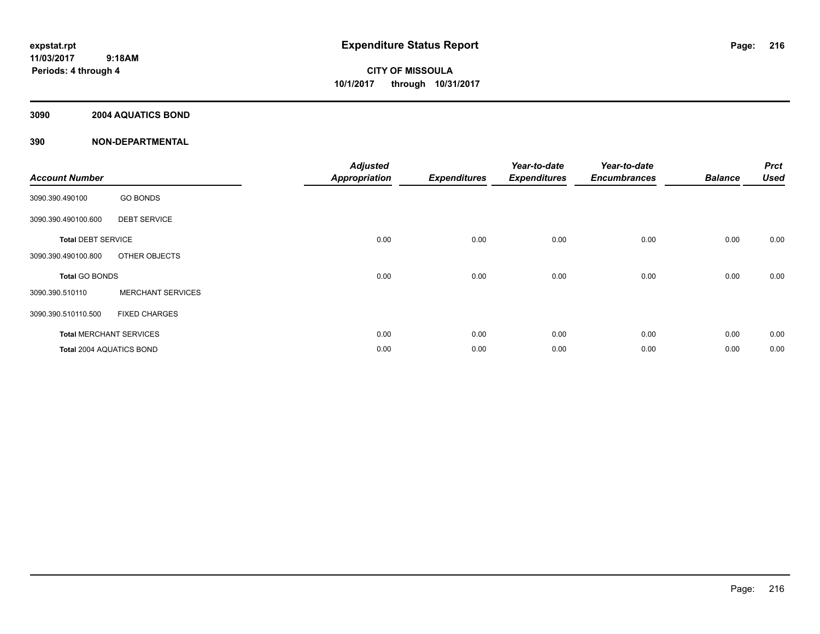**Periods: 4 through 4**

**CITY OF MISSOULA 10/1/2017 through 10/31/2017**

# **3090 2004 AQUATICS BOND**

 **9:18AM**

| <b>Account Number</b>     |                                | <b>Adjusted</b><br><b>Appropriation</b> | <b>Expenditures</b> | Year-to-date<br><b>Expenditures</b> | Year-to-date<br><b>Encumbrances</b> | <b>Balance</b> | <b>Prct</b><br><b>Used</b> |
|---------------------------|--------------------------------|-----------------------------------------|---------------------|-------------------------------------|-------------------------------------|----------------|----------------------------|
| 3090.390.490100           | <b>GO BONDS</b>                |                                         |                     |                                     |                                     |                |                            |
| 3090.390.490100.600       | <b>DEBT SERVICE</b>            |                                         |                     |                                     |                                     |                |                            |
| <b>Total DEBT SERVICE</b> |                                | 0.00                                    | 0.00                | 0.00                                | 0.00                                | 0.00           | 0.00                       |
| 3090.390.490100.800       | OTHER OBJECTS                  |                                         |                     |                                     |                                     |                |                            |
| <b>Total GO BONDS</b>     |                                | 0.00                                    | 0.00                | 0.00                                | 0.00                                | 0.00           | 0.00                       |
| 3090.390.510110           | <b>MERCHANT SERVICES</b>       |                                         |                     |                                     |                                     |                |                            |
| 3090.390.510110.500       | <b>FIXED CHARGES</b>           |                                         |                     |                                     |                                     |                |                            |
|                           | <b>Total MERCHANT SERVICES</b> | 0.00                                    | 0.00                | 0.00                                | 0.00                                | 0.00           | 0.00                       |
| Total 2004 AQUATICS BOND  |                                | 0.00                                    | 0.00                | 0.00                                | 0.00                                | 0.00           | 0.00                       |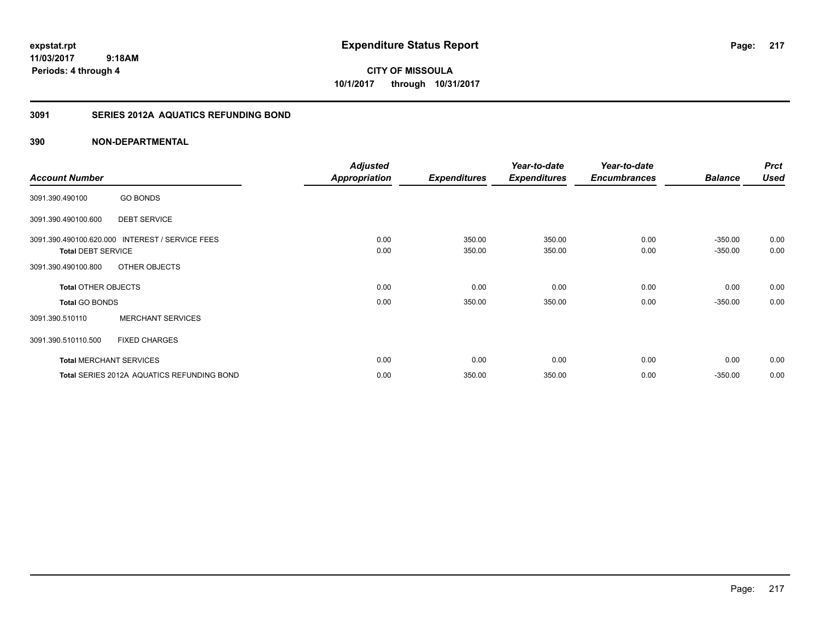**CITY OF MISSOULA 10/1/2017 through 10/31/2017**

## **3091 SERIES 2012A AQUATICS REFUNDING BOND**

|                            |                                                 | <b>Adjusted</b>      |                     | Year-to-date        | Year-to-date        |                        | <b>Prct</b>  |
|----------------------------|-------------------------------------------------|----------------------|---------------------|---------------------|---------------------|------------------------|--------------|
| <b>Account Number</b>      |                                                 | <b>Appropriation</b> | <b>Expenditures</b> | <b>Expenditures</b> | <b>Encumbrances</b> | <b>Balance</b>         | <b>Used</b>  |
| 3091.390.490100            | <b>GO BONDS</b>                                 |                      |                     |                     |                     |                        |              |
| 3091.390.490100.600        | <b>DEBT SERVICE</b>                             |                      |                     |                     |                     |                        |              |
| <b>Total DEBT SERVICE</b>  | 3091.390.490100.620.000 INTEREST / SERVICE FEES | 0.00<br>0.00         | 350.00<br>350.00    | 350.00<br>350.00    | 0.00<br>0.00        | $-350.00$<br>$-350.00$ | 0.00<br>0.00 |
| 3091.390.490100.800        | OTHER OBJECTS                                   |                      |                     |                     |                     |                        |              |
| <b>Total OTHER OBJECTS</b> |                                                 | 0.00                 | 0.00                | 0.00                | 0.00                | 0.00                   | 0.00         |
| <b>Total GO BONDS</b>      |                                                 | 0.00                 | 350.00              | 350.00              | 0.00                | $-350.00$              | 0.00         |
| 3091.390.510110            | <b>MERCHANT SERVICES</b>                        |                      |                     |                     |                     |                        |              |
| 3091.390.510110.500        | <b>FIXED CHARGES</b>                            |                      |                     |                     |                     |                        |              |
|                            | <b>Total MERCHANT SERVICES</b>                  | 0.00                 | 0.00                | 0.00                | 0.00                | 0.00                   | 0.00         |
|                            | Total SERIES 2012A AQUATICS REFUNDING BOND      | 0.00                 | 350.00              | 350.00              | 0.00                | $-350.00$              | 0.00         |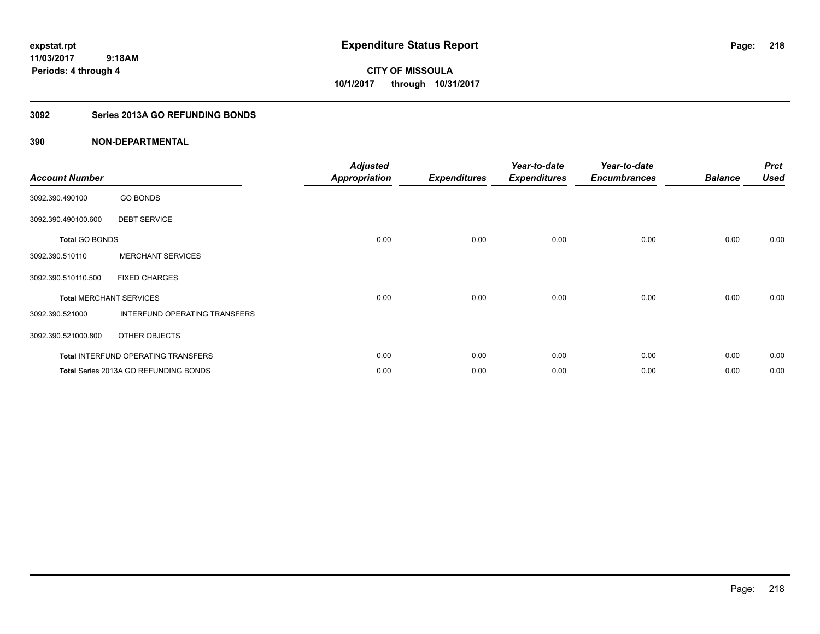**CITY OF MISSOULA 10/1/2017 through 10/31/2017**

## **3092 Series 2013A GO REFUNDING BONDS**

| <b>Account Number</b>          |                                              | <b>Adjusted</b><br><b>Appropriation</b> | <b>Expenditures</b> | Year-to-date<br><b>Expenditures</b> | Year-to-date<br><b>Encumbrances</b> | <b>Balance</b> | <b>Prct</b><br><b>Used</b> |
|--------------------------------|----------------------------------------------|-----------------------------------------|---------------------|-------------------------------------|-------------------------------------|----------------|----------------------------|
| 3092.390.490100                | <b>GO BONDS</b>                              |                                         |                     |                                     |                                     |                |                            |
| 3092.390.490100.600            | <b>DEBT SERVICE</b>                          |                                         |                     |                                     |                                     |                |                            |
| <b>Total GO BONDS</b>          |                                              | 0.00                                    | 0.00                | 0.00                                | 0.00                                | 0.00           | 0.00                       |
| 3092.390.510110                | <b>MERCHANT SERVICES</b>                     |                                         |                     |                                     |                                     |                |                            |
| 3092.390.510110.500            | <b>FIXED CHARGES</b>                         |                                         |                     |                                     |                                     |                |                            |
| <b>Total MERCHANT SERVICES</b> |                                              | 0.00                                    | 0.00                | 0.00                                | 0.00                                | 0.00           | 0.00                       |
| 3092.390.521000                | INTERFUND OPERATING TRANSFERS                |                                         |                     |                                     |                                     |                |                            |
| 3092.390.521000.800            | OTHER OBJECTS                                |                                         |                     |                                     |                                     |                |                            |
|                                | Total INTERFUND OPERATING TRANSFERS          | 0.00                                    | 0.00                | 0.00                                | 0.00                                | 0.00           | 0.00                       |
|                                | <b>Total Series 2013A GO REFUNDING BONDS</b> | 0.00                                    | 0.00                | 0.00                                | 0.00                                | 0.00           | 0.00                       |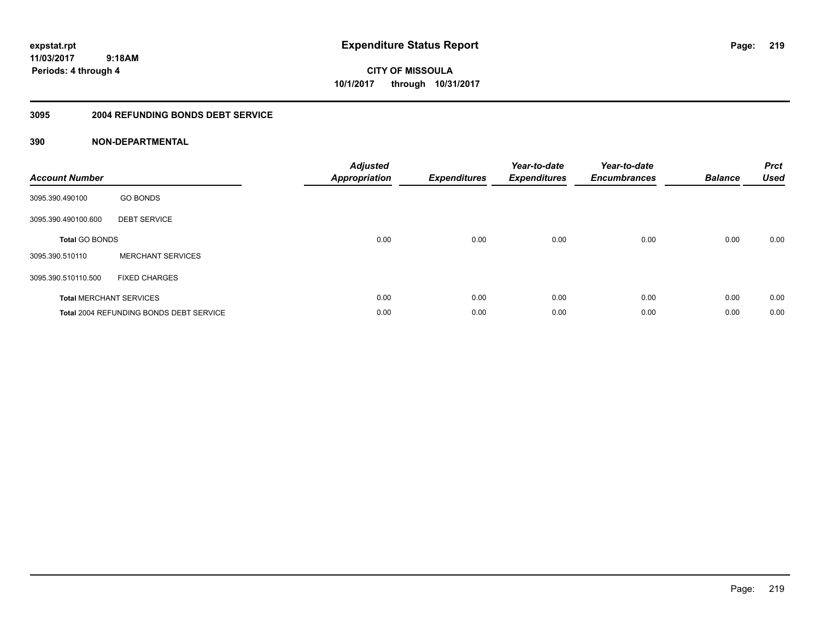**expstat.rpt Expenditure Status Report** 

**11/03/2017 9:18AM Periods: 4 through 4**

**CITY OF MISSOULA 10/1/2017 through 10/31/2017**

#### **3095 2004 REFUNDING BONDS DEBT SERVICE**

| <b>Account Number</b> |                                                | <b>Adjusted</b><br>Appropriation | <b>Expenditures</b> | Year-to-date<br><b>Expenditures</b> | Year-to-date<br><b>Encumbrances</b> | <b>Balance</b> | <b>Prct</b><br><b>Used</b> |
|-----------------------|------------------------------------------------|----------------------------------|---------------------|-------------------------------------|-------------------------------------|----------------|----------------------------|
| 3095.390.490100       | <b>GO BONDS</b>                                |                                  |                     |                                     |                                     |                |                            |
| 3095.390.490100.600   | <b>DEBT SERVICE</b>                            |                                  |                     |                                     |                                     |                |                            |
| <b>Total GO BONDS</b> |                                                | 0.00                             | 0.00                | 0.00                                | 0.00                                | 0.00           | 0.00                       |
| 3095.390.510110       | <b>MERCHANT SERVICES</b>                       |                                  |                     |                                     |                                     |                |                            |
| 3095.390.510110.500   | <b>FIXED CHARGES</b>                           |                                  |                     |                                     |                                     |                |                            |
|                       | <b>Total MERCHANT SERVICES</b>                 | 0.00                             | 0.00                | 0.00                                | 0.00                                | 0.00           | 0.00                       |
|                       | <b>Total 2004 REFUNDING BONDS DEBT SERVICE</b> | 0.00                             | 0.00                | 0.00                                | 0.00                                | 0.00           | 0.00                       |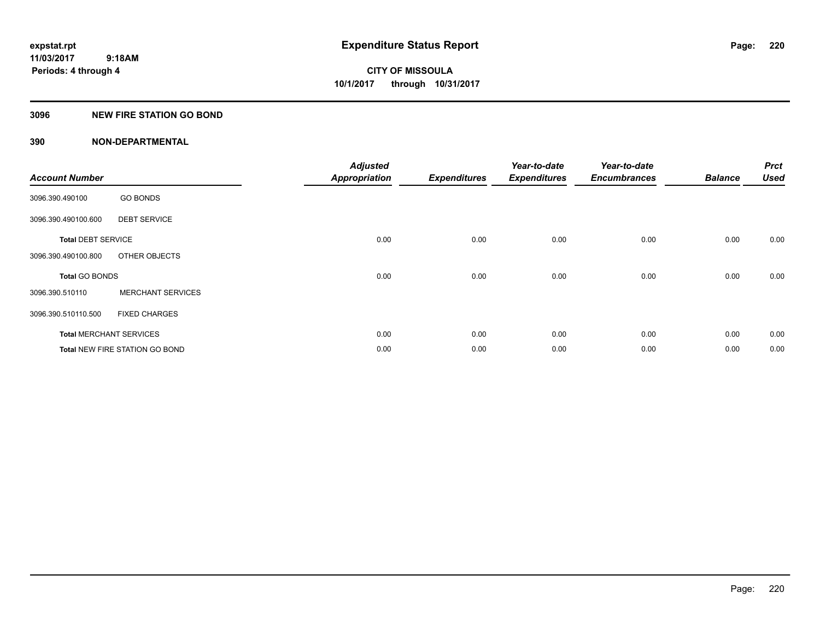## **3096 NEW FIRE STATION GO BOND**

| <b>Account Number</b>     |                                       | <b>Adjusted</b><br><b>Appropriation</b> | <b>Expenditures</b> | Year-to-date<br><b>Expenditures</b> | Year-to-date<br><b>Encumbrances</b> | <b>Balance</b> | <b>Prct</b><br><b>Used</b> |
|---------------------------|---------------------------------------|-----------------------------------------|---------------------|-------------------------------------|-------------------------------------|----------------|----------------------------|
| 3096.390.490100           | <b>GO BONDS</b>                       |                                         |                     |                                     |                                     |                |                            |
| 3096.390.490100.600       | <b>DEBT SERVICE</b>                   |                                         |                     |                                     |                                     |                |                            |
| <b>Total DEBT SERVICE</b> |                                       | 0.00                                    | 0.00                | 0.00                                | 0.00                                | 0.00           | 0.00                       |
| 3096.390.490100.800       | OTHER OBJECTS                         |                                         |                     |                                     |                                     |                |                            |
| <b>Total GO BONDS</b>     |                                       | 0.00                                    | 0.00                | 0.00                                | 0.00                                | 0.00           | 0.00                       |
| 3096.390.510110           | <b>MERCHANT SERVICES</b>              |                                         |                     |                                     |                                     |                |                            |
| 3096.390.510110.500       | <b>FIXED CHARGES</b>                  |                                         |                     |                                     |                                     |                |                            |
|                           | <b>Total MERCHANT SERVICES</b>        | 0.00                                    | 0.00                | 0.00                                | 0.00                                | 0.00           | 0.00                       |
|                           | <b>Total NEW FIRE STATION GO BOND</b> | 0.00                                    | 0.00                | 0.00                                | 0.00                                | 0.00           | 0.00                       |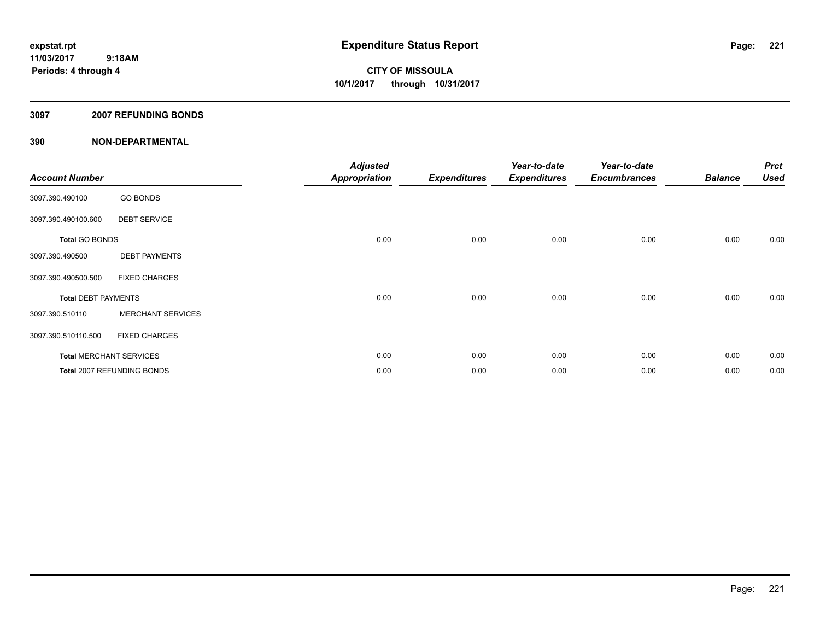## **3097 2007 REFUNDING BONDS**

| <b>Account Number</b>      |                                | <b>Adjusted</b><br><b>Appropriation</b> | <b>Expenditures</b> | Year-to-date<br><b>Expenditures</b> | Year-to-date<br><b>Encumbrances</b> | <b>Balance</b> | <b>Prct</b><br><b>Used</b> |
|----------------------------|--------------------------------|-----------------------------------------|---------------------|-------------------------------------|-------------------------------------|----------------|----------------------------|
| 3097.390.490100            | <b>GO BONDS</b>                |                                         |                     |                                     |                                     |                |                            |
| 3097.390.490100.600        | <b>DEBT SERVICE</b>            |                                         |                     |                                     |                                     |                |                            |
| <b>Total GO BONDS</b>      |                                | 0.00                                    | 0.00                | 0.00                                | 0.00                                | 0.00           | 0.00                       |
| 3097.390.490500            | <b>DEBT PAYMENTS</b>           |                                         |                     |                                     |                                     |                |                            |
| 3097.390.490500.500        | <b>FIXED CHARGES</b>           |                                         |                     |                                     |                                     |                |                            |
| <b>Total DEBT PAYMENTS</b> |                                | 0.00                                    | 0.00                | 0.00                                | 0.00                                | 0.00           | 0.00                       |
| 3097.390.510110            | <b>MERCHANT SERVICES</b>       |                                         |                     |                                     |                                     |                |                            |
| 3097.390.510110.500        | <b>FIXED CHARGES</b>           |                                         |                     |                                     |                                     |                |                            |
|                            | <b>Total MERCHANT SERVICES</b> | 0.00                                    | 0.00                | 0.00                                | 0.00                                | 0.00           | 0.00                       |
|                            | Total 2007 REFUNDING BONDS     | 0.00                                    | 0.00                | 0.00                                | 0.00                                | 0.00           | 0.00                       |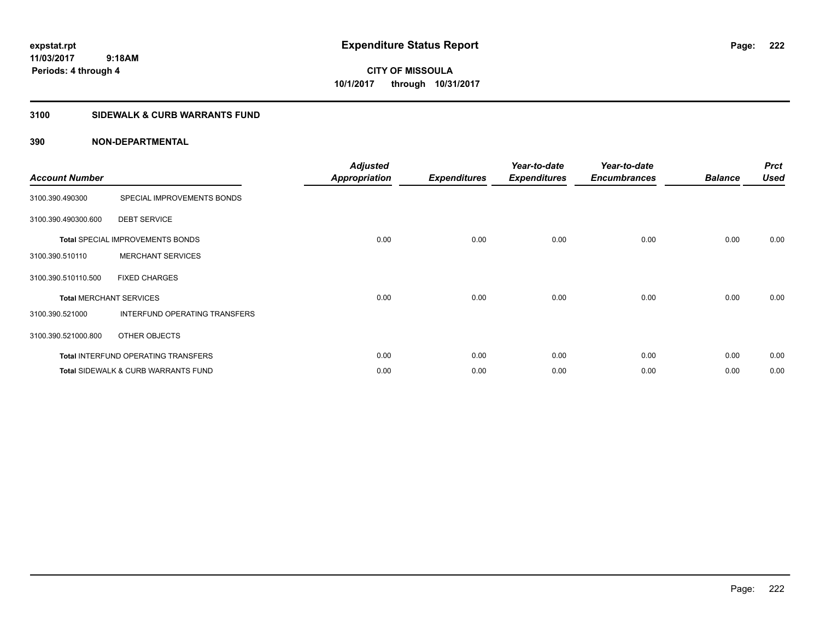**CITY OF MISSOULA 10/1/2017 through 10/31/2017**

## **3100 SIDEWALK & CURB WARRANTS FUND**

| <b>Account Number</b>          |                                                | <b>Adjusted</b><br><b>Appropriation</b> | <b>Expenditures</b> | Year-to-date<br><b>Expenditures</b> | Year-to-date<br><b>Encumbrances</b> | <b>Balance</b> | <b>Prct</b><br><b>Used</b> |
|--------------------------------|------------------------------------------------|-----------------------------------------|---------------------|-------------------------------------|-------------------------------------|----------------|----------------------------|
| 3100.390.490300                | SPECIAL IMPROVEMENTS BONDS                     |                                         |                     |                                     |                                     |                |                            |
| 3100.390.490300.600            | <b>DEBT SERVICE</b>                            |                                         |                     |                                     |                                     |                |                            |
|                                | <b>Total SPECIAL IMPROVEMENTS BONDS</b>        | 0.00                                    | 0.00                | 0.00                                | 0.00                                | 0.00           | 0.00                       |
| 3100.390.510110                | <b>MERCHANT SERVICES</b>                       |                                         |                     |                                     |                                     |                |                            |
| 3100.390.510110.500            | <b>FIXED CHARGES</b>                           |                                         |                     |                                     |                                     |                |                            |
| <b>Total MERCHANT SERVICES</b> |                                                | 0.00                                    | 0.00                | 0.00                                | 0.00                                | 0.00           | 0.00                       |
| 3100.390.521000                | INTERFUND OPERATING TRANSFERS                  |                                         |                     |                                     |                                     |                |                            |
| 3100.390.521000.800            | OTHER OBJECTS                                  |                                         |                     |                                     |                                     |                |                            |
|                                | Total INTERFUND OPERATING TRANSFERS            | 0.00                                    | 0.00                | 0.00                                | 0.00                                | 0.00           | 0.00                       |
|                                | <b>Total SIDEWALK &amp; CURB WARRANTS FUND</b> | 0.00                                    | 0.00                | 0.00                                | 0.00                                | 0.00           | 0.00                       |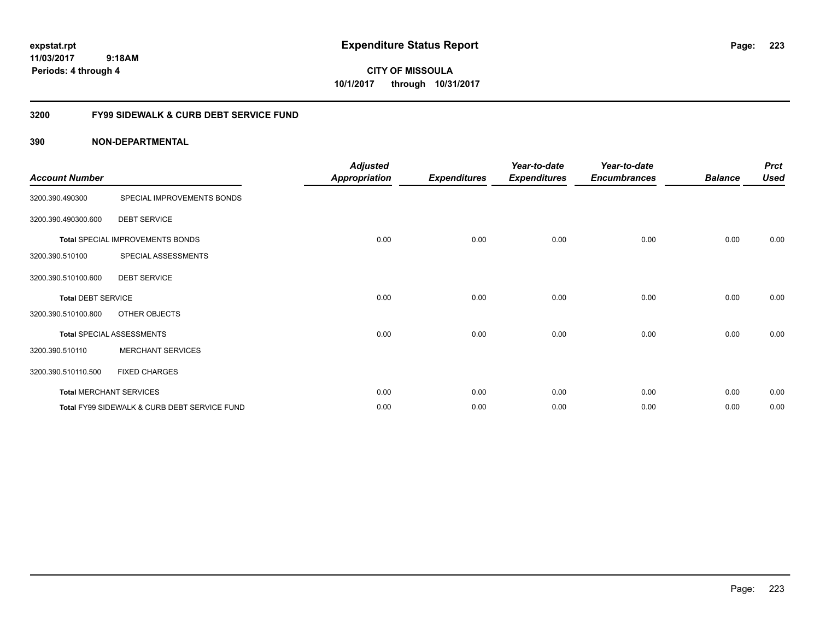**CITY OF MISSOULA 10/1/2017 through 10/31/2017**

## **3200 FY99 SIDEWALK & CURB DEBT SERVICE FUND**

| <b>Account Number</b>     |                                              | <b>Adjusted</b><br><b>Appropriation</b> | <b>Expenditures</b> | Year-to-date<br><b>Expenditures</b> | Year-to-date<br><b>Encumbrances</b> | <b>Balance</b> | <b>Prct</b><br><b>Used</b> |
|---------------------------|----------------------------------------------|-----------------------------------------|---------------------|-------------------------------------|-------------------------------------|----------------|----------------------------|
| 3200.390.490300           | SPECIAL IMPROVEMENTS BONDS                   |                                         |                     |                                     |                                     |                |                            |
| 3200.390.490300.600       | <b>DEBT SERVICE</b>                          |                                         |                     |                                     |                                     |                |                            |
|                           | Total SPECIAL IMPROVEMENTS BONDS             | 0.00                                    | 0.00                | 0.00                                | 0.00                                | 0.00           | 0.00                       |
| 3200.390.510100           | SPECIAL ASSESSMENTS                          |                                         |                     |                                     |                                     |                |                            |
| 3200.390.510100.600       | <b>DEBT SERVICE</b>                          |                                         |                     |                                     |                                     |                |                            |
| <b>Total DEBT SERVICE</b> |                                              | 0.00                                    | 0.00                | 0.00                                | 0.00                                | 0.00           | 0.00                       |
| 3200.390.510100.800       | OTHER OBJECTS                                |                                         |                     |                                     |                                     |                |                            |
|                           | <b>Total SPECIAL ASSESSMENTS</b>             | 0.00                                    | 0.00                | 0.00                                | 0.00                                | 0.00           | 0.00                       |
| 3200.390.510110           | <b>MERCHANT SERVICES</b>                     |                                         |                     |                                     |                                     |                |                            |
| 3200.390.510110.500       | <b>FIXED CHARGES</b>                         |                                         |                     |                                     |                                     |                |                            |
|                           | <b>Total MERCHANT SERVICES</b>               | 0.00                                    | 0.00                | 0.00                                | 0.00                                | 0.00           | 0.00                       |
|                           | Total FY99 SIDEWALK & CURB DEBT SERVICE FUND | 0.00                                    | 0.00                | 0.00                                | 0.00                                | 0.00           | 0.00                       |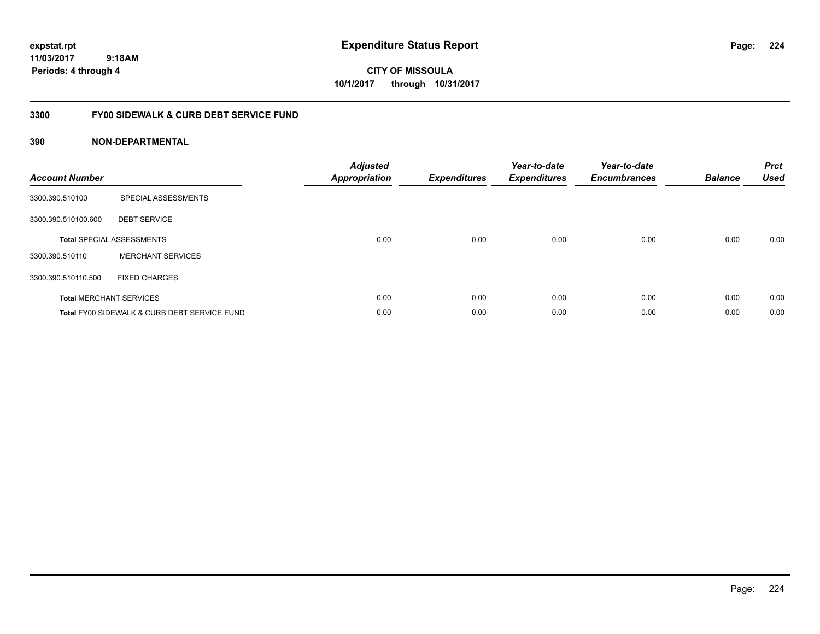**CITY OF MISSOULA 10/1/2017 through 10/31/2017**

## **3300 FY00 SIDEWALK & CURB DEBT SERVICE FUND**

| <b>Account Number</b> |                                              | <b>Adjusted</b><br>Appropriation | <b>Expenditures</b> | Year-to-date<br><b>Expenditures</b> | Year-to-date<br><b>Encumbrances</b> | <b>Balance</b> | <b>Prct</b><br><b>Used</b> |
|-----------------------|----------------------------------------------|----------------------------------|---------------------|-------------------------------------|-------------------------------------|----------------|----------------------------|
| 3300.390.510100       | SPECIAL ASSESSMENTS                          |                                  |                     |                                     |                                     |                |                            |
| 3300.390.510100.600   | <b>DEBT SERVICE</b>                          |                                  |                     |                                     |                                     |                |                            |
|                       | <b>Total SPECIAL ASSESSMENTS</b>             | 0.00                             | 0.00                | 0.00                                | 0.00                                | 0.00           | 0.00                       |
| 3300.390.510110       | <b>MERCHANT SERVICES</b>                     |                                  |                     |                                     |                                     |                |                            |
| 3300.390.510110.500   | <b>FIXED CHARGES</b>                         |                                  |                     |                                     |                                     |                |                            |
|                       | <b>Total MERCHANT SERVICES</b>               | 0.00                             | 0.00                | 0.00                                | 0.00                                | 0.00           | 0.00                       |
|                       | Total FY00 SIDEWALK & CURB DEBT SERVICE FUND | 0.00                             | 0.00                | 0.00                                | 0.00                                | 0.00           | 0.00                       |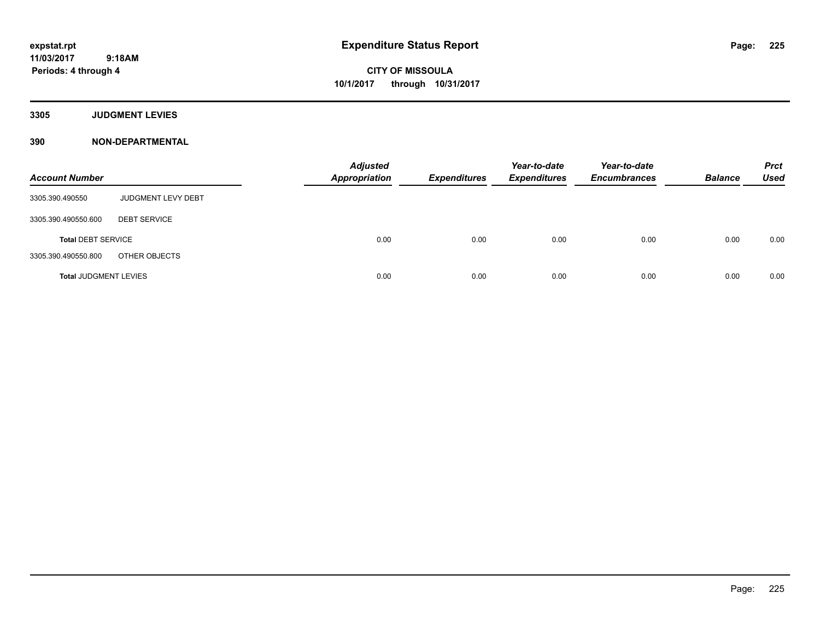**CITY OF MISSOULA 10/1/2017 through 10/31/2017**

**3305 JUDGMENT LEVIES**

| <b>Account Number</b>        |                     | <b>Adjusted</b><br><b>Appropriation</b> | <b>Expenditures</b> | Year-to-date<br><b>Expenditures</b> | Year-to-date<br><b>Encumbrances</b> | <b>Balance</b> | <b>Prct</b><br>Used |
|------------------------------|---------------------|-----------------------------------------|---------------------|-------------------------------------|-------------------------------------|----------------|---------------------|
| 3305.390.490550              | JUDGMENT LEVY DEBT  |                                         |                     |                                     |                                     |                |                     |
| 3305.390.490550.600          | <b>DEBT SERVICE</b> |                                         |                     |                                     |                                     |                |                     |
| <b>Total DEBT SERVICE</b>    |                     | 0.00                                    | 0.00                | 0.00                                | 0.00                                | 0.00           | 0.00                |
| 3305.390.490550.800          | OTHER OBJECTS       |                                         |                     |                                     |                                     |                |                     |
| <b>Total JUDGMENT LEVIES</b> |                     | 0.00                                    | 0.00                | 0.00                                | 0.00                                | 0.00           | 0.00                |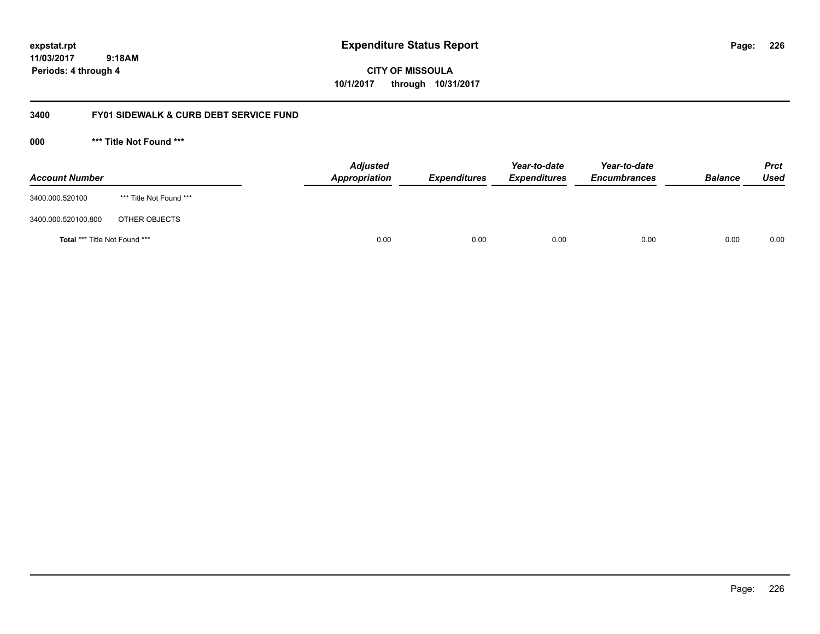**CITY OF MISSOULA 10/1/2017 through 10/31/2017**

## **3400 FY01 SIDEWALK & CURB DEBT SERVICE FUND**

**000 \*\*\* Title Not Found \*\*\***

| <b>Account Number</b>         |                         | <b>Adjusted</b><br>Appropriation | <b>Expenditures</b> | Year-to-date<br><b>Expenditures</b> | Year-to-date<br><b>Encumbrances</b> | <b>Balance</b> | <b>Prct</b><br>Used |
|-------------------------------|-------------------------|----------------------------------|---------------------|-------------------------------------|-------------------------------------|----------------|---------------------|
| 3400.000.520100               | *** Title Not Found *** |                                  |                     |                                     |                                     |                |                     |
| 3400.000.520100.800           | OTHER OBJECTS           |                                  |                     |                                     |                                     |                |                     |
| Total *** Title Not Found *** |                         | 0.00                             | 0.00                | 0.00                                | 0.00                                | 0.00           | 0.00                |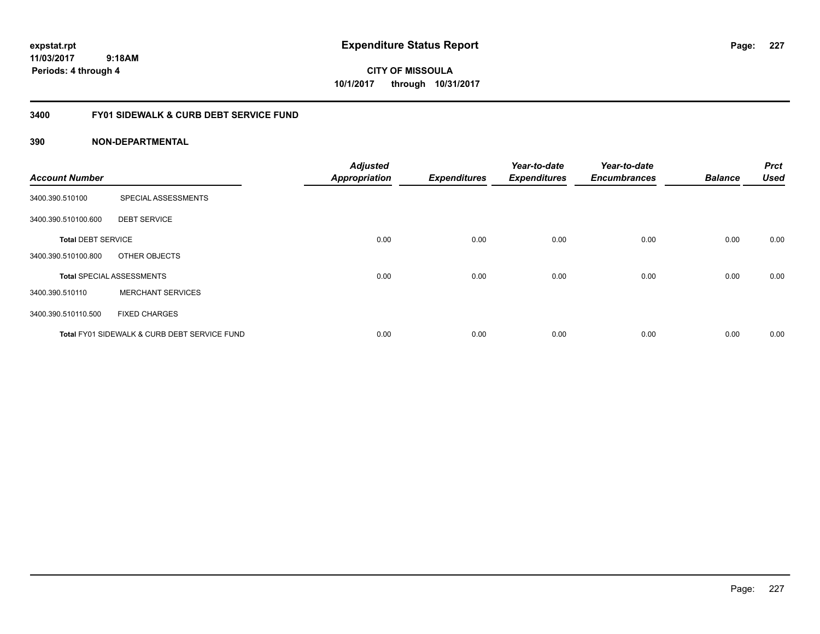**CITY OF MISSOULA 10/1/2017 through 10/31/2017**

## **3400 FY01 SIDEWALK & CURB DEBT SERVICE FUND**

| <b>Account Number</b>     |                                              | <b>Adjusted</b><br><b>Appropriation</b> | <b>Expenditures</b> | Year-to-date<br><b>Expenditures</b> | Year-to-date<br><b>Encumbrances</b> | <b>Balance</b> | <b>Prct</b><br><b>Used</b> |
|---------------------------|----------------------------------------------|-----------------------------------------|---------------------|-------------------------------------|-------------------------------------|----------------|----------------------------|
| 3400.390.510100           | SPECIAL ASSESSMENTS                          |                                         |                     |                                     |                                     |                |                            |
| 3400.390.510100.600       | <b>DEBT SERVICE</b>                          |                                         |                     |                                     |                                     |                |                            |
| <b>Total DEBT SERVICE</b> |                                              | 0.00                                    | 0.00                | 0.00                                | 0.00                                | 0.00           | 0.00                       |
| 3400.390.510100.800       | OTHER OBJECTS                                |                                         |                     |                                     |                                     |                |                            |
|                           | <b>Total SPECIAL ASSESSMENTS</b>             | 0.00                                    | 0.00                | 0.00                                | 0.00                                | 0.00           | 0.00                       |
| 3400.390.510110           | <b>MERCHANT SERVICES</b>                     |                                         |                     |                                     |                                     |                |                            |
| 3400.390.510110.500       | <b>FIXED CHARGES</b>                         |                                         |                     |                                     |                                     |                |                            |
|                           | Total FY01 SIDEWALK & CURB DEBT SERVICE FUND | 0.00                                    | 0.00                | 0.00                                | 0.00                                | 0.00           | 0.00                       |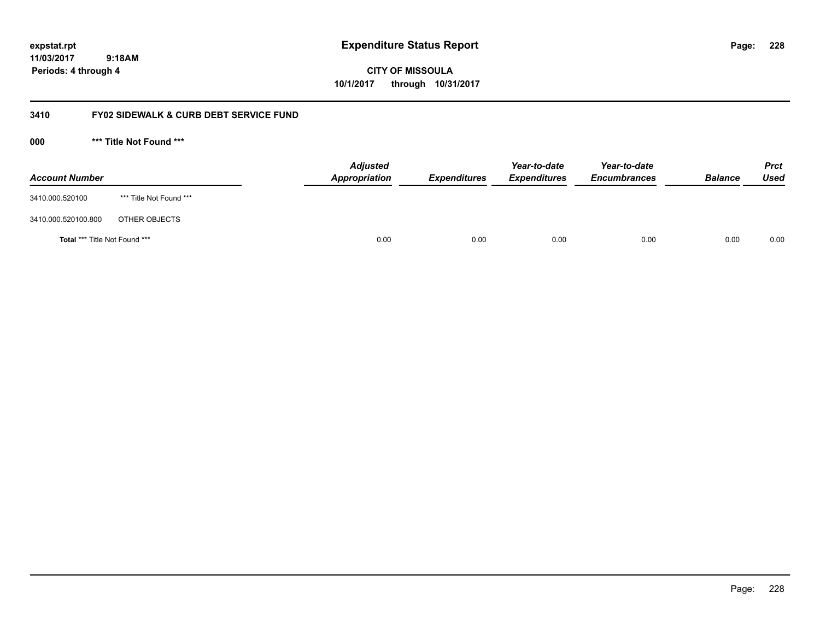**CITY OF MISSOULA 10/1/2017 through 10/31/2017**

## **3410 FY02 SIDEWALK & CURB DEBT SERVICE FUND**

**000 \*\*\* Title Not Found \*\*\***

| <b>Account Number</b>         |                         | <b>Adjusted</b><br>Appropriation | <b>Expenditures</b> | Year-to-date<br><b>Expenditures</b> | Year-to-date<br><b>Encumbrances</b> | <b>Balance</b> | <b>Prct</b><br><b>Used</b> |
|-------------------------------|-------------------------|----------------------------------|---------------------|-------------------------------------|-------------------------------------|----------------|----------------------------|
| 3410.000.520100               | *** Title Not Found *** |                                  |                     |                                     |                                     |                |                            |
| 3410.000.520100.800           | OTHER OBJECTS           |                                  |                     |                                     |                                     |                |                            |
| Total *** Title Not Found *** |                         | 0.00                             | 0.00                | 0.00                                | 0.00                                | 0.00           | 0.00                       |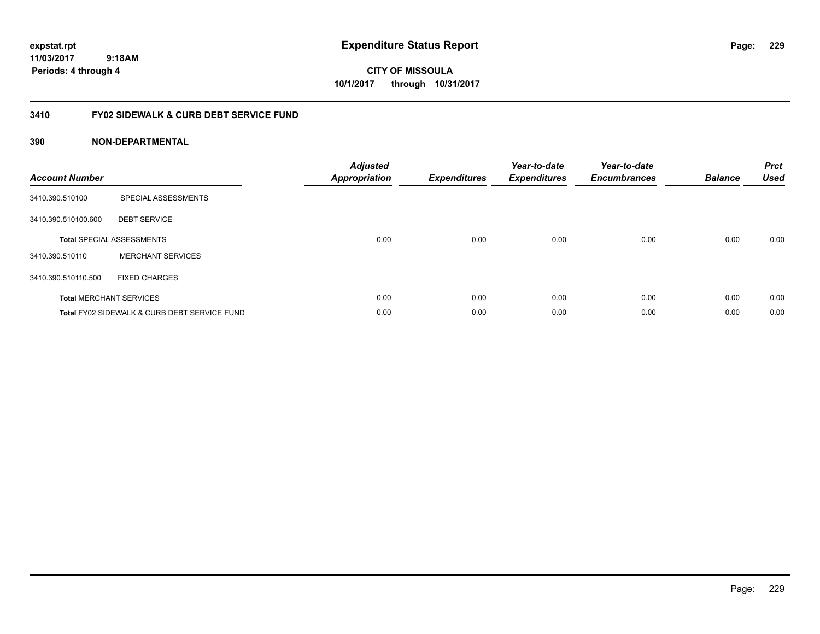**CITY OF MISSOULA 10/1/2017 through 10/31/2017**

## **3410 FY02 SIDEWALK & CURB DEBT SERVICE FUND**

| <b>Account Number</b> |                                              | <b>Adjusted</b><br>Appropriation | <b>Expenditures</b> | Year-to-date<br><b>Expenditures</b> | Year-to-date<br><b>Encumbrances</b> | <b>Balance</b> | <b>Prct</b><br><b>Used</b> |
|-----------------------|----------------------------------------------|----------------------------------|---------------------|-------------------------------------|-------------------------------------|----------------|----------------------------|
| 3410.390.510100       | SPECIAL ASSESSMENTS                          |                                  |                     |                                     |                                     |                |                            |
| 3410.390.510100.600   | <b>DEBT SERVICE</b>                          |                                  |                     |                                     |                                     |                |                            |
|                       | <b>Total SPECIAL ASSESSMENTS</b>             | 0.00                             | 0.00                | 0.00                                | 0.00                                | 0.00           | 0.00                       |
| 3410.390.510110       | <b>MERCHANT SERVICES</b>                     |                                  |                     |                                     |                                     |                |                            |
| 3410.390.510110.500   | <b>FIXED CHARGES</b>                         |                                  |                     |                                     |                                     |                |                            |
|                       | <b>Total MERCHANT SERVICES</b>               | 0.00                             | 0.00                | 0.00                                | 0.00                                | 0.00           | 0.00                       |
|                       | Total FY02 SIDEWALK & CURB DEBT SERVICE FUND | 0.00                             | 0.00                | 0.00                                | 0.00                                | 0.00           | 0.00                       |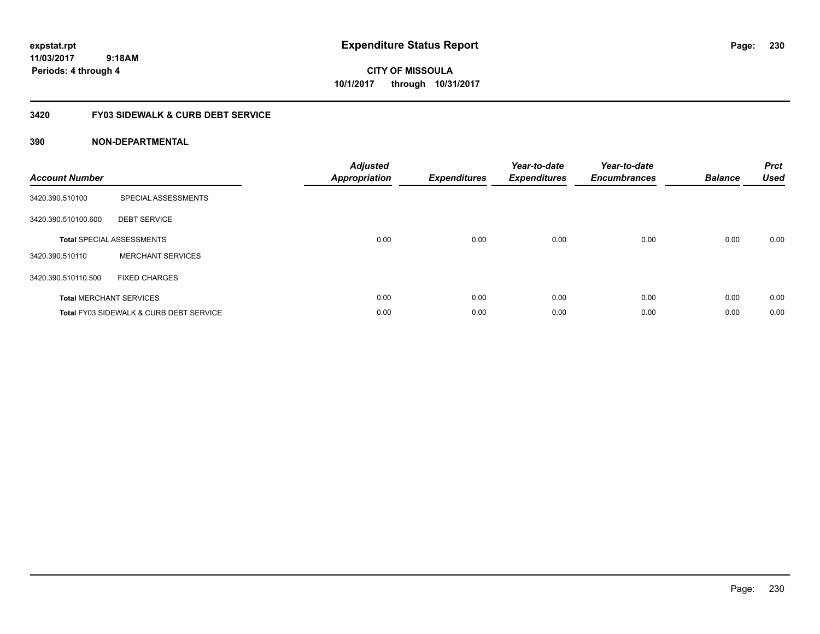**expstat.rpt Expenditure Status Report** 

**11/03/2017 9:18AM Periods: 4 through 4**

**CITY OF MISSOULA 10/1/2017 through 10/31/2017**

## **3420 FY03 SIDEWALK & CURB DEBT SERVICE**

| <b>Account Number</b> |                                                    | <b>Adjusted</b><br>Appropriation | <b>Expenditures</b> | Year-to-date<br><b>Expenditures</b> | Year-to-date<br><b>Encumbrances</b> | <b>Balance</b> | <b>Prct</b><br><b>Used</b> |
|-----------------------|----------------------------------------------------|----------------------------------|---------------------|-------------------------------------|-------------------------------------|----------------|----------------------------|
| 3420.390.510100       | SPECIAL ASSESSMENTS                                |                                  |                     |                                     |                                     |                |                            |
| 3420.390.510100.600   | <b>DEBT SERVICE</b>                                |                                  |                     |                                     |                                     |                |                            |
|                       | <b>Total SPECIAL ASSESSMENTS</b>                   | 0.00                             | 0.00                | 0.00                                | 0.00                                | 0.00           | 0.00                       |
| 3420.390.510110       | <b>MERCHANT SERVICES</b>                           |                                  |                     |                                     |                                     |                |                            |
| 3420.390.510110.500   | <b>FIXED CHARGES</b>                               |                                  |                     |                                     |                                     |                |                            |
|                       | <b>Total MERCHANT SERVICES</b>                     | 0.00                             | 0.00                | 0.00                                | 0.00                                | 0.00           | 0.00                       |
|                       | <b>Total FY03 SIDEWALK &amp; CURB DEBT SERVICE</b> | 0.00                             | 0.00                | 0.00                                | 0.00                                | 0.00           | 0.00                       |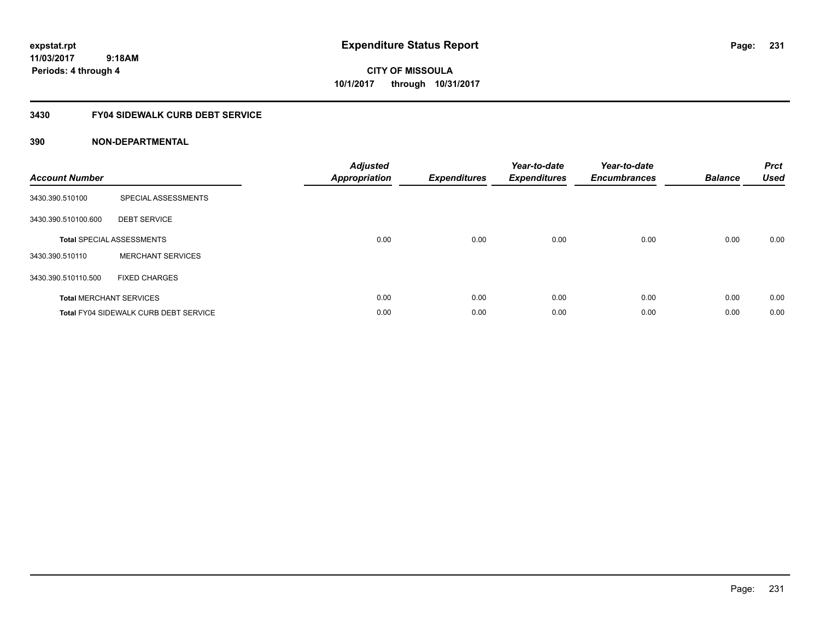**expstat.rpt Expenditure Status Report** 

**11/03/2017 9:18AM Periods: 4 through 4**

**CITY OF MISSOULA 10/1/2017 through 10/31/2017**

## **3430 FY04 SIDEWALK CURB DEBT SERVICE**

| <b>Account Number</b> |                                              | <b>Adjusted</b><br>Appropriation | <b>Expenditures</b> | Year-to-date<br><b>Expenditures</b> | Year-to-date<br><b>Encumbrances</b> | <b>Balance</b> | <b>Prct</b><br><b>Used</b> |
|-----------------------|----------------------------------------------|----------------------------------|---------------------|-------------------------------------|-------------------------------------|----------------|----------------------------|
| 3430.390.510100       | SPECIAL ASSESSMENTS                          |                                  |                     |                                     |                                     |                |                            |
| 3430.390.510100.600   | <b>DEBT SERVICE</b>                          |                                  |                     |                                     |                                     |                |                            |
|                       | <b>Total SPECIAL ASSESSMENTS</b>             | 0.00                             | 0.00                | 0.00                                | 0.00                                | 0.00           | 0.00                       |
| 3430.390.510110       | <b>MERCHANT SERVICES</b>                     |                                  |                     |                                     |                                     |                |                            |
| 3430.390.510110.500   | <b>FIXED CHARGES</b>                         |                                  |                     |                                     |                                     |                |                            |
|                       | <b>Total MERCHANT SERVICES</b>               | 0.00                             | 0.00                | 0.00                                | 0.00                                | 0.00           | 0.00                       |
|                       | <b>Total FY04 SIDEWALK CURB DEBT SERVICE</b> | 0.00                             | 0.00                | 0.00                                | 0.00                                | 0.00           | 0.00                       |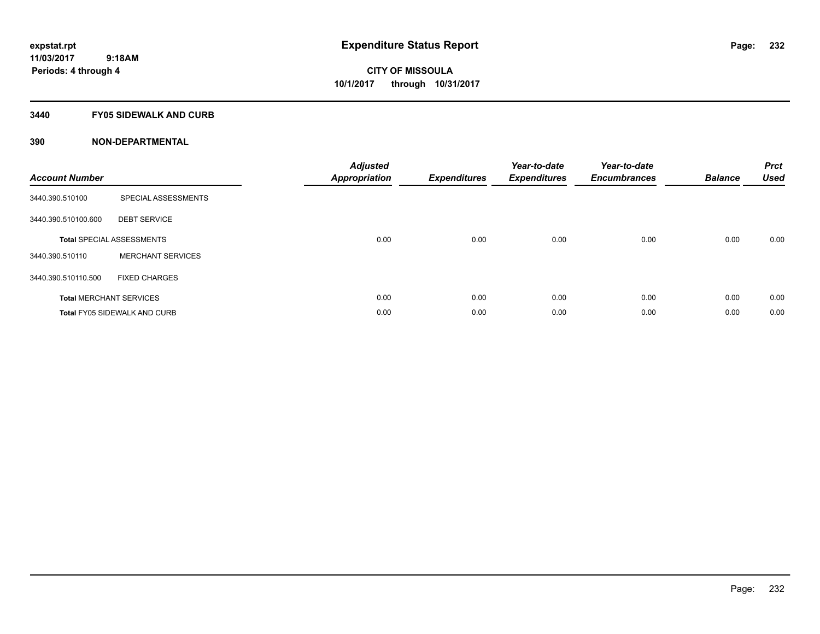### **3440 FY05 SIDEWALK AND CURB**

| <b>Account Number</b> |                                     | <b>Adjusted</b><br>Appropriation | <b>Expenditures</b> | Year-to-date<br><b>Expenditures</b> | Year-to-date<br><b>Encumbrances</b> | <b>Balance</b> | <b>Prct</b><br><b>Used</b> |
|-----------------------|-------------------------------------|----------------------------------|---------------------|-------------------------------------|-------------------------------------|----------------|----------------------------|
| 3440.390.510100       | SPECIAL ASSESSMENTS                 |                                  |                     |                                     |                                     |                |                            |
| 3440.390.510100.600   | <b>DEBT SERVICE</b>                 |                                  |                     |                                     |                                     |                |                            |
|                       | <b>Total SPECIAL ASSESSMENTS</b>    | 0.00                             | 0.00                | 0.00                                | 0.00                                | 0.00           | 0.00                       |
| 3440.390.510110       | <b>MERCHANT SERVICES</b>            |                                  |                     |                                     |                                     |                |                            |
| 3440.390.510110.500   | <b>FIXED CHARGES</b>                |                                  |                     |                                     |                                     |                |                            |
|                       | <b>Total MERCHANT SERVICES</b>      | 0.00                             | 0.00                | 0.00                                | 0.00                                | 0.00           | 0.00                       |
|                       | <b>Total FY05 SIDEWALK AND CURB</b> | 0.00                             | 0.00                | 0.00                                | 0.00                                | 0.00           | 0.00                       |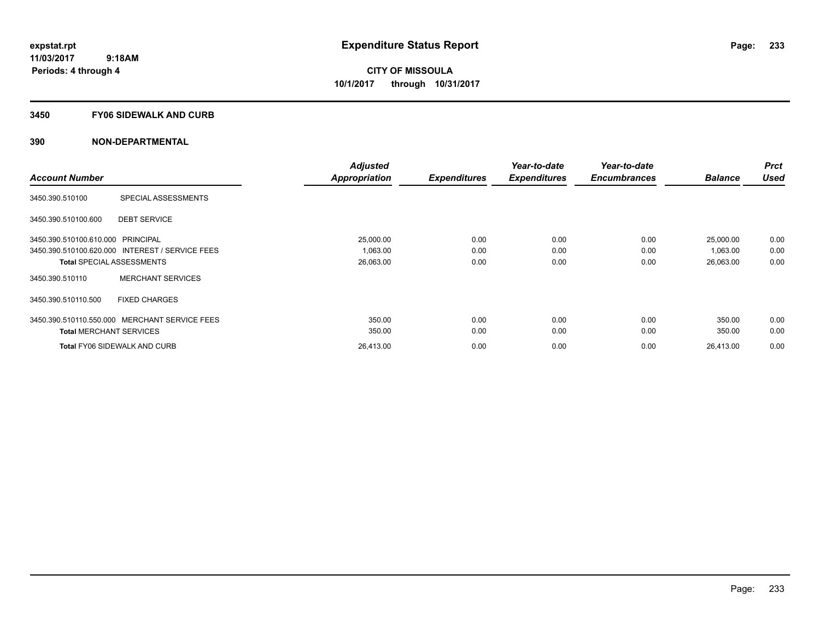#### **3450 FY06 SIDEWALK AND CURB**

|                                   |                                                 | <b>Adjusted</b>      |                     | Year-to-date        | Year-to-date        |                | <b>Prct</b> |
|-----------------------------------|-------------------------------------------------|----------------------|---------------------|---------------------|---------------------|----------------|-------------|
| <b>Account Number</b>             |                                                 | <b>Appropriation</b> | <b>Expenditures</b> | <b>Expenditures</b> | <b>Encumbrances</b> | <b>Balance</b> | <b>Used</b> |
| 3450.390.510100                   | SPECIAL ASSESSMENTS                             |                      |                     |                     |                     |                |             |
| 3450.390.510100.600               | <b>DEBT SERVICE</b>                             |                      |                     |                     |                     |                |             |
| 3450.390.510100.610.000 PRINCIPAL |                                                 | 25,000.00            | 0.00                | 0.00                | 0.00                | 25,000.00      | 0.00        |
|                                   | 3450.390.510100.620.000 INTEREST / SERVICE FEES | 1,063.00             | 0.00                | 0.00                | 0.00                | 1,063.00       | 0.00        |
|                                   | <b>Total SPECIAL ASSESSMENTS</b>                | 26,063.00            | 0.00                | 0.00                | 0.00                | 26,063.00      | 0.00        |
| 3450.390.510110                   | <b>MERCHANT SERVICES</b>                        |                      |                     |                     |                     |                |             |
| 3450.390.510110.500               | <b>FIXED CHARGES</b>                            |                      |                     |                     |                     |                |             |
| 3450.390.510110.550.000           | MERCHANT SERVICE FEES                           | 350.00               | 0.00                | 0.00                | 0.00                | 350.00         | 0.00        |
| <b>Total MERCHANT SERVICES</b>    |                                                 | 350.00               | 0.00                | 0.00                | 0.00                | 350.00         | 0.00        |
|                                   | <b>Total FY06 SIDEWALK AND CURB</b>             | 26,413.00            | 0.00                | 0.00                | 0.00                | 26,413.00      | 0.00        |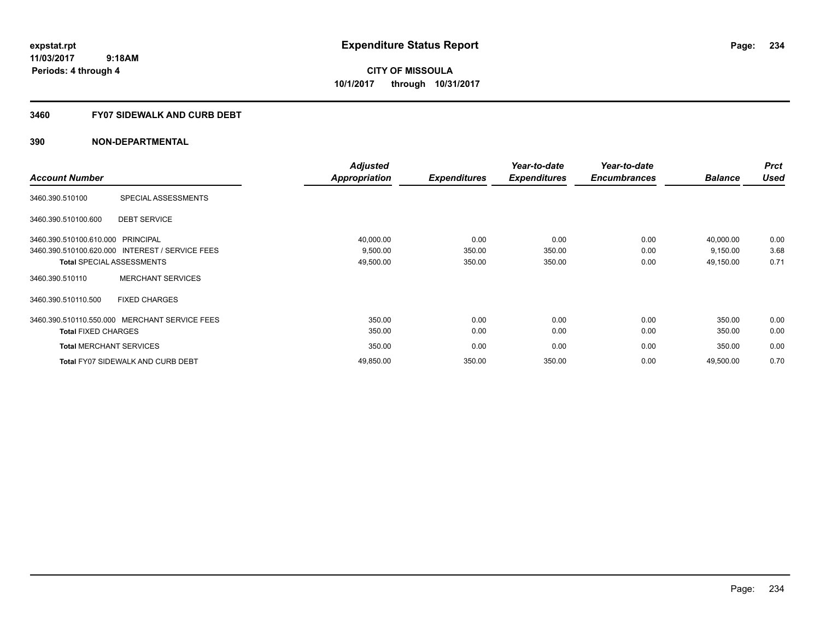**234**

**11/03/2017 9:18AM Periods: 4 through 4**

**CITY OF MISSOULA 10/1/2017 through 10/31/2017**

## **3460 FY07 SIDEWALK AND CURB DEBT**

|                                   |                                                 | <b>Adjusted</b>      |                     | Year-to-date        | Year-to-date        |                | <b>Prct</b> |
|-----------------------------------|-------------------------------------------------|----------------------|---------------------|---------------------|---------------------|----------------|-------------|
| <b>Account Number</b>             |                                                 | <b>Appropriation</b> | <b>Expenditures</b> | <b>Expenditures</b> | <b>Encumbrances</b> | <b>Balance</b> | <b>Used</b> |
| 3460.390.510100                   | SPECIAL ASSESSMENTS                             |                      |                     |                     |                     |                |             |
| 3460.390.510100.600               | <b>DEBT SERVICE</b>                             |                      |                     |                     |                     |                |             |
| 3460.390.510100.610.000 PRINCIPAL |                                                 | 40,000.00            | 0.00                | 0.00                | 0.00                | 40,000.00      | 0.00        |
|                                   | 3460.390.510100.620.000 INTEREST / SERVICE FEES | 9,500.00             | 350.00              | 350.00              | 0.00                | 9,150.00       | 3.68        |
|                                   | <b>Total SPECIAL ASSESSMENTS</b>                | 49,500.00            | 350.00              | 350.00              | 0.00                | 49,150.00      | 0.71        |
| 3460.390.510110                   | <b>MERCHANT SERVICES</b>                        |                      |                     |                     |                     |                |             |
| 3460.390.510110.500               | <b>FIXED CHARGES</b>                            |                      |                     |                     |                     |                |             |
|                                   | 3460.390.510110.550.000 MERCHANT SERVICE FEES   | 350.00               | 0.00                | 0.00                | 0.00                | 350.00         | 0.00        |
| <b>Total FIXED CHARGES</b>        |                                                 | 350.00               | 0.00                | 0.00                | 0.00                | 350.00         | 0.00        |
| <b>Total MERCHANT SERVICES</b>    |                                                 | 350.00               | 0.00                | 0.00                | 0.00                | 350.00         | 0.00        |
|                                   | <b>Total FY07 SIDEWALK AND CURB DEBT</b>        | 49,850.00            | 350.00              | 350.00              | 0.00                | 49,500.00      | 0.70        |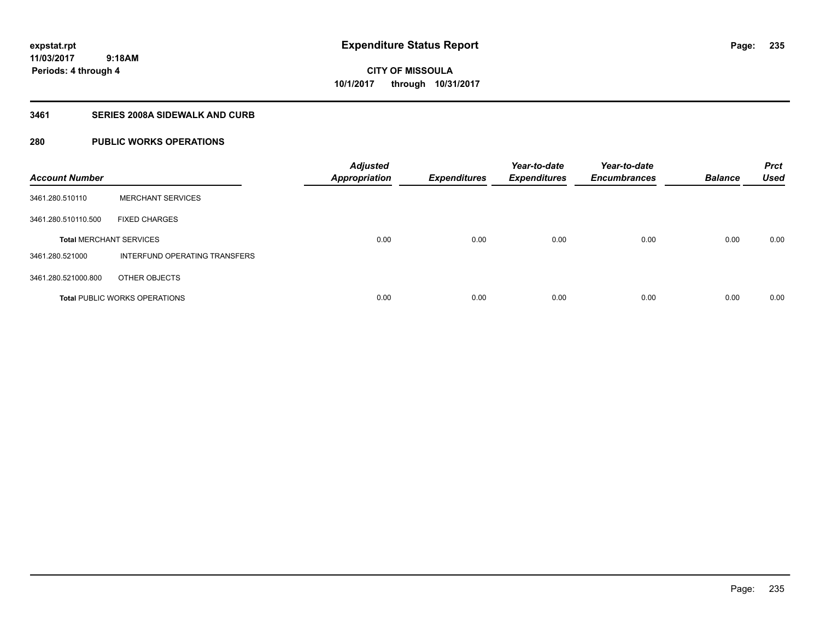**235**

**11/03/2017 9:18AM Periods: 4 through 4**

**CITY OF MISSOULA 10/1/2017 through 10/31/2017**

## **3461 SERIES 2008A SIDEWALK AND CURB**

## **280 PUBLIC WORKS OPERATIONS**

| <b>Account Number</b>          |                                      | <b>Adjusted</b><br><b>Appropriation</b> | <b>Expenditures</b> | Year-to-date<br><b>Expenditures</b> | Year-to-date<br><b>Encumbrances</b> | <b>Balance</b> | <b>Prct</b><br><b>Used</b> |
|--------------------------------|--------------------------------------|-----------------------------------------|---------------------|-------------------------------------|-------------------------------------|----------------|----------------------------|
| 3461.280.510110                | <b>MERCHANT SERVICES</b>             |                                         |                     |                                     |                                     |                |                            |
| 3461.280.510110.500            | <b>FIXED CHARGES</b>                 |                                         |                     |                                     |                                     |                |                            |
| <b>Total MERCHANT SERVICES</b> |                                      | 0.00                                    | 0.00                | 0.00                                | 0.00                                | 0.00           | 0.00                       |
| 3461.280.521000                | INTERFUND OPERATING TRANSFERS        |                                         |                     |                                     |                                     |                |                            |
| 3461.280.521000.800            | OTHER OBJECTS                        |                                         |                     |                                     |                                     |                |                            |
|                                | <b>Total PUBLIC WORKS OPERATIONS</b> | 0.00                                    | 0.00                | 0.00                                | 0.00                                | 0.00           | 0.00                       |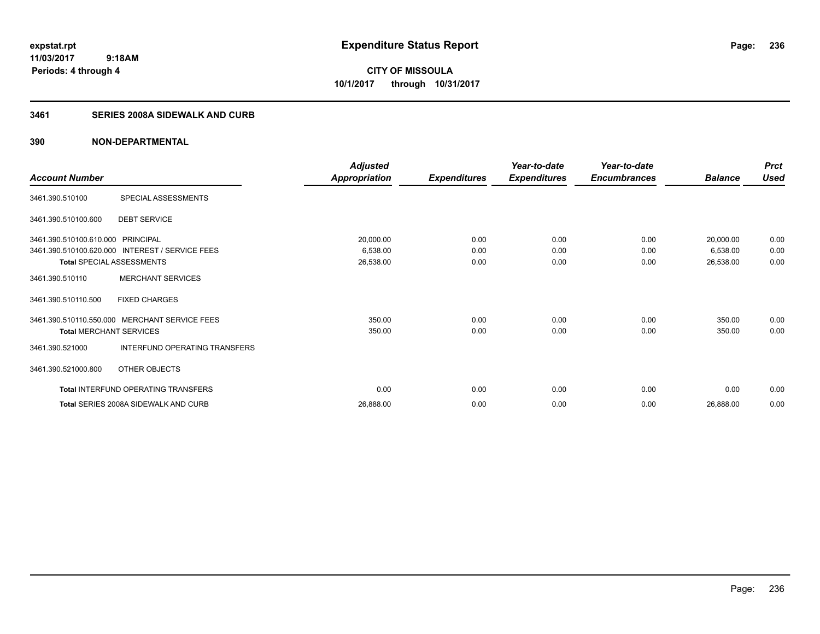**CITY OF MISSOULA 10/1/2017 through 10/31/2017**

## **3461 SERIES 2008A SIDEWALK AND CURB**

| <b>Account Number</b>                                                 |                                                                                       | <b>Adjusted</b><br>Appropriation   | <b>Expenditures</b>  | Year-to-date<br><b>Expenditures</b> | Year-to-date<br><b>Encumbrances</b> | <b>Balance</b>                     | <b>Prct</b><br><b>Used</b> |
|-----------------------------------------------------------------------|---------------------------------------------------------------------------------------|------------------------------------|----------------------|-------------------------------------|-------------------------------------|------------------------------------|----------------------------|
| 3461.390.510100                                                       | SPECIAL ASSESSMENTS                                                                   |                                    |                      |                                     |                                     |                                    |                            |
| 3461.390.510100.600                                                   | <b>DEBT SERVICE</b>                                                                   |                                    |                      |                                     |                                     |                                    |                            |
| 3461.390.510100.610.000 PRINCIPAL<br><b>Total SPECIAL ASSESSMENTS</b> | 3461.390.510100.620.000 INTEREST / SERVICE FEES                                       | 20,000.00<br>6,538.00<br>26,538.00 | 0.00<br>0.00<br>0.00 | 0.00<br>0.00<br>0.00                | 0.00<br>0.00<br>0.00                | 20,000.00<br>6,538.00<br>26,538.00 | 0.00<br>0.00<br>0.00       |
| 3461.390.510110                                                       | <b>MERCHANT SERVICES</b>                                                              |                                    |                      |                                     |                                     |                                    |                            |
| 3461.390.510110.500                                                   | <b>FIXED CHARGES</b>                                                                  |                                    |                      |                                     |                                     |                                    |                            |
| <b>Total MERCHANT SERVICES</b><br>3461.390.521000                     | 3461.390.510110.550.000 MERCHANT SERVICE FEES<br><b>INTERFUND OPERATING TRANSFERS</b> | 350.00<br>350.00                   | 0.00<br>0.00         | 0.00<br>0.00                        | 0.00<br>0.00                        | 350.00<br>350.00                   | 0.00<br>0.00               |
| 3461.390.521000.800                                                   | OTHER OBJECTS                                                                         |                                    |                      |                                     |                                     |                                    |                            |
|                                                                       | Total INTERFUND OPERATING TRANSFERS                                                   | 0.00                               | 0.00                 | 0.00                                | 0.00                                | 0.00                               | 0.00                       |
|                                                                       | Total SERIES 2008A SIDEWALK AND CURB                                                  | 26,888.00                          | 0.00                 | 0.00                                | 0.00                                | 26,888.00                          | 0.00                       |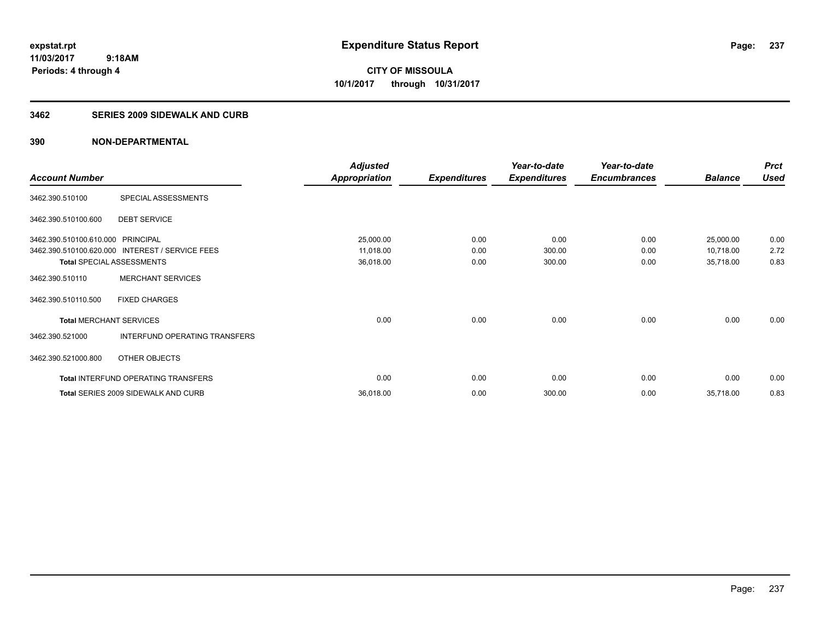**237**

**11/03/2017 9:18AM Periods: 4 through 4**

**CITY OF MISSOULA 10/1/2017 through 10/31/2017**

#### **3462 SERIES 2009 SIDEWALK AND CURB**

|                                   |                                                 | <b>Adjusted</b>      |                     | Year-to-date        | Year-to-date        |                | <b>Prct</b> |
|-----------------------------------|-------------------------------------------------|----------------------|---------------------|---------------------|---------------------|----------------|-------------|
| <b>Account Number</b>             |                                                 | <b>Appropriation</b> | <b>Expenditures</b> | <b>Expenditures</b> | <b>Encumbrances</b> | <b>Balance</b> | <b>Used</b> |
| 3462.390.510100                   | SPECIAL ASSESSMENTS                             |                      |                     |                     |                     |                |             |
| 3462.390.510100.600               | <b>DEBT SERVICE</b>                             |                      |                     |                     |                     |                |             |
| 3462.390.510100.610.000 PRINCIPAL |                                                 | 25,000.00            | 0.00                | 0.00                | 0.00                | 25,000.00      | 0.00        |
|                                   | 3462.390.510100.620.000 INTEREST / SERVICE FEES | 11,018.00            | 0.00                | 300.00              | 0.00                | 10,718.00      | 2.72        |
| <b>Total SPECIAL ASSESSMENTS</b>  |                                                 | 36,018.00            | 0.00                | 300.00              | 0.00                | 35,718.00      | 0.83        |
| 3462.390.510110                   | <b>MERCHANT SERVICES</b>                        |                      |                     |                     |                     |                |             |
| 3462.390.510110.500               | <b>FIXED CHARGES</b>                            |                      |                     |                     |                     |                |             |
| <b>Total MERCHANT SERVICES</b>    |                                                 | 0.00                 | 0.00                | 0.00                | 0.00                | 0.00           | 0.00        |
| 3462.390.521000                   | INTERFUND OPERATING TRANSFERS                   |                      |                     |                     |                     |                |             |
| 3462.390.521000.800               | OTHER OBJECTS                                   |                      |                     |                     |                     |                |             |
|                                   | Total INTERFUND OPERATING TRANSFERS             | 0.00                 | 0.00                | 0.00                | 0.00                | 0.00           | 0.00        |
|                                   | <b>Total SERIES 2009 SIDEWALK AND CURB</b>      | 36,018.00            | 0.00                | 300.00              | 0.00                | 35,718.00      | 0.83        |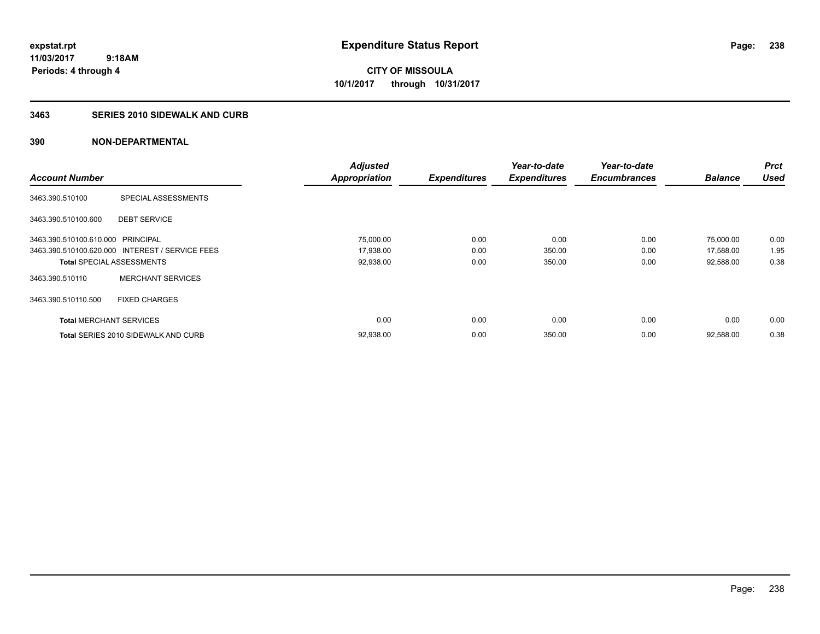**238**

**11/03/2017 9:18AM Periods: 4 through 4**

**CITY OF MISSOULA 10/1/2017 through 10/31/2017**

#### **3463 SERIES 2010 SIDEWALK AND CURB**

|                                   |                                                 | <b>Adjusted</b>      |                     | Year-to-date        | Year-to-date        |                | <b>Prct</b> |
|-----------------------------------|-------------------------------------------------|----------------------|---------------------|---------------------|---------------------|----------------|-------------|
| <b>Account Number</b>             |                                                 | <b>Appropriation</b> | <b>Expenditures</b> | <b>Expenditures</b> | <b>Encumbrances</b> | <b>Balance</b> | <b>Used</b> |
| 3463.390.510100                   | SPECIAL ASSESSMENTS                             |                      |                     |                     |                     |                |             |
| 3463.390.510100.600               | <b>DEBT SERVICE</b>                             |                      |                     |                     |                     |                |             |
| 3463.390.510100.610.000 PRINCIPAL |                                                 | 75,000.00            | 0.00                | 0.00                | 0.00                | 75,000.00      | 0.00        |
|                                   | 3463.390.510100.620.000 INTEREST / SERVICE FEES | 17,938.00            | 0.00                | 350.00              | 0.00                | 17,588.00      | 1.95        |
| <b>Total SPECIAL ASSESSMENTS</b>  |                                                 | 92,938.00            | 0.00                | 350.00              | 0.00                | 92,588.00      | 0.38        |
| 3463.390.510110                   | <b>MERCHANT SERVICES</b>                        |                      |                     |                     |                     |                |             |
| 3463.390.510110.500               | <b>FIXED CHARGES</b>                            |                      |                     |                     |                     |                |             |
| <b>Total MERCHANT SERVICES</b>    |                                                 | 0.00                 | 0.00                | 0.00                | 0.00                | 0.00           | 0.00        |
|                                   | <b>Total SERIES 2010 SIDEWALK AND CURB</b>      | 92,938.00            | 0.00                | 350.00              | 0.00                | 92.588.00      | 0.38        |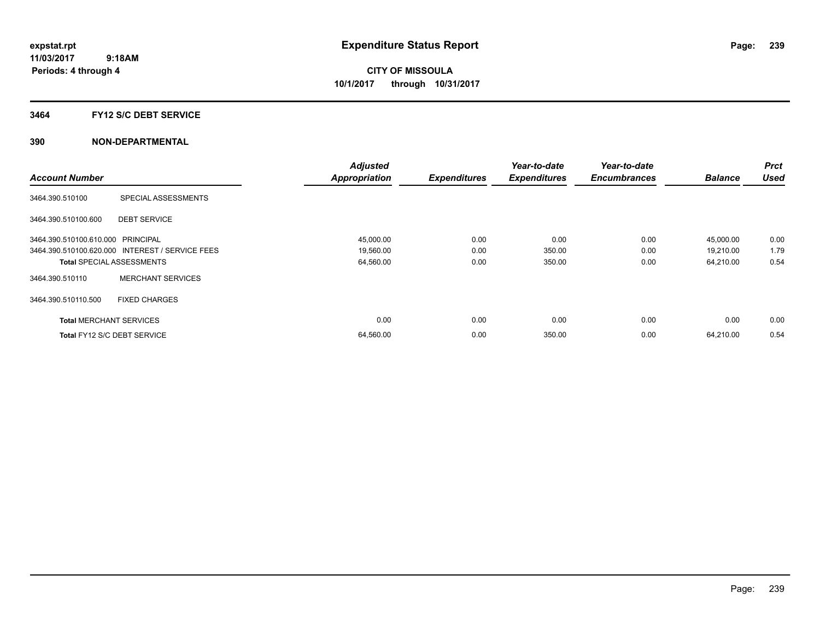### **3464 FY12 S/C DEBT SERVICE**

|                                   |                                                 | <b>Adjusted</b>      |                     | Year-to-date        | Year-to-date        |                | <b>Prct</b> |
|-----------------------------------|-------------------------------------------------|----------------------|---------------------|---------------------|---------------------|----------------|-------------|
| <b>Account Number</b>             |                                                 | <b>Appropriation</b> | <b>Expenditures</b> | <b>Expenditures</b> | <b>Encumbrances</b> | <b>Balance</b> | <b>Used</b> |
| 3464.390.510100                   | SPECIAL ASSESSMENTS                             |                      |                     |                     |                     |                |             |
| 3464.390.510100.600               | <b>DEBT SERVICE</b>                             |                      |                     |                     |                     |                |             |
| 3464.390.510100.610.000 PRINCIPAL |                                                 | 45,000.00            | 0.00                | 0.00                | 0.00                | 45,000.00      | 0.00        |
|                                   | 3464.390.510100.620.000 INTEREST / SERVICE FEES | 19,560.00            | 0.00                | 350.00              | 0.00                | 19,210.00      | 1.79        |
|                                   | <b>Total SPECIAL ASSESSMENTS</b>                | 64,560.00            | 0.00                | 350.00              | 0.00                | 64,210.00      | 0.54        |
| 3464.390.510110                   | <b>MERCHANT SERVICES</b>                        |                      |                     |                     |                     |                |             |
| 3464.390.510110.500               | <b>FIXED CHARGES</b>                            |                      |                     |                     |                     |                |             |
| <b>Total MERCHANT SERVICES</b>    |                                                 | 0.00                 | 0.00                | 0.00                | 0.00                | 0.00           | 0.00        |
|                                   | Total FY12 S/C DEBT SERVICE                     | 64,560.00            | 0.00                | 350.00              | 0.00                | 64.210.00      | 0.54        |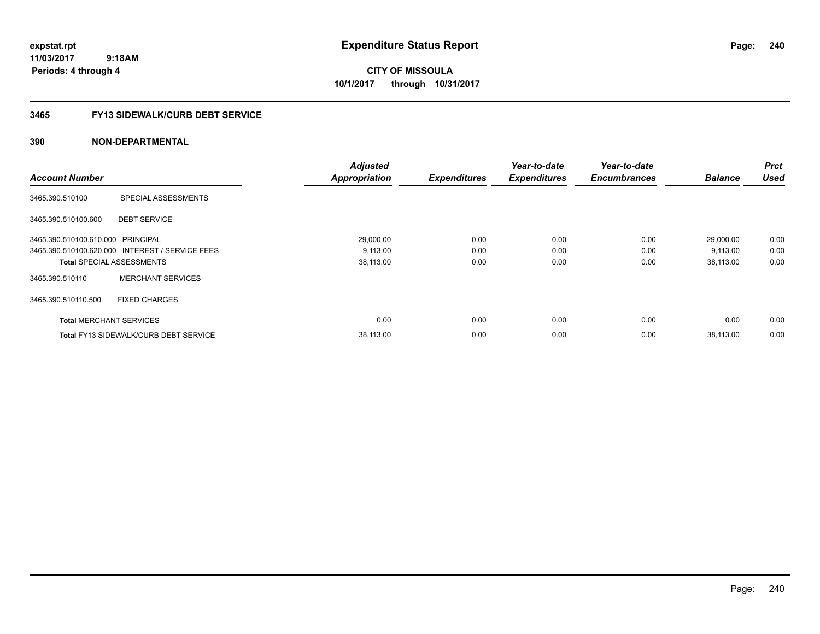# **CITY OF MISSOULA 10/1/2017 through 10/31/2017**

## **3465 FY13 SIDEWALK/CURB DEBT SERVICE**

| <b>Account Number</b>             |                                                 | <b>Adjusted</b><br><b>Appropriation</b> | <b>Expenditures</b> | Year-to-date<br><b>Expenditures</b> | Year-to-date<br><b>Encumbrances</b> | <b>Balance</b> | <b>Prct</b><br><b>Used</b> |
|-----------------------------------|-------------------------------------------------|-----------------------------------------|---------------------|-------------------------------------|-------------------------------------|----------------|----------------------------|
|                                   |                                                 |                                         |                     |                                     |                                     |                |                            |
| 3465.390.510100                   | SPECIAL ASSESSMENTS                             |                                         |                     |                                     |                                     |                |                            |
| 3465.390.510100.600               | <b>DEBT SERVICE</b>                             |                                         |                     |                                     |                                     |                |                            |
| 3465.390.510100.610.000 PRINCIPAL |                                                 | 29,000.00                               | 0.00                | 0.00                                | 0.00                                | 29,000.00      | 0.00                       |
|                                   | 3465.390.510100.620.000 INTEREST / SERVICE FEES | 9,113.00                                | 0.00                | 0.00                                | 0.00                                | 9,113.00       | 0.00                       |
| <b>Total SPECIAL ASSESSMENTS</b>  |                                                 | 38,113.00                               | 0.00                | 0.00                                | 0.00                                | 38,113.00      | 0.00                       |
| 3465.390.510110                   | <b>MERCHANT SERVICES</b>                        |                                         |                     |                                     |                                     |                |                            |
| 3465.390.510110.500               | <b>FIXED CHARGES</b>                            |                                         |                     |                                     |                                     |                |                            |
| <b>Total MERCHANT SERVICES</b>    |                                                 | 0.00                                    | 0.00                | 0.00                                | 0.00                                | 0.00           | 0.00                       |
|                                   | <b>Total FY13 SIDEWALK/CURB DEBT SERVICE</b>    | 38.113.00                               | 0.00                | 0.00                                | 0.00                                | 38.113.00      | 0.00                       |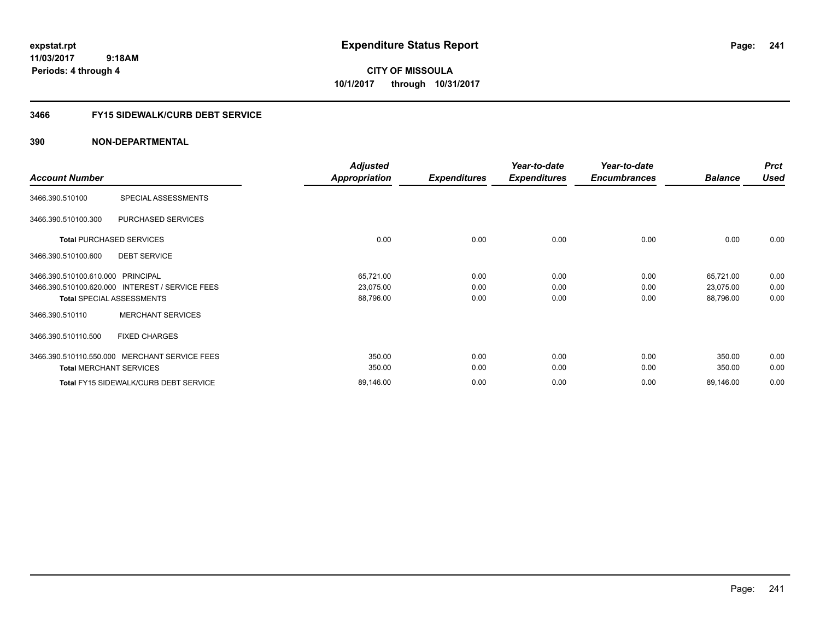# **CITY OF MISSOULA 10/1/2017 through 10/31/2017**

## **3466 FY15 SIDEWALK/CURB DEBT SERVICE**

|                                                 | <b>Adjusted</b>      |                     | Year-to-date        | Year-to-date        |                | <b>Prct</b> |
|-------------------------------------------------|----------------------|---------------------|---------------------|---------------------|----------------|-------------|
| <b>Account Number</b>                           | <b>Appropriation</b> | <b>Expenditures</b> | <b>Expenditures</b> | <b>Encumbrances</b> | <b>Balance</b> | <b>Used</b> |
| SPECIAL ASSESSMENTS<br>3466.390.510100          |                      |                     |                     |                     |                |             |
| 3466.390.510100.300<br>PURCHASED SERVICES       |                      |                     |                     |                     |                |             |
| <b>Total PURCHASED SERVICES</b>                 | 0.00                 | 0.00                | 0.00                | 0.00                | 0.00           | 0.00        |
| <b>DEBT SERVICE</b><br>3466.390.510100.600      |                      |                     |                     |                     |                |             |
| 3466.390.510100.610.000 PRINCIPAL               | 65,721.00            | 0.00                | 0.00                | 0.00                | 65,721.00      | 0.00        |
| 3466.390.510100.620.000 INTEREST / SERVICE FEES | 23,075.00            | 0.00                | 0.00                | 0.00                | 23,075.00      | 0.00        |
| <b>Total SPECIAL ASSESSMENTS</b>                | 88,796.00            | 0.00                | 0.00                | 0.00                | 88,796.00      | 0.00        |
| <b>MERCHANT SERVICES</b><br>3466.390.510110     |                      |                     |                     |                     |                |             |
| 3466.390.510110.500<br><b>FIXED CHARGES</b>     |                      |                     |                     |                     |                |             |
| 3466.390.510110.550.000 MERCHANT SERVICE FEES   | 350.00               | 0.00                | 0.00                | 0.00                | 350.00         | 0.00        |
| <b>Total MERCHANT SERVICES</b>                  | 350.00               | 0.00                | 0.00                | 0.00                | 350.00         | 0.00        |
| Total FY15 SIDEWALK/CURB DEBT SERVICE           | 89,146.00            | 0.00                | 0.00                | 0.00                | 89,146.00      | 0.00        |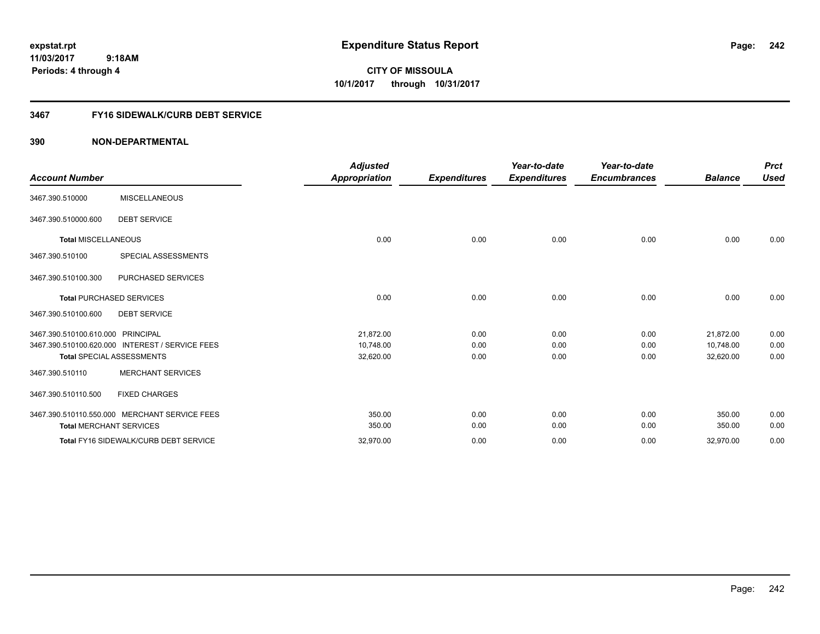**CITY OF MISSOULA 10/1/2017 through 10/31/2017**

## **3467 FY16 SIDEWALK/CURB DEBT SERVICE**

| <b>Account Number</b>             |                                                 | <b>Adjusted</b><br>Appropriation | <b>Expenditures</b> | Year-to-date<br><b>Expenditures</b> | Year-to-date<br><b>Encumbrances</b> | <b>Balance</b> | <b>Prct</b><br><b>Used</b> |
|-----------------------------------|-------------------------------------------------|----------------------------------|---------------------|-------------------------------------|-------------------------------------|----------------|----------------------------|
| 3467.390.510000                   | <b>MISCELLANEOUS</b>                            |                                  |                     |                                     |                                     |                |                            |
| 3467.390.510000.600               | <b>DEBT SERVICE</b>                             |                                  |                     |                                     |                                     |                |                            |
| <b>Total MISCELLANEOUS</b>        |                                                 | 0.00                             | 0.00                | 0.00                                | 0.00                                | 0.00           | 0.00                       |
| 3467.390.510100                   | SPECIAL ASSESSMENTS                             |                                  |                     |                                     |                                     |                |                            |
| 3467.390.510100.300               | PURCHASED SERVICES                              |                                  |                     |                                     |                                     |                |                            |
|                                   | <b>Total PURCHASED SERVICES</b>                 | 0.00                             | 0.00                | 0.00                                | 0.00                                | 0.00           | 0.00                       |
| 3467.390.510100.600               | <b>DEBT SERVICE</b>                             |                                  |                     |                                     |                                     |                |                            |
| 3467.390.510100.610.000 PRINCIPAL |                                                 | 21.872.00                        | 0.00                | 0.00                                | 0.00                                | 21,872.00      | 0.00                       |
|                                   | 3467.390.510100.620.000 INTEREST / SERVICE FEES | 10.748.00                        | 0.00                | 0.00                                | 0.00                                | 10.748.00      | 0.00                       |
|                                   | <b>Total SPECIAL ASSESSMENTS</b>                | 32,620.00                        | 0.00                | 0.00                                | 0.00                                | 32,620.00      | 0.00                       |
| 3467.390.510110                   | <b>MERCHANT SERVICES</b>                        |                                  |                     |                                     |                                     |                |                            |
| 3467.390.510110.500               | <b>FIXED CHARGES</b>                            |                                  |                     |                                     |                                     |                |                            |
|                                   | 3467.390.510110.550.000 MERCHANT SERVICE FEES   | 350.00                           | 0.00                | 0.00                                | 0.00                                | 350.00         | 0.00                       |
| <b>Total MERCHANT SERVICES</b>    |                                                 | 350.00                           | 0.00                | 0.00                                | 0.00                                | 350.00         | 0.00                       |
|                                   | <b>Total FY16 SIDEWALK/CURB DEBT SERVICE</b>    | 32,970.00                        | 0.00                | 0.00                                | 0.00                                | 32,970.00      | 0.00                       |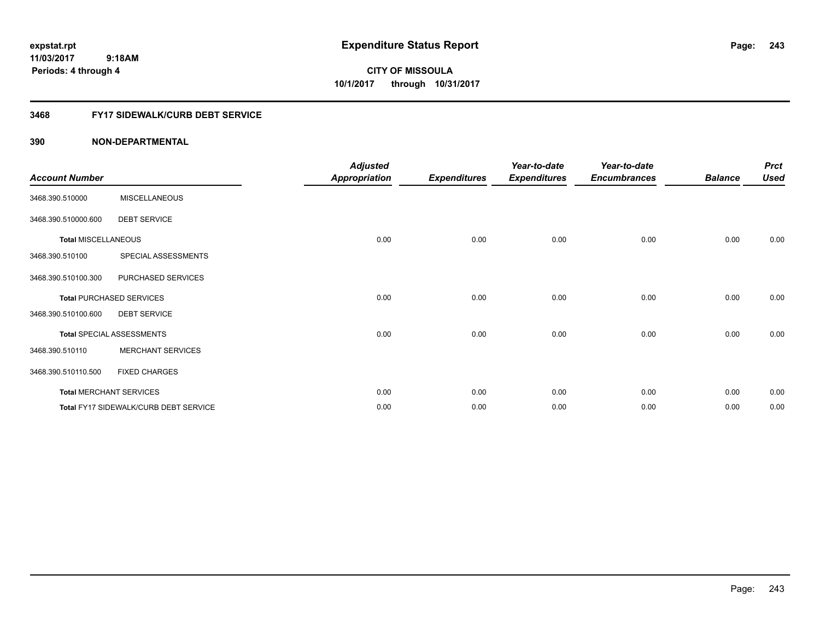**CITY OF MISSOULA 10/1/2017 through 10/31/2017**

## **3468 FY17 SIDEWALK/CURB DEBT SERVICE**

| <b>Account Number</b>      |                                       | <b>Adjusted</b><br><b>Appropriation</b> | <b>Expenditures</b> | Year-to-date<br><b>Expenditures</b> | Year-to-date<br><b>Encumbrances</b> | <b>Balance</b> | <b>Prct</b><br><b>Used</b> |
|----------------------------|---------------------------------------|-----------------------------------------|---------------------|-------------------------------------|-------------------------------------|----------------|----------------------------|
| 3468.390.510000            | <b>MISCELLANEOUS</b>                  |                                         |                     |                                     |                                     |                |                            |
| 3468.390.510000.600        | <b>DEBT SERVICE</b>                   |                                         |                     |                                     |                                     |                |                            |
| <b>Total MISCELLANEOUS</b> |                                       | 0.00                                    | 0.00                | 0.00                                | 0.00                                | 0.00           | 0.00                       |
| 3468.390.510100            | SPECIAL ASSESSMENTS                   |                                         |                     |                                     |                                     |                |                            |
| 3468.390.510100.300        | PURCHASED SERVICES                    |                                         |                     |                                     |                                     |                |                            |
|                            | <b>Total PURCHASED SERVICES</b>       | 0.00                                    | 0.00                | 0.00                                | 0.00                                | 0.00           | 0.00                       |
| 3468.390.510100.600        | <b>DEBT SERVICE</b>                   |                                         |                     |                                     |                                     |                |                            |
|                            | <b>Total SPECIAL ASSESSMENTS</b>      | 0.00                                    | 0.00                | 0.00                                | 0.00                                | 0.00           | 0.00                       |
| 3468.390.510110            | <b>MERCHANT SERVICES</b>              |                                         |                     |                                     |                                     |                |                            |
| 3468.390.510110.500        | <b>FIXED CHARGES</b>                  |                                         |                     |                                     |                                     |                |                            |
|                            | <b>Total MERCHANT SERVICES</b>        | 0.00                                    | 0.00                | 0.00                                | 0.00                                | 0.00           | 0.00                       |
|                            | Total FY17 SIDEWALK/CURB DEBT SERVICE | 0.00                                    | 0.00                | 0.00                                | 0.00                                | 0.00           | 0.00                       |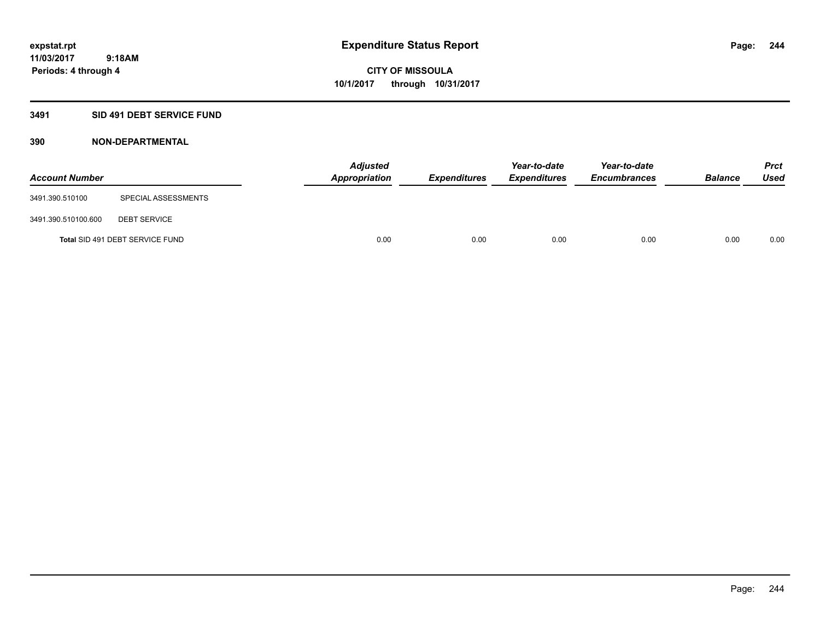## **3491 SID 491 DEBT SERVICE FUND**

| <b>Account Number</b> |                                 | <b>Adjusted</b><br>Appropriation | <b>Expenditures</b> | Year-to-date<br><b>Expenditures</b> | Year-to-date<br><b>Encumbrances</b> | <b>Balance</b> | <b>Prct</b><br><b>Used</b> |
|-----------------------|---------------------------------|----------------------------------|---------------------|-------------------------------------|-------------------------------------|----------------|----------------------------|
| 3491.390.510100       | SPECIAL ASSESSMENTS             |                                  |                     |                                     |                                     |                |                            |
| 3491.390.510100.600   | <b>DEBT SERVICE</b>             |                                  |                     |                                     |                                     |                |                            |
|                       | Total SID 491 DEBT SERVICE FUND | 0.00                             | 0.00                | 0.00                                | 0.00                                | 0.00           | 0.00                       |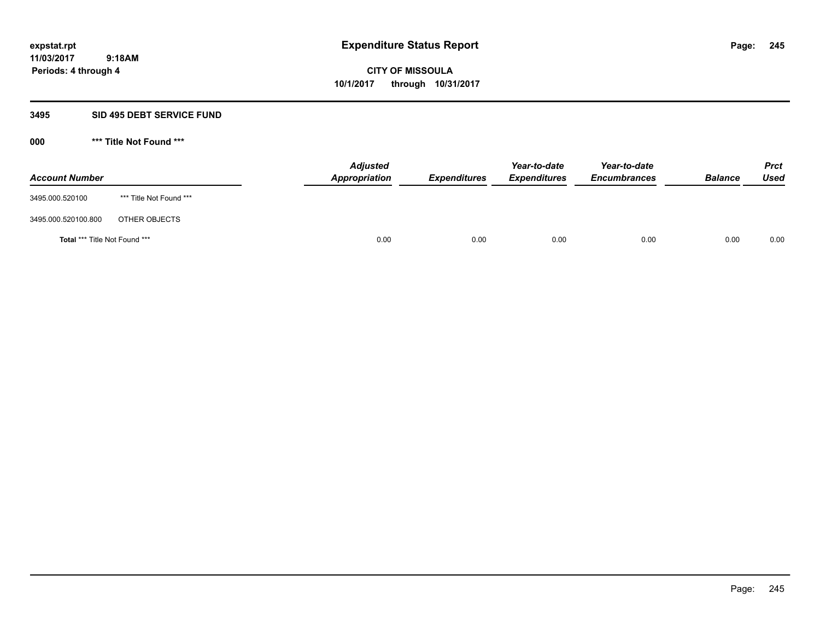**Periods: 4 through 4**

**CITY OF MISSOULA 10/1/2017 through 10/31/2017**

#### **3495 SID 495 DEBT SERVICE FUND**

**000 \*\*\* Title Not Found \*\*\***

| <b>Account Number</b>                |                         | <b>Adjusted</b><br><b>Appropriation</b> | <b>Expenditures</b> | Year-to-date<br><i><b>Expenditures</b></i> | Year-to-date<br><b>Encumbrances</b> | <b>Balance</b> | <b>Prct</b><br>Used |
|--------------------------------------|-------------------------|-----------------------------------------|---------------------|--------------------------------------------|-------------------------------------|----------------|---------------------|
| 3495.000.520100                      | *** Title Not Found *** |                                         |                     |                                            |                                     |                |                     |
| 3495.000.520100.800                  | OTHER OBJECTS           |                                         |                     |                                            |                                     |                |                     |
| <b>Total *** Title Not Found ***</b> |                         | 0.00                                    | 0.00                | 0.00                                       | 0.00                                | 0.00           | 0.00                |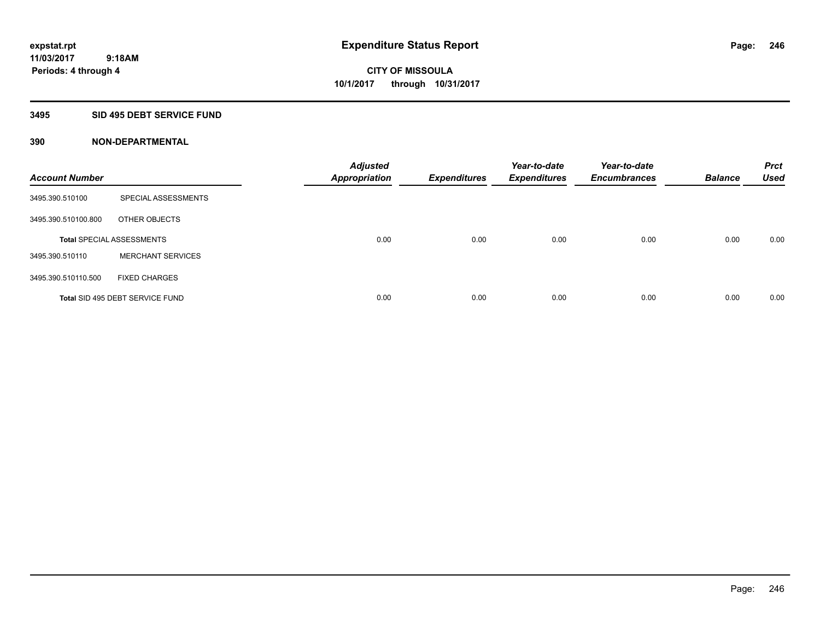## **3495 SID 495 DEBT SERVICE FUND**

| <b>Account Number</b> |                                  | <b>Adjusted</b><br><b>Appropriation</b> | <b>Expenditures</b> | Year-to-date<br><b>Expenditures</b> | Year-to-date<br><b>Encumbrances</b> | <b>Balance</b> | <b>Prct</b><br><b>Used</b> |
|-----------------------|----------------------------------|-----------------------------------------|---------------------|-------------------------------------|-------------------------------------|----------------|----------------------------|
| 3495.390.510100       | SPECIAL ASSESSMENTS              |                                         |                     |                                     |                                     |                |                            |
| 3495.390.510100.800   | OTHER OBJECTS                    |                                         |                     |                                     |                                     |                |                            |
|                       | <b>Total SPECIAL ASSESSMENTS</b> | 0.00                                    | 0.00                | 0.00                                | 0.00                                | 0.00           | 0.00                       |
| 3495.390.510110       | <b>MERCHANT SERVICES</b>         |                                         |                     |                                     |                                     |                |                            |
| 3495.390.510110.500   | <b>FIXED CHARGES</b>             |                                         |                     |                                     |                                     |                |                            |
|                       | Total SID 495 DEBT SERVICE FUND  | 0.00                                    | 0.00                | 0.00                                | 0.00                                | 0.00           | 0.00                       |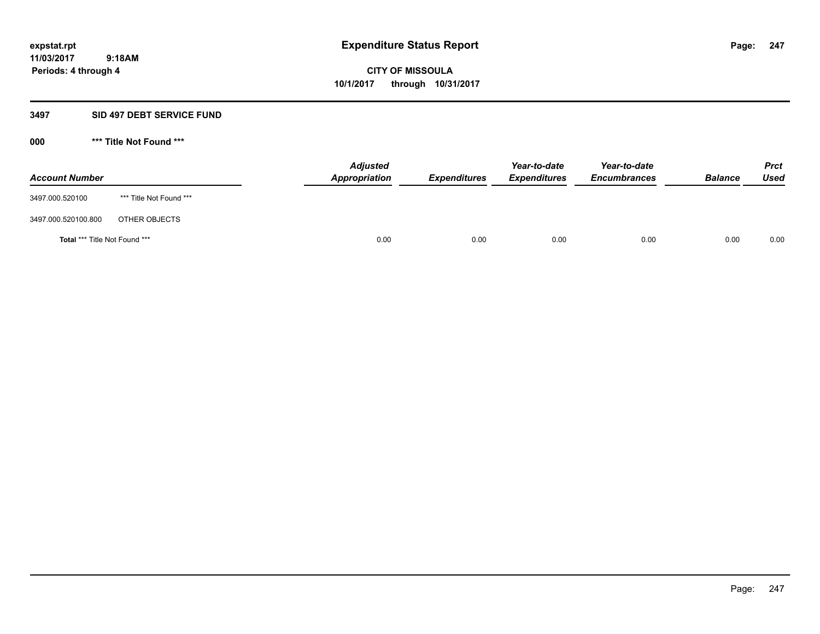**Periods: 4 through 4**

**CITY OF MISSOULA 10/1/2017 through 10/31/2017**

#### **3497 SID 497 DEBT SERVICE FUND**

**000 \*\*\* Title Not Found \*\*\***

| <b>Account Number</b>         |                         | <b>Adjusted</b><br>Appropriation | <b>Expenditures</b> | Year-to-date<br><b>Expenditures</b> | Year-to-date<br><b>Encumbrances</b> | <b>Balance</b> | <b>Prct</b><br>Used |
|-------------------------------|-------------------------|----------------------------------|---------------------|-------------------------------------|-------------------------------------|----------------|---------------------|
| 3497.000.520100               | *** Title Not Found *** |                                  |                     |                                     |                                     |                |                     |
| 3497.000.520100.800           | OTHER OBJECTS           |                                  |                     |                                     |                                     |                |                     |
| Total *** Title Not Found *** |                         | 0.00                             | 0.00                | 0.00                                | 0.00                                | 0.00           | 0.00                |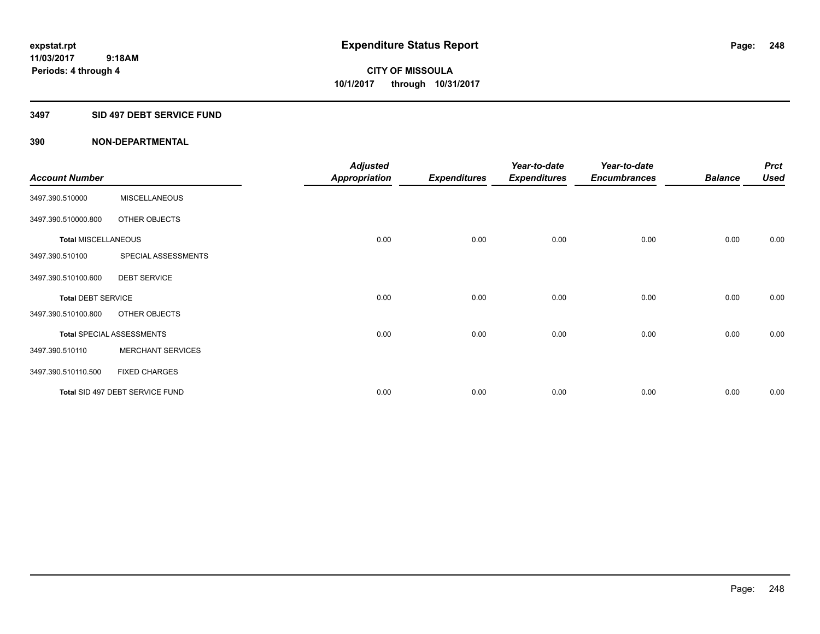## **3497 SID 497 DEBT SERVICE FUND**

|                            |                                  | <b>Adjusted</b>      |                     | Year-to-date        | Year-to-date        |                | <b>Prct</b> |
|----------------------------|----------------------------------|----------------------|---------------------|---------------------|---------------------|----------------|-------------|
| <b>Account Number</b>      |                                  | <b>Appropriation</b> | <b>Expenditures</b> | <b>Expenditures</b> | <b>Encumbrances</b> | <b>Balance</b> | <b>Used</b> |
| 3497.390.510000            | <b>MISCELLANEOUS</b>             |                      |                     |                     |                     |                |             |
| 3497.390.510000.800        | OTHER OBJECTS                    |                      |                     |                     |                     |                |             |
| <b>Total MISCELLANEOUS</b> |                                  | 0.00                 | 0.00                | 0.00                | 0.00                | 0.00           | 0.00        |
| 3497.390.510100            | SPECIAL ASSESSMENTS              |                      |                     |                     |                     |                |             |
| 3497.390.510100.600        | <b>DEBT SERVICE</b>              |                      |                     |                     |                     |                |             |
| <b>Total DEBT SERVICE</b>  |                                  | 0.00                 | 0.00                | 0.00                | 0.00                | 0.00           | 0.00        |
| 3497.390.510100.800        | OTHER OBJECTS                    |                      |                     |                     |                     |                |             |
|                            | <b>Total SPECIAL ASSESSMENTS</b> | 0.00                 | 0.00                | 0.00                | 0.00                | 0.00           | 0.00        |
| 3497.390.510110            | <b>MERCHANT SERVICES</b>         |                      |                     |                     |                     |                |             |
| 3497.390.510110.500        | <b>FIXED CHARGES</b>             |                      |                     |                     |                     |                |             |
|                            | Total SID 497 DEBT SERVICE FUND  | 0.00                 | 0.00                | 0.00                | 0.00                | 0.00           | 0.00        |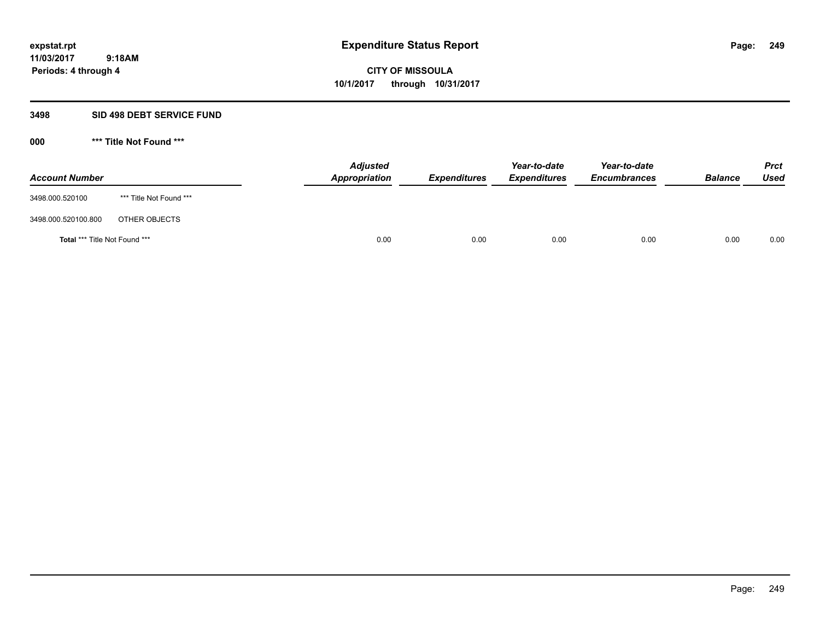**Periods: 4 through 4**

**CITY OF MISSOULA 10/1/2017 through 10/31/2017**

#### **3498 SID 498 DEBT SERVICE FUND**

**000 \*\*\* Title Not Found \*\*\***

| <b>Account Number</b>         |                         | <b>Adjusted</b><br>Appropriation | <b>Expenditures</b> | Year-to-date<br><b>Expenditures</b> | Year-to-date<br><b>Encumbrances</b> | <b>Balance</b> | <b>Prct</b><br><b>Used</b> |
|-------------------------------|-------------------------|----------------------------------|---------------------|-------------------------------------|-------------------------------------|----------------|----------------------------|
| 3498.000.520100               | *** Title Not Found *** |                                  |                     |                                     |                                     |                |                            |
| 3498.000.520100.800           | OTHER OBJECTS           |                                  |                     |                                     |                                     |                |                            |
| Total *** Title Not Found *** |                         | 0.00                             | 0.00                | 0.00                                | 0.00                                | 0.00           | 0.00                       |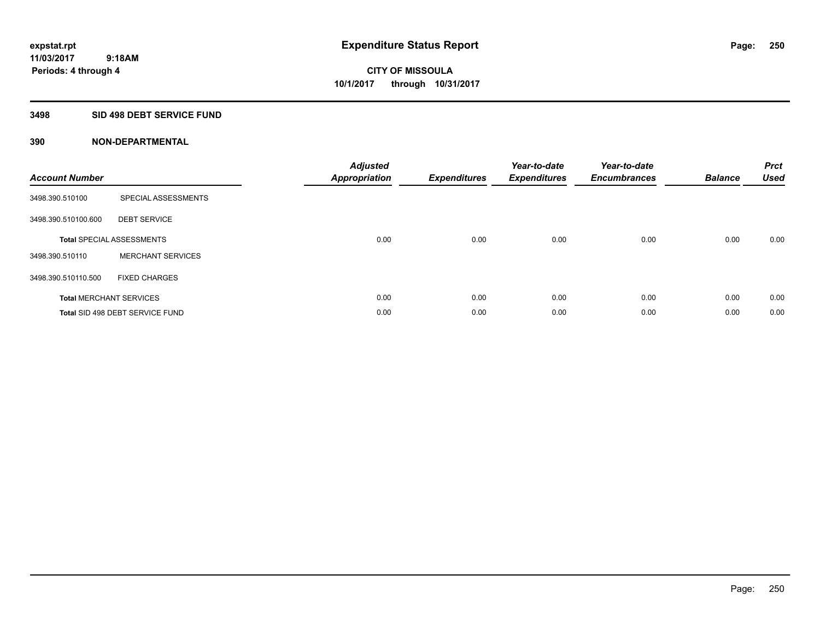## **3498 SID 498 DEBT SERVICE FUND**

| <b>Account Number</b> |                                  | <b>Adjusted</b><br>Appropriation | <b>Expenditures</b> | Year-to-date<br><b>Expenditures</b> | Year-to-date<br><b>Encumbrances</b> | <b>Balance</b> | <b>Prct</b><br><b>Used</b> |
|-----------------------|----------------------------------|----------------------------------|---------------------|-------------------------------------|-------------------------------------|----------------|----------------------------|
| 3498.390.510100       | SPECIAL ASSESSMENTS              |                                  |                     |                                     |                                     |                |                            |
| 3498.390.510100.600   | <b>DEBT SERVICE</b>              |                                  |                     |                                     |                                     |                |                            |
|                       | <b>Total SPECIAL ASSESSMENTS</b> | 0.00                             | 0.00                | 0.00                                | 0.00                                | 0.00           | 0.00                       |
| 3498.390.510110       | <b>MERCHANT SERVICES</b>         |                                  |                     |                                     |                                     |                |                            |
| 3498.390.510110.500   | <b>FIXED CHARGES</b>             |                                  |                     |                                     |                                     |                |                            |
|                       | <b>Total MERCHANT SERVICES</b>   | 0.00                             | 0.00                | 0.00                                | 0.00                                | 0.00           | 0.00                       |
|                       | Total SID 498 DEBT SERVICE FUND  | 0.00                             | 0.00                | 0.00                                | 0.00                                | 0.00           | 0.00                       |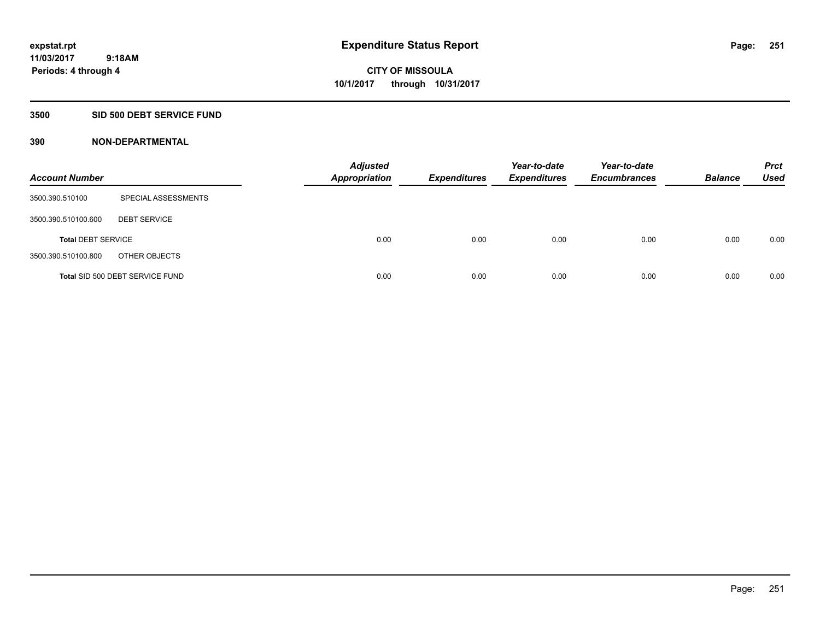## **3500 SID 500 DEBT SERVICE FUND**

| <b>Account Number</b>     |                                 | <b>Adjusted</b><br><b>Appropriation</b> | <b>Expenditures</b> | Year-to-date<br><b>Expenditures</b> | Year-to-date<br><b>Encumbrances</b> | <b>Balance</b> | <b>Prct</b><br><b>Used</b> |
|---------------------------|---------------------------------|-----------------------------------------|---------------------|-------------------------------------|-------------------------------------|----------------|----------------------------|
| 3500.390.510100           | SPECIAL ASSESSMENTS             |                                         |                     |                                     |                                     |                |                            |
| 3500.390.510100.600       | <b>DEBT SERVICE</b>             |                                         |                     |                                     |                                     |                |                            |
| <b>Total DEBT SERVICE</b> |                                 | 0.00                                    | 0.00                | 0.00                                | 0.00                                | 0.00           | 0.00                       |
| 3500.390.510100.800       | OTHER OBJECTS                   |                                         |                     |                                     |                                     |                |                            |
|                           | Total SID 500 DEBT SERVICE FUND | 0.00                                    | 0.00                | 0.00                                | 0.00                                | 0.00           | 0.00                       |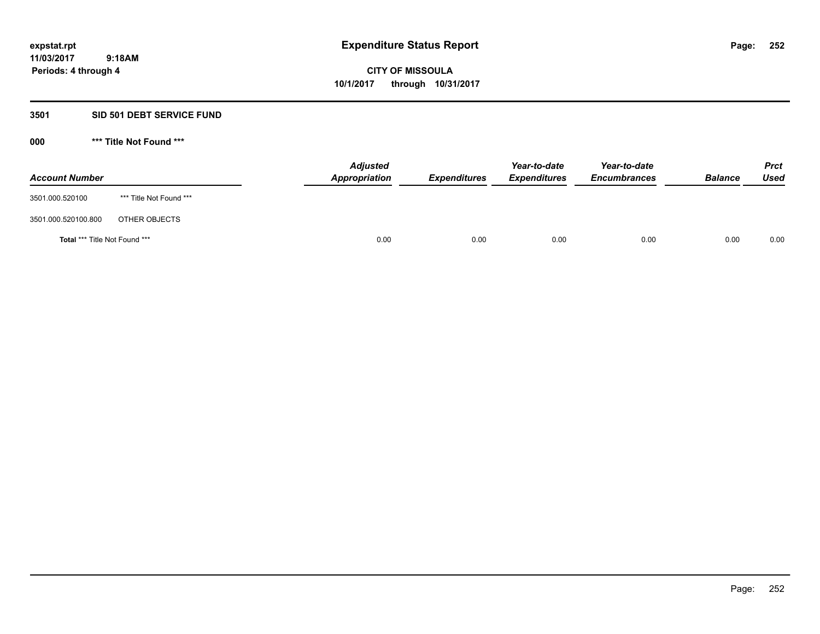#### **3501 SID 501 DEBT SERVICE FUND**

**000 \*\*\* Title Not Found \*\*\***

| <b>Account Number</b>                |                         | <b>Adjusted</b><br>Appropriation | <b>Expenditures</b> | Year-to-date<br><b>Expenditures</b> | Year-to-date<br><b>Encumbrances</b> | <b>Balance</b> | <b>Prct</b><br><b>Used</b> |
|--------------------------------------|-------------------------|----------------------------------|---------------------|-------------------------------------|-------------------------------------|----------------|----------------------------|
| 3501.000.520100                      | *** Title Not Found *** |                                  |                     |                                     |                                     |                |                            |
| 3501.000.520100.800                  | OTHER OBJECTS           |                                  |                     |                                     |                                     |                |                            |
| <b>Total *** Title Not Found ***</b> |                         | 0.00                             | 0.00                | 0.00                                | 0.00                                | 0.00           | 0.00                       |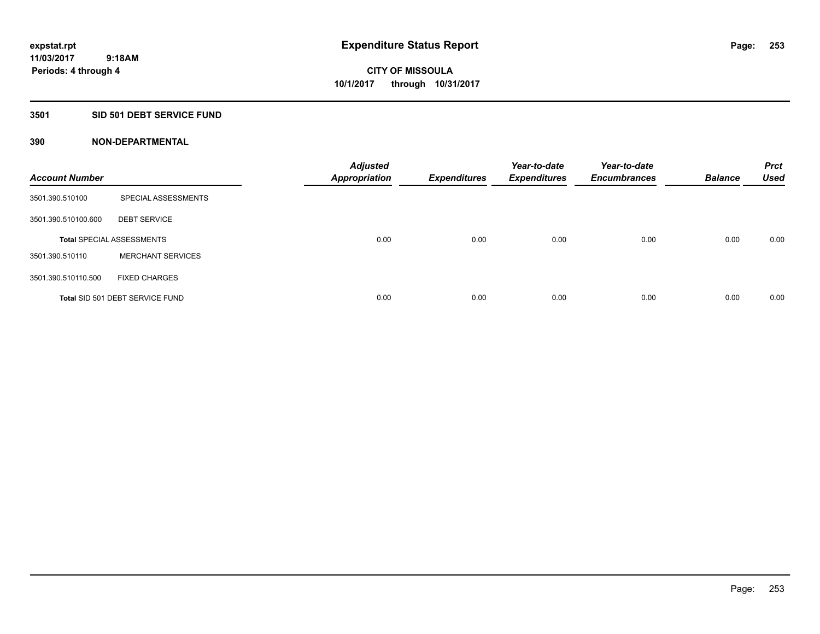### **3501 SID 501 DEBT SERVICE FUND**

| <b>Account Number</b> |                                  | <b>Adjusted</b><br><b>Appropriation</b> | <b>Expenditures</b> | Year-to-date<br><b>Expenditures</b> | Year-to-date<br><b>Encumbrances</b> | <b>Balance</b> | <b>Prct</b><br><b>Used</b> |
|-----------------------|----------------------------------|-----------------------------------------|---------------------|-------------------------------------|-------------------------------------|----------------|----------------------------|
| 3501.390.510100       | SPECIAL ASSESSMENTS              |                                         |                     |                                     |                                     |                |                            |
| 3501.390.510100.600   | <b>DEBT SERVICE</b>              |                                         |                     |                                     |                                     |                |                            |
|                       | <b>Total SPECIAL ASSESSMENTS</b> | 0.00                                    | 0.00                | 0.00                                | 0.00                                | 0.00           | 0.00                       |
| 3501.390.510110       | <b>MERCHANT SERVICES</b>         |                                         |                     |                                     |                                     |                |                            |
| 3501.390.510110.500   | <b>FIXED CHARGES</b>             |                                         |                     |                                     |                                     |                |                            |
|                       | Total SID 501 DEBT SERVICE FUND  | 0.00                                    | 0.00                | 0.00                                | 0.00                                | 0.00           | 0.00                       |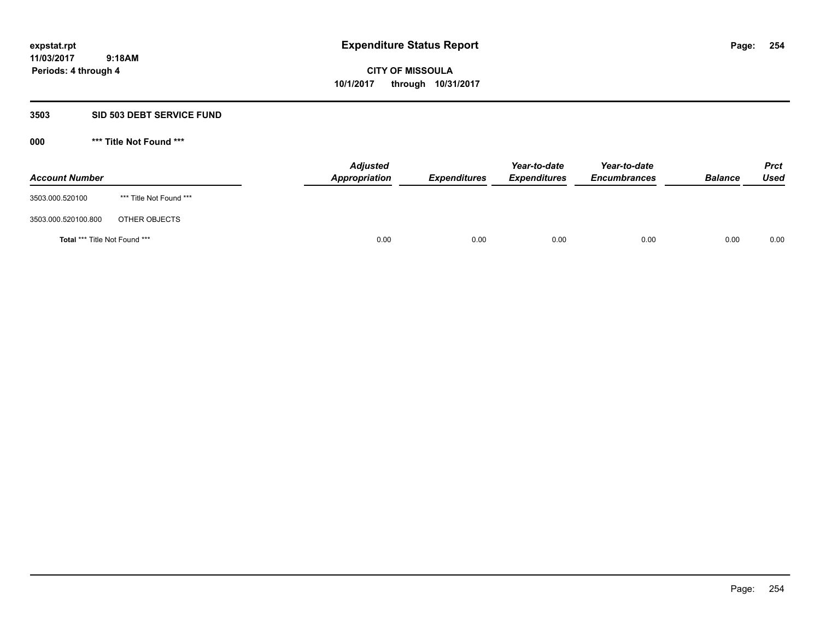#### **3503 SID 503 DEBT SERVICE FUND**

| <b>Account Number</b>         |                         | <b>Adjusted</b><br>Appropriation | <b>Expenditures</b> | Year-to-date<br><b>Expenditures</b> | Year-to-date<br><b>Encumbrances</b> | <b>Balance</b> | <b>Prct</b><br>Used |
|-------------------------------|-------------------------|----------------------------------|---------------------|-------------------------------------|-------------------------------------|----------------|---------------------|
| 3503.000.520100               | *** Title Not Found *** |                                  |                     |                                     |                                     |                |                     |
| 3503.000.520100.800           | OTHER OBJECTS           |                                  |                     |                                     |                                     |                |                     |
| Total *** Title Not Found *** |                         | 0.00                             | 0.00                | 0.00                                | 0.00                                | 0.00           | 0.00                |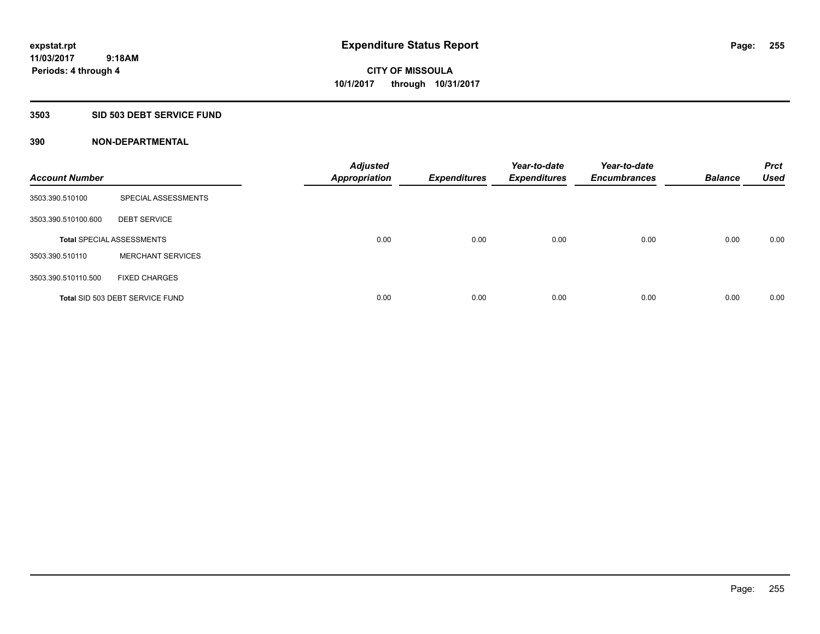### **3503 SID 503 DEBT SERVICE FUND**

| <b>Account Number</b> |                                  | <b>Adjusted</b><br><b>Appropriation</b> | <b>Expenditures</b> | Year-to-date<br><b>Expenditures</b> | Year-to-date<br><b>Encumbrances</b> | <b>Balance</b> | <b>Prct</b><br><b>Used</b> |
|-----------------------|----------------------------------|-----------------------------------------|---------------------|-------------------------------------|-------------------------------------|----------------|----------------------------|
| 3503.390.510100       | SPECIAL ASSESSMENTS              |                                         |                     |                                     |                                     |                |                            |
| 3503.390.510100.600   | <b>DEBT SERVICE</b>              |                                         |                     |                                     |                                     |                |                            |
|                       | <b>Total SPECIAL ASSESSMENTS</b> | 0.00                                    | 0.00                | 0.00                                | 0.00                                | 0.00           | 0.00                       |
| 3503.390.510110       | <b>MERCHANT SERVICES</b>         |                                         |                     |                                     |                                     |                |                            |
| 3503.390.510110.500   | <b>FIXED CHARGES</b>             |                                         |                     |                                     |                                     |                |                            |
|                       | Total SID 503 DEBT SERVICE FUND  | 0.00                                    | 0.00                | 0.00                                | 0.00                                | 0.00           | 0.00                       |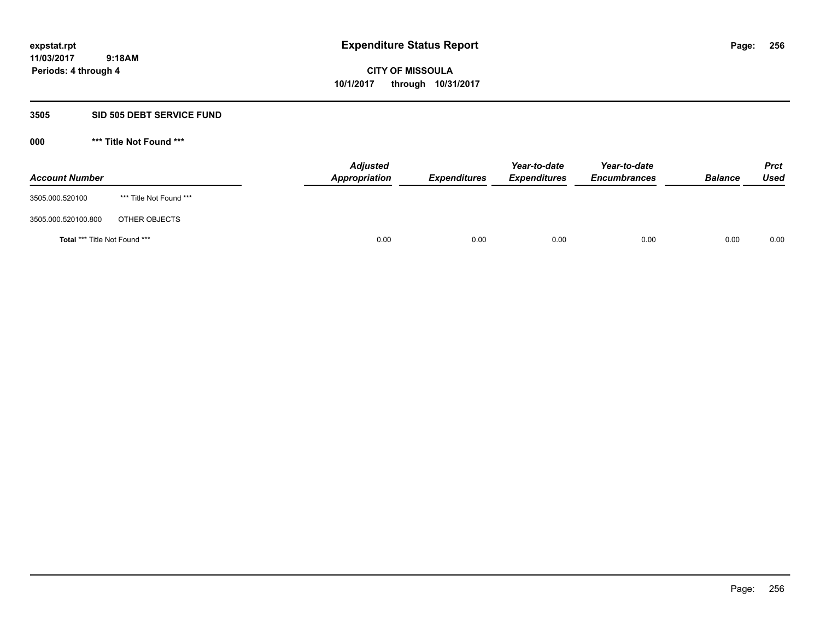#### **3505 SID 505 DEBT SERVICE FUND**

| <b>Account Number</b>         |                         | <b>Adjusted</b><br>Appropriation | <b>Expenditures</b> | Year-to-date<br><b>Expenditures</b> | Year-to-date<br><b>Encumbrances</b> | <b>Balance</b> | <b>Prct</b><br>Used |
|-------------------------------|-------------------------|----------------------------------|---------------------|-------------------------------------|-------------------------------------|----------------|---------------------|
| 3505.000.520100               | *** Title Not Found *** |                                  |                     |                                     |                                     |                |                     |
| 3505.000.520100.800           | OTHER OBJECTS           |                                  |                     |                                     |                                     |                |                     |
| Total *** Title Not Found *** |                         | 0.00                             | 0.00                | 0.00                                | 0.00                                | 0.00           | 0.00                |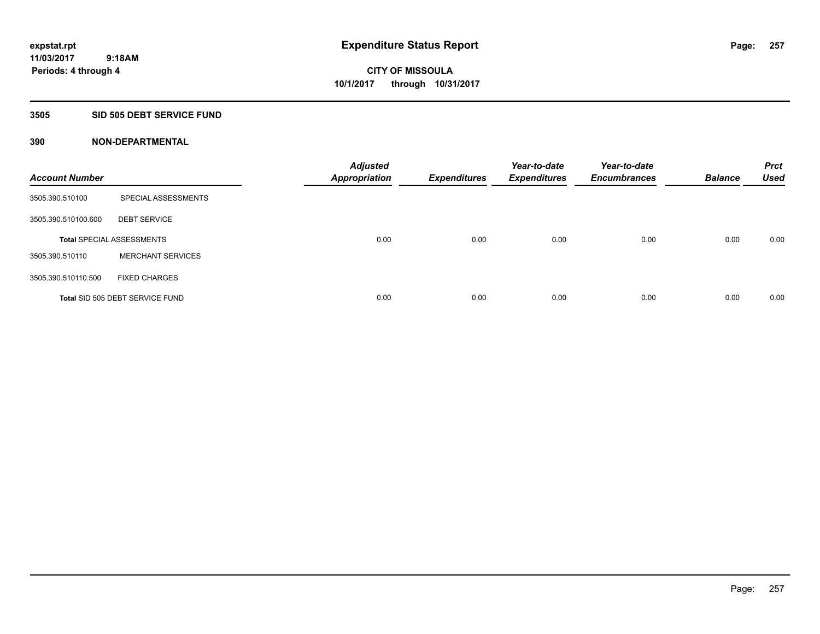### **3505 SID 505 DEBT SERVICE FUND**

| <b>Account Number</b> |                                  | <b>Adjusted</b><br><b>Appropriation</b> | <b>Expenditures</b> | Year-to-date<br><b>Expenditures</b> | Year-to-date<br><b>Encumbrances</b> | <b>Balance</b> | <b>Prct</b><br><b>Used</b> |
|-----------------------|----------------------------------|-----------------------------------------|---------------------|-------------------------------------|-------------------------------------|----------------|----------------------------|
| 3505.390.510100       | SPECIAL ASSESSMENTS              |                                         |                     |                                     |                                     |                |                            |
| 3505.390.510100.600   | <b>DEBT SERVICE</b>              |                                         |                     |                                     |                                     |                |                            |
|                       | <b>Total SPECIAL ASSESSMENTS</b> | 0.00                                    | 0.00                | 0.00                                | 0.00                                | 0.00           | 0.00                       |
| 3505.390.510110       | <b>MERCHANT SERVICES</b>         |                                         |                     |                                     |                                     |                |                            |
| 3505.390.510110.500   | <b>FIXED CHARGES</b>             |                                         |                     |                                     |                                     |                |                            |
|                       | Total SID 505 DEBT SERVICE FUND  | 0.00                                    | 0.00                | 0.00                                | 0.00                                | 0.00           | 0.00                       |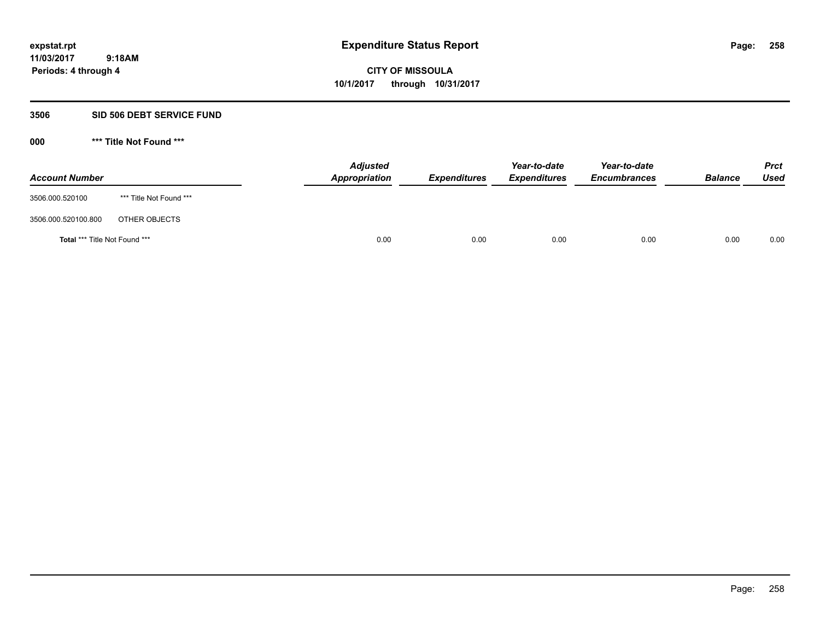**Periods: 4 through 4**

**CITY OF MISSOULA 10/1/2017 through 10/31/2017**

#### **3506 SID 506 DEBT SERVICE FUND**

| <b>Account Number</b>         |                         | <b>Adjusted</b><br>Appropriation | <b>Expenditures</b> | Year-to-date<br><b>Expenditures</b> | Year-to-date<br><b>Encumbrances</b> | <b>Balance</b> | <b>Prct</b><br>Used |
|-------------------------------|-------------------------|----------------------------------|---------------------|-------------------------------------|-------------------------------------|----------------|---------------------|
| 3506.000.520100               | *** Title Not Found *** |                                  |                     |                                     |                                     |                |                     |
| 3506.000.520100.800           | OTHER OBJECTS           |                                  |                     |                                     |                                     |                |                     |
| Total *** Title Not Found *** |                         | 0.00                             | 0.00                | 0.00                                | 0.00                                | 0.00           | 0.00                |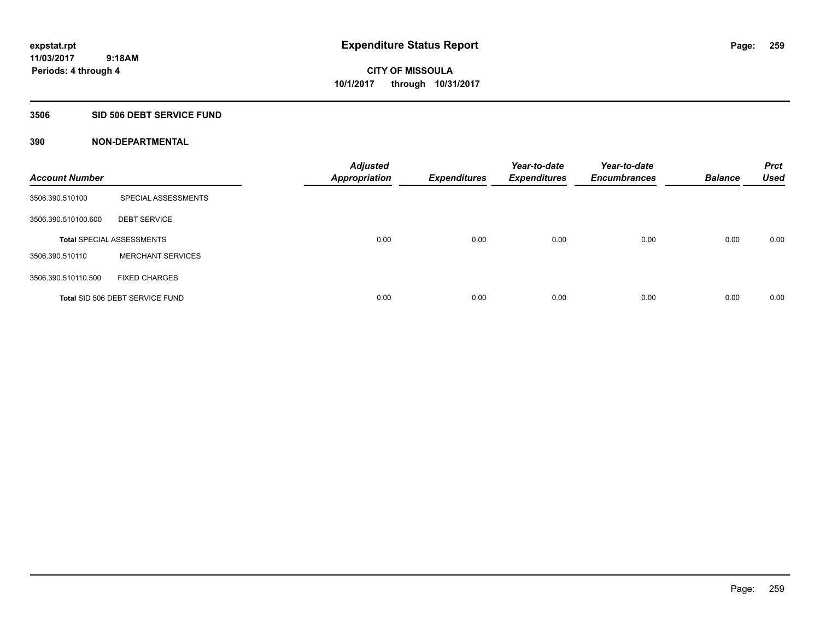### **3506 SID 506 DEBT SERVICE FUND**

| <b>Account Number</b> |                                  | <b>Adjusted</b><br><b>Appropriation</b> | <b>Expenditures</b> | Year-to-date<br><b>Expenditures</b> | Year-to-date<br><b>Encumbrances</b> | <b>Balance</b> | <b>Prct</b><br><b>Used</b> |
|-----------------------|----------------------------------|-----------------------------------------|---------------------|-------------------------------------|-------------------------------------|----------------|----------------------------|
| 3506.390.510100       | SPECIAL ASSESSMENTS              |                                         |                     |                                     |                                     |                |                            |
| 3506.390.510100.600   | <b>DEBT SERVICE</b>              |                                         |                     |                                     |                                     |                |                            |
|                       | <b>Total SPECIAL ASSESSMENTS</b> | 0.00                                    | 0.00                | 0.00                                | 0.00                                | 0.00           | 0.00                       |
| 3506.390.510110       | <b>MERCHANT SERVICES</b>         |                                         |                     |                                     |                                     |                |                            |
| 3506.390.510110.500   | <b>FIXED CHARGES</b>             |                                         |                     |                                     |                                     |                |                            |
|                       | Total SID 506 DEBT SERVICE FUND  | 0.00                                    | 0.00                | 0.00                                | 0.00                                | 0.00           | 0.00                       |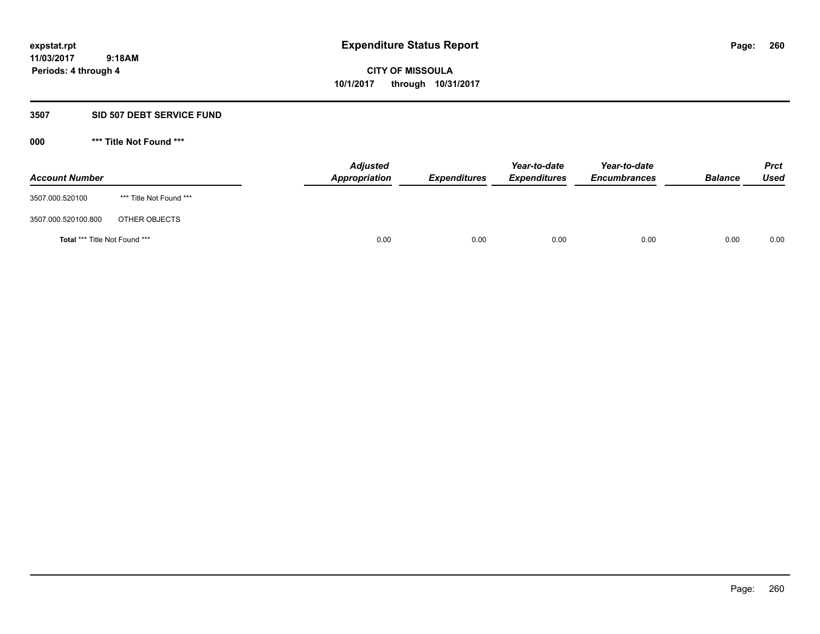#### **3507 SID 507 DEBT SERVICE FUND**

| <b>Account Number</b>         |                         | <b>Adjusted</b><br>Appropriation | <b>Expenditures</b> | Year-to-date<br><b>Expenditures</b> | Year-to-date<br><b>Encumbrances</b> | <b>Balance</b> | <b>Prct</b><br><b>Used</b> |
|-------------------------------|-------------------------|----------------------------------|---------------------|-------------------------------------|-------------------------------------|----------------|----------------------------|
| 3507.000.520100               | *** Title Not Found *** |                                  |                     |                                     |                                     |                |                            |
| 3507.000.520100.800           | OTHER OBJECTS           |                                  |                     |                                     |                                     |                |                            |
| Total *** Title Not Found *** |                         | 0.00                             | 0.00                | 0.00                                | 0.00                                | 0.00           | 0.00                       |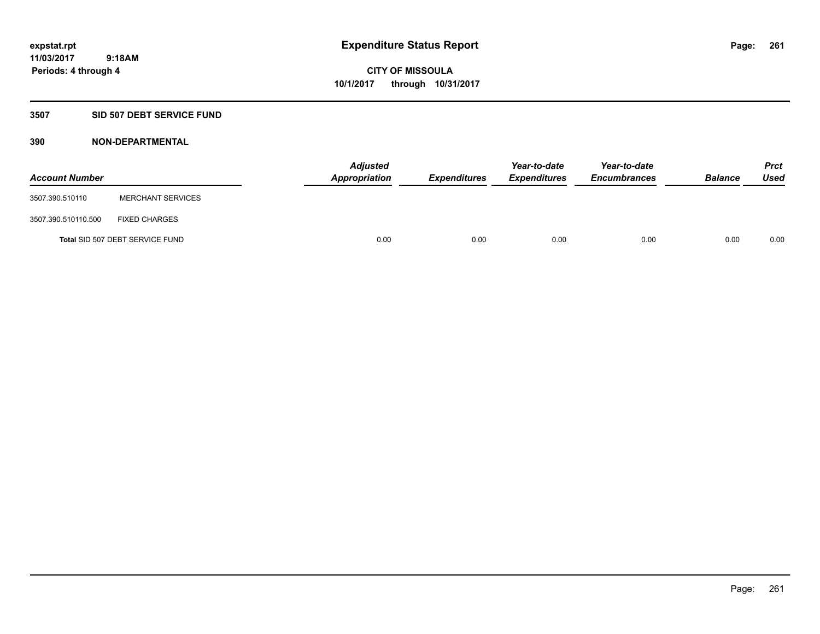#### **3507 SID 507 DEBT SERVICE FUND**

| <b>Account Number</b> |                                 | <b>Adjusted</b><br>Appropriation | <b>Expenditures</b> | Year-to-date<br><b>Expenditures</b> | Year-to-date<br><b>Encumbrances</b> | <b>Balance</b> | <b>Prct</b><br><b>Used</b> |
|-----------------------|---------------------------------|----------------------------------|---------------------|-------------------------------------|-------------------------------------|----------------|----------------------------|
| 3507.390.510110       | <b>MERCHANT SERVICES</b>        |                                  |                     |                                     |                                     |                |                            |
| 3507.390.510110.500   | <b>FIXED CHARGES</b>            |                                  |                     |                                     |                                     |                |                            |
|                       | Total SID 507 DEBT SERVICE FUND | 0.00                             | 0.00                | 0.00                                | 0.00                                | 0.00           | 0.00                       |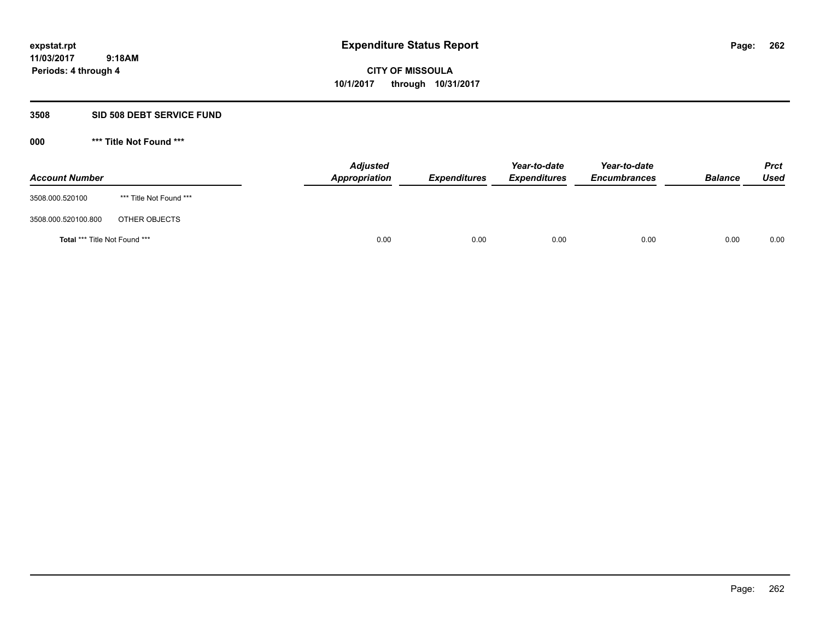#### **3508 SID 508 DEBT SERVICE FUND**

| <b>Account Number</b>         |                         | <b>Adjusted</b><br>Appropriation | <b>Expenditures</b> | Year-to-date<br><b>Expenditures</b> | Year-to-date<br><b>Encumbrances</b> | <b>Balance</b> | <b>Prct</b><br><b>Used</b> |
|-------------------------------|-------------------------|----------------------------------|---------------------|-------------------------------------|-------------------------------------|----------------|----------------------------|
| 3508.000.520100               | *** Title Not Found *** |                                  |                     |                                     |                                     |                |                            |
| 3508.000.520100.800           | OTHER OBJECTS           |                                  |                     |                                     |                                     |                |                            |
| Total *** Title Not Found *** |                         | 0.00                             | 0.00                | 0.00                                | 0.00                                | 0.00           | 0.00                       |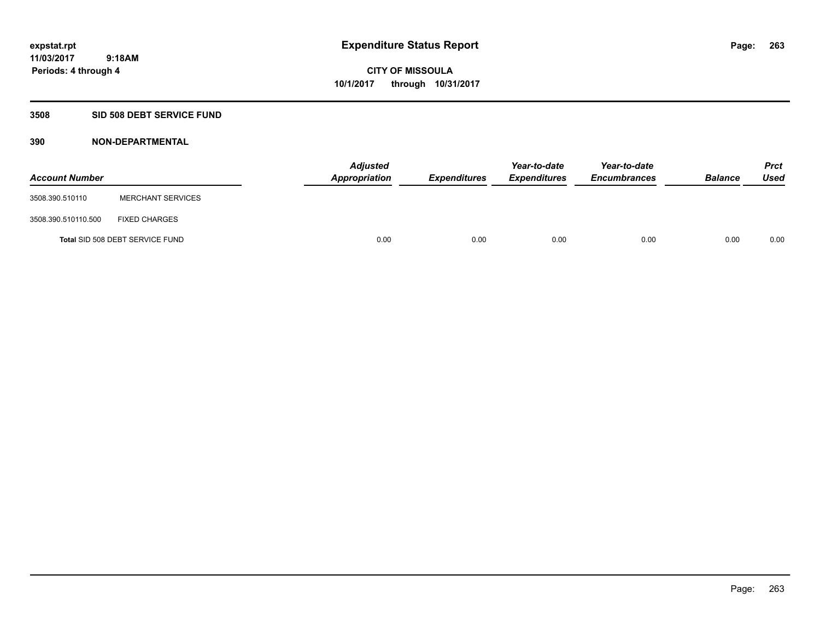### **3508 SID 508 DEBT SERVICE FUND**

| <b>Account Number</b> |                                 | <b>Adjusted</b><br>Appropriation | <b>Expenditures</b> | Year-to-date<br><b>Expenditures</b> | Year-to-date<br><b>Encumbrances</b> | <b>Balance</b> | <b>Prct</b><br><b>Used</b> |
|-----------------------|---------------------------------|----------------------------------|---------------------|-------------------------------------|-------------------------------------|----------------|----------------------------|
| 3508.390.510110       | <b>MERCHANT SERVICES</b>        |                                  |                     |                                     |                                     |                |                            |
| 3508.390.510110.500   | <b>FIXED CHARGES</b>            |                                  |                     |                                     |                                     |                |                            |
|                       | Total SID 508 DEBT SERVICE FUND | 0.00                             | 0.00                | 0.00                                | 0.00                                | 0.00           | 0.00                       |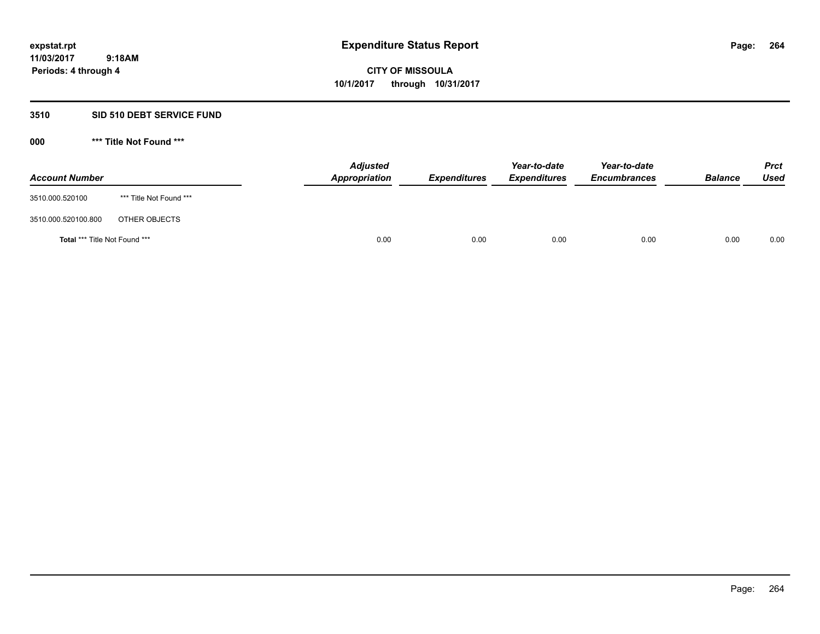#### **3510 SID 510 DEBT SERVICE FUND**

| <b>Account Number</b>         |                         | <b>Adjusted</b><br>Appropriation | <b>Expenditures</b> | Year-to-date<br><b>Expenditures</b> | Year-to-date<br><b>Encumbrances</b> | <b>Balance</b> | <b>Prct</b><br>Used |
|-------------------------------|-------------------------|----------------------------------|---------------------|-------------------------------------|-------------------------------------|----------------|---------------------|
| 3510.000.520100               | *** Title Not Found *** |                                  |                     |                                     |                                     |                |                     |
| 3510.000.520100.800           | OTHER OBJECTS           |                                  |                     |                                     |                                     |                |                     |
| Total *** Title Not Found *** |                         | 0.00                             | 0.00                | 0.00                                | 0.00                                | 0.00           | 0.00                |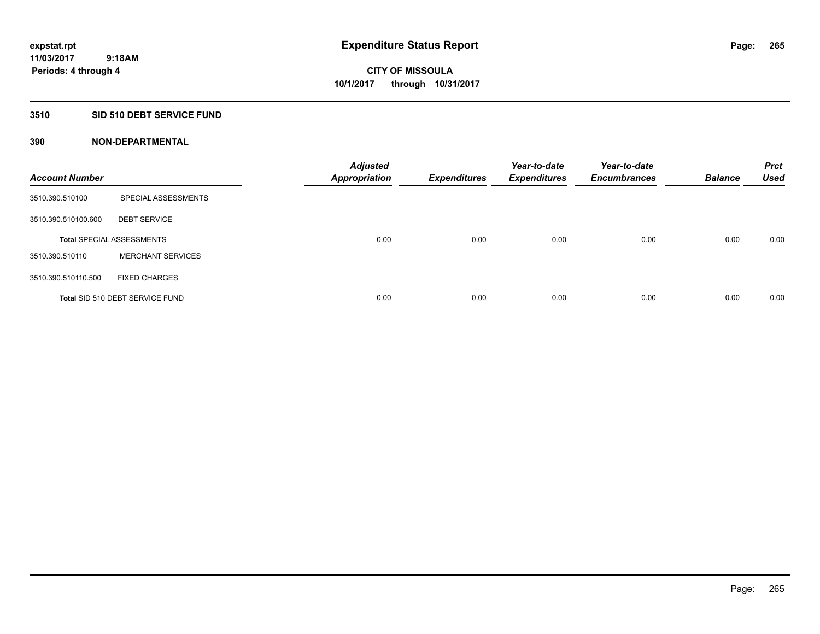### **3510 SID 510 DEBT SERVICE FUND**

| <b>Account Number</b> |                                  | <b>Adjusted</b><br><b>Appropriation</b> | <b>Expenditures</b> | Year-to-date<br><b>Expenditures</b> | Year-to-date<br><b>Encumbrances</b> | <b>Balance</b> | <b>Prct</b><br><b>Used</b> |
|-----------------------|----------------------------------|-----------------------------------------|---------------------|-------------------------------------|-------------------------------------|----------------|----------------------------|
| 3510.390.510100       | SPECIAL ASSESSMENTS              |                                         |                     |                                     |                                     |                |                            |
| 3510.390.510100.600   | <b>DEBT SERVICE</b>              |                                         |                     |                                     |                                     |                |                            |
|                       | <b>Total SPECIAL ASSESSMENTS</b> | 0.00                                    | 0.00                | 0.00                                | 0.00                                | 0.00           | 0.00                       |
| 3510.390.510110       | <b>MERCHANT SERVICES</b>         |                                         |                     |                                     |                                     |                |                            |
| 3510.390.510110.500   | <b>FIXED CHARGES</b>             |                                         |                     |                                     |                                     |                |                            |
|                       | Total SID 510 DEBT SERVICE FUND  | 0.00                                    | 0.00                | 0.00                                | 0.00                                | 0.00           | 0.00                       |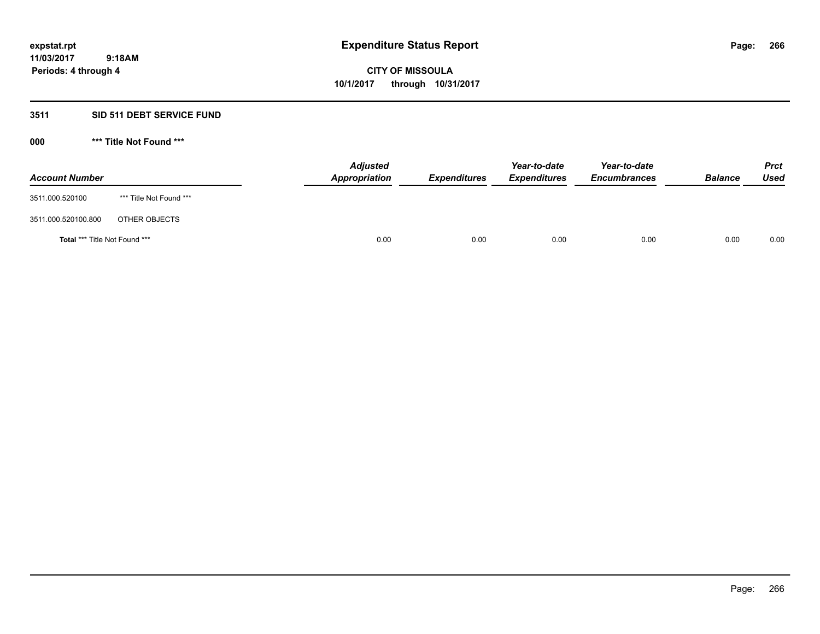### **3511 SID 511 DEBT SERVICE FUND**

| <b>Account Number</b>                |                         | <b>Adjusted</b><br>Appropriation | <b>Expenditures</b> | Year-to-date<br><b>Expenditures</b> | Year-to-date<br><b>Encumbrances</b> | <b>Balance</b> | <b>Prct</b><br>Used |
|--------------------------------------|-------------------------|----------------------------------|---------------------|-------------------------------------|-------------------------------------|----------------|---------------------|
| 3511.000.520100                      | *** Title Not Found *** |                                  |                     |                                     |                                     |                |                     |
| 3511.000.520100.800                  | OTHER OBJECTS           |                                  |                     |                                     |                                     |                |                     |
| <b>Total *** Title Not Found ***</b> |                         | 0.00                             | 0.00                | 0.00                                | 0.00                                | 0.00           | 0.00                |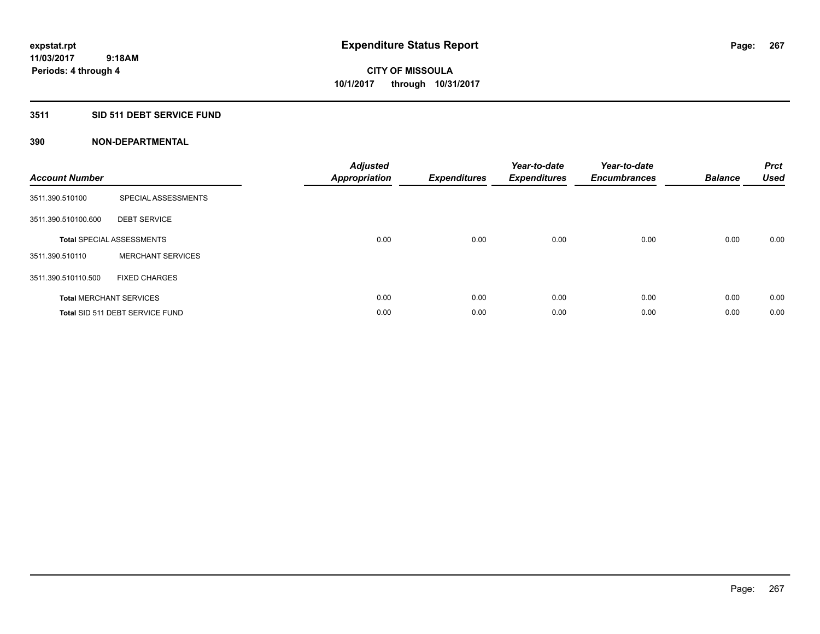## **3511 SID 511 DEBT SERVICE FUND**

| <b>Account Number</b> |                                  | <b>Adjusted</b><br>Appropriation | <b>Expenditures</b> | Year-to-date<br><b>Expenditures</b> | Year-to-date<br><b>Encumbrances</b> | <b>Balance</b> | <b>Prct</b><br><b>Used</b> |
|-----------------------|----------------------------------|----------------------------------|---------------------|-------------------------------------|-------------------------------------|----------------|----------------------------|
| 3511.390.510100       | SPECIAL ASSESSMENTS              |                                  |                     |                                     |                                     |                |                            |
| 3511.390.510100.600   | <b>DEBT SERVICE</b>              |                                  |                     |                                     |                                     |                |                            |
|                       | <b>Total SPECIAL ASSESSMENTS</b> | 0.00                             | 0.00                | 0.00                                | 0.00                                | 0.00           | 0.00                       |
| 3511.390.510110       | <b>MERCHANT SERVICES</b>         |                                  |                     |                                     |                                     |                |                            |
| 3511.390.510110.500   | <b>FIXED CHARGES</b>             |                                  |                     |                                     |                                     |                |                            |
|                       | <b>Total MERCHANT SERVICES</b>   | 0.00                             | 0.00                | 0.00                                | 0.00                                | 0.00           | 0.00                       |
|                       | Total SID 511 DEBT SERVICE FUND  | 0.00                             | 0.00                | 0.00                                | 0.00                                | 0.00           | 0.00                       |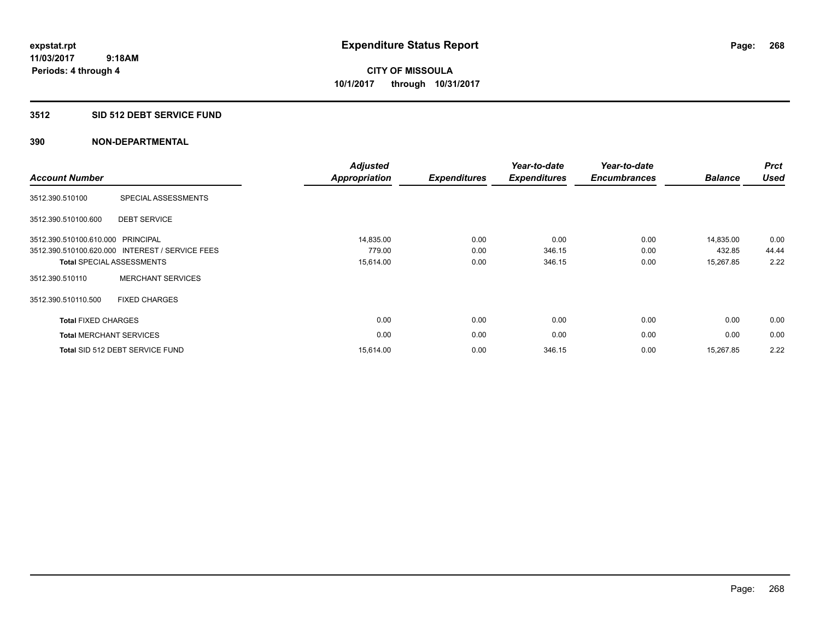## **3512 SID 512 DEBT SERVICE FUND**

| <b>Account Number</b>             |                                                 | <b>Adjusted</b><br><b>Appropriation</b> | <b>Expenditures</b> | Year-to-date<br><b>Expenditures</b> | Year-to-date<br><b>Encumbrances</b> | <b>Balance</b> | <b>Prct</b><br><b>Used</b> |
|-----------------------------------|-------------------------------------------------|-----------------------------------------|---------------------|-------------------------------------|-------------------------------------|----------------|----------------------------|
| 3512.390.510100                   | SPECIAL ASSESSMENTS                             |                                         |                     |                                     |                                     |                |                            |
| 3512.390.510100.600               | <b>DEBT SERVICE</b>                             |                                         |                     |                                     |                                     |                |                            |
| 3512.390.510100.610.000 PRINCIPAL |                                                 | 14,835.00                               | 0.00                | 0.00                                | 0.00                                | 14,835.00      | 0.00                       |
|                                   | 3512.390.510100.620.000 INTEREST / SERVICE FEES | 779.00                                  | 0.00                | 346.15                              | 0.00                                | 432.85         | 44.44                      |
|                                   | <b>Total SPECIAL ASSESSMENTS</b>                | 15,614.00                               | 0.00                | 346.15                              | 0.00                                | 15,267.85      | 2.22                       |
| 3512.390.510110                   | <b>MERCHANT SERVICES</b>                        |                                         |                     |                                     |                                     |                |                            |
| 3512.390.510110.500               | <b>FIXED CHARGES</b>                            |                                         |                     |                                     |                                     |                |                            |
| <b>Total FIXED CHARGES</b>        |                                                 | 0.00                                    | 0.00                | 0.00                                | 0.00                                | 0.00           | 0.00                       |
| <b>Total MERCHANT SERVICES</b>    |                                                 | 0.00                                    | 0.00                | 0.00                                | 0.00                                | 0.00           | 0.00                       |
|                                   | Total SID 512 DEBT SERVICE FUND                 | 15,614.00                               | 0.00                | 346.15                              | 0.00                                | 15,267.85      | 2.22                       |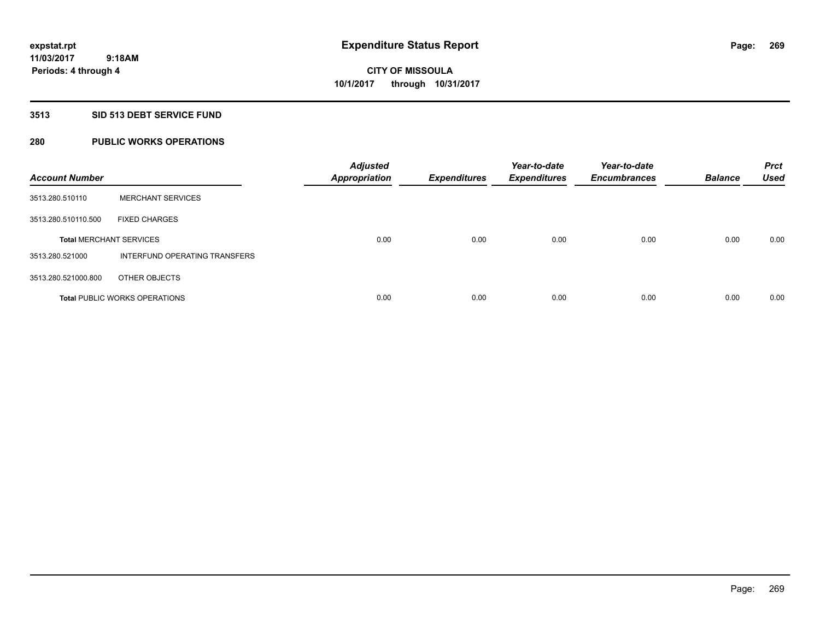## **3513 SID 513 DEBT SERVICE FUND**

## **280 PUBLIC WORKS OPERATIONS**

| <b>Account Number</b>          |                                      | <b>Adjusted</b><br><b>Appropriation</b> | <b>Expenditures</b> | Year-to-date<br><b>Expenditures</b> | Year-to-date<br><b>Encumbrances</b> | <b>Balance</b> | <b>Prct</b><br><b>Used</b> |
|--------------------------------|--------------------------------------|-----------------------------------------|---------------------|-------------------------------------|-------------------------------------|----------------|----------------------------|
| 3513.280.510110                | <b>MERCHANT SERVICES</b>             |                                         |                     |                                     |                                     |                |                            |
| 3513.280.510110.500            | <b>FIXED CHARGES</b>                 |                                         |                     |                                     |                                     |                |                            |
| <b>Total MERCHANT SERVICES</b> |                                      | 0.00                                    | 0.00                | 0.00                                | 0.00                                | 0.00           | 0.00                       |
| 3513.280.521000                | INTERFUND OPERATING TRANSFERS        |                                         |                     |                                     |                                     |                |                            |
| 3513.280.521000.800            | OTHER OBJECTS                        |                                         |                     |                                     |                                     |                |                            |
|                                | <b>Total PUBLIC WORKS OPERATIONS</b> | 0.00                                    | 0.00                | 0.00                                | 0.00                                | 0.00           | 0.00                       |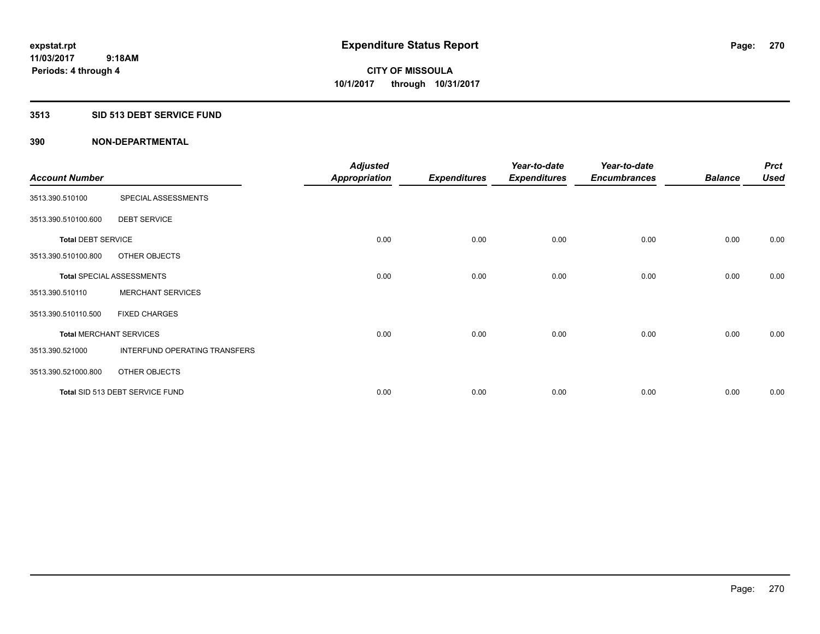### **3513 SID 513 DEBT SERVICE FUND**

|                           |                                  | <b>Adjusted</b>      |                     | Year-to-date        | Year-to-date        |                | <b>Prct</b> |
|---------------------------|----------------------------------|----------------------|---------------------|---------------------|---------------------|----------------|-------------|
| <b>Account Number</b>     |                                  | <b>Appropriation</b> | <b>Expenditures</b> | <b>Expenditures</b> | <b>Encumbrances</b> | <b>Balance</b> | <b>Used</b> |
| 3513.390.510100           | SPECIAL ASSESSMENTS              |                      |                     |                     |                     |                |             |
| 3513.390.510100.600       | <b>DEBT SERVICE</b>              |                      |                     |                     |                     |                |             |
| <b>Total DEBT SERVICE</b> |                                  | 0.00                 | 0.00                | 0.00                | 0.00                | 0.00           | 0.00        |
| 3513.390.510100.800       | OTHER OBJECTS                    |                      |                     |                     |                     |                |             |
|                           | <b>Total SPECIAL ASSESSMENTS</b> | 0.00                 | 0.00                | 0.00                | 0.00                | 0.00           | 0.00        |
| 3513.390.510110           | <b>MERCHANT SERVICES</b>         |                      |                     |                     |                     |                |             |
| 3513.390.510110.500       | <b>FIXED CHARGES</b>             |                      |                     |                     |                     |                |             |
|                           | <b>Total MERCHANT SERVICES</b>   | 0.00                 | 0.00                | 0.00                | 0.00                | 0.00           | 0.00        |
| 3513.390.521000           | INTERFUND OPERATING TRANSFERS    |                      |                     |                     |                     |                |             |
| 3513.390.521000.800       | OTHER OBJECTS                    |                      |                     |                     |                     |                |             |
|                           | Total SID 513 DEBT SERVICE FUND  | 0.00                 | 0.00                | 0.00                | 0.00                | 0.00           | 0.00        |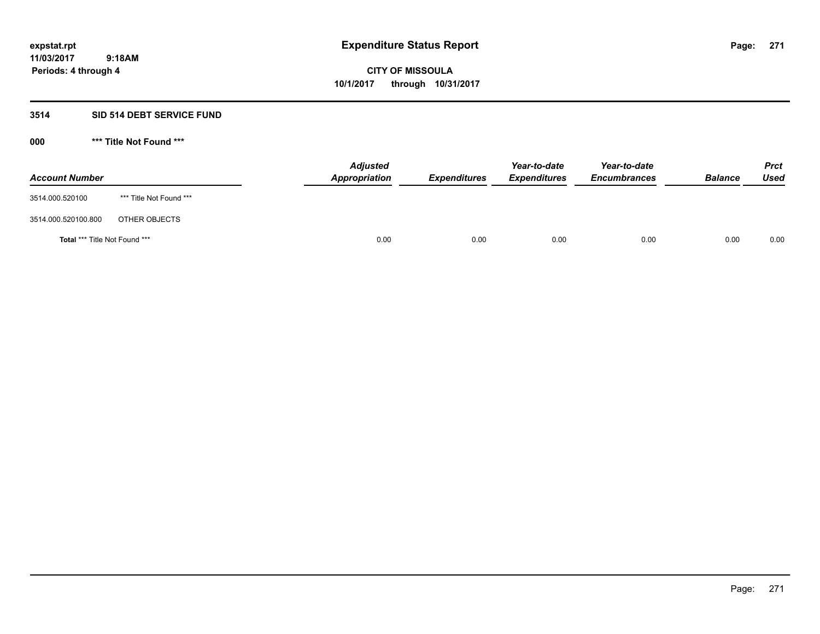### **3514 SID 514 DEBT SERVICE FUND**

| <b>Account Number</b>         |                         | <b>Adjusted</b><br>Appropriation | <b>Expenditures</b> | Year-to-date<br><b>Expenditures</b> | Year-to-date<br><b>Encumbrances</b> | <b>Balance</b> | <b>Prct</b><br>Used |
|-------------------------------|-------------------------|----------------------------------|---------------------|-------------------------------------|-------------------------------------|----------------|---------------------|
| 3514.000.520100               | *** Title Not Found *** |                                  |                     |                                     |                                     |                |                     |
| 3514.000.520100.800           | OTHER OBJECTS           |                                  |                     |                                     |                                     |                |                     |
| Total *** Title Not Found *** |                         | 0.00                             | 0.00                | 0.00                                | 0.00                                | 0.00           | 0.00                |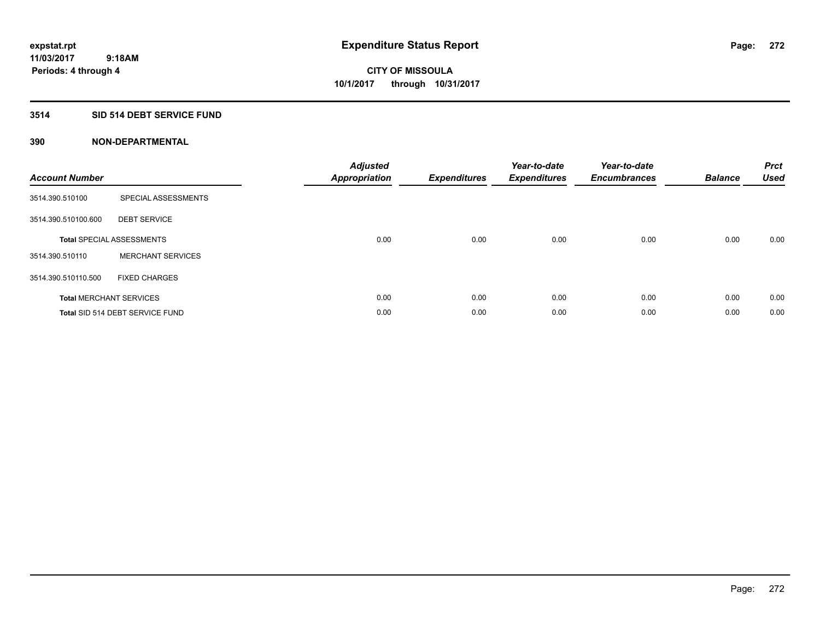## **3514 SID 514 DEBT SERVICE FUND**

| <b>Account Number</b> |                                  | <b>Adjusted</b><br>Appropriation | <b>Expenditures</b> | Year-to-date<br><b>Expenditures</b> | Year-to-date<br><b>Encumbrances</b> | <b>Balance</b> | <b>Prct</b><br><b>Used</b> |
|-----------------------|----------------------------------|----------------------------------|---------------------|-------------------------------------|-------------------------------------|----------------|----------------------------|
| 3514.390.510100       | SPECIAL ASSESSMENTS              |                                  |                     |                                     |                                     |                |                            |
| 3514.390.510100.600   | <b>DEBT SERVICE</b>              |                                  |                     |                                     |                                     |                |                            |
|                       | <b>Total SPECIAL ASSESSMENTS</b> | 0.00                             | 0.00                | 0.00                                | 0.00                                | 0.00           | 0.00                       |
| 3514.390.510110       | <b>MERCHANT SERVICES</b>         |                                  |                     |                                     |                                     |                |                            |
| 3514.390.510110.500   | <b>FIXED CHARGES</b>             |                                  |                     |                                     |                                     |                |                            |
|                       | <b>Total MERCHANT SERVICES</b>   | 0.00                             | 0.00                | 0.00                                | 0.00                                | 0.00           | 0.00                       |
|                       | Total SID 514 DEBT SERVICE FUND  | 0.00                             | 0.00                | 0.00                                | 0.00                                | 0.00           | 0.00                       |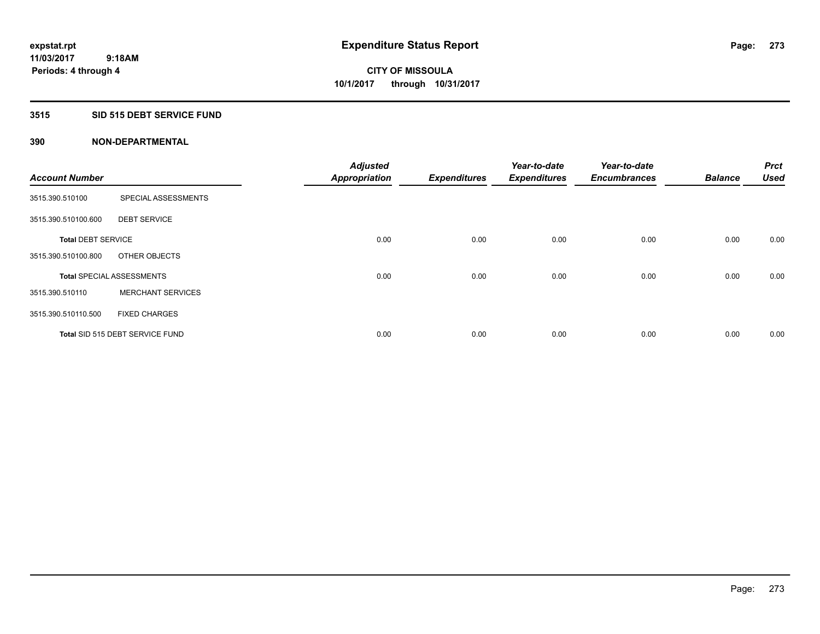### **3515 SID 515 DEBT SERVICE FUND**

|                           |                                  | <b>Adjusted</b>      |                     | Year-to-date        | Year-to-date        |                | <b>Prct</b> |
|---------------------------|----------------------------------|----------------------|---------------------|---------------------|---------------------|----------------|-------------|
| <b>Account Number</b>     |                                  | <b>Appropriation</b> | <b>Expenditures</b> | <b>Expenditures</b> | <b>Encumbrances</b> | <b>Balance</b> | <b>Used</b> |
| 3515.390.510100           | SPECIAL ASSESSMENTS              |                      |                     |                     |                     |                |             |
| 3515.390.510100.600       | <b>DEBT SERVICE</b>              |                      |                     |                     |                     |                |             |
| <b>Total DEBT SERVICE</b> |                                  | 0.00                 | 0.00                | 0.00                | 0.00                | 0.00           | 0.00        |
| 3515.390.510100.800       | OTHER OBJECTS                    |                      |                     |                     |                     |                |             |
|                           | <b>Total SPECIAL ASSESSMENTS</b> | 0.00                 | 0.00                | 0.00                | 0.00                | 0.00           | 0.00        |
| 3515.390.510110           | <b>MERCHANT SERVICES</b>         |                      |                     |                     |                     |                |             |
| 3515.390.510110.500       | <b>FIXED CHARGES</b>             |                      |                     |                     |                     |                |             |
|                           | Total SID 515 DEBT SERVICE FUND  | 0.00                 | 0.00                | 0.00                | 0.00                | 0.00           | 0.00        |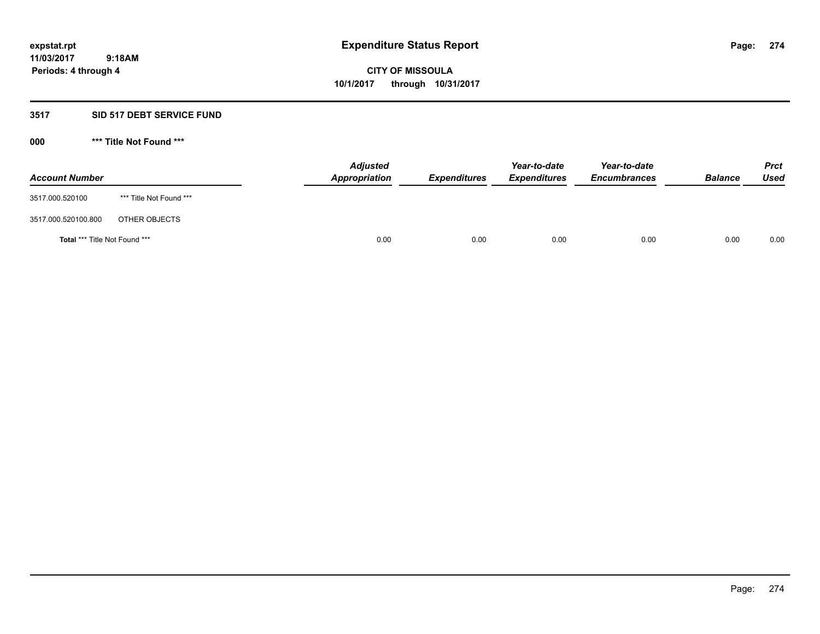### **3517 SID 517 DEBT SERVICE FUND**

| <b>Account Number</b>         |                         | <b>Adjusted</b><br>Appropriation | <b>Expenditures</b> | Year-to-date<br><b>Expenditures</b> | Year-to-date<br><b>Encumbrances</b> | <b>Balance</b> | <b>Prct</b><br>Used |
|-------------------------------|-------------------------|----------------------------------|---------------------|-------------------------------------|-------------------------------------|----------------|---------------------|
| 3517.000.520100               | *** Title Not Found *** |                                  |                     |                                     |                                     |                |                     |
| 3517.000.520100.800           | OTHER OBJECTS           |                                  |                     |                                     |                                     |                |                     |
| Total *** Title Not Found *** |                         | 0.00                             | 0.00                | 0.00                                | 0.00                                | 0.00           | 0.00                |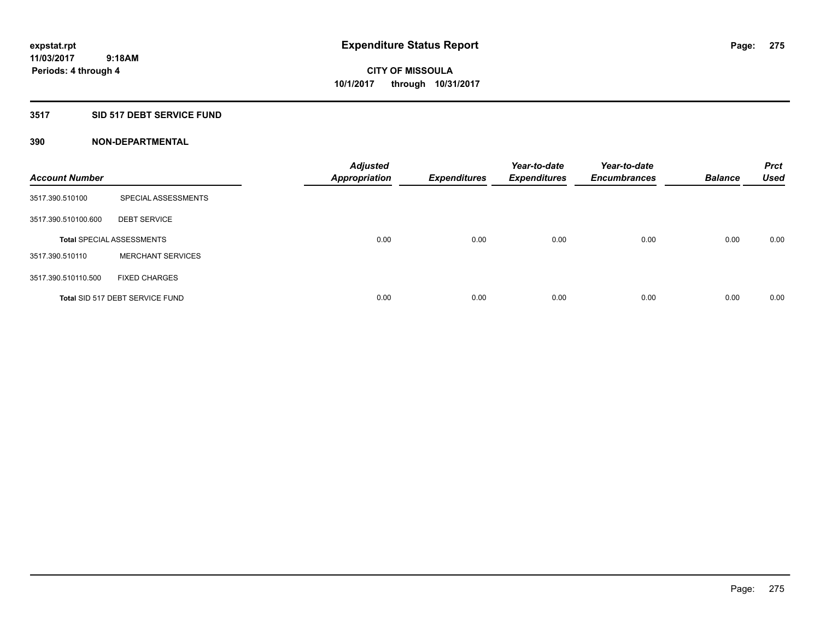### **3517 SID 517 DEBT SERVICE FUND**

| <b>Account Number</b> |                                  | <b>Adjusted</b><br><b>Appropriation</b> | <b>Expenditures</b> | Year-to-date<br><b>Expenditures</b> | Year-to-date<br><b>Encumbrances</b> | <b>Balance</b> | <b>Prct</b><br><b>Used</b> |
|-----------------------|----------------------------------|-----------------------------------------|---------------------|-------------------------------------|-------------------------------------|----------------|----------------------------|
| 3517.390.510100       | SPECIAL ASSESSMENTS              |                                         |                     |                                     |                                     |                |                            |
| 3517.390.510100.600   | <b>DEBT SERVICE</b>              |                                         |                     |                                     |                                     |                |                            |
|                       | <b>Total SPECIAL ASSESSMENTS</b> | 0.00                                    | 0.00                | 0.00                                | 0.00                                | 0.00           | 0.00                       |
| 3517.390.510110       | <b>MERCHANT SERVICES</b>         |                                         |                     |                                     |                                     |                |                            |
| 3517.390.510110.500   | <b>FIXED CHARGES</b>             |                                         |                     |                                     |                                     |                |                            |
|                       | Total SID 517 DEBT SERVICE FUND  | 0.00                                    | 0.00                | 0.00                                | 0.00                                | 0.00           | 0.00                       |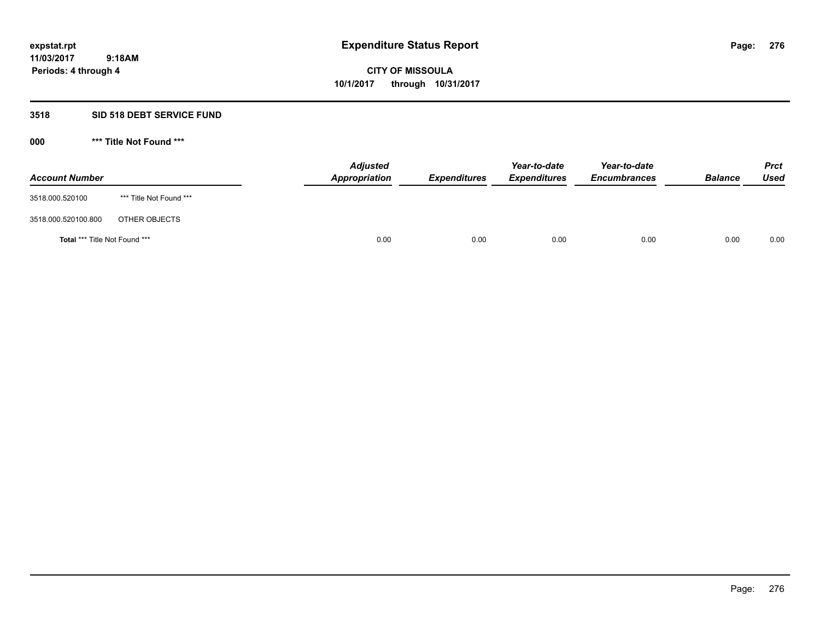### **3518 SID 518 DEBT SERVICE FUND**

| <b>Account Number</b>         |                         | <b>Adjusted</b><br>Appropriation | <b>Expenditures</b> | Year-to-date<br><b>Expenditures</b> | Year-to-date<br><b>Encumbrances</b> | <b>Balance</b> | <b>Prct</b><br>Used |
|-------------------------------|-------------------------|----------------------------------|---------------------|-------------------------------------|-------------------------------------|----------------|---------------------|
| 3518.000.520100               | *** Title Not Found *** |                                  |                     |                                     |                                     |                |                     |
| 3518.000.520100.800           | OTHER OBJECTS           |                                  |                     |                                     |                                     |                |                     |
| Total *** Title Not Found *** |                         | 0.00                             | 0.00                | 0.00                                | 0.00                                | 0.00           | 0.00                |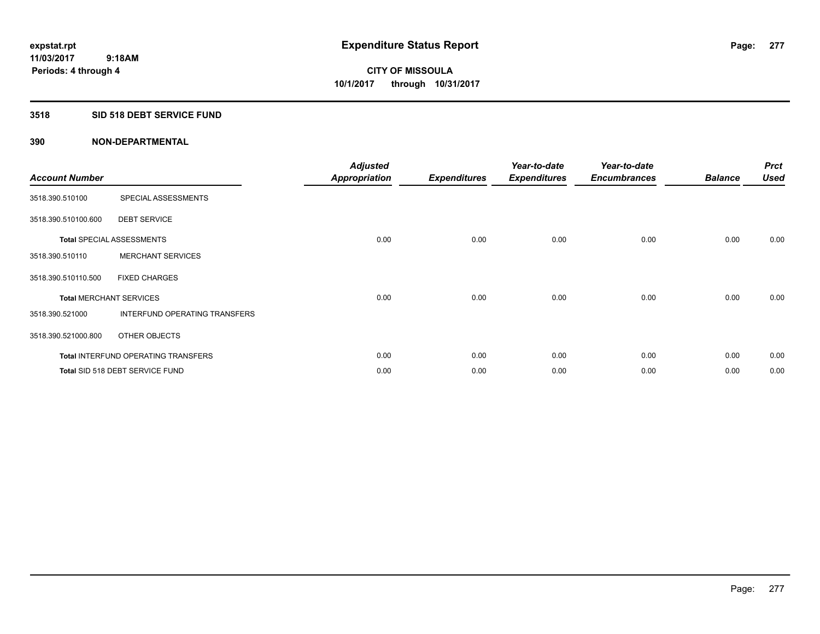### **3518 SID 518 DEBT SERVICE FUND**

| <b>Account Number</b> |                                            | <b>Adjusted</b><br><b>Appropriation</b> | <b>Expenditures</b> | Year-to-date<br><b>Expenditures</b> | Year-to-date<br><b>Encumbrances</b> | <b>Balance</b> | <b>Prct</b><br><b>Used</b> |
|-----------------------|--------------------------------------------|-----------------------------------------|---------------------|-------------------------------------|-------------------------------------|----------------|----------------------------|
| 3518.390.510100       | SPECIAL ASSESSMENTS                        |                                         |                     |                                     |                                     |                |                            |
| 3518.390.510100.600   | <b>DEBT SERVICE</b>                        |                                         |                     |                                     |                                     |                |                            |
|                       | <b>Total SPECIAL ASSESSMENTS</b>           | 0.00                                    | 0.00                | 0.00                                | 0.00                                | 0.00           | 0.00                       |
| 3518.390.510110       | <b>MERCHANT SERVICES</b>                   |                                         |                     |                                     |                                     |                |                            |
| 3518.390.510110.500   | <b>FIXED CHARGES</b>                       |                                         |                     |                                     |                                     |                |                            |
|                       | <b>Total MERCHANT SERVICES</b>             | 0.00                                    | 0.00                | 0.00                                | 0.00                                | 0.00           | 0.00                       |
| 3518.390.521000       | <b>INTERFUND OPERATING TRANSFERS</b>       |                                         |                     |                                     |                                     |                |                            |
| 3518.390.521000.800   | OTHER OBJECTS                              |                                         |                     |                                     |                                     |                |                            |
|                       | <b>Total INTERFUND OPERATING TRANSFERS</b> | 0.00                                    | 0.00                | 0.00                                | 0.00                                | 0.00           | 0.00                       |
|                       | Total SID 518 DEBT SERVICE FUND            | 0.00                                    | 0.00                | 0.00                                | 0.00                                | 0.00           | 0.00                       |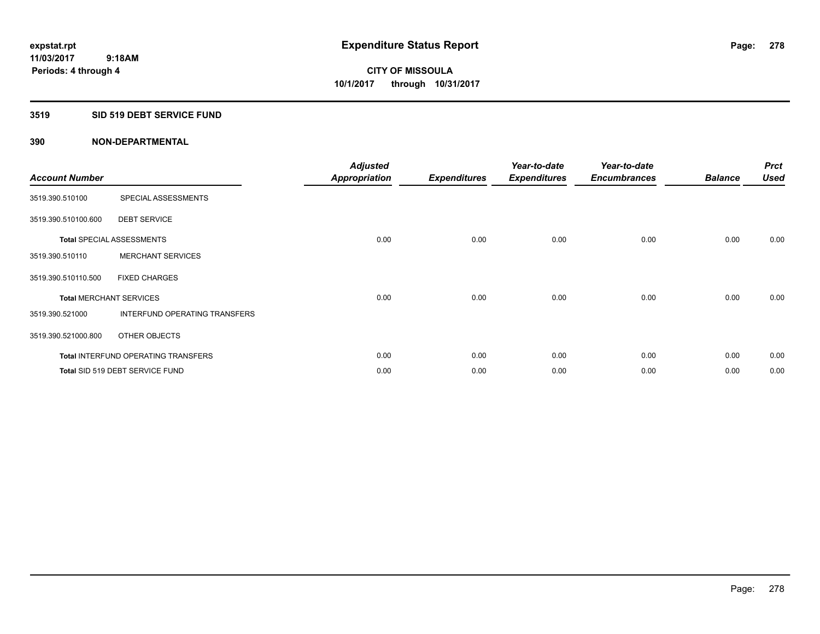### **3519 SID 519 DEBT SERVICE FUND**

| <b>Account Number</b> |                                            | <b>Adjusted</b><br><b>Appropriation</b> | <b>Expenditures</b> | Year-to-date<br><b>Expenditures</b> | Year-to-date<br><b>Encumbrances</b> | <b>Balance</b> | <b>Prct</b><br><b>Used</b> |
|-----------------------|--------------------------------------------|-----------------------------------------|---------------------|-------------------------------------|-------------------------------------|----------------|----------------------------|
| 3519.390.510100       | SPECIAL ASSESSMENTS                        |                                         |                     |                                     |                                     |                |                            |
| 3519.390.510100.600   | <b>DEBT SERVICE</b>                        |                                         |                     |                                     |                                     |                |                            |
|                       | <b>Total SPECIAL ASSESSMENTS</b>           | 0.00                                    | 0.00                | 0.00                                | 0.00                                | 0.00           | 0.00                       |
| 3519.390.510110       | <b>MERCHANT SERVICES</b>                   |                                         |                     |                                     |                                     |                |                            |
| 3519.390.510110.500   | <b>FIXED CHARGES</b>                       |                                         |                     |                                     |                                     |                |                            |
|                       | <b>Total MERCHANT SERVICES</b>             | 0.00                                    | 0.00                | 0.00                                | 0.00                                | 0.00           | 0.00                       |
| 3519.390.521000       | <b>INTERFUND OPERATING TRANSFERS</b>       |                                         |                     |                                     |                                     |                |                            |
| 3519.390.521000.800   | OTHER OBJECTS                              |                                         |                     |                                     |                                     |                |                            |
|                       | <b>Total INTERFUND OPERATING TRANSFERS</b> | 0.00                                    | 0.00                | 0.00                                | 0.00                                | 0.00           | 0.00                       |
|                       | Total SID 519 DEBT SERVICE FUND            | 0.00                                    | 0.00                | 0.00                                | 0.00                                | 0.00           | 0.00                       |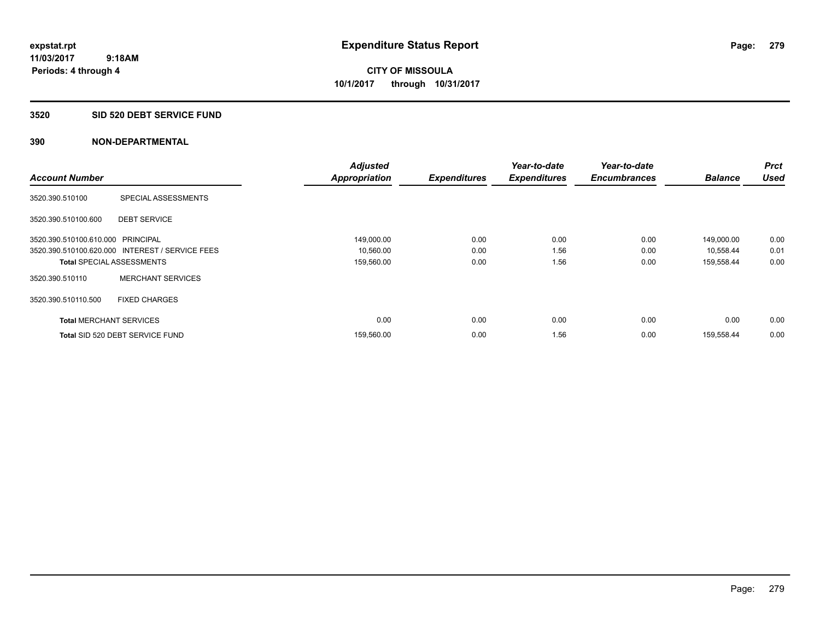**Periods: 4 through 4**

**CITY OF MISSOULA 10/1/2017 through 10/31/2017**

#### **3520 SID 520 DEBT SERVICE FUND**

|                                   |                                                 | <b>Adjusted</b>      |                     | Year-to-date        | Year-to-date        |                | <b>Prct</b> |
|-----------------------------------|-------------------------------------------------|----------------------|---------------------|---------------------|---------------------|----------------|-------------|
| <b>Account Number</b>             |                                                 | <b>Appropriation</b> | <b>Expenditures</b> | <b>Expenditures</b> | <b>Encumbrances</b> | <b>Balance</b> | <b>Used</b> |
| 3520.390.510100                   | SPECIAL ASSESSMENTS                             |                      |                     |                     |                     |                |             |
| 3520.390.510100.600               | <b>DEBT SERVICE</b>                             |                      |                     |                     |                     |                |             |
| 3520.390.510100.610.000 PRINCIPAL |                                                 | 149,000.00           | 0.00                | 0.00                | 0.00                | 149,000.00     | 0.00        |
|                                   | 3520.390.510100.620.000 INTEREST / SERVICE FEES | 10,560.00            | 0.00                | 1.56                | 0.00                | 10,558.44      | 0.01        |
| <b>Total SPECIAL ASSESSMENTS</b>  |                                                 | 159,560.00           | 0.00                | 1.56                | 0.00                | 159,558.44     | 0.00        |
| 3520.390.510110                   | <b>MERCHANT SERVICES</b>                        |                      |                     |                     |                     |                |             |
| 3520.390.510110.500               | <b>FIXED CHARGES</b>                            |                      |                     |                     |                     |                |             |
| <b>Total MERCHANT SERVICES</b>    |                                                 | 0.00                 | 0.00                | 0.00                | 0.00                | 0.00           | 0.00        |
|                                   | Total SID 520 DEBT SERVICE FUND                 | 159,560.00           | 0.00                | 1.56                | 0.00                | 159,558.44     | 0.00        |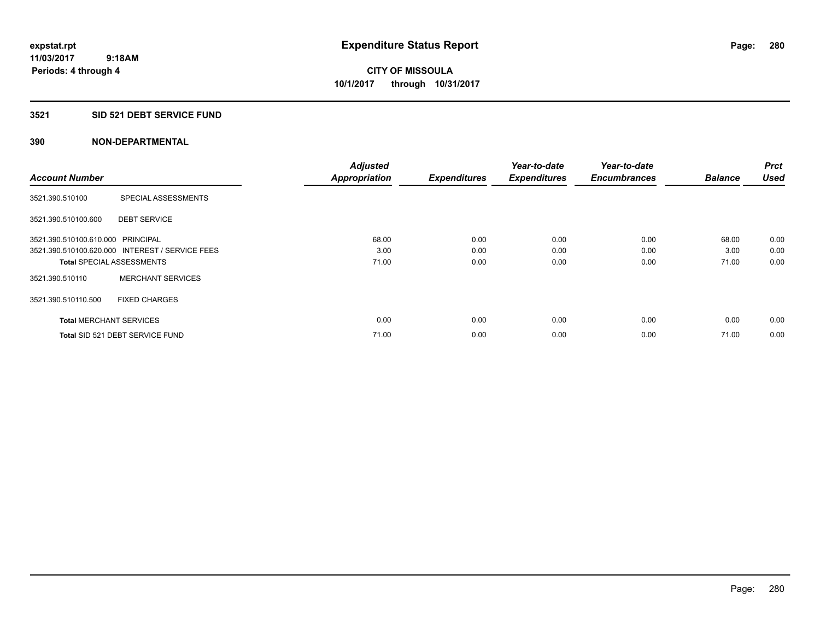#### **3521 SID 521 DEBT SERVICE FUND**

| <b>Account Number</b>             |                                                 | <b>Adjusted</b><br><b>Appropriation</b> | <b>Expenditures</b> | Year-to-date<br><b>Expenditures</b> | Year-to-date<br><b>Encumbrances</b> | <b>Balance</b> | <b>Prct</b><br><b>Used</b> |
|-----------------------------------|-------------------------------------------------|-----------------------------------------|---------------------|-------------------------------------|-------------------------------------|----------------|----------------------------|
|                                   |                                                 |                                         |                     |                                     |                                     |                |                            |
| 3521.390.510100                   | SPECIAL ASSESSMENTS                             |                                         |                     |                                     |                                     |                |                            |
| 3521.390.510100.600               | <b>DEBT SERVICE</b>                             |                                         |                     |                                     |                                     |                |                            |
| 3521.390.510100.610.000 PRINCIPAL |                                                 | 68.00                                   | 0.00                | 0.00                                | 0.00                                | 68.00          | 0.00                       |
|                                   | 3521.390.510100.620.000 INTEREST / SERVICE FEES | 3.00                                    | 0.00                | 0.00                                | 0.00                                | 3.00           | 0.00                       |
| <b>Total SPECIAL ASSESSMENTS</b>  |                                                 | 71.00                                   | 0.00                | 0.00                                | 0.00                                | 71.00          | 0.00                       |
| 3521.390.510110                   | <b>MERCHANT SERVICES</b>                        |                                         |                     |                                     |                                     |                |                            |
| 3521.390.510110.500               | <b>FIXED CHARGES</b>                            |                                         |                     |                                     |                                     |                |                            |
| <b>Total MERCHANT SERVICES</b>    |                                                 | 0.00                                    | 0.00                | 0.00                                | 0.00                                | 0.00           | 0.00                       |
|                                   | Total SID 521 DEBT SERVICE FUND                 | 71.00                                   | 0.00                | 0.00                                | 0.00                                | 71.00          | 0.00                       |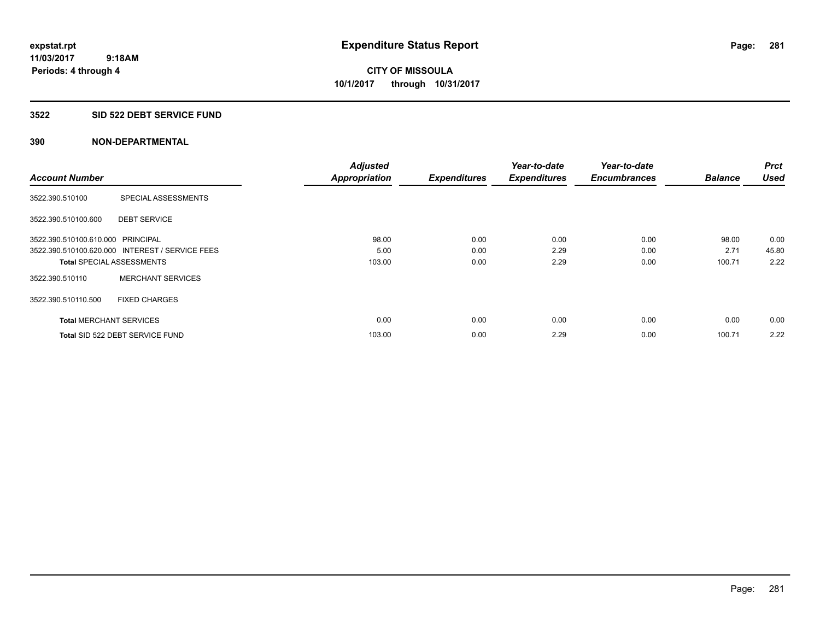#### **3522 SID 522 DEBT SERVICE FUND**

| <b>Account Number</b>             |                                                 | <b>Adjusted</b><br><b>Appropriation</b> | <b>Expenditures</b> | Year-to-date<br><b>Expenditures</b> | Year-to-date<br><b>Encumbrances</b> | <b>Balance</b> | <b>Prct</b><br><b>Used</b> |
|-----------------------------------|-------------------------------------------------|-----------------------------------------|---------------------|-------------------------------------|-------------------------------------|----------------|----------------------------|
|                                   |                                                 |                                         |                     |                                     |                                     |                |                            |
| 3522.390.510100                   | SPECIAL ASSESSMENTS                             |                                         |                     |                                     |                                     |                |                            |
| 3522.390.510100.600               | <b>DEBT SERVICE</b>                             |                                         |                     |                                     |                                     |                |                            |
| 3522.390.510100.610.000 PRINCIPAL |                                                 | 98.00                                   | 0.00                | 0.00                                | 0.00                                | 98.00          | 0.00                       |
|                                   | 3522.390.510100.620.000 INTEREST / SERVICE FEES | 5.00                                    | 0.00                | 2.29                                | 0.00                                | 2.71           | 45.80                      |
|                                   | <b>Total SPECIAL ASSESSMENTS</b>                | 103.00                                  | 0.00                | 2.29                                | 0.00                                | 100.71         | 2.22                       |
| 3522.390.510110                   | <b>MERCHANT SERVICES</b>                        |                                         |                     |                                     |                                     |                |                            |
| 3522.390.510110.500               | <b>FIXED CHARGES</b>                            |                                         |                     |                                     |                                     |                |                            |
| <b>Total MERCHANT SERVICES</b>    |                                                 | 0.00                                    | 0.00                | 0.00                                | 0.00                                | 0.00           | 0.00                       |
|                                   | Total SID 522 DEBT SERVICE FUND                 | 103.00                                  | 0.00                | 2.29                                | 0.00                                | 100.71         | 2.22                       |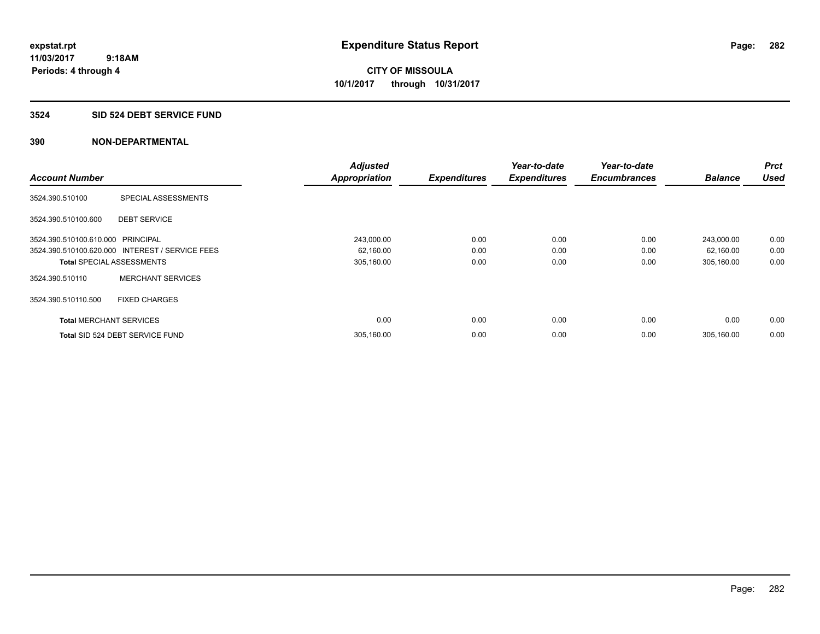#### **3524 SID 524 DEBT SERVICE FUND**

| <b>Account Number</b>             |                                                 | <b>Adjusted</b>      |                     | Year-to-date        | Year-to-date<br><b>Encumbrances</b> | <b>Balance</b> | <b>Prct</b><br><b>Used</b> |
|-----------------------------------|-------------------------------------------------|----------------------|---------------------|---------------------|-------------------------------------|----------------|----------------------------|
|                                   |                                                 | <b>Appropriation</b> | <b>Expenditures</b> | <b>Expenditures</b> |                                     |                |                            |
| 3524.390.510100                   | SPECIAL ASSESSMENTS                             |                      |                     |                     |                                     |                |                            |
| 3524.390.510100.600               | <b>DEBT SERVICE</b>                             |                      |                     |                     |                                     |                |                            |
| 3524.390.510100.610.000 PRINCIPAL |                                                 | 243,000.00           | 0.00                | 0.00                | 0.00                                | 243,000.00     | 0.00                       |
|                                   | 3524.390.510100.620.000 INTEREST / SERVICE FEES | 62,160.00            | 0.00                | 0.00                | 0.00                                | 62,160.00      | 0.00                       |
| <b>Total SPECIAL ASSESSMENTS</b>  |                                                 | 305,160.00           | 0.00                | 0.00                | 0.00                                | 305,160.00     | 0.00                       |
| 3524.390.510110                   | <b>MERCHANT SERVICES</b>                        |                      |                     |                     |                                     |                |                            |
| 3524.390.510110.500               | <b>FIXED CHARGES</b>                            |                      |                     |                     |                                     |                |                            |
| <b>Total MERCHANT SERVICES</b>    |                                                 | 0.00                 | 0.00                | 0.00                | 0.00                                | 0.00           | 0.00                       |
|                                   | Total SID 524 DEBT SERVICE FUND                 | 305,160.00           | 0.00                | 0.00                | 0.00                                | 305.160.00     | 0.00                       |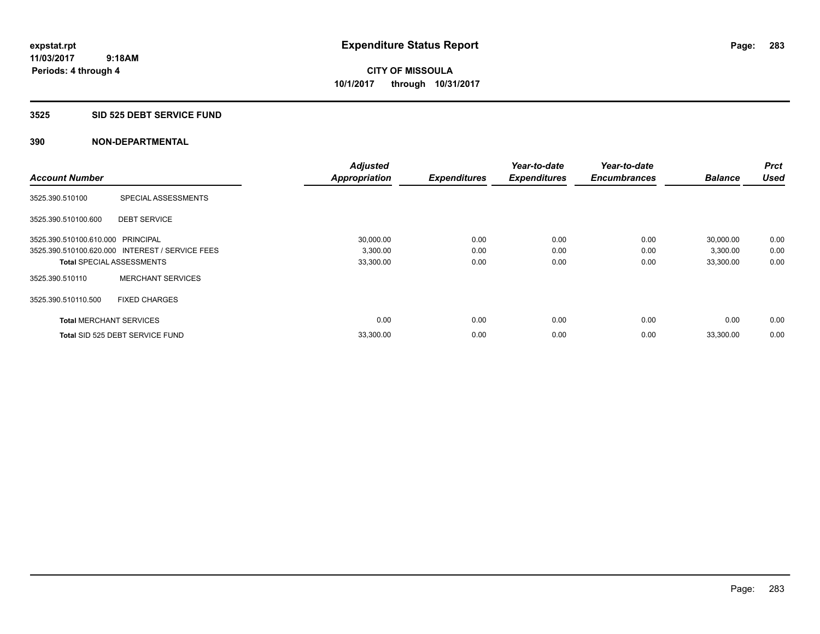#### **3525 SID 525 DEBT SERVICE FUND**

| <b>Account Number</b>             |                                                 | <b>Adjusted</b>      | <b>Expenditures</b> | Year-to-date<br><b>Expenditures</b> | Year-to-date<br><b>Encumbrances</b> | <b>Balance</b> | <b>Prct</b><br><b>Used</b> |
|-----------------------------------|-------------------------------------------------|----------------------|---------------------|-------------------------------------|-------------------------------------|----------------|----------------------------|
|                                   |                                                 | <b>Appropriation</b> |                     |                                     |                                     |                |                            |
| 3525.390.510100                   | SPECIAL ASSESSMENTS                             |                      |                     |                                     |                                     |                |                            |
| 3525.390.510100.600               | <b>DEBT SERVICE</b>                             |                      |                     |                                     |                                     |                |                            |
| 3525.390.510100.610.000 PRINCIPAL |                                                 | 30,000.00            | 0.00                | 0.00                                | 0.00                                | 30,000.00      | 0.00                       |
|                                   | 3525.390.510100.620.000 INTEREST / SERVICE FEES | 3,300.00             | 0.00                | 0.00                                | 0.00                                | 3,300.00       | 0.00                       |
| <b>Total SPECIAL ASSESSMENTS</b>  |                                                 | 33,300.00            | 0.00                | 0.00                                | 0.00                                | 33,300.00      | 0.00                       |
| 3525.390.510110                   | <b>MERCHANT SERVICES</b>                        |                      |                     |                                     |                                     |                |                            |
| 3525.390.510110.500               | <b>FIXED CHARGES</b>                            |                      |                     |                                     |                                     |                |                            |
| <b>Total MERCHANT SERVICES</b>    |                                                 | 0.00                 | 0.00                | 0.00                                | 0.00                                | 0.00           | 0.00                       |
|                                   | Total SID 525 DEBT SERVICE FUND                 | 33,300.00            | 0.00                | 0.00                                | 0.00                                | 33,300.00      | 0.00                       |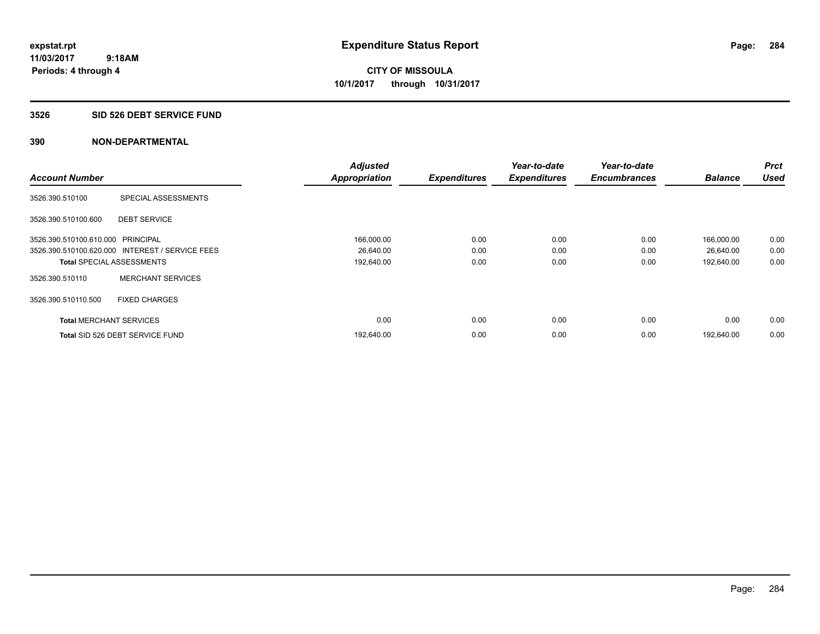**Periods: 4 through 4**

**CITY OF MISSOULA 10/1/2017 through 10/31/2017**

#### **3526 SID 526 DEBT SERVICE FUND**

|                                   |                                                 | <b>Adjusted</b>      |                     | Year-to-date        | Year-to-date        |                | <b>Prct</b> |
|-----------------------------------|-------------------------------------------------|----------------------|---------------------|---------------------|---------------------|----------------|-------------|
| <b>Account Number</b>             |                                                 | <b>Appropriation</b> | <b>Expenditures</b> | <b>Expenditures</b> | <b>Encumbrances</b> | <b>Balance</b> | <b>Used</b> |
| 3526.390.510100                   | SPECIAL ASSESSMENTS                             |                      |                     |                     |                     |                |             |
| 3526.390.510100.600               | <b>DEBT SERVICE</b>                             |                      |                     |                     |                     |                |             |
| 3526.390.510100.610.000 PRINCIPAL |                                                 | 166,000.00           | 0.00                | 0.00                | 0.00                | 166,000.00     | 0.00        |
|                                   | 3526.390.510100.620.000 INTEREST / SERVICE FEES | 26,640.00            | 0.00                | 0.00                | 0.00                | 26,640.00      | 0.00        |
| <b>Total SPECIAL ASSESSMENTS</b>  |                                                 | 192,640.00           | 0.00                | 0.00                | 0.00                | 192,640.00     | 0.00        |
| 3526.390.510110                   | <b>MERCHANT SERVICES</b>                        |                      |                     |                     |                     |                |             |
| 3526.390.510110.500               | <b>FIXED CHARGES</b>                            |                      |                     |                     |                     |                |             |
| <b>Total MERCHANT SERVICES</b>    |                                                 | 0.00                 | 0.00                | 0.00                | 0.00                | 0.00           | 0.00        |
|                                   | Total SID 526 DEBT SERVICE FUND                 | 192,640.00           | 0.00                | 0.00                | 0.00                | 192.640.00     | 0.00        |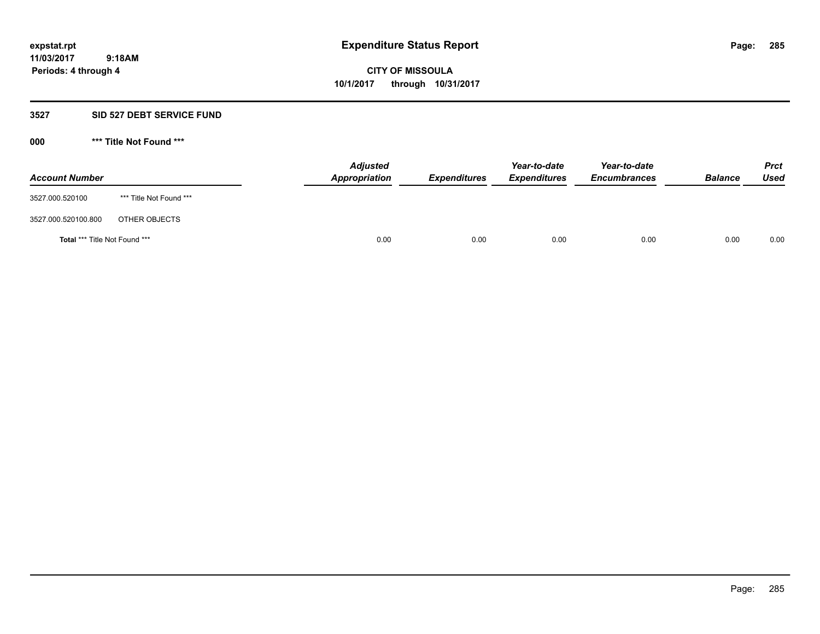#### **3527 SID 527 DEBT SERVICE FUND**

| <b>Account Number</b>                |                         | <b>Adjusted</b><br>Appropriation | <b>Expenditures</b> | Year-to-date<br><b>Expenditures</b> | Year-to-date<br><b>Encumbrances</b> | <b>Balance</b> | <b>Prct</b><br><b>Used</b> |
|--------------------------------------|-------------------------|----------------------------------|---------------------|-------------------------------------|-------------------------------------|----------------|----------------------------|
| 3527.000.520100                      | *** Title Not Found *** |                                  |                     |                                     |                                     |                |                            |
| 3527.000.520100.800                  | OTHER OBJECTS           |                                  |                     |                                     |                                     |                |                            |
| <b>Total *** Title Not Found ***</b> |                         | 0.00                             | 0.00                | 0.00                                | 0.00                                | 0.00           | 0.00                       |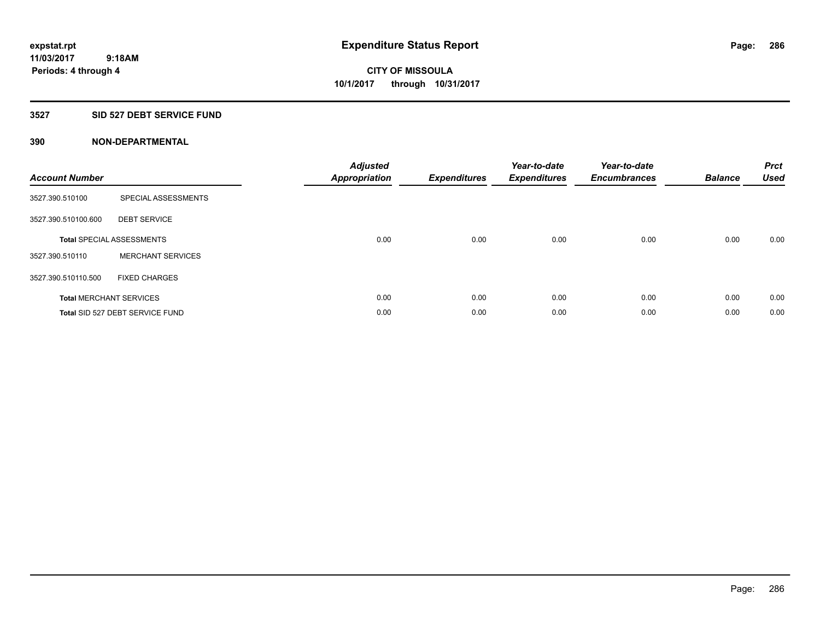## **3527 SID 527 DEBT SERVICE FUND**

| <b>Account Number</b> |                                  | <b>Adjusted</b><br>Appropriation | <b>Expenditures</b> | Year-to-date<br><b>Expenditures</b> | Year-to-date<br><b>Encumbrances</b> | <b>Balance</b> | <b>Prct</b><br><b>Used</b> |
|-----------------------|----------------------------------|----------------------------------|---------------------|-------------------------------------|-------------------------------------|----------------|----------------------------|
| 3527.390.510100       | SPECIAL ASSESSMENTS              |                                  |                     |                                     |                                     |                |                            |
| 3527.390.510100.600   | <b>DEBT SERVICE</b>              |                                  |                     |                                     |                                     |                |                            |
|                       | <b>Total SPECIAL ASSESSMENTS</b> | 0.00                             | 0.00                | 0.00                                | 0.00                                | 0.00           | 0.00                       |
| 3527.390.510110       | <b>MERCHANT SERVICES</b>         |                                  |                     |                                     |                                     |                |                            |
| 3527.390.510110.500   | <b>FIXED CHARGES</b>             |                                  |                     |                                     |                                     |                |                            |
|                       | <b>Total MERCHANT SERVICES</b>   | 0.00                             | 0.00                | 0.00                                | 0.00                                | 0.00           | 0.00                       |
|                       | Total SID 527 DEBT SERVICE FUND  | 0.00                             | 0.00                | 0.00                                | 0.00                                | 0.00           | 0.00                       |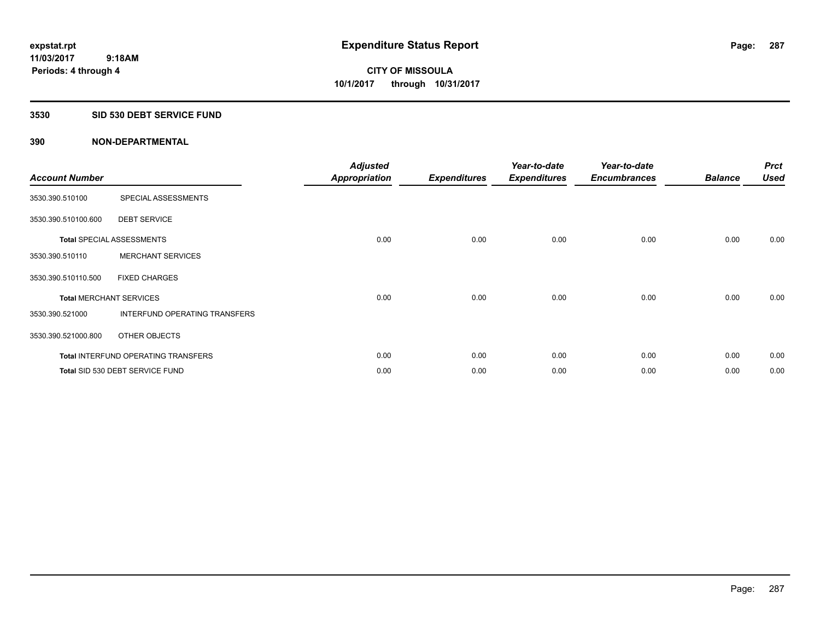### **3530 SID 530 DEBT SERVICE FUND**

| <b>Account Number</b> |                                            | <b>Adjusted</b><br><b>Appropriation</b> | <b>Expenditures</b> | Year-to-date<br><b>Expenditures</b> | Year-to-date<br><b>Encumbrances</b> | <b>Balance</b> | <b>Prct</b><br><b>Used</b> |
|-----------------------|--------------------------------------------|-----------------------------------------|---------------------|-------------------------------------|-------------------------------------|----------------|----------------------------|
| 3530.390.510100       | SPECIAL ASSESSMENTS                        |                                         |                     |                                     |                                     |                |                            |
| 3530.390.510100.600   | <b>DEBT SERVICE</b>                        |                                         |                     |                                     |                                     |                |                            |
|                       | <b>Total SPECIAL ASSESSMENTS</b>           | 0.00                                    | 0.00                | 0.00                                | 0.00                                | 0.00           | 0.00                       |
| 3530.390.510110       | <b>MERCHANT SERVICES</b>                   |                                         |                     |                                     |                                     |                |                            |
| 3530.390.510110.500   | <b>FIXED CHARGES</b>                       |                                         |                     |                                     |                                     |                |                            |
|                       | <b>Total MERCHANT SERVICES</b>             | 0.00                                    | 0.00                | 0.00                                | 0.00                                | 0.00           | 0.00                       |
| 3530.390.521000       | INTERFUND OPERATING TRANSFERS              |                                         |                     |                                     |                                     |                |                            |
| 3530.390.521000.800   | OTHER OBJECTS                              |                                         |                     |                                     |                                     |                |                            |
|                       | <b>Total INTERFUND OPERATING TRANSFERS</b> | 0.00                                    | 0.00                | 0.00                                | 0.00                                | 0.00           | 0.00                       |
|                       | Total SID 530 DEBT SERVICE FUND            | 0.00                                    | 0.00                | 0.00                                | 0.00                                | 0.00           | 0.00                       |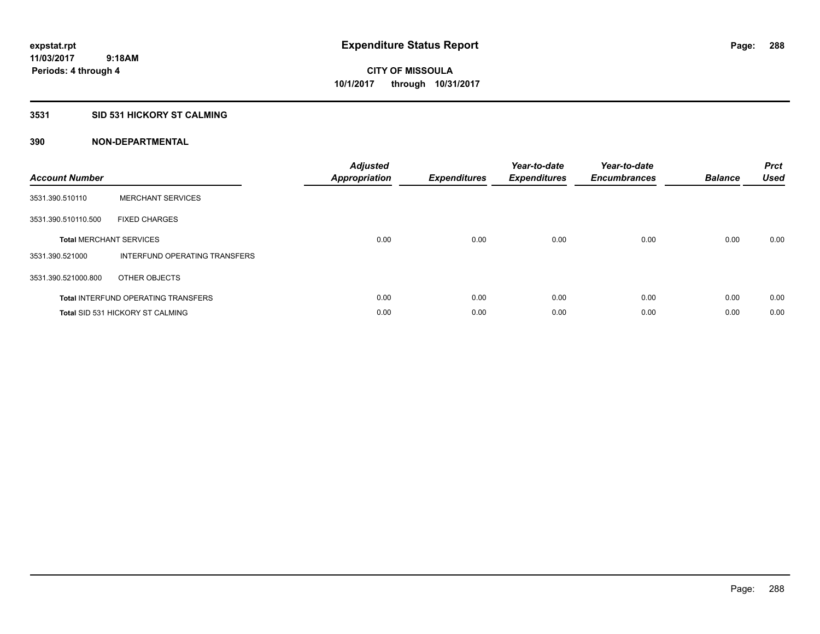## **3531 SID 531 HICKORY ST CALMING**

| <b>Account Number</b> |                                            | <b>Adjusted</b><br>Appropriation | <b>Expenditures</b> | Year-to-date<br><b>Expenditures</b> | Year-to-date<br><b>Encumbrances</b> | <b>Balance</b> | <b>Prct</b><br><b>Used</b> |
|-----------------------|--------------------------------------------|----------------------------------|---------------------|-------------------------------------|-------------------------------------|----------------|----------------------------|
| 3531.390.510110       | <b>MERCHANT SERVICES</b>                   |                                  |                     |                                     |                                     |                |                            |
| 3531.390.510110.500   | <b>FIXED CHARGES</b>                       |                                  |                     |                                     |                                     |                |                            |
|                       | <b>Total MERCHANT SERVICES</b>             | 0.00                             | 0.00                | 0.00                                | 0.00                                | 0.00           | 0.00                       |
| 3531.390.521000       | INTERFUND OPERATING TRANSFERS              |                                  |                     |                                     |                                     |                |                            |
| 3531.390.521000.800   | OTHER OBJECTS                              |                                  |                     |                                     |                                     |                |                            |
|                       | <b>Total INTERFUND OPERATING TRANSFERS</b> | 0.00                             | 0.00                | 0.00                                | 0.00                                | 0.00           | 0.00                       |
|                       | <b>Total SID 531 HICKORY ST CALMING</b>    | 0.00                             | 0.00                | 0.00                                | 0.00                                | 0.00           | 0.00                       |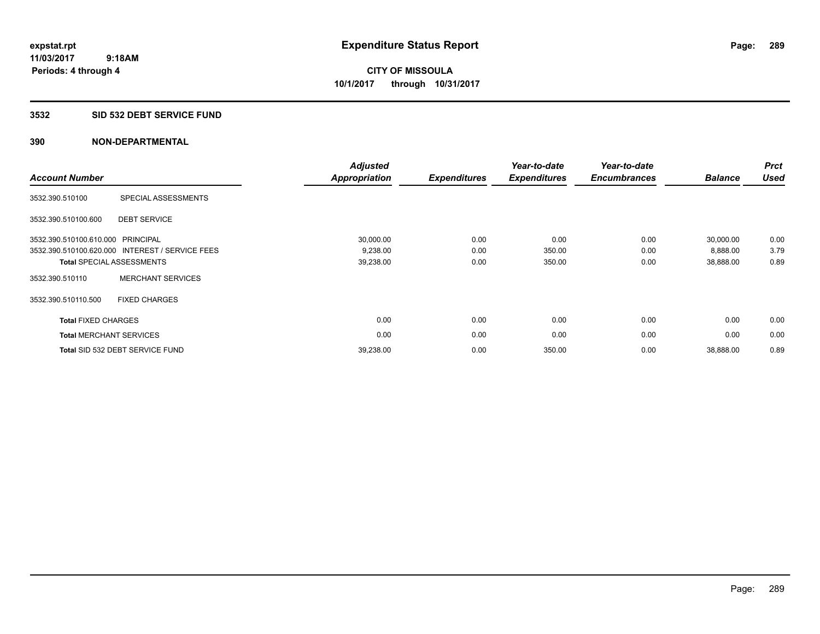#### **3532 SID 532 DEBT SERVICE FUND**

| <b>Account Number</b>          |                                                 | <b>Adjusted</b><br><b>Appropriation</b> | <b>Expenditures</b> | Year-to-date<br><b>Expenditures</b> | Year-to-date<br><b>Encumbrances</b> | <b>Balance</b> | <b>Prct</b><br><b>Used</b> |
|--------------------------------|-------------------------------------------------|-----------------------------------------|---------------------|-------------------------------------|-------------------------------------|----------------|----------------------------|
| 3532.390.510100                | SPECIAL ASSESSMENTS                             |                                         |                     |                                     |                                     |                |                            |
| 3532.390.510100.600            | <b>DEBT SERVICE</b>                             |                                         |                     |                                     |                                     |                |                            |
| 3532.390.510100.610.000        | PRINCIPAL                                       | 30,000.00                               | 0.00                | 0.00                                | 0.00                                | 30,000.00      | 0.00                       |
|                                | 3532.390.510100.620.000 INTEREST / SERVICE FEES | 9,238.00                                | 0.00                | 350.00                              | 0.00                                | 8,888.00       | 3.79                       |
|                                | <b>Total SPECIAL ASSESSMENTS</b>                | 39,238.00                               | 0.00                | 350.00                              | 0.00                                | 38,888.00      | 0.89                       |
| 3532.390.510110                | <b>MERCHANT SERVICES</b>                        |                                         |                     |                                     |                                     |                |                            |
| 3532.390.510110.500            | <b>FIXED CHARGES</b>                            |                                         |                     |                                     |                                     |                |                            |
| <b>Total FIXED CHARGES</b>     |                                                 | 0.00                                    | 0.00                | 0.00                                | 0.00                                | 0.00           | 0.00                       |
| <b>Total MERCHANT SERVICES</b> |                                                 | 0.00                                    | 0.00                | 0.00                                | 0.00                                | 0.00           | 0.00                       |
|                                | Total SID 532 DEBT SERVICE FUND                 | 39,238.00                               | 0.00                | 350.00                              | 0.00                                | 38,888.00      | 0.89                       |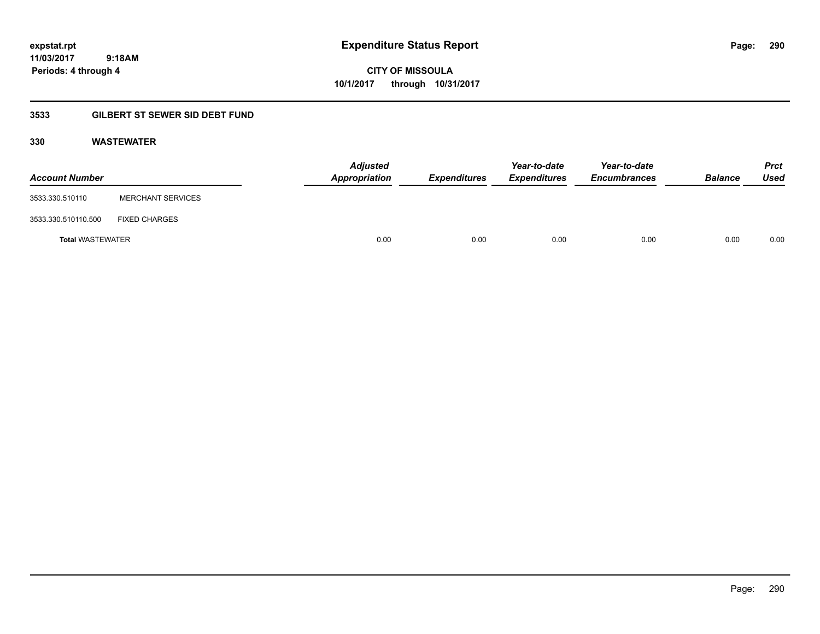**CITY OF MISSOULA 10/1/2017 through 10/31/2017**

## **3533 GILBERT ST SEWER SID DEBT FUND**

### **330 WASTEWATER**

| <b>Account Number</b>   |                          | <b>Adjusted</b><br>Appropriation | Expenditures | Year-to-date<br><b>Expenditures</b> | Year-to-date<br><b>Encumbrances</b> | <b>Balance</b> | <b>Prct</b><br>Used |
|-------------------------|--------------------------|----------------------------------|--------------|-------------------------------------|-------------------------------------|----------------|---------------------|
| 3533.330.510110         | <b>MERCHANT SERVICES</b> |                                  |              |                                     |                                     |                |                     |
| 3533.330.510110.500     | <b>FIXED CHARGES</b>     |                                  |              |                                     |                                     |                |                     |
| <b>Total WASTEWATER</b> |                          | 0.00                             | 0.00         | 0.00                                | 0.00                                | 0.00           | 0.00                |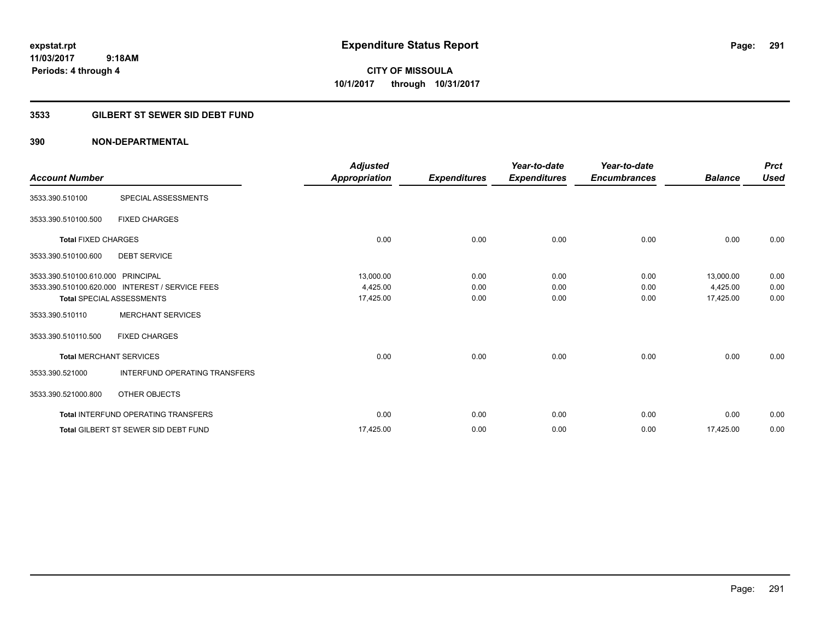**Periods: 4 through 4**

**CITY OF MISSOULA 10/1/2017 through 10/31/2017**

### **3533 GILBERT ST SEWER SID DEBT FUND**

### **390 NON-DEPARTMENTAL**

 **9:18AM**

| <b>Account Number</b>             |                                                 | <b>Adjusted</b><br>Appropriation | <b>Expenditures</b> | Year-to-date<br><b>Expenditures</b> | Year-to-date<br><b>Encumbrances</b> | <b>Balance</b> | <b>Prct</b><br><b>Used</b> |
|-----------------------------------|-------------------------------------------------|----------------------------------|---------------------|-------------------------------------|-------------------------------------|----------------|----------------------------|
| 3533.390.510100                   | SPECIAL ASSESSMENTS                             |                                  |                     |                                     |                                     |                |                            |
| 3533.390.510100.500               | <b>FIXED CHARGES</b>                            |                                  |                     |                                     |                                     |                |                            |
| <b>Total FIXED CHARGES</b>        |                                                 | 0.00                             | 0.00                | 0.00                                | 0.00                                | 0.00           | 0.00                       |
| 3533.390.510100.600               | <b>DEBT SERVICE</b>                             |                                  |                     |                                     |                                     |                |                            |
| 3533.390.510100.610.000 PRINCIPAL |                                                 | 13,000.00                        | 0.00                | 0.00                                | 0.00                                | 13,000.00      | 0.00                       |
|                                   | 3533.390.510100.620.000 INTEREST / SERVICE FEES | 4,425.00                         | 0.00                | 0.00                                | 0.00                                | 4,425.00       | 0.00                       |
|                                   | <b>Total SPECIAL ASSESSMENTS</b>                | 17,425.00                        | 0.00                | 0.00                                | 0.00                                | 17,425.00      | 0.00                       |
| 3533.390.510110                   | <b>MERCHANT SERVICES</b>                        |                                  |                     |                                     |                                     |                |                            |
| 3533.390.510110.500               | <b>FIXED CHARGES</b>                            |                                  |                     |                                     |                                     |                |                            |
| <b>Total MERCHANT SERVICES</b>    |                                                 | 0.00                             | 0.00                | 0.00                                | 0.00                                | 0.00           | 0.00                       |
| 3533.390.521000                   | <b>INTERFUND OPERATING TRANSFERS</b>            |                                  |                     |                                     |                                     |                |                            |
| 3533.390.521000.800               | OTHER OBJECTS                                   |                                  |                     |                                     |                                     |                |                            |
|                                   | <b>Total INTERFUND OPERATING TRANSFERS</b>      | 0.00                             | 0.00                | 0.00                                | 0.00                                | 0.00           | 0.00                       |
|                                   | <b>Total GILBERT ST SEWER SID DEBT FUND</b>     | 17,425.00                        | 0.00                | 0.00                                | 0.00                                | 17,425.00      | 0.00                       |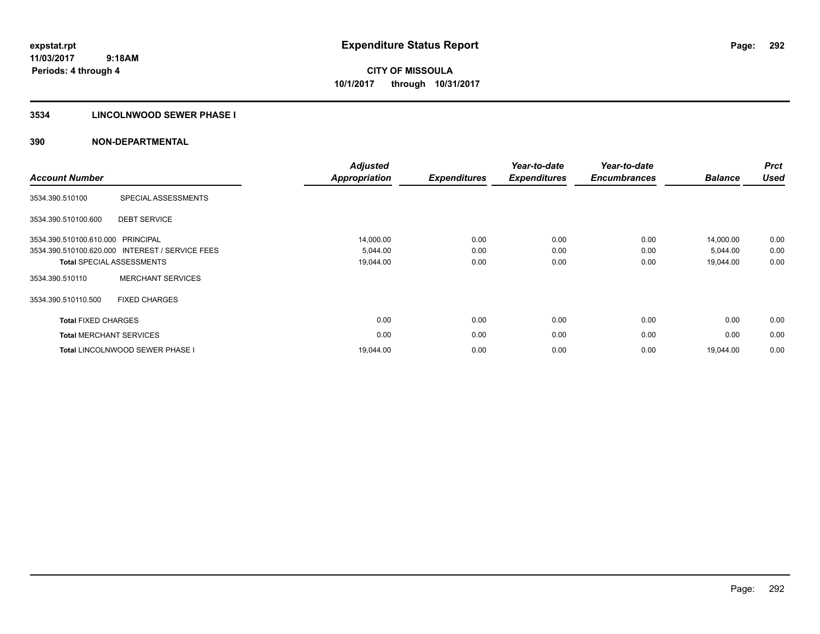### **3534 LINCOLNWOOD SEWER PHASE I**

| <b>Account Number</b>          |                                                 | <b>Adjusted</b><br><b>Appropriation</b> | <b>Expenditures</b> | Year-to-date<br><b>Expenditures</b> | Year-to-date<br><b>Encumbrances</b> | <b>Balance</b> | <b>Prct</b><br><b>Used</b> |
|--------------------------------|-------------------------------------------------|-----------------------------------------|---------------------|-------------------------------------|-------------------------------------|----------------|----------------------------|
| 3534.390.510100                | SPECIAL ASSESSMENTS                             |                                         |                     |                                     |                                     |                |                            |
| 3534.390.510100.600            | <b>DEBT SERVICE</b>                             |                                         |                     |                                     |                                     |                |                            |
| 3534.390.510100.610.000        | <b>PRINCIPAL</b>                                | 14,000.00                               | 0.00                | 0.00                                | 0.00                                | 14,000.00      | 0.00                       |
|                                | 3534.390.510100.620.000 INTEREST / SERVICE FEES | 5,044.00                                | 0.00                | 0.00                                | 0.00                                | 5,044.00       | 0.00                       |
|                                | <b>Total SPECIAL ASSESSMENTS</b>                | 19,044.00                               | 0.00                | 0.00                                | 0.00                                | 19,044.00      | 0.00                       |
| 3534.390.510110                | <b>MERCHANT SERVICES</b>                        |                                         |                     |                                     |                                     |                |                            |
| 3534.390.510110.500            | <b>FIXED CHARGES</b>                            |                                         |                     |                                     |                                     |                |                            |
| <b>Total FIXED CHARGES</b>     |                                                 | 0.00                                    | 0.00                | 0.00                                | 0.00                                | 0.00           | 0.00                       |
| <b>Total MERCHANT SERVICES</b> |                                                 | 0.00                                    | 0.00                | 0.00                                | 0.00                                | 0.00           | 0.00                       |
|                                | <b>Total LINCOLNWOOD SEWER PHASE I</b>          | 19.044.00                               | 0.00                | 0.00                                | 0.00                                | 19.044.00      | 0.00                       |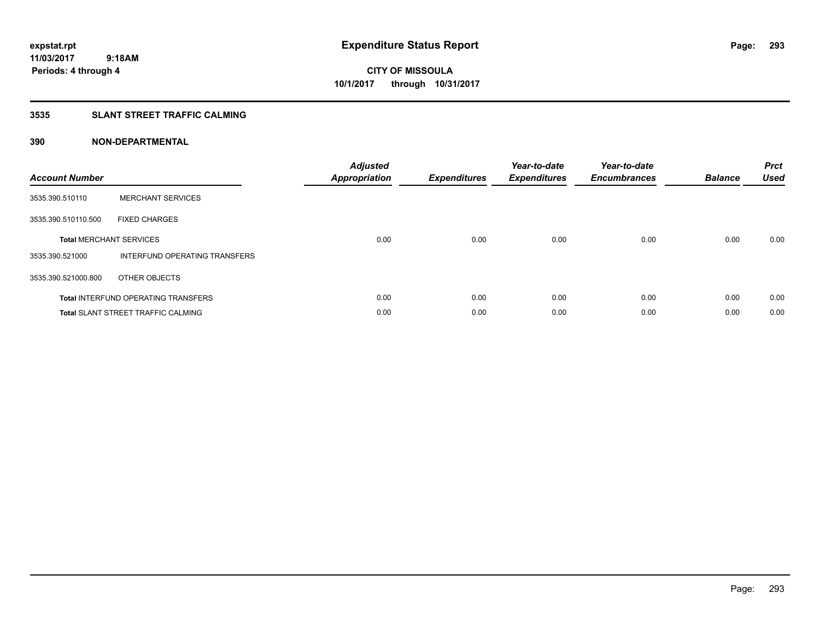## **3535 SLANT STREET TRAFFIC CALMING**

| <b>Account Number</b> |                                            | <b>Adjusted</b><br>Appropriation | <b>Expenditures</b> | Year-to-date<br><b>Expenditures</b> | Year-to-date<br><b>Encumbrances</b> | <b>Balance</b> | <b>Prct</b><br><b>Used</b> |
|-----------------------|--------------------------------------------|----------------------------------|---------------------|-------------------------------------|-------------------------------------|----------------|----------------------------|
| 3535.390.510110       | <b>MERCHANT SERVICES</b>                   |                                  |                     |                                     |                                     |                |                            |
| 3535.390.510110.500   | <b>FIXED CHARGES</b>                       |                                  |                     |                                     |                                     |                |                            |
|                       | <b>Total MERCHANT SERVICES</b>             | 0.00                             | 0.00                | 0.00                                | 0.00                                | 0.00           | 0.00                       |
| 3535.390.521000       | INTERFUND OPERATING TRANSFERS              |                                  |                     |                                     |                                     |                |                            |
| 3535.390.521000.800   | OTHER OBJECTS                              |                                  |                     |                                     |                                     |                |                            |
|                       | <b>Total INTERFUND OPERATING TRANSFERS</b> | 0.00                             | 0.00                | 0.00                                | 0.00                                | 0.00           | 0.00                       |
|                       | <b>Total SLANT STREET TRAFFIC CALMING</b>  | 0.00                             | 0.00                | 0.00                                | 0.00                                | 0.00           | 0.00                       |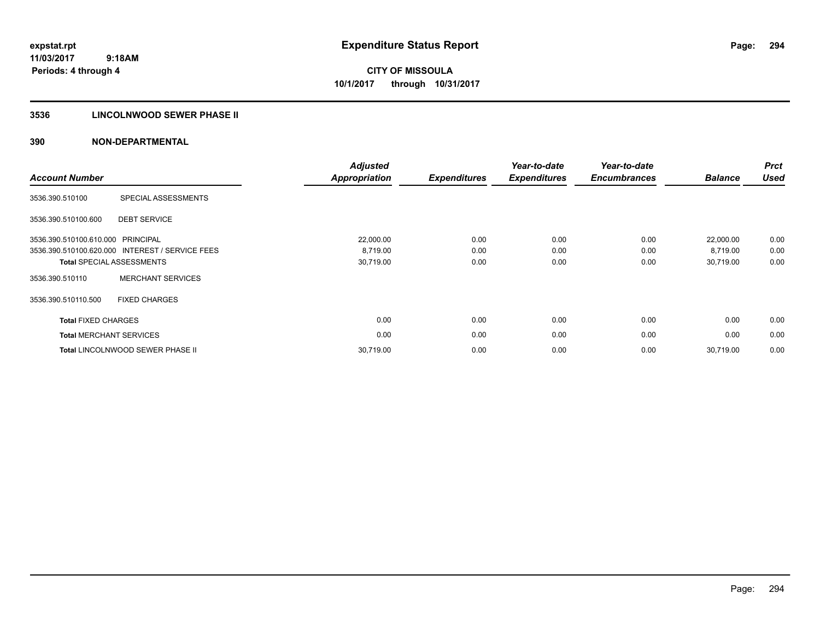**Periods: 4 through 4**

**CITY OF MISSOULA 10/1/2017 through 10/31/2017**

### **3536 LINCOLNWOOD SEWER PHASE II**

| <b>Account Number</b>          |                                                 | <b>Adjusted</b><br><b>Appropriation</b> | <b>Expenditures</b> | Year-to-date<br><b>Expenditures</b> | Year-to-date<br><b>Encumbrances</b> | <b>Balance</b> | <b>Prct</b><br><b>Used</b> |
|--------------------------------|-------------------------------------------------|-----------------------------------------|---------------------|-------------------------------------|-------------------------------------|----------------|----------------------------|
| 3536.390.510100                | SPECIAL ASSESSMENTS                             |                                         |                     |                                     |                                     |                |                            |
| 3536.390.510100.600            | <b>DEBT SERVICE</b>                             |                                         |                     |                                     |                                     |                |                            |
| 3536.390.510100.610.000        | PRINCIPAL                                       | 22,000.00                               | 0.00                | 0.00                                | 0.00                                | 22,000.00      | 0.00                       |
|                                | 3536.390.510100.620.000 INTEREST / SERVICE FEES | 8,719.00                                | 0.00                | 0.00                                | 0.00                                | 8,719.00       | 0.00                       |
|                                | <b>Total SPECIAL ASSESSMENTS</b>                | 30,719.00                               | 0.00                | 0.00                                | 0.00                                | 30,719.00      | 0.00                       |
| 3536.390.510110                | <b>MERCHANT SERVICES</b>                        |                                         |                     |                                     |                                     |                |                            |
| 3536.390.510110.500            | <b>FIXED CHARGES</b>                            |                                         |                     |                                     |                                     |                |                            |
| <b>Total FIXED CHARGES</b>     |                                                 | 0.00                                    | 0.00                | 0.00                                | 0.00                                | 0.00           | 0.00                       |
| <b>Total MERCHANT SERVICES</b> |                                                 | 0.00                                    | 0.00                | 0.00                                | 0.00                                | 0.00           | 0.00                       |
|                                | <b>Total LINCOLNWOOD SEWER PHASE II</b>         | 30,719.00                               | 0.00                | 0.00                                | 0.00                                | 30.719.00      | 0.00                       |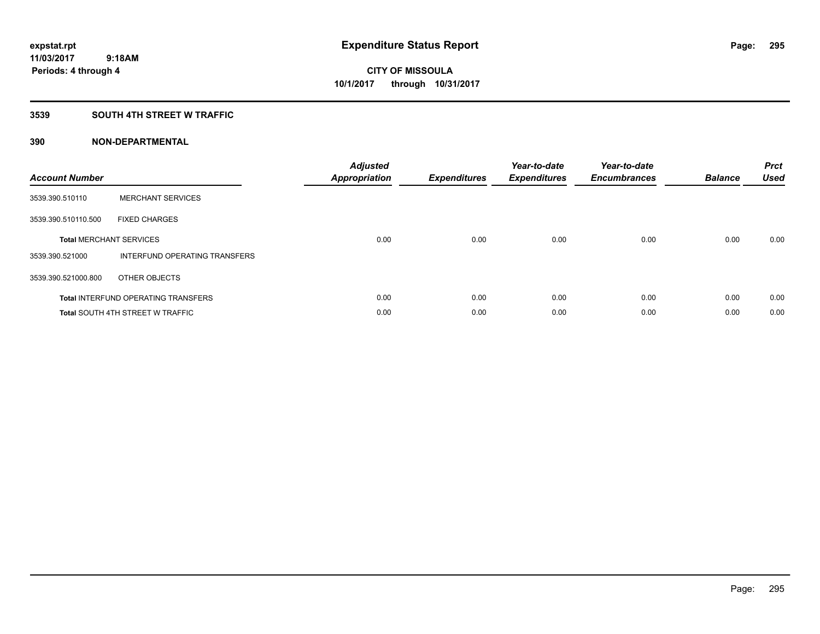### **3539 SOUTH 4TH STREET W TRAFFIC**

| <b>Account Number</b> |                                            | <b>Adjusted</b><br>Appropriation | <b>Expenditures</b> | Year-to-date<br><b>Expenditures</b> | Year-to-date<br><b>Encumbrances</b> | <b>Balance</b> | <b>Prct</b><br><b>Used</b> |
|-----------------------|--------------------------------------------|----------------------------------|---------------------|-------------------------------------|-------------------------------------|----------------|----------------------------|
| 3539.390.510110       | <b>MERCHANT SERVICES</b>                   |                                  |                     |                                     |                                     |                |                            |
| 3539.390.510110.500   | <b>FIXED CHARGES</b>                       |                                  |                     |                                     |                                     |                |                            |
|                       | <b>Total MERCHANT SERVICES</b>             | 0.00                             | 0.00                | 0.00                                | 0.00                                | 0.00           | 0.00                       |
| 3539.390.521000       | INTERFUND OPERATING TRANSFERS              |                                  |                     |                                     |                                     |                |                            |
| 3539.390.521000.800   | OTHER OBJECTS                              |                                  |                     |                                     |                                     |                |                            |
|                       | <b>Total INTERFUND OPERATING TRANSFERS</b> | 0.00                             | 0.00                | 0.00                                | 0.00                                | 0.00           | 0.00                       |
|                       | <b>Total SOUTH 4TH STREET W TRAFFIC</b>    | 0.00                             | 0.00                | 0.00                                | 0.00                                | 0.00           | 0.00                       |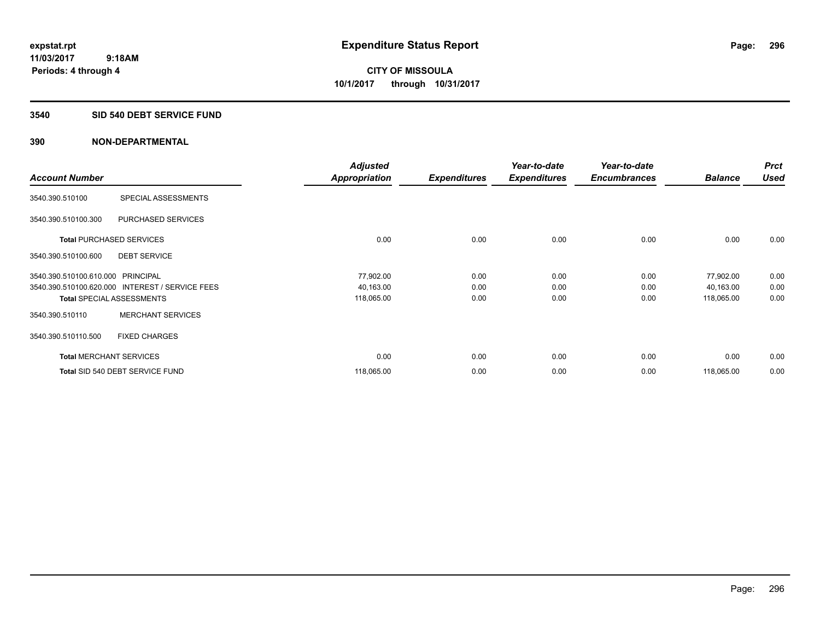**Periods: 4 through 4**

**CITY OF MISSOULA 10/1/2017 through 10/31/2017**

#### **3540 SID 540 DEBT SERVICE FUND**

|                                   |                                                 | <b>Adjusted</b>      |                     | Year-to-date        | Year-to-date        |                | <b>Prct</b> |
|-----------------------------------|-------------------------------------------------|----------------------|---------------------|---------------------|---------------------|----------------|-------------|
| <b>Account Number</b>             |                                                 | <b>Appropriation</b> | <b>Expenditures</b> | <b>Expenditures</b> | <b>Encumbrances</b> | <b>Balance</b> | <b>Used</b> |
| 3540.390.510100                   | SPECIAL ASSESSMENTS                             |                      |                     |                     |                     |                |             |
| 3540.390.510100.300               | PURCHASED SERVICES                              |                      |                     |                     |                     |                |             |
|                                   | <b>Total PURCHASED SERVICES</b>                 | 0.00                 | 0.00                | 0.00                | 0.00                | 0.00           | 0.00        |
| 3540.390.510100.600               | <b>DEBT SERVICE</b>                             |                      |                     |                     |                     |                |             |
| 3540.390.510100.610.000 PRINCIPAL |                                                 | 77,902.00            | 0.00                | 0.00                | 0.00                | 77,902.00      | 0.00        |
|                                   | 3540.390.510100.620.000 INTEREST / SERVICE FEES | 40,163.00            | 0.00                | 0.00                | 0.00                | 40,163.00      | 0.00        |
|                                   | <b>Total SPECIAL ASSESSMENTS</b>                | 118,065.00           | 0.00                | 0.00                | 0.00                | 118,065.00     | 0.00        |
| 3540.390.510110                   | <b>MERCHANT SERVICES</b>                        |                      |                     |                     |                     |                |             |
| 3540.390.510110.500               | <b>FIXED CHARGES</b>                            |                      |                     |                     |                     |                |             |
|                                   | <b>Total MERCHANT SERVICES</b>                  | 0.00                 | 0.00                | 0.00                | 0.00                | 0.00           | 0.00        |
|                                   | Total SID 540 DEBT SERVICE FUND                 | 118,065.00           | 0.00                | 0.00                | 0.00                | 118,065.00     | 0.00        |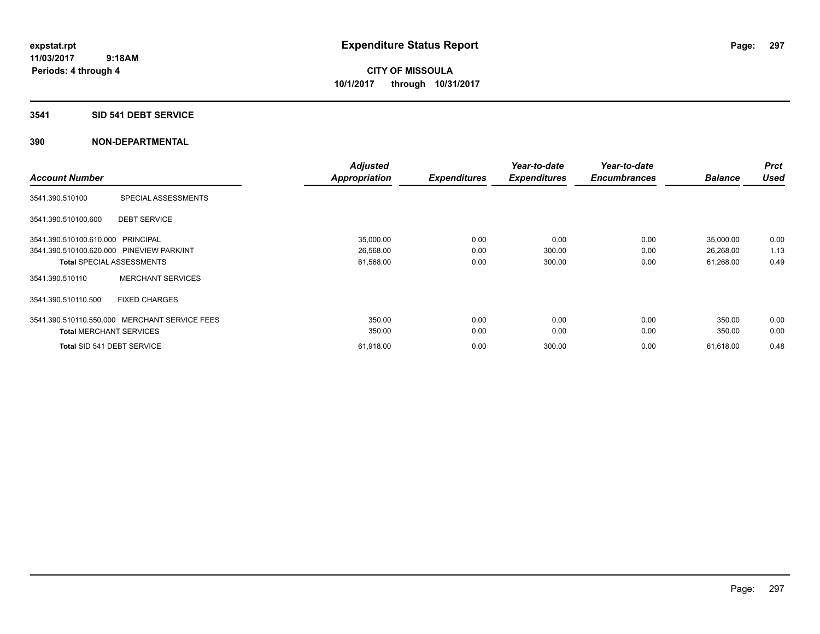#### **3541 SID 541 DEBT SERVICE**

|                                                  | <b>Adjusted</b> |                     | Year-to-date        | Year-to-date        |                | <b>Prct</b> |
|--------------------------------------------------|-----------------|---------------------|---------------------|---------------------|----------------|-------------|
| <b>Account Number</b>                            | Appropriation   | <b>Expenditures</b> | <b>Expenditures</b> | <b>Encumbrances</b> | <b>Balance</b> | <b>Used</b> |
| SPECIAL ASSESSMENTS<br>3541.390.510100           |                 |                     |                     |                     |                |             |
| <b>DEBT SERVICE</b><br>3541.390.510100.600       |                 |                     |                     |                     |                |             |
| 3541.390.510100.610.000 PRINCIPAL                | 35,000.00       | 0.00                | 0.00                | 0.00                | 35,000.00      | 0.00        |
| 3541.390.510100.620.000 PINEVIEW PARK/INT        | 26,568.00       | 0.00                | 300.00              | 0.00                | 26,268.00      | 1.13        |
| <b>Total SPECIAL ASSESSMENTS</b>                 | 61,568.00       | 0.00                | 300.00              | 0.00                | 61,268.00      | 0.49        |
| <b>MERCHANT SERVICES</b><br>3541.390.510110      |                 |                     |                     |                     |                |             |
| 3541.390.510110.500<br><b>FIXED CHARGES</b>      |                 |                     |                     |                     |                |             |
| MERCHANT SERVICE FEES<br>3541.390.510110.550.000 | 350.00          | 0.00                | 0.00                | 0.00                | 350.00         | 0.00        |
| <b>Total MERCHANT SERVICES</b>                   | 350.00          | 0.00                | 0.00                | 0.00                | 350.00         | 0.00        |
| Total SID 541 DEBT SERVICE                       | 61,918.00       | 0.00                | 300.00              | 0.00                | 61,618.00      | 0.48        |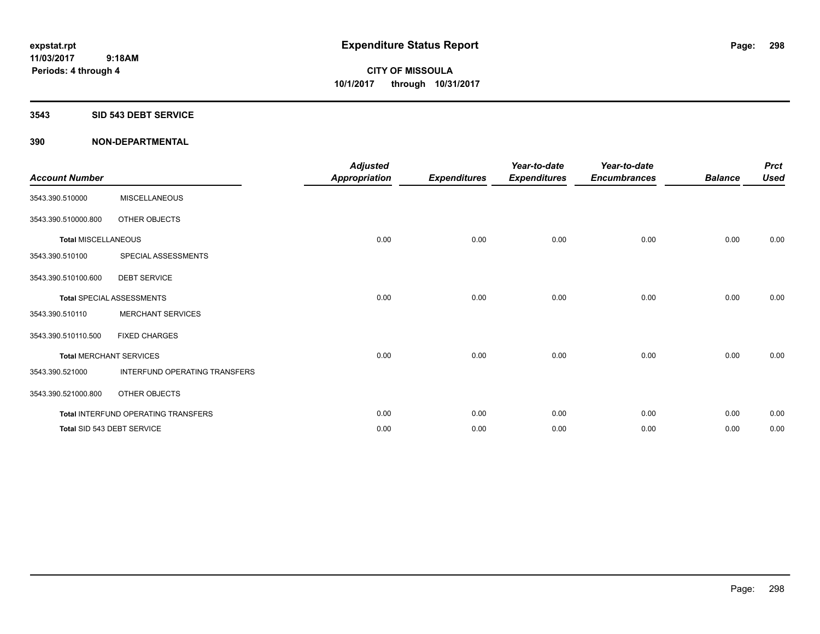#### **3543 SID 543 DEBT SERVICE**

| <b>Account Number</b>      |                                     | <b>Adjusted</b><br><b>Appropriation</b> | <b>Expenditures</b> | Year-to-date<br><b>Expenditures</b> | Year-to-date<br><b>Encumbrances</b> | <b>Balance</b> | <b>Prct</b><br><b>Used</b> |
|----------------------------|-------------------------------------|-----------------------------------------|---------------------|-------------------------------------|-------------------------------------|----------------|----------------------------|
| 3543.390.510000            | <b>MISCELLANEOUS</b>                |                                         |                     |                                     |                                     |                |                            |
| 3543.390.510000.800        | OTHER OBJECTS                       |                                         |                     |                                     |                                     |                |                            |
| <b>Total MISCELLANEOUS</b> |                                     | 0.00                                    | 0.00                | 0.00                                | 0.00                                | 0.00           | 0.00                       |
| 3543.390.510100            | SPECIAL ASSESSMENTS                 |                                         |                     |                                     |                                     |                |                            |
| 3543.390.510100.600        | <b>DEBT SERVICE</b>                 |                                         |                     |                                     |                                     |                |                            |
|                            | <b>Total SPECIAL ASSESSMENTS</b>    | 0.00                                    | 0.00                | 0.00                                | 0.00                                | 0.00           | 0.00                       |
| 3543.390.510110            | <b>MERCHANT SERVICES</b>            |                                         |                     |                                     |                                     |                |                            |
| 3543.390.510110.500        | <b>FIXED CHARGES</b>                |                                         |                     |                                     |                                     |                |                            |
|                            | <b>Total MERCHANT SERVICES</b>      | 0.00                                    | 0.00                | 0.00                                | 0.00                                | 0.00           | 0.00                       |
| 3543.390.521000            | INTERFUND OPERATING TRANSFERS       |                                         |                     |                                     |                                     |                |                            |
| 3543.390.521000.800        | OTHER OBJECTS                       |                                         |                     |                                     |                                     |                |                            |
|                            | Total INTERFUND OPERATING TRANSFERS | 0.00                                    | 0.00                | 0.00                                | 0.00                                | 0.00           | 0.00                       |
|                            | Total SID 543 DEBT SERVICE          | 0.00                                    | 0.00                | 0.00                                | 0.00                                | 0.00           | 0.00                       |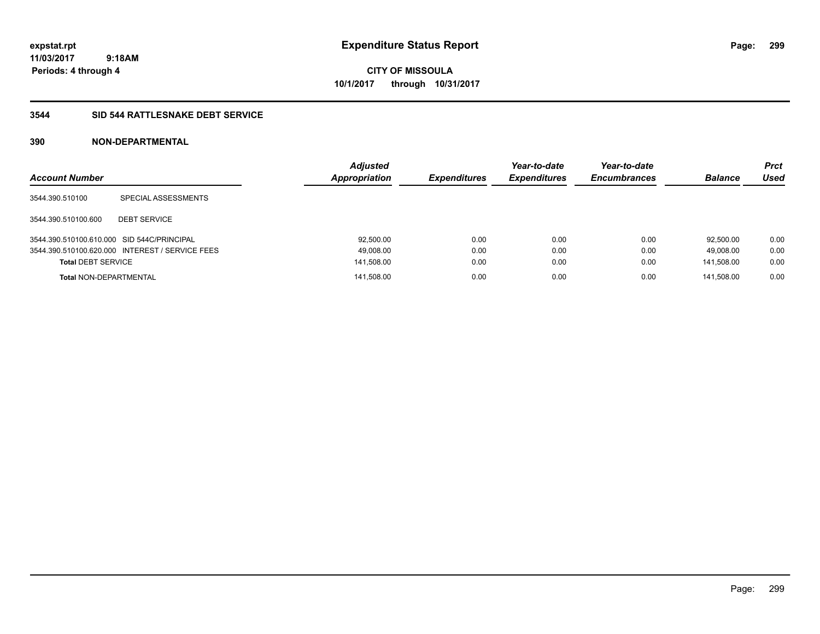**CITY OF MISSOULA 10/1/2017 through 10/31/2017**

### **3544 SID 544 RATTLESNAKE DEBT SERVICE**

| <b>Account Number</b>                      |                                                 | <b>Adjusted</b><br><b>Appropriation</b> | <b>Expenditures</b> | Year-to-date<br><b>Expenditures</b> | Year-to-date<br><b>Encumbrances</b> | <b>Balance</b> | <b>Prct</b><br>Used |
|--------------------------------------------|-------------------------------------------------|-----------------------------------------|---------------------|-------------------------------------|-------------------------------------|----------------|---------------------|
| 3544.390.510100                            | SPECIAL ASSESSMENTS                             |                                         |                     |                                     |                                     |                |                     |
| 3544.390.510100.600                        | <b>DEBT SERVICE</b>                             |                                         |                     |                                     |                                     |                |                     |
| 3544.390.510100.610.000 SID 544C/PRINCIPAL |                                                 | 92,500.00                               | 0.00                | 0.00                                | 0.00                                | 92.500.00      | 0.00                |
|                                            | 3544.390.510100.620.000 INTEREST / SERVICE FEES | 49,008.00                               | 0.00                | 0.00                                | 0.00                                | 49.008.00      | 0.00                |
| <b>Total DEBT SERVICE</b>                  |                                                 | 141,508.00                              | 0.00                | 0.00                                | 0.00                                | 141.508.00     | 0.00                |
| <b>Total NON-DEPARTMENTAL</b>              |                                                 | 141,508.00                              | 0.00                | 0.00                                | 0.00                                | 141.508.00     | 0.00                |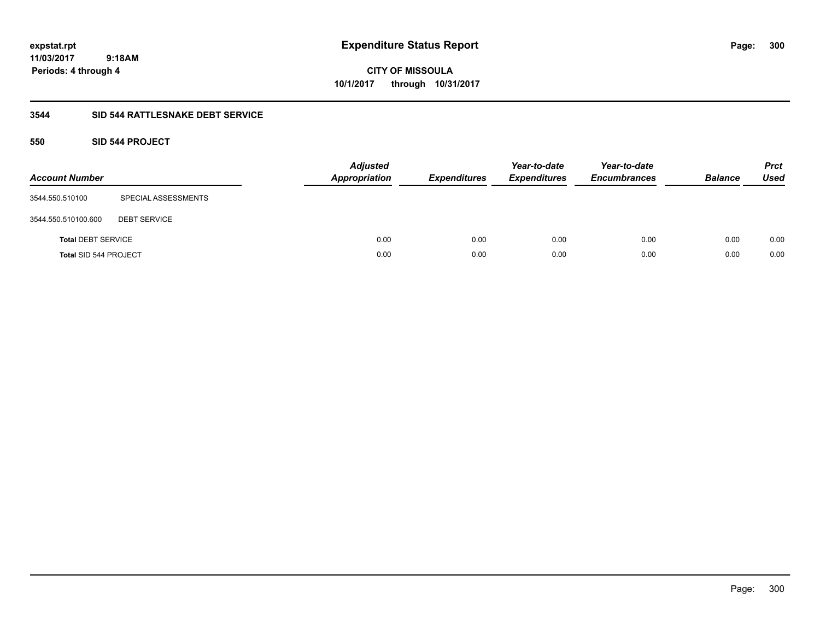# **CITY OF MISSOULA 10/1/2017 through 10/31/2017**

## **3544 SID 544 RATTLESNAKE DEBT SERVICE**

## **550 SID 544 PROJECT**

| <b>Account Number</b>     |                     | <b>Adjusted</b><br><b>Appropriation</b> | <b>Expenditures</b> | Year-to-date<br><b>Expenditures</b> | Year-to-date<br><b>Encumbrances</b> | <b>Balance</b> | <b>Prct</b><br><b>Used</b> |
|---------------------------|---------------------|-----------------------------------------|---------------------|-------------------------------------|-------------------------------------|----------------|----------------------------|
| 3544.550.510100           | SPECIAL ASSESSMENTS |                                         |                     |                                     |                                     |                |                            |
| 3544.550.510100.600       | <b>DEBT SERVICE</b> |                                         |                     |                                     |                                     |                |                            |
| <b>Total DEBT SERVICE</b> |                     | 0.00                                    | 0.00                | 0.00                                | 0.00                                | 0.00           | 0.00                       |
| Total SID 544 PROJECT     |                     | 0.00                                    | 0.00                | 0.00                                | 0.00                                | 0.00           | 0.00                       |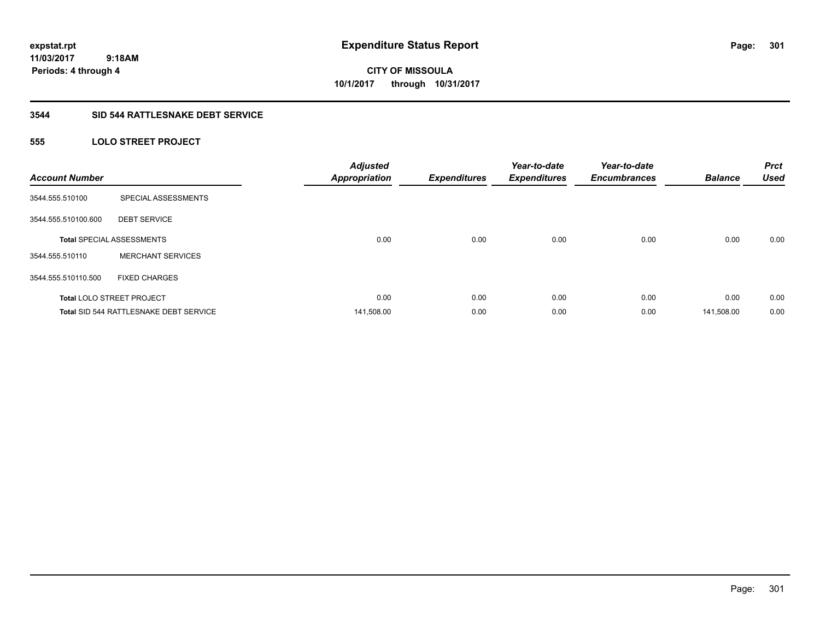**301**

**11/03/2017 9:18AM Periods: 4 through 4**

# **CITY OF MISSOULA 10/1/2017 through 10/31/2017**

### **3544 SID 544 RATTLESNAKE DEBT SERVICE**

## **555 LOLO STREET PROJECT**

| <b>Account Number</b> |                                        | <b>Adjusted</b><br><b>Appropriation</b> | <b>Expenditures</b> | Year-to-date<br><b>Expenditures</b> | Year-to-date<br><b>Encumbrances</b> | <b>Balance</b> | <b>Prct</b><br><b>Used</b> |
|-----------------------|----------------------------------------|-----------------------------------------|---------------------|-------------------------------------|-------------------------------------|----------------|----------------------------|
| 3544.555.510100       | SPECIAL ASSESSMENTS                    |                                         |                     |                                     |                                     |                |                            |
| 3544.555.510100.600   | <b>DEBT SERVICE</b>                    |                                         |                     |                                     |                                     |                |                            |
|                       | <b>Total SPECIAL ASSESSMENTS</b>       | 0.00                                    | 0.00                | 0.00                                | 0.00                                | 0.00           | 0.00                       |
| 3544.555.510110       | <b>MERCHANT SERVICES</b>               |                                         |                     |                                     |                                     |                |                            |
| 3544.555.510110.500   | <b>FIXED CHARGES</b>                   |                                         |                     |                                     |                                     |                |                            |
|                       | <b>Total LOLO STREET PROJECT</b>       | 0.00                                    | 0.00                | 0.00                                | 0.00                                | 0.00           | 0.00                       |
|                       | Total SID 544 RATTLESNAKE DEBT SERVICE | 141,508.00                              | 0.00                | 0.00                                | 0.00                                | 141,508.00     | 0.00                       |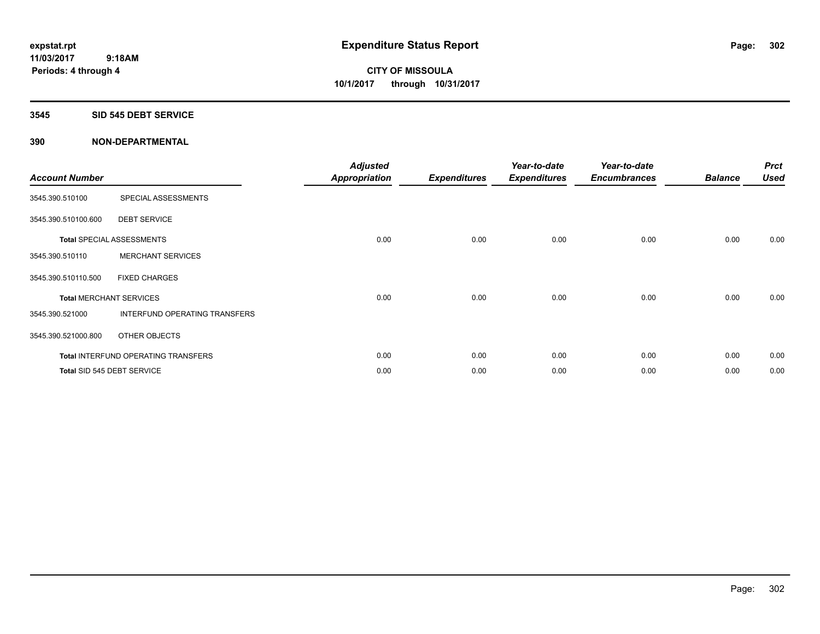#### **3545 SID 545 DEBT SERVICE**

| <b>Account Number</b> |                                            | <b>Adjusted</b><br><b>Appropriation</b> | <b>Expenditures</b> | Year-to-date<br><b>Expenditures</b> | Year-to-date<br><b>Encumbrances</b> | <b>Balance</b> | <b>Prct</b><br><b>Used</b> |
|-----------------------|--------------------------------------------|-----------------------------------------|---------------------|-------------------------------------|-------------------------------------|----------------|----------------------------|
| 3545.390.510100       | SPECIAL ASSESSMENTS                        |                                         |                     |                                     |                                     |                |                            |
| 3545.390.510100.600   | <b>DEBT SERVICE</b>                        |                                         |                     |                                     |                                     |                |                            |
|                       | <b>Total SPECIAL ASSESSMENTS</b>           | 0.00                                    | 0.00                | 0.00                                | 0.00                                | 0.00           | 0.00                       |
| 3545.390.510110       | <b>MERCHANT SERVICES</b>                   |                                         |                     |                                     |                                     |                |                            |
| 3545.390.510110.500   | <b>FIXED CHARGES</b>                       |                                         |                     |                                     |                                     |                |                            |
|                       | <b>Total MERCHANT SERVICES</b>             | 0.00                                    | 0.00                | 0.00                                | 0.00                                | 0.00           | 0.00                       |
| 3545.390.521000       | INTERFUND OPERATING TRANSFERS              |                                         |                     |                                     |                                     |                |                            |
| 3545.390.521000.800   | OTHER OBJECTS                              |                                         |                     |                                     |                                     |                |                            |
|                       | <b>Total INTERFUND OPERATING TRANSFERS</b> | 0.00                                    | 0.00                | 0.00                                | 0.00                                | 0.00           | 0.00                       |
|                       | Total SID 545 DEBT SERVICE                 | 0.00                                    | 0.00                | 0.00                                | 0.00                                | 0.00           | 0.00                       |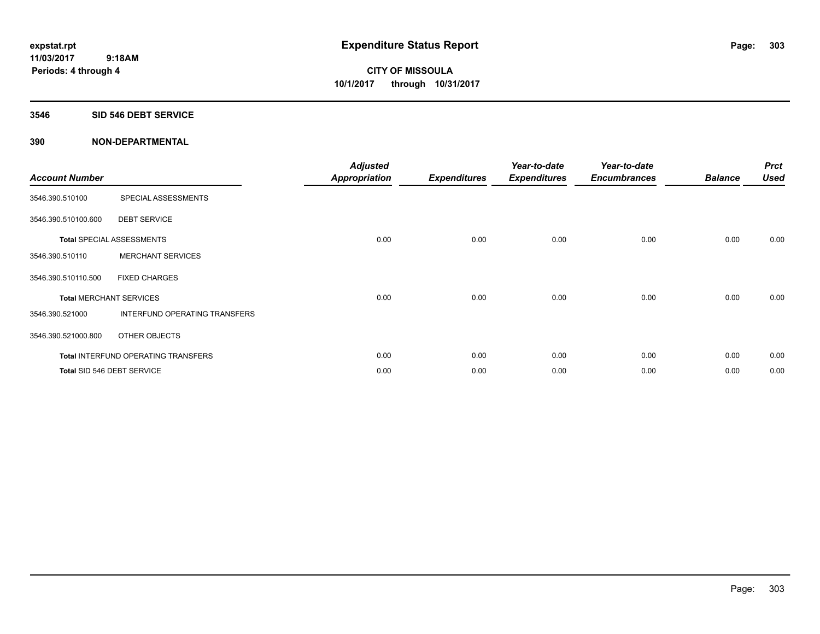#### **3546 SID 546 DEBT SERVICE**

| <b>Account Number</b>          |                                            | <b>Adjusted</b><br><b>Appropriation</b> | <b>Expenditures</b> | Year-to-date<br><b>Expenditures</b> | Year-to-date<br><b>Encumbrances</b> | <b>Balance</b> | <b>Prct</b><br><b>Used</b> |
|--------------------------------|--------------------------------------------|-----------------------------------------|---------------------|-------------------------------------|-------------------------------------|----------------|----------------------------|
| 3546.390.510100                | SPECIAL ASSESSMENTS                        |                                         |                     |                                     |                                     |                |                            |
| 3546.390.510100.600            | <b>DEBT SERVICE</b>                        |                                         |                     |                                     |                                     |                |                            |
|                                | <b>Total SPECIAL ASSESSMENTS</b>           | 0.00                                    | 0.00                | 0.00                                | 0.00                                | 0.00           | 0.00                       |
| 3546.390.510110                | <b>MERCHANT SERVICES</b>                   |                                         |                     |                                     |                                     |                |                            |
| 3546.390.510110.500            | <b>FIXED CHARGES</b>                       |                                         |                     |                                     |                                     |                |                            |
| <b>Total MERCHANT SERVICES</b> |                                            | 0.00                                    | 0.00                | 0.00                                | 0.00                                | 0.00           | 0.00                       |
| 3546.390.521000                | INTERFUND OPERATING TRANSFERS              |                                         |                     |                                     |                                     |                |                            |
| 3546.390.521000.800            | OTHER OBJECTS                              |                                         |                     |                                     |                                     |                |                            |
|                                | <b>Total INTERFUND OPERATING TRANSFERS</b> | 0.00                                    | 0.00                | 0.00                                | 0.00                                | 0.00           | 0.00                       |
|                                | Total SID 546 DEBT SERVICE                 | 0.00                                    | 0.00                | 0.00                                | 0.00                                | 0.00           | 0.00                       |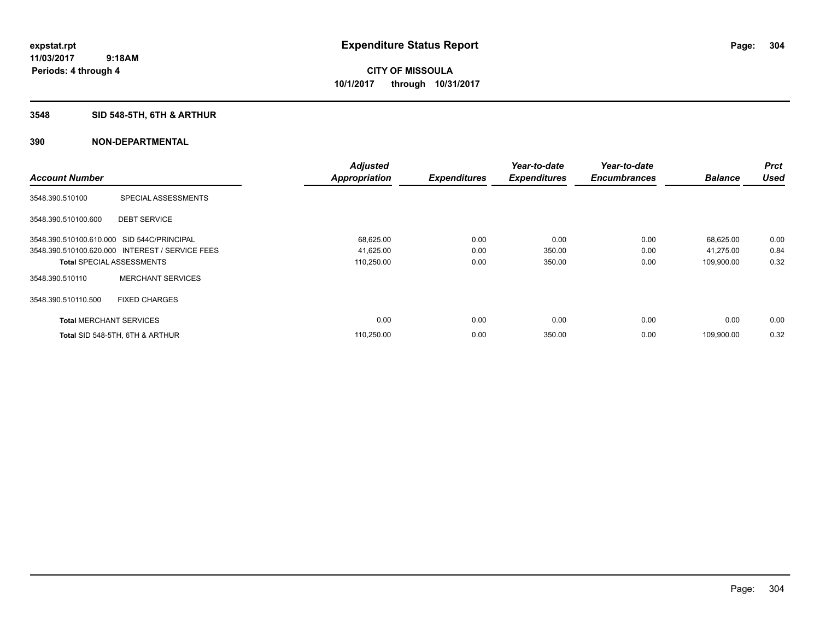## **3548 SID 548-5TH, 6TH & ARTHUR**

|                                            |                                                 | <b>Adjusted</b>      |                     | Year-to-date        | Year-to-date        |                | <b>Prct</b> |
|--------------------------------------------|-------------------------------------------------|----------------------|---------------------|---------------------|---------------------|----------------|-------------|
| <b>Account Number</b>                      |                                                 | <b>Appropriation</b> | <b>Expenditures</b> | <b>Expenditures</b> | <b>Encumbrances</b> | <b>Balance</b> | <b>Used</b> |
| 3548.390.510100                            | SPECIAL ASSESSMENTS                             |                      |                     |                     |                     |                |             |
| 3548.390.510100.600                        | <b>DEBT SERVICE</b>                             |                      |                     |                     |                     |                |             |
| 3548.390.510100.610.000 SID 544C/PRINCIPAL |                                                 | 68,625.00            | 0.00                | 0.00                | 0.00                | 68,625.00      | 0.00        |
|                                            | 3548.390.510100.620.000 INTEREST / SERVICE FEES | 41,625.00            | 0.00                | 350.00              | 0.00                | 41,275.00      | 0.84        |
| <b>Total SPECIAL ASSESSMENTS</b>           |                                                 | 110,250.00           | 0.00                | 350.00              | 0.00                | 109,900.00     | 0.32        |
| 3548.390.510110                            | <b>MERCHANT SERVICES</b>                        |                      |                     |                     |                     |                |             |
| 3548.390.510110.500                        | <b>FIXED CHARGES</b>                            |                      |                     |                     |                     |                |             |
| <b>Total MERCHANT SERVICES</b>             |                                                 | 0.00                 | 0.00                | 0.00                | 0.00                | 0.00           | 0.00        |
|                                            | Total SID 548-5TH, 6TH & ARTHUR                 | 110,250.00           | 0.00                | 350.00              | 0.00                | 109.900.00     | 0.32        |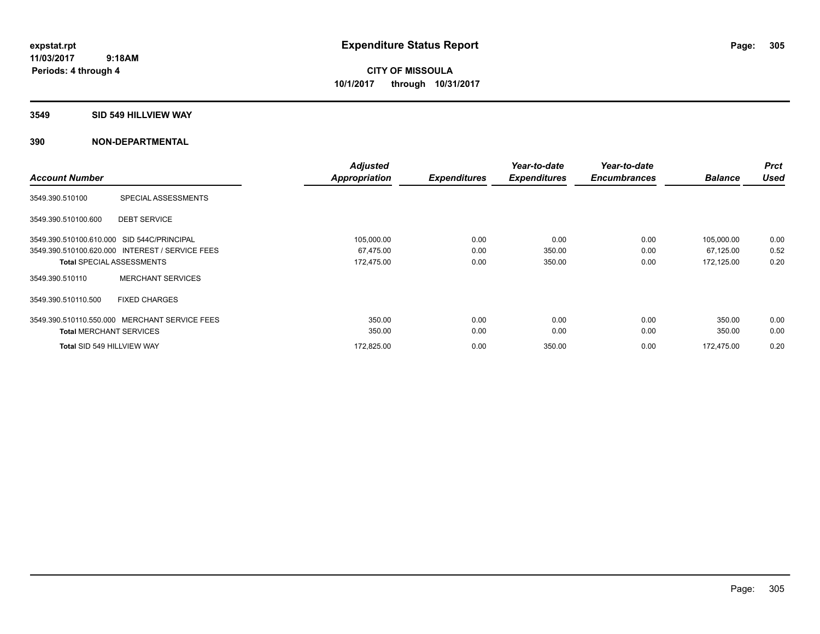#### **3549 SID 549 HILLVIEW WAY**

| <b>Account Number</b>          |                                                 | <b>Adjusted</b><br><b>Appropriation</b> | <b>Expenditures</b> | Year-to-date<br><b>Expenditures</b> | Year-to-date<br><b>Encumbrances</b> | <b>Balance</b> | <b>Prct</b><br><b>Used</b> |
|--------------------------------|-------------------------------------------------|-----------------------------------------|---------------------|-------------------------------------|-------------------------------------|----------------|----------------------------|
| 3549.390.510100                | SPECIAL ASSESSMENTS                             |                                         |                     |                                     |                                     |                |                            |
| 3549.390.510100.600            | <b>DEBT SERVICE</b>                             |                                         |                     |                                     |                                     |                |                            |
|                                | 3549.390.510100.610.000 SID 544C/PRINCIPAL      | 105,000.00                              | 0.00                | 0.00                                | 0.00                                | 105,000.00     | 0.00                       |
|                                | 3549.390.510100.620.000 INTEREST / SERVICE FEES | 67,475.00                               | 0.00                | 350.00                              | 0.00                                | 67,125.00      | 0.52                       |
|                                | <b>Total SPECIAL ASSESSMENTS</b>                | 172,475.00                              | 0.00                | 350.00                              | 0.00                                | 172,125.00     | 0.20                       |
| 3549.390.510110                | <b>MERCHANT SERVICES</b>                        |                                         |                     |                                     |                                     |                |                            |
| 3549.390.510110.500            | <b>FIXED CHARGES</b>                            |                                         |                     |                                     |                                     |                |                            |
|                                | 3549.390.510110.550.000 MERCHANT SERVICE FEES   | 350.00                                  | 0.00                | 0.00                                | 0.00                                | 350.00         | 0.00                       |
| <b>Total MERCHANT SERVICES</b> |                                                 | 350.00                                  | 0.00                | 0.00                                | 0.00                                | 350.00         | 0.00                       |
| Total SID 549 HILLVIEW WAY     |                                                 | 172,825.00                              | 0.00                | 350.00                              | 0.00                                | 172.475.00     | 0.20                       |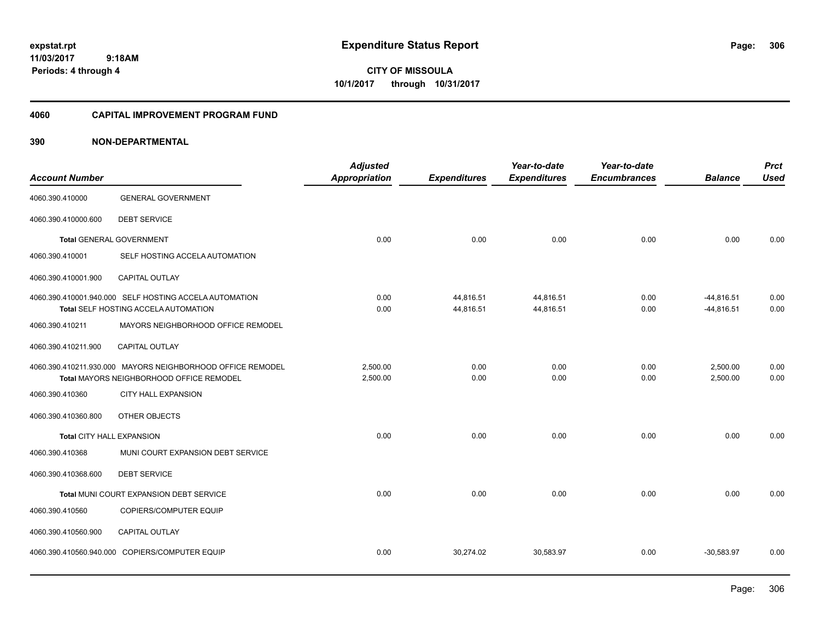**CITY OF MISSOULA 10/1/2017 through 10/31/2017**

#### **4060 CAPITAL IMPROVEMENT PROGRAM FUND**

| <b>Account Number</b>     |                                                                                                        | <b>Adjusted</b><br><b>Appropriation</b> | <b>Expenditures</b>    | Year-to-date<br><b>Expenditures</b> | Year-to-date<br><b>Encumbrances</b> | <b>Balance</b>               | <b>Prct</b><br><b>Used</b> |
|---------------------------|--------------------------------------------------------------------------------------------------------|-----------------------------------------|------------------------|-------------------------------------|-------------------------------------|------------------------------|----------------------------|
| 4060.390.410000           | <b>GENERAL GOVERNMENT</b>                                                                              |                                         |                        |                                     |                                     |                              |                            |
| 4060.390.410000.600       | <b>DEBT SERVICE</b>                                                                                    |                                         |                        |                                     |                                     |                              |                            |
|                           | <b>Total GENERAL GOVERNMENT</b>                                                                        | 0.00                                    | 0.00                   | 0.00                                | 0.00                                | 0.00                         | 0.00                       |
| 4060.390.410001           | SELF HOSTING ACCELA AUTOMATION                                                                         |                                         |                        |                                     |                                     |                              |                            |
| 4060.390.410001.900       | <b>CAPITAL OUTLAY</b>                                                                                  |                                         |                        |                                     |                                     |                              |                            |
|                           | 4060.390.410001.940.000 SELF HOSTING ACCELA AUTOMATION<br>Total SELF HOSTING ACCELA AUTOMATION         | 0.00<br>0.00                            | 44,816.51<br>44,816.51 | 44,816.51<br>44,816.51              | 0.00<br>0.00                        | $-44,816.51$<br>$-44,816.51$ | 0.00<br>0.00               |
| 4060.390.410211           | MAYORS NEIGHBORHOOD OFFICE REMODEL                                                                     |                                         |                        |                                     |                                     |                              |                            |
| 4060.390.410211.900       | CAPITAL OUTLAY                                                                                         |                                         |                        |                                     |                                     |                              |                            |
|                           | 4060.390.410211.930.000 MAYORS NEIGHBORHOOD OFFICE REMODEL<br>Total MAYORS NEIGHBORHOOD OFFICE REMODEL | 2,500.00<br>2,500.00                    | 0.00<br>0.00           | 0.00<br>0.00                        | 0.00<br>0.00                        | 2,500.00<br>2,500.00         | 0.00<br>0.00               |
| 4060.390.410360           | <b>CITY HALL EXPANSION</b>                                                                             |                                         |                        |                                     |                                     |                              |                            |
| 4060.390.410360.800       | OTHER OBJECTS                                                                                          |                                         |                        |                                     |                                     |                              |                            |
| Total CITY HALL EXPANSION |                                                                                                        | 0.00                                    | 0.00                   | 0.00                                | 0.00                                | 0.00                         | 0.00                       |
| 4060.390.410368           | MUNI COURT EXPANSION DEBT SERVICE                                                                      |                                         |                        |                                     |                                     |                              |                            |
| 4060.390.410368.600       | <b>DEBT SERVICE</b>                                                                                    |                                         |                        |                                     |                                     |                              |                            |
|                           | Total MUNI COURT EXPANSION DEBT SERVICE                                                                | 0.00                                    | 0.00                   | 0.00                                | 0.00                                | 0.00                         | 0.00                       |
| 4060.390.410560           | COPIERS/COMPUTER EQUIP                                                                                 |                                         |                        |                                     |                                     |                              |                            |
| 4060.390.410560.900       | <b>CAPITAL OUTLAY</b>                                                                                  |                                         |                        |                                     |                                     |                              |                            |
|                           | 4060.390.410560.940.000 COPIERS/COMPUTER EQUIP                                                         | 0.00                                    | 30,274.02              | 30,583.97                           | 0.00                                | $-30,583.97$                 | 0.00                       |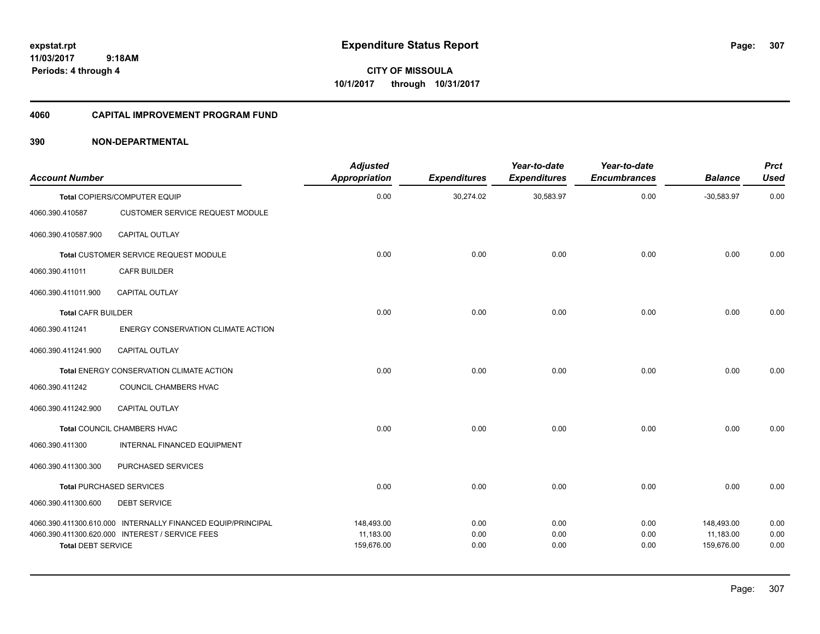**CITY OF MISSOULA 10/1/2017 through 10/31/2017**

#### **4060 CAPITAL IMPROVEMENT PROGRAM FUND**

| <b>Account Number</b>     |                                                             | <b>Adjusted</b><br><b>Appropriation</b> | <b>Expenditures</b> | Year-to-date<br><b>Expenditures</b> | Year-to-date<br><b>Encumbrances</b> | <b>Balance</b>          | <b>Prct</b><br><b>Used</b> |
|---------------------------|-------------------------------------------------------------|-----------------------------------------|---------------------|-------------------------------------|-------------------------------------|-------------------------|----------------------------|
|                           | Total COPIERS/COMPUTER EQUIP                                | 0.00                                    | 30,274.02           | 30,583.97                           | 0.00                                | $-30,583.97$            | 0.00                       |
| 4060.390.410587           | <b>CUSTOMER SERVICE REQUEST MODULE</b>                      |                                         |                     |                                     |                                     |                         |                            |
| 4060.390.410587.900       | CAPITAL OUTLAY                                              |                                         |                     |                                     |                                     |                         |                            |
|                           | <b>Total CUSTOMER SERVICE REQUEST MODULE</b>                | 0.00                                    | 0.00                | 0.00                                | 0.00                                | 0.00                    | 0.00                       |
| 4060.390.411011           | <b>CAFR BUILDER</b>                                         |                                         |                     |                                     |                                     |                         |                            |
| 4060.390.411011.900       | <b>CAPITAL OUTLAY</b>                                       |                                         |                     |                                     |                                     |                         |                            |
| <b>Total CAFR BUILDER</b> |                                                             | 0.00                                    | 0.00                | 0.00                                | 0.00                                | 0.00                    | 0.00                       |
| 4060.390.411241           | ENERGY CONSERVATION CLIMATE ACTION                          |                                         |                     |                                     |                                     |                         |                            |
| 4060.390.411241.900       | CAPITAL OUTLAY                                              |                                         |                     |                                     |                                     |                         |                            |
|                           | Total ENERGY CONSERVATION CLIMATE ACTION                    | 0.00                                    | 0.00                | 0.00                                | 0.00                                | 0.00                    | 0.00                       |
| 4060.390.411242           | <b>COUNCIL CHAMBERS HVAC</b>                                |                                         |                     |                                     |                                     |                         |                            |
| 4060.390.411242.900       | <b>CAPITAL OUTLAY</b>                                       |                                         |                     |                                     |                                     |                         |                            |
|                           | Total COUNCIL CHAMBERS HVAC                                 | 0.00                                    | 0.00                | 0.00                                | 0.00                                | 0.00                    | 0.00                       |
| 4060.390.411300           | <b>INTERNAL FINANCED EQUIPMENT</b>                          |                                         |                     |                                     |                                     |                         |                            |
| 4060.390.411300.300       | PURCHASED SERVICES                                          |                                         |                     |                                     |                                     |                         |                            |
|                           | <b>Total PURCHASED SERVICES</b>                             | 0.00                                    | 0.00                | 0.00                                | 0.00                                | 0.00                    | 0.00                       |
| 4060.390.411300.600       | <b>DEBT SERVICE</b>                                         |                                         |                     |                                     |                                     |                         |                            |
|                           | 4060.390.411300.610.000 INTERNALLY FINANCED EQUIP/PRINCIPAL | 148,493.00                              | 0.00                | 0.00                                | 0.00                                | 148,493.00              | 0.00                       |
| <b>Total DEBT SERVICE</b> | 4060.390.411300.620.000 INTEREST / SERVICE FEES             | 11,183.00<br>159,676.00                 | 0.00<br>0.00        | 0.00<br>0.00                        | 0.00<br>0.00                        | 11,183.00<br>159,676.00 | 0.00<br>0.00               |
|                           |                                                             |                                         |                     |                                     |                                     |                         |                            |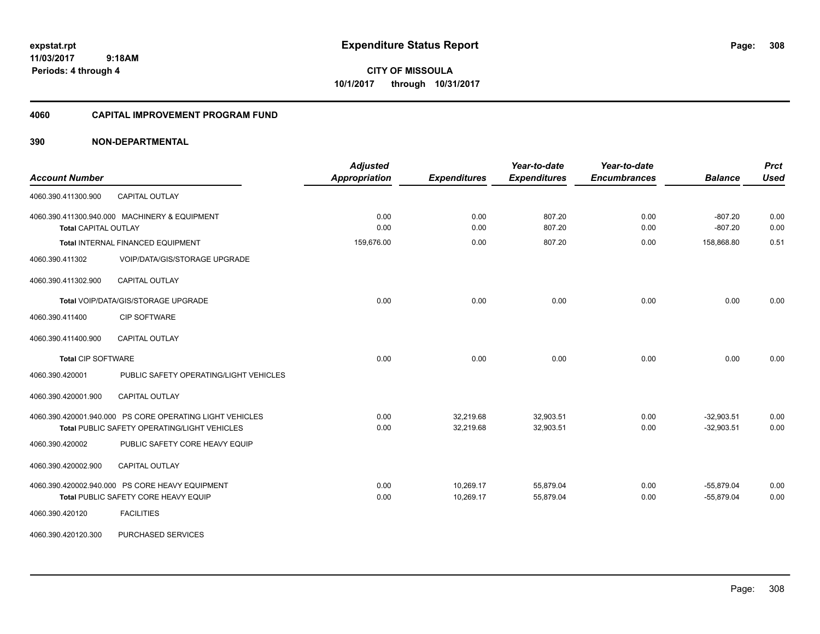**CITY OF MISSOULA 10/1/2017 through 10/31/2017**

#### **4060 CAPITAL IMPROVEMENT PROGRAM FUND**

| <b>Account Number</b>                                                                                    | <b>Adjusted</b><br><b>Appropriation</b> | <b>Expenditures</b>    | Year-to-date<br><b>Expenditures</b> | Year-to-date<br><b>Encumbrances</b> | <b>Balance</b>               | <b>Prct</b><br><b>Used</b> |
|----------------------------------------------------------------------------------------------------------|-----------------------------------------|------------------------|-------------------------------------|-------------------------------------|------------------------------|----------------------------|
| <b>CAPITAL OUTLAY</b><br>4060.390.411300.900                                                             |                                         |                        |                                     |                                     |                              |                            |
| 4060.390.411300.940.000 MACHINERY & EQUIPMENT<br><b>Total CAPITAL OUTLAY</b>                             | 0.00<br>0.00                            | 0.00<br>0.00           | 807.20<br>807.20                    | 0.00<br>0.00                        | $-807.20$<br>$-807.20$       | 0.00<br>0.00               |
| Total INTERNAL FINANCED EQUIPMENT                                                                        | 159,676.00                              | 0.00                   | 807.20                              | 0.00                                | 158,868.80                   | 0.51                       |
| 4060.390.411302<br>VOIP/DATA/GIS/STORAGE UPGRADE                                                         |                                         |                        |                                     |                                     |                              |                            |
| CAPITAL OUTLAY<br>4060.390.411302.900                                                                    |                                         |                        |                                     |                                     |                              |                            |
| Total VOIP/DATA/GIS/STORAGE UPGRADE                                                                      | 0.00                                    | 0.00                   | 0.00                                | 0.00                                | 0.00                         | 0.00                       |
| <b>CIP SOFTWARE</b><br>4060.390.411400                                                                   |                                         |                        |                                     |                                     |                              |                            |
| <b>CAPITAL OUTLAY</b><br>4060.390.411400.900                                                             |                                         |                        |                                     |                                     |                              |                            |
| <b>Total CIP SOFTWARE</b>                                                                                | 0.00                                    | 0.00                   | 0.00                                | 0.00                                | 0.00                         | 0.00                       |
| 4060.390.420001<br>PUBLIC SAFETY OPERATING/LIGHT VEHICLES                                                |                                         |                        |                                     |                                     |                              |                            |
| CAPITAL OUTLAY<br>4060.390.420001.900                                                                    |                                         |                        |                                     |                                     |                              |                            |
| 4060.390.420001.940.000 PS CORE OPERATING LIGHT VEHICLES<br>Total PUBLIC SAFETY OPERATING/LIGHT VEHICLES | 0.00<br>0.00                            | 32,219.68<br>32,219.68 | 32,903.51<br>32,903.51              | 0.00<br>0.00                        | $-32,903.51$<br>$-32,903.51$ | 0.00<br>0.00               |
| PUBLIC SAFETY CORE HEAVY EQUIP<br>4060.390.420002                                                        |                                         |                        |                                     |                                     |                              |                            |
| <b>CAPITAL OUTLAY</b><br>4060.390.420002.900                                                             |                                         |                        |                                     |                                     |                              |                            |
| 4060.390.420002.940.000 PS CORE HEAVY EQUIPMENT<br>Total PUBLIC SAFETY CORE HEAVY EQUIP                  | 0.00<br>0.00                            | 10,269.17<br>10,269.17 | 55,879.04<br>55,879.04              | 0.00<br>0.00                        | $-55,879.04$<br>$-55,879.04$ | 0.00<br>0.00               |
| <b>FACILITIES</b><br>4060.390.420120                                                                     |                                         |                        |                                     |                                     |                              |                            |
| 4060.390.420120.300<br>PURCHASED SERVICES                                                                |                                         |                        |                                     |                                     |                              |                            |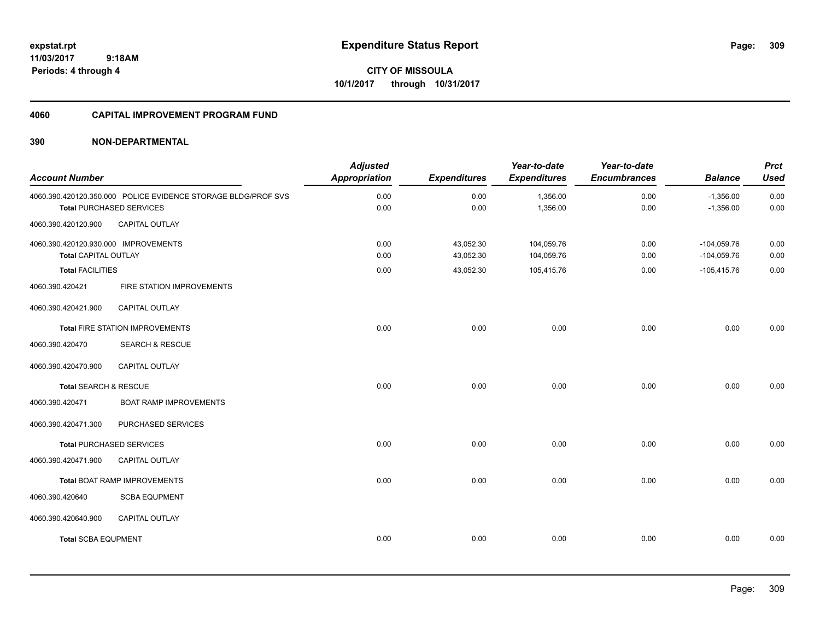**309**

**11/03/2017 9:18AM Periods: 4 through 4**

**CITY OF MISSOULA 10/1/2017 through 10/31/2017**

#### **4060 CAPITAL IMPROVEMENT PROGRAM FUND**

| <b>Account Number</b>                                               |                                                                                                  | <b>Adjusted</b><br><b>Appropriation</b> | <b>Expenditures</b>    | Year-to-date<br><b>Expenditures</b> | Year-to-date<br><b>Encumbrances</b> | <b>Balance</b>                 | <b>Prct</b><br><b>Used</b> |
|---------------------------------------------------------------------|--------------------------------------------------------------------------------------------------|-----------------------------------------|------------------------|-------------------------------------|-------------------------------------|--------------------------------|----------------------------|
|                                                                     | 4060.390.420120.350.000 POLICE EVIDENCE STORAGE BLDG/PROF SVS<br><b>Total PURCHASED SERVICES</b> | 0.00<br>0.00                            | 0.00<br>0.00           | 1,356.00<br>1,356.00                | 0.00<br>0.00                        | $-1,356.00$<br>$-1,356.00$     | 0.00<br>0.00               |
| 4060.390.420120.900                                                 | <b>CAPITAL OUTLAY</b>                                                                            |                                         |                        |                                     |                                     |                                |                            |
| 4060.390.420120.930.000 IMPROVEMENTS<br><b>Total CAPITAL OUTLAY</b> |                                                                                                  | 0.00<br>0.00                            | 43,052.30<br>43,052.30 | 104,059.76<br>104,059.76            | 0.00<br>0.00                        | $-104,059.76$<br>$-104,059.76$ | 0.00<br>0.00               |
| <b>Total FACILITIES</b>                                             |                                                                                                  | 0.00                                    | 43,052.30              | 105,415.76                          | 0.00                                | $-105,415.76$                  | 0.00                       |
| 4060.390.420421                                                     | FIRE STATION IMPROVEMENTS                                                                        |                                         |                        |                                     |                                     |                                |                            |
| 4060.390.420421.900                                                 | CAPITAL OUTLAY                                                                                   |                                         |                        |                                     |                                     |                                |                            |
|                                                                     | <b>Total FIRE STATION IMPROVEMENTS</b>                                                           | 0.00                                    | 0.00                   | 0.00                                | 0.00                                | 0.00                           | 0.00                       |
| 4060.390.420470                                                     | <b>SEARCH &amp; RESCUE</b>                                                                       |                                         |                        |                                     |                                     |                                |                            |
| 4060.390.420470.900                                                 | <b>CAPITAL OUTLAY</b>                                                                            |                                         |                        |                                     |                                     |                                |                            |
| Total SEARCH & RESCUE                                               |                                                                                                  | 0.00                                    | 0.00                   | 0.00                                | 0.00                                | 0.00                           | 0.00                       |
| 4060.390.420471                                                     | <b>BOAT RAMP IMPROVEMENTS</b>                                                                    |                                         |                        |                                     |                                     |                                |                            |
| 4060.390.420471.300                                                 | PURCHASED SERVICES                                                                               |                                         |                        |                                     |                                     |                                |                            |
|                                                                     | <b>Total PURCHASED SERVICES</b>                                                                  | 0.00                                    | 0.00                   | 0.00                                | 0.00                                | 0.00                           | 0.00                       |
| 4060.390.420471.900                                                 | <b>CAPITAL OUTLAY</b>                                                                            |                                         |                        |                                     |                                     |                                |                            |
|                                                                     | <b>Total BOAT RAMP IMPROVEMENTS</b>                                                              | 0.00                                    | 0.00                   | 0.00                                | 0.00                                | 0.00                           | 0.00                       |
| 4060.390.420640                                                     | <b>SCBA EQUPMENT</b>                                                                             |                                         |                        |                                     |                                     |                                |                            |
| 4060.390.420640.900                                                 | CAPITAL OUTLAY                                                                                   |                                         |                        |                                     |                                     |                                |                            |
| <b>Total SCBA EQUPMENT</b>                                          |                                                                                                  | 0.00                                    | 0.00                   | 0.00                                | 0.00                                | 0.00                           | 0.00                       |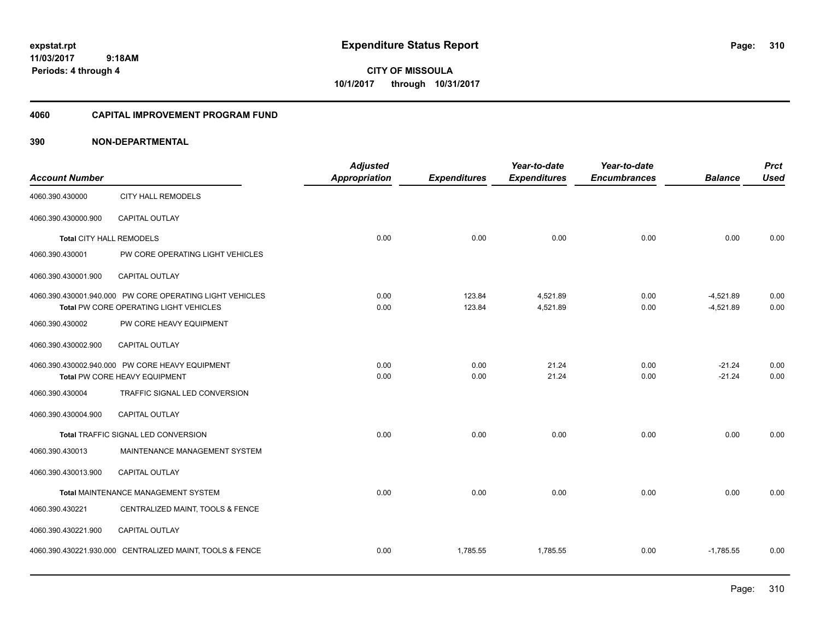**CITY OF MISSOULA 10/1/2017 through 10/31/2017**

#### **4060 CAPITAL IMPROVEMENT PROGRAM FUND**

| <b>Account Number</b>    |                                                                                                    | <b>Adjusted</b><br><b>Appropriation</b> | <b>Expenditures</b> | Year-to-date<br><b>Expenditures</b> | Year-to-date<br><b>Encumbrances</b> | <b>Balance</b>             | <b>Prct</b><br><b>Used</b> |
|--------------------------|----------------------------------------------------------------------------------------------------|-----------------------------------------|---------------------|-------------------------------------|-------------------------------------|----------------------------|----------------------------|
| 4060.390.430000          | <b>CITY HALL REMODELS</b>                                                                          |                                         |                     |                                     |                                     |                            |                            |
| 4060.390.430000.900      | <b>CAPITAL OUTLAY</b>                                                                              |                                         |                     |                                     |                                     |                            |                            |
| Total CITY HALL REMODELS |                                                                                                    | 0.00                                    | 0.00                | 0.00                                | 0.00                                | 0.00                       | 0.00                       |
| 4060.390.430001          | PW CORE OPERATING LIGHT VEHICLES                                                                   |                                         |                     |                                     |                                     |                            |                            |
| 4060.390.430001.900      | <b>CAPITAL OUTLAY</b>                                                                              |                                         |                     |                                     |                                     |                            |                            |
|                          | 4060.390.430001.940.000 PW CORE OPERATING LIGHT VEHICLES<br>Total PW CORE OPERATING LIGHT VEHICLES | 0.00<br>0.00                            | 123.84<br>123.84    | 4,521.89<br>4,521.89                | 0.00<br>0.00                        | $-4,521.89$<br>$-4,521.89$ | 0.00<br>0.00               |
| 4060.390.430002          | PW CORE HEAVY EQUIPMENT                                                                            |                                         |                     |                                     |                                     |                            |                            |
| 4060.390.430002.900      | <b>CAPITAL OUTLAY</b>                                                                              |                                         |                     |                                     |                                     |                            |                            |
|                          | 4060.390.430002.940.000 PW CORE HEAVY EQUIPMENT<br>Total PW CORE HEAVY EQUIPMENT                   | 0.00<br>0.00                            | 0.00<br>0.00        | 21.24<br>21.24                      | 0.00<br>0.00                        | $-21.24$<br>$-21.24$       | 0.00<br>0.00               |
| 4060.390.430004          | TRAFFIC SIGNAL LED CONVERSION                                                                      |                                         |                     |                                     |                                     |                            |                            |
| 4060.390.430004.900      | <b>CAPITAL OUTLAY</b>                                                                              |                                         |                     |                                     |                                     |                            |                            |
|                          | Total TRAFFIC SIGNAL LED CONVERSION                                                                | 0.00                                    | 0.00                | 0.00                                | 0.00                                | 0.00                       | 0.00                       |
| 4060.390.430013          | MAINTENANCE MANAGEMENT SYSTEM                                                                      |                                         |                     |                                     |                                     |                            |                            |
| 4060.390.430013.900      | <b>CAPITAL OUTLAY</b>                                                                              |                                         |                     |                                     |                                     |                            |                            |
|                          | Total MAINTENANCE MANAGEMENT SYSTEM                                                                | 0.00                                    | 0.00                | 0.00                                | 0.00                                | 0.00                       | 0.00                       |
| 4060.390.430221          | CENTRALIZED MAINT, TOOLS & FENCE                                                                   |                                         |                     |                                     |                                     |                            |                            |
| 4060.390.430221.900      | CAPITAL OUTLAY                                                                                     |                                         |                     |                                     |                                     |                            |                            |
|                          | 4060.390.430221.930.000 CENTRALIZED MAINT, TOOLS & FENCE                                           | 0.00                                    | 1,785.55            | 1,785.55                            | 0.00                                | $-1,785.55$                | 0.00                       |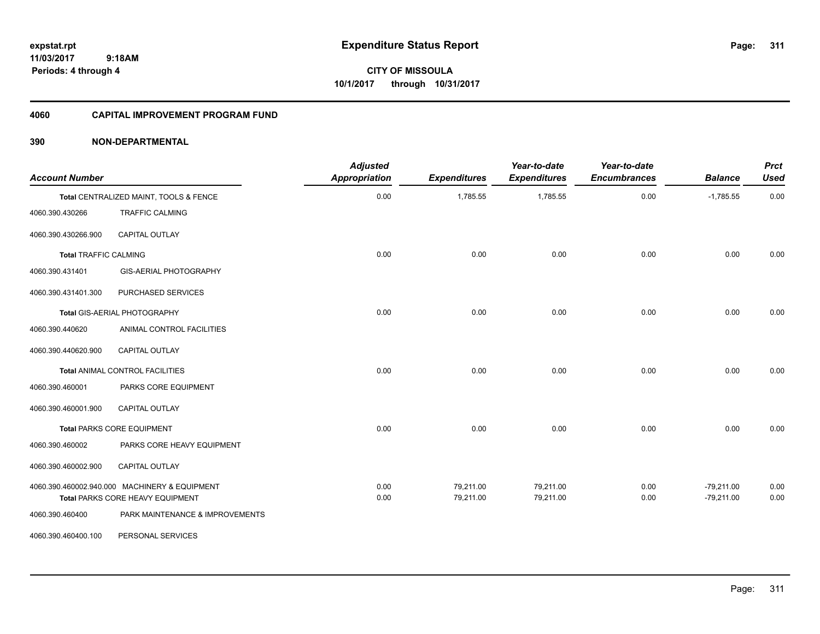**CITY OF MISSOULA 10/1/2017 through 10/31/2017**

#### **4060 CAPITAL IMPROVEMENT PROGRAM FUND**

| <b>Account Number</b>        |                                               | <b>Adjusted</b><br><b>Appropriation</b> | <b>Expenditures</b> | Year-to-date<br><b>Expenditures</b> | Year-to-date<br><b>Encumbrances</b> | <b>Balance</b> | <b>Prct</b><br><b>Used</b> |
|------------------------------|-----------------------------------------------|-----------------------------------------|---------------------|-------------------------------------|-------------------------------------|----------------|----------------------------|
|                              | Total CENTRALIZED MAINT, TOOLS & FENCE        | 0.00                                    | 1,785.55            | 1,785.55                            | 0.00                                | $-1,785.55$    | 0.00                       |
| 4060.390.430266              | <b>TRAFFIC CALMING</b>                        |                                         |                     |                                     |                                     |                |                            |
| 4060.390.430266.900          | <b>CAPITAL OUTLAY</b>                         |                                         |                     |                                     |                                     |                |                            |
| <b>Total TRAFFIC CALMING</b> |                                               | 0.00                                    | 0.00                | 0.00                                | 0.00                                | 0.00           | 0.00                       |
| 4060.390.431401              | <b>GIS-AERIAL PHOTOGRAPHY</b>                 |                                         |                     |                                     |                                     |                |                            |
| 4060.390.431401.300          | PURCHASED SERVICES                            |                                         |                     |                                     |                                     |                |                            |
|                              | Total GIS-AERIAL PHOTOGRAPHY                  | 0.00                                    | 0.00                | 0.00                                | 0.00                                | 0.00           | 0.00                       |
| 4060.390.440620              | ANIMAL CONTROL FACILITIES                     |                                         |                     |                                     |                                     |                |                            |
| 4060.390.440620.900          | <b>CAPITAL OUTLAY</b>                         |                                         |                     |                                     |                                     |                |                            |
|                              | Total ANIMAL CONTROL FACILITIES               | 0.00                                    | 0.00                | 0.00                                | 0.00                                | 0.00           | 0.00                       |
| 4060.390.460001              | PARKS CORE EQUIPMENT                          |                                         |                     |                                     |                                     |                |                            |
| 4060.390.460001.900          | CAPITAL OUTLAY                                |                                         |                     |                                     |                                     |                |                            |
|                              | <b>Total PARKS CORE EQUIPMENT</b>             | 0.00                                    | 0.00                | 0.00                                | 0.00                                | 0.00           | 0.00                       |
| 4060.390.460002              | PARKS CORE HEAVY EQUIPMENT                    |                                         |                     |                                     |                                     |                |                            |
| 4060.390.460002.900          | <b>CAPITAL OUTLAY</b>                         |                                         |                     |                                     |                                     |                |                            |
|                              | 4060.390.460002.940.000 MACHINERY & EQUIPMENT | 0.00                                    | 79,211.00           | 79,211.00                           | 0.00                                | $-79,211.00$   | 0.00                       |
|                              | Total PARKS CORE HEAVY EQUIPMENT              | 0.00                                    | 79,211.00           | 79,211.00                           | 0.00                                | $-79,211.00$   | 0.00                       |
| 4060.390.460400              | PARK MAINTENANCE & IMPROVEMENTS               |                                         |                     |                                     |                                     |                |                            |
| 4060.390.460400.100          | PERSONAL SERVICES                             |                                         |                     |                                     |                                     |                |                            |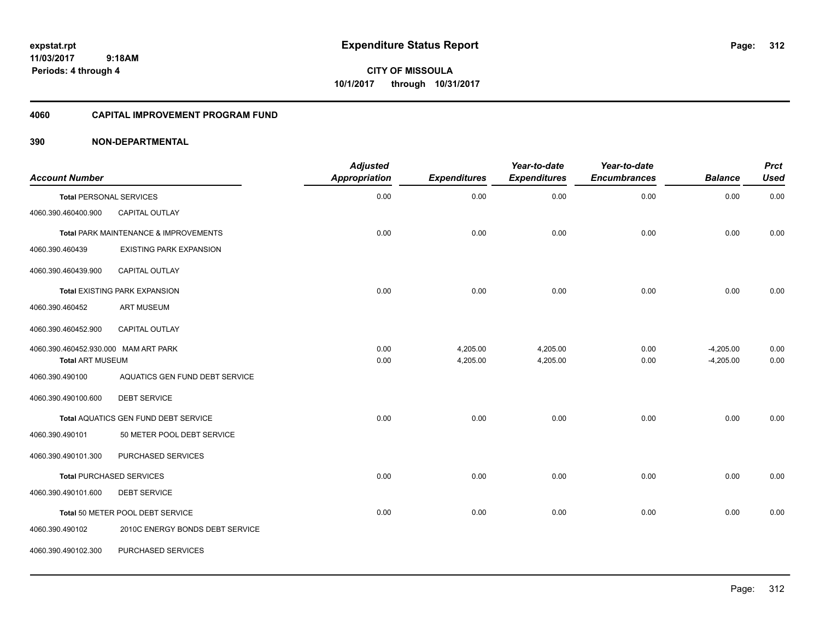**CITY OF MISSOULA 10/1/2017 through 10/31/2017**

#### **4060 CAPITAL IMPROVEMENT PROGRAM FUND**

| <b>Account Number</b>                |                                       | <b>Adjusted</b><br><b>Appropriation</b> | <b>Expenditures</b> | Year-to-date<br><b>Expenditures</b> | Year-to-date<br><b>Encumbrances</b> | <b>Balance</b> | <b>Prct</b><br><b>Used</b> |
|--------------------------------------|---------------------------------------|-----------------------------------------|---------------------|-------------------------------------|-------------------------------------|----------------|----------------------------|
| <b>Total PERSONAL SERVICES</b>       |                                       | 0.00                                    | 0.00                | 0.00                                | 0.00                                | 0.00           | 0.00                       |
| 4060.390.460400.900                  | CAPITAL OUTLAY                        |                                         |                     |                                     |                                     |                |                            |
|                                      | Total PARK MAINTENANCE & IMPROVEMENTS | 0.00                                    | 0.00                | 0.00                                | 0.00                                | 0.00           | 0.00                       |
| 4060.390.460439                      | <b>EXISTING PARK EXPANSION</b>        |                                         |                     |                                     |                                     |                |                            |
| 4060.390.460439.900                  | CAPITAL OUTLAY                        |                                         |                     |                                     |                                     |                |                            |
|                                      | <b>Total EXISTING PARK EXPANSION</b>  | 0.00                                    | 0.00                | 0.00                                | 0.00                                | 0.00           | 0.00                       |
| 4060.390.460452                      | <b>ART MUSEUM</b>                     |                                         |                     |                                     |                                     |                |                            |
| 4060.390.460452.900                  | <b>CAPITAL OUTLAY</b>                 |                                         |                     |                                     |                                     |                |                            |
| 4060.390.460452.930.000 MAM ART PARK |                                       | 0.00                                    | 4,205.00            | 4,205.00                            | 0.00                                | $-4,205.00$    | 0.00                       |
| <b>Total ART MUSEUM</b>              |                                       | 0.00                                    | 4,205.00            | 4,205.00                            | 0.00                                | $-4,205.00$    | 0.00                       |
| 4060.390.490100                      | AQUATICS GEN FUND DEBT SERVICE        |                                         |                     |                                     |                                     |                |                            |
| 4060.390.490100.600                  | <b>DEBT SERVICE</b>                   |                                         |                     |                                     |                                     |                |                            |
|                                      | Total AQUATICS GEN FUND DEBT SERVICE  | 0.00                                    | 0.00                | 0.00                                | 0.00                                | 0.00           | 0.00                       |
| 4060.390.490101                      | 50 METER POOL DEBT SERVICE            |                                         |                     |                                     |                                     |                |                            |
| 4060.390.490101.300                  | PURCHASED SERVICES                    |                                         |                     |                                     |                                     |                |                            |
|                                      | <b>Total PURCHASED SERVICES</b>       | 0.00                                    | 0.00                | 0.00                                | 0.00                                | 0.00           | 0.00                       |
| 4060.390.490101.600                  | <b>DEBT SERVICE</b>                   |                                         |                     |                                     |                                     |                |                            |
|                                      | Total 50 METER POOL DEBT SERVICE      | 0.00                                    | 0.00                | 0.00                                | 0.00                                | 0.00           | 0.00                       |
| 4060.390.490102                      | 2010C ENERGY BONDS DEBT SERVICE       |                                         |                     |                                     |                                     |                |                            |
| 4060.390.490102.300                  | PURCHASED SERVICES                    |                                         |                     |                                     |                                     |                |                            |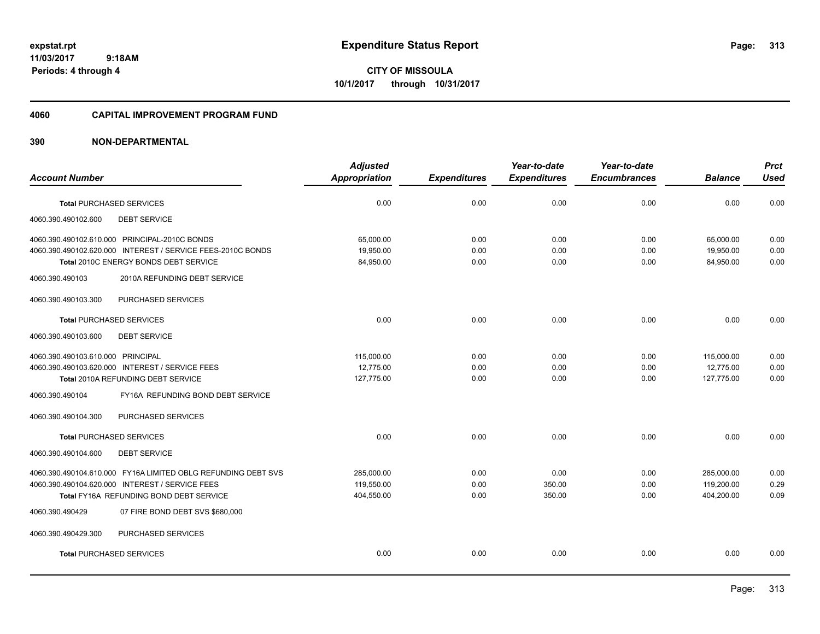**CITY OF MISSOULA 10/1/2017 through 10/31/2017**

#### **4060 CAPITAL IMPROVEMENT PROGRAM FUND**

| <b>Appropriation</b> | <b>Expenditures</b> | <b>Expenditures</b> | <b>Encumbrances</b> | <b>Balance</b> | <b>Used</b>  |
|----------------------|---------------------|---------------------|---------------------|----------------|--------------|
|                      |                     |                     |                     |                |              |
|                      | 0.00                | 0.00                | 0.00                | 0.00           | 0.00         |
|                      |                     |                     |                     |                |              |
| 65,000.00            | 0.00                | 0.00                | 0.00                | 65,000.00      | 0.00         |
| 84,950.00            | 0.00                | 0.00                | 0.00                | 84,950.00      | 0.00<br>0.00 |
|                      |                     |                     |                     |                |              |
|                      |                     |                     |                     |                |              |
| 0.00                 | 0.00                | 0.00                | 0.00                | 0.00           | 0.00         |
|                      |                     |                     |                     |                |              |
| 115.000.00           | 0.00                | 0.00                | 0.00                | 115,000.00     | 0.00         |
| 12.775.00            | 0.00                | 0.00                | 0.00                | 12,775.00      | 0.00         |
| 127,775.00           | 0.00                | 0.00                | 0.00                | 127,775.00     | 0.00         |
|                      |                     |                     |                     |                |              |
|                      |                     |                     |                     |                |              |
| 0.00                 | 0.00                | 0.00                | 0.00                | 0.00           | 0.00         |
|                      |                     |                     |                     |                |              |
| 285,000.00           | 0.00                | 0.00                | 0.00                | 285,000.00     | 0.00         |
| 119,550.00           | 0.00                | 350.00              | 0.00                | 119,200.00     | 0.29         |
| 404,550.00           | 0.00                | 350.00              | 0.00                | 404,200.00     | 0.09         |
|                      |                     |                     |                     |                |              |
|                      |                     |                     |                     |                |              |
| 0.00                 | 0.00                | 0.00                | 0.00                | 0.00           | 0.00         |
|                      | 0.00<br>19.950.00   | 0.00                | 0.00                | 0.00           | 19,950.00    |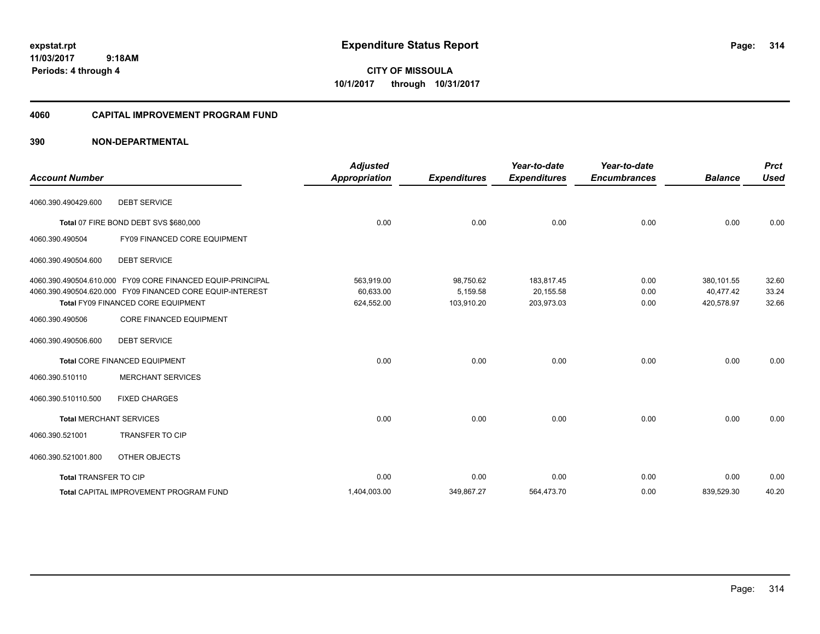**CITY OF MISSOULA 10/1/2017 through 10/31/2017**

#### **4060 CAPITAL IMPROVEMENT PROGRAM FUND**

| <b>Account Number</b>                                                                                                                                         | <b>Adjusted</b><br><b>Appropriation</b> | <b>Expenditures</b>                 | Year-to-date<br><b>Expenditures</b>   | Year-to-date<br><b>Encumbrances</b> | <b>Balance</b>                        | <b>Prct</b><br><b>Used</b> |
|---------------------------------------------------------------------------------------------------------------------------------------------------------------|-----------------------------------------|-------------------------------------|---------------------------------------|-------------------------------------|---------------------------------------|----------------------------|
| <b>DEBT SERVICE</b><br>4060.390.490429.600                                                                                                                    |                                         |                                     |                                       |                                     |                                       |                            |
| Total 07 FIRE BOND DEBT SVS \$680,000                                                                                                                         | 0.00                                    | 0.00                                | 0.00                                  | 0.00                                | 0.00                                  | 0.00                       |
| FY09 FINANCED CORE EQUIPMENT<br>4060.390.490504                                                                                                               |                                         |                                     |                                       |                                     |                                       |                            |
| 4060.390.490504.600<br><b>DEBT SERVICE</b>                                                                                                                    |                                         |                                     |                                       |                                     |                                       |                            |
| 4060.390.490504.610.000 FY09 CORE FINANCED EQUIP-PRINCIPAL<br>4060.390.490504.620.000 FY09 FINANCED CORE EQUIP-INTEREST<br>Total FY09 FINANCED CORE EQUIPMENT | 563,919.00<br>60,633.00<br>624,552.00   | 98,750.62<br>5,159.58<br>103,910.20 | 183,817.45<br>20,155.58<br>203,973.03 | 0.00<br>0.00<br>0.00                | 380,101.55<br>40,477.42<br>420,578.97 | 32.60<br>33.24<br>32.66    |
| 4060.390.490506<br><b>CORE FINANCED EQUIPMENT</b>                                                                                                             |                                         |                                     |                                       |                                     |                                       |                            |
| <b>DEBT SERVICE</b><br>4060.390.490506.600                                                                                                                    |                                         |                                     |                                       |                                     |                                       |                            |
| Total CORE FINANCED EQUIPMENT                                                                                                                                 | 0.00                                    | 0.00                                | 0.00                                  | 0.00                                | 0.00                                  | 0.00                       |
| <b>MERCHANT SERVICES</b><br>4060.390.510110                                                                                                                   |                                         |                                     |                                       |                                     |                                       |                            |
| <b>FIXED CHARGES</b><br>4060.390.510110.500                                                                                                                   |                                         |                                     |                                       |                                     |                                       |                            |
| <b>Total MERCHANT SERVICES</b>                                                                                                                                | 0.00                                    | 0.00                                | 0.00                                  | 0.00                                | 0.00                                  | 0.00                       |
| <b>TRANSFER TO CIP</b><br>4060.390.521001                                                                                                                     |                                         |                                     |                                       |                                     |                                       |                            |
| 4060.390.521001.800<br>OTHER OBJECTS                                                                                                                          |                                         |                                     |                                       |                                     |                                       |                            |
| <b>Total TRANSFER TO CIP</b>                                                                                                                                  | 0.00                                    | 0.00                                | 0.00                                  | 0.00                                | 0.00                                  | 0.00                       |
| <b>Total CAPITAL IMPROVEMENT PROGRAM FUND</b>                                                                                                                 | 1,404,003.00                            | 349,867.27                          | 564,473.70                            | 0.00                                | 839,529.30                            | 40.20                      |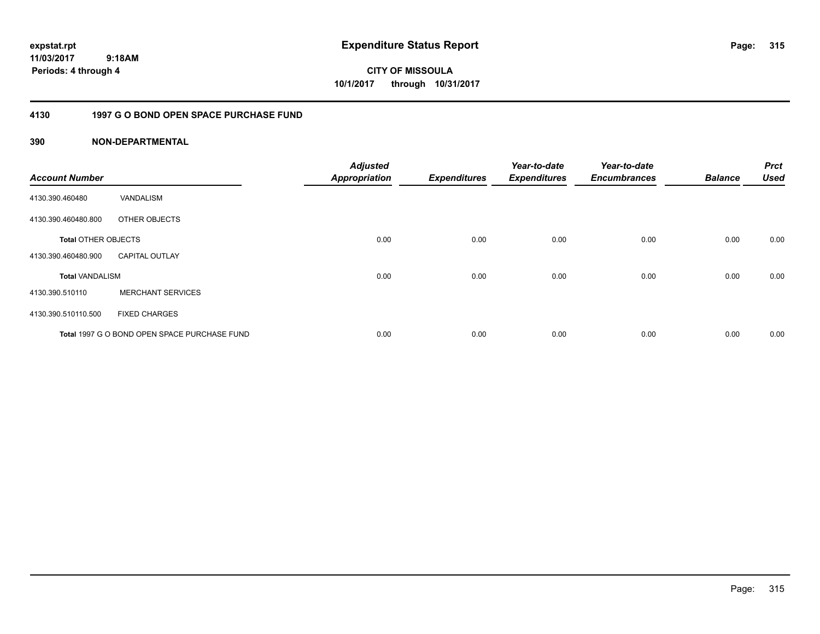**CITY OF MISSOULA 10/1/2017 through 10/31/2017**

## **4130 1997 G O BOND OPEN SPACE PURCHASE FUND**

| <b>Account Number</b>      |                                              | <b>Adjusted</b><br><b>Appropriation</b> | <b>Expenditures</b> | Year-to-date<br><b>Expenditures</b> | Year-to-date<br><b>Encumbrances</b> | <b>Balance</b> | <b>Prct</b><br><b>Used</b> |
|----------------------------|----------------------------------------------|-----------------------------------------|---------------------|-------------------------------------|-------------------------------------|----------------|----------------------------|
| 4130.390.460480            | VANDALISM                                    |                                         |                     |                                     |                                     |                |                            |
| 4130.390.460480.800        | OTHER OBJECTS                                |                                         |                     |                                     |                                     |                |                            |
| <b>Total OTHER OBJECTS</b> |                                              | 0.00                                    | 0.00                | 0.00                                | 0.00                                | 0.00           | 0.00                       |
| 4130.390.460480.900        | <b>CAPITAL OUTLAY</b>                        |                                         |                     |                                     |                                     |                |                            |
| <b>Total VANDALISM</b>     |                                              | 0.00                                    | 0.00                | 0.00                                | 0.00                                | 0.00           | 0.00                       |
| 4130.390.510110            | <b>MERCHANT SERVICES</b>                     |                                         |                     |                                     |                                     |                |                            |
| 4130.390.510110.500        | <b>FIXED CHARGES</b>                         |                                         |                     |                                     |                                     |                |                            |
|                            | Total 1997 G O BOND OPEN SPACE PURCHASE FUND | 0.00                                    | 0.00                | 0.00                                | 0.00                                | 0.00           | 0.00                       |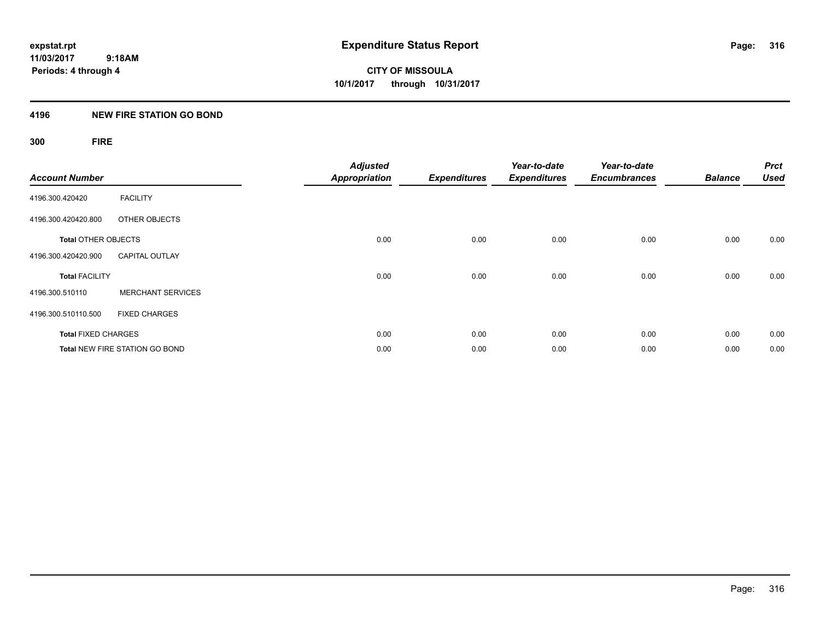## **4196 NEW FIRE STATION GO BOND**

## **300 FIRE**

| <b>Account Number</b>      |                                       | <b>Adjusted</b><br><b>Appropriation</b> | <b>Expenditures</b> | Year-to-date<br><b>Expenditures</b> | Year-to-date<br><b>Encumbrances</b> | <b>Balance</b> | <b>Prct</b><br><b>Used</b> |
|----------------------------|---------------------------------------|-----------------------------------------|---------------------|-------------------------------------|-------------------------------------|----------------|----------------------------|
| 4196.300.420420            | <b>FACILITY</b>                       |                                         |                     |                                     |                                     |                |                            |
| 4196.300.420420.800        | OTHER OBJECTS                         |                                         |                     |                                     |                                     |                |                            |
| <b>Total OTHER OBJECTS</b> |                                       | 0.00                                    | 0.00                | 0.00                                | 0.00                                | 0.00           | 0.00                       |
| 4196.300.420420.900        | <b>CAPITAL OUTLAY</b>                 |                                         |                     |                                     |                                     |                |                            |
| <b>Total FACILITY</b>      |                                       | 0.00                                    | 0.00                | 0.00                                | 0.00                                | 0.00           | 0.00                       |
| 4196.300.510110            | <b>MERCHANT SERVICES</b>              |                                         |                     |                                     |                                     |                |                            |
| 4196.300.510110.500        | <b>FIXED CHARGES</b>                  |                                         |                     |                                     |                                     |                |                            |
| <b>Total FIXED CHARGES</b> |                                       | 0.00                                    | 0.00                | 0.00                                | 0.00                                | 0.00           | 0.00                       |
|                            | <b>Total NEW FIRE STATION GO BOND</b> | 0.00                                    | 0.00                | 0.00                                | 0.00                                | 0.00           | 0.00                       |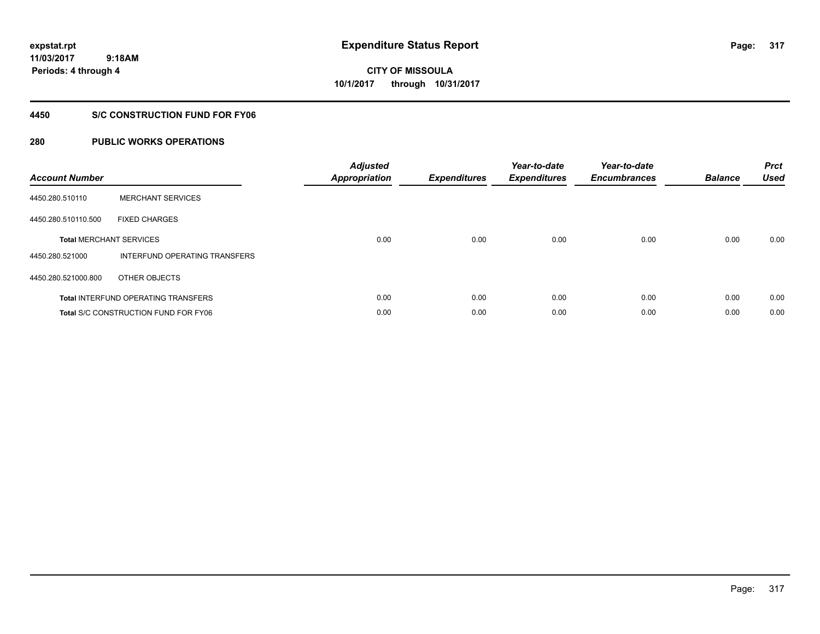**CITY OF MISSOULA 10/1/2017 through 10/31/2017**

### **4450 S/C CONSTRUCTION FUND FOR FY06**

| <b>Account Number</b> |                                             | <b>Adjusted</b><br><b>Appropriation</b> | <b>Expenditures</b> | Year-to-date<br><b>Expenditures</b> | Year-to-date<br><b>Encumbrances</b> | <b>Balance</b> | <b>Prct</b><br><b>Used</b> |
|-----------------------|---------------------------------------------|-----------------------------------------|---------------------|-------------------------------------|-------------------------------------|----------------|----------------------------|
| 4450.280.510110       | <b>MERCHANT SERVICES</b>                    |                                         |                     |                                     |                                     |                |                            |
| 4450.280.510110.500   | <b>FIXED CHARGES</b>                        |                                         |                     |                                     |                                     |                |                            |
|                       | <b>Total MERCHANT SERVICES</b>              | 0.00                                    | 0.00                | 0.00                                | 0.00                                | 0.00           | 0.00                       |
| 4450.280.521000       | INTERFUND OPERATING TRANSFERS               |                                         |                     |                                     |                                     |                |                            |
| 4450.280.521000.800   | OTHER OBJECTS                               |                                         |                     |                                     |                                     |                |                            |
|                       | <b>Total INTERFUND OPERATING TRANSFERS</b>  | 0.00                                    | 0.00                | 0.00                                | 0.00                                | 0.00           | 0.00                       |
|                       | <b>Total S/C CONSTRUCTION FUND FOR FY06</b> | 0.00                                    | 0.00                | 0.00                                | 0.00                                | 0.00           | 0.00                       |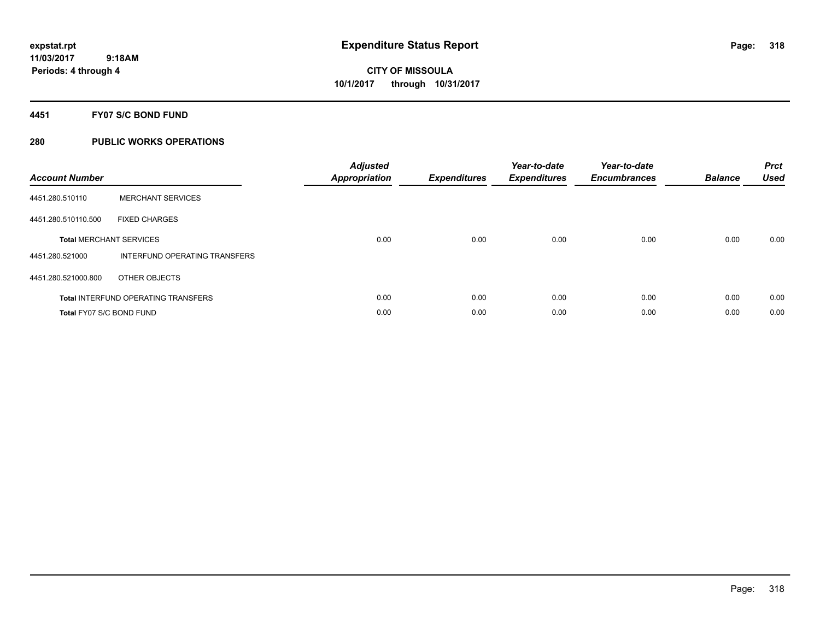### **4451 FY07 S/C BOND FUND**

| <b>Account Number</b>           |                                            | <b>Adjusted</b><br>Appropriation | <b>Expenditures</b> | Year-to-date<br><b>Expenditures</b> | Year-to-date<br><b>Encumbrances</b> | <b>Balance</b> | <b>Prct</b><br><b>Used</b> |
|---------------------------------|--------------------------------------------|----------------------------------|---------------------|-------------------------------------|-------------------------------------|----------------|----------------------------|
| 4451.280.510110                 | <b>MERCHANT SERVICES</b>                   |                                  |                     |                                     |                                     |                |                            |
| 4451.280.510110.500             | <b>FIXED CHARGES</b>                       |                                  |                     |                                     |                                     |                |                            |
|                                 | <b>Total MERCHANT SERVICES</b>             | 0.00                             | 0.00                | 0.00                                | 0.00                                | 0.00           | 0.00                       |
| 4451.280.521000                 | INTERFUND OPERATING TRANSFERS              |                                  |                     |                                     |                                     |                |                            |
| 4451.280.521000.800             | OTHER OBJECTS                              |                                  |                     |                                     |                                     |                |                            |
|                                 | <b>Total INTERFUND OPERATING TRANSFERS</b> | 0.00                             | 0.00                | 0.00                                | 0.00                                | 0.00           | 0.00                       |
| <b>Total FY07 S/C BOND FUND</b> |                                            | 0.00                             | 0.00                | 0.00                                | 0.00                                | 0.00           | 0.00                       |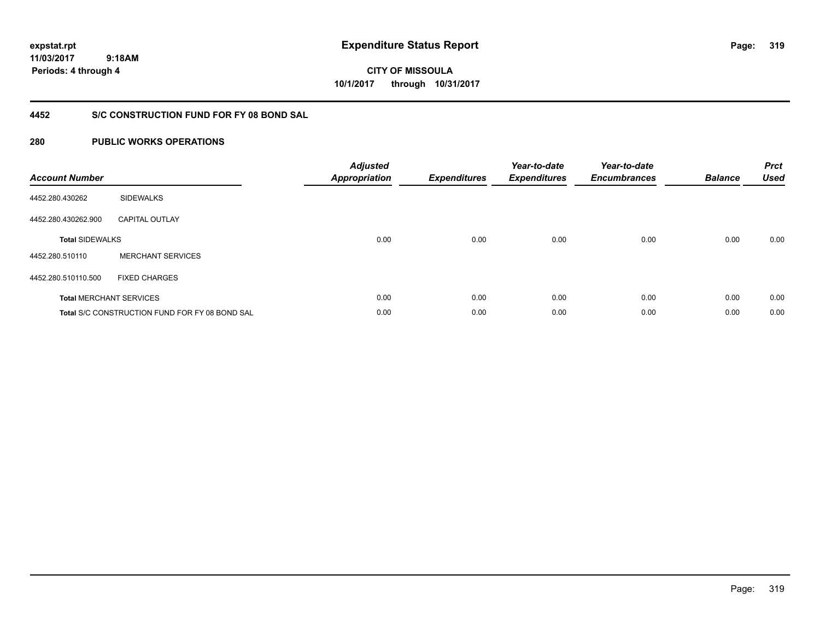**319**

**11/03/2017 9:18AM Periods: 4 through 4**

**CITY OF MISSOULA 10/1/2017 through 10/31/2017**

## **4452 S/C CONSTRUCTION FUND FOR FY 08 BOND SAL**

| <b>Account Number</b>  |                                                       | <b>Adjusted</b><br><b>Appropriation</b> | <b>Expenditures</b> | Year-to-date<br><b>Expenditures</b> | Year-to-date<br><b>Encumbrances</b> | <b>Balance</b> | <b>Prct</b><br><b>Used</b> |
|------------------------|-------------------------------------------------------|-----------------------------------------|---------------------|-------------------------------------|-------------------------------------|----------------|----------------------------|
| 4452.280.430262        | <b>SIDEWALKS</b>                                      |                                         |                     |                                     |                                     |                |                            |
| 4452.280.430262.900    | <b>CAPITAL OUTLAY</b>                                 |                                         |                     |                                     |                                     |                |                            |
| <b>Total SIDEWALKS</b> |                                                       | 0.00                                    | 0.00                | 0.00                                | 0.00                                | 0.00           | 0.00                       |
| 4452.280.510110        | <b>MERCHANT SERVICES</b>                              |                                         |                     |                                     |                                     |                |                            |
| 4452.280.510110.500    | <b>FIXED CHARGES</b>                                  |                                         |                     |                                     |                                     |                |                            |
|                        | <b>Total MERCHANT SERVICES</b>                        | 0.00                                    | 0.00                | 0.00                                | 0.00                                | 0.00           | 0.00                       |
|                        | <b>Total S/C CONSTRUCTION FUND FOR FY 08 BOND SAL</b> | 0.00                                    | 0.00                | 0.00                                | 0.00                                | 0.00           | 0.00                       |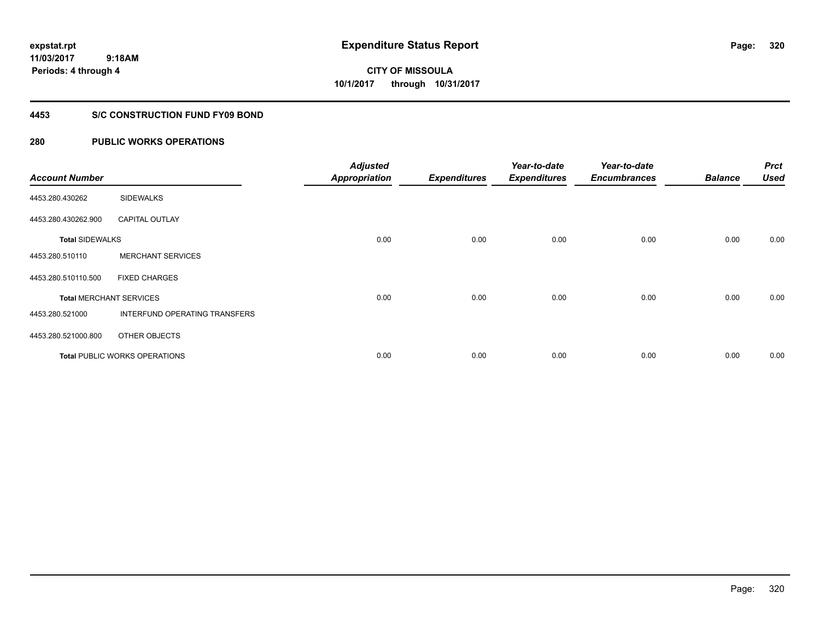**CITY OF MISSOULA 10/1/2017 through 10/31/2017**

### **4453 S/C CONSTRUCTION FUND FY09 BOND**

| <b>Account Number</b>  |                                      | <b>Adjusted</b><br><b>Appropriation</b> | <b>Expenditures</b> | Year-to-date<br><b>Expenditures</b> | Year-to-date<br><b>Encumbrances</b> | <b>Balance</b> | <b>Prct</b><br><b>Used</b> |
|------------------------|--------------------------------------|-----------------------------------------|---------------------|-------------------------------------|-------------------------------------|----------------|----------------------------|
| 4453.280.430262        | <b>SIDEWALKS</b>                     |                                         |                     |                                     |                                     |                |                            |
| 4453.280.430262.900    | <b>CAPITAL OUTLAY</b>                |                                         |                     |                                     |                                     |                |                            |
| <b>Total SIDEWALKS</b> |                                      | 0.00                                    | 0.00                | 0.00                                | 0.00                                | 0.00           | 0.00                       |
| 4453.280.510110        | <b>MERCHANT SERVICES</b>             |                                         |                     |                                     |                                     |                |                            |
| 4453.280.510110.500    | <b>FIXED CHARGES</b>                 |                                         |                     |                                     |                                     |                |                            |
|                        | <b>Total MERCHANT SERVICES</b>       | 0.00                                    | 0.00                | 0.00                                | 0.00                                | 0.00           | 0.00                       |
| 4453.280.521000        | INTERFUND OPERATING TRANSFERS        |                                         |                     |                                     |                                     |                |                            |
| 4453.280.521000.800    | OTHER OBJECTS                        |                                         |                     |                                     |                                     |                |                            |
|                        | <b>Total PUBLIC WORKS OPERATIONS</b> | 0.00                                    | 0.00                | 0.00                                | 0.00                                | 0.00           | 0.00                       |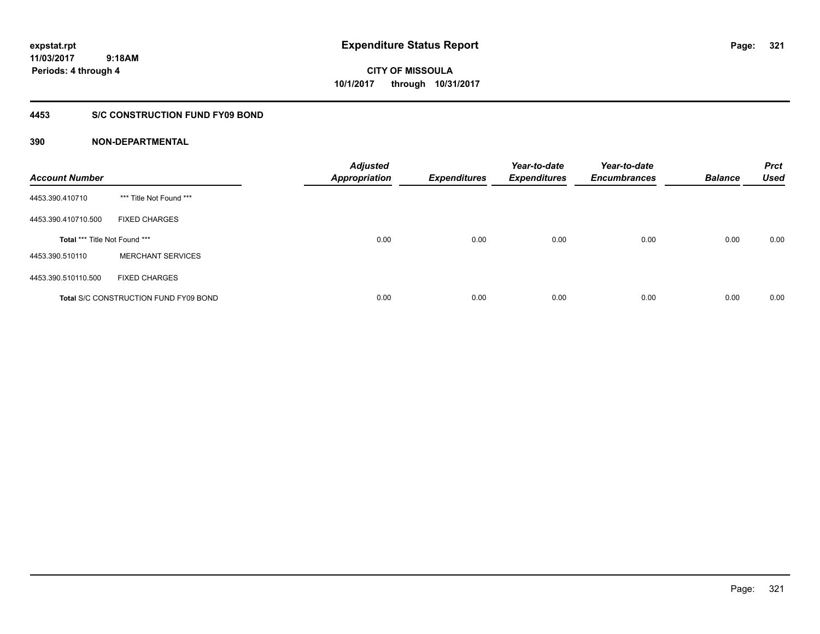**expstat.rpt Expenditure Status Report Page:**

**11/03/2017 9:18AM Periods: 4 through 4**

**CITY OF MISSOULA 10/1/2017 through 10/31/2017**

### **4453 S/C CONSTRUCTION FUND FY09 BOND**

| <b>Account Number</b>         |                                              | <b>Adjusted</b><br><b>Appropriation</b> | <b>Expenditures</b> | Year-to-date<br><b>Expenditures</b> | Year-to-date<br><b>Encumbrances</b> | <b>Balance</b> | <b>Prct</b><br><b>Used</b> |
|-------------------------------|----------------------------------------------|-----------------------------------------|---------------------|-------------------------------------|-------------------------------------|----------------|----------------------------|
| 4453.390.410710               | *** Title Not Found ***                      |                                         |                     |                                     |                                     |                |                            |
| 4453.390.410710.500           | <b>FIXED CHARGES</b>                         |                                         |                     |                                     |                                     |                |                            |
| Total *** Title Not Found *** |                                              | 0.00                                    | 0.00                | 0.00                                | 0.00                                | 0.00           | 0.00                       |
| 4453.390.510110               | <b>MERCHANT SERVICES</b>                     |                                         |                     |                                     |                                     |                |                            |
| 4453.390.510110.500           | <b>FIXED CHARGES</b>                         |                                         |                     |                                     |                                     |                |                            |
|                               | <b>Total S/C CONSTRUCTION FUND FY09 BOND</b> | 0.00                                    | 0.00                | 0.00                                | 0.00                                | 0.00           | 0.00                       |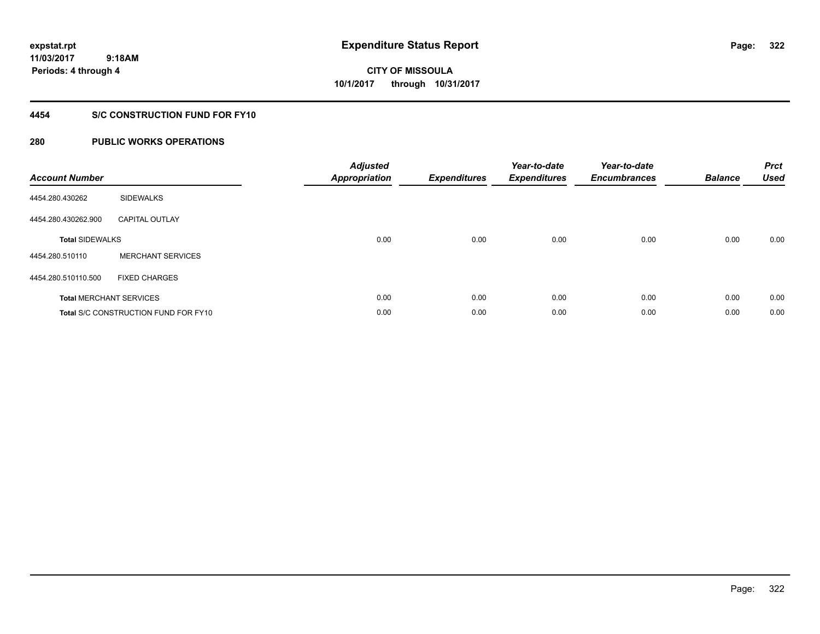**322**

**11/03/2017 9:18AM Periods: 4 through 4**

# **CITY OF MISSOULA 10/1/2017 through 10/31/2017**

## **4454 S/C CONSTRUCTION FUND FOR FY10**

| <b>Account Number</b>  |                                             | <b>Adjusted</b><br>Appropriation | <b>Expenditures</b> | Year-to-date<br><b>Expenditures</b> | Year-to-date<br><b>Encumbrances</b> | <b>Balance</b> | <b>Prct</b><br><b>Used</b> |
|------------------------|---------------------------------------------|----------------------------------|---------------------|-------------------------------------|-------------------------------------|----------------|----------------------------|
| 4454.280.430262        | <b>SIDEWALKS</b>                            |                                  |                     |                                     |                                     |                |                            |
| 4454.280.430262.900    | <b>CAPITAL OUTLAY</b>                       |                                  |                     |                                     |                                     |                |                            |
| <b>Total SIDEWALKS</b> |                                             | 0.00                             | 0.00                | 0.00                                | 0.00                                | 0.00           | 0.00                       |
| 4454.280.510110        | <b>MERCHANT SERVICES</b>                    |                                  |                     |                                     |                                     |                |                            |
| 4454.280.510110.500    | <b>FIXED CHARGES</b>                        |                                  |                     |                                     |                                     |                |                            |
|                        | <b>Total MERCHANT SERVICES</b>              | 0.00                             | 0.00                | 0.00                                | 0.00                                | 0.00           | 0.00                       |
|                        | <b>Total S/C CONSTRUCTION FUND FOR FY10</b> | 0.00                             | 0.00                | 0.00                                | 0.00                                | 0.00           | 0.00                       |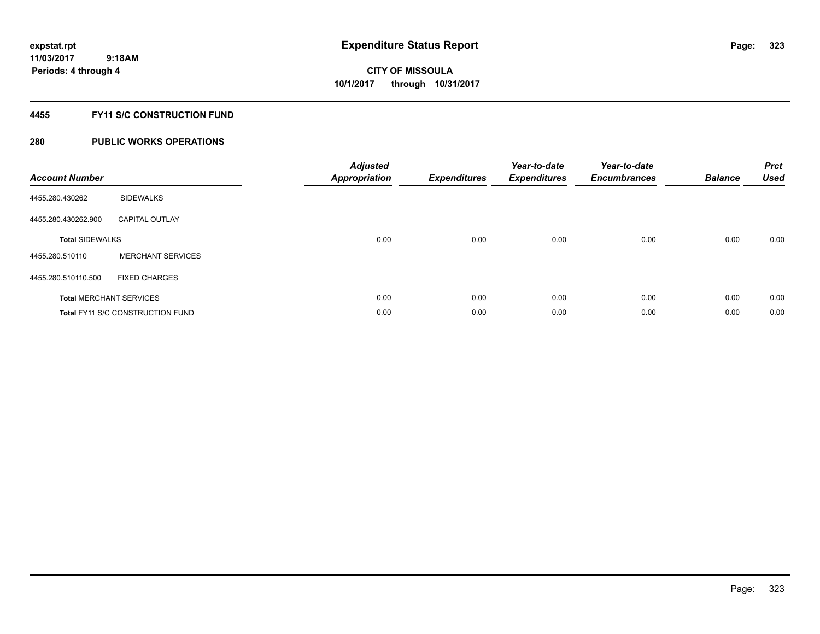## **4455 FY11 S/C CONSTRUCTION FUND**

| <b>Account Number</b>  |                                         | <b>Adjusted</b><br>Appropriation | <b>Expenditures</b> | Year-to-date<br><b>Expenditures</b> | Year-to-date<br><b>Encumbrances</b> | <b>Balance</b> | <b>Prct</b><br><b>Used</b> |
|------------------------|-----------------------------------------|----------------------------------|---------------------|-------------------------------------|-------------------------------------|----------------|----------------------------|
| 4455.280.430262        | <b>SIDEWALKS</b>                        |                                  |                     |                                     |                                     |                |                            |
| 4455.280.430262.900    | <b>CAPITAL OUTLAY</b>                   |                                  |                     |                                     |                                     |                |                            |
| <b>Total SIDEWALKS</b> |                                         | 0.00                             | 0.00                | 0.00                                | 0.00                                | 0.00           | 0.00                       |
| 4455.280.510110        | <b>MERCHANT SERVICES</b>                |                                  |                     |                                     |                                     |                |                            |
| 4455.280.510110.500    | <b>FIXED CHARGES</b>                    |                                  |                     |                                     |                                     |                |                            |
|                        | <b>Total MERCHANT SERVICES</b>          | 0.00                             | 0.00                | 0.00                                | 0.00                                | 0.00           | 0.00                       |
|                        | <b>Total FY11 S/C CONSTRUCTION FUND</b> | 0.00                             | 0.00                | 0.00                                | 0.00                                | 0.00           | 0.00                       |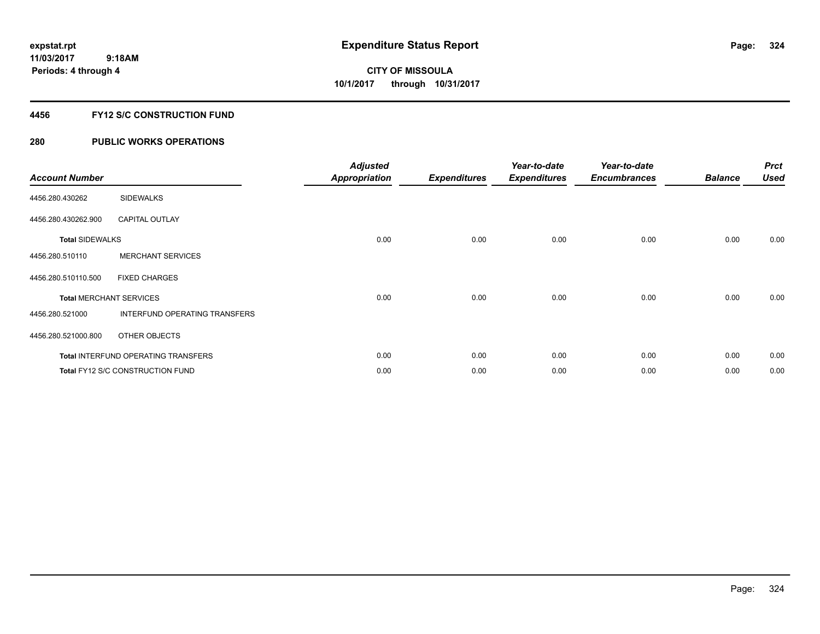### **4456 FY12 S/C CONSTRUCTION FUND**

| <b>Account Number</b>          |                                            | <b>Adjusted</b><br><b>Appropriation</b> | <b>Expenditures</b> | Year-to-date<br><b>Expenditures</b> | Year-to-date<br><b>Encumbrances</b> | <b>Balance</b> | <b>Prct</b><br><b>Used</b> |
|--------------------------------|--------------------------------------------|-----------------------------------------|---------------------|-------------------------------------|-------------------------------------|----------------|----------------------------|
| 4456.280.430262                | <b>SIDEWALKS</b>                           |                                         |                     |                                     |                                     |                |                            |
| 4456.280.430262.900            | <b>CAPITAL OUTLAY</b>                      |                                         |                     |                                     |                                     |                |                            |
| <b>Total SIDEWALKS</b>         |                                            | 0.00                                    | 0.00                | 0.00                                | 0.00                                | 0.00           | 0.00                       |
| 4456.280.510110                | <b>MERCHANT SERVICES</b>                   |                                         |                     |                                     |                                     |                |                            |
| 4456.280.510110.500            | <b>FIXED CHARGES</b>                       |                                         |                     |                                     |                                     |                |                            |
| <b>Total MERCHANT SERVICES</b> |                                            | 0.00                                    | 0.00                | 0.00                                | 0.00                                | 0.00           | 0.00                       |
| 4456.280.521000                | INTERFUND OPERATING TRANSFERS              |                                         |                     |                                     |                                     |                |                            |
| 4456.280.521000.800            | OTHER OBJECTS                              |                                         |                     |                                     |                                     |                |                            |
|                                | <b>Total INTERFUND OPERATING TRANSFERS</b> | 0.00                                    | 0.00                | 0.00                                | 0.00                                | 0.00           | 0.00                       |
|                                | Total FY12 S/C CONSTRUCTION FUND           | 0.00                                    | 0.00                | 0.00                                | 0.00                                | 0.00           | 0.00                       |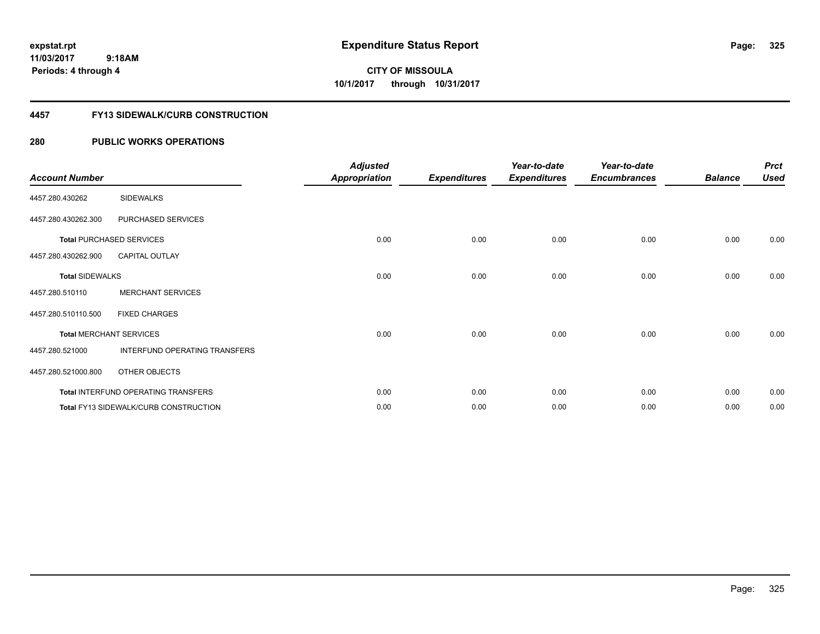**325**

**11/03/2017 9:18AM Periods: 4 through 4**

**CITY OF MISSOULA 10/1/2017 through 10/31/2017**

### **4457 FY13 SIDEWALK/CURB CONSTRUCTION**

| <b>Account Number</b>  |                                              | <b>Adjusted</b><br><b>Appropriation</b> | <b>Expenditures</b> | Year-to-date<br><b>Expenditures</b> | Year-to-date<br><b>Encumbrances</b> | <b>Balance</b> | <b>Prct</b><br><b>Used</b> |
|------------------------|----------------------------------------------|-----------------------------------------|---------------------|-------------------------------------|-------------------------------------|----------------|----------------------------|
| 4457.280.430262        | <b>SIDEWALKS</b>                             |                                         |                     |                                     |                                     |                |                            |
| 4457.280.430262.300    | PURCHASED SERVICES                           |                                         |                     |                                     |                                     |                |                            |
|                        | <b>Total PURCHASED SERVICES</b>              | 0.00                                    | 0.00                | 0.00                                | 0.00                                | 0.00           | 0.00                       |
| 4457.280.430262.900    | <b>CAPITAL OUTLAY</b>                        |                                         |                     |                                     |                                     |                |                            |
| <b>Total SIDEWALKS</b> |                                              | 0.00                                    | 0.00                | 0.00                                | 0.00                                | 0.00           | 0.00                       |
| 4457.280.510110        | <b>MERCHANT SERVICES</b>                     |                                         |                     |                                     |                                     |                |                            |
| 4457.280.510110.500    | <b>FIXED CHARGES</b>                         |                                         |                     |                                     |                                     |                |                            |
|                        | <b>Total MERCHANT SERVICES</b>               | 0.00                                    | 0.00                | 0.00                                | 0.00                                | 0.00           | 0.00                       |
| 4457.280.521000        | INTERFUND OPERATING TRANSFERS                |                                         |                     |                                     |                                     |                |                            |
| 4457.280.521000.800    | OTHER OBJECTS                                |                                         |                     |                                     |                                     |                |                            |
|                        | Total INTERFUND OPERATING TRANSFERS          | 0.00                                    | 0.00                | 0.00                                | 0.00                                | 0.00           | 0.00                       |
|                        | <b>Total FY13 SIDEWALK/CURB CONSTRUCTION</b> | 0.00                                    | 0.00                | 0.00                                | 0.00                                | 0.00           | 0.00                       |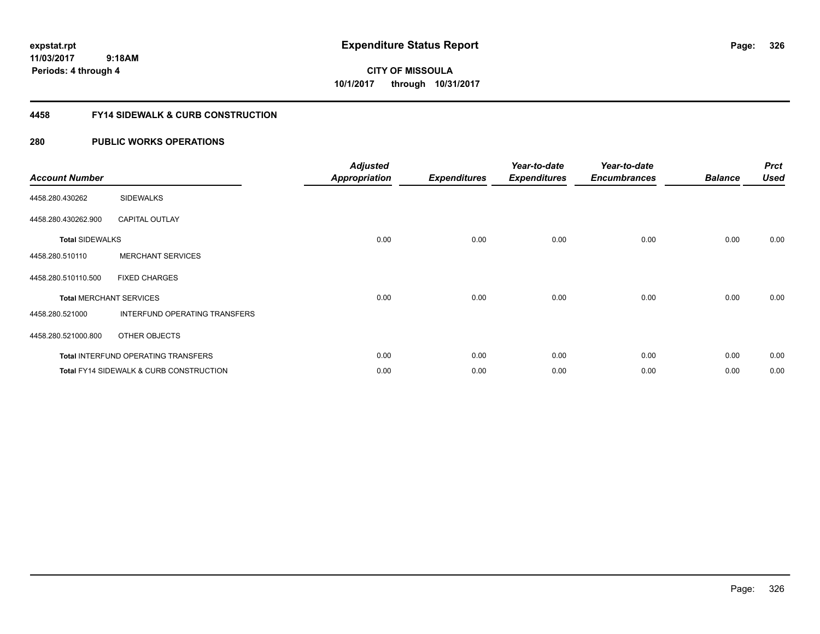**CITY OF MISSOULA 10/1/2017 through 10/31/2017**

### **4458 FY14 SIDEWALK & CURB CONSTRUCTION**

| <b>Account Number</b>  |                                                    | <b>Adjusted</b><br><b>Appropriation</b> | <b>Expenditures</b> | Year-to-date<br><b>Expenditures</b> | Year-to-date<br><b>Encumbrances</b> | <b>Balance</b> | <b>Prct</b><br><b>Used</b> |
|------------------------|----------------------------------------------------|-----------------------------------------|---------------------|-------------------------------------|-------------------------------------|----------------|----------------------------|
| 4458.280.430262        | <b>SIDEWALKS</b>                                   |                                         |                     |                                     |                                     |                |                            |
| 4458.280.430262.900    | <b>CAPITAL OUTLAY</b>                              |                                         |                     |                                     |                                     |                |                            |
| <b>Total SIDEWALKS</b> |                                                    | 0.00                                    | 0.00                | 0.00                                | 0.00                                | 0.00           | 0.00                       |
| 4458.280.510110        | <b>MERCHANT SERVICES</b>                           |                                         |                     |                                     |                                     |                |                            |
| 4458.280.510110.500    | <b>FIXED CHARGES</b>                               |                                         |                     |                                     |                                     |                |                            |
|                        | <b>Total MERCHANT SERVICES</b>                     | 0.00                                    | 0.00                | 0.00                                | 0.00                                | 0.00           | 0.00                       |
| 4458.280.521000        | INTERFUND OPERATING TRANSFERS                      |                                         |                     |                                     |                                     |                |                            |
| 4458.280.521000.800    | OTHER OBJECTS                                      |                                         |                     |                                     |                                     |                |                            |
|                        | <b>Total INTERFUND OPERATING TRANSFERS</b>         | 0.00                                    | 0.00                | 0.00                                | 0.00                                | 0.00           | 0.00                       |
|                        | <b>Total FY14 SIDEWALK &amp; CURB CONSTRUCTION</b> | 0.00                                    | 0.00                | 0.00                                | 0.00                                | 0.00           | 0.00                       |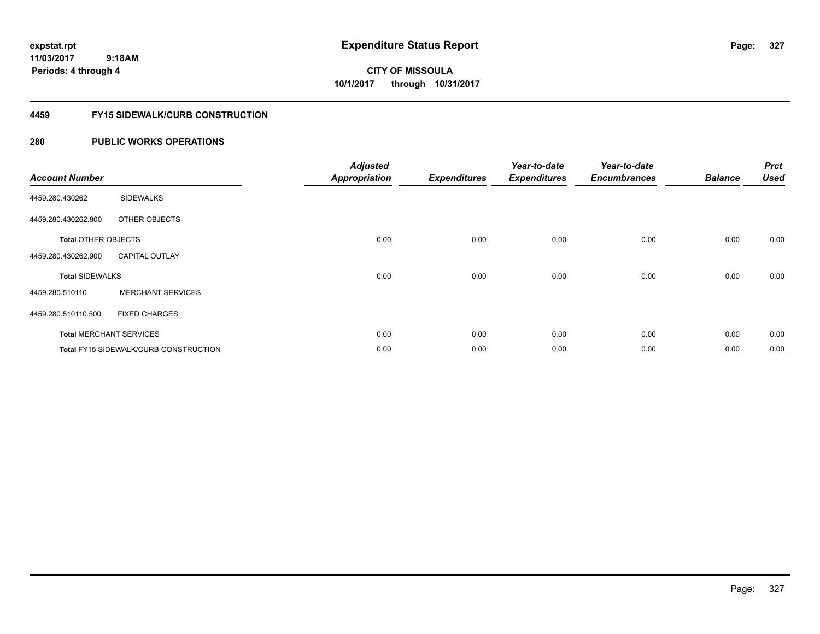**327**

**11/03/2017 9:18AM Periods: 4 through 4**

**CITY OF MISSOULA 10/1/2017 through 10/31/2017**

### **4459 FY15 SIDEWALK/CURB CONSTRUCTION**

| <b>Account Number</b>      |                                              | <b>Adjusted</b><br><b>Appropriation</b> | <b>Expenditures</b> | Year-to-date<br><b>Expenditures</b> | Year-to-date<br><b>Encumbrances</b> | <b>Balance</b> | <b>Prct</b><br><b>Used</b> |
|----------------------------|----------------------------------------------|-----------------------------------------|---------------------|-------------------------------------|-------------------------------------|----------------|----------------------------|
| 4459.280.430262            | <b>SIDEWALKS</b>                             |                                         |                     |                                     |                                     |                |                            |
| 4459.280.430262.800        | OTHER OBJECTS                                |                                         |                     |                                     |                                     |                |                            |
| <b>Total OTHER OBJECTS</b> |                                              | 0.00                                    | 0.00                | 0.00                                | 0.00                                | 0.00           | 0.00                       |
| 4459.280.430262.900        | <b>CAPITAL OUTLAY</b>                        |                                         |                     |                                     |                                     |                |                            |
| <b>Total SIDEWALKS</b>     |                                              | 0.00                                    | 0.00                | 0.00                                | 0.00                                | 0.00           | 0.00                       |
| 4459.280.510110            | <b>MERCHANT SERVICES</b>                     |                                         |                     |                                     |                                     |                |                            |
| 4459.280.510110.500        | <b>FIXED CHARGES</b>                         |                                         |                     |                                     |                                     |                |                            |
|                            | <b>Total MERCHANT SERVICES</b>               | 0.00                                    | 0.00                | 0.00                                | 0.00                                | 0.00           | 0.00                       |
|                            | <b>Total FY15 SIDEWALK/CURB CONSTRUCTION</b> | 0.00                                    | 0.00                | 0.00                                | 0.00                                | 0.00           | 0.00                       |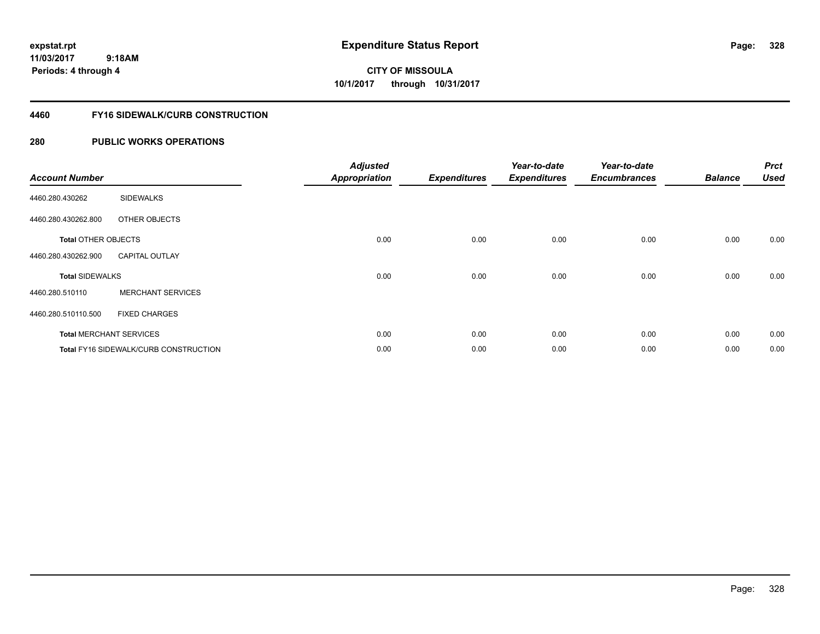**CITY OF MISSOULA 10/1/2017 through 10/31/2017**

### **4460 FY16 SIDEWALK/CURB CONSTRUCTION**

| <b>Account Number</b>      |                                       | <b>Adjusted</b><br><b>Appropriation</b> | <b>Expenditures</b> | Year-to-date<br><b>Expenditures</b> | Year-to-date<br><b>Encumbrances</b> | <b>Balance</b> | <b>Prct</b><br><b>Used</b> |
|----------------------------|---------------------------------------|-----------------------------------------|---------------------|-------------------------------------|-------------------------------------|----------------|----------------------------|
| 4460.280.430262            | <b>SIDEWALKS</b>                      |                                         |                     |                                     |                                     |                |                            |
| 4460.280.430262.800        | OTHER OBJECTS                         |                                         |                     |                                     |                                     |                |                            |
| <b>Total OTHER OBJECTS</b> |                                       | 0.00                                    | 0.00                | 0.00                                | 0.00                                | 0.00           | 0.00                       |
| 4460.280.430262.900        | <b>CAPITAL OUTLAY</b>                 |                                         |                     |                                     |                                     |                |                            |
| <b>Total SIDEWALKS</b>     |                                       | 0.00                                    | 0.00                | 0.00                                | 0.00                                | 0.00           | 0.00                       |
| 4460.280.510110            | <b>MERCHANT SERVICES</b>              |                                         |                     |                                     |                                     |                |                            |
| 4460.280.510110.500        | <b>FIXED CHARGES</b>                  |                                         |                     |                                     |                                     |                |                            |
|                            | <b>Total MERCHANT SERVICES</b>        | 0.00                                    | 0.00                | 0.00                                | 0.00                                | 0.00           | 0.00                       |
|                            | Total FY16 SIDEWALK/CURB CONSTRUCTION | 0.00                                    | 0.00                | 0.00                                | 0.00                                | 0.00           | 0.00                       |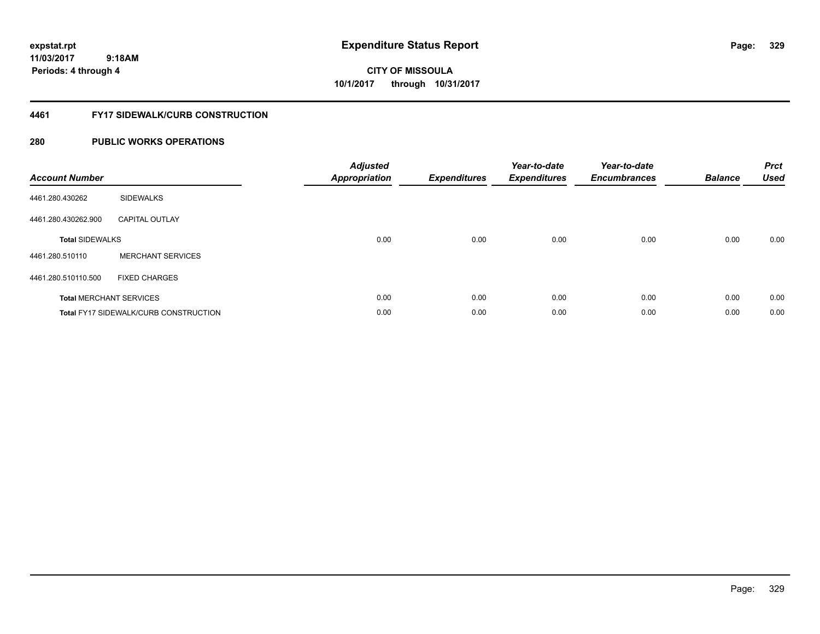**329**

**11/03/2017 9:18AM Periods: 4 through 4**

# **CITY OF MISSOULA 10/1/2017 through 10/31/2017**

### **4461 FY17 SIDEWALK/CURB CONSTRUCTION**

| <b>Account Number</b>          |                                              | <b>Adjusted</b><br><b>Appropriation</b> | <b>Expenditures</b> | Year-to-date<br><b>Expenditures</b> | Year-to-date<br><b>Encumbrances</b> | <b>Balance</b> | <b>Prct</b><br><b>Used</b> |
|--------------------------------|----------------------------------------------|-----------------------------------------|---------------------|-------------------------------------|-------------------------------------|----------------|----------------------------|
| 4461.280.430262                | <b>SIDEWALKS</b>                             |                                         |                     |                                     |                                     |                |                            |
| 4461.280.430262.900            | <b>CAPITAL OUTLAY</b>                        |                                         |                     |                                     |                                     |                |                            |
| <b>Total SIDEWALKS</b>         |                                              | 0.00                                    | 0.00                | 0.00                                | 0.00                                | 0.00           | 0.00                       |
| 4461.280.510110                | <b>MERCHANT SERVICES</b>                     |                                         |                     |                                     |                                     |                |                            |
| 4461.280.510110.500            | <b>FIXED CHARGES</b>                         |                                         |                     |                                     |                                     |                |                            |
| <b>Total MERCHANT SERVICES</b> |                                              | 0.00                                    | 0.00                | 0.00                                | 0.00                                | 0.00           | 0.00                       |
|                                | <b>Total FY17 SIDEWALK/CURB CONSTRUCTION</b> | 0.00                                    | 0.00                | 0.00                                | 0.00                                | 0.00           | 0.00                       |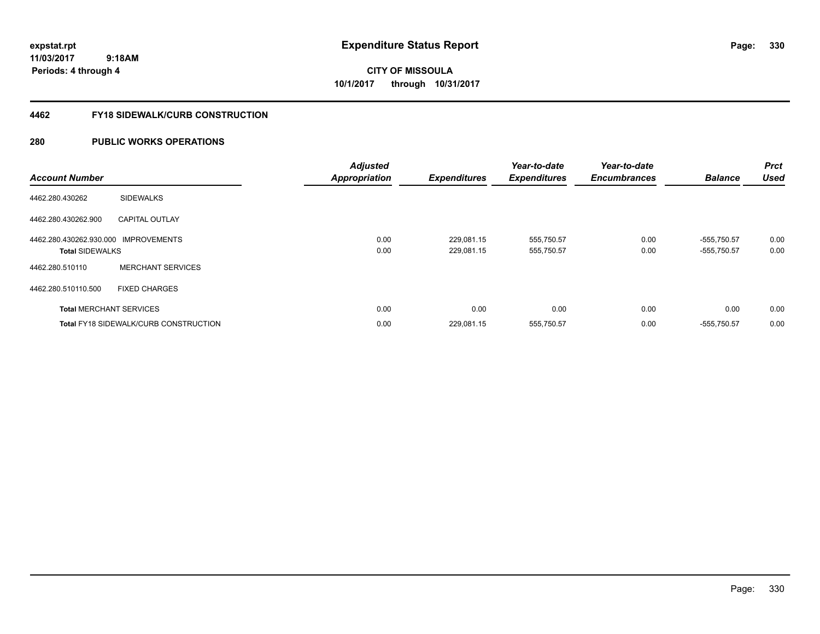**CITY OF MISSOULA 10/1/2017 through 10/31/2017**

### **4462 FY18 SIDEWALK/CURB CONSTRUCTION**

| <b>Account Number</b>                                          |                                              | <b>Adjusted</b><br><b>Appropriation</b> | <b>Expenditures</b>      | Year-to-date<br><b>Expenditures</b> | Year-to-date<br><b>Encumbrances</b> | <b>Balance</b>               | <b>Prct</b><br><b>Used</b> |
|----------------------------------------------------------------|----------------------------------------------|-----------------------------------------|--------------------------|-------------------------------------|-------------------------------------|------------------------------|----------------------------|
| 4462.280.430262                                                | <b>SIDEWALKS</b>                             |                                         |                          |                                     |                                     |                              |                            |
| 4462.280.430262.900                                            | <b>CAPITAL OUTLAY</b>                        |                                         |                          |                                     |                                     |                              |                            |
| 4462.280.430262.930.000 IMPROVEMENTS<br><b>Total SIDEWALKS</b> |                                              | 0.00<br>0.00                            | 229,081.15<br>229.081.15 | 555,750.57<br>555,750.57            | 0.00<br>0.00                        | $-555,750.57$<br>-555.750.57 | 0.00<br>0.00               |
| 4462.280.510110                                                | <b>MERCHANT SERVICES</b>                     |                                         |                          |                                     |                                     |                              |                            |
| 4462.280.510110.500                                            | <b>FIXED CHARGES</b>                         |                                         |                          |                                     |                                     |                              |                            |
|                                                                | <b>Total MERCHANT SERVICES</b>               | 0.00                                    | 0.00                     | 0.00                                | 0.00                                | 0.00                         | 0.00                       |
|                                                                | <b>Total FY18 SIDEWALK/CURB CONSTRUCTION</b> | 0.00                                    | 229,081.15               | 555,750.57                          | 0.00                                | $-555,750.57$                | 0.00                       |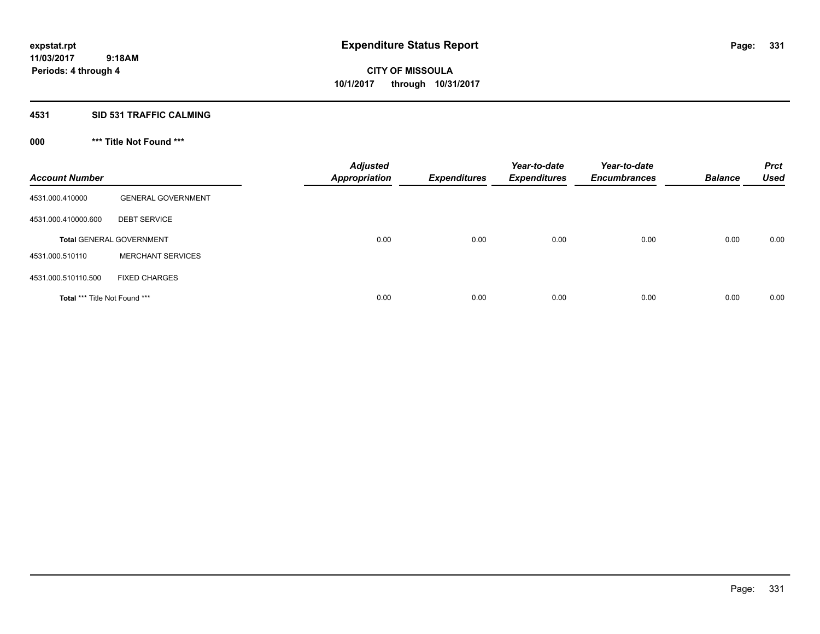### **4531 SID 531 TRAFFIC CALMING**

## **000 \*\*\* Title Not Found \*\*\***

| <b>Account Number</b>         |                                 | <b>Adjusted</b><br><b>Appropriation</b> | <b>Expenditures</b> | Year-to-date<br><b>Expenditures</b> | Year-to-date<br><b>Encumbrances</b> | <b>Balance</b> | <b>Prct</b><br><b>Used</b> |
|-------------------------------|---------------------------------|-----------------------------------------|---------------------|-------------------------------------|-------------------------------------|----------------|----------------------------|
| 4531.000.410000               | <b>GENERAL GOVERNMENT</b>       |                                         |                     |                                     |                                     |                |                            |
| 4531.000.410000.600           | <b>DEBT SERVICE</b>             |                                         |                     |                                     |                                     |                |                            |
|                               | <b>Total GENERAL GOVERNMENT</b> | 0.00                                    | 0.00                | 0.00                                | 0.00                                | 0.00           | 0.00                       |
| 4531.000.510110               | <b>MERCHANT SERVICES</b>        |                                         |                     |                                     |                                     |                |                            |
| 4531.000.510110.500           | <b>FIXED CHARGES</b>            |                                         |                     |                                     |                                     |                |                            |
| Total *** Title Not Found *** |                                 | 0.00                                    | 0.00                | 0.00                                | 0.00                                | 0.00           | 0.00                       |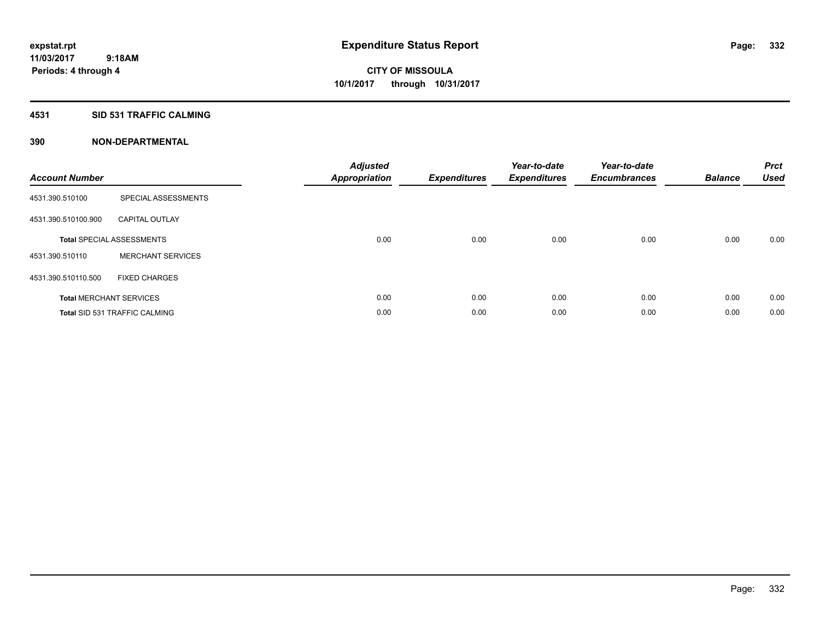### **4531 SID 531 TRAFFIC CALMING**

| <b>Account Number</b> |                                      | <b>Adjusted</b><br>Appropriation | <b>Expenditures</b> | Year-to-date<br><b>Expenditures</b> | Year-to-date<br><b>Encumbrances</b> | <b>Balance</b> | <b>Prct</b><br><b>Used</b> |
|-----------------------|--------------------------------------|----------------------------------|---------------------|-------------------------------------|-------------------------------------|----------------|----------------------------|
| 4531.390.510100       | SPECIAL ASSESSMENTS                  |                                  |                     |                                     |                                     |                |                            |
| 4531.390.510100.900   | <b>CAPITAL OUTLAY</b>                |                                  |                     |                                     |                                     |                |                            |
|                       | <b>Total SPECIAL ASSESSMENTS</b>     | 0.00                             | 0.00                | 0.00                                | 0.00                                | 0.00           | 0.00                       |
| 4531.390.510110       | <b>MERCHANT SERVICES</b>             |                                  |                     |                                     |                                     |                |                            |
| 4531.390.510110.500   | <b>FIXED CHARGES</b>                 |                                  |                     |                                     |                                     |                |                            |
|                       | <b>Total MERCHANT SERVICES</b>       | 0.00                             | 0.00                | 0.00                                | 0.00                                | 0.00           | 0.00                       |
|                       | <b>Total SID 531 TRAFFIC CALMING</b> | 0.00                             | 0.00                | 0.00                                | 0.00                                | 0.00           | 0.00                       |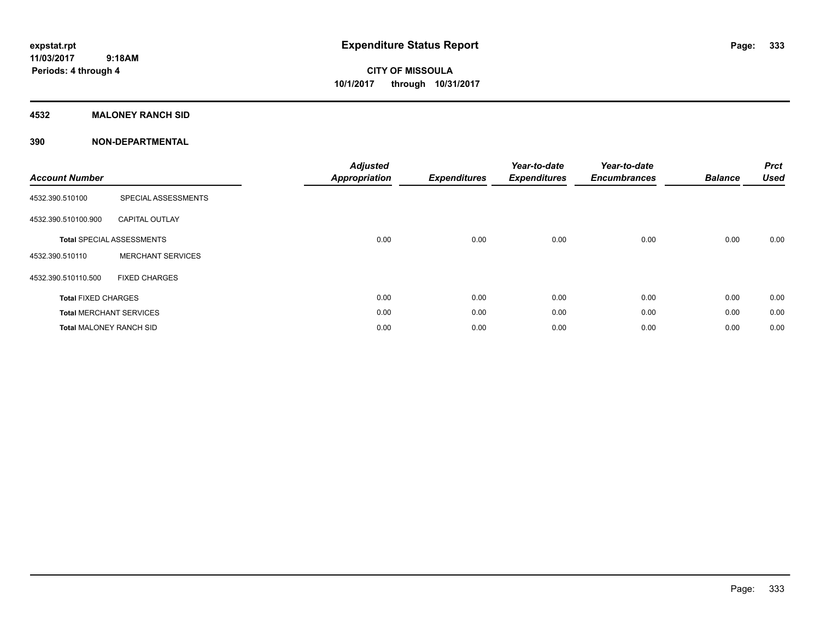**Periods: 4 through 4**

**CITY OF MISSOULA 10/1/2017 through 10/31/2017**

### **4532 MALONEY RANCH SID**

 **9:18AM**

| <b>Account Number</b>          |                                  | <b>Adjusted</b><br><b>Appropriation</b> | <b>Expenditures</b> | Year-to-date<br><b>Expenditures</b> | Year-to-date<br><b>Encumbrances</b> | <b>Balance</b> | <b>Prct</b><br><b>Used</b> |
|--------------------------------|----------------------------------|-----------------------------------------|---------------------|-------------------------------------|-------------------------------------|----------------|----------------------------|
| 4532.390.510100                | SPECIAL ASSESSMENTS              |                                         |                     |                                     |                                     |                |                            |
| 4532.390.510100.900            | <b>CAPITAL OUTLAY</b>            |                                         |                     |                                     |                                     |                |                            |
|                                | <b>Total SPECIAL ASSESSMENTS</b> | 0.00                                    | 0.00                | 0.00                                | 0.00                                | 0.00           | 0.00                       |
| 4532.390.510110                | <b>MERCHANT SERVICES</b>         |                                         |                     |                                     |                                     |                |                            |
| 4532.390.510110.500            | <b>FIXED CHARGES</b>             |                                         |                     |                                     |                                     |                |                            |
| <b>Total FIXED CHARGES</b>     |                                  | 0.00                                    | 0.00                | 0.00                                | 0.00                                | 0.00           | 0.00                       |
|                                | <b>Total MERCHANT SERVICES</b>   | 0.00                                    | 0.00                | 0.00                                | 0.00                                | 0.00           | 0.00                       |
| <b>Total MALONEY RANCH SID</b> |                                  | 0.00                                    | 0.00                | 0.00                                | 0.00                                | 0.00           | 0.00                       |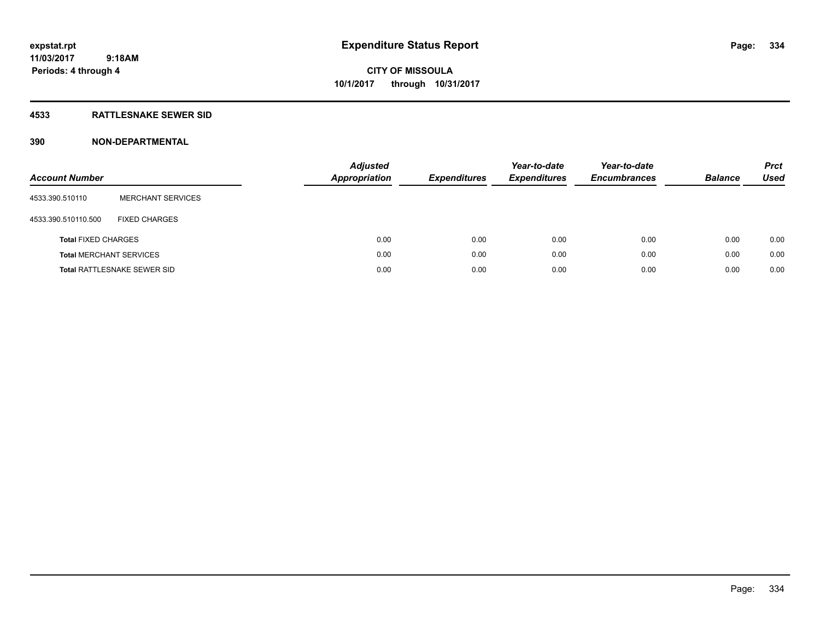### **4533 RATTLESNAKE SEWER SID**

| <b>Account Number</b>      |                                    | <b>Adjusted</b><br><b>Appropriation</b> | <b>Expenditures</b> | Year-to-date<br><b>Expenditures</b> | Year-to-date<br><b>Encumbrances</b> | <b>Balance</b> | <b>Prct</b><br>Used |
|----------------------------|------------------------------------|-----------------------------------------|---------------------|-------------------------------------|-------------------------------------|----------------|---------------------|
| 4533.390.510110            | <b>MERCHANT SERVICES</b>           |                                         |                     |                                     |                                     |                |                     |
| 4533.390.510110.500        | <b>FIXED CHARGES</b>               |                                         |                     |                                     |                                     |                |                     |
| <b>Total FIXED CHARGES</b> |                                    | 0.00                                    | 0.00                | 0.00                                | 0.00                                | 0.00           | 0.00                |
|                            | <b>Total MERCHANT SERVICES</b>     | 0.00                                    | 0.00                | 0.00                                | 0.00                                | 0.00           | 0.00                |
|                            | <b>Total RATTLESNAKE SEWER SID</b> | 0.00                                    | 0.00                | 0.00                                | 0.00                                | 0.00           | 0.00                |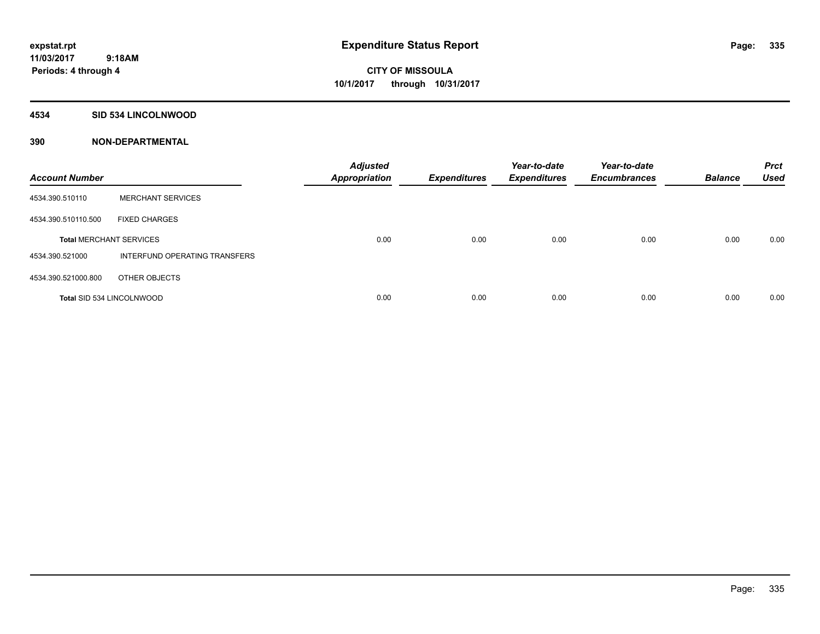### **4534 SID 534 LINCOLNWOOD**

| <b>Account Number</b>          |                               | <b>Adjusted</b><br><b>Appropriation</b> | <b>Expenditures</b> | Year-to-date<br><b>Expenditures</b> | Year-to-date<br><b>Encumbrances</b> | <b>Balance</b> | <b>Prct</b><br><b>Used</b> |
|--------------------------------|-------------------------------|-----------------------------------------|---------------------|-------------------------------------|-------------------------------------|----------------|----------------------------|
| 4534.390.510110                | <b>MERCHANT SERVICES</b>      |                                         |                     |                                     |                                     |                |                            |
| 4534.390.510110.500            | <b>FIXED CHARGES</b>          |                                         |                     |                                     |                                     |                |                            |
| <b>Total MERCHANT SERVICES</b> |                               | 0.00                                    | 0.00                | 0.00                                | 0.00                                | 0.00           | 0.00                       |
| 4534.390.521000                | INTERFUND OPERATING TRANSFERS |                                         |                     |                                     |                                     |                |                            |
| 4534.390.521000.800            | OTHER OBJECTS                 |                                         |                     |                                     |                                     |                |                            |
|                                | Total SID 534 LINCOLNWOOD     | 0.00                                    | 0.00                | 0.00                                | 0.00                                | 0.00           | 0.00                       |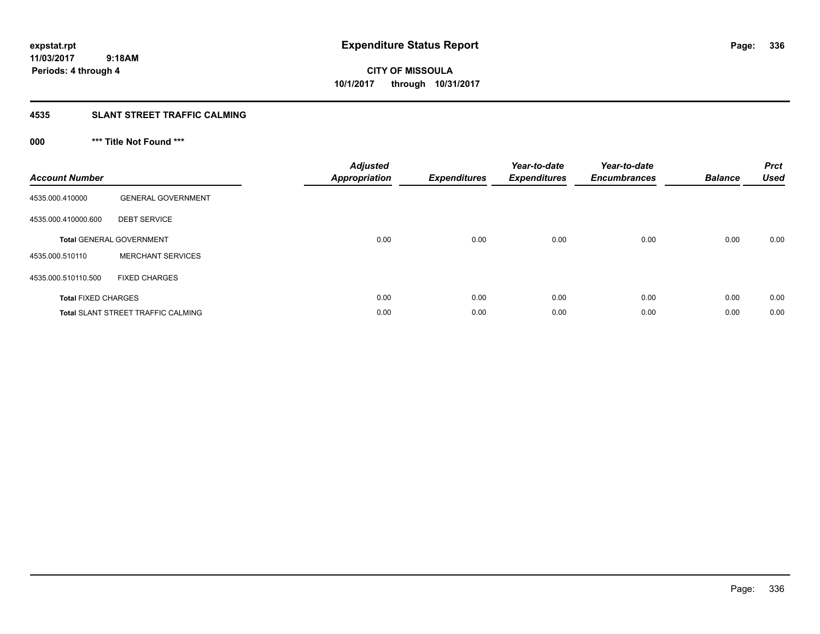**Periods: 4 through 4**

**CITY OF MISSOULA 10/1/2017 through 10/31/2017**

### **4535 SLANT STREET TRAFFIC CALMING**

 **9:18AM**

## **000 \*\*\* Title Not Found \*\*\***

| <b>Account Number</b>      |                                           | <b>Adjusted</b><br><b>Appropriation</b> | <b>Expenditures</b> | Year-to-date<br><b>Expenditures</b> | Year-to-date<br><b>Encumbrances</b> | <b>Balance</b> | <b>Prct</b><br><b>Used</b> |
|----------------------------|-------------------------------------------|-----------------------------------------|---------------------|-------------------------------------|-------------------------------------|----------------|----------------------------|
| 4535.000.410000            | <b>GENERAL GOVERNMENT</b>                 |                                         |                     |                                     |                                     |                |                            |
| 4535.000.410000.600        | <b>DEBT SERVICE</b>                       |                                         |                     |                                     |                                     |                |                            |
|                            | <b>Total GENERAL GOVERNMENT</b>           | 0.00                                    | 0.00                | 0.00                                | 0.00                                | 0.00           | 0.00                       |
| 4535.000.510110            | <b>MERCHANT SERVICES</b>                  |                                         |                     |                                     |                                     |                |                            |
| 4535.000.510110.500        | <b>FIXED CHARGES</b>                      |                                         |                     |                                     |                                     |                |                            |
| <b>Total FIXED CHARGES</b> |                                           | 0.00                                    | 0.00                | 0.00                                | 0.00                                | 0.00           | 0.00                       |
|                            | <b>Total SLANT STREET TRAFFIC CALMING</b> | 0.00                                    | 0.00                | 0.00                                | 0.00                                | 0.00           | 0.00                       |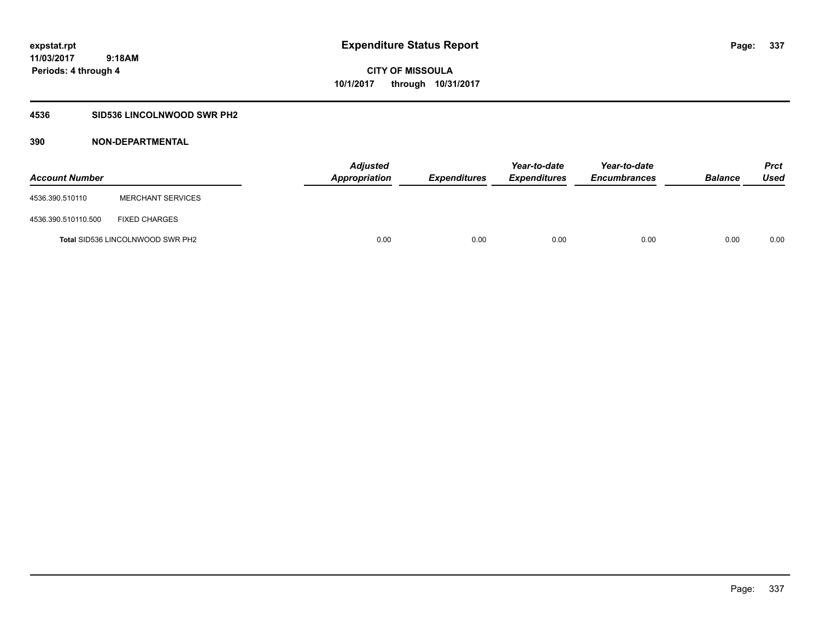### **4536 SID536 LINCOLNWOOD SWR PH2**

| <b>Account Number</b> |                                         | <b>Adjusted</b><br>Appropriation | <b>Expenditures</b> | Year-to-date<br><b>Expenditures</b> | Year-to-date<br><b>Encumbrances</b> | <b>Balance</b> | Prct<br><b>Used</b> |
|-----------------------|-----------------------------------------|----------------------------------|---------------------|-------------------------------------|-------------------------------------|----------------|---------------------|
| 4536.390.510110       | <b>MERCHANT SERVICES</b>                |                                  |                     |                                     |                                     |                |                     |
| 4536.390.510110.500   | <b>FIXED CHARGES</b>                    |                                  |                     |                                     |                                     |                |                     |
|                       | <b>Total SID536 LINCOLNWOOD SWR PH2</b> | 0.00                             | 0.00                | 0.00                                | 0.00                                | 0.00           | 0.00                |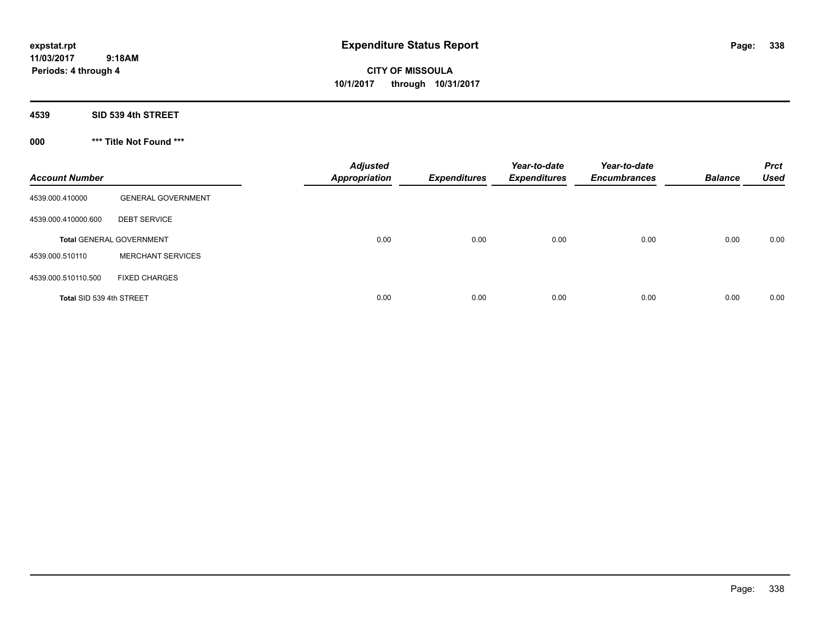**CITY OF MISSOULA 10/1/2017 through 10/31/2017**

**4539 SID 539 4th STREET**

**000 \*\*\* Title Not Found \*\*\***

| <b>Account Number</b>    |                                 | <b>Adjusted</b><br><b>Appropriation</b> | <b>Expenditures</b> | Year-to-date<br><b>Expenditures</b> | Year-to-date<br><b>Encumbrances</b> | <b>Balance</b> | <b>Prct</b><br><b>Used</b> |
|--------------------------|---------------------------------|-----------------------------------------|---------------------|-------------------------------------|-------------------------------------|----------------|----------------------------|
| 4539.000.410000          | <b>GENERAL GOVERNMENT</b>       |                                         |                     |                                     |                                     |                |                            |
| 4539.000.410000.600      | <b>DEBT SERVICE</b>             |                                         |                     |                                     |                                     |                |                            |
|                          | <b>Total GENERAL GOVERNMENT</b> | 0.00                                    | 0.00                | 0.00                                | 0.00                                | 0.00           | 0.00                       |
| 4539.000.510110          | <b>MERCHANT SERVICES</b>        |                                         |                     |                                     |                                     |                |                            |
| 4539.000.510110.500      | <b>FIXED CHARGES</b>            |                                         |                     |                                     |                                     |                |                            |
| Total SID 539 4th STREET |                                 | 0.00                                    | 0.00                | 0.00                                | 0.00                                | 0.00           | 0.00                       |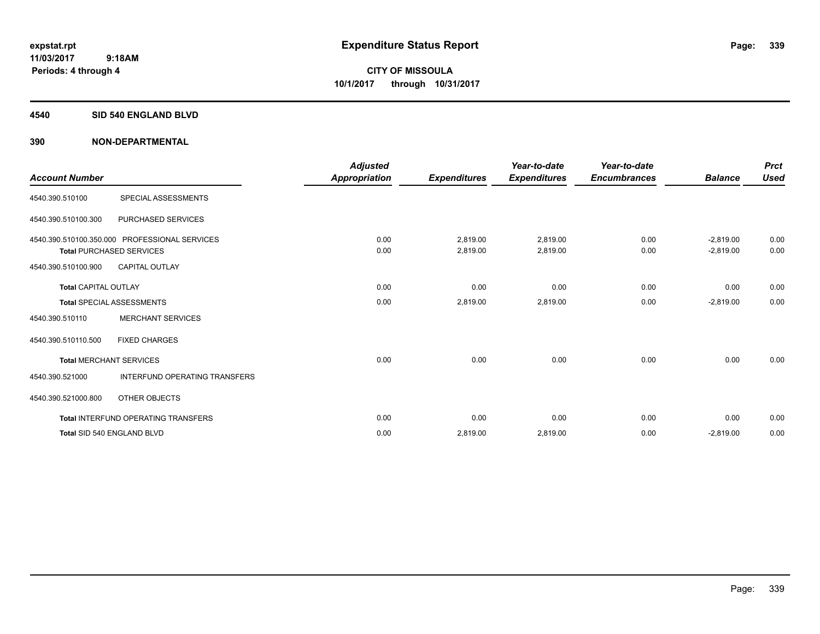### **4540 SID 540 ENGLAND BLVD**

| <b>Account Number</b>       |                                                                                  | <b>Adjusted</b><br><b>Appropriation</b> | <b>Expenditures</b>  | Year-to-date<br><b>Expenditures</b> | Year-to-date<br><b>Encumbrances</b> | <b>Balance</b>             | <b>Prct</b><br><b>Used</b> |
|-----------------------------|----------------------------------------------------------------------------------|-----------------------------------------|----------------------|-------------------------------------|-------------------------------------|----------------------------|----------------------------|
| 4540.390.510100             | SPECIAL ASSESSMENTS                                                              |                                         |                      |                                     |                                     |                            |                            |
| 4540.390.510100.300         | PURCHASED SERVICES                                                               |                                         |                      |                                     |                                     |                            |                            |
|                             | 4540.390.510100.350.000 PROFESSIONAL SERVICES<br><b>Total PURCHASED SERVICES</b> | 0.00<br>0.00                            | 2,819.00<br>2,819.00 | 2,819.00<br>2,819.00                | 0.00<br>0.00                        | $-2,819.00$<br>$-2,819.00$ | 0.00<br>0.00               |
| 4540.390.510100.900         | <b>CAPITAL OUTLAY</b>                                                            |                                         |                      |                                     |                                     |                            |                            |
| <b>Total CAPITAL OUTLAY</b> |                                                                                  | 0.00                                    | 0.00                 | 0.00                                | 0.00                                | 0.00                       | 0.00                       |
|                             | <b>Total SPECIAL ASSESSMENTS</b>                                                 | 0.00                                    | 2,819.00             | 2,819.00                            | 0.00                                | $-2,819.00$                | 0.00                       |
| 4540.390.510110             | <b>MERCHANT SERVICES</b>                                                         |                                         |                      |                                     |                                     |                            |                            |
| 4540.390.510110.500         | <b>FIXED CHARGES</b>                                                             |                                         |                      |                                     |                                     |                            |                            |
|                             | <b>Total MERCHANT SERVICES</b>                                                   | 0.00                                    | 0.00                 | 0.00                                | 0.00                                | 0.00                       | 0.00                       |
| 4540.390.521000             | <b>INTERFUND OPERATING TRANSFERS</b>                                             |                                         |                      |                                     |                                     |                            |                            |
| 4540.390.521000.800         | OTHER OBJECTS                                                                    |                                         |                      |                                     |                                     |                            |                            |
|                             | <b>Total INTERFUND OPERATING TRANSFERS</b>                                       | 0.00                                    | 0.00                 | 0.00                                | 0.00                                | 0.00                       | 0.00                       |
|                             | Total SID 540 ENGLAND BLVD                                                       | 0.00                                    | 2,819.00             | 2,819.00                            | 0.00                                | $-2,819.00$                | 0.00                       |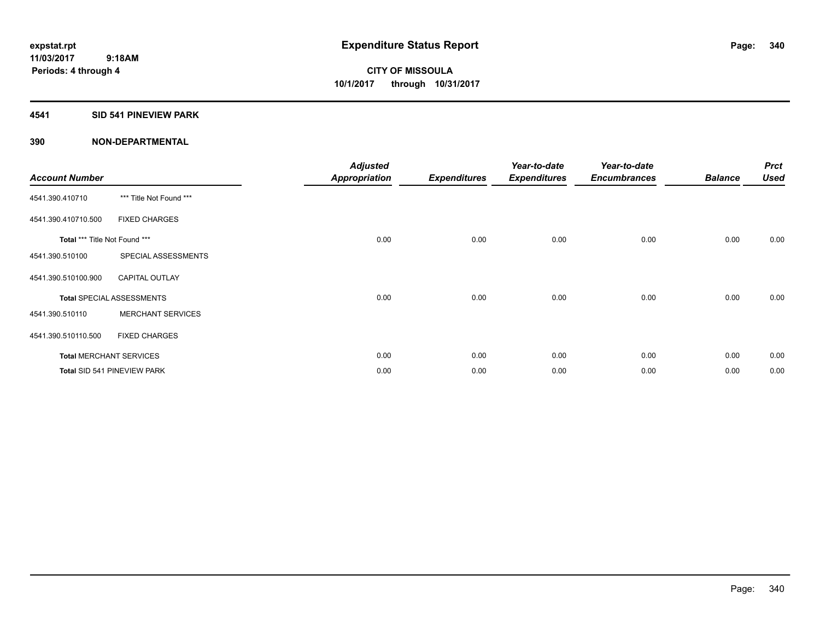### **4541 SID 541 PINEVIEW PARK**

| <b>Account Number</b>         |                                  | <b>Adjusted</b><br><b>Appropriation</b> | <b>Expenditures</b> | Year-to-date<br><b>Expenditures</b> | Year-to-date<br><b>Encumbrances</b> | <b>Balance</b> | <b>Prct</b><br><b>Used</b> |
|-------------------------------|----------------------------------|-----------------------------------------|---------------------|-------------------------------------|-------------------------------------|----------------|----------------------------|
| 4541.390.410710               | *** Title Not Found ***          |                                         |                     |                                     |                                     |                |                            |
| 4541.390.410710.500           | <b>FIXED CHARGES</b>             |                                         |                     |                                     |                                     |                |                            |
| Total *** Title Not Found *** |                                  | 0.00                                    | 0.00                | 0.00                                | 0.00                                | 0.00           | 0.00                       |
| 4541.390.510100               | SPECIAL ASSESSMENTS              |                                         |                     |                                     |                                     |                |                            |
| 4541.390.510100.900           | <b>CAPITAL OUTLAY</b>            |                                         |                     |                                     |                                     |                |                            |
|                               | <b>Total SPECIAL ASSESSMENTS</b> | 0.00                                    | 0.00                | 0.00                                | 0.00                                | 0.00           | 0.00                       |
| 4541.390.510110               | <b>MERCHANT SERVICES</b>         |                                         |                     |                                     |                                     |                |                            |
| 4541.390.510110.500           | <b>FIXED CHARGES</b>             |                                         |                     |                                     |                                     |                |                            |
|                               | <b>Total MERCHANT SERVICES</b>   | 0.00                                    | 0.00                | 0.00                                | 0.00                                | 0.00           | 0.00                       |
|                               | Total SID 541 PINEVIEW PARK      | 0.00                                    | 0.00                | 0.00                                | 0.00                                | 0.00           | 0.00                       |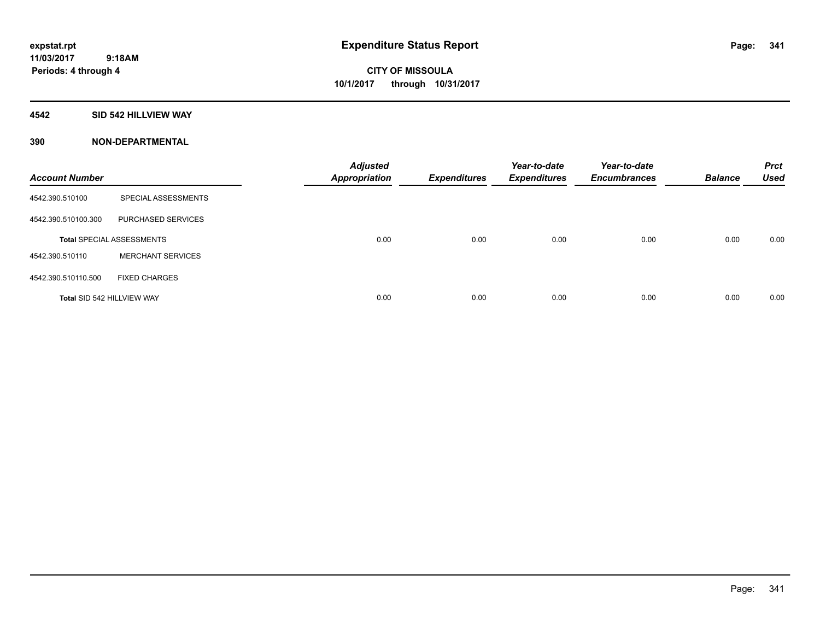### **4542 SID 542 HILLVIEW WAY**

| <b>Account Number</b>      |                                  | <b>Adjusted</b><br><b>Appropriation</b> | <b>Expenditures</b> | Year-to-date<br><b>Expenditures</b> | Year-to-date<br><b>Encumbrances</b> | <b>Balance</b> | <b>Prct</b><br><b>Used</b> |
|----------------------------|----------------------------------|-----------------------------------------|---------------------|-------------------------------------|-------------------------------------|----------------|----------------------------|
| 4542.390.510100            | SPECIAL ASSESSMENTS              |                                         |                     |                                     |                                     |                |                            |
| 4542.390.510100.300        | PURCHASED SERVICES               |                                         |                     |                                     |                                     |                |                            |
|                            | <b>Total SPECIAL ASSESSMENTS</b> | 0.00                                    | 0.00                | 0.00                                | 0.00                                | 0.00           | 0.00                       |
| 4542.390.510110            | <b>MERCHANT SERVICES</b>         |                                         |                     |                                     |                                     |                |                            |
| 4542.390.510110.500        | <b>FIXED CHARGES</b>             |                                         |                     |                                     |                                     |                |                            |
| Total SID 542 HILLVIEW WAY |                                  | 0.00                                    | 0.00                | 0.00                                | 0.00                                | 0.00           | 0.00                       |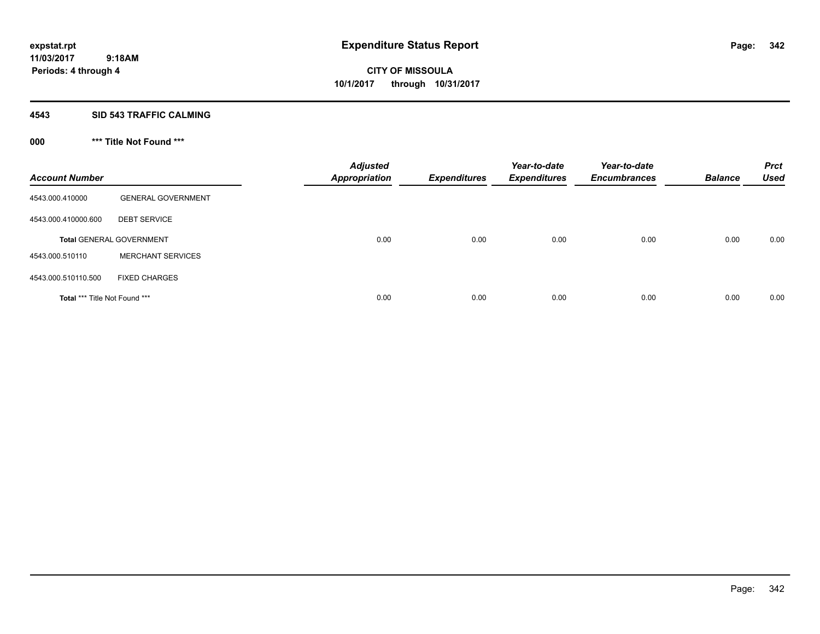### **4543 SID 543 TRAFFIC CALMING**

## **000 \*\*\* Title Not Found \*\*\***

| <b>Account Number</b>         |                                 | <b>Adjusted</b><br><b>Appropriation</b> | <b>Expenditures</b> | Year-to-date<br><b>Expenditures</b> | Year-to-date<br><b>Encumbrances</b> | <b>Balance</b> | <b>Prct</b><br><b>Used</b> |
|-------------------------------|---------------------------------|-----------------------------------------|---------------------|-------------------------------------|-------------------------------------|----------------|----------------------------|
| 4543.000.410000               | <b>GENERAL GOVERNMENT</b>       |                                         |                     |                                     |                                     |                |                            |
| 4543.000.410000.600           | <b>DEBT SERVICE</b>             |                                         |                     |                                     |                                     |                |                            |
|                               | <b>Total GENERAL GOVERNMENT</b> | 0.00                                    | 0.00                | 0.00                                | 0.00                                | 0.00           | 0.00                       |
| 4543.000.510110               | <b>MERCHANT SERVICES</b>        |                                         |                     |                                     |                                     |                |                            |
| 4543.000.510110.500           | <b>FIXED CHARGES</b>            |                                         |                     |                                     |                                     |                |                            |
| Total *** Title Not Found *** |                                 | 0.00                                    | 0.00                | 0.00                                | 0.00                                | 0.00           | 0.00                       |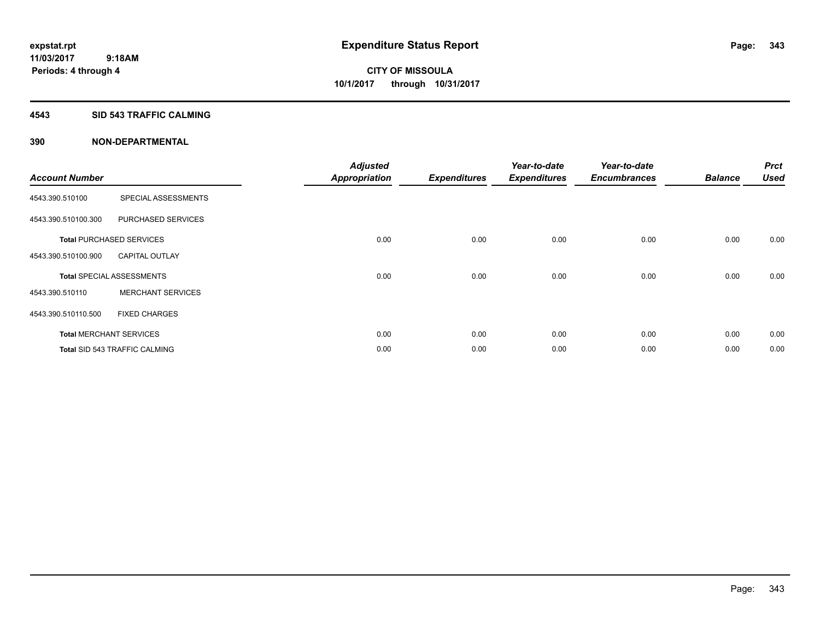### **4543 SID 543 TRAFFIC CALMING**

| <b>Account Number</b> |                                      | <b>Adjusted</b><br><b>Appropriation</b> | <b>Expenditures</b> | Year-to-date<br><b>Expenditures</b> | Year-to-date<br><b>Encumbrances</b> | <b>Balance</b> | <b>Prct</b><br><b>Used</b> |
|-----------------------|--------------------------------------|-----------------------------------------|---------------------|-------------------------------------|-------------------------------------|----------------|----------------------------|
| 4543.390.510100       | SPECIAL ASSESSMENTS                  |                                         |                     |                                     |                                     |                |                            |
|                       |                                      |                                         |                     |                                     |                                     |                |                            |
| 4543.390.510100.300   | PURCHASED SERVICES                   |                                         |                     |                                     |                                     |                |                            |
|                       | <b>Total PURCHASED SERVICES</b>      | 0.00                                    | 0.00                | 0.00                                | 0.00                                | 0.00           | 0.00                       |
| 4543.390.510100.900   | <b>CAPITAL OUTLAY</b>                |                                         |                     |                                     |                                     |                |                            |
|                       | <b>Total SPECIAL ASSESSMENTS</b>     | 0.00                                    | 0.00                | 0.00                                | 0.00                                | 0.00           | 0.00                       |
| 4543.390.510110       | <b>MERCHANT SERVICES</b>             |                                         |                     |                                     |                                     |                |                            |
| 4543.390.510110.500   | <b>FIXED CHARGES</b>                 |                                         |                     |                                     |                                     |                |                            |
|                       | <b>Total MERCHANT SERVICES</b>       | 0.00                                    | 0.00                | 0.00                                | 0.00                                | 0.00           | 0.00                       |
|                       | <b>Total SID 543 TRAFFIC CALMING</b> | 0.00                                    | 0.00                | 0.00                                | 0.00                                | 0.00           | 0.00                       |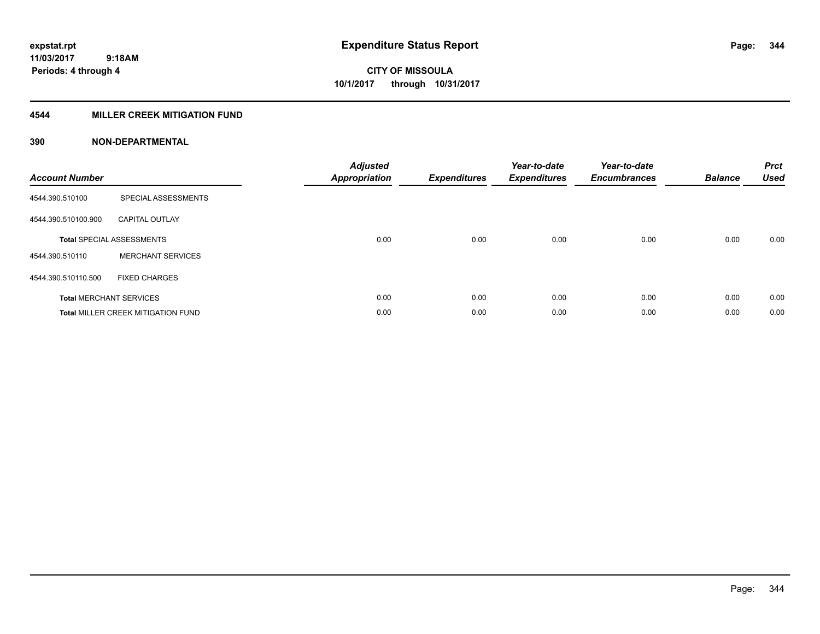### **4544 MILLER CREEK MITIGATION FUND**

| <b>Account Number</b> |                                           | <b>Adjusted</b><br><b>Appropriation</b> | <b>Expenditures</b> | Year-to-date<br><b>Expenditures</b> | Year-to-date<br><b>Encumbrances</b> | <b>Balance</b> | <b>Prct</b><br>Used |
|-----------------------|-------------------------------------------|-----------------------------------------|---------------------|-------------------------------------|-------------------------------------|----------------|---------------------|
| 4544.390.510100       | SPECIAL ASSESSMENTS                       |                                         |                     |                                     |                                     |                |                     |
| 4544.390.510100.900   | <b>CAPITAL OUTLAY</b>                     |                                         |                     |                                     |                                     |                |                     |
|                       | <b>Total SPECIAL ASSESSMENTS</b>          | 0.00                                    | 0.00                | 0.00                                | 0.00                                | 0.00           | 0.00                |
| 4544.390.510110       | <b>MERCHANT SERVICES</b>                  |                                         |                     |                                     |                                     |                |                     |
| 4544.390.510110.500   | <b>FIXED CHARGES</b>                      |                                         |                     |                                     |                                     |                |                     |
|                       | <b>Total MERCHANT SERVICES</b>            | 0.00                                    | 0.00                | 0.00                                | 0.00                                | 0.00           | 0.00                |
|                       | <b>Total MILLER CREEK MITIGATION FUND</b> | 0.00                                    | 0.00                | 0.00                                | 0.00                                | 0.00           | 0.00                |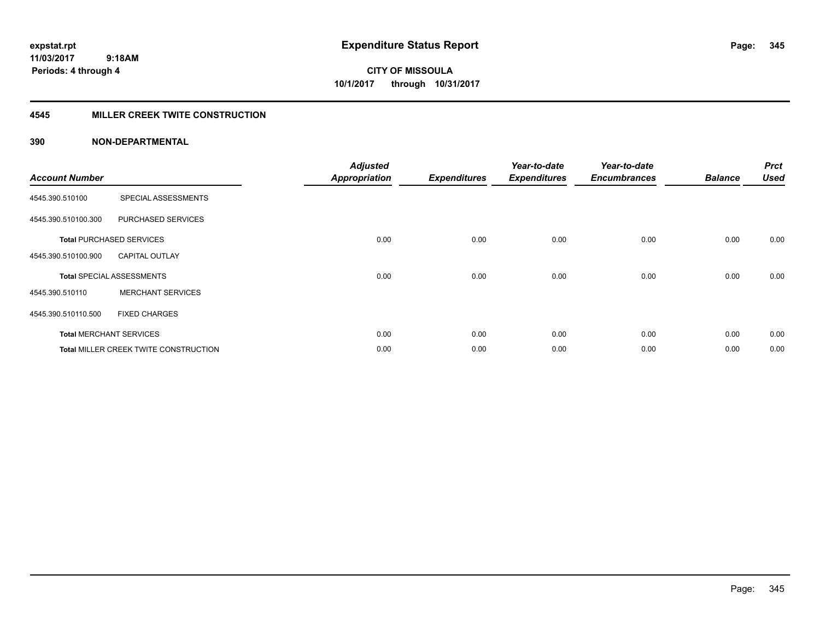# **CITY OF MISSOULA 10/1/2017 through 10/31/2017**

### **4545 MILLER CREEK TWITE CONSTRUCTION**

| <b>Account Number</b> |                                              | <b>Adjusted</b><br><b>Appropriation</b> | <b>Expenditures</b> | Year-to-date<br><b>Expenditures</b> | Year-to-date<br><b>Encumbrances</b> | <b>Balance</b> | <b>Prct</b><br><b>Used</b> |
|-----------------------|----------------------------------------------|-----------------------------------------|---------------------|-------------------------------------|-------------------------------------|----------------|----------------------------|
| 4545.390.510100       | SPECIAL ASSESSMENTS                          |                                         |                     |                                     |                                     |                |                            |
| 4545.390.510100.300   | PURCHASED SERVICES                           |                                         |                     |                                     |                                     |                |                            |
|                       | <b>Total PURCHASED SERVICES</b>              | 0.00                                    | 0.00                | 0.00                                | 0.00                                | 0.00           | 0.00                       |
| 4545.390.510100.900   | <b>CAPITAL OUTLAY</b>                        |                                         |                     |                                     |                                     |                |                            |
|                       | <b>Total SPECIAL ASSESSMENTS</b>             | 0.00                                    | 0.00                | 0.00                                | 0.00                                | 0.00           | 0.00                       |
| 4545.390.510110       | <b>MERCHANT SERVICES</b>                     |                                         |                     |                                     |                                     |                |                            |
| 4545.390.510110.500   | <b>FIXED CHARGES</b>                         |                                         |                     |                                     |                                     |                |                            |
|                       | <b>Total MERCHANT SERVICES</b>               | 0.00                                    | 0.00                | 0.00                                | 0.00                                | 0.00           | 0.00                       |
|                       | <b>Total MILLER CREEK TWITE CONSTRUCTION</b> | 0.00                                    | 0.00                | 0.00                                | 0.00                                | 0.00           | 0.00                       |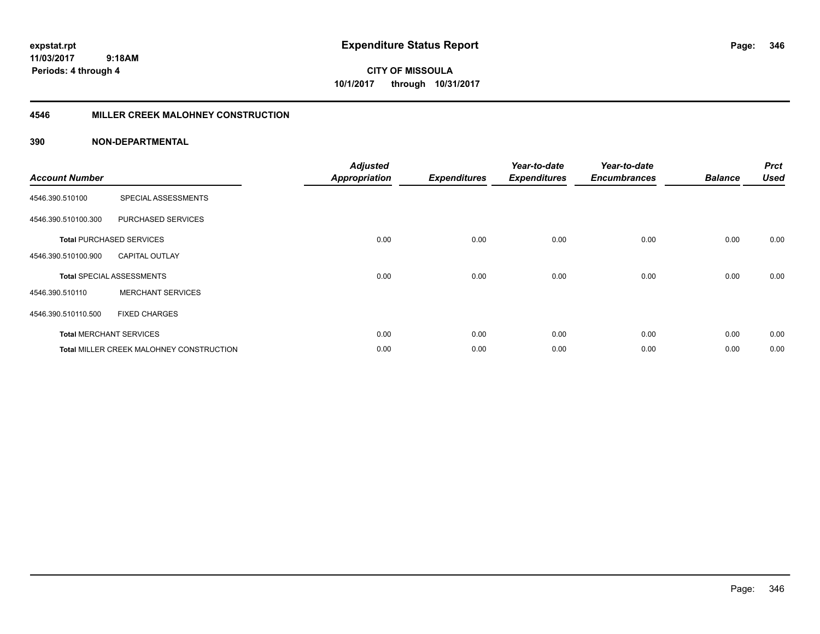**CITY OF MISSOULA 10/1/2017 through 10/31/2017**

### **4546 MILLER CREEK MALOHNEY CONSTRUCTION**

| <b>Account Number</b> |                                                 | <b>Adjusted</b><br><b>Appropriation</b> | <b>Expenditures</b> | Year-to-date<br><b>Expenditures</b> | Year-to-date<br><b>Encumbrances</b> | <b>Balance</b> | <b>Prct</b><br><b>Used</b> |
|-----------------------|-------------------------------------------------|-----------------------------------------|---------------------|-------------------------------------|-------------------------------------|----------------|----------------------------|
| 4546.390.510100       | SPECIAL ASSESSMENTS                             |                                         |                     |                                     |                                     |                |                            |
| 4546.390.510100.300   | PURCHASED SERVICES                              |                                         |                     |                                     |                                     |                |                            |
|                       | <b>Total PURCHASED SERVICES</b>                 | 0.00                                    | 0.00                | 0.00                                | 0.00                                | 0.00           | 0.00                       |
| 4546.390.510100.900   | <b>CAPITAL OUTLAY</b>                           |                                         |                     |                                     |                                     |                |                            |
|                       | <b>Total SPECIAL ASSESSMENTS</b>                | 0.00                                    | 0.00                | 0.00                                | 0.00                                | 0.00           | 0.00                       |
| 4546.390.510110       | <b>MERCHANT SERVICES</b>                        |                                         |                     |                                     |                                     |                |                            |
| 4546.390.510110.500   | <b>FIXED CHARGES</b>                            |                                         |                     |                                     |                                     |                |                            |
|                       | <b>Total MERCHANT SERVICES</b>                  | 0.00                                    | 0.00                | 0.00                                | 0.00                                | 0.00           | 0.00                       |
|                       | <b>Total MILLER CREEK MALOHNEY CONSTRUCTION</b> | 0.00                                    | 0.00                | 0.00                                | 0.00                                | 0.00           | 0.00                       |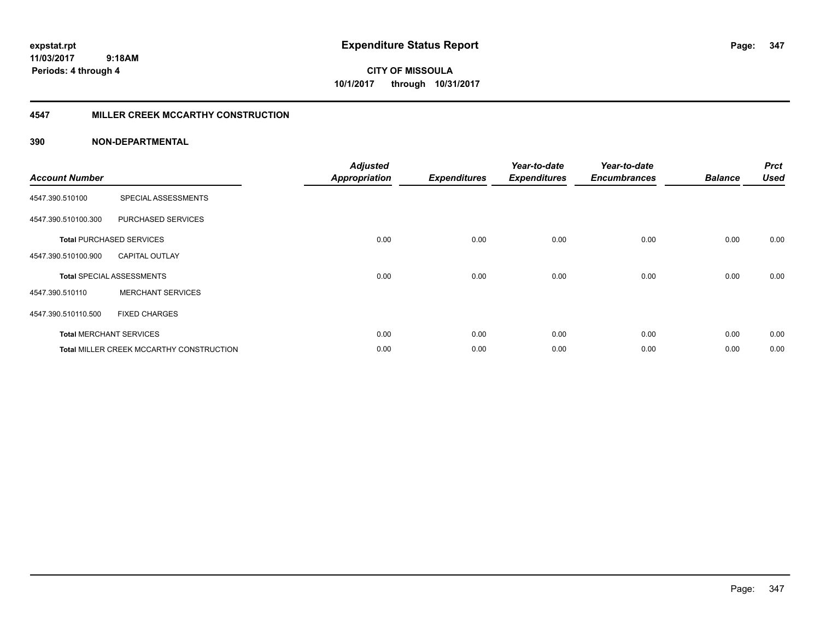**expstat.rpt Expenditure Status Report** 

**11/03/2017 9:18AM Periods: 4 through 4**

### **4547 MILLER CREEK MCCARTHY CONSTRUCTION**

| <b>Account Number</b> |                                          | <b>Adjusted</b><br><b>Appropriation</b> | <b>Expenditures</b> | Year-to-date<br><b>Expenditures</b> | Year-to-date<br><b>Encumbrances</b> | <b>Balance</b> | <b>Prct</b><br><b>Used</b> |
|-----------------------|------------------------------------------|-----------------------------------------|---------------------|-------------------------------------|-------------------------------------|----------------|----------------------------|
| 4547.390.510100       | SPECIAL ASSESSMENTS                      |                                         |                     |                                     |                                     |                |                            |
| 4547.390.510100.300   | PURCHASED SERVICES                       |                                         |                     |                                     |                                     |                |                            |
|                       | <b>Total PURCHASED SERVICES</b>          | 0.00                                    | 0.00                | 0.00                                | 0.00                                | 0.00           | 0.00                       |
| 4547.390.510100.900   | <b>CAPITAL OUTLAY</b>                    |                                         |                     |                                     |                                     |                |                            |
|                       | <b>Total SPECIAL ASSESSMENTS</b>         | 0.00                                    | 0.00                | 0.00                                | 0.00                                | 0.00           | 0.00                       |
| 4547.390.510110       | <b>MERCHANT SERVICES</b>                 |                                         |                     |                                     |                                     |                |                            |
| 4547.390.510110.500   | <b>FIXED CHARGES</b>                     |                                         |                     |                                     |                                     |                |                            |
|                       | <b>Total MERCHANT SERVICES</b>           | 0.00                                    | 0.00                | 0.00                                | 0.00                                | 0.00           | 0.00                       |
|                       | Total MILLER CREEK MCCARTHY CONSTRUCTION | 0.00                                    | 0.00                | 0.00                                | 0.00                                | 0.00           | 0.00                       |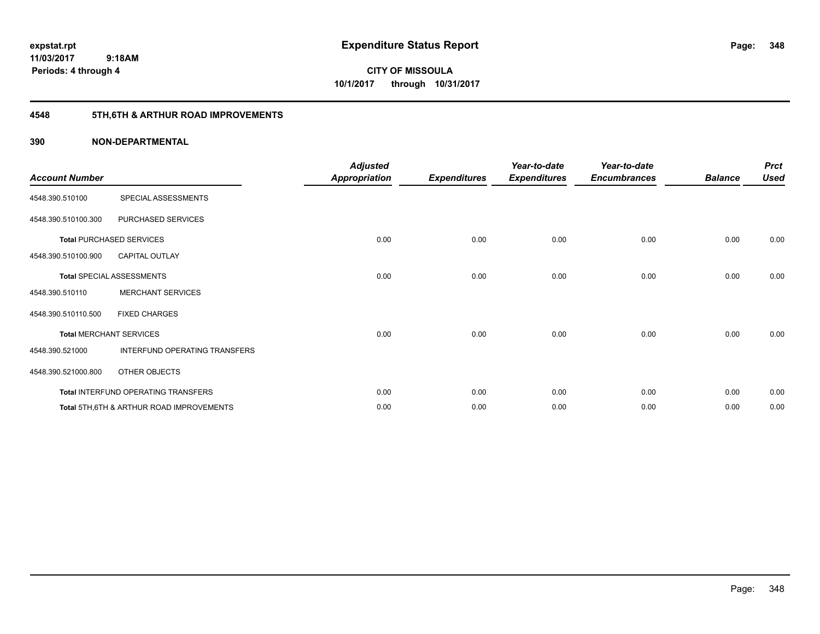**348**

**11/03/2017 9:18AM Periods: 4 through 4**

**CITY OF MISSOULA 10/1/2017 through 10/31/2017**

## **4548 5TH,6TH & ARTHUR ROAD IMPROVEMENTS**

| <b>Account Number</b> |                                                     | <b>Adjusted</b><br><b>Appropriation</b> | <b>Expenditures</b> | Year-to-date<br><b>Expenditures</b> | Year-to-date<br><b>Encumbrances</b> | <b>Balance</b> | <b>Prct</b><br><b>Used</b> |
|-----------------------|-----------------------------------------------------|-----------------------------------------|---------------------|-------------------------------------|-------------------------------------|----------------|----------------------------|
| 4548.390.510100       | SPECIAL ASSESSMENTS                                 |                                         |                     |                                     |                                     |                |                            |
| 4548.390.510100.300   | PURCHASED SERVICES                                  |                                         |                     |                                     |                                     |                |                            |
|                       | <b>Total PURCHASED SERVICES</b>                     | 0.00                                    | 0.00                | 0.00                                | 0.00                                | 0.00           | 0.00                       |
| 4548.390.510100.900   | <b>CAPITAL OUTLAY</b>                               |                                         |                     |                                     |                                     |                |                            |
|                       | <b>Total SPECIAL ASSESSMENTS</b>                    | 0.00                                    | 0.00                | 0.00                                | 0.00                                | 0.00           | 0.00                       |
| 4548.390.510110       | <b>MERCHANT SERVICES</b>                            |                                         |                     |                                     |                                     |                |                            |
| 4548.390.510110.500   | <b>FIXED CHARGES</b>                                |                                         |                     |                                     |                                     |                |                            |
|                       | <b>Total MERCHANT SERVICES</b>                      | 0.00                                    | 0.00                | 0.00                                | 0.00                                | 0.00           | 0.00                       |
| 4548.390.521000       | INTERFUND OPERATING TRANSFERS                       |                                         |                     |                                     |                                     |                |                            |
| 4548.390.521000.800   | OTHER OBJECTS                                       |                                         |                     |                                     |                                     |                |                            |
|                       | Total INTERFUND OPERATING TRANSFERS                 | 0.00                                    | 0.00                | 0.00                                | 0.00                                | 0.00           | 0.00                       |
|                       | <b>Total 5TH.6TH &amp; ARTHUR ROAD IMPROVEMENTS</b> | 0.00                                    | 0.00                | 0.00                                | 0.00                                | 0.00           | 0.00                       |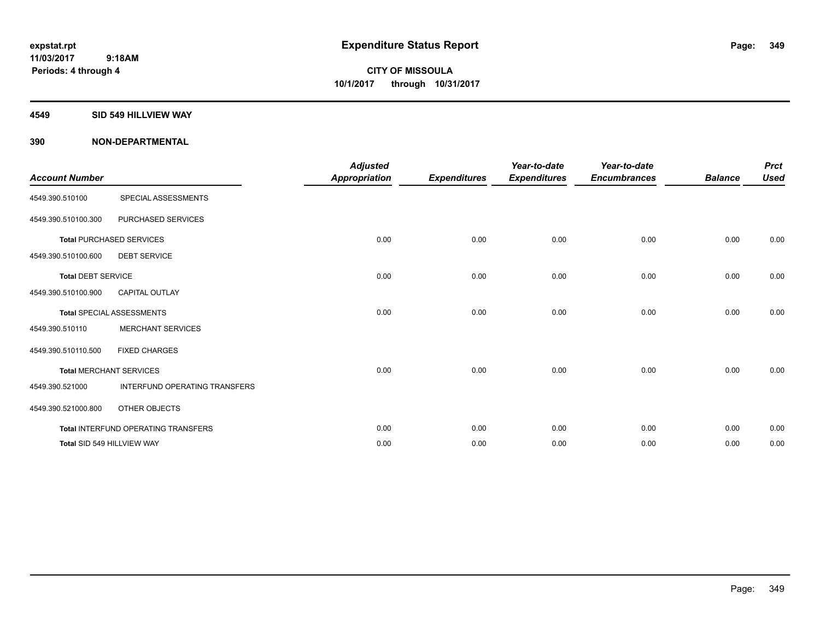### **4549 SID 549 HILLVIEW WAY**

| <b>Account Number</b>     |                                      | <b>Adjusted</b><br><b>Appropriation</b> | <b>Expenditures</b> | Year-to-date<br><b>Expenditures</b> | Year-to-date<br><b>Encumbrances</b> | <b>Balance</b> | <b>Prct</b><br><b>Used</b> |
|---------------------------|--------------------------------------|-----------------------------------------|---------------------|-------------------------------------|-------------------------------------|----------------|----------------------------|
| 4549.390.510100           | SPECIAL ASSESSMENTS                  |                                         |                     |                                     |                                     |                |                            |
| 4549.390.510100.300       | PURCHASED SERVICES                   |                                         |                     |                                     |                                     |                |                            |
|                           | <b>Total PURCHASED SERVICES</b>      | 0.00                                    | 0.00                | 0.00                                | 0.00                                | 0.00           | 0.00                       |
| 4549.390.510100.600       | <b>DEBT SERVICE</b>                  |                                         |                     |                                     |                                     |                |                            |
| <b>Total DEBT SERVICE</b> |                                      | 0.00                                    | 0.00                | 0.00                                | 0.00                                | 0.00           | 0.00                       |
| 4549.390.510100.900       | <b>CAPITAL OUTLAY</b>                |                                         |                     |                                     |                                     |                |                            |
|                           | <b>Total SPECIAL ASSESSMENTS</b>     | 0.00                                    | 0.00                | 0.00                                | 0.00                                | 0.00           | 0.00                       |
| 4549.390.510110           | <b>MERCHANT SERVICES</b>             |                                         |                     |                                     |                                     |                |                            |
| 4549.390.510110.500       | <b>FIXED CHARGES</b>                 |                                         |                     |                                     |                                     |                |                            |
|                           | <b>Total MERCHANT SERVICES</b>       | 0.00                                    | 0.00                | 0.00                                | 0.00                                | 0.00           | 0.00                       |
| 4549.390.521000           | <b>INTERFUND OPERATING TRANSFERS</b> |                                         |                     |                                     |                                     |                |                            |
| 4549.390.521000.800       | OTHER OBJECTS                        |                                         |                     |                                     |                                     |                |                            |
|                           | Total INTERFUND OPERATING TRANSFERS  | 0.00                                    | 0.00                | 0.00                                | 0.00                                | 0.00           | 0.00                       |
|                           | Total SID 549 HILLVIEW WAY           | 0.00                                    | 0.00                | 0.00                                | 0.00                                | 0.00           | 0.00                       |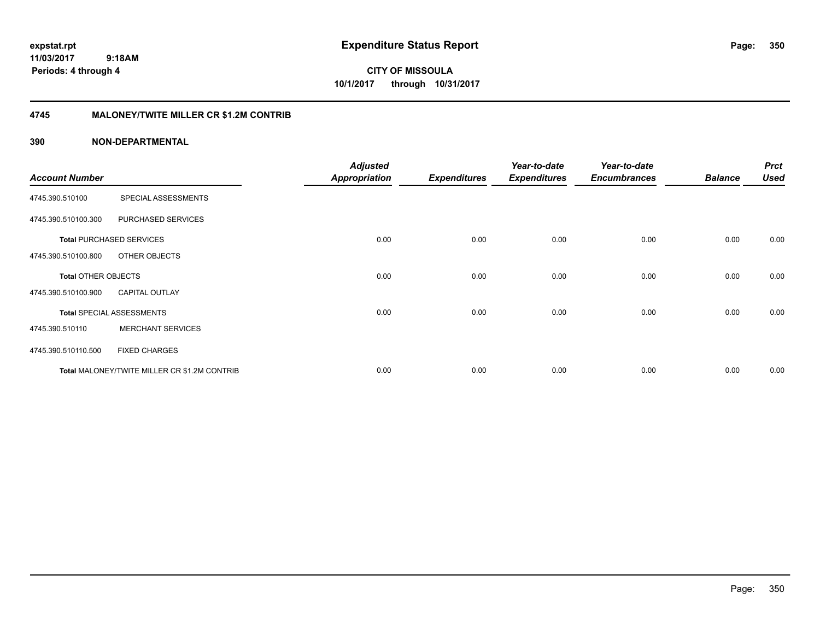**expstat.rpt Expenditure Status Report Page:**

**11/03/2017 9:18AM Periods: 4 through 4**

**CITY OF MISSOULA 10/1/2017 through 10/31/2017**

### **4745 MALONEY/TWITE MILLER CR \$1.2M CONTRIB**

|                       |                                              | <b>Adjusted</b>      |                     | Year-to-date        | Year-to-date        |                | <b>Prct</b> |
|-----------------------|----------------------------------------------|----------------------|---------------------|---------------------|---------------------|----------------|-------------|
| <b>Account Number</b> |                                              | <b>Appropriation</b> | <b>Expenditures</b> | <b>Expenditures</b> | <b>Encumbrances</b> | <b>Balance</b> | <b>Used</b> |
| 4745.390.510100       | SPECIAL ASSESSMENTS                          |                      |                     |                     |                     |                |             |
| 4745.390.510100.300   | PURCHASED SERVICES                           |                      |                     |                     |                     |                |             |
|                       | <b>Total PURCHASED SERVICES</b>              | 0.00                 | 0.00                | 0.00                | 0.00                | 0.00           | 0.00        |
| 4745.390.510100.800   | OTHER OBJECTS                                |                      |                     |                     |                     |                |             |
| Total OTHER OBJECTS   |                                              | 0.00                 | 0.00                | 0.00                | 0.00                | 0.00           | 0.00        |
| 4745.390.510100.900   | <b>CAPITAL OUTLAY</b>                        |                      |                     |                     |                     |                |             |
|                       | <b>Total SPECIAL ASSESSMENTS</b>             | 0.00                 | 0.00                | 0.00                | 0.00                | 0.00           | 0.00        |
| 4745.390.510110       | <b>MERCHANT SERVICES</b>                     |                      |                     |                     |                     |                |             |
| 4745.390.510110.500   | <b>FIXED CHARGES</b>                         |                      |                     |                     |                     |                |             |
|                       | Total MALONEY/TWITE MILLER CR \$1.2M CONTRIB | 0.00                 | 0.00                | 0.00                | 0.00                | 0.00           | 0.00        |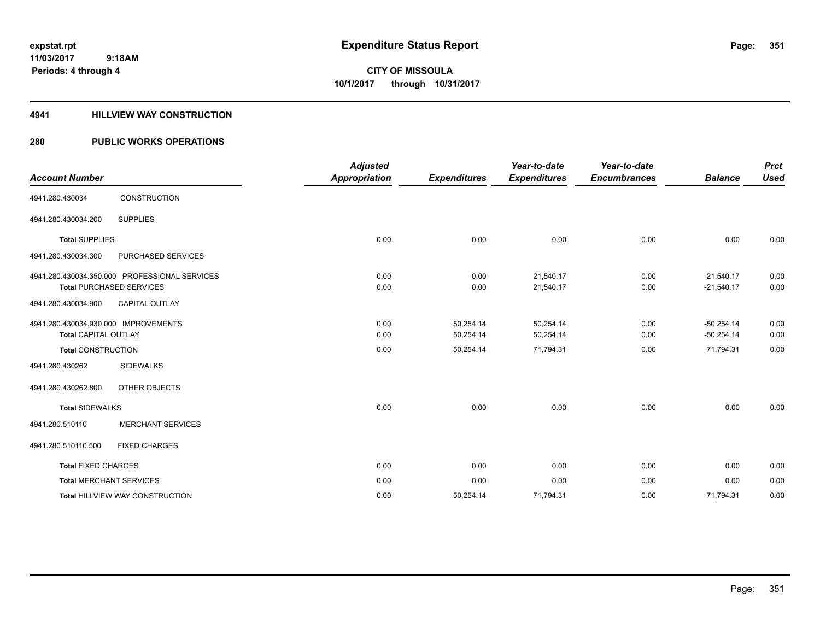### **4941 HILLVIEW WAY CONSTRUCTION**

| <b>Account Number</b>                                               |                                                                                  | <b>Adjusted</b><br><b>Appropriation</b> | <b>Expenditures</b>    | Year-to-date<br><b>Expenditures</b> | Year-to-date<br><b>Encumbrances</b> | <b>Balance</b>               | <b>Prct</b><br><b>Used</b> |
|---------------------------------------------------------------------|----------------------------------------------------------------------------------|-----------------------------------------|------------------------|-------------------------------------|-------------------------------------|------------------------------|----------------------------|
| 4941.280.430034                                                     | CONSTRUCTION                                                                     |                                         |                        |                                     |                                     |                              |                            |
| 4941.280.430034.200                                                 | <b>SUPPLIES</b>                                                                  |                                         |                        |                                     |                                     |                              |                            |
| <b>Total SUPPLIES</b>                                               |                                                                                  | 0.00                                    | 0.00                   | 0.00                                | 0.00                                | 0.00                         | 0.00                       |
| 4941.280.430034.300                                                 | PURCHASED SERVICES                                                               |                                         |                        |                                     |                                     |                              |                            |
|                                                                     | 4941.280.430034.350.000 PROFESSIONAL SERVICES<br><b>Total PURCHASED SERVICES</b> | 0.00<br>0.00                            | 0.00<br>0.00           | 21,540.17<br>21,540.17              | 0.00<br>0.00                        | $-21,540.17$<br>$-21,540.17$ | 0.00<br>0.00               |
| 4941.280.430034.900                                                 | <b>CAPITAL OUTLAY</b>                                                            |                                         |                        |                                     |                                     |                              |                            |
| 4941.280.430034.930.000 IMPROVEMENTS<br><b>Total CAPITAL OUTLAY</b> |                                                                                  | 0.00<br>0.00                            | 50,254.14<br>50,254.14 | 50,254.14<br>50,254.14              | 0.00<br>0.00                        | $-50,254.14$<br>$-50,254.14$ | 0.00<br>0.00               |
| <b>Total CONSTRUCTION</b>                                           |                                                                                  | 0.00                                    | 50,254.14              | 71,794.31                           | 0.00                                | $-71,794.31$                 | 0.00                       |
| 4941.280.430262                                                     | <b>SIDEWALKS</b>                                                                 |                                         |                        |                                     |                                     |                              |                            |
| 4941.280.430262.800                                                 | OTHER OBJECTS                                                                    |                                         |                        |                                     |                                     |                              |                            |
| <b>Total SIDEWALKS</b>                                              |                                                                                  | 0.00                                    | 0.00                   | 0.00                                | 0.00                                | 0.00                         | 0.00                       |
| 4941.280.510110                                                     | <b>MERCHANT SERVICES</b>                                                         |                                         |                        |                                     |                                     |                              |                            |
| 4941.280.510110.500                                                 | <b>FIXED CHARGES</b>                                                             |                                         |                        |                                     |                                     |                              |                            |
| <b>Total FIXED CHARGES</b>                                          |                                                                                  | 0.00                                    | 0.00                   | 0.00                                | 0.00                                | 0.00                         | 0.00                       |
|                                                                     | <b>Total MERCHANT SERVICES</b>                                                   | 0.00                                    | 0.00                   | 0.00                                | 0.00                                | 0.00                         | 0.00                       |
|                                                                     | <b>Total HILLVIEW WAY CONSTRUCTION</b>                                           | 0.00                                    | 50,254.14              | 71,794.31                           | 0.00                                | $-71,794.31$                 | 0.00                       |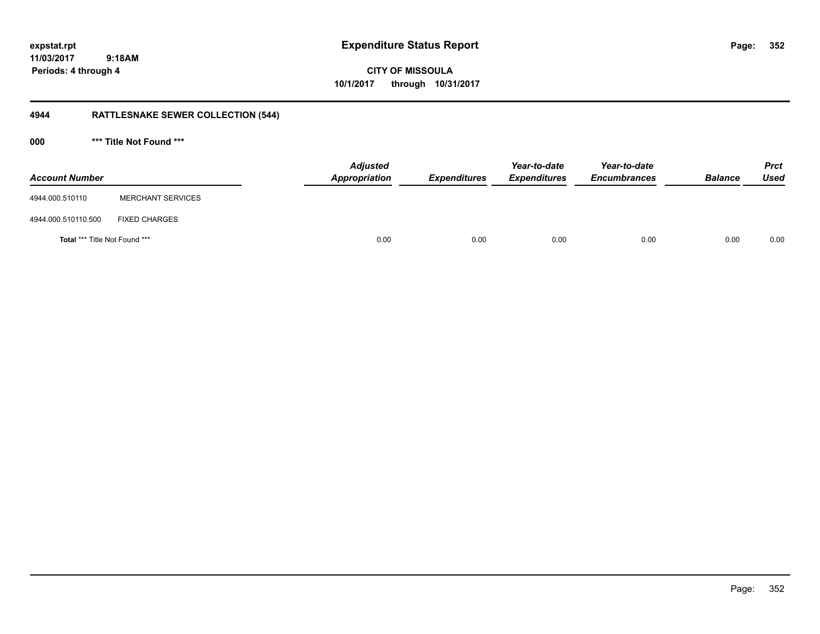**CITY OF MISSOULA 10/1/2017 through 10/31/2017**

## **4944 RATTLESNAKE SEWER COLLECTION (544)**

**000 \*\*\* Title Not Found \*\*\***

| <b>Account Number</b>         |                          | <b>Adjusted</b><br>Appropriation | <b>Expenditures</b> | Year-to-date<br><b>Expenditures</b> | Year-to-date<br><b>Encumbrances</b> | <b>Balance</b> | <b>Prct</b><br><b>Used</b> |
|-------------------------------|--------------------------|----------------------------------|---------------------|-------------------------------------|-------------------------------------|----------------|----------------------------|
| 4944.000.510110               | <b>MERCHANT SERVICES</b> |                                  |                     |                                     |                                     |                |                            |
| 4944.000.510110.500           | <b>FIXED CHARGES</b>     |                                  |                     |                                     |                                     |                |                            |
| Total *** Title Not Found *** |                          | 0.00                             | 0.00                | 0.00                                | 0.00                                | 0.00           | 0.00                       |

**352**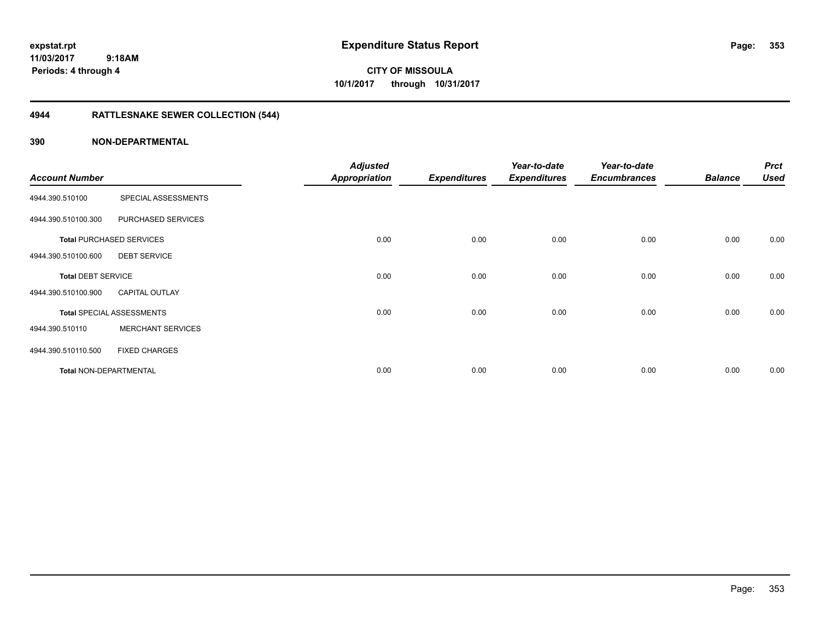# **CITY OF MISSOULA 10/1/2017 through 10/31/2017**

## **4944 RATTLESNAKE SEWER COLLECTION (544)**

|                           |                                  | <b>Adjusted</b> |                     | Year-to-date        | Year-to-date        |                | <b>Prct</b> |
|---------------------------|----------------------------------|-----------------|---------------------|---------------------|---------------------|----------------|-------------|
| <b>Account Number</b>     |                                  | Appropriation   | <b>Expenditures</b> | <b>Expenditures</b> | <b>Encumbrances</b> | <b>Balance</b> | <b>Used</b> |
| 4944.390.510100           | SPECIAL ASSESSMENTS              |                 |                     |                     |                     |                |             |
| 4944.390.510100.300       | PURCHASED SERVICES               |                 |                     |                     |                     |                |             |
|                           | <b>Total PURCHASED SERVICES</b>  | 0.00            | 0.00                | 0.00                | 0.00                | 0.00           | 0.00        |
| 4944.390.510100.600       | <b>DEBT SERVICE</b>              |                 |                     |                     |                     |                |             |
| <b>Total DEBT SERVICE</b> |                                  | 0.00            | 0.00                | 0.00                | 0.00                | 0.00           | 0.00        |
| 4944.390.510100.900       | <b>CAPITAL OUTLAY</b>            |                 |                     |                     |                     |                |             |
|                           | <b>Total SPECIAL ASSESSMENTS</b> | 0.00            | 0.00                | 0.00                | 0.00                | 0.00           | 0.00        |
| 4944.390.510110           | <b>MERCHANT SERVICES</b>         |                 |                     |                     |                     |                |             |
| 4944.390.510110.500       | <b>FIXED CHARGES</b>             |                 |                     |                     |                     |                |             |
| Total NON-DEPARTMENTAL    |                                  | 0.00            | 0.00                | 0.00                | 0.00                | 0.00           | 0.00        |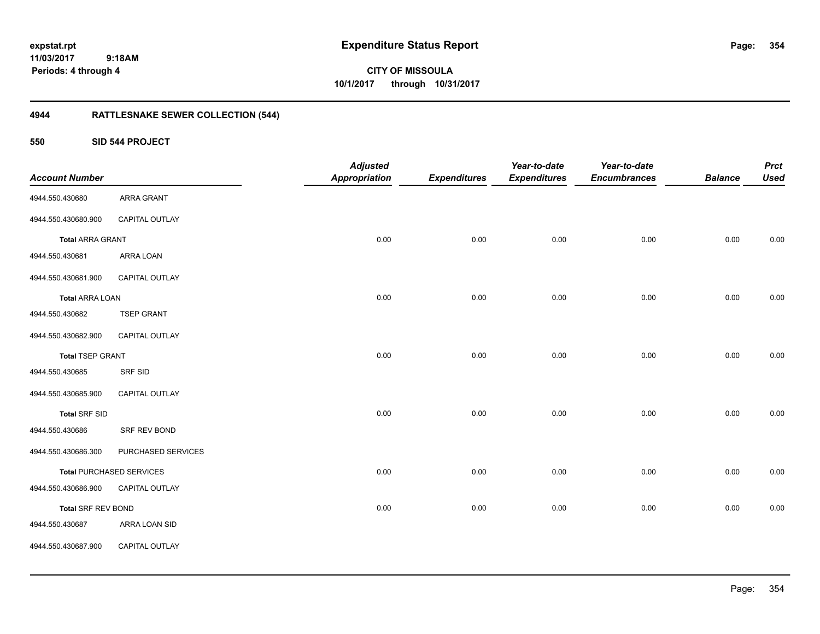**CITY OF MISSOULA 10/1/2017 through 10/31/2017**

## **4944 RATTLESNAKE SEWER COLLECTION (544)**

**550 SID 544 PROJECT**

| <b>Account Number</b>   |                                 | <b>Adjusted</b><br>Appropriation | <b>Expenditures</b> | Year-to-date<br><b>Expenditures</b> | Year-to-date<br><b>Encumbrances</b> | <b>Balance</b> | <b>Prct</b><br><b>Used</b> |
|-------------------------|---------------------------------|----------------------------------|---------------------|-------------------------------------|-------------------------------------|----------------|----------------------------|
| 4944.550.430680         | <b>ARRA GRANT</b>               |                                  |                     |                                     |                                     |                |                            |
| 4944.550.430680.900     | CAPITAL OUTLAY                  |                                  |                     |                                     |                                     |                |                            |
| <b>Total ARRA GRANT</b> |                                 | 0.00                             | 0.00                | 0.00                                | 0.00                                | 0.00           | 0.00                       |
| 4944.550.430681         | ARRA LOAN                       |                                  |                     |                                     |                                     |                |                            |
| 4944.550.430681.900     | CAPITAL OUTLAY                  |                                  |                     |                                     |                                     |                |                            |
| <b>Total ARRA LOAN</b>  |                                 | 0.00                             | 0.00                | 0.00                                | 0.00                                | 0.00           | 0.00                       |
| 4944.550.430682         | <b>TSEP GRANT</b>               |                                  |                     |                                     |                                     |                |                            |
| 4944.550.430682.900     | CAPITAL OUTLAY                  |                                  |                     |                                     |                                     |                |                            |
| <b>Total TSEP GRANT</b> |                                 | 0.00                             | 0.00                | 0.00                                | 0.00                                | 0.00           | 0.00                       |
| 4944.550.430685         | SRF SID                         |                                  |                     |                                     |                                     |                |                            |
| 4944.550.430685.900     | CAPITAL OUTLAY                  |                                  |                     |                                     |                                     |                |                            |
| <b>Total SRF SID</b>    |                                 | 0.00                             | 0.00                | 0.00                                | 0.00                                | 0.00           | 0.00                       |
| 4944.550.430686         | SRF REV BOND                    |                                  |                     |                                     |                                     |                |                            |
| 4944.550.430686.300     | PURCHASED SERVICES              |                                  |                     |                                     |                                     |                |                            |
|                         | <b>Total PURCHASED SERVICES</b> | 0.00                             | 0.00                | 0.00                                | 0.00                                | 0.00           | 0.00                       |
| 4944.550.430686.900     | CAPITAL OUTLAY                  |                                  |                     |                                     |                                     |                |                            |
| Total SRF REV BOND      |                                 | 0.00                             | 0.00                | 0.00                                | 0.00                                | 0.00           | 0.00                       |
| 4944.550.430687         | ARRA LOAN SID                   |                                  |                     |                                     |                                     |                |                            |
| 4944.550.430687.900     | CAPITAL OUTLAY                  |                                  |                     |                                     |                                     |                |                            |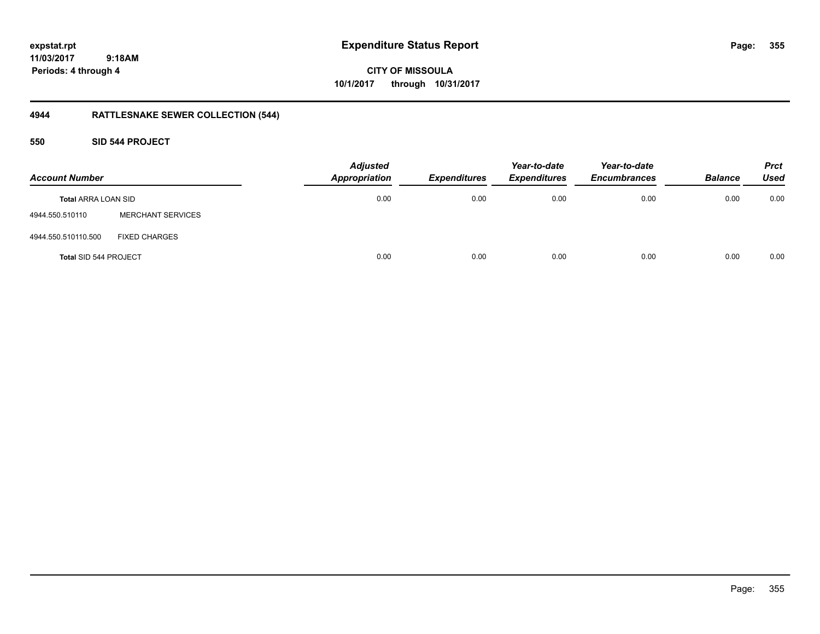**expstat.rpt Expenditure Status Report Page:**

**11/03/2017 9:18AM Periods: 4 through 4**

**CITY OF MISSOULA 10/1/2017 through 10/31/2017**

## **4944 RATTLESNAKE SEWER COLLECTION (544)**

### **550 SID 544 PROJECT**

| <b>Account Number</b>        |                          | <b>Adjusted</b><br><b>Appropriation</b> | <b>Expenditures</b> | Year-to-date<br><b>Expenditures</b> | Year-to-date<br><b>Encumbrances</b> | <b>Balance</b> | <b>Prct</b><br><b>Used</b> |
|------------------------------|--------------------------|-----------------------------------------|---------------------|-------------------------------------|-------------------------------------|----------------|----------------------------|
| <b>Total ARRA LOAN SID</b>   |                          | 0.00                                    | 0.00                | 0.00                                | 0.00                                | 0.00           | 0.00                       |
| 4944.550.510110              | <b>MERCHANT SERVICES</b> |                                         |                     |                                     |                                     |                |                            |
| 4944.550.510110.500          | <b>FIXED CHARGES</b>     |                                         |                     |                                     |                                     |                |                            |
| <b>Total SID 544 PROJECT</b> |                          | 0.00                                    | 0.00                | 0.00                                | 0.00                                | 0.00           | 0.00                       |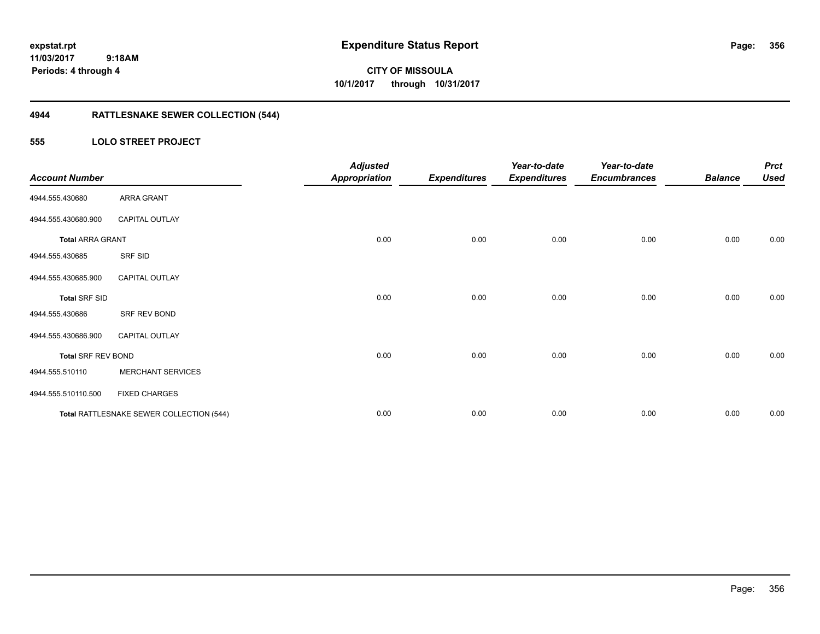**expstat.rpt Expenditure Status Report Page:**

**11/03/2017 9:18AM Periods: 4 through 4**

**CITY OF MISSOULA 10/1/2017 through 10/31/2017**

## **4944 RATTLESNAKE SEWER COLLECTION (544)**

### **555 LOLO STREET PROJECT**

| <b>Account Number</b>     |                                          | <b>Adjusted</b><br><b>Appropriation</b> | <b>Expenditures</b> | Year-to-date<br><b>Expenditures</b> | Year-to-date<br><b>Encumbrances</b> | <b>Balance</b> | <b>Prct</b><br><b>Used</b> |
|---------------------------|------------------------------------------|-----------------------------------------|---------------------|-------------------------------------|-------------------------------------|----------------|----------------------------|
| 4944.555.430680           | <b>ARRA GRANT</b>                        |                                         |                     |                                     |                                     |                |                            |
| 4944.555.430680.900       | <b>CAPITAL OUTLAY</b>                    |                                         |                     |                                     |                                     |                |                            |
| <b>Total ARRA GRANT</b>   |                                          | 0.00                                    | 0.00                | 0.00                                | 0.00                                | 0.00           | 0.00                       |
| 4944.555.430685           | SRF SID                                  |                                         |                     |                                     |                                     |                |                            |
| 4944.555.430685.900       | <b>CAPITAL OUTLAY</b>                    |                                         |                     |                                     |                                     |                |                            |
| <b>Total SRF SID</b>      |                                          | 0.00                                    | 0.00                | 0.00                                | 0.00                                | 0.00           | 0.00                       |
| 4944.555.430686           | SRF REV BOND                             |                                         |                     |                                     |                                     |                |                            |
| 4944.555.430686.900       | <b>CAPITAL OUTLAY</b>                    |                                         |                     |                                     |                                     |                |                            |
| <b>Total SRF REV BOND</b> |                                          | 0.00                                    | 0.00                | 0.00                                | 0.00                                | 0.00           | 0.00                       |
| 4944.555.510110           | <b>MERCHANT SERVICES</b>                 |                                         |                     |                                     |                                     |                |                            |
| 4944.555.510110.500       | <b>FIXED CHARGES</b>                     |                                         |                     |                                     |                                     |                |                            |
|                           | Total RATTLESNAKE SEWER COLLECTION (544) | 0.00                                    | 0.00                | 0.00                                | 0.00                                | 0.00           | 0.00                       |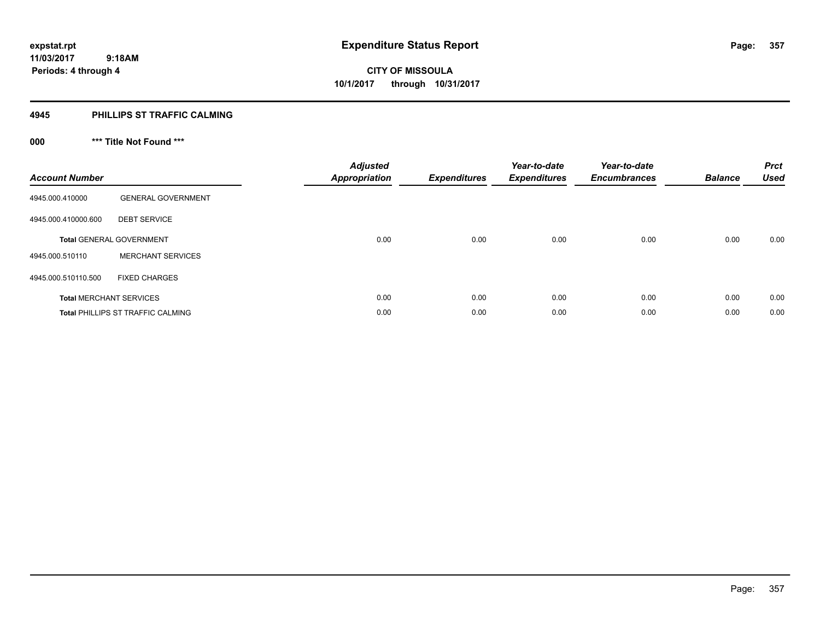### **4945 PHILLIPS ST TRAFFIC CALMING**

## **000 \*\*\* Title Not Found \*\*\***

| <b>Account Number</b> |                                          | <b>Adjusted</b><br><b>Appropriation</b> | <b>Expenditures</b> | Year-to-date<br><b>Expenditures</b> | Year-to-date<br><b>Encumbrances</b> | <b>Balance</b> | <b>Prct</b><br>Used |
|-----------------------|------------------------------------------|-----------------------------------------|---------------------|-------------------------------------|-------------------------------------|----------------|---------------------|
| 4945.000.410000       | <b>GENERAL GOVERNMENT</b>                |                                         |                     |                                     |                                     |                |                     |
| 4945.000.410000.600   | <b>DEBT SERVICE</b>                      |                                         |                     |                                     |                                     |                |                     |
|                       | <b>Total GENERAL GOVERNMENT</b>          | 0.00                                    | 0.00                | 0.00                                | 0.00                                | 0.00           | 0.00                |
| 4945.000.510110       | <b>MERCHANT SERVICES</b>                 |                                         |                     |                                     |                                     |                |                     |
| 4945.000.510110.500   | <b>FIXED CHARGES</b>                     |                                         |                     |                                     |                                     |                |                     |
|                       | <b>Total MERCHANT SERVICES</b>           | 0.00                                    | 0.00                | 0.00                                | 0.00                                | 0.00           | 0.00                |
|                       | <b>Total PHILLIPS ST TRAFFIC CALMING</b> | 0.00                                    | 0.00                | 0.00                                | 0.00                                | 0.00           | 0.00                |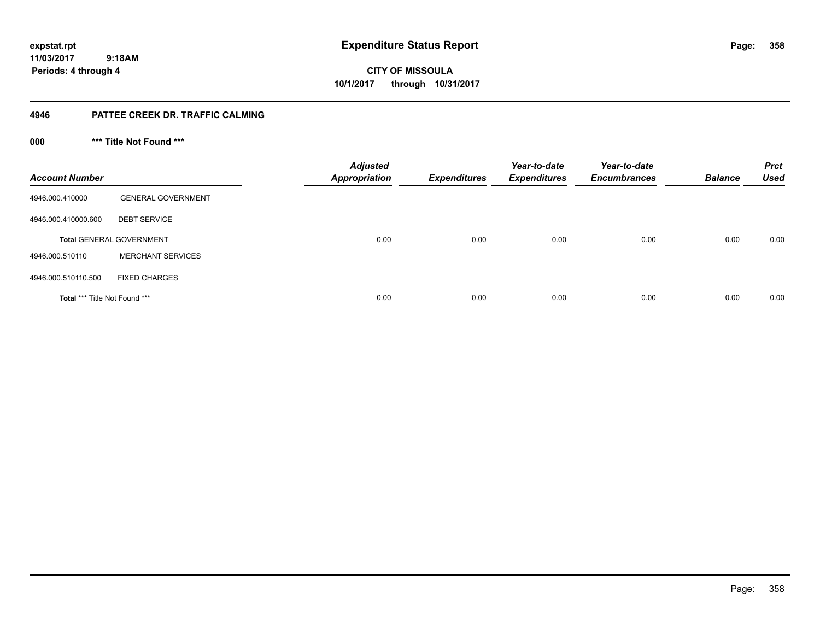**358**

**11/03/2017 9:18AM Periods: 4 through 4**

**CITY OF MISSOULA 10/1/2017 through 10/31/2017**

### **4946 PATTEE CREEK DR. TRAFFIC CALMING**

**000 \*\*\* Title Not Found \*\*\***

| <b>Account Number</b>                |                                 | <b>Adjusted</b><br><b>Appropriation</b> | <b>Expenditures</b> | Year-to-date<br><b>Expenditures</b> | Year-to-date<br><b>Encumbrances</b> | <b>Balance</b> | <b>Prct</b><br><b>Used</b> |
|--------------------------------------|---------------------------------|-----------------------------------------|---------------------|-------------------------------------|-------------------------------------|----------------|----------------------------|
| 4946.000.410000                      | <b>GENERAL GOVERNMENT</b>       |                                         |                     |                                     |                                     |                |                            |
| 4946.000.410000.600                  | <b>DEBT SERVICE</b>             |                                         |                     |                                     |                                     |                |                            |
|                                      | <b>Total GENERAL GOVERNMENT</b> | 0.00                                    | 0.00                | 0.00                                | 0.00                                | 0.00           | 0.00                       |
| 4946.000.510110                      | <b>MERCHANT SERVICES</b>        |                                         |                     |                                     |                                     |                |                            |
| 4946.000.510110.500                  | <b>FIXED CHARGES</b>            |                                         |                     |                                     |                                     |                |                            |
| <b>Total *** Title Not Found ***</b> |                                 | 0.00                                    | 0.00                | 0.00                                | 0.00                                | 0.00           | 0.00                       |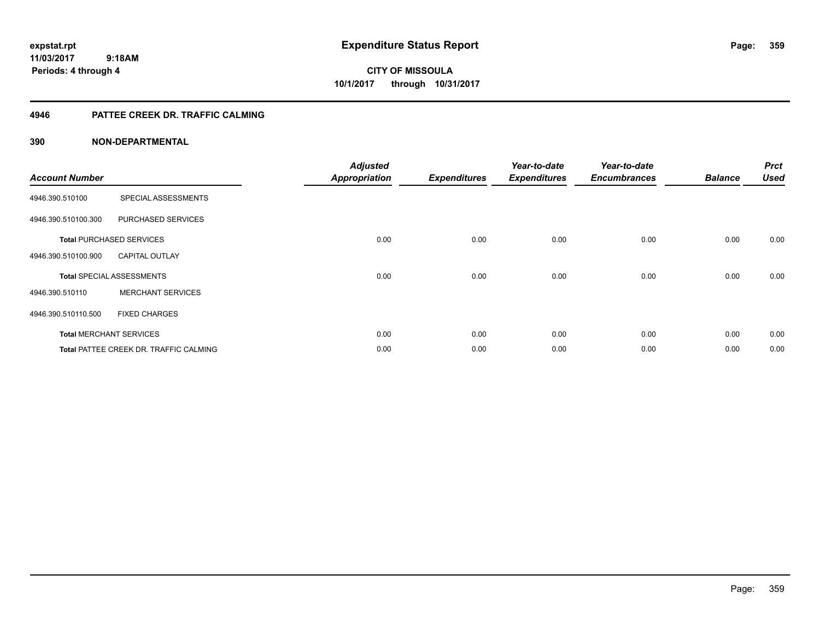**expstat.rpt Expenditure Status Report Page:**

**11/03/2017 9:18AM Periods: 4 through 4**

**CITY OF MISSOULA 10/1/2017 through 10/31/2017**

### **4946 PATTEE CREEK DR. TRAFFIC CALMING**

| <b>Account Number</b> |                                               | <b>Adjusted</b><br><b>Appropriation</b> | <b>Expenditures</b> | Year-to-date<br><b>Expenditures</b> | Year-to-date<br><b>Encumbrances</b> | <b>Balance</b> | <b>Prct</b><br><b>Used</b> |
|-----------------------|-----------------------------------------------|-----------------------------------------|---------------------|-------------------------------------|-------------------------------------|----------------|----------------------------|
| 4946.390.510100       | SPECIAL ASSESSMENTS                           |                                         |                     |                                     |                                     |                |                            |
| 4946.390.510100.300   | PURCHASED SERVICES                            |                                         |                     |                                     |                                     |                |                            |
|                       | <b>Total PURCHASED SERVICES</b>               | 0.00                                    | 0.00                | 0.00                                | 0.00                                | 0.00           | 0.00                       |
| 4946.390.510100.900   | <b>CAPITAL OUTLAY</b>                         |                                         |                     |                                     |                                     |                |                            |
|                       | <b>Total SPECIAL ASSESSMENTS</b>              | 0.00                                    | 0.00                | 0.00                                | 0.00                                | 0.00           | 0.00                       |
| 4946.390.510110       | <b>MERCHANT SERVICES</b>                      |                                         |                     |                                     |                                     |                |                            |
| 4946.390.510110.500   | <b>FIXED CHARGES</b>                          |                                         |                     |                                     |                                     |                |                            |
|                       | <b>Total MERCHANT SERVICES</b>                | 0.00                                    | 0.00                | 0.00                                | 0.00                                | 0.00           | 0.00                       |
|                       | <b>Total PATTEE CREEK DR. TRAFFIC CALMING</b> | 0.00                                    | 0.00                | 0.00                                | 0.00                                | 0.00           | 0.00                       |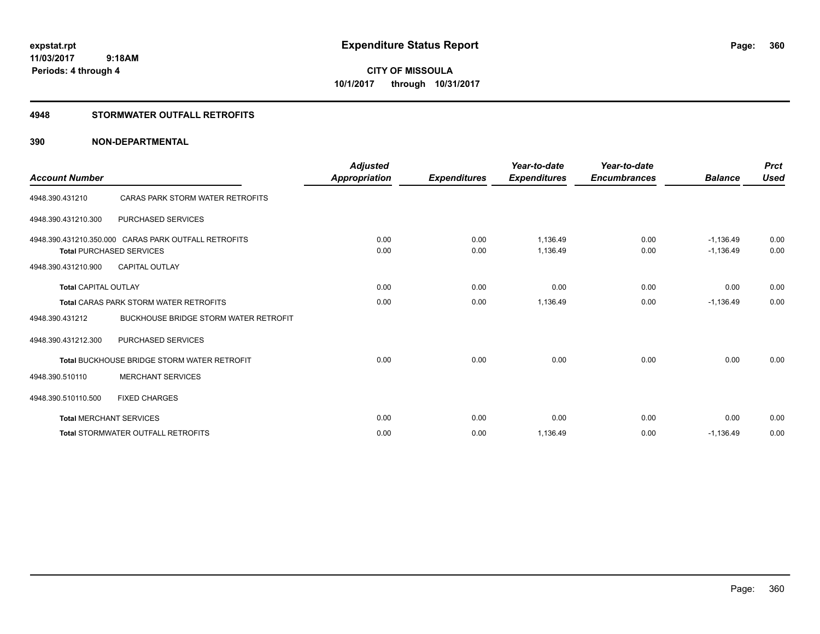**CITY OF MISSOULA 10/1/2017 through 10/31/2017**

### **4948 STORMWATER OUTFALL RETROFITS**

| <b>Account Number</b>       |                                                                                         | <b>Adjusted</b><br>Appropriation | <b>Expenditures</b> | Year-to-date<br><b>Expenditures</b> | Year-to-date<br><b>Encumbrances</b> | <b>Balance</b>             | <b>Prct</b><br><b>Used</b> |
|-----------------------------|-----------------------------------------------------------------------------------------|----------------------------------|---------------------|-------------------------------------|-------------------------------------|----------------------------|----------------------------|
| 4948.390.431210             | CARAS PARK STORM WATER RETROFITS                                                        |                                  |                     |                                     |                                     |                            |                            |
| 4948.390.431210.300         | <b>PURCHASED SERVICES</b>                                                               |                                  |                     |                                     |                                     |                            |                            |
|                             | 4948.390.431210.350.000 CARAS PARK OUTFALL RETROFITS<br><b>Total PURCHASED SERVICES</b> | 0.00<br>0.00                     | 0.00<br>0.00        | 1.136.49<br>1,136.49                | 0.00<br>0.00                        | $-1.136.49$<br>$-1,136.49$ | 0.00<br>0.00               |
| 4948.390.431210.900         | <b>CAPITAL OUTLAY</b>                                                                   |                                  |                     |                                     |                                     |                            |                            |
| <b>Total CAPITAL OUTLAY</b> |                                                                                         | 0.00                             | 0.00                | 0.00                                | 0.00                                | 0.00                       | 0.00                       |
|                             | <b>Total CARAS PARK STORM WATER RETROFITS</b>                                           | 0.00                             | 0.00                | 1,136.49                            | 0.00                                | $-1,136.49$                | 0.00                       |
| 4948.390.431212             | <b>BUCKHOUSE BRIDGE STORM WATER RETROFIT</b>                                            |                                  |                     |                                     |                                     |                            |                            |
| 4948.390.431212.300         | PURCHASED SERVICES                                                                      |                                  |                     |                                     |                                     |                            |                            |
|                             | <b>Total BUCKHOUSE BRIDGE STORM WATER RETROFIT</b>                                      | 0.00                             | 0.00                | 0.00                                | 0.00                                | 0.00                       | 0.00                       |
| 4948.390.510110             | <b>MERCHANT SERVICES</b>                                                                |                                  |                     |                                     |                                     |                            |                            |
| 4948.390.510110.500         | <b>FIXED CHARGES</b>                                                                    |                                  |                     |                                     |                                     |                            |                            |
|                             | <b>Total MERCHANT SERVICES</b>                                                          | 0.00                             | 0.00                | 0.00                                | 0.00                                | 0.00                       | 0.00                       |
|                             | <b>Total STORMWATER OUTFALL RETROFITS</b>                                               | 0.00                             | 0.00                | 1,136.49                            | 0.00                                | $-1,136.49$                | 0.00                       |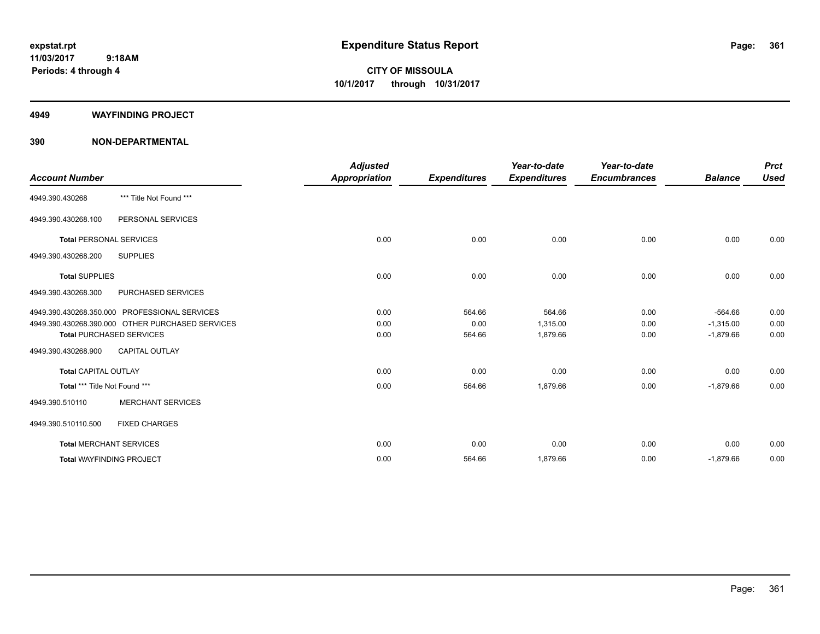**Periods: 4 through 4**

**CITY OF MISSOULA 10/1/2017 through 10/31/2017**

#### **4949 WAYFINDING PROJECT**

 **9:18AM**

#### **390 NON-DEPARTMENTAL**

| <b>Account Number</b>          |                                                  | <b>Adjusted</b><br><b>Appropriation</b> | <b>Expenditures</b> | Year-to-date<br><b>Expenditures</b> | Year-to-date<br><b>Encumbrances</b> | <b>Balance</b> | <b>Prct</b><br><b>Used</b> |
|--------------------------------|--------------------------------------------------|-----------------------------------------|---------------------|-------------------------------------|-------------------------------------|----------------|----------------------------|
| 4949.390.430268                | *** Title Not Found ***                          |                                         |                     |                                     |                                     |                |                            |
| 4949.390.430268.100            | PERSONAL SERVICES                                |                                         |                     |                                     |                                     |                |                            |
| <b>Total PERSONAL SERVICES</b> |                                                  | 0.00                                    | 0.00                | 0.00                                | 0.00                                | 0.00           | 0.00                       |
| 4949.390.430268.200            | <b>SUPPLIES</b>                                  |                                         |                     |                                     |                                     |                |                            |
| <b>Total SUPPLIES</b>          |                                                  | 0.00                                    | 0.00                | 0.00                                | 0.00                                | 0.00           | 0.00                       |
| 4949.390.430268.300            | PURCHASED SERVICES                               |                                         |                     |                                     |                                     |                |                            |
|                                | 4949.390.430268.350.000 PROFESSIONAL SERVICES    | 0.00                                    | 564.66              | 564.66                              | 0.00                                | $-564.66$      | 0.00                       |
|                                | 4949.390.430268.390.000 OTHER PURCHASED SERVICES | 0.00                                    | 0.00                | 1,315.00                            | 0.00                                | $-1,315.00$    | 0.00                       |
|                                | <b>Total PURCHASED SERVICES</b>                  | 0.00                                    | 564.66              | 1,879.66                            | 0.00                                | $-1,879.66$    | 0.00                       |
| 4949.390.430268.900            | <b>CAPITAL OUTLAY</b>                            |                                         |                     |                                     |                                     |                |                            |
| <b>Total CAPITAL OUTLAY</b>    |                                                  | 0.00                                    | 0.00                | 0.00                                | 0.00                                | 0.00           | 0.00                       |
| Total *** Title Not Found ***  |                                                  | 0.00                                    | 564.66              | 1,879.66                            | 0.00                                | $-1,879.66$    | 0.00                       |
| 4949.390.510110                | <b>MERCHANT SERVICES</b>                         |                                         |                     |                                     |                                     |                |                            |
| 4949.390.510110.500            | <b>FIXED CHARGES</b>                             |                                         |                     |                                     |                                     |                |                            |
|                                | <b>Total MERCHANT SERVICES</b>                   | 0.00                                    | 0.00                | 0.00                                | 0.00                                | 0.00           | 0.00                       |
|                                | <b>Total WAYFINDING PROJECT</b>                  | 0.00                                    | 564.66              | 1,879.66                            | 0.00                                | $-1,879.66$    | 0.00                       |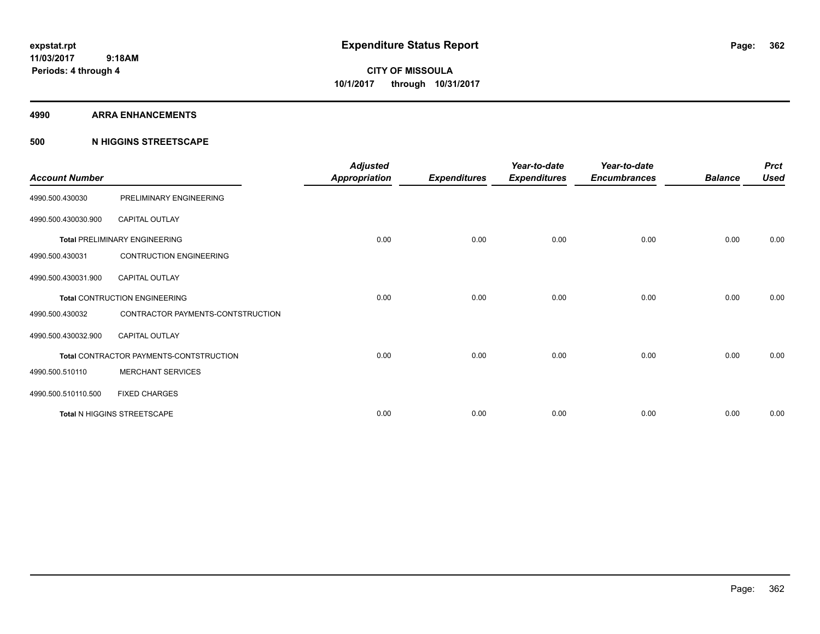#### **4990 ARRA ENHANCEMENTS**

#### **500 N HIGGINS STREETSCAPE**

| <b>Account Number</b> |                                         | <b>Adjusted</b><br><b>Appropriation</b> | <b>Expenditures</b> | Year-to-date<br><b>Expenditures</b> | Year-to-date<br><b>Encumbrances</b> | <b>Balance</b> | <b>Prct</b><br><b>Used</b> |
|-----------------------|-----------------------------------------|-----------------------------------------|---------------------|-------------------------------------|-------------------------------------|----------------|----------------------------|
| 4990.500.430030       | PRELIMINARY ENGINEERING                 |                                         |                     |                                     |                                     |                |                            |
| 4990.500.430030.900   | <b>CAPITAL OUTLAY</b>                   |                                         |                     |                                     |                                     |                |                            |
|                       | <b>Total PRELIMINARY ENGINEERING</b>    | 0.00                                    | 0.00                | 0.00                                | 0.00                                | 0.00           | 0.00                       |
| 4990.500.430031       | <b>CONTRUCTION ENGINEERING</b>          |                                         |                     |                                     |                                     |                |                            |
| 4990.500.430031.900   | <b>CAPITAL OUTLAY</b>                   |                                         |                     |                                     |                                     |                |                            |
|                       | <b>Total CONTRUCTION ENGINEERING</b>    | 0.00                                    | 0.00                | 0.00                                | 0.00                                | 0.00           | 0.00                       |
| 4990.500.430032       | CONTRACTOR PAYMENTS-CONTSTRUCTION       |                                         |                     |                                     |                                     |                |                            |
| 4990.500.430032.900   | <b>CAPITAL OUTLAY</b>                   |                                         |                     |                                     |                                     |                |                            |
|                       | Total CONTRACTOR PAYMENTS-CONTSTRUCTION | 0.00                                    | 0.00                | 0.00                                | 0.00                                | 0.00           | 0.00                       |
| 4990.500.510110       | <b>MERCHANT SERVICES</b>                |                                         |                     |                                     |                                     |                |                            |
| 4990.500.510110.500   | <b>FIXED CHARGES</b>                    |                                         |                     |                                     |                                     |                |                            |
|                       | Total N HIGGINS STREETSCAPE             | 0.00                                    | 0.00                | 0.00                                | 0.00                                | 0.00           | 0.00                       |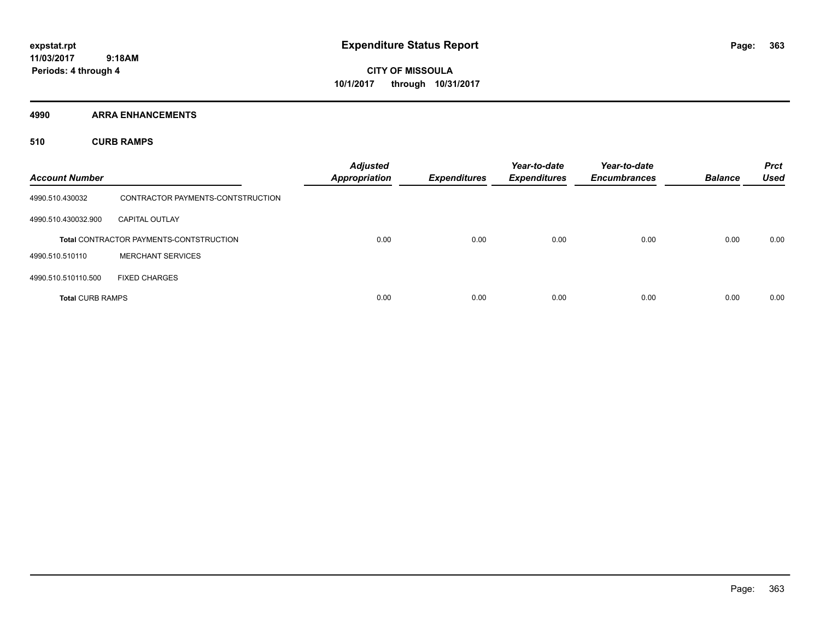**CITY OF MISSOULA 10/1/2017 through 10/31/2017**

**4990 ARRA ENHANCEMENTS**

**510 CURB RAMPS**

| <b>Account Number</b>   |                                                | <b>Adjusted</b><br><b>Appropriation</b> | <b>Expenditures</b> | Year-to-date<br><b>Expenditures</b> | Year-to-date<br><b>Encumbrances</b> | <b>Balance</b> | <b>Prct</b><br><b>Used</b> |
|-------------------------|------------------------------------------------|-----------------------------------------|---------------------|-------------------------------------|-------------------------------------|----------------|----------------------------|
| 4990.510.430032         | CONTRACTOR PAYMENTS-CONTSTRUCTION              |                                         |                     |                                     |                                     |                |                            |
| 4990.510.430032.900     | <b>CAPITAL OUTLAY</b>                          |                                         |                     |                                     |                                     |                |                            |
|                         | <b>Total CONTRACTOR PAYMENTS-CONTSTRUCTION</b> | 0.00                                    | 0.00                | 0.00                                | 0.00                                | 0.00           | 0.00                       |
| 4990.510.510110         | <b>MERCHANT SERVICES</b>                       |                                         |                     |                                     |                                     |                |                            |
| 4990.510.510110.500     | <b>FIXED CHARGES</b>                           |                                         |                     |                                     |                                     |                |                            |
| <b>Total CURB RAMPS</b> |                                                | 0.00                                    | 0.00                | 0.00                                | 0.00                                | 0.00           | 0.00                       |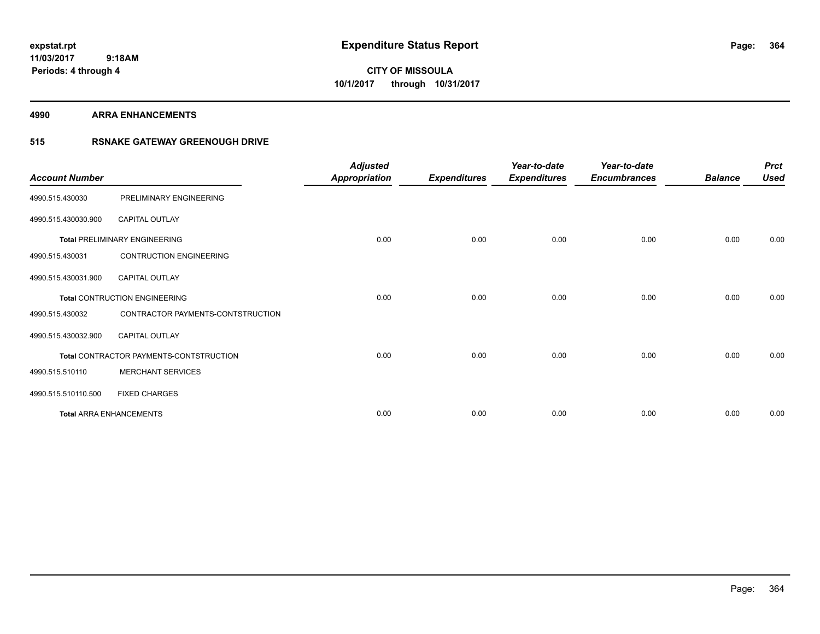# **CITY OF MISSOULA 10/1/2017 through 10/31/2017**

#### **4990 ARRA ENHANCEMENTS**

### **515 RSNAKE GATEWAY GREENOUGH DRIVE**

| <b>Account Number</b> |                                         | <b>Adjusted</b><br><b>Appropriation</b> | <b>Expenditures</b> | Year-to-date<br><b>Expenditures</b> | Year-to-date<br><b>Encumbrances</b> | <b>Balance</b> | <b>Prct</b><br><b>Used</b> |
|-----------------------|-----------------------------------------|-----------------------------------------|---------------------|-------------------------------------|-------------------------------------|----------------|----------------------------|
| 4990.515.430030       | PRELIMINARY ENGINEERING                 |                                         |                     |                                     |                                     |                |                            |
| 4990.515.430030.900   | <b>CAPITAL OUTLAY</b>                   |                                         |                     |                                     |                                     |                |                            |
|                       | <b>Total PRELIMINARY ENGINEERING</b>    | 0.00                                    | 0.00                | 0.00                                | 0.00                                | 0.00           | 0.00                       |
| 4990.515.430031       | <b>CONTRUCTION ENGINEERING</b>          |                                         |                     |                                     |                                     |                |                            |
| 4990.515.430031.900   | <b>CAPITAL OUTLAY</b>                   |                                         |                     |                                     |                                     |                |                            |
|                       | <b>Total CONTRUCTION ENGINEERING</b>    | 0.00                                    | 0.00                | 0.00                                | 0.00                                | 0.00           | 0.00                       |
| 4990.515.430032       | CONTRACTOR PAYMENTS-CONTSTRUCTION       |                                         |                     |                                     |                                     |                |                            |
| 4990.515.430032.900   | <b>CAPITAL OUTLAY</b>                   |                                         |                     |                                     |                                     |                |                            |
|                       | Total CONTRACTOR PAYMENTS-CONTSTRUCTION | 0.00                                    | 0.00                | 0.00                                | 0.00                                | 0.00           | 0.00                       |
| 4990.515.510110       | <b>MERCHANT SERVICES</b>                |                                         |                     |                                     |                                     |                |                            |
| 4990.515.510110.500   | <b>FIXED CHARGES</b>                    |                                         |                     |                                     |                                     |                |                            |
|                       | <b>Total ARRA ENHANCEMENTS</b>          | 0.00                                    | 0.00                | 0.00                                | 0.00                                | 0.00           | 0.00                       |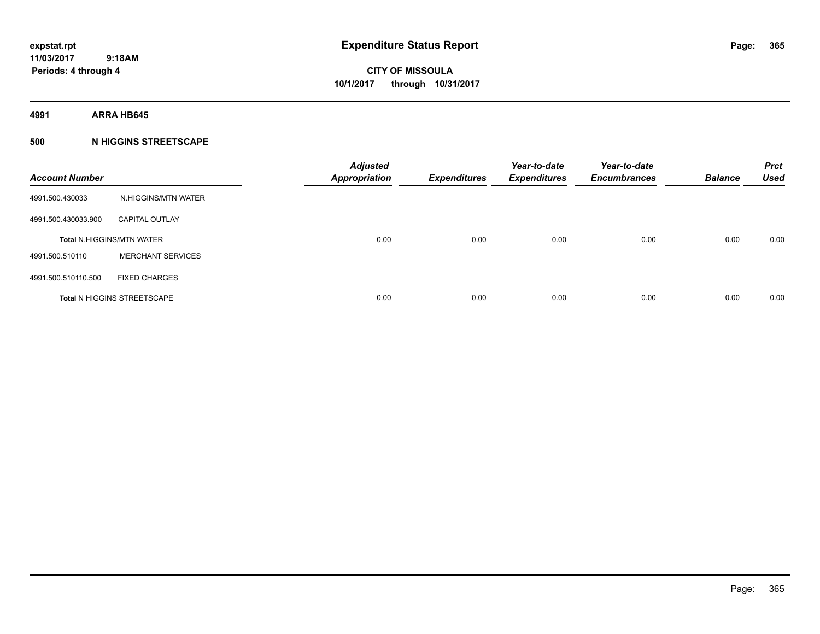**4991 ARRA HB645**

### **500 N HIGGINS STREETSCAPE**

| <b>Account Number</b> |                                    | <b>Adjusted</b><br><b>Appropriation</b> | <b>Expenditures</b> | Year-to-date<br><b>Expenditures</b> | Year-to-date<br><b>Encumbrances</b> | <b>Balance</b> | <b>Prct</b><br><b>Used</b> |
|-----------------------|------------------------------------|-----------------------------------------|---------------------|-------------------------------------|-------------------------------------|----------------|----------------------------|
| 4991.500.430033       | N.HIGGINS/MTN WATER                |                                         |                     |                                     |                                     |                |                            |
| 4991.500.430033.900   | <b>CAPITAL OUTLAY</b>              |                                         |                     |                                     |                                     |                |                            |
|                       | <b>Total N.HIGGINS/MTN WATER</b>   | 0.00                                    | 0.00                | 0.00                                | 0.00                                | 0.00           | 0.00                       |
| 4991.500.510110       | <b>MERCHANT SERVICES</b>           |                                         |                     |                                     |                                     |                |                            |
| 4991.500.510110.500   | <b>FIXED CHARGES</b>               |                                         |                     |                                     |                                     |                |                            |
|                       | <b>Total N HIGGINS STREETSCAPE</b> | 0.00                                    | 0.00                | 0.00                                | 0.00                                | 0.00           | 0.00                       |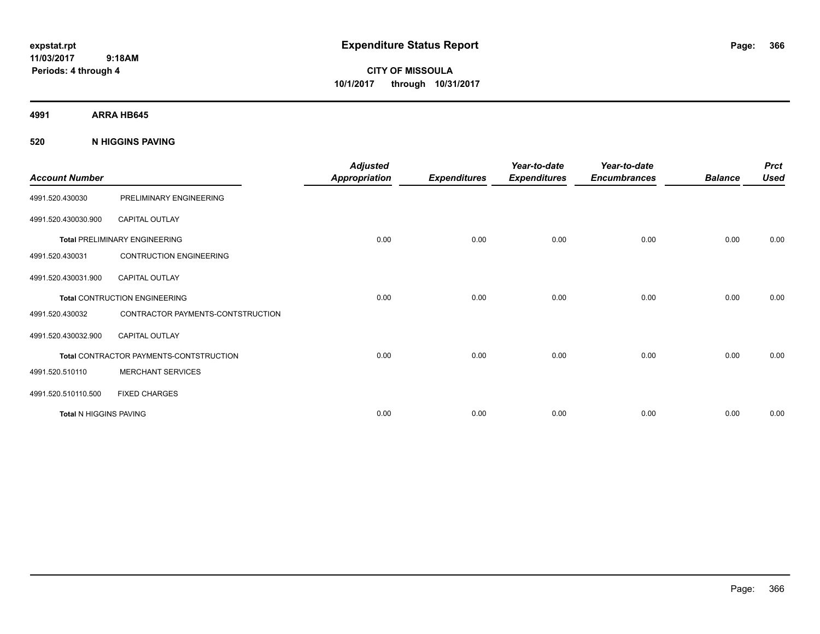# **CITY OF MISSOULA 10/1/2017 through 10/31/2017**

**4991 ARRA HB645**

#### **520 N HIGGINS PAVING**

| <b>Account Number</b>         |                                         | <b>Adjusted</b><br><b>Appropriation</b> | <b>Expenditures</b> | Year-to-date<br><b>Expenditures</b> | Year-to-date<br><b>Encumbrances</b> | <b>Balance</b> | <b>Prct</b><br><b>Used</b> |
|-------------------------------|-----------------------------------------|-----------------------------------------|---------------------|-------------------------------------|-------------------------------------|----------------|----------------------------|
| 4991.520.430030               | PRELIMINARY ENGINEERING                 |                                         |                     |                                     |                                     |                |                            |
| 4991.520.430030.900           | <b>CAPITAL OUTLAY</b>                   |                                         |                     |                                     |                                     |                |                            |
|                               | <b>Total PRELIMINARY ENGINEERING</b>    | 0.00                                    | 0.00                | 0.00                                | 0.00                                | 0.00           | 0.00                       |
| 4991.520.430031               | <b>CONTRUCTION ENGINEERING</b>          |                                         |                     |                                     |                                     |                |                            |
| 4991.520.430031.900           | <b>CAPITAL OUTLAY</b>                   |                                         |                     |                                     |                                     |                |                            |
|                               | <b>Total CONTRUCTION ENGINEERING</b>    | 0.00                                    | 0.00                | 0.00                                | 0.00                                | 0.00           | 0.00                       |
| 4991.520.430032               | CONTRACTOR PAYMENTS-CONTSTRUCTION       |                                         |                     |                                     |                                     |                |                            |
| 4991.520.430032.900           | <b>CAPITAL OUTLAY</b>                   |                                         |                     |                                     |                                     |                |                            |
|                               | Total CONTRACTOR PAYMENTS-CONTSTRUCTION | 0.00                                    | 0.00                | 0.00                                | 0.00                                | 0.00           | 0.00                       |
| 4991.520.510110               | <b>MERCHANT SERVICES</b>                |                                         |                     |                                     |                                     |                |                            |
| 4991.520.510110.500           | <b>FIXED CHARGES</b>                    |                                         |                     |                                     |                                     |                |                            |
| <b>Total N HIGGINS PAVING</b> |                                         | 0.00                                    | 0.00                | 0.00                                | 0.00                                | 0.00           | 0.00                       |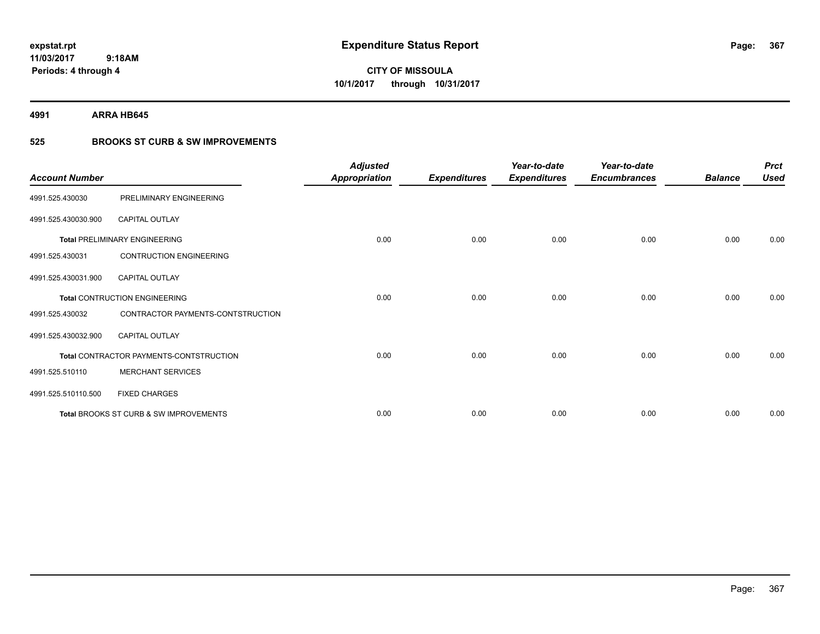**367**

**11/03/2017 9:18AM Periods: 4 through 4**

# **CITY OF MISSOULA 10/1/2017 through 10/31/2017**

**4991 ARRA HB645**

### **525 BROOKS ST CURB & SW IMPROVEMENTS**

| <b>Account Number</b> |                                         | <b>Adjusted</b><br><b>Appropriation</b> | <b>Expenditures</b> | Year-to-date<br><b>Expenditures</b> | Year-to-date<br><b>Encumbrances</b> | <b>Balance</b> | <b>Prct</b><br><b>Used</b> |
|-----------------------|-----------------------------------------|-----------------------------------------|---------------------|-------------------------------------|-------------------------------------|----------------|----------------------------|
| 4991.525.430030       | PRELIMINARY ENGINEERING                 |                                         |                     |                                     |                                     |                |                            |
| 4991.525.430030.900   | <b>CAPITAL OUTLAY</b>                   |                                         |                     |                                     |                                     |                |                            |
|                       | <b>Total PRELIMINARY ENGINEERING</b>    | 0.00                                    | 0.00                | 0.00                                | 0.00                                | 0.00           | 0.00                       |
| 4991.525.430031       | <b>CONTRUCTION ENGINEERING</b>          |                                         |                     |                                     |                                     |                |                            |
| 4991.525.430031.900   | <b>CAPITAL OUTLAY</b>                   |                                         |                     |                                     |                                     |                |                            |
|                       | <b>Total CONTRUCTION ENGINEERING</b>    | 0.00                                    | 0.00                | 0.00                                | 0.00                                | 0.00           | 0.00                       |
| 4991.525.430032       | CONTRACTOR PAYMENTS-CONTSTRUCTION       |                                         |                     |                                     |                                     |                |                            |
| 4991.525.430032.900   | CAPITAL OUTLAY                          |                                         |                     |                                     |                                     |                |                            |
|                       | Total CONTRACTOR PAYMENTS-CONTSTRUCTION | 0.00                                    | 0.00                | 0.00                                | 0.00                                | 0.00           | 0.00                       |
| 4991.525.510110       | <b>MERCHANT SERVICES</b>                |                                         |                     |                                     |                                     |                |                            |
| 4991.525.510110.500   | <b>FIXED CHARGES</b>                    |                                         |                     |                                     |                                     |                |                            |
|                       | Total BROOKS ST CURB & SW IMPROVEMENTS  | 0.00                                    | 0.00                | 0.00                                | 0.00                                | 0.00           | 0.00                       |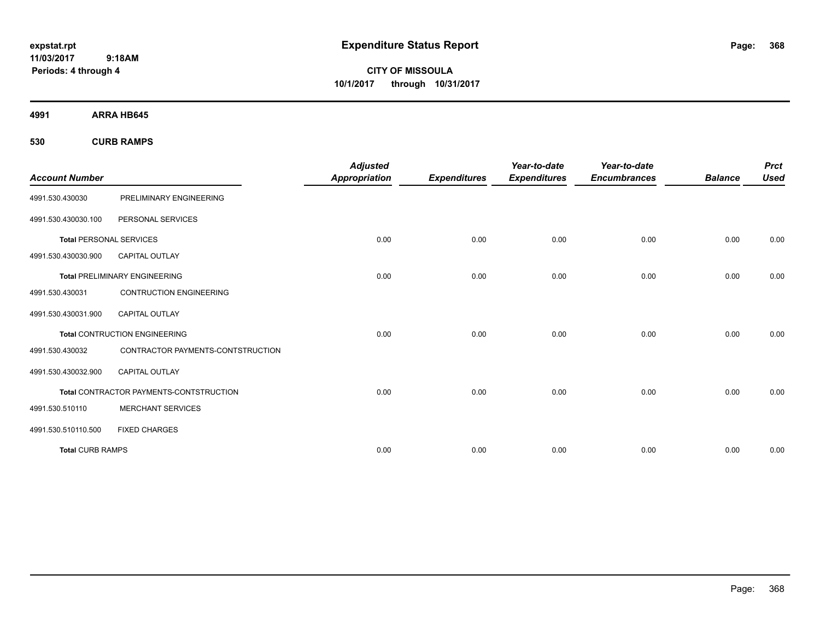**CITY OF MISSOULA 10/1/2017 through 10/31/2017**

**4991 ARRA HB645**

**530 CURB RAMPS**

|                                |                                         | <b>Adjusted</b>      |                     | Year-to-date        | Year-to-date        |                | <b>Prct</b> |
|--------------------------------|-----------------------------------------|----------------------|---------------------|---------------------|---------------------|----------------|-------------|
| <b>Account Number</b>          |                                         | <b>Appropriation</b> | <b>Expenditures</b> | <b>Expenditures</b> | <b>Encumbrances</b> | <b>Balance</b> | <b>Used</b> |
| 4991.530.430030                | PRELIMINARY ENGINEERING                 |                      |                     |                     |                     |                |             |
| 4991.530.430030.100            | PERSONAL SERVICES                       |                      |                     |                     |                     |                |             |
| <b>Total PERSONAL SERVICES</b> |                                         | 0.00                 | 0.00                | 0.00                | 0.00                | 0.00           | 0.00        |
| 4991.530.430030.900            | <b>CAPITAL OUTLAY</b>                   |                      |                     |                     |                     |                |             |
|                                | <b>Total PRELIMINARY ENGINEERING</b>    | 0.00                 | 0.00                | 0.00                | 0.00                | 0.00           | 0.00        |
| 4991.530.430031                | <b>CONTRUCTION ENGINEERING</b>          |                      |                     |                     |                     |                |             |
| 4991.530.430031.900            | CAPITAL OUTLAY                          |                      |                     |                     |                     |                |             |
|                                | <b>Total CONTRUCTION ENGINEERING</b>    | 0.00                 | 0.00                | 0.00                | 0.00                | 0.00           | 0.00        |
| 4991.530.430032                | CONTRACTOR PAYMENTS-CONTSTRUCTION       |                      |                     |                     |                     |                |             |
| 4991.530.430032.900            | <b>CAPITAL OUTLAY</b>                   |                      |                     |                     |                     |                |             |
|                                | Total CONTRACTOR PAYMENTS-CONTSTRUCTION | 0.00                 | 0.00                | 0.00                | 0.00                | 0.00           | 0.00        |
| 4991.530.510110                | <b>MERCHANT SERVICES</b>                |                      |                     |                     |                     |                |             |
| 4991.530.510110.500            | <b>FIXED CHARGES</b>                    |                      |                     |                     |                     |                |             |
| <b>Total CURB RAMPS</b>        |                                         | 0.00                 | 0.00                | 0.00                | 0.00                | 0.00           | 0.00        |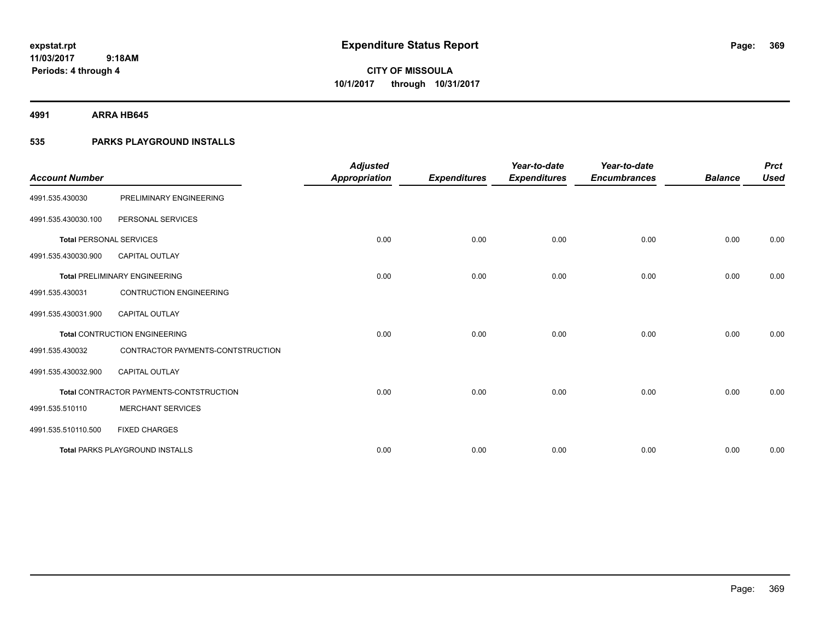**4991 ARRA HB645**

### **535 PARKS PLAYGROUND INSTALLS**

| <b>Account Number</b>          |                                         | <b>Adjusted</b><br><b>Appropriation</b> | <b>Expenditures</b> | Year-to-date<br><b>Expenditures</b> | Year-to-date<br><b>Encumbrances</b> | <b>Balance</b> | <b>Prct</b><br><b>Used</b> |
|--------------------------------|-----------------------------------------|-----------------------------------------|---------------------|-------------------------------------|-------------------------------------|----------------|----------------------------|
| 4991.535.430030                | PRELIMINARY ENGINEERING                 |                                         |                     |                                     |                                     |                |                            |
| 4991.535.430030.100            | PERSONAL SERVICES                       |                                         |                     |                                     |                                     |                |                            |
| <b>Total PERSONAL SERVICES</b> |                                         | 0.00                                    | 0.00                | 0.00                                | 0.00                                | 0.00           | 0.00                       |
| 4991.535.430030.900            | <b>CAPITAL OUTLAY</b>                   |                                         |                     |                                     |                                     |                |                            |
|                                | <b>Total PRELIMINARY ENGINEERING</b>    | 0.00                                    | 0.00                | 0.00                                | 0.00                                | 0.00           | 0.00                       |
| 4991.535.430031                | <b>CONTRUCTION ENGINEERING</b>          |                                         |                     |                                     |                                     |                |                            |
| 4991.535.430031.900            | CAPITAL OUTLAY                          |                                         |                     |                                     |                                     |                |                            |
|                                | <b>Total CONTRUCTION ENGINEERING</b>    | 0.00                                    | 0.00                | 0.00                                | 0.00                                | 0.00           | 0.00                       |
| 4991.535.430032                | CONTRACTOR PAYMENTS-CONTSTRUCTION       |                                         |                     |                                     |                                     |                |                            |
| 4991.535.430032.900            | <b>CAPITAL OUTLAY</b>                   |                                         |                     |                                     |                                     |                |                            |
|                                | Total CONTRACTOR PAYMENTS-CONTSTRUCTION | 0.00                                    | 0.00                | 0.00                                | 0.00                                | 0.00           | 0.00                       |
| 4991.535.510110                | <b>MERCHANT SERVICES</b>                |                                         |                     |                                     |                                     |                |                            |
| 4991.535.510110.500            | <b>FIXED CHARGES</b>                    |                                         |                     |                                     |                                     |                |                            |
|                                | <b>Total PARKS PLAYGROUND INSTALLS</b>  | 0.00                                    | 0.00                | 0.00                                | 0.00                                | 0.00           | 0.00                       |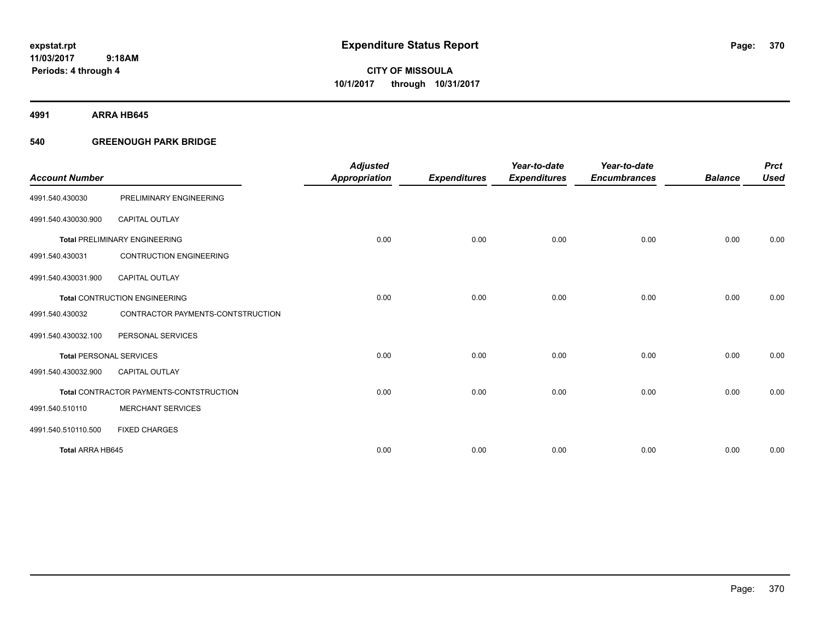**CITY OF MISSOULA 10/1/2017 through 10/31/2017**

**4991 ARRA HB645**

### **540 GREENOUGH PARK BRIDGE**

|                                |                                         | <b>Adjusted</b>      |                     | Year-to-date        | Year-to-date        |                | <b>Prct</b> |
|--------------------------------|-----------------------------------------|----------------------|---------------------|---------------------|---------------------|----------------|-------------|
| <b>Account Number</b>          |                                         | <b>Appropriation</b> | <b>Expenditures</b> | <b>Expenditures</b> | <b>Encumbrances</b> | <b>Balance</b> | <b>Used</b> |
| 4991.540.430030                | PRELIMINARY ENGINEERING                 |                      |                     |                     |                     |                |             |
| 4991.540.430030.900            | <b>CAPITAL OUTLAY</b>                   |                      |                     |                     |                     |                |             |
|                                | <b>Total PRELIMINARY ENGINEERING</b>    | 0.00                 | 0.00                | 0.00                | 0.00                | 0.00           | 0.00        |
| 4991.540.430031                | <b>CONTRUCTION ENGINEERING</b>          |                      |                     |                     |                     |                |             |
| 4991.540.430031.900            | <b>CAPITAL OUTLAY</b>                   |                      |                     |                     |                     |                |             |
|                                | <b>Total CONTRUCTION ENGINEERING</b>    | 0.00                 | 0.00                | 0.00                | 0.00                | 0.00           | 0.00        |
| 4991.540.430032                | CONTRACTOR PAYMENTS-CONTSTRUCTION       |                      |                     |                     |                     |                |             |
| 4991.540.430032.100            | PERSONAL SERVICES                       |                      |                     |                     |                     |                |             |
| <b>Total PERSONAL SERVICES</b> |                                         | 0.00                 | 0.00                | 0.00                | 0.00                | 0.00           | 0.00        |
| 4991.540.430032.900            | <b>CAPITAL OUTLAY</b>                   |                      |                     |                     |                     |                |             |
|                                | Total CONTRACTOR PAYMENTS-CONTSTRUCTION | 0.00                 | 0.00                | 0.00                | 0.00                | 0.00           | 0.00        |
| 4991.540.510110                | <b>MERCHANT SERVICES</b>                |                      |                     |                     |                     |                |             |
| 4991.540.510110.500            | <b>FIXED CHARGES</b>                    |                      |                     |                     |                     |                |             |
| Total ARRA HB645               |                                         | 0.00                 | 0.00                | 0.00                | 0.00                | 0.00           | 0.00        |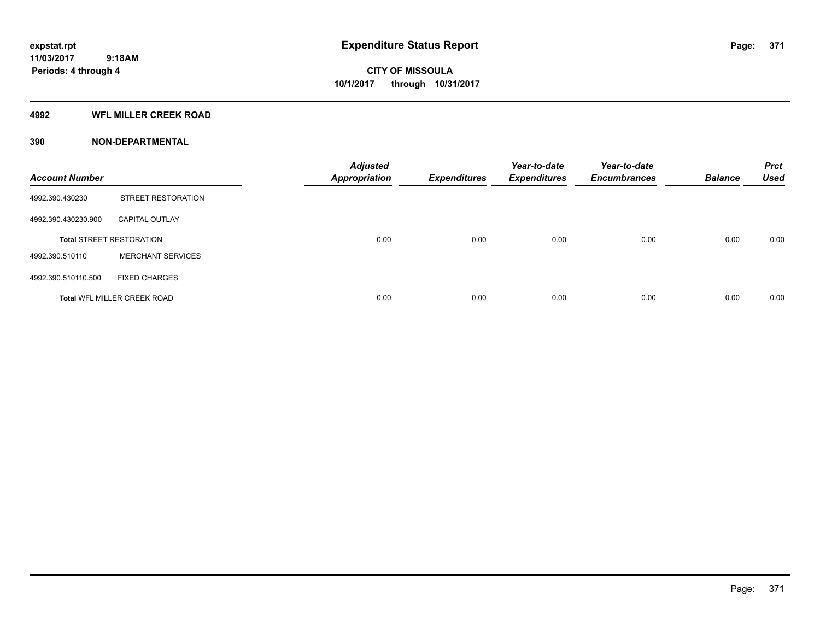#### **4992 WFL MILLER CREEK ROAD**

#### **390 NON-DEPARTMENTAL**

| <b>Account Number</b> |                                    | <b>Adjusted</b><br><b>Appropriation</b> | <b>Expenditures</b> | Year-to-date<br><b>Expenditures</b> | Year-to-date<br><b>Encumbrances</b> | <b>Balance</b> | <b>Prct</b><br><b>Used</b> |
|-----------------------|------------------------------------|-----------------------------------------|---------------------|-------------------------------------|-------------------------------------|----------------|----------------------------|
| 4992.390.430230       | <b>STREET RESTORATION</b>          |                                         |                     |                                     |                                     |                |                            |
| 4992.390.430230.900   | <b>CAPITAL OUTLAY</b>              |                                         |                     |                                     |                                     |                |                            |
|                       | <b>Total STREET RESTORATION</b>    | 0.00                                    | 0.00                | 0.00                                | 0.00                                | 0.00           | 0.00                       |
| 4992.390.510110       | <b>MERCHANT SERVICES</b>           |                                         |                     |                                     |                                     |                |                            |
| 4992.390.510110.500   | <b>FIXED CHARGES</b>               |                                         |                     |                                     |                                     |                |                            |
|                       | <b>Total WFL MILLER CREEK ROAD</b> | 0.00                                    | 0.00                | 0.00                                | 0.00                                | 0.00           | 0.00                       |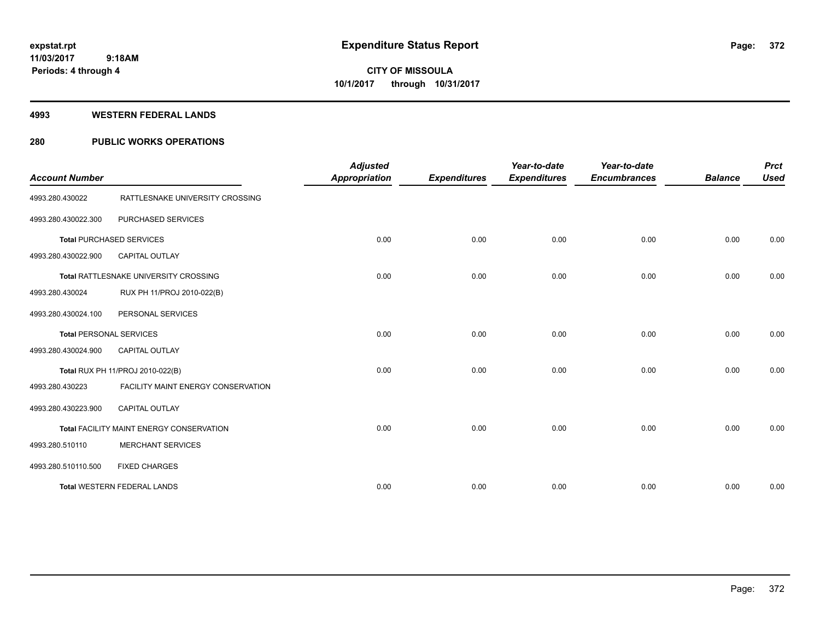#### **4993 WESTERN FEDERAL LANDS**

### **280 PUBLIC WORKS OPERATIONS**

| <b>Account Number</b>          |                                          | <b>Adjusted</b><br><b>Appropriation</b> | <b>Expenditures</b> | Year-to-date<br><b>Expenditures</b> | Year-to-date<br><b>Encumbrances</b> | <b>Balance</b> | <b>Prct</b><br><b>Used</b> |
|--------------------------------|------------------------------------------|-----------------------------------------|---------------------|-------------------------------------|-------------------------------------|----------------|----------------------------|
| 4993.280.430022                | RATTLESNAKE UNIVERSITY CROSSING          |                                         |                     |                                     |                                     |                |                            |
| 4993.280.430022.300            | PURCHASED SERVICES                       |                                         |                     |                                     |                                     |                |                            |
|                                | <b>Total PURCHASED SERVICES</b>          | 0.00                                    | 0.00                | 0.00                                | 0.00                                | 0.00           | 0.00                       |
| 4993.280.430022.900            | CAPITAL OUTLAY                           |                                         |                     |                                     |                                     |                |                            |
|                                | Total RATTLESNAKE UNIVERSITY CROSSING    | 0.00                                    | 0.00                | 0.00                                | 0.00                                | 0.00           | 0.00                       |
| 4993.280.430024                | RUX PH 11/PROJ 2010-022(B)               |                                         |                     |                                     |                                     |                |                            |
| 4993.280.430024.100            | PERSONAL SERVICES                        |                                         |                     |                                     |                                     |                |                            |
| <b>Total PERSONAL SERVICES</b> |                                          | 0.00                                    | 0.00                | 0.00                                | 0.00                                | 0.00           | 0.00                       |
| 4993.280.430024.900            | CAPITAL OUTLAY                           |                                         |                     |                                     |                                     |                |                            |
|                                | Total RUX PH 11/PROJ 2010-022(B)         | 0.00                                    | 0.00                | 0.00                                | 0.00                                | 0.00           | 0.00                       |
| 4993.280.430223                | FACILITY MAINT ENERGY CONSERVATION       |                                         |                     |                                     |                                     |                |                            |
| 4993.280.430223.900            | CAPITAL OUTLAY                           |                                         |                     |                                     |                                     |                |                            |
|                                | Total FACILITY MAINT ENERGY CONSERVATION | 0.00                                    | 0.00                | 0.00                                | 0.00                                | 0.00           | 0.00                       |
| 4993.280.510110                | <b>MERCHANT SERVICES</b>                 |                                         |                     |                                     |                                     |                |                            |
| 4993.280.510110.500            | <b>FIXED CHARGES</b>                     |                                         |                     |                                     |                                     |                |                            |
|                                | <b>Total WESTERN FEDERAL LANDS</b>       | 0.00                                    | 0.00                | 0.00                                | 0.00                                | 0.00           | 0.00                       |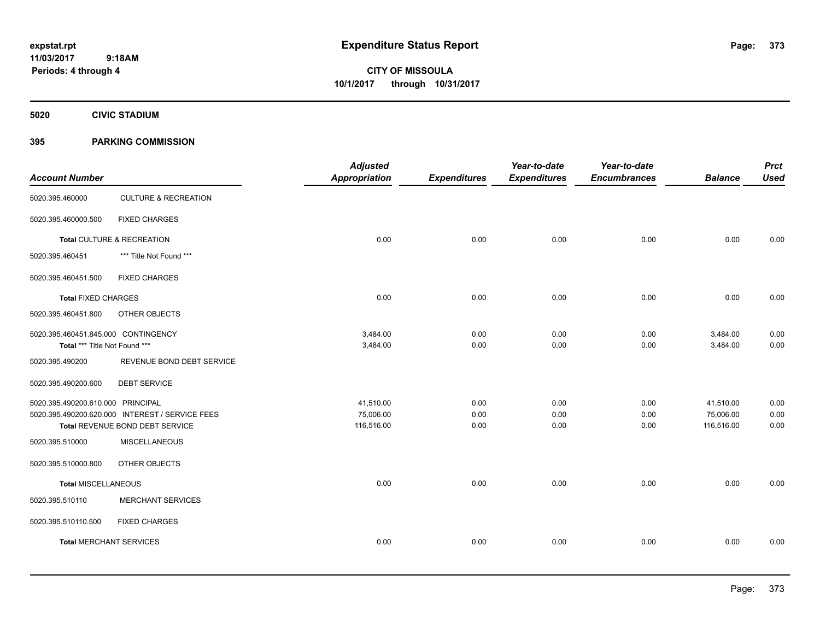**CITY OF MISSOULA 10/1/2017 through 10/31/2017**

**5020 CIVIC STADIUM**

#### **395 PARKING COMMISSION**

| <b>Account Number</b>                                                |                                                         | <b>Adjusted</b><br><b>Appropriation</b> | <b>Expenditures</b> | Year-to-date<br><b>Expenditures</b> | Year-to-date<br><b>Encumbrances</b> | <b>Balance</b>       | <b>Prct</b><br><b>Used</b> |
|----------------------------------------------------------------------|---------------------------------------------------------|-----------------------------------------|---------------------|-------------------------------------|-------------------------------------|----------------------|----------------------------|
| 5020.395.460000                                                      | <b>CULTURE &amp; RECREATION</b>                         |                                         |                     |                                     |                                     |                      |                            |
| 5020.395.460000.500                                                  | <b>FIXED CHARGES</b>                                    |                                         |                     |                                     |                                     |                      |                            |
|                                                                      | Total CULTURE & RECREATION                              | 0.00                                    | 0.00                | 0.00                                | 0.00                                | 0.00                 | 0.00                       |
| 5020.395.460451                                                      | *** Title Not Found ***                                 |                                         |                     |                                     |                                     |                      |                            |
| 5020.395.460451.500                                                  | <b>FIXED CHARGES</b>                                    |                                         |                     |                                     |                                     |                      |                            |
| <b>Total FIXED CHARGES</b>                                           |                                                         | 0.00                                    | 0.00                | 0.00                                | 0.00                                | 0.00                 | 0.00                       |
| 5020.395.460451.800                                                  | OTHER OBJECTS                                           |                                         |                     |                                     |                                     |                      |                            |
| 5020.395.460451.845.000 CONTINGENCY<br>Total *** Title Not Found *** |                                                         | 3,484.00<br>3,484.00                    | 0.00<br>0.00        | 0.00<br>0.00                        | 0.00<br>0.00                        | 3,484.00<br>3,484.00 | 0.00<br>0.00               |
| 5020.395.490200                                                      | REVENUE BOND DEBT SERVICE                               |                                         |                     |                                     |                                     |                      |                            |
| 5020.395.490200.600                                                  | <b>DEBT SERVICE</b>                                     |                                         |                     |                                     |                                     |                      |                            |
| 5020.395.490200.610.000 PRINCIPAL                                    |                                                         | 41,510.00                               | 0.00                | 0.00                                | 0.00                                | 41,510.00            | 0.00                       |
|                                                                      | 5020.395.490200.620.000 INTEREST / SERVICE FEES         | 75,006.00                               | 0.00                | 0.00                                | 0.00                                | 75,006.00            | 0.00                       |
| 5020.395.510000                                                      | Total REVENUE BOND DEBT SERVICE<br><b>MISCELLANEOUS</b> | 116,516.00                              | 0.00                | 0.00                                | 0.00                                | 116,516.00           | 0.00                       |
|                                                                      |                                                         |                                         |                     |                                     |                                     |                      |                            |
| 5020.395.510000.800                                                  | OTHER OBJECTS                                           |                                         |                     |                                     |                                     |                      |                            |
| <b>Total MISCELLANEOUS</b>                                           |                                                         | 0.00                                    | 0.00                | 0.00                                | 0.00                                | 0.00                 | 0.00                       |
| 5020.395.510110                                                      | <b>MERCHANT SERVICES</b>                                |                                         |                     |                                     |                                     |                      |                            |
| 5020.395.510110.500                                                  | <b>FIXED CHARGES</b>                                    |                                         |                     |                                     |                                     |                      |                            |
| <b>Total MERCHANT SERVICES</b>                                       |                                                         | 0.00                                    | 0.00                | 0.00                                | 0.00                                | 0.00                 | 0.00                       |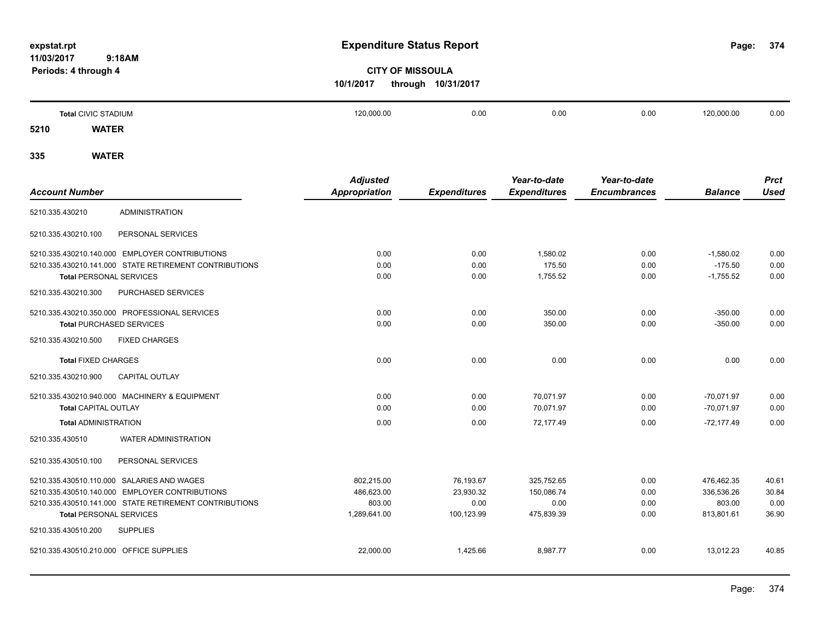**374**

# **CITY OF MISSOULA 10/1/2017 through 10/31/2017**

|      | <b>Total CIVIC STADIUM</b> | 120,000.00 | 0.00 | 0.00 | 0.00 | 120,000.00 | 0.00 |
|------|----------------------------|------------|------|------|------|------------|------|
| 5210 | <b>WATER</b>               |            |      |      |      |            |      |

|                                                        | <b>Adjusted</b>      |                     | Year-to-date        | Year-to-date        |                | <b>Prct</b> |
|--------------------------------------------------------|----------------------|---------------------|---------------------|---------------------|----------------|-------------|
| <b>Account Number</b>                                  | <b>Appropriation</b> | <b>Expenditures</b> | <b>Expenditures</b> | <b>Encumbrances</b> | <b>Balance</b> | <b>Used</b> |
| <b>ADMINISTRATION</b><br>5210.335.430210               |                      |                     |                     |                     |                |             |
| 5210.335.430210.100<br>PERSONAL SERVICES               |                      |                     |                     |                     |                |             |
| 5210.335.430210.140.000 EMPLOYER CONTRIBUTIONS         | 0.00                 | 0.00                | 1.580.02            | 0.00                | $-1,580.02$    | 0.00        |
| 5210.335.430210.141.000 STATE RETIREMENT CONTRIBUTIONS | 0.00                 | 0.00                | 175.50              | 0.00                | $-175.50$      | 0.00        |
| <b>Total PERSONAL SERVICES</b>                         | 0.00                 | 0.00                | 1,755.52            | 0.00                | $-1,755.52$    | 0.00        |
| 5210.335.430210.300<br>PURCHASED SERVICES              |                      |                     |                     |                     |                |             |
| 5210.335.430210.350.000 PROFESSIONAL SERVICES          | 0.00                 | 0.00                | 350.00              | 0.00                | $-350.00$      | 0.00        |
| <b>Total PURCHASED SERVICES</b>                        | 0.00                 | 0.00                | 350.00              | 0.00                | $-350.00$      | 0.00        |
| 5210.335.430210.500<br><b>FIXED CHARGES</b>            |                      |                     |                     |                     |                |             |
| <b>Total FIXED CHARGES</b>                             | 0.00                 | 0.00                | 0.00                | 0.00                | 0.00           | 0.00        |
| 5210.335.430210.900<br><b>CAPITAL OUTLAY</b>           |                      |                     |                     |                     |                |             |
| 5210.335.430210.940.000 MACHINERY & EQUIPMENT          | 0.00                 | 0.00                | 70,071.97           | 0.00                | $-70.071.97$   | 0.00        |
| <b>Total CAPITAL OUTLAY</b>                            | 0.00                 | 0.00                | 70,071.97           | 0.00                | $-70,071.97$   | 0.00        |
| <b>Total ADMINISTRATION</b>                            | 0.00                 | 0.00                | 72,177.49           | 0.00                | $-72,177.49$   | 0.00        |
| 5210.335.430510<br><b>WATER ADMINISTRATION</b>         |                      |                     |                     |                     |                |             |
| PERSONAL SERVICES<br>5210.335.430510.100               |                      |                     |                     |                     |                |             |
| 5210.335.430510.110.000 SALARIES AND WAGES             | 802,215.00           | 76,193.67           | 325,752.65          | 0.00                | 476,462.35     | 40.61       |
| 5210.335.430510.140.000 EMPLOYER CONTRIBUTIONS         | 486,623.00           | 23,930.32           | 150,086.74          | 0.00                | 336,536.26     | 30.84       |
| 5210.335.430510.141.000 STATE RETIREMENT CONTRIBUTIONS | 803.00               | 0.00                | 0.00                | 0.00                | 803.00         | 0.00        |
| <b>Total PERSONAL SERVICES</b>                         | 1,289,641.00         | 100,123.99          | 475,839.39          | 0.00                | 813,801.61     | 36.90       |
| 5210.335.430510.200<br><b>SUPPLIES</b>                 |                      |                     |                     |                     |                |             |
| 5210.335.430510.210.000 OFFICE SUPPLIES                | 22,000.00            | 1,425.66            | 8,987.77            | 0.00                | 13,012.23      | 40.85       |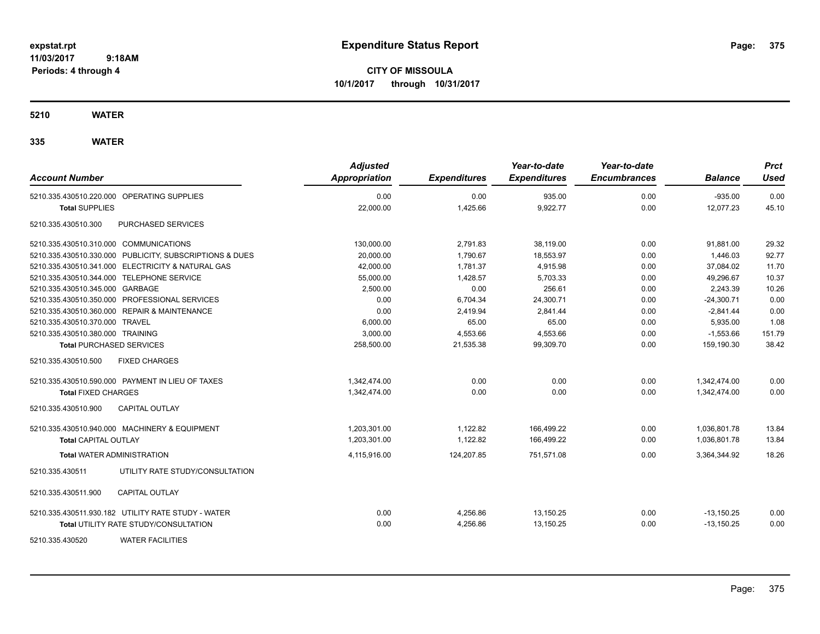**CITY OF MISSOULA 10/1/2017 through 10/31/2017**

#### **5210 WATER**

| <b>Account Number</b>                                   | <b>Adjusted</b><br><b>Appropriation</b> | <b>Expenditures</b> | Year-to-date<br><b>Expenditures</b> | Year-to-date<br><b>Encumbrances</b> | <b>Balance</b> | <b>Prct</b><br>Used |
|---------------------------------------------------------|-----------------------------------------|---------------------|-------------------------------------|-------------------------------------|----------------|---------------------|
| 5210.335.430510.220.000 OPERATING SUPPLIES              | 0.00                                    | 0.00                | 935.00                              | 0.00                                | $-935.00$      | 0.00                |
| <b>Total SUPPLIES</b>                                   | 22,000.00                               | 1,425.66            | 9,922.77                            | 0.00                                | 12,077.23      | 45.10               |
| 5210.335.430510.300<br>PURCHASED SERVICES               |                                         |                     |                                     |                                     |                |                     |
| 5210.335.430510.310.000 COMMUNICATIONS                  | 130,000.00                              | 2,791.83            | 38,119.00                           | 0.00                                | 91,881.00      | 29.32               |
| 5210.335.430510.330.000 PUBLICITY, SUBSCRIPTIONS & DUES | 20.000.00                               | 1.790.67            | 18,553.97                           | 0.00                                | 1,446.03       | 92.77               |
| 5210.335.430510.341.000 ELECTRICITY & NATURAL GAS       | 42,000.00                               | 1.781.37            | 4,915.98                            | 0.00                                | 37,084.02      | 11.70               |
| 5210.335.430510.344.000 TELEPHONE SERVICE               | 55,000.00                               | 1,428.57            | 5,703.33                            | 0.00                                | 49,296.67      | 10.37               |
| 5210.335.430510.345.000 GARBAGE                         | 2,500.00                                | 0.00                | 256.61                              | 0.00                                | 2,243.39       | 10.26               |
| 5210.335.430510.350.000 PROFESSIONAL SERVICES           | 0.00                                    | 6,704.34            | 24,300.71                           | 0.00                                | $-24,300.71$   | 0.00                |
| 5210.335.430510.360.000 REPAIR & MAINTENANCE            | 0.00                                    | 2,419.94            | 2.841.44                            | 0.00                                | $-2,841.44$    | 0.00                |
| 5210.335.430510.370.000 TRAVEL                          | 6,000.00                                | 65.00               | 65.00                               | 0.00                                | 5,935.00       | 1.08                |
| 5210.335.430510.380.000 TRAINING                        | 3,000.00                                | 4,553.66            | 4,553.66                            | 0.00                                | $-1,553.66$    | 151.79              |
| <b>Total PURCHASED SERVICES</b>                         | 258,500.00                              | 21,535.38           | 99,309.70                           | 0.00                                | 159,190.30     | 38.42               |
| 5210.335.430510.500<br><b>FIXED CHARGES</b>             |                                         |                     |                                     |                                     |                |                     |
| 5210.335.430510.590.000 PAYMENT IN LIEU OF TAXES        | 1,342,474.00                            | 0.00                | 0.00                                | 0.00                                | 1,342,474.00   | 0.00                |
| <b>Total FIXED CHARGES</b>                              | 1,342,474.00                            | 0.00                | 0.00                                | 0.00                                | 1,342,474.00   | 0.00                |
| 5210.335.430510.900<br><b>CAPITAL OUTLAY</b>            |                                         |                     |                                     |                                     |                |                     |
| 5210.335.430510.940.000 MACHINERY & EQUIPMENT           | 1,203,301.00                            | 1,122.82            | 166,499.22                          | 0.00                                | 1,036,801.78   | 13.84               |
| <b>Total CAPITAL OUTLAY</b>                             | 1.203.301.00                            | 1,122.82            | 166.499.22                          | 0.00                                | 1,036,801.78   | 13.84               |
| <b>Total WATER ADMINISTRATION</b>                       | 4,115,916.00                            | 124,207.85          | 751,571.08                          | 0.00                                | 3,364,344.92   | 18.26               |
| 5210.335.430511<br>UTILITY RATE STUDY/CONSULTATION      |                                         |                     |                                     |                                     |                |                     |
| 5210.335.430511.900<br><b>CAPITAL OUTLAY</b>            |                                         |                     |                                     |                                     |                |                     |
| 5210.335.430511.930.182 UTILITY RATE STUDY - WATER      | 0.00                                    | 4,256.86            | 13,150.25                           | 0.00                                | $-13,150.25$   | 0.00                |
| <b>Total UTILITY RATE STUDY/CONSULTATION</b>            | 0.00                                    | 4,256.86            | 13,150.25                           | 0.00                                | $-13,150.25$   | 0.00                |
| <b>WATER FACILITIES</b><br>5210.335.430520              |                                         |                     |                                     |                                     |                |                     |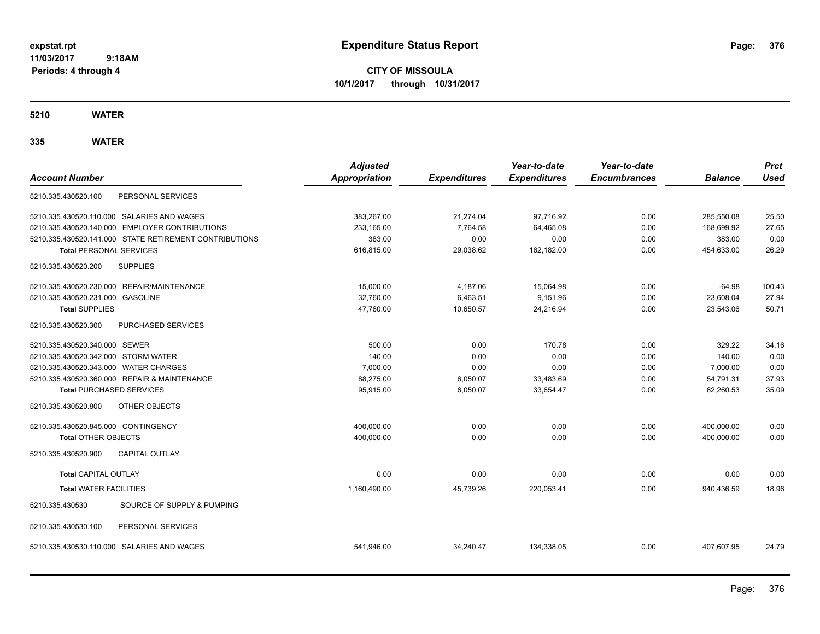**CITY OF MISSOULA 10/1/2017 through 10/31/2017**

**5210 WATER**

| <b>Account Number</b>                                  | <b>Adjusted</b><br><b>Appropriation</b> | <b>Expenditures</b> | Year-to-date<br><b>Expenditures</b> | Year-to-date<br><b>Encumbrances</b> | <b>Balance</b> | <b>Prct</b><br><b>Used</b> |
|--------------------------------------------------------|-----------------------------------------|---------------------|-------------------------------------|-------------------------------------|----------------|----------------------------|
| PERSONAL SERVICES<br>5210.335.430520.100               |                                         |                     |                                     |                                     |                |                            |
| 5210.335.430520.110.000 SALARIES AND WAGES             | 383,267.00                              | 21,274.04           | 97,716.92                           | 0.00                                | 285,550.08     | 25.50                      |
| 5210.335.430520.140.000 EMPLOYER CONTRIBUTIONS         | 233,165.00                              | 7,764.58            | 64,465.08                           | 0.00                                | 168,699.92     | 27.65                      |
| 5210.335.430520.141.000 STATE RETIREMENT CONTRIBUTIONS | 383.00                                  | 0.00                | 0.00                                | 0.00                                | 383.00         | 0.00                       |
| <b>Total PERSONAL SERVICES</b>                         | 616,815.00                              | 29,038.62           | 162,182.00                          | 0.00                                | 454,633.00     | 26.29                      |
| 5210.335.430520.200<br><b>SUPPLIES</b>                 |                                         |                     |                                     |                                     |                |                            |
| 5210.335.430520.230.000 REPAIR/MAINTENANCE             | 15,000.00                               | 4,187.06            | 15,064.98                           | 0.00                                | $-64.98$       | 100.43                     |
| 5210.335.430520.231.000 GASOLINE                       | 32,760.00                               | 6,463.51            | 9,151.96                            | 0.00                                | 23,608.04      | 27.94                      |
| <b>Total SUPPLIES</b>                                  | 47,760.00                               | 10,650.57           | 24,216.94                           | 0.00                                | 23,543.06      | 50.71                      |
| <b>PURCHASED SERVICES</b><br>5210.335.430520.300       |                                         |                     |                                     |                                     |                |                            |
| 5210.335.430520.340.000 SEWER                          | 500.00                                  | 0.00                | 170.78                              | 0.00                                | 329.22         | 34.16                      |
| 5210.335.430520.342.000 STORM WATER                    | 140.00                                  | 0.00                | 0.00                                | 0.00                                | 140.00         | 0.00                       |
| 5210.335.430520.343.000 WATER CHARGES                  | 7,000.00                                | 0.00                | 0.00                                | 0.00                                | 7,000.00       | 0.00                       |
| 5210.335.430520.360.000 REPAIR & MAINTENANCE           | 88,275.00                               | 6,050.07            | 33,483.69                           | 0.00                                | 54,791.31      | 37.93                      |
| <b>Total PURCHASED SERVICES</b>                        | 95,915.00                               | 6,050.07            | 33,654.47                           | 0.00                                | 62,260.53      | 35.09                      |
| 5210.335.430520.800<br>OTHER OBJECTS                   |                                         |                     |                                     |                                     |                |                            |
| 5210.335.430520.845.000 CONTINGENCY                    | 400,000.00                              | 0.00                | 0.00                                | 0.00                                | 400,000.00     | 0.00                       |
| <b>Total OTHER OBJECTS</b>                             | 400,000.00                              | 0.00                | 0.00                                | 0.00                                | 400,000.00     | 0.00                       |
| 5210.335.430520.900<br><b>CAPITAL OUTLAY</b>           |                                         |                     |                                     |                                     |                |                            |
| Total CAPITAL OUTLAY                                   | 0.00                                    | 0.00                | 0.00                                | 0.00                                | 0.00           | 0.00                       |
| <b>Total WATER FACILITIES</b>                          | 1,160,490.00                            | 45,739.26           | 220,053.41                          | 0.00                                | 940,436.59     | 18.96                      |
| SOURCE OF SUPPLY & PUMPING<br>5210.335.430530          |                                         |                     |                                     |                                     |                |                            |
| PERSONAL SERVICES<br>5210.335.430530.100               |                                         |                     |                                     |                                     |                |                            |
| 5210.335.430530.110.000 SALARIES AND WAGES             | 541,946.00                              | 34,240.47           | 134,338.05                          | 0.00                                | 407,607.95     | 24.79                      |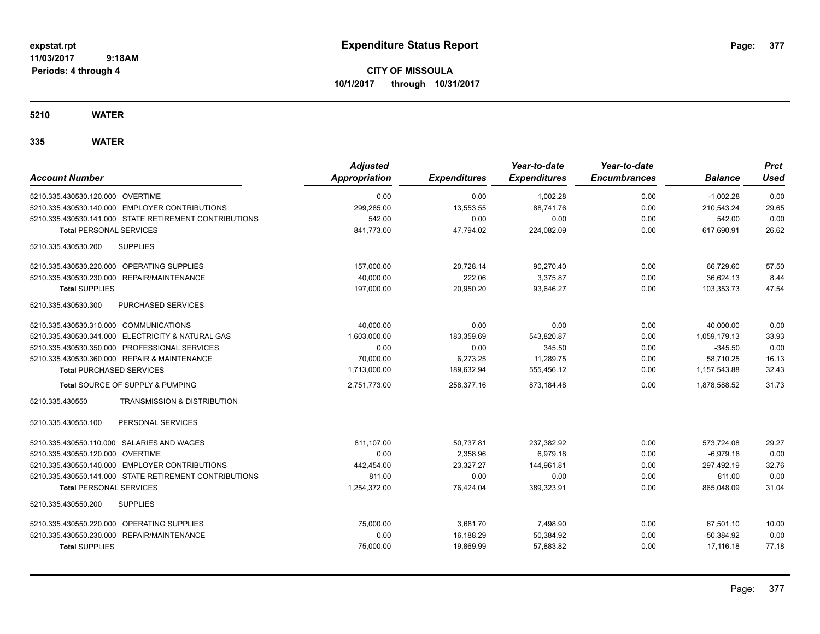**CITY OF MISSOULA 10/1/2017 through 10/31/2017**

#### **5210 WATER**

| <b>Account Number</b>                                  | <b>Adjusted</b><br><b>Appropriation</b> | <b>Expenditures</b> | Year-to-date<br><b>Expenditures</b> | Year-to-date<br><b>Encumbrances</b> | <b>Balance</b> | <b>Prct</b><br>Used |
|--------------------------------------------------------|-----------------------------------------|---------------------|-------------------------------------|-------------------------------------|----------------|---------------------|
| 5210.335.430530.120.000 OVERTIME                       | 0.00                                    | 0.00                | 1,002.28                            | 0.00                                | $-1,002.28$    | 0.00                |
| 5210.335.430530.140.000 EMPLOYER CONTRIBUTIONS         | 299,285.00                              | 13,553.55           | 88,741.76                           | 0.00                                | 210,543.24     | 29.65               |
| 5210.335.430530.141.000 STATE RETIREMENT CONTRIBUTIONS | 542.00                                  | 0.00                | 0.00                                | 0.00                                | 542.00         | 0.00                |
| <b>Total PERSONAL SERVICES</b>                         | 841.773.00                              | 47,794.02           | 224,082.09                          | 0.00                                | 617,690.91     | 26.62               |
| <b>SUPPLIES</b><br>5210.335.430530.200                 |                                         |                     |                                     |                                     |                |                     |
| 5210.335.430530.220.000 OPERATING SUPPLIES             | 157,000.00                              | 20,728.14           | 90,270.40                           | 0.00                                | 66.729.60      | 57.50               |
| 5210.335.430530.230.000 REPAIR/MAINTENANCE             | 40,000.00                               | 222.06              | 3,375.87                            | 0.00                                | 36,624.13      | 8.44                |
| <b>Total SUPPLIES</b>                                  | 197,000.00                              | 20,950.20           | 93,646.27                           | 0.00                                | 103,353.73     | 47.54               |
| 5210.335.430530.300<br>PURCHASED SERVICES              |                                         |                     |                                     |                                     |                |                     |
| 5210.335.430530.310.000 COMMUNICATIONS                 | 40,000.00                               | 0.00                | 0.00                                | 0.00                                | 40,000.00      | 0.00                |
| 5210.335.430530.341.000 ELECTRICITY & NATURAL GAS      | 1.603.000.00                            | 183,359.69          | 543,820.87                          | 0.00                                | 1.059.179.13   | 33.93               |
| 5210.335.430530.350.000 PROFESSIONAL SERVICES          | 0.00                                    | 0.00                | 345.50                              | 0.00                                | $-345.50$      | 0.00                |
| 5210.335.430530.360.000 REPAIR & MAINTENANCE           | 70.000.00                               | 6,273.25            | 11.289.75                           | 0.00                                | 58.710.25      | 16.13               |
| <b>Total PURCHASED SERVICES</b>                        | 1,713,000.00                            | 189,632.94          | 555,456.12                          | 0.00                                | 1,157,543.88   | 32.43               |
| Total SOURCE OF SUPPLY & PUMPING                       | 2,751,773.00                            | 258,377.16          | 873,184.48                          | 0.00                                | 1,878,588.52   | 31.73               |
| TRANSMISSION & DISTRIBUTION<br>5210.335.430550         |                                         |                     |                                     |                                     |                |                     |
| 5210.335.430550.100<br>PERSONAL SERVICES               |                                         |                     |                                     |                                     |                |                     |
| 5210.335.430550.110.000 SALARIES AND WAGES             | 811.107.00                              | 50,737.81           | 237,382.92                          | 0.00                                | 573,724.08     | 29.27               |
| 5210.335.430550.120.000 OVERTIME                       | 0.00                                    | 2.358.96            | 6.979.18                            | 0.00                                | $-6.979.18$    | 0.00                |
| 5210.335.430550.140.000 EMPLOYER CONTRIBUTIONS         | 442.454.00                              | 23.327.27           | 144,961.81                          | 0.00                                | 297.492.19     | 32.76               |
| 5210.335.430550.141.000 STATE RETIREMENT CONTRIBUTIONS | 811.00                                  | 0.00                | 0.00                                | 0.00                                | 811.00         | 0.00                |
| <b>Total PERSONAL SERVICES</b>                         | 1,254,372.00                            | 76.424.04           | 389,323.91                          | 0.00                                | 865.048.09     | 31.04               |
| 5210.335.430550.200<br><b>SUPPLIES</b>                 |                                         |                     |                                     |                                     |                |                     |
| 5210.335.430550.220.000 OPERATING SUPPLIES             | 75,000.00                               | 3,681.70            | 7,498.90                            | 0.00                                | 67,501.10      | 10.00               |
| 5210.335.430550.230.000 REPAIR/MAINTENANCE             | 0.00                                    | 16,188.29           | 50,384.92                           | 0.00                                | $-50,384.92$   | 0.00                |
| <b>Total SUPPLIES</b>                                  | 75,000.00                               | 19,869.99           | 57,883.82                           | 0.00                                | 17,116.18      | 77.18               |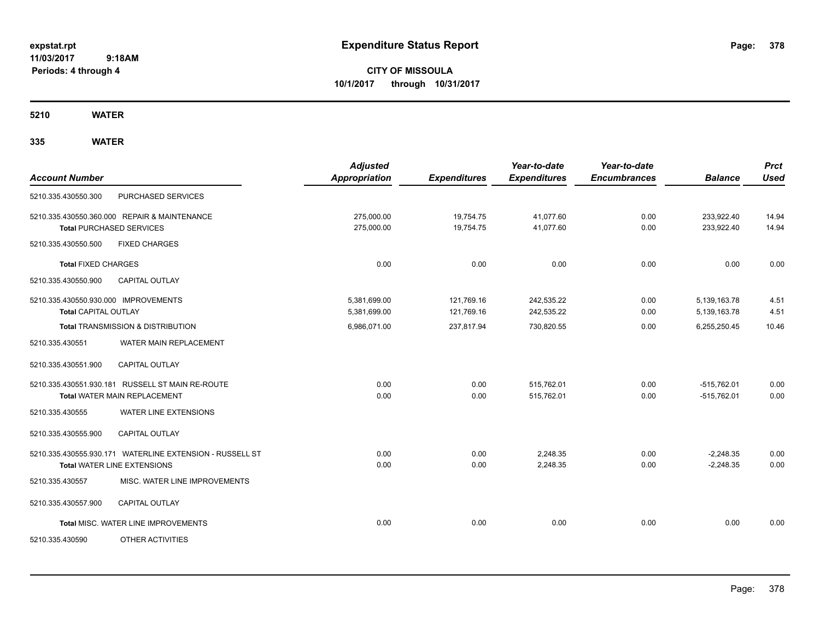**CITY OF MISSOULA 10/1/2017 through 10/31/2017**

**5210 WATER**

| <b>Account Number</b>                                               |                                                                                         | <b>Adjusted</b><br><b>Appropriation</b> | <b>Expenditures</b>      | Year-to-date<br><b>Expenditures</b> | Year-to-date<br><b>Encumbrances</b> | <b>Balance</b>                 | <b>Prct</b><br><b>Used</b> |
|---------------------------------------------------------------------|-----------------------------------------------------------------------------------------|-----------------------------------------|--------------------------|-------------------------------------|-------------------------------------|--------------------------------|----------------------------|
| 5210.335.430550.300                                                 | <b>PURCHASED SERVICES</b>                                                               |                                         |                          |                                     |                                     |                                |                            |
|                                                                     | 5210.335.430550.360.000 REPAIR & MAINTENANCE<br><b>Total PURCHASED SERVICES</b>         | 275.000.00<br>275,000.00                | 19,754.75<br>19,754.75   | 41.077.60<br>41,077.60              | 0.00<br>0.00                        | 233,922.40<br>233,922.40       | 14.94<br>14.94             |
| 5210.335.430550.500                                                 | <b>FIXED CHARGES</b>                                                                    |                                         |                          |                                     |                                     |                                |                            |
| <b>Total FIXED CHARGES</b>                                          |                                                                                         | 0.00                                    | 0.00                     | 0.00                                | 0.00                                | 0.00                           | 0.00                       |
| 5210.335.430550.900                                                 | <b>CAPITAL OUTLAY</b>                                                                   |                                         |                          |                                     |                                     |                                |                            |
| 5210.335.430550.930.000 IMPROVEMENTS<br><b>Total CAPITAL OUTLAY</b> |                                                                                         | 5,381,699.00<br>5,381,699.00            | 121,769.16<br>121,769.16 | 242,535.22<br>242,535.22            | 0.00<br>0.00                        | 5,139,163.78<br>5,139,163.78   | 4.51<br>4.51               |
|                                                                     | <b>Total TRANSMISSION &amp; DISTRIBUTION</b>                                            | 6,986,071.00                            | 237,817.94               | 730,820.55                          | 0.00                                | 6,255,250.45                   | 10.46                      |
| 5210.335.430551                                                     | WATER MAIN REPLACEMENT                                                                  |                                         |                          |                                     |                                     |                                |                            |
| 5210.335.430551.900                                                 | <b>CAPITAL OUTLAY</b>                                                                   |                                         |                          |                                     |                                     |                                |                            |
|                                                                     | 5210.335.430551.930.181 RUSSELL ST MAIN RE-ROUTE<br>Total WATER MAIN REPLACEMENT        | 0.00<br>0.00                            | 0.00<br>0.00             | 515,762.01<br>515,762.01            | 0.00<br>0.00                        | $-515,762.01$<br>$-515,762.01$ | 0.00<br>0.00               |
| 5210.335.430555                                                     | <b>WATER LINE EXTENSIONS</b>                                                            |                                         |                          |                                     |                                     |                                |                            |
| 5210.335.430555.900                                                 | <b>CAPITAL OUTLAY</b>                                                                   |                                         |                          |                                     |                                     |                                |                            |
|                                                                     | 5210.335.430555.930.171 WATERLINE EXTENSION - RUSSELL ST<br>Total WATER LINE EXTENSIONS | 0.00<br>0.00                            | 0.00<br>0.00             | 2,248.35<br>2,248.35                | 0.00<br>0.00                        | $-2,248.35$<br>$-2,248.35$     | 0.00<br>0.00               |
| 5210.335.430557                                                     | MISC. WATER LINE IMPROVEMENTS                                                           |                                         |                          |                                     |                                     |                                |                            |
| 5210.335.430557.900                                                 | <b>CAPITAL OUTLAY</b>                                                                   |                                         |                          |                                     |                                     |                                |                            |
|                                                                     | Total MISC. WATER LINE IMPROVEMENTS                                                     | 0.00                                    | 0.00                     | 0.00                                | 0.00                                | 0.00                           | 0.00                       |
| 5210.335.430590                                                     | OTHER ACTIVITIES                                                                        |                                         |                          |                                     |                                     |                                |                            |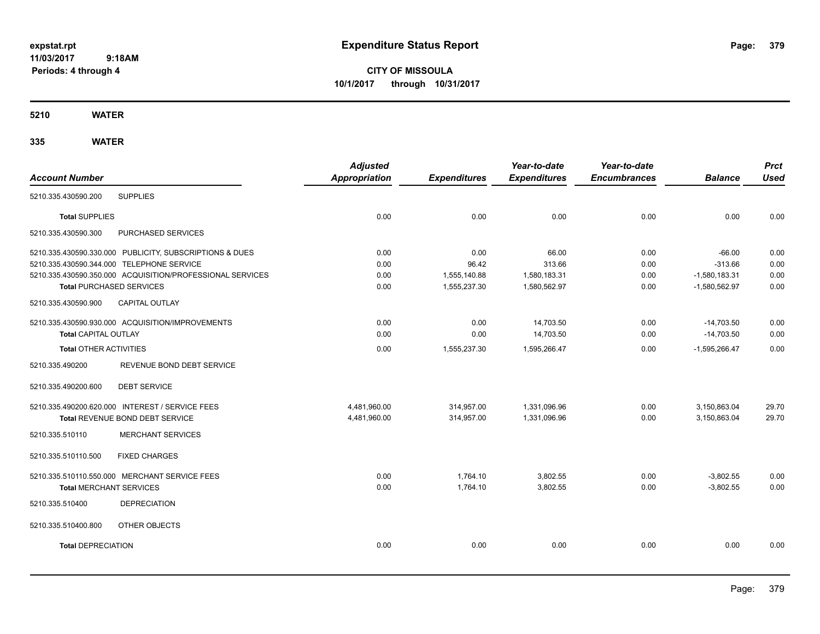**CITY OF MISSOULA 10/1/2017 through 10/31/2017**

**5210 WATER**

|                                                           | <b>Adjusted</b>      |                     | Year-to-date        | Year-to-date        |                 | <b>Prct</b> |
|-----------------------------------------------------------|----------------------|---------------------|---------------------|---------------------|-----------------|-------------|
| <b>Account Number</b>                                     | <b>Appropriation</b> | <b>Expenditures</b> | <b>Expenditures</b> | <b>Encumbrances</b> | <b>Balance</b>  | <b>Used</b> |
| <b>SUPPLIES</b><br>5210.335.430590.200                    |                      |                     |                     |                     |                 |             |
| <b>Total SUPPLIES</b>                                     | 0.00                 | 0.00                | 0.00                | 0.00                | 0.00            | 0.00        |
| PURCHASED SERVICES<br>5210.335.430590.300                 |                      |                     |                     |                     |                 |             |
| 5210.335.430590.330.000 PUBLICITY, SUBSCRIPTIONS & DUES   | 0.00                 | 0.00                | 66.00               | 0.00                | $-66.00$        | 0.00        |
| 5210.335.430590.344.000 TELEPHONE SERVICE                 | 0.00                 | 96.42               | 313.66              | 0.00                | $-313.66$       | 0.00        |
| 5210.335.430590.350.000 ACQUISITION/PROFESSIONAL SERVICES | 0.00                 | 1,555,140.88        | 1,580,183.31        | 0.00                | $-1,580,183.31$ | 0.00        |
| <b>Total PURCHASED SERVICES</b>                           | 0.00                 | 1,555,237.30        | 1,580,562.97        | 0.00                | $-1,580,562.97$ | 0.00        |
| <b>CAPITAL OUTLAY</b><br>5210.335.430590.900              |                      |                     |                     |                     |                 |             |
| 5210.335.430590.930.000 ACQUISITION/IMPROVEMENTS          | 0.00                 | 0.00                | 14,703.50           | 0.00                | $-14,703.50$    | 0.00        |
| <b>Total CAPITAL OUTLAY</b>                               | 0.00                 | 0.00                | 14,703.50           | 0.00                | $-14,703.50$    | 0.00        |
| <b>Total OTHER ACTIVITIES</b>                             | 0.00                 | 1,555,237.30        | 1,595,266.47        | 0.00                | $-1,595,266.47$ | 0.00        |
| REVENUE BOND DEBT SERVICE<br>5210.335.490200              |                      |                     |                     |                     |                 |             |
| <b>DEBT SERVICE</b><br>5210.335.490200.600                |                      |                     |                     |                     |                 |             |
| 5210.335.490200.620.000 INTEREST / SERVICE FEES           | 4,481,960.00         | 314,957.00          | 1,331,096.96        | 0.00                | 3,150,863.04    | 29.70       |
| Total REVENUE BOND DEBT SERVICE                           | 4,481,960.00         | 314,957.00          | 1,331,096.96        | 0.00                | 3,150,863.04    | 29.70       |
| <b>MERCHANT SERVICES</b><br>5210.335.510110               |                      |                     |                     |                     |                 |             |
| 5210.335.510110.500<br><b>FIXED CHARGES</b>               |                      |                     |                     |                     |                 |             |
| 5210.335.510110.550.000 MERCHANT SERVICE FEES             | 0.00                 | 1,764.10            | 3,802.55            | 0.00                | $-3,802.55$     | 0.00        |
| <b>Total MERCHANT SERVICES</b>                            | 0.00                 | 1,764.10            | 3,802.55            | 0.00                | $-3.802.55$     | 0.00        |
| 5210.335.510400<br><b>DEPRECIATION</b>                    |                      |                     |                     |                     |                 |             |
| 5210.335.510400.800<br>OTHER OBJECTS                      |                      |                     |                     |                     |                 |             |
| <b>Total DEPRECIATION</b>                                 | 0.00                 | 0.00                | 0.00                | 0.00                | 0.00            | 0.00        |
|                                                           |                      |                     |                     |                     |                 |             |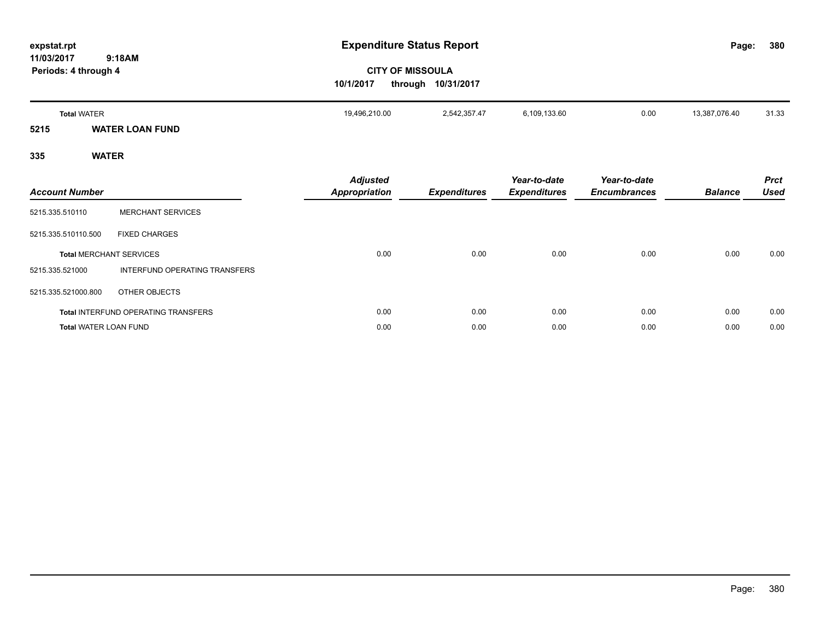| expstat.rpt                                  |                                | <b>Expenditure Status Report</b>        |                                               |                                     |                                     | Page:          | 380                        |
|----------------------------------------------|--------------------------------|-----------------------------------------|-----------------------------------------------|-------------------------------------|-------------------------------------|----------------|----------------------------|
| 9:18AM<br>11/03/2017<br>Periods: 4 through 4 |                                | 10/1/2017                               | <b>CITY OF MISSOULA</b><br>through 10/31/2017 |                                     |                                     |                |                            |
| <b>Total WATER</b>                           |                                | 19,496,210.00                           | 2,542,357.47                                  | 6,109,133.60                        | 0.00                                | 13,387,076.40  | 31.33                      |
| 5215                                         | <b>WATER LOAN FUND</b>         |                                         |                                               |                                     |                                     |                |                            |
| 335                                          | <b>WATER</b>                   |                                         |                                               |                                     |                                     |                |                            |
| <b>Account Number</b>                        |                                | <b>Adjusted</b><br><b>Appropriation</b> | <b>Expenditures</b>                           | Year-to-date<br><b>Expenditures</b> | Year-to-date<br><b>Encumbrances</b> | <b>Balance</b> | <b>Prct</b><br><b>Used</b> |
| 5215.335.510110                              | <b>MERCHANT SERVICES</b>       |                                         |                                               |                                     |                                     |                |                            |
| 5215.335.510110.500                          | <b>FIXED CHARGES</b>           |                                         |                                               |                                     |                                     |                |                            |
|                                              | <b>Total MERCHANT SERVICES</b> | 0.00                                    | 0.00                                          | 0.00                                | 0.00                                | 0.00           | 0.00                       |

**Total** INTERFUND OPERATING TRANSFERS 0.00 0.00 0.00 0.00 0.00 0.00 **Total** WATER LOAN FUND 0.00 0.00 0.00 0.00 0.00 0.00

5215.335.521000 INTERFUND OPERATING TRANSFERS

5215.335.521000.800 OTHER OBJECTS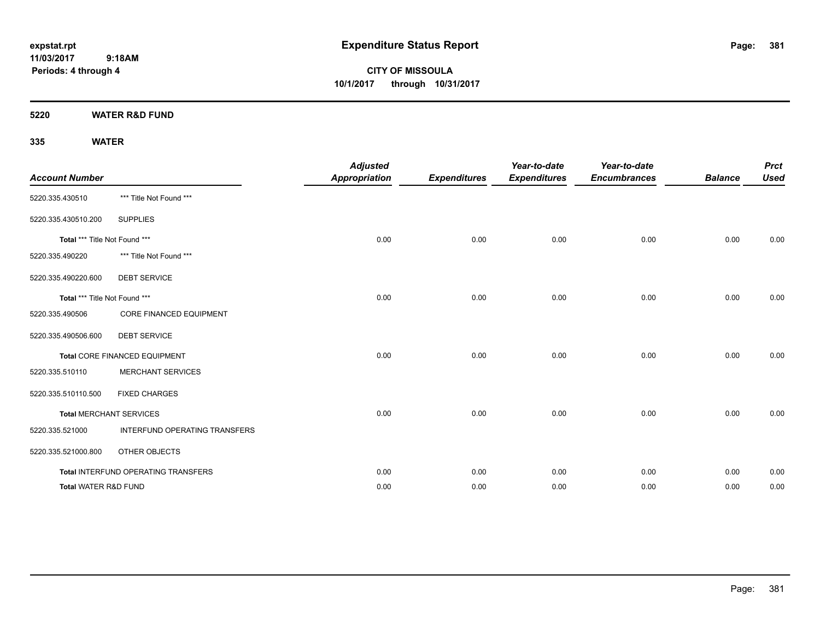**CITY OF MISSOULA 10/1/2017 through 10/31/2017**

**5220 WATER R&D FUND**

| <b>Account Number</b>         |                                     | <b>Adjusted</b><br><b>Appropriation</b> | <b>Expenditures</b> | Year-to-date<br><b>Expenditures</b> | Year-to-date<br><b>Encumbrances</b> | <b>Balance</b> | <b>Prct</b><br><b>Used</b> |
|-------------------------------|-------------------------------------|-----------------------------------------|---------------------|-------------------------------------|-------------------------------------|----------------|----------------------------|
| 5220.335.430510               | *** Title Not Found ***             |                                         |                     |                                     |                                     |                |                            |
| 5220.335.430510.200           | <b>SUPPLIES</b>                     |                                         |                     |                                     |                                     |                |                            |
| Total *** Title Not Found *** |                                     | 0.00                                    | 0.00                | 0.00                                | 0.00                                | 0.00           | 0.00                       |
| 5220.335.490220               | *** Title Not Found ***             |                                         |                     |                                     |                                     |                |                            |
| 5220.335.490220.600           | <b>DEBT SERVICE</b>                 |                                         |                     |                                     |                                     |                |                            |
| Total *** Title Not Found *** |                                     | 0.00                                    | 0.00                | 0.00                                | 0.00                                | 0.00           | 0.00                       |
| 5220.335.490506               | CORE FINANCED EQUIPMENT             |                                         |                     |                                     |                                     |                |                            |
| 5220.335.490506.600           | <b>DEBT SERVICE</b>                 |                                         |                     |                                     |                                     |                |                            |
|                               | Total CORE FINANCED EQUIPMENT       | 0.00                                    | 0.00                | 0.00                                | 0.00                                | 0.00           | 0.00                       |
| 5220.335.510110               | <b>MERCHANT SERVICES</b>            |                                         |                     |                                     |                                     |                |                            |
| 5220.335.510110.500           | <b>FIXED CHARGES</b>                |                                         |                     |                                     |                                     |                |                            |
|                               | <b>Total MERCHANT SERVICES</b>      | 0.00                                    | 0.00                | 0.00                                | 0.00                                | 0.00           | 0.00                       |
| 5220.335.521000               | INTERFUND OPERATING TRANSFERS       |                                         |                     |                                     |                                     |                |                            |
| 5220.335.521000.800           | OTHER OBJECTS                       |                                         |                     |                                     |                                     |                |                            |
|                               | Total INTERFUND OPERATING TRANSFERS | 0.00                                    | 0.00                | 0.00                                | 0.00                                | 0.00           | 0.00                       |
| Total WATER R&D FUND          |                                     | 0.00                                    | 0.00                | 0.00                                | 0.00                                | 0.00           | 0.00                       |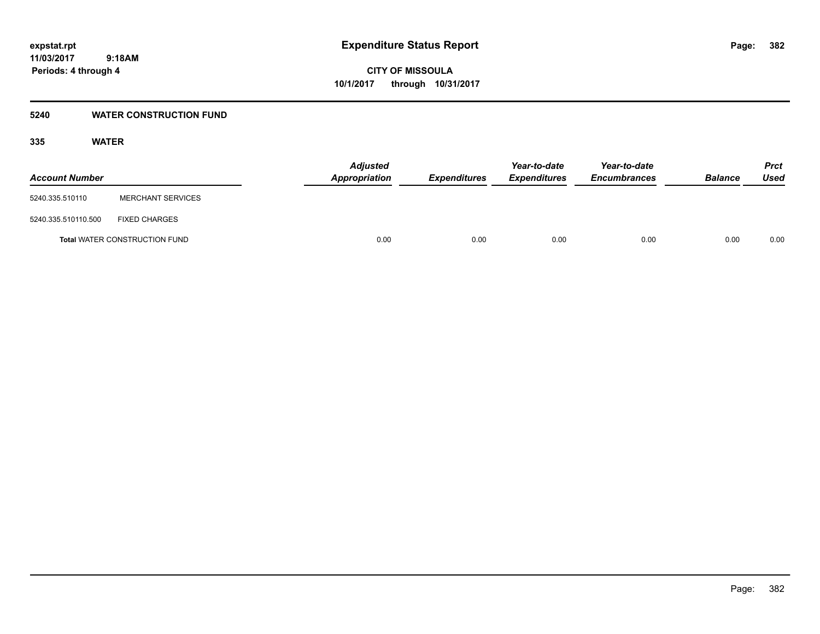**382**

**11/03/2017 9:18AM Periods: 4 through 4**

**CITY OF MISSOULA 10/1/2017 through 10/31/2017**

#### **5240 WATER CONSTRUCTION FUND**

| <b>Account Number</b> |                                      | <b>Adjusted</b><br>Appropriation | <b>Expenditures</b> | Year-to-date<br><b>Expenditures</b> | Year-to-date<br><b>Encumbrances</b> | <b>Balance</b> | <b>Prct</b><br>Used |
|-----------------------|--------------------------------------|----------------------------------|---------------------|-------------------------------------|-------------------------------------|----------------|---------------------|
| 5240.335.510110       | <b>MERCHANT SERVICES</b>             |                                  |                     |                                     |                                     |                |                     |
| 5240.335.510110.500   | <b>FIXED CHARGES</b>                 |                                  |                     |                                     |                                     |                |                     |
|                       | <b>Total WATER CONSTRUCTION FUND</b> | 0.00                             | 0.00                | 0.00                                | 0.00                                | 0.00           | 0.00                |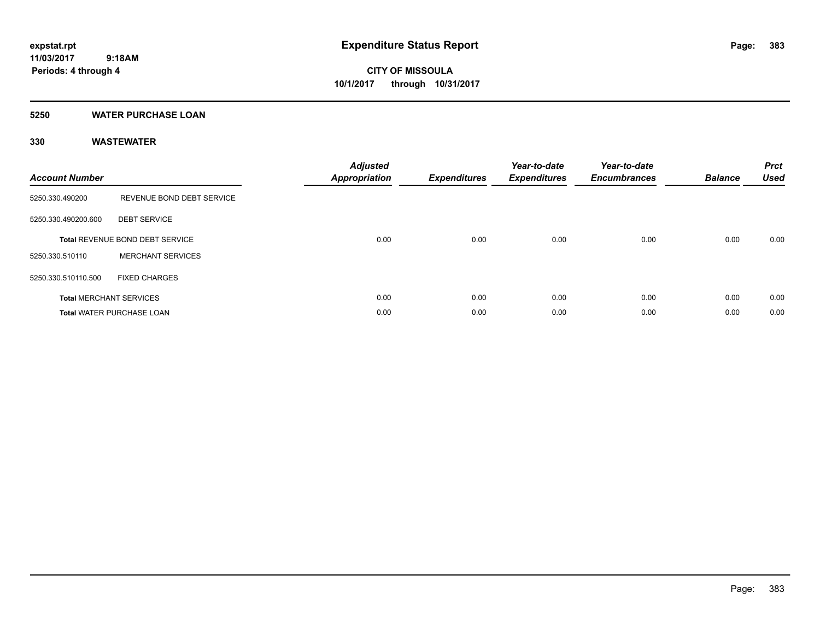**Periods: 4 through 4**

**CITY OF MISSOULA 10/1/2017 through 10/31/2017**

#### **5250 WATER PURCHASE LOAN**

 **9:18AM**

| <b>Account Number</b> |                                  | <b>Adjusted</b><br><b>Appropriation</b> | <b>Expenditures</b> | Year-to-date<br><b>Expenditures</b> | Year-to-date<br><b>Encumbrances</b> | <b>Balance</b> | <b>Prct</b><br><b>Used</b> |
|-----------------------|----------------------------------|-----------------------------------------|---------------------|-------------------------------------|-------------------------------------|----------------|----------------------------|
| 5250.330.490200       | REVENUE BOND DEBT SERVICE        |                                         |                     |                                     |                                     |                |                            |
| 5250.330.490200.600   | <b>DEBT SERVICE</b>              |                                         |                     |                                     |                                     |                |                            |
|                       | Total REVENUE BOND DEBT SERVICE  | 0.00                                    | 0.00                | 0.00                                | 0.00                                | 0.00           | 0.00                       |
| 5250.330.510110       | <b>MERCHANT SERVICES</b>         |                                         |                     |                                     |                                     |                |                            |
| 5250.330.510110.500   | <b>FIXED CHARGES</b>             |                                         |                     |                                     |                                     |                |                            |
|                       | <b>Total MERCHANT SERVICES</b>   | 0.00                                    | 0.00                | 0.00                                | 0.00                                | 0.00           | 0.00                       |
|                       | <b>Total WATER PURCHASE LOAN</b> | 0.00                                    | 0.00                | 0.00                                | 0.00                                | 0.00           | 0.00                       |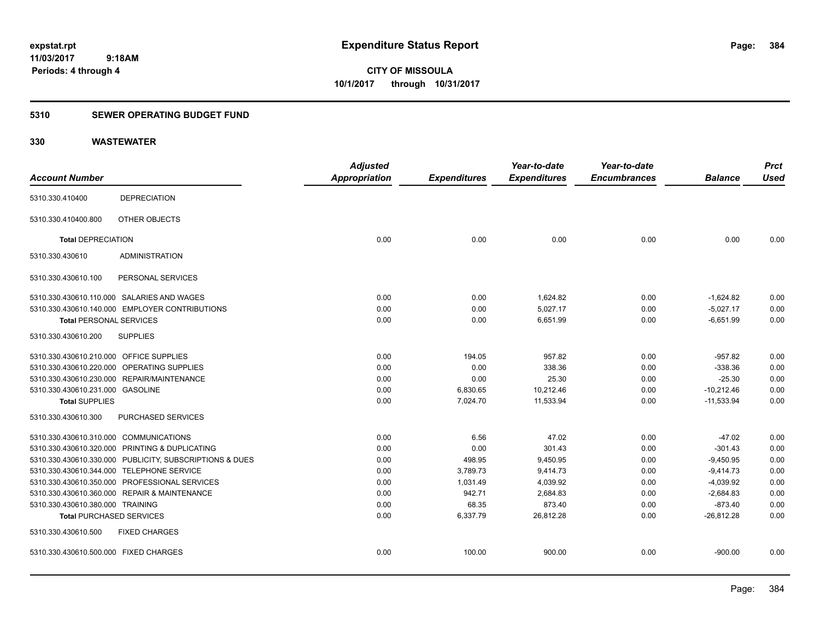**CITY OF MISSOULA 10/1/2017 through 10/31/2017**

### **5310 SEWER OPERATING BUDGET FUND**

| <b>Account Number</b>                   |                                                         | <b>Adjusted</b><br><b>Appropriation</b> | <b>Expenditures</b> | Year-to-date<br><b>Expenditures</b> | Year-to-date<br><b>Encumbrances</b> | <b>Balance</b> | <b>Prct</b><br><b>Used</b> |
|-----------------------------------------|---------------------------------------------------------|-----------------------------------------|---------------------|-------------------------------------|-------------------------------------|----------------|----------------------------|
| 5310.330.410400                         | <b>DEPRECIATION</b>                                     |                                         |                     |                                     |                                     |                |                            |
| 5310.330.410400.800                     | OTHER OBJECTS                                           |                                         |                     |                                     |                                     |                |                            |
| <b>Total DEPRECIATION</b>               |                                                         | 0.00                                    | 0.00                | 0.00                                | 0.00                                | 0.00           | 0.00                       |
| 5310.330.430610                         | <b>ADMINISTRATION</b>                                   |                                         |                     |                                     |                                     |                |                            |
| 5310.330.430610.100                     | PERSONAL SERVICES                                       |                                         |                     |                                     |                                     |                |                            |
|                                         | 5310.330.430610.110.000 SALARIES AND WAGES              | 0.00                                    | 0.00                | 1,624.82                            | 0.00                                | $-1,624.82$    | 0.00                       |
|                                         | 5310.330.430610.140.000 EMPLOYER CONTRIBUTIONS          | 0.00                                    | 0.00                | 5.027.17                            | 0.00                                | $-5,027.17$    | 0.00                       |
| <b>Total PERSONAL SERVICES</b>          |                                                         | 0.00                                    | 0.00                | 6,651.99                            | 0.00                                | $-6.651.99$    | 0.00                       |
| 5310.330.430610.200                     | <b>SUPPLIES</b>                                         |                                         |                     |                                     |                                     |                |                            |
| 5310.330.430610.210.000 OFFICE SUPPLIES |                                                         | 0.00                                    | 194.05              | 957.82                              | 0.00                                | $-957.82$      | 0.00                       |
|                                         | 5310.330.430610.220.000 OPERATING SUPPLIES              | 0.00                                    | 0.00                | 338.36                              | 0.00                                | $-338.36$      | 0.00                       |
|                                         | 5310.330.430610.230.000 REPAIR/MAINTENANCE              | 0.00                                    | 0.00                | 25.30                               | 0.00                                | $-25.30$       | 0.00                       |
| 5310.330.430610.231.000 GASOLINE        |                                                         | 0.00                                    | 6,830.65            | 10,212.46                           | 0.00                                | $-10,212.46$   | 0.00                       |
| <b>Total SUPPLIES</b>                   |                                                         | 0.00                                    | 7,024.70            | 11,533.94                           | 0.00                                | $-11,533.94$   | 0.00                       |
| 5310.330.430610.300                     | PURCHASED SERVICES                                      |                                         |                     |                                     |                                     |                |                            |
| 5310.330.430610.310.000 COMMUNICATIONS  |                                                         | 0.00                                    | 6.56                | 47.02                               | 0.00                                | $-47.02$       | 0.00                       |
|                                         | 5310.330.430610.320.000 PRINTING & DUPLICATING          | 0.00                                    | 0.00                | 301.43                              | 0.00                                | $-301.43$      | 0.00                       |
|                                         | 5310.330.430610.330.000 PUBLICITY, SUBSCRIPTIONS & DUES | 0.00                                    | 498.95              | 9,450.95                            | 0.00                                | $-9,450.95$    | 0.00                       |
|                                         | 5310.330.430610.344.000 TELEPHONE SERVICE               | 0.00                                    | 3,789.73            | 9,414.73                            | 0.00                                | $-9,414.73$    | 0.00                       |
|                                         | 5310.330.430610.350.000 PROFESSIONAL SERVICES           | 0.00                                    | 1,031.49            | 4,039.92                            | 0.00                                | $-4,039.92$    | 0.00                       |
|                                         | 5310.330.430610.360.000 REPAIR & MAINTENANCE            | 0.00                                    | 942.71              | 2,684.83                            | 0.00                                | $-2,684.83$    | 0.00                       |
| 5310.330.430610.380.000 TRAINING        |                                                         | 0.00                                    | 68.35               | 873.40                              | 0.00                                | $-873.40$      | 0.00                       |
| <b>Total PURCHASED SERVICES</b>         |                                                         | 0.00                                    | 6,337.79            | 26,812.28                           | 0.00                                | $-26,812.28$   | 0.00                       |
| 5310.330.430610.500                     | <b>FIXED CHARGES</b>                                    |                                         |                     |                                     |                                     |                |                            |
| 5310.330.430610.500.000 FIXED CHARGES   |                                                         | 0.00                                    | 100.00              | 900.00                              | 0.00                                | $-900.00$      | 0.00                       |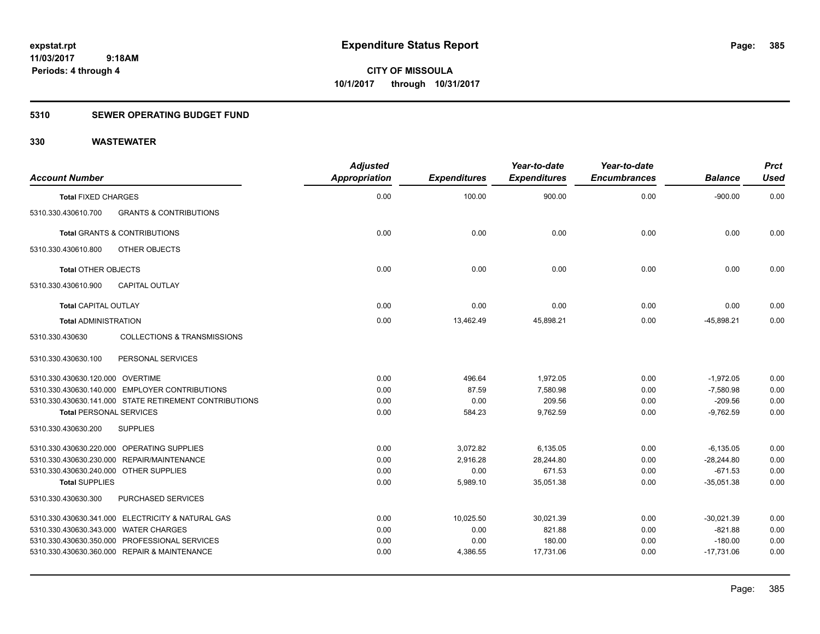### **5310 SEWER OPERATING BUDGET FUND**

| <b>Account Number</b>                  |                                                        | <b>Adjusted</b><br><b>Appropriation</b> | <b>Expenditures</b> | Year-to-date<br><b>Expenditures</b> | Year-to-date<br><b>Encumbrances</b> | <b>Balance</b> | <b>Prct</b><br><b>Used</b> |
|----------------------------------------|--------------------------------------------------------|-----------------------------------------|---------------------|-------------------------------------|-------------------------------------|----------------|----------------------------|
| <b>Total FIXED CHARGES</b>             |                                                        | 0.00                                    | 100.00              | 900.00                              | 0.00                                | $-900.00$      | 0.00                       |
| 5310.330.430610.700                    | <b>GRANTS &amp; CONTRIBUTIONS</b>                      |                                         |                     |                                     |                                     |                |                            |
|                                        | <b>Total GRANTS &amp; CONTRIBUTIONS</b>                | 0.00                                    | 0.00                | 0.00                                | 0.00                                | 0.00           | 0.00                       |
| 5310.330.430610.800                    | OTHER OBJECTS                                          |                                         |                     |                                     |                                     |                |                            |
| <b>Total OTHER OBJECTS</b>             |                                                        | 0.00                                    | 0.00                | 0.00                                | 0.00                                | 0.00           | 0.00                       |
| 5310.330.430610.900                    | <b>CAPITAL OUTLAY</b>                                  |                                         |                     |                                     |                                     |                |                            |
| <b>Total CAPITAL OUTLAY</b>            |                                                        | 0.00                                    | 0.00                | 0.00                                | 0.00                                | 0.00           | 0.00                       |
| <b>Total ADMINISTRATION</b>            |                                                        | 0.00                                    | 13,462.49           | 45,898.21                           | 0.00                                | $-45,898.21$   | 0.00                       |
| 5310.330.430630                        | <b>COLLECTIONS &amp; TRANSMISSIONS</b>                 |                                         |                     |                                     |                                     |                |                            |
| 5310.330.430630.100                    | PERSONAL SERVICES                                      |                                         |                     |                                     |                                     |                |                            |
| 5310.330.430630.120.000 OVERTIME       |                                                        | 0.00                                    | 496.64              | 1,972.05                            | 0.00                                | $-1,972.05$    | 0.00                       |
|                                        | 5310.330.430630.140.000 EMPLOYER CONTRIBUTIONS         | 0.00                                    | 87.59               | 7,580.98                            | 0.00                                | $-7,580.98$    | 0.00                       |
|                                        | 5310.330.430630.141.000 STATE RETIREMENT CONTRIBUTIONS | 0.00                                    | 0.00                | 209.56                              | 0.00                                | $-209.56$      | 0.00                       |
| <b>Total PERSONAL SERVICES</b>         |                                                        | 0.00                                    | 584.23              | 9,762.59                            | 0.00                                | $-9,762.59$    | 0.00                       |
| 5310.330.430630.200                    | <b>SUPPLIES</b>                                        |                                         |                     |                                     |                                     |                |                            |
|                                        | 5310.330.430630.220.000 OPERATING SUPPLIES             | 0.00                                    | 3,072.82            | 6,135.05                            | 0.00                                | $-6,135.05$    | 0.00                       |
|                                        | 5310.330.430630.230.000 REPAIR/MAINTENANCE             | 0.00                                    | 2,916.28            | 28,244.80                           | 0.00                                | $-28,244.80$   | 0.00                       |
| 5310.330.430630.240.000 OTHER SUPPLIES |                                                        | 0.00                                    | 0.00                | 671.53                              | 0.00                                | $-671.53$      | 0.00                       |
| <b>Total SUPPLIES</b>                  |                                                        | 0.00                                    | 5,989.10            | 35,051.38                           | 0.00                                | $-35.051.38$   | 0.00                       |
| 5310.330.430630.300                    | PURCHASED SERVICES                                     |                                         |                     |                                     |                                     |                |                            |
|                                        | 5310.330.430630.341.000 ELECTRICITY & NATURAL GAS      | 0.00                                    | 10,025.50           | 30,021.39                           | 0.00                                | $-30,021.39$   | 0.00                       |
| 5310.330.430630.343.000 WATER CHARGES  |                                                        | 0.00                                    | 0.00                | 821.88                              | 0.00                                | $-821.88$      | 0.00                       |
|                                        | 5310.330.430630.350.000 PROFESSIONAL SERVICES          | 0.00                                    | 0.00                | 180.00                              | 0.00                                | $-180.00$      | 0.00                       |
|                                        | 5310.330.430630.360.000 REPAIR & MAINTENANCE           | 0.00                                    | 4,386.55            | 17,731.06                           | 0.00                                | $-17,731.06$   | 0.00                       |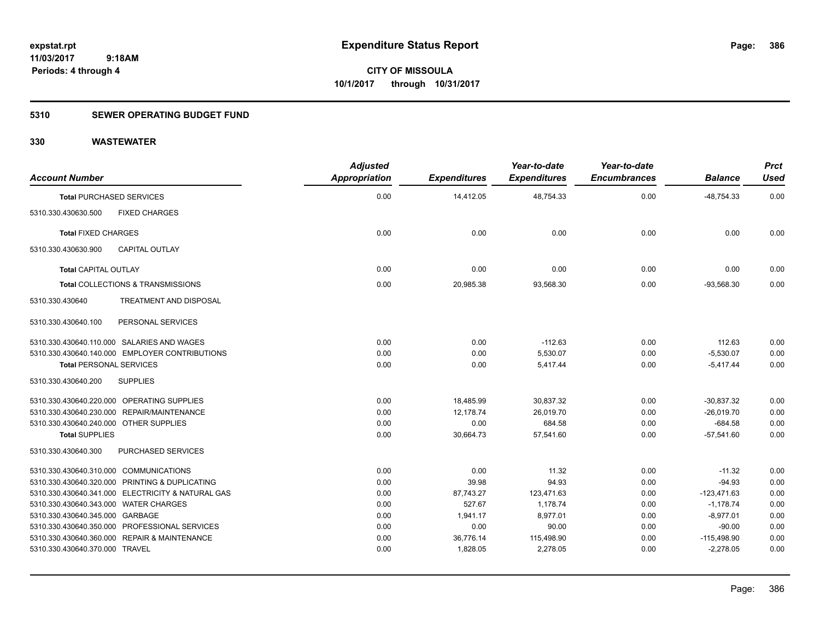### **5310 SEWER OPERATING BUDGET FUND**

| <b>Account Number</b>                  |                                                   | <b>Adjusted</b><br>Appropriation | <b>Expenditures</b> | Year-to-date<br><b>Expenditures</b> | Year-to-date<br><b>Encumbrances</b> | <b>Balance</b> | <b>Prct</b><br><b>Used</b> |
|----------------------------------------|---------------------------------------------------|----------------------------------|---------------------|-------------------------------------|-------------------------------------|----------------|----------------------------|
|                                        | <b>Total PURCHASED SERVICES</b>                   | 0.00                             | 14,412.05           | 48,754.33                           | 0.00                                | $-48,754.33$   | 0.00                       |
| 5310.330.430630.500                    | <b>FIXED CHARGES</b>                              |                                  |                     |                                     |                                     |                |                            |
| <b>Total FIXED CHARGES</b>             |                                                   | 0.00                             | 0.00                | 0.00                                | 0.00                                | 0.00           | 0.00                       |
| 5310.330.430630.900                    | <b>CAPITAL OUTLAY</b>                             |                                  |                     |                                     |                                     |                |                            |
| <b>Total CAPITAL OUTLAY</b>            |                                                   | 0.00                             | 0.00                | 0.00                                | 0.00                                | 0.00           | 0.00                       |
|                                        | Total COLLECTIONS & TRANSMISSIONS                 | 0.00                             | 20,985.38           | 93,568.30                           | 0.00                                | $-93,568.30$   | 0.00                       |
| 5310.330.430640                        | TREATMENT AND DISPOSAL                            |                                  |                     |                                     |                                     |                |                            |
| 5310.330.430640.100                    | PERSONAL SERVICES                                 |                                  |                     |                                     |                                     |                |                            |
|                                        | 5310.330.430640.110.000 SALARIES AND WAGES        | 0.00                             | 0.00                | $-112.63$                           | 0.00                                | 112.63         | 0.00                       |
|                                        | 5310.330.430640.140.000 EMPLOYER CONTRIBUTIONS    | 0.00                             | 0.00                | 5,530.07                            | 0.00                                | $-5,530.07$    | 0.00                       |
| <b>Total PERSONAL SERVICES</b>         |                                                   | 0.00                             | 0.00                | 5,417.44                            | 0.00                                | $-5,417.44$    | 0.00                       |
| 5310.330.430640.200                    | <b>SUPPLIES</b>                                   |                                  |                     |                                     |                                     |                |                            |
|                                        | 5310.330.430640.220.000 OPERATING SUPPLIES        | 0.00                             | 18,485.99           | 30,837.32                           | 0.00                                | $-30,837.32$   | 0.00                       |
|                                        | 5310.330.430640.230.000 REPAIR/MAINTENANCE        | 0.00                             | 12,178.74           | 26,019.70                           | 0.00                                | $-26,019.70$   | 0.00                       |
| 5310.330.430640.240.000 OTHER SUPPLIES |                                                   | 0.00                             | 0.00                | 684.58                              | 0.00                                | $-684.58$      | 0.00                       |
| <b>Total SUPPLIES</b>                  |                                                   | 0.00                             | 30,664.73           | 57,541.60                           | 0.00                                | $-57,541.60$   | 0.00                       |
| 5310.330.430640.300                    | PURCHASED SERVICES                                |                                  |                     |                                     |                                     |                |                            |
| 5310.330.430640.310.000 COMMUNICATIONS |                                                   | 0.00                             | 0.00                | 11.32                               | 0.00                                | $-11.32$       | 0.00                       |
|                                        | 5310.330.430640.320.000 PRINTING & DUPLICATING    | 0.00                             | 39.98               | 94.93                               | 0.00                                | $-94.93$       | 0.00                       |
|                                        | 5310.330.430640.341.000 ELECTRICITY & NATURAL GAS | 0.00                             | 87,743.27           | 123,471.63                          | 0.00                                | $-123,471.63$  | 0.00                       |
| 5310.330.430640.343.000 WATER CHARGES  |                                                   | 0.00                             | 527.67              | 1,178.74                            | 0.00                                | $-1,178.74$    | 0.00                       |
| 5310.330.430640.345.000 GARBAGE        |                                                   | 0.00                             | 1,941.17            | 8,977.01                            | 0.00                                | $-8,977.01$    | 0.00                       |
|                                        | 5310.330.430640.350.000 PROFESSIONAL SERVICES     | 0.00                             | 0.00                | 90.00                               | 0.00                                | $-90.00$       | 0.00                       |
|                                        | 5310.330.430640.360.000 REPAIR & MAINTENANCE      | 0.00                             | 36,776.14           | 115,498.90                          | 0.00                                | $-115,498.90$  | 0.00                       |
| 5310.330.430640.370.000 TRAVEL         |                                                   | 0.00                             | 1,828.05            | 2,278.05                            | 0.00                                | $-2,278.05$    | 0.00                       |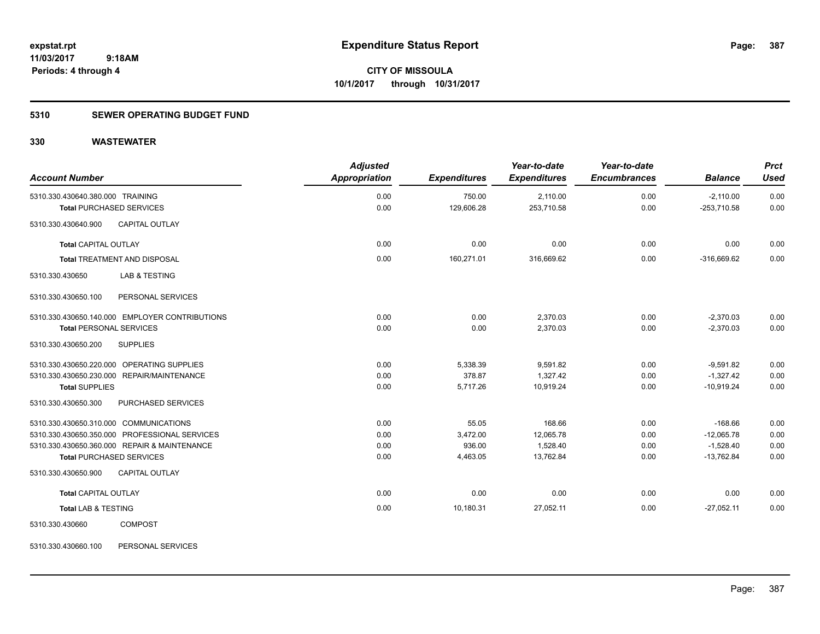**CITY OF MISSOULA 10/1/2017 through 10/31/2017**

### **5310 SEWER OPERATING BUDGET FUND**

#### **330 WASTEWATER**

| <b>Account Number</b>                                               | <b>Adjusted</b><br><b>Appropriation</b> | <b>Expenditures</b>  | Year-to-date<br><b>Expenditures</b> | Year-to-date<br><b>Encumbrances</b> | <b>Balance</b>               | <b>Prct</b><br><b>Used</b> |
|---------------------------------------------------------------------|-----------------------------------------|----------------------|-------------------------------------|-------------------------------------|------------------------------|----------------------------|
| 5310.330.430640.380.000 TRAINING<br><b>Total PURCHASED SERVICES</b> | 0.00<br>0.00                            | 750.00<br>129,606.28 | 2,110.00<br>253,710.58              | 0.00<br>0.00                        | $-2,110.00$<br>$-253,710.58$ | 0.00<br>0.00               |
| 5310.330.430640.900<br><b>CAPITAL OUTLAY</b>                        |                                         |                      |                                     |                                     |                              |                            |
| <b>Total CAPITAL OUTLAY</b>                                         | 0.00                                    | 0.00                 | 0.00                                | 0.00                                | 0.00                         | 0.00                       |
| <b>Total TREATMENT AND DISPOSAL</b>                                 | 0.00                                    | 160,271.01           | 316,669.62                          | 0.00                                | $-316,669.62$                | 0.00                       |
| 5310.330.430650<br>LAB & TESTING                                    |                                         |                      |                                     |                                     |                              |                            |
| PERSONAL SERVICES<br>5310.330.430650.100                            |                                         |                      |                                     |                                     |                              |                            |
| 5310.330.430650.140.000 EMPLOYER CONTRIBUTIONS                      | 0.00                                    | 0.00                 | 2,370.03                            | 0.00                                | $-2,370.03$                  | 0.00                       |
| <b>Total PERSONAL SERVICES</b>                                      | 0.00                                    | 0.00                 | 2,370.03                            | 0.00                                | $-2,370.03$                  | 0.00                       |
| 5310.330.430650.200<br><b>SUPPLIES</b>                              |                                         |                      |                                     |                                     |                              |                            |
| 5310.330.430650.220.000 OPERATING SUPPLIES                          | 0.00                                    | 5,338.39             | 9,591.82                            | 0.00                                | $-9,591.82$                  | 0.00                       |
| 5310.330.430650.230.000 REPAIR/MAINTENANCE                          | 0.00                                    | 378.87               | 1,327.42                            | 0.00                                | $-1,327.42$                  | 0.00                       |
| <b>Total SUPPLIES</b>                                               | 0.00                                    | 5,717.26             | 10,919.24                           | 0.00                                | $-10,919.24$                 | 0.00                       |
| PURCHASED SERVICES<br>5310.330.430650.300                           |                                         |                      |                                     |                                     |                              |                            |
| 5310.330.430650.310.000 COMMUNICATIONS                              | 0.00                                    | 55.05                | 168.66                              | 0.00                                | $-168.66$                    | 0.00                       |
| 5310.330.430650.350.000 PROFESSIONAL SERVICES                       | 0.00                                    | 3,472.00             | 12,065.78                           | 0.00                                | $-12,065.78$                 | 0.00                       |
| 5310.330.430650.360.000 REPAIR & MAINTENANCE                        | 0.00                                    | 936.00               | 1,528.40                            | 0.00                                | $-1,528.40$                  | 0.00                       |
| <b>Total PURCHASED SERVICES</b>                                     | 0.00                                    | 4,463.05             | 13,762.84                           | 0.00                                | $-13.762.84$                 | 0.00                       |
| 5310.330.430650.900<br><b>CAPITAL OUTLAY</b>                        |                                         |                      |                                     |                                     |                              |                            |
| <b>Total CAPITAL OUTLAY</b>                                         | 0.00                                    | 0.00                 | 0.00                                | 0.00                                | 0.00                         | 0.00                       |
| <b>Total LAB &amp; TESTING</b>                                      | 0.00                                    | 10,180.31            | 27,052.11                           | 0.00                                | $-27,052.11$                 | 0.00                       |
| 5310.330.430660<br><b>COMPOST</b>                                   |                                         |                      |                                     |                                     |                              |                            |

5310.330.430660.100 PERSONAL SERVICES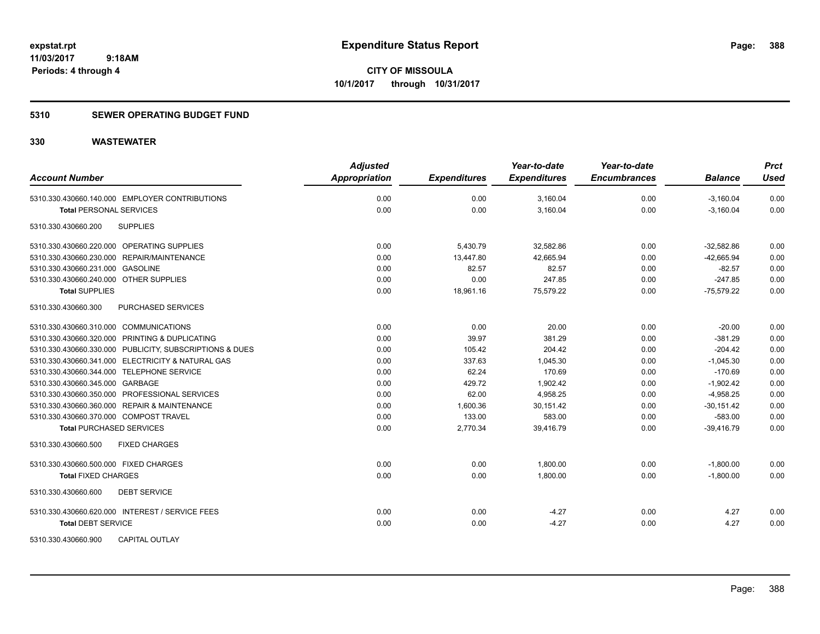### **5310 SEWER OPERATING BUDGET FUND**

| <b>Account Number</b>                                   | <b>Adjusted</b><br><b>Appropriation</b> | <b>Expenditures</b> | Year-to-date<br><b>Expenditures</b> | Year-to-date<br><b>Encumbrances</b> | <b>Balance</b> | <b>Prct</b><br><b>Used</b> |
|---------------------------------------------------------|-----------------------------------------|---------------------|-------------------------------------|-------------------------------------|----------------|----------------------------|
| 5310.330.430660.140.000 EMPLOYER CONTRIBUTIONS          | 0.00                                    | 0.00                | 3,160.04                            | 0.00                                | $-3,160.04$    | 0.00                       |
| <b>Total PERSONAL SERVICES</b>                          | 0.00                                    | 0.00                | 3,160.04                            | 0.00                                | $-3,160.04$    | 0.00                       |
| 5310.330.430660.200<br><b>SUPPLIES</b>                  |                                         |                     |                                     |                                     |                |                            |
| 5310.330.430660.220.000 OPERATING SUPPLIES              | 0.00                                    | 5,430.79            | 32,582.86                           | 0.00                                | $-32,582.86$   | 0.00                       |
| 5310.330.430660.230.000 REPAIR/MAINTENANCE              | 0.00                                    | 13,447.80           | 42,665.94                           | 0.00                                | $-42,665.94$   | 0.00                       |
| 5310.330.430660.231.000 GASOLINE                        | 0.00                                    | 82.57               | 82.57                               | 0.00                                | $-82.57$       | 0.00                       |
| 5310.330.430660.240.000 OTHER SUPPLIES                  | 0.00                                    | 0.00                | 247.85                              | 0.00                                | $-247.85$      | 0.00                       |
| <b>Total SUPPLIES</b>                                   | 0.00                                    | 18,961.16           | 75,579.22                           | 0.00                                | $-75,579.22$   | 0.00                       |
| PURCHASED SERVICES<br>5310.330.430660.300               |                                         |                     |                                     |                                     |                |                            |
| 5310.330.430660.310.000 COMMUNICATIONS                  | 0.00                                    | 0.00                | 20.00                               | 0.00                                | $-20.00$       | 0.00                       |
| 5310.330.430660.320.000 PRINTING & DUPLICATING          | 0.00                                    | 39.97               | 381.29                              | 0.00                                | $-381.29$      | 0.00                       |
| 5310.330.430660.330.000 PUBLICITY, SUBSCRIPTIONS & DUES | 0.00                                    | 105.42              | 204.42                              | 0.00                                | $-204.42$      | 0.00                       |
| 5310.330.430660.341.000 ELECTRICITY & NATURAL GAS       | 0.00                                    | 337.63              | 1,045.30                            | 0.00                                | $-1,045.30$    | 0.00                       |
| 5310.330.430660.344.000 TELEPHONE SERVICE               | 0.00                                    | 62.24               | 170.69                              | 0.00                                | $-170.69$      | 0.00                       |
| 5310.330.430660.345.000 GARBAGE                         | 0.00                                    | 429.72              | 1,902.42                            | 0.00                                | $-1,902.42$    | 0.00                       |
| 5310.330.430660.350.000 PROFESSIONAL SERVICES           | 0.00                                    | 62.00               | 4,958.25                            | 0.00                                | $-4,958.25$    | 0.00                       |
| 5310.330.430660.360.000 REPAIR & MAINTENANCE            | 0.00                                    | 1,600.36            | 30,151.42                           | 0.00                                | $-30,151.42$   | 0.00                       |
| 5310.330.430660.370.000 COMPOST TRAVEL                  | 0.00                                    | 133.00              | 583.00                              | 0.00                                | $-583.00$      | 0.00                       |
| <b>Total PURCHASED SERVICES</b>                         | 0.00                                    | 2,770.34            | 39,416.79                           | 0.00                                | $-39,416.79$   | 0.00                       |
| <b>FIXED CHARGES</b><br>5310.330.430660.500             |                                         |                     |                                     |                                     |                |                            |
| 5310.330.430660.500.000 FIXED CHARGES                   | 0.00                                    | 0.00                | 1,800.00                            | 0.00                                | $-1,800.00$    | 0.00                       |
| <b>Total FIXED CHARGES</b>                              | 0.00                                    | 0.00                | 1,800.00                            | 0.00                                | $-1,800.00$    | 0.00                       |
| <b>DEBT SERVICE</b><br>5310.330.430660.600              |                                         |                     |                                     |                                     |                |                            |
| 5310.330.430660.620.000 INTEREST / SERVICE FEES         | 0.00                                    | 0.00                | $-4.27$                             | 0.00                                | 4.27           | 0.00                       |
| <b>Total DEBT SERVICE</b>                               | 0.00                                    | 0.00                | $-4.27$                             | 0.00                                | 4.27           | 0.00                       |
| <b>CAPITAL OUTLAY</b><br>5310.330.430660.900            |                                         |                     |                                     |                                     |                |                            |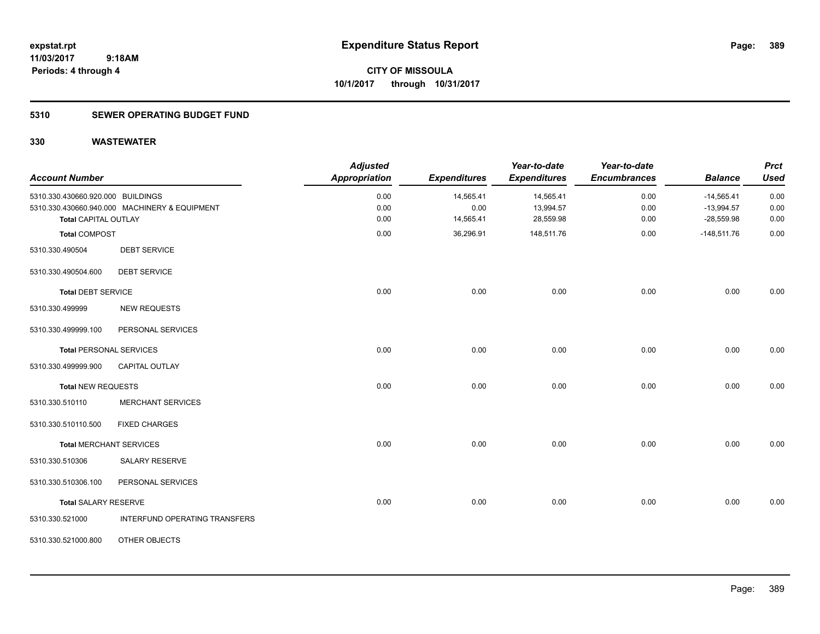**Periods: 4 through 4**

**CITY OF MISSOULA 10/1/2017 through 10/31/2017**

#### **5310 SEWER OPERATING BUDGET FUND**

| <b>Account Number</b>             |                                               | <b>Adjusted</b><br><b>Appropriation</b> | <b>Expenditures</b> | Year-to-date<br><b>Expenditures</b> | Year-to-date<br><b>Encumbrances</b> | <b>Balance</b> | <b>Prct</b><br><b>Used</b> |
|-----------------------------------|-----------------------------------------------|-----------------------------------------|---------------------|-------------------------------------|-------------------------------------|----------------|----------------------------|
| 5310.330.430660.920.000 BUILDINGS |                                               | 0.00                                    | 14,565.41           | 14,565.41                           | 0.00                                | $-14,565.41$   | 0.00                       |
|                                   | 5310.330.430660.940.000 MACHINERY & EQUIPMENT | 0.00                                    | 0.00                | 13,994.57                           | 0.00                                | $-13,994.57$   | 0.00                       |
| <b>Total CAPITAL OUTLAY</b>       |                                               | 0.00                                    | 14,565.41           | 28,559.98                           | 0.00                                | $-28,559.98$   | 0.00                       |
| <b>Total COMPOST</b>              |                                               | 0.00                                    | 36,296.91           | 148,511.76                          | 0.00                                | $-148,511.76$  | 0.00                       |
| 5310.330.490504                   | <b>DEBT SERVICE</b>                           |                                         |                     |                                     |                                     |                |                            |
| 5310.330.490504.600               | <b>DEBT SERVICE</b>                           |                                         |                     |                                     |                                     |                |                            |
| <b>Total DEBT SERVICE</b>         |                                               | 0.00                                    | 0.00                | 0.00                                | 0.00                                | 0.00           | 0.00                       |
| 5310.330.499999                   | <b>NEW REQUESTS</b>                           |                                         |                     |                                     |                                     |                |                            |
| 5310.330.499999.100               | PERSONAL SERVICES                             |                                         |                     |                                     |                                     |                |                            |
| <b>Total PERSONAL SERVICES</b>    |                                               | 0.00                                    | 0.00                | 0.00                                | 0.00                                | 0.00           | 0.00                       |
| 5310.330.499999.900               | <b>CAPITAL OUTLAY</b>                         |                                         |                     |                                     |                                     |                |                            |
| <b>Total NEW REQUESTS</b>         |                                               | 0.00                                    | 0.00                | 0.00                                | 0.00                                | 0.00           | 0.00                       |
| 5310.330.510110                   | <b>MERCHANT SERVICES</b>                      |                                         |                     |                                     |                                     |                |                            |
| 5310.330.510110.500               | <b>FIXED CHARGES</b>                          |                                         |                     |                                     |                                     |                |                            |
|                                   | <b>Total MERCHANT SERVICES</b>                | 0.00                                    | 0.00                | 0.00                                | 0.00                                | 0.00           | 0.00                       |
| 5310.330.510306                   | <b>SALARY RESERVE</b>                         |                                         |                     |                                     |                                     |                |                            |
| 5310.330.510306.100               | PERSONAL SERVICES                             |                                         |                     |                                     |                                     |                |                            |
| <b>Total SALARY RESERVE</b>       |                                               | 0.00                                    | 0.00                | 0.00                                | 0.00                                | 0.00           | 0.00                       |
| 5310.330.521000                   | INTERFUND OPERATING TRANSFERS                 |                                         |                     |                                     |                                     |                |                            |
| 5310.330.521000.800               | OTHER OBJECTS                                 |                                         |                     |                                     |                                     |                |                            |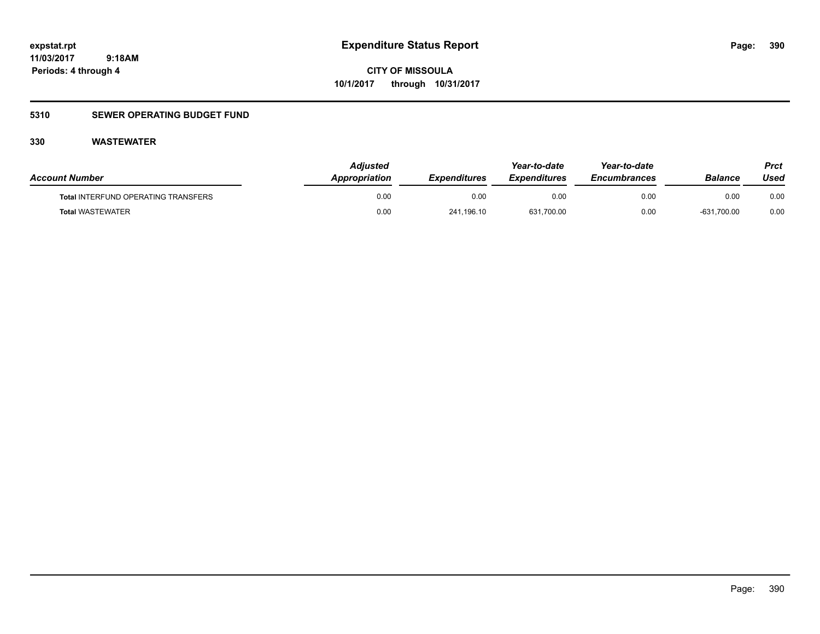**CITY OF MISSOULA 10/1/2017 through 10/31/2017**

### **5310 SEWER OPERATING BUDGET FUND**

| <b>Account Number</b>                      | <b>Adiusted</b><br>Appropriation | <b>Expenditures</b> | Year-to-date<br><i><b>Expenditures</b></i> | Year-to-date<br><b>Encumbrances</b> | <b>Balance</b> | Prct<br>Used |
|--------------------------------------------|----------------------------------|---------------------|--------------------------------------------|-------------------------------------|----------------|--------------|
| <b>Total INTERFUND OPERATING TRANSFERS</b> | 0.00                             | 0.00                | 0.00                                       | 0.00                                | 0.00           | 0.00         |
| <b>Total WASTEWATER</b>                    | 0.00                             | 241.196.10          | 631,700.00                                 | 0.00                                | $-631,700.00$  | 0.00         |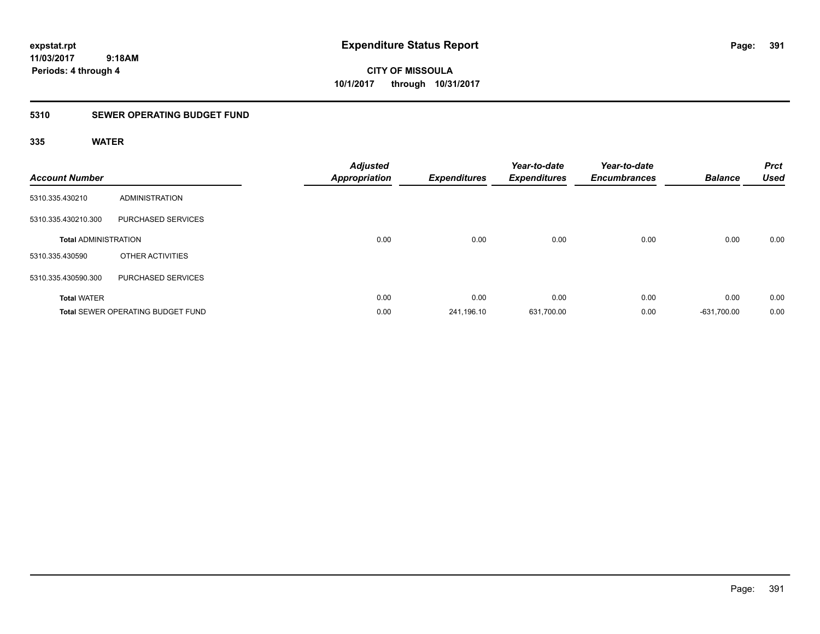**CITY OF MISSOULA 10/1/2017 through 10/31/2017**

### **5310 SEWER OPERATING BUDGET FUND**

| <b>Account Number</b>       |                                          | <b>Adjusted</b><br><b>Appropriation</b> | <b>Expenditures</b> | Year-to-date<br><b>Expenditures</b> | Year-to-date<br><b>Encumbrances</b> | <b>Balance</b> | <b>Prct</b><br><b>Used</b> |
|-----------------------------|------------------------------------------|-----------------------------------------|---------------------|-------------------------------------|-------------------------------------|----------------|----------------------------|
| 5310.335.430210             | ADMINISTRATION                           |                                         |                     |                                     |                                     |                |                            |
| 5310.335.430210.300         | PURCHASED SERVICES                       |                                         |                     |                                     |                                     |                |                            |
| <b>Total ADMINISTRATION</b> |                                          | 0.00                                    | 0.00                | 0.00                                | 0.00                                | 0.00           | 0.00                       |
| 5310.335.430590             | OTHER ACTIVITIES                         |                                         |                     |                                     |                                     |                |                            |
| 5310.335.430590.300         | PURCHASED SERVICES                       |                                         |                     |                                     |                                     |                |                            |
| <b>Total WATER</b>          |                                          | 0.00                                    | 0.00                | 0.00                                | 0.00                                | 0.00           | 0.00                       |
|                             | <b>Total SEWER OPERATING BUDGET FUND</b> | 0.00                                    | 241,196.10          | 631,700.00                          | 0.00                                | $-631,700.00$  | 0.00                       |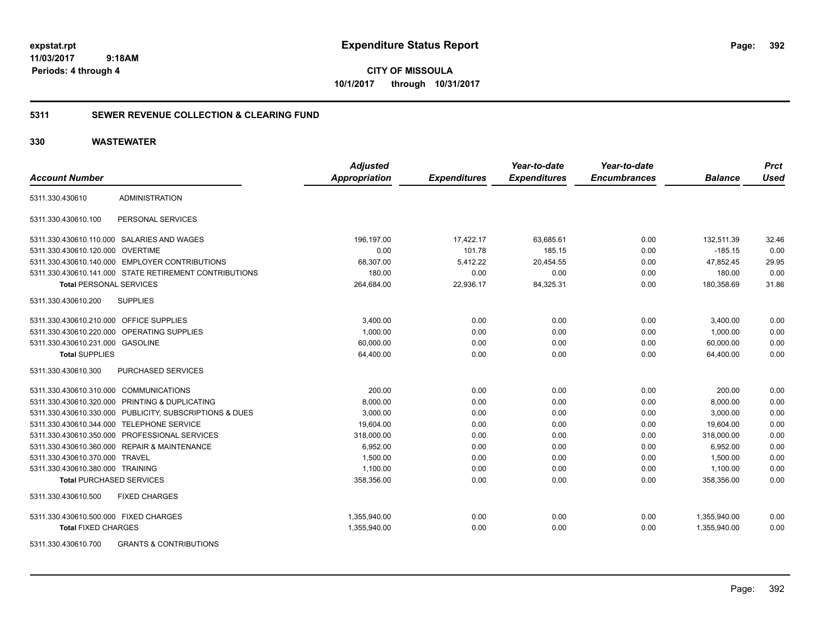**CITY OF MISSOULA 10/1/2017 through 10/31/2017**

#### **5311 SEWER REVENUE COLLECTION & CLEARING FUND**

#### **330 WASTEWATER**

|                                         |                                                         | <b>Adjusted</b>      |                     | Year-to-date        | Year-to-date        |                | <b>Prct</b> |
|-----------------------------------------|---------------------------------------------------------|----------------------|---------------------|---------------------|---------------------|----------------|-------------|
| <b>Account Number</b>                   |                                                         | <b>Appropriation</b> | <b>Expenditures</b> | <b>Expenditures</b> | <b>Encumbrances</b> | <b>Balance</b> | <b>Used</b> |
| 5311.330.430610                         | <b>ADMINISTRATION</b>                                   |                      |                     |                     |                     |                |             |
| 5311.330.430610.100                     | PERSONAL SERVICES                                       |                      |                     |                     |                     |                |             |
|                                         | 5311.330.430610.110.000 SALARIES AND WAGES              | 196,197.00           | 17,422.17           | 63,685.61           | 0.00                | 132,511.39     | 32.46       |
| 5311.330.430610.120.000 OVERTIME        |                                                         | 0.00                 | 101.78              | 185.15              | 0.00                | $-185.15$      | 0.00        |
|                                         | 5311.330.430610.140.000 EMPLOYER CONTRIBUTIONS          | 68,307.00            | 5,412.22            | 20,454.55           | 0.00                | 47,852.45      | 29.95       |
|                                         | 5311.330.430610.141.000 STATE RETIREMENT CONTRIBUTIONS  | 180.00               | 0.00                | 0.00                | 0.00                | 180.00         | 0.00        |
| <b>Total PERSONAL SERVICES</b>          |                                                         | 264,684.00           | 22,936.17           | 84,325.31           | 0.00                | 180,358.69     | 31.86       |
| 5311.330.430610.200                     | <b>SUPPLIES</b>                                         |                      |                     |                     |                     |                |             |
| 5311.330.430610.210.000 OFFICE SUPPLIES |                                                         | 3,400.00             | 0.00                | 0.00                | 0.00                | 3,400.00       | 0.00        |
|                                         | 5311.330.430610.220.000 OPERATING SUPPLIES              | 1,000.00             | 0.00                | 0.00                | 0.00                | 1,000.00       | 0.00        |
| 5311.330.430610.231.000 GASOLINE        |                                                         | 60,000.00            | 0.00                | 0.00                | 0.00                | 60,000.00      | 0.00        |
| <b>Total SUPPLIES</b>                   |                                                         | 64,400.00            | 0.00                | 0.00                | 0.00                | 64.400.00      | 0.00        |
| 5311.330.430610.300                     | <b>PURCHASED SERVICES</b>                               |                      |                     |                     |                     |                |             |
| 5311.330.430610.310.000 COMMUNICATIONS  |                                                         | 200.00               | 0.00                | 0.00                | 0.00                | 200.00         | 0.00        |
|                                         | 5311.330.430610.320.000 PRINTING & DUPLICATING          | 8,000.00             | 0.00                | 0.00                | 0.00                | 8,000.00       | 0.00        |
|                                         | 5311.330.430610.330.000 PUBLICITY, SUBSCRIPTIONS & DUES | 3,000.00             | 0.00                | 0.00                | 0.00                | 3,000.00       | 0.00        |
|                                         | 5311.330.430610.344.000 TELEPHONE SERVICE               | 19,604.00            | 0.00                | 0.00                | 0.00                | 19,604.00      | 0.00        |
|                                         | 5311.330.430610.350.000 PROFESSIONAL SERVICES           | 318,000.00           | 0.00                | 0.00                | 0.00                | 318,000.00     | 0.00        |
|                                         | 5311.330.430610.360.000 REPAIR & MAINTENANCE            | 6,952.00             | 0.00                | 0.00                | 0.00                | 6,952.00       | 0.00        |
| 5311.330.430610.370.000 TRAVEL          |                                                         | 1,500.00             | 0.00                | 0.00                | 0.00                | 1,500.00       | 0.00        |
| 5311.330.430610.380.000 TRAINING        |                                                         | 1,100.00             | 0.00                | 0.00                | 0.00                | 1,100.00       | 0.00        |
| <b>Total PURCHASED SERVICES</b>         |                                                         | 358,356.00           | 0.00                | 0.00                | 0.00                | 358,356.00     | 0.00        |
| 5311.330.430610.500                     | <b>FIXED CHARGES</b>                                    |                      |                     |                     |                     |                |             |
| 5311.330.430610.500.000 FIXED CHARGES   |                                                         | 1,355,940.00         | 0.00                | 0.00                | 0.00                | 1,355,940.00   | 0.00        |
| <b>Total FIXED CHARGES</b>              |                                                         | 1,355,940.00         | 0.00                | 0.00                | 0.00                | 1,355,940.00   | 0.00        |
|                                         | FO44 000 400040 700 CRANTO 8 CONTRIBUTIONS              |                      |                     |                     |                     |                |             |

5311.330.430610.700 GRANTS & CONTRIBUTIONS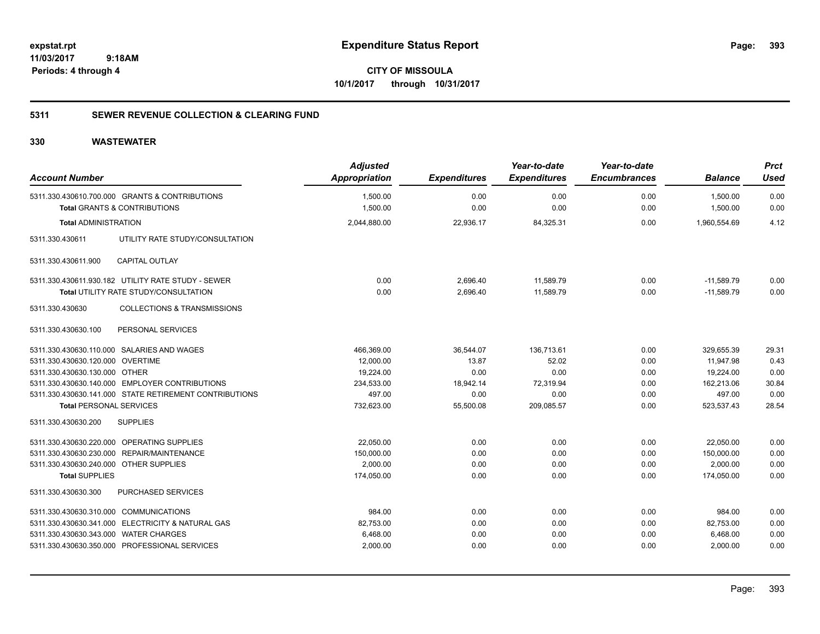**CITY OF MISSOULA 10/1/2017 through 10/31/2017**

### **5311 SEWER REVENUE COLLECTION & CLEARING FUND**

| <b>Account Number</b>                  |                                                                                           | <b>Adjusted</b><br>Appropriation | <b>Expenditures</b> | Year-to-date<br><b>Expenditures</b> | Year-to-date<br><b>Encumbrances</b> | <b>Balance</b>       | <b>Prct</b><br><b>Used</b> |
|----------------------------------------|-------------------------------------------------------------------------------------------|----------------------------------|---------------------|-------------------------------------|-------------------------------------|----------------------|----------------------------|
|                                        | 5311.330.430610.700.000 GRANTS & CONTRIBUTIONS<br><b>Total GRANTS &amp; CONTRIBUTIONS</b> | 1,500.00<br>1,500.00             | 0.00<br>0.00        | 0.00<br>0.00                        | 0.00<br>0.00                        | 1,500.00<br>1,500.00 | 0.00<br>0.00               |
| <b>Total ADMINISTRATION</b>            |                                                                                           | 2,044,880.00                     | 22,936.17           | 84,325.31                           | 0.00                                | 1,960,554.69         | 4.12                       |
| 5311.330.430611                        | UTILITY RATE STUDY/CONSULTATION                                                           |                                  |                     |                                     |                                     |                      |                            |
| 5311.330.430611.900                    | <b>CAPITAL OUTLAY</b>                                                                     |                                  |                     |                                     |                                     |                      |                            |
|                                        | 5311.330.430611.930.182 UTILITY RATE STUDY - SEWER                                        | 0.00                             | 2,696.40            | 11,589.79                           | 0.00                                | $-11,589.79$         | 0.00                       |
|                                        | Total UTILITY RATE STUDY/CONSULTATION                                                     | 0.00                             | 2,696.40            | 11,589.79                           | 0.00                                | $-11,589.79$         | 0.00                       |
| 5311.330.430630                        | <b>COLLECTIONS &amp; TRANSMISSIONS</b>                                                    |                                  |                     |                                     |                                     |                      |                            |
| 5311.330.430630.100                    | PERSONAL SERVICES                                                                         |                                  |                     |                                     |                                     |                      |                            |
|                                        | 5311.330.430630.110.000 SALARIES AND WAGES                                                | 466,369.00                       | 36,544.07           | 136,713.61                          | 0.00                                | 329,655.39           | 29.31                      |
| 5311.330.430630.120.000 OVERTIME       |                                                                                           | 12,000.00                        | 13.87               | 52.02                               | 0.00                                | 11,947.98            | 0.43                       |
| 5311.330.430630.130.000 OTHER          |                                                                                           | 19,224.00                        | 0.00                | 0.00                                | 0.00                                | 19,224.00            | 0.00                       |
|                                        | 5311.330.430630.140.000 EMPLOYER CONTRIBUTIONS                                            | 234,533.00                       | 18,942.14           | 72,319.94                           | 0.00                                | 162,213.06           | 30.84                      |
|                                        | 5311.330.430630.141.000 STATE RETIREMENT CONTRIBUTIONS                                    | 497.00                           | 0.00                | 0.00                                | 0.00                                | 497.00               | 0.00                       |
| <b>Total PERSONAL SERVICES</b>         |                                                                                           | 732,623.00                       | 55,500.08           | 209,085.57                          | 0.00                                | 523,537.43           | 28.54                      |
| 5311.330.430630.200                    | <b>SUPPLIES</b>                                                                           |                                  |                     |                                     |                                     |                      |                            |
|                                        | 5311.330.430630.220.000 OPERATING SUPPLIES                                                | 22,050.00                        | 0.00                | 0.00                                | 0.00                                | 22,050.00            | 0.00                       |
|                                        | 5311.330.430630.230.000 REPAIR/MAINTENANCE                                                | 150,000.00                       | 0.00                | 0.00                                | 0.00                                | 150,000.00           | 0.00                       |
| 5311.330.430630.240.000 OTHER SUPPLIES |                                                                                           | 2.000.00                         | 0.00                | 0.00                                | 0.00                                | 2.000.00             | 0.00                       |
| <b>Total SUPPLIES</b>                  |                                                                                           | 174,050.00                       | 0.00                | 0.00                                | 0.00                                | 174,050.00           | 0.00                       |
| 5311.330.430630.300                    | PURCHASED SERVICES                                                                        |                                  |                     |                                     |                                     |                      |                            |
| 5311.330.430630.310.000 COMMUNICATIONS |                                                                                           | 984.00                           | 0.00                | 0.00                                | 0.00                                | 984.00               | 0.00                       |
|                                        | 5311.330.430630.341.000 ELECTRICITY & NATURAL GAS                                         | 82,753.00                        | 0.00                | 0.00                                | 0.00                                | 82,753.00            | 0.00                       |
| 5311.330.430630.343.000 WATER CHARGES  |                                                                                           | 6,468.00                         | 0.00                | 0.00                                | 0.00                                | 6,468.00             | 0.00                       |
|                                        | 5311.330.430630.350.000 PROFESSIONAL SERVICES                                             | 2,000.00                         | 0.00                | 0.00                                | 0.00                                | 2,000.00             | 0.00                       |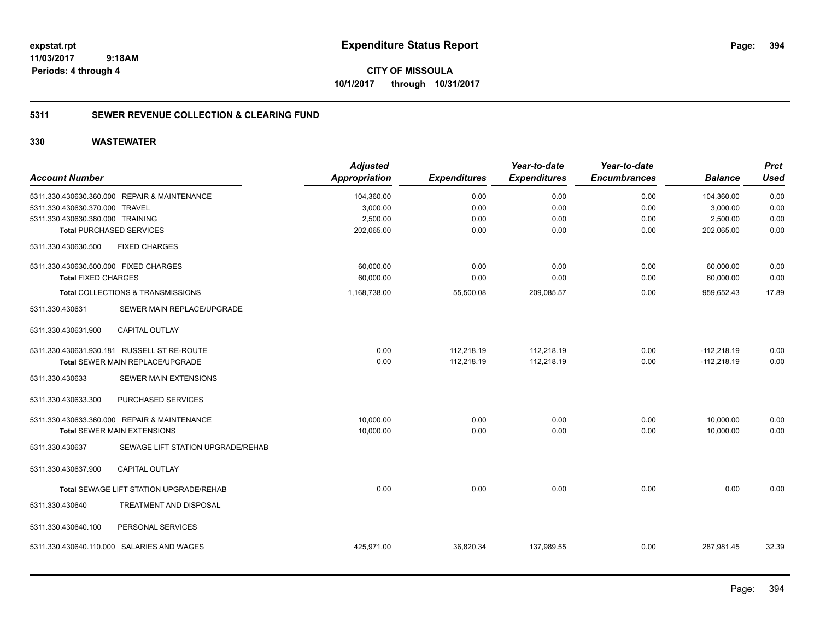**CITY OF MISSOULA 10/1/2017 through 10/31/2017**

#### **5311 SEWER REVENUE COLLECTION & CLEARING FUND**

| <b>Account Number</b>                                | <b>Adjusted</b><br><b>Appropriation</b> | <b>Expenditures</b> | Year-to-date<br><b>Expenditures</b> | Year-to-date<br><b>Encumbrances</b> | <b>Balance</b> | <b>Prct</b><br><b>Used</b> |
|------------------------------------------------------|-----------------------------------------|---------------------|-------------------------------------|-------------------------------------|----------------|----------------------------|
| 5311.330.430630.360.000 REPAIR & MAINTENANCE         | 104,360.00                              | 0.00                | 0.00                                | 0.00                                | 104,360.00     | 0.00                       |
| 5311.330.430630.370.000 TRAVEL                       | 3,000.00                                | 0.00                | 0.00                                | 0.00                                | 3,000.00       | 0.00                       |
| 5311.330.430630.380.000 TRAINING                     | 2,500.00                                | 0.00                | 0.00                                | 0.00                                | 2,500.00       | 0.00                       |
| <b>Total PURCHASED SERVICES</b>                      | 202,065.00                              | 0.00                | 0.00                                | 0.00                                | 202,065.00     | 0.00                       |
| <b>FIXED CHARGES</b><br>5311.330.430630.500          |                                         |                     |                                     |                                     |                |                            |
| 5311.330.430630.500.000 FIXED CHARGES                | 60,000.00                               | 0.00                | 0.00                                | 0.00                                | 60,000.00      | 0.00                       |
| <b>Total FIXED CHARGES</b>                           | 60,000.00                               | 0.00                | 0.00                                | 0.00                                | 60,000.00      | 0.00                       |
| Total COLLECTIONS & TRANSMISSIONS                    | 1,168,738.00                            | 55,500.08           | 209,085.57                          | 0.00                                | 959,652.43     | 17.89                      |
| 5311.330.430631<br>SEWER MAIN REPLACE/UPGRADE        |                                         |                     |                                     |                                     |                |                            |
| <b>CAPITAL OUTLAY</b><br>5311.330.430631.900         |                                         |                     |                                     |                                     |                |                            |
| 5311.330.430631.930.181 RUSSELL ST RE-ROUTE          | 0.00                                    | 112,218.19          | 112,218.19                          | 0.00                                | $-112,218.19$  | 0.00                       |
| Total SEWER MAIN REPLACE/UPGRADE                     | 0.00                                    | 112,218.19          | 112,218.19                          | 0.00                                | $-112,218.19$  | 0.00                       |
| SEWER MAIN EXTENSIONS<br>5311.330.430633             |                                         |                     |                                     |                                     |                |                            |
| 5311.330.430633.300<br>PURCHASED SERVICES            |                                         |                     |                                     |                                     |                |                            |
| 5311.330.430633.360.000 REPAIR & MAINTENANCE         | 10,000.00                               | 0.00                | 0.00                                | 0.00                                | 10,000.00      | 0.00                       |
| <b>Total SEWER MAIN EXTENSIONS</b>                   | 10,000.00                               | 0.00                | 0.00                                | 0.00                                | 10,000.00      | 0.00                       |
| 5311.330.430637<br>SEWAGE LIFT STATION UPGRADE/REHAB |                                         |                     |                                     |                                     |                |                            |
| 5311.330.430637.900<br>CAPITAL OUTLAY                |                                         |                     |                                     |                                     |                |                            |
| Total SEWAGE LIFT STATION UPGRADE/REHAB              | 0.00                                    | 0.00                | 0.00                                | 0.00                                | 0.00           | 0.00                       |
| 5311.330.430640<br>TREATMENT AND DISPOSAL            |                                         |                     |                                     |                                     |                |                            |
| PERSONAL SERVICES<br>5311.330.430640.100             |                                         |                     |                                     |                                     |                |                            |
| SALARIES AND WAGES<br>5311.330.430640.110.000        | 425,971.00                              | 36,820.34           | 137,989.55                          | 0.00                                | 287,981.45     | 32.39                      |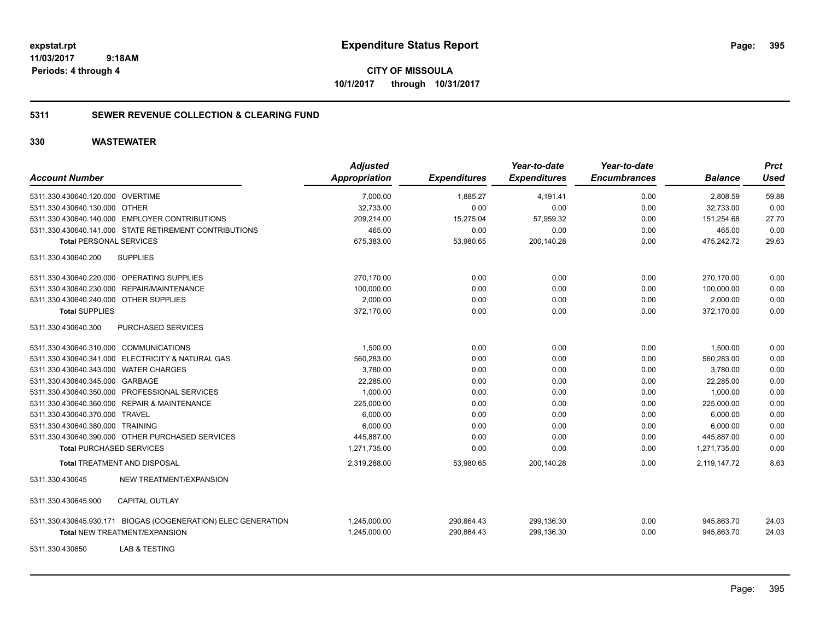**CITY OF MISSOULA 10/1/2017 through 10/31/2017**

### **5311 SEWER REVENUE COLLECTION & CLEARING FUND**

| <b>Account Number</b>                                         | <b>Adjusted</b><br><b>Appropriation</b> | <b>Expenditures</b> | Year-to-date<br><b>Expenditures</b> | Year-to-date<br><b>Encumbrances</b> | <b>Balance</b> | <b>Prct</b><br><b>Used</b> |
|---------------------------------------------------------------|-----------------------------------------|---------------------|-------------------------------------|-------------------------------------|----------------|----------------------------|
| 5311.330.430640.120.000 OVERTIME                              | 7,000.00                                | 1,885.27            | 4,191.41                            | 0.00                                | 2,808.59       | 59.88                      |
| 5311.330.430640.130.000 OTHER                                 | 32,733.00                               | 0.00                | 0.00                                | 0.00                                | 32,733.00      | 0.00                       |
| 5311.330.430640.140.000 EMPLOYER CONTRIBUTIONS                | 209,214.00                              | 15,275.04           | 57,959.32                           | 0.00                                | 151,254.68     | 27.70                      |
| 5311.330.430640.141.000 STATE RETIREMENT CONTRIBUTIONS        | 465.00                                  | 0.00                | 0.00                                | 0.00                                | 465.00         | 0.00                       |
| <b>Total PERSONAL SERVICES</b>                                | 675,383.00                              | 53,980.65           | 200,140.28                          | 0.00                                | 475,242.72     | 29.63                      |
| <b>SUPPLIES</b><br>5311.330.430640.200                        |                                         |                     |                                     |                                     |                |                            |
| 5311.330.430640.220.000 OPERATING SUPPLIES                    | 270.170.00                              | 0.00                | 0.00                                | 0.00                                | 270.170.00     | 0.00                       |
| 5311.330.430640.230.000 REPAIR/MAINTENANCE                    | 100,000.00                              | 0.00                | 0.00                                | 0.00                                | 100,000.00     | 0.00                       |
| 5311.330.430640.240.000 OTHER SUPPLIES                        | 2,000.00                                | 0.00                | 0.00                                | 0.00                                | 2,000.00       | 0.00                       |
| <b>Total SUPPLIES</b>                                         | 372,170.00                              | 0.00                | 0.00                                | 0.00                                | 372,170.00     | 0.00                       |
| 5311.330.430640.300<br>PURCHASED SERVICES                     |                                         |                     |                                     |                                     |                |                            |
| 5311.330.430640.310.000 COMMUNICATIONS                        | 1,500.00                                | 0.00                | 0.00                                | 0.00                                | 1,500.00       | 0.00                       |
| 5311.330.430640.341.000 ELECTRICITY & NATURAL GAS             | 560,283.00                              | 0.00                | 0.00                                | 0.00                                | 560,283.00     | 0.00                       |
| 5311.330.430640.343.000 WATER CHARGES                         | 3,780.00                                | 0.00                | 0.00                                | 0.00                                | 3,780.00       | 0.00                       |
| 5311.330.430640.345.000 GARBAGE                               | 22,285.00                               | 0.00                | 0.00                                | 0.00                                | 22,285.00      | 0.00                       |
| 5311.330.430640.350.000 PROFESSIONAL SERVICES                 | 1,000.00                                | 0.00                | 0.00                                | 0.00                                | 1.000.00       | 0.00                       |
| 5311.330.430640.360.000 REPAIR & MAINTENANCE                  | 225,000.00                              | 0.00                | 0.00                                | 0.00                                | 225,000.00     | 0.00                       |
| 5311.330.430640.370.000 TRAVEL                                | 6,000.00                                | 0.00                | 0.00                                | 0.00                                | 6,000.00       | 0.00                       |
| 5311.330.430640.380.000 TRAINING                              | 6,000.00                                | 0.00                | 0.00                                | 0.00                                | 6,000.00       | 0.00                       |
| 5311.330.430640.390.000 OTHER PURCHASED SERVICES              | 445,887.00                              | 0.00                | 0.00                                | 0.00                                | 445,887.00     | 0.00                       |
| <b>Total PURCHASED SERVICES</b>                               | 1,271,735.00                            | 0.00                | 0.00                                | 0.00                                | 1,271,735.00   | 0.00                       |
| <b>Total TREATMENT AND DISPOSAL</b>                           | 2,319,288.00                            | 53,980.65           | 200,140.28                          | 0.00                                | 2,119,147.72   | 8.63                       |
| NEW TREATMENT/EXPANSION<br>5311.330.430645                    |                                         |                     |                                     |                                     |                |                            |
| <b>CAPITAL OUTLAY</b><br>5311.330.430645.900                  |                                         |                     |                                     |                                     |                |                            |
| 5311.330.430645.930.171 BIOGAS (COGENERATION) ELEC GENERATION | 1,245,000.00                            | 290,864.43          | 299,136.30                          | 0.00                                | 945,863.70     | 24.03                      |
| <b>Total NEW TREATMENT/EXPANSION</b>                          | 1,245,000.00                            | 290,864.43          | 299,136.30                          | 0.00                                | 945,863.70     | 24.03                      |
| LAB & TESTING<br>5311.330.430650                              |                                         |                     |                                     |                                     |                |                            |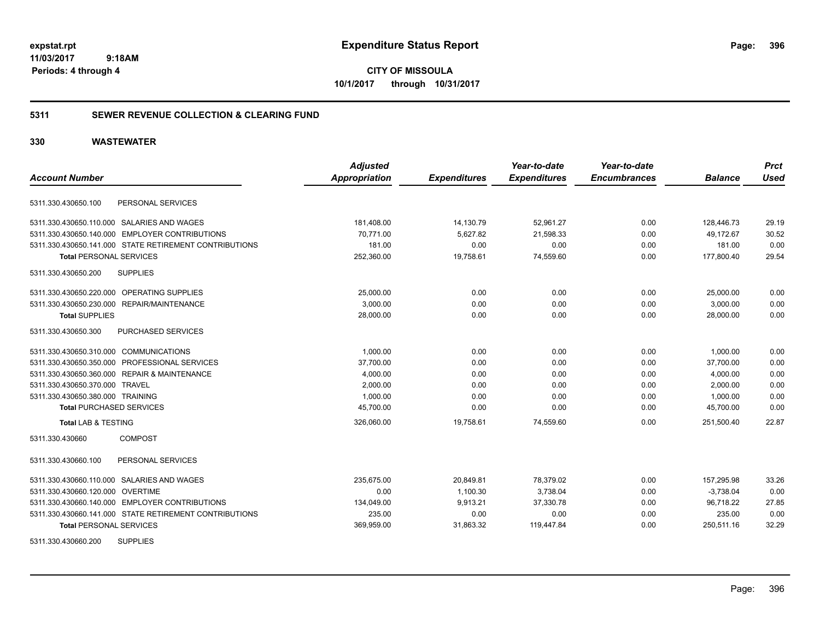**CITY OF MISSOULA 10/1/2017 through 10/31/2017**

#### **5311 SEWER REVENUE COLLECTION & CLEARING FUND**

#### **330 WASTEWATER**

| <b>Account Number</b>                                  | <b>Adjusted</b><br><b>Appropriation</b> | <b>Expenditures</b> | Year-to-date<br><b>Expenditures</b> | Year-to-date<br><b>Encumbrances</b> | <b>Balance</b> | <b>Prct</b><br><b>Used</b> |
|--------------------------------------------------------|-----------------------------------------|---------------------|-------------------------------------|-------------------------------------|----------------|----------------------------|
|                                                        |                                         |                     |                                     |                                     |                |                            |
| PERSONAL SERVICES<br>5311.330.430650.100               |                                         |                     |                                     |                                     |                |                            |
| 5311.330.430650.110.000 SALARIES AND WAGES             | 181,408.00                              | 14,130.79           | 52,961.27                           | 0.00                                | 128,446.73     | 29.19                      |
| 5311.330.430650.140.000 EMPLOYER CONTRIBUTIONS         | 70.771.00                               | 5,627.82            | 21,598.33                           | 0.00                                | 49.172.67      | 30.52                      |
| 5311.330.430650.141.000 STATE RETIREMENT CONTRIBUTIONS | 181.00                                  | 0.00                | 0.00                                | 0.00                                | 181.00         | 0.00                       |
| <b>Total PERSONAL SERVICES</b>                         | 252,360.00                              | 19,758.61           | 74,559.60                           | 0.00                                | 177,800.40     | 29.54                      |
| 5311.330.430650.200<br><b>SUPPLIES</b>                 |                                         |                     |                                     |                                     |                |                            |
| 5311.330.430650.220.000 OPERATING SUPPLIES             | 25,000.00                               | 0.00                | 0.00                                | 0.00                                | 25,000.00      | 0.00                       |
| 5311.330.430650.230.000 REPAIR/MAINTENANCE             | 3,000.00                                | 0.00                | 0.00                                | 0.00                                | 3,000.00       | 0.00                       |
| <b>Total SUPPLIES</b>                                  | 28,000.00                               | 0.00                | 0.00                                | 0.00                                | 28,000.00      | 0.00                       |
| 5311.330.430650.300<br><b>PURCHASED SERVICES</b>       |                                         |                     |                                     |                                     |                |                            |
| 5311.330.430650.310.000 COMMUNICATIONS                 | 1.000.00                                | 0.00                | 0.00                                | 0.00                                | 1,000.00       | 0.00                       |
| 5311.330.430650.350.000 PROFESSIONAL SERVICES          | 37,700.00                               | 0.00                | 0.00                                | 0.00                                | 37,700.00      | 0.00                       |
| 5311.330.430650.360.000 REPAIR & MAINTENANCE           | 4,000.00                                | 0.00                | 0.00                                | 0.00                                | 4,000.00       | 0.00                       |
| 5311.330.430650.370.000 TRAVEL                         | 2,000.00                                | 0.00                | 0.00                                | 0.00                                | 2,000.00       | 0.00                       |
| 5311.330.430650.380.000 TRAINING                       | 1,000.00                                | 0.00                | 0.00                                | 0.00                                | 1,000.00       | 0.00                       |
| <b>Total PURCHASED SERVICES</b>                        | 45,700.00                               | 0.00                | 0.00                                | 0.00                                | 45,700.00      | 0.00                       |
| <b>Total LAB &amp; TESTING</b>                         | 326,060.00                              | 19,758.61           | 74,559.60                           | 0.00                                | 251,500.40     | 22.87                      |
| <b>COMPOST</b><br>5311.330.430660                      |                                         |                     |                                     |                                     |                |                            |
| PERSONAL SERVICES<br>5311.330.430660.100               |                                         |                     |                                     |                                     |                |                            |
| 5311.330.430660.110.000 SALARIES AND WAGES             | 235,675.00                              | 20,849.81           | 78,379.02                           | 0.00                                | 157,295.98     | 33.26                      |
| 5311.330.430660.120.000 OVERTIME                       | 0.00                                    | 1,100.30            | 3,738.04                            | 0.00                                | $-3,738.04$    | 0.00                       |
| 5311.330.430660.140.000 EMPLOYER CONTRIBUTIONS         | 134,049.00                              | 9,913.21            | 37,330.78                           | 0.00                                | 96,718.22      | 27.85                      |
| 5311.330.430660.141.000 STATE RETIREMENT CONTRIBUTIONS | 235.00                                  | 0.00                | 0.00                                | 0.00                                | 235.00         | 0.00                       |
| <b>Total PERSONAL SERVICES</b>                         | 369,959.00                              | 31,863.32           | 119,447.84                          | 0.00                                | 250,511.16     | 32.29                      |
| <b>SUPPLIES</b><br>5311.330.430660.200                 |                                         |                     |                                     |                                     |                |                            |

Page: 396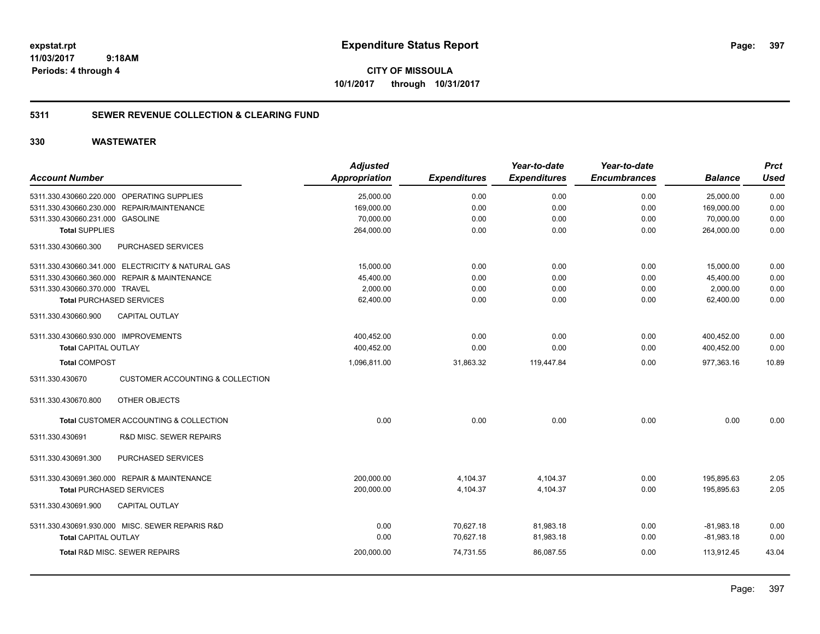**CITY OF MISSOULA 10/1/2017 through 10/31/2017**

### **5311 SEWER REVENUE COLLECTION & CLEARING FUND**

|                                                                | <b>Adjusted</b>      |                     | Year-to-date        | Year-to-date        |                | <b>Prct</b> |
|----------------------------------------------------------------|----------------------|---------------------|---------------------|---------------------|----------------|-------------|
| <b>Account Number</b>                                          | <b>Appropriation</b> | <b>Expenditures</b> | <b>Expenditures</b> | <b>Encumbrances</b> | <b>Balance</b> | <b>Used</b> |
| 5311.330.430660.220.000 OPERATING SUPPLIES                     | 25,000.00            | 0.00                | 0.00                | 0.00                | 25,000.00      | 0.00        |
| REPAIR/MAINTENANCE<br>5311.330.430660.230.000                  | 169,000.00           | 0.00                | 0.00                | 0.00                | 169,000.00     | 0.00        |
| 5311.330.430660.231.000 GASOLINE                               | 70,000.00            | 0.00                | 0.00                | 0.00                | 70,000.00      | 0.00        |
| <b>Total SUPPLIES</b>                                          | 264,000.00           | 0.00                | 0.00                | 0.00                | 264,000.00     | 0.00        |
| 5311.330.430660.300<br>PURCHASED SERVICES                      |                      |                     |                     |                     |                |             |
| 5311.330.430660.341.000 ELECTRICITY & NATURAL GAS              | 15.000.00            | 0.00                | 0.00                | 0.00                | 15,000.00      | 0.00        |
| 5311.330.430660.360.000 REPAIR & MAINTENANCE                   | 45,400.00            | 0.00                | 0.00                | 0.00                | 45,400.00      | 0.00        |
| 5311.330.430660.370.000 TRAVEL                                 | 2,000.00             | 0.00                | 0.00                | 0.00                | 2,000.00       | 0.00        |
| <b>Total PURCHASED SERVICES</b>                                | 62,400.00            | 0.00                | 0.00                | 0.00                | 62,400.00      | 0.00        |
| <b>CAPITAL OUTLAY</b><br>5311.330.430660.900                   |                      |                     |                     |                     |                |             |
| 5311.330.430660.930.000 IMPROVEMENTS                           | 400,452.00           | 0.00                | 0.00                | 0.00                | 400,452.00     | 0.00        |
| <b>Total CAPITAL OUTLAY</b>                                    | 400,452.00           | 0.00                | 0.00                | 0.00                | 400,452.00     | 0.00        |
| <b>Total COMPOST</b>                                           | 1,096,811.00         | 31,863.32           | 119,447.84          | 0.00                | 977,363.16     | 10.89       |
| <b>CUSTOMER ACCOUNTING &amp; COLLECTION</b><br>5311.330.430670 |                      |                     |                     |                     |                |             |
| 5311.330.430670.800<br>OTHER OBJECTS                           |                      |                     |                     |                     |                |             |
| Total CUSTOMER ACCOUNTING & COLLECTION                         | 0.00                 | 0.00                | 0.00                | 0.00                | 0.00           | 0.00        |
| <b>R&amp;D MISC. SEWER REPAIRS</b><br>5311.330.430691          |                      |                     |                     |                     |                |             |
| 5311.330.430691.300<br>PURCHASED SERVICES                      |                      |                     |                     |                     |                |             |
| 5311.330.430691.360.000 REPAIR & MAINTENANCE                   | 200,000.00           | 4,104.37            | 4,104.37            | 0.00                | 195,895.63     | 2.05        |
| <b>Total PURCHASED SERVICES</b>                                | 200,000.00           | 4,104.37            | 4,104.37            | 0.00                | 195,895.63     | 2.05        |
| 5311.330.430691.900<br><b>CAPITAL OUTLAY</b>                   |                      |                     |                     |                     |                |             |
| 5311.330.430691.930.000 MISC. SEWER REPARIS R&D                | 0.00                 | 70,627.18           | 81,983.18           | 0.00                | $-81,983.18$   | 0.00        |
| <b>Total CAPITAL OUTLAY</b>                                    | 0.00                 | 70,627.18           | 81,983.18           | 0.00                | $-81,983.18$   | 0.00        |
| <b>Total R&amp;D MISC, SEWER REPAIRS</b>                       | 200,000.00           | 74.731.55           | 86,087.55           | 0.00                | 113.912.45     | 43.04       |
|                                                                |                      |                     |                     |                     |                |             |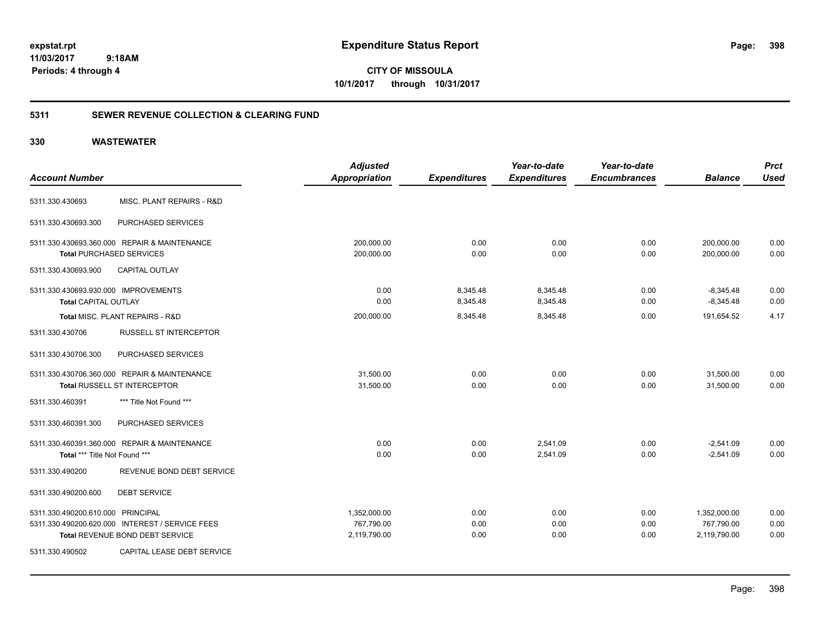**CITY OF MISSOULA 10/1/2017 through 10/31/2017**

### **5311 SEWER REVENUE COLLECTION & CLEARING FUND**

|                                                  | <b>Adjusted</b>      |                     | Year-to-date        | Year-to-date        |                | <b>Prct</b> |
|--------------------------------------------------|----------------------|---------------------|---------------------|---------------------|----------------|-------------|
| <b>Account Number</b>                            | <b>Appropriation</b> | <b>Expenditures</b> | <b>Expenditures</b> | <b>Encumbrances</b> | <b>Balance</b> | <b>Used</b> |
| MISC. PLANT REPAIRS - R&D<br>5311.330.430693     |                      |                     |                     |                     |                |             |
| PURCHASED SERVICES<br>5311.330.430693.300        |                      |                     |                     |                     |                |             |
| 5311.330.430693.360.000 REPAIR & MAINTENANCE     | 200,000.00           | 0.00                | 0.00                | 0.00                | 200,000.00     | 0.00        |
| <b>Total PURCHASED SERVICES</b>                  | 200,000.00           | 0.00                | 0.00                | 0.00                | 200,000.00     | 0.00        |
| <b>CAPITAL OUTLAY</b><br>5311.330.430693.900     |                      |                     |                     |                     |                |             |
| 5311.330.430693.930.000 IMPROVEMENTS             | 0.00                 | 8,345.48            | 8,345.48            | 0.00                | $-8,345.48$    | 0.00        |
| <b>Total CAPITAL OUTLAY</b>                      | 0.00                 | 8,345.48            | 8,345.48            | 0.00                | $-8,345.48$    | 0.00        |
| Total MISC. PLANT REPAIRS - R&D                  | 200,000.00           | 8,345.48            | 8,345.48            | 0.00                | 191,654.52     | 4.17        |
| <b>RUSSELL ST INTERCEPTOR</b><br>5311.330.430706 |                      |                     |                     |                     |                |             |
| PURCHASED SERVICES<br>5311.330.430706.300        |                      |                     |                     |                     |                |             |
| 5311.330.430706.360.000 REPAIR & MAINTENANCE     | 31,500.00            | 0.00                | 0.00                | 0.00                | 31,500.00      | 0.00        |
| Total RUSSELL ST INTERCEPTOR                     | 31,500.00            | 0.00                | 0.00                | 0.00                | 31,500.00      | 0.00        |
| *** Title Not Found ***<br>5311.330.460391       |                      |                     |                     |                     |                |             |
| PURCHASED SERVICES<br>5311.330.460391.300        |                      |                     |                     |                     |                |             |
| 5311.330.460391.360.000 REPAIR & MAINTENANCE     | 0.00                 | 0.00                | 2,541.09            | 0.00                | $-2,541.09$    | 0.00        |
| Total *** Title Not Found ***                    | 0.00                 | 0.00                | 2,541.09            | 0.00                | $-2.541.09$    | 0.00        |
| REVENUE BOND DEBT SERVICE<br>5311.330.490200     |                      |                     |                     |                     |                |             |
| 5311.330.490200.600<br><b>DEBT SERVICE</b>       |                      |                     |                     |                     |                |             |
| 5311.330.490200.610.000 PRINCIPAL                | 1,352,000.00         | 0.00                | 0.00                | 0.00                | 1,352,000.00   | 0.00        |
| 5311.330.490200.620.000 INTEREST / SERVICE FEES  | 767,790.00           | 0.00                | 0.00                | 0.00                | 767,790.00     | 0.00        |
| Total REVENUE BOND DEBT SERVICE                  | 2,119,790.00         | 0.00                | 0.00                | 0.00                | 2,119,790.00   | 0.00        |
| 5311.330.490502<br>CAPITAL LEASE DEBT SERVICE    |                      |                     |                     |                     |                |             |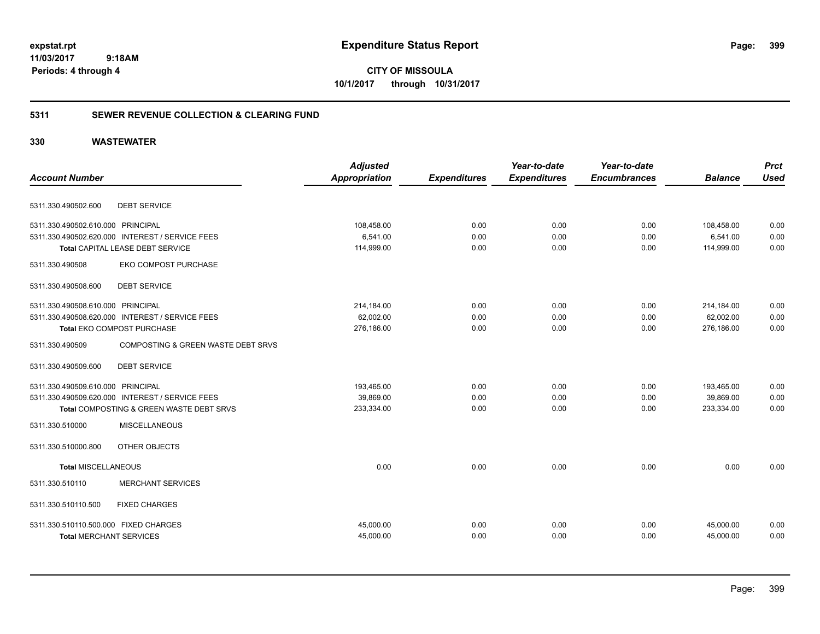**CITY OF MISSOULA 10/1/2017 through 10/31/2017**

### **5311 SEWER REVENUE COLLECTION & CLEARING FUND**

| <b>Account Number</b>                                                   |                                                 | <b>Adjusted</b><br><b>Appropriation</b> | <b>Expenditures</b> | Year-to-date<br><b>Expenditures</b> | Year-to-date<br><b>Encumbrances</b> | <b>Balance</b>         | <b>Prct</b><br><b>Used</b> |
|-------------------------------------------------------------------------|-------------------------------------------------|-----------------------------------------|---------------------|-------------------------------------|-------------------------------------|------------------------|----------------------------|
| 5311.330.490502.600                                                     | <b>DEBT SERVICE</b>                             |                                         |                     |                                     |                                     |                        |                            |
| 5311.330.490502.610.000 PRINCIPAL                                       |                                                 | 108,458.00                              | 0.00                | 0.00                                | 0.00                                | 108,458.00             | 0.00                       |
|                                                                         | 5311.330.490502.620.000 INTEREST / SERVICE FEES | 6,541.00                                | 0.00                | 0.00                                | 0.00                                | 6,541.00               | 0.00                       |
|                                                                         | Total CAPITAL LEASE DEBT SERVICE                | 114,999.00                              | 0.00                | 0.00                                | 0.00                                | 114,999.00             | 0.00                       |
| 5311.330.490508                                                         | <b>EKO COMPOST PURCHASE</b>                     |                                         |                     |                                     |                                     |                        |                            |
| 5311.330.490508.600                                                     | <b>DEBT SERVICE</b>                             |                                         |                     |                                     |                                     |                        |                            |
| 5311.330.490508.610.000 PRINCIPAL                                       |                                                 | 214,184.00                              | 0.00                | 0.00                                | 0.00                                | 214,184.00             | 0.00                       |
|                                                                         | 5311.330.490508.620.000 INTEREST / SERVICE FEES | 62,002.00                               | 0.00                | 0.00                                | 0.00                                | 62,002.00              | 0.00                       |
|                                                                         | Total EKO COMPOST PURCHASE                      | 276,186.00                              | 0.00                | 0.00                                | 0.00                                | 276,186.00             | 0.00                       |
| 5311.330.490509                                                         | COMPOSTING & GREEN WASTE DEBT SRVS              |                                         |                     |                                     |                                     |                        |                            |
| 5311.330.490509.600                                                     | <b>DEBT SERVICE</b>                             |                                         |                     |                                     |                                     |                        |                            |
| 5311.330.490509.610.000 PRINCIPAL                                       |                                                 | 193,465.00                              | 0.00                | 0.00                                | 0.00                                | 193,465.00             | 0.00                       |
|                                                                         | 5311.330.490509.620.000 INTEREST / SERVICE FEES | 39,869.00                               | 0.00                | 0.00                                | 0.00                                | 39,869.00              | 0.00                       |
|                                                                         | Total COMPOSTING & GREEN WASTE DEBT SRVS        | 233,334.00                              | 0.00                | 0.00                                | 0.00                                | 233,334.00             | 0.00                       |
| 5311.330.510000                                                         | <b>MISCELLANEOUS</b>                            |                                         |                     |                                     |                                     |                        |                            |
| 5311.330.510000.800                                                     | OTHER OBJECTS                                   |                                         |                     |                                     |                                     |                        |                            |
| <b>Total MISCELLANEOUS</b>                                              |                                                 | 0.00                                    | 0.00                | 0.00                                | 0.00                                | 0.00                   | 0.00                       |
| 5311.330.510110                                                         | <b>MERCHANT SERVICES</b>                        |                                         |                     |                                     |                                     |                        |                            |
| 5311.330.510110.500                                                     | <b>FIXED CHARGES</b>                            |                                         |                     |                                     |                                     |                        |                            |
| 5311.330.510110.500.000 FIXED CHARGES<br><b>Total MERCHANT SERVICES</b> |                                                 | 45,000.00<br>45,000.00                  | 0.00<br>0.00        | 0.00<br>0.00                        | 0.00<br>0.00                        | 45,000.00<br>45,000.00 | 0.00<br>0.00               |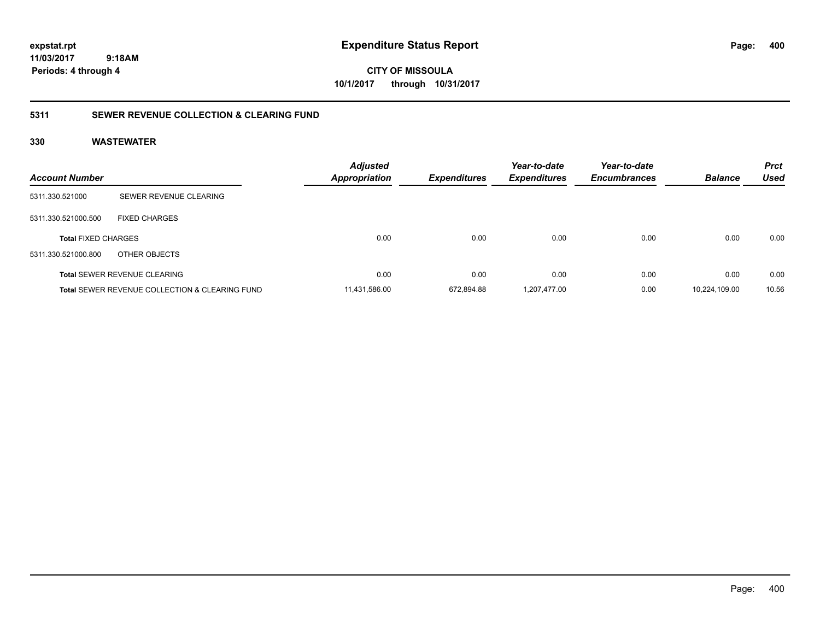# **CITY OF MISSOULA 10/1/2017 through 10/31/2017**

### **5311 SEWER REVENUE COLLECTION & CLEARING FUND**

| <b>Account Number</b>      |                                                           | <b>Adjusted</b><br>Appropriation | <b>Expenditures</b> | Year-to-date<br><b>Expenditures</b> | Year-to-date<br><b>Encumbrances</b> | <b>Balance</b> | <b>Prct</b><br><b>Used</b> |
|----------------------------|-----------------------------------------------------------|----------------------------------|---------------------|-------------------------------------|-------------------------------------|----------------|----------------------------|
| 5311.330.521000            | SEWER REVENUE CLEARING                                    |                                  |                     |                                     |                                     |                |                            |
| 5311.330.521000.500        | <b>FIXED CHARGES</b>                                      |                                  |                     |                                     |                                     |                |                            |
| <b>Total FIXED CHARGES</b> |                                                           | 0.00                             | 0.00                | 0.00                                | 0.00                                | 0.00           | 0.00                       |
| 5311.330.521000.800        | OTHER OBJECTS                                             |                                  |                     |                                     |                                     |                |                            |
|                            | <b>Total SEWER REVENUE CLEARING</b>                       | 0.00                             | 0.00                | 0.00                                | 0.00                                | 0.00           | 0.00                       |
|                            | <b>Total SEWER REVENUE COLLECTION &amp; CLEARING FUND</b> | 11.431.586.00                    | 672.894.88          | 1.207.477.00                        | 0.00                                | 10.224.109.00  | 10.56                      |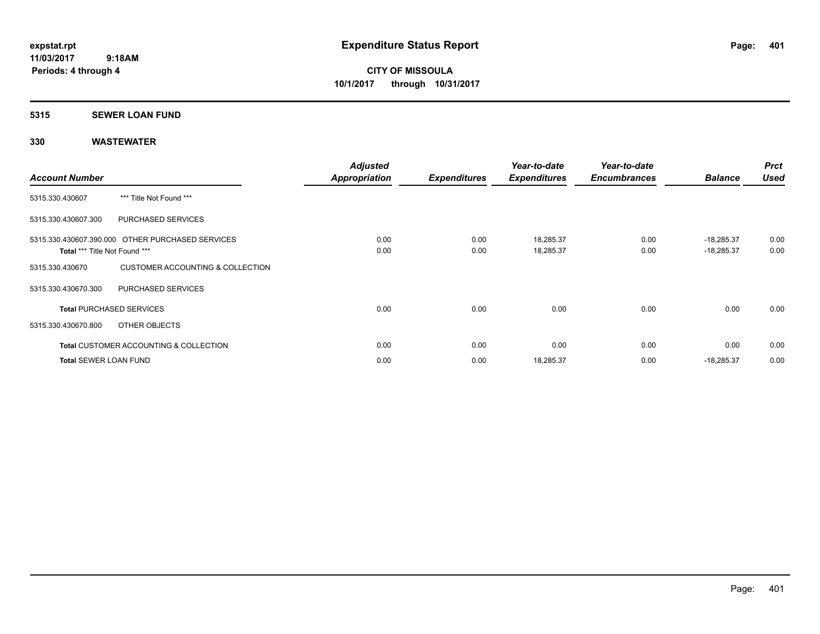#### **5315 SEWER LOAN FUND**

| <b>Account Number</b>         |                                                   | <b>Adjusted</b>      |                     | Year-to-date        | Year-to-date<br><b>Encumbrances</b> | <b>Balance</b> | <b>Prct</b><br><b>Used</b> |
|-------------------------------|---------------------------------------------------|----------------------|---------------------|---------------------|-------------------------------------|----------------|----------------------------|
|                               |                                                   | <b>Appropriation</b> | <b>Expenditures</b> | <b>Expenditures</b> |                                     |                |                            |
| 5315.330.430607               | *** Title Not Found ***                           |                      |                     |                     |                                     |                |                            |
| 5315.330.430607.300           | PURCHASED SERVICES                                |                      |                     |                     |                                     |                |                            |
|                               | 5315.330.430607.390.000 OTHER PURCHASED SERVICES  | 0.00                 | 0.00                | 18,285.37           | 0.00                                | $-18,285.37$   | 0.00                       |
| Total *** Title Not Found *** |                                                   | 0.00                 | 0.00                | 18,285.37           | 0.00                                | $-18,285.37$   | 0.00                       |
| 5315.330.430670               | CUSTOMER ACCOUNTING & COLLECTION                  |                      |                     |                     |                                     |                |                            |
| 5315.330.430670.300           | PURCHASED SERVICES                                |                      |                     |                     |                                     |                |                            |
|                               | <b>Total PURCHASED SERVICES</b>                   | 0.00                 | 0.00                | 0.00                | 0.00                                | 0.00           | 0.00                       |
| 5315.330.430670.800           | OTHER OBJECTS                                     |                      |                     |                     |                                     |                |                            |
|                               | <b>Total CUSTOMER ACCOUNTING &amp; COLLECTION</b> | 0.00                 | 0.00                | 0.00                | 0.00                                | 0.00           | 0.00                       |
| <b>Total SEWER LOAN FUND</b>  |                                                   | 0.00                 | 0.00                | 18,285.37           | 0.00                                | $-18,285.37$   | 0.00                       |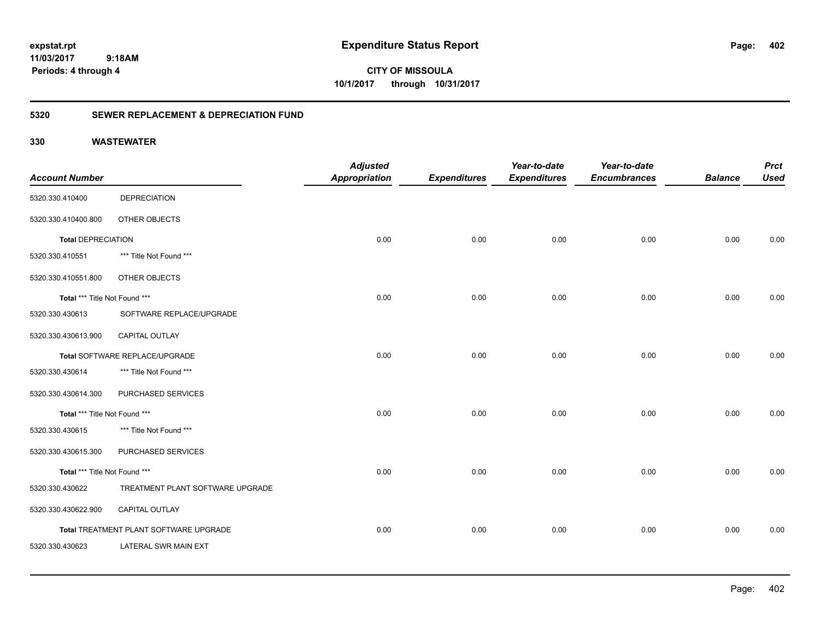**CITY OF MISSOULA 10/1/2017 through 10/31/2017**

### **5320 SEWER REPLACEMENT & DEPRECIATION FUND**

|                               |                                        | <b>Adjusted</b>      |                     | Year-to-date        | Year-to-date        |                | <b>Prct</b> |
|-------------------------------|----------------------------------------|----------------------|---------------------|---------------------|---------------------|----------------|-------------|
| <b>Account Number</b>         |                                        | <b>Appropriation</b> | <b>Expenditures</b> | <b>Expenditures</b> | <b>Encumbrances</b> | <b>Balance</b> | <b>Used</b> |
| 5320.330.410400               | <b>DEPRECIATION</b>                    |                      |                     |                     |                     |                |             |
| 5320.330.410400.800           | OTHER OBJECTS                          |                      |                     |                     |                     |                |             |
| <b>Total DEPRECIATION</b>     |                                        | 0.00                 | 0.00                | 0.00                | 0.00                | 0.00           | 0.00        |
| 5320.330.410551               | *** Title Not Found ***                |                      |                     |                     |                     |                |             |
| 5320.330.410551.800           | OTHER OBJECTS                          |                      |                     |                     |                     |                |             |
| Total *** Title Not Found *** |                                        | 0.00                 | 0.00                | 0.00                | 0.00                | 0.00           | 0.00        |
| 5320.330.430613               | SOFTWARE REPLACE/UPGRADE               |                      |                     |                     |                     |                |             |
| 5320.330.430613.900           | <b>CAPITAL OUTLAY</b>                  |                      |                     |                     |                     |                |             |
|                               | Total SOFTWARE REPLACE/UPGRADE         | 0.00                 | 0.00                | 0.00                | 0.00                | 0.00           | 0.00        |
| 5320.330.430614               | *** Title Not Found ***                |                      |                     |                     |                     |                |             |
| 5320.330.430614.300           | PURCHASED SERVICES                     |                      |                     |                     |                     |                |             |
| Total *** Title Not Found *** |                                        | 0.00                 | 0.00                | 0.00                | 0.00                | 0.00           | 0.00        |
| 5320.330.430615               | *** Title Not Found ***                |                      |                     |                     |                     |                |             |
| 5320.330.430615.300           | PURCHASED SERVICES                     |                      |                     |                     |                     |                |             |
| Total *** Title Not Found *** |                                        | 0.00                 | 0.00                | 0.00                | 0.00                | 0.00           | 0.00        |
| 5320.330.430622               | TREATMENT PLANT SOFTWARE UPGRADE       |                      |                     |                     |                     |                |             |
| 5320.330.430622.900           | CAPITAL OUTLAY                         |                      |                     |                     |                     |                |             |
|                               | Total TREATMENT PLANT SOFTWARE UPGRADE | 0.00                 | 0.00                | 0.00                | 0.00                | 0.00           | 0.00        |
| 5320.330.430623               | LATERAL SWR MAIN EXT                   |                      |                     |                     |                     |                |             |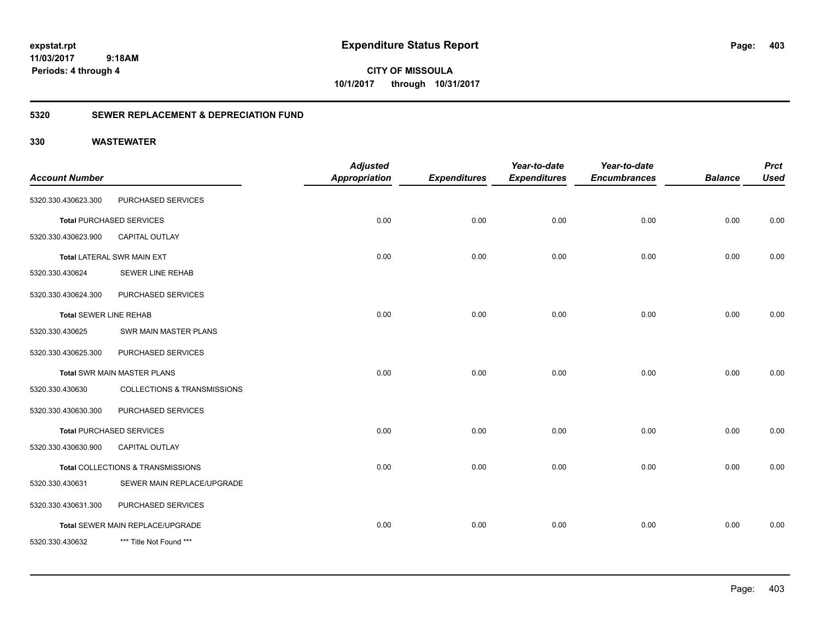**CITY OF MISSOULA 10/1/2017 through 10/31/2017**

### **5320 SEWER REPLACEMENT & DEPRECIATION FUND**

| <b>Account Number</b>         |                                    | <b>Adjusted</b><br><b>Appropriation</b> | <b>Expenditures</b> | Year-to-date<br><b>Expenditures</b> | Year-to-date<br><b>Encumbrances</b> | <b>Balance</b> | <b>Prct</b><br><b>Used</b> |
|-------------------------------|------------------------------------|-----------------------------------------|---------------------|-------------------------------------|-------------------------------------|----------------|----------------------------|
|                               |                                    |                                         |                     |                                     |                                     |                |                            |
| 5320.330.430623.300           | PURCHASED SERVICES                 |                                         |                     |                                     |                                     |                |                            |
|                               | <b>Total PURCHASED SERVICES</b>    | 0.00                                    | 0.00                | 0.00                                | 0.00                                | 0.00           | 0.00                       |
| 5320.330.430623.900           | <b>CAPITAL OUTLAY</b>              |                                         |                     |                                     |                                     |                |                            |
|                               | <b>Total LATERAL SWR MAIN EXT</b>  | 0.00                                    | 0.00                | 0.00                                | 0.00                                | 0.00           | 0.00                       |
| 5320.330.430624               | <b>SEWER LINE REHAB</b>            |                                         |                     |                                     |                                     |                |                            |
| 5320.330.430624.300           | PURCHASED SERVICES                 |                                         |                     |                                     |                                     |                |                            |
| <b>Total SEWER LINE REHAB</b> |                                    | 0.00                                    | 0.00                | 0.00                                | 0.00                                | 0.00           | 0.00                       |
| 5320.330.430625               | SWR MAIN MASTER PLANS              |                                         |                     |                                     |                                     |                |                            |
| 5320.330.430625.300           | PURCHASED SERVICES                 |                                         |                     |                                     |                                     |                |                            |
|                               | <b>Total SWR MAIN MASTER PLANS</b> | 0.00                                    | 0.00                | 0.00                                | 0.00                                | 0.00           | 0.00                       |
| 5320.330.430630               | COLLECTIONS & TRANSMISSIONS        |                                         |                     |                                     |                                     |                |                            |
| 5320.330.430630.300           | PURCHASED SERVICES                 |                                         |                     |                                     |                                     |                |                            |
|                               | <b>Total PURCHASED SERVICES</b>    | 0.00                                    | 0.00                | 0.00                                | 0.00                                | 0.00           | 0.00                       |
| 5320.330.430630.900           | <b>CAPITAL OUTLAY</b>              |                                         |                     |                                     |                                     |                |                            |
|                               | Total COLLECTIONS & TRANSMISSIONS  | 0.00                                    | 0.00                | 0.00                                | 0.00                                | 0.00           | 0.00                       |
| 5320.330.430631               | SEWER MAIN REPLACE/UPGRADE         |                                         |                     |                                     |                                     |                |                            |
| 5320.330.430631.300           | PURCHASED SERVICES                 |                                         |                     |                                     |                                     |                |                            |
|                               | Total SEWER MAIN REPLACE/UPGRADE   | 0.00                                    | 0.00                | 0.00                                | 0.00                                | 0.00           | 0.00                       |
| 5320.330.430632               | *** Title Not Found ***            |                                         |                     |                                     |                                     |                |                            |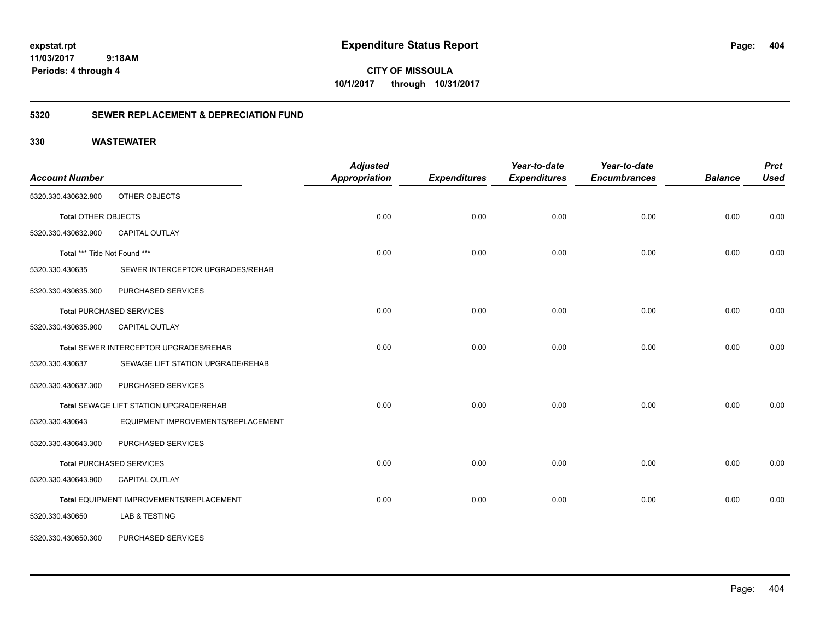**CITY OF MISSOULA 10/1/2017 through 10/31/2017**

### **5320 SEWER REPLACEMENT & DEPRECIATION FUND**

| <b>Account Number</b>         |                                          | <b>Adjusted</b><br><b>Appropriation</b> | <b>Expenditures</b> | Year-to-date<br><b>Expenditures</b> | Year-to-date<br><b>Encumbrances</b> | <b>Balance</b> | <b>Prct</b><br><b>Used</b> |
|-------------------------------|------------------------------------------|-----------------------------------------|---------------------|-------------------------------------|-------------------------------------|----------------|----------------------------|
| 5320.330.430632.800           | OTHER OBJECTS                            |                                         |                     |                                     |                                     |                |                            |
| <b>Total OTHER OBJECTS</b>    |                                          | 0.00                                    | 0.00                | 0.00                                | 0.00                                | 0.00           | 0.00                       |
| 5320.330.430632.900           | CAPITAL OUTLAY                           |                                         |                     |                                     |                                     |                |                            |
| Total *** Title Not Found *** |                                          | 0.00                                    | 0.00                | 0.00                                | 0.00                                | 0.00           | 0.00                       |
| 5320.330.430635               | SEWER INTERCEPTOR UPGRADES/REHAB         |                                         |                     |                                     |                                     |                |                            |
| 5320.330.430635.300           | PURCHASED SERVICES                       |                                         |                     |                                     |                                     |                |                            |
|                               | <b>Total PURCHASED SERVICES</b>          | 0.00                                    | 0.00                | 0.00                                | 0.00                                | 0.00           | 0.00                       |
| 5320.330.430635.900           | <b>CAPITAL OUTLAY</b>                    |                                         |                     |                                     |                                     |                |                            |
|                               | Total SEWER INTERCEPTOR UPGRADES/REHAB   | 0.00                                    | 0.00                | 0.00                                | 0.00                                | 0.00           | 0.00                       |
| 5320.330.430637               | SEWAGE LIFT STATION UPGRADE/REHAB        |                                         |                     |                                     |                                     |                |                            |
| 5320.330.430637.300           | PURCHASED SERVICES                       |                                         |                     |                                     |                                     |                |                            |
|                               | Total SEWAGE LIFT STATION UPGRADE/REHAB  | 0.00                                    | 0.00                | 0.00                                | 0.00                                | 0.00           | 0.00                       |
| 5320.330.430643               | EQUIPMENT IMPROVEMENTS/REPLACEMENT       |                                         |                     |                                     |                                     |                |                            |
| 5320.330.430643.300           | PURCHASED SERVICES                       |                                         |                     |                                     |                                     |                |                            |
|                               | <b>Total PURCHASED SERVICES</b>          | 0.00                                    | 0.00                | 0.00                                | 0.00                                | 0.00           | 0.00                       |
| 5320.330.430643.900           | CAPITAL OUTLAY                           |                                         |                     |                                     |                                     |                |                            |
|                               | Total EQUIPMENT IMPROVEMENTS/REPLACEMENT | 0.00                                    | 0.00                | 0.00                                | 0.00                                | 0.00           | 0.00                       |
| 5320.330.430650               | <b>LAB &amp; TESTING</b>                 |                                         |                     |                                     |                                     |                |                            |
| 5320.330.430650.300           | PURCHASED SERVICES                       |                                         |                     |                                     |                                     |                |                            |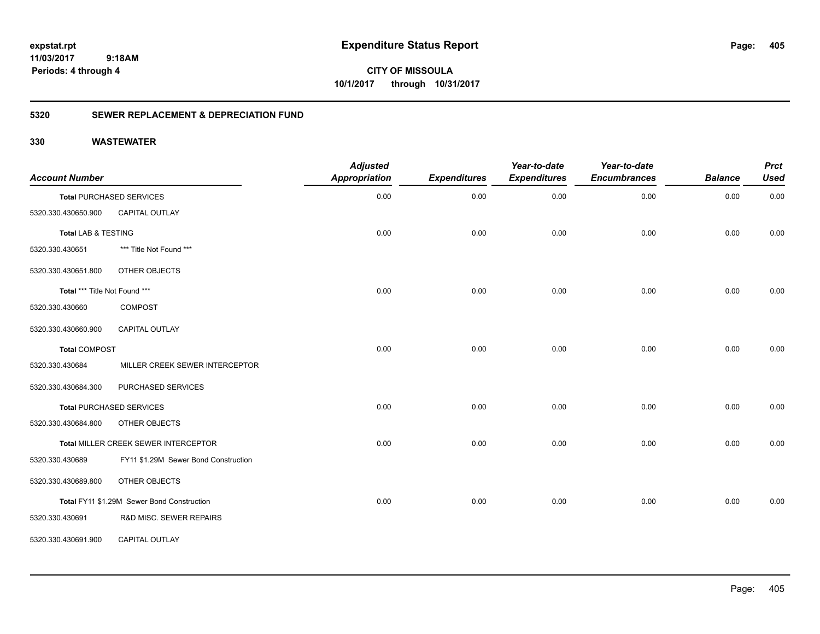**CITY OF MISSOULA 10/1/2017 through 10/31/2017**

### **5320 SEWER REPLACEMENT & DEPRECIATION FUND**

| <b>Account Number</b>         |                                            | <b>Adjusted</b><br>Appropriation | <b>Expenditures</b> | Year-to-date<br><b>Expenditures</b> | Year-to-date<br><b>Encumbrances</b> | <b>Balance</b> | <b>Prct</b><br><b>Used</b> |
|-------------------------------|--------------------------------------------|----------------------------------|---------------------|-------------------------------------|-------------------------------------|----------------|----------------------------|
|                               | <b>Total PURCHASED SERVICES</b>            | 0.00                             | 0.00                | 0.00                                | 0.00                                | 0.00           | 0.00                       |
| 5320.330.430650.900           | CAPITAL OUTLAY                             |                                  |                     |                                     |                                     |                |                            |
| Total LAB & TESTING           |                                            | 0.00                             | 0.00                | 0.00                                | 0.00                                | 0.00           | 0.00                       |
| 5320.330.430651               | *** Title Not Found ***                    |                                  |                     |                                     |                                     |                |                            |
| 5320.330.430651.800           | OTHER OBJECTS                              |                                  |                     |                                     |                                     |                |                            |
| Total *** Title Not Found *** |                                            | 0.00                             | 0.00                | 0.00                                | 0.00                                | 0.00           | 0.00                       |
| 5320.330.430660               | <b>COMPOST</b>                             |                                  |                     |                                     |                                     |                |                            |
| 5320.330.430660.900           | CAPITAL OUTLAY                             |                                  |                     |                                     |                                     |                |                            |
| <b>Total COMPOST</b>          |                                            | 0.00                             | 0.00                | 0.00                                | 0.00                                | 0.00           | 0.00                       |
| 5320.330.430684               | MILLER CREEK SEWER INTERCEPTOR             |                                  |                     |                                     |                                     |                |                            |
| 5320.330.430684.300           | PURCHASED SERVICES                         |                                  |                     |                                     |                                     |                |                            |
|                               | Total PURCHASED SERVICES                   | 0.00                             | 0.00                | 0.00                                | 0.00                                | 0.00           | 0.00                       |
| 5320.330.430684.800           | OTHER OBJECTS                              |                                  |                     |                                     |                                     |                |                            |
|                               | Total MILLER CREEK SEWER INTERCEPTOR       | 0.00                             | 0.00                | 0.00                                | 0.00                                | 0.00           | 0.00                       |
| 5320.330.430689               | FY11 \$1.29M Sewer Bond Construction       |                                  |                     |                                     |                                     |                |                            |
| 5320.330.430689.800           | OTHER OBJECTS                              |                                  |                     |                                     |                                     |                |                            |
|                               | Total FY11 \$1.29M Sewer Bond Construction | 0.00                             | 0.00                | 0.00                                | 0.00                                | 0.00           | 0.00                       |
| 5320.330.430691               | R&D MISC. SEWER REPAIRS                    |                                  |                     |                                     |                                     |                |                            |
| 5320.330.430691.900           | <b>CAPITAL OUTLAY</b>                      |                                  |                     |                                     |                                     |                |                            |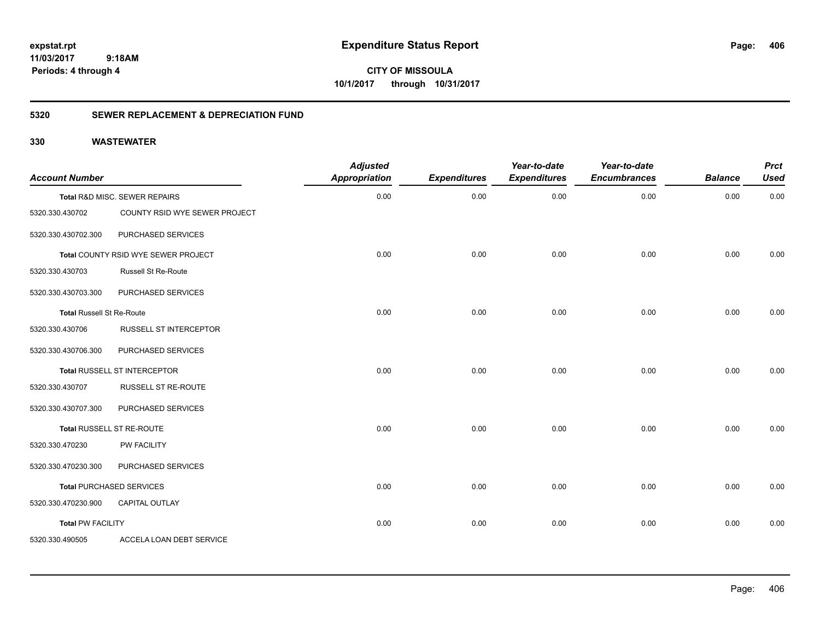**CITY OF MISSOULA 10/1/2017 through 10/31/2017**

### **5320 SEWER REPLACEMENT & DEPRECIATION FUND**

| <b>Account Number</b>            |                                            | <b>Adjusted</b><br><b>Appropriation</b> | <b>Expenditures</b> | Year-to-date<br><b>Expenditures</b> | Year-to-date<br><b>Encumbrances</b> | <b>Balance</b> | <b>Prct</b><br><b>Used</b> |
|----------------------------------|--------------------------------------------|-----------------------------------------|---------------------|-------------------------------------|-------------------------------------|----------------|----------------------------|
|                                  | Total R&D MISC. SEWER REPAIRS              | 0.00                                    | 0.00                | 0.00                                | 0.00                                | 0.00           | 0.00                       |
| 5320.330.430702                  | COUNTY RSID WYE SEWER PROJECT              |                                         |                     |                                     |                                     |                |                            |
| 5320.330.430702.300              | PURCHASED SERVICES                         |                                         |                     |                                     |                                     |                |                            |
|                                  | <b>Total COUNTY RSID WYE SEWER PROJECT</b> | 0.00                                    | 0.00                | 0.00                                | 0.00                                | 0.00           | 0.00                       |
| 5320.330.430703                  | <b>Russell St Re-Route</b>                 |                                         |                     |                                     |                                     |                |                            |
| 5320.330.430703.300              | PURCHASED SERVICES                         |                                         |                     |                                     |                                     |                |                            |
| <b>Total Russell St Re-Route</b> |                                            | 0.00                                    | 0.00                | 0.00                                | 0.00                                | 0.00           | 0.00                       |
| 5320.330.430706                  | RUSSELL ST INTERCEPTOR                     |                                         |                     |                                     |                                     |                |                            |
| 5320.330.430706.300              | PURCHASED SERVICES                         |                                         |                     |                                     |                                     |                |                            |
|                                  | <b>Total RUSSELL ST INTERCEPTOR</b>        | 0.00                                    | 0.00                | 0.00                                | 0.00                                | 0.00           | 0.00                       |
| 5320.330.430707                  | RUSSELL ST RE-ROUTE                        |                                         |                     |                                     |                                     |                |                            |
| 5320.330.430707.300              | PURCHASED SERVICES                         |                                         |                     |                                     |                                     |                |                            |
|                                  | Total RUSSELL ST RE-ROUTE                  | 0.00                                    | 0.00                | 0.00                                | 0.00                                | 0.00           | 0.00                       |
| 5320.330.470230                  | PW FACILITY                                |                                         |                     |                                     |                                     |                |                            |
| 5320.330.470230.300              | PURCHASED SERVICES                         |                                         |                     |                                     |                                     |                |                            |
|                                  | <b>Total PURCHASED SERVICES</b>            | 0.00                                    | 0.00                | 0.00                                | 0.00                                | 0.00           | 0.00                       |
| 5320.330.470230.900              | <b>CAPITAL OUTLAY</b>                      |                                         |                     |                                     |                                     |                |                            |
| <b>Total PW FACILITY</b>         |                                            | 0.00                                    | 0.00                | 0.00                                | 0.00                                | 0.00           | 0.00                       |
| 5320.330.490505                  | ACCELA LOAN DEBT SERVICE                   |                                         |                     |                                     |                                     |                |                            |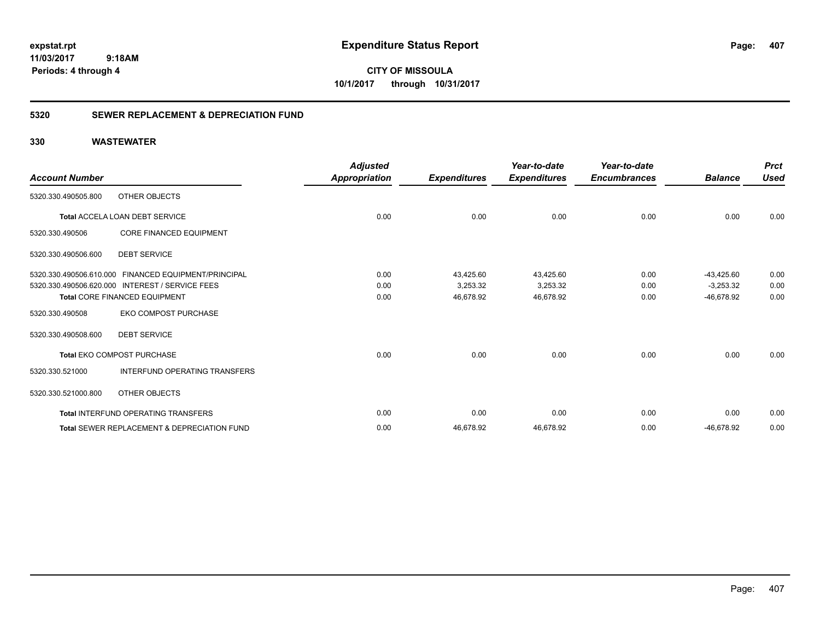**CITY OF MISSOULA 10/1/2017 through 10/31/2017**

### **5320 SEWER REPLACEMENT & DEPRECIATION FUND**

| <b>Account Number</b>   |                                                        | <b>Adjusted</b><br>Appropriation | <b>Expenditures</b> | Year-to-date<br><b>Expenditures</b> | Year-to-date<br><b>Encumbrances</b> | <b>Balance</b> | <b>Prct</b><br><b>Used</b> |
|-------------------------|--------------------------------------------------------|----------------------------------|---------------------|-------------------------------------|-------------------------------------|----------------|----------------------------|
| 5320.330.490505.800     | OTHER OBJECTS                                          |                                  |                     |                                     |                                     |                |                            |
|                         | Total ACCELA LOAN DEBT SERVICE                         | 0.00                             | 0.00                | 0.00                                | 0.00                                | 0.00           | 0.00                       |
| 5320.330.490506         | <b>CORE FINANCED EQUIPMENT</b>                         |                                  |                     |                                     |                                     |                |                            |
| 5320.330.490506.600     | <b>DEBT SERVICE</b>                                    |                                  |                     |                                     |                                     |                |                            |
|                         | 5320.330.490506.610.000 FINANCED EQUIPMENT/PRINCIPAL   | 0.00                             | 43.425.60           | 43,425.60                           | 0.00                                | $-43.425.60$   | 0.00                       |
| 5320.330.490506.620.000 | <b>INTEREST / SERVICE FEES</b>                         | 0.00                             | 3,253.32            | 3,253.32                            | 0.00                                | $-3,253.32$    | 0.00                       |
|                         | <b>Total CORE FINANCED EQUIPMENT</b>                   | 0.00                             | 46,678.92           | 46,678.92                           | 0.00                                | -46,678.92     | 0.00                       |
| 5320.330.490508         | <b>EKO COMPOST PURCHASE</b>                            |                                  |                     |                                     |                                     |                |                            |
| 5320.330.490508.600     | <b>DEBT SERVICE</b>                                    |                                  |                     |                                     |                                     |                |                            |
|                         | <b>Total EKO COMPOST PURCHASE</b>                      | 0.00                             | 0.00                | 0.00                                | 0.00                                | 0.00           | 0.00                       |
| 5320.330.521000         | <b>INTERFUND OPERATING TRANSFERS</b>                   |                                  |                     |                                     |                                     |                |                            |
| 5320.330.521000.800     | OTHER OBJECTS                                          |                                  |                     |                                     |                                     |                |                            |
|                         | <b>Total INTERFUND OPERATING TRANSFERS</b>             | 0.00                             | 0.00                | 0.00                                | 0.00                                | 0.00           | 0.00                       |
|                         | <b>Total SEWER REPLACEMENT &amp; DEPRECIATION FUND</b> | 0.00                             | 46,678.92           | 46,678.92                           | 0.00                                | -46,678.92     | 0.00                       |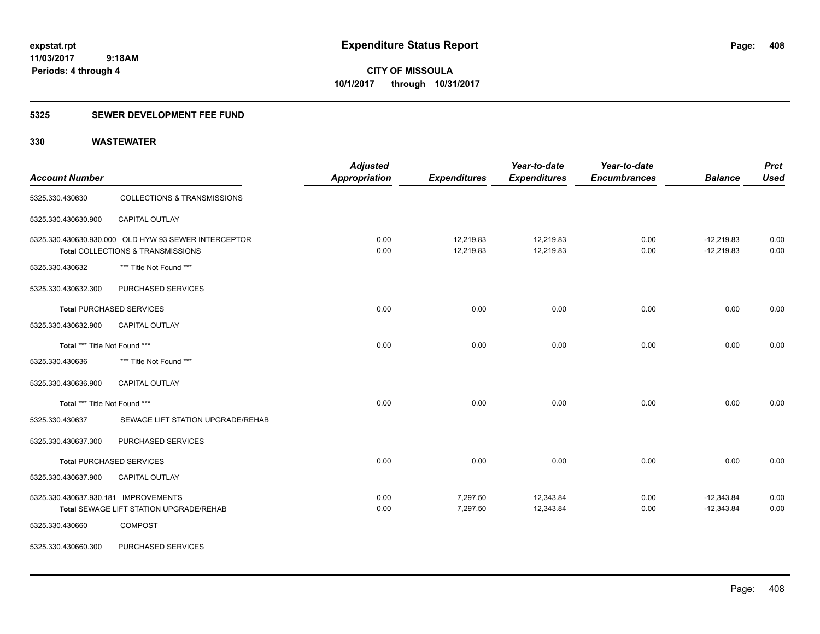### **5325 SEWER DEVELOPMENT FEE FUND**

| <b>Account Number</b>                |                                                                                           | <b>Adjusted</b><br><b>Appropriation</b> | <b>Expenditures</b>    | Year-to-date<br><b>Expenditures</b> | Year-to-date<br><b>Encumbrances</b> | <b>Balance</b>               | <b>Prct</b><br><b>Used</b> |
|--------------------------------------|-------------------------------------------------------------------------------------------|-----------------------------------------|------------------------|-------------------------------------|-------------------------------------|------------------------------|----------------------------|
| 5325.330.430630                      | COLLECTIONS & TRANSMISSIONS                                                               |                                         |                        |                                     |                                     |                              |                            |
| 5325.330.430630.900                  | <b>CAPITAL OUTLAY</b>                                                                     |                                         |                        |                                     |                                     |                              |                            |
|                                      | 5325.330.430630.930.000 OLD HYW 93 SEWER INTERCEPTOR<br>Total COLLECTIONS & TRANSMISSIONS | 0.00<br>0.00                            | 12,219.83<br>12,219.83 | 12,219.83<br>12,219.83              | 0.00<br>0.00                        | $-12,219.83$<br>$-12,219.83$ | 0.00<br>0.00               |
| 5325.330.430632                      | *** Title Not Found ***                                                                   |                                         |                        |                                     |                                     |                              |                            |
| 5325.330.430632.300                  | PURCHASED SERVICES                                                                        |                                         |                        |                                     |                                     |                              |                            |
|                                      | <b>Total PURCHASED SERVICES</b>                                                           | 0.00                                    | 0.00                   | 0.00                                | 0.00                                | 0.00                         | 0.00                       |
| 5325.330.430632.900                  | CAPITAL OUTLAY                                                                            |                                         |                        |                                     |                                     |                              |                            |
| Total *** Title Not Found ***        |                                                                                           | 0.00                                    | 0.00                   | 0.00                                | 0.00                                | 0.00                         | 0.00                       |
| 5325.330.430636                      | *** Title Not Found ***                                                                   |                                         |                        |                                     |                                     |                              |                            |
| 5325.330.430636.900                  | <b>CAPITAL OUTLAY</b>                                                                     |                                         |                        |                                     |                                     |                              |                            |
| Total *** Title Not Found ***        |                                                                                           | 0.00                                    | 0.00                   | 0.00                                | 0.00                                | 0.00                         | 0.00                       |
| 5325.330.430637                      | SEWAGE LIFT STATION UPGRADE/REHAB                                                         |                                         |                        |                                     |                                     |                              |                            |
| 5325.330.430637.300                  | PURCHASED SERVICES                                                                        |                                         |                        |                                     |                                     |                              |                            |
|                                      | <b>Total PURCHASED SERVICES</b>                                                           | 0.00                                    | 0.00                   | 0.00                                | 0.00                                | 0.00                         | 0.00                       |
| 5325.330.430637.900                  | <b>CAPITAL OUTLAY</b>                                                                     |                                         |                        |                                     |                                     |                              |                            |
| 5325.330.430637.930.181 IMPROVEMENTS |                                                                                           | 0.00                                    | 7,297.50               | 12,343.84                           | 0.00                                | $-12,343.84$                 | 0.00                       |
|                                      | <b>Total SEWAGE LIFT STATION UPGRADE/REHAB</b>                                            | 0.00                                    | 7,297.50               | 12,343.84                           | 0.00                                | $-12,343.84$                 | 0.00                       |
| 5325.330.430660                      | <b>COMPOST</b>                                                                            |                                         |                        |                                     |                                     |                              |                            |
| 5325.330.430660.300                  | PURCHASED SERVICES                                                                        |                                         |                        |                                     |                                     |                              |                            |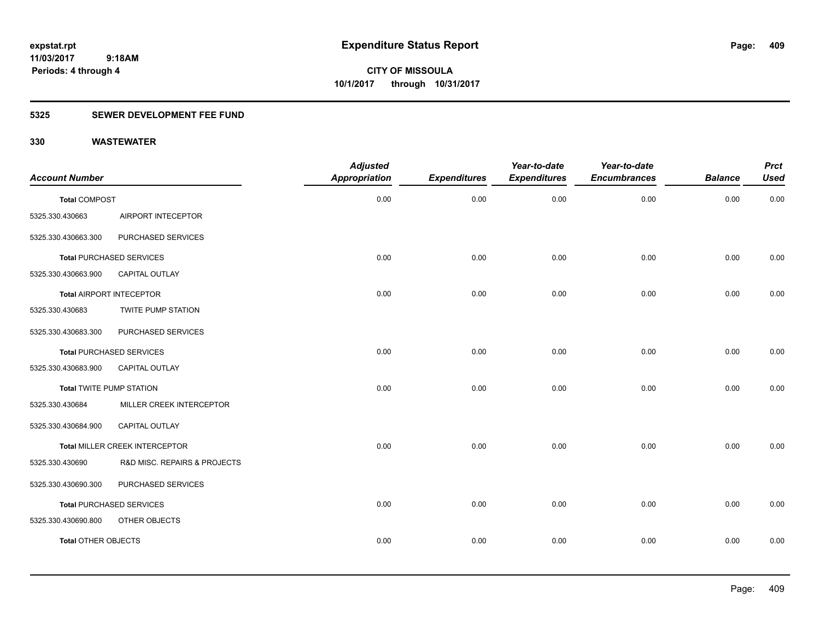**CITY OF MISSOULA 10/1/2017 through 10/31/2017**

### **5325 SEWER DEVELOPMENT FEE FUND**

| <b>Account Number</b>           |                                 | <b>Adjusted</b><br><b>Appropriation</b> | <b>Expenditures</b> | Year-to-date<br><b>Expenditures</b> | Year-to-date<br><b>Encumbrances</b> | <b>Balance</b> | <b>Prct</b><br><b>Used</b> |
|---------------------------------|---------------------------------|-----------------------------------------|---------------------|-------------------------------------|-------------------------------------|----------------|----------------------------|
| <b>Total COMPOST</b>            |                                 | 0.00                                    | 0.00                | 0.00                                | 0.00                                | 0.00           | 0.00                       |
| 5325.330.430663                 | AIRPORT INTECEPTOR              |                                         |                     |                                     |                                     |                |                            |
| 5325.330.430663.300             | PURCHASED SERVICES              |                                         |                     |                                     |                                     |                |                            |
|                                 | <b>Total PURCHASED SERVICES</b> | 0.00                                    | 0.00                | 0.00                                | 0.00                                | 0.00           | 0.00                       |
| 5325.330.430663.900             | CAPITAL OUTLAY                  |                                         |                     |                                     |                                     |                |                            |
|                                 | Total AIRPORT INTECEPTOR        | 0.00                                    | 0.00                | 0.00                                | 0.00                                | 0.00           | 0.00                       |
| 5325.330.430683                 | TWITE PUMP STATION              |                                         |                     |                                     |                                     |                |                            |
| 5325.330.430683.300             | PURCHASED SERVICES              |                                         |                     |                                     |                                     |                |                            |
|                                 | <b>Total PURCHASED SERVICES</b> | 0.00                                    | 0.00                | 0.00                                | 0.00                                | 0.00           | 0.00                       |
| 5325.330.430683.900             | <b>CAPITAL OUTLAY</b>           |                                         |                     |                                     |                                     |                |                            |
| <b>Total TWITE PUMP STATION</b> |                                 | 0.00                                    | 0.00                | 0.00                                | 0.00                                | 0.00           | 0.00                       |
| 5325.330.430684                 | MILLER CREEK INTERCEPTOR        |                                         |                     |                                     |                                     |                |                            |
| 5325.330.430684.900             | CAPITAL OUTLAY                  |                                         |                     |                                     |                                     |                |                            |
|                                 | Total MILLER CREEK INTERCEPTOR  | 0.00                                    | 0.00                | 0.00                                | 0.00                                | 0.00           | 0.00                       |
| 5325.330.430690                 | R&D MISC. REPAIRS & PROJECTS    |                                         |                     |                                     |                                     |                |                            |
| 5325.330.430690.300             | PURCHASED SERVICES              |                                         |                     |                                     |                                     |                |                            |
|                                 | <b>Total PURCHASED SERVICES</b> | 0.00                                    | 0.00                | 0.00                                | 0.00                                | 0.00           | 0.00                       |
| 5325.330.430690.800             | OTHER OBJECTS                   |                                         |                     |                                     |                                     |                |                            |
| Total OTHER OBJECTS             |                                 | 0.00                                    | 0.00                | 0.00                                | 0.00                                | 0.00           | 0.00                       |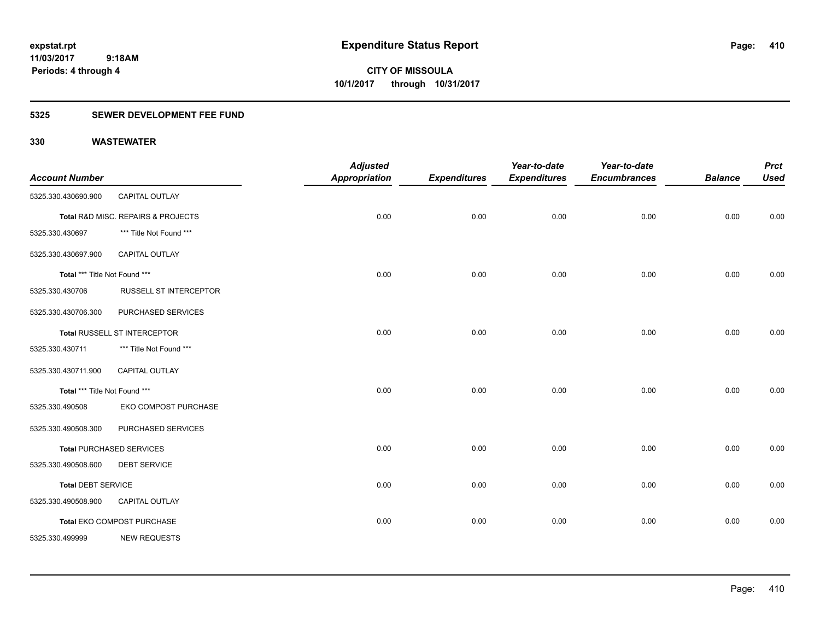**Periods: 4 through 4**

**CITY OF MISSOULA 10/1/2017 through 10/31/2017**

### **5325 SEWER DEVELOPMENT FEE FUND**

 **9:18AM**

| <b>Account Number</b>         |                                    | <b>Adjusted</b><br><b>Appropriation</b> | <b>Expenditures</b> | Year-to-date<br><b>Expenditures</b> | Year-to-date<br><b>Encumbrances</b> | <b>Balance</b> | <b>Prct</b><br><b>Used</b> |
|-------------------------------|------------------------------------|-----------------------------------------|---------------------|-------------------------------------|-------------------------------------|----------------|----------------------------|
| 5325.330.430690.900           | CAPITAL OUTLAY                     |                                         |                     |                                     |                                     |                |                            |
|                               |                                    |                                         |                     |                                     |                                     |                |                            |
|                               | Total R&D MISC. REPAIRS & PROJECTS | 0.00                                    | 0.00                | 0.00                                | 0.00                                | 0.00           | 0.00                       |
| 5325.330.430697               | *** Title Not Found ***            |                                         |                     |                                     |                                     |                |                            |
| 5325.330.430697.900           | <b>CAPITAL OUTLAY</b>              |                                         |                     |                                     |                                     |                |                            |
| Total *** Title Not Found *** |                                    | 0.00                                    | 0.00                | 0.00                                | 0.00                                | 0.00           | 0.00                       |
| 5325.330.430706               | RUSSELL ST INTERCEPTOR             |                                         |                     |                                     |                                     |                |                            |
| 5325.330.430706.300           | PURCHASED SERVICES                 |                                         |                     |                                     |                                     |                |                            |
|                               | Total RUSSELL ST INTERCEPTOR       | 0.00                                    | 0.00                | 0.00                                | 0.00                                | 0.00           | 0.00                       |
| 5325.330.430711               | *** Title Not Found ***            |                                         |                     |                                     |                                     |                |                            |
| 5325.330.430711.900           | <b>CAPITAL OUTLAY</b>              |                                         |                     |                                     |                                     |                |                            |
| Total *** Title Not Found *** |                                    | 0.00                                    | 0.00                | 0.00                                | 0.00                                | 0.00           | 0.00                       |
| 5325.330.490508               | EKO COMPOST PURCHASE               |                                         |                     |                                     |                                     |                |                            |
| 5325.330.490508.300           | PURCHASED SERVICES                 |                                         |                     |                                     |                                     |                |                            |
|                               | <b>Total PURCHASED SERVICES</b>    | 0.00                                    | 0.00                | 0.00                                | 0.00                                | 0.00           | 0.00                       |
| 5325.330.490508.600           | <b>DEBT SERVICE</b>                |                                         |                     |                                     |                                     |                |                            |
| <b>Total DEBT SERVICE</b>     |                                    | 0.00                                    | 0.00                | 0.00                                | 0.00                                | 0.00           | 0.00                       |
| 5325.330.490508.900           | CAPITAL OUTLAY                     |                                         |                     |                                     |                                     |                |                            |
|                               | Total EKO COMPOST PURCHASE         | 0.00                                    | 0.00                | 0.00                                | 0.00                                | 0.00           | 0.00                       |
| 5325.330.499999               | <b>NEW REQUESTS</b>                |                                         |                     |                                     |                                     |                |                            |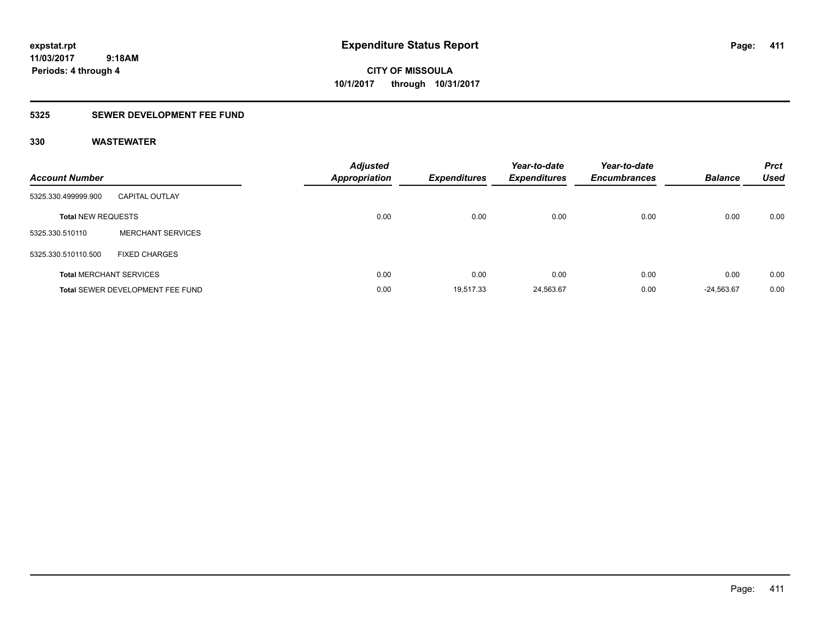**CITY OF MISSOULA 10/1/2017 through 10/31/2017**

### **5325 SEWER DEVELOPMENT FEE FUND**

| <b>Account Number</b>     |                                         | <b>Adjusted</b><br><b>Appropriation</b> | <b>Expenditures</b> | Year-to-date<br><b>Expenditures</b> | Year-to-date<br><b>Encumbrances</b> | <b>Balance</b> | <b>Prct</b><br><b>Used</b> |
|---------------------------|-----------------------------------------|-----------------------------------------|---------------------|-------------------------------------|-------------------------------------|----------------|----------------------------|
| 5325.330.499999.900       | <b>CAPITAL OUTLAY</b>                   |                                         |                     |                                     |                                     |                |                            |
| <b>Total NEW REQUESTS</b> |                                         | 0.00                                    | 0.00                | 0.00                                | 0.00                                | 0.00           | 0.00                       |
| 5325.330.510110           | <b>MERCHANT SERVICES</b>                |                                         |                     |                                     |                                     |                |                            |
| 5325.330.510110.500       | <b>FIXED CHARGES</b>                    |                                         |                     |                                     |                                     |                |                            |
|                           | <b>Total MERCHANT SERVICES</b>          | 0.00                                    | 0.00                | 0.00                                | 0.00                                | 0.00           | 0.00                       |
|                           | <b>Total SEWER DEVELOPMENT FEE FUND</b> |                                         | 0.00<br>19.517.33   | 24,563.67                           | 0.00                                | $-24.563.67$   | 0.00                       |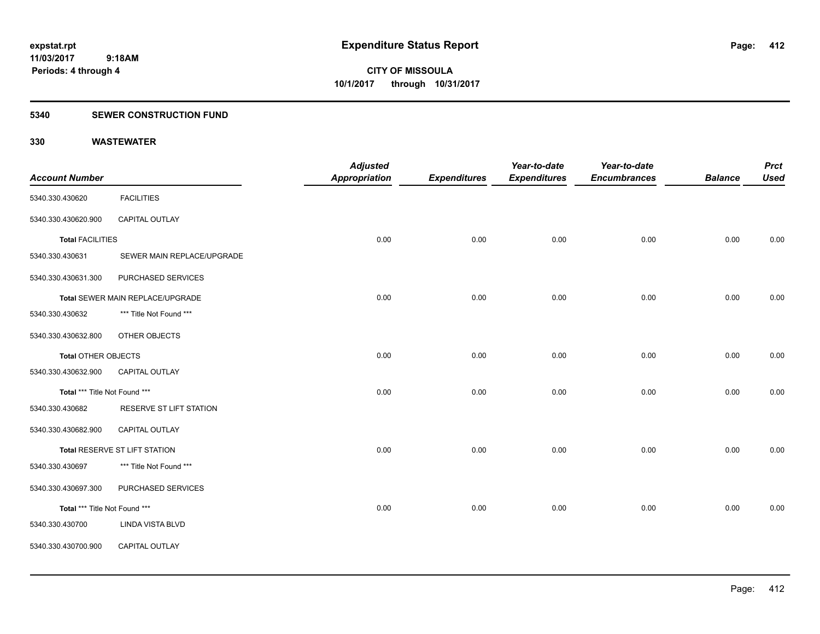### **5340 SEWER CONSTRUCTION FUND**

|                               |                                  | <b>Adjusted</b>      |                     | Year-to-date        | Year-to-date        |                | <b>Prct</b> |
|-------------------------------|----------------------------------|----------------------|---------------------|---------------------|---------------------|----------------|-------------|
| <b>Account Number</b>         |                                  | <b>Appropriation</b> | <b>Expenditures</b> | <b>Expenditures</b> | <b>Encumbrances</b> | <b>Balance</b> | <b>Used</b> |
| 5340.330.430620               | <b>FACILITIES</b>                |                      |                     |                     |                     |                |             |
| 5340.330.430620.900           | CAPITAL OUTLAY                   |                      |                     |                     |                     |                |             |
| <b>Total FACILITIES</b>       |                                  | 0.00                 | 0.00                | 0.00                | 0.00                | 0.00           | 0.00        |
| 5340.330.430631               | SEWER MAIN REPLACE/UPGRADE       |                      |                     |                     |                     |                |             |
| 5340.330.430631.300           | PURCHASED SERVICES               |                      |                     |                     |                     |                |             |
|                               | Total SEWER MAIN REPLACE/UPGRADE | 0.00                 | 0.00                | 0.00                | 0.00                | 0.00           | 0.00        |
| 5340.330.430632               | *** Title Not Found ***          |                      |                     |                     |                     |                |             |
| 5340.330.430632.800           | OTHER OBJECTS                    |                      |                     |                     |                     |                |             |
| <b>Total OTHER OBJECTS</b>    |                                  | 0.00                 | 0.00                | 0.00                | 0.00                | 0.00           | 0.00        |
| 5340.330.430632.900           | CAPITAL OUTLAY                   |                      |                     |                     |                     |                |             |
| Total *** Title Not Found *** |                                  | 0.00                 | 0.00                | 0.00                | 0.00                | 0.00           | 0.00        |
| 5340.330.430682               | RESERVE ST LIFT STATION          |                      |                     |                     |                     |                |             |
| 5340.330.430682.900           | <b>CAPITAL OUTLAY</b>            |                      |                     |                     |                     |                |             |
|                               | Total RESERVE ST LIFT STATION    | 0.00                 | 0.00                | 0.00                | 0.00                | 0.00           | 0.00        |
| 5340.330.430697               | *** Title Not Found ***          |                      |                     |                     |                     |                |             |
| 5340.330.430697.300           | PURCHASED SERVICES               |                      |                     |                     |                     |                |             |
| Total *** Title Not Found *** |                                  | 0.00                 | 0.00                | 0.00                | 0.00                | 0.00           | 0.00        |
| 5340.330.430700               | <b>LINDA VISTA BLVD</b>          |                      |                     |                     |                     |                |             |
| 5340.330.430700.900           | CAPITAL OUTLAY                   |                      |                     |                     |                     |                |             |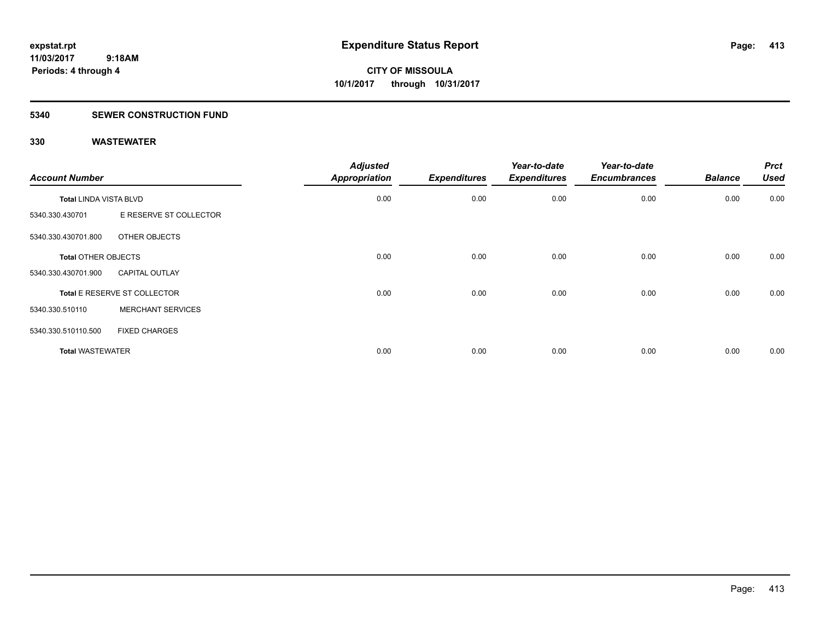### **5340 SEWER CONSTRUCTION FUND**

| <b>Account Number</b>         |                              | <b>Adjusted</b><br>Appropriation | <b>Expenditures</b> | Year-to-date<br><b>Expenditures</b> | Year-to-date<br><b>Encumbrances</b> | <b>Balance</b> | <b>Prct</b><br><b>Used</b> |
|-------------------------------|------------------------------|----------------------------------|---------------------|-------------------------------------|-------------------------------------|----------------|----------------------------|
| <b>Total LINDA VISTA BLVD</b> |                              | 0.00                             | 0.00                | 0.00                                | 0.00                                | 0.00           | 0.00                       |
| 5340.330.430701               | E RESERVE ST COLLECTOR       |                                  |                     |                                     |                                     |                |                            |
| 5340.330.430701.800           | OTHER OBJECTS                |                                  |                     |                                     |                                     |                |                            |
| <b>Total OTHER OBJECTS</b>    |                              | 0.00                             | 0.00                | 0.00                                | 0.00                                | 0.00           | 0.00                       |
| 5340.330.430701.900           | <b>CAPITAL OUTLAY</b>        |                                  |                     |                                     |                                     |                |                            |
|                               | Total E RESERVE ST COLLECTOR | 0.00                             | 0.00                | 0.00                                | 0.00                                | 0.00           | 0.00                       |
| 5340.330.510110               | <b>MERCHANT SERVICES</b>     |                                  |                     |                                     |                                     |                |                            |
| 5340.330.510110.500           | <b>FIXED CHARGES</b>         |                                  |                     |                                     |                                     |                |                            |
| <b>Total WASTEWATER</b>       |                              | 0.00                             | 0.00                | 0.00                                | 0.00                                | 0.00           | 0.00                       |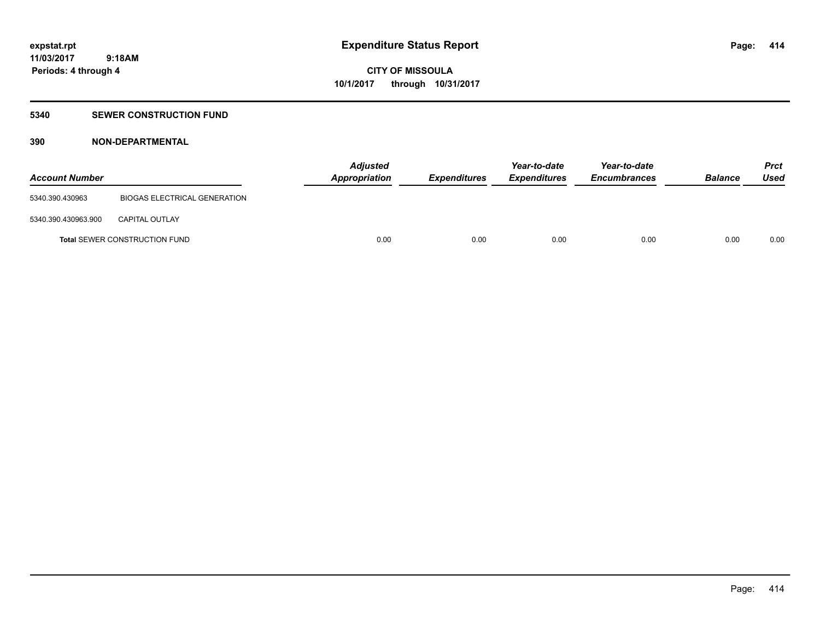### **5340 SEWER CONSTRUCTION FUND**

### **390 NON-DEPARTMENTAL**

| <b>Account Number</b> |                                      | <b>Adjusted</b><br>Appropriation | <i><b>Expenditures</b></i> | Year-to-date<br><i><b>Expenditures</b></i> | Year-to-date<br><b>Encumbrances</b> | <b>Balance</b> | <b>Prct</b><br>Used |
|-----------------------|--------------------------------------|----------------------------------|----------------------------|--------------------------------------------|-------------------------------------|----------------|---------------------|
| 5340.390.430963       | <b>BIOGAS ELECTRICAL GENERATION</b>  |                                  |                            |                                            |                                     |                |                     |
| 5340.390.430963.900   | <b>CAPITAL OUTLAY</b>                |                                  |                            |                                            |                                     |                |                     |
|                       | <b>Total SEWER CONSTRUCTION FUND</b> | 0.00                             | 0.00                       | 0.00                                       | 0.00                                | 0.00           | 0.00                |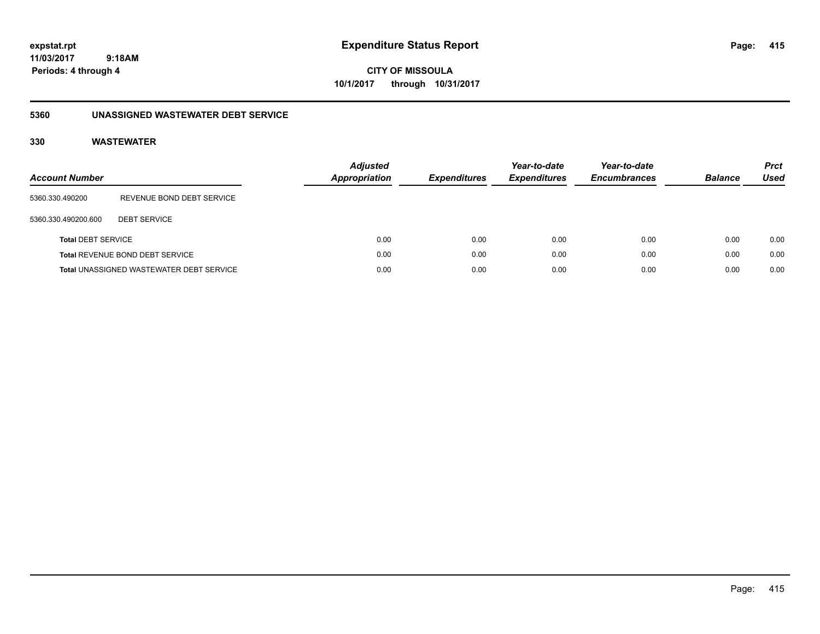**CITY OF MISSOULA 10/1/2017 through 10/31/2017**

### **5360 UNASSIGNED WASTEWATER DEBT SERVICE**

| Account Number            |                                                 | <b>Adjusted</b><br><b>Appropriation</b> | <b>Expenditures</b> | Year-to-date<br><b>Expenditures</b> | Year-to-date<br><b>Encumbrances</b> | <b>Balance</b> | <b>Prct</b><br>Used |
|---------------------------|-------------------------------------------------|-----------------------------------------|---------------------|-------------------------------------|-------------------------------------|----------------|---------------------|
| 5360.330.490200           | REVENUE BOND DEBT SERVICE                       |                                         |                     |                                     |                                     |                |                     |
| 5360.330.490200.600       | <b>DEBT SERVICE</b>                             |                                         |                     |                                     |                                     |                |                     |
| <b>Total DEBT SERVICE</b> |                                                 | 0.00                                    | 0.00                | 0.00                                | 0.00                                | 0.00           | 0.00                |
|                           | <b>Total REVENUE BOND DEBT SERVICE</b>          | 0.00                                    | 0.00                | 0.00                                | 0.00                                | 0.00           | 0.00                |
|                           | <b>Total UNASSIGNED WASTEWATER DEBT SERVICE</b> | 0.00                                    | 0.00                | 0.00                                | 0.00                                | 0.00           | 0.00                |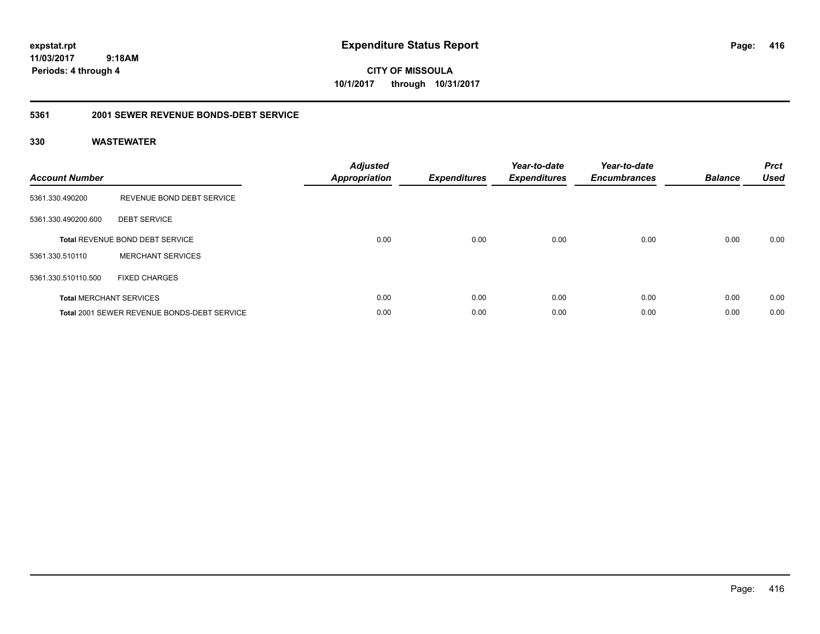**CITY OF MISSOULA 10/1/2017 through 10/31/2017**

#### **5361 2001 SEWER REVENUE BONDS-DEBT SERVICE**

| <b>Account Number</b> |                                                    | <b>Adjusted</b><br>Appropriation | <b>Expenditures</b> | Year-to-date<br><b>Expenditures</b> | Year-to-date<br><b>Encumbrances</b> | <b>Balance</b> | <b>Prct</b><br><b>Used</b> |
|-----------------------|----------------------------------------------------|----------------------------------|---------------------|-------------------------------------|-------------------------------------|----------------|----------------------------|
| 5361.330.490200       | REVENUE BOND DEBT SERVICE                          |                                  |                     |                                     |                                     |                |                            |
| 5361.330.490200.600   | <b>DEBT SERVICE</b>                                |                                  |                     |                                     |                                     |                |                            |
|                       | <b>Total REVENUE BOND DEBT SERVICE</b>             | 0.00                             | 0.00                | 0.00                                | 0.00                                | 0.00           | 0.00                       |
| 5361.330.510110       | <b>MERCHANT SERVICES</b>                           |                                  |                     |                                     |                                     |                |                            |
| 5361.330.510110.500   | <b>FIXED CHARGES</b>                               |                                  |                     |                                     |                                     |                |                            |
|                       | <b>Total MERCHANT SERVICES</b>                     | 0.00                             | 0.00                | 0.00                                | 0.00                                | 0.00           | 0.00                       |
|                       | <b>Total 2001 SEWER REVENUE BONDS-DEBT SERVICE</b> | 0.00                             | 0.00                | 0.00                                | 0.00                                | 0.00           | 0.00                       |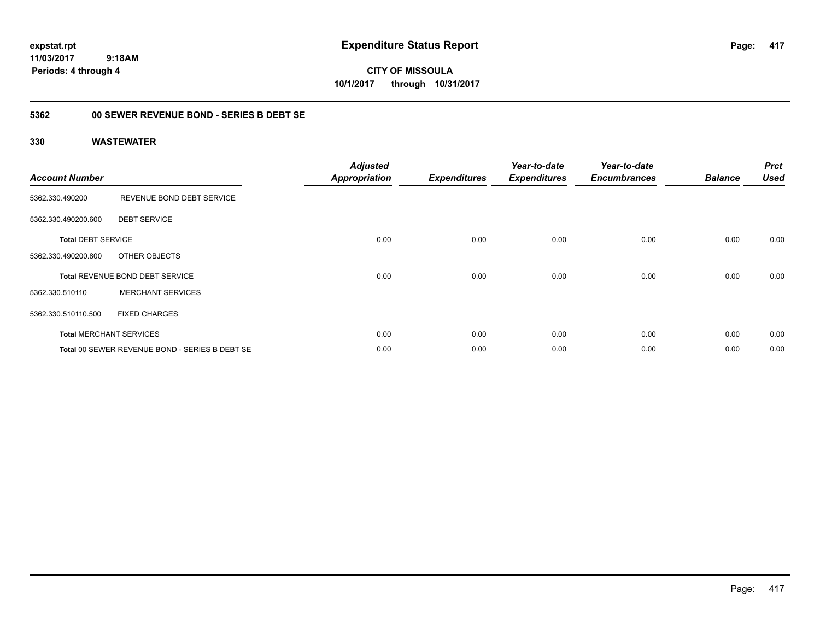**CITY OF MISSOULA 10/1/2017 through 10/31/2017**

### **5362 00 SEWER REVENUE BOND - SERIES B DEBT SE**

| <b>Account Number</b>     |                                                | <b>Adjusted</b><br><b>Appropriation</b> | <b>Expenditures</b> | Year-to-date<br><b>Expenditures</b> | Year-to-date<br><b>Encumbrances</b> | <b>Balance</b> | <b>Prct</b><br><b>Used</b> |
|---------------------------|------------------------------------------------|-----------------------------------------|---------------------|-------------------------------------|-------------------------------------|----------------|----------------------------|
| 5362.330.490200           | REVENUE BOND DEBT SERVICE                      |                                         |                     |                                     |                                     |                |                            |
| 5362.330.490200.600       | <b>DEBT SERVICE</b>                            |                                         |                     |                                     |                                     |                |                            |
| <b>Total DEBT SERVICE</b> |                                                | 0.00                                    | 0.00                | 0.00                                | 0.00                                | 0.00           | 0.00                       |
| 5362.330.490200.800       | OTHER OBJECTS                                  |                                         |                     |                                     |                                     |                |                            |
|                           | <b>Total REVENUE BOND DEBT SERVICE</b>         | 0.00                                    | 0.00                | 0.00                                | 0.00                                | 0.00           | 0.00                       |
| 5362.330.510110           | <b>MERCHANT SERVICES</b>                       |                                         |                     |                                     |                                     |                |                            |
| 5362.330.510110.500       | <b>FIXED CHARGES</b>                           |                                         |                     |                                     |                                     |                |                            |
|                           | <b>Total MERCHANT SERVICES</b>                 | 0.00                                    | 0.00                | 0.00                                | 0.00                                | 0.00           | 0.00                       |
|                           | Total 00 SEWER REVENUE BOND - SERIES B DEBT SE | 0.00                                    | 0.00                | 0.00                                | 0.00                                | 0.00           | 0.00                       |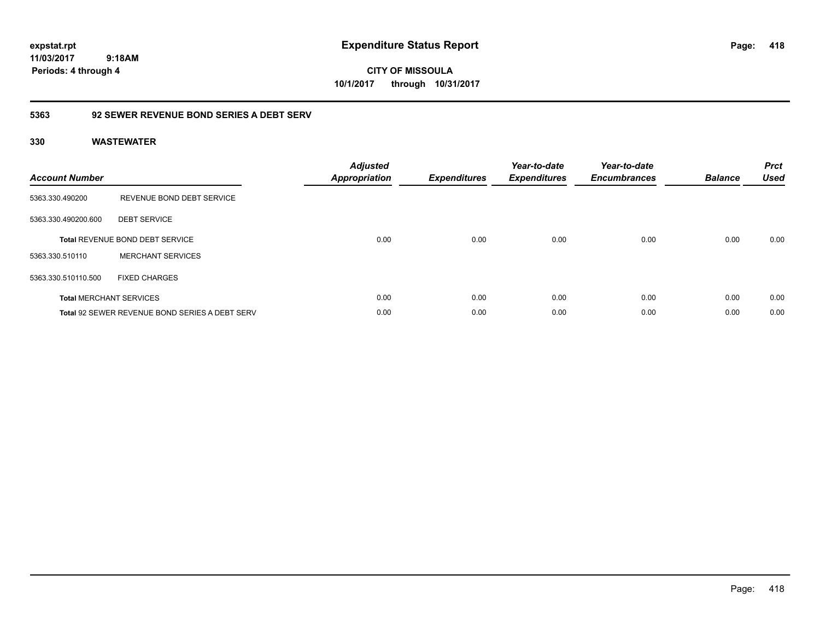**CITY OF MISSOULA 10/1/2017 through 10/31/2017**

### **5363 92 SEWER REVENUE BOND SERIES A DEBT SERV**

| <b>Account Number</b> |                                                | <b>Adjusted</b><br><b>Appropriation</b> | <b>Expenditures</b> | Year-to-date<br><b>Expenditures</b> | Year-to-date<br><b>Encumbrances</b> | <b>Balance</b> | <b>Prct</b><br><b>Used</b> |
|-----------------------|------------------------------------------------|-----------------------------------------|---------------------|-------------------------------------|-------------------------------------|----------------|----------------------------|
| 5363.330.490200       | REVENUE BOND DEBT SERVICE                      |                                         |                     |                                     |                                     |                |                            |
| 5363.330.490200.600   | <b>DEBT SERVICE</b>                            |                                         |                     |                                     |                                     |                |                            |
|                       | <b>Total REVENUE BOND DEBT SERVICE</b>         | 0.00                                    | 0.00                | 0.00                                | 0.00                                | 0.00           | 0.00                       |
| 5363.330.510110       | <b>MERCHANT SERVICES</b>                       |                                         |                     |                                     |                                     |                |                            |
| 5363.330.510110.500   | <b>FIXED CHARGES</b>                           |                                         |                     |                                     |                                     |                |                            |
|                       | <b>Total MERCHANT SERVICES</b>                 | 0.00                                    | 0.00                | 0.00                                | 0.00                                | 0.00           | 0.00                       |
|                       | Total 92 SEWER REVENUE BOND SERIES A DEBT SERV | 0.00                                    | 0.00                | 0.00                                | 0.00                                | 0.00           | 0.00                       |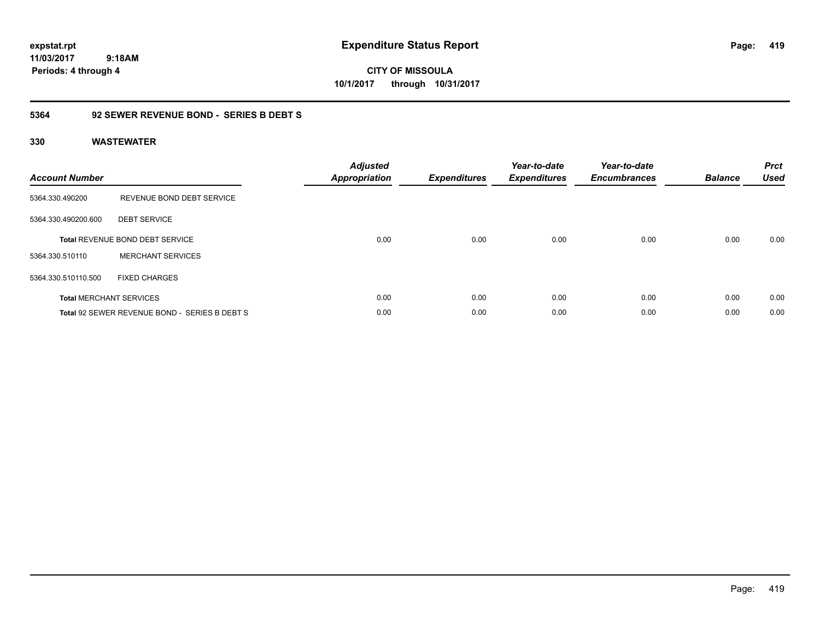**CITY OF MISSOULA 10/1/2017 through 10/31/2017**

### **5364 92 SEWER REVENUE BOND - SERIES B DEBT S**

| <b>Account Number</b> |                                               | <b>Adjusted</b><br>Appropriation | <b>Expenditures</b> | Year-to-date<br><b>Expenditures</b> | Year-to-date<br><b>Encumbrances</b> | <b>Balance</b> | <b>Prct</b><br><b>Used</b> |
|-----------------------|-----------------------------------------------|----------------------------------|---------------------|-------------------------------------|-------------------------------------|----------------|----------------------------|
| 5364.330.490200       | REVENUE BOND DEBT SERVICE                     |                                  |                     |                                     |                                     |                |                            |
| 5364.330.490200.600   | <b>DEBT SERVICE</b>                           |                                  |                     |                                     |                                     |                |                            |
|                       | <b>Total REVENUE BOND DEBT SERVICE</b>        | 0.00                             | 0.00                | 0.00                                | 0.00                                | 0.00           | 0.00                       |
| 5364.330.510110       | <b>MERCHANT SERVICES</b>                      |                                  |                     |                                     |                                     |                |                            |
| 5364.330.510110.500   | <b>FIXED CHARGES</b>                          |                                  |                     |                                     |                                     |                |                            |
|                       | <b>Total MERCHANT SERVICES</b>                | 0.00                             | 0.00                | 0.00                                | 0.00                                | 0.00           | 0.00                       |
|                       | Total 92 SEWER REVENUE BOND - SERIES B DEBT S | 0.00                             | 0.00                | 0.00                                | 0.00                                | 0.00           | 0.00                       |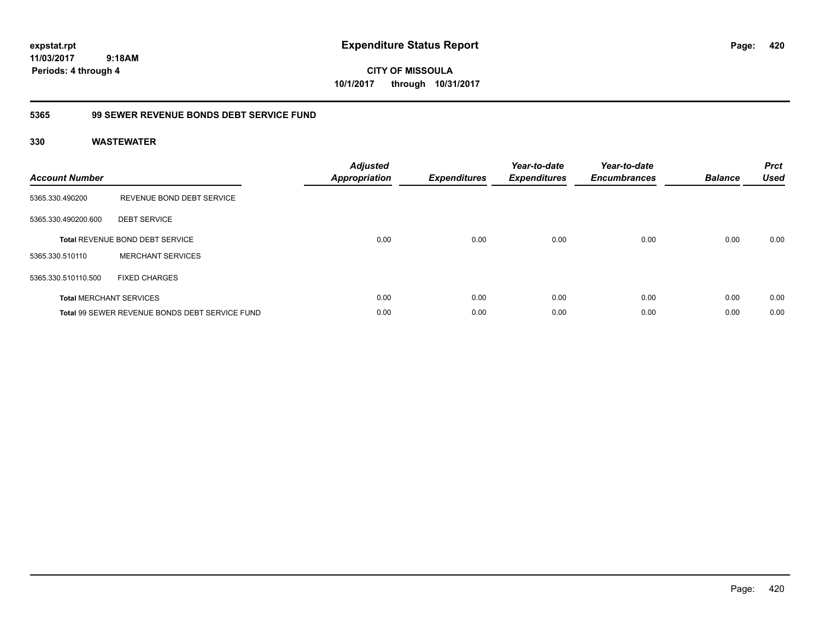**CITY OF MISSOULA 10/1/2017 through 10/31/2017**

### **5365 99 SEWER REVENUE BONDS DEBT SERVICE FUND**

| <b>Account Number</b> |                                                | <b>Adjusted</b><br><b>Appropriation</b> | <b>Expenditures</b> | Year-to-date<br><b>Expenditures</b> | Year-to-date<br><b>Encumbrances</b> | <b>Balance</b> | <b>Prct</b><br><b>Used</b> |
|-----------------------|------------------------------------------------|-----------------------------------------|---------------------|-------------------------------------|-------------------------------------|----------------|----------------------------|
| 5365.330.490200       | REVENUE BOND DEBT SERVICE                      |                                         |                     |                                     |                                     |                |                            |
| 5365.330.490200.600   | <b>DEBT SERVICE</b>                            |                                         |                     |                                     |                                     |                |                            |
|                       | <b>Total REVENUE BOND DEBT SERVICE</b>         | 0.00                                    | 0.00                | 0.00                                | 0.00                                | 0.00           | 0.00                       |
| 5365.330.510110       | <b>MERCHANT SERVICES</b>                       |                                         |                     |                                     |                                     |                |                            |
| 5365.330.510110.500   | <b>FIXED CHARGES</b>                           |                                         |                     |                                     |                                     |                |                            |
|                       | <b>Total MERCHANT SERVICES</b>                 | 0.00                                    | 0.00                | 0.00                                | 0.00                                | 0.00           | 0.00                       |
|                       | Total 99 SEWER REVENUE BONDS DEBT SERVICE FUND | 0.00                                    | 0.00                | 0.00                                | 0.00                                | 0.00           | 0.00                       |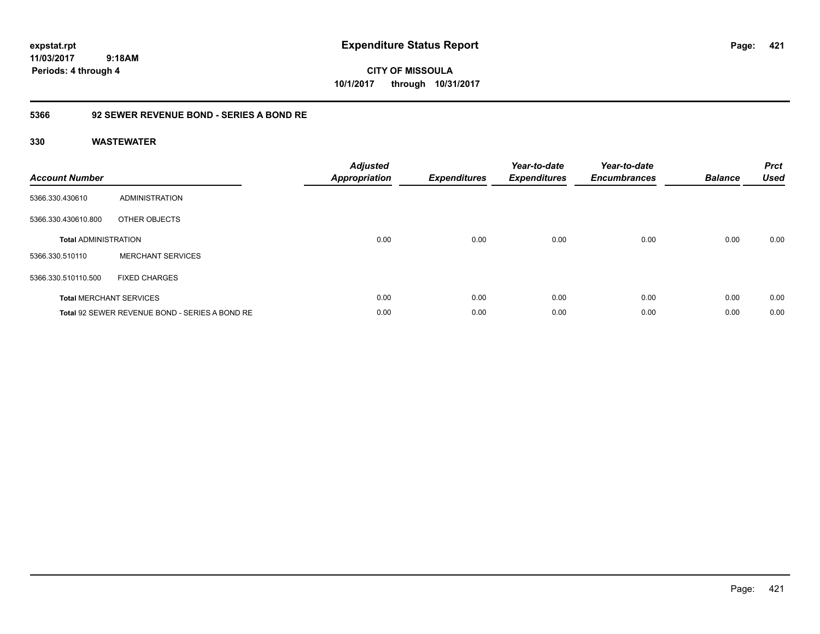**CITY OF MISSOULA 10/1/2017 through 10/31/2017**

### **5366 92 SEWER REVENUE BOND - SERIES A BOND RE**

| <b>Account Number</b>       |                                                | <b>Adjusted</b><br>Appropriation | <b>Expenditures</b> | Year-to-date<br><b>Expenditures</b> | Year-to-date<br><b>Encumbrances</b> | <b>Balance</b> | <b>Prct</b><br><b>Used</b> |
|-----------------------------|------------------------------------------------|----------------------------------|---------------------|-------------------------------------|-------------------------------------|----------------|----------------------------|
| 5366.330.430610             | ADMINISTRATION                                 |                                  |                     |                                     |                                     |                |                            |
| 5366.330.430610.800         | OTHER OBJECTS                                  |                                  |                     |                                     |                                     |                |                            |
| <b>Total ADMINISTRATION</b> |                                                | 0.00                             | 0.00                | 0.00                                | 0.00                                | 0.00           | 0.00                       |
| 5366.330.510110             | <b>MERCHANT SERVICES</b>                       |                                  |                     |                                     |                                     |                |                            |
| 5366.330.510110.500         | <b>FIXED CHARGES</b>                           |                                  |                     |                                     |                                     |                |                            |
|                             | <b>Total MERCHANT SERVICES</b>                 | 0.00                             | 0.00                | 0.00                                | 0.00                                | 0.00           | 0.00                       |
|                             | Total 92 SEWER REVENUE BOND - SERIES A BOND RE | 0.00                             | 0.00                | 0.00                                | 0.00                                | 0.00           | 0.00                       |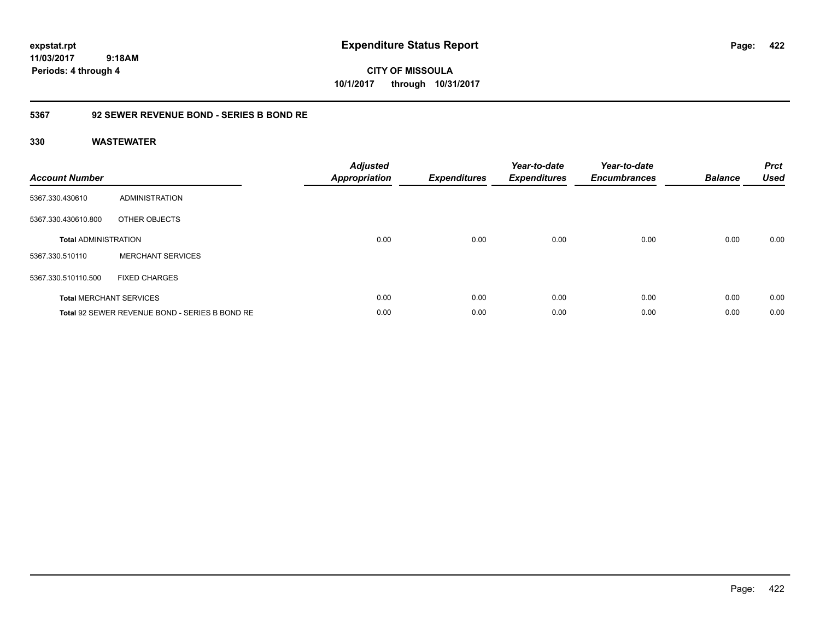**CITY OF MISSOULA 10/1/2017 through 10/31/2017**

### **5367 92 SEWER REVENUE BOND - SERIES B BOND RE**

| <b>Account Number</b>       |                                                | <b>Adjusted</b><br><b>Appropriation</b> | <b>Expenditures</b> | Year-to-date<br><b>Expenditures</b> | Year-to-date<br><b>Encumbrances</b> | <b>Balance</b> | <b>Prct</b><br><b>Used</b> |
|-----------------------------|------------------------------------------------|-----------------------------------------|---------------------|-------------------------------------|-------------------------------------|----------------|----------------------------|
| 5367.330.430610             | ADMINISTRATION                                 |                                         |                     |                                     |                                     |                |                            |
| 5367.330.430610.800         | OTHER OBJECTS                                  |                                         |                     |                                     |                                     |                |                            |
| <b>Total ADMINISTRATION</b> |                                                | 0.00                                    | 0.00                | 0.00                                | 0.00                                | 0.00           | 0.00                       |
| 5367.330.510110             | <b>MERCHANT SERVICES</b>                       |                                         |                     |                                     |                                     |                |                            |
| 5367.330.510110.500         | <b>FIXED CHARGES</b>                           |                                         |                     |                                     |                                     |                |                            |
|                             | <b>Total MERCHANT SERVICES</b>                 | 0.00                                    | 0.00                | 0.00                                | 0.00                                | 0.00           | 0.00                       |
|                             | Total 92 SEWER REVENUE BOND - SERIES B BOND RE | 0.00                                    | 0.00                | 0.00                                | 0.00                                | 0.00           | 0.00                       |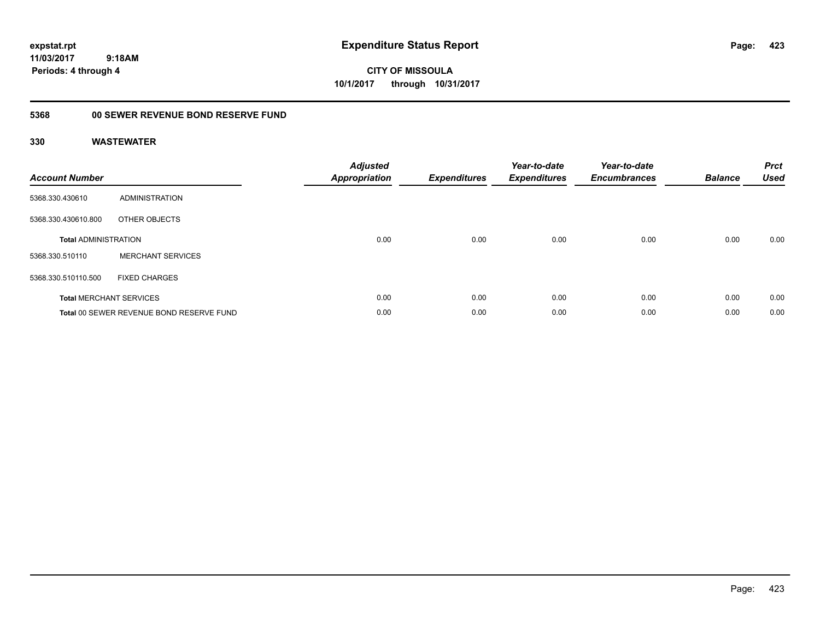**CITY OF MISSOULA 10/1/2017 through 10/31/2017**

## **5368 00 SEWER REVENUE BOND RESERVE FUND**

| <b>Account Number</b>       |                                          | <b>Adjusted</b><br>Appropriation | <b>Expenditures</b> | Year-to-date<br><b>Expenditures</b> | Year-to-date<br><b>Encumbrances</b> | <b>Balance</b> | <b>Prct</b><br><b>Used</b> |
|-----------------------------|------------------------------------------|----------------------------------|---------------------|-------------------------------------|-------------------------------------|----------------|----------------------------|
| 5368.330.430610             | ADMINISTRATION                           |                                  |                     |                                     |                                     |                |                            |
| 5368.330.430610.800         | OTHER OBJECTS                            |                                  |                     |                                     |                                     |                |                            |
| <b>Total ADMINISTRATION</b> |                                          | 0.00                             | 0.00                | 0.00                                | 0.00                                | 0.00           | 0.00                       |
| 5368.330.510110             | <b>MERCHANT SERVICES</b>                 |                                  |                     |                                     |                                     |                |                            |
| 5368.330.510110.500         | <b>FIXED CHARGES</b>                     |                                  |                     |                                     |                                     |                |                            |
|                             | <b>Total MERCHANT SERVICES</b>           | 0.00                             | 0.00                | 0.00                                | 0.00                                | 0.00           | 0.00                       |
|                             | Total 00 SEWER REVENUE BOND RESERVE FUND | 0.00                             | 0.00                | 0.00                                | 0.00                                | 0.00           | 0.00                       |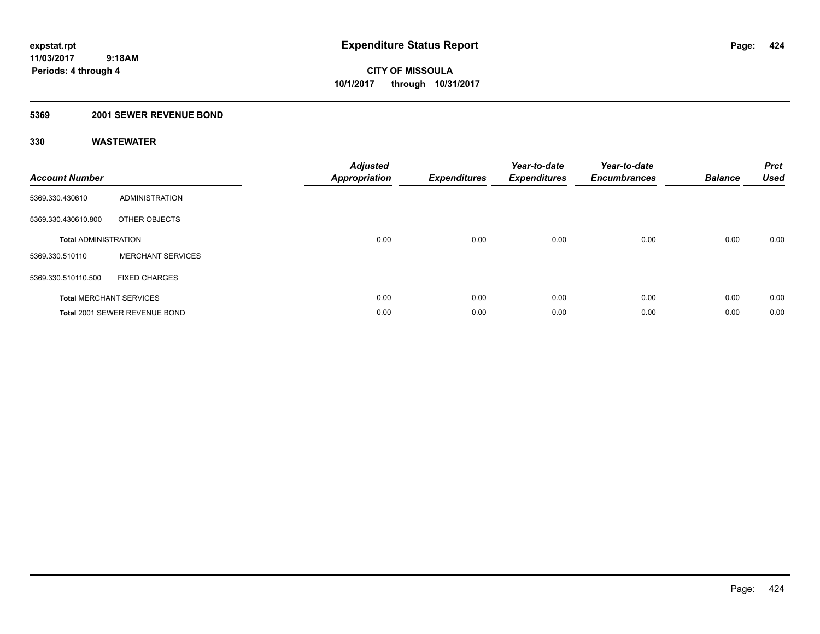### **5369 2001 SEWER REVENUE BOND**

| <b>Account Number</b>       |                                | <b>Adjusted</b><br><b>Appropriation</b> | <b>Expenditures</b> | Year-to-date<br><b>Expenditures</b> | Year-to-date<br><b>Encumbrances</b> | <b>Balance</b> | <b>Prct</b><br><b>Used</b> |
|-----------------------------|--------------------------------|-----------------------------------------|---------------------|-------------------------------------|-------------------------------------|----------------|----------------------------|
| 5369.330.430610             | <b>ADMINISTRATION</b>          |                                         |                     |                                     |                                     |                |                            |
| 5369.330.430610.800         | OTHER OBJECTS                  |                                         |                     |                                     |                                     |                |                            |
| <b>Total ADMINISTRATION</b> |                                | 0.00                                    | 0.00                | 0.00                                | 0.00                                | 0.00           | 0.00                       |
| 5369.330.510110             | <b>MERCHANT SERVICES</b>       |                                         |                     |                                     |                                     |                |                            |
| 5369.330.510110.500         | <b>FIXED CHARGES</b>           |                                         |                     |                                     |                                     |                |                            |
|                             | <b>Total MERCHANT SERVICES</b> | 0.00                                    | 0.00                | 0.00                                | 0.00                                | 0.00           | 0.00                       |
|                             | Total 2001 SEWER REVENUE BOND  | 0.00                                    | 0.00                | 0.00                                | 0.00                                | 0.00           | 0.00                       |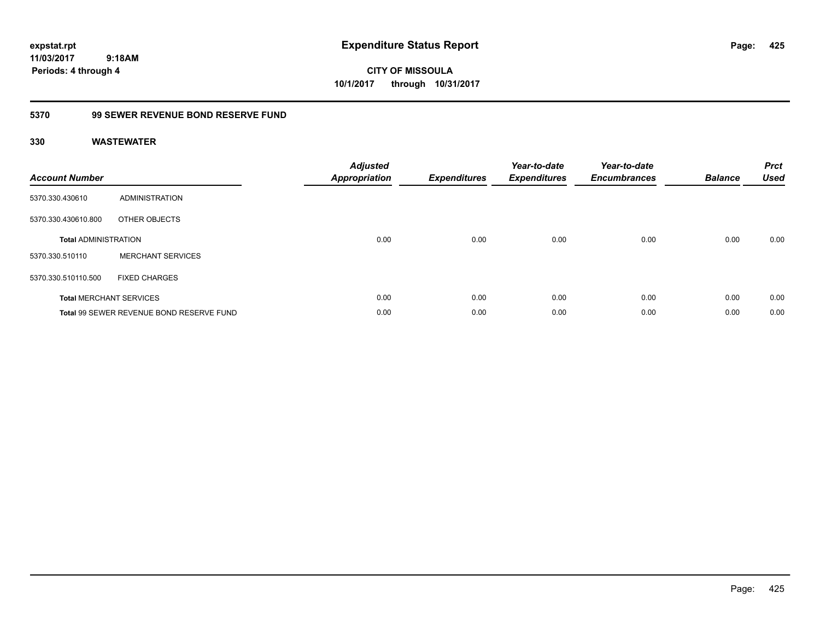**CITY OF MISSOULA 10/1/2017 through 10/31/2017**

### **5370 99 SEWER REVENUE BOND RESERVE FUND**

| <b>Account Number</b>       |                                          | <b>Adjusted</b><br>Appropriation | <b>Expenditures</b> | Year-to-date<br><b>Expenditures</b> | Year-to-date<br><b>Encumbrances</b> | <b>Balance</b> | <b>Prct</b><br><b>Used</b> |
|-----------------------------|------------------------------------------|----------------------------------|---------------------|-------------------------------------|-------------------------------------|----------------|----------------------------|
| 5370.330.430610             | <b>ADMINISTRATION</b>                    |                                  |                     |                                     |                                     |                |                            |
| 5370.330.430610.800         | OTHER OBJECTS                            |                                  |                     |                                     |                                     |                |                            |
| <b>Total ADMINISTRATION</b> |                                          | 0.00                             | 0.00                | 0.00                                | 0.00                                | 0.00           | 0.00                       |
| 5370.330.510110             | <b>MERCHANT SERVICES</b>                 |                                  |                     |                                     |                                     |                |                            |
| 5370.330.510110.500         | <b>FIXED CHARGES</b>                     |                                  |                     |                                     |                                     |                |                            |
|                             | <b>Total MERCHANT SERVICES</b>           | 0.00                             | 0.00                | 0.00                                | 0.00                                | 0.00           | 0.00                       |
|                             | Total 99 SEWER REVENUE BOND RESERVE FUND | 0.00                             | 0.00                | 0.00                                | 0.00                                | 0.00           | 0.00                       |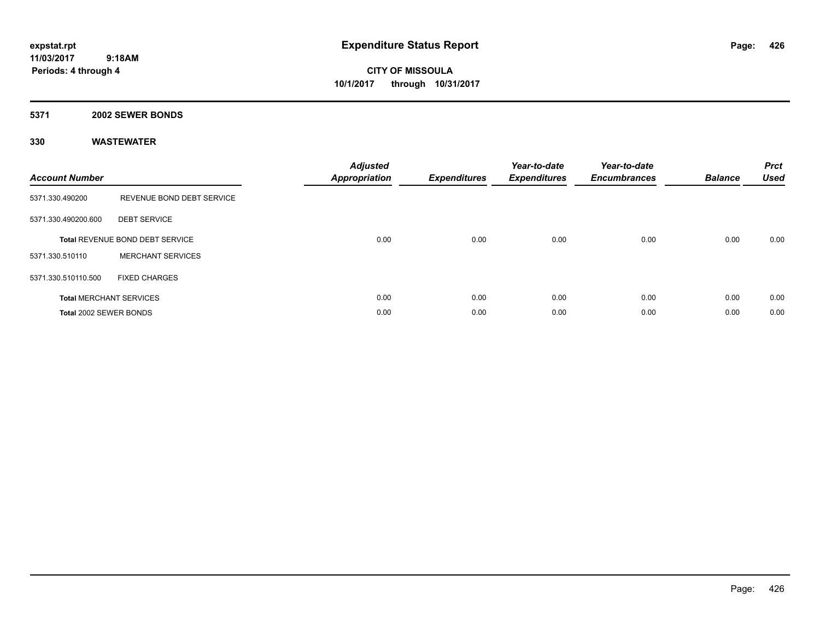**CITY OF MISSOULA 10/1/2017 through 10/31/2017**

#### **5371 2002 SEWER BONDS**

| <b>Account Number</b>  |                                 | <b>Adjusted</b><br>Appropriation | <b>Expenditures</b> | Year-to-date<br><b>Expenditures</b> | Year-to-date<br><b>Encumbrances</b> | <b>Balance</b> | <b>Prct</b><br><b>Used</b> |
|------------------------|---------------------------------|----------------------------------|---------------------|-------------------------------------|-------------------------------------|----------------|----------------------------|
| 5371.330.490200        | REVENUE BOND DEBT SERVICE       |                                  |                     |                                     |                                     |                |                            |
| 5371.330.490200.600    | <b>DEBT SERVICE</b>             |                                  |                     |                                     |                                     |                |                            |
|                        | Total REVENUE BOND DEBT SERVICE | 0.00                             | 0.00                | 0.00                                | 0.00                                | 0.00           | 0.00                       |
| 5371.330.510110        | <b>MERCHANT SERVICES</b>        |                                  |                     |                                     |                                     |                |                            |
| 5371.330.510110.500    | <b>FIXED CHARGES</b>            |                                  |                     |                                     |                                     |                |                            |
|                        | <b>Total MERCHANT SERVICES</b>  | 0.00                             | 0.00                | 0.00                                | 0.00                                | 0.00           | 0.00                       |
| Total 2002 SEWER BONDS |                                 | 0.00                             | 0.00                | 0.00                                | 0.00                                | 0.00           | 0.00                       |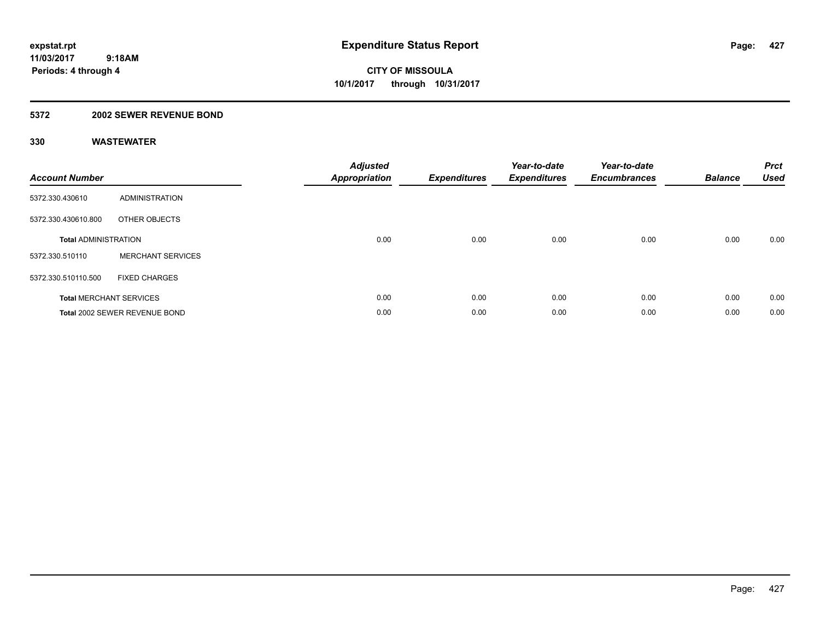### **5372 2002 SEWER REVENUE BOND**

| <b>Account Number</b>       |                                | <b>Adjusted</b><br><b>Appropriation</b> | <b>Expenditures</b> | Year-to-date<br><b>Expenditures</b> | Year-to-date<br><b>Encumbrances</b> | <b>Balance</b> | <b>Prct</b><br><b>Used</b> |
|-----------------------------|--------------------------------|-----------------------------------------|---------------------|-------------------------------------|-------------------------------------|----------------|----------------------------|
| 5372.330.430610             | <b>ADMINISTRATION</b>          |                                         |                     |                                     |                                     |                |                            |
| 5372.330.430610.800         | OTHER OBJECTS                  |                                         |                     |                                     |                                     |                |                            |
| <b>Total ADMINISTRATION</b> |                                | 0.00                                    | 0.00                | 0.00                                | 0.00                                | 0.00           | 0.00                       |
| 5372.330.510110             | <b>MERCHANT SERVICES</b>       |                                         |                     |                                     |                                     |                |                            |
| 5372.330.510110.500         | <b>FIXED CHARGES</b>           |                                         |                     |                                     |                                     |                |                            |
|                             | <b>Total MERCHANT SERVICES</b> | 0.00                                    | 0.00                | 0.00                                | 0.00                                | 0.00           | 0.00                       |
|                             | Total 2002 SEWER REVENUE BOND  | 0.00                                    | 0.00                | 0.00                                | 0.00                                | 0.00           | 0.00                       |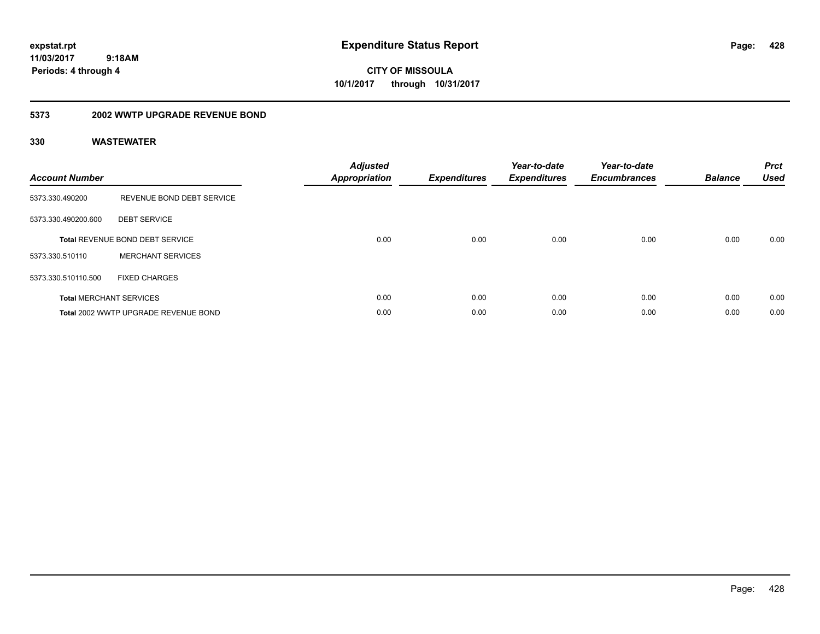**CITY OF MISSOULA 10/1/2017 through 10/31/2017**

### **5373 2002 WWTP UPGRADE REVENUE BOND**

| <b>Account Number</b> |                                      | <b>Adjusted</b><br>Appropriation | <b>Expenditures</b> | Year-to-date<br><b>Expenditures</b> | Year-to-date<br><b>Encumbrances</b> | <b>Balance</b> | <b>Prct</b><br><b>Used</b> |
|-----------------------|--------------------------------------|----------------------------------|---------------------|-------------------------------------|-------------------------------------|----------------|----------------------------|
| 5373.330.490200       | REVENUE BOND DEBT SERVICE            |                                  |                     |                                     |                                     |                |                            |
| 5373.330.490200.600   | <b>DEBT SERVICE</b>                  |                                  |                     |                                     |                                     |                |                            |
|                       | Total REVENUE BOND DEBT SERVICE      | 0.00                             | 0.00                | 0.00                                | 0.00                                | 0.00           | 0.00                       |
| 5373.330.510110       | <b>MERCHANT SERVICES</b>             |                                  |                     |                                     |                                     |                |                            |
| 5373.330.510110.500   | <b>FIXED CHARGES</b>                 |                                  |                     |                                     |                                     |                |                            |
|                       | <b>Total MERCHANT SERVICES</b>       | 0.00                             | 0.00                | 0.00                                | 0.00                                | 0.00           | 0.00                       |
|                       | Total 2002 WWTP UPGRADE REVENUE BOND | 0.00                             | 0.00                | 0.00                                | 0.00                                | 0.00           | 0.00                       |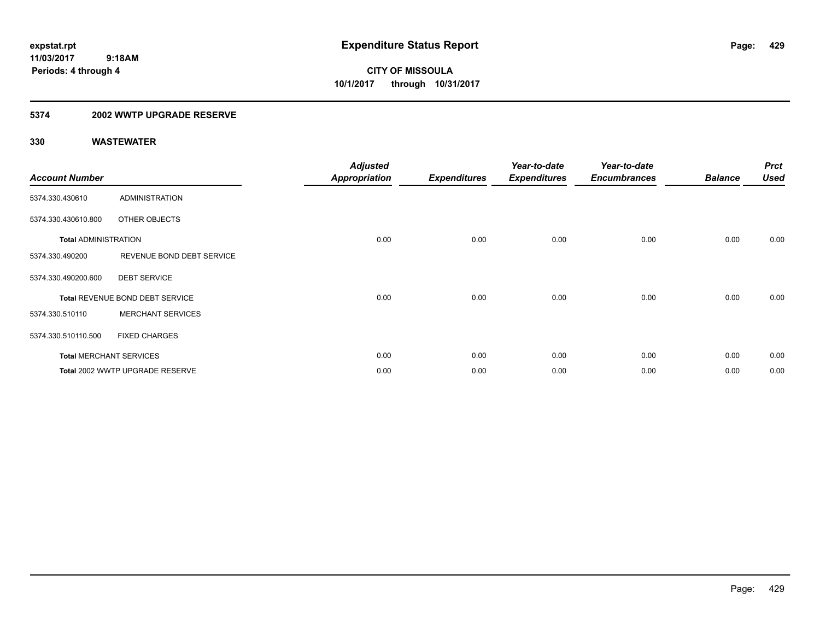### **5374 2002 WWTP UPGRADE RESERVE**

| <b>Account Number</b>       |                                 | <b>Adjusted</b><br><b>Appropriation</b> | <b>Expenditures</b> | Year-to-date<br><b>Expenditures</b> | Year-to-date<br><b>Encumbrances</b> | <b>Balance</b> | <b>Prct</b><br><b>Used</b> |
|-----------------------------|---------------------------------|-----------------------------------------|---------------------|-------------------------------------|-------------------------------------|----------------|----------------------------|
| 5374.330.430610             | <b>ADMINISTRATION</b>           |                                         |                     |                                     |                                     |                |                            |
| 5374.330.430610.800         | OTHER OBJECTS                   |                                         |                     |                                     |                                     |                |                            |
| <b>Total ADMINISTRATION</b> |                                 | 0.00                                    | 0.00                | 0.00                                | 0.00                                | 0.00           | 0.00                       |
| 5374.330.490200             | REVENUE BOND DEBT SERVICE       |                                         |                     |                                     |                                     |                |                            |
| 5374.330.490200.600         | <b>DEBT SERVICE</b>             |                                         |                     |                                     |                                     |                |                            |
|                             | Total REVENUE BOND DEBT SERVICE | 0.00                                    | 0.00                | 0.00                                | 0.00                                | 0.00           | 0.00                       |
| 5374.330.510110             | <b>MERCHANT SERVICES</b>        |                                         |                     |                                     |                                     |                |                            |
| 5374.330.510110.500         | <b>FIXED CHARGES</b>            |                                         |                     |                                     |                                     |                |                            |
|                             | <b>Total MERCHANT SERVICES</b>  | 0.00                                    | 0.00                | 0.00                                | 0.00                                | 0.00           | 0.00                       |
|                             | Total 2002 WWTP UPGRADE RESERVE | 0.00                                    | 0.00                | 0.00                                | 0.00                                | 0.00           | 0.00                       |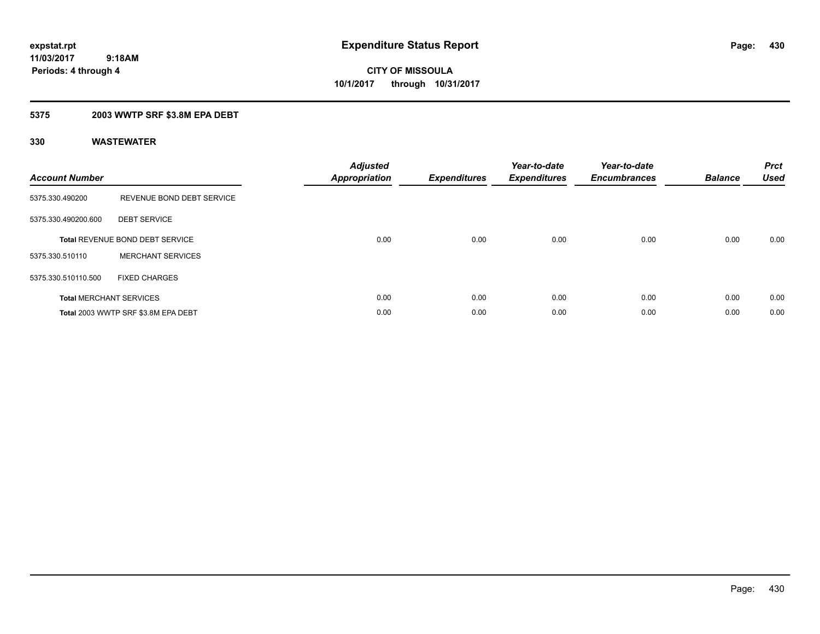### **5375 2003 WWTP SRF \$3.8M EPA DEBT**

| <b>Account Number</b> |                                     | <b>Adjusted</b><br>Appropriation | <b>Expenditures</b> | Year-to-date<br><b>Expenditures</b> | Year-to-date<br><b>Encumbrances</b> | <b>Balance</b> | <b>Prct</b><br><b>Used</b> |
|-----------------------|-------------------------------------|----------------------------------|---------------------|-------------------------------------|-------------------------------------|----------------|----------------------------|
| 5375.330.490200       | REVENUE BOND DEBT SERVICE           |                                  |                     |                                     |                                     |                |                            |
| 5375.330.490200.600   | <b>DEBT SERVICE</b>                 |                                  |                     |                                     |                                     |                |                            |
|                       | Total REVENUE BOND DEBT SERVICE     | 0.00                             | 0.00                | 0.00                                | 0.00                                | 0.00           | 0.00                       |
| 5375.330.510110       | <b>MERCHANT SERVICES</b>            |                                  |                     |                                     |                                     |                |                            |
| 5375.330.510110.500   | <b>FIXED CHARGES</b>                |                                  |                     |                                     |                                     |                |                            |
|                       | <b>Total MERCHANT SERVICES</b>      | 0.00                             | 0.00                | 0.00                                | 0.00                                | 0.00           | 0.00                       |
|                       | Total 2003 WWTP SRF \$3.8M EPA DEBT | 0.00                             | 0.00                | 0.00                                | 0.00                                | 0.00           | 0.00                       |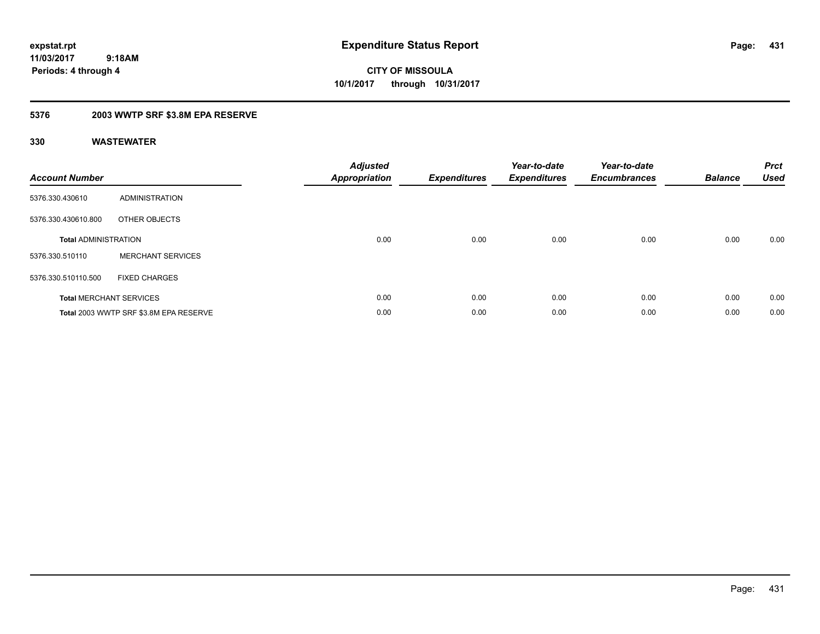**CITY OF MISSOULA 10/1/2017 through 10/31/2017**

### **5376 2003 WWTP SRF \$3.8M EPA RESERVE**

| <b>Account Number</b>       |                                        | Adjusted<br><b>Appropriation</b> | <b>Expenditures</b> | Year-to-date<br><b>Expenditures</b> | Year-to-date<br><b>Encumbrances</b> | <b>Balance</b> | <b>Prct</b><br><b>Used</b> |
|-----------------------------|----------------------------------------|----------------------------------|---------------------|-------------------------------------|-------------------------------------|----------------|----------------------------|
| 5376.330.430610             | <b>ADMINISTRATION</b>                  |                                  |                     |                                     |                                     |                |                            |
| 5376.330.430610.800         | OTHER OBJECTS                          |                                  |                     |                                     |                                     |                |                            |
| <b>Total ADMINISTRATION</b> |                                        | 0.00                             | 0.00                | 0.00                                | 0.00                                | 0.00           | 0.00                       |
| 5376.330.510110             | <b>MERCHANT SERVICES</b>               |                                  |                     |                                     |                                     |                |                            |
| 5376.330.510110.500         | <b>FIXED CHARGES</b>                   |                                  |                     |                                     |                                     |                |                            |
|                             | <b>Total MERCHANT SERVICES</b>         | 0.00                             | 0.00                | 0.00                                | 0.00                                | 0.00           | 0.00                       |
|                             | Total 2003 WWTP SRF \$3.8M EPA RESERVE | 0.00                             | 0.00                | 0.00                                | 0.00                                | 0.00           | 0.00                       |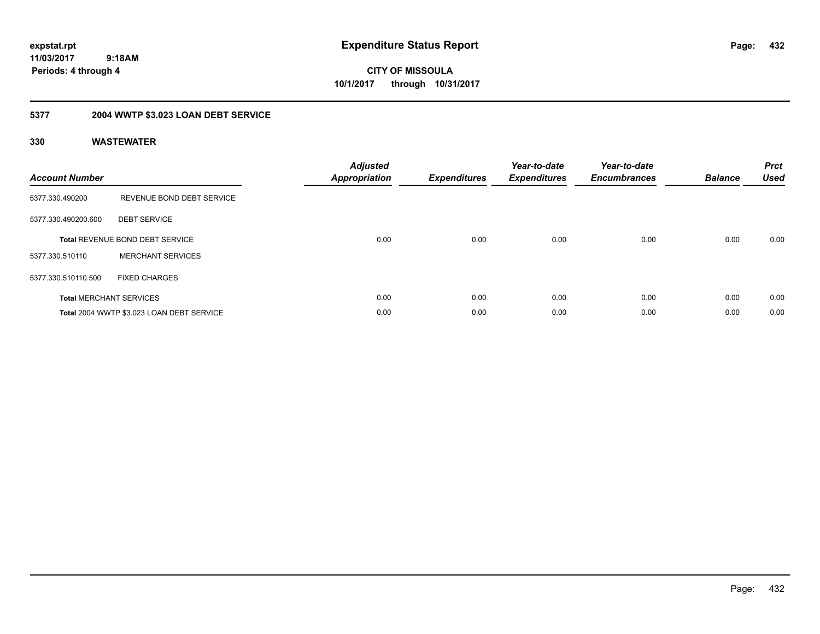**CITY OF MISSOULA 10/1/2017 through 10/31/2017**

## **5377 2004 WWTP \$3.023 LOAN DEBT SERVICE**

| <b>Account Number</b> |                                           | <b>Adjusted</b><br><b>Appropriation</b> | <b>Expenditures</b> | Year-to-date<br><b>Expenditures</b> | Year-to-date<br><b>Encumbrances</b> | <b>Balance</b> | <b>Prct</b><br><b>Used</b> |
|-----------------------|-------------------------------------------|-----------------------------------------|---------------------|-------------------------------------|-------------------------------------|----------------|----------------------------|
| 5377.330.490200       | REVENUE BOND DEBT SERVICE                 |                                         |                     |                                     |                                     |                |                            |
| 5377.330.490200.600   | <b>DEBT SERVICE</b>                       |                                         |                     |                                     |                                     |                |                            |
|                       | Total REVENUE BOND DEBT SERVICE           | 0.00                                    | 0.00                | 0.00                                | 0.00                                | 0.00           | 0.00                       |
| 5377.330.510110       | <b>MERCHANT SERVICES</b>                  |                                         |                     |                                     |                                     |                |                            |
| 5377.330.510110.500   | <b>FIXED CHARGES</b>                      |                                         |                     |                                     |                                     |                |                            |
|                       | <b>Total MERCHANT SERVICES</b>            | 0.00                                    | 0.00                | 0.00                                | 0.00                                | 0.00           | 0.00                       |
|                       | Total 2004 WWTP \$3.023 LOAN DEBT SERVICE | 0.00                                    | 0.00                | 0.00                                | 0.00                                | 0.00           | 0.00                       |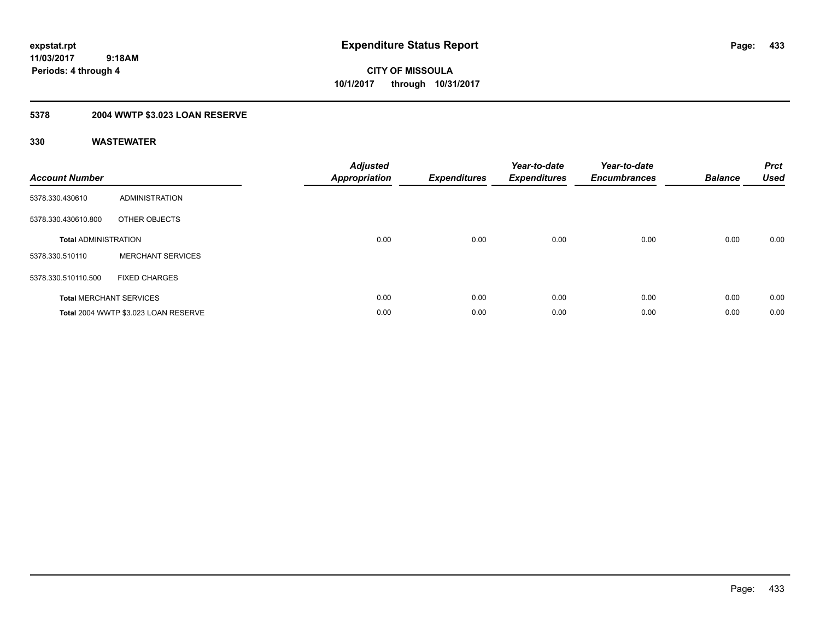**433**

**11/03/2017 9:18AM Periods: 4 through 4**

**CITY OF MISSOULA 10/1/2017 through 10/31/2017**

## **5378 2004 WWTP \$3.023 LOAN RESERVE**

| <b>Account Number</b>       |                                      | <b>Adjusted</b><br>Appropriation | <b>Expenditures</b> | Year-to-date<br><b>Expenditures</b> | Year-to-date<br><b>Encumbrances</b> | <b>Balance</b> | <b>Prct</b><br><b>Used</b> |
|-----------------------------|--------------------------------------|----------------------------------|---------------------|-------------------------------------|-------------------------------------|----------------|----------------------------|
| 5378.330.430610             | ADMINISTRATION                       |                                  |                     |                                     |                                     |                |                            |
| 5378.330.430610.800         | OTHER OBJECTS                        |                                  |                     |                                     |                                     |                |                            |
| <b>Total ADMINISTRATION</b> |                                      | 0.00                             | 0.00                | 0.00                                | 0.00                                | 0.00           | 0.00                       |
| 5378.330.510110             | <b>MERCHANT SERVICES</b>             |                                  |                     |                                     |                                     |                |                            |
| 5378.330.510110.500         | <b>FIXED CHARGES</b>                 |                                  |                     |                                     |                                     |                |                            |
|                             | <b>Total MERCHANT SERVICES</b>       | 0.00                             | 0.00                | 0.00                                | 0.00                                | 0.00           | 0.00                       |
|                             | Total 2004 WWTP \$3.023 LOAN RESERVE | 0.00                             | 0.00                | 0.00                                | 0.00                                | 0.00           | 0.00                       |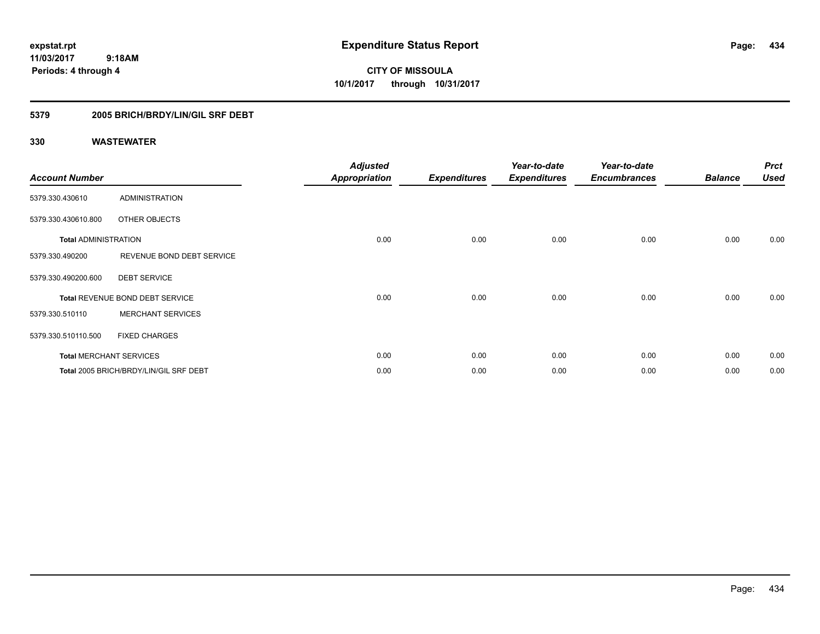**CITY OF MISSOULA 10/1/2017 through 10/31/2017**

### **5379 2005 BRICH/BRDY/LIN/GIL SRF DEBT**

| <b>Account Number</b>       |                                        | <b>Adjusted</b><br><b>Appropriation</b> | <b>Expenditures</b> | Year-to-date<br><b>Expenditures</b> | Year-to-date<br><b>Encumbrances</b> | <b>Balance</b> | <b>Prct</b><br><b>Used</b> |
|-----------------------------|----------------------------------------|-----------------------------------------|---------------------|-------------------------------------|-------------------------------------|----------------|----------------------------|
| 5379.330.430610             | <b>ADMINISTRATION</b>                  |                                         |                     |                                     |                                     |                |                            |
| 5379.330.430610.800         | OTHER OBJECTS                          |                                         |                     |                                     |                                     |                |                            |
| <b>Total ADMINISTRATION</b> |                                        | 0.00                                    | 0.00                | 0.00                                | 0.00                                | 0.00           | 0.00                       |
| 5379.330.490200             | REVENUE BOND DEBT SERVICE              |                                         |                     |                                     |                                     |                |                            |
| 5379.330.490200.600         | <b>DEBT SERVICE</b>                    |                                         |                     |                                     |                                     |                |                            |
|                             | Total REVENUE BOND DEBT SERVICE        | 0.00                                    | 0.00                | 0.00                                | 0.00                                | 0.00           | 0.00                       |
| 5379.330.510110             | <b>MERCHANT SERVICES</b>               |                                         |                     |                                     |                                     |                |                            |
| 5379.330.510110.500         | <b>FIXED CHARGES</b>                   |                                         |                     |                                     |                                     |                |                            |
|                             | <b>Total MERCHANT SERVICES</b>         | 0.00                                    | 0.00                | 0.00                                | 0.00                                | 0.00           | 0.00                       |
|                             | Total 2005 BRICH/BRDY/LIN/GIL SRF DEBT | 0.00                                    | 0.00                | 0.00                                | 0.00                                | 0.00           | 0.00                       |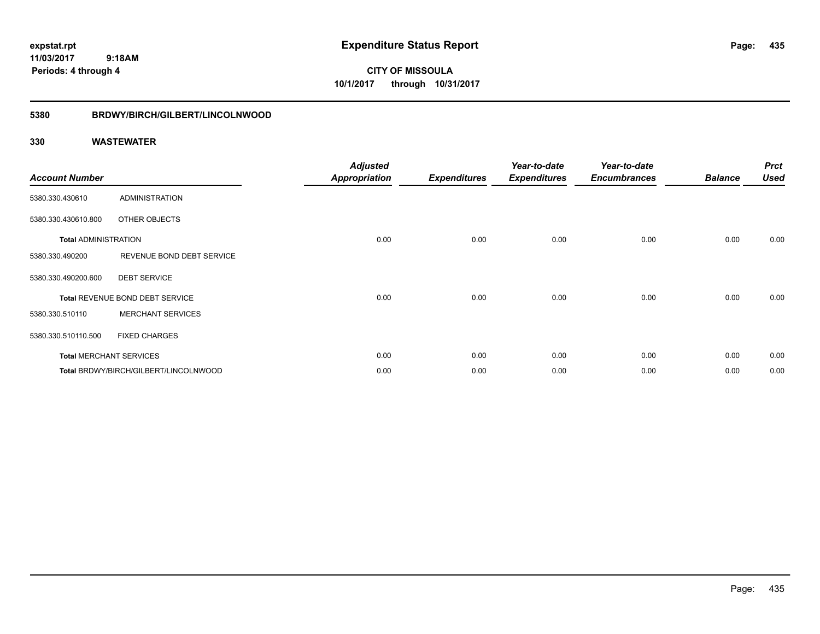**CITY OF MISSOULA 10/1/2017 through 10/31/2017**

#### **5380 BRDWY/BIRCH/GILBERT/LINCOLNWOOD**

| <b>Account Number</b>       |                                       | <b>Adjusted</b><br><b>Appropriation</b> | <b>Expenditures</b> | Year-to-date<br><b>Expenditures</b> | Year-to-date<br><b>Encumbrances</b> | <b>Balance</b> | <b>Prct</b><br><b>Used</b> |
|-----------------------------|---------------------------------------|-----------------------------------------|---------------------|-------------------------------------|-------------------------------------|----------------|----------------------------|
| 5380.330.430610             | <b>ADMINISTRATION</b>                 |                                         |                     |                                     |                                     |                |                            |
| 5380.330.430610.800         | OTHER OBJECTS                         |                                         |                     |                                     |                                     |                |                            |
| <b>Total ADMINISTRATION</b> |                                       | 0.00                                    | 0.00                | 0.00                                | 0.00                                | 0.00           | 0.00                       |
| 5380.330.490200             | REVENUE BOND DEBT SERVICE             |                                         |                     |                                     |                                     |                |                            |
| 5380.330.490200.600         | <b>DEBT SERVICE</b>                   |                                         |                     |                                     |                                     |                |                            |
|                             | Total REVENUE BOND DEBT SERVICE       | 0.00                                    | 0.00                | 0.00                                | 0.00                                | 0.00           | 0.00                       |
| 5380.330.510110             | <b>MERCHANT SERVICES</b>              |                                         |                     |                                     |                                     |                |                            |
| 5380.330.510110.500         | <b>FIXED CHARGES</b>                  |                                         |                     |                                     |                                     |                |                            |
|                             | <b>Total MERCHANT SERVICES</b>        | 0.00                                    | 0.00                | 0.00                                | 0.00                                | 0.00           | 0.00                       |
|                             | Total BRDWY/BIRCH/GILBERT/LINCOLNWOOD | 0.00                                    | 0.00                | 0.00                                | 0.00                                | 0.00           | 0.00                       |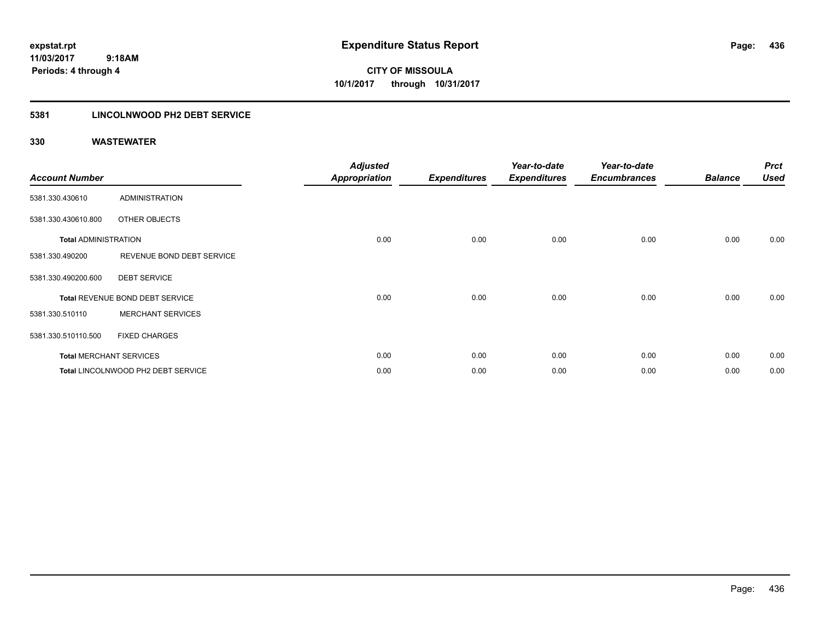**CITY OF MISSOULA 10/1/2017 through 10/31/2017**

### **5381 LINCOLNWOOD PH2 DEBT SERVICE**

| <b>Account Number</b>       |                                    | <b>Adjusted</b><br><b>Appropriation</b> | <b>Expenditures</b> | Year-to-date<br><b>Expenditures</b> | Year-to-date<br><b>Encumbrances</b> | <b>Balance</b> | <b>Prct</b><br><b>Used</b> |
|-----------------------------|------------------------------------|-----------------------------------------|---------------------|-------------------------------------|-------------------------------------|----------------|----------------------------|
| 5381.330.430610             | <b>ADMINISTRATION</b>              |                                         |                     |                                     |                                     |                |                            |
| 5381.330.430610.800         | <b>OTHER OBJECTS</b>               |                                         |                     |                                     |                                     |                |                            |
| <b>Total ADMINISTRATION</b> |                                    | 0.00                                    | 0.00                | 0.00                                | 0.00                                | 0.00           | 0.00                       |
| 5381.330.490200             | REVENUE BOND DEBT SERVICE          |                                         |                     |                                     |                                     |                |                            |
| 5381.330.490200.600         | <b>DEBT SERVICE</b>                |                                         |                     |                                     |                                     |                |                            |
|                             | Total REVENUE BOND DEBT SERVICE    | 0.00                                    | 0.00                | 0.00                                | 0.00                                | 0.00           | 0.00                       |
| 5381.330.510110             | <b>MERCHANT SERVICES</b>           |                                         |                     |                                     |                                     |                |                            |
| 5381.330.510110.500         | <b>FIXED CHARGES</b>               |                                         |                     |                                     |                                     |                |                            |
|                             | <b>Total MERCHANT SERVICES</b>     | 0.00                                    | 0.00                | 0.00                                | 0.00                                | 0.00           | 0.00                       |
|                             | Total LINCOLNWOOD PH2 DEBT SERVICE | 0.00                                    | 0.00                | 0.00                                | 0.00                                | 0.00           | 0.00                       |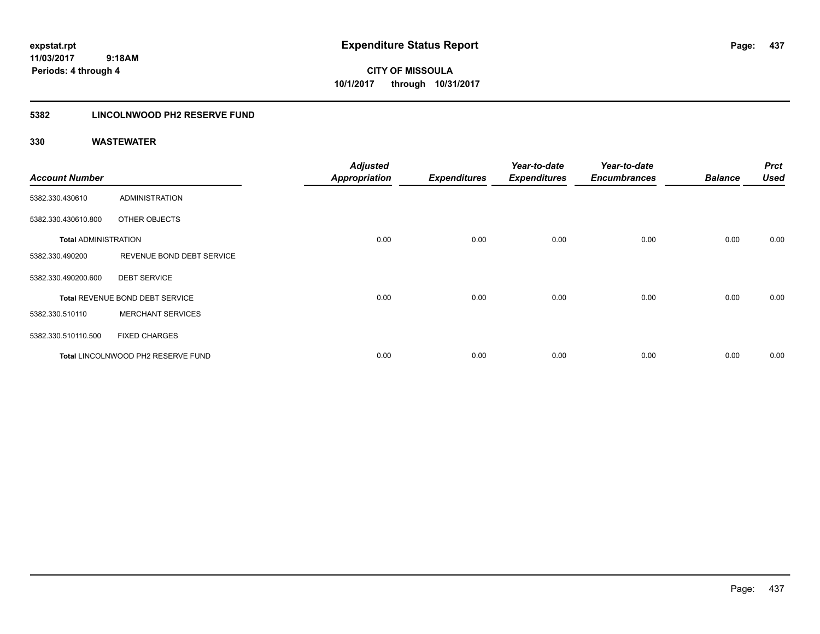**CITY OF MISSOULA 10/1/2017 through 10/31/2017**

### **5382 LINCOLNWOOD PH2 RESERVE FUND**

| <b>Account Number</b>       |                                    | <b>Adjusted</b><br><b>Appropriation</b> | <b>Expenditures</b> | Year-to-date<br><b>Expenditures</b> | Year-to-date<br><b>Encumbrances</b> | <b>Balance</b> | <b>Prct</b><br>Used |
|-----------------------------|------------------------------------|-----------------------------------------|---------------------|-------------------------------------|-------------------------------------|----------------|---------------------|
| 5382.330.430610             | <b>ADMINISTRATION</b>              |                                         |                     |                                     |                                     |                |                     |
| 5382.330.430610.800         | OTHER OBJECTS                      |                                         |                     |                                     |                                     |                |                     |
| <b>Total ADMINISTRATION</b> |                                    | 0.00                                    | 0.00                | 0.00                                | 0.00                                | 0.00           | 0.00                |
| 5382.330.490200             | REVENUE BOND DEBT SERVICE          |                                         |                     |                                     |                                     |                |                     |
| 5382.330.490200.600         | <b>DEBT SERVICE</b>                |                                         |                     |                                     |                                     |                |                     |
|                             | Total REVENUE BOND DEBT SERVICE    | 0.00                                    | 0.00                | 0.00                                | 0.00                                | 0.00           | 0.00                |
| 5382.330.510110             | <b>MERCHANT SERVICES</b>           |                                         |                     |                                     |                                     |                |                     |
| 5382.330.510110.500         | <b>FIXED CHARGES</b>               |                                         |                     |                                     |                                     |                |                     |
|                             | Total LINCOLNWOOD PH2 RESERVE FUND | 0.00                                    | 0.00                | 0.00                                | 0.00                                | 0.00           | 0.00                |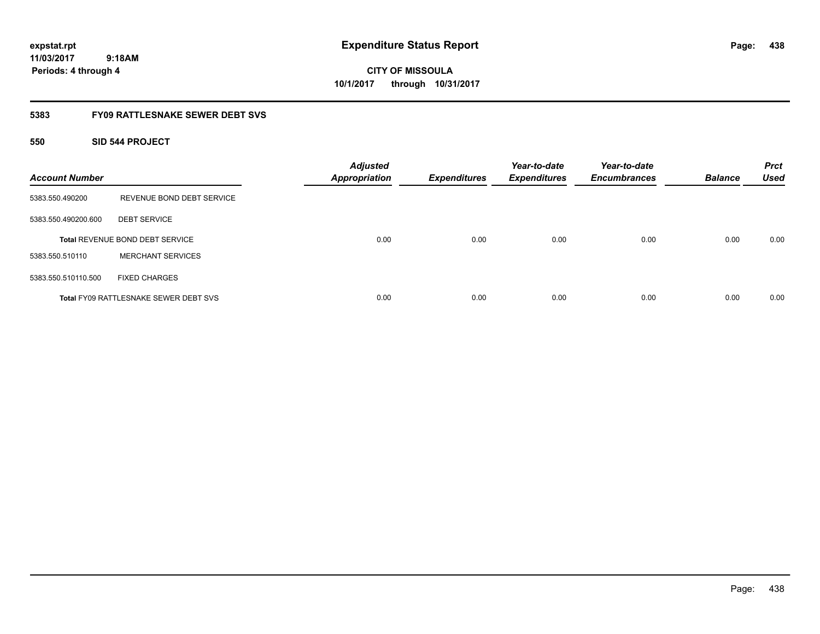# **CITY OF MISSOULA 10/1/2017 through 10/31/2017**

### **5383 FY09 RATTLESNAKE SEWER DEBT SVS**

### **550 SID 544 PROJECT**

| <b>Account Number</b> |                                              | <b>Adjusted</b><br><b>Appropriation</b> | <b>Expenditures</b> | Year-to-date<br><b>Expenditures</b> | Year-to-date<br><b>Encumbrances</b> | <b>Balance</b> | <b>Prct</b><br><b>Used</b> |
|-----------------------|----------------------------------------------|-----------------------------------------|---------------------|-------------------------------------|-------------------------------------|----------------|----------------------------|
| 5383.550.490200       | REVENUE BOND DEBT SERVICE                    |                                         |                     |                                     |                                     |                |                            |
| 5383.550.490200.600   | <b>DEBT SERVICE</b>                          |                                         |                     |                                     |                                     |                |                            |
|                       | Total REVENUE BOND DEBT SERVICE              | 0.00                                    | 0.00                | 0.00                                | 0.00                                | 0.00           | 0.00                       |
| 5383.550.510110       | <b>MERCHANT SERVICES</b>                     |                                         |                     |                                     |                                     |                |                            |
| 5383.550.510110.500   | <b>FIXED CHARGES</b>                         |                                         |                     |                                     |                                     |                |                            |
|                       | <b>Total FY09 RATTLESNAKE SEWER DEBT SVS</b> | 0.00                                    | 0.00                | 0.00                                | 0.00                                | 0.00           | 0.00                       |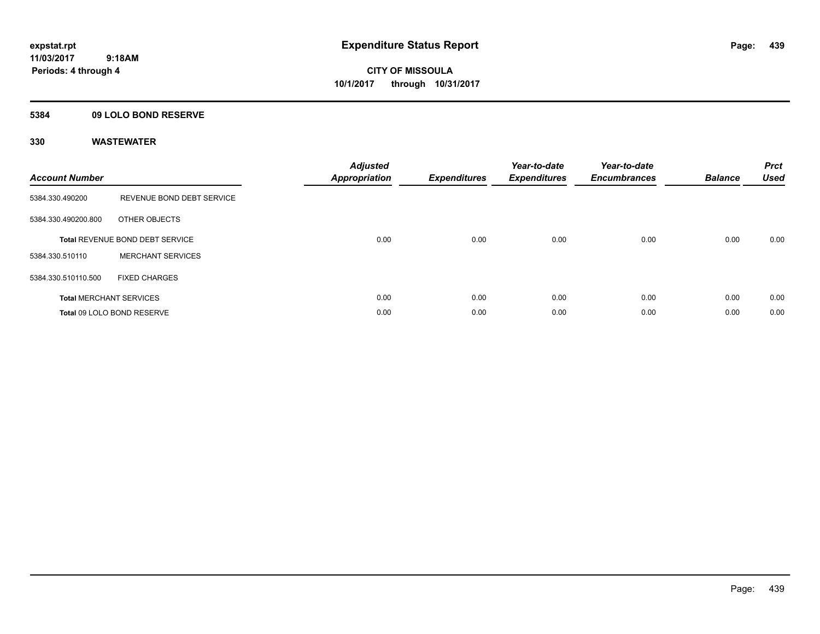**Periods: 4 through 4**

**CITY OF MISSOULA 10/1/2017 through 10/31/2017**

### **5384 09 LOLO BOND RESERVE**

| <b>Account Number</b>          |                                 | <b>Adjusted</b><br>Appropriation | <b>Expenditures</b> | Year-to-date<br><b>Expenditures</b> | Year-to-date<br><b>Encumbrances</b> | <b>Balance</b> | <b>Prct</b><br><b>Used</b> |
|--------------------------------|---------------------------------|----------------------------------|---------------------|-------------------------------------|-------------------------------------|----------------|----------------------------|
| 5384.330.490200                | REVENUE BOND DEBT SERVICE       |                                  |                     |                                     |                                     |                |                            |
| 5384.330.490200.800            | OTHER OBJECTS                   |                                  |                     |                                     |                                     |                |                            |
|                                | Total REVENUE BOND DEBT SERVICE | 0.00                             | 0.00                | 0.00                                | 0.00                                | 0.00           | 0.00                       |
| 5384.330.510110                | <b>MERCHANT SERVICES</b>        |                                  |                     |                                     |                                     |                |                            |
| 5384.330.510110.500            | <b>FIXED CHARGES</b>            |                                  |                     |                                     |                                     |                |                            |
| <b>Total MERCHANT SERVICES</b> |                                 | 0.00                             | 0.00                | 0.00                                | 0.00                                | 0.00           | 0.00                       |
|                                | Total 09 LOLO BOND RESERVE      | 0.00                             | 0.00                | 0.00                                | 0.00                                | 0.00           | 0.00                       |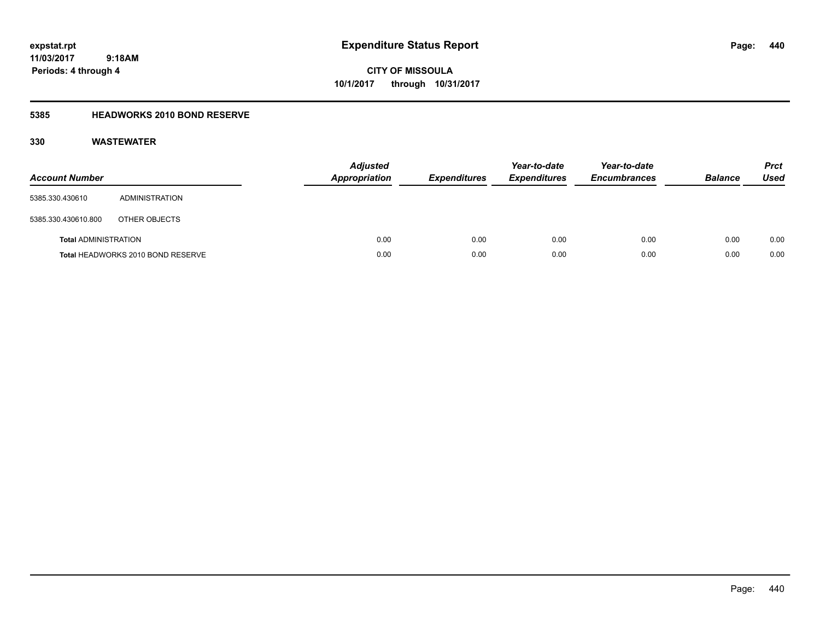**CITY OF MISSOULA 10/1/2017 through 10/31/2017**

### **5385 HEADWORKS 2010 BOND RESERVE**

| <b>Account Number</b>       |                                   | <b>Adjusted</b><br><b>Appropriation</b> | <b>Expenditures</b> | Year-to-date<br><b>Expenditures</b> | Year-to-date<br><b>Encumbrances</b> | <b>Balance</b> | Prct<br><b>Used</b> |
|-----------------------------|-----------------------------------|-----------------------------------------|---------------------|-------------------------------------|-------------------------------------|----------------|---------------------|
| 5385.330.430610             | <b>ADMINISTRATION</b>             |                                         |                     |                                     |                                     |                |                     |
| 5385.330.430610.800         | OTHER OBJECTS                     |                                         |                     |                                     |                                     |                |                     |
| <b>Total ADMINISTRATION</b> |                                   | 0.00                                    | 0.00                | 0.00                                | 0.00                                | 0.00           | 0.00                |
|                             | Total HEADWORKS 2010 BOND RESERVE | 0.00                                    | 0.00                | 0.00                                | 0.00                                | 0.00           | 0.00                |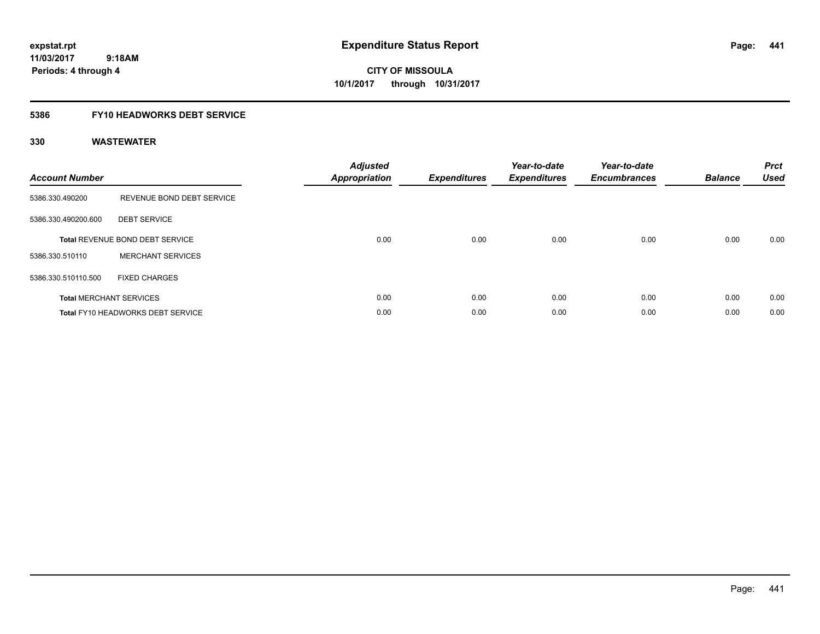**CITY OF MISSOULA 10/1/2017 through 10/31/2017**

### **5386 FY10 HEADWORKS DEBT SERVICE**

| <b>Account Number</b> |                                          | <b>Adjusted</b><br>Appropriation | <b>Expenditures</b> | Year-to-date<br><b>Expenditures</b> | Year-to-date<br><b>Encumbrances</b> | <b>Balance</b> | <b>Prct</b><br><b>Used</b> |
|-----------------------|------------------------------------------|----------------------------------|---------------------|-------------------------------------|-------------------------------------|----------------|----------------------------|
| 5386.330.490200       | REVENUE BOND DEBT SERVICE                |                                  |                     |                                     |                                     |                |                            |
| 5386.330.490200.600   | <b>DEBT SERVICE</b>                      |                                  |                     |                                     |                                     |                |                            |
|                       | <b>Total REVENUE BOND DEBT SERVICE</b>   | 0.00                             | 0.00                | 0.00                                | 0.00                                | 0.00           | 0.00                       |
| 5386.330.510110       | <b>MERCHANT SERVICES</b>                 |                                  |                     |                                     |                                     |                |                            |
| 5386.330.510110.500   | <b>FIXED CHARGES</b>                     |                                  |                     |                                     |                                     |                |                            |
|                       | <b>Total MERCHANT SERVICES</b>           | 0.00                             | 0.00                | 0.00                                | 0.00                                | 0.00           | 0.00                       |
|                       | <b>Total FY10 HEADWORKS DEBT SERVICE</b> | 0.00                             | 0.00                | 0.00                                | 0.00                                | 0.00           | 0.00                       |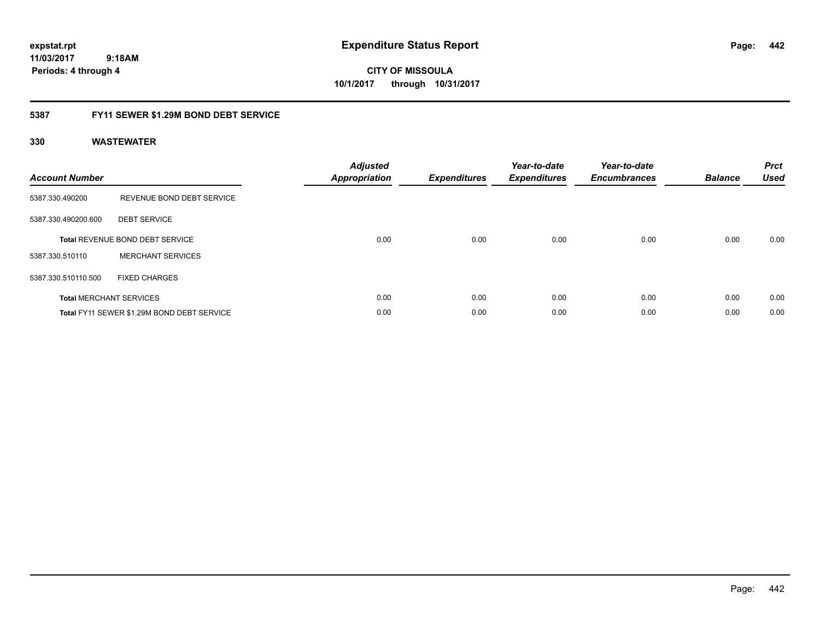**CITY OF MISSOULA 10/1/2017 through 10/31/2017**

### **5387 FY11 SEWER \$1.29M BOND DEBT SERVICE**

| <b>Account Number</b> |                                            | <b>Adjusted</b><br><b>Appropriation</b> | <b>Expenditures</b> | Year-to-date<br><b>Expenditures</b> | Year-to-date<br><b>Encumbrances</b> | <b>Balance</b> | <b>Prct</b><br><b>Used</b> |
|-----------------------|--------------------------------------------|-----------------------------------------|---------------------|-------------------------------------|-------------------------------------|----------------|----------------------------|
| 5387.330.490200       | REVENUE BOND DEBT SERVICE                  |                                         |                     |                                     |                                     |                |                            |
| 5387.330.490200.600   | <b>DEBT SERVICE</b>                        |                                         |                     |                                     |                                     |                |                            |
|                       | Total REVENUE BOND DEBT SERVICE            | 0.00                                    | 0.00                | 0.00                                | 0.00                                | 0.00           | 0.00                       |
| 5387.330.510110       | <b>MERCHANT SERVICES</b>                   |                                         |                     |                                     |                                     |                |                            |
| 5387.330.510110.500   | <b>FIXED CHARGES</b>                       |                                         |                     |                                     |                                     |                |                            |
|                       | <b>Total MERCHANT SERVICES</b>             | 0.00                                    | 0.00                | 0.00                                | 0.00                                | 0.00           | 0.00                       |
|                       | Total FY11 SEWER \$1.29M BOND DEBT SERVICE | 0.00                                    | 0.00                | 0.00                                | 0.00                                | 0.00           | 0.00                       |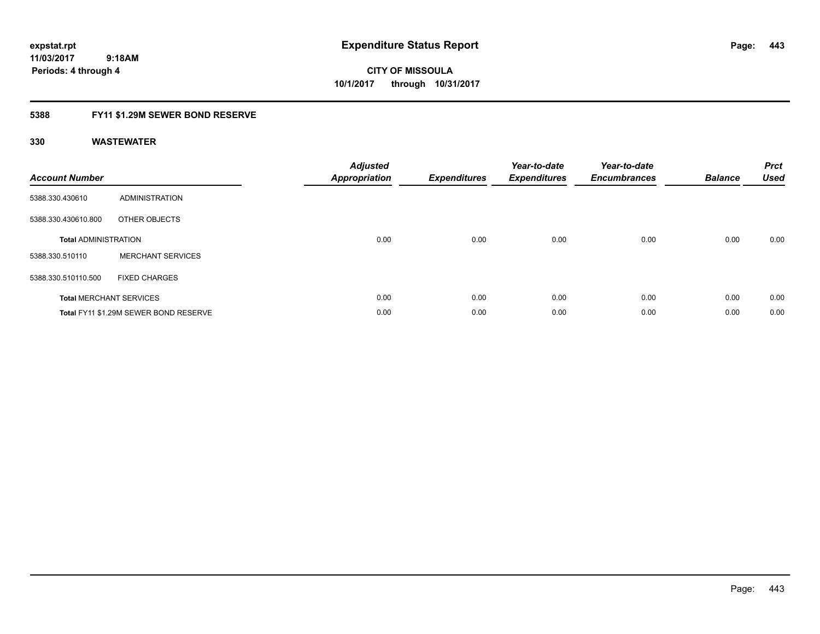**CITY OF MISSOULA 10/1/2017 through 10/31/2017**

### **5388 FY11 \$1.29M SEWER BOND RESERVE**

| <b>Account Number</b>       |                                       | <b>Adjusted</b><br><b>Appropriation</b> | <b>Expenditures</b> | Year-to-date<br><b>Expenditures</b> | Year-to-date<br><b>Encumbrances</b> | <b>Balance</b> | <b>Prct</b><br><b>Used</b> |
|-----------------------------|---------------------------------------|-----------------------------------------|---------------------|-------------------------------------|-------------------------------------|----------------|----------------------------|
| 5388.330.430610             | ADMINISTRATION                        |                                         |                     |                                     |                                     |                |                            |
| 5388.330.430610.800         | OTHER OBJECTS                         |                                         |                     |                                     |                                     |                |                            |
| <b>Total ADMINISTRATION</b> |                                       | 0.00                                    | 0.00                | 0.00                                | 0.00                                | 0.00           | 0.00                       |
| 5388.330.510110             | <b>MERCHANT SERVICES</b>              |                                         |                     |                                     |                                     |                |                            |
| 5388.330.510110.500         | <b>FIXED CHARGES</b>                  |                                         |                     |                                     |                                     |                |                            |
|                             | <b>Total MERCHANT SERVICES</b>        | 0.00                                    | 0.00                | 0.00                                | 0.00                                | 0.00           | 0.00                       |
|                             | Total FY11 \$1.29M SEWER BOND RESERVE | 0.00                                    | 0.00                | 0.00                                | 0.00                                | 0.00           | 0.00                       |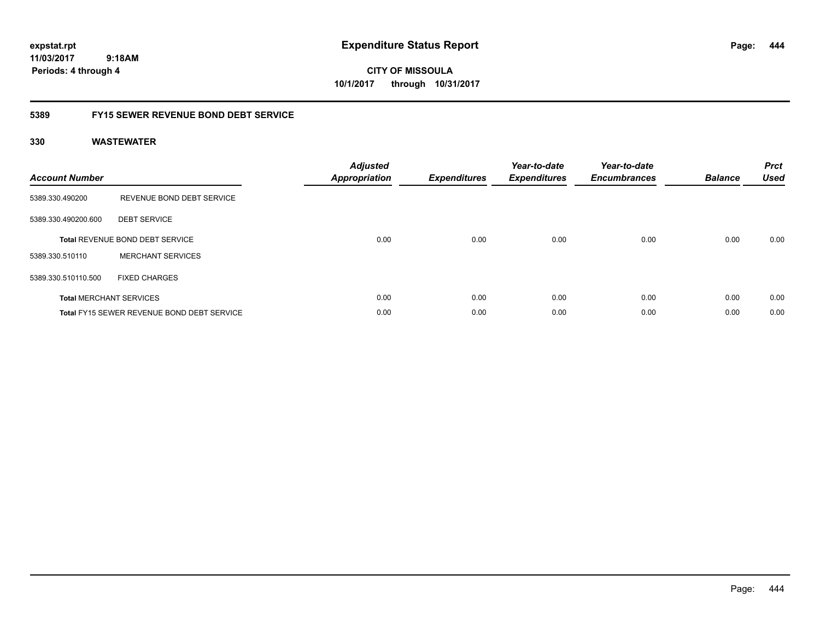**CITY OF MISSOULA 10/1/2017 through 10/31/2017**

### **5389 FY15 SEWER REVENUE BOND DEBT SERVICE**

| <b>Account Number</b> |                                                   | <b>Adjusted</b><br><b>Appropriation</b> | <b>Expenditures</b> | Year-to-date<br><b>Expenditures</b> | Year-to-date<br><b>Encumbrances</b> | <b>Balance</b> | <b>Prct</b><br><b>Used</b> |
|-----------------------|---------------------------------------------------|-----------------------------------------|---------------------|-------------------------------------|-------------------------------------|----------------|----------------------------|
| 5389.330.490200       | REVENUE BOND DEBT SERVICE                         |                                         |                     |                                     |                                     |                |                            |
| 5389.330.490200.600   | <b>DEBT SERVICE</b>                               |                                         |                     |                                     |                                     |                |                            |
|                       | Total REVENUE BOND DEBT SERVICE                   | 0.00                                    | 0.00                | 0.00                                | 0.00                                | 0.00           | 0.00                       |
| 5389.330.510110       | <b>MERCHANT SERVICES</b>                          |                                         |                     |                                     |                                     |                |                            |
| 5389.330.510110.500   | <b>FIXED CHARGES</b>                              |                                         |                     |                                     |                                     |                |                            |
|                       | <b>Total MERCHANT SERVICES</b>                    | 0.00                                    | 0.00                | 0.00                                | 0.00                                | 0.00           | 0.00                       |
|                       | <b>Total FY15 SEWER REVENUE BOND DEBT SERVICE</b> | 0.00                                    | 0.00                | 0.00                                | 0.00                                | 0.00           | 0.00                       |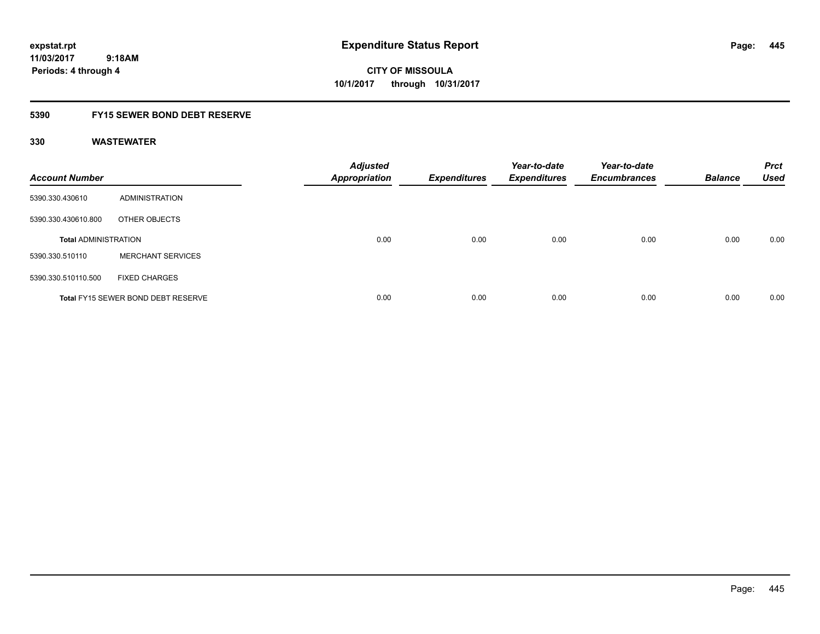**CITY OF MISSOULA 10/1/2017 through 10/31/2017**

### **5390 FY15 SEWER BOND DEBT RESERVE**

| <b>Account Number</b>       |                                           | <b>Adjusted</b><br><b>Appropriation</b> | <b>Expenditures</b> | Year-to-date<br><b>Expenditures</b> | Year-to-date<br><b>Encumbrances</b> | <b>Balance</b> | <b>Prct</b><br><b>Used</b> |
|-----------------------------|-------------------------------------------|-----------------------------------------|---------------------|-------------------------------------|-------------------------------------|----------------|----------------------------|
| 5390.330.430610             | ADMINISTRATION                            |                                         |                     |                                     |                                     |                |                            |
| 5390.330.430610.800         | OTHER OBJECTS                             |                                         |                     |                                     |                                     |                |                            |
| <b>Total ADMINISTRATION</b> |                                           | 0.00                                    | 0.00                | 0.00                                | 0.00                                | 0.00           | 0.00                       |
| 5390.330.510110             | <b>MERCHANT SERVICES</b>                  |                                         |                     |                                     |                                     |                |                            |
| 5390.330.510110.500         | <b>FIXED CHARGES</b>                      |                                         |                     |                                     |                                     |                |                            |
|                             | <b>Total FY15 SEWER BOND DEBT RESERVE</b> | 0.00                                    | 0.00                | 0.00                                | 0.00                                | 0.00           | 0.00                       |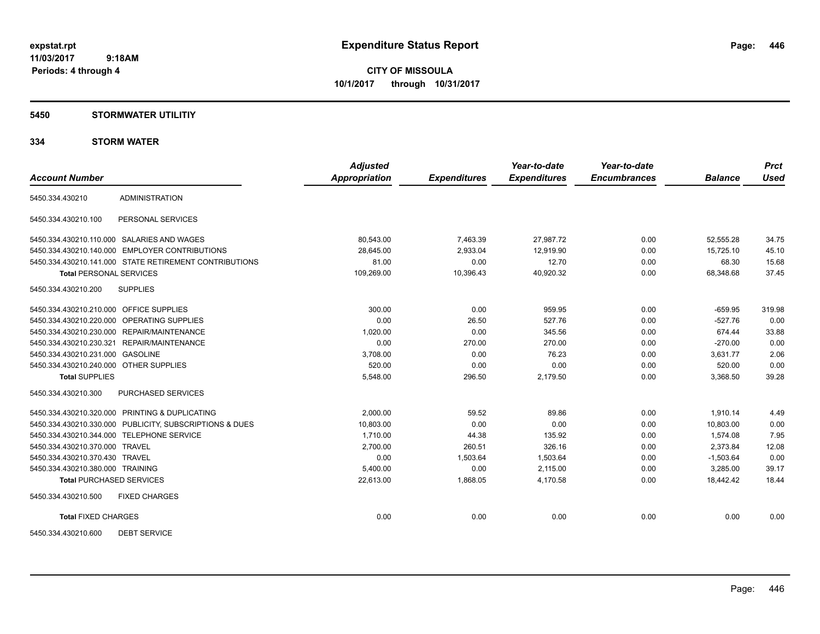**CITY OF MISSOULA 10/1/2017 through 10/31/2017**

#### **5450 STORMWATER UTILITIY**

|                                         |                                                         | <b>Adjusted</b>      |                     | Year-to-date        | Year-to-date        |                | <b>Prct</b> |
|-----------------------------------------|---------------------------------------------------------|----------------------|---------------------|---------------------|---------------------|----------------|-------------|
| <b>Account Number</b>                   |                                                         | <b>Appropriation</b> | <b>Expenditures</b> | <b>Expenditures</b> | <b>Encumbrances</b> | <b>Balance</b> | <b>Used</b> |
| 5450.334.430210                         | <b>ADMINISTRATION</b>                                   |                      |                     |                     |                     |                |             |
| 5450.334.430210.100                     | PERSONAL SERVICES                                       |                      |                     |                     |                     |                |             |
|                                         | 5450.334.430210.110.000 SALARIES AND WAGES              | 80,543.00            | 7,463.39            | 27,987.72           | 0.00                | 52,555.28      | 34.75       |
|                                         | 5450.334.430210.140.000 EMPLOYER CONTRIBUTIONS          | 28,645.00            | 2,933.04            | 12,919.90           | 0.00                | 15,725.10      | 45.10       |
|                                         | 5450.334.430210.141.000 STATE RETIREMENT CONTRIBUTIONS  | 81.00                | 0.00                | 12.70               | 0.00                | 68.30          | 15.68       |
| <b>Total PERSONAL SERVICES</b>          |                                                         | 109,269.00           | 10,396.43           | 40,920.32           | 0.00                | 68,348.68      | 37.45       |
| 5450.334.430210.200                     | <b>SUPPLIES</b>                                         |                      |                     |                     |                     |                |             |
| 5450.334.430210.210.000 OFFICE SUPPLIES |                                                         | 300.00               | 0.00                | 959.95              | 0.00                | $-659.95$      | 319.98      |
|                                         | 5450.334.430210.220.000 OPERATING SUPPLIES              | 0.00                 | 26.50               | 527.76              | 0.00                | $-527.76$      | 0.00        |
|                                         | 5450.334.430210.230.000 REPAIR/MAINTENANCE              | 1,020.00             | 0.00                | 345.56              | 0.00                | 674.44         | 33.88       |
|                                         | 5450.334.430210.230.321 REPAIR/MAINTENANCE              | 0.00                 | 270.00              | 270.00              | 0.00                | $-270.00$      | 0.00        |
| 5450.334.430210.231.000 GASOLINE        |                                                         | 3,708.00             | 0.00                | 76.23               | 0.00                | 3,631.77       | 2.06        |
| 5450.334.430210.240.000 OTHER SUPPLIES  |                                                         | 520.00               | 0.00                | 0.00                | 0.00                | 520.00         | 0.00        |
| <b>Total SUPPLIES</b>                   |                                                         | 5,548.00             | 296.50              | 2,179.50            | 0.00                | 3,368.50       | 39.28       |
| 5450.334.430210.300                     | <b>PURCHASED SERVICES</b>                               |                      |                     |                     |                     |                |             |
|                                         | 5450.334.430210.320.000 PRINTING & DUPLICATING          | 2,000.00             | 59.52               | 89.86               | 0.00                | 1,910.14       | 4.49        |
|                                         | 5450.334.430210.330.000 PUBLICITY, SUBSCRIPTIONS & DUES | 10,803.00            | 0.00                | 0.00                | 0.00                | 10,803.00      | 0.00        |
|                                         | 5450.334.430210.344.000 TELEPHONE SERVICE               | 1.710.00             | 44.38               | 135.92              | 0.00                | 1.574.08       | 7.95        |
| 5450.334.430210.370.000 TRAVEL          |                                                         | 2,700.00             | 260.51              | 326.16              | 0.00                | 2,373.84       | 12.08       |
| 5450.334.430210.370.430 TRAVEL          |                                                         | 0.00                 | 1,503.64            | 1,503.64            | 0.00                | $-1,503.64$    | 0.00        |
| 5450.334.430210.380.000 TRAINING        |                                                         | 5,400.00             | 0.00                | 2,115.00            | 0.00                | 3,285.00       | 39.17       |
| <b>Total PURCHASED SERVICES</b>         |                                                         | 22,613.00            | 1,868.05            | 4,170.58            | 0.00                | 18,442.42      | 18.44       |
| 5450.334.430210.500                     | <b>FIXED CHARGES</b>                                    |                      |                     |                     |                     |                |             |
| <b>Total FIXED CHARGES</b>              |                                                         | 0.00                 | 0.00                | 0.00                | 0.00                | 0.00           | 0.00        |
| 5450.334.430210.600                     | <b>DEBT SERVICE</b>                                     |                      |                     |                     |                     |                |             |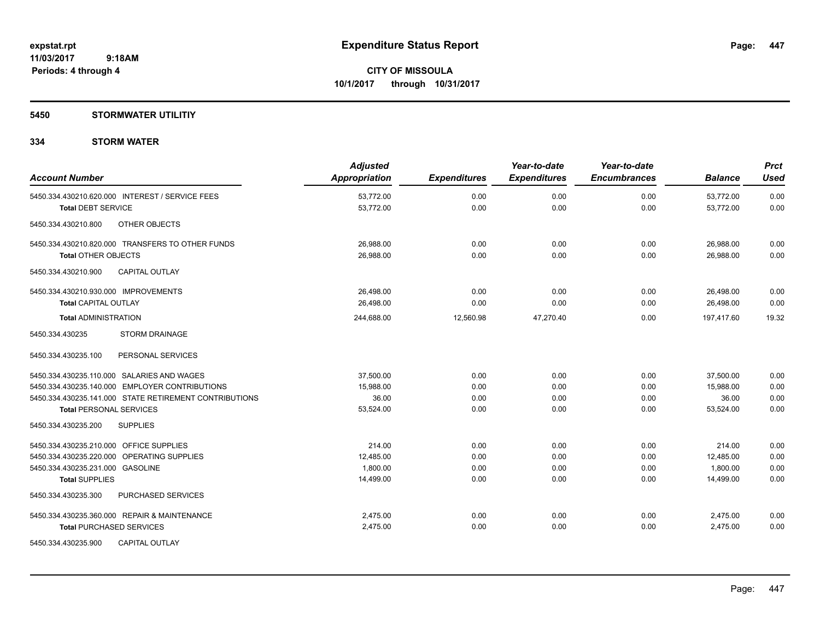#### **5450 STORMWATER UTILITIY**

| <b>Account Number</b>                                  | <b>Adjusted</b><br><b>Appropriation</b> | <b>Expenditures</b> | Year-to-date<br><b>Expenditures</b> | Year-to-date<br><b>Encumbrances</b> | <b>Balance</b> | <b>Prct</b><br><b>Used</b> |
|--------------------------------------------------------|-----------------------------------------|---------------------|-------------------------------------|-------------------------------------|----------------|----------------------------|
| 5450.334.430210.620.000 INTEREST / SERVICE FEES        | 53,772.00                               | 0.00                | 0.00                                | 0.00                                | 53,772.00      | 0.00                       |
| <b>Total DEBT SERVICE</b>                              | 53,772.00                               | 0.00                | 0.00                                | 0.00                                | 53,772.00      | 0.00                       |
| OTHER OBJECTS<br>5450.334.430210.800                   |                                         |                     |                                     |                                     |                |                            |
| 5450.334.430210.820.000 TRANSFERS TO OTHER FUNDS       | 26,988.00                               | 0.00                | 0.00                                | 0.00                                | 26,988.00      | 0.00                       |
| <b>Total OTHER OBJECTS</b>                             | 26,988.00                               | 0.00                | 0.00                                | 0.00                                | 26,988.00      | 0.00                       |
| <b>CAPITAL OUTLAY</b><br>5450.334.430210.900           |                                         |                     |                                     |                                     |                |                            |
| 5450.334.430210.930.000 IMPROVEMENTS                   | 26.498.00                               | 0.00                | 0.00                                | 0.00                                | 26,498.00      | 0.00                       |
| <b>Total CAPITAL OUTLAY</b>                            | 26.498.00                               | 0.00                | 0.00                                | 0.00                                | 26.498.00      | 0.00                       |
| <b>Total ADMINISTRATION</b>                            | 244,688.00                              | 12,560.98           | 47,270.40                           | 0.00                                | 197,417.60     | 19.32                      |
| <b>STORM DRAINAGE</b><br>5450.334.430235               |                                         |                     |                                     |                                     |                |                            |
| PERSONAL SERVICES<br>5450.334.430235.100               |                                         |                     |                                     |                                     |                |                            |
| 5450.334.430235.110.000 SALARIES AND WAGES             | 37.500.00                               | 0.00                | 0.00                                | 0.00                                | 37,500.00      | 0.00                       |
| 5450.334.430235.140.000 EMPLOYER CONTRIBUTIONS         | 15,988.00                               | 0.00                | 0.00                                | 0.00                                | 15.988.00      | 0.00                       |
| 5450.334.430235.141.000 STATE RETIREMENT CONTRIBUTIONS | 36.00                                   | 0.00                | 0.00                                | 0.00                                | 36.00          | 0.00                       |
| <b>Total PERSONAL SERVICES</b>                         | 53,524.00                               | 0.00                | 0.00                                | 0.00                                | 53,524.00      | 0.00                       |
| <b>SUPPLIES</b><br>5450.334.430235.200                 |                                         |                     |                                     |                                     |                |                            |
| 5450.334.430235.210.000 OFFICE SUPPLIES                | 214.00                                  | 0.00                | 0.00                                | 0.00                                | 214.00         | 0.00                       |
| 5450.334.430235.220.000 OPERATING SUPPLIES             | 12,485.00                               | 0.00                | 0.00                                | 0.00                                | 12,485.00      | 0.00                       |
| 5450.334.430235.231.000 GASOLINE                       | 1.800.00                                | 0.00                | 0.00                                | 0.00                                | 1.800.00       | 0.00                       |
| <b>Total SUPPLIES</b>                                  | 14,499.00                               | 0.00                | 0.00                                | 0.00                                | 14.499.00      | 0.00                       |
| PURCHASED SERVICES<br>5450.334.430235.300              |                                         |                     |                                     |                                     |                |                            |
| 5450.334.430235.360.000 REPAIR & MAINTENANCE           | 2.475.00                                | 0.00                | 0.00                                | 0.00                                | 2,475.00       | 0.00                       |
| <b>Total PURCHASED SERVICES</b>                        | 2,475.00                                | 0.00                | 0.00                                | 0.00                                | 2,475.00       | 0.00                       |
| <b>CAPITAL OUTLAY</b><br>5450.334.430235.900           |                                         |                     |                                     |                                     |                |                            |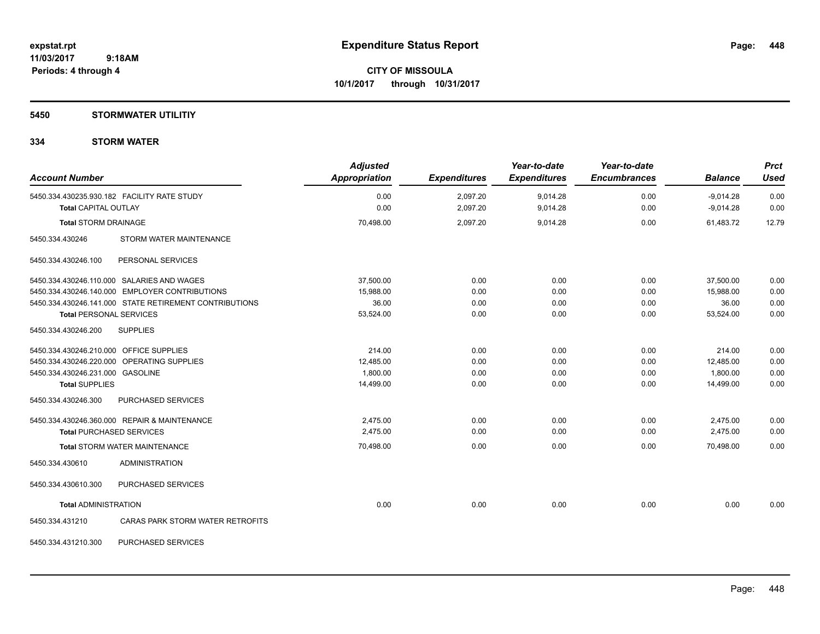### **5450 STORMWATER UTILITIY**

| <b>Account Number</b>                   |                                                        | <b>Adjusted</b><br><b>Appropriation</b> | <b>Expenditures</b> | Year-to-date<br><b>Expenditures</b> | Year-to-date<br><b>Encumbrances</b> | <b>Balance</b> | <b>Prct</b><br><b>Used</b> |
|-----------------------------------------|--------------------------------------------------------|-----------------------------------------|---------------------|-------------------------------------|-------------------------------------|----------------|----------------------------|
|                                         | 5450.334.430235.930.182 FACILITY RATE STUDY            | 0.00                                    | 2,097.20            | 9,014.28                            | 0.00                                | $-9,014.28$    | 0.00                       |
| <b>Total CAPITAL OUTLAY</b>             |                                                        | 0.00                                    | 2,097.20            | 9,014.28                            | 0.00                                | $-9,014.28$    | 0.00                       |
| <b>Total STORM DRAINAGE</b>             |                                                        | 70,498.00                               | 2,097.20            | 9,014.28                            | 0.00                                | 61,483.72      | 12.79                      |
| 5450.334.430246                         | STORM WATER MAINTENANCE                                |                                         |                     |                                     |                                     |                |                            |
| 5450.334.430246.100                     | PERSONAL SERVICES                                      |                                         |                     |                                     |                                     |                |                            |
|                                         | 5450.334.430246.110.000 SALARIES AND WAGES             | 37,500.00                               | 0.00                | 0.00                                | 0.00                                | 37,500.00      | 0.00                       |
|                                         | 5450.334.430246.140.000 EMPLOYER CONTRIBUTIONS         | 15,988.00                               | 0.00                | 0.00                                | 0.00                                | 15,988.00      | 0.00                       |
|                                         | 5450.334.430246.141.000 STATE RETIREMENT CONTRIBUTIONS | 36.00                                   | 0.00                | 0.00                                | 0.00                                | 36.00          | 0.00                       |
| <b>Total PERSONAL SERVICES</b>          |                                                        | 53,524.00                               | 0.00                | 0.00                                | 0.00                                | 53,524.00      | 0.00                       |
| 5450.334.430246.200                     | <b>SUPPLIES</b>                                        |                                         |                     |                                     |                                     |                |                            |
| 5450.334.430246.210.000 OFFICE SUPPLIES |                                                        | 214.00                                  | 0.00                | 0.00                                | 0.00                                | 214.00         | 0.00                       |
|                                         | 5450.334.430246.220.000 OPERATING SUPPLIES             | 12.485.00                               | 0.00                | 0.00                                | 0.00                                | 12,485.00      | 0.00                       |
| 5450.334.430246.231.000 GASOLINE        |                                                        | 1,800.00                                | 0.00                | 0.00                                | 0.00                                | 1,800.00       | 0.00                       |
| <b>Total SUPPLIES</b>                   |                                                        | 14,499.00                               | 0.00                | 0.00                                | 0.00                                | 14,499.00      | 0.00                       |
| 5450.334.430246.300                     | PURCHASED SERVICES                                     |                                         |                     |                                     |                                     |                |                            |
|                                         | 5450.334.430246.360.000 REPAIR & MAINTENANCE           | 2,475.00                                | 0.00                | 0.00                                | 0.00                                | 2,475.00       | 0.00                       |
| <b>Total PURCHASED SERVICES</b>         |                                                        | 2,475.00                                | 0.00                | 0.00                                | 0.00                                | 2,475.00       | 0.00                       |
|                                         | <b>Total STORM WATER MAINTENANCE</b>                   | 70,498.00                               | 0.00                | 0.00                                | 0.00                                | 70.498.00      | 0.00                       |
| 5450.334.430610                         | <b>ADMINISTRATION</b>                                  |                                         |                     |                                     |                                     |                |                            |
| 5450.334.430610.300                     | PURCHASED SERVICES                                     |                                         |                     |                                     |                                     |                |                            |
| <b>Total ADMINISTRATION</b>             |                                                        | 0.00                                    | 0.00                | 0.00                                | 0.00                                | 0.00           | 0.00                       |
| 5450.334.431210                         | CARAS PARK STORM WATER RETROFITS                       |                                         |                     |                                     |                                     |                |                            |
| 5450.334.431210.300                     | PURCHASED SERVICES                                     |                                         |                     |                                     |                                     |                |                            |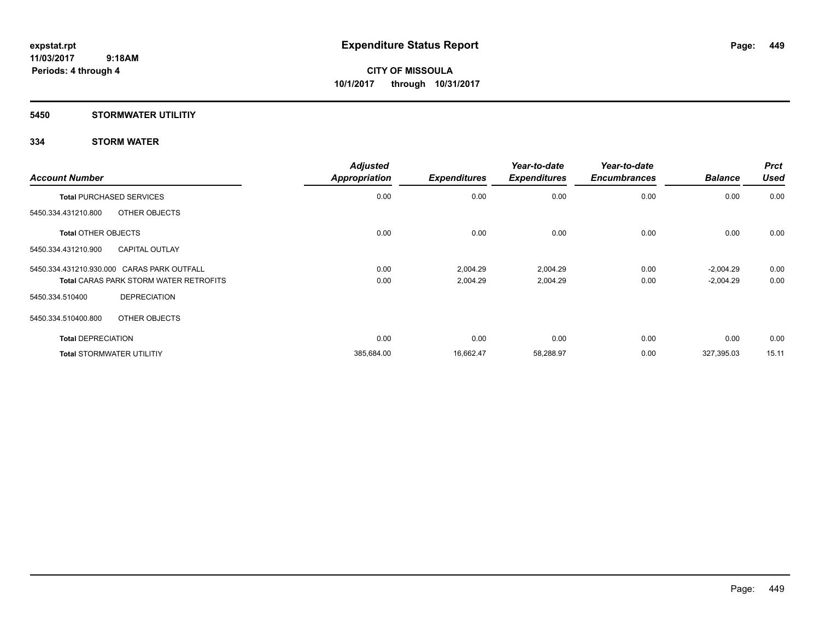### **5450 STORMWATER UTILITIY**

| <b>Account Number</b>                         | <b>Adjusted</b><br><b>Appropriation</b> | <b>Expenditures</b> | Year-to-date<br><b>Expenditures</b> | Year-to-date<br><b>Encumbrances</b> | <b>Balance</b> | <b>Prct</b><br><b>Used</b> |
|-----------------------------------------------|-----------------------------------------|---------------------|-------------------------------------|-------------------------------------|----------------|----------------------------|
| <b>Total PURCHASED SERVICES</b>               | 0.00                                    | 0.00                | 0.00                                | 0.00                                | 0.00           | 0.00                       |
| OTHER OBJECTS<br>5450.334.431210.800          |                                         |                     |                                     |                                     |                |                            |
| <b>Total OTHER OBJECTS</b>                    | 0.00                                    | 0.00                | 0.00                                | 0.00                                | 0.00           | 0.00                       |
| <b>CAPITAL OUTLAY</b><br>5450.334.431210.900  |                                         |                     |                                     |                                     |                |                            |
| 5450.334.431210.930.000 CARAS PARK OUTFALL    | 0.00                                    | 2,004.29            | 2,004.29                            | 0.00                                | $-2,004.29$    | 0.00                       |
| <b>Total CARAS PARK STORM WATER RETROFITS</b> | 0.00                                    | 2,004.29            | 2,004.29                            | 0.00                                | $-2,004.29$    | 0.00                       |
| <b>DEPRECIATION</b><br>5450.334.510400        |                                         |                     |                                     |                                     |                |                            |
| 5450.334.510400.800<br>OTHER OBJECTS          |                                         |                     |                                     |                                     |                |                            |
| <b>Total DEPRECIATION</b>                     | 0.00                                    | 0.00                | 0.00                                | 0.00                                | 0.00           | 0.00                       |
| <b>Total STORMWATER UTILITIY</b>              | 385,684.00                              | 16,662.47           | 58,288.97                           | 0.00                                | 327,395.03     | 15.11                      |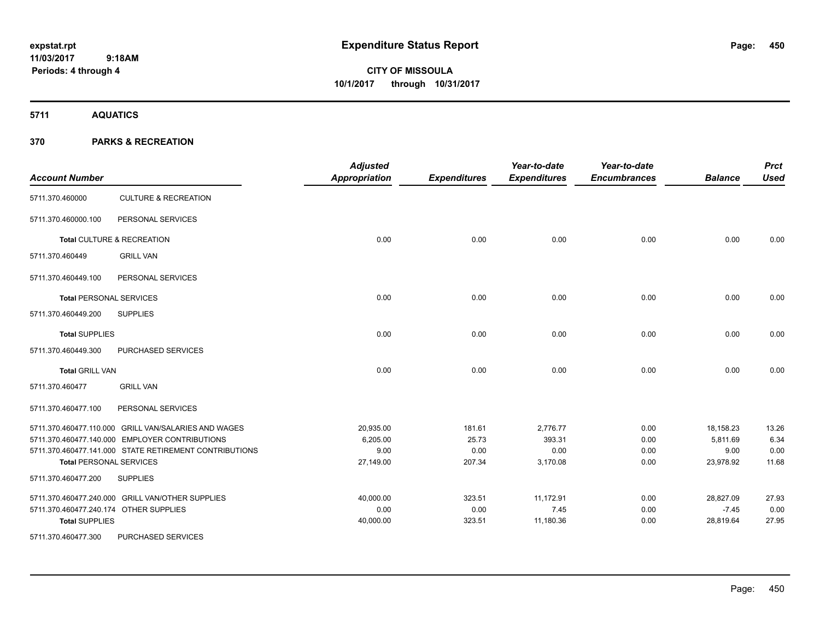# **CITY OF MISSOULA 10/1/2017 through 10/31/2017**

**5711 AQUATICS**

| <b>Account Number</b>                  |                                                        | <b>Adjusted</b><br><b>Appropriation</b> | <b>Expenditures</b> | Year-to-date<br><b>Expenditures</b> | Year-to-date<br><b>Encumbrances</b> | <b>Balance</b> | <b>Prct</b><br><b>Used</b> |
|----------------------------------------|--------------------------------------------------------|-----------------------------------------|---------------------|-------------------------------------|-------------------------------------|----------------|----------------------------|
| 5711.370.460000                        | <b>CULTURE &amp; RECREATION</b>                        |                                         |                     |                                     |                                     |                |                            |
| 5711.370.460000.100                    | PERSONAL SERVICES                                      |                                         |                     |                                     |                                     |                |                            |
|                                        | Total CULTURE & RECREATION                             | 0.00                                    | 0.00                | 0.00                                | 0.00                                | 0.00           | 0.00                       |
| 5711.370.460449                        | <b>GRILL VAN</b>                                       |                                         |                     |                                     |                                     |                |                            |
| 5711.370.460449.100                    | PERSONAL SERVICES                                      |                                         |                     |                                     |                                     |                |                            |
| <b>Total PERSONAL SERVICES</b>         |                                                        | 0.00                                    | 0.00                | 0.00                                | 0.00                                | 0.00           | 0.00                       |
| 5711.370.460449.200                    | <b>SUPPLIES</b>                                        |                                         |                     |                                     |                                     |                |                            |
| <b>Total SUPPLIES</b>                  |                                                        | 0.00                                    | 0.00                | 0.00                                | 0.00                                | 0.00           | 0.00                       |
| 5711.370.460449.300                    | PURCHASED SERVICES                                     |                                         |                     |                                     |                                     |                |                            |
| <b>Total GRILL VAN</b>                 |                                                        | 0.00                                    | 0.00                | 0.00                                | 0.00                                | 0.00           | 0.00                       |
| 5711.370.460477                        | <b>GRILL VAN</b>                                       |                                         |                     |                                     |                                     |                |                            |
| 5711.370.460477.100                    | PERSONAL SERVICES                                      |                                         |                     |                                     |                                     |                |                            |
|                                        | 5711.370.460477.110.000 GRILL VAN/SALARIES AND WAGES   | 20,935.00                               | 181.61              | 2,776.77                            | 0.00                                | 18,158.23      | 13.26                      |
|                                        | 5711.370.460477.140.000 EMPLOYER CONTRIBUTIONS         | 6,205.00                                | 25.73               | 393.31                              | 0.00                                | 5,811.69       | 6.34                       |
|                                        | 5711.370.460477.141.000 STATE RETIREMENT CONTRIBUTIONS | 9.00                                    | 0.00                | 0.00                                | 0.00                                | 9.00           | 0.00                       |
| <b>Total PERSONAL SERVICES</b>         |                                                        | 27,149.00                               | 207.34              | 3,170.08                            | 0.00                                | 23,978.92      | 11.68                      |
| 5711.370.460477.200                    | <b>SUPPLIES</b>                                        |                                         |                     |                                     |                                     |                |                            |
|                                        | 5711.370.460477.240.000 GRILL VAN/OTHER SUPPLIES       | 40,000.00                               | 323.51              | 11,172.91                           | 0.00                                | 28,827.09      | 27.93                      |
| 5711.370.460477.240.174 OTHER SUPPLIES |                                                        | 0.00                                    | 0.00                | 7.45                                | 0.00                                | $-7.45$        | 0.00                       |
| <b>Total SUPPLIES</b>                  |                                                        | 40,000.00                               | 323.51              | 11,180.36                           | 0.00                                | 28,819.64      | 27.95                      |
| 5711.370.460477.300                    | PURCHASED SERVICES                                     |                                         |                     |                                     |                                     |                |                            |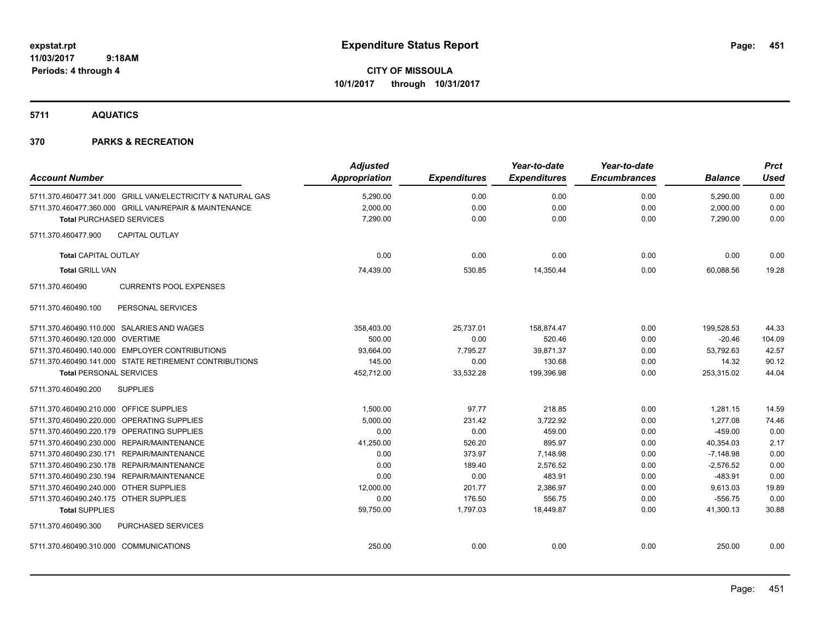**CITY OF MISSOULA 10/1/2017 through 10/31/2017**

**5711 AQUATICS**

| <b>Account Number</b>                   |                                                             | <b>Adjusted</b><br><b>Appropriation</b> | <b>Expenditures</b> | Year-to-date<br><b>Expenditures</b> | Year-to-date<br><b>Encumbrances</b> | <b>Balance</b> | <b>Prct</b><br><b>Used</b> |
|-----------------------------------------|-------------------------------------------------------------|-----------------------------------------|---------------------|-------------------------------------|-------------------------------------|----------------|----------------------------|
|                                         | 5711.370.460477.341.000 GRILL VAN/ELECTRICITY & NATURAL GAS | 5,290.00                                | 0.00                | 0.00                                | 0.00                                | 5,290.00       | 0.00                       |
|                                         | 5711.370.460477.360.000 GRILL VAN/REPAIR & MAINTENANCE      | 2,000.00                                | 0.00                | 0.00                                | 0.00                                | 2,000.00       | 0.00                       |
| <b>Total PURCHASED SERVICES</b>         |                                                             | 7,290.00                                | 0.00                | 0.00                                | 0.00                                | 7,290.00       | 0.00                       |
| 5711.370.460477.900                     | <b>CAPITAL OUTLAY</b>                                       |                                         |                     |                                     |                                     |                |                            |
| <b>Total CAPITAL OUTLAY</b>             |                                                             | 0.00                                    | 0.00                | 0.00                                | 0.00                                | 0.00           | 0.00                       |
| <b>Total GRILL VAN</b>                  |                                                             | 74,439.00                               | 530.85              | 14,350.44                           | 0.00                                | 60,088.56      | 19.28                      |
| 5711.370.460490                         | <b>CURRENTS POOL EXPENSES</b>                               |                                         |                     |                                     |                                     |                |                            |
| 5711.370.460490.100                     | PERSONAL SERVICES                                           |                                         |                     |                                     |                                     |                |                            |
|                                         | 5711.370.460490.110.000 SALARIES AND WAGES                  | 358,403.00                              | 25,737.01           | 158,874.47                          | 0.00                                | 199,528.53     | 44.33                      |
| 5711.370.460490.120.000 OVERTIME        |                                                             | 500.00                                  | 0.00                | 520.46                              | 0.00                                | $-20.46$       | 104.09                     |
|                                         | 5711.370.460490.140.000 EMPLOYER CONTRIBUTIONS              | 93,664.00                               | 7,795.27            | 39,871.37                           | 0.00                                | 53,792.63      | 42.57                      |
|                                         | 5711.370.460490.141.000 STATE RETIREMENT CONTRIBUTIONS      | 145.00                                  | 0.00                | 130.68                              | 0.00                                | 14.32          | 90.12                      |
| <b>Total PERSONAL SERVICES</b>          |                                                             | 452,712.00                              | 33,532.28           | 199,396.98                          | 0.00                                | 253,315.02     | 44.04                      |
| 5711.370.460490.200                     | <b>SUPPLIES</b>                                             |                                         |                     |                                     |                                     |                |                            |
| 5711.370.460490.210.000 OFFICE SUPPLIES |                                                             | 1,500.00                                | 97.77               | 218.85                              | 0.00                                | 1,281.15       | 14.59                      |
|                                         | 5711.370.460490.220.000 OPERATING SUPPLIES                  | 5,000.00                                | 231.42              | 3,722.92                            | 0.00                                | 1,277.08       | 74.46                      |
|                                         | 5711.370.460490.220.179 OPERATING SUPPLIES                  | 0.00                                    | 0.00                | 459.00                              | 0.00                                | $-459.00$      | 0.00                       |
|                                         | 5711.370.460490.230.000 REPAIR/MAINTENANCE                  | 41,250.00                               | 526.20              | 895.97                              | 0.00                                | 40,354.03      | 2.17                       |
|                                         | 5711.370.460490.230.171 REPAIR/MAINTENANCE                  | 0.00                                    | 373.97              | 7,148.98                            | 0.00                                | $-7,148.98$    | 0.00                       |
|                                         | 5711.370.460490.230.178 REPAIR/MAINTENANCE                  | 0.00                                    | 189.40              | 2.576.52                            | 0.00                                | $-2,576.52$    | 0.00                       |
|                                         | 5711.370.460490.230.194 REPAIR/MAINTENANCE                  | 0.00                                    | 0.00                | 483.91                              | 0.00                                | $-483.91$      | 0.00                       |
| 5711.370.460490.240.000 OTHER SUPPLIES  |                                                             | 12,000.00                               | 201.77              | 2,386.97                            | 0.00                                | 9,613.03       | 19.89                      |
| 5711.370.460490.240.175 OTHER SUPPLIES  |                                                             | 0.00                                    | 176.50              | 556.75                              | 0.00                                | $-556.75$      | 0.00                       |
| <b>Total SUPPLIES</b>                   |                                                             | 59,750.00                               | 1,797.03            | 18,449.87                           | 0.00                                | 41,300.13      | 30.88                      |
| 5711.370.460490.300                     | PURCHASED SERVICES                                          |                                         |                     |                                     |                                     |                |                            |
| 5711.370.460490.310.000 COMMUNICATIONS  |                                                             | 250.00                                  | 0.00                | 0.00                                | 0.00                                | 250.00         | 0.00                       |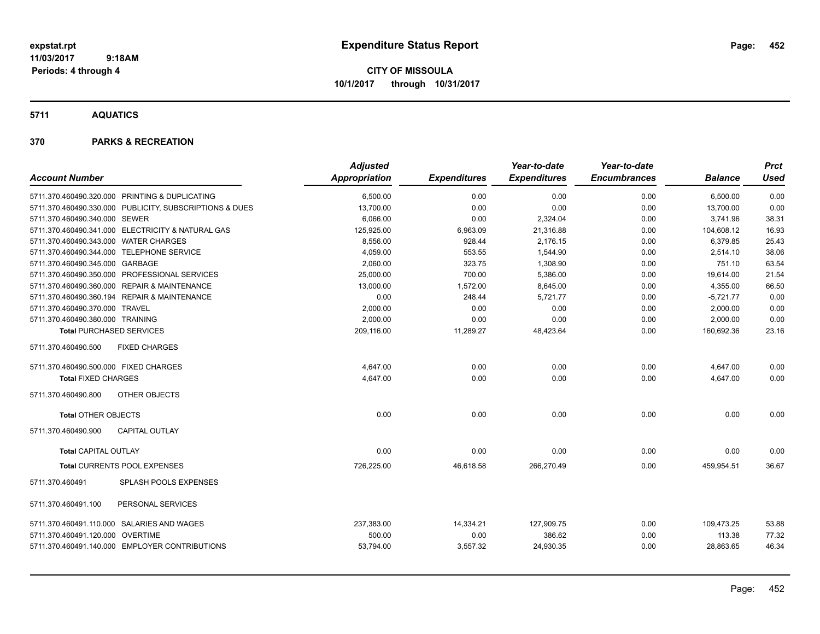**CITY OF MISSOULA 10/1/2017 through 10/31/2017**

**5711 AQUATICS**

| <b>Account Number</b>                                   | <b>Adjusted</b><br>Appropriation | <b>Expenditures</b> | Year-to-date<br><b>Expenditures</b> | Year-to-date<br><b>Encumbrances</b> | <b>Balance</b> | <b>Prct</b><br><b>Used</b> |
|---------------------------------------------------------|----------------------------------|---------------------|-------------------------------------|-------------------------------------|----------------|----------------------------|
|                                                         |                                  |                     |                                     |                                     |                |                            |
| 5711.370.460490.320.000 PRINTING & DUPLICATING          | 6,500.00                         | 0.00                | 0.00                                | 0.00                                | 6,500.00       | 0.00                       |
| 5711.370.460490.330.000 PUBLICITY, SUBSCRIPTIONS & DUES | 13,700.00                        | 0.00                | 0.00                                | 0.00                                | 13,700.00      | 0.00                       |
| 5711.370.460490.340.000 SEWER                           | 6,066.00                         | 0.00                | 2,324.04                            | 0.00                                | 3,741.96       | 38.31                      |
| 5711.370.460490.341.000 ELECTRICITY & NATURAL GAS       | 125,925.00                       | 6,963.09            | 21,316.88                           | 0.00                                | 104,608.12     | 16.93                      |
| 5711.370.460490.343.000 WATER CHARGES                   | 8,556.00                         | 928.44              | 2,176.15                            | 0.00                                | 6,379.85       | 25.43                      |
| 5711.370.460490.344.000 TELEPHONE SERVICE               | 4,059.00                         | 553.55              | 1,544.90                            | 0.00                                | 2,514.10       | 38.06                      |
| 5711.370.460490.345.000 GARBAGE                         | 2,060.00                         | 323.75              | 1,308.90                            | 0.00                                | 751.10         | 63.54                      |
| 5711.370.460490.350.000 PROFESSIONAL SERVICES           | 25,000.00                        | 700.00              | 5,386.00                            | 0.00                                | 19,614.00      | 21.54                      |
| 5711.370.460490.360.000 REPAIR & MAINTENANCE            | 13,000.00                        | 1,572.00            | 8,645.00                            | 0.00                                | 4,355.00       | 66.50                      |
| 5711.370.460490.360.194 REPAIR & MAINTENANCE            | 0.00                             | 248.44              | 5,721.77                            | 0.00                                | $-5,721.77$    | 0.00                       |
| 5711.370.460490.370.000 TRAVEL                          | 2,000.00                         | 0.00                | 0.00                                | 0.00                                | 2,000.00       | 0.00                       |
| 5711.370.460490.380.000 TRAINING                        | 2,000.00                         | 0.00                | 0.00                                | 0.00                                | 2,000.00       | 0.00                       |
| <b>Total PURCHASED SERVICES</b>                         | 209,116.00                       | 11,289.27           | 48,423.64                           | 0.00                                | 160,692.36     | 23.16                      |
| 5711.370.460490.500<br><b>FIXED CHARGES</b>             |                                  |                     |                                     |                                     |                |                            |
| 5711.370.460490.500.000 FIXED CHARGES                   | 4,647.00                         | 0.00                | 0.00                                | 0.00                                | 4,647.00       | 0.00                       |
| <b>Total FIXED CHARGES</b>                              | 4,647.00                         | 0.00                | 0.00                                | 0.00                                | 4,647.00       | 0.00                       |
| 5711.370.460490.800<br>OTHER OBJECTS                    |                                  |                     |                                     |                                     |                |                            |
| <b>Total OTHER OBJECTS</b>                              | 0.00                             | 0.00                | 0.00                                | 0.00                                | 0.00           | 0.00                       |
| 5711.370.460490.900<br><b>CAPITAL OUTLAY</b>            |                                  |                     |                                     |                                     |                |                            |
| <b>Total CAPITAL OUTLAY</b>                             | 0.00                             | 0.00                | 0.00                                | 0.00                                | 0.00           | 0.00                       |
| Total CURRENTS POOL EXPENSES                            | 726,225.00                       | 46,618.58           | 266,270.49                          | 0.00                                | 459,954.51     | 36.67                      |
| SPLASH POOLS EXPENSES<br>5711.370.460491                |                                  |                     |                                     |                                     |                |                            |
| 5711.370.460491.100<br>PERSONAL SERVICES                |                                  |                     |                                     |                                     |                |                            |
| 5711.370.460491.110.000 SALARIES AND WAGES              | 237,383.00                       | 14,334.21           | 127,909.75                          | 0.00                                | 109,473.25     | 53.88                      |
| 5711.370.460491.120.000 OVERTIME                        | 500.00                           | 0.00                | 386.62                              | 0.00                                | 113.38         | 77.32                      |
| 5711.370.460491.140.000 EMPLOYER CONTRIBUTIONS          | 53,794.00                        | 3,557.32            | 24,930.35                           | 0.00                                | 28,863.65      | 46.34                      |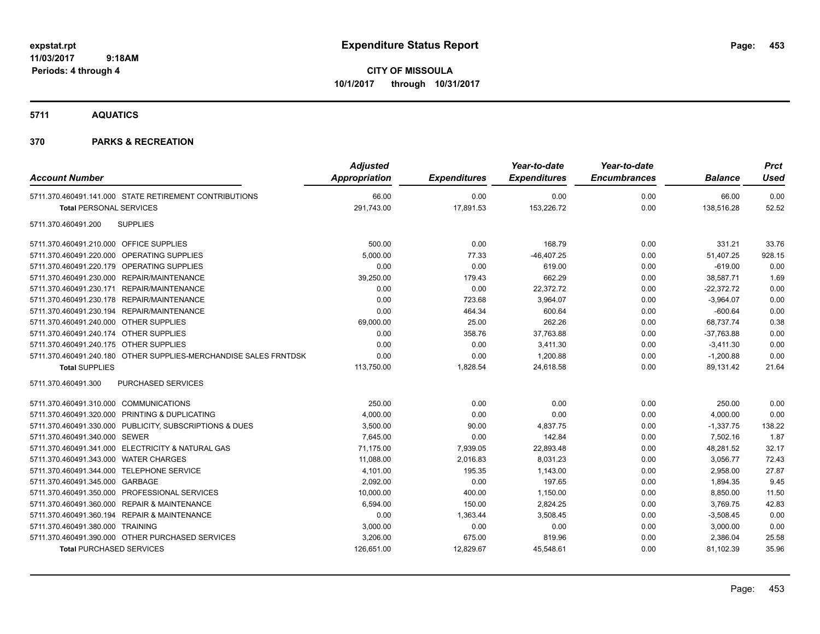**CITY OF MISSOULA 10/1/2017 through 10/31/2017**

**5711 AQUATICS**

| <b>Account Number</b>                                            | <b>Adjusted</b><br>Appropriation | <b>Expenditures</b> | Year-to-date<br><b>Expenditures</b> | Year-to-date<br><b>Encumbrances</b> | <b>Balance</b> | <b>Prct</b><br>Used |
|------------------------------------------------------------------|----------------------------------|---------------------|-------------------------------------|-------------------------------------|----------------|---------------------|
| 5711.370.460491.141.000 STATE RETIREMENT CONTRIBUTIONS           | 66.00                            | 0.00                | 0.00                                | 0.00                                | 66.00          | 0.00                |
| <b>Total PERSONAL SERVICES</b>                                   | 291,743.00                       | 17,891.53           | 153,226.72                          | 0.00                                | 138,516.28     | 52.52               |
| <b>SUPPLIES</b><br>5711.370.460491.200                           |                                  |                     |                                     |                                     |                |                     |
| 5711.370.460491.210.000 OFFICE SUPPLIES                          | 500.00                           | 0.00                | 168.79                              | 0.00                                | 331.21         | 33.76               |
| 5711.370.460491.220.000 OPERATING SUPPLIES                       | 5,000.00                         | 77.33               | $-46,407.25$                        | 0.00                                | 51,407.25      | 928.15              |
| 5711.370.460491.220.179 OPERATING SUPPLIES                       | 0.00                             | 0.00                | 619.00                              | 0.00                                | $-619.00$      | 0.00                |
| 5711.370.460491.230.000 REPAIR/MAINTENANCE                       | 39,250.00                        | 179.43              | 662.29                              | 0.00                                | 38,587.71      | 1.69                |
| 5711.370.460491.230.171 REPAIR/MAINTENANCE                       | 0.00                             | 0.00                | 22,372.72                           | 0.00                                | $-22,372.72$   | 0.00                |
| 5711.370.460491.230.178 REPAIR/MAINTENANCE                       | 0.00                             | 723.68              | 3.964.07                            | 0.00                                | $-3,964.07$    | 0.00                |
| 5711.370.460491.230.194 REPAIR/MAINTENANCE                       | 0.00                             | 464.34              | 600.64                              | 0.00                                | $-600.64$      | 0.00                |
| 5711.370.460491.240.000 OTHER SUPPLIES                           | 69,000.00                        | 25.00               | 262.26                              | 0.00                                | 68,737.74      | 0.38                |
| 5711.370.460491.240.174 OTHER SUPPLIES                           | 0.00                             | 358.76              | 37,763.88                           | 0.00                                | $-37,763.88$   | 0.00                |
| 5711.370.460491.240.175 OTHER SUPPLIES                           | 0.00                             | 0.00                | 3,411.30                            | 0.00                                | $-3,411.30$    | 0.00                |
| 5711.370.460491.240.180 OTHER SUPPLIES-MERCHANDISE SALES FRNTDSK | 0.00                             | 0.00                | 1,200.88                            | 0.00                                | $-1,200.88$    | 0.00                |
| <b>Total SUPPLIES</b>                                            | 113,750.00                       | 1,828.54            | 24,618.58                           | 0.00                                | 89,131.42      | 21.64               |
| 5711.370.460491.300<br><b>PURCHASED SERVICES</b>                 |                                  |                     |                                     |                                     |                |                     |
| 5711.370.460491.310.000 COMMUNICATIONS                           | 250.00                           | 0.00                | 0.00                                | 0.00                                | 250.00         | 0.00                |
| 5711.370.460491.320.000 PRINTING & DUPLICATING                   | 4,000.00                         | 0.00                | 0.00                                | 0.00                                | 4,000.00       | 0.00                |
| 5711.370.460491.330.000 PUBLICITY, SUBSCRIPTIONS & DUES          | 3,500.00                         | 90.00               | 4,837.75                            | 0.00                                | $-1,337.75$    | 138.22              |
| 5711.370.460491.340.000 SEWER                                    | 7,645.00                         | 0.00                | 142.84                              | 0.00                                | 7,502.16       | 1.87                |
| 5711.370.460491.341.000 ELECTRICITY & NATURAL GAS                | 71,175.00                        | 7,939.05            | 22,893.48                           | 0.00                                | 48,281.52      | 32.17               |
| 5711.370.460491.343.000 WATER CHARGES                            | 11,088.00                        | 2,016.83            | 8,031.23                            | 0.00                                | 3,056.77       | 72.43               |
| 5711.370.460491.344.000 TELEPHONE SERVICE                        | 4,101.00                         | 195.35              | 1,143.00                            | 0.00                                | 2,958.00       | 27.87               |
| 5711.370.460491.345.000 GARBAGE                                  | 2,092.00                         | 0.00                | 197.65                              | 0.00                                | 1,894.35       | 9.45                |
| 5711.370.460491.350.000 PROFESSIONAL SERVICES                    | 10,000.00                        | 400.00              | 1,150.00                            | 0.00                                | 8,850.00       | 11.50               |
| 5711.370.460491.360.000 REPAIR & MAINTENANCE                     | 6,594.00                         | 150.00              | 2,824.25                            | 0.00                                | 3,769.75       | 42.83               |
| 5711.370.460491.360.194 REPAIR & MAINTENANCE                     | 0.00                             | 1,363.44            | 3,508.45                            | 0.00                                | $-3,508.45$    | 0.00                |
| 5711.370.460491.380.000 TRAINING                                 | 3,000.00                         | 0.00                | 0.00                                | 0.00                                | 3,000.00       | 0.00                |
| 5711.370.460491.390.000 OTHER PURCHASED SERVICES                 | 3,206.00                         | 675.00              | 819.96                              | 0.00                                | 2,386.04       | 25.58               |
| <b>Total PURCHASED SERVICES</b>                                  | 126,651.00                       | 12,829.67           | 45,548.61                           | 0.00                                | 81,102.39      | 35.96               |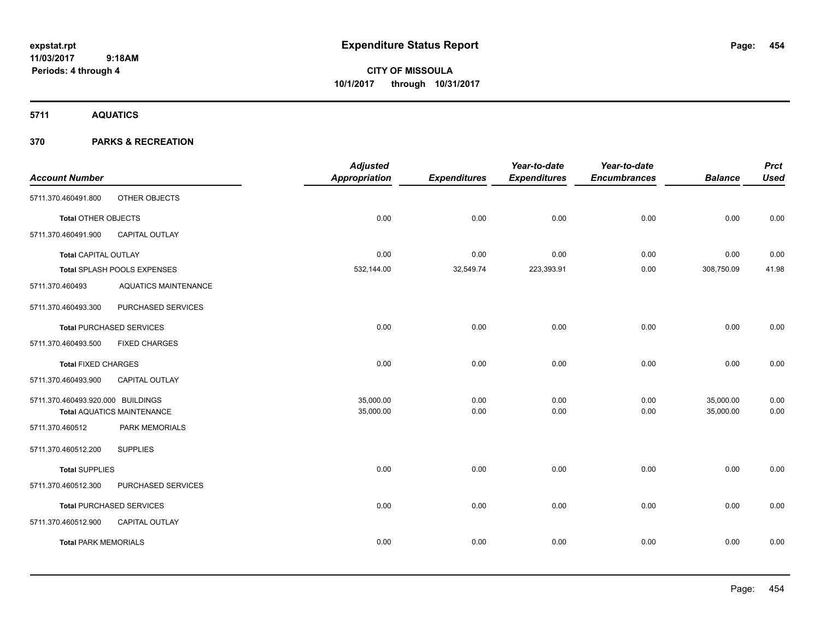**CITY OF MISSOULA 10/1/2017 through 10/31/2017**

**5711 AQUATICS**

|                                   |                                   | <b>Adjusted</b> |                     | Year-to-date        | Year-to-date        |                | <b>Prct</b> |
|-----------------------------------|-----------------------------------|-----------------|---------------------|---------------------|---------------------|----------------|-------------|
| <b>Account Number</b>             |                                   | Appropriation   | <b>Expenditures</b> | <b>Expenditures</b> | <b>Encumbrances</b> | <b>Balance</b> | <b>Used</b> |
| 5711.370.460491.800               | OTHER OBJECTS                     |                 |                     |                     |                     |                |             |
| Total OTHER OBJECTS               |                                   | 0.00            | 0.00                | 0.00                | 0.00                | 0.00           | 0.00        |
| 5711.370.460491.900               | CAPITAL OUTLAY                    |                 |                     |                     |                     |                |             |
| <b>Total CAPITAL OUTLAY</b>       |                                   | 0.00            | 0.00                | 0.00                | 0.00                | 0.00           | 0.00        |
|                                   | Total SPLASH POOLS EXPENSES       | 532,144.00      | 32,549.74           | 223,393.91          | 0.00                | 308,750.09     | 41.98       |
| 5711.370.460493                   | <b>AQUATICS MAINTENANCE</b>       |                 |                     |                     |                     |                |             |
| 5711.370.460493.300               | PURCHASED SERVICES                |                 |                     |                     |                     |                |             |
|                                   | <b>Total PURCHASED SERVICES</b>   | 0.00            | 0.00                | 0.00                | 0.00                | 0.00           | 0.00        |
| 5711.370.460493.500               | <b>FIXED CHARGES</b>              |                 |                     |                     |                     |                |             |
| <b>Total FIXED CHARGES</b>        |                                   | 0.00            | 0.00                | 0.00                | 0.00                | 0.00           | 0.00        |
| 5711.370.460493.900               | CAPITAL OUTLAY                    |                 |                     |                     |                     |                |             |
| 5711.370.460493.920.000 BUILDINGS |                                   | 35,000.00       | 0.00                | 0.00                | 0.00                | 35,000.00      | 0.00        |
|                                   | <b>Total AQUATICS MAINTENANCE</b> | 35,000.00       | 0.00                | 0.00                | 0.00                | 35,000.00      | 0.00        |
| 5711.370.460512                   | PARK MEMORIALS                    |                 |                     |                     |                     |                |             |
| 5711.370.460512.200               | <b>SUPPLIES</b>                   |                 |                     |                     |                     |                |             |
| <b>Total SUPPLIES</b>             |                                   | 0.00            | 0.00                | 0.00                | 0.00                | 0.00           | 0.00        |
| 5711.370.460512.300               | PURCHASED SERVICES                |                 |                     |                     |                     |                |             |
|                                   | Total PURCHASED SERVICES          | 0.00            | 0.00                | 0.00                | 0.00                | 0.00           | 0.00        |
| 5711.370.460512.900               | CAPITAL OUTLAY                    |                 |                     |                     |                     |                |             |
| <b>Total PARK MEMORIALS</b>       |                                   | 0.00            | 0.00                | 0.00                | 0.00                | 0.00           | 0.00        |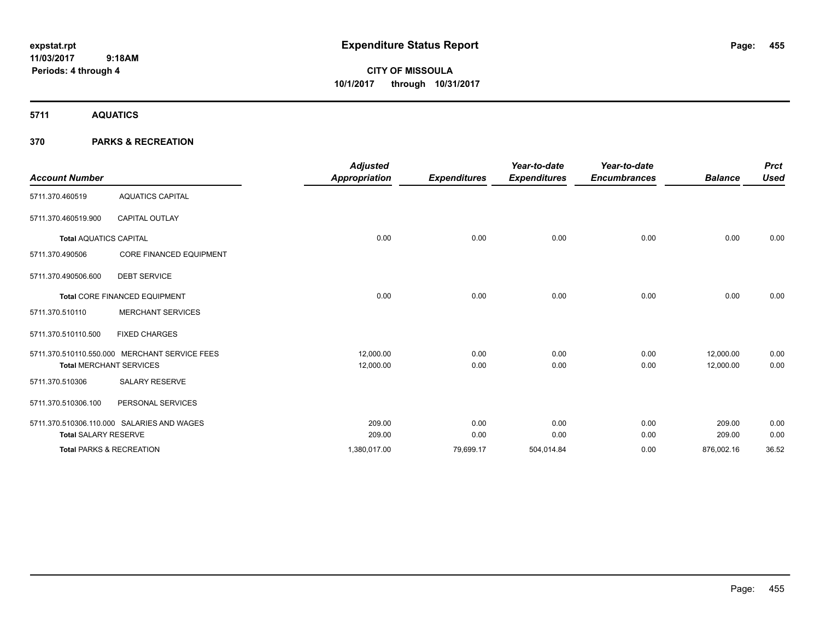**CITY OF MISSOULA 10/1/2017 through 10/31/2017**

**5711 AQUATICS**

|                                     |                                               | <b>Adjusted</b> |                     | Year-to-date        | Year-to-date        |                | <b>Prct</b> |
|-------------------------------------|-----------------------------------------------|-----------------|---------------------|---------------------|---------------------|----------------|-------------|
| <b>Account Number</b>               |                                               | Appropriation   | <b>Expenditures</b> | <b>Expenditures</b> | <b>Encumbrances</b> | <b>Balance</b> | <b>Used</b> |
| 5711.370.460519                     | <b>AQUATICS CAPITAL</b>                       |                 |                     |                     |                     |                |             |
| 5711.370.460519.900                 | <b>CAPITAL OUTLAY</b>                         |                 |                     |                     |                     |                |             |
| <b>Total AQUATICS CAPITAL</b>       |                                               | 0.00            | 0.00                | 0.00                | 0.00                | 0.00           | 0.00        |
| 5711.370.490506                     | <b>CORE FINANCED EQUIPMENT</b>                |                 |                     |                     |                     |                |             |
| 5711.370.490506.600                 | <b>DEBT SERVICE</b>                           |                 |                     |                     |                     |                |             |
|                                     | Total CORE FINANCED EQUIPMENT                 | 0.00            | 0.00                | 0.00                | 0.00                | 0.00           | 0.00        |
| 5711.370.510110                     | <b>MERCHANT SERVICES</b>                      |                 |                     |                     |                     |                |             |
| 5711.370.510110.500                 | <b>FIXED CHARGES</b>                          |                 |                     |                     |                     |                |             |
|                                     | 5711.370.510110.550.000 MERCHANT SERVICE FEES | 12,000.00       | 0.00                | 0.00                | 0.00                | 12,000.00      | 0.00        |
| <b>Total MERCHANT SERVICES</b>      |                                               | 12,000.00       | 0.00                | 0.00                | 0.00                | 12,000.00      | 0.00        |
| 5711.370.510306                     | <b>SALARY RESERVE</b>                         |                 |                     |                     |                     |                |             |
| 5711.370.510306.100                 | PERSONAL SERVICES                             |                 |                     |                     |                     |                |             |
|                                     | 5711.370.510306.110.000 SALARIES AND WAGES    | 209.00          | 0.00                | 0.00                | 0.00                | 209.00         | 0.00        |
| <b>Total SALARY RESERVE</b>         |                                               | 209.00          | 0.00                | 0.00                | 0.00                | 209.00         | 0.00        |
| <b>Total PARKS &amp; RECREATION</b> |                                               | 1,380,017.00    | 79,699.17           | 504,014.84          | 0.00                | 876,002.16     | 36.52       |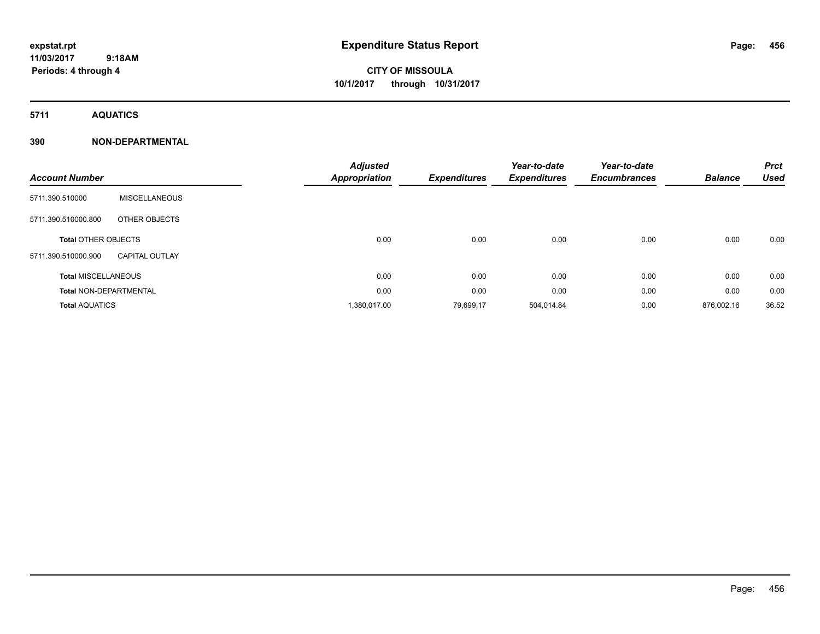# **CITY OF MISSOULA 10/1/2017 through 10/31/2017**

**5711 AQUATICS**

### **390 NON-DEPARTMENTAL**

| <b>Account Number</b>         |                       | <b>Adjusted</b><br>Appropriation | <b>Expenditures</b> | Year-to-date<br><b>Expenditures</b> | Year-to-date<br><b>Encumbrances</b> | <b>Balance</b> | <b>Prct</b><br><b>Used</b> |
|-------------------------------|-----------------------|----------------------------------|---------------------|-------------------------------------|-------------------------------------|----------------|----------------------------|
| 5711.390.510000               | <b>MISCELLANEOUS</b>  |                                  |                     |                                     |                                     |                |                            |
| 5711.390.510000.800           | OTHER OBJECTS         |                                  |                     |                                     |                                     |                |                            |
| <b>Total OTHER OBJECTS</b>    |                       | 0.00                             | 0.00                | 0.00                                | 0.00                                | 0.00           | 0.00                       |
| 5711.390.510000.900           | <b>CAPITAL OUTLAY</b> |                                  |                     |                                     |                                     |                |                            |
| <b>Total MISCELLANEOUS</b>    |                       | 0.00                             | 0.00                | 0.00                                | 0.00                                | 0.00           | 0.00                       |
| <b>Total NON-DEPARTMENTAL</b> |                       | 0.00                             | 0.00                | 0.00                                | 0.00                                | 0.00           | 0.00                       |
| <b>Total AQUATICS</b>         |                       | 1,380,017.00                     | 79,699.17           | 504,014.84                          | 0.00                                | 876,002.16     | 36.52                      |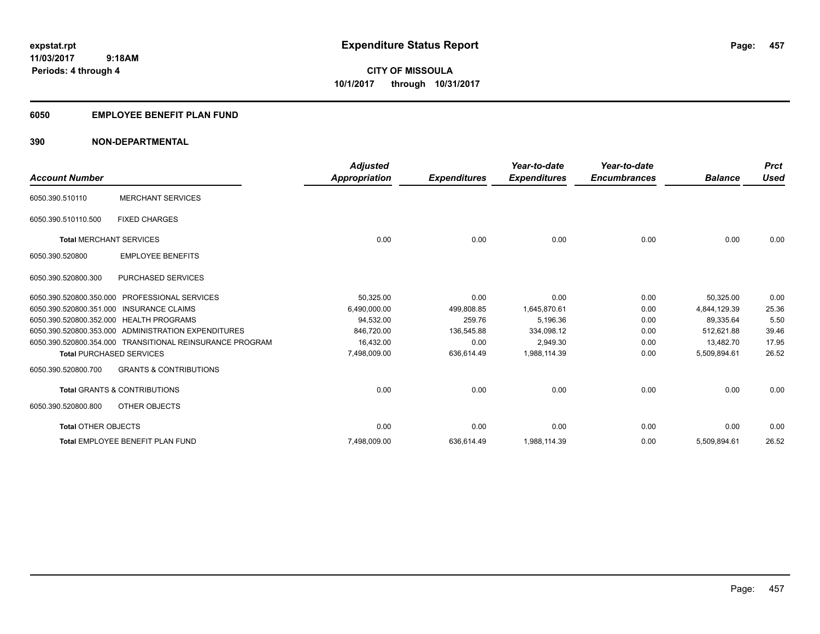**Periods: 4 through 4**

**CITY OF MISSOULA 10/1/2017 through 10/31/2017**

#### **6050 EMPLOYEE BENEFIT PLAN FUND**

 **9:18AM**

### **390 NON-DEPARTMENTAL**

| <b>Account Number</b>          |                                                          | <b>Adjusted</b><br><b>Appropriation</b> | <b>Expenditures</b> | Year-to-date<br><b>Expenditures</b> | Year-to-date<br><b>Encumbrances</b> | <b>Balance</b> | <b>Prct</b><br><b>Used</b> |
|--------------------------------|----------------------------------------------------------|-----------------------------------------|---------------------|-------------------------------------|-------------------------------------|----------------|----------------------------|
| 6050.390.510110                | <b>MERCHANT SERVICES</b>                                 |                                         |                     |                                     |                                     |                |                            |
| 6050.390.510110.500            | <b>FIXED CHARGES</b>                                     |                                         |                     |                                     |                                     |                |                            |
| <b>Total MERCHANT SERVICES</b> |                                                          | 0.00                                    | 0.00                | 0.00                                | 0.00                                | 0.00           | 0.00                       |
| 6050.390.520800                | <b>EMPLOYEE BENEFITS</b>                                 |                                         |                     |                                     |                                     |                |                            |
| 6050.390.520800.300            | <b>PURCHASED SERVICES</b>                                |                                         |                     |                                     |                                     |                |                            |
| 6050.390.520800.350.000        | <b>PROFESSIONAL SERVICES</b>                             | 50,325.00                               | 0.00                | 0.00                                | 0.00                                | 50,325.00      | 0.00                       |
|                                | 6050.390.520800.351.000 INSURANCE CLAIMS                 | 6,490,000.00                            | 499.808.85          | 1,645,870.61                        | 0.00                                | 4.844.129.39   | 25.36                      |
|                                | 6050.390.520800.352.000 HEALTH PROGRAMS                  | 94,532.00                               | 259.76              | 5,196.36                            | 0.00                                | 89,335.64      | 5.50                       |
|                                | 6050.390.520800.353.000 ADMINISTRATION EXPENDITURES      | 846.720.00                              | 136,545.88          | 334,098.12                          | 0.00                                | 512.621.88     | 39.46                      |
|                                | 6050.390.520800.354.000 TRANSITIONAL REINSURANCE PROGRAM | 16.432.00                               | 0.00                | 2.949.30                            | 0.00                                | 13.482.70      | 17.95                      |
|                                | <b>Total PURCHASED SERVICES</b>                          | 7,498,009.00                            | 636,614.49          | 1,988,114.39                        | 0.00                                | 5,509,894.61   | 26.52                      |
| 6050.390.520800.700            | <b>GRANTS &amp; CONTRIBUTIONS</b>                        |                                         |                     |                                     |                                     |                |                            |
|                                | <b>Total GRANTS &amp; CONTRIBUTIONS</b>                  | 0.00                                    | 0.00                | 0.00                                | 0.00                                | 0.00           | 0.00                       |
| 6050.390.520800.800            | OTHER OBJECTS                                            |                                         |                     |                                     |                                     |                |                            |
| <b>Total OTHER OBJECTS</b>     |                                                          | 0.00                                    | 0.00                | 0.00                                | 0.00                                | 0.00           | 0.00                       |
|                                | Total EMPLOYEE BENEFIT PLAN FUND                         | 7,498,009.00                            | 636,614.49          | 1,988,114.39                        | 0.00                                | 5,509,894.61   | 26.52                      |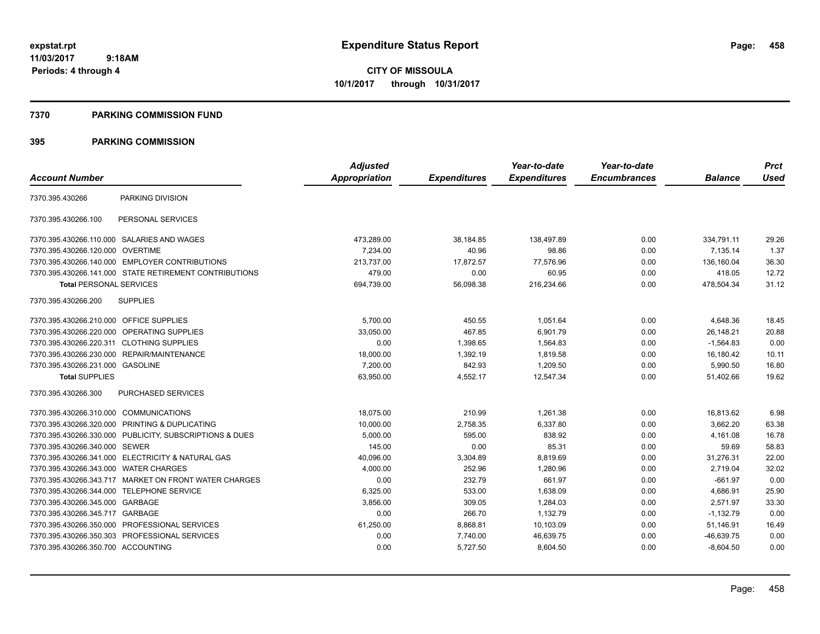#### **7370 PARKING COMMISSION FUND**

|                                           |                                                         | <b>Adjusted</b> |                     | Year-to-date        | Year-to-date        |                | <b>Prct</b> |
|-------------------------------------------|---------------------------------------------------------|-----------------|---------------------|---------------------|---------------------|----------------|-------------|
| <b>Account Number</b>                     |                                                         | Appropriation   | <b>Expenditures</b> | <b>Expenditures</b> | <b>Encumbrances</b> | <b>Balance</b> | <b>Used</b> |
| 7370.395.430266                           | PARKING DIVISION                                        |                 |                     |                     |                     |                |             |
| 7370.395.430266.100                       | PERSONAL SERVICES                                       |                 |                     |                     |                     |                |             |
|                                           | 7370.395.430266.110.000 SALARIES AND WAGES              | 473,289.00      | 38,184.85           | 138,497.89          | 0.00                | 334,791.11     | 29.26       |
| 7370.395.430266.120.000                   | <b>OVERTIME</b>                                         | 7,234.00        | 40.96               | 98.86               | 0.00                | 7,135.14       | 1.37        |
|                                           | 7370.395.430266.140.000 EMPLOYER CONTRIBUTIONS          | 213.737.00      | 17.872.57           | 77.576.96           | 0.00                | 136.160.04     | 36.30       |
|                                           | 7370.395.430266.141.000 STATE RETIREMENT CONTRIBUTIONS  | 479.00          | 0.00                | 60.95               | 0.00                | 418.05         | 12.72       |
| <b>Total PERSONAL SERVICES</b>            |                                                         | 694,739.00      | 56,098.38           | 216,234.66          | 0.00                | 478,504.34     | 31.12       |
| 7370.395.430266.200                       | <b>SUPPLIES</b>                                         |                 |                     |                     |                     |                |             |
| 7370.395.430266.210.000 OFFICE SUPPLIES   |                                                         | 5,700.00        | 450.55              | 1,051.64            | 0.00                | 4,648.36       | 18.45       |
| 7370.395.430266.220.000                   | <b>OPERATING SUPPLIES</b>                               | 33,050.00       | 467.85              | 6,901.79            | 0.00                | 26,148.21      | 20.88       |
| 7370.395.430266.220.311 CLOTHING SUPPLIES |                                                         | 0.00            | 1,398.65            | 1,564.83            | 0.00                | $-1,564.83$    | 0.00        |
| 7370.395.430266.230.000                   | REPAIR/MAINTENANCE                                      | 18,000.00       | 1,392.19            | 1.819.58            | 0.00                | 16,180.42      | 10.11       |
| 7370.395.430266.231.000 GASOLINE          |                                                         | 7,200.00        | 842.93              | 1,209.50            | 0.00                | 5,990.50       | 16.80       |
| <b>Total SUPPLIES</b>                     |                                                         | 63,950.00       | 4,552.17            | 12,547.34           | 0.00                | 51,402.66      | 19.62       |
| 7370.395.430266.300                       | PURCHASED SERVICES                                      |                 |                     |                     |                     |                |             |
| 7370.395.430266.310.000                   | <b>COMMUNICATIONS</b>                                   | 18,075.00       | 210.99              | 1,261.38            | 0.00                | 16,813.62      | 6.98        |
|                                           | 7370.395.430266.320.000 PRINTING & DUPLICATING          | 10,000.00       | 2,758.35            | 6,337.80            | 0.00                | 3,662.20       | 63.38       |
|                                           | 7370.395.430266.330.000 PUBLICITY, SUBSCRIPTIONS & DUES | 5,000.00        | 595.00              | 838.92              | 0.00                | 4.161.08       | 16.78       |
| 7370.395.430266.340.000 SEWER             |                                                         | 145.00          | 0.00                | 85.31               | 0.00                | 59.69          | 58.83       |
|                                           | 7370.395.430266.341.000 ELECTRICITY & NATURAL GAS       | 40,096.00       | 3,304.89            | 8,819.69            | 0.00                | 31,276.31      | 22.00       |
| 7370.395.430266.343.000                   | <b>WATER CHARGES</b>                                    | 4,000.00        | 252.96              | 1,280.96            | 0.00                | 2,719.04       | 32.02       |
|                                           | 7370.395.430266.343.717 MARKET ON FRONT WATER CHARGES   | 0.00            | 232.79              | 661.97              | 0.00                | $-661.97$      | 0.00        |
|                                           | 7370.395.430266.344.000 TELEPHONE SERVICE               | 6,325.00        | 533.00              | 1,638.09            | 0.00                | 4,686.91       | 25.90       |
| 7370.395.430266.345.000 GARBAGE           |                                                         | 3,856.00        | 309.05              | 1,284.03            | 0.00                | 2,571.97       | 33.30       |
| 7370.395.430266.345.717                   | GARBAGE                                                 | 0.00            | 266.70              | 1,132.79            | 0.00                | $-1,132.79$    | 0.00        |
|                                           | 7370.395.430266.350.000 PROFESSIONAL SERVICES           | 61,250.00       | 8,868.81            | 10,103.09           | 0.00                | 51,146.91      | 16.49       |
|                                           | 7370.395.430266.350.303 PROFESSIONAL SERVICES           | 0.00            | 7,740.00            | 46,639.75           | 0.00                | $-46,639.75$   | 0.00        |
| 7370.395.430266.350.700 ACCOUNTING        |                                                         | 0.00            | 5,727.50            | 8,604.50            | 0.00                | $-8,604.50$    | 0.00        |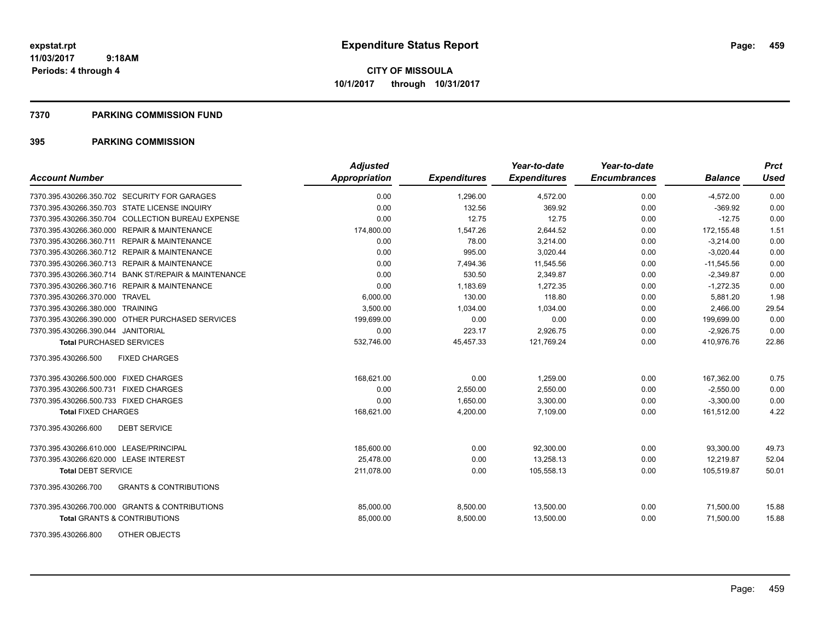#### **7370 PARKING COMMISSION FUND**

| <b>Account Number</b>                                    | <b>Adjusted</b><br>Appropriation | <b>Expenditures</b> | Year-to-date<br><b>Expenditures</b> | Year-to-date<br><b>Encumbrances</b> | <b>Balance</b> | <b>Prct</b><br><b>Used</b> |
|----------------------------------------------------------|----------------------------------|---------------------|-------------------------------------|-------------------------------------|----------------|----------------------------|
| 7370.395.430266.350.702 SECURITY FOR GARAGES             | 0.00                             | 1,296.00            | 4,572.00                            | 0.00                                | $-4,572.00$    | 0.00                       |
| 7370.395.430266.350.703 STATE LICENSE INQUIRY            | 0.00                             | 132.56              | 369.92                              | 0.00                                | $-369.92$      | 0.00                       |
| 7370.395.430266.350.704 COLLECTION BUREAU EXPENSE        | 0.00                             | 12.75               | 12.75                               | 0.00                                | $-12.75$       | 0.00                       |
| 7370.395.430266.360.000 REPAIR & MAINTENANCE             | 174,800.00                       | 1,547.26            | 2,644.52                            | 0.00                                | 172,155.48     | 1.51                       |
| 7370.395.430266.360.711 REPAIR & MAINTENANCE             | 0.00                             | 78.00               | 3,214.00                            | 0.00                                | $-3,214.00$    | 0.00                       |
| 7370.395.430266.360.712 REPAIR & MAINTENANCE             | 0.00                             | 995.00              | 3,020.44                            | 0.00                                | $-3,020.44$    | 0.00                       |
| 7370.395.430266.360.713 REPAIR & MAINTENANCE             | 0.00                             | 7,494.36            | 11,545.56                           | 0.00                                | $-11,545.56$   | 0.00                       |
| 7370.395.430266.360.714 BANK ST/REPAIR & MAINTENANCE     | 0.00                             | 530.50              | 2,349.87                            | 0.00                                | $-2,349.87$    | 0.00                       |
| 7370.395.430266.360.716 REPAIR & MAINTENANCE             | 0.00                             | 1,183.69            | 1,272.35                            | 0.00                                | $-1,272.35$    | 0.00                       |
| 7370.395.430266.370.000 TRAVEL                           | 6,000.00                         | 130.00              | 118.80                              | 0.00                                | 5,881.20       | 1.98                       |
| 7370.395.430266.380.000 TRAINING                         | 3,500.00                         | 1,034.00            | 1,034.00                            | 0.00                                | 2,466.00       | 29.54                      |
| 7370.395.430266.390.000 OTHER PURCHASED SERVICES         | 199,699.00                       | 0.00                | 0.00                                | 0.00                                | 199,699.00     | 0.00                       |
| 7370.395.430266.390.044 JANITORIAL                       | 0.00                             | 223.17              | 2,926.75                            | 0.00                                | $-2,926.75$    | 0.00                       |
| <b>Total PURCHASED SERVICES</b>                          | 532,746.00                       | 45,457.33           | 121,769.24                          | 0.00                                | 410,976.76     | 22.86                      |
| 7370.395.430266.500<br><b>FIXED CHARGES</b>              |                                  |                     |                                     |                                     |                |                            |
| 7370.395.430266.500.000 FIXED CHARGES                    | 168,621.00                       | 0.00                | 1,259.00                            | 0.00                                | 167,362.00     | 0.75                       |
| 7370.395.430266.500.731 FIXED CHARGES                    | 0.00                             | 2,550.00            | 2,550.00                            | 0.00                                | $-2,550.00$    | 0.00                       |
| 7370.395.430266.500.733 FIXED CHARGES                    | 0.00                             | 1,650.00            | 3,300.00                            | 0.00                                | $-3,300.00$    | 0.00                       |
| <b>Total FIXED CHARGES</b>                               | 168,621.00                       | 4,200.00            | 7,109.00                            | 0.00                                | 161,512.00     | 4.22                       |
| <b>DEBT SERVICE</b><br>7370.395.430266.600               |                                  |                     |                                     |                                     |                |                            |
| 7370.395.430266.610.000 LEASE/PRINCIPAL                  | 185,600.00                       | 0.00                | 92,300.00                           | 0.00                                | 93,300.00      | 49.73                      |
| 7370.395.430266.620.000 LEASE INTEREST                   | 25,478.00                        | 0.00                | 13,258.13                           | 0.00                                | 12,219.87      | 52.04                      |
| <b>Total DEBT SERVICE</b>                                | 211,078.00                       | 0.00                | 105,558.13                          | 0.00                                | 105,519.87     | 50.01                      |
| <b>GRANTS &amp; CONTRIBUTIONS</b><br>7370.395.430266.700 |                                  |                     |                                     |                                     |                |                            |
| 7370.395.430266.700.000 GRANTS & CONTRIBUTIONS           | 85,000.00                        | 8,500.00            | 13,500.00                           | 0.00                                | 71,500.00      | 15.88                      |
| <b>Total GRANTS &amp; CONTRIBUTIONS</b>                  | 85,000.00                        | 8,500.00            | 13,500.00                           | 0.00                                | 71,500.00      | 15.88                      |
| OTHER OBJECTS<br>7370.395.430266.800                     |                                  |                     |                                     |                                     |                |                            |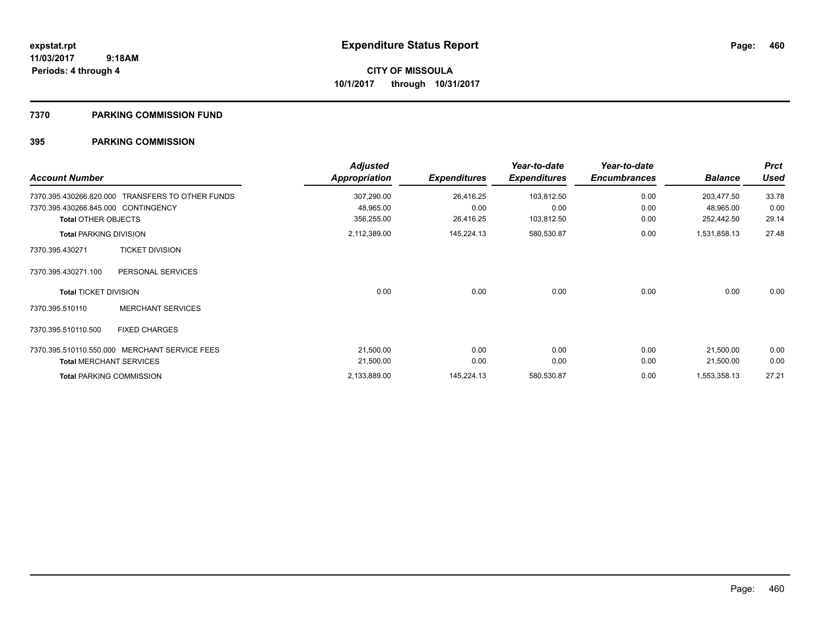#### **7370 PARKING COMMISSION FUND**

| <b>Account Number</b>                                          |                                 | <b>Adjusted</b><br><b>Appropriation</b> | <b>Expenditures</b> | Year-to-date<br><b>Expenditures</b> | Year-to-date<br><b>Encumbrances</b> | <b>Balance</b>          | <b>Prct</b><br><b>Used</b> |
|----------------------------------------------------------------|---------------------------------|-----------------------------------------|---------------------|-------------------------------------|-------------------------------------|-------------------------|----------------------------|
| 7370.395.430266.820.000<br>7370.395.430266.845.000 CONTINGENCY | TRANSFERS TO OTHER FUNDS        | 307,290.00<br>48,965.00                 | 26,416.25<br>0.00   | 103,812.50<br>0.00                  | 0.00<br>0.00                        | 203,477.50<br>48,965.00 | 33.78<br>0.00              |
| <b>Total OTHER OBJECTS</b>                                     |                                 | 356,255.00                              | 26,416.25           | 103,812.50                          | 0.00                                | 252,442.50              | 29.14                      |
| <b>Total PARKING DIVISION</b>                                  |                                 | 2,112,389.00                            | 145,224.13          | 580,530.87                          | 0.00                                | 1,531,858.13            | 27.48                      |
| 7370.395.430271                                                | <b>TICKET DIVISION</b>          |                                         |                     |                                     |                                     |                         |                            |
| 7370.395.430271.100                                            | PERSONAL SERVICES               |                                         |                     |                                     |                                     |                         |                            |
| <b>Total TICKET DIVISION</b>                                   |                                 | 0.00                                    | 0.00                | 0.00                                | 0.00                                | 0.00                    | 0.00                       |
| 7370.395.510110                                                | <b>MERCHANT SERVICES</b>        |                                         |                     |                                     |                                     |                         |                            |
| 7370.395.510110.500                                            | <b>FIXED CHARGES</b>            |                                         |                     |                                     |                                     |                         |                            |
| 7370.395.510110.550.000                                        | <b>MERCHANT SERVICE FEES</b>    | 21,500.00                               | 0.00                | 0.00                                | 0.00                                | 21,500.00               | 0.00                       |
|                                                                | <b>Total MERCHANT SERVICES</b>  | 21,500.00                               | 0.00                | 0.00                                | 0.00                                | 21,500.00               | 0.00                       |
|                                                                | <b>Total PARKING COMMISSION</b> | 2,133,889.00                            | 145,224.13          | 580,530.87                          | 0.00                                | 1,553,358.13            | 27.21                      |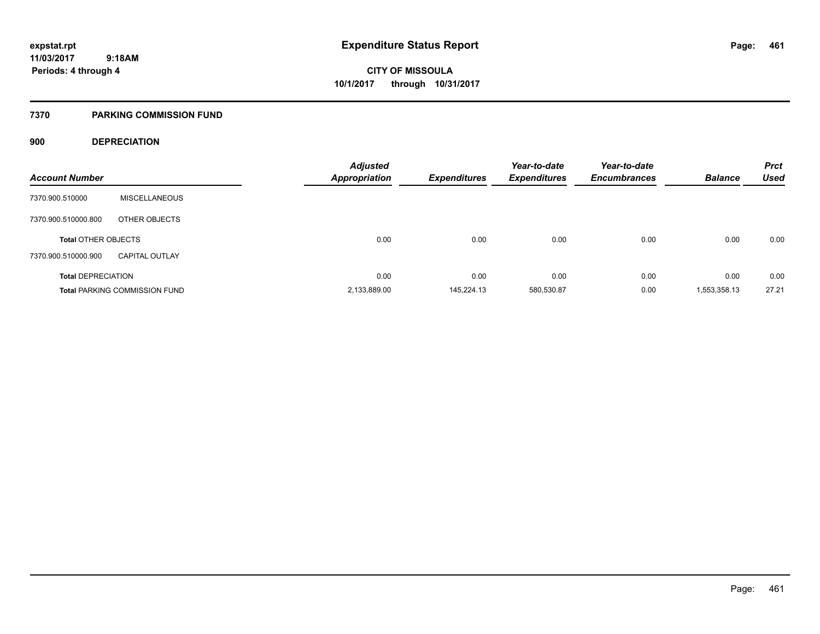### **7370 PARKING COMMISSION FUND**

### **900 DEPRECIATION**

| <b>Account Number</b>      |                                      | <b>Adjusted</b><br>Appropriation | <b>Expenditures</b> | Year-to-date<br><b>Expenditures</b> | Year-to-date<br><b>Encumbrances</b> | <b>Balance</b> | <b>Prct</b><br><b>Used</b> |
|----------------------------|--------------------------------------|----------------------------------|---------------------|-------------------------------------|-------------------------------------|----------------|----------------------------|
| 7370.900.510000            | <b>MISCELLANEOUS</b>                 |                                  |                     |                                     |                                     |                |                            |
| 7370.900.510000.800        | OTHER OBJECTS                        |                                  |                     |                                     |                                     |                |                            |
| <b>Total OTHER OBJECTS</b> |                                      | 0.00                             | 0.00                | 0.00                                | 0.00                                | 0.00           | 0.00                       |
| 7370.900.510000.900        | <b>CAPITAL OUTLAY</b>                |                                  |                     |                                     |                                     |                |                            |
| <b>Total DEPRECIATION</b>  |                                      | 0.00                             | 0.00                | 0.00                                | 0.00                                | 0.00           | 0.00                       |
|                            | <b>Total PARKING COMMISSION FUND</b> | 2,133,889.00                     | 145.224.13          | 580,530.87                          | 0.00                                | 1,553,358.13   | 27.21                      |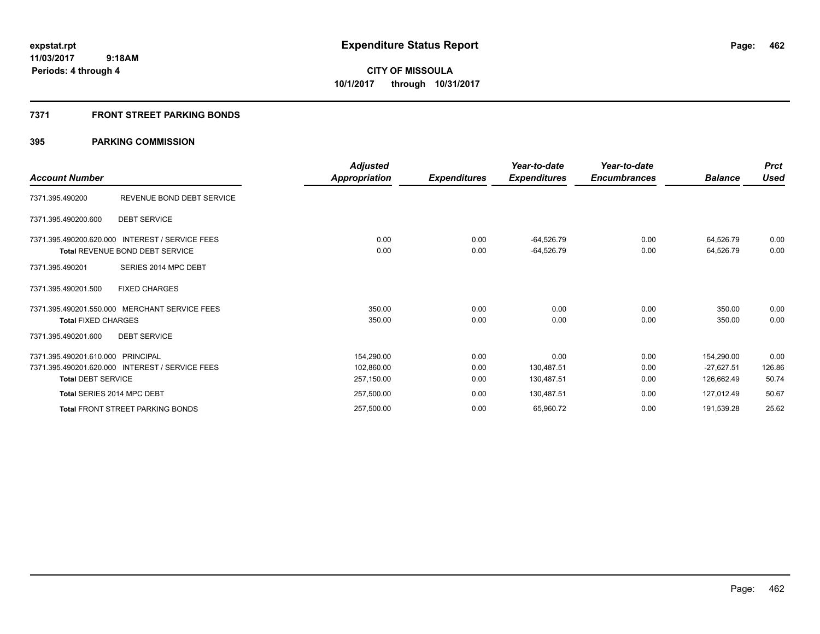### **7371 FRONT STREET PARKING BONDS**

| <b>Account Number</b>                                          |                                                                                                            | <b>Adjusted</b><br>Appropriation       | <b>Expenditures</b>  | Year-to-date<br><b>Expenditures</b> | Year-to-date<br><b>Encumbrances</b> | <b>Balance</b>                           | <b>Prct</b><br><b>Used</b> |
|----------------------------------------------------------------|------------------------------------------------------------------------------------------------------------|----------------------------------------|----------------------|-------------------------------------|-------------------------------------|------------------------------------------|----------------------------|
| 7371.395.490200                                                | REVENUE BOND DEBT SERVICE                                                                                  |                                        |                      |                                     |                                     |                                          |                            |
| 7371.395.490200.600                                            | <b>DEBT SERVICE</b>                                                                                        |                                        |                      |                                     |                                     |                                          |                            |
| 7371.395.490201                                                | 7371.395.490200.620.000 INTEREST / SERVICE FEES<br>Total REVENUE BOND DEBT SERVICE<br>SERIES 2014 MPC DEBT | 0.00<br>0.00                           | 0.00<br>0.00         | $-64,526.79$<br>$-64,526.79$        | 0.00<br>0.00                        | 64,526.79<br>64,526.79                   | 0.00<br>0.00               |
| 7371.395.490201.500                                            | <b>FIXED CHARGES</b>                                                                                       |                                        |                      |                                     |                                     |                                          |                            |
| <b>Total FIXED CHARGES</b>                                     | 7371.395.490201.550.000 MERCHANT SERVICE FEES                                                              | 350.00<br>350.00                       | 0.00<br>0.00         | 0.00<br>0.00                        | 0.00<br>0.00                        | 350.00<br>350.00                         | 0.00<br>0.00               |
| 7371.395.490201.600                                            | <b>DEBT SERVICE</b>                                                                                        |                                        |                      |                                     |                                     |                                          |                            |
| 7371.395.490201.610.000 PRINCIPAL<br><b>Total DEBT SERVICE</b> | 7371.395.490201.620.000 INTEREST / SERVICE FEES                                                            | 154,290.00<br>102,860.00<br>257,150.00 | 0.00<br>0.00<br>0.00 | 0.00<br>130,487.51<br>130,487.51    | 0.00<br>0.00<br>0.00                | 154,290.00<br>$-27,627.51$<br>126,662.49 | 0.00<br>126.86<br>50.74    |
| Total SERIES 2014 MPC DEBT                                     |                                                                                                            | 257,500.00                             | 0.00                 | 130,487.51                          | 0.00                                | 127,012.49                               | 50.67                      |
|                                                                | <b>Total FRONT STREET PARKING BONDS</b>                                                                    | 257,500.00                             | 0.00                 | 65,960.72                           | 0.00                                | 191,539.28                               | 25.62                      |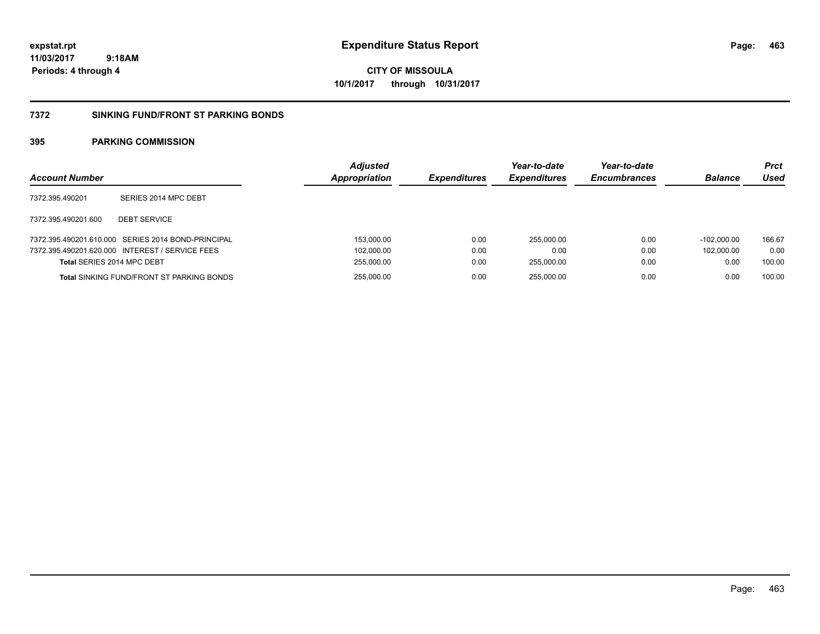**463**

**11/03/2017 9:18AM Periods: 4 through 4**

**CITY OF MISSOULA 10/1/2017 through 10/31/2017**

#### **7372 SINKING FUND/FRONT ST PARKING BONDS**

| <b>Account Number</b>      |                                                    | <b>Adjusted</b><br>Appropriation | <b>Expenditures</b> | Year-to-date<br><b>Expenditures</b> | Year-to-date<br><b>Encumbrances</b> | <b>Balance</b> | <b>Prct</b><br>Used |
|----------------------------|----------------------------------------------------|----------------------------------|---------------------|-------------------------------------|-------------------------------------|----------------|---------------------|
| 7372.395.490201            | SERIES 2014 MPC DEBT                               |                                  |                     |                                     |                                     |                |                     |
| 7372.395.490201.600        | <b>DEBT SERVICE</b>                                |                                  |                     |                                     |                                     |                |                     |
|                            | 7372.395.490201.610.000 SERIES 2014 BOND-PRINCIPAL | 153,000.00                       | 0.00                | 255.000.00                          | 0.00                                | $-102.000.00$  | 166.67              |
|                            | 7372.395.490201.620.000 INTEREST / SERVICE FEES    | 102,000.00                       | 0.00                | 0.00                                | 0.00                                | 102.000.00     | 0.00                |
| Total SERIES 2014 MPC DEBT |                                                    | 255,000.00                       | 0.00                | 255.000.00                          | 0.00                                | 0.00           | 100.00              |
|                            | <b>Total SINKING FUND/FRONT ST PARKING BONDS</b>   | 255,000.00                       | 0.00                | 255.000.00                          | 0.00                                | 0.00           | 100.00              |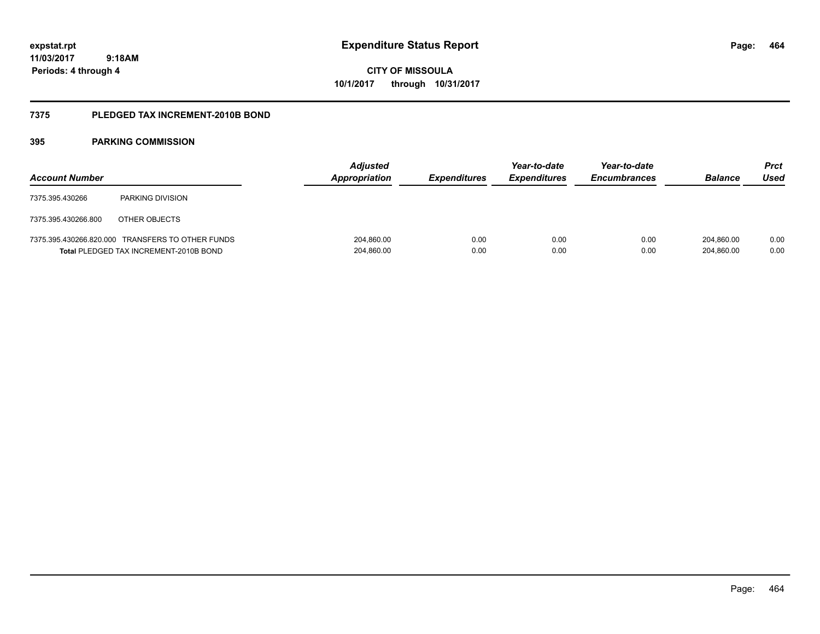**464**

**11/03/2017 9:18AM Periods: 4 through 4**

**CITY OF MISSOULA 10/1/2017 through 10/31/2017**

#### **7375 PLEDGED TAX INCREMENT-2010B BOND**

| <b>Account Number</b> |                                                                                            | <b>Adjusted</b><br>Appropriation | <b>Expenditures</b> | Year-to-date<br><b>Expenditures</b> | Year-to-date<br><b>Encumbrances</b> | <b>Balance</b>           | <b>Prct</b><br>Used |
|-----------------------|--------------------------------------------------------------------------------------------|----------------------------------|---------------------|-------------------------------------|-------------------------------------|--------------------------|---------------------|
| 7375.395.430266       | <b>PARKING DIVISION</b>                                                                    |                                  |                     |                                     |                                     |                          |                     |
| 7375.395.430266.800   | OTHER OBJECTS                                                                              |                                  |                     |                                     |                                     |                          |                     |
|                       | 7375.395.430266.820.000 TRANSFERS TO OTHER FUNDS<br>Total PLEDGED TAX INCREMENT-2010B BOND | 204,860.00<br>204,860.00         | 0.00<br>0.00        | 0.00<br>0.00                        | 0.00<br>0.00                        | 204.860.00<br>204,860.00 | 0.00<br>0.00        |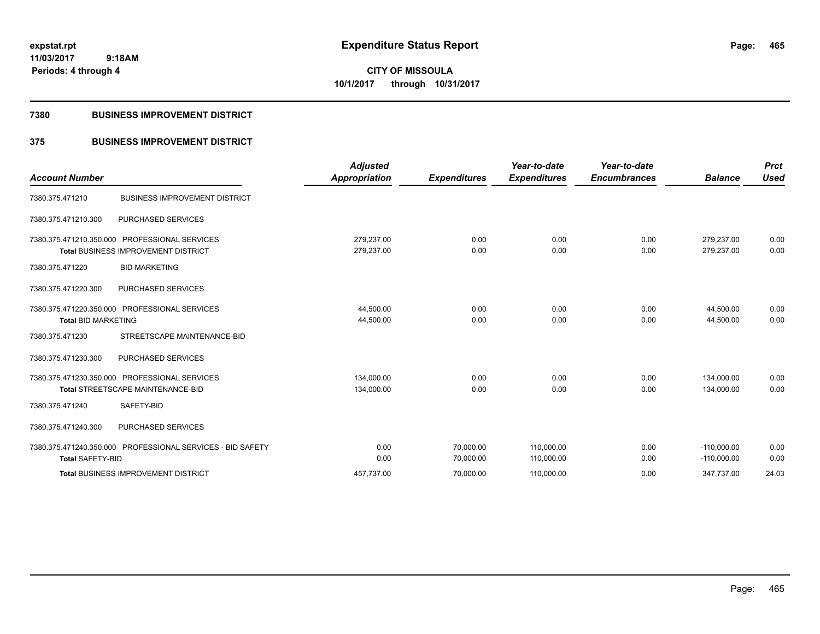**CITY OF MISSOULA 10/1/2017 through 10/31/2017**

#### **7380 BUSINESS IMPROVEMENT DISTRICT**

### **375 BUSINESS IMPROVEMENT DISTRICT**

| <b>Account Number</b>      |                                                                                             | <b>Adjusted</b><br><b>Appropriation</b> | <b>Expenditures</b> | Year-to-date<br><b>Expenditures</b> | Year-to-date<br><b>Encumbrances</b> | <b>Balance</b>           | <b>Prct</b><br><b>Used</b> |
|----------------------------|---------------------------------------------------------------------------------------------|-----------------------------------------|---------------------|-------------------------------------|-------------------------------------|--------------------------|----------------------------|
| 7380.375.471210            | <b>BUSINESS IMPROVEMENT DISTRICT</b>                                                        |                                         |                     |                                     |                                     |                          |                            |
| 7380.375.471210.300        | <b>PURCHASED SERVICES</b>                                                                   |                                         |                     |                                     |                                     |                          |                            |
|                            | 7380.375.471210.350.000 PROFESSIONAL SERVICES<br><b>Total BUSINESS IMPROVEMENT DISTRICT</b> | 279,237.00<br>279,237.00                | 0.00<br>0.00        | 0.00<br>0.00                        | 0.00<br>0.00                        | 279,237.00<br>279,237.00 | 0.00<br>0.00               |
| 7380.375.471220            | <b>BID MARKETING</b>                                                                        |                                         |                     |                                     |                                     |                          |                            |
| 7380.375.471220.300        | PURCHASED SERVICES                                                                          |                                         |                     |                                     |                                     |                          |                            |
|                            | 7380.375.471220.350.000 PROFESSIONAL SERVICES                                               | 44,500.00                               | 0.00                | 0.00                                | 0.00                                | 44,500.00                | 0.00                       |
| <b>Total BID MARKETING</b> |                                                                                             | 44,500.00                               | 0.00                | 0.00                                | 0.00                                | 44,500.00                | 0.00                       |
| 7380.375.471230            | STREETSCAPE MAINTENANCE-BID                                                                 |                                         |                     |                                     |                                     |                          |                            |
| 7380.375.471230.300        | PURCHASED SERVICES                                                                          |                                         |                     |                                     |                                     |                          |                            |
|                            | 7380.375.471230.350.000 PROFESSIONAL SERVICES                                               | 134,000.00                              | 0.00                | 0.00                                | 0.00                                | 134,000.00               | 0.00                       |
|                            | Total STREETSCAPE MAINTENANCE-BID                                                           | 134,000.00                              | 0.00                | 0.00                                | 0.00                                | 134,000.00               | 0.00                       |
| 7380.375.471240            | SAFETY-BID                                                                                  |                                         |                     |                                     |                                     |                          |                            |
| 7380.375.471240.300        | PURCHASED SERVICES                                                                          |                                         |                     |                                     |                                     |                          |                            |
|                            | 7380.375.471240.350.000 PROFESSIONAL SERVICES - BID SAFETY                                  | 0.00                                    | 70,000.00           | 110,000.00                          | 0.00                                | $-110,000.00$            | 0.00                       |
| <b>Total SAFETY-BID</b>    |                                                                                             | 0.00                                    | 70,000.00           | 110,000.00                          | 0.00                                | $-110,000.00$            | 0.00                       |
|                            | <b>Total BUSINESS IMPROVEMENT DISTRICT</b>                                                  | 457,737.00                              | 70,000.00           | 110,000.00                          | 0.00                                | 347,737.00               | 24.03                      |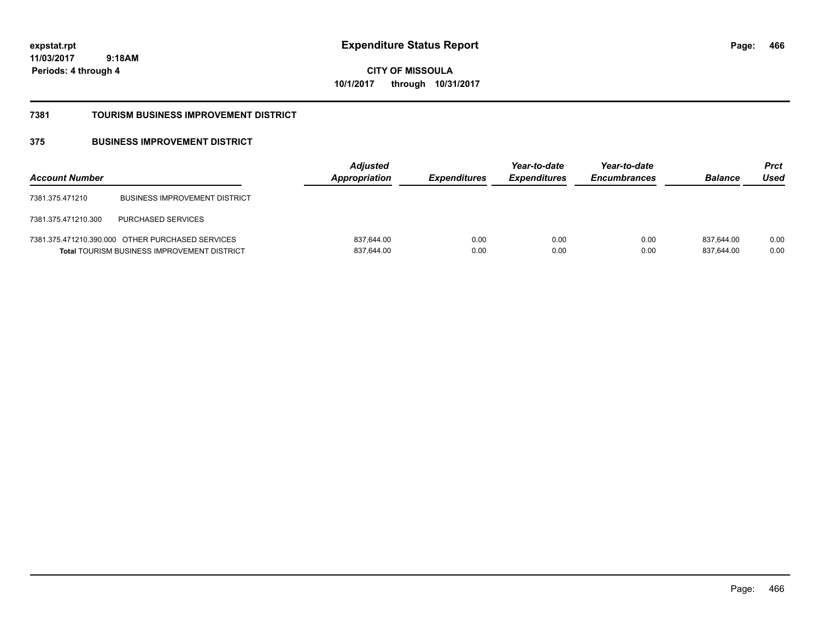**466**

**11/03/2017 9:18AM Periods: 4 through 4**

**CITY OF MISSOULA 10/1/2017 through 10/31/2017**

#### **7381 TOURISM BUSINESS IMPROVEMENT DISTRICT**

### **375 BUSINESS IMPROVEMENT DISTRICT**

| <b>Account Number</b> |                                                                                                        | <b>Adjusted</b><br>Appropriation | <b>Expenditures</b> | Year-to-date<br><b>Expenditures</b> | Year-to-date<br><b>Encumbrances</b> | <b>Balance</b>           | <b>Prct</b><br>Used |
|-----------------------|--------------------------------------------------------------------------------------------------------|----------------------------------|---------------------|-------------------------------------|-------------------------------------|--------------------------|---------------------|
| 7381.375.471210       | <b>BUSINESS IMPROVEMENT DISTRICT</b>                                                                   |                                  |                     |                                     |                                     |                          |                     |
| 7381.375.471210.300   | <b>PURCHASED SERVICES</b>                                                                              |                                  |                     |                                     |                                     |                          |                     |
|                       | 7381.375.471210.390.000 OTHER PURCHASED SERVICES<br><b>Total TOURISM BUSINESS IMPROVEMENT DISTRICT</b> | 837,644.00<br>837,644.00         | 0.00<br>0.00        | 0.00<br>0.00                        | 0.00<br>0.00                        | 837.644.00<br>837,644.00 | 0.00<br>0.00        |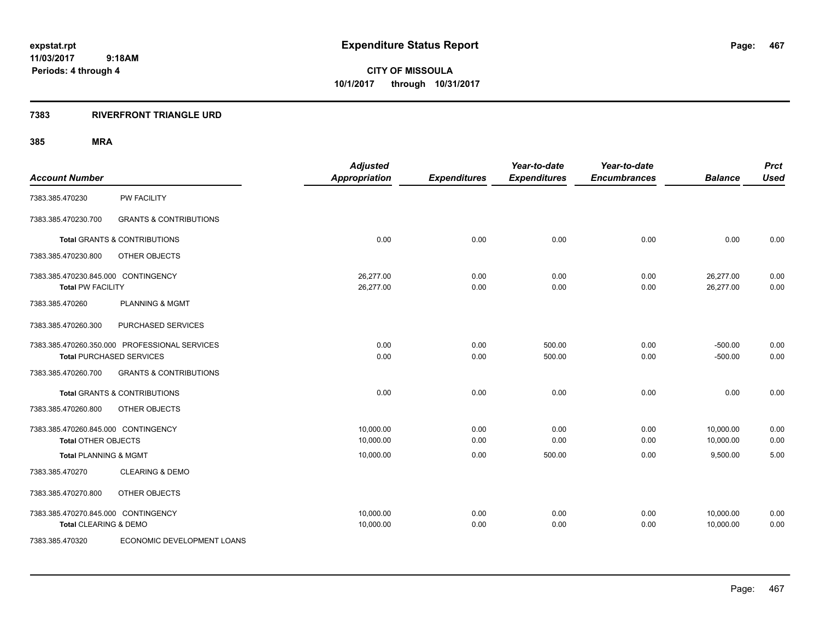**CITY OF MISSOULA 10/1/2017 through 10/31/2017**

#### **7383 RIVERFRONT TRIANGLE URD**

## **385 MRA**

| <b>Account Number</b>                                             |                                                                                  | <b>Adjusted</b><br><b>Appropriation</b> | <b>Expenditures</b> | Year-to-date<br><b>Expenditures</b> | Year-to-date<br><b>Encumbrances</b> | <b>Balance</b>         | <b>Prct</b><br><b>Used</b> |
|-------------------------------------------------------------------|----------------------------------------------------------------------------------|-----------------------------------------|---------------------|-------------------------------------|-------------------------------------|------------------------|----------------------------|
| 7383.385.470230                                                   | <b>PW FACILITY</b>                                                               |                                         |                     |                                     |                                     |                        |                            |
| 7383.385.470230.700                                               | <b>GRANTS &amp; CONTRIBUTIONS</b>                                                |                                         |                     |                                     |                                     |                        |                            |
|                                                                   | <b>Total GRANTS &amp; CONTRIBUTIONS</b>                                          | 0.00                                    | 0.00                | 0.00                                | 0.00                                | 0.00                   | 0.00                       |
| 7383.385.470230.800                                               | OTHER OBJECTS                                                                    |                                         |                     |                                     |                                     |                        |                            |
| 7383.385.470230.845.000 CONTINGENCY<br><b>Total PW FACILITY</b>   |                                                                                  | 26,277.00<br>26,277.00                  | 0.00<br>0.00        | 0.00<br>0.00                        | 0.00<br>0.00                        | 26,277.00<br>26,277.00 | 0.00<br>0.00               |
| 7383.385.470260                                                   | <b>PLANNING &amp; MGMT</b>                                                       |                                         |                     |                                     |                                     |                        |                            |
| 7383.385.470260.300                                               | PURCHASED SERVICES                                                               |                                         |                     |                                     |                                     |                        |                            |
|                                                                   | 7383.385.470260.350.000 PROFESSIONAL SERVICES<br><b>Total PURCHASED SERVICES</b> | 0.00<br>0.00                            | 0.00<br>0.00        | 500.00<br>500.00                    | 0.00<br>0.00                        | $-500.00$<br>$-500.00$ | 0.00<br>0.00               |
| 7383.385.470260.700                                               | <b>GRANTS &amp; CONTRIBUTIONS</b>                                                |                                         |                     |                                     |                                     |                        |                            |
|                                                                   | <b>Total GRANTS &amp; CONTRIBUTIONS</b>                                          | 0.00                                    | 0.00                | 0.00                                | 0.00                                | 0.00                   | 0.00                       |
| 7383.385.470260.800                                               | OTHER OBJECTS                                                                    |                                         |                     |                                     |                                     |                        |                            |
| 7383.385.470260.845.000 CONTINGENCY<br><b>Total OTHER OBJECTS</b> |                                                                                  | 10,000.00<br>10,000.00                  | 0.00<br>0.00        | 0.00<br>0.00                        | 0.00<br>0.00                        | 10,000.00<br>10,000.00 | 0.00<br>0.00               |
| <b>Total PLANNING &amp; MGMT</b>                                  |                                                                                  | 10,000.00                               | 0.00                | 500.00                              | 0.00                                | 9,500.00               | 5.00                       |
| 7383.385.470270                                                   | <b>CLEARING &amp; DEMO</b>                                                       |                                         |                     |                                     |                                     |                        |                            |
| 7383.385.470270.800                                               | OTHER OBJECTS                                                                    |                                         |                     |                                     |                                     |                        |                            |
| 7383.385.470270.845.000 CONTINGENCY<br>Total CLEARING & DEMO      |                                                                                  | 10,000.00<br>10,000.00                  | 0.00<br>0.00        | 0.00<br>0.00                        | 0.00<br>0.00                        | 10,000.00<br>10,000.00 | 0.00<br>0.00               |
| 7383.385.470320                                                   | ECONOMIC DEVELOPMENT LOANS                                                       |                                         |                     |                                     |                                     |                        |                            |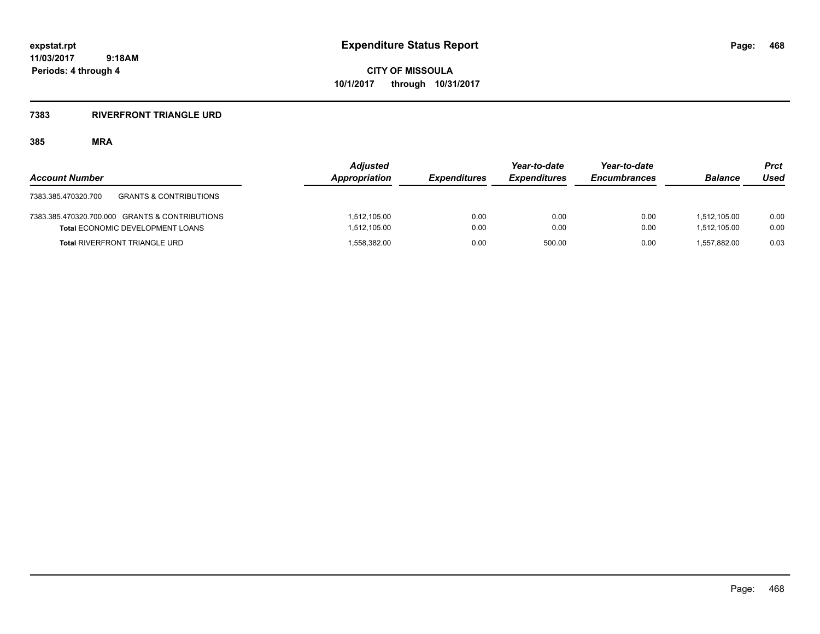**CITY OF MISSOULA 10/1/2017 through 10/31/2017**

#### **7383 RIVERFRONT TRIANGLE URD**

## **385 MRA**

| <b>Account Number</b>                                    | <b>Adjusted</b><br><b>Appropriation</b> | <b>Expenditures</b> | Year-to-date<br><b>Expenditures</b> | Year-to-date<br><b>Encumbrances</b> | <b>Balance</b> | Prct<br>Used |
|----------------------------------------------------------|-----------------------------------------|---------------------|-------------------------------------|-------------------------------------|----------------|--------------|
| <b>GRANTS &amp; CONTRIBUTIONS</b><br>7383.385.470320.700 |                                         |                     |                                     |                                     |                |              |
| 7383.385.470320.700.000 GRANTS & CONTRIBUTIONS           | 1,512,105.00                            | 0.00                | 0.00                                | 0.00                                | 1.512.105.00   | 0.00         |
| <b>Total ECONOMIC DEVELOPMENT LOANS</b>                  | 1,512,105.00                            | 0.00                | 0.00                                | 0.00                                | 1.512.105.00   | 0.00         |
| <b>Total RIVERFRONT TRIANGLE URD</b>                     | 1,558,382.00                            | 0.00                | 500.00                              | 0.00                                | 1.557.882.00   | 0.03         |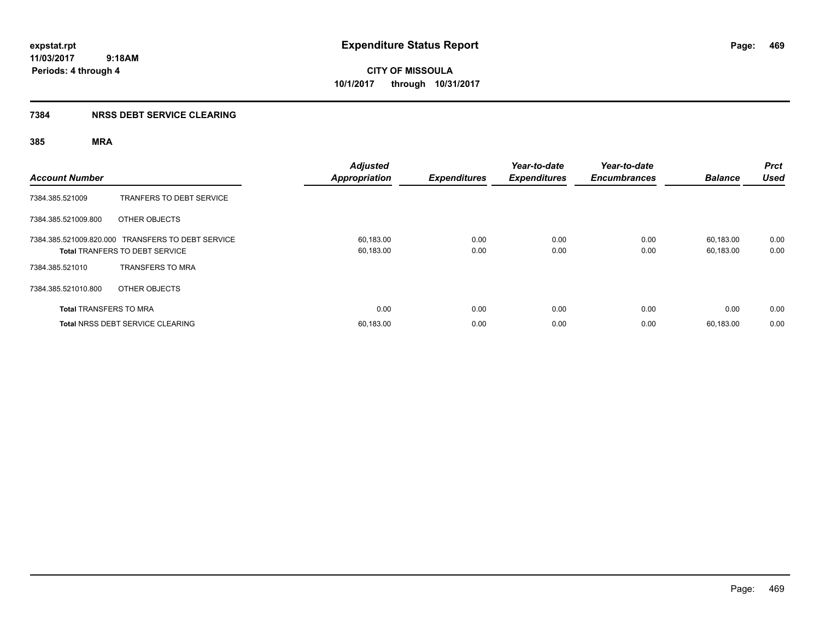**CITY OF MISSOULA 10/1/2017 through 10/31/2017**

## **7384 NRSS DEBT SERVICE CLEARING**

| <b>Account Number</b>         |                                                                                            | <b>Adjusted</b><br><b>Appropriation</b> | <b>Expenditures</b> | Year-to-date<br><b>Expenditures</b> | Year-to-date<br><b>Encumbrances</b> | <b>Balance</b>         | <b>Prct</b><br><b>Used</b> |
|-------------------------------|--------------------------------------------------------------------------------------------|-----------------------------------------|---------------------|-------------------------------------|-------------------------------------|------------------------|----------------------------|
| 7384.385.521009               | TRANFERS TO DEBT SERVICE                                                                   |                                         |                     |                                     |                                     |                        |                            |
| 7384.385.521009.800           | OTHER OBJECTS                                                                              |                                         |                     |                                     |                                     |                        |                            |
|                               | 7384.385.521009.820.000 TRANSFERS TO DEBT SERVICE<br><b>Total TRANFERS TO DEBT SERVICE</b> | 60,183.00<br>60,183.00                  | 0.00<br>0.00        | 0.00<br>0.00                        | 0.00<br>0.00                        | 60.183.00<br>60,183.00 | 0.00<br>0.00               |
| 7384.385.521010               | <b>TRANSFERS TO MRA</b>                                                                    |                                         |                     |                                     |                                     |                        |                            |
| 7384.385.521010.800           | OTHER OBJECTS                                                                              |                                         |                     |                                     |                                     |                        |                            |
| <b>Total TRANSFERS TO MRA</b> |                                                                                            | 0.00                                    | 0.00                | 0.00                                | 0.00                                | 0.00                   | 0.00                       |
|                               | <b>Total NRSS DEBT SERVICE CLEARING</b>                                                    | 60,183.00                               | 0.00                | 0.00                                | 0.00                                | 60.183.00              | 0.00                       |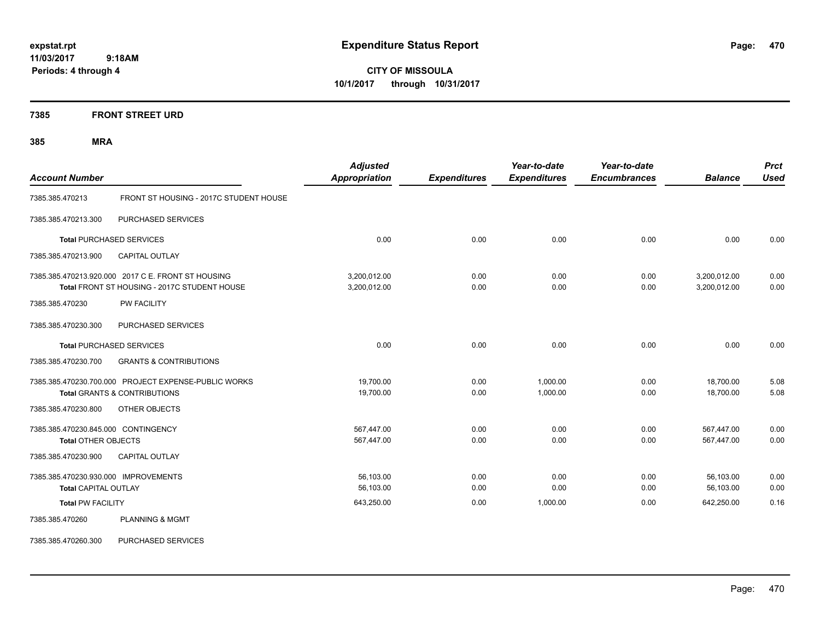**CITY OF MISSOULA 10/1/2017 through 10/31/2017**

**7385 FRONT STREET URD**

| <b>Account Number</b>                                               |                                                                                                    | <b>Adjusted</b><br><b>Appropriation</b> | <b>Expenditures</b> | Year-to-date<br><b>Expenditures</b> | Year-to-date<br><b>Encumbrances</b> | <b>Balance</b>               | <b>Prct</b><br><b>Used</b> |
|---------------------------------------------------------------------|----------------------------------------------------------------------------------------------------|-----------------------------------------|---------------------|-------------------------------------|-------------------------------------|------------------------------|----------------------------|
| 7385.385.470213                                                     | FRONT ST HOUSING - 2017C STUDENT HOUSE                                                             |                                         |                     |                                     |                                     |                              |                            |
| 7385.385.470213.300                                                 | PURCHASED SERVICES                                                                                 |                                         |                     |                                     |                                     |                              |                            |
|                                                                     | <b>Total PURCHASED SERVICES</b>                                                                    | 0.00                                    | 0.00                | 0.00                                | 0.00                                | 0.00                         | 0.00                       |
| 7385.385.470213.900                                                 | <b>CAPITAL OUTLAY</b>                                                                              |                                         |                     |                                     |                                     |                              |                            |
|                                                                     | 7385.385.470213.920.000 2017 C E. FRONT ST HOUSING<br>Total FRONT ST HOUSING - 2017C STUDENT HOUSE | 3,200,012.00<br>3,200,012.00            | 0.00<br>0.00        | 0.00<br>0.00                        | 0.00<br>0.00                        | 3,200,012.00<br>3,200,012.00 | 0.00<br>0.00               |
| 7385.385.470230                                                     | <b>PW FACILITY</b>                                                                                 |                                         |                     |                                     |                                     |                              |                            |
| 7385.385.470230.300                                                 | PURCHASED SERVICES                                                                                 |                                         |                     |                                     |                                     |                              |                            |
|                                                                     | <b>Total PURCHASED SERVICES</b>                                                                    | 0.00                                    | 0.00                | 0.00                                | 0.00                                | 0.00                         | 0.00                       |
| 7385.385.470230.700                                                 | <b>GRANTS &amp; CONTRIBUTIONS</b>                                                                  |                                         |                     |                                     |                                     |                              |                            |
|                                                                     | 7385.385.470230.700.000 PROJECT EXPENSE-PUBLIC WORKS<br><b>Total GRANTS &amp; CONTRIBUTIONS</b>    | 19,700.00<br>19,700.00                  | 0.00<br>0.00        | 1,000.00<br>1,000.00                | 0.00<br>0.00                        | 18,700.00<br>18,700.00       | 5.08<br>5.08               |
| 7385.385.470230.800                                                 | OTHER OBJECTS                                                                                      |                                         |                     |                                     |                                     |                              |                            |
| 7385.385.470230.845.000 CONTINGENCY<br><b>Total OTHER OBJECTS</b>   |                                                                                                    | 567,447.00<br>567,447.00                | 0.00<br>0.00        | 0.00<br>0.00                        | 0.00<br>0.00                        | 567,447.00<br>567,447.00     | 0.00<br>0.00               |
| 7385.385.470230.900                                                 | <b>CAPITAL OUTLAY</b>                                                                              |                                         |                     |                                     |                                     |                              |                            |
| 7385.385.470230.930.000 IMPROVEMENTS<br><b>Total CAPITAL OUTLAY</b> |                                                                                                    | 56,103.00<br>56,103.00                  | 0.00<br>0.00        | 0.00<br>0.00                        | 0.00<br>0.00                        | 56,103.00<br>56,103.00       | 0.00<br>0.00               |
| <b>Total PW FACILITY</b>                                            |                                                                                                    | 643,250.00                              | 0.00                | 1,000.00                            | 0.00                                | 642,250.00                   | 0.16                       |
| 7385.385.470260                                                     | <b>PLANNING &amp; MGMT</b>                                                                         |                                         |                     |                                     |                                     |                              |                            |
| 7385.385.470260.300                                                 | PURCHASED SERVICES                                                                                 |                                         |                     |                                     |                                     |                              |                            |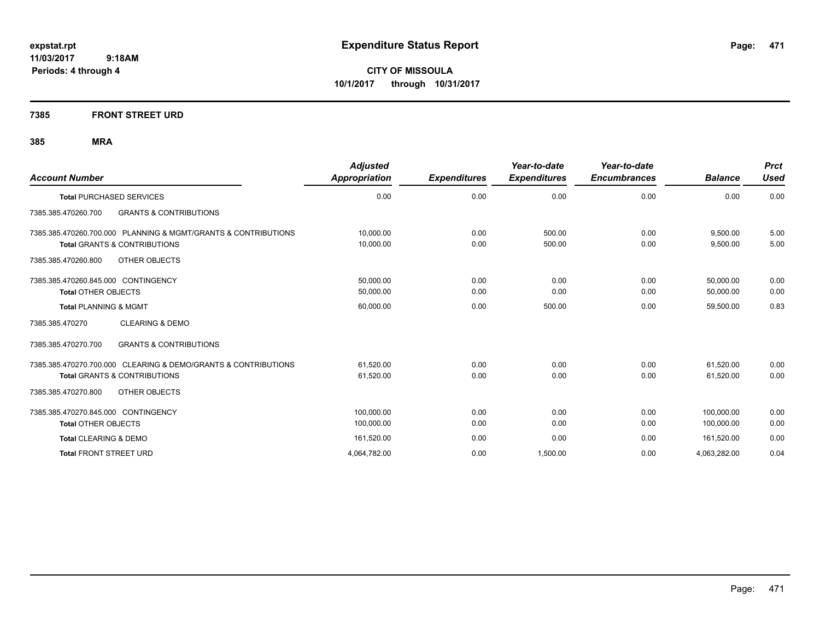**CITY OF MISSOULA 10/1/2017 through 10/31/2017**

## **7385 FRONT STREET URD**

| <b>Account Number</b>                                                                                     | <b>Adjusted</b><br>Appropriation | <b>Expenditures</b> | Year-to-date<br><b>Expenditures</b> | Year-to-date<br><b>Encumbrances</b> | <b>Balance</b>           | <b>Prct</b><br><b>Used</b> |
|-----------------------------------------------------------------------------------------------------------|----------------------------------|---------------------|-------------------------------------|-------------------------------------|--------------------------|----------------------------|
| <b>Total PURCHASED SERVICES</b>                                                                           | 0.00                             | 0.00                | 0.00                                | 0.00                                | 0.00                     | 0.00                       |
| <b>GRANTS &amp; CONTRIBUTIONS</b><br>7385.385.470260.700                                                  |                                  |                     |                                     |                                     |                          |                            |
| 7385.385.470260.700.000 PLANNING & MGMT/GRANTS & CONTRIBUTIONS<br><b>Total GRANTS &amp; CONTRIBUTIONS</b> | 10,000.00<br>10,000.00           | 0.00<br>0.00        | 500.00<br>500.00                    | 0.00<br>0.00                        | 9,500.00<br>9,500.00     | 5.00<br>5.00               |
| OTHER OBJECTS<br>7385.385.470260.800                                                                      |                                  |                     |                                     |                                     |                          |                            |
| 7385.385.470260.845.000 CONTINGENCY<br><b>Total OTHER OBJECTS</b>                                         | 50,000.00<br>50,000.00           | 0.00<br>0.00        | 0.00<br>0.00                        | 0.00<br>0.00                        | 50,000.00<br>50,000.00   | 0.00<br>0.00               |
| <b>Total PLANNING &amp; MGMT</b>                                                                          | 60,000.00                        | 0.00                | 500.00                              | 0.00                                | 59,500.00                | 0.83                       |
| <b>CLEARING &amp; DEMO</b><br>7385.385.470270                                                             |                                  |                     |                                     |                                     |                          |                            |
| <b>GRANTS &amp; CONTRIBUTIONS</b><br>7385.385.470270.700                                                  |                                  |                     |                                     |                                     |                          |                            |
| 7385.385.470270.700.000 CLEARING & DEMO/GRANTS & CONTRIBUTIONS<br><b>Total GRANTS &amp; CONTRIBUTIONS</b> | 61,520.00<br>61,520.00           | 0.00<br>0.00        | 0.00<br>0.00                        | 0.00<br>0.00                        | 61,520.00<br>61,520.00   | 0.00<br>0.00               |
| 7385.385.470270.800<br>OTHER OBJECTS                                                                      |                                  |                     |                                     |                                     |                          |                            |
| 7385.385.470270.845.000 CONTINGENCY<br><b>Total OTHER OBJECTS</b>                                         | 100.000.00<br>100,000.00         | 0.00<br>0.00        | 0.00<br>0.00                        | 0.00<br>0.00                        | 100.000.00<br>100,000.00 | 0.00<br>0.00               |
| Total CLEARING & DEMO                                                                                     | 161,520.00                       | 0.00                | 0.00                                | 0.00                                | 161,520.00               | 0.00                       |
| <b>Total FRONT STREET URD</b>                                                                             | 4,064,782.00                     | 0.00                | 1.500.00                            | 0.00                                | 4,063,282.00             | 0.04                       |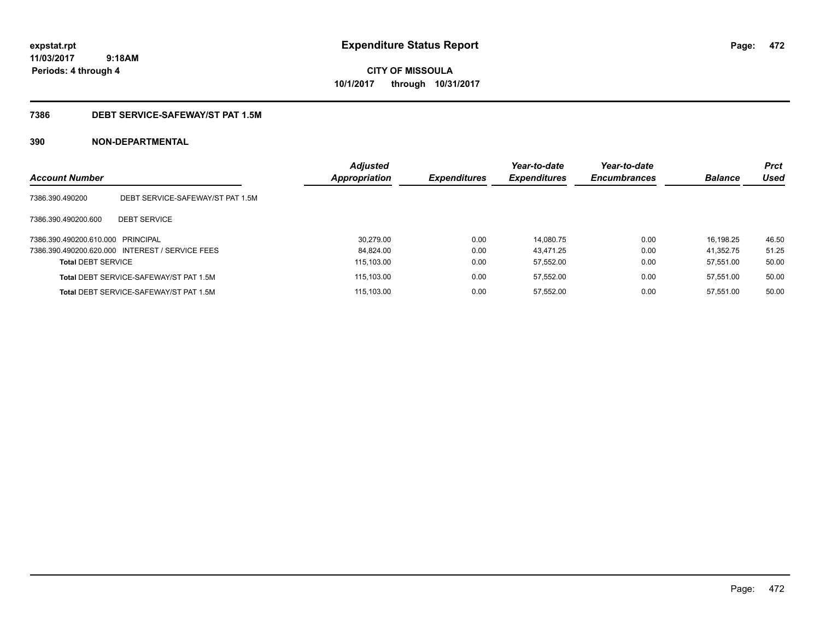**CITY OF MISSOULA 10/1/2017 through 10/31/2017**

## **7386 DEBT SERVICE-SAFEWAY/ST PAT 1.5M**

| <b>Account Number</b>             |                                                 | <b>Adjusted</b><br><b>Appropriation</b> | <b>Expenditures</b> | Year-to-date<br><b>Expenditures</b> | Year-to-date<br><b>Encumbrances</b> | <b>Balance</b> | <b>Prct</b><br>Used |
|-----------------------------------|-------------------------------------------------|-----------------------------------------|---------------------|-------------------------------------|-------------------------------------|----------------|---------------------|
| 7386.390.490200                   | DEBT SERVICE-SAFEWAY/ST PAT 1.5M                |                                         |                     |                                     |                                     |                |                     |
| 7386.390.490200.600               | <b>DEBT SERVICE</b>                             |                                         |                     |                                     |                                     |                |                     |
| 7386.390.490200.610.000 PRINCIPAL |                                                 | 30.279.00                               | 0.00                | 14.080.75                           | 0.00                                | 16.198.25      | 46.50               |
|                                   | 7386.390.490200.620.000 INTEREST / SERVICE FEES | 84.824.00                               | 0.00                | 43.471.25                           | 0.00                                | 41.352.75      | 51.25               |
| <b>Total DEBT SERVICE</b>         |                                                 | 115.103.00                              | 0.00                | 57.552.00                           | 0.00                                | 57.551.00      | 50.00               |
|                                   | <b>Total DEBT SERVICE-SAFEWAY/ST PAT 1.5M</b>   | 115.103.00                              | 0.00                | 57.552.00                           | 0.00                                | 57.551.00      | 50.00               |
|                                   | Total DEBT SERVICE-SAFEWAY/ST PAT 1.5M          | 115.103.00                              | 0.00                | 57.552.00                           | 0.00                                | 57.551.00      | 50.00               |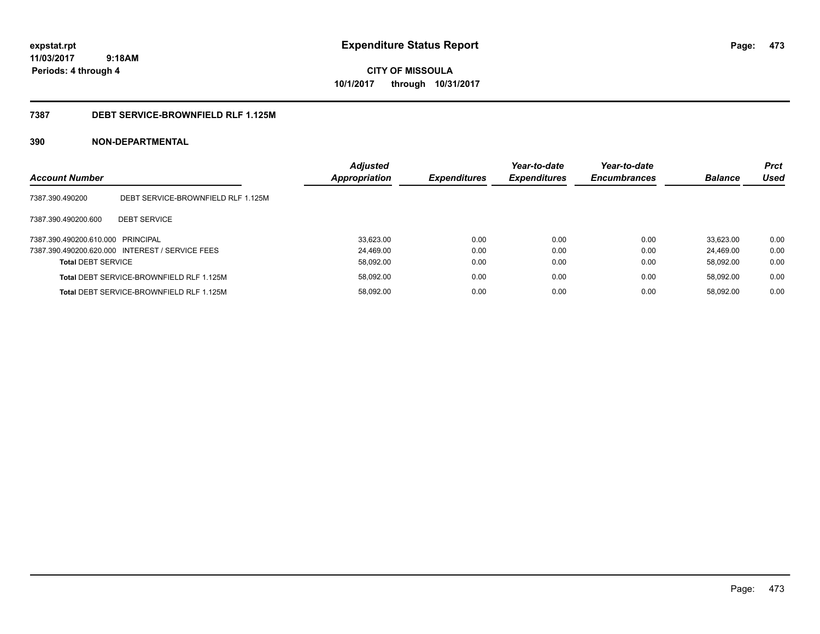**CITY OF MISSOULA 10/1/2017 through 10/31/2017**

### **7387 DEBT SERVICE-BROWNFIELD RLF 1.125M**

| <b>Account Number</b>             |                                                 | <b>Adjusted</b><br>Appropriation | <b>Expenditures</b> | Year-to-date<br><b>Expenditures</b> | Year-to-date<br><b>Encumbrances</b> | <b>Balance</b> | <b>Prct</b><br>Used |
|-----------------------------------|-------------------------------------------------|----------------------------------|---------------------|-------------------------------------|-------------------------------------|----------------|---------------------|
| 7387.390.490200                   | DEBT SERVICE-BROWNFIELD RLF 1.125M              |                                  |                     |                                     |                                     |                |                     |
| 7387.390.490200.600               | <b>DEBT SERVICE</b>                             |                                  |                     |                                     |                                     |                |                     |
| 7387.390.490200.610.000 PRINCIPAL |                                                 | 33,623.00                        | 0.00                | 0.00                                | 0.00                                | 33.623.00      | 0.00                |
|                                   | 7387.390.490200.620.000 INTEREST / SERVICE FEES | 24.469.00                        | 0.00                | 0.00                                | 0.00                                | 24.469.00      | 0.00                |
| <b>Total DEBT SERVICE</b>         |                                                 | 58,092.00                        | 0.00                | 0.00                                | 0.00                                | 58.092.00      | 0.00                |
|                                   | Total DEBT SERVICE-BROWNFIELD RLF 1.125M        | 58,092.00                        | 0.00                | 0.00                                | 0.00                                | 58.092.00      | 0.00                |
|                                   | Total DEBT SERVICE-BROWNFIELD RLF 1.125M        | 58,092.00                        | 0.00                | 0.00                                | 0.00                                | 58.092.00      | 0.00                |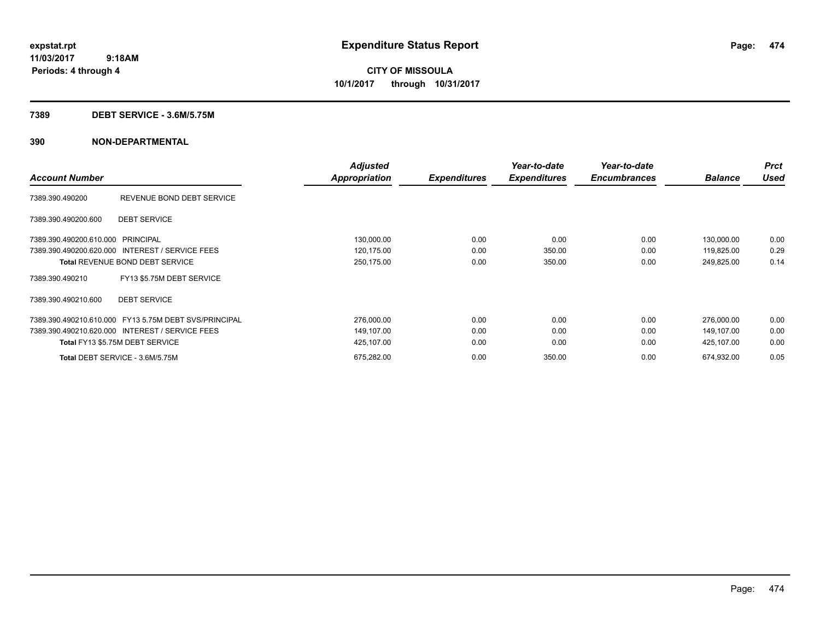**CITY OF MISSOULA 10/1/2017 through 10/31/2017**

### **7389 DEBT SERVICE - 3.6M/5.75M**

|                                                       | <b>Adjusted</b>      |                     | Year-to-date        | Year-to-date        |                | <b>Prct</b> |
|-------------------------------------------------------|----------------------|---------------------|---------------------|---------------------|----------------|-------------|
| <b>Account Number</b>                                 | <b>Appropriation</b> | <b>Expenditures</b> | <b>Expenditures</b> | <b>Encumbrances</b> | <b>Balance</b> | <b>Used</b> |
| REVENUE BOND DEBT SERVICE<br>7389.390.490200          |                      |                     |                     |                     |                |             |
| <b>DEBT SERVICE</b><br>7389.390.490200.600            |                      |                     |                     |                     |                |             |
| 7389.390.490200.610.000 PRINCIPAL                     | 130,000.00           | 0.00                | 0.00                | 0.00                | 130,000.00     | 0.00        |
| 7389.390.490200.620.000 INTEREST / SERVICE FEES       | 120,175.00           | 0.00                | 350.00              | 0.00                | 119,825.00     | 0.29        |
| <b>Total REVENUE BOND DEBT SERVICE</b>                | 250,175.00           | 0.00                | 350.00              | 0.00                | 249,825.00     | 0.14        |
| FY13 \$5.75M DEBT SERVICE<br>7389.390.490210          |                      |                     |                     |                     |                |             |
| <b>DEBT SERVICE</b><br>7389.390.490210.600            |                      |                     |                     |                     |                |             |
| 7389.390.490210.610.000 FY13 5.75M DEBT SVS/PRINCIPAL | 276,000.00           | 0.00                | 0.00                | 0.00                | 276,000.00     | 0.00        |
| 7389.390.490210.620.000 INTEREST / SERVICE FEES       | 149,107.00           | 0.00                | 0.00                | 0.00                | 149,107.00     | 0.00        |
| Total FY13 \$5.75M DEBT SERVICE                       | 425,107.00           | 0.00                | 0.00                | 0.00                | 425,107.00     | 0.00        |
| Total DEBT SERVICE - 3.6M/5.75M                       | 675,282.00           | 0.00                | 350.00              | 0.00                | 674,932.00     | 0.05        |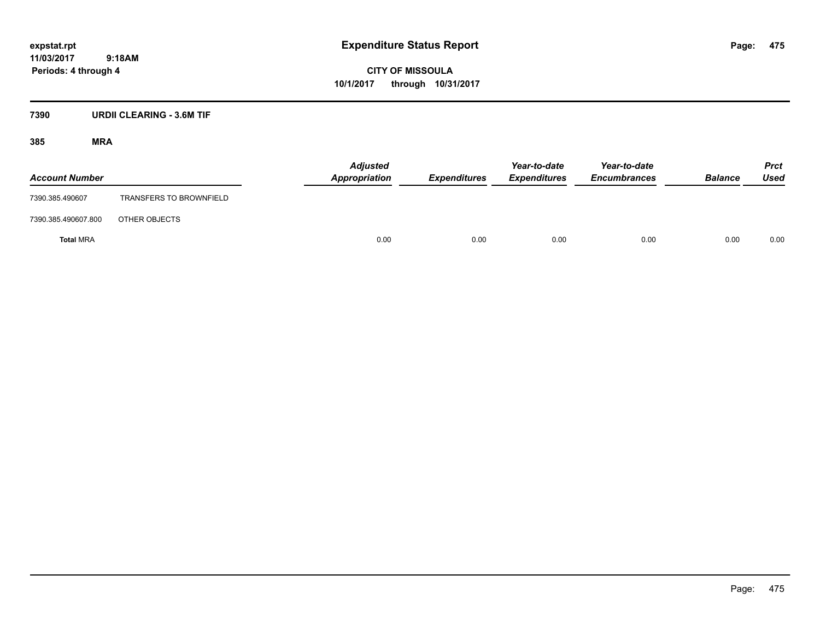**CITY OF MISSOULA 10/1/2017 through 10/31/2017**

## **7390 URDII CLEARING - 3.6M TIF**

| <b>Account Number</b> |                                | <b>Adjusted</b><br>Appropriation | <b>Expenditures</b> | Year-to-date<br><b>Expenditures</b> | Year-to-date<br><b>Encumbrances</b> | <b>Balance</b> | <b>Prct</b><br>Used |
|-----------------------|--------------------------------|----------------------------------|---------------------|-------------------------------------|-------------------------------------|----------------|---------------------|
| 7390.385.490607       | <b>TRANSFERS TO BROWNFIELD</b> |                                  |                     |                                     |                                     |                |                     |
| 7390.385.490607.800   | OTHER OBJECTS                  |                                  |                     |                                     |                                     |                |                     |
| <b>Total MRA</b>      |                                | 0.00                             | 0.00                | 0.00                                | 0.00                                | 0.00           | 0.00                |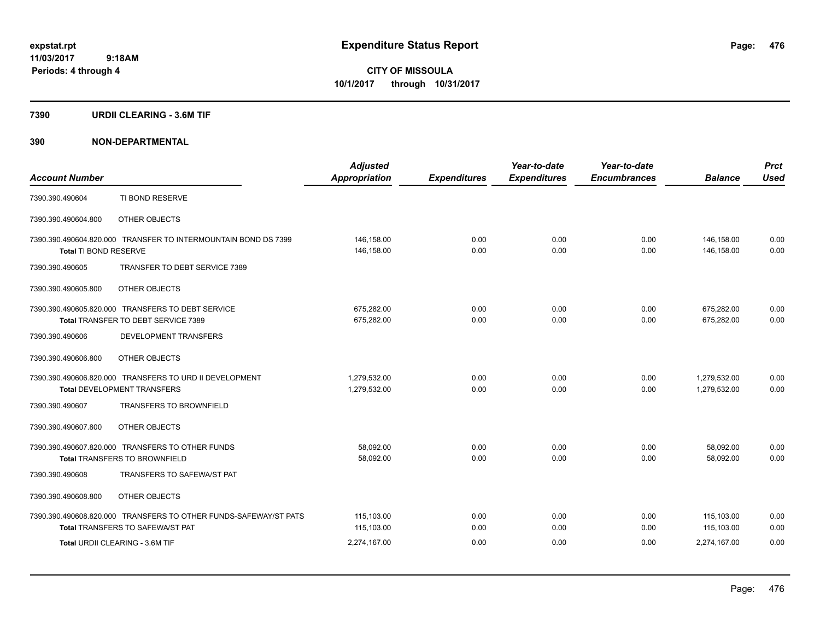### **7390 URDII CLEARING - 3.6M TIF**

| <b>Account Number</b> |                                                                                                                                                | <b>Adjusted</b><br><b>Appropriation</b>  | <b>Expenditures</b>  | Year-to-date<br><b>Expenditures</b> | Year-to-date<br><b>Encumbrances</b> | <b>Balance</b>                           | <b>Prct</b><br><b>Used</b> |
|-----------------------|------------------------------------------------------------------------------------------------------------------------------------------------|------------------------------------------|----------------------|-------------------------------------|-------------------------------------|------------------------------------------|----------------------------|
| 7390.390.490604       | TI BOND RESERVE                                                                                                                                |                                          |                      |                                     |                                     |                                          |                            |
| 7390.390.490604.800   | OTHER OBJECTS                                                                                                                                  |                                          |                      |                                     |                                     |                                          |                            |
| Total TI BOND RESERVE | 7390.390.490604.820.000 TRANSFER TO INTERMOUNTAIN BOND DS 7399                                                                                 | 146,158.00<br>146,158.00                 | 0.00<br>0.00         | 0.00<br>0.00                        | 0.00<br>0.00                        | 146,158.00<br>146,158.00                 | 0.00<br>0.00               |
| 7390.390.490605       | TRANSFER TO DEBT SERVICE 7389                                                                                                                  |                                          |                      |                                     |                                     |                                          |                            |
| 7390.390.490605.800   | OTHER OBJECTS                                                                                                                                  |                                          |                      |                                     |                                     |                                          |                            |
|                       | 7390.390.490605.820.000 TRANSFERS TO DEBT SERVICE<br>Total TRANSFER TO DEBT SERVICE 7389                                                       | 675,282.00<br>675,282.00                 | 0.00<br>0.00         | 0.00<br>0.00                        | 0.00<br>0.00                        | 675,282.00<br>675,282.00                 | 0.00<br>0.00               |
| 7390.390.490606       | DEVELOPMENT TRANSFERS                                                                                                                          |                                          |                      |                                     |                                     |                                          |                            |
| 7390.390.490606.800   | OTHER OBJECTS                                                                                                                                  |                                          |                      |                                     |                                     |                                          |                            |
|                       | 7390.390.490606.820.000 TRANSFERS TO URD II DEVELOPMENT<br><b>Total DEVELOPMENT TRANSFERS</b>                                                  | 1,279,532.00<br>1,279,532.00             | 0.00<br>0.00         | 0.00<br>0.00                        | 0.00<br>0.00                        | 1,279,532.00<br>1,279,532.00             | 0.00<br>0.00               |
| 7390.390.490607       | <b>TRANSFERS TO BROWNFIELD</b>                                                                                                                 |                                          |                      |                                     |                                     |                                          |                            |
| 7390.390.490607.800   | OTHER OBJECTS                                                                                                                                  |                                          |                      |                                     |                                     |                                          |                            |
|                       | 7390.390.490607.820.000 TRANSFERS TO OTHER FUNDS<br><b>Total TRANSFERS TO BROWNFIELD</b>                                                       | 58,092.00<br>58,092.00                   | 0.00<br>0.00         | 0.00<br>0.00                        | 0.00<br>0.00                        | 58,092.00<br>58,092.00                   | 0.00<br>0.00               |
| 7390.390.490608       | TRANSFERS TO SAFEWA/ST PAT                                                                                                                     |                                          |                      |                                     |                                     |                                          |                            |
| 7390.390.490608.800   | OTHER OBJECTS                                                                                                                                  |                                          |                      |                                     |                                     |                                          |                            |
|                       | 7390.390.490608.820.000 TRANSFERS TO OTHER FUNDS-SAFEWAY/ST PATS<br><b>Total TRANSFERS TO SAFEWA/ST PAT</b><br>Total URDII CLEARING - 3.6M TIF | 115,103.00<br>115,103.00<br>2,274,167.00 | 0.00<br>0.00<br>0.00 | 0.00<br>0.00<br>0.00                | 0.00<br>0.00<br>0.00                | 115,103.00<br>115.103.00<br>2.274.167.00 | 0.00<br>0.00<br>0.00       |
|                       |                                                                                                                                                |                                          |                      |                                     |                                     |                                          |                            |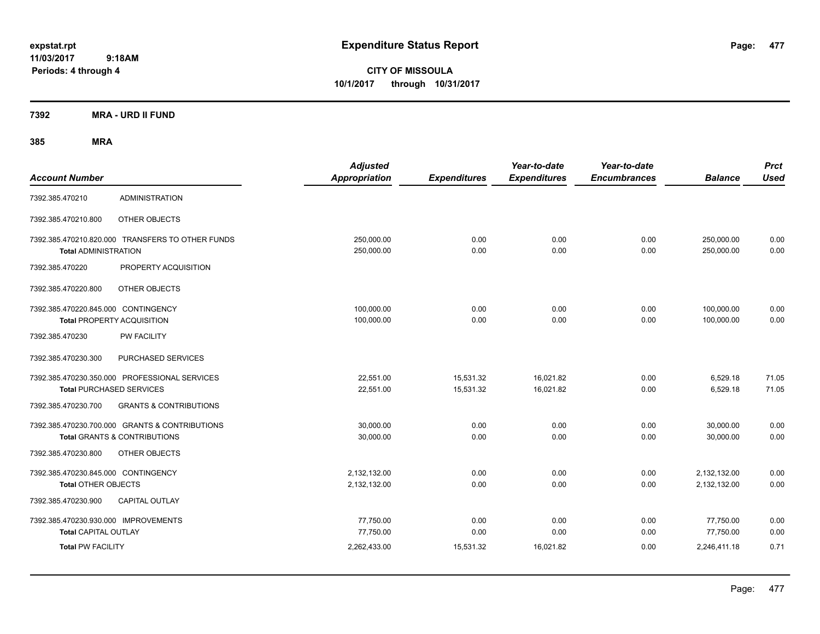**CITY OF MISSOULA 10/1/2017 through 10/31/2017**

**7392 MRA - URD II FUND**

| <b>Account Number</b>                                                    |                                                                                           | <b>Adjusted</b><br>Appropriation | <b>Expenditures</b>    | Year-to-date<br><b>Expenditures</b> | Year-to-date<br><b>Encumbrances</b> | <b>Balance</b>               | <b>Prct</b><br><b>Used</b> |
|--------------------------------------------------------------------------|-------------------------------------------------------------------------------------------|----------------------------------|------------------------|-------------------------------------|-------------------------------------|------------------------------|----------------------------|
| 7392.385.470210                                                          | <b>ADMINISTRATION</b>                                                                     |                                  |                        |                                     |                                     |                              |                            |
| 7392.385.470210.800                                                      | OTHER OBJECTS                                                                             |                                  |                        |                                     |                                     |                              |                            |
| <b>Total ADMINISTRATION</b>                                              | 7392.385.470210.820.000 TRANSFERS TO OTHER FUNDS                                          | 250,000.00<br>250,000.00         | 0.00<br>0.00           | 0.00<br>0.00                        | 0.00<br>0.00                        | 250,000.00<br>250,000.00     | 0.00<br>0.00               |
| 7392.385.470220                                                          | PROPERTY ACQUISITION                                                                      |                                  |                        |                                     |                                     |                              |                            |
| 7392.385.470220.800                                                      | OTHER OBJECTS                                                                             |                                  |                        |                                     |                                     |                              |                            |
| 7392.385.470220.845.000 CONTINGENCY<br><b>Total PROPERTY ACQUISITION</b> |                                                                                           | 100,000.00<br>100,000.00         | 0.00<br>0.00           | 0.00<br>0.00                        | 0.00<br>0.00                        | 100,000.00<br>100,000.00     | 0.00<br>0.00               |
| 7392.385.470230                                                          | PW FACILITY                                                                               |                                  |                        |                                     |                                     |                              |                            |
| 7392.385.470230.300                                                      | PURCHASED SERVICES                                                                        |                                  |                        |                                     |                                     |                              |                            |
| <b>Total PURCHASED SERVICES</b>                                          | 7392.385.470230.350.000 PROFESSIONAL SERVICES                                             | 22,551.00<br>22,551.00           | 15,531.32<br>15,531.32 | 16,021.82<br>16,021.82              | 0.00<br>0.00                        | 6,529.18<br>6,529.18         | 71.05<br>71.05             |
| 7392.385.470230.700                                                      | <b>GRANTS &amp; CONTRIBUTIONS</b>                                                         |                                  |                        |                                     |                                     |                              |                            |
|                                                                          | 7392.385.470230.700.000 GRANTS & CONTRIBUTIONS<br><b>Total GRANTS &amp; CONTRIBUTIONS</b> | 30,000.00<br>30,000.00           | 0.00<br>0.00           | 0.00<br>0.00                        | 0.00<br>0.00                        | 30,000.00<br>30.000.00       | 0.00<br>0.00               |
| 7392.385.470230.800                                                      | OTHER OBJECTS                                                                             |                                  |                        |                                     |                                     |                              |                            |
| 7392.385.470230.845.000 CONTINGENCY<br><b>Total OTHER OBJECTS</b>        |                                                                                           | 2,132,132.00<br>2,132,132.00     | 0.00<br>0.00           | 0.00<br>0.00                        | 0.00<br>0.00                        | 2,132,132.00<br>2,132,132.00 | 0.00<br>0.00               |
| 7392.385.470230.900                                                      | <b>CAPITAL OUTLAY</b>                                                                     |                                  |                        |                                     |                                     |                              |                            |
| 7392.385.470230.930.000 IMPROVEMENTS<br><b>Total CAPITAL OUTLAY</b>      |                                                                                           | 77,750.00<br>77,750.00           | 0.00<br>0.00           | 0.00<br>0.00                        | 0.00<br>0.00                        | 77,750.00<br>77,750.00       | 0.00<br>0.00               |
| <b>Total PW FACILITY</b>                                                 |                                                                                           | 2,262,433.00                     | 15,531.32              | 16,021.82                           | 0.00                                | 2,246,411.18                 | 0.71                       |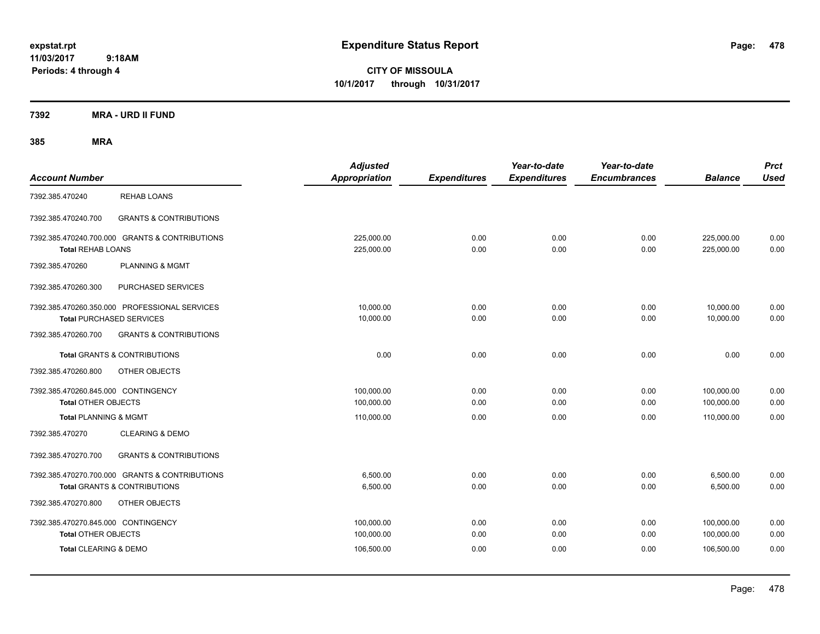**CITY OF MISSOULA 10/1/2017 through 10/31/2017**

**7392 MRA - URD II FUND**

| <b>Account Number</b>                                                                     | <b>Adjusted</b><br><b>Appropriation</b> | <b>Expenditures</b> | Year-to-date<br><b>Expenditures</b> | Year-to-date<br><b>Encumbrances</b> | <b>Balance</b>           | <b>Prct</b><br><b>Used</b> |
|-------------------------------------------------------------------------------------------|-----------------------------------------|---------------------|-------------------------------------|-------------------------------------|--------------------------|----------------------------|
| <b>REHAB LOANS</b><br>7392.385.470240                                                     |                                         |                     |                                     |                                     |                          |                            |
| <b>GRANTS &amp; CONTRIBUTIONS</b><br>7392.385.470240.700                                  |                                         |                     |                                     |                                     |                          |                            |
| 7392.385.470240.700.000 GRANTS & CONTRIBUTIONS<br><b>Total REHAB LOANS</b>                | 225,000.00<br>225,000.00                | 0.00<br>0.00        | 0.00<br>0.00                        | 0.00<br>0.00                        | 225,000.00<br>225,000.00 | 0.00<br>0.00               |
| <b>PLANNING &amp; MGMT</b><br>7392.385.470260                                             |                                         |                     |                                     |                                     |                          |                            |
| 7392.385.470260.300<br>PURCHASED SERVICES                                                 |                                         |                     |                                     |                                     |                          |                            |
| 7392.385.470260.350.000 PROFESSIONAL SERVICES<br><b>Total PURCHASED SERVICES</b>          | 10,000.00<br>10,000.00                  | 0.00<br>0.00        | 0.00<br>0.00                        | 0.00<br>0.00                        | 10,000.00<br>10,000.00   | 0.00<br>0.00               |
| 7392.385.470260.700<br><b>GRANTS &amp; CONTRIBUTIONS</b>                                  |                                         |                     |                                     |                                     |                          |                            |
| <b>Total GRANTS &amp; CONTRIBUTIONS</b>                                                   | 0.00                                    | 0.00                | 0.00                                | 0.00                                | 0.00                     | 0.00                       |
| 7392.385.470260.800<br>OTHER OBJECTS                                                      |                                         |                     |                                     |                                     |                          |                            |
| 7392.385.470260.845.000 CONTINGENCY<br><b>Total OTHER OBJECTS</b>                         | 100,000.00<br>100,000.00                | 0.00<br>0.00        | 0.00<br>0.00                        | 0.00<br>0.00                        | 100,000.00<br>100,000.00 | 0.00<br>0.00               |
| <b>Total PLANNING &amp; MGMT</b>                                                          | 110,000.00                              | 0.00                | 0.00                                | 0.00                                | 110,000.00               | 0.00                       |
| <b>CLEARING &amp; DEMO</b><br>7392.385.470270                                             |                                         |                     |                                     |                                     |                          |                            |
| <b>GRANTS &amp; CONTRIBUTIONS</b><br>7392.385.470270.700                                  |                                         |                     |                                     |                                     |                          |                            |
| 7392.385.470270.700.000 GRANTS & CONTRIBUTIONS<br><b>Total GRANTS &amp; CONTRIBUTIONS</b> | 6,500.00<br>6,500.00                    | 0.00<br>0.00        | 0.00<br>0.00                        | 0.00<br>0.00                        | 6,500.00<br>6,500.00     | 0.00<br>0.00               |
| 7392.385.470270.800<br>OTHER OBJECTS                                                      |                                         |                     |                                     |                                     |                          |                            |
| 7392.385.470270.845.000 CONTINGENCY<br><b>Total OTHER OBJECTS</b>                         | 100,000.00<br>100,000.00                | 0.00<br>0.00        | 0.00<br>0.00                        | 0.00<br>0.00                        | 100,000.00<br>100,000.00 | 0.00<br>0.00               |
| Total CLEARING & DEMO                                                                     | 106,500.00                              | 0.00                | 0.00                                | 0.00                                | 106,500.00               | 0.00                       |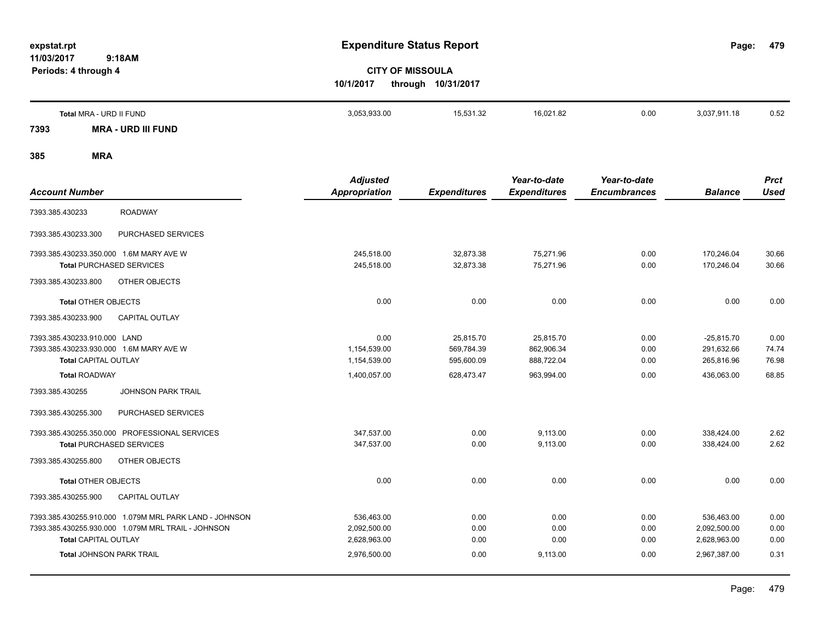**479**

# **CITY OF MISSOULA 10/1/2017 through 10/31/2017**

|      | Total MRA - URD II FUND | 3,053,933.00 | 15,531.32 | 16,021.82 | 0.00 | 3,037,911.18 | 0.52 |
|------|-------------------------|--------------|-----------|-----------|------|--------------|------|
| 7393 | - URD III FUND<br>MRA   |              |           |           |      |              |      |

|                                                        | <b>Adjusted</b> |                     | Year-to-date        | Year-to-date        |                | <b>Prct</b> |
|--------------------------------------------------------|-----------------|---------------------|---------------------|---------------------|----------------|-------------|
| <b>Account Number</b>                                  | Appropriation   | <b>Expenditures</b> | <b>Expenditures</b> | <b>Encumbrances</b> | <b>Balance</b> | <b>Used</b> |
| <b>ROADWAY</b><br>7393.385.430233                      |                 |                     |                     |                     |                |             |
| 7393.385.430233.300<br>PURCHASED SERVICES              |                 |                     |                     |                     |                |             |
| 7393.385.430233.350.000 1.6M MARY AVE W                | 245,518.00      | 32,873.38           | 75,271.96           | 0.00                | 170,246.04     | 30.66       |
| <b>Total PURCHASED SERVICES</b>                        | 245,518.00      | 32,873.38           | 75,271.96           | 0.00                | 170,246.04     | 30.66       |
| 7393.385.430233.800<br>OTHER OBJECTS                   |                 |                     |                     |                     |                |             |
| <b>Total OTHER OBJECTS</b>                             | 0.00            | 0.00                | 0.00                | 0.00                | 0.00           | 0.00        |
| <b>CAPITAL OUTLAY</b><br>7393.385.430233.900           |                 |                     |                     |                     |                |             |
| 7393.385.430233.910.000 LAND                           | 0.00            | 25,815.70           | 25,815.70           | 0.00                | $-25,815.70$   | 0.00        |
| 7393.385.430233.930.000 1.6M MARY AVE W                | 1,154,539.00    | 569,784.39          | 862,906.34          | 0.00                | 291,632.66     | 74.74       |
| <b>Total CAPITAL OUTLAY</b>                            | 1,154,539.00    | 595,600.09          | 888,722.04          | 0.00                | 265,816.96     | 76.98       |
| <b>Total ROADWAY</b>                                   | 1,400,057.00    | 628,473.47          | 963,994.00          | 0.00                | 436.063.00     | 68.85       |
| 7393.385.430255<br><b>JOHNSON PARK TRAIL</b>           |                 |                     |                     |                     |                |             |
| 7393.385.430255.300<br>PURCHASED SERVICES              |                 |                     |                     |                     |                |             |
| 7393.385.430255.350.000 PROFESSIONAL SERVICES          | 347,537.00      | 0.00                | 9,113.00            | 0.00                | 338,424.00     | 2.62        |
| <b>Total PURCHASED SERVICES</b>                        | 347,537.00      | 0.00                | 9,113.00            | 0.00                | 338,424.00     | 2.62        |
| 7393.385.430255.800<br>OTHER OBJECTS                   |                 |                     |                     |                     |                |             |
| <b>Total OTHER OBJECTS</b>                             | 0.00            | 0.00                | 0.00                | 0.00                | 0.00           | 0.00        |
| 7393.385.430255.900<br><b>CAPITAL OUTLAY</b>           |                 |                     |                     |                     |                |             |
| 7393.385.430255.910.000 1.079M MRL PARK LAND - JOHNSON | 536,463.00      | 0.00                | 0.00                | 0.00                | 536.463.00     | 0.00        |
| 7393.385.430255.930.000 1.079M MRL TRAIL - JOHNSON     | 2,092,500.00    | 0.00                | 0.00                | 0.00                | 2,092,500.00   | 0.00        |
| <b>Total CAPITAL OUTLAY</b>                            | 2,628,963.00    | 0.00                | 0.00                | 0.00                | 2,628,963.00   | 0.00        |
| <b>Total JOHNSON PARK TRAIL</b>                        | 2,976,500.00    | 0.00                | 9,113.00            | 0.00                | 2,967,387.00   | 0.31        |
|                                                        |                 |                     |                     |                     |                |             |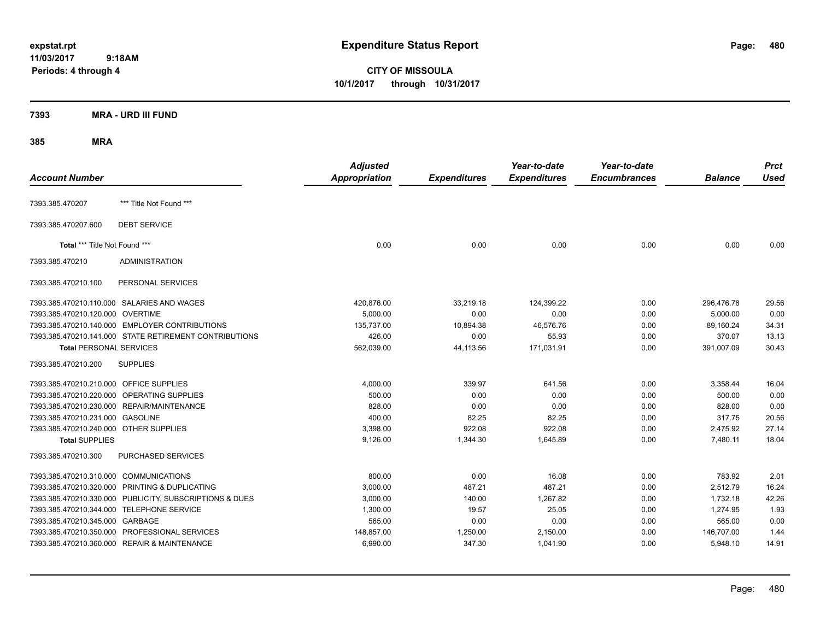**CITY OF MISSOULA 10/1/2017 through 10/31/2017**

### **7393 MRA - URD III FUND**

| <b>Account Number</b>                   |                                                         | <b>Adjusted</b><br><b>Appropriation</b> | <b>Expenditures</b> | Year-to-date<br><b>Expenditures</b> | Year-to-date<br><b>Encumbrances</b> | <b>Balance</b> | <b>Prct</b><br><b>Used</b> |
|-----------------------------------------|---------------------------------------------------------|-----------------------------------------|---------------------|-------------------------------------|-------------------------------------|----------------|----------------------------|
| 7393.385.470207                         | *** Title Not Found ***                                 |                                         |                     |                                     |                                     |                |                            |
| 7393.385.470207.600                     | <b>DEBT SERVICE</b>                                     |                                         |                     |                                     |                                     |                |                            |
| Total *** Title Not Found ***           |                                                         | 0.00                                    | 0.00                | 0.00                                | 0.00                                | 0.00           | 0.00                       |
| 7393.385.470210                         | <b>ADMINISTRATION</b>                                   |                                         |                     |                                     |                                     |                |                            |
| 7393.385.470210.100                     | PERSONAL SERVICES                                       |                                         |                     |                                     |                                     |                |                            |
|                                         | 7393.385.470210.110.000 SALARIES AND WAGES              | 420,876.00                              | 33,219.18           | 124,399.22                          | 0.00                                | 296,476.78     | 29.56                      |
| 7393.385.470210.120.000 OVERTIME        |                                                         | 5,000.00                                | 0.00                | 0.00                                | 0.00                                | 5,000.00       | 0.00                       |
|                                         | 7393.385.470210.140.000 EMPLOYER CONTRIBUTIONS          | 135,737.00                              | 10,894.38           | 46,576.76                           | 0.00                                | 89,160.24      | 34.31                      |
|                                         | 7393.385.470210.141.000 STATE RETIREMENT CONTRIBUTIONS  | 426.00                                  | 0.00                | 55.93                               | 0.00                                | 370.07         | 13.13                      |
| <b>Total PERSONAL SERVICES</b>          |                                                         | 562,039.00                              | 44,113.56           | 171,031.91                          | 0.00                                | 391,007.09     | 30.43                      |
| 7393.385.470210.200                     | <b>SUPPLIES</b>                                         |                                         |                     |                                     |                                     |                |                            |
| 7393.385.470210.210.000 OFFICE SUPPLIES |                                                         | 4,000.00                                | 339.97              | 641.56                              | 0.00                                | 3,358.44       | 16.04                      |
|                                         | 7393.385.470210.220.000 OPERATING SUPPLIES              | 500.00                                  | 0.00                | 0.00                                | 0.00                                | 500.00         | 0.00                       |
|                                         | 7393.385.470210.230.000 REPAIR/MAINTENANCE              | 828.00                                  | 0.00                | 0.00                                | 0.00                                | 828.00         | 0.00                       |
| 7393.385.470210.231.000 GASOLINE        |                                                         | 400.00                                  | 82.25               | 82.25                               | 0.00                                | 317.75         | 20.56                      |
| 7393.385.470210.240.000 OTHER SUPPLIES  |                                                         | 3,398.00                                | 922.08              | 922.08                              | 0.00                                | 2,475.92       | 27.14                      |
| <b>Total SUPPLIES</b>                   |                                                         | 9,126.00                                | 1,344.30            | 1,645.89                            | 0.00                                | 7,480.11       | 18.04                      |
| 7393.385.470210.300                     | PURCHASED SERVICES                                      |                                         |                     |                                     |                                     |                |                            |
| 7393.385.470210.310.000 COMMUNICATIONS  |                                                         | 800.00                                  | 0.00                | 16.08                               | 0.00                                | 783.92         | 2.01                       |
|                                         | 7393.385.470210.320.000 PRINTING & DUPLICATING          | 3,000.00                                | 487.21              | 487.21                              | 0.00                                | 2,512.79       | 16.24                      |
|                                         | 7393.385.470210.330.000 PUBLICITY, SUBSCRIPTIONS & DUES | 3,000.00                                | 140.00              | 1,267.82                            | 0.00                                | 1,732.18       | 42.26                      |
|                                         | 7393.385.470210.344.000 TELEPHONE SERVICE               | 1,300.00                                | 19.57               | 25.05                               | 0.00                                | 1,274.95       | 1.93                       |
| 7393.385.470210.345.000 GARBAGE         |                                                         | 565.00                                  | 0.00                | 0.00                                | 0.00                                | 565.00         | 0.00                       |
|                                         | 7393.385.470210.350.000 PROFESSIONAL SERVICES           | 148,857.00                              | 1,250.00            | 2,150.00                            | 0.00                                | 146,707.00     | 1.44                       |
|                                         | 7393.385.470210.360.000 REPAIR & MAINTENANCE            | 6,990.00                                | 347.30              | 1,041.90                            | 0.00                                | 5,948.10       | 14.91                      |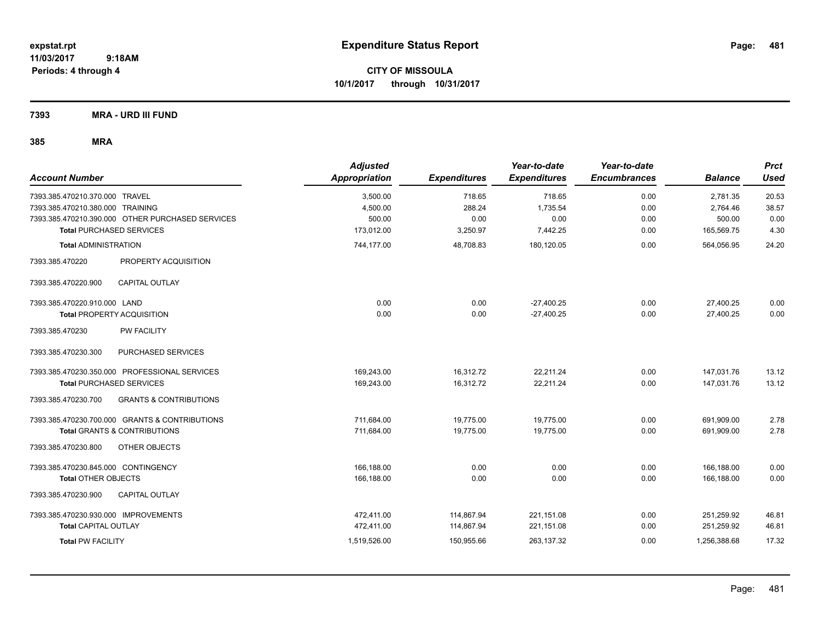**CITY OF MISSOULA 10/1/2017 through 10/31/2017**

**7393 MRA - URD III FUND**

| <b>Account Number</b>                                    | <b>Adjusted</b><br><b>Appropriation</b> | <b>Expenditures</b> | Year-to-date<br><b>Expenditures</b> | Year-to-date<br><b>Encumbrances</b> | <b>Balance</b> | <b>Prct</b><br><b>Used</b> |
|----------------------------------------------------------|-----------------------------------------|---------------------|-------------------------------------|-------------------------------------|----------------|----------------------------|
| 7393.385.470210.370.000 TRAVEL                           | 3,500.00                                | 718.65              | 718.65                              | 0.00                                | 2,781.35       | 20.53                      |
| 7393.385.470210.380.000 TRAINING                         | 4,500.00                                | 288.24              | 1.735.54                            | 0.00                                | 2,764.46       | 38.57                      |
| 7393.385.470210.390.000 OTHER PURCHASED SERVICES         | 500.00                                  | 0.00                | 0.00                                | 0.00                                | 500.00         | 0.00                       |
| <b>Total PURCHASED SERVICES</b>                          | 173,012.00                              | 3,250.97            | 7,442.25                            | 0.00                                | 165,569.75     | 4.30                       |
| <b>Total ADMINISTRATION</b>                              | 744,177.00                              | 48,708.83           | 180,120.05                          | 0.00                                | 564,056.95     | 24.20                      |
| PROPERTY ACQUISITION<br>7393.385.470220                  |                                         |                     |                                     |                                     |                |                            |
| <b>CAPITAL OUTLAY</b><br>7393.385.470220.900             |                                         |                     |                                     |                                     |                |                            |
| 7393.385.470220.910.000 LAND                             | 0.00                                    | 0.00                | $-27,400.25$                        | 0.00                                | 27,400.25      | 0.00                       |
| <b>Total PROPERTY ACQUISITION</b>                        | 0.00                                    | 0.00                | $-27,400.25$                        | 0.00                                | 27,400.25      | 0.00                       |
| 7393.385.470230<br><b>PW FACILITY</b>                    |                                         |                     |                                     |                                     |                |                            |
| 7393.385.470230.300<br>PURCHASED SERVICES                |                                         |                     |                                     |                                     |                |                            |
| 7393.385.470230.350.000 PROFESSIONAL SERVICES            | 169,243.00                              | 16,312.72           | 22,211.24                           | 0.00                                | 147,031.76     | 13.12                      |
| <b>Total PURCHASED SERVICES</b>                          | 169,243.00                              | 16,312.72           | 22,211.24                           | 0.00                                | 147,031.76     | 13.12                      |
| 7393.385.470230.700<br><b>GRANTS &amp; CONTRIBUTIONS</b> |                                         |                     |                                     |                                     |                |                            |
| 7393.385.470230.700.000 GRANTS & CONTRIBUTIONS           | 711,684.00                              | 19,775.00           | 19,775.00                           | 0.00                                | 691,909.00     | 2.78                       |
| <b>Total GRANTS &amp; CONTRIBUTIONS</b>                  | 711,684.00                              | 19,775.00           | 19,775.00                           | 0.00                                | 691,909.00     | 2.78                       |
| 7393.385.470230.800<br>OTHER OBJECTS                     |                                         |                     |                                     |                                     |                |                            |
| 7393.385.470230.845.000 CONTINGENCY                      | 166,188.00                              | 0.00                | 0.00                                | 0.00                                | 166,188.00     | 0.00                       |
| <b>Total OTHER OBJECTS</b>                               | 166,188.00                              | 0.00                | 0.00                                | 0.00                                | 166,188.00     | 0.00                       |
| 7393.385.470230.900<br><b>CAPITAL OUTLAY</b>             |                                         |                     |                                     |                                     |                |                            |
| 7393.385.470230.930.000 IMPROVEMENTS                     | 472.411.00                              | 114,867.94          | 221,151.08                          | 0.00                                | 251,259.92     | 46.81                      |
| <b>Total CAPITAL OUTLAY</b>                              | 472,411.00                              | 114,867.94          | 221,151.08                          | 0.00                                | 251,259.92     | 46.81                      |
| <b>Total PW FACILITY</b>                                 | 1,519,526.00                            | 150,955.66          | 263,137.32                          | 0.00                                | 1,256,388.68   | 17.32                      |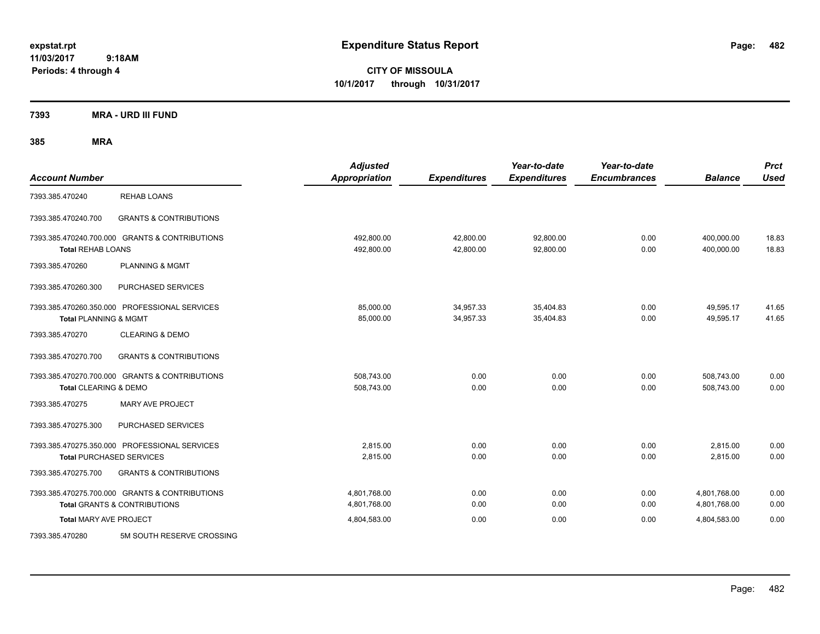**CITY OF MISSOULA 10/1/2017 through 10/31/2017**

**7393 MRA - URD III FUND**

| <b>Account Number</b>            |                                                                                           | <b>Adjusted</b><br><b>Appropriation</b> | <b>Expenditures</b>    | Year-to-date<br><b>Expenditures</b> | Year-to-date<br><b>Encumbrances</b> | <b>Balance</b>               | <b>Prct</b><br><b>Used</b> |
|----------------------------------|-------------------------------------------------------------------------------------------|-----------------------------------------|------------------------|-------------------------------------|-------------------------------------|------------------------------|----------------------------|
| 7393.385.470240                  | <b>REHAB LOANS</b>                                                                        |                                         |                        |                                     |                                     |                              |                            |
| 7393.385.470240.700              | <b>GRANTS &amp; CONTRIBUTIONS</b>                                                         |                                         |                        |                                     |                                     |                              |                            |
| <b>Total REHAB LOANS</b>         | 7393.385.470240.700.000 GRANTS & CONTRIBUTIONS                                            | 492,800.00<br>492,800.00                | 42,800.00<br>42,800.00 | 92,800.00<br>92,800.00              | 0.00<br>0.00                        | 400,000.00<br>400,000.00     | 18.83<br>18.83             |
| 7393.385.470260                  | <b>PLANNING &amp; MGMT</b>                                                                |                                         |                        |                                     |                                     |                              |                            |
| 7393.385.470260.300              | PURCHASED SERVICES                                                                        |                                         |                        |                                     |                                     |                              |                            |
| <b>Total PLANNING &amp; MGMT</b> | 7393.385.470260.350.000 PROFESSIONAL SERVICES                                             | 85,000.00<br>85,000.00                  | 34,957.33<br>34,957.33 | 35,404.83<br>35,404.83              | 0.00<br>0.00                        | 49,595.17<br>49,595.17       | 41.65<br>41.65             |
| 7393.385.470270                  | <b>CLEARING &amp; DEMO</b>                                                                |                                         |                        |                                     |                                     |                              |                            |
| 7393.385.470270.700              | <b>GRANTS &amp; CONTRIBUTIONS</b>                                                         |                                         |                        |                                     |                                     |                              |                            |
| Total CLEARING & DEMO            | 7393.385.470270.700.000 GRANTS & CONTRIBUTIONS                                            | 508,743.00<br>508,743.00                | 0.00<br>0.00           | 0.00<br>0.00                        | 0.00<br>0.00                        | 508,743.00<br>508,743.00     | 0.00<br>0.00               |
| 7393.385.470275                  | MARY AVE PROJECT                                                                          |                                         |                        |                                     |                                     |                              |                            |
| 7393.385.470275.300              | PURCHASED SERVICES                                                                        |                                         |                        |                                     |                                     |                              |                            |
|                                  | 7393.385.470275.350.000 PROFESSIONAL SERVICES<br><b>Total PURCHASED SERVICES</b>          | 2.815.00<br>2,815.00                    | 0.00<br>0.00           | 0.00<br>0.00                        | 0.00<br>0.00                        | 2,815.00<br>2,815.00         | 0.00<br>0.00               |
| 7393.385.470275.700              | <b>GRANTS &amp; CONTRIBUTIONS</b>                                                         |                                         |                        |                                     |                                     |                              |                            |
|                                  | 7393.385.470275.700.000 GRANTS & CONTRIBUTIONS<br><b>Total GRANTS &amp; CONTRIBUTIONS</b> | 4,801,768.00<br>4,801,768.00            | 0.00<br>0.00           | 0.00<br>0.00                        | 0.00<br>0.00                        | 4,801,768.00<br>4,801,768.00 | 0.00<br>0.00               |
| <b>Total MARY AVE PROJECT</b>    |                                                                                           | 4,804,583.00                            | 0.00                   | 0.00                                | 0.00                                | 4,804,583.00                 | 0.00                       |
| 7393.385.470280                  | 5M SOUTH RESERVE CROSSING                                                                 |                                         |                        |                                     |                                     |                              |                            |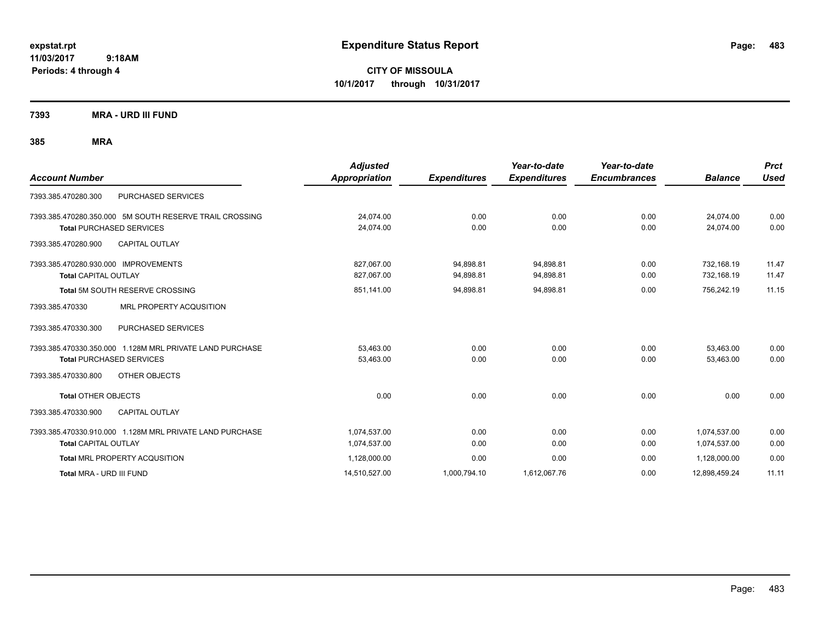**CITY OF MISSOULA 10/1/2017 through 10/31/2017**

**7393 MRA - URD III FUND**

| <b>Account Number</b>                                                                      | <b>Adjusted</b><br><b>Appropriation</b> | <b>Expenditures</b>    | Year-to-date<br><b>Expenditures</b> | Year-to-date<br><b>Encumbrances</b> | <b>Balance</b>           | <b>Prct</b><br><b>Used</b> |
|--------------------------------------------------------------------------------------------|-----------------------------------------|------------------------|-------------------------------------|-------------------------------------|--------------------------|----------------------------|
| PURCHASED SERVICES<br>7393.385.470280.300                                                  |                                         |                        |                                     |                                     |                          |                            |
| 7393.385.470280.350.000 5M SOUTH RESERVE TRAIL CROSSING<br><b>Total PURCHASED SERVICES</b> | 24,074.00<br>24,074.00                  | 0.00<br>0.00           | 0.00<br>0.00                        | 0.00<br>0.00                        | 24,074.00<br>24.074.00   | 0.00<br>0.00               |
| 7393.385.470280.900<br><b>CAPITAL OUTLAY</b>                                               |                                         |                        |                                     |                                     |                          |                            |
| 7393.385.470280.930.000 IMPROVEMENTS<br><b>Total CAPITAL OUTLAY</b>                        | 827,067.00<br>827,067.00                | 94,898.81<br>94,898.81 | 94,898.81<br>94,898.81              | 0.00<br>0.00                        | 732,168.19<br>732,168.19 | 11.47<br>11.47             |
| <b>Total 5M SOUTH RESERVE CROSSING</b>                                                     | 851,141.00                              | 94,898.81              | 94,898.81                           | 0.00                                | 756.242.19               | 11.15                      |
| MRL PROPERTY ACQUSITION<br>7393.385.470330                                                 |                                         |                        |                                     |                                     |                          |                            |
| 7393.385.470330.300<br>PURCHASED SERVICES                                                  |                                         |                        |                                     |                                     |                          |                            |
| 1.128M MRL PRIVATE LAND PURCHASE<br>7393.385.470330.350.000                                | 53,463.00                               | 0.00                   | 0.00                                | 0.00                                | 53,463.00                | 0.00                       |
| <b>Total PURCHASED SERVICES</b>                                                            | 53,463.00                               | 0.00                   | 0.00                                | 0.00                                | 53.463.00                | 0.00                       |
| OTHER OBJECTS<br>7393.385.470330.800                                                       |                                         |                        |                                     |                                     |                          |                            |
| <b>Total OTHER OBJECTS</b>                                                                 | 0.00                                    | 0.00                   | 0.00                                | 0.00                                | 0.00                     | 0.00                       |
| 7393.385.470330.900<br><b>CAPITAL OUTLAY</b>                                               |                                         |                        |                                     |                                     |                          |                            |
| 7393.385.470330.910.000 1.128M MRL PRIVATE LAND PURCHASE                                   | 1.074.537.00                            | 0.00                   | 0.00                                | 0.00                                | 1.074.537.00             | 0.00                       |
| <b>Total CAPITAL OUTLAY</b>                                                                | 1,074,537.00                            | 0.00                   | 0.00                                | 0.00                                | 1,074,537.00             | 0.00                       |
| <b>Total MRL PROPERTY ACQUSITION</b>                                                       | 1,128,000.00                            | 0.00                   | 0.00                                | 0.00                                | 1,128,000.00             | 0.00                       |
| Total MRA - URD III FUND                                                                   | 14,510,527.00                           | 1,000,794.10           | 1,612,067.76                        | 0.00                                | 12,898,459.24            | 11.11                      |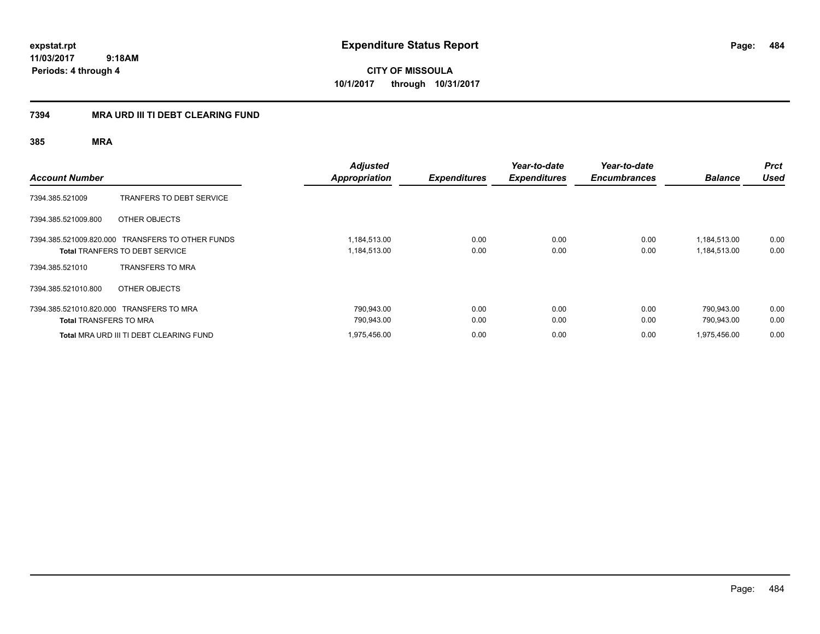**CITY OF MISSOULA 10/1/2017 through 10/31/2017**

## **7394 MRA URD III TI DEBT CLEARING FUND**

| <b>Account Number</b>         |                                                                                           | <b>Adjusted</b><br><b>Appropriation</b> | <b>Expenditures</b> | Year-to-date<br><b>Expenditures</b> | Year-to-date<br><b>Encumbrances</b> | <b>Balance</b>               | <b>Prct</b><br><b>Used</b> |
|-------------------------------|-------------------------------------------------------------------------------------------|-----------------------------------------|---------------------|-------------------------------------|-------------------------------------|------------------------------|----------------------------|
| 7394.385.521009               | <b>TRANFERS TO DEBT SERVICE</b>                                                           |                                         |                     |                                     |                                     |                              |                            |
| 7394.385.521009.800           | OTHER OBJECTS                                                                             |                                         |                     |                                     |                                     |                              |                            |
|                               | 7394.385.521009.820.000 TRANSFERS TO OTHER FUNDS<br><b>Total TRANFERS TO DEBT SERVICE</b> | 1,184,513.00<br>1,184,513.00            | 0.00<br>0.00        | 0.00<br>0.00                        | 0.00<br>0.00                        | 1,184,513.00<br>1,184,513.00 | 0.00<br>0.00               |
| 7394.385.521010               | <b>TRANSFERS TO MRA</b>                                                                   |                                         |                     |                                     |                                     |                              |                            |
| 7394.385.521010.800           | OTHER OBJECTS                                                                             |                                         |                     |                                     |                                     |                              |                            |
| <b>Total TRANSFERS TO MRA</b> | 7394.385.521010.820.000 TRANSFERS TO MRA                                                  | 790,943.00<br>790,943.00                | 0.00<br>0.00        | 0.00<br>0.00                        | 0.00<br>0.00                        | 790,943.00<br>790.943.00     | 0.00<br>0.00               |
|                               | Total MRA URD III TI DEBT CLEARING FUND                                                   | 1,975,456.00                            | 0.00                | 0.00                                | 0.00                                | 1,975,456.00                 | 0.00                       |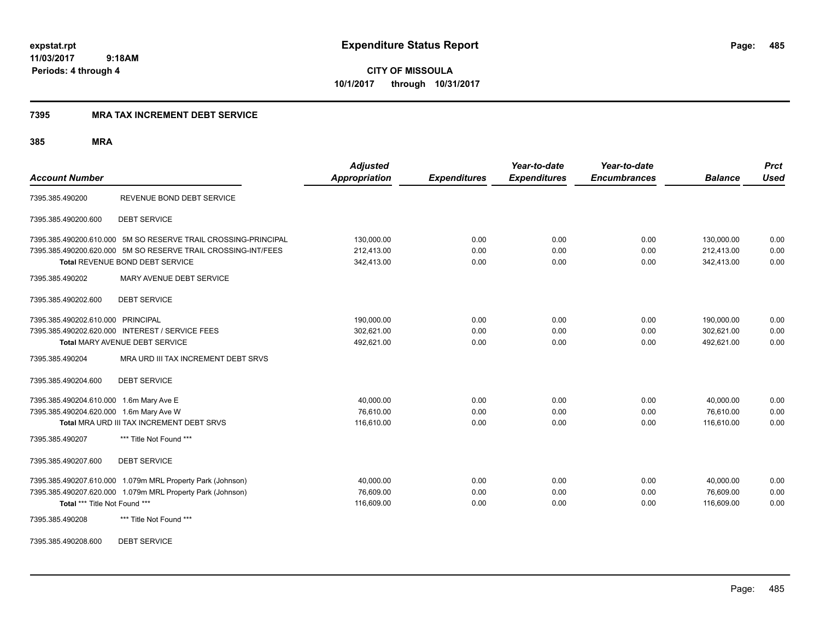### **7395 MRA TAX INCREMENT DEBT SERVICE**

**385 MRA**

| <b>Account Number</b>                                                              |                                                                                                                                                                    | <b>Adjusted</b><br><b>Appropriation</b> | <b>Expenditures</b>  | Year-to-date<br><b>Expenditures</b> | Year-to-date<br><b>Encumbrances</b> | <b>Balance</b>                         | <b>Prct</b><br><b>Used</b> |
|------------------------------------------------------------------------------------|--------------------------------------------------------------------------------------------------------------------------------------------------------------------|-----------------------------------------|----------------------|-------------------------------------|-------------------------------------|----------------------------------------|----------------------------|
| 7395.385.490200                                                                    | REVENUE BOND DEBT SERVICE                                                                                                                                          |                                         |                      |                                     |                                     |                                        |                            |
| 7395.385.490200.600                                                                | <b>DEBT SERVICE</b>                                                                                                                                                |                                         |                      |                                     |                                     |                                        |                            |
|                                                                                    | 7395.385.490200.610.000 5M SO RESERVE TRAIL CROSSING-PRINCIPAL<br>7395.385.490200.620.000 5M SO RESERVE TRAIL CROSSING-INT/FEES<br>Total REVENUE BOND DEBT SERVICE | 130,000.00<br>212,413.00<br>342,413.00  | 0.00<br>0.00<br>0.00 | 0.00<br>0.00<br>0.00                | 0.00<br>0.00<br>0.00                | 130,000.00<br>212,413.00<br>342,413.00 | 0.00<br>0.00<br>0.00       |
| 7395.385.490202                                                                    | MARY AVENUE DEBT SERVICE                                                                                                                                           |                                         |                      |                                     |                                     |                                        |                            |
| 7395.385.490202.600                                                                | <b>DEBT SERVICE</b>                                                                                                                                                |                                         |                      |                                     |                                     |                                        |                            |
| 7395.385.490202.610.000 PRINCIPAL                                                  | 7395.385.490202.620.000 INTEREST / SERVICE FEES<br>Total MARY AVENUE DEBT SERVICE                                                                                  | 190,000.00<br>302.621.00<br>492.621.00  | 0.00<br>0.00<br>0.00 | 0.00<br>0.00<br>0.00                | 0.00<br>0.00<br>0.00                | 190,000.00<br>302,621.00<br>492.621.00 | 0.00<br>0.00<br>0.00       |
| 7395.385.490204                                                                    | MRA URD III TAX INCREMENT DEBT SRVS                                                                                                                                |                                         |                      |                                     |                                     |                                        |                            |
| 7395.385.490204.600                                                                | <b>DEBT SERVICE</b>                                                                                                                                                |                                         |                      |                                     |                                     |                                        |                            |
| 7395.385.490204.610.000 1.6m Mary Ave E<br>7395.385.490204.620.000 1.6m Mary Ave W | Total MRA URD III TAX INCREMENT DEBT SRVS                                                                                                                          | 40,000.00<br>76,610.00<br>116,610.00    | 0.00<br>0.00<br>0.00 | 0.00<br>0.00<br>0.00                | 0.00<br>0.00<br>0.00                | 40,000.00<br>76,610.00<br>116,610.00   | 0.00<br>0.00<br>0.00       |
| 7395.385.490207                                                                    | *** Title Not Found ***                                                                                                                                            |                                         |                      |                                     |                                     |                                        |                            |
| 7395.385.490207.600                                                                | <b>DEBT SERVICE</b>                                                                                                                                                |                                         |                      |                                     |                                     |                                        |                            |
| Total *** Title Not Found ***<br>7395.385.490208                                   | 7395.385.490207.610.000 1.079m MRL Property Park (Johnson)<br>7395.385.490207.620.000 1.079m MRL Property Park (Johnson)<br>*** Title Not Found ***                | 40.000.00<br>76,609.00<br>116,609.00    | 0.00<br>0.00<br>0.00 | 0.00<br>0.00<br>0.00                | 0.00<br>0.00<br>0.00                | 40.000.00<br>76,609.00<br>116,609.00   | 0.00<br>0.00<br>0.00       |
|                                                                                    |                                                                                                                                                                    |                                         |                      |                                     |                                     |                                        |                            |

7395.385.490208.600 DEBT SERVICE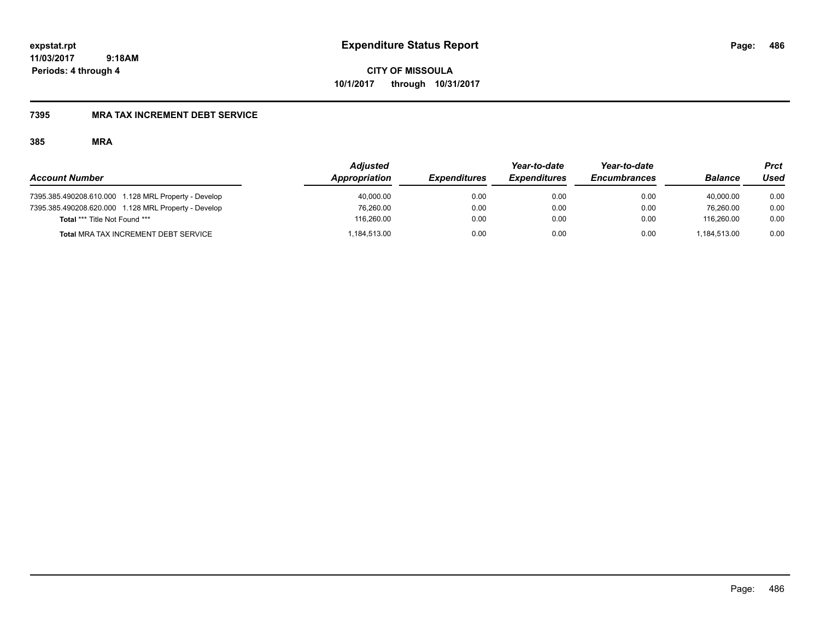**CITY OF MISSOULA 10/1/2017 through 10/31/2017**

## **7395 MRA TAX INCREMENT DEBT SERVICE**

|                                                      | <b>Adjusted</b> |                     | Year-to-date        | Year-to-date        |                | Prct |
|------------------------------------------------------|-----------------|---------------------|---------------------|---------------------|----------------|------|
| <b>Account Number</b>                                | Appropriation   | <b>Expenditures</b> | <b>Expenditures</b> | <b>Encumbrances</b> | <b>Balance</b> | Used |
| 7395.385.490208.610.000 1.128 MRL Property - Develop | 40,000.00       | 0.00                | 0.00                | 0.00                | 40.000.00      | 0.00 |
| 7395.385.490208.620.000 1.128 MRL Property - Develop | 76,260.00       | 0.00                | 0.00                | 0.00                | 76.260.00      | 0.00 |
| Total *** Title Not Found ***                        | 116.260.00      | 0.00                | 0.00                | 0.00                | 116.260.00     | 0.00 |
| <b>Total MRA TAX INCREMENT DEBT SERVICE</b>          | 184,513.00      | 0.00                | 0.00                | 0.00                | 1.184.513.00   | 0.00 |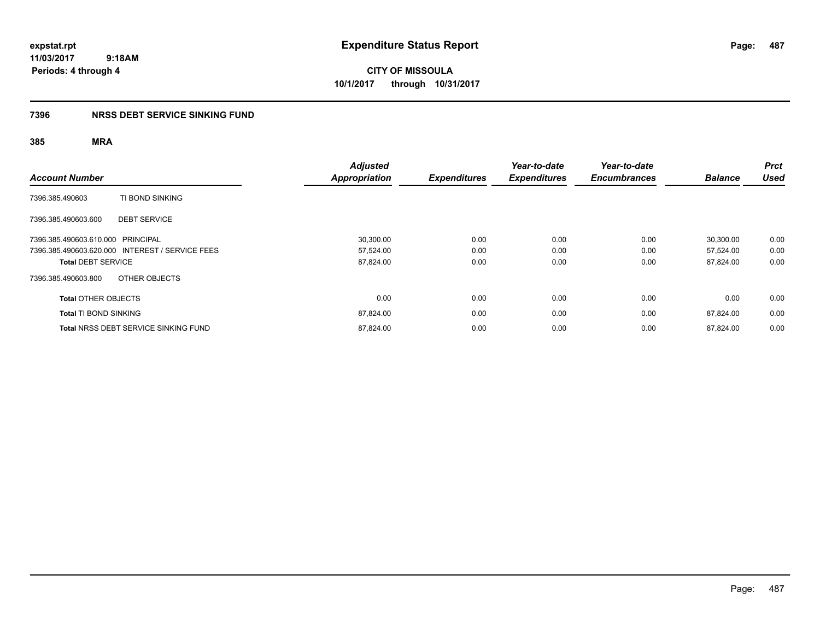**CITY OF MISSOULA 10/1/2017 through 10/31/2017**

## **7396 NRSS DEBT SERVICE SINKING FUND**

| <b>Account Number</b>                           | <b>Adjusted</b><br><b>Appropriation</b> | <b>Expenditures</b> | Year-to-date<br><b>Expenditures</b> | Year-to-date<br><b>Encumbrances</b> | <b>Balance</b> | <b>Prct</b><br><b>Used</b> |
|-------------------------------------------------|-----------------------------------------|---------------------|-------------------------------------|-------------------------------------|----------------|----------------------------|
| TI BOND SINKING<br>7396.385.490603              |                                         |                     |                                     |                                     |                |                            |
| 7396.385.490603.600<br><b>DEBT SERVICE</b>      |                                         |                     |                                     |                                     |                |                            |
| 7396.385.490603.610.000 PRINCIPAL               | 30,300.00                               | 0.00                | 0.00                                | 0.00                                | 30.300.00      | 0.00                       |
| 7396.385.490603.620.000 INTEREST / SERVICE FEES | 57,524.00                               | 0.00                | 0.00                                | 0.00                                | 57.524.00      | 0.00                       |
| <b>Total DEBT SERVICE</b>                       | 87,824.00                               | 0.00                | 0.00                                | 0.00                                | 87.824.00      | 0.00                       |
| OTHER OBJECTS<br>7396.385.490603.800            |                                         |                     |                                     |                                     |                |                            |
| <b>Total OTHER OBJECTS</b>                      | 0.00                                    | 0.00                | 0.00                                | 0.00                                | 0.00           | 0.00                       |
| <b>Total TI BOND SINKING</b>                    | 87,824.00                               | 0.00                | 0.00                                | 0.00                                | 87,824.00      | 0.00                       |
| <b>Total NRSS DEBT SERVICE SINKING FUND</b>     | 87,824.00                               | 0.00                | 0.00                                | 0.00                                | 87.824.00      | 0.00                       |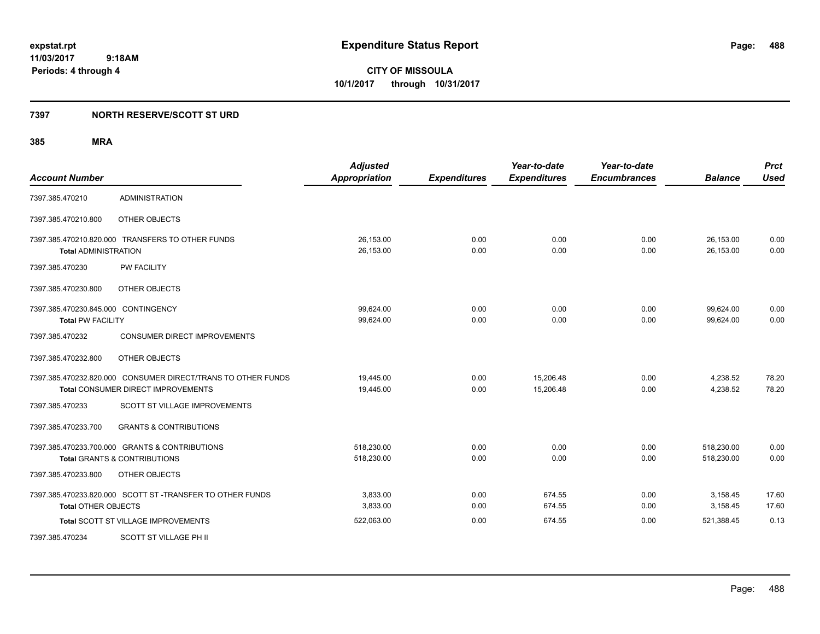## **7397 NORTH RESERVE/SCOTT ST URD**

| <b>Account Number</b>                                           |                                                                                                           | <b>Adjusted</b><br><b>Appropriation</b> | <b>Expenditures</b> | Year-to-date<br><b>Expenditures</b> | Year-to-date<br><b>Encumbrances</b> | <b>Balance</b>           | <b>Prct</b><br><b>Used</b> |
|-----------------------------------------------------------------|-----------------------------------------------------------------------------------------------------------|-----------------------------------------|---------------------|-------------------------------------|-------------------------------------|--------------------------|----------------------------|
| 7397.385.470210                                                 | <b>ADMINISTRATION</b>                                                                                     |                                         |                     |                                     |                                     |                          |                            |
| 7397.385.470210.800                                             | OTHER OBJECTS                                                                                             |                                         |                     |                                     |                                     |                          |                            |
| <b>Total ADMINISTRATION</b>                                     | 7397.385.470210.820.000 TRANSFERS TO OTHER FUNDS                                                          | 26,153.00<br>26,153.00                  | 0.00<br>0.00        | 0.00<br>0.00                        | 0.00<br>0.00                        | 26,153.00<br>26,153.00   | 0.00<br>0.00               |
| 7397.385.470230                                                 | <b>PW FACILITY</b>                                                                                        |                                         |                     |                                     |                                     |                          |                            |
| 7397.385.470230.800                                             | OTHER OBJECTS                                                                                             |                                         |                     |                                     |                                     |                          |                            |
| 7397.385.470230.845.000 CONTINGENCY<br><b>Total PW FACILITY</b> |                                                                                                           | 99,624.00<br>99.624.00                  | 0.00<br>0.00        | 0.00<br>0.00                        | 0.00<br>0.00                        | 99,624.00<br>99.624.00   | 0.00<br>0.00               |
| 7397.385.470232                                                 | <b>CONSUMER DIRECT IMPROVEMENTS</b>                                                                       |                                         |                     |                                     |                                     |                          |                            |
| 7397.385.470232.800                                             | OTHER OBJECTS                                                                                             |                                         |                     |                                     |                                     |                          |                            |
|                                                                 | 7397.385.470232.820.000 CONSUMER DIRECT/TRANS TO OTHER FUNDS<br><b>Total CONSUMER DIRECT IMPROVEMENTS</b> | 19,445.00<br>19,445.00                  | 0.00<br>0.00        | 15,206.48<br>15,206.48              | 0.00<br>0.00                        | 4,238.52<br>4,238.52     | 78.20<br>78.20             |
| 7397.385.470233                                                 | SCOTT ST VILLAGE IMPROVEMENTS                                                                             |                                         |                     |                                     |                                     |                          |                            |
| 7397.385.470233.700                                             | <b>GRANTS &amp; CONTRIBUTIONS</b>                                                                         |                                         |                     |                                     |                                     |                          |                            |
|                                                                 | 7397.385.470233.700.000 GRANTS & CONTRIBUTIONS<br><b>Total GRANTS &amp; CONTRIBUTIONS</b>                 | 518,230.00<br>518,230.00                | 0.00<br>0.00        | 0.00<br>0.00                        | 0.00<br>0.00                        | 518,230.00<br>518,230.00 | 0.00<br>0.00               |
| 7397.385.470233.800                                             | OTHER OBJECTS                                                                                             |                                         |                     |                                     |                                     |                          |                            |
| <b>Total OTHER OBJECTS</b>                                      | 7397.385.470233.820.000 SCOTT ST -TRANSFER TO OTHER FUNDS                                                 | 3,833.00<br>3,833.00                    | 0.00<br>0.00        | 674.55<br>674.55                    | 0.00<br>0.00                        | 3,158.45<br>3,158.45     | 17.60<br>17.60             |
|                                                                 | <b>Total SCOTT ST VILLAGE IMPROVEMENTS</b>                                                                | 522,063.00                              | 0.00                | 674.55                              | 0.00                                | 521,388.45               | 0.13                       |
| 7397.385.470234                                                 | SCOTT ST VILLAGE PH II                                                                                    |                                         |                     |                                     |                                     |                          |                            |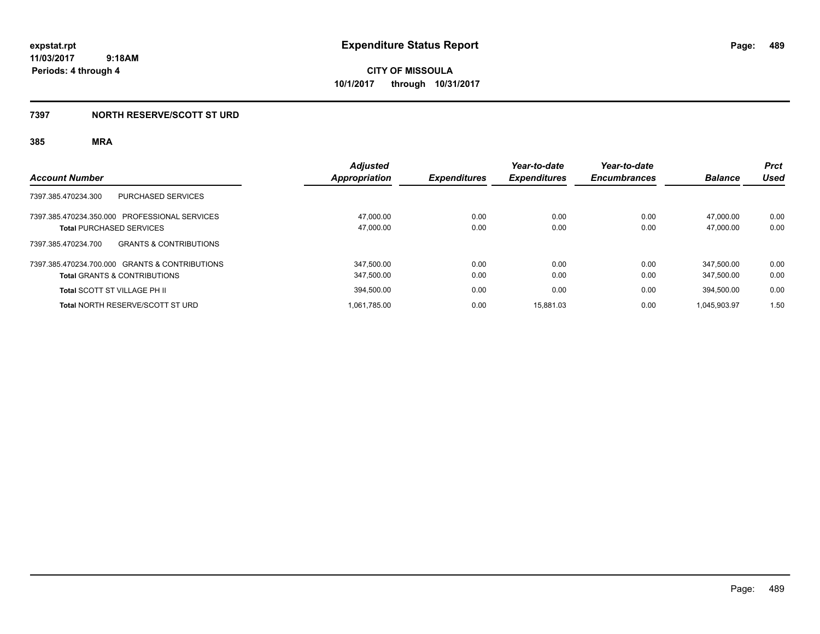## **7397 NORTH RESERVE/SCOTT ST URD**

| <b>Account Number</b>                                                                     | <b>Adjusted</b><br><b>Appropriation</b> | <b>Expenditures</b> | Year-to-date<br><b>Expenditures</b> | Year-to-date<br><b>Encumbrances</b> | <b>Balance</b>           | <b>Prct</b><br><b>Used</b> |
|-------------------------------------------------------------------------------------------|-----------------------------------------|---------------------|-------------------------------------|-------------------------------------|--------------------------|----------------------------|
| PURCHASED SERVICES<br>7397.385.470234.300                                                 |                                         |                     |                                     |                                     |                          |                            |
| 7397.385.470234.350.000 PROFESSIONAL SERVICES<br><b>Total PURCHASED SERVICES</b>          | 47.000.00<br>47,000.00                  | 0.00<br>0.00        | 0.00<br>0.00                        | 0.00<br>0.00                        | 47.000.00<br>47.000.00   | 0.00<br>0.00               |
| 7397.385.470234.700<br><b>GRANTS &amp; CONTRIBUTIONS</b>                                  |                                         |                     |                                     |                                     |                          |                            |
| 7397.385.470234.700.000 GRANTS & CONTRIBUTIONS<br><b>Total GRANTS &amp; CONTRIBUTIONS</b> | 347.500.00<br>347,500.00                | 0.00<br>0.00        | 0.00<br>0.00                        | 0.00<br>0.00                        | 347.500.00<br>347,500.00 | 0.00<br>0.00               |
| <b>Total SCOTT ST VILLAGE PH II</b>                                                       | 394.500.00                              | 0.00                | 0.00                                | 0.00                                | 394.500.00               | 0.00                       |
| <b>Total NORTH RESERVE/SCOTT ST URD</b>                                                   | 1.061.785.00                            | 0.00                | 15.881.03                           | 0.00                                | 1.045.903.97             | 1.50                       |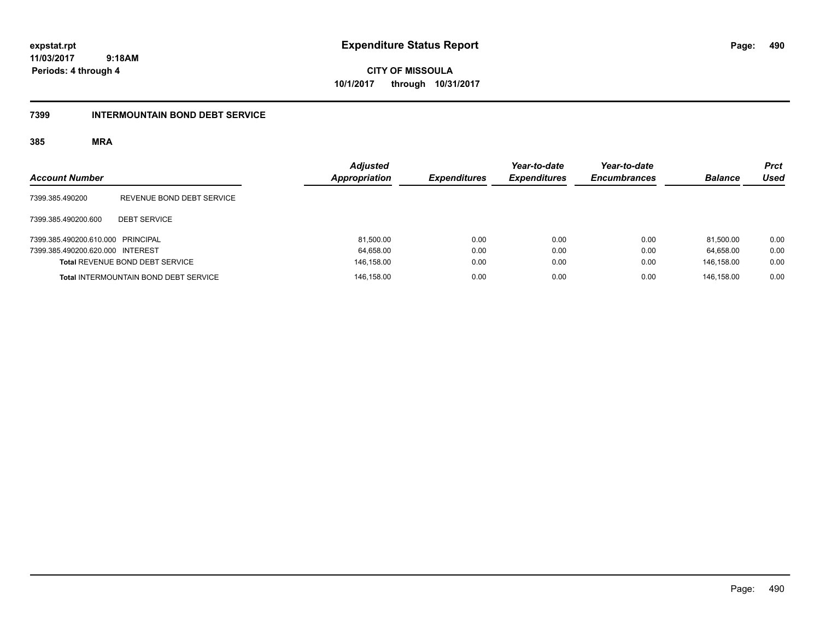**CITY OF MISSOULA 10/1/2017 through 10/31/2017**

## **7399 INTERMOUNTAIN BOND DEBT SERVICE**

| <b>Account Number</b>             |                                              | <b>Adjusted</b><br>Appropriation | <b>Expenditures</b> | Year-to-date<br><b>Expenditures</b> | Year-to-date<br><b>Encumbrances</b> | <b>Balance</b> | <b>Prct</b><br><b>Used</b> |
|-----------------------------------|----------------------------------------------|----------------------------------|---------------------|-------------------------------------|-------------------------------------|----------------|----------------------------|
| 7399.385.490200                   | REVENUE BOND DEBT SERVICE                    |                                  |                     |                                     |                                     |                |                            |
| 7399.385.490200.600               | <b>DEBT SERVICE</b>                          |                                  |                     |                                     |                                     |                |                            |
| 7399.385.490200.610.000 PRINCIPAL |                                              | 81,500.00                        | 0.00                | 0.00                                | 0.00                                | 81.500.00      | 0.00                       |
| 7399.385.490200.620.000 INTEREST  |                                              | 64,658.00                        | 0.00                | 0.00                                | 0.00                                | 64.658.00      | 0.00                       |
|                                   | <b>Total REVENUE BOND DEBT SERVICE</b>       | 146,158.00                       | 0.00                | 0.00                                | 0.00                                | 146,158.00     | 0.00                       |
|                                   | <b>Total INTERMOUNTAIN BOND DEBT SERVICE</b> | 146,158.00                       | 0.00                | 0.00                                | 0.00                                | 146.158.00     | 0.00                       |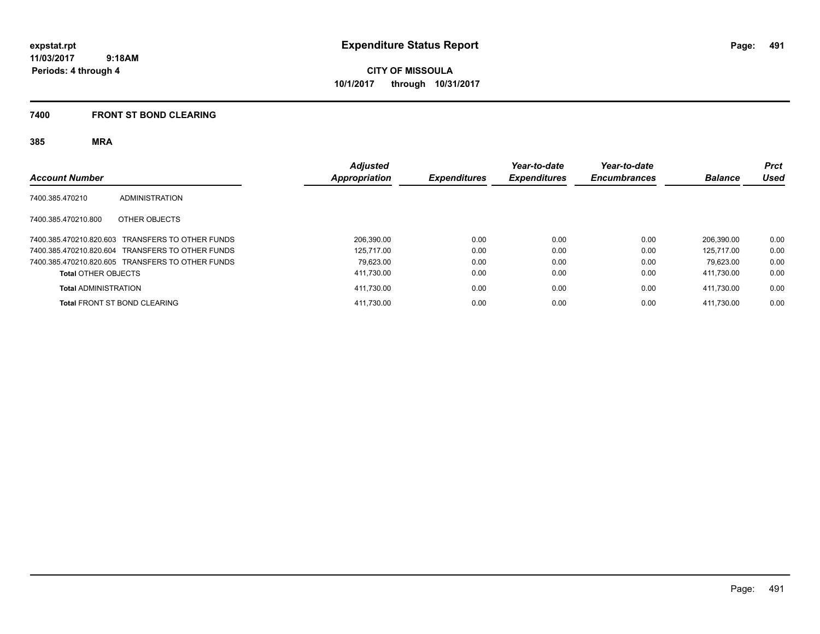**CITY OF MISSOULA 10/1/2017 through 10/31/2017**

### **7400 FRONT ST BOND CLEARING**

| <b>Account Number</b>               |                                                  | <b>Adjusted</b><br>Appropriation | <b>Expenditures</b> | Year-to-date<br><b>Expenditures</b> | Year-to-date<br><b>Encumbrances</b> | <b>Balance</b> | <b>Prct</b><br>Used |
|-------------------------------------|--------------------------------------------------|----------------------------------|---------------------|-------------------------------------|-------------------------------------|----------------|---------------------|
| 7400.385.470210                     | ADMINISTRATION                                   |                                  |                     |                                     |                                     |                |                     |
| 7400.385.470210.800                 | OTHER OBJECTS                                    |                                  |                     |                                     |                                     |                |                     |
|                                     | 7400.385.470210.820.603 TRANSFERS TO OTHER FUNDS | 206.390.00                       | 0.00                | 0.00                                | 0.00                                | 206.390.00     | 0.00                |
|                                     | 7400.385.470210.820.604 TRANSFERS TO OTHER FUNDS | 125.717.00                       | 0.00                | 0.00                                | 0.00                                | 125.717.00     | 0.00                |
|                                     | 7400.385.470210.820.605 TRANSFERS TO OTHER FUNDS | 79.623.00                        | 0.00                | 0.00                                | 0.00                                | 79.623.00      | 0.00                |
| <b>Total OTHER OBJECTS</b>          |                                                  | 411,730.00                       | 0.00                | 0.00                                | 0.00                                | 411.730.00     | 0.00                |
| <b>Total ADMINISTRATION</b>         |                                                  | 411,730.00                       | 0.00                | 0.00                                | 0.00                                | 411.730.00     | 0.00                |
| <b>Total FRONT ST BOND CLEARING</b> |                                                  | 411,730.00                       | 0.00                | 0.00                                | 0.00                                | 411.730.00     | 0.00                |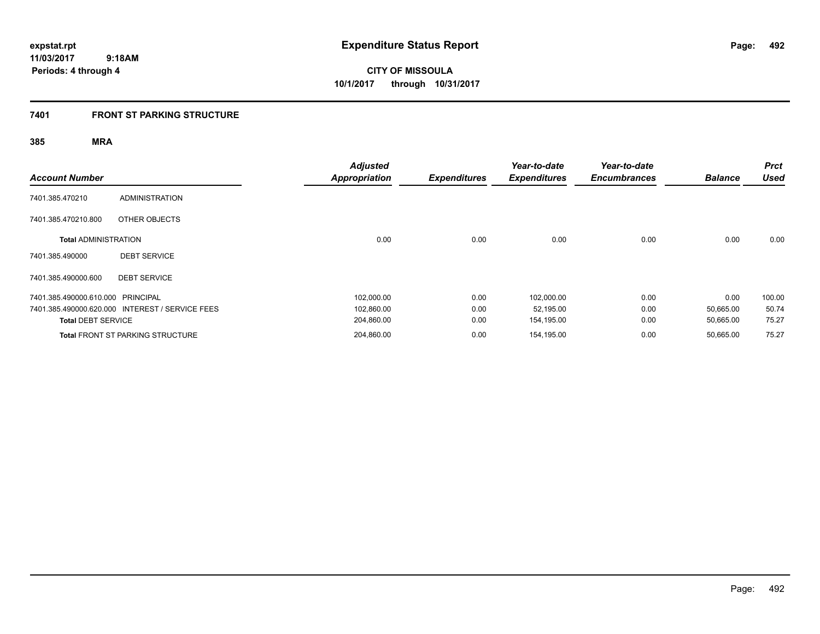## **7401 FRONT ST PARKING STRUCTURE**

| <b>Account Number</b>             |                                                 | <b>Adjusted</b><br><b>Appropriation</b> | <b>Expenditures</b> | Year-to-date<br><b>Expenditures</b> | Year-to-date<br><b>Encumbrances</b> | <b>Balance</b> | <b>Prct</b><br><b>Used</b> |
|-----------------------------------|-------------------------------------------------|-----------------------------------------|---------------------|-------------------------------------|-------------------------------------|----------------|----------------------------|
| 7401.385.470210                   | <b>ADMINISTRATION</b>                           |                                         |                     |                                     |                                     |                |                            |
| 7401.385.470210.800               | OTHER OBJECTS                                   |                                         |                     |                                     |                                     |                |                            |
| <b>Total ADMINISTRATION</b>       |                                                 | 0.00                                    | 0.00                | 0.00                                | 0.00                                | 0.00           | 0.00                       |
| 7401.385.490000                   | <b>DEBT SERVICE</b>                             |                                         |                     |                                     |                                     |                |                            |
| 7401.385.490000.600               | <b>DEBT SERVICE</b>                             |                                         |                     |                                     |                                     |                |                            |
| 7401.385.490000.610.000 PRINCIPAL |                                                 | 102,000.00                              | 0.00                | 102,000.00                          | 0.00                                | 0.00           | 100.00                     |
|                                   | 7401.385.490000.620.000 INTEREST / SERVICE FEES | 102,860.00                              | 0.00                | 52,195.00                           | 0.00                                | 50,665.00      | 50.74                      |
| <b>Total DEBT SERVICE</b>         |                                                 | 204,860.00                              | 0.00                | 154,195.00                          | 0.00                                | 50,665.00      | 75.27                      |
|                                   | <b>Total FRONT ST PARKING STRUCTURE</b>         | 204,860.00                              | 0.00                | 154,195.00                          | 0.00                                | 50,665.00      | 75.27                      |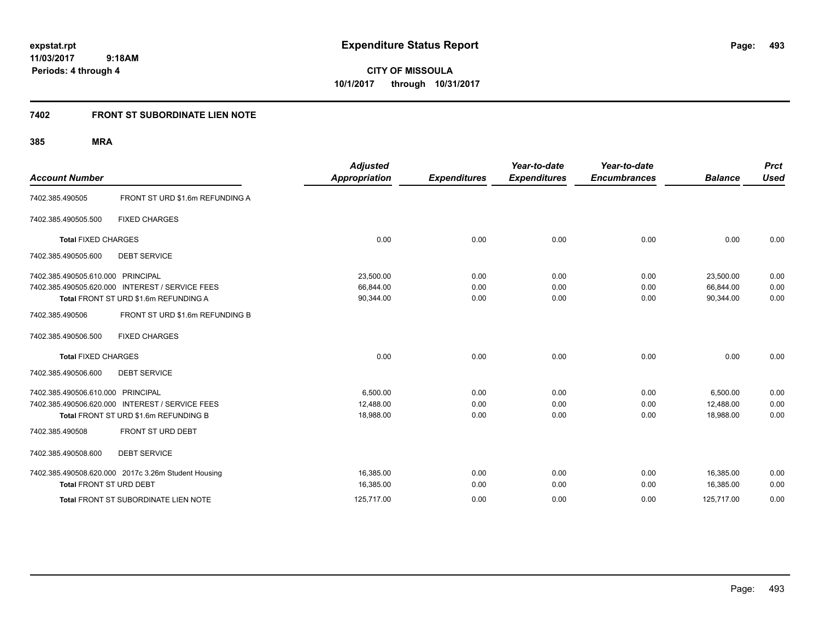**CITY OF MISSOULA 10/1/2017 through 10/31/2017**

# **7402 FRONT ST SUBORDINATE LIEN NOTE**

| <b>Account Number</b>             |                                                                                                              | <b>Adjusted</b><br><b>Appropriation</b> | <b>Expenditures</b>  | Year-to-date<br><b>Expenditures</b> | Year-to-date<br><b>Encumbrances</b> | <b>Balance</b>                       | <b>Prct</b><br><b>Used</b> |
|-----------------------------------|--------------------------------------------------------------------------------------------------------------|-----------------------------------------|----------------------|-------------------------------------|-------------------------------------|--------------------------------------|----------------------------|
| 7402.385.490505                   | FRONT ST URD \$1.6m REFUNDING A                                                                              |                                         |                      |                                     |                                     |                                      |                            |
| 7402.385.490505.500               | <b>FIXED CHARGES</b>                                                                                         |                                         |                      |                                     |                                     |                                      |                            |
| <b>Total FIXED CHARGES</b>        |                                                                                                              | 0.00                                    | 0.00                 | 0.00                                | 0.00                                | 0.00                                 | 0.00                       |
| 7402.385.490505.600               | <b>DEBT SERVICE</b>                                                                                          |                                         |                      |                                     |                                     |                                      |                            |
| 7402.385.490505.610.000           | <b>PRINCIPAL</b><br>7402.385.490505.620.000 INTEREST / SERVICE FEES<br>Total FRONT ST URD \$1.6m REFUNDING A | 23,500.00<br>66.844.00<br>90,344.00     | 0.00<br>0.00<br>0.00 | 0.00<br>0.00<br>0.00                | 0.00<br>0.00<br>0.00                | 23,500.00<br>66.844.00<br>90,344.00  | 0.00<br>0.00<br>0.00       |
| 7402.385.490506                   | FRONT ST URD \$1.6m REFUNDING B                                                                              |                                         |                      |                                     |                                     |                                      |                            |
| 7402.385.490506.500               | <b>FIXED CHARGES</b>                                                                                         |                                         |                      |                                     |                                     |                                      |                            |
| <b>Total FIXED CHARGES</b>        |                                                                                                              | 0.00                                    | 0.00                 | 0.00                                | 0.00                                | 0.00                                 | 0.00                       |
| 7402.385.490506.600               | <b>DEBT SERVICE</b>                                                                                          |                                         |                      |                                     |                                     |                                      |                            |
| 7402.385.490506.610.000 PRINCIPAL | 7402.385.490506.620.000 INTEREST / SERVICE FEES<br>Total FRONT ST URD \$1.6m REFUNDING B                     | 6,500.00<br>12.488.00<br>18,988.00      | 0.00<br>0.00<br>0.00 | 0.00<br>0.00<br>0.00                | 0.00<br>0.00<br>0.00                | 6,500.00<br>12.488.00<br>18,988.00   | 0.00<br>0.00<br>0.00       |
| 7402.385.490508                   | FRONT ST URD DEBT                                                                                            |                                         |                      |                                     |                                     |                                      |                            |
| 7402.385.490508.600               | <b>DEBT SERVICE</b>                                                                                          |                                         |                      |                                     |                                     |                                      |                            |
| Total FRONT ST URD DEBT           | 7402.385.490508.620.000 2017c 3.26m Student Housing<br>Total FRONT ST SUBORDINATE LIEN NOTE                  | 16,385.00<br>16,385.00<br>125,717.00    | 0.00<br>0.00<br>0.00 | 0.00<br>0.00<br>0.00                | 0.00<br>0.00<br>0.00                | 16.385.00<br>16,385.00<br>125,717.00 | 0.00<br>0.00<br>0.00       |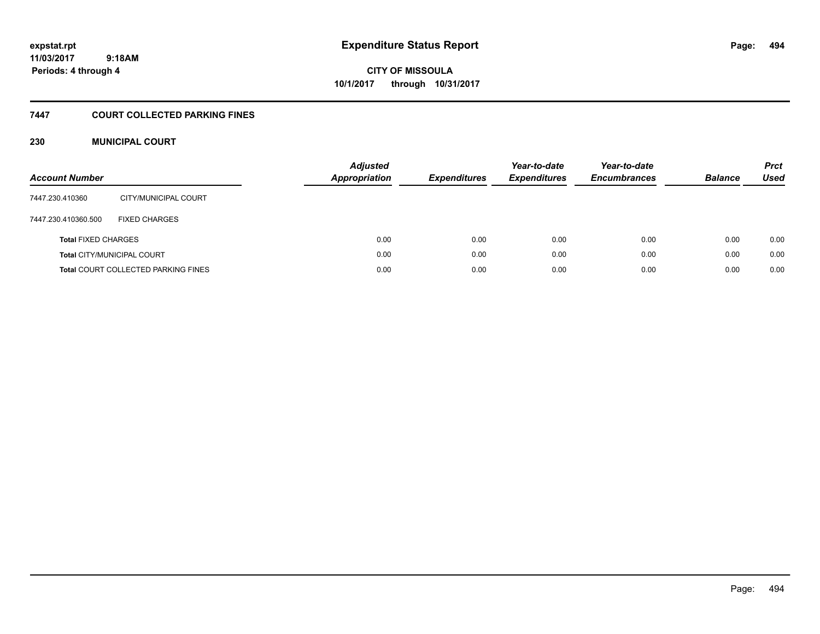# **CITY OF MISSOULA 10/1/2017 through 10/31/2017**

## **7447 COURT COLLECTED PARKING FINES**

## **230 MUNICIPAL COURT**

| <b>Account Number</b>      |                                            | <b>Adjusted</b><br>Appropriation | <b>Expenditures</b> | Year-to-date<br><b>Expenditures</b> | Year-to-date<br><b>Encumbrances</b> | <b>Balance</b> | <b>Prct</b><br><b>Used</b> |
|----------------------------|--------------------------------------------|----------------------------------|---------------------|-------------------------------------|-------------------------------------|----------------|----------------------------|
| 7447.230.410360            | CITY/MUNICIPAL COURT                       |                                  |                     |                                     |                                     |                |                            |
| 7447.230.410360.500        | <b>FIXED CHARGES</b>                       |                                  |                     |                                     |                                     |                |                            |
| <b>Total FIXED CHARGES</b> |                                            | 0.00                             | 0.00                | 0.00                                | 0.00                                | 0.00           | 0.00                       |
|                            | <b>Total CITY/MUNICIPAL COURT</b>          | 0.00                             | 0.00                | 0.00                                | 0.00                                | 0.00           | 0.00                       |
|                            | <b>Total COURT COLLECTED PARKING FINES</b> | 0.00                             | 0.00                | 0.00                                | 0.00                                | 0.00           | 0.00                       |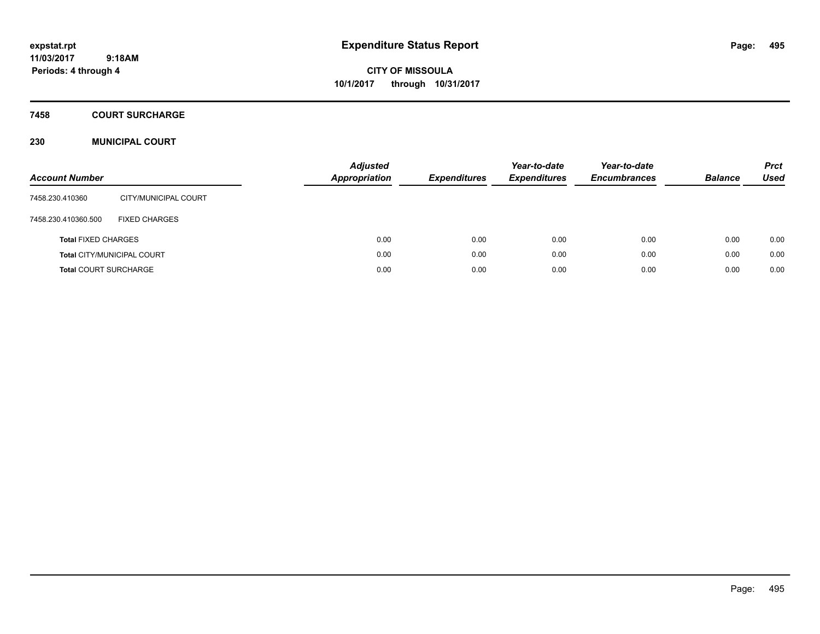**CITY OF MISSOULA 10/1/2017 through 10/31/2017**

### **7458 COURT SURCHARGE**

## **230 MUNICIPAL COURT**

| <b>Account Number</b>        |                                   | <b>Adjusted</b><br><b>Appropriation</b> | <b>Expenditures</b> | Year-to-date<br><b>Expenditures</b> | Year-to-date<br><b>Encumbrances</b> | <b>Balance</b> | <b>Prct</b><br><b>Used</b> |
|------------------------------|-----------------------------------|-----------------------------------------|---------------------|-------------------------------------|-------------------------------------|----------------|----------------------------|
| 7458.230.410360              | CITY/MUNICIPAL COURT              |                                         |                     |                                     |                                     |                |                            |
| 7458.230.410360.500          | <b>FIXED CHARGES</b>              |                                         |                     |                                     |                                     |                |                            |
| <b>Total FIXED CHARGES</b>   |                                   | 0.00                                    | 0.00                | 0.00                                | 0.00                                | 0.00           | 0.00                       |
|                              | <b>Total CITY/MUNICIPAL COURT</b> | 0.00                                    | 0.00                | 0.00                                | 0.00                                | 0.00           | 0.00                       |
| <b>Total COURT SURCHARGE</b> |                                   | 0.00                                    | 0.00                | 0.00                                | 0.00                                | 0.00           | 0.00                       |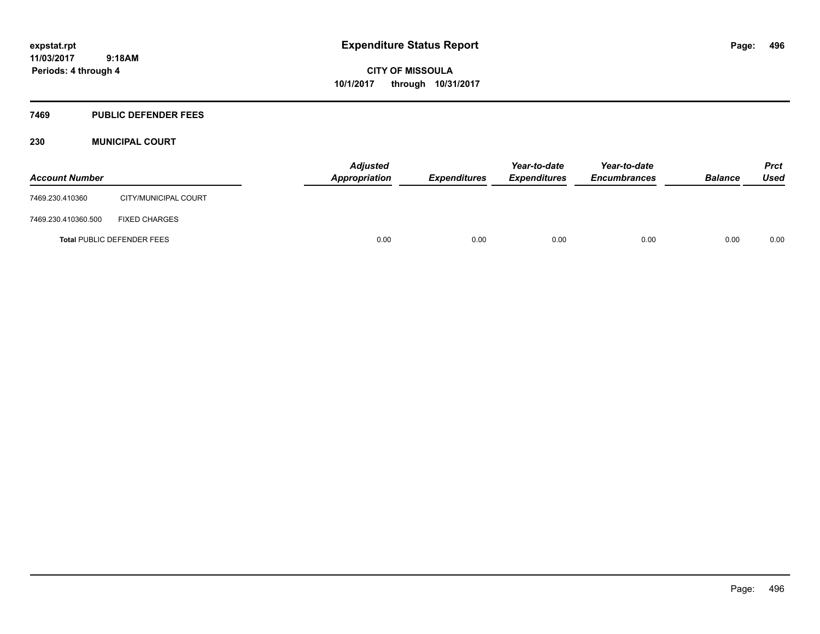## **7469 PUBLIC DEFENDER FEES**

## **230 MUNICIPAL COURT**

| <b>Account Number</b> |                                   | <b>Adjusted</b><br><b>Appropriation</b> | Expenditures | Year-to-date<br><b>Expenditures</b> | Year-to-date<br><b>Encumbrances</b> | <b>Balance</b> | <b>Prct</b><br>Used |
|-----------------------|-----------------------------------|-----------------------------------------|--------------|-------------------------------------|-------------------------------------|----------------|---------------------|
| 7469.230.410360       | CITY/MUNICIPAL COURT              |                                         |              |                                     |                                     |                |                     |
| 7469.230.410360.500   | <b>FIXED CHARGES</b>              |                                         |              |                                     |                                     |                |                     |
|                       | <b>Total PUBLIC DEFENDER FEES</b> | 0.00                                    | 0.00         | 0.00                                | 0.00                                | 0.00           | 0.00                |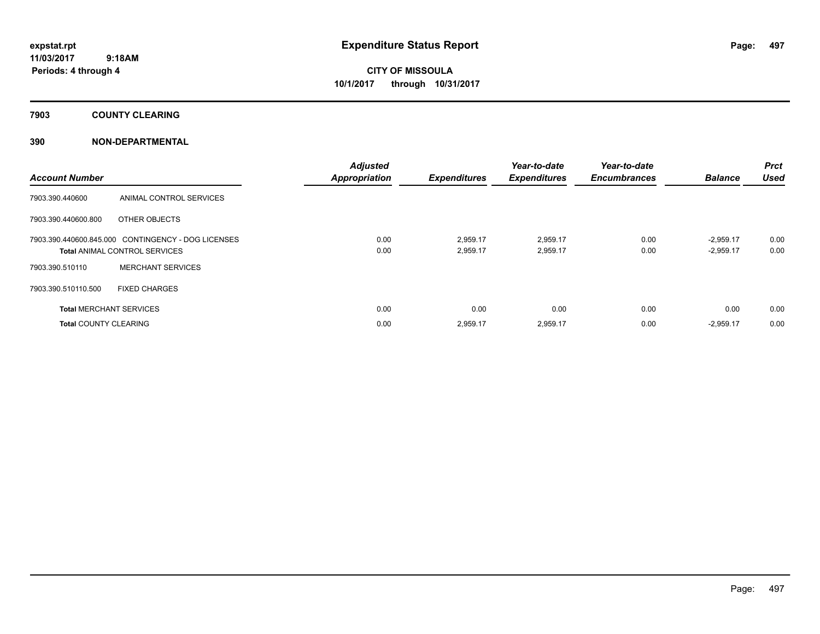**Periods: 4 through 4**

**CITY OF MISSOULA 10/1/2017 through 10/31/2017**

**7903 COUNTY CLEARING**

| <b>Account Number</b>          |                                                    | <b>Adjusted</b><br><b>Appropriation</b> | <b>Expenditures</b> | Year-to-date<br><b>Expenditures</b> | Year-to-date<br><b>Encumbrances</b> | <b>Balance</b> | <b>Prct</b><br><b>Used</b> |
|--------------------------------|----------------------------------------------------|-----------------------------------------|---------------------|-------------------------------------|-------------------------------------|----------------|----------------------------|
| 7903.390.440600                | ANIMAL CONTROL SERVICES                            |                                         |                     |                                     |                                     |                |                            |
| 7903.390.440600.800            | OTHER OBJECTS                                      |                                         |                     |                                     |                                     |                |                            |
|                                | 7903.390.440600.845.000 CONTINGENCY - DOG LICENSES | 0.00                                    | 2,959.17            | 2,959.17                            | 0.00                                | $-2,959.17$    | 0.00                       |
|                                | <b>Total ANIMAL CONTROL SERVICES</b>               | 0.00                                    | 2,959.17            | 2,959.17                            | 0.00                                | $-2,959.17$    | 0.00                       |
| 7903.390.510110                | <b>MERCHANT SERVICES</b>                           |                                         |                     |                                     |                                     |                |                            |
| 7903.390.510110.500            | <b>FIXED CHARGES</b>                               |                                         |                     |                                     |                                     |                |                            |
| <b>Total MERCHANT SERVICES</b> |                                                    | 0.00                                    | 0.00                | 0.00                                | 0.00                                | 0.00           | 0.00                       |
| <b>Total COUNTY CLEARING</b>   |                                                    | 0.00                                    | 2,959.17            | 2,959.17                            | 0.00                                | $-2,959.17$    | 0.00                       |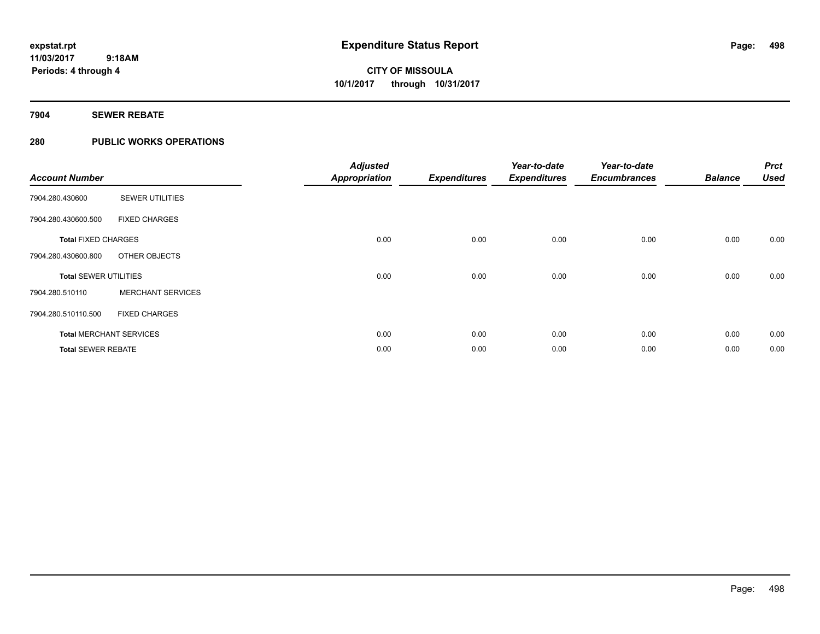## **7904 SEWER REBATE**

## **280 PUBLIC WORKS OPERATIONS**

| <b>Account Number</b>        |                                | <b>Adjusted</b><br><b>Appropriation</b> | <b>Expenditures</b> | Year-to-date<br><b>Expenditures</b> | Year-to-date<br><b>Encumbrances</b> | <b>Balance</b> | <b>Prct</b><br><b>Used</b> |
|------------------------------|--------------------------------|-----------------------------------------|---------------------|-------------------------------------|-------------------------------------|----------------|----------------------------|
| 7904.280.430600              | <b>SEWER UTILITIES</b>         |                                         |                     |                                     |                                     |                |                            |
| 7904.280.430600.500          | <b>FIXED CHARGES</b>           |                                         |                     |                                     |                                     |                |                            |
| <b>Total FIXED CHARGES</b>   |                                | 0.00                                    | 0.00                | 0.00                                | 0.00                                | 0.00           | 0.00                       |
| 7904.280.430600.800          | OTHER OBJECTS                  |                                         |                     |                                     |                                     |                |                            |
| <b>Total SEWER UTILITIES</b> |                                | 0.00                                    | 0.00                | 0.00                                | 0.00                                | 0.00           | 0.00                       |
| 7904.280.510110              | <b>MERCHANT SERVICES</b>       |                                         |                     |                                     |                                     |                |                            |
| 7904.280.510110.500          | <b>FIXED CHARGES</b>           |                                         |                     |                                     |                                     |                |                            |
|                              | <b>Total MERCHANT SERVICES</b> | 0.00                                    | 0.00                | 0.00                                | 0.00                                | 0.00           | 0.00                       |
| <b>Total SEWER REBATE</b>    |                                | 0.00                                    | 0.00                | 0.00                                | 0.00                                | 0.00           | 0.00                       |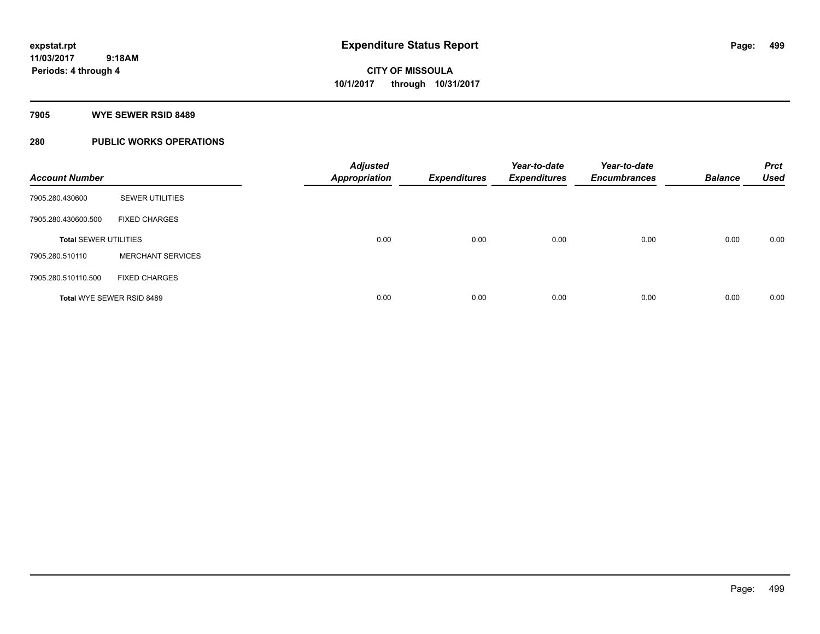### **7905 WYE SEWER RSID 8489**

## **280 PUBLIC WORKS OPERATIONS**

| <b>Account Number</b>        |                          | <b>Adjusted</b><br><b>Appropriation</b> | <b>Expenditures</b> | Year-to-date<br><b>Expenditures</b> | Year-to-date<br><b>Encumbrances</b> | <b>Balance</b> | <b>Prct</b><br><b>Used</b> |
|------------------------------|--------------------------|-----------------------------------------|---------------------|-------------------------------------|-------------------------------------|----------------|----------------------------|
| 7905.280.430600              | <b>SEWER UTILITIES</b>   |                                         |                     |                                     |                                     |                |                            |
| 7905.280.430600.500          | <b>FIXED CHARGES</b>     |                                         |                     |                                     |                                     |                |                            |
| <b>Total SEWER UTILITIES</b> |                          | 0.00                                    | 0.00                | 0.00                                | 0.00                                | 0.00           | 0.00                       |
| 7905.280.510110              | <b>MERCHANT SERVICES</b> |                                         |                     |                                     |                                     |                |                            |
| 7905.280.510110.500          | <b>FIXED CHARGES</b>     |                                         |                     |                                     |                                     |                |                            |
| Total WYE SEWER RSID 8489    |                          | 0.00                                    | 0.00                | 0.00                                | 0.00                                | 0.00           | 0.00                       |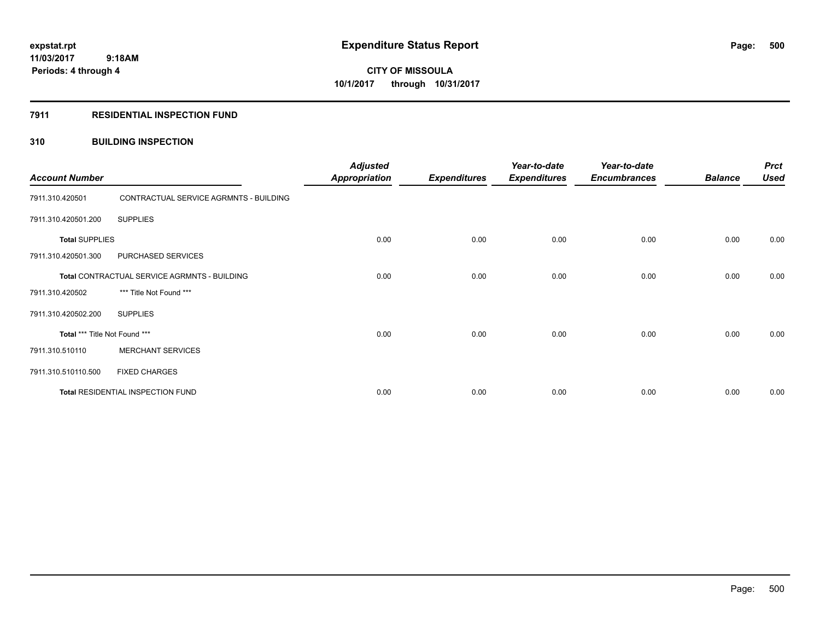## **7911 RESIDENTIAL INSPECTION FUND**

## **310 BUILDING INSPECTION**

| <b>Account Number</b>         |                                              | <b>Adjusted</b><br><b>Appropriation</b> | <b>Expenditures</b> | Year-to-date<br><b>Expenditures</b> | Year-to-date<br><b>Encumbrances</b> | <b>Balance</b> | <b>Prct</b><br><b>Used</b> |
|-------------------------------|----------------------------------------------|-----------------------------------------|---------------------|-------------------------------------|-------------------------------------|----------------|----------------------------|
| 7911.310.420501               | CONTRACTUAL SERVICE AGRMNTS - BUILDING       |                                         |                     |                                     |                                     |                |                            |
| 7911.310.420501.200           | <b>SUPPLIES</b>                              |                                         |                     |                                     |                                     |                |                            |
| <b>Total SUPPLIES</b>         |                                              | 0.00                                    | 0.00                | 0.00                                | 0.00                                | 0.00           | 0.00                       |
| 7911.310.420501.300           | PURCHASED SERVICES                           |                                         |                     |                                     |                                     |                |                            |
|                               | Total CONTRACTUAL SERVICE AGRMNTS - BUILDING | 0.00                                    | 0.00                | 0.00                                | 0.00                                | 0.00           | 0.00                       |
| 7911.310.420502               | *** Title Not Found ***                      |                                         |                     |                                     |                                     |                |                            |
| 7911.310.420502.200           | <b>SUPPLIES</b>                              |                                         |                     |                                     |                                     |                |                            |
| Total *** Title Not Found *** |                                              | 0.00                                    | 0.00                | 0.00                                | 0.00                                | 0.00           | 0.00                       |
| 7911.310.510110               | <b>MERCHANT SERVICES</b>                     |                                         |                     |                                     |                                     |                |                            |
| 7911.310.510110.500           | <b>FIXED CHARGES</b>                         |                                         |                     |                                     |                                     |                |                            |
|                               | Total RESIDENTIAL INSPECTION FUND            | 0.00                                    | 0.00                | 0.00                                | 0.00                                | 0.00           | 0.00                       |